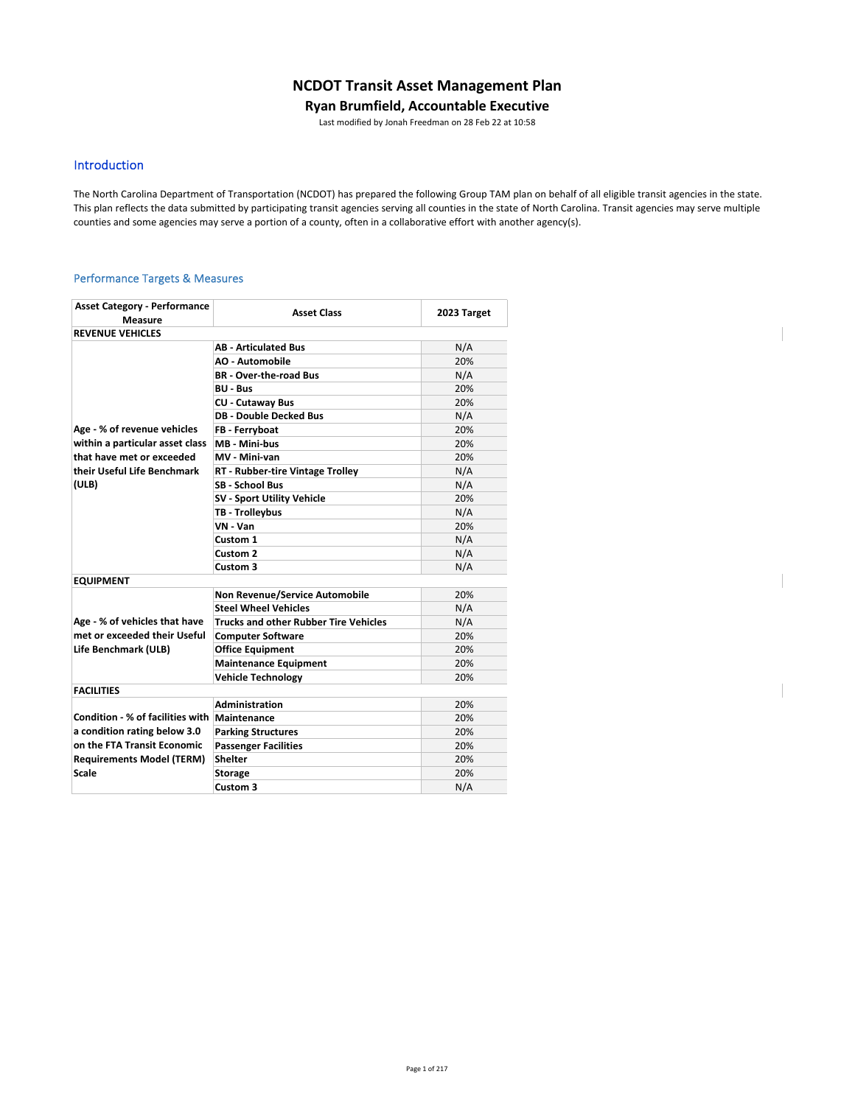# **NCDOT Transit Asset Management Plan**

### **Ryan Brumfield, Accountable Executive**

Last modified by Jonah Freedman on 28 Feb 22 at 10:58

## Introduction

The North Carolina Department of Transportation (NCDOT) has prepared the following Group TAM plan on behalf of all eligible transit agencies in the state. This plan reflects the data submitted by participating transit agencies serving all counties in the state of North Carolina. Transit agencies may serve multiple counties and some agencies may serve a portion of a county, often in a collaborative effort with another agency(s).

### Performance Targets & Measures

| <b>Asset Category - Performance</b>          | <b>Asset Class</b>                           | 2023 Target |
|----------------------------------------------|----------------------------------------------|-------------|
| <b>Measure</b><br><b>REVENUE VEHICLES</b>    |                                              |             |
|                                              | <b>AB - Articulated Bus</b>                  | N/A         |
|                                              | <b>AO - Automobile</b>                       | 20%         |
|                                              | <b>BR</b> - Over-the-road Bus                |             |
|                                              |                                              | N/A<br>20%  |
|                                              | <b>BU - Bus</b>                              | 20%         |
|                                              | <b>CU - Cutaway Bus</b>                      |             |
|                                              | <b>DB - Double Decked Bus</b>                | N/A         |
| Age - % of revenue vehicles                  | FB - Ferryboat                               | 20%         |
| within a particular asset class              | MB - Mini-bus                                | 20%         |
| that have met or exceeded                    | MV - Mini-van                                | 20%         |
| their Useful Life Benchmark                  | <b>RT - Rubber-tire Vintage Trolley</b>      | N/A         |
| (ULB)                                        | <b>SB - School Bus</b>                       | N/A         |
|                                              | SV - Sport Utility Vehicle                   | 20%         |
|                                              | TB - Trolleybus                              | N/A         |
|                                              | VN - Van                                     | 20%         |
|                                              | Custom 1                                     | N/A         |
|                                              | Custom 2                                     | N/A         |
|                                              | Custom <sub>3</sub>                          | N/A         |
| <b>EQUIPMENT</b>                             |                                              |             |
|                                              | <b>Non Revenue/Service Automobile</b>        | 20%         |
|                                              | <b>Steel Wheel Vehicles</b>                  | N/A         |
| Age - % of vehicles that have                | <b>Trucks and other Rubber Tire Vehicles</b> | N/A         |
| met or exceeded their Useful                 | <b>Computer Software</b>                     | 20%         |
| Life Benchmark (ULB)                         | <b>Office Equipment</b>                      | 20%         |
|                                              | <b>Maintenance Equipment</b>                 | 20%         |
|                                              | <b>Vehicle Technology</b>                    | 20%         |
| <b>FACILITIES</b>                            |                                              |             |
|                                              | Administration                               | 20%         |
| Condition - % of facilities with Maintenance |                                              | 20%         |
| a condition rating below 3.0                 | <b>Parking Structures</b>                    | 20%         |
| on the FTA Transit Economic                  | <b>Passenger Facilities</b>                  | 20%         |
| <b>Requirements Model (TERM)</b>             | <b>Shelter</b>                               | 20%         |
| Scale                                        | <b>Storage</b>                               | 20%         |
|                                              | Custom 3                                     | N/A         |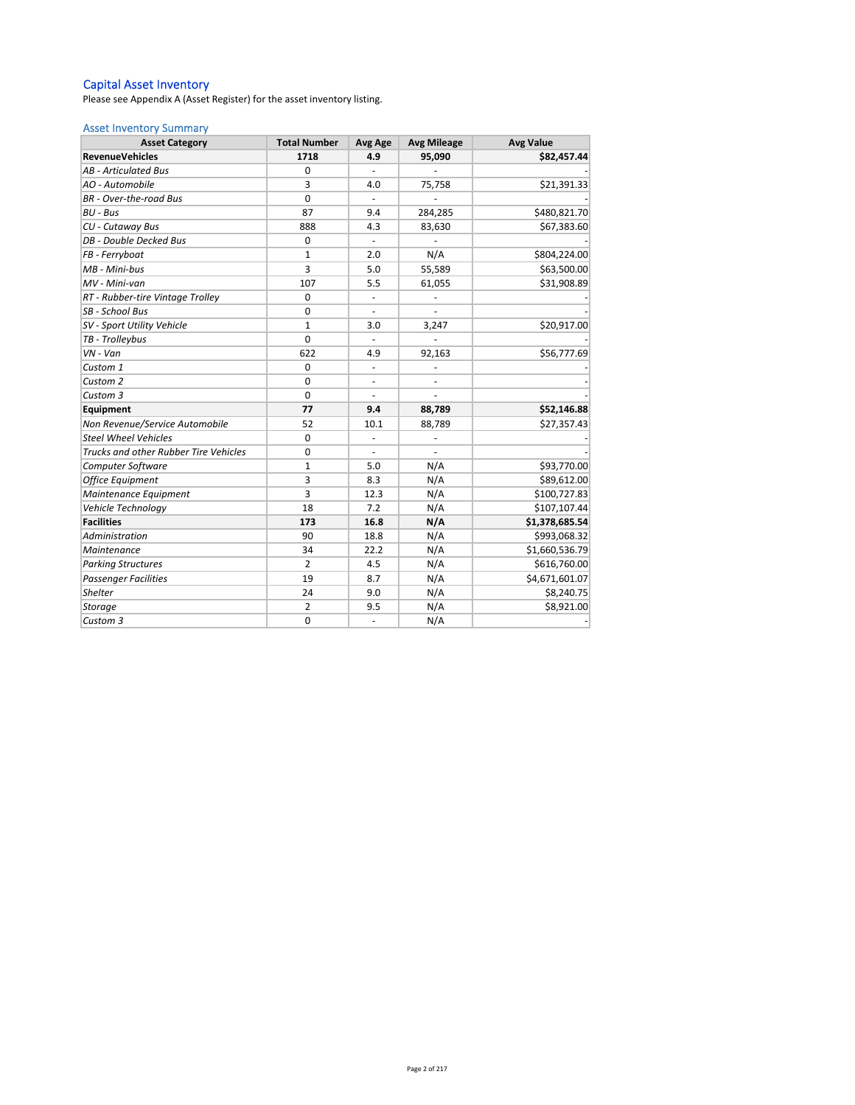#### Capital Asset Inventory

Please see Appendix A (Asset Register) for the asset inventory listing.

### Asset Inventory Summary

| <b>Asset Category</b>                 | <b>Total Number</b> | Avg Age                  | <b>Avg Mileage</b> | <b>Avg Value</b> |  |  |
|---------------------------------------|---------------------|--------------------------|--------------------|------------------|--|--|
| <b>RevenueVehicles</b>                | 1718                | 4.9                      | 95,090             | \$82,457.44      |  |  |
| <b>AB</b> - Articulated Bus           | 0                   |                          |                    |                  |  |  |
| AO - Automobile                       | 3                   | 4.0                      | 75,758             | \$21,391.33      |  |  |
| BR - Over-the-road Bus                | $\mathbf 0$         |                          |                    |                  |  |  |
| $BU - Bus$                            | 87                  | 9.4                      | 284,285            | \$480,821.70     |  |  |
| CU - Cutaway Bus                      | 888                 | 4.3                      | 83,630             | \$67,383.60      |  |  |
| DB - Double Decked Bus                | $\mathbf 0$         | $\overline{\phantom{a}}$ |                    |                  |  |  |
| FB - Ferryboat                        | 1                   | 2.0                      | N/A                | \$804,224.00     |  |  |
| MB - Mini-bus                         | 3                   | 5.0                      | 55,589             | \$63,500.00      |  |  |
| MV - Mini-van                         | 107                 | 5.5                      | 61,055             | \$31,908.89      |  |  |
| RT - Rubber-tire Vintage Trolley      | $\mathbf 0$         |                          |                    |                  |  |  |
| SB - School Bus                       | $\mathbf 0$         |                          |                    |                  |  |  |
| SV - Sport Utility Vehicle            | $\mathbf{1}$        | 3.0                      | 3,247              | \$20,917.00      |  |  |
| TB - Trolleybus                       | $\mathbf 0$         |                          |                    |                  |  |  |
| $VN - Van$                            | 622                 | 4.9                      | 92,163             | \$56,777.69      |  |  |
| Custom 1                              | $\mathbf 0$         | $\blacksquare$           |                    |                  |  |  |
| Custom 2                              | 0                   | $\overline{\phantom{a}}$ | ÷,                 |                  |  |  |
| Custom 3                              | $\Omega$            |                          |                    |                  |  |  |
| Equipment                             | 77                  | 9.4                      | 88,789             | \$52,146.88      |  |  |
| Non Revenue/Service Automobile        | 52                  | 10.1                     | 88,789             | \$27,357.43      |  |  |
| <b>Steel Wheel Vehicles</b>           | $\mathbf 0$         | $\blacksquare$           |                    |                  |  |  |
| Trucks and other Rubber Tire Vehicles | $\mathbf 0$         | $\blacksquare$           |                    |                  |  |  |
| Computer Software                     | $\mathbf{1}$        | 5.0                      | N/A                | \$93,770.00      |  |  |
| <b>Office Equipment</b>               | 3                   | 8.3                      | N/A                | \$89,612.00      |  |  |
| Maintenance Equipment                 | 3                   | 12.3                     | N/A                | \$100,727.83     |  |  |
| Vehicle Technology                    | 18                  | 7.2                      | N/A                | \$107,107.44     |  |  |
| <b>Facilities</b>                     | 173                 | 16.8                     | N/A                | \$1,378,685.54   |  |  |
| Administration                        | 90                  | 18.8                     | N/A                | \$993,068.32     |  |  |
| Maintenance                           | 34                  | 22.2                     | N/A                | \$1,660,536.79   |  |  |
| <b>Parking Structures</b>             | $\overline{2}$      | 4.5                      | N/A                | \$616,760.00     |  |  |
| <b>Passenger Facilities</b>           | 19                  | 8.7                      | N/A                | \$4,671,601.07   |  |  |
| <b>Shelter</b>                        | 24                  | 9.0                      | N/A                | \$8,240.75       |  |  |
| Storage                               | $\overline{2}$      | 9.5                      | N/A                | \$8,921.00       |  |  |
| Custom 3                              | $\mathbf 0$         | ä,                       | N/A                |                  |  |  |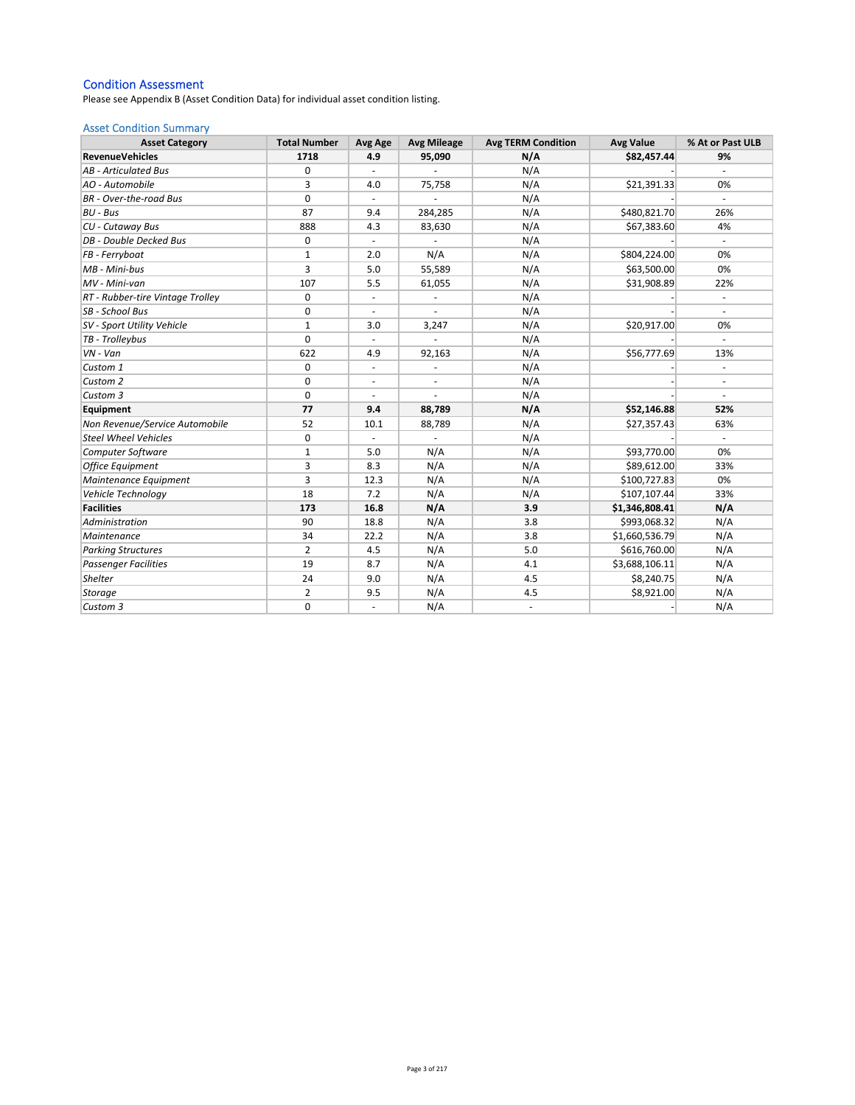### Condition Assessment

Please see Appendix B (Asset Condition Data) for individual asset condition listing.

### Asset Condition Summary

| <b>Asset Category</b>            | <b>Total Number</b> | Avg Age                  | <b>Avg Mileage</b>       | <b>Avg TERM Condition</b> | <b>Avg Value</b> | % At or Past ULB             |
|----------------------------------|---------------------|--------------------------|--------------------------|---------------------------|------------------|------------------------------|
| <b>RevenueVehicles</b>           | 1718                | 4.9                      | 95,090                   | N/A                       | \$82,457.44      | 9%                           |
| <b>AB</b> - Articulated Bus      | 0                   | $\sim$                   |                          | N/A                       |                  |                              |
| AO - Automobile                  | 3                   | 4.0                      | 75,758                   | N/A                       | \$21,391.33      | 0%                           |
| <b>BR</b> - Over-the-road Bus    | 0                   |                          |                          | N/A                       |                  |                              |
| BU - Bus                         | 87                  | 9.4                      | 284,285                  | N/A                       | \$480,821.70     | 26%                          |
| CU - Cutaway Bus                 | 888                 | 4.3                      | 83,630                   | N/A                       | \$67,383.60      | 4%                           |
| DB - Double Decked Bus           | 0                   | $\blacksquare$           |                          | N/A                       |                  | $\bar{a}$                    |
| FB - Ferryboat                   | $\mathbf{1}$        | 2.0                      | N/A                      | N/A                       | \$804,224.00     | 0%                           |
| MB - Mini-bus                    | 3                   | 5.0                      | 55,589                   | N/A                       | \$63,500.00      | 0%                           |
| MV - Mini-van                    | 107                 | 5.5                      | 61,055                   | N/A                       | \$31,908.89      | 22%                          |
| RT - Rubber-tire Vintage Trolley | 0                   | $\overline{\phantom{a}}$ | ÷,                       | N/A                       |                  | $\overline{\phantom{a}}$     |
| SB - School Bus                  | $\mathbf 0$         | $\blacksquare$           | ä,                       | N/A                       |                  |                              |
| SV - Sport Utility Vehicle       | 1                   | 3.0                      | 3,247                    | N/A                       | \$20,917.00      | 0%                           |
| TB - Trolleybus                  | 0                   |                          |                          | N/A                       |                  |                              |
| $VN - Van$                       | 622                 | 4.9                      | 92,163                   | N/A                       | \$56,777.69      | 13%                          |
| Custom 1                         | 0                   | $\overline{\phantom{a}}$ | ÷,                       | N/A                       |                  |                              |
| Custom 2                         | 0                   | $\overline{\phantom{a}}$ | $\overline{\phantom{a}}$ | N/A                       |                  | $\qquad \qquad \blacksquare$ |
| Custom 3                         | $\mathbf 0$         | $\blacksquare$           | ä,                       | N/A                       |                  |                              |
| Equipment                        | 77                  | 9.4                      | 88,789                   | N/A                       | \$52,146.88      | 52%                          |
| Non Revenue/Service Automobile   | 52                  | 10.1                     | 88,789                   | N/A                       | \$27,357.43      | 63%                          |
| <b>Steel Wheel Vehicles</b>      | 0                   |                          |                          | N/A                       |                  |                              |
| Computer Software                | $\mathbf{1}$        | 5.0                      | N/A                      | N/A                       | \$93,770.00      | 0%                           |
| <b>Office Equipment</b>          | 3                   | 8.3                      | N/A                      | N/A                       | \$89,612.00      | 33%                          |
| Maintenance Equipment            | 3                   | 12.3                     | N/A                      | N/A                       | \$100,727.83     | 0%                           |
| Vehicle Technology               | 18                  | 7.2                      | N/A                      | N/A                       | \$107,107.44     | 33%                          |
| <b>Facilities</b>                | 173                 | 16.8                     | N/A                      | 3.9                       | \$1,346,808.41   | N/A                          |
| Administration                   | 90                  | 18.8                     | N/A                      | 3.8                       | \$993,068.32     | N/A                          |
| Maintenance                      | 34                  | 22.2                     | N/A                      | 3.8                       | \$1,660,536.79   | N/A                          |
| <b>Parking Structures</b>        | $\overline{2}$      | 4.5                      | N/A                      | 5.0                       | \$616,760.00     | N/A                          |
| <b>Passenger Facilities</b>      | 19                  | 8.7                      | N/A                      | 4.1                       | \$3,688,106.11   | N/A                          |
| Shelter                          | 24                  | 9.0                      | N/A                      | 4.5                       | \$8,240.75       | N/A                          |
| <b>Storage</b>                   | $\overline{2}$      | 9.5                      | N/A                      | 4.5                       | \$8,921.00       | N/A                          |
| Custom 3                         | $\mathbf 0$         | $\frac{1}{2}$            | N/A                      | $\overline{\phantom{a}}$  |                  | N/A                          |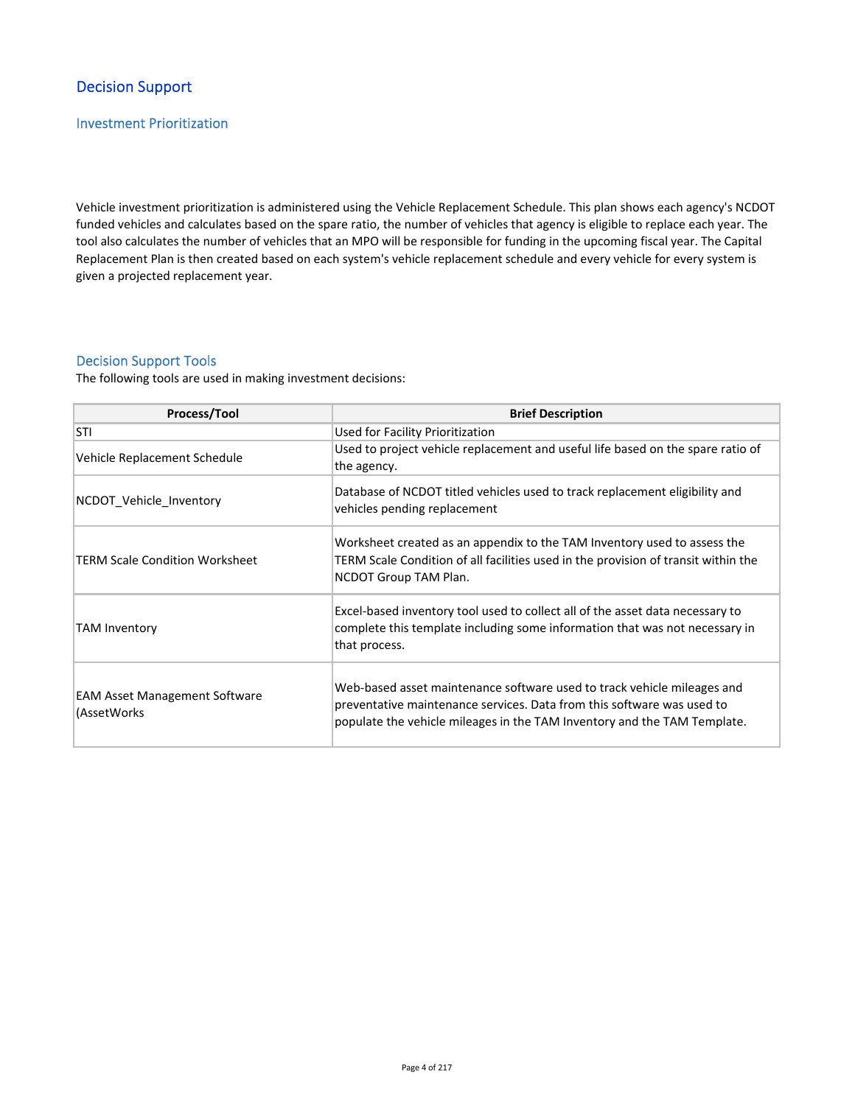# Decision Support

## Investment Prioritization

Vehicle investment prioritization is administered using the Vehicle Replacement Schedule. This plan shows each agency's NCDOT funded vehicles and calculates based on the spare ratio, the number of vehicles that agency is eligible to replace each year. The tool also calculates the number of vehicles that an MPO will be responsible for funding in the upcoming fiscal year. The Capital Replacement Plan is then created based on each system's vehicle replacement schedule and every vehicle for every system is given a projected replacement year.

## Decision Support Tools

The following tools are used in making investment decisions:

| Process/Tool                                        | <b>Brief Description</b>                                                                                                                                                                                                      |
|-----------------------------------------------------|-------------------------------------------------------------------------------------------------------------------------------------------------------------------------------------------------------------------------------|
| <b>STI</b>                                          | Used for Facility Prioritization                                                                                                                                                                                              |
| Vehicle Replacement Schedule                        | Used to project vehicle replacement and useful life based on the spare ratio of<br>the agency.                                                                                                                                |
| NCDOT Vehicle Inventory                             | Database of NCDOT titled vehicles used to track replacement eligibility and<br>vehicles pending replacement                                                                                                                   |
| <b>TERM Scale Condition Worksheet</b>               | Worksheet created as an appendix to the TAM Inventory used to assess the<br>TERM Scale Condition of all facilities used in the provision of transit within the<br>NCDOT Group TAM Plan.                                       |
| TAM Inventory                                       | Excel-based inventory tool used to collect all of the asset data necessary to<br>complete this template including some information that was not necessary in<br>that process.                                                 |
| <b>EAM Asset Management Software</b><br>(AssetWorks | Web-based asset maintenance software used to track vehicle mileages and<br>preventative maintenance services. Data from this software was used to<br>populate the vehicle mileages in the TAM Inventory and the TAM Template. |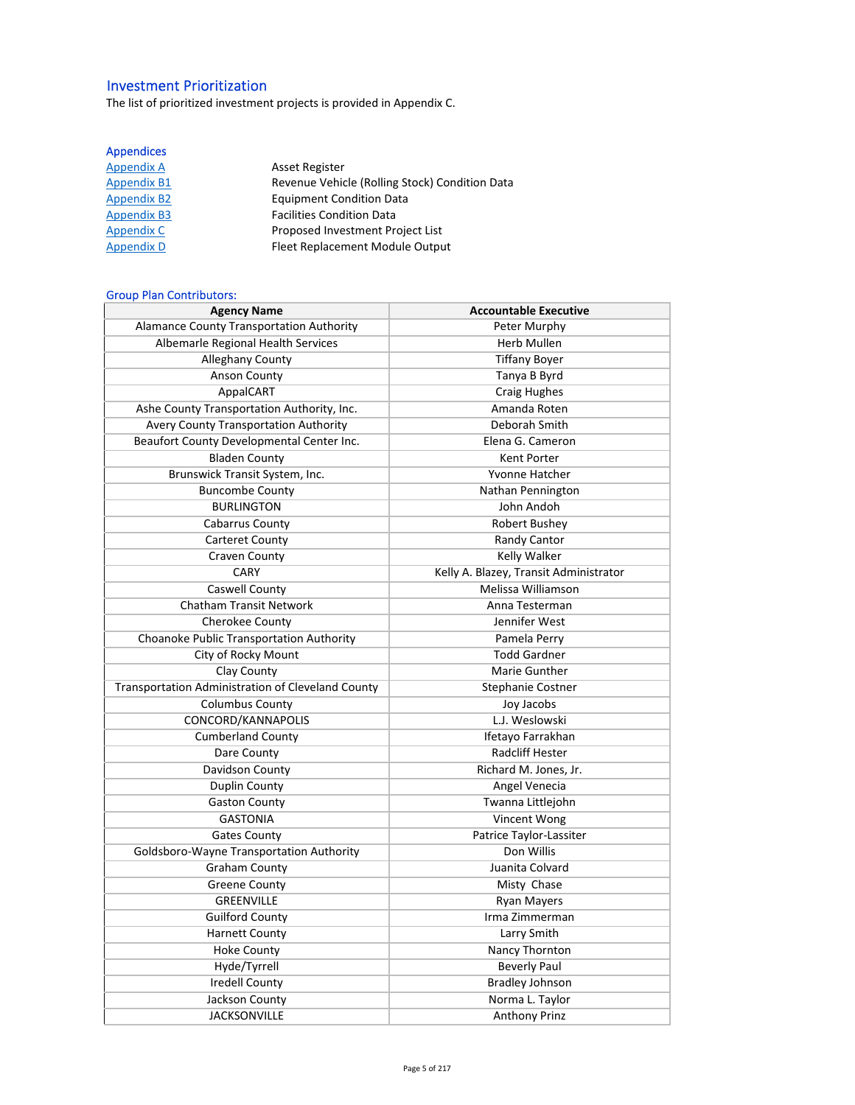# Investment Prioritization

The list of prioritized investment projects is provided in Appendix C.

## Appendices

| <b>Appendix A</b>  | <b>Asset Register</b>                          |
|--------------------|------------------------------------------------|
| <b>Appendix B1</b> | Revenue Vehicle (Rolling Stock) Condition Data |
| <b>Appendix B2</b> | <b>Equipment Condition Data</b>                |
| <b>Appendix B3</b> | <b>Facilities Condition Data</b>               |
| Appendix C         | Proposed Investment Project List               |
| <b>Appendix D</b>  | Fleet Replacement Module Output                |

## Group Plan Contributors:

| <b>Agency Name</b>                                | <b>Accountable Executive</b>           |
|---------------------------------------------------|----------------------------------------|
| <b>Alamance County Transportation Authority</b>   | Peter Murphy                           |
| Albemarle Regional Health Services                | <b>Herb Mullen</b>                     |
| <b>Alleghany County</b>                           | <b>Tiffany Boyer</b>                   |
| <b>Anson County</b>                               | Tanya B Byrd                           |
| AppaICART                                         | Craig Hughes                           |
| Ashe County Transportation Authority, Inc.        | Amanda Roten                           |
| Avery County Transportation Authority             | Deborah Smith                          |
| Beaufort County Developmental Center Inc.         | Elena G. Cameron                       |
| <b>Bladen County</b>                              | Kent Porter                            |
| Brunswick Transit System, Inc.                    | Yvonne Hatcher                         |
| <b>Buncombe County</b>                            | Nathan Pennington                      |
| <b>BURLINGTON</b>                                 | John Andoh                             |
| Cabarrus County                                   | Robert Bushey                          |
| <b>Carteret County</b>                            | Randy Cantor                           |
| <b>Craven County</b>                              | Kelly Walker                           |
| CARY                                              | Kelly A. Blazey, Transit Administrator |
| Caswell County                                    | Melissa Williamson                     |
| <b>Chatham Transit Network</b>                    | Anna Testerman                         |
| Cherokee County                                   | Jennifer West                          |
| Choanoke Public Transportation Authority          | Pamela Perry                           |
| City of Rocky Mount                               | <b>Todd Gardner</b>                    |
| Clay County                                       | Marie Gunther                          |
| Transportation Administration of Cleveland County | Stephanie Costner                      |
| <b>Columbus County</b>                            | Joy Jacobs                             |
| CONCORD/KANNAPOLIS                                | L.J. Weslowski                         |
| <b>Cumberland County</b>                          | Ifetayo Farrakhan                      |
| Dare County                                       | Radcliff Hester                        |
| Davidson County                                   | Richard M. Jones, Jr.                  |
| <b>Duplin County</b>                              | Angel Venecia                          |
| <b>Gaston County</b>                              | Twanna Littlejohn                      |
| <b>GASTONIA</b>                                   | Vincent Wong                           |
| <b>Gates County</b>                               | Patrice Taylor-Lassiter                |
| Goldsboro-Wayne Transportation Authority          | Don Willis                             |
| <b>Graham County</b>                              | Juanita Colvard                        |
| <b>Greene County</b>                              | Misty Chase                            |
| <b>GREENVILLE</b>                                 | <b>Ryan Mayers</b>                     |
| <b>Guilford County</b>                            | Irma Zimmerman                         |
| <b>Harnett County</b>                             | Larry Smith                            |
| <b>Hoke County</b>                                | Nancy Thornton                         |
| Hyde/Tyrrell                                      | <b>Beverly Paul</b>                    |
| <b>Iredell County</b>                             | <b>Bradley Johnson</b>                 |
| Jackson County                                    | Norma L. Taylor                        |
| <b>JACKSONVILLE</b>                               | <b>Anthony Prinz</b>                   |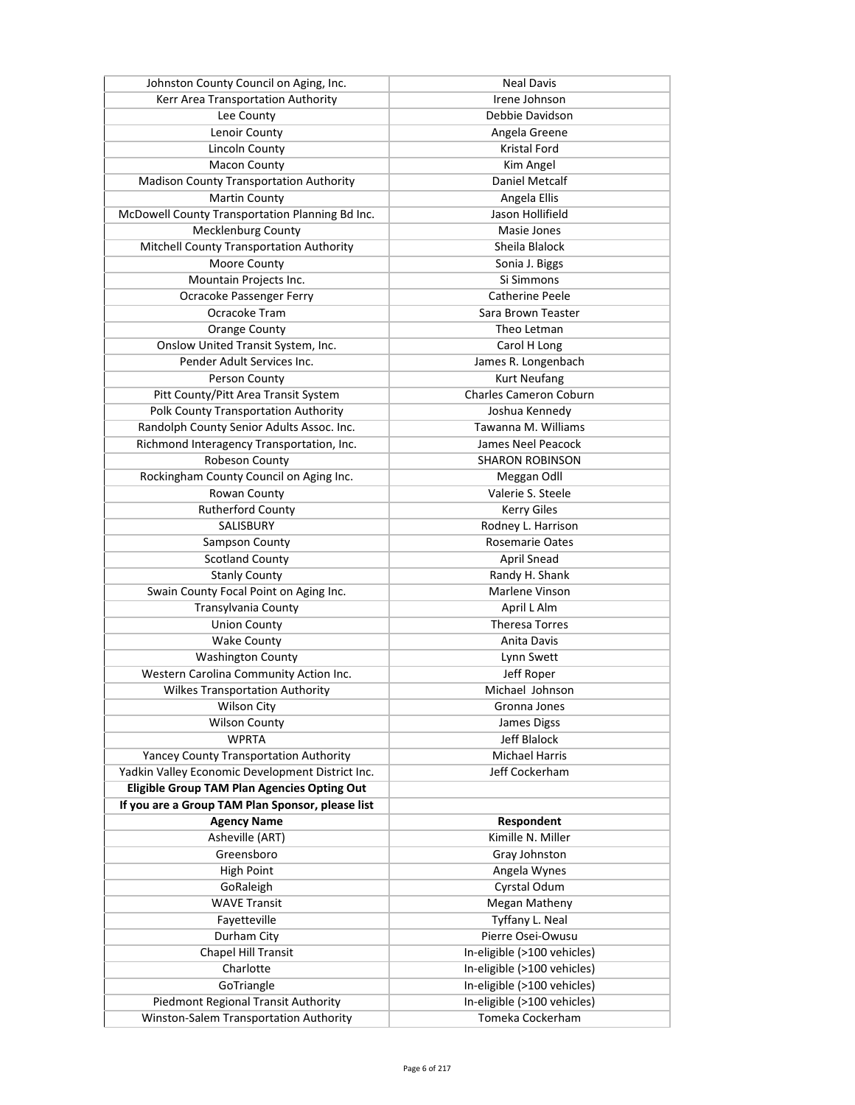| Johnston County Council on Aging, Inc.             | <b>Neal Davis</b>             |
|----------------------------------------------------|-------------------------------|
| Kerr Area Transportation Authority                 | Irene Johnson                 |
| Lee County                                         | Debbie Davidson               |
| Lenoir County                                      | Angela Greene                 |
| <b>Lincoln County</b>                              | Kristal Ford                  |
| <b>Macon County</b>                                | Kim Angel                     |
| <b>Madison County Transportation Authority</b>     | Daniel Metcalf                |
| <b>Martin County</b>                               | Angela Ellis                  |
| McDowell County Transportation Planning Bd Inc.    | Jason Hollifield              |
| Mecklenburg County                                 | Masie Jones                   |
| Mitchell County Transportation Authority           | Sheila Blalock                |
| Moore County                                       | Sonia J. Biggs                |
| Mountain Projects Inc.                             | Si Simmons                    |
| Ocracoke Passenger Ferry                           | Catherine Peele               |
| Ocracoke Tram                                      | Sara Brown Teaster            |
| <b>Orange County</b>                               | Theo Letman                   |
| Onslow United Transit System, Inc.                 | Carol H Long                  |
| Pender Adult Services Inc.                         | James R. Longenbach           |
| Person County                                      | <b>Kurt Neufang</b>           |
| Pitt County/Pitt Area Transit System               | <b>Charles Cameron Coburn</b> |
| Polk County Transportation Authority               | Joshua Kennedy                |
| Randolph County Senior Adults Assoc. Inc.          | Tawanna M. Williams           |
| Richmond Interagency Transportation, Inc.          | James Neel Peacock            |
| Robeson County                                     | <b>SHARON ROBINSON</b>        |
|                                                    |                               |
| Rockingham County Council on Aging Inc.            | Meggan Odll                   |
| Rowan County                                       | Valerie S. Steele             |
| <b>Rutherford County</b>                           | <b>Kerry Giles</b>            |
| SALISBURY                                          | Rodney L. Harrison            |
| Sampson County                                     | <b>Rosemarie Oates</b>        |
| <b>Scotland County</b>                             | April Snead                   |
| <b>Stanly County</b>                               | Randy H. Shank                |
| Swain County Focal Point on Aging Inc.             | Marlene Vinson                |
| Transylvania County                                | April L Alm                   |
| <b>Union County</b>                                | <b>Theresa Torres</b>         |
| <b>Wake County</b>                                 | Anita Davis                   |
| <b>Washington County</b>                           | Lynn Swett                    |
| Western Carolina Community Action Inc.             | Jeff Roper                    |
| <b>Wilkes Transportation Authority</b>             | Michael Johnson               |
| <b>Wilson City</b>                                 | Gronna Jones                  |
| <b>Wilson County</b>                               | James Digss                   |
| <b>WPRTA</b>                                       | Jeff Blalock                  |
| <b>Yancey County Transportation Authority</b>      | <b>Michael Harris</b>         |
| Yadkin Valley Economic Development District Inc.   | Jeff Cockerham                |
| <b>Eligible Group TAM Plan Agencies Opting Out</b> |                               |
| If you are a Group TAM Plan Sponsor, please list   |                               |
| <b>Agency Name</b>                                 | Respondent                    |
| Asheville (ART)                                    | Kimille N. Miller             |
| Greensboro                                         | Gray Johnston                 |
| High Point                                         | Angela Wynes                  |
| GoRaleigh                                          | Cyrstal Odum                  |
| <b>WAVE Transit</b>                                | Megan Matheny                 |
| Fayetteville                                       | Tyffany L. Neal               |
| Durham City                                        | Pierre Osei-Owusu             |
| <b>Chapel Hill Transit</b>                         | In-eligible (>100 vehicles)   |
| Charlotte                                          | In-eligible (>100 vehicles)   |
| GoTriangle                                         | In-eligible (>100 vehicles)   |
| Piedmont Regional Transit Authority                | In-eligible (>100 vehicles)   |
| Winston-Salem Transportation Authority             | Tomeka Cockerham              |
|                                                    |                               |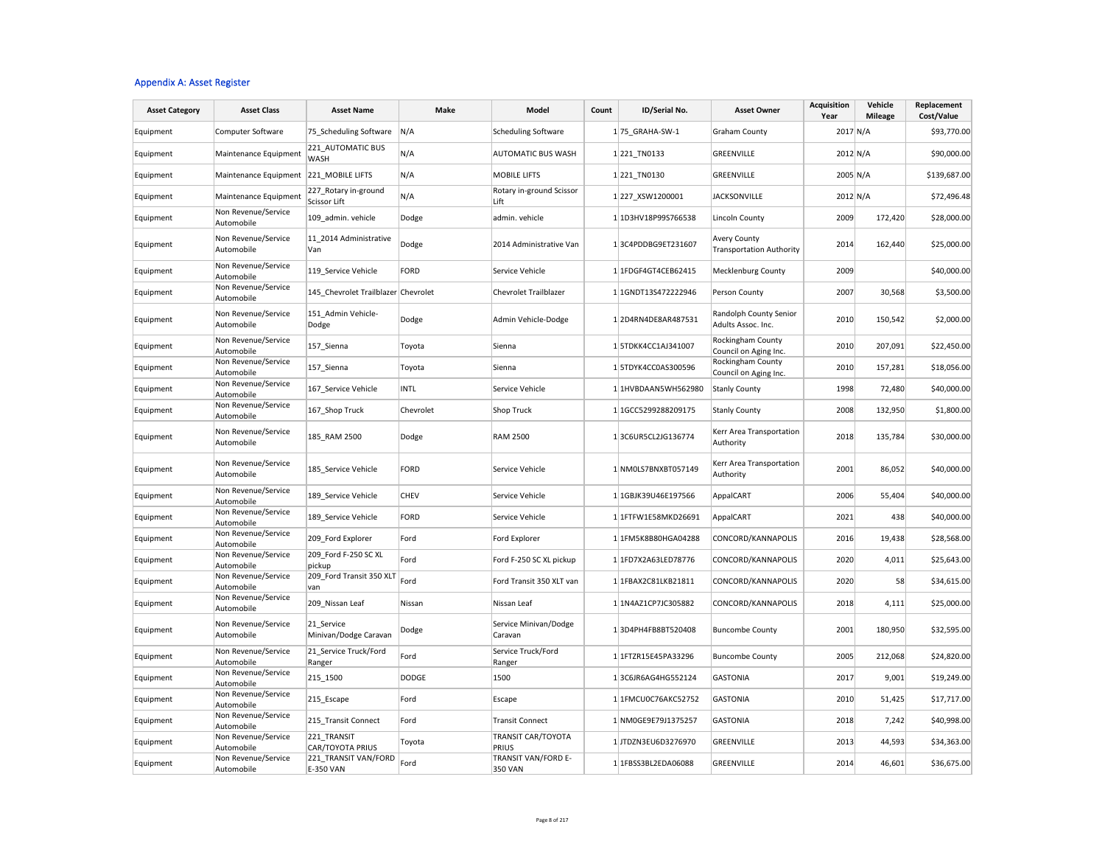#### Appendix A: Asset Register

| <b>Asset Category</b> | <b>Asset Class</b>                | <b>Asset Name</b>                        | Make         | Model                            | Count | ID/Serial No.       | <b>Asset Owner</b>                                     | <b>Acquisition</b><br>Year | Vehicle<br><b>Mileage</b> | Replacement<br>Cost/Value |
|-----------------------|-----------------------------------|------------------------------------------|--------------|----------------------------------|-------|---------------------|--------------------------------------------------------|----------------------------|---------------------------|---------------------------|
| Equipment             | Computer Software                 | 75_Scheduling Software                   | N/A          | <b>Scheduling Software</b>       |       | 1 75 GRAHA-SW-1     | <b>Graham County</b>                                   | 2017 N/A                   |                           | \$93,770.00               |
| Equipment             | Maintenance Equipment             | 221 AUTOMATIC BUS<br><b>WASH</b>         | N/A          | AUTOMATIC BUS WASH               |       | 1 221 TN0133        | GREENVILLE                                             | 2012 N/A                   |                           | \$90,000.00               |
| Equipment             | Maintenance Equipment             | 221_MOBILE LIFTS                         | N/A          | <b>MOBILE LIFTS</b>              |       | 1221_TN0130         | GREENVILLE                                             | 2005 N/A                   |                           | \$139,687.00              |
| Equipment             | Maintenance Equipment             | 227_Rotary in-ground<br>Scissor Lift     | N/A          | Rotary in-ground Scissor<br>Lift |       | 1227 XSW1200001     | <b>JACKSONVILLE</b>                                    | 2012 N/A                   |                           | \$72,496.48               |
| Equipment             | Non Revenue/Service<br>Automobile | 109 admin. vehicle                       | Dodge        | admin. vehicle                   |       | 1 1D3HV18P99S766538 | <b>Lincoln County</b>                                  | 2009                       | 172,420                   | \$28,000.00               |
| Equipment             | Non Revenue/Service<br>Automobile | 11 2014 Administrative<br>Van            | Dodge        | 2014 Administrative Van          |       | 13C4PDDBG9ET231607  | <b>Avery County</b><br><b>Transportation Authority</b> | 2014                       | 162,440                   | \$25,000.00               |
| Equipment             | Non Revenue/Service<br>Automobile | 119_Service Vehicle                      | <b>FORD</b>  | Service Vehicle                  |       | 1 1FDGF4GT4CEB62415 | Mecklenburg County                                     | 2009                       |                           | \$40,000.00               |
| Equipment             | Non Revenue/Service<br>Automobile | 145 Chevrolet Trailblazer Chevrolet      |              | <b>Chevrolet Trailblazer</b>     |       | 1 1GNDT13S472222946 | Person County                                          | 2007                       | 30,568                    | \$3,500.00                |
| Equipment             | Non Revenue/Service<br>Automobile | 151 Admin Vehicle-<br>Dodge              | Dodge        | Admin Vehicle-Dodge              |       | 12D4RN4DE8AR487531  | Randolph County Senior<br>Adults Assoc. Inc.           | 2010                       | 150,542                   | \$2,000.00                |
| Equipment             | Non Revenue/Service<br>Automobile | 157_Sienna                               | Toyota       | Sienna                           |       | 1 5TDKK4CC1AJ341007 | Rockingham County<br>Council on Aging Inc.             | 2010                       | 207,091                   | \$22,450.00               |
| Equipment             | Non Revenue/Service<br>Automobile | 157_Sienna                               | Toyota       | Sienna                           |       | 1 5TDYK4CC0AS300596 | Rockingham County<br>Council on Aging Inc.             | 2010                       | 157,281                   | \$18,056.00               |
| Equipment             | Non Revenue/Service<br>Automobile | 167 Service Vehicle                      | <b>INTL</b>  | Service Vehicle                  |       | 1 1HVBDAAN5WH562980 | <b>Stanly County</b>                                   | 1998                       | 72,480                    | \$40,000.00               |
| Equipment             | Non Revenue/Service<br>Automobile | 167 Shop Truck                           | Chevrolet    | Shop Truck                       |       | 1 1GCC5299288209175 | <b>Stanly County</b>                                   | 2008                       | 132,950                   | \$1,800.00                |
| Equipment             | Non Revenue/Service<br>Automobile | 185 RAM 2500                             | Dodge        | <b>RAM 2500</b>                  |       | 13C6UR5CL2JG136774  | Kerr Area Transportation<br>Authority                  | 2018                       | 135,784                   | \$30,000.00               |
| Equipment             | Non Revenue/Service<br>Automobile | 185 Service Vehicle                      | <b>FORD</b>  | Service Vehicle                  |       | 1 NM0LS7BNXBT057149 | Kerr Area Transportation<br>Authority                  | 2001                       | 86,052                    | \$40,000.00               |
| Equipment             | Non Revenue/Service<br>Automobile | 189 Service Vehicle                      | <b>CHEV</b>  | Service Vehicle                  |       | 1 1GBJK39U46E197566 | AppalCART                                              | 2006                       | 55,404                    | \$40,000.00               |
| Equipment             | Non Revenue/Service<br>Automobile | 189_Service Vehicle                      | <b>FORD</b>  | Service Vehicle                  |       | 1 1FTFW1E58MKD26691 | AppalCART                                              | 2021                       | 438                       | \$40,000.00               |
| Equipment             | Non Revenue/Service<br>Automobile | 209_Ford Explorer                        | Ford         | Ford Explorer                    |       | 1 1FM5K8B80HGA04288 | CONCORD/KANNAPOLIS                                     | 2016                       | 19,438                    | \$28,568.00               |
| Equipment             | Non Revenue/Service<br>Automobile | 209_Ford F-250 SC XL<br>pickup           | Ford         | Ford F-250 SC XL pickup          |       | 1 1FD7X2A63LED78776 | CONCORD/KANNAPOLIS                                     | 2020                       | 4,011                     | \$25,643.00               |
| Equipment             | Non Revenue/Service<br>Automobile | 209_Ford Transit 350 XLT<br>van          | Ford         | Ford Transit 350 XLT van         |       | 1 1FBAX2C81LKB21811 | CONCORD/KANNAPOLIS                                     | 2020                       | 58                        | \$34,615.00               |
| Equipment             | Non Revenue/Service<br>Automobile | 209_Nissan Leaf                          | Nissan       | Nissan Leaf                      |       | 1 1N4AZ1CP7JC305882 | CONCORD/KANNAPOLIS                                     | 2018                       | 4,111                     | \$25,000.00               |
| Equipment             | Non Revenue/Service<br>Automobile | 21 Service<br>Minivan/Dodge Caravan      | Dodge        | Service Minivan/Dodge<br>Caravan |       | 13D4PH4FB8BT520408  | <b>Buncombe County</b>                                 | 2001                       | 180,950                   | \$32,595.00               |
| Equipment             | Non Revenue/Service<br>Automobile | 21_Service Truck/Ford<br>Ranger          | Ford         | Service Truck/Ford<br>Ranger     |       | 1 1FTZR15E45PA33296 | <b>Buncombe County</b>                                 | 2005                       | 212,068                   | \$24,820.00               |
| Equipment             | Non Revenue/Service<br>Automobile | 215 1500                                 | <b>DODGE</b> | 1500                             |       | 13C6JR6AG4HG552124  | <b>GASTONIA</b>                                        | 2017                       | 9,001                     | \$19,249.00               |
| Equipment             | Non Revenue/Service<br>Automobile | 215 Escape                               | Ford         | Escape                           |       | 1 1FMCU0C76AKC52752 | <b>GASTONIA</b>                                        | 2010                       | 51,425                    | \$17,717.00               |
| Equipment             | Non Revenue/Service<br>Automobile | 215_Transit Connect                      | Ford         | <b>Transit Connect</b>           |       | 1 NM0GE9E79J1375257 | <b>GASTONIA</b>                                        | 2018                       | 7,242                     | \$40,998.00               |
| Equipment             | Non Revenue/Service<br>Automobile | 221 TRANSIT<br>CAR/TOYOTA PRIUS          | Toyota       | TRANSIT CAR/TOYOTA<br>PRIUS      |       | 1JTDZN3EU6D3276970  | GREENVILLE                                             | 2013                       | 44,593                    | \$34,363.00               |
| Equipment             | Non Revenue/Service<br>Automobile | 221_TRANSIT VAN/FORD<br><b>E-350 VAN</b> | Ford         | TRANSIT VAN/FORD E-<br>350 VAN   |       | 1 1FBSS3BL2EDA06088 | GREENVILLE                                             | 2014                       | 46,601                    | \$36,675.00               |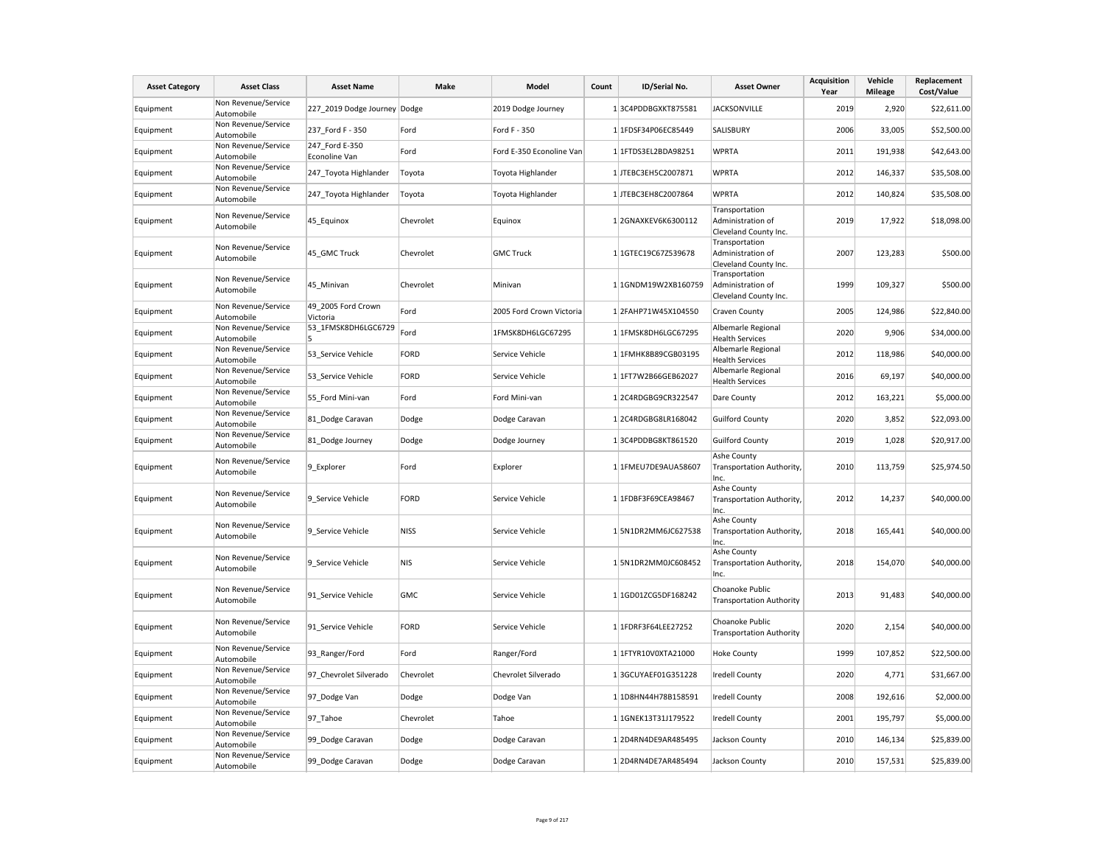| <b>Asset Category</b> | <b>Asset Class</b>                | <b>Asset Name</b>               | <b>Make</b> | Model                    | Count | ID/Serial No.       | <b>Asset Owner</b>                                           | Acquisition<br>Year | Vehicle<br><b>Mileage</b> | Replacement<br>Cost/Value |
|-----------------------|-----------------------------------|---------------------------------|-------------|--------------------------|-------|---------------------|--------------------------------------------------------------|---------------------|---------------------------|---------------------------|
| Equipment             | Non Revenue/Service<br>Automobile | 227 2019 Dodge Journey Dodge    |             | 2019 Dodge Journey       |       | 13C4PDDBGXKT875581  | <b>JACKSONVILLE</b>                                          | 2019                | 2,920                     | \$22,611.00               |
| Equipment             | Non Revenue/Service<br>Automobile | 237 Ford F - 350                | Ford        | Ford F - 350             |       | 1 1FDSF34P06EC85449 | SALISBURY                                                    | 2006                | 33,005                    | \$52,500.00               |
| Equipment             | Non Revenue/Service<br>Automobile | 247 Ford E-350<br>Econoline Van | Ford        | Ford E-350 Econoline Van |       | 1 1FTDS3EL2BDA98251 | <b>WPRTA</b>                                                 | 2011                | 191,938                   | \$42,643.00               |
| Equipment             | Non Revenue/Service<br>Automobile | 247_Toyota Highlander           | Toyota      | Toyota Highlander        |       | 1 JTEBC3EH5C2007871 | <b>WPRTA</b>                                                 | 2012                | 146,337                   | \$35,508.00               |
| Equipment             | Non Revenue/Service<br>Automobile | 247 Toyota Highlander           | Toyota      | Toyota Highlander        |       | 1 JTEBC3EH8C2007864 | <b>WPRTA</b>                                                 | 2012                | 140,824                   | \$35,508.00               |
| Equipment             | Non Revenue/Service<br>Automobile | 45 Equinox                      | Chevrolet   | Equinox                  |       | 1 2GNAXKEV6K6300112 | Transportation<br>Administration of<br>Cleveland County Inc. | 2019                | 17,922                    | \$18,098.00               |
| Equipment             | Non Revenue/Service<br>Automobile | 45 GMC Truck                    | Chevrolet   | <b>GMC Truck</b>         |       | 1 1GTEC19C67Z539678 | Transportation<br>Administration of<br>Cleveland County Inc. | 2007                | 123,283                   | \$500.00                  |
| Equipment             | Non Revenue/Service<br>Automobile | 45 Minivan                      | Chevrolet   | Minivan                  |       | 1 1GNDM19W2XB160759 | Transportation<br>Administration of<br>Cleveland County Inc. | 1999                | 109,327                   | \$500.00                  |
| Equipment             | Non Revenue/Service<br>Automobile | 49 2005 Ford Crown<br>Victoria  | Ford        | 2005 Ford Crown Victoria |       | 12FAHP71W45X104550  | Craven County                                                | 2005                | 124,986                   | \$22,840.00               |
| Equipment             | Non Revenue/Service<br>Automobile | 53 1FMSK8DH6LGC6729<br>5        | Ford        | 1FMSK8DH6LGC67295        |       | 1 1FMSK8DH6LGC67295 | Albemarle Regional<br><b>Health Services</b>                 | 2020                | 9,906                     | \$34,000.00               |
| Equipment             | Non Revenue/Service<br>Automobile | 53_Service Vehicle              | <b>FORD</b> | Service Vehicle          |       | 1 1FMHK8B89CGB03195 | Albemarle Regional<br><b>Health Services</b>                 | 2012                | 118,986                   | \$40,000.00               |
| Equipment             | Non Revenue/Service<br>Automobile | 53_Service Vehicle              | <b>FORD</b> | Service Vehicle          |       | 1 1FT7W2B66GEB62027 | Albemarle Regional<br><b>Health Services</b>                 | 2016                | 69,197                    | \$40,000.00               |
| Equipment             | Non Revenue/Service<br>Automobile | 55 Ford Mini-van                | Ford        | Ford Mini-van            |       | 12C4RDGBG9CR322547  | Dare County                                                  | 2012                | 163,221                   | \$5,000.00                |
| Equipment             | Non Revenue/Service<br>Automobile | 81 Dodge Caravan                | Dodge       | Dodge Caravan            |       | 1 2C4RDGBG8LR168042 | <b>Guilford County</b>                                       | 2020                | 3,852                     | \$22,093.00               |
| Equipment             | Non Revenue/Service<br>Automobile | 81 Dodge Journey                | Dodge       | Dodge Journey            |       | 13C4PDDBG8KT861520  | <b>Guilford County</b>                                       | 2019                | 1,028                     | \$20,917.00               |
| Equipment             | Non Revenue/Service<br>Automobile | 9 Explorer                      | Ford        | Explorer                 |       | 1 1FMEU7DE9AUA58607 | Ashe County<br>Transportation Authority,<br>Inc.             | 2010                | 113,759                   | \$25,974.50               |
| Equipment             | Non Revenue/Service<br>Automobile | 9 Service Vehicle               | <b>FORD</b> | Service Vehicle          |       | 1 1FDBF3F69CEA98467 | Ashe County<br>Transportation Authority,<br>Inc.             | 2012                | 14,237                    | \$40,000.00               |
| Equipment             | Non Revenue/Service<br>Automobile | 9 Service Vehicle               | <b>NISS</b> | Service Vehicle          |       | 15N1DR2MM6JC627538  | Ashe County<br>Transportation Authority,<br>Inc.             | 2018                | 165,441                   | \$40,000.00               |
| Equipment             | Non Revenue/Service<br>Automobile | 9 Service Vehicle               | <b>NIS</b>  | Service Vehicle          |       | 15N1DR2MM0JC608452  | Ashe County<br>Transportation Authority,<br>Inc.             | 2018                | 154,070                   | \$40,000.00               |
| Equipment             | Non Revenue/Service<br>Automobile | 91 Service Vehicle              | <b>GMC</b>  | Service Vehicle          |       | 1 1GD01ZCG5DF168242 | Choanoke Public<br><b>Transportation Authority</b>           | 2013                | 91,483                    | \$40,000.00               |
| Equipment             | Non Revenue/Service<br>Automobile | 91_Service Vehicle              | <b>FORD</b> | Service Vehicle          |       | 1 1FDRF3F64LEE27252 | Choanoke Public<br><b>Transportation Authority</b>           | 2020                | 2,154                     | \$40,000.00               |
| Equipment             | Non Revenue/Service<br>Automobile | 93 Ranger/Ford                  | Ford        | Ranger/Ford              |       | 1 1FTYR10V0XTA21000 | <b>Hoke County</b>                                           | 1999                | 107,852                   | \$22,500.00               |
| Equipment             | Non Revenue/Service<br>Automobile | 97 Chevrolet Silverado          | Chevrolet   | Chevrolet Silverado      |       | 13GCUYAEF01G351228  | <b>Iredell County</b>                                        | 2020                | 4,771                     | \$31,667.00               |
| Equipment             | Non Revenue/Service<br>Automobile | 97_Dodge Van                    | Dodge       | Dodge Van                |       | 1 1D8HN44H78B158591 | <b>Iredell County</b>                                        | 2008                | 192,616                   | \$2,000.00                |
| Equipment             | Non Revenue/Service<br>Automobile | 97_Tahoe                        | Chevrolet   | Tahoe                    |       | 1 1GNEK13T31J179522 | <b>Iredell County</b>                                        | 2001                | 195,797                   | \$5,000.00                |
| Equipment             | Non Revenue/Service<br>Automobile | 99 Dodge Caravan                | Dodge       | Dodge Caravan            |       | 12D4RN4DE9AR485495  | Jackson County                                               | 2010                | 146,134                   | \$25,839.00               |
| Equipment             | Non Revenue/Service<br>Automobile | 99 Dodge Caravan                | Dodge       | Dodge Caravan            |       | 12D4RN4DE7AR485494  | Jackson County                                               | 2010                | 157,531                   | \$25,839.00               |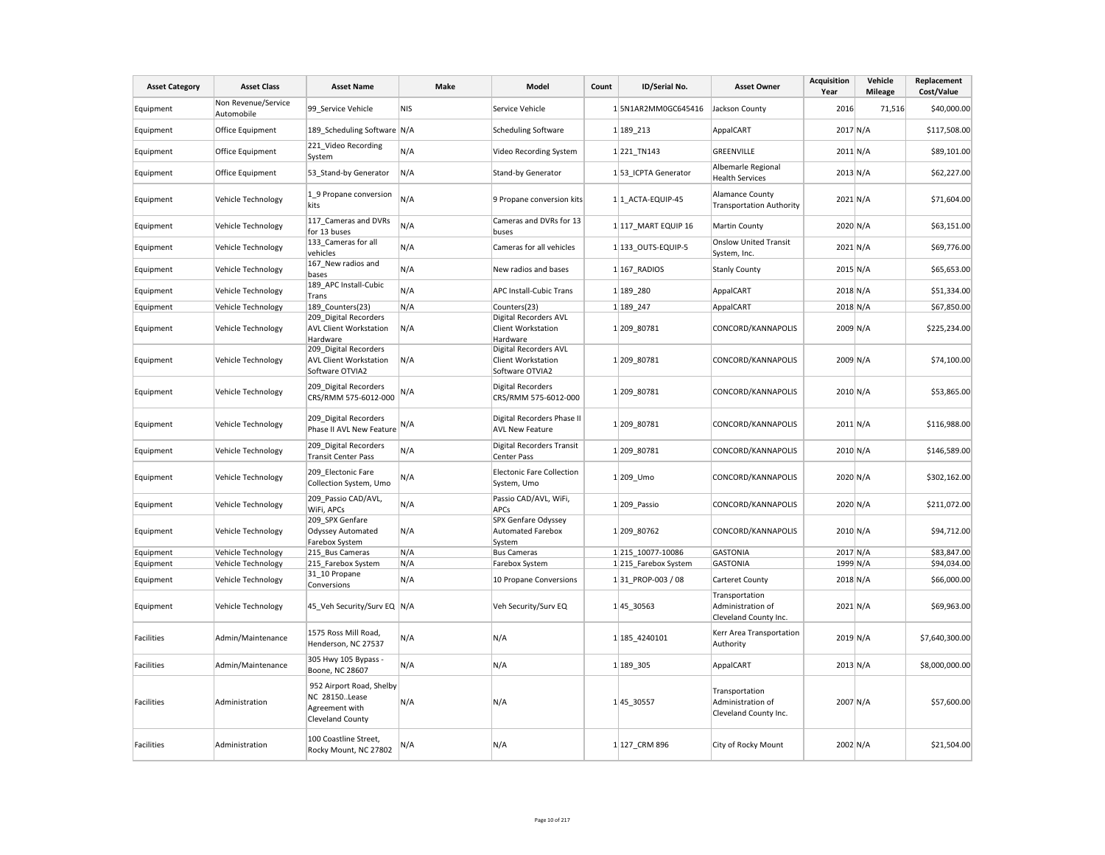| <b>Asset Category</b> | <b>Asset Class</b>                | <b>Asset Name</b>                                                                      | Make       | Model                                                                 | Count | ID/Serial No.        | <b>Asset Owner</b>                                           | <b>Acquisition</b><br>Year | Vehicle<br><b>Mileage</b> | Replacement<br>Cost/Value |
|-----------------------|-----------------------------------|----------------------------------------------------------------------------------------|------------|-----------------------------------------------------------------------|-------|----------------------|--------------------------------------------------------------|----------------------------|---------------------------|---------------------------|
| Equipment             | Non Revenue/Service<br>Automobile | 99 Service Vehicle                                                                     | <b>NIS</b> | Service Vehicle                                                       |       | 1 5N1AR2MM0GC645416  | Jackson County                                               | 2016                       | 71,516                    | \$40,000.00               |
| Equipment             | Office Equipment                  | 189_Scheduling Software N/A                                                            |            | <b>Scheduling Software</b>                                            |       | 1 189 213            | AppalCART                                                    | 2017 N/A                   |                           | \$117,508.00              |
| Equipment             | Office Equipment                  | 221 Video Recording<br>System                                                          | N/A        | Video Recording System                                                |       | 1 221 TN143          | GREENVILLE                                                   | $2011$ N/A                 |                           | \$89,101.00               |
| Equipment             | Office Equipment                  | 53_Stand-by Generator                                                                  | N/A        | Stand-by Generator                                                    |       | 1 53 ICPTA Generator | Albemarle Regional<br><b>Health Services</b>                 | 2013 N/A                   |                           | \$62,227.00               |
| Equipment             | Vehicle Technology                | 1 9 Propane conversion<br>kits                                                         | N/A        | 9 Propane conversion kits                                             |       | 1 1 ACTA-EQUIP-45    | Alamance County<br><b>Transportation Authority</b>           | 2021 N/A                   |                           | \$71,604.00               |
| Equipment             | Vehicle Technology                | 117 Cameras and DVRs<br>for 13 buses                                                   | N/A        | Cameras and DVRs for 13<br>buses                                      |       | 1 117 MART EQUIP 16  | Martin County                                                | 2020 N/A                   |                           | \$63,151.00               |
| Equipment             | Vehicle Technology                | 133_Cameras for all<br>vehicles                                                        | N/A        | Cameras for all vehicles                                              |       | 1 133 OUTS-EQUIP-5   | <b>Onslow United Transit</b><br>System, Inc.                 | 2021 N/A                   |                           | \$69,776.00               |
| Equipment             | Vehicle Technology                | 167 New radios and<br>bases                                                            | N/A        | New radios and bases                                                  |       | 1 167_RADIOS         | <b>Stanly County</b>                                         | 2015 N/A                   |                           | \$65,653.00               |
| Equipment             | Vehicle Technology                | 189 APC Install-Cubic<br>Trans                                                         | N/A        | <b>APC Install-Cubic Trans</b>                                        |       | 1 189 280            | AppalCART                                                    | 2018 N/A                   |                           | \$51,334.00               |
| Equipment             | Vehicle Technology                | 189 Counters(23)                                                                       | N/A        | Counters(23)                                                          |       | 1 189 247            | AppalCART                                                    | 2018 N/A                   |                           | \$67,850.00               |
| Equipment             | Vehicle Technology                | 209 Digital Recorders<br><b>AVL Client Workstation</b><br>Hardware                     | N/A        | Digital Recorders AVL<br><b>Client Workstation</b><br>Hardware        |       | 1 209 80781          | CONCORD/KANNAPOLIS                                           | 2009 N/A                   |                           | \$225,234.00              |
| Equipment             | Vehicle Technology                | 209_Digital Recorders<br><b>AVL Client Workstation</b><br>Software OTVIA2              | N/A        | Digital Recorders AVL<br><b>Client Workstation</b><br>Software OTVIA2 |       | 1 209 80781          | CONCORD/KANNAPOLIS                                           | 2009 N/A                   |                           | \$74,100.00               |
| Equipment             | Vehicle Technology                | 209 Digital Recorders<br>CRS/RMM 575-6012-000                                          | N/A        | <b>Digital Recorders</b><br>CRS/RMM 575-6012-000                      |       | 1 209 80781          | CONCORD/KANNAPOLIS                                           | 2010 N/A                   |                           | \$53,865.00               |
| Equipment             | Vehicle Technology                | 209 Digital Recorders<br>Phase II AVL New Feature                                      | N/A        | Digital Recorders Phase II<br><b>AVL New Feature</b>                  |       | 1209_80781           | CONCORD/KANNAPOLIS                                           | $2011$ N/A                 |                           | \$116,988.00              |
| Equipment             | Vehicle Technology                | 209 Digital Recorders<br><b>Transit Center Pass</b>                                    | N/A        | <b>Digital Recorders Transit</b><br>Center Pass                       |       | 1 209 80781          | CONCORD/KANNAPOLIS                                           | 2010 N/A                   |                           | \$146,589.00              |
| Equipment             | Vehicle Technology                | 209 Electonic Fare<br>Collection System, Umo                                           | N/A        | <b>Electonic Fare Collection</b><br>System, Umo                       |       | $1 209$ Umo          | CONCORD/KANNAPOLIS                                           | 2020 N/A                   |                           | \$302,162.00              |
| Equipment             | Vehicle Technology                | 209 Passio CAD/AVL,<br>WiFi, APCs                                                      | N/A        | Passio CAD/AVL, WiFi,<br>APCs                                         |       | 1 209 Passio         | CONCORD/KANNAPOLIS                                           | 2020 N/A                   |                           | \$211,072.00              |
| Equipment             | Vehicle Technology                | 209 SPX Genfare<br><b>Odyssey Automated</b><br>Farebox System                          | N/A        | SPX Genfare Odyssey<br><b>Automated Farebox</b><br>System             |       | 1 209 80762          | CONCORD/KANNAPOLIS                                           | 2010 N/A                   |                           | \$94,712.00               |
| Equipment             | Vehicle Technology                | 215_Bus Cameras                                                                        | N/A        | <b>Bus Cameras</b>                                                    |       | 1 215 10077-10086    | <b>GASTONIA</b>                                              | 2017 N/A                   |                           | \$83,847.00               |
| Equipment             | Vehicle Technology                | 215 Farebox System                                                                     | N/A        | Farebox System                                                        |       | 1 215 Farebox System | <b>GASTONIA</b>                                              | 1999 N/A                   |                           | \$94,034.00               |
| Equipment             | Vehicle Technology                | 31 10 Propane<br>Conversions                                                           | N/A        | 10 Propane Conversions                                                |       | 131 PROP-003 / 08    | Carteret County                                              | 2018 N/A                   |                           | \$66,000.00               |
| Equipment             | Vehicle Technology                | 45 Veh Security/Surv EQ N/A                                                            |            | Veh Security/Surv EQ                                                  |       | 145 30563            | Transportation<br>Administration of<br>Cleveland County Inc. | 2021 N/A                   |                           | \$69,963.00               |
| <b>Facilities</b>     | Admin/Maintenance                 | 1575 Ross Mill Road,<br>Henderson, NC 27537                                            | N/A        | N/A                                                                   |       | 1 185 4240101        | Kerr Area Transportation<br>Authority                        | 2019 N/A                   |                           | \$7,640,300.00            |
| <b>Facilities</b>     | Admin/Maintenance                 | 305 Hwy 105 Bypass -<br>Boone, NC 28607                                                | N/A        | N/A                                                                   |       | 1 189 305            | AppalCART                                                    | 2013 N/A                   |                           | \$8,000,000.00            |
| <b>Facilities</b>     | Administration                    | 952 Airport Road, Shelby<br>NC 28150Lease<br>Agreement with<br><b>Cleveland County</b> | N/A        | N/A                                                                   |       | 145 30557            | Transportation<br>Administration of<br>Cleveland County Inc. | 2007 N/A                   |                           | \$57,600.00               |
| Facilities            | Administration                    | 100 Coastline Street,<br>Rocky Mount, NC 27802                                         | N/A        | N/A                                                                   |       | 1 127 CRM 896        | City of Rocky Mount                                          | $2002$ N/A                 |                           | \$21,504.00               |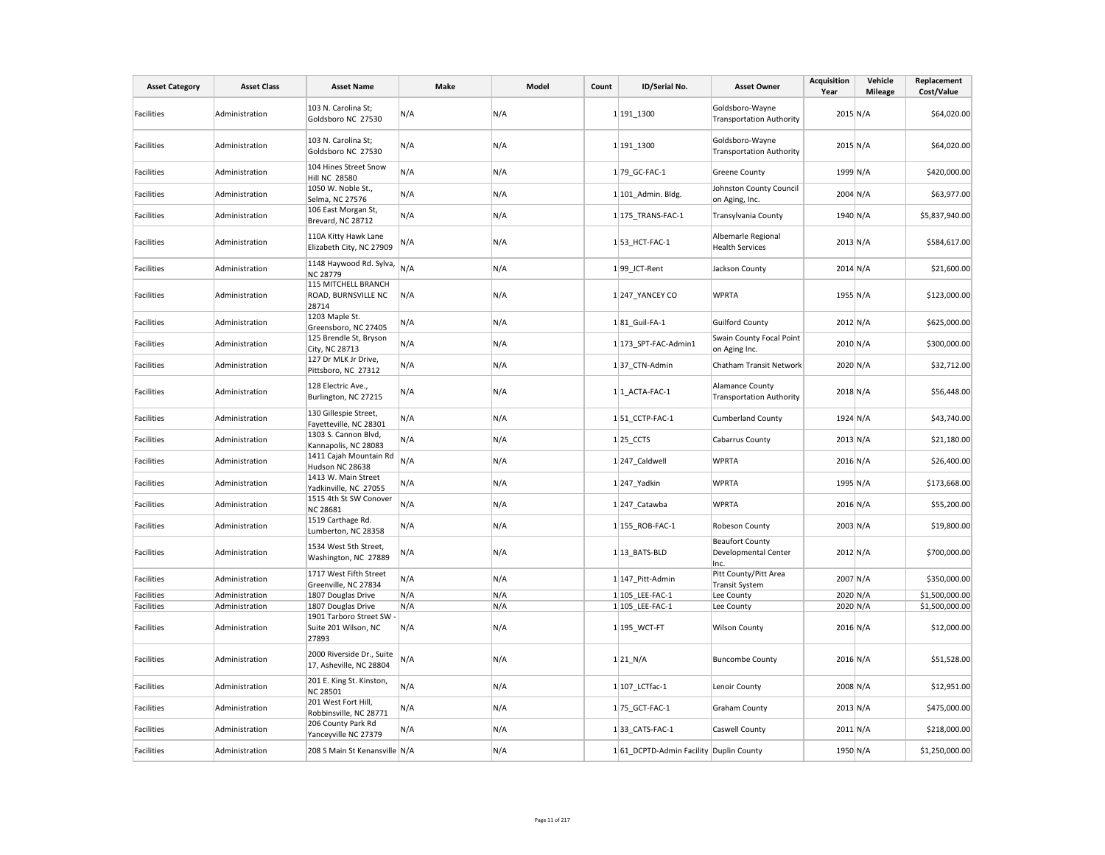| <b>Asset Category</b> | <b>Asset Class</b> | <b>Asset Name</b>                                       | Make | Model | Count | ID/Serial No.                          | <b>Asset Owner</b>                                        | <b>Acquisition</b><br>Year | Vehicle<br><b>Mileage</b> | Replacement<br>Cost/Value |
|-----------------------|--------------------|---------------------------------------------------------|------|-------|-------|----------------------------------------|-----------------------------------------------------------|----------------------------|---------------------------|---------------------------|
| Facilities            | Administration     | 103 N. Carolina St;<br>Goldsboro NC 27530               | N/A  | N/A   |       | 1 191 1300                             | Goldsboro-Wayne<br><b>Transportation Authority</b>        | 2015 N/A                   |                           | \$64,020.00               |
| Facilities            | Administration     | 103 N. Carolina St;<br>Goldsboro NC 27530               | N/A  | N/A   |       | 1 191 1300                             | Goldsboro-Wayne<br><b>Transportation Authority</b>        | 2015 N/A                   |                           | \$64,020.00               |
| <b>Facilities</b>     | Administration     | 104 Hines Street Snow<br><b>Hill NC 28580</b>           | N/A  | N/A   |       | 1 79 GC-FAC-1                          | <b>Greene County</b>                                      | 1999 N/A                   |                           | \$420,000.00              |
| Facilities            | Administration     | 1050 W. Noble St.,<br>Selma, NC 27576                   | N/A  | N/A   |       | 1 101_Admin. Bldg.                     | Johnston County Council<br>on Aging, Inc.                 | 2004 N/A                   |                           | \$63,977.00               |
| Facilities            | Administration     | 106 East Morgan St,<br>Brevard, NC 28712                | N/A  | N/A   |       | 1 175 TRANS-FAC-1                      | <b>Transylvania County</b>                                | 1940 N/A                   |                           | \$5,837,940.00            |
| <b>Facilities</b>     | Administration     | 110A Kitty Hawk Lane<br>Elizabeth City, NC 27909        | N/A  | N/A   |       | 153_HCT-FAC-1                          | Albemarle Regional<br><b>Health Services</b>              | $2013$ N/A                 |                           | \$584,617.00              |
| Facilities            | Administration     | 1148 Haywood Rd. Sylva,<br><b>NC 28779</b>              | N/A  | N/A   |       | 199 JCT-Rent                           | Jackson County                                            | $2014 \text{ N/A}$         |                           | \$21,600.00               |
| Facilities            | Administration     | 115 MITCHELL BRANCH<br>ROAD, BURNSVILLE NC<br>28714     | N/A  | N/A   |       | 1 247 YANCEY CO                        | <b>WPRTA</b>                                              | 1955 N/A                   |                           | \$123,000.00              |
| <b>Facilities</b>     | Administration     | 1203 Maple St.<br>Greensboro, NC 27405                  | N/A  | N/A   |       | 181_Guil-FA-1                          | <b>Guilford County</b>                                    | $2012$ N/A                 |                           | \$625,000.00              |
| Facilities            | Administration     | 125 Brendle St, Bryson<br>City, NC 28713                | N/A  | N/A   |       | 1 173 SPT-FAC-Admin1                   | Swain County Focal Point<br>on Aging Inc.                 | 2010 N/A                   |                           | \$300,000.00              |
| <b>Facilities</b>     | Administration     | 127 Dr MLK Jr Drive,<br>Pittsboro, NC 27312             | N/A  | N/A   |       | 137 CTN-Admin                          | Chatham Transit Network                                   | 2020 N/A                   |                           | \$32,712.00               |
| Facilities            | Administration     | 128 Electric Ave.,<br>Burlington, NC 27215              | N/A  | N/A   |       | $1 1$ ACTA-FAC-1                       | <b>Alamance County</b><br><b>Transportation Authority</b> | 2018 N/A                   |                           | \$56,448.00               |
| <b>Facilities</b>     | Administration     | 130 Gillespie Street,<br>Fayetteville, NC 28301         | N/A  | N/A   |       | 151 CCTP-FAC-1                         | <b>Cumberland County</b>                                  | 1924 N/A                   |                           | \$43,740.00               |
| Facilities            | Administration     | 1303 S. Cannon Blvd,<br>Kannapolis, NC 28083            | N/A  | N/A   |       | $1 25$ <sub>CCTS</sub>                 | <b>Cabarrus County</b>                                    | $2013$ N/A                 |                           | \$21,180.00               |
| <b>Facilities</b>     | Administration     | 1411 Cajah Mountain Rd<br>Hudson NC 28638               | N/A  | N/A   |       | 1 247 Caldwell                         | <b>WPRTA</b>                                              | $2016$ N/A                 |                           | \$26,400.00               |
| Facilities            | Administration     | 1413 W. Main Street<br>Yadkinville, NC 27055            | N/A  | N/A   |       | $1$ 247_Yadkin                         | <b>WPRTA</b>                                              | 1995 N/A                   |                           | \$173,668.00              |
| <b>Facilities</b>     | Administration     | 1515 4th St SW Conover<br><b>NC 28681</b>               | N/A  | N/A   |       | 1 247 Catawba                          | <b>WPRTA</b>                                              | 2016 N/A                   |                           | \$55,200.00               |
| Facilities            | Administration     | 1519 Carthage Rd.<br>Lumberton, NC 28358                | N/A  | N/A   |       | 1 155 ROB-FAC-1                        | Robeson County                                            | $2003$ N/A                 |                           | \$19,800.00               |
| Facilities            | Administration     | 1534 West 5th Street,<br>Washington, NC 27889           | N/A  | N/A   |       | 1 13 BATS-BLD                          | <b>Beaufort County</b><br>Developmental Center<br>Inc.    | 2012 N/A                   |                           | \$700,000.00              |
| <b>Facilities</b>     | Administration     | 1717 West Fifth Street<br>Greenville, NC 27834          | N/A  | N/A   |       | 1 147 Pitt-Admin                       | Pitt County/Pitt Area<br><b>Transit System</b>            | 2007 N/A                   |                           | \$350,000.00              |
| Facilities            | Administration     | 1807 Douglas Drive                                      | N/A  | N/A   |       | 1 105 LEE-FAC-1                        | Lee County                                                | 2020 N/A                   |                           | \$1,500,000.00            |
| Facilities            | Administration     | 1807 Douglas Drive                                      | N/A  | N/A   |       | 1 105 LEE-FAC-1                        | Lee County                                                | 2020 N/A                   |                           | \$1,500,000.00            |
| Facilities            | Administration     | 1901 Tarboro Street SW<br>Suite 201 Wilson, NC<br>27893 | N/A  | N/A   |       | 1 195_WCT-FT                           | <b>Wilson County</b>                                      | 2016 N/A                   |                           | \$12,000.00               |
| Facilities            | Administration     | 2000 Riverside Dr., Suite<br>17, Asheville, NC 28804    | N/A  | N/A   |       | $1 21$ N/A                             | <b>Buncombe County</b>                                    | 2016 N/A                   |                           | \$51,528.00               |
| <b>Facilities</b>     | Administration     | 201 E. King St. Kinston,<br><b>NC 28501</b>             | N/A  | N/A   |       | 1 107_LCTfac-1                         | Lenoir County                                             | 2008 N/A                   |                           | \$12,951.00               |
| <b>Facilities</b>     | Administration     | 201 West Fort Hill,<br>Robbinsville, NC 28771           | N/A  | N/A   |       | 1 75 GCT-FAC-1                         | <b>Graham County</b>                                      | $2013$ N/A                 |                           | \$475,000.00              |
| Facilities            | Administration     | 206 County Park Rd<br>Yanceyville NC 27379              | N/A  | N/A   |       | 1 33 CATS-FAC-1                        | Caswell County                                            | $2011$ N/A                 |                           | \$218,000.00              |
| Facilities            | Administration     | 208 S Main St Kenansville N/A                           |      | N/A   |       | 161 DCPTD-Admin Facility Duplin County |                                                           | 1950 N/A                   |                           | \$1,250,000.00            |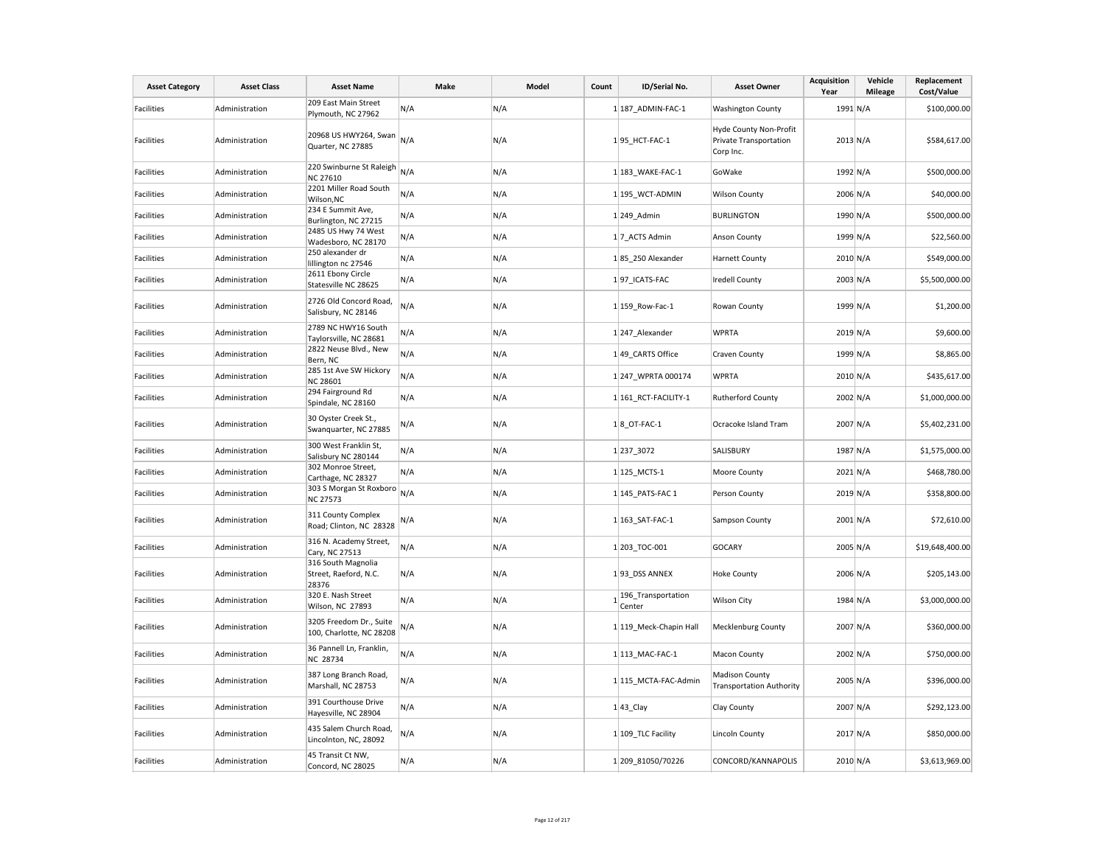| <b>Asset Category</b> | <b>Asset Class</b> | <b>Asset Name</b>                                    | Make | Model | Count | ID/Serial No.                | <b>Asset Owner</b>                                            | <b>Acquisition</b><br>Year | Vehicle<br><b>Mileage</b> | Replacement<br>Cost/Value |
|-----------------------|--------------------|------------------------------------------------------|------|-------|-------|------------------------------|---------------------------------------------------------------|----------------------------|---------------------------|---------------------------|
| Facilities            | Administration     | 209 East Main Street<br>Plymouth, NC 27962           | N/A  | N/A   |       | 1 187 ADMIN-FAC-1            | <b>Washington County</b>                                      | 1991 N/A                   |                           | \$100,000.00              |
| Facilities            | Administration     | 20968 US HWY264, Swan<br>Quarter, NC 27885           | N/A  | N/A   |       | 195_HCT-FAC-1                | Hyde County Non-Profit<br>Private Transportation<br>Corp Inc. | $2013$ N/A                 |                           | \$584,617.00              |
| Facilities            | Administration     | 220 Swinburne St Raleigh<br><b>NC 27610</b>          | N/A  | N/A   |       | 1 183 WAKE-FAC-1             | GoWake                                                        | 1992 N/A                   |                           | \$500,000.00              |
| Facilities            | Administration     | 2201 Miller Road South<br>Wilson, NC                 | N/A  | N/A   |       | 1 195_WCT-ADMIN              | <b>Wilson County</b>                                          | 2006 N/A                   |                           | \$40,000.00               |
| Facilities            | Administration     | 234 E Summit Ave,<br>Burlington, NC 27215            | N/A  | N/A   |       | 1 249_Admin                  | <b>BURLINGTON</b>                                             | 1990 N/A                   |                           | \$500,000.00              |
| Facilities            | Administration     | 2485 US Hwy 74 West<br>Wadesboro, NC 28170           | N/A  | N/A   |       | 17 ACTS Admin                | Anson County                                                  | 1999 N/A                   |                           | \$22,560.00               |
| <b>Facilities</b>     | Administration     | 250 alexander dr<br>lillington nc 27546              | N/A  | N/A   |       | 185 250 Alexander            | <b>Harnett County</b>                                         | 2010 N/A                   |                           | \$549,000.00              |
| Facilities            | Administration     | 2611 Ebony Circle<br>Statesville NC 28625            | N/A  | N/A   |       | 197 ICATS-FAC                | <b>Iredell County</b>                                         | $2003 \text{ N/A}$         |                           | \$5,500,000.00            |
| Facilities            | Administration     | 2726 Old Concord Road,<br>Salisbury, NC 28146        | N/A  | N/A   |       | 1 159 Row-Fac-1              | Rowan County                                                  | 1999 N/A                   |                           | \$1,200.00                |
| <b>Facilities</b>     | Administration     | 2789 NC HWY16 South<br>Taylorsville, NC 28681        | N/A  | N/A   |       | 1 247 Alexander              | <b>WPRTA</b>                                                  | 2019 N/A                   |                           | \$9,600.00                |
| Facilities            | Administration     | 2822 Neuse Blvd., New<br>Bern, NC                    | N/A  | N/A   |       | 1 49 CARTS Office            | Craven County                                                 | 1999 N/A                   |                           | \$8,865.00                |
| Facilities            | Administration     | 285 1st Ave SW Hickory<br><b>NC 28601</b>            | N/A  | N/A   |       | 1 247 WPRTA 000174           | <b>WPRTA</b>                                                  | $2010 \text{ N/A}$         |                           | \$435,617.00              |
| <b>Facilities</b>     | Administration     | 294 Fairground Rd<br>Spindale, NC 28160              | N/A  | N/A   |       | 1 161 RCT-FACILITY-1         | <b>Rutherford County</b>                                      | 2002 N/A                   |                           | \$1,000,000.00            |
| Facilities            | Administration     | 30 Oyster Creek St.,<br>Swanquarter, NC 27885        | N/A  | N/A   |       | $1 8$ OT-FAC-1               | Ocracoke Island Tram                                          | 2007 N/A                   |                           | \$5,402,231.00            |
| <b>Facilities</b>     | Administration     | 300 West Franklin St,<br>Salisbury NC 280144         | N/A  | N/A   |       | 1237_3072                    | SALISBURY                                                     | 1987 N/A                   |                           | \$1,575,000.00            |
| Facilities            | Administration     | 302 Monroe Street,<br>Carthage, NC 28327             | N/A  | N/A   |       | 1 125 MCTS-1                 | Moore County                                                  | $2021$ N/A                 |                           | \$468,780.00              |
| Facilities            | Administration     | 303 S Morgan St Roxboro<br><b>NC 27573</b>           | N/A  | N/A   |       | 1 145_PATS-FAC 1             | Person County                                                 | 2019 N/A                   |                           | \$358,800.00              |
| Facilities            | Administration     | 311 County Complex<br>Road; Clinton, NC 28328        | N/A  | N/A   |       | 1 163 SAT-FAC-1              | Sampson County                                                | $2001$ N/A                 |                           | \$72,610.00               |
| Facilities            | Administration     | 316 N. Academy Street,<br>Cary, NC 27513             | N/A  | N/A   |       | 1 203 TOC-001                | <b>GOCARY</b>                                                 | 2005 N/A                   |                           | \$19,648,400.00           |
| Facilities            | Administration     | 316 South Magnolia<br>Street, Raeford, N.C.<br>28376 | N/A  | N/A   |       | 193 DSS ANNEX                | <b>Hoke County</b>                                            | 2006 N/A                   |                           | \$205,143.00              |
| Facilities            | Administration     | 320 E. Nash Street<br>Wilson, NC 27893               | N/A  | N/A   |       | 196_Transportation<br>Center | Wilson City                                                   | 1984 N/A                   |                           | \$3,000,000.00            |
| Facilities            | Administration     | 3205 Freedom Dr., Suite<br>100, Charlotte, NC 28208  | N/A  | N/A   |       | 1 119 Meck-Chapin Hall       | Mecklenburg County                                            | 2007 N/A                   |                           | \$360,000.00              |
| Facilities            | Administration     | 36 Pannell Ln, Franklin,<br>NC 28734                 | N/A  | N/A   |       | 1 113_MAC-FAC-1              | <b>Macon County</b>                                           | 2002 N/A                   |                           | \$750,000.00              |
| Facilities            | Administration     | 387 Long Branch Road,<br>Marshall, NC 28753          | N/A  | N/A   |       | 1 115 MCTA-FAC-Admin         | <b>Madison County</b><br><b>Transportation Authority</b>      | $2005 \text{ N/A}$         |                           | \$396,000.00              |
| Facilities            | Administration     | 391 Courthouse Drive<br>Hayesville, NC 28904         | N/A  | N/A   |       | $1 43$ <sub>_Clay</sub>      | Clay County                                                   | 2007 N/A                   |                           | \$292,123.00              |
| Facilities            | Administration     | 435 Salem Church Road,<br>Lincolnton, NC, 28092      | N/A  | N/A   |       | 1 109 TLC Facility           | Lincoln County                                                | 2017 N/A                   |                           | \$850,000.00              |
| Facilities            | Administration     | 45 Transit Ct NW,<br>Concord, NC 28025               | N/A  | N/A   |       | 1 209 81050/70226            | CONCORD/KANNAPOLIS                                            | 2010 N/A                   |                           | \$3,613,969.00            |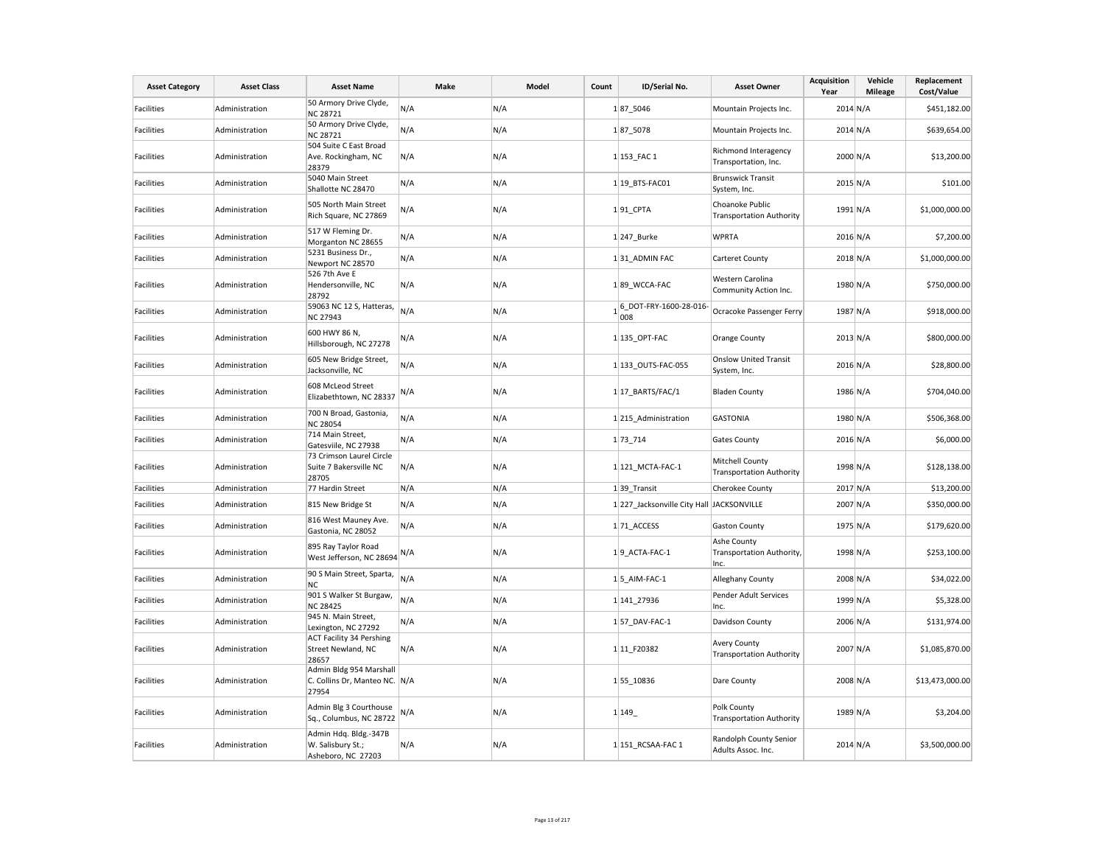| <b>Asset Category</b> | <b>Asset Class</b> | <b>Asset Name</b>                                                 | Make | Model | Count | ID/Serial No.                             | <b>Asset Owner</b>                                        | <b>Acquisition</b><br>Year | Vehicle<br><b>Mileage</b> | Replacement<br>Cost/Value |
|-----------------------|--------------------|-------------------------------------------------------------------|------|-------|-------|-------------------------------------------|-----------------------------------------------------------|----------------------------|---------------------------|---------------------------|
| Facilities            | Administration     | 50 Armory Drive Clyde,<br>NC 28721                                | N/A  | N/A   |       | 187_5046                                  | Mountain Projects Inc.                                    | $2014$ N/A                 |                           | \$451,182.00              |
| <b>Facilities</b>     | Administration     | 50 Armory Drive Clyde,<br><b>NC 28721</b>                         | N/A  | N/A   |       | 187 5078                                  | Mountain Projects Inc.                                    | $2014$ N/A                 |                           | \$639,654.00              |
| <b>Facilities</b>     | Administration     | 504 Suite C East Broad<br>Ave. Rockingham, NC<br>28379            | N/A  | N/A   |       | 1 153_FAC 1                               | Richmond Interagency<br>Transportation, Inc.              | 2000 N/A                   |                           | \$13,200.00               |
| <b>Facilities</b>     | Administration     | 5040 Main Street<br>Shallotte NC 28470                            | N/A  | N/A   |       | 1 19 BTS-FAC01                            | <b>Brunswick Transit</b><br>System, Inc.                  | $2015$ N/A                 |                           | \$101.00                  |
| Facilities            | Administration     | 505 North Main Street<br>Rich Square, NC 27869                    | N/A  | N/A   |       | 191_CPTA                                  | Choanoke Public<br><b>Transportation Authority</b>        | 1991 N/A                   |                           | \$1,000,000.00            |
| <b>Facilities</b>     | Administration     | 517 W Fleming Dr.<br>Morganton NC 28655                           | N/A  | N/A   |       | 1 247_Burke                               | <b>WPRTA</b>                                              | 2016 N/A                   |                           | \$7,200.00                |
| <b>Facilities</b>     | Administration     | 5231 Business Dr.,<br>Newport NC 28570                            | N/A  | N/A   |       | 131_ADMIN FAC                             | Carteret County                                           | $2018$ N/A                 |                           | \$1,000,000.00            |
| <b>Facilities</b>     | Administration     | 526 7th Ave E<br>Hendersonville, NC<br>28792                      | N/A  | N/A   |       | 189 WCCA-FAC                              | Western Carolina<br>Community Action Inc.                 | 1980 N/A                   |                           | \$750,000.00              |
| <b>Facilities</b>     | Administration     | 59063 NC 12 S, Hatteras,<br>NC 27943                              | N/A  | N/A   |       | $16$ DOT-FRY-1600-28-016<br>008           | Ocracoke Passenger Ferry                                  | 1987 N/A                   |                           | \$918,000.00              |
| Facilities            | Administration     | 600 HWY 86 N,<br>Hillsborough, NC 27278                           | N/A  | N/A   |       | 1 135 OPT-FAC                             | Orange County                                             | $2013$ N/A                 |                           | \$800,000.00              |
| <b>Facilities</b>     | Administration     | 605 New Bridge Street,<br>Jacksonville, NC                        | N/A  | N/A   |       | 1 133 OUTS-FAC-055                        | <b>Onslow United Transit</b><br>System, Inc.              | 2016 N/A                   |                           | \$28,800.00               |
| <b>Facilities</b>     | Administration     | 608 McLeod Street<br>Elizabethtown, NC 28337                      | N/A  | N/A   |       | $1 17$ BARTS/FAC/1                        | <b>Bladen County</b>                                      | 1986 N/A                   |                           | \$704,040.00              |
| Facilities            | Administration     | 700 N Broad, Gastonia,<br><b>NC 28054</b>                         | N/A  | N/A   |       | 1 215_Administration                      | <b>GASTONIA</b>                                           | 1980 N/A                   |                           | \$506,368.00              |
| <b>Facilities</b>     | Administration     | 714 Main Street,<br>Gatesviile, NC 27938                          | N/A  | N/A   |       | 1 73 714                                  | <b>Gates County</b>                                       | 2016 N/A                   |                           | \$6,000.00                |
| Facilities            | Administration     | 73 Crimson Laurel Circle<br>Suite 7 Bakersville NC<br>28705       | N/A  | N/A   |       | 1 121 MCTA-FAC-1                          | <b>Mitchell County</b><br><b>Transportation Authority</b> | 1998 N/A                   |                           | \$128,138.00              |
| Facilities            | Administration     | 77 Hardin Street                                                  | N/A  | N/A   |       | 1 39 Transit                              | <b>Cherokee County</b>                                    | 2017 N/A                   |                           | \$13,200.00               |
| <b>Facilities</b>     | Administration     | 815 New Bridge St                                                 | N/A  | N/A   |       | 1 227 Jacksonville City Hall JACKSONVILLE |                                                           | 2007 N/A                   |                           | \$350,000.00              |
| <b>Facilities</b>     | Administration     | 816 West Mauney Ave.<br>Gastonia, NC 28052                        | N/A  | N/A   |       | 171_ACCESS                                | <b>Gaston County</b>                                      | 1975 N/A                   |                           | \$179,620.00              |
| <b>Facilities</b>     | Administration     | 895 Ray Taylor Road<br>West Jefferson, NC 28694 N/A               |      | N/A   |       | 19 ACTA-FAC-1                             | Ashe County<br>Transportation Authority,<br>Inc.          | 1998 N/A                   |                           | \$253,100.00              |
| <b>Facilities</b>     | Administration     | 90 S Main Street, Sparta,<br>NC.                                  | N/A  | N/A   |       | $1 5$ AIM-FAC-1                           | Alleghany County                                          | 2008 N/A                   |                           | \$34,022.00               |
| Facilities            | Administration     | 901 S Walker St Burgaw,<br><b>NC 28425</b>                        | N/A  | N/A   |       | 1 141 27936                               | Pender Adult Services<br>Inc.                             | 1999 N/A                   |                           | \$5,328.00                |
| <b>Facilities</b>     | Administration     | 945 N. Main Street,<br>Lexington, NC 27292                        | N/A  | N/A   |       | 1 57 DAV-FAC-1                            | Davidson County                                           | 2006 N/A                   |                           | \$131,974.00              |
| Facilities            | Administration     | <b>ACT Facility 34 Pershing</b><br>Street Newland, NC<br>28657    | N/A  | N/A   |       | 1 11 F20382                               | <b>Avery County</b><br><b>Transportation Authority</b>    | 2007 N/A                   |                           | \$1,085,870.00            |
| <b>Facilities</b>     | Administration     | Admin Bldg 954 Marshall<br>C. Collins Dr, Manteo NC. N/A<br>27954 |      | N/A   |       | 155 10836                                 | Dare County                                               | 2008 N/A                   |                           | \$13,473,000.00           |
| Facilities            | Administration     | Admin Blg 3 Courthouse<br>Sq., Columbus, NC 28722                 | N/A  | N/A   |       | 1 149                                     | Polk County<br><b>Transportation Authority</b>            | 1989 N/A                   |                           | \$3,204.00                |
| Facilities            | Administration     | Admin Hdq. Bldg.-347B<br>W. Salisbury St.;<br>Asheboro, NC 27203  | N/A  | N/A   |       | 1 151 RCSAA-FAC 1                         | Randolph County Senior<br>Adults Assoc. Inc.              | $2014$ N/A                 |                           | \$3,500,000.00            |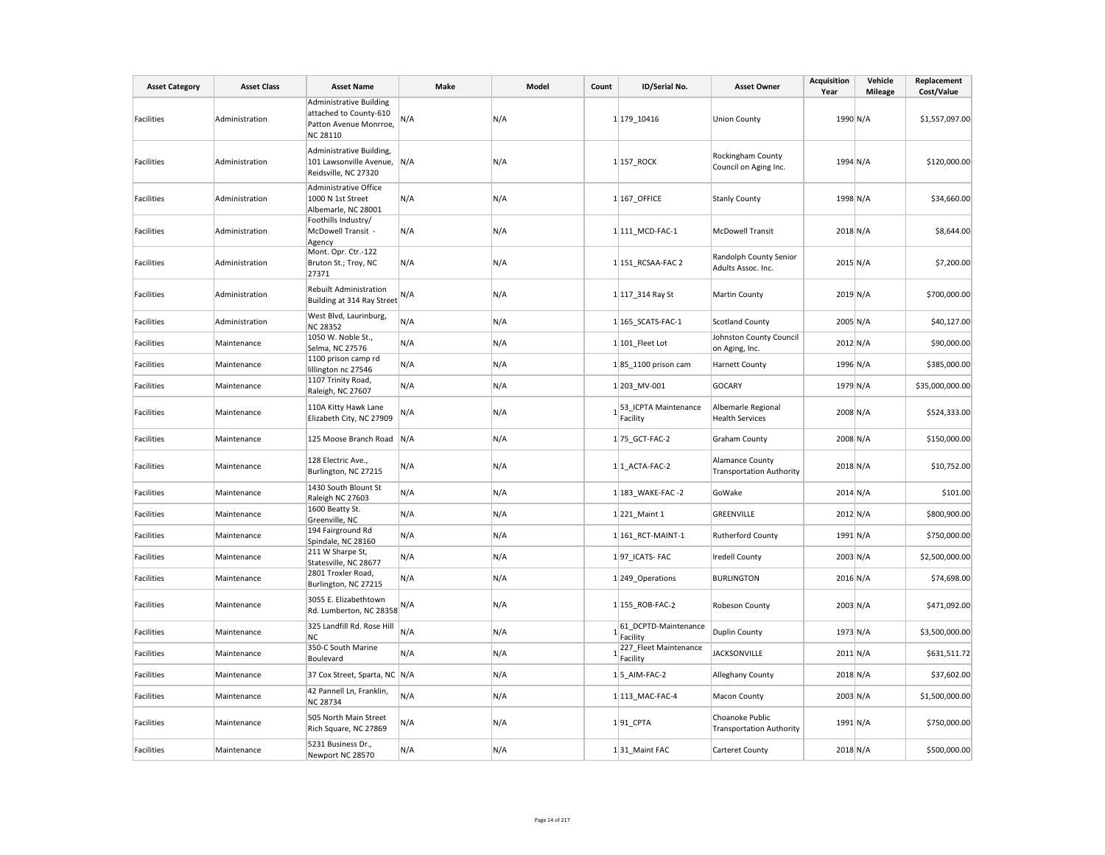| <b>Asset Category</b> | <b>Asset Class</b> | <b>Asset Name</b>                                                                                     | Make | Model | Count | ID/Serial No.                         | <b>Asset Owner</b>                                 | <b>Acquisition</b><br>Year | Vehicle<br><b>Mileage</b> | Replacement<br>Cost/Value |
|-----------------------|--------------------|-------------------------------------------------------------------------------------------------------|------|-------|-------|---------------------------------------|----------------------------------------------------|----------------------------|---------------------------|---------------------------|
| Facilities            | Administration     | <b>Administrative Building</b><br>attached to County-610<br>Patton Avenue Monrroe,<br><b>NC 28110</b> | N/A  | N/A   |       | 1 179 10416                           | <b>Union County</b>                                | 1990 N/A                   |                           | \$1,557,097.00            |
| <b>Facilities</b>     | Administration     | Administrative Building,<br>101 Lawsonville Avenue, N/A<br>Reidsville, NC 27320                       |      | N/A   |       | 1 157 ROCK                            | <b>Rockingham County</b><br>Council on Aging Inc.  | 1994 N/A                   |                           | \$120,000.00              |
| Facilities            | Administration     | Administrative Office<br>1000 N 1st Street<br>Albemarle, NC 28001                                     | N/A  | N/A   |       | 1 167 OFFICE                          | <b>Stanly County</b>                               | 1998 N/A                   |                           | \$34,660.00               |
| <b>Facilities</b>     | Administration     | Foothills Industry/<br>McDowell Transit -<br>Agency                                                   | N/A  | N/A   |       | 1 111 MCD-FAC-1                       | <b>McDowell Transit</b>                            | 2018 N/A                   |                           | \$8,644.00                |
| Facilities            | Administration     | Mont. Opr. Ctr.-122<br>Bruton St.; Troy, NC<br>27371                                                  | N/A  | N/A   |       | 1 151_RCSAA-FAC 2                     | Randolph County Senior<br>Adults Assoc. Inc.       | 2015 N/A                   |                           | \$7,200.00                |
| Facilities            | Administration     | Rebuilt Administration<br>Building at 314 Ray Street                                                  | N/A  | N/A   |       | 1 117_314 Ray St                      | <b>Martin County</b>                               | 2019 N/A                   |                           | \$700,000.00              |
| <b>Facilities</b>     | Administration     | West Blvd, Laurinburg,<br><b>NC 28352</b>                                                             | N/A  | N/A   |       | 1 165 SCATS-FAC-1                     | <b>Scotland County</b>                             | 2005 N/A                   |                           | \$40,127.00               |
| Facilities            | Maintenance        | 1050 W. Noble St.,<br>Selma, NC 27576                                                                 | N/A  | N/A   |       | 1 101_Fleet Lot                       | Johnston County Council<br>on Aging, Inc.          | 2012 N/A                   |                           | \$90,000.00               |
| Facilities            | Maintenance        | 1100 prison camp rd<br>lillington nc 27546                                                            | N/A  | N/A   |       | $1 85$ 1100 prison cam                | <b>Harnett County</b>                              | 1996 N/A                   |                           | \$385,000.00              |
| <b>Facilities</b>     | Maintenance        | 1107 Trinity Road,<br>Raleigh, NC 27607                                                               | N/A  | N/A   |       | 1 203_MV-001                          | <b>GOCARY</b>                                      | 1979 N/A                   |                           | \$35,000,000.00           |
| Facilities            | Maintenance        | 110A Kitty Hawk Lane<br>Elizabeth City, NC 27909                                                      | N/A  | N/A   |       | 1<br>S3_ICPTA Maintenance<br>Facility | Albemarle Regional<br><b>Health Services</b>       | 2008 N/A                   |                           | \$524,333.00              |
| Facilities            | Maintenance        | 125 Moose Branch Road                                                                                 | N/A  | N/A   |       | 1 75 GCT-FAC-2                        | <b>Graham County</b>                               | 2008 N/A                   |                           | \$150,000.00              |
| Facilities            | Maintenance        | 128 Electric Ave.,<br>Burlington, NC 27215                                                            | N/A  | N/A   |       | 1 1 ACTA-FAC-2                        | Alamance County<br><b>Transportation Authority</b> | 2018 N/A                   |                           | \$10,752.00               |
| Facilities            | Maintenance        | 1430 South Blount St<br>Raleigh NC 27603                                                              | N/A  | N/A   |       | 1 183 WAKE-FAC -2                     | GoWake                                             | $2014$ N/A                 |                           | \$101.00                  |
| <b>Facilities</b>     | Maintenance        | 1600 Beatty St.<br>Greenville, NC                                                                     | N/A  | N/A   |       | 1 221 Maint 1                         | GREENVILLE                                         | 2012 N/A                   |                           | \$800,900.00              |
| Facilities            | Maintenance        | 194 Fairground Rd<br>Spindale, NC 28160                                                               | N/A  | N/A   |       | 1 161 RCT-MAINT-1                     | <b>Rutherford County</b>                           | 1991 N/A                   |                           | \$750,000.00              |
| <b>Facilities</b>     | Maintenance        | 211 W Sharpe St,<br>Statesville, NC 28677                                                             | N/A  | N/A   |       | 197 ICATS-FAC                         | <b>Iredell County</b>                              | 2003 N/A                   |                           | \$2,500,000.00            |
| Facilities            | Maintenance        | 2801 Troxler Road,<br>Burlington, NC 27215                                                            | N/A  | N/A   |       | 1249_Operations                       | <b>BURLINGTON</b>                                  | 2016 N/A                   |                           | \$74,698.00               |
| Facilities            | Maintenance        | 3055 E. Elizabethtown<br>Rd. Lumberton, NC 28358 N/A                                                  |      | N/A   |       | 1 155 ROB-FAC-2                       | Robeson County                                     | $2003 \text{ N/A}$         |                           | \$471,092.00              |
| Facilities            | Maintenance        | 325 Landfill Rd. Rose Hill<br>ΝC                                                                      | N/A  | N/A   |       | 161_DCPTD-Maintenance<br>Facility     | <b>Duplin County</b>                               | 1973 N/A                   |                           | \$3,500,000.00            |
| Facilities            | Maintenance        | 350-C South Marine<br>Boulevard                                                                       | N/A  | N/A   |       | 227_Fleet Maintenance<br>Facility     | <b>JACKSONVILLE</b>                                | $2011$ N/A                 |                           | \$631,511.72              |
| Facilities            | Maintenance        | 37 Cox Street, Sparta, NC N/A                                                                         |      | N/A   |       | $1 5$ AIM-FAC-2                       | Alleghany County                                   | 2018 N/A                   |                           | \$37,602.00               |
| Facilities            | Maintenance        | 42 Pannell Ln, Franklin,<br><b>NC 28734</b>                                                           | N/A  | N/A   |       | 1 113 MAC-FAC-4                       | <b>Macon County</b>                                | 2003 N/A                   |                           | \$1,500,000.00            |
| Facilities            | Maintenance        | 505 North Main Street<br>Rich Square, NC 27869                                                        | N/A  | N/A   |       | $1 91$ CPTA                           | Choanoke Public<br><b>Transportation Authority</b> | 1991 N/A                   |                           | \$750,000.00              |
| Facilities            | Maintenance        | 5231 Business Dr.,<br>Newport NC 28570                                                                | N/A  | N/A   |       | 131 Maint FAC                         | Carteret County                                    | 2018 N/A                   |                           | \$500,000.00              |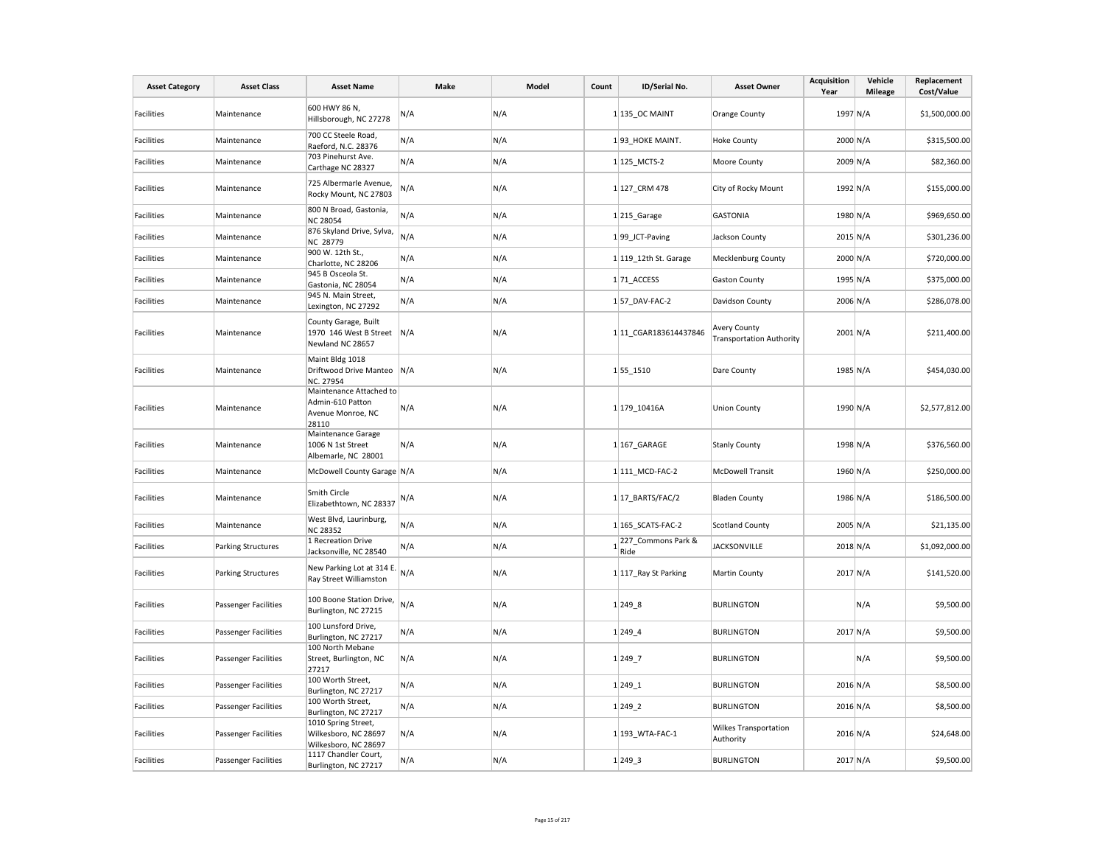| <b>Asset Category</b> | <b>Asset Class</b>        | <b>Asset Name</b>                                                         | Make | Model | Count | ID/Serial No.                           | <b>Asset Owner</b>                                     | <b>Acquisition</b><br>Year | Vehicle<br><b>Mileage</b> | Replacement<br>Cost/Value |
|-----------------------|---------------------------|---------------------------------------------------------------------------|------|-------|-------|-----------------------------------------|--------------------------------------------------------|----------------------------|---------------------------|---------------------------|
| <b>Facilities</b>     | Maintenance               | 600 HWY 86 N,<br>Hillsborough, NC 27278                                   | N/A  | N/A   |       | $1 135$ OC MAINT                        | <b>Orange County</b>                                   | 1997 N/A                   |                           | \$1,500,000.00            |
| Facilities            | Maintenance               | 700 CC Steele Road,<br>Raeford, N.C. 28376                                | N/A  | N/A   |       | 193 HOKE MAINT.                         | <b>Hoke County</b>                                     | 2000 N/A                   |                           | \$315,500.00              |
| Facilities            | Maintenance               | 703 Pinehurst Ave.<br>Carthage NC 28327                                   | N/A  | N/A   |       | 1 125 MCTS-2                            | Moore County                                           | 2009 N/A                   |                           | \$82,360.00               |
| Facilities            | Maintenance               | 725 Albermarle Avenue,<br>Rocky Mount, NC 27803                           | N/A  | N/A   |       | 1 127 CRM 478                           | City of Rocky Mount                                    | 1992 N/A                   |                           | \$155,000.00              |
| Facilities            | Maintenance               | 800 N Broad, Gastonia,<br><b>NC 28054</b>                                 | N/A  | N/A   |       | 1 215 Garage                            | <b>GASTONIA</b>                                        | 1980 N/A                   |                           | \$969,650.00              |
| <b>Facilities</b>     | Maintenance               | 876 Skyland Drive, Sylva,<br>NC 28779                                     | N/A  | N/A   |       | 199 JCT-Paving                          | Jackson County                                         | $2015$ N/A                 |                           | \$301,236.00              |
| Facilities            | Maintenance               | 900 W. 12th St.,<br>Charlotte, NC 28206                                   | N/A  | N/A   |       | 1 119_12th St. Garage                   | <b>Mecklenburg County</b>                              | 2000 N/A                   |                           | \$720,000.00              |
| Facilities            | Maintenance               | 945 B Osceola St.<br>Gastonia, NC 28054                                   | N/A  | N/A   |       | 171_ACCESS                              | <b>Gaston County</b>                                   | 1995 N/A                   |                           | \$375,000.00              |
| Facilities            | Maintenance               | 945 N. Main Street,<br>Lexington, NC 27292                                | N/A  | N/A   |       | $1 57$ DAV-FAC-2                        | Davidson County                                        | 2006 N/A                   |                           | \$286,078.00              |
| Facilities            | Maintenance               | County Garage, Built<br>1970 146 West B Street N/A<br>Newland NC 28657    |      | N/A   |       | 1 11 CGAR183614437846                   | <b>Avery County</b><br><b>Transportation Authority</b> | $2001$ N/A                 |                           | \$211,400.00              |
| <b>Facilities</b>     | Maintenance               | Maint Bldg 1018<br>Driftwood Drive Manteo N/A<br>NC. 27954                |      | N/A   |       | 155_1510                                | Dare County                                            | 1985 N/A                   |                           | \$454,030.00              |
| Facilities            | Maintenance               | Maintenance Attached to<br>Admin-610 Patton<br>Avenue Monroe, NC<br>28110 | N/A  | N/A   |       | 1 179 10416A                            | <b>Union County</b>                                    | 1990 N/A                   |                           | \$2,577,812.00            |
| Facilities            | Maintenance               | Maintenance Garage<br>1006 N 1st Street<br>Albemarle, NC 28001            | N/A  | N/A   |       | $1 167$ GARAGE                          | <b>Stanly County</b>                                   | 1998 N/A                   |                           | \$376,560.00              |
| Facilities            | Maintenance               | McDowell County Garage N/A                                                |      | N/A   |       | 1 111 MCD-FAC-2                         | <b>McDowell Transit</b>                                | 1960 N/A                   |                           | \$250,000.00              |
| Facilities            | Maintenance               | Smith Circle<br>Elizabethtown, NC 28337                                   | N/A  | N/A   |       | $1 17$ BARTS/FAC/2                      | <b>Bladen County</b>                                   | 1986 N/A                   |                           | \$186,500.00              |
| Facilities            | Maintenance               | West Blvd, Laurinburg,<br><b>NC 28352</b>                                 | N/A  | N/A   |       | 1 165 SCATS-FAC-2                       | <b>Scotland County</b>                                 | $2005$ N/A                 |                           | \$21,135.00               |
| Facilities            | <b>Parking Structures</b> | 1 Recreation Drive<br>Jacksonville, NC 28540                              | N/A  | N/A   |       | 227_Commons Park &<br>$1_{\text{Ride}}$ | <b>JACKSONVILLE</b>                                    | 2018 N/A                   |                           | \$1,092,000.00            |
| Facilities            | <b>Parking Structures</b> | New Parking Lot at 314 E.<br>Ray Street Williamston                       | N/A  | N/A   |       | 1 117_Ray St Parking                    | Martin County                                          | 2017 N/A                   |                           | \$141,520.00              |
| <b>Facilities</b>     | Passenger Facilities      | 100 Boone Station Drive,<br>Burlington, NC 27215                          | N/A  | N/A   |       | 1 249 8                                 | <b>BURLINGTON</b>                                      |                            | N/A                       | \$9,500.00                |
| Facilities            | Passenger Facilities      | 100 Lunsford Drive,<br>Burlington, NC 27217                               | N/A  | N/A   |       | $1 249$ 4                               | <b>BURLINGTON</b>                                      | 2017 N/A                   |                           | \$9,500.00                |
| Facilities            | Passenger Facilities      | 100 North Mebane<br>Street, Burlington, NC<br>27217                       | N/A  | N/A   |       | $1 249$ _7                              | <b>BURLINGTON</b>                                      |                            | N/A                       | \$9,500.00                |
| Facilities            | Passenger Facilities      | 100 Worth Street,<br>Burlington, NC 27217                                 | N/A  | N/A   |       | $1 249_1$                               | <b>BURLINGTON</b>                                      | 2016 N/A                   |                           | \$8,500.00                |
| Facilities            | Passenger Facilities      | 100 Worth Street,<br>Burlington, NC 27217                                 | N/A  | N/A   |       | 1 249 2                                 | <b>BURLINGTON</b>                                      | $2016$ N/A                 |                           | \$8,500.00                |
| Facilities            | Passenger Facilities      | 1010 Spring Street,<br>Wilkesboro, NC 28697<br>Wilkesboro, NC 28697       | N/A  | N/A   |       | 1 193_WTA-FAC-1                         | <b>Wilkes Transportation</b><br>Authority              | $2016$ N/A                 |                           | \$24,648.00               |
| Facilities            | Passenger Facilities      | 1117 Chandler Court,<br>Burlington, NC 27217                              | N/A  | N/A   |       | 1 2493                                  | <b>BURLINGTON</b>                                      | 2017 N/A                   |                           | \$9,500.00                |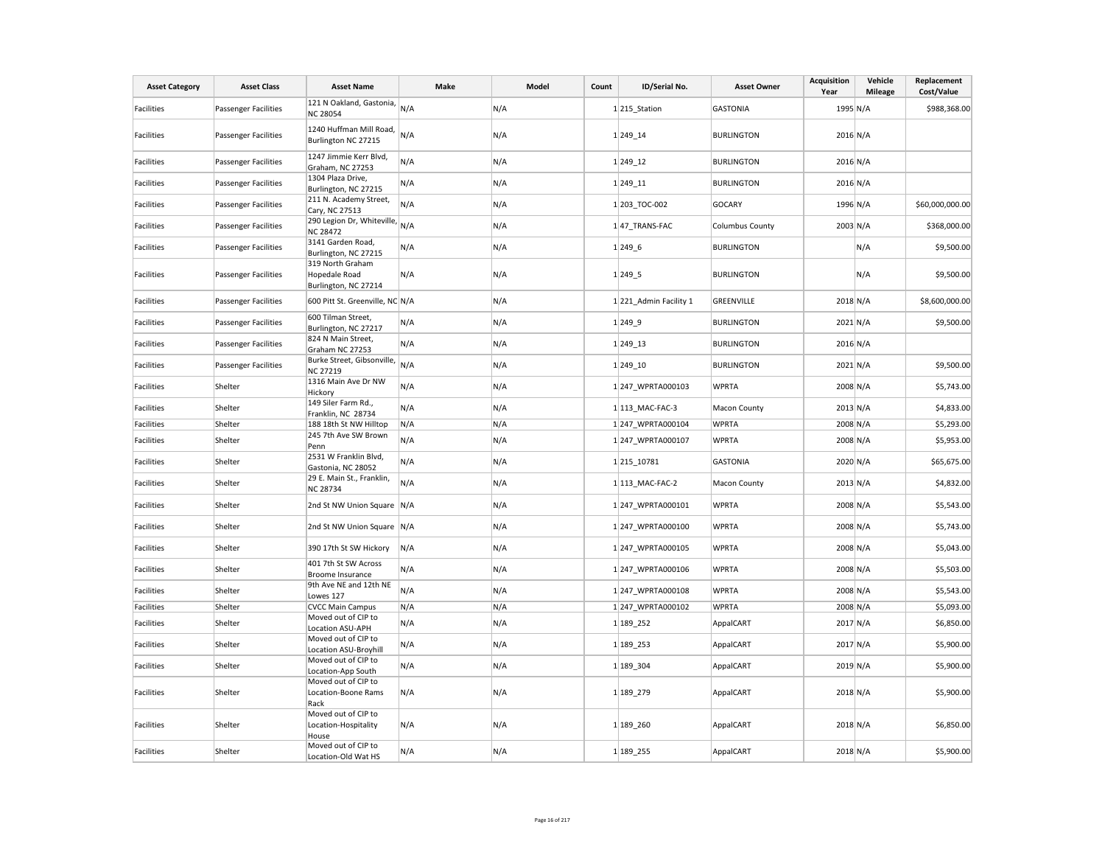| <b>Asset Category</b> | <b>Asset Class</b>          | <b>Asset Name</b>                                                                         | Make | Model | Count | ID/Serial No.         | <b>Asset Owner</b>     | <b>Acquisition</b><br>Year | Vehicle<br><b>Mileage</b> | Replacement<br>Cost/Value |
|-----------------------|-----------------------------|-------------------------------------------------------------------------------------------|------|-------|-------|-----------------------|------------------------|----------------------------|---------------------------|---------------------------|
| <b>Facilities</b>     | <b>Passenger Facilities</b> | 121 N Oakland, Gastonia,<br><b>NC 28054</b>                                               | N/A  | N/A   |       | $1$ 215 Station       | <b>GASTONIA</b>        | 1995 N/A                   |                           | \$988,368.00              |
| Facilities            | <b>Passenger Facilities</b> | 1240 Huffman Mill Road,<br>Burlington NC 27215                                            | N/A  | N/A   |       | 1 249 14              | <b>BURLINGTON</b>      | 2016 N/A                   |                           |                           |
| Facilities            | <b>Passenger Facilities</b> | 1247 Jimmie Kerr Blvd,<br>Graham, NC 27253                                                | N/A  | N/A   |       | 1 249 12              | <b>BURLINGTON</b>      | 2016 N/A                   |                           |                           |
| <b>Facilities</b>     | Passenger Facilities        | 1304 Plaza Drive,<br>Burlington, NC 27215                                                 | N/A  | N/A   |       | 1 249 11              | <b>BURLINGTON</b>      | 2016 N/A                   |                           |                           |
| <b>Facilities</b>     | <b>Passenger Facilities</b> | 211 N. Academy Street,<br>Cary, NC 27513                                                  | N/A  | N/A   |       | 1 203 TOC-002         | <b>GOCARY</b>          | 1996 N/A                   |                           | \$60,000,000.00           |
| Facilities            | <b>Passenger Facilities</b> | $\frac{\text{Cau}}{\text{290}}$ Legion Dr, Whiteville, $_{\text{N/A}}$<br><b>NC 28472</b> |      | N/A   |       | 147 TRANS-FAC         | <b>Columbus County</b> | 2003 N/A                   |                           | \$368,000.00              |
| <b>Facilities</b>     | <b>Passenger Facilities</b> | 3141 Garden Road,<br>Burlington, NC 27215                                                 | N/A  | N/A   |       | 1 249.6               | <b>BURLINGTON</b>      |                            | N/A                       | \$9,500.00                |
| <b>Facilities</b>     | <b>Passenger Facilities</b> | 319 North Graham<br>Hopedale Road<br>Burlington, NC 27214                                 | N/A  | N/A   |       | 1 2495                | <b>BURLINGTON</b>      |                            | N/A                       | \$9,500.00                |
| <b>Facilities</b>     | <b>Passenger Facilities</b> | 600 Pitt St. Greenville, NC N/A                                                           |      | N/A   |       | 1221_Admin Facility 1 | <b>GREENVILLE</b>      | 2018 N/A                   |                           | \$8,600,000.00            |
| Facilities            | <b>Passenger Facilities</b> | 600 Tilman Street,<br>Burlington, NC 27217                                                | N/A  | N/A   |       | 1 2499                | <b>BURLINGTON</b>      | 2021 N/A                   |                           | \$9,500.00                |
| Facilities            | <b>Passenger Facilities</b> | 824 N Main Street,<br>Graham NC 27253                                                     | N/A  | N/A   |       | 1 249 13              | <b>BURLINGTON</b>      | 2016 N/A                   |                           |                           |
| <b>Facilities</b>     | <b>Passenger Facilities</b> | Burke Street, Gibsonville,<br><b>NC 27219</b>                                             | N/A  | N/A   |       | 1 249 10              | <b>BURLINGTON</b>      | 2021 N/A                   |                           | \$9,500.00                |
| Facilities            | Shelter                     | 1316 Main Ave Dr NW<br>Hickory                                                            | N/A  | N/A   |       | 1 247 WPRTA000103     | <b>WPRTA</b>           | 2008 N/A                   |                           | \$5,743.00                |
| Facilities            | Shelter                     | 149 Siler Farm Rd.,<br>Franklin, NC 28734                                                 | N/A  | N/A   |       | 1 113 MAC-FAC-3       | Macon County           | 2013 N/A                   |                           | \$4,833.00                |
| Facilities            | Shelter                     | 188 18th St NW Hilltop                                                                    | N/A  | N/A   |       | 1 247 WPRTA000104     | <b>WPRTA</b>           | 2008 N/A                   |                           | \$5,293.00                |
| Facilities            | Shelter                     | 245 7th Ave SW Brown<br>Penn                                                              | N/A  | N/A   |       | 1 247 WPRTA000107     | <b>WPRTA</b>           | 2008 N/A                   |                           | \$5,953.00                |
| Facilities            | Shelter                     | 2531 W Franklin Blvd,<br>Gastonia, NC 28052                                               | N/A  | N/A   |       | 1215_10781            | <b>GASTONIA</b>        | 2020 N/A                   |                           | \$65,675.00               |
| Facilities            | Shelter                     | 29 E. Main St., Franklin,<br><b>NC 28734</b>                                              | N/A  | N/A   |       | 1 113 MAC-FAC-2       | Macon County           | 2013 N/A                   |                           | \$4,832.00                |
| Facilities            | Shelter                     | 2nd St NW Union Square N/A                                                                |      | N/A   |       | 1 247 WPRTA000101     | <b>WPRTA</b>           | 2008 N/A                   |                           | \$5,543.00                |
| <b>Facilities</b>     | Shelter                     | 2nd St NW Union Square N/A                                                                |      | N/A   |       | 1 247 WPRTA000100     | <b>WPRTA</b>           | 2008 N/A                   |                           | \$5,743.00                |
| Facilities            | Shelter                     | 390 17th St SW Hickory                                                                    | N/A  | N/A   |       | 1 247 WPRTA000105     | <b>WPRTA</b>           | 2008 N/A                   |                           | \$5,043.00                |
| <b>Facilities</b>     | Shelter                     | 401 7th St SW Across<br>Broome Insurance                                                  | N/A  | N/A   |       | 1247 WPRTA000106      | <b>WPRTA</b>           | 2008 N/A                   |                           | \$5,503.00                |
| Facilities            | Shelter                     | 9th Ave NE and 12th NE<br>Lowes 127                                                       | N/A  | N/A   |       | 1 247 WPRTA000108     | <b>WPRTA</b>           | 2008 N/A                   |                           | \$5,543.00                |
| Facilities            | Shelter                     | <b>CVCC Main Campus</b>                                                                   | N/A  | N/A   |       | 1 247 WPRTA000102     | <b>WPRTA</b>           | 2008 N/A                   |                           | \$5,093.00                |
| Facilities            | Shelter                     | Moved out of CIP to<br>Location ASU-APH                                                   | N/A  | N/A   |       | 1 189 252             | AppalCART              | 2017 N/A                   |                           | \$6,850.00                |
| Facilities            | Shelter                     | Moved out of CIP to<br>Location ASU-Broyhill                                              | N/A  | N/A   |       | 1 189 253             | AppalCART              | 2017 N/A                   |                           | \$5,900.00                |
| Facilities            | Shelter                     | Moved out of CIP to<br>Location-App South                                                 | N/A  | N/A   |       | 1 189 304             | AppalCART              | 2019 N/A                   |                           | \$5,900.00                |
| <b>Facilities</b>     | Shelter                     | Moved out of CIP to<br>Location-Boone Rams<br>Rack                                        | N/A  | N/A   |       | 1 189 279             | AppalCART              | 2018 N/A                   |                           | \$5,900.00                |
| Facilities            | Shelter                     | Moved out of CIP to<br>Location-Hospitality<br>House                                      | N/A  | N/A   |       | 1 189 260             | AppalCART              | 2018 N/A                   |                           | \$6,850.00                |
| <b>Facilities</b>     | Shelter                     | Moved out of CIP to<br>Location-Old Wat HS                                                | N/A  | N/A   |       | 1 189 255             | AppalCART              | 2018 N/A                   |                           | \$5,900.00                |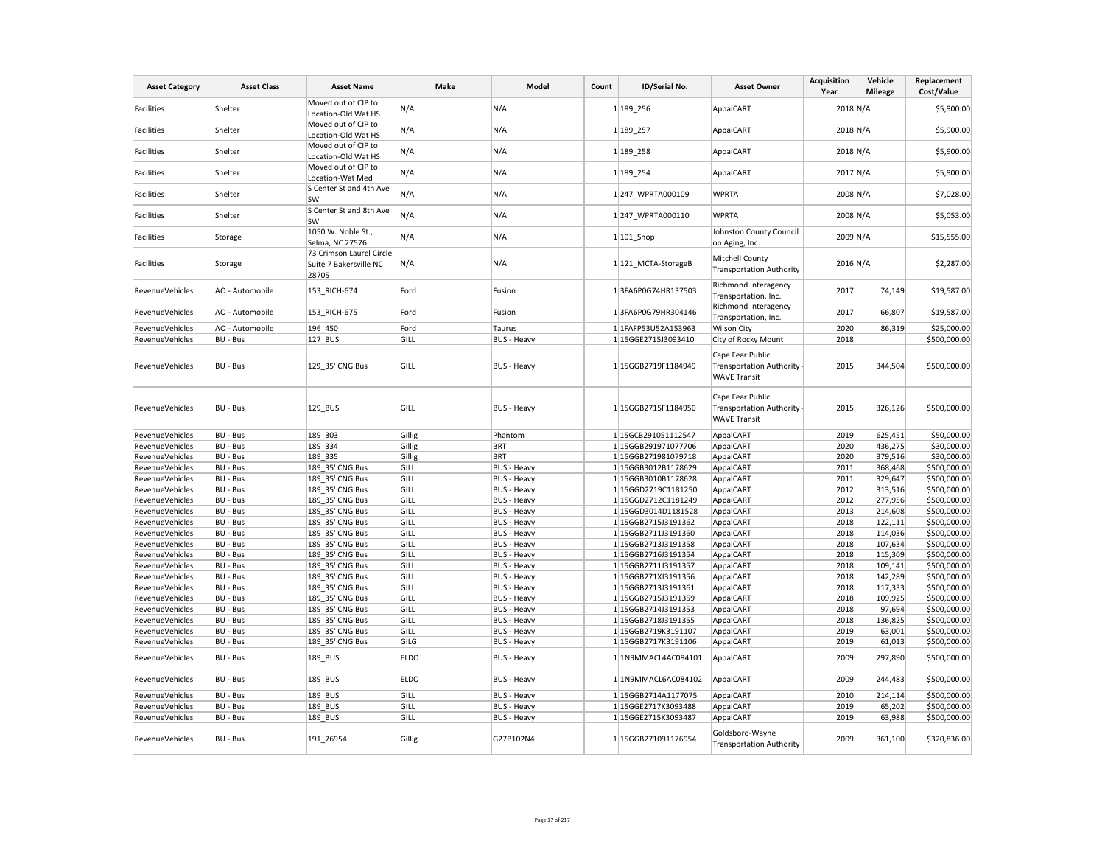| <b>Asset Category</b>  | <b>Asset Class</b> | <b>Asset Name</b>                                           | Make        | Model              | Count | ID/Serial No.       | <b>Asset Owner</b>                                                         | <b>Acquisition</b><br>Year | Vehicle<br><b>Mileage</b> | Replacement<br>Cost/Value |
|------------------------|--------------------|-------------------------------------------------------------|-------------|--------------------|-------|---------------------|----------------------------------------------------------------------------|----------------------------|---------------------------|---------------------------|
| Facilities             | Shelter            | Moved out of CIP to<br>Location-Old Wat HS                  | N/A         | N/A                |       | 1 189 256           | AppalCART                                                                  | 2018 N/A                   |                           | \$5,900.00                |
| Facilities             | Shelter            | Moved out of CIP to<br>Location-Old Wat HS                  | N/A         | N/A                |       | 1 189 257           | AppalCART                                                                  | 2018 N/A                   |                           | \$5,900.00                |
| Facilities             | Shelter            | Moved out of CIP to<br>Location-Old Wat HS                  | N/A         | N/A                |       | 1 189 258           | AppalCART                                                                  | 2018 N/A                   |                           | \$5,900.00                |
| Facilities             | Shelter            | Moved out of CIP to<br>Location-Wat Med                     | N/A         | N/A                |       | 1 189 254           | AppalCART                                                                  | 2017 N/A                   |                           | \$5,900.00                |
| Facilities             | Shelter            | S Center St and 4th Ave<br>SW                               | N/A         | N/A                |       | 1 247 WPRTA000109   | <b>WPRTA</b>                                                               | 2008 N/A                   |                           | \$7,028.00                |
| Facilities             | Shelter            | S Center St and 8th Ave<br>SW                               | N/A         | N/A                |       | 1 247 WPRTA000110   | <b>WPRTA</b>                                                               | 2008 N/A                   |                           | \$5,053.00                |
| Facilities             | Storage            | 1050 W. Noble St.,<br>Selma, NC 27576                       | N/A         | N/A                |       | $1 101$ _Shop       | Johnston County Council<br>on Aging, Inc.                                  | 2009 N/A                   |                           | \$15,555.00               |
| Facilities             | Storage            | 73 Crimson Laurel Circle<br>Suite 7 Bakersville NC<br>28705 | N/A         | N/A                |       | 1 121_MCTA-StorageB | Mitchell County<br><b>Transportation Authority</b>                         | $2016$ N/A                 |                           | \$2,287.00                |
| RevenueVehicles        | AO - Automobile    | 153 RICH-674                                                | Ford        | Fusion             |       | 13FA6P0G74HR137503  | Richmond Interagency<br>Transportation, Inc.                               | 2017                       | 74,149                    | \$19,587.00               |
| RevenueVehicles        | AO - Automobile    | 153_RICH-675                                                | Ford        | Fusion             |       | 13FA6P0G79HR304146  | Richmond Interagency<br>Transportation, Inc.                               | 2017                       | 66,807                    | \$19,587.00               |
| <b>RevenueVehicles</b> | AO - Automobile    | 196 450                                                     | Ford        | Taurus             |       | 1 1FAFP53U52A153963 | <b>Wilson City</b>                                                         | 2020                       | 86,319                    | \$25,000.00               |
| RevenueVehicles        | BU - Bus           | 127 BUS                                                     | GILL        | <b>BUS - Heavy</b> |       | 1 15GGE2715J3093410 | City of Rocky Mount                                                        | 2018                       |                           | \$500,000.00              |
| RevenueVehicles        | BU - Bus           | 129_35' CNG Bus                                             | GILL        | <b>BUS - Heavy</b> |       | 1 15GGB2719F1184949 | Cape Fear Public<br><b>Transportation Authority</b><br><b>WAVE Transit</b> | 2015                       | 344,504                   | \$500,000.00              |
| RevenueVehicles        | BU - Bus           | 129_BUS                                                     | GILL        | <b>BUS - Heavy</b> |       | 1 15GGB2715F1184950 | Cape Fear Public<br><b>Transportation Authority</b><br><b>WAVE Transit</b> | 2015                       | 326,126                   | \$500,000.00              |
| RevenueVehicles        | BU - Bus           | 189 303                                                     | Gillig      | Phantom            |       | 1 15GCB291051112547 | AppalCART                                                                  | 2019                       | 625,451                   | \$50,000.00               |
| RevenueVehicles        | BU - Bus           | 189 334                                                     | Gillig      | <b>BRT</b>         |       | 1 15GGB291971077706 | AppalCART                                                                  | 2020                       | 436,275                   | \$30,000.00               |
| <b>RevenueVehicles</b> | BU - Bus           | 189 335                                                     | Gillig      | <b>BRT</b>         |       | 1 15GGB271981079718 | AppalCART                                                                  | 2020                       | 379,516                   | \$30,000.00               |
| RevenueVehicles        | BU - Bus           | 189 35' CNG Bus                                             | GILL        | <b>BUS - Heavy</b> |       | 1 15GGB3012B1178629 | AppalCART                                                                  | 2011                       | 368,468                   | \$500,000.00              |
| RevenueVehicles        | BU - Bus           | 189 35' CNG Bus                                             | GILL        | <b>BUS - Heavy</b> |       | 1 15GGB3010B1178628 | AppalCART                                                                  | 2011                       | 329,647                   | \$500,000.00              |
| <b>RevenueVehicles</b> | BU - Bus           | 189 35' CNG Bus                                             | GILL        | <b>BUS - Heavy</b> |       | 1 15GGD2719C1181250 | AppalCART                                                                  | 2012                       | 313,516                   | \$500,000.00              |
| RevenueVehicles        | BU - Bus           | 189 35' CNG Bus                                             | GILL        | <b>BUS - Heavy</b> |       | 1 15GGD2712C1181249 | AppalCART                                                                  | 2012                       | 277,956                   | \$500,000.00              |
| RevenueVehicles        | BU - Bus           | 189 35' CNG Bus                                             | GILL        | <b>BUS - Heavy</b> |       | 1 15GGD3014D1181528 | AppalCART                                                                  | 2013                       | 214,608                   | \$500,000.00              |
| RevenueVehicles        | BU - Bus           | 189 35' CNG Bus                                             | GILL        | <b>BUS - Heavy</b> |       | 1 15GGB2715J3191362 | AppalCART                                                                  | 2018                       | 122,111                   | \$500,000.00              |
| RevenueVehicles        | BU - Bus           | 189 35' CNG Bus                                             | GILL        | <b>BUS - Heavy</b> |       | 1 15GGB2711J3191360 | AppalCART                                                                  | 2018                       | 114,036                   | \$500,000.00              |
| <b>RevenueVehicles</b> | BU - Bus           | 189_35' CNG Bus                                             | GILL        | <b>BUS - Heavy</b> |       | 1 15GGB2713J3191358 | AppalCART                                                                  | 2018                       | 107,634                   | \$500,000.00              |
| RevenueVehicles        | BU - Bus           | 189 35' CNG Bus                                             | GILL        | <b>BUS - Heavy</b> |       | 1 15GGB2716J3191354 | AppalCART                                                                  | 2018                       | 115,309                   | \$500,000.00              |
| RevenueVehicles        | BU - Bus           | 189 35' CNG Bus                                             | GILL        | <b>BUS - Heavy</b> |       | 1 15GGB2711J3191357 | AppalCART                                                                  | 2018                       | 109,141                   | \$500,000.00              |
| RevenueVehicles        | BU - Bus           | 189 35' CNG Bus                                             | GILL        | <b>BUS - Heavy</b> |       | 1 15GGB271XJ3191356 | AppalCART                                                                  | 2018                       | 142,289                   | \$500,000.00              |
| RevenueVehicles        | BU - Bus           | 189 35' CNG Bus                                             | GILL        | <b>BUS - Heavy</b> |       | 1 15GGB2713J3191361 | AppalCART                                                                  | 2018                       | 117,333                   | \$500,000.00              |
| RevenueVehicles        | BU - Bus           | 189 35' CNG Bus                                             | GILL        | <b>BUS - Heavy</b> |       | 1 15GGB2715J3191359 | AppalCART                                                                  | 2018                       | 109,925                   | \$500,000.00              |
| RevenueVehicles        | BU - Bus           | 189 35' CNG Bus                                             | GILL        | <b>BUS - Heavy</b> |       | 1 15GGB2714J3191353 | AppalCART                                                                  | 2018                       | 97,694                    | \$500,000.00              |
| RevenueVehicles        | BU - Bus           | 189 35' CNG Bus                                             | GILL        | <b>BUS - Heavy</b> |       | 1 15GGB2718J3191355 | AppalCART                                                                  | 2018                       | 136,825                   | \$500,000.00              |
| RevenueVehicles        | BU - Bus           | 189_35' CNG Bus                                             | GILL        | <b>BUS - Heavy</b> |       | 1 15GGB2719K3191107 | AppalCART                                                                  | 2019                       | 63,001                    | \$500,000.00              |
| RevenueVehicles        | BU - Bus           | 189 35' CNG Bus                                             | GILG        | <b>BUS - Heavy</b> |       | 1 15GGB2717K3191106 | AppalCART                                                                  | 2019                       | 61,013                    | \$500,000.00              |
| RevenueVehicles        | BU - Bus           | 189_BUS                                                     | <b>ELDO</b> | <b>BUS - Heavy</b> |       | 1 1N9MMACL4AC084101 | AppalCART                                                                  | 2009                       | 297,890                   | \$500,000.00              |
| RevenueVehicles        | BU - Bus           | 189_BUS                                                     | <b>ELDO</b> | <b>BUS - Heavy</b> |       | 1 1N9MMACL6AC084102 | AppalCART                                                                  | 2009                       | 244,483                   | \$500,000.00              |
| RevenueVehicles        | BU - Bus           | 189 BUS                                                     | GILL        | <b>BUS - Heavy</b> |       | 1 15GGB2714A1177075 | AppalCART                                                                  | 2010                       | 214,114                   | \$500,000.00              |
| RevenueVehicles        | BU - Bus           | 189 BUS                                                     | GILL        | <b>BUS - Heavy</b> |       | 1 15GGE2717K3093488 | AppalCART                                                                  | 2019                       | 65,202                    | \$500,000.00              |
| <b>RevenueVehicles</b> | BU - Bus           | 189 BUS                                                     | GILL        | <b>BUS - Heavy</b> |       | 1 15GGE2715K3093487 | AppalCART                                                                  | 2019                       | 63,988                    | \$500,000.00              |
| RevenueVehicles        | BU - Bus           | 191 76954                                                   | Gillig      | G27B102N4          |       | 1 15GGB271091176954 | Goldsboro-Wayne<br><b>Transportation Authority</b>                         | 2009                       | 361,100                   | \$320,836.00              |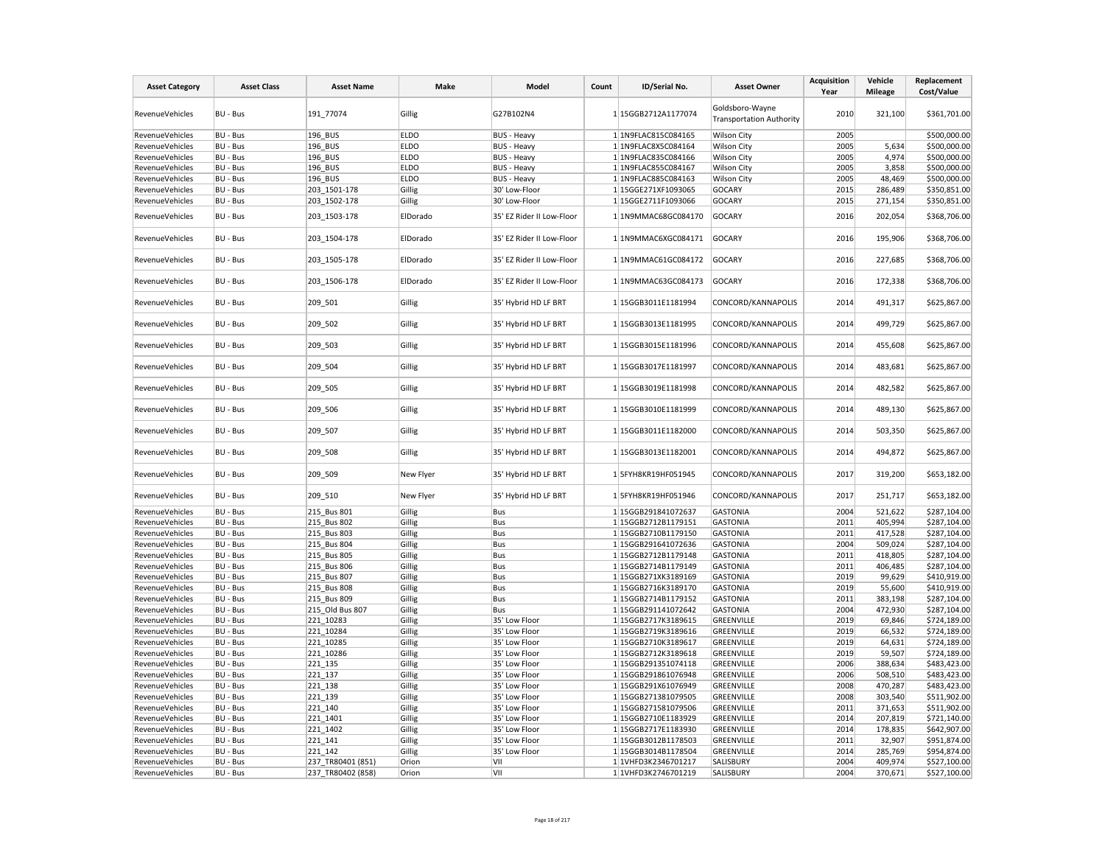| <b>Asset Category</b>  | <b>Asset Class</b> | <b>Asset Name</b> | Make        | Model                     | Count | ID/Serial No.       | <b>Asset Owner</b>                                 | <b>Acquisition</b><br>Year | Vehicle<br><b>Mileage</b> | Replacement<br>Cost/Value |
|------------------------|--------------------|-------------------|-------------|---------------------------|-------|---------------------|----------------------------------------------------|----------------------------|---------------------------|---------------------------|
| RevenueVehicles        | BU - Bus           | 191_77074         | Gillig      | G27B102N4                 |       | 1 15GGB2712A1177074 | Goldsboro-Wayne<br><b>Transportation Authority</b> | 2010                       | 321,100                   | \$361,701.00              |
| RevenueVehicles        | BU - Bus           | 196 BUS           | <b>ELDO</b> | <b>BUS - Heavy</b>        |       | 1 1N9FLAC815C084165 | <b>Wilson City</b>                                 | 2005                       |                           | \$500,000.00              |
| RevenueVehicles        | BU - Bus           | 196 BUS           | <b>ELDO</b> | <b>BUS - Heavy</b>        |       | 1 1N9FLAC8X5C084164 | <b>Wilson City</b>                                 | 2005                       | 5,634                     | \$500,000.00              |
| RevenueVehicles        | BU - Bus           | 196_BUS           | <b>ELDO</b> | <b>BUS - Heavy</b>        |       | 1 1N9FLAC835C084166 | <b>Wilson City</b>                                 | 2005                       | 4.974                     | \$500,000.00              |
| RevenueVehicles        | BU - Bus           | 196_BUS           | <b>ELDO</b> | <b>BUS - Heavy</b>        |       | 1 1N9FLAC855C084167 | <b>Wilson City</b>                                 | 2005                       | 3,858                     | \$500,000.00              |
| RevenueVehicles        | BU - Bus           | 196 BUS           | <b>ELDO</b> | <b>BUS - Heavy</b>        |       | 1 1N9FLAC885C084163 | <b>Wilson City</b>                                 | 2005                       | 48,469                    | \$500,000.00              |
| RevenueVehicles        | BU - Bus           | 203 1501-178      | Gillig      | 30' Low-Floor             |       | 1 15GGE271XF1093065 | <b>GOCARY</b>                                      | 2015                       | 286,489                   | \$350,851.00              |
| RevenueVehicles        | BU - Bus           | 203_1502-178      | Gillig      | 30' Low-Floor             |       | 1 15GGE2711F1093066 | <b>GOCARY</b>                                      | 2015                       | 271,154                   | \$350,851.00              |
| RevenueVehicles        | BU - Bus           | 203_1503-178      | ElDorado    | 35' EZ Rider II Low-Floor |       | 1 1N9MMAC68GC084170 | <b>GOCARY</b>                                      | 2016                       | 202,054                   | \$368,706.00              |
| RevenueVehicles        | BU - Bus           | 203_1504-178      | ElDorado    | 35' EZ Rider II Low-Floor |       | 1 1N9MMAC6XGC084171 | <b>GOCARY</b>                                      | 2016                       | 195,906                   | \$368,706.00              |
| RevenueVehicles        | BU - Bus           | 203_1505-178      | ElDorado    | 35' EZ Rider II Low-Floor |       | 1 1N9MMAC61GC084172 | <b>GOCARY</b>                                      | 2016                       | 227,685                   | \$368,706.00              |
| RevenueVehicles        | <b>BU - Bus</b>    | 203 1506-178      | ElDorado    | 35' EZ Rider II Low-Floor |       | 1 1N9MMAC63GC084173 | <b>GOCARY</b>                                      | 2016                       | 172,338                   | \$368,706.00              |
| RevenueVehicles        | BU - Bus           | 209_501           | Gillig      | 35' Hybrid HD LF BRT      |       | 1 15GGB3011E1181994 | CONCORD/KANNAPOLIS                                 | 2014                       | 491,317                   | \$625,867.00              |
| <b>RevenueVehicles</b> | BU - Bus           | 209_502           | Gillig      | 35' Hybrid HD LF BRT      |       | 1 15GGB3013E1181995 | CONCORD/KANNAPOLIS                                 | 2014                       | 499,729                   | \$625,867.00              |
| RevenueVehicles        | BU - Bus           | 209_503           | Gillig      | 35' Hybrid HD LF BRT      |       | 1 15GGB3015E1181996 | CONCORD/KANNAPOLIS                                 | 2014                       | 455,608                   | \$625,867.00              |
| RevenueVehicles        | BU - Bus           | 209_504           | Gillig      | 35' Hybrid HD LF BRT      |       | 1 15GGB3017E1181997 | CONCORD/KANNAPOLIS                                 | 2014                       | 483,681                   | \$625,867.00              |
| RevenueVehicles        | BU - Bus           | 209_505           | Gillig      | 35' Hybrid HD LF BRT      |       | 1 15GGB3019E1181998 | CONCORD/KANNAPOLIS                                 | 2014                       | 482,582                   | \$625,867.00              |
| RevenueVehicles        | BU - Bus           | 209_506           | Gillig      | 35' Hybrid HD LF BRT      |       | 1 15GGB3010E1181999 | CONCORD/KANNAPOLIS                                 | 2014                       | 489,130                   | \$625,867.00              |
| RevenueVehicles        | BU - Bus           | 209 507           | Gillig      | 35' Hybrid HD LF BRT      |       | 1 15GGB3011E1182000 | CONCORD/KANNAPOLIS                                 | 2014                       | 503,350                   | \$625,867.00              |
| RevenueVehicles        | BU - Bus           | 209_508           | Gillig      | 35' Hybrid HD LF BRT      |       | 1 15GGB3013E1182001 | CONCORD/KANNAPOLIS                                 | 2014                       | 494,872                   | \$625,867.00              |
| RevenueVehicles        | BU - Bus           | 209_509           | New Flyer   | 35' Hybrid HD LF BRT      |       | 1 5FYH8KR19HF051945 | CONCORD/KANNAPOLIS                                 | 2017                       | 319,200                   | \$653,182.00              |
| RevenueVehicles        | BU - Bus           | 209_510           | New Flyer   | 35' Hybrid HD LF BRT      |       | 1 5FYH8KR19HF051946 | CONCORD/KANNAPOLIS                                 | 2017                       | 251,717                   | \$653,182.00              |
| <b>RevenueVehicles</b> | BU - Bus           | 215 Bus 801       | Gillig      | Bus                       |       | 1 15GGB291841072637 | <b>GASTONIA</b>                                    | 2004                       | 521,622                   | \$287,104.00              |
| RevenueVehicles        | BU - Bus           | 215 Bus 802       | Gillig      | Bus                       |       | 1 15GGB2712B1179151 | <b>GASTONIA</b>                                    | 2011                       | 405,994                   | \$287,104.00              |
| RevenueVehicles        | BU - Bus           | 215 Bus 803       | Gillig      | Bus                       |       | 1 15GGB2710B1179150 | <b>GASTONIA</b>                                    | 2011                       | 417,528                   | \$287,104.00              |
| RevenueVehicles        | BU - Bus           | 215 Bus 804       | Gillig      | Bus                       |       | 1 15GGB291641072636 | <b>GASTONIA</b>                                    | 2004                       | 509,024                   | \$287,104.00              |
| RevenueVehicles        | BU - Bus           | 215 Bus 805       | Gillig      | Bus                       |       | 1 15GGB2712B1179148 | <b>GASTONIA</b>                                    | 2011                       | 418,805                   | \$287,104.00              |
| RevenueVehicles        | BU - Bus           | 215 Bus 806       | Gillig      | Bus                       |       | 1 15GGB2714B1179149 | <b>GASTONIA</b>                                    | 2011                       | 406,485                   | \$287,104.00              |
| RevenueVehicles        | BU - Bus           | 215 Bus 807       | Gillig      | Bus                       |       | 1 15GGB271XK3189169 | <b>GASTONIA</b>                                    | 2019                       | 99,629                    | \$410,919.00              |
| RevenueVehicles        | BU - Bus           | 215 Bus 808       | Gillig      | Bus                       |       | 1 15GGB2716K3189170 | <b>GASTONIA</b>                                    | 2019                       | 55,600                    | \$410,919.00              |
| RevenueVehicles        | BU - Bus           | 215 Bus 809       | Gillig      | Bus                       |       | 1 15GGB2714B1179152 | <b>GASTONIA</b>                                    | 2011                       | 383,198                   | \$287,104.00              |
| RevenueVehicles        | BU - Bus           | 215 Old Bus 807   | Gillig      | Bus                       |       | 1 15GGB291141072642 | <b>GASTONIA</b>                                    | 2004                       | 472,930                   | \$287,104.00              |
| RevenueVehicles        | BU - Bus           | 221_10283         | Gillig      | 35' Low Floor             |       | 1 15GGB2717K3189615 | GREENVILLE                                         | 2019                       | 69,846                    | \$724,189.00              |
| RevenueVehicles        | BU - Bus           | 221 10284         | Gillig      | 35' Low Floor             |       | 1 15GGB2719K3189616 | GREENVILLE                                         | 2019                       | 66,532                    | \$724,189.00              |
| RevenueVehicles        | BU - Bus           | 221 10285         | Gillig      | 35' Low Floor             |       | 1 15GGB2710K3189617 | GREENVILLE                                         | 2019                       | 64,631                    | \$724,189.00              |
| RevenueVehicles        | BU - Bus           | 221 10286         | Gillig      | 35' Low Floor             |       | 1 15GGB2712K3189618 | GREENVILLE                                         | 2019                       | 59,507                    | \$724,189.00              |
| RevenueVehicles        | BU - Bus           | 221 135           | Gillig      | 35' Low Floor             |       | 1 15GGB291351074118 | GREENVILLE                                         | 2006                       | 388,634                   | \$483,423.00              |
| RevenueVehicles        | BU - Bus           | 221_137           | Gillig      | 35' Low Floor             |       | 1 15GGB291861076948 | GREENVILLE                                         | 2006                       | 508,510                   | \$483,423.00              |
| RevenueVehicles        | <b>BU - Bus</b>    | 221 138           | Gillig      | 35' Low Floor             |       | 1 15GGB291X61076949 | GREENVILLE                                         | 2008                       | 470,287                   | \$483,423.00              |
| RevenueVehicles        | BU - Bus           | 221 139           | Gillig      | 35' Low Floor             |       | 1 15GGB271381079505 | GREENVILLE                                         | 2008                       | 303,540                   | \$511,902.00              |
| RevenueVehicles        | BU - Bus           | 221_140           | Gillig      | 35' Low Floor             |       | 1 15GGB271581079506 | GREENVILLE                                         | 2011                       | 371,653                   | \$511,902.00              |
| RevenueVehicles        | BU - Bus           | 221 1401          | Gillig      | 35' Low Floor             |       | 1 15GGB2710E1183929 | GREENVILLE                                         | 2014                       | 207,819                   | \$721,140.00              |
| RevenueVehicles        | BU - Bus           | 221 1402          | Gillig      | 35' Low Floor             |       | 1 15GGB2717E1183930 | GREENVILLE                                         | 2014                       | 178,835                   | \$642,907.00              |
| RevenueVehicles        | BU - Bus           | 221 141           | Gillig      | 35' Low Floor             |       | 1 15GGB3012B1178503 | GREENVILLE                                         | 2011                       | 32,907                    | \$951,874.00              |
| RevenueVehicles        | BU - Bus           | 221 142           | Gillig      | 35' Low Floor             |       | 1 15GGB3014B1178504 | GREENVILLE                                         | 2014                       | 285,769                   | \$954,874.00              |
| RevenueVehicles        | BU - Bus           | 237 TR80401 (851) | Orion       | VII                       |       | 1 1VHFD3K2346701217 | SALISBURY                                          | 2004                       | 409,974                   | \$527,100.00              |
| <b>RevenueVehicles</b> | BU - Bus           | 237 TR80402 (858) | Orion       | VII                       |       | 1 1VHFD3K2746701219 | SALISBURY                                          | 2004                       | 370,671                   | \$527,100.00              |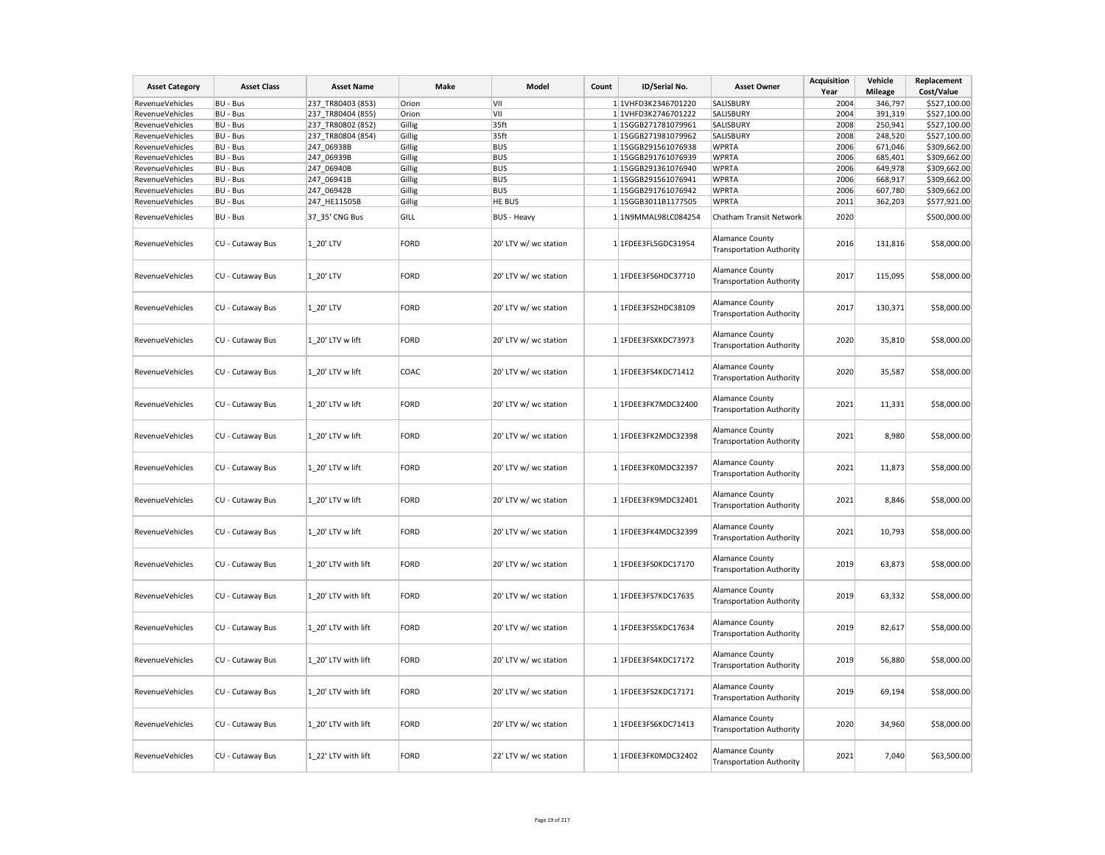| <b>Asset Category</b>  | <b>Asset Class</b> | <b>Asset Name</b>   | Make        | Model                 | Count | ID/Serial No.       | <b>Asset Owner</b>                                        | <b>Acquisition</b><br>Year | Vehicle<br><b>Mileage</b> | Replacement<br>Cost/Value |
|------------------------|--------------------|---------------------|-------------|-----------------------|-------|---------------------|-----------------------------------------------------------|----------------------------|---------------------------|---------------------------|
| RevenueVehicles        | BU - Bus           | 237 TR80403 (853)   | Orion       | VII                   |       | 1 1VHFD3K2346701220 | SALISBURY                                                 | 2004                       | 346,797                   | \$527,100.00              |
| RevenueVehicles        | BU - Bus           | 237 TR80404 (855)   | Orion       | VII                   |       | 1 1VHFD3K2746701222 | SALISBURY                                                 | 2004                       | 391,319                   | \$527,100.00              |
| RevenueVehicles        | BU - Bus           | 237 TR80802 (852)   | Gillig      | 35ft                  |       | 1 15GGB271781079961 | SALISBURY                                                 | 2008                       | 250,941                   | \$527,100.00              |
| RevenueVehicles        | BU - Bus           | 237 TR80804 (854)   | Gillig      | 35ft                  |       | 1 15GGB271981079962 | SALISBURY                                                 | 2008                       | 248,520                   | \$527,100.00              |
| RevenueVehicles        | <b>BU - Bus</b>    | 247 06938B          | Gillig      | <b>BUS</b>            |       | 1 15GGB291561076938 | <b>WPRTA</b>                                              | 2006                       | 671,046                   | \$309,662.00              |
| RevenueVehicles        | BU - Bus           | 247_06939B          | Gillig      | <b>BUS</b>            |       | 1 15GGB291761076939 | <b>WPRTA</b>                                              | 2006                       | 685,401                   | \$309,662.00              |
| <b>RevenueVehicles</b> | BU - Bus           | 247 06940B          | Gillig      | <b>BUS</b>            |       | 1 15GGB291361076940 | <b>WPRTA</b>                                              | 2006                       | 649,978                   | \$309,662.00              |
| RevenueVehicles        | BU - Bus           | 247 06941B          | Gillig      | <b>BUS</b>            |       | 1 15GGB291561076941 | <b>WPRTA</b>                                              | 2006                       | 668,917                   | \$309,662.00              |
| RevenueVehicles        | BU - Bus           | 247_06942B          | Gillig      | <b>BUS</b>            |       | 1 15GGB291761076942 | <b>WPRTA</b>                                              | 2006                       | 607,780                   | \$309,662.00              |
| RevenueVehicles        | BU - Bus           | 247_HE11505B        | Gillig      | HE BUS                |       | 1 15GGB3011B1177505 | <b>WPRTA</b>                                              | 2011                       | 362,203                   | \$577,921.00              |
| RevenueVehicles        | BU - Bus           | 37_35' CNG Bus      | GILL        | <b>BUS - Heavy</b>    |       | 1 1N9MMAL98LC084254 | Chatham Transit Network                                   | 2020                       |                           | \$500,000.00              |
| <b>RevenueVehicles</b> | CU - Cutaway Bus   | 1 20' LTV           | FORD        | 20' LTV w/ wc station |       | 1 1FDEE3FL5GDC31954 | Alamance County<br><b>Transportation Authority</b>        | 2016                       | 131,816                   | \$58,000.00               |
| RevenueVehicles        | CU - Cutaway Bus   | 1 20' LTV           | FORD        | 20' LTV w/ wc station |       | 1 1FDEE3FS6HDC37710 | Alamance County<br><b>Transportation Authority</b>        | 2017                       | 115,095                   | \$58,000.00               |
| RevenueVehicles        | CU - Cutaway Bus   | 1 20' LTV           | FORD        | 20' LTV w/ wc station |       | 1 1FDEE3FS2HDC38109 | <b>Alamance County</b><br><b>Transportation Authority</b> | 2017                       | 130,371                   | \$58,000.00               |
| RevenueVehicles        | CU - Cutaway Bus   | 1 20' LTV w lift    | <b>FORD</b> | 20' LTV w/ wc station |       | 1 1FDEE3FSXKDC73973 | <b>Alamance County</b><br><b>Transportation Authority</b> | 2020                       | 35,810                    | \$58,000.00               |
| <b>RevenueVehicles</b> | CU - Cutaway Bus   | 1 20' LTV w lift    | COAC        | 20' LTV w/ wc station |       | 1 1FDEE3FS4KDC71412 | <b>Alamance County</b><br><b>Transportation Authority</b> | 2020                       | 35,587                    | \$58,000.00               |
| <b>RevenueVehicles</b> | CU - Cutaway Bus   | 1 20' LTV w lift    | FORD        | 20' LTV w/ wc station |       | 1 1FDEE3FK7MDC32400 | <b>Alamance County</b><br><b>Transportation Authority</b> | 2021                       | 11,331                    | \$58,000.00               |
| RevenueVehicles        | CU - Cutaway Bus   | 1 20' LTV w lift    | FORD        | 20' LTV w/ wc station |       | 1 1FDEE3FK2MDC32398 | <b>Alamance County</b><br><b>Transportation Authority</b> | 2021                       | 8,980                     | \$58,000.00               |
| RevenueVehicles        | CU - Cutaway Bus   | 1 20' LTV w lift    | FORD        | 20' LTV w/ wc station |       | 1 1FDEE3FK0MDC32397 | <b>Alamance County</b><br><b>Transportation Authority</b> | 2021                       | 11,873                    | \$58,000.00               |
| RevenueVehicles        | CU - Cutaway Bus   | 1 20' LTV w lift    | FORD        | 20' LTV w/ wc station |       | 1 1FDEE3FK9MDC32401 | <b>Alamance County</b><br><b>Transportation Authority</b> | 2021                       | 8,846                     | \$58,000.00               |
| <b>RevenueVehicles</b> | CU - Cutaway Bus   | 1 20' LTV w lift    | FORD        | 20' LTV w/ wc station |       | 1 1FDEE3FK4MDC32399 | Alamance County<br><b>Transportation Authority</b>        | 2021                       | 10,793                    | \$58,000.00               |
| RevenueVehicles        | CU - Cutaway Bus   | 1 20' LTV with lift | FORD        | 20' LTV w/ wc station |       | 1 1FDEE3FS0KDC17170 | Alamance County<br><b>Transportation Authority</b>        | 2019                       | 63,873                    | \$58,000.00               |
| RevenueVehicles        | CU - Cutaway Bus   | 1 20' LTV with lift | FORD        | 20' LTV w/ wc station |       | 1 1FDEE3FS7KDC17635 | Alamance County<br><b>Transportation Authority</b>        | 2019                       | 63,332                    | \$58,000.00               |
| RevenueVehicles        | CU - Cutaway Bus   | 1 20' LTV with lift | FORD        | 20' LTV w/ wc station |       | 1 1FDEE3FS5KDC17634 | Alamance County<br><b>Transportation Authority</b>        | 2019                       | 82,617                    | \$58,000.00               |
| RevenueVehicles        | CU - Cutaway Bus   | 1 20' LTV with lift | FORD        | 20' LTV w/ wc station |       | 1 1FDEE3FS4KDC17172 | <b>Alamance County</b><br><b>Transportation Authority</b> | 2019                       | 56,880                    | \$58,000.00               |
| RevenueVehicles        | CU - Cutaway Bus   | 1_20' LTV with lift | FORD        | 20' LTV w/ wc station |       | 1 1FDEE3FS2KDC17171 | <b>Alamance County</b><br><b>Transportation Authority</b> | 2019                       | 69,194                    | \$58,000.00               |
| RevenueVehicles        | CU - Cutaway Bus   | 1 20' LTV with lift | FORD        | 20' LTV w/ wc station |       | 1 1FDEE3FS6KDC71413 | <b>Alamance County</b><br><b>Transportation Authority</b> | 2020                       | 34,960                    | \$58,000.00               |
| RevenueVehicles        | CU - Cutaway Bus   | 1 22' LTV with lift | FORD        | 22' LTV w/ wc station |       | 1 1FDEE3FK0MDC32402 | <b>Alamance County</b><br><b>Transportation Authority</b> | 2021                       | 7,040                     | \$63,500.00               |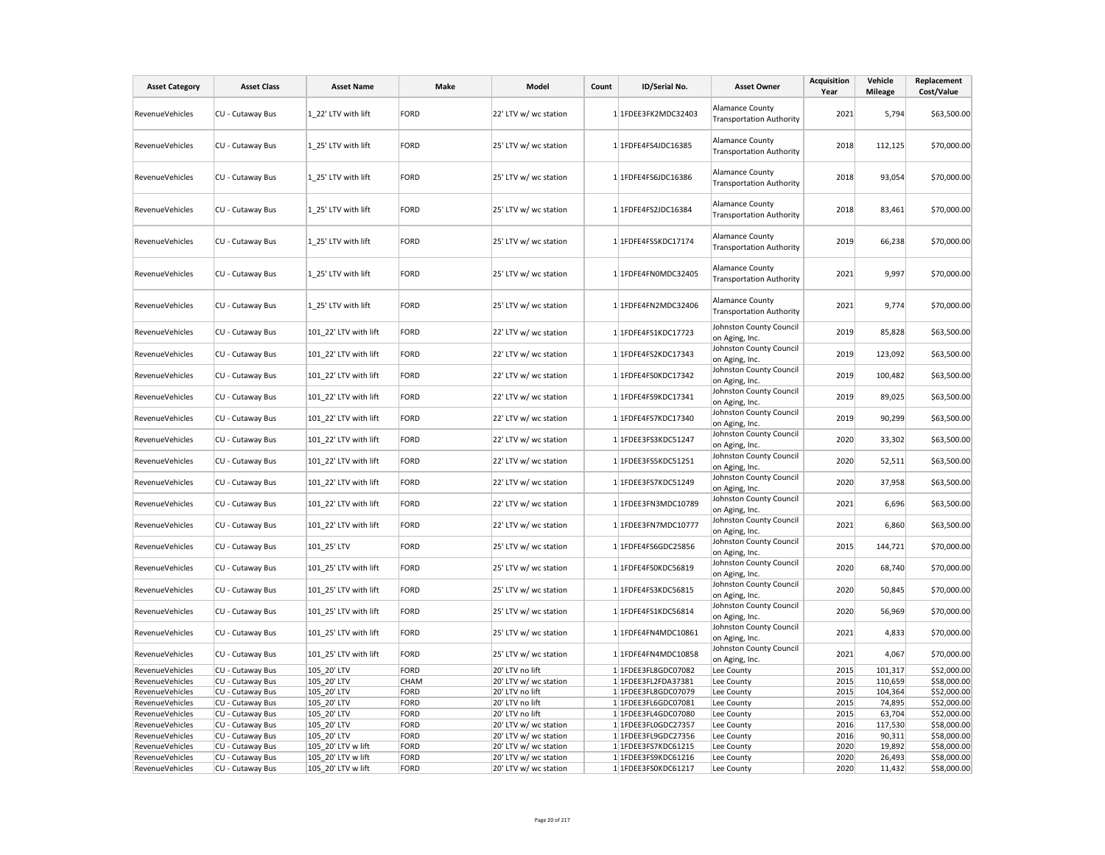| <b>Asset Category</b>              | <b>Asset Class</b>                   | <b>Asset Name</b>                 | Make         | Model                                          | Count | ID/Serial No.                              | <b>Asset Owner</b>                                        | <b>Acquisition</b><br>Year | Vehicle<br><b>Mileage</b> | Replacement<br>Cost/Value  |
|------------------------------------|--------------------------------------|-----------------------------------|--------------|------------------------------------------------|-------|--------------------------------------------|-----------------------------------------------------------|----------------------------|---------------------------|----------------------------|
| RevenueVehicles                    | CU - Cutaway Bus                     | 1 22' LTV with lift               | FORD         | 22' LTV w/ wc station                          |       | 1 1FDEE3FK2MDC32403                        | Alamance County<br><b>Transportation Authority</b>        | 2021                       | 5,794                     | \$63,500.00                |
| RevenueVehicles                    | CU - Cutaway Bus                     | 1 25' LTV with lift               | FORD         | 25' LTV w/ wc station                          |       | 1 1FDFE4FS4JDC16385                        | <b>Alamance County</b><br><b>Transportation Authority</b> | 2018                       | 112,125                   | \$70,000.00                |
| RevenueVehicles                    | CU - Cutaway Bus                     | 1 25' LTV with lift               | FORD         | 25' LTV w/ wc station                          |       | 1 1FDFE4FS6JDC16386                        | <b>Alamance County</b><br><b>Transportation Authority</b> | 2018                       | 93,054                    | \$70,000.00                |
| <b>RevenueVehicles</b>             | CU - Cutaway Bus                     | 1_25' LTV with lift               | FORD         | 25' LTV w/ wc station                          |       | 1 1FDFE4FS2JDC16384                        | <b>Alamance County</b><br><b>Transportation Authority</b> | 2018                       | 83,461                    | \$70,000.00                |
| RevenueVehicles                    | CU - Cutaway Bus                     | 1 25' LTV with lift               | FORD         | 25' LTV w/ wc station                          |       | 1 1FDFE4FS5KDC17174                        | Alamance County<br><b>Transportation Authority</b>        | 2019                       | 66,238                    | \$70,000.00                |
| RevenueVehicles                    | CU - Cutaway Bus                     | 1 25' LTV with lift               | FORD         | 25' LTV w/ wc station                          |       | 1 1FDFE4FN0MDC32405                        | <b>Alamance County</b><br><b>Transportation Authority</b> | 2021                       | 9,997                     | \$70,000.00                |
| RevenueVehicles                    | CU - Cutaway Bus                     | 1 25' LTV with lift               | FORD         | 25' LTV w/ wc station                          |       | 1 1FDFE4FN2MDC32406                        | <b>Alamance County</b><br><b>Transportation Authority</b> | 2021                       | 9,774                     | \$70,000.00                |
| RevenueVehicles                    | CU - Cutaway Bus                     | 101_22' LTV with lift             | <b>FORD</b>  | 22' LTV w/ wc station                          |       | 1 1FDFE4FS1KDC17723                        | Johnston County Council<br>on Aging, Inc.                 | 2019                       | 85,828                    | \$63,500.00                |
| RevenueVehicles                    | CU - Cutaway Bus                     | 101 22' LTV with lift             | FORD         | 22' LTV w/ wc station                          |       | 1 1FDFE4FS2KDC17343                        | Johnston County Council<br>on Aging, Inc.                 | 2019                       | 123,092                   | \$63,500.00                |
| <b>RevenueVehicles</b>             | CU - Cutaway Bus                     | 101 22' LTV with lift             | FORD         | 22' LTV w/ wc station                          |       | 1 1FDFE4FS0KDC17342                        | Johnston County Council<br>on Aging, Inc.                 | 2019                       | 100,482                   | \$63,500.00                |
| RevenueVehicles                    | CU - Cutaway Bus                     | 101 22' LTV with lift             | <b>FORD</b>  | 22' LTV w/ wc station                          |       | 1 1FDFE4FS9KDC17341                        | Johnston County Council<br>on Aging, Inc.                 | 2019                       | 89,025                    | \$63,500.00                |
| RevenueVehicles                    | CU - Cutaway Bus                     | 101 22' LTV with lift             | FORD         | 22' LTV w/ wc station                          |       | 1 1FDFE4FS7KDC17340                        | Johnston County Council<br>on Aging, Inc.                 | 2019                       | 90,299                    | \$63,500.00                |
| RevenueVehicles                    | CU - Cutaway Bus                     | 101_22' LTV with lift             | FORD         | 22' LTV w/ wc station                          |       | 1 1FDEE3FS3KDC51247                        | Johnston County Council<br>on Aging, Inc.                 | 2020                       | 33,302                    | \$63,500.00                |
| RevenueVehicles                    | CU - Cutaway Bus                     | 101_22' LTV with lift             | FORD         | 22' LTV w/ wc station                          |       | 1 1FDEE3FS5KDC51251                        | Johnston County Council<br>on Aging, Inc.                 | 2020                       | 52,511                    | \$63,500.00                |
| <b>RevenueVehicles</b>             | CU - Cutaway Bus                     | 101 22' LTV with lift             | FORD         | 22' LTV w/ wc station                          |       | 1 1FDEE3FS7KDC51249                        | Johnston County Council<br>on Aging, Inc.                 | 2020                       | 37,958                    | \$63,500.00                |
| <b>RevenueVehicles</b>             | CU - Cutaway Bus                     | 101 22' LTV with lift             | FORD         | 22' LTV w/ wc station                          |       | 1 1FDEE3FN3MDC10789                        | Johnston County Council<br>on Aging, Inc.                 | 2021                       | 6,696                     | \$63,500.00                |
| RevenueVehicles                    | CU - Cutaway Bus                     | 101 22' LTV with lift             | FORD         | 22' LTV w/ wc station                          |       | 1 1FDEE3FN7MDC10777                        | Johnston County Council<br>on Aging, Inc.                 | 2021                       | 6,860                     | \$63,500.00                |
| RevenueVehicles                    | CU - Cutaway Bus                     | 101_25' LTV                       | FORD         | 25' LTV w/ wc station                          |       | 1 1FDFE4FS6GDC25856                        | Johnston County Council<br>on Aging, Inc.                 | 2015                       | 144,721                   | \$70,000.00                |
| RevenueVehicles                    | CU - Cutaway Bus                     | 101_25' LTV with lift             | FORD         | 25' LTV w/ wc station                          |       | 1 1FDFE4FS0KDC56819                        | Johnston County Council<br>on Aging, Inc.                 | 2020                       | 68,740                    | \$70,000.00                |
| <b>RevenueVehicles</b>             | CU - Cutaway Bus                     | 101 25' LTV with lift             | FORD         | 25' LTV w/ wc station                          |       | 1 1FDFE4FS3KDC56815                        | Johnston County Council<br>on Aging, Inc.                 | 2020                       | 50,845                    | \$70,000.00                |
| <b>RevenueVehicles</b>             | CU - Cutaway Bus                     | 101 25' LTV with lift             | <b>FORD</b>  | 25' LTV w/ wc station                          |       | 1 1FDFE4FS1KDC56814                        | Johnston County Council<br>on Aging, Inc.                 | 2020                       | 56,969                    | \$70,000.00                |
| RevenueVehicles                    | CU - Cutaway Bus                     | 101 25' LTV with lift             | FORD         | 25' LTV w/ wc station                          |       | 1 1FDFE4FN4MDC10861                        | Johnston County Council<br>on Aging, Inc.                 | 2021                       | 4,833                     | \$70,000.00                |
| RevenueVehicles                    | CU - Cutaway Bus                     | 101_25' LTV with lift             | FORD         | 25' LTV w/ wc station                          |       | 1 1FDFE4FN4MDC10858                        | Johnston County Council<br>on Aging, Inc.                 | 2021                       | 4,067                     | \$70,000.00                |
| RevenueVehicles                    | CU - Cutaway Bus                     | 105 20' LTV                       | FORD         | 20' LTV no lift                                |       | 1 1FDEE3FL8GDC07082                        | Lee County                                                | 2015                       | 101,317                   | \$52,000.00                |
| <b>RevenueVehicles</b>             | CU - Cutaway Bus                     | 105 20' LTV                       | <b>CHAM</b>  | 20' LTV w/ wc station                          |       | 1 1FDEE3FL2FDA37381                        | Lee County                                                | 2015                       | 110,659                   | \$58,000.00                |
| RevenueVehicles                    | CU - Cutaway Bus                     | 105 20' LTV                       | FORD         | 20' LTV no lift                                |       | 1 1FDEE3FL8GDC07079                        | Lee County                                                | 2015                       | 104,364                   | \$52,000.00                |
| RevenueVehicles                    | CU - Cutaway Bus                     | 105 20' LTV                       | FORD         | 20' LTV no lift                                |       | 1 1FDEE3FL6GDC07081                        | Lee County                                                | 2015                       | 74,895                    | \$52,000.00                |
| RevenueVehicles                    | CU - Cutaway Bus                     | 105 20' LTV                       | FORD         | 20' LTV no lift                                |       | 1 1FDEE3FL4GDC07080                        | Lee County                                                | 2015                       | 63,704                    | \$52,000.00                |
| RevenueVehicles                    | CU - Cutaway Bus                     | 105 20' LTV                       | FORD         | 20' LTV w/ wc station                          |       | 1 1FDEE3FL0GDC27357                        | Lee County                                                | 2016                       | 117,530                   | \$58,000.00                |
| RevenueVehicles<br>RevenueVehicles | CU - Cutaway Bus<br>CU - Cutaway Bus | 105 20' LTV<br>105 20' LTV w lift | FORD<br>FORD | 20' LTV w/ wc station<br>20' LTV w/ wc station |       | 1 1FDEE3FL9GDC27356<br>1 1FDEE3FS7KDC61215 | Lee County<br>Lee County                                  | 2016<br>2020               | 90,311<br>19,892          | \$58,000.00<br>\$58,000.00 |
| RevenueVehicles                    | CU - Cutaway Bus                     | 105 20' LTV w lift                | FORD         | 20' LTV w/ wc station                          |       | 1 1FDEE3FS9KDC61216                        | Lee County                                                | 2020                       | 26,493                    | \$58,000.00                |
| RevenueVehicles                    | CU - Cutaway Bus                     | 105 20' LTV w lift                | FORD         | 20' LTV w/ wc station                          |       | 1 1FDEE3FS0KDC61217                        | Lee County                                                | 2020                       | 11,432                    | \$58,000.00                |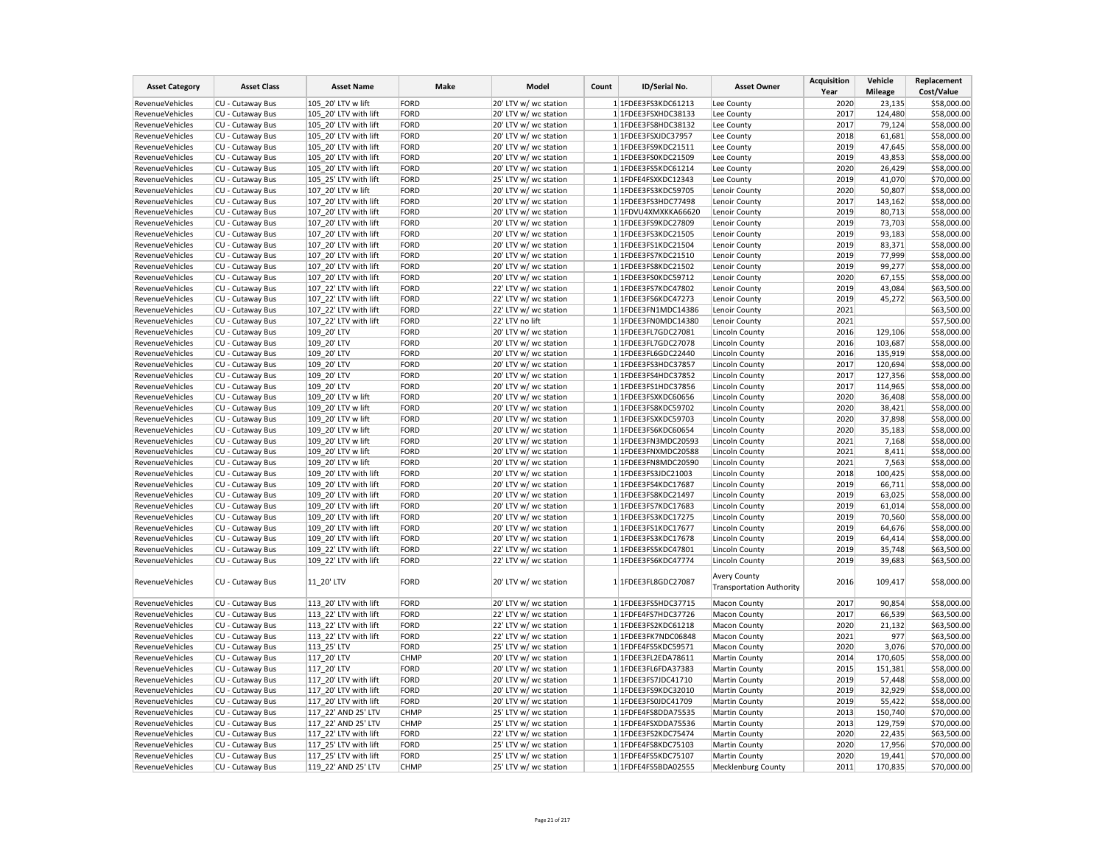| <b>Asset Category</b>  | <b>Asset Class</b> | <b>Asset Name</b>     | Make        | Model                 | Count | ID/Serial No.       | <b>Asset Owner</b>                                     | <b>Acquisition</b><br>Year | Vehicle<br><b>Mileage</b> | Replacement<br>Cost/Value |
|------------------------|--------------------|-----------------------|-------------|-----------------------|-------|---------------------|--------------------------------------------------------|----------------------------|---------------------------|---------------------------|
| RevenueVehicles        | CU - Cutaway Bus   | 105 20' LTV w lift    | <b>FORD</b> | 20' LTV w/ wc station |       | 1 1FDEE3FS3KDC61213 | Lee County                                             | 2020                       | 23,135                    | \$58,000.00               |
| RevenueVehicles        | CU - Cutaway Bus   | 105 20' LTV with lift | FORD        | 20' LTV w/ wc station |       | 1 1FDEE3FSXHDC38133 | Lee County                                             | 2017                       | 124,480                   | \$58,000.00               |
| RevenueVehicles        | CU - Cutaway Bus   | 105_20' LTV with lift | FORD        | 20' LTV w/ wc station |       | 1 1FDEE3FS8HDC38132 | Lee County                                             | 2017                       | 79,124                    | \$58,000.00               |
| RevenueVehicles        | CU - Cutaway Bus   | 105 20' LTV with lift | FORD        | 20' LTV w/ wc station |       | 1 1FDEE3FSXJDC37957 | Lee County                                             | 2018                       | 61,681                    | \$58,000.00               |
| RevenueVehicles        | CU - Cutaway Bus   | 105 20' LTV with lift | FORD        | 20' LTV w/ wc station |       | 1 1FDEE3FS9KDC21511 | Lee County                                             | 2019                       | 47,645                    | \$58,000.00               |
| RevenueVehicles        | CU - Cutaway Bus   | 105 20' LTV with lift | FORD        | 20' LTV w/ wc station |       | 1 1FDEE3FS0KDC21509 | Lee County                                             | 2019                       | 43,853                    | \$58,000.00               |
| <b>RevenueVehicles</b> | CU - Cutaway Bus   | 105 20' LTV with lift | FORD        | 20' LTV w/ wc station |       | 1 1FDEE3FS5KDC61214 | Lee County                                             | 2020                       | 26,429                    | \$58,000.00               |
| RevenueVehicles        | CU - Cutaway Bus   | 105 25' LTV with lift | FORD        | 25' LTV w/ wc station |       | 1 1FDFE4FSXKDC12343 | Lee County                                             | 2019                       | 41,070                    | \$70,000.00               |
| RevenueVehicles        | CU - Cutaway Bus   | 107_20' LTV w lift    | FORD        | 20' LTV w/ wc station |       | 1 1FDEE3FS3KDC59705 | Lenoir County                                          | 2020                       | 50,807                    | \$58,000.00               |
| RevenueVehicles        | CU - Cutaway Bus   | 107 20' LTV with lift | FORD        | 20' LTV w/ wc station |       | 1 1FDEE3FS3HDC77498 | Lenoir County                                          | 2017                       | 143,162                   | \$58,000.00               |
| RevenueVehicles        | CU - Cutaway Bus   | 107 20' LTV with lift | FORD        | 20' LTV w/ wc station |       | 1 1FDVU4XMXKKA66620 | Lenoir County                                          | 2019                       | 80,713                    | \$58,000.00               |
| RevenueVehicles        | CU - Cutaway Bus   | 107 20' LTV with lift | FORD        | 20' LTV w/ wc station |       | 1 1FDEE3FS9KDC27809 | Lenoir County                                          | 2019                       | 73,703                    | \$58,000.00               |
| RevenueVehicles        | CU - Cutaway Bus   | 107 20' LTV with lift | FORD        | 20' LTV w/ wc station |       | 1 1FDEE3FS3KDC21505 | Lenoir County                                          | 2019                       | 93,183                    | \$58,000.00               |
| RevenueVehicles        | CU - Cutaway Bus   | 107 20' LTV with lift | FORD        | 20' LTV w/ wc station |       | 1 1FDEE3FS1KDC21504 | Lenoir County                                          | 2019                       | 83,371                    | \$58,000.00               |
| RevenueVehicles        | CU - Cutaway Bus   | 107 20' LTV with lift | FORD        | 20' LTV w/ wc station |       | 1 1FDEE3FS7KDC21510 | Lenoir County                                          | 2019                       | 77,999                    | \$58,000.00               |
| RevenueVehicles        | CU - Cutaway Bus   | 107 20' LTV with lift | FORD        | 20' LTV w/ wc station |       | 1 1FDEE3FS8KDC21502 | Lenoir County                                          | 2019                       | 99,277                    | \$58,000.00               |
| RevenueVehicles        | CU - Cutaway Bus   | 107 20' LTV with lift | FORD        | 20' LTV w/ wc station |       | 1 1FDEE3FS0KDC59712 | Lenoir County                                          | 2020                       | 67,155                    | \$58,000.00               |
| RevenueVehicles        | CU - Cutaway Bus   | 107 22' LTV with lift | FORD        | 22' LTV w/ wc station |       | 1 1FDEE3FS7KDC47802 | Lenoir County                                          | 2019                       | 43,084                    | \$63,500.00               |
| <b>RevenueVehicles</b> | CU - Cutaway Bus   | 107 22' LTV with lift | FORD        | 22' LTV w/ wc station |       | 1 1FDEE3FS6KDC47273 | Lenoir County                                          | 2019                       | 45,272                    | \$63,500.00               |
| RevenueVehicles        | CU - Cutaway Bus   | 107 22' LTV with lift | FORD        | 22' LTV w/ wc station |       | 1 1FDEE3FN1MDC14386 | Lenoir County                                          | 2021                       |                           | \$63,500.00               |
| RevenueVehicles        | CU - Cutaway Bus   | 107 22' LTV with lift | FORD        | 22' LTV no lift       |       | 1 1FDEE3FN0MDC14380 | Lenoir County                                          | 2021                       |                           | \$57,500.00               |
| RevenueVehicles        | CU - Cutaway Bus   | 109 20' LTV           | FORD        | 20' LTV w/ wc station |       | 1 1FDEE3FL7GDC27081 | <b>Lincoln County</b>                                  | 2016                       | 129,106                   | \$58,000.00               |
| RevenueVehicles        | CU - Cutaway Bus   | 109 20' LTV           | FORD        | 20' LTV w/ wc station |       | 1 1FDEE3FL7GDC27078 | Lincoln County                                         | 2016                       | 103,687                   | \$58,000.00               |
| RevenueVehicles        | CU - Cutaway Bus   | 109_20' LTV           | FORD        | 20' LTV w/ wc station |       | 1 1FDEE3FL6GDC22440 | <b>Lincoln County</b>                                  | 2016                       | 135,919                   | \$58,000.00               |
| RevenueVehicles        | CU - Cutaway Bus   | 109 20' LTV           | FORD        | 20' LTV w/ wc station |       | 1 1FDEE3FS3HDC37857 | Lincoln County                                         | 2017                       | 120,694                   | \$58,000.00               |
| RevenueVehicles        | CU - Cutaway Bus   | 109 20' LTV           | FORD        | 20' LTV w/ wc station |       | 1 1FDEE3FS4HDC37852 | Lincoln County                                         | 2017                       | 127,356                   | \$58,000.00               |
| RevenueVehicles        | CU - Cutaway Bus   | 109 20' LTV           | FORD        | 20' LTV w/ wc station |       | 1 1FDEE3FS1HDC37856 | Lincoln County                                         | 2017                       | 114,965                   | \$58,000.00               |
| RevenueVehicles        | CU - Cutaway Bus   | 109 20' LTV w lift    | FORD        | 20' LTV w/ wc station |       | 1 1FDEE3FSXKDC60656 | <b>Lincoln County</b>                                  | 2020                       | 36,408                    | \$58,000.00               |
| RevenueVehicles        | CU - Cutaway Bus   | 109 20' LTV w lift    | FORD        | 20' LTV w/ wc station |       | 1 1FDEE3FS8KDC59702 | <b>Lincoln County</b>                                  | 2020                       | 38,421                    | \$58,000.00               |
| RevenueVehicles        | CU - Cutaway Bus   | 109 20' LTV w lift    | FORD        | 20' LTV w/ wc station |       | 1 1FDEE3FSXKDC59703 | <b>Lincoln County</b>                                  | 2020                       | 37,898                    | \$58,000.00               |
| RevenueVehicles        | CU - Cutaway Bus   | 109 20' LTV w lift    | FORD        | 20' LTV w/ wc station |       | 1 1FDEE3FS6KDC60654 | <b>Lincoln County</b>                                  | 2020                       | 35,183                    | \$58,000.00               |
| <b>RevenueVehicles</b> | CU - Cutaway Bus   | 109 20' LTV w lift    | FORD        | 20' LTV w/ wc station |       | 1 1FDEE3FN3MDC20593 | <b>Lincoln County</b>                                  | 2021                       | 7,168                     | \$58,000.00               |
| RevenueVehicles        | CU - Cutaway Bus   | 109 20' LTV w lift    | FORD        | 20' LTV w/ wc station |       | 1 1FDEE3FNXMDC20588 | Lincoln County                                         | 2021                       | 8,411                     | \$58,000.00               |
| RevenueVehicles        | CU - Cutaway Bus   | 109 20' LTV w lift    | FORD        | 20' LTV w/ wc station |       | 1 1FDEE3FN8MDC20590 | Lincoln County                                         | 2021                       | 7,563                     | \$58,000.00               |
| RevenueVehicles        | CU - Cutaway Bus   | 109 20' LTV with lift | FORD        | 20' LTV w/ wc station |       | 1 1FDEE3FS3JDC21003 | <b>Lincoln County</b>                                  | 2018                       | 100,425                   | \$58,000.00               |
| RevenueVehicles        | CU - Cutaway Bus   | 109 20' LTV with lift | FORD        | 20' LTV w/ wc station |       | 1 1FDEE3FS4KDC17687 | Lincoln County                                         | 2019                       | 66,711                    | \$58,000.00               |
| <b>RevenueVehicles</b> | CU - Cutaway Bus   | 109 20' LTV with lift | FORD        | 20' LTV w/ wc station |       | 1 1FDEE3FS8KDC21497 | <b>Lincoln County</b>                                  | 2019                       | 63,025                    | \$58,000.00               |
| RevenueVehicles        | CU - Cutaway Bus   | 109 20' LTV with lift | FORD        | 20' LTV w/ wc station |       | 1 1FDEE3FS7KDC17683 | <b>Lincoln County</b>                                  | 2019                       | 61,014                    | \$58,000.00               |
| RevenueVehicles        | CU - Cutaway Bus   | 109 20' LTV with lift | FORD        | 20' LTV w/ wc station |       | 1 1FDEE3FS3KDC17275 | <b>Lincoln County</b>                                  | 2019                       | 70,560                    | \$58,000.00               |
| RevenueVehicles        | CU - Cutaway Bus   | 109 20' LTV with lift | FORD        | 20' LTV w/ wc station |       | 1 1FDEE3FS1KDC17677 | <b>Lincoln County</b>                                  | 2019                       | 64,676                    | \$58,000.00               |
| RevenueVehicles        | CU - Cutaway Bus   | 109 20' LTV with lift | FORD        | 20' LTV w/ wc station |       | 1 1FDEE3FS3KDC17678 | <b>Lincoln County</b>                                  | 2019                       | 64,414                    | \$58,000.00               |
| RevenueVehicles        | CU - Cutaway Bus   | 109 22' LTV with lift | FORD        | 22' LTV w/ wc station |       | 1 1FDEE3FS5KDC47801 | Lincoln County                                         | 2019                       | 35,748                    | \$63,500.00               |
| RevenueVehicles        | CU - Cutaway Bus   | 109 22' LTV with lift | FORD        | 22' LTV w/ wc station |       | 1 1FDEE3FS6KDC47774 | Lincoln County                                         | 2019                       | 39,683                    | \$63,500.00               |
| RevenueVehicles        | CU - Cutaway Bus   | 11 20' LTV            | FORD        | 20' LTV w/ wc station |       | 1 1FDEE3FL8GDC27087 | <b>Avery County</b><br><b>Transportation Authority</b> | 2016                       | 109,417                   | \$58,000.00               |
| RevenueVehicles        | CU - Cutaway Bus   | 113 20' LTV with lift | FORD        | 20' LTV w/ wc station |       | 1 1FDEE3FS5HDC37715 | <b>Macon County</b>                                    | 2017                       | 90,854                    | \$58,000.00               |
| RevenueVehicles        | CU - Cutaway Bus   | 113 22' LTV with lift | FORD        | 22' LTV w/ wc station |       | 1 1FDFE4FS7HDC37726 | <b>Macon County</b>                                    | 2017                       | 66,539                    | \$63,500.00               |
| <b>RevenueVehicles</b> | CU - Cutaway Bus   | 113 22' LTV with lift | FORD        | 22' LTV w/ wc station |       | 1 1FDEE3FS2KDC61218 | <b>Macon County</b>                                    | 2020                       | 21,132                    | \$63,500.00               |
| RevenueVehicles        | CU - Cutaway Bus   | 113 22' LTV with lift | FORD        | 22' LTV w/ wc station |       | 1 1FDEE3FK7NDC06848 | <b>Macon County</b>                                    | 2021                       | 977                       | \$63,500.00               |
| RevenueVehicles        | CU - Cutaway Bus   | 113 25' LTV           | FORD        | 25' LTV w/ wc station |       | 1 1FDFE4FS5KDC59571 | <b>Macon County</b>                                    | 2020                       | 3,076                     | \$70,000.00               |
| RevenueVehicles        | CU - Cutaway Bus   | 117 20' LTV           | CHMP        | 20' LTV w/ wc station |       | 1 1FDEE3FL2EDA78611 | <b>Martin County</b>                                   | 2014                       | 170,605                   | \$58,000.00               |
| RevenueVehicles        | CU - Cutaway Bus   | 117 20' LTV           | FORD        | 20' LTV w/ wc station |       | 1 1FDEE3FL6FDA37383 | <b>Martin County</b>                                   | 2015                       | 151,381                   | \$58,000.00               |
| RevenueVehicles        | CU - Cutaway Bus   | 117 20' LTV with lift | FORD        | 20' LTV w/ wc station |       | 1 1FDEE3FS7JDC41710 | <b>Martin County</b>                                   | 2019                       | 57,448                    | \$58,000.00               |
| RevenueVehicles        | CU - Cutaway Bus   | 117 20' LTV with lift | FORD        | 20' LTV w/ wc station |       | 1 1FDEE3FS9KDC32010 | Martin County                                          | 2019                       | 32,929                    | \$58,000.00               |
| RevenueVehicles        | CU - Cutaway Bus   | 117 20' LTV with lift | FORD        | 20' LTV w/ wc station |       | 1 1FDEE3FS0JDC41709 | Martin County                                          | 2019                       | 55,422                    | \$58,000.00               |
| RevenueVehicles        | CU - Cutaway Bus   | 117 22' AND 25' LTV   | <b>CHMP</b> | 25' LTV w/ wc station |       | 1 1FDFE4FS8DDA75535 | <b>Martin County</b>                                   | 2013                       | 150,740                   | \$70,000.00               |
| RevenueVehicles        | CU - Cutaway Bus   | 117 22' AND 25' LTV   | <b>CHMP</b> | 25' LTV w/ wc station |       | 1 1FDFE4FSXDDA75536 | Martin County                                          | 2013                       | 129,759                   | \$70,000.00               |
| RevenueVehicles        | CU - Cutaway Bus   | 117 22' LTV with lift | FORD        | 22' LTV w/ wc station |       | 1 1FDEE3FS2KDC75474 | Martin County                                          | 2020                       | 22,435                    | \$63,500.00               |
| RevenueVehicles        | CU - Cutaway Bus   | 117 25' LTV with lift | FORD        | 25' LTV w/ wc station |       | 1 1FDFE4FS8KDC75103 | Martin County                                          | 2020                       | 17,956                    | \$70,000.00               |
| RevenueVehicles        | CU - Cutaway Bus   | 117 25' LTV with lift | FORD        | 25' LTV w/ wc station |       | 1 1FDFE4FS5KDC75107 | Martin County                                          | 2020                       | 19,441                    | \$70,000.00               |
| RevenueVehicles        | CU - Cutaway Bus   | 119 22' AND 25' LTV   | <b>CHMP</b> | 25' LTV w/ wc station |       | 1 1FDFE4FS5BDA02555 | Mecklenburg County                                     | 2011                       | 170,835                   | \$70,000.00               |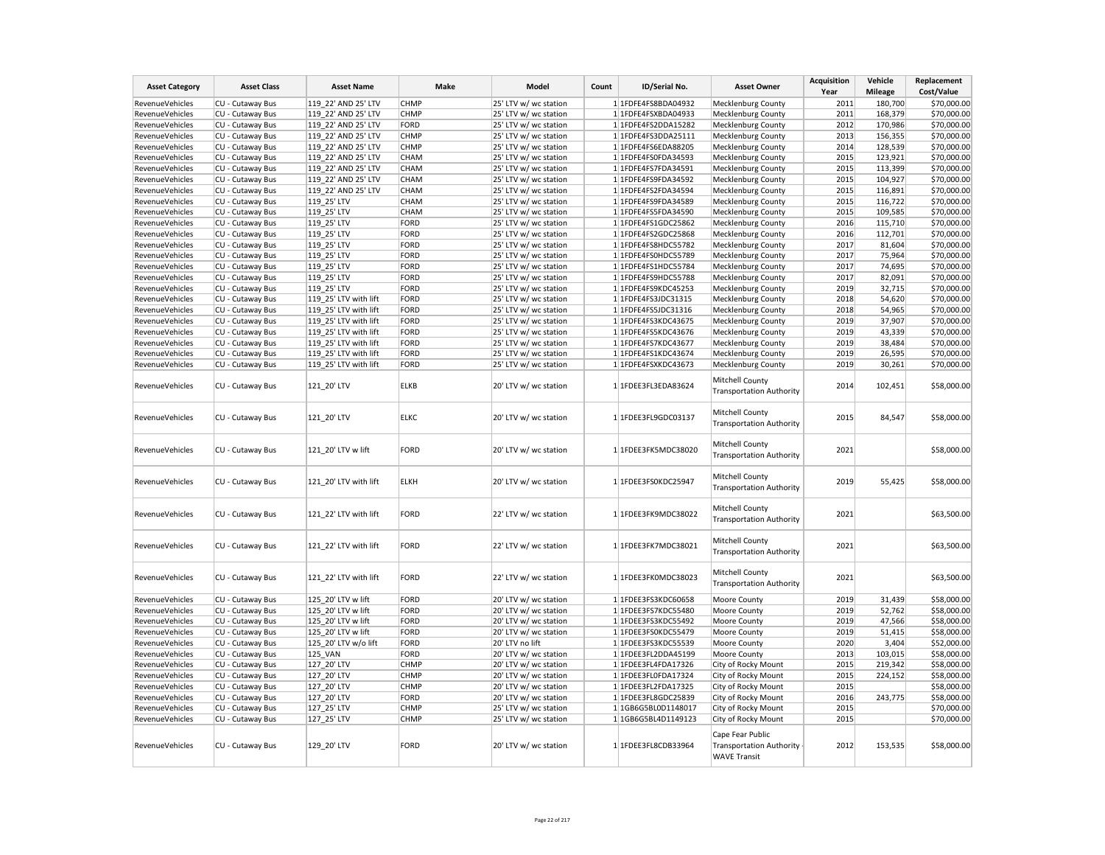| <b>Asset Category</b>  | <b>Asset Class</b> | <b>Asset Name</b>     | Make        | Model                 | Count | ID/Serial No.       | <b>Asset Owner</b>                                                         | <b>Acquisition</b><br>Year | Vehicle<br><b>Mileage</b> | Replacement<br>Cost/Value |
|------------------------|--------------------|-----------------------|-------------|-----------------------|-------|---------------------|----------------------------------------------------------------------------|----------------------------|---------------------------|---------------------------|
| RevenueVehicles        | CU - Cutaway Bus   | 119 22' AND 25' LTV   | <b>CHMP</b> | 25' LTV w/ wc station |       | 1 1FDFE4FS8BDA04932 | <b>Mecklenburg County</b>                                                  | 2011                       | 180,700                   | \$70,000.00               |
| RevenueVehicles        | CU - Cutaway Bus   | 119 22' AND 25' LTV   | <b>CHMP</b> | 25' LTV w/ wc station |       | 1 1FDFE4FSXBDA04933 | Mecklenburg County                                                         | 2011                       | 168,379                   | \$70,000.00               |
| RevenueVehicles        | CU - Cutaway Bus   | 119 22' AND 25' LTV   | FORD        | 25' LTV w/ wc station |       | 1 1FDFE4FS2DDA15282 |                                                                            | 2012                       | 170,986                   | \$70,000.00               |
|                        |                    |                       |             |                       |       |                     | Mecklenburg County                                                         |                            |                           |                           |
| RevenueVehicles        | CU - Cutaway Bus   | 119 22' AND 25' LTV   | <b>CHMP</b> | 25' LTV w/ wc station |       | 1 1FDFE4FS3DDA25111 | Mecklenburg County                                                         | 2013                       | 156,355                   | \$70,000.00               |
| <b>RevenueVehicles</b> | CU - Cutaway Bus   | 119_22' AND 25' LTV   | <b>CHMP</b> | 25' LTV w/ wc station |       | 1 1FDFE4FS6EDA88205 | Mecklenburg County                                                         | 2014                       | 128,539                   | \$70,000.00               |
| RevenueVehicles        | CU - Cutaway Bus   | 119 22' AND 25' LTV   | <b>CHAM</b> | 25' LTV w/ wc station |       | 1 1FDFE4FS0FDA34593 | <b>Mecklenburg County</b>                                                  | 2015                       | 123,921                   | \$70,000.00               |
| RevenueVehicles        | CU - Cutaway Bus   | 119 22' AND 25' LTV   | <b>CHAM</b> | 25' LTV w/ wc station |       | 1 1FDFE4FS7FDA34591 | <b>Mecklenburg County</b>                                                  | 2015                       | 113,399                   | \$70,000.00               |
| RevenueVehicles        | CU - Cutaway Bus   | 119 22' AND 25' LTV   | <b>CHAM</b> | 25' LTV w/ wc station |       | 1 1FDFE4FS9FDA34592 | Mecklenburg County                                                         | 2015                       | 104,927                   | \$70,000.00               |
| RevenueVehicles        | CU - Cutaway Bus   | 119 22' AND 25' LTV   | <b>CHAM</b> | 25' LTV w/ wc station |       | 1 1FDFE4FS2FDA34594 | <b>Mecklenburg County</b>                                                  | 2015                       | 116,891                   | \$70,000.00               |
| RevenueVehicles        | CU - Cutaway Bus   | 119 25' LTV           | CHAM        | 25' LTV w/ wc station |       | 1 1FDFE4FS9FDA34589 | <b>Mecklenburg County</b>                                                  | 2015                       | 116,722                   | \$70,000.00               |
| RevenueVehicles        | CU - Cutaway Bus   | 119_25' LTV           | CHAM        | 25' LTV w/ wc station |       | 1 1FDFE4FS5FDA34590 | Mecklenburg County                                                         | 2015                       | 109,585                   | \$70,000.00               |
| RevenueVehicles        | CU - Cutaway Bus   | 119 25' LTV           | FORD        | 25' LTV w/ wc station |       | 1 1FDFE4FS1GDC25862 | Mecklenburg County                                                         | 2016                       | 115,710                   | \$70,000.00               |
| RevenueVehicles        | CU - Cutaway Bus   | 119_25' LTV           | FORD        | 25' LTV w/ wc station |       | 1 1FDFE4FS2GDC25868 | Mecklenburg County                                                         | 2016                       | 112,701                   | \$70,000.00               |
| RevenueVehicles        | CU - Cutaway Bus   | 119 25' LTV           | FORD        | 25' LTV w/ wc station |       | 1 1FDFE4FS8HDC55782 | <b>Mecklenburg County</b>                                                  | 2017                       | 81,604                    | \$70,000.00               |
| RevenueVehicles        | CU - Cutaway Bus   | 119 25' LTV           | FORD        | 25' LTV w/ wc station |       | 1 1FDFE4FS0HDC55789 | <b>Mecklenburg County</b>                                                  | 2017                       | 75,964                    | \$70,000.00               |
| RevenueVehicles        | CU - Cutaway Bus   | 119 25' LTV           | FORD        | 25' LTV w/ wc station |       | 1 1FDFE4FS1HDC55784 | Mecklenburg County                                                         | 2017                       | 74,695                    | \$70,000.00               |
| RevenueVehicles        | CU - Cutaway Bus   | 119 25' LTV           | FORD        | 25' LTV w/ wc station |       | 1 1FDFE4FS9HDC55788 | <b>Mecklenburg County</b>                                                  | 2017                       | 82,091                    | \$70,000.00               |
| RevenueVehicles        | CU - Cutaway Bus   | 119 25' LTV           | FORD        | 25' LTV w/ wc station |       | 1 1FDFE4FS9KDC45253 | <b>Mecklenburg County</b>                                                  | 2019                       | 32,715                    | \$70,000.00               |
| RevenueVehicles        | CU - Cutaway Bus   | 119_25' LTV with lift | FORD        | 25' LTV w/ wc station |       | 1 1FDFE4FS3JDC31315 | Mecklenburg County                                                         | 2018                       | 54,620                    | \$70,000.00               |
| RevenueVehicles        | CU - Cutaway Bus   | 119 25' LTV with lift | FORD        | 25' LTV w/ wc station |       | 1 1FDFE4FS5JDC31316 | Mecklenburg County                                                         | 2018                       | 54,965                    | \$70,000.00               |
| RevenueVehicles        | CU - Cutaway Bus   | 119 25' LTV with lift | FORD        | 25' LTV w/ wc station |       | 1 1FDFE4FS3KDC43675 | Mecklenburg County                                                         | 2019                       | 37,907                    | \$70,000.00               |
| RevenueVehicles        | CU - Cutaway Bus   | 119 25' LTV with lift | FORD        | 25' LTV w/ wc station |       | 1 1FDFE4FS5KDC43676 | Mecklenburg County                                                         | 2019                       | 43,339                    | \$70,000.00               |
| RevenueVehicles        | CU - Cutaway Bus   | 119 25' LTV with lift | FORD        | 25' LTV w/ wc station |       | 1 1FDFE4FS7KDC43677 | <b>Mecklenburg County</b>                                                  | 2019                       | 38,484                    | \$70,000.00               |
| RevenueVehicles        | CU - Cutaway Bus   | 119 25' LTV with lift | FORD        | 25' LTV w/ wc station |       | 1 1FDFE4FS1KDC43674 | <b>Mecklenburg County</b>                                                  | 2019                       | 26,595                    | \$70,000.00               |
| RevenueVehicles        | CU - Cutaway Bus   | 119 25' LTV with lift | FORD        | 25' LTV w/ wc station |       | 1 1FDFE4FSXKDC43673 | <b>Mecklenburg County</b>                                                  | 2019                       | 30,261                    | \$70,000.00               |
| RevenueVehicles        | CU - Cutaway Bus   | 121 20' LTV           | <b>ELKB</b> | 20' LTV w/ wc station |       | 1 1FDEE3FL3EDA83624 | Mitchell County<br><b>Transportation Authority</b>                         | 2014                       | 102,451                   | \$58,000.00               |
| RevenueVehicles        | CU - Cutaway Bus   | 121 20' LTV           | <b>ELKC</b> | 20' LTV w/ wc station |       | 1 1FDEE3FL9GDC03137 | Mitchell County<br><b>Transportation Authority</b>                         | 2015                       | 84,547                    | \$58,000.00               |
| RevenueVehicles        | CU - Cutaway Bus   | 121 20' LTV w lift    | FORD        | 20' LTV w/ wc station |       | 1 1FDEE3FK5MDC38020 | Mitchell County<br><b>Transportation Authority</b>                         | 2021                       |                           | \$58,000.00               |
| <b>RevenueVehicles</b> | CU - Cutaway Bus   | 121 20' LTV with lift | <b>ELKH</b> | 20' LTV w/ wc station |       | 1 1FDEE3FS0KDC25947 | Mitchell County<br><b>Transportation Authority</b>                         | 2019                       | 55,425                    | \$58,000.00               |
| RevenueVehicles        | CU - Cutaway Bus   | 121 22' LTV with lift | FORD        | 22' LTV w/ wc station |       | 1 1FDEE3FK9MDC38022 | Mitchell County<br><b>Transportation Authority</b>                         | 2021                       |                           | \$63,500.00               |
| RevenueVehicles        | CU - Cutaway Bus   | 121 22' LTV with lift | FORD        | 22' LTV w/ wc station |       | 1 1FDEE3FK7MDC38021 | Mitchell County<br><b>Transportation Authority</b>                         | 2021                       |                           | \$63,500.00               |
| RevenueVehicles        | CU - Cutaway Bus   | 121 22' LTV with lift | FORD        | 22' LTV w/ wc station |       | 1 1FDEE3FK0MDC38023 | Mitchell County<br><b>Transportation Authority</b>                         | 2021                       |                           | \$63,500.00               |
| RevenueVehicles        | CU - Cutaway Bus   | 125 20' LTV w lift    | FORD        | 20' LTV w/ wc station |       | 1 1FDEE3FS3KDC60658 | Moore County                                                               | 2019                       | 31,439                    | \$58,000.00               |
| RevenueVehicles        | CU - Cutaway Bus   | 125 20' LTV w lift    | FORD        | 20' LTV w/ wc station |       | 1 1FDEE3FS7KDC55480 | Moore County                                                               | 2019                       | 52,762                    | \$58,000.00               |
| RevenueVehicles        | CU - Cutaway Bus   | 125 20' LTV w lift    | FORD        | 20' LTV w/ wc station |       | 1 1FDEE3FS3KDC55492 | Moore County                                                               | 2019                       | 47,566                    | \$58,000.00               |
| RevenueVehicles        | CU - Cutaway Bus   | 125 20' LTV w lift    | FORD        | 20' LTV w/ wc station |       | 1 1FDEE3FS0KDC55479 | Moore County                                                               | 2019                       | 51,415                    | \$58,000.00               |
| RevenueVehicles        | CU - Cutaway Bus   | 125 20' LTV w/o lift  | FORD        | 20' LTV no lift       |       | 1 1FDEE3FS3KDC55539 | Moore County                                                               | 2020                       | 3,404                     | \$52,000.00               |
| RevenueVehicles        | CU - Cutaway Bus   | 125 VAN               | FORD        | 20' LTV w/ wc station |       | 1 1FDEE3FL2DDA45199 | Moore County                                                               | 2013                       | 103,015                   | \$58,000.00               |
| RevenueVehicles        | CU - Cutaway Bus   | 127 20' LTV           | <b>CHMP</b> | 20' LTV w/ wc station |       | 1 1FDEE3FL4FDA17326 | City of Rocky Mount                                                        | 2015                       | 219,342                   | \$58,000.00               |
| RevenueVehicles        | CU - Cutaway Bus   | 127_20' LTV           | <b>CHMP</b> | 20' LTV w/ wc station |       | 1 1FDEE3FL0FDA17324 | City of Rocky Mount                                                        | 2015                       | 224,152                   | \$58,000.00               |
| RevenueVehicles        | CU - Cutaway Bus   | 127_20' LTV           | <b>CHMP</b> | 20' LTV w/ wc station |       | 1 1FDEE3FL2FDA17325 | City of Rocky Mount                                                        | 2015                       |                           | \$58,000.00               |
| RevenueVehicles        | CU - Cutaway Bus   | 127 20' LTV           | FORD        | 20' LTV w/ wc station |       | 1 1FDEE3FL8GDC25839 | City of Rocky Mount                                                        | 2016                       | 243,775                   | \$58,000.00               |
| RevenueVehicles        | CU - Cutaway Bus   | 127_25' LTV           | <b>CHMP</b> | 25' LTV w/ wc station |       | 1 1GB6G5BL0D1148017 | City of Rocky Mount                                                        | 2015                       |                           | \$70,000.00               |
| RevenueVehicles        | CU - Cutaway Bus   | 127 25' LTV           | <b>CHMP</b> | 25' LTV w/ wc station |       | 1 1GB6G5BL4D1149123 | City of Rocky Mount                                                        | 2015                       |                           | \$70,000.00               |
| RevenueVehicles        | CU - Cutaway Bus   | 129_20' LTV           | FORD        | 20' LTV w/ wc station |       | 1 1FDEE3FL8CDB33964 | Cape Fear Public<br><b>Transportation Authority</b><br><b>WAVE Transit</b> | 2012                       | 153,535                   | \$58,000.00               |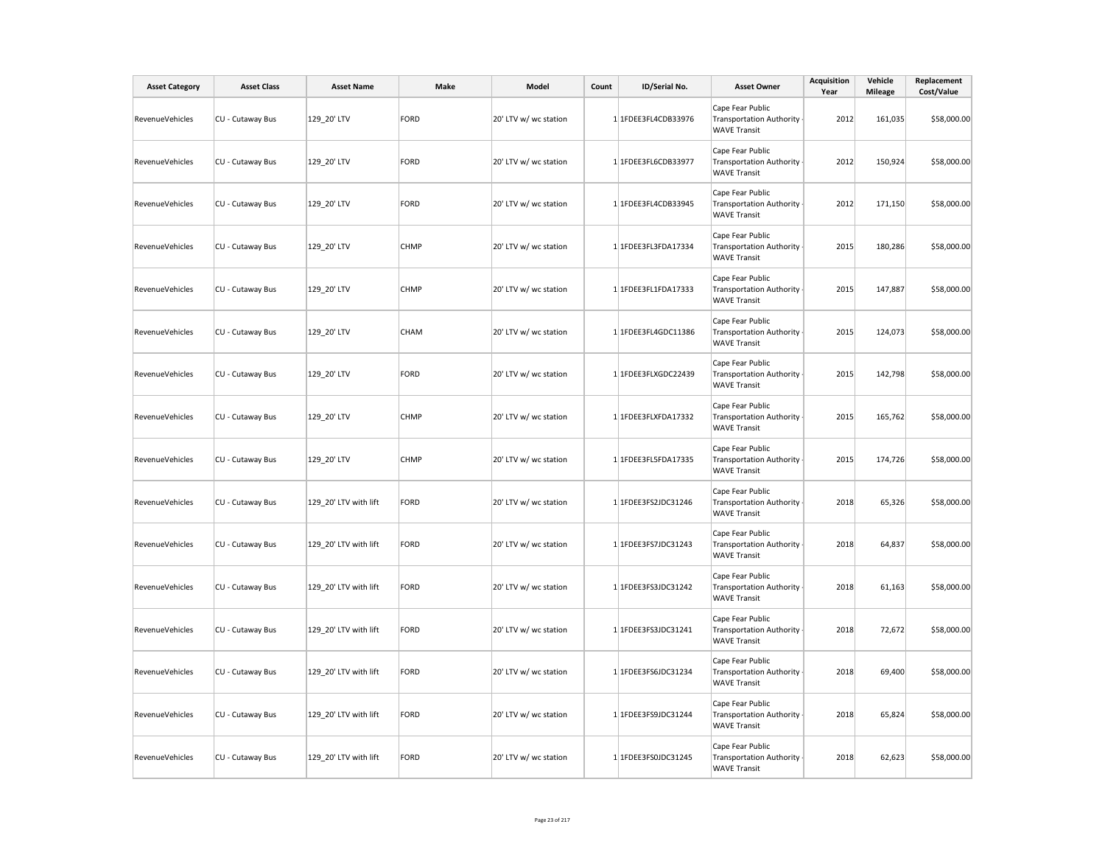| <b>Asset Category</b> | <b>Asset Class</b> | <b>Asset Name</b>     | Make        | Model                 | Count | ID/Serial No.       | <b>Asset Owner</b>                                                         | <b>Acquisition</b><br>Year | Vehicle<br><b>Mileage</b> | Replacement<br>Cost/Value |
|-----------------------|--------------------|-----------------------|-------------|-----------------------|-------|---------------------|----------------------------------------------------------------------------|----------------------------|---------------------------|---------------------------|
| RevenueVehicles       | CU - Cutaway Bus   | 129 20' LTV           | FORD        | 20' LTV w/ wc station |       | 1 1FDEE3FL4CDB33976 | Cape Fear Public<br><b>Transportation Authority</b><br><b>WAVE Transit</b> | 2012                       | 161,035                   | \$58,000.00               |
| RevenueVehicles       | CU - Cutaway Bus   | 129 20' LTV           | FORD        | 20' LTV w/ wc station |       | 1 1FDEE3FL6CDB33977 | Cape Fear Public<br><b>Transportation Authority</b><br><b>WAVE Transit</b> | 2012                       | 150,924                   | \$58,000.00               |
| RevenueVehicles       | CU - Cutaway Bus   | 129_20' LTV           | FORD        | 20' LTV w/ wc station |       | 1 1FDEE3FL4CDB33945 | Cape Fear Public<br><b>Transportation Authority</b><br><b>WAVE Transit</b> | 2012                       | 171,150                   | \$58,000.00               |
| RevenueVehicles       | CU - Cutaway Bus   | 129_20' LTV           | <b>CHMP</b> | 20' LTV w/ wc station |       | 1 1FDEE3FL3FDA17334 | Cape Fear Public<br><b>Transportation Authority</b><br><b>WAVE Transit</b> | 2015                       | 180,286                   | \$58,000.00               |
| RevenueVehicles       | CU - Cutaway Bus   | 129_20' LTV           | <b>CHMP</b> | 20' LTV w/ wc station |       | 1 1FDEE3FL1FDA17333 | Cape Fear Public<br><b>Transportation Authority</b><br><b>WAVE Transit</b> | 2015                       | 147,887                   | \$58,000.00               |
| RevenueVehicles       | CU - Cutaway Bus   | 129 20' LTV           | <b>CHAM</b> | 20' LTV w/ wc station |       | 1 1FDEE3FL4GDC11386 | Cape Fear Public<br><b>Transportation Authority</b><br><b>WAVE Transit</b> | 2015                       | 124,073                   | \$58,000.00               |
| RevenueVehicles       | CU - Cutaway Bus   | 129_20' LTV           | FORD        | 20' LTV w/ wc station |       | 1 1FDEE3FLXGDC22439 | Cape Fear Public<br><b>Transportation Authority</b><br><b>WAVE Transit</b> | 2015                       | 142,798                   | \$58,000.00               |
| RevenueVehicles       | CU - Cutaway Bus   | 129_20' LTV           | <b>CHMP</b> | 20' LTV w/ wc station |       | 1 1FDEE3FLXFDA17332 | Cape Fear Public<br><b>Transportation Authority</b><br><b>WAVE Transit</b> | 2015                       | 165,762                   | \$58,000.00               |
| RevenueVehicles       | CU - Cutaway Bus   | 129_20' LTV           | <b>CHMP</b> | 20' LTV w/ wc station |       | 1 1FDEE3FL5FDA17335 | Cape Fear Public<br><b>Transportation Authority</b><br><b>WAVE Transit</b> | 2015                       | 174,726                   | \$58,000.00               |
| RevenueVehicles       | CU - Cutaway Bus   | 129_20' LTV with lift | FORD        | 20' LTV w/ wc station |       | 1 1FDEE3FS2JDC31246 | Cape Fear Public<br><b>Transportation Authority</b><br><b>WAVE Transit</b> | 2018                       | 65,326                    | \$58,000.00               |
| RevenueVehicles       | CU - Cutaway Bus   | 129 20' LTV with lift | FORD        | 20' LTV w/ wc station |       | 1 1FDEE3FS7JDC31243 | Cape Fear Public<br><b>Transportation Authority</b><br><b>WAVE Transit</b> | 2018                       | 64,837                    | \$58,000.00               |
| RevenueVehicles       | CU - Cutaway Bus   | 129 20' LTV with lift | FORD        | 20' LTV w/ wc station |       | 1 1FDEE3FS3JDC31242 | Cape Fear Public<br><b>Transportation Authority</b><br><b>WAVE Transit</b> | 2018                       | 61,163                    | \$58,000.00               |
| RevenueVehicles       | CU - Cutaway Bus   | 129_20' LTV with lift | FORD        | 20' LTV w/ wc station |       | 1 1FDEE3FS3JDC31241 | Cape Fear Public<br><b>Transportation Authority</b><br><b>WAVE Transit</b> | 2018                       | 72,672                    | \$58,000.00               |
| RevenueVehicles       | CU - Cutaway Bus   | 129_20' LTV with lift | FORD        | 20' LTV w/ wc station |       | 1 1FDEE3FS6JDC31234 | Cape Fear Public<br><b>Transportation Authority</b><br><b>WAVE Transit</b> | 2018                       | 69,400                    | \$58,000.00               |
| RevenueVehicles       | CU - Cutaway Bus   | 129_20' LTV with lift | FORD        | 20' LTV w/ wc station |       | 1 1FDEE3FS9JDC31244 | Cape Fear Public<br><b>Transportation Authority</b><br><b>WAVE Transit</b> | 2018                       | 65,824                    | \$58,000.00               |
| RevenueVehicles       | CU - Cutaway Bus   | 129 20' LTV with lift | FORD        | 20' LTV w/ wc station |       | 1 1FDEE3FS0JDC31245 | Cape Fear Public<br><b>Transportation Authority</b><br><b>WAVE Transit</b> | 2018                       | 62,623                    | \$58,000.00               |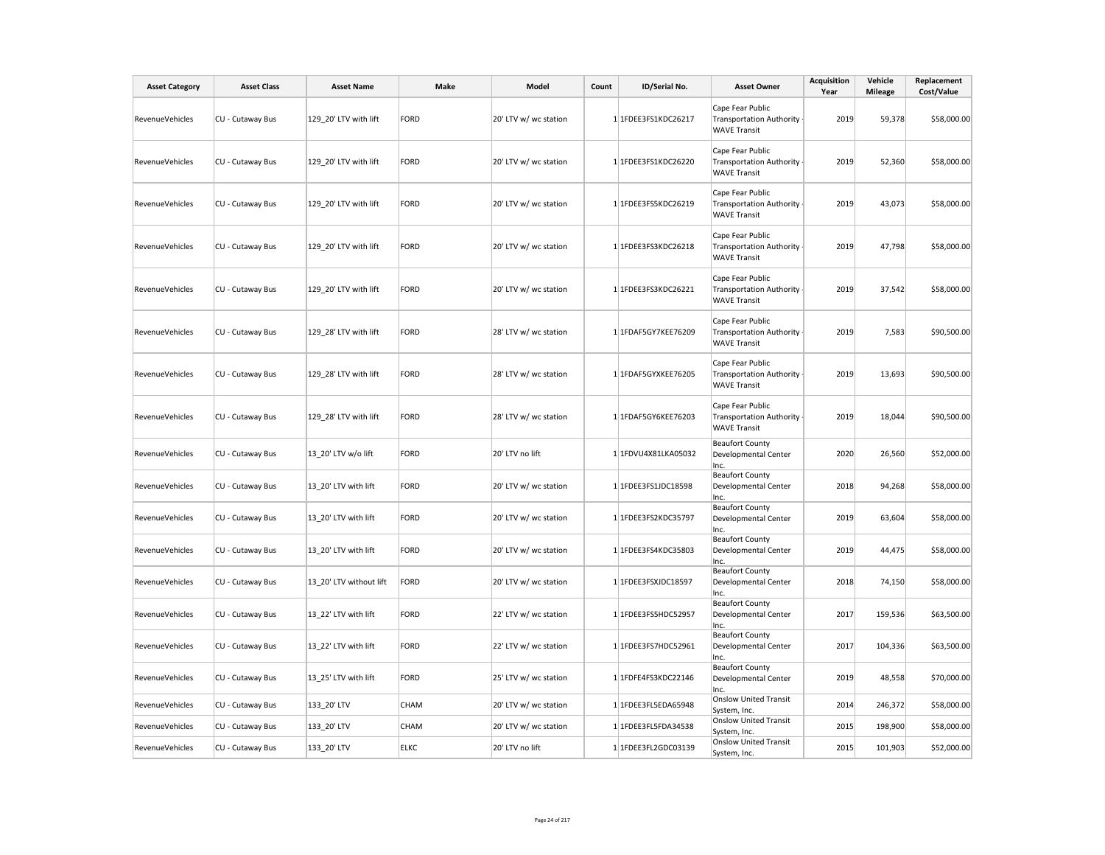| <b>Asset Category</b> | <b>Asset Class</b> | <b>Asset Name</b>       | Make        | Model                 | Count | ID/Serial No.       | <b>Asset Owner</b>                                                         | <b>Acquisition</b><br>Year | Vehicle<br><b>Mileage</b> | Replacement<br>Cost/Value |
|-----------------------|--------------------|-------------------------|-------------|-----------------------|-------|---------------------|----------------------------------------------------------------------------|----------------------------|---------------------------|---------------------------|
| RevenueVehicles       | CU - Cutaway Bus   | 129 20' LTV with lift   | FORD        | 20' LTV w/ wc station |       | 1 1FDEE3FS1KDC26217 | Cape Fear Public<br><b>Transportation Authority</b><br><b>WAVE Transit</b> | 2019                       | 59,378                    | \$58,000.00               |
| RevenueVehicles       | CU - Cutaway Bus   | 129 20' LTV with lift   | FORD        | 20' LTV w/ wc station |       | 1 1FDEE3FS1KDC26220 | Cape Fear Public<br><b>Transportation Authority</b><br><b>WAVE Transit</b> | 2019                       | 52,360                    | \$58,000.00               |
| RevenueVehicles       | CU - Cutaway Bus   | 129 20' LTV with lift   | FORD        | 20' LTV w/ wc station |       | 1 1FDEE3FS5KDC26219 | Cape Fear Public<br><b>Transportation Authority</b><br><b>WAVE Transit</b> | 2019                       | 43,073                    | \$58,000.00               |
| RevenueVehicles       | CU - Cutaway Bus   | 129 20' LTV with lift   | FORD        | 20' LTV w/ wc station |       | 1 1FDEE3FS3KDC26218 | Cape Fear Public<br><b>Transportation Authority</b><br><b>WAVE Transit</b> | 2019                       | 47,798                    | \$58,000.00               |
| RevenueVehicles       | CU - Cutaway Bus   | 129 20' LTV with lift   | FORD        | 20' LTV w/ wc station |       | 1 1FDEE3FS3KDC26221 | Cape Fear Public<br><b>Transportation Authority</b><br><b>WAVE Transit</b> | 2019                       | 37,542                    | \$58,000.00               |
| RevenueVehicles       | CU - Cutaway Bus   | 129_28' LTV with lift   | FORD        | 28' LTV w/ wc station |       | 1 1FDAF5GY7KEE76209 | Cape Fear Public<br><b>Transportation Authority</b><br><b>WAVE Transit</b> | 2019                       | 7,583                     | \$90,500.00               |
| RevenueVehicles       | CU - Cutaway Bus   | 129 28' LTV with lift   | FORD        | 28' LTV w/ wc station |       | 1 1FDAF5GYXKEE76205 | Cape Fear Public<br><b>Transportation Authority</b><br><b>WAVE Transit</b> | 2019                       | 13,693                    | \$90,500.00               |
| RevenueVehicles       | CU - Cutaway Bus   | 129 28' LTV with lift   | FORD        | 28' LTV w/ wc station |       | 1 1FDAF5GY6KEE76203 | Cape Fear Public<br><b>Transportation Authority</b><br><b>WAVE Transit</b> | 2019                       | 18,044                    | \$90,500.00               |
| RevenueVehicles       | CU - Cutaway Bus   | 13 20' LTV w/o lift     | FORD        | 20' LTV no lift       |       | 1 1FDVU4X81LKA05032 | <b>Beaufort County</b><br>Developmental Center<br>Inc.                     | 2020                       | 26,560                    | \$52,000.00               |
| RevenueVehicles       | CU - Cutaway Bus   | 13 20' LTV with lift    | FORD        | 20' LTV w/ wc station |       | 1 1FDEE3FS1JDC18598 | <b>Beaufort County</b><br>Developmental Center<br>Inc.                     | 2018                       | 94,268                    | \$58,000.00               |
| RevenueVehicles       | CU - Cutaway Bus   | 13 20' LTV with lift    | FORD        | 20' LTV w/ wc station |       | 1 1FDEE3FS2KDC35797 | <b>Beaufort County</b><br>Developmental Center<br>Inc.                     | 2019                       | 63,604                    | \$58,000.00               |
| RevenueVehicles       | CU - Cutaway Bus   | 13 20' LTV with lift    | FORD        | 20' LTV w/ wc station |       | 1 1FDEE3FS4KDC35803 | <b>Beaufort County</b><br>Developmental Center<br>Inc.                     | 2019                       | 44,475                    | \$58,000.00               |
| RevenueVehicles       | CU - Cutaway Bus   | 13 20' LTV without lift | FORD        | 20' LTV w/ wc station |       | 1 1FDEE3FSXJDC18597 | <b>Beaufort County</b><br>Developmental Center<br>Inc.                     | 2018                       | 74,150                    | \$58,000.00               |
| RevenueVehicles       | CU - Cutaway Bus   | 13 22' LTV with lift    | FORD        | 22' LTV w/ wc station |       | 1 1FDEE3FS5HDC52957 | <b>Beaufort County</b><br>Developmental Center<br>Inc.                     | 2017                       | 159,536                   | \$63,500.00               |
| RevenueVehicles       | CU - Cutaway Bus   | 13 22' LTV with lift    | FORD        | 22' LTV w/ wc station |       | 1 1FDEE3FS7HDC52961 | <b>Beaufort County</b><br>Developmental Center<br>Inc.                     | 2017                       | 104,336                   | \$63,500.00               |
| RevenueVehicles       | CU - Cutaway Bus   | 13 25' LTV with lift    | FORD        | 25' LTV w/ wc station |       | 1 1FDFE4FS3KDC22146 | <b>Beaufort County</b><br>Developmental Center<br>Inc.                     | 2019                       | 48,558                    | \$70,000.00               |
| RevenueVehicles       | CU - Cutaway Bus   | 133_20' LTV             | CHAM        | 20' LTV w/ wc station |       | 1 1FDEE3FL5EDA65948 | <b>Onslow United Transit</b><br>System, Inc.                               | 2014                       | 246,372                   | \$58,000.00               |
| RevenueVehicles       | CU - Cutaway Bus   | 133_20' LTV             | CHAM        | 20' LTV w/ wc station |       | 1 1FDEE3FL5FDA34538 | <b>Onslow United Transit</b><br>System, Inc.                               | 2015                       | 198,900                   | \$58,000.00               |
| RevenueVehicles       | CU - Cutaway Bus   | 133 20' LTV             | <b>ELKC</b> | 20' LTV no lift       |       | 1 1FDEE3FL2GDC03139 | <b>Onslow United Transit</b><br>System, Inc.                               | 2015                       | 101,903                   | \$52,000.00               |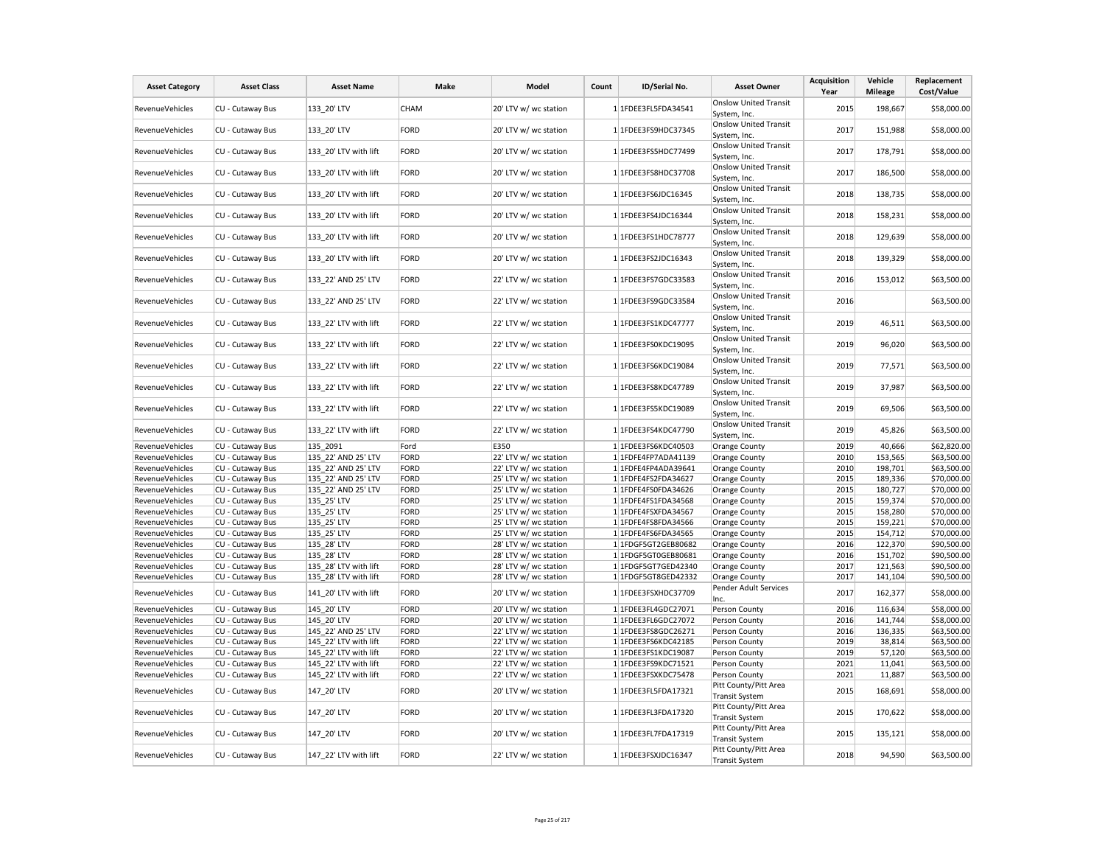| <b>Asset Category</b>  | <b>Asset Class</b> | <b>Asset Name</b>     | Make        | Model                 | Count | ID/Serial No.       | <b>Asset Owner</b>                             | Acquisition<br>Year | Vehicle<br><b>Mileage</b> | Replacement<br>Cost/Value |
|------------------------|--------------------|-----------------------|-------------|-----------------------|-------|---------------------|------------------------------------------------|---------------------|---------------------------|---------------------------|
| <b>RevenueVehicles</b> | CU - Cutaway Bus   | 133 20' LTV           | <b>CHAM</b> | 20' LTV w/ wc station |       | 1 1FDEE3FL5FDA34541 | <b>Onslow United Transit</b>                   | 2015                | 198,667                   | \$58,000.00               |
|                        |                    |                       |             |                       |       |                     | System, Inc.                                   |                     |                           |                           |
| RevenueVehicles        | CU - Cutaway Bus   | 133_20' LTV           | FORD        | 20' LTV w/ wc station |       | 1 1FDEE3FS9HDC37345 | <b>Onslow United Transit</b><br>System, Inc.   | 2017                | 151,988                   | \$58,000.00               |
| RevenueVehicles        | CU - Cutaway Bus   | 133 20' LTV with lift | FORD        | 20' LTV w/ wc station |       | 1 1FDEE3FS5HDC77499 | <b>Onslow United Transit</b>                   | 2017                | 178,791                   | \$58,000.00               |
|                        |                    |                       | FORD        | 20' LTV w/ wc station |       | 1 1FDEE3FS8HDC37708 | System, Inc.<br><b>Onslow United Transit</b>   | 2017                | 186,500                   | \$58,000.00               |
| <b>RevenueVehicles</b> | CU - Cutaway Bus   | 133 20' LTV with lift |             |                       |       |                     | System, Inc.                                   |                     |                           |                           |
| RevenueVehicles        | CU - Cutaway Bus   | 133 20' LTV with lift | FORD        | 20' LTV w/ wc station |       | 1 1FDEE3FS6JDC16345 | <b>Onslow United Transit</b><br>System, Inc.   | 2018                | 138,735                   | \$58,000.00               |
| RevenueVehicles        | CU - Cutaway Bus   | 133 20' LTV with lift | FORD        | 20' LTV w/ wc station |       | 1 1FDEE3FS4JDC16344 | <b>Onslow United Transit</b><br>System, Inc.   | 2018                | 158,231                   | \$58,000.00               |
| <b>RevenueVehicles</b> | CU - Cutaway Bus   | 133 20' LTV with lift | FORD        | 20' LTV w/ wc station |       | 1 1FDEE3FS1HDC78777 | <b>Onslow United Transit</b><br>System, Inc.   | 2018                | 129,639                   | \$58,000.00               |
| RevenueVehicles        | CU - Cutaway Bus   | 133_20' LTV with lift | FORD        | 20' LTV w/ wc station |       | 1 1FDEE3FS2JDC16343 | <b>Onslow United Transit</b><br>System, Inc.   | 2018                | 139,329                   | \$58,000.00               |
| RevenueVehicles        | CU - Cutaway Bus   | 133 22' AND 25' LTV   | FORD        | 22' LTV w/ wc station |       | 1 1FDEE3FS7GDC33583 | <b>Onslow United Transit</b><br>System, Inc.   | 2016                | 153,012                   | \$63,500.00               |
| <b>RevenueVehicles</b> | CU - Cutaway Bus   | 133 22' AND 25' LTV   | FORD        | 22' LTV w/ wc station |       | 1 1FDEE3FS9GDC33584 | <b>Onslow United Transit</b><br>System, Inc.   | 2016                |                           | \$63,500.00               |
| RevenueVehicles        | CU - Cutaway Bus   | 133_22' LTV with lift | FORD        | 22' LTV w/ wc station |       | 1 1FDEE3FS1KDC47777 | <b>Onslow United Transit</b><br>System, Inc.   | 2019                | 46,511                    | \$63,500.00               |
| RevenueVehicles        | CU - Cutaway Bus   | 133 22' LTV with lift | FORD        | 22' LTV w/ wc station |       | 1 1FDEE3FS0KDC19095 | <b>Onslow United Transit</b><br>System, Inc.   | 2019                | 96,020                    | \$63,500.00               |
| <b>RevenueVehicles</b> | CU - Cutaway Bus   | 133 22' LTV with lift | FORD        | 22' LTV w/ wc station |       | 1 1FDEE3FS6KDC19084 | Onslow United Transit<br>System, Inc.          | 2019                | 77,571                    | \$63,500.00               |
| RevenueVehicles        | CU - Cutaway Bus   | 133_22' LTV with lift | FORD        | 22' LTV w/ wc station |       | 1 1FDEE3FS8KDC47789 | <b>Onslow United Transit</b><br>System, Inc.   | 2019                | 37,987                    | \$63,500.00               |
| RevenueVehicles        | CU - Cutaway Bus   | 133 22' LTV with lift | FORD        | 22' LTV w/ wc station |       | 11FDEE3FS5KDC19089  | <b>Onslow United Transit</b><br>System, Inc.   | 2019                | 69,506                    | \$63,500.00               |
| <b>RevenueVehicles</b> | CU - Cutaway Bus   | 133 22' LTV with lift | FORD        | 22' LTV w/ wc station |       | 1 1FDEE3FS4KDC47790 | <b>Onslow United Transit</b><br>System, Inc.   | 2019                | 45,826                    | \$63,500.00               |
| <b>RevenueVehicles</b> | CU - Cutaway Bus   | 135 2091              | Ford        | E350                  |       | 1 1FDEE3FS6KDC40503 | Orange County                                  | 2019                | 40,666                    | \$62,820.00               |
| RevenueVehicles        | CU - Cutaway Bus   | 135 22' AND 25' LTV   | FORD        | 22' LTV w/ wc station |       | 1 1FDFE4FP7ADA41139 | Orange County                                  | 2010                | 153,565                   | \$63,500.00               |
| RevenueVehicles        | CU - Cutaway Bus   | 135 22' AND 25' LTV   | FORD        | 22' LTV w/ wc station |       | 1 1FDFE4FP4ADA39641 | Orange County                                  | 2010                | 198,701                   | \$63,500.00               |
| RevenueVehicles        | CU - Cutaway Bus   | 135 22' AND 25' LTV   | FORD        | 25' LTV w/ wc station |       | 1 1FDFE4FS2FDA34627 | Orange County                                  | 2015                | 189,336                   | \$70,000.00               |
| RevenueVehicles        | CU - Cutaway Bus   | 135 22' AND 25' LTV   | FORD        | 25' LTV w/ wc station |       | 1 1FDFE4FS0FDA34626 | Orange County                                  | 2015                | 180,727                   | \$70,000.00               |
| RevenueVehicles        | CU - Cutaway Bus   | 135_25' LTV           | FORD        | 25' LTV w/ wc station |       | 1 1FDFE4FS1FDA34568 | Orange County                                  | 2015                | 159,374                   | \$70,000.00               |
| RevenueVehicles        | CU - Cutaway Bus   | 135 25' LTV           | FORD        | 25' LTV w/ wc station |       | 1 1FDFE4FSXFDA34567 | Orange County                                  | 2015                | 158,280                   | \$70,000.00               |
| RevenueVehicles        | CU - Cutaway Bus   | 135 25' LTV           | FORD        | 25' LTV w/ wc station |       | 1 1FDFE4FS8FDA34566 | Orange County                                  | 2015                | 159,221                   | \$70,000.00               |
| RevenueVehicles        | CU - Cutaway Bus   | 135 25' LTV           | FORD        | 25' LTV w/ wc station |       | 1 1FDFE4FS6FDA34565 | Orange County                                  | 2015                | 154,712                   | \$70,000.00               |
| RevenueVehicles        | CU - Cutaway Bus   | 135_28' LTV           | FORD        | 28' LTV w/ wc station |       | 1 1FDGF5GT2GEB80682 | Orange County                                  | 2016                | 122,370                   | \$90,500.00               |
| RevenueVehicles        | CU - Cutaway Bus   | 135 28' LTV           | FORD        | 28' LTV w/ wc station |       | 1 1FDGF5GT0GEB80681 | Orange County                                  | 2016                | 151,702                   | \$90,500.00               |
| RevenueVehicles        | CU - Cutaway Bus   | 135 28' LTV with lift | FORD        | 28' LTV w/ wc station |       | 1 1FDGF5GT7GED42340 | Orange County                                  | 2017                | 121,563                   | \$90,500.00               |
| RevenueVehicles        | CU - Cutaway Bus   | 135 28' LTV with lift | FORD        | 28' LTV w/ wc station |       | 1 1FDGF5GT8GED42332 | Orange County                                  | 2017                | 141,104                   | \$90,500.00               |
| RevenueVehicles        | CU - Cutaway Bus   | 141 20' LTV with lift | FORD        | 20' LTV w/ wc station |       | 1 1FDEE3FSXHDC37709 | Pender Adult Services<br>Inc.                  | 2017                | 162,377                   | \$58,000.00               |
| RevenueVehicles        | CU - Cutaway Bus   | 145 20' LTV           | FORD        | 20' LTV w/ wc station |       | 1 1FDEE3FL4GDC27071 | Person County                                  | 2016                | 116,634                   | \$58,000.00               |
| RevenueVehicles        | CU - Cutaway Bus   | 145 20' LTV           | FORD        | 20' LTV w/ wc station |       | 1 1FDEE3FL6GDC27072 | Person County                                  | 2016                | 141,744                   | \$58,000.00               |
| RevenueVehicles        | CU - Cutaway Bus   | 145 22' AND 25' LTV   | FORD        | 22' LTV w/ wc station |       | 1 1FDEE3FS8GDC26271 | Person County                                  | 2016                | 136,335                   | \$63,500.00               |
| RevenueVehicles        | CU - Cutaway Bus   | 145 22' LTV with lift | FORD        | 22' LTV w/ wc station |       | 1 1FDEE3FS6KDC42185 | Person County                                  | 2019                | 38,814                    | \$63,500.00               |
| RevenueVehicles        | CU - Cutaway Bus   | 145 22' LTV with lift | FORD        | 22' LTV w/ wc station |       | 1 1FDEE3FS1KDC19087 | Person County                                  | 2019                | 57,120                    | \$63,500.00               |
| RevenueVehicles        | CU - Cutaway Bus   | 145 22' LTV with lift | FORD        | 22' LTV w/ wc station |       | 1 1FDEE3FS9KDC71521 | Person County                                  | 2021                | 11,041                    | \$63,500.00               |
| RevenueVehicles        | CU - Cutaway Bus   | 145_22' LTV with lift | FORD        | 22' LTV w/ wc station |       | 1 1FDEE3FSXKDC75478 | Person County                                  | 2021                | 11,887                    | \$63,500.00               |
| RevenueVehicles        | CU - Cutaway Bus   | 147_20' LTV           | FORD        | 20' LTV w/ wc station |       | 1 1FDEE3FL5FDA17321 | Pitt County/Pitt Area<br><b>Transit System</b> | 2015                | 168,691                   | \$58,000.00               |
| RevenueVehicles        | CU - Cutaway Bus   | 147_20' LTV           | FORD        | 20' LTV w/ wc station |       | 1 1FDEE3FL3FDA17320 | Pitt County/Pitt Area<br><b>Transit System</b> | 2015                | 170,622                   | \$58,000.00               |
| RevenueVehicles        | CU - Cutaway Bus   | 147_20' LTV           | FORD        | 20' LTV w/ wc station |       | 1 1FDEE3FL7FDA17319 | Pitt County/Pitt Area<br><b>Transit System</b> | 2015                | 135,121                   | \$58,000.00               |
| RevenueVehicles        | CU - Cutaway Bus   | 147_22' LTV with lift | FORD        | 22' LTV w/ wc station |       | 1 1FDEE3FSXJDC16347 | Pitt County/Pitt Area<br><b>Transit System</b> | 2018                | 94,590                    | \$63,500.00               |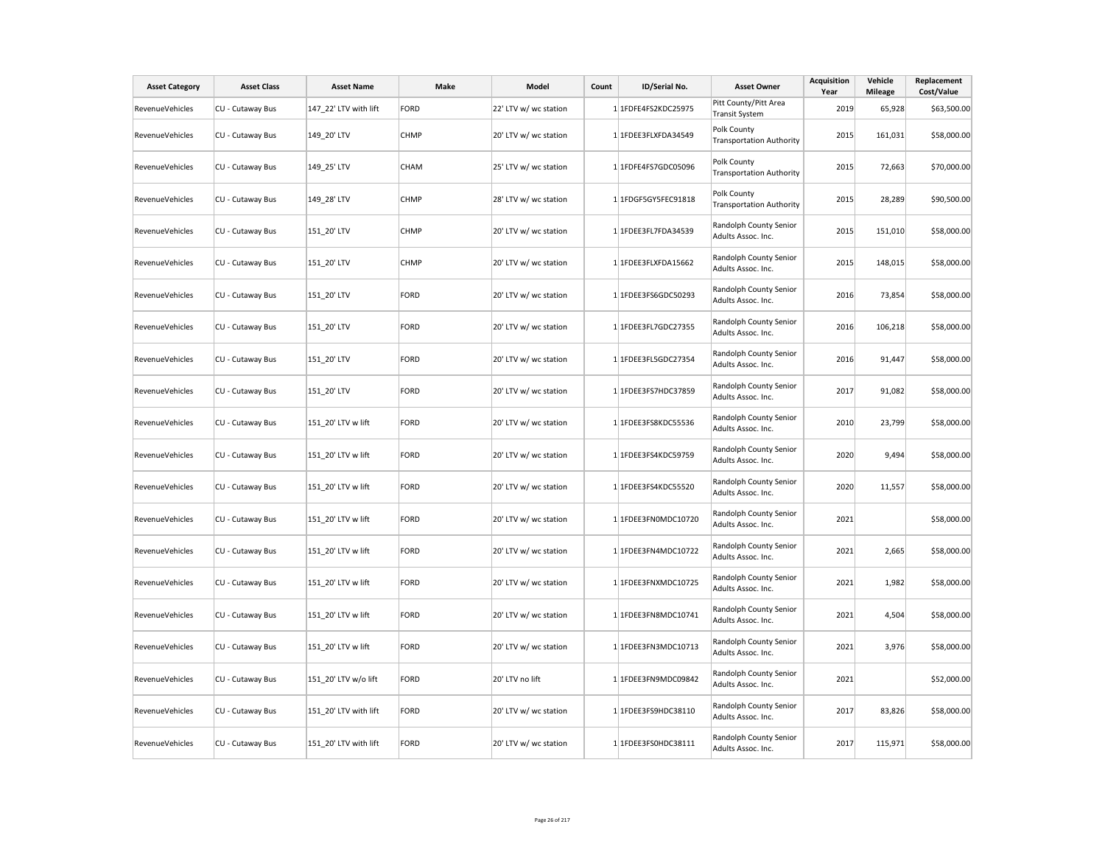| <b>Asset Category</b>  | <b>Asset Class</b> | <b>Asset Name</b>     | Make        | Model                 | Count | ID/Serial No.       | <b>Asset Owner</b>                             | <b>Acquisition</b><br>Year | Vehicle<br><b>Mileage</b> | Replacement<br>Cost/Value |
|------------------------|--------------------|-----------------------|-------------|-----------------------|-------|---------------------|------------------------------------------------|----------------------------|---------------------------|---------------------------|
| <b>RevenueVehicles</b> | CU - Cutaway Bus   | 147 22' LTV with lift | FORD        | 22' LTV w/ wc station |       | 1 1FDFE4FS2KDC25975 | Pitt County/Pitt Area<br><b>Transit System</b> | 2019                       | 65,928                    | \$63,500.00               |
| <b>RevenueVehicles</b> | CU - Cutaway Bus   | 149_20' LTV           | <b>CHMP</b> | 20' LTV w/ wc station |       | 1 1FDEE3FLXFDA34549 | Polk County<br><b>Transportation Authority</b> | 2015                       | 161,031                   | \$58,000.00               |
| RevenueVehicles        | CU - Cutaway Bus   | 149_25' LTV           | CHAM        | 25' LTV w/ wc station |       | 1 1FDFE4FS7GDC05096 | Polk County<br><b>Transportation Authority</b> | 2015                       | 72,663                    | \$70,000.00               |
| RevenueVehicles        | CU - Cutaway Bus   | 149_28' LTV           | <b>CHMP</b> | 28' LTV w/ wc station |       | 1 1FDGF5GY5FEC91818 | Polk County<br><b>Transportation Authority</b> | 2015                       | 28,289                    | \$90,500.00               |
| RevenueVehicles        | CU - Cutaway Bus   | 151_20' LTV           | <b>CHMP</b> | 20' LTV w/ wc station |       | 1 1FDEE3FL7FDA34539 | Randolph County Senior<br>Adults Assoc. Inc.   | 2015                       | 151,010                   | \$58,000.00               |
| RevenueVehicles        | CU - Cutaway Bus   | 151_20' LTV           | <b>CHMP</b> | 20' LTV w/ wc station |       | 1 1FDEE3FLXFDA15662 | Randolph County Senior<br>Adults Assoc. Inc.   | 2015                       | 148,015                   | \$58,000.00               |
| RevenueVehicles        | CU - Cutaway Bus   | 151_20' LTV           | FORD        | 20' LTV w/ wc station |       | 1 1FDEE3FS6GDC50293 | Randolph County Senior<br>Adults Assoc. Inc.   | 2016                       | 73,854                    | \$58,000.00               |
| RevenueVehicles        | CU - Cutaway Bus   | 151_20' LTV           | FORD        | 20' LTV w/ wc station |       | 1 1FDEE3FL7GDC27355 | Randolph County Senior<br>Adults Assoc. Inc.   | 2016                       | 106,218                   | \$58,000.00               |
| <b>RevenueVehicles</b> | CU - Cutaway Bus   | 151_20' LTV           | FORD        | 20' LTV w/ wc station |       | 1 1FDEE3FL5GDC27354 | Randolph County Senior<br>Adults Assoc. Inc.   | 2016                       | 91,447                    | \$58,000.00               |
| <b>RevenueVehicles</b> | CU - Cutaway Bus   | 151 20' LTV           | FORD        | 20' LTV w/ wc station |       | 1 1FDEE3FS7HDC37859 | Randolph County Senior<br>Adults Assoc. Inc.   | 2017                       | 91,082                    | \$58,000.00               |
| RevenueVehicles        | CU - Cutaway Bus   | 151 20' LTV w lift    | FORD        | 20' LTV w/ wc station |       | 1 1FDEE3FS8KDC55536 | Randolph County Senior<br>Adults Assoc. Inc.   | 2010                       | 23,799                    | \$58,000.00               |
| <b>RevenueVehicles</b> | CU - Cutaway Bus   | 151 20' LTV w lift    | FORD        | 20' LTV w/ wc station |       | 1 1FDEE3FS4KDC59759 | Randolph County Senior<br>Adults Assoc. Inc.   | 2020                       | 9,494                     | \$58,000.00               |
| RevenueVehicles        | CU - Cutaway Bus   | 151 20' LTV w lift    | FORD        | 20' LTV w/ wc station |       | 1 1FDEE3FS4KDC55520 | Randolph County Senior<br>Adults Assoc. Inc.   | 2020                       | 11,557                    | \$58,000.00               |
| <b>RevenueVehicles</b> | CU - Cutaway Bus   | 151 20' LTV w lift    | FORD        | 20' LTV w/ wc station |       | 1 1FDEE3FN0MDC10720 | Randolph County Senior<br>Adults Assoc. Inc.   | 2021                       |                           | \$58,000.00               |
| RevenueVehicles        | CU - Cutaway Bus   | 151 20' LTV w lift    | FORD        | 20' LTV w/ wc station |       | 1 1FDEE3FN4MDC10722 | Randolph County Senior<br>Adults Assoc. Inc.   | 2021                       | 2,665                     | \$58,000.00               |
| <b>RevenueVehicles</b> | CU - Cutaway Bus   | 151 20' LTV w lift    | FORD        | 20' LTV w/ wc station |       | 1 1FDEE3FNXMDC10725 | Randolph County Senior<br>Adults Assoc. Inc.   | 2021                       | 1,982                     | \$58,000.00               |
| RevenueVehicles        | CU - Cutaway Bus   | 151_20' LTV w lift    | FORD        | 20' LTV w/ wc station |       | 1 1FDEE3FN8MDC10741 | Randolph County Senior<br>Adults Assoc. Inc.   | 2021                       | 4,504                     | \$58,000.00               |
| <b>RevenueVehicles</b> | CU - Cutaway Bus   | 151_20' LTV w lift    | FORD        | 20' LTV w/ wc station |       | 1 1FDEE3FN3MDC10713 | Randolph County Senior<br>Adults Assoc. Inc.   | 2021                       | 3,976                     | \$58,000.00               |
| RevenueVehicles        | CU - Cutaway Bus   | 151_20' LTV w/o lift  | FORD        | 20' LTV no lift       |       | 1 1FDEE3FN9MDC09842 | Randolph County Senior<br>Adults Assoc. Inc.   | 2021                       |                           | \$52,000.00               |
| RevenueVehicles        | CU - Cutaway Bus   | 151_20' LTV with lift | FORD        | 20' LTV w/ wc station |       | 1 1FDEE3FS9HDC38110 | Randolph County Senior<br>Adults Assoc. Inc.   | 2017                       | 83,826                    | \$58,000.00               |
| <b>RevenueVehicles</b> | CU - Cutaway Bus   | 151 20' LTV with lift | FORD        | 20' LTV w/ wc station |       | 1 1FDEE3FS0HDC38111 | Randolph County Senior<br>Adults Assoc. Inc.   | 2017                       | 115,971                   | \$58,000.00               |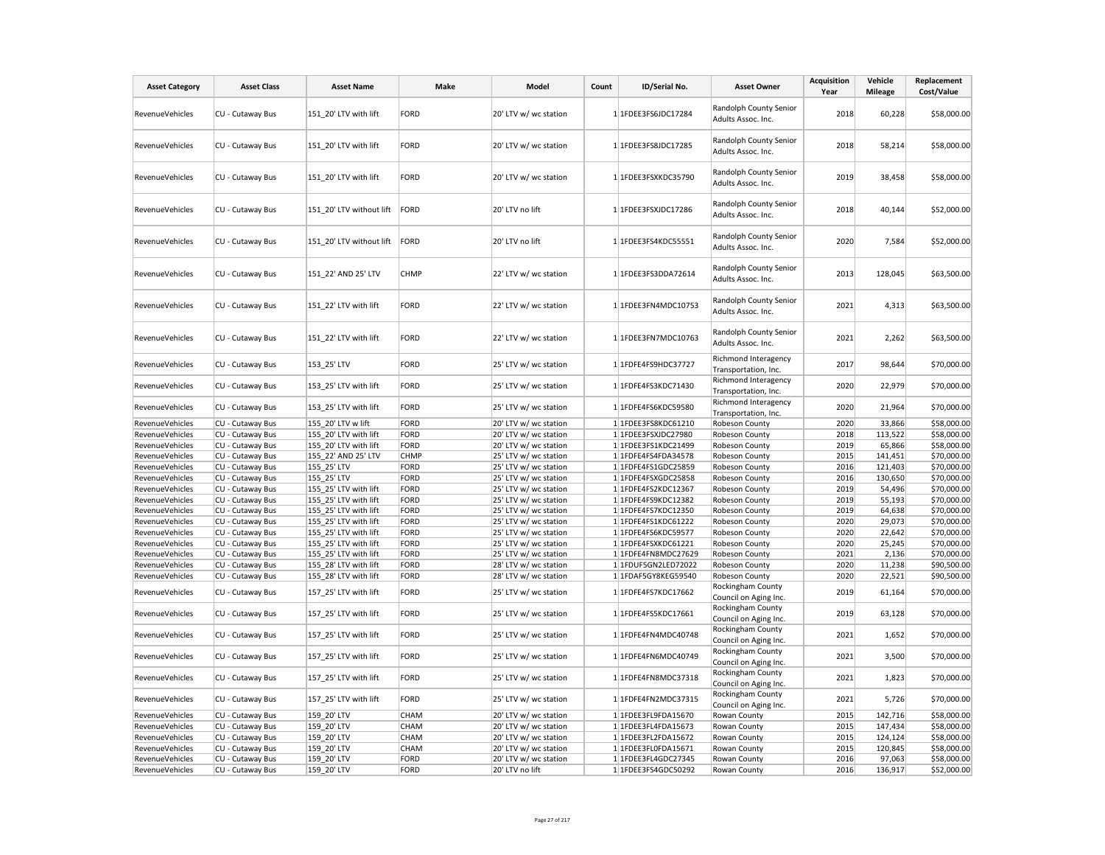| <b>Asset Category</b>  | <b>Asset Class</b> | <b>Asset Name</b>        | Make        | Model                 | Count | ID/Serial No.       | <b>Asset Owner</b>                           | <b>Acquisition</b><br>Year | Vehicle<br><b>Mileage</b> | Replacement<br>Cost/Value |
|------------------------|--------------------|--------------------------|-------------|-----------------------|-------|---------------------|----------------------------------------------|----------------------------|---------------------------|---------------------------|
| RevenueVehicles        | CU - Cutaway Bus   | 151 20' LTV with lift    | FORD        | 20' LTV w/ wc station |       | 1 1FDEE3FS6JDC17284 | Randolph County Senior<br>Adults Assoc. Inc. | 2018                       | 60,228                    | \$58,000.00               |
| RevenueVehicles        | CU - Cutaway Bus   | 151 20' LTV with lift    | <b>FORD</b> | 20' LTV w/ wc station |       | 1 1FDEE3FS8JDC17285 | Randolph County Senior<br>Adults Assoc. Inc. | 2018                       | 58,214                    | \$58,000.00               |
| RevenueVehicles        | CU - Cutaway Bus   | 151_20' LTV with lift    | FORD        | 20' LTV w/ wc station |       | 1 1FDEE3FSXKDC35790 | Randolph County Senior<br>Adults Assoc. Inc. | 2019                       | 38,458                    | \$58,000.00               |
| RevenueVehicles        | CU - Cutaway Bus   | 151 20' LTV without lift | FORD        | 20' LTV no lift       |       | 1 1FDEE3FSXJDC17286 | Randolph County Senior<br>Adults Assoc. Inc. | 2018                       | 40,144                    | \$52,000.00               |
| RevenueVehicles        | CU - Cutaway Bus   | 151 20' LTV without lift | FORD        | 20' LTV no lift       |       | 1 1FDEE3FS4KDC55551 | Randolph County Senior<br>Adults Assoc. Inc. | 2020                       | 7,584                     | \$52,000.00               |
| RevenueVehicles        | CU - Cutaway Bus   | 151 22' AND 25' LTV      | <b>CHMP</b> | 22' LTV w/ wc station |       | 1 1FDEE3FS3DDA72614 | Randolph County Senior<br>Adults Assoc. Inc. | 2013                       | 128,045                   | \$63,500.00               |
| RevenueVehicles        | CU - Cutaway Bus   | 151 22' LTV with lift    | FORD        | 22' LTV w/ wc station |       | 1 1FDEE3FN4MDC10753 | Randolph County Senior<br>Adults Assoc. Inc. | 2021                       | 4,313                     | \$63,500.00               |
| RevenueVehicles        | CU - Cutaway Bus   | 151_22' LTV with lift    | FORD        | 22' LTV w/ wc station |       | 1 1FDEE3FN7MDC10763 | Randolph County Senior<br>Adults Assoc. Inc. | 2021                       | 2,262                     | \$63,500.00               |
| <b>RevenueVehicles</b> | CU - Cutaway Bus   | 153 25' LTV              | FORD        | 25' LTV w/ wc station |       | 1 1FDFE4FS9HDC37727 | Richmond Interagency<br>Transportation, Inc. | 2017                       | 98,644                    | \$70,000.00               |
| <b>RevenueVehicles</b> | CU - Cutaway Bus   | 153 25' LTV with lift    | FORD        | 25' LTV w/ wc station |       | 1 1FDFE4FS3KDC71430 | Richmond Interagency<br>Transportation, Inc. | 2020                       | 22,979                    | \$70,000.00               |
| RevenueVehicles        | CU - Cutaway Bus   | 153_25' LTV with lift    | <b>FORD</b> | 25' LTV w/ wc station |       | 1 1FDFE4FS6KDC59580 | Richmond Interagency<br>Transportation, Inc. | 2020                       | 21,964                    | \$70,000.00               |
| RevenueVehicles        | CU - Cutaway Bus   | 155 20' LTV w lift       | FORD        | 20' LTV w/ wc station |       | 1 1FDEE3FS8KDC61210 | Robeson County                               | 2020                       | 33,866                    | \$58,000.00               |
| <b>RevenueVehicles</b> | CU - Cutaway Bus   | 155 20' LTV with lift    | FORD        | 20' LTV w/ wc station |       | 1 1FDEE3FSXJDC27980 | Robeson County                               | 2018                       | 113,522                   | \$58,000.00               |
| RevenueVehicles        | CU - Cutaway Bus   | 155 20' LTV with lift    | FORD        | 20' LTV w/ wc station |       | 1 1FDEE3FS1KDC21499 | Robeson County                               | 2019                       | 65,866                    | \$58,000.00               |
| RevenueVehicles        | CU - Cutaway Bus   | 155 22' AND 25' LTV      | <b>CHMP</b> | 25' LTV w/ wc station |       | 1 1FDFE4FS4FDA34578 | Robeson County                               | 2015                       | 141,451                   | \$70,000.00               |
| RevenueVehicles        | CU - Cutaway Bus   | 155 25' LTV              | FORD        | 25' LTV w/ wc station |       | 1 1FDFE4FS1GDC25859 | Robeson County                               | 2016                       | 121,403                   | \$70,000.00               |
| RevenueVehicles        | CU - Cutaway Bus   | 155 25' LTV              | FORD        | 25' LTV w/ wc station |       | 1 1FDFE4FSXGDC25858 | Robeson County                               | 2016                       | 130,650                   | \$70,000.00               |
| RevenueVehicles        | CU - Cutaway Bus   | 155 25' LTV with lift    | FORD        | 25' LTV w/ wc station |       | 1 1FDFE4FS2KDC12367 | Robeson County                               | 2019                       | 54,496                    | \$70,000.00               |
| RevenueVehicles        | CU - Cutaway Bus   | 155_25' LTV with lift    | FORD        | 25' LTV w/ wc station |       | 1 1FDFE4FS9KDC12382 | Robeson County                               | 2019                       | 55,193                    | \$70,000.00               |
| RevenueVehicles        | CU - Cutaway Bus   | 155 25' LTV with lift    | FORD        | 25' LTV w/ wc station |       | 1 1FDFE4FS7KDC12350 | Robeson County                               | 2019                       | 64,638                    | \$70,000.00               |
| RevenueVehicles        | CU - Cutaway Bus   | 155 25' LTV with lift    | FORD        | 25' LTV w/ wc station |       | 1 1FDFE4FS1KDC61222 | Robeson County                               | 2020                       | 29,073                    | \$70,000.00               |
| RevenueVehicles        | CU - Cutaway Bus   | 155_25' LTV with lift    | FORD        | 25' LTV w/ wc station |       | 1 1FDFE4FS6KDC59577 | Robeson County                               | 2020                       | 22,642                    | \$70,000.00               |
| RevenueVehicles        | CU - Cutaway Bus   | 155 25' LTV with lift    | FORD        | 25' LTV w/ wc station |       | 1 1FDFE4FSXKDC61221 | Robeson County                               | 2020                       | 25,245                    | \$70,000.00               |
| RevenueVehicles        | CU - Cutaway Bus   | 155 25' LTV with lift    | FORD        | 25' LTV w/ wc station |       | 1 1FDFE4FN8MDC27629 | Robeson County                               | 2021                       | 2,136                     | \$70,000.00               |
| RevenueVehicles        | CU - Cutaway Bus   | 155_28' LTV with lift    | FORD        | 28' LTV w/ wc station |       | 1 1FDUF5GN2LED72022 | Robeson County                               | 2020                       | 11,238                    | \$90,500.00               |
| RevenueVehicles        | CU - Cutaway Bus   | 155 28' LTV with lift    | FORD        | 28' LTV w/ wc station |       | 1 1FDAF5GY8KEG59540 | Robeson County                               | 2020                       | 22,521                    | \$90,500.00               |
| <b>RevenueVehicles</b> | CU - Cutaway Bus   | 157 25' LTV with lift    | FORD        | 25' LTV w/ wc station |       | 1 1FDFE4FS7KDC17662 | Rockingham County<br>Council on Aging Inc.   | 2019                       | 61,164                    | \$70,000.00               |
| RevenueVehicles        | CU - Cutaway Bus   | 157_25' LTV with lift    | FORD        | 25' LTV w/ wc station |       | 1 1FDFE4FS5KDC17661 | Rockingham County<br>Council on Aging Inc.   | 2019                       | 63,128                    | \$70,000.00               |
| RevenueVehicles        | CU - Cutaway Bus   | 157 25' LTV with lift    | FORD        | 25' LTV w/ wc station |       | 1 1FDFE4FN4MDC40748 | Rockingham County<br>Council on Aging Inc.   | 2021                       | 1,652                     | \$70,000.00               |
| RevenueVehicles        | CU - Cutaway Bus   | 157 25' LTV with lift    | FORD        | 25' LTV w/ wc station |       | 1 1FDFE4FN6MDC40749 | Rockingham County<br>Council on Aging Inc.   | 2021                       | 3,500                     | \$70,000.00               |
| RevenueVehicles        | CU - Cutaway Bus   | 157 25' LTV with lift    | FORD        | 25' LTV w/ wc station |       | 1 1FDFE4FN8MDC37318 | Rockingham County<br>Council on Aging Inc.   | 2021                       | 1,823                     | \$70,000.00               |
| RevenueVehicles        | CU - Cutaway Bus   | 157_25' LTV with lift    | FORD        | 25' LTV w/ wc station |       | 1 1FDFE4FN2MDC37315 | Rockingham County<br>Council on Aging Inc.   | 2021                       | 5,726                     | \$70,000.00               |
| RevenueVehicles        | CU - Cutaway Bus   | 159 20' LTV              | CHAM        | 20' LTV w/ wc station |       | 1 1FDEE3FL9FDA15670 | Rowan County                                 | 2015                       | 142,716                   | \$58,000.00               |
| RevenueVehicles        | CU - Cutaway Bus   | 159 20' LTV              | <b>CHAM</b> | 20' LTV w/ wc station |       | 1 1FDEE3FL4FDA15673 | Rowan County                                 | 2015                       | 147,434                   | \$58,000.00               |
| RevenueVehicles        | CU - Cutaway Bus   | 159 20' LTV              | <b>CHAM</b> | 20' LTV w/ wc station |       | 1 1FDEE3FL2FDA15672 | Rowan County                                 | 2015                       | 124,124                   | \$58,000.00               |
| <b>RevenueVehicles</b> | CU - Cutaway Bus   | 159_20' LTV              | <b>CHAM</b> | 20' LTV w/ wc station |       | 1 1FDEE3FL0FDA15671 | Rowan County                                 | 2015                       | 120,845                   | \$58,000.00               |
| RevenueVehicles        | CU - Cutaway Bus   | 159 20' LTV              | FORD        | 20' LTV w/ wc station |       | 1 1FDEE3FL4GDC27345 | Rowan County                                 | 2016                       | 97,063                    | \$58,000.00               |
| RevenueVehicles        | CU - Cutaway Bus   | 159 20' LTV              | FORD        | 20' LTV no lift       |       | 1 1FDEE3FS4GDC50292 | Rowan County                                 | 2016                       | 136,917                   | \$52,000.00               |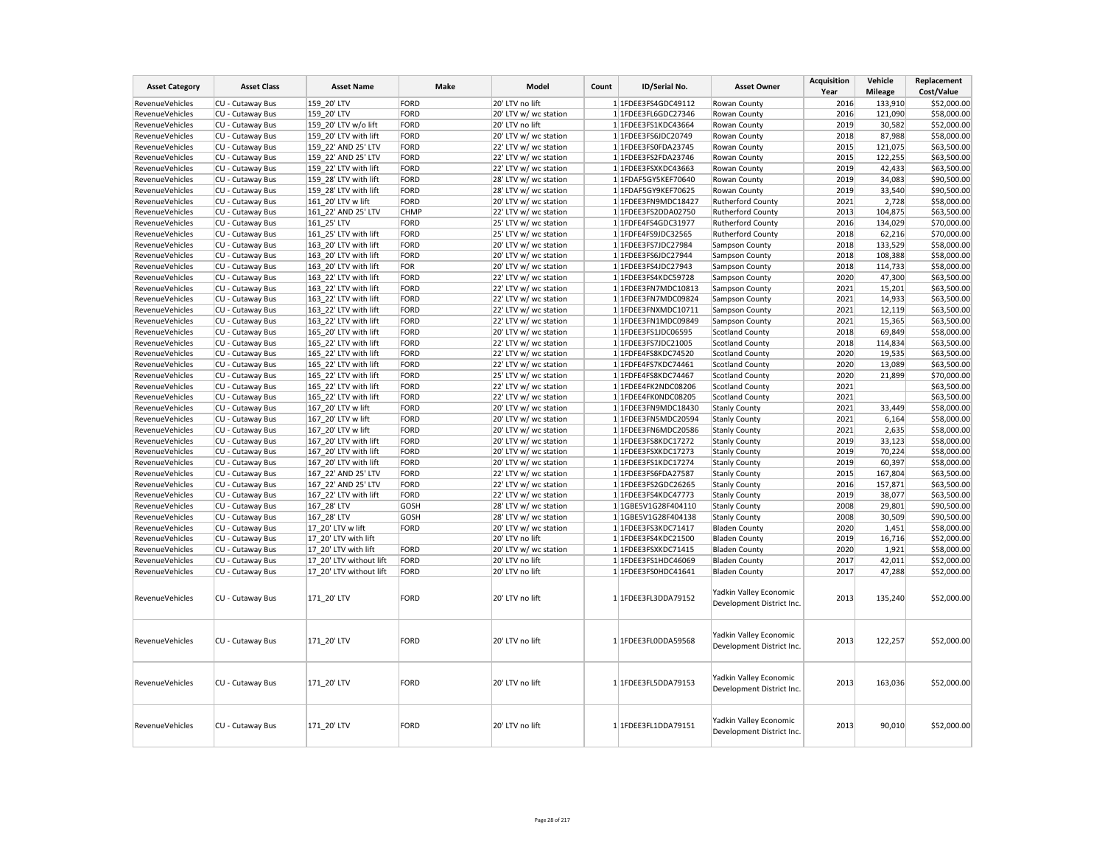| <b>Asset Category</b>  | <b>Asset Class</b> | <b>Asset Name</b>       | Make        | Model                                          | Count | ID/Serial No.       | <b>Asset Owner</b>                                  | <b>Acquisition</b><br>Year | Vehicle<br><b>Mileage</b> | Replacement<br>Cost/Value |
|------------------------|--------------------|-------------------------|-------------|------------------------------------------------|-------|---------------------|-----------------------------------------------------|----------------------------|---------------------------|---------------------------|
| RevenueVehicles        | CU - Cutaway Bus   | 159 20' LTV             | FORD        | 20' LTV no lift                                |       | 1 1FDEE3FS4GDC49112 | Rowan County                                        | 2016                       | 133,910                   | \$52,000.00               |
| RevenueVehicles        | CU - Cutaway Bus   | 159 20' LTV             | FORD        | 20' LTV w/ wc station                          |       | 1 1FDEE3FL6GDC27346 | Rowan County                                        | 2016                       | 121,090                   | \$58,000.00               |
| RevenueVehicles        | CU - Cutaway Bus   | 159 20' LTV w/o lift    | FORD        | 20' LTV no lift                                |       | 1 1FDEE3FS1KDC43664 | Rowan County                                        | 2019                       | 30,582                    | \$52,000.00               |
| RevenueVehicles        | CU - Cutaway Bus   | 159 20' LTV with lift   | FORD        | 20' LTV w/ wc station                          |       | 1 1FDEE3FS6JDC20749 | Rowan County                                        | 2018                       | 87,988                    | \$58,000.00               |
| RevenueVehicles        | CU - Cutaway Bus   | 159 22' AND 25' LTV     | FORD        | 22' LTV w/ wc station                          |       | 1 1FDEE3FS0FDA23745 | Rowan County                                        | 2015                       | 121,075                   | \$63,500.00               |
| RevenueVehicles        | CU - Cutaway Bus   | 159 22' AND 25' LTV     | FORD        |                                                |       | 1 1FDEE3FS2FDA23746 | Rowan County                                        | 2015                       | 122,255                   | \$63,500.00               |
| <b>RevenueVehicles</b> | CU - Cutaway Bus   | 159 22' LTV with lift   | FORD        | 22' LTV w/ wc station<br>22' LTV w/ wc station |       |                     | Rowan County                                        | 2019                       | 42,433                    |                           |
|                        |                    |                         |             |                                                |       | 1 1FDEE3FSXKDC43663 |                                                     | 2019                       | 34,083                    | \$63,500.00               |
| RevenueVehicles        | CU - Cutaway Bus   | 159 28' LTV with lift   | FORD        | 28' LTV w/ wc station                          |       | 1 1FDAF5GY5KEF70640 | Rowan County                                        |                            |                           | \$90,500.00               |
| RevenueVehicles        | CU - Cutaway Bus   | 159 28' LTV with lift   | FORD        | 28' LTV w/ wc station                          |       | 1 1FDAF5GY9KEF70625 | Rowan County                                        | 2019                       | 33,540                    | \$90,500.00               |
| RevenueVehicles        | CU - Cutaway Bus   | 161 20' LTV w lift      | FORD        | 20' LTV w/ wc station                          |       | 1 1FDEE3FN9MDC18427 | Rutherford County                                   | 2021                       | 2,728                     | \$58,000.00               |
| RevenueVehicles        | CU - Cutaway Bus   | 161 22' AND 25' LTV     | <b>CHMP</b> | 22' LTV w/ wc station                          |       | 1 1FDEE3FS2DDA02750 | <b>Rutherford County</b>                            | 2013                       | 104,875                   | \$63,500.00               |
| RevenueVehicles        | CU - Cutaway Bus   | 161 25' LTV             | FORD        | 25' LTV w/ wc station                          |       | 1 1FDFE4FS4GDC31977 | Rutherford County                                   | 2016                       | 134,029                   | \$70,000.00               |
| RevenueVehicles        | CU - Cutaway Bus   | 161_25' LTV with lift   | FORD        | 25' LTV w/ wc station                          |       | 1 1FDFE4FS9JDC32565 | <b>Rutherford County</b>                            | 2018                       | 62,216                    | \$70,000.00               |
| <b>RevenueVehicles</b> | CU - Cutaway Bus   | 163 20' LTV with lift   | FORD        | 20' LTV w/ wc station                          |       | 1 1FDEE3FS7JDC27984 | Sampson County                                      | 2018                       | 133,529                   | \$58,000.00               |
| RevenueVehicles        | CU - Cutaway Bus   | 163_20' LTV with lift   | FORD        | 20' LTV w/ wc station                          |       | 1 1FDEE3FS6JDC27944 | Sampson County                                      | 2018                       | 108,388                   | \$58,000.00               |
| RevenueVehicles        | CU - Cutaway Bus   | 163 20' LTV with lift   | FOR         | 20' LTV w/ wc station                          |       | 1 1FDEE3FS4JDC27943 | Sampson County                                      | 2018                       | 114,733                   | \$58,000.00               |
| RevenueVehicles        | CU - Cutaway Bus   | 163 22' LTV with lift   | FORD        | 22' LTV w/ wc station                          |       | 1 1FDEE3FS4KDC59728 | Sampson County                                      | 2020                       | 47,300                    | \$63,500.00               |
| RevenueVehicles        | CU - Cutaway Bus   | 163_22' LTV with lift   | FORD        | 22' LTV w/ wc station                          |       | 1 1FDEE3FN7MDC10813 | Sampson County                                      | 2021                       | 15,201                    | \$63,500.00               |
| RevenueVehicles        | CU - Cutaway Bus   | 163 22' LTV with lift   | FORD        | 22' LTV w/ wc station                          |       | 1 1FDEE3FN7MDC09824 | Sampson County                                      | 2021                       | 14,933                    | \$63,500.00               |
| RevenueVehicles        | CU - Cutaway Bus   | 163 22' LTV with lift   | FORD        | 22' LTV w/ wc station                          |       | 1 1FDEE3FNXMDC10711 | Sampson County                                      | 2021                       | 12,119                    | \$63,500.00               |
| RevenueVehicles        | CU - Cutaway Bus   | 163 22' LTV with lift   | FORD        | 22' LTV w/ wc station                          |       | 1 1FDEE3FN1MDC09849 | Sampson County                                      | 2021                       | 15,365                    | \$63,500.00               |
| RevenueVehicles        | CU - Cutaway Bus   | 165_20' LTV with lift   | FORD        | 20' LTV w/ wc station                          |       | 1 1FDEE3FS1JDC06595 | <b>Scotland County</b>                              | 2018                       | 69,849                    | \$58,000.00               |
| RevenueVehicles        | CU - Cutaway Bus   | 165 22' LTV with lift   | FORD        | 22' LTV w/ wc station                          |       | 1 1FDEE3FS7JDC21005 | <b>Scotland County</b>                              | 2018                       | 114,834                   | \$63,500.00               |
| RevenueVehicles        | CU - Cutaway Bus   | 165 22' LTV with lift   | FORD        | 22' LTV w/ wc station                          |       | 1 1FDFE4FS8KDC74520 | <b>Scotland County</b>                              | 2020                       | 19,535                    | \$63,500.00               |
| RevenueVehicles        | CU - Cutaway Bus   | 165 22' LTV with lift   | FORD        | 22' LTV w/ wc station                          |       | 1 1FDFE4FS7KDC74461 | <b>Scotland County</b>                              | 2020                       | 13,089                    | \$63,500.00               |
| RevenueVehicles        | CU - Cutaway Bus   | 165 22' LTV with lift   | FORD        | 25' LTV w/ wc station                          |       | 1 1FDFE4FS8KDC74467 | <b>Scotland County</b>                              | 2020                       | 21,899                    | \$70,000.00               |
| <b>RevenueVehicles</b> | CU - Cutaway Bus   | 165 22' LTV with lift   | FORD        | 22' LTV w/ wc station                          |       | 1 1FDEE4FK2NDC08206 | <b>Scotland County</b>                              | 2021                       |                           | \$63,500.00               |
| RevenueVehicles        | CU - Cutaway Bus   | 165 22' LTV with lift   | FORD        | 22' LTV w/ wc station                          |       | 1 1FDEE4FK0NDC08205 | <b>Scotland County</b>                              | 2021                       |                           | \$63,500.00               |
| RevenueVehicles        | CU - Cutaway Bus   | 167_20' LTV w lift      | FORD        | 20' LTV w/ wc station                          |       | 1 1FDEE3FN9MDC18430 | <b>Stanly County</b>                                | 2021                       | 33,449                    | \$58,000.00               |
| <b>RevenueVehicles</b> | CU - Cutaway Bus   | 167 20' LTV w lift      | FORD        | 20' LTV w/ wc station                          |       | 1 1FDEE3FN5MDC20594 | <b>Stanly County</b>                                | 2021                       | 6,164                     | \$58,000.00               |
| RevenueVehicles        | CU - Cutaway Bus   | 167 20' LTV w lift      | FORD        | 20' LTV w/ wc station                          |       | 1 1FDEE3FN6MDC20586 | <b>Stanly County</b>                                | 2021                       | 2,635                     | \$58,000.00               |
| RevenueVehicles        | CU - Cutaway Bus   | 167 20' LTV with lift   | FORD        | 20' LTV w/ wc station                          |       | 1 1FDEE3FS8KDC17272 | <b>Stanly County</b>                                | 2019                       | 33,123                    | \$58,000.00               |
| RevenueVehicles        | CU - Cutaway Bus   | 167 20' LTV with lift   | FORD        | 20' LTV w/ wc station                          |       | 1 1FDEE3FSXKDC17273 | <b>Stanly County</b>                                | 2019                       | 70,224                    | \$58,000.00               |
| RevenueVehicles        | CU - Cutaway Bus   | 167 20' LTV with lift   | FORD        | 20' LTV w/ wc station                          |       | 1 1FDEE3FS1KDC17274 | <b>Stanly County</b>                                | 2019                       | 60,397                    | \$58,000.00               |
| RevenueVehicles        | CU - Cutaway Bus   | 167 22' AND 25' LTV     | FORD        | 22' LTV w/ wc station                          |       | 1 1FDEE3FS6FDA27587 | <b>Stanly County</b>                                | 2015                       | 167,804                   | \$63,500.00               |
| RevenueVehicles        | CU - Cutaway Bus   | 167 22' AND 25' LTV     | FORD        | 22' LTV w/ wc station                          |       | 1 1FDEE3FS2GDC26265 | <b>Stanly County</b>                                | 2016                       | 157,871                   | \$63,500.00               |
| <b>RevenueVehicles</b> | CU - Cutaway Bus   | 167 22' LTV with lift   | FORD        | 22' LTV w/ wc station                          |       | 1 1FDEE3FS4KDC47773 | <b>Stanly County</b>                                | 2019                       | 38,077                    | \$63,500.00               |
| RevenueVehicles        | CU - Cutaway Bus   | 167_28' LTV             | GOSH        | 28' LTV w/ wc station                          |       | 1 1GBE5V1G28F404110 | <b>Stanly County</b>                                | 2008                       | 29,801                    | \$90,500.00               |
| RevenueVehicles        | CU - Cutaway Bus   | 167 28' LTV             | GOSH        | 28' LTV w/ wc station                          |       | 1 1GBE5V1G28F404138 | <b>Stanly County</b>                                | 2008                       | 30,509                    | \$90,500.00               |
| RevenueVehicles        | CU - Cutaway Bus   | 17 20' LTV w lift       | FORD        | 20' LTV w/ wc station                          |       | 1 1FDEE3FS3KDC71417 | <b>Bladen County</b>                                | 2020                       | 1,451                     | \$58,000.00               |
| RevenueVehicles        | CU - Cutaway Bus   | 17 20' LTV with lift    |             | 20' LTV no lift                                |       | 1 1FDEE3FS4KDC21500 | <b>Bladen County</b>                                | 2019                       | 16,716                    | \$52,000.00               |
| RevenueVehicles        | CU - Cutaway Bus   | 17 20' LTV with lift    | FORD        | 20' LTV w/ wc station                          |       | 1 1FDEE3FSXKDC71415 | <b>Bladen County</b>                                | 2020                       | 1,921                     | \$58,000.00               |
| RevenueVehicles        | CU - Cutaway Bus   | 17 20' LTV without lift | FORD        | 20' LTV no lift                                |       | 1 1FDEE3FS1HDC46069 | <b>Bladen County</b>                                | 2017                       | 42,011                    | \$52,000.00               |
| RevenueVehicles        | CU - Cutaway Bus   | 17 20' LTV without lift | FORD        | 20' LTV no lift                                |       | 1 1FDEE3FS0HDC41641 | <b>Bladen County</b>                                | 2017                       | 47,288                    | \$52,000.00               |
|                        |                    |                         |             |                                                |       |                     | Yadkin Valley Economic                              |                            |                           |                           |
| RevenueVehicles        | CU - Cutaway Bus   | 171_20' LTV             | FORD        | 20' LTV no lift                                |       | 1 1FDEE3FL3DDA79152 | Development District Inc.                           | 2013                       | 135,240                   | \$52,000.00               |
| <b>RevenueVehicles</b> | CU - Cutaway Bus   | 171_20' LTV             | FORD        | 20' LTV no lift                                |       | 1 1FDEE3FL0DDA59568 | Yadkin Valley Economic<br>Development District Inc. | 2013                       | 122,257                   | \$52,000.00               |
| RevenueVehicles        | CU - Cutaway Bus   | 171 20' LTV             | FORD        | 20' LTV no lift                                |       | 1 1FDEE3FL5DDA79153 | Yadkin Valley Economic<br>Development District Inc. | 2013                       | 163,036                   | \$52,000.00               |
| RevenueVehicles        | CU - Cutaway Bus   | 171 20' LTV             | FORD        | 20' LTV no lift                                |       | 1 1FDEE3FL1DDA79151 | Yadkin Valley Economic<br>Development District Inc. | 2013                       | 90,010                    | \$52,000.00               |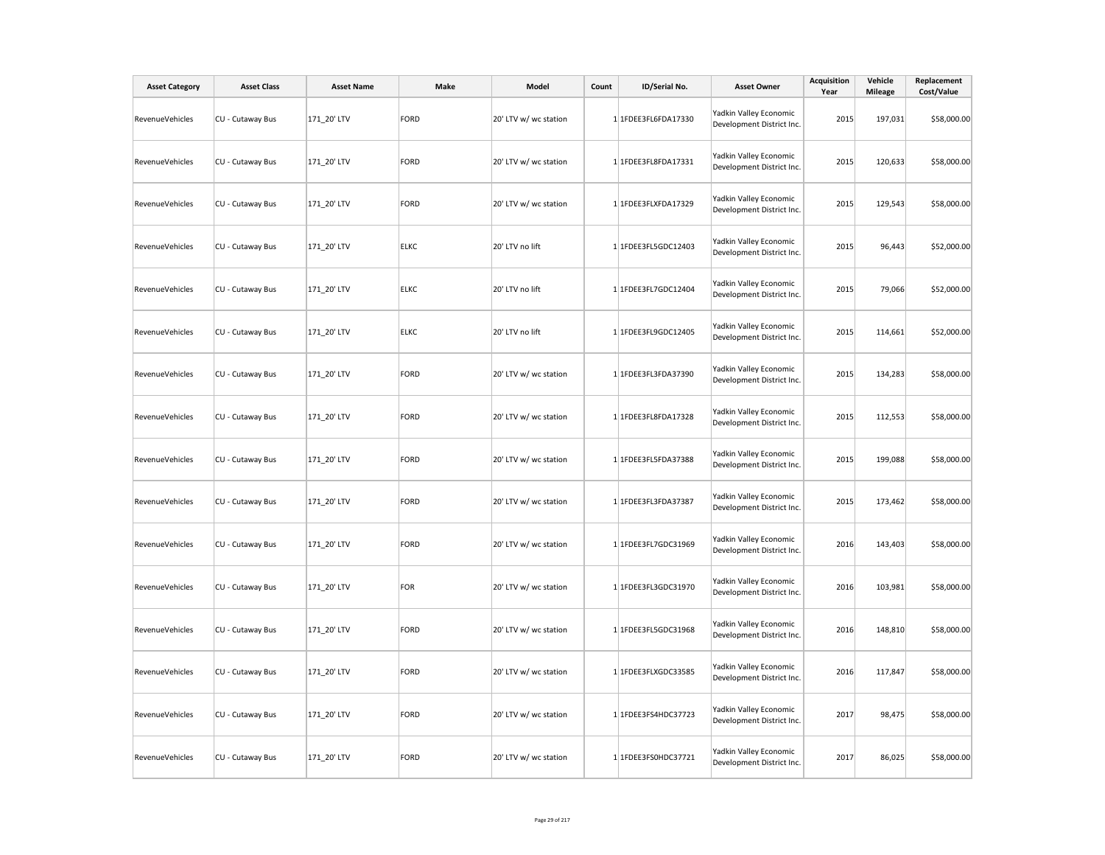| <b>Asset Category</b> | <b>Asset Class</b> | <b>Asset Name</b> | Make        | Model                 | Count | ID/Serial No.       | <b>Asset Owner</b>                                  | Acquisition<br>Year | Vehicle<br>Mileage | Replacement<br>Cost/Value |
|-----------------------|--------------------|-------------------|-------------|-----------------------|-------|---------------------|-----------------------------------------------------|---------------------|--------------------|---------------------------|
| RevenueVehicles       | CU - Cutaway Bus   | 171_20' LTV       | FORD        | 20' LTV w/ wc station |       | 1 1FDEE3FL6FDA17330 | Yadkin Valley Economic<br>Development District Inc. | 2015                | 197,031            | \$58,000.00               |
| RevenueVehicles       | CU - Cutaway Bus   | 171_20' LTV       | FORD        | 20' LTV w/ wc station |       | 1 1FDEE3FL8FDA17331 | Yadkin Valley Economic<br>Development District Inc. | 2015                | 120,633            | \$58,000.00               |
| RevenueVehicles       | CU - Cutaway Bus   | 171_20' LTV       | FORD        | 20' LTV w/ wc station |       | 1 1FDEE3FLXFDA17329 | Yadkin Valley Economic<br>Development District Inc. | 2015                | 129,543            | \$58,000.00               |
| RevenueVehicles       | CU - Cutaway Bus   | 171_20' LTV       | <b>ELKC</b> | 20' LTV no lift       |       | 1 1FDEE3FL5GDC12403 | Yadkin Valley Economic<br>Development District Inc. | 2015                | 96,443             | \$52,000.00               |
| RevenueVehicles       | CU - Cutaway Bus   | 171_20' LTV       | <b>ELKC</b> | 20' LTV no lift       |       | 1 1FDEE3FL7GDC12404 | Yadkin Valley Economic<br>Development District Inc. | 2015                | 79,066             | \$52,000.00               |
| RevenueVehicles       | CU - Cutaway Bus   | 171_20' LTV       | <b>ELKC</b> | 20' LTV no lift       |       | 1 1FDEE3FL9GDC12405 | Yadkin Valley Economic<br>Development District Inc. | 2015                | 114,661            | \$52,000.00               |
| RevenueVehicles       | CU - Cutaway Bus   | 171_20' LTV       | FORD        | 20' LTV w/ wc station |       | 1 1FDEE3FL3FDA37390 | Yadkin Valley Economic<br>Development District Inc. | 2015                | 134,283            | \$58,000.00               |
| RevenueVehicles       | CU - Cutaway Bus   | 171_20' LTV       | FORD        | 20' LTV w/ wc station |       | 1 1FDEE3FL8FDA17328 | Yadkin Valley Economic<br>Development District Inc. | 2015                | 112,553            | \$58,000.00               |
| RevenueVehicles       | CU - Cutaway Bus   | 171_20' LTV       | FORD        | 20' LTV w/ wc station |       | 1 1FDEE3FL5FDA37388 | Yadkin Valley Economic<br>Development District Inc. | 2015                | 199,088            | \$58,000.00               |
| RevenueVehicles       | CU - Cutaway Bus   | 171 20' LTV       | FORD        | 20' LTV w/ wc station |       | 1 1FDEE3FL3FDA37387 | Yadkin Valley Economic<br>Development District Inc. | 2015                | 173,462            | \$58,000.00               |
| RevenueVehicles       | CU - Cutaway Bus   | 171 20' LTV       | FORD        | 20' LTV w/ wc station |       | 1 1FDEE3FL7GDC31969 | Yadkin Valley Economic<br>Development District Inc. | 2016                | 143,403            | \$58,000.00               |
| RevenueVehicles       | CU - Cutaway Bus   | 171_20' LTV       | FOR         | 20' LTV w/ wc station |       | 1 1FDEE3FL3GDC31970 | Yadkin Valley Economic<br>Development District Inc. | 2016                | 103,981            | \$58,000.00               |
| RevenueVehicles       | CU - Cutaway Bus   | 171_20' LTV       | FORD        | 20' LTV w/ wc station |       | 1 1FDEE3FL5GDC31968 | Yadkin Valley Economic<br>Development District Inc. | 2016                | 148,810            | \$58,000.00               |
| RevenueVehicles       | CU - Cutaway Bus   | 171_20' LTV       | FORD        | 20' LTV w/ wc station |       | 1 1FDEE3FLXGDC33585 | Yadkin Valley Economic<br>Development District Inc. | 2016                | 117,847            | \$58,000.00               |
| RevenueVehicles       | CU - Cutaway Bus   | 171_20' LTV       | FORD        | 20' LTV w/ wc station |       | 1 1FDEE3FS4HDC37723 | Yadkin Valley Economic<br>Development District Inc. | 2017                | 98,475             | \$58,000.00               |
| RevenueVehicles       | CU - Cutaway Bus   | 171 20' LTV       | FORD        | 20' LTV w/ wc station |       | 1 1FDEE3FS0HDC37721 | Yadkin Valley Economic<br>Development District Inc. | 2017                | 86,025             | \$58,000.00               |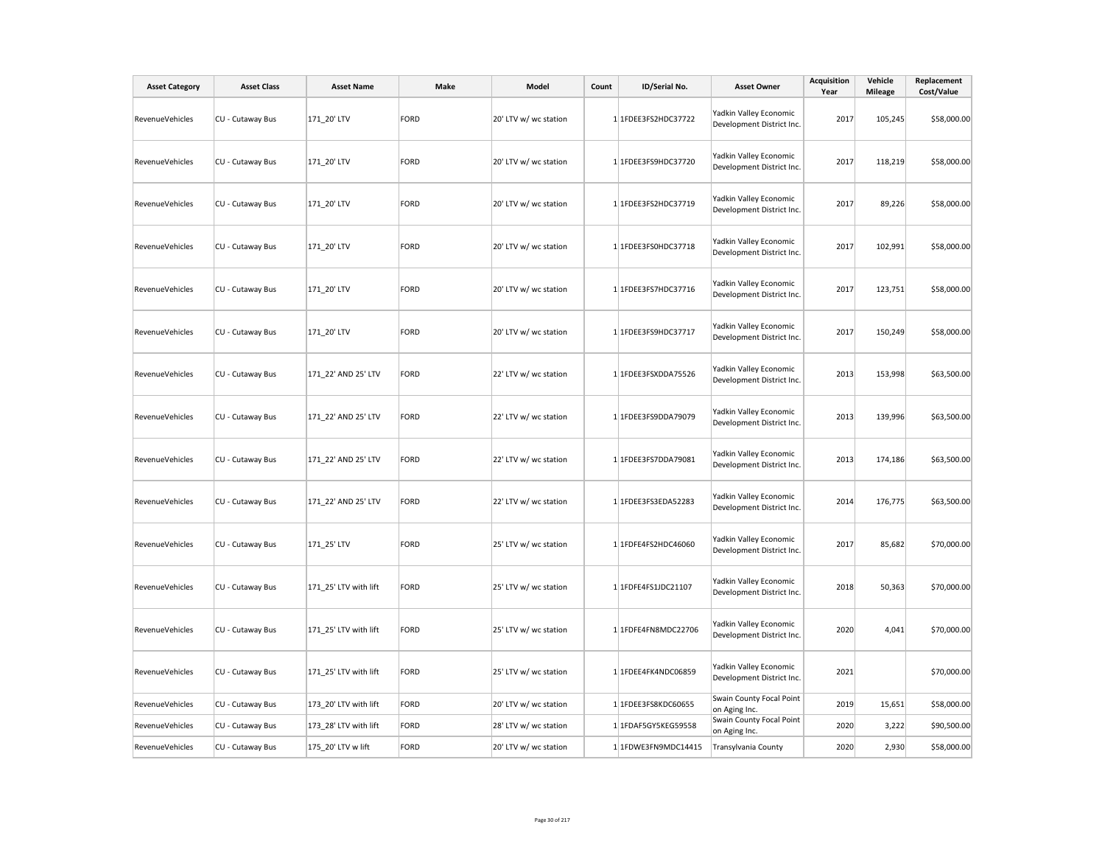| <b>Asset Category</b>  | <b>Asset Class</b> | <b>Asset Name</b>     | Make | Model                 | Count | ID/Serial No.       | <b>Asset Owner</b>                                  | <b>Acquisition</b><br>Year | Vehicle<br><b>Mileage</b> | Replacement<br>Cost/Value |
|------------------------|--------------------|-----------------------|------|-----------------------|-------|---------------------|-----------------------------------------------------|----------------------------|---------------------------|---------------------------|
| RevenueVehicles        | CU - Cutaway Bus   | 171_20' LTV           | FORD | 20' LTV w/ wc station |       | 1 1FDEE3FS2HDC37722 | Yadkin Valley Economic<br>Development District Inc. | 2017                       | 105,245                   | \$58,000.00               |
| RevenueVehicles        | CU - Cutaway Bus   | 171 20' LTV           | FORD | 20' LTV w/ wc station |       | 1 1FDEE3FS9HDC37720 | Yadkin Valley Economic<br>Development District Inc. | 2017                       | 118,219                   | \$58,000.00               |
| RevenueVehicles        | CU - Cutaway Bus   | 171 20' LTV           | FORD | 20' LTV w/ wc station |       | 1 1FDEE3FS2HDC37719 | Yadkin Valley Economic<br>Development District Inc. | 2017                       | 89,226                    | \$58,000.00               |
| RevenueVehicles        | CU - Cutaway Bus   | 171_20' LTV           | FORD | 20' LTV w/ wc station |       | 1 1FDEE3FS0HDC37718 | Yadkin Valley Economic<br>Development District Inc. | 2017                       | 102,991                   | \$58,000.00               |
| RevenueVehicles        | CU - Cutaway Bus   | 171_20' LTV           | FORD | 20' LTV w/ wc station |       | 1 1FDEE3FS7HDC37716 | Yadkin Valley Economic<br>Development District Inc. | 2017                       | 123,751                   | \$58,000.00               |
| RevenueVehicles        | CU - Cutaway Bus   | 171_20' LTV           | FORD | 20' LTV w/ wc station |       | 1 1FDEE3FS9HDC37717 | Yadkin Valley Economic<br>Development District Inc. | 2017                       | 150,249                   | \$58,000.00               |
| RevenueVehicles        | CU - Cutaway Bus   | 171 22' AND 25' LTV   | FORD | 22' LTV w/ wc station |       | 1 1FDEE3FSXDDA75526 | Yadkin Valley Economic<br>Development District Inc. | 2013                       | 153,998                   | \$63,500.00               |
| RevenueVehicles        | CU - Cutaway Bus   | 171_22' AND 25' LTV   | FORD | 22' LTV w/ wc station |       | 1 1FDEE3FS9DDA79079 | Yadkin Valley Economic<br>Development District Inc. | 2013                       | 139,996                   | \$63,500.00               |
| RevenueVehicles        | CU - Cutaway Bus   | 171 22' AND 25' LTV   | FORD | 22' LTV w/ wc station |       | 1 1FDEE3FS7DDA79081 | Yadkin Valley Economic<br>Development District Inc. | 2013                       | 174,186                   | \$63,500.00               |
| RevenueVehicles        | CU - Cutaway Bus   | 171_22' AND 25' LTV   | FORD | 22' LTV w/ wc station |       | 1 1FDEE3FS3EDA52283 | Yadkin Valley Economic<br>Development District Inc. | 2014                       | 176,775                   | \$63,500.00               |
| <b>RevenueVehicles</b> | CU - Cutaway Bus   | 171 25' LTV           | FORD | 25' LTV w/ wc station |       | 1 1FDFE4FS2HDC46060 | Yadkin Valley Economic<br>Development District Inc. | 2017                       | 85,682                    | \$70,000.00               |
| RevenueVehicles        | CU - Cutaway Bus   | 171 25' LTV with lift | FORD | 25' LTV w/ wc station |       | 1 1FDFE4FS1JDC21107 | Yadkin Valley Economic<br>Development District Inc. | 2018                       | 50,363                    | \$70,000.00               |
| RevenueVehicles        | CU - Cutaway Bus   | 171 25' LTV with lift | FORD | 25' LTV w/ wc station |       | 1 1FDFE4FN8MDC22706 | Yadkin Valley Economic<br>Development District Inc. | 2020                       | 4,041                     | \$70,000.00               |
| RevenueVehicles        | CU - Cutaway Bus   | 171_25' LTV with lift | FORD | 25' LTV w/ wc station |       | 1 1FDEE4FK4NDC06859 | Yadkin Valley Economic<br>Development District Inc. | 2021                       |                           | \$70,000.00               |
| RevenueVehicles        | CU - Cutaway Bus   | 173_20' LTV with lift | FORD | 20' LTV w/ wc station |       | 1 1FDEE3FS8KDC60655 | Swain County Focal Point<br>on Aging Inc.           | 2019                       | 15,651                    | \$58,000.00               |
| RevenueVehicles        | CU - Cutaway Bus   | 173 28' LTV with lift | FORD | 28' LTV w/ wc station |       | 1 1FDAF5GY5KEG59558 | Swain County Focal Point<br>on Aging Inc.           | 2020                       | 3,222                     | \$90,500.00               |
| RevenueVehicles        | CU - Cutaway Bus   | 175 20' LTV w lift    | FORD | 20' LTV w/ wc station |       | 1 1FDWE3FN9MDC14415 | Transylvania County                                 | 2020                       | 2,930                     | \$58,000.00               |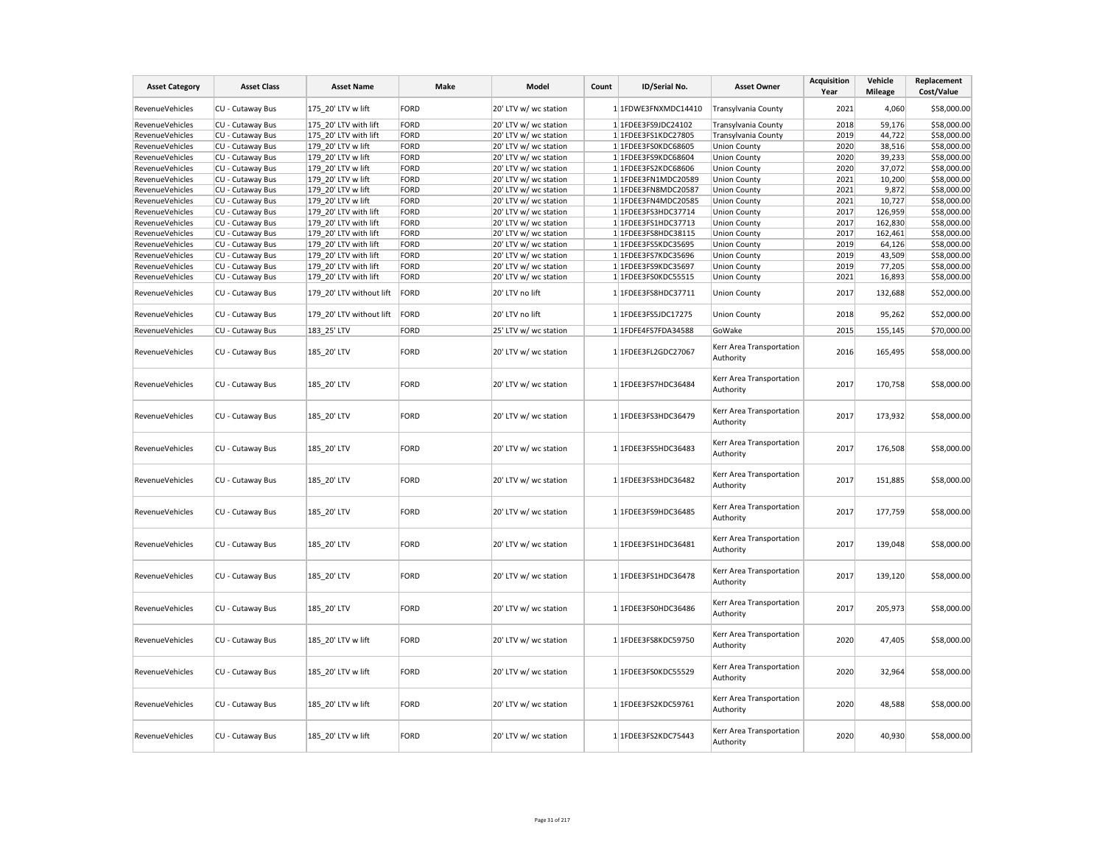| <b>Asset Category</b>  | <b>Asset Class</b> | <b>Asset Name</b>        | Make        | Model                 | Count | ID/Serial No.       | <b>Asset Owner</b>                    | <b>Acquisition</b><br>Year | Vehicle<br><b>Mileage</b> | Replacement<br>Cost/Value |
|------------------------|--------------------|--------------------------|-------------|-----------------------|-------|---------------------|---------------------------------------|----------------------------|---------------------------|---------------------------|
| RevenueVehicles        | CU - Cutaway Bus   | 175 20' LTV w lift       | <b>FORD</b> | 20' LTV w/ wc station |       | 1 1FDWE3FNXMDC14410 | Transylvania County                   | 2021                       | 4,060                     | \$58,000.00               |
| RevenueVehicles        | CU - Cutaway Bus   | 175 20' LTV with lift    | <b>FORD</b> | 20' LTV w/ wc station |       | 1 1FDEE3FS9JDC24102 | Transylvania County                   | 2018                       | 59,176                    | \$58,000.00               |
| RevenueVehicles        | CU - Cutaway Bus   | 175 20' LTV with lift    | <b>FORD</b> | 20' LTV w/ wc station |       | 1 1FDEE3FS1KDC27805 | Transylvania County                   | 2019                       | 44,722                    | \$58,000.00               |
| RevenueVehicles        | CU - Cutaway Bus   | 179 20' LTV w lift       | <b>FORD</b> | 20' LTV w/ wc station |       | 1 1FDEE3FS0KDC68605 | <b>Union County</b>                   | 2020                       | 38,516                    | \$58,000.00               |
| <b>RevenueVehicles</b> | CU - Cutaway Bus   | 179 20' LTV w lift       | <b>FORD</b> | 20' LTV w/ wc station |       | 1 1FDEE3FS9KDC68604 | <b>Union County</b>                   | 2020                       | 39,233                    | \$58,000.00               |
| RevenueVehicles        | CU - Cutaway Bus   | 179 20' LTV w lift       | <b>FORD</b> | 20' LTV w/ wc station |       | 1 1FDEE3FS2KDC68606 | <b>Union County</b>                   | 2020                       | 37,072                    | \$58,000.00               |
| RevenueVehicles        | CU - Cutaway Bus   | 179 20' LTV w lift       | <b>FORD</b> | 20' LTV w/ wc station |       | 1 1FDEE3FN1MDC20589 | <b>Union County</b>                   | 2021                       | 10,200                    | \$58,000.00               |
| RevenueVehicles        | CU - Cutaway Bus   | 179 20' LTV w lift       | <b>FORD</b> | 20' LTV w/ wc station |       | 1 1FDEE3FN8MDC20587 | <b>Union County</b>                   | 2021                       | 9,872                     | \$58,000.00               |
| RevenueVehicles        | CU - Cutaway Bus   | 179 20' LTV w lift       | <b>FORD</b> | 20' LTV w/ wc station |       | 1 1FDEE3FN4MDC20585 | <b>Union County</b>                   | 2021                       | 10,727                    | \$58,000.00               |
| <b>RevenueVehicles</b> | CU - Cutaway Bus   | 179 20' LTV with lift    | <b>FORD</b> | 20' LTV w/ wc station |       | 1 1FDEE3FS3HDC37714 | <b>Union County</b>                   | 2017                       | 126,959                   | \$58,000.00               |
| RevenueVehicles        | CU - Cutaway Bus   | 179 20' LTV with lift    | <b>FORD</b> | 20' LTV w/ wc station |       | 1 1FDEE3FS1HDC37713 | <b>Union County</b>                   | 2017                       | 162,830                   | \$58,000.00               |
| RevenueVehicles        | CU - Cutaway Bus   | 179 20' LTV with lift    | <b>FORD</b> | 20' LTV w/ wc station |       | 1 1FDEE3FS8HDC38115 | <b>Union County</b>                   | 2017                       | 162,461                   | \$58,000.00               |
| RevenueVehicles        | CU - Cutaway Bus   | 179 20' LTV with lift    | <b>FORD</b> | 20' LTV w/ wc station |       | 1 1FDEE3FS5KDC35695 | <b>Union County</b>                   | 2019                       | 64,126                    | \$58,000.00               |
| RevenueVehicles        | CU - Cutaway Bus   | 179 20' LTV with lift    | <b>FORD</b> | 20' LTV w/ wc station |       | 1 1FDEE3FS7KDC35696 | <b>Union County</b>                   | 2019                       | 43,509                    | \$58,000.00               |
| <b>RevenueVehicles</b> | CU - Cutaway Bus   | 179 20' LTV with lift    | <b>FORD</b> | 20' LTV w/ wc station |       | 1 1FDEE3FS9KDC35697 |                                       | 2019                       | 77,205                    | \$58,000.00               |
| <b>RevenueVehicles</b> |                    |                          |             |                       |       |                     | <b>Union County</b>                   | 2021                       |                           | \$58,000.00               |
|                        | CU - Cutaway Bus   | 179 20' LTV with lift    | <b>FORD</b> | 20' LTV w/ wc station |       | 1 1FDEE3FS0KDC55515 | <b>Union County</b>                   |                            | 16,893                    |                           |
| RevenueVehicles        | CU - Cutaway Bus   | 179 20' LTV without lift | <b>FORD</b> | 20' LTV no lift       |       | 1 1FDEE3FS8HDC37711 | <b>Union County</b>                   | 2017                       | 132,688                   | \$52,000.00               |
| RevenueVehicles        | CU - Cutaway Bus   | 179 20' LTV without lift | FORD        | 20' LTV no lift       |       | 1 1FDEE3FS5JDC17275 | <b>Union County</b>                   | 2018                       | 95,262                    | \$52,000.00               |
| RevenueVehicles        | CU - Cutaway Bus   | 183 25' LTV              | <b>FORD</b> | 25' LTV w/ wc station |       | 1 1FDFE4FS7FDA34588 | GoWake                                | 2015                       | 155,145                   | \$70,000.00               |
| RevenueVehicles        | CU - Cutaway Bus   | 185 20' LTV              | <b>FORD</b> | 20' LTV w/ wc station |       | 1 1FDEE3FL2GDC27067 | Kerr Area Transportation<br>Authority | 2016                       | 165,495                   | \$58,000.00               |
| <b>RevenueVehicles</b> | CU - Cutaway Bus   | 185 20' LTV              | <b>FORD</b> | 20' LTV w/ wc station |       | 1 1FDEE3FS7HDC36484 | Kerr Area Transportation<br>Authority | 2017                       | 170,758                   | \$58,000.00               |
| <b>RevenueVehicles</b> | CU - Cutaway Bus   | 185_20' LTV              | <b>FORD</b> | 20' LTV w/ wc station |       | 1 1FDEE3FS3HDC36479 | Kerr Area Transportation<br>Authority | 2017                       | 173,932                   | \$58,000.00               |
| RevenueVehicles        | CU - Cutaway Bus   | 185 20' LTV              | <b>FORD</b> | 20' LTV w/ wc station |       | 1 1FDEE3FS5HDC36483 | Kerr Area Transportation<br>Authority | 2017                       | 176,508                   | \$58,000.00               |
| <b>RevenueVehicles</b> | CU - Cutaway Bus   | 185_20' LTV              | <b>FORD</b> | 20' LTV w/ wc station |       | 1 1FDEE3FS3HDC36482 | Kerr Area Transportation<br>Authority | 2017                       | 151,885                   | \$58,000.00               |
| RevenueVehicles        | CU - Cutaway Bus   | 185 20' LTV              | <b>FORD</b> | 20' LTV w/ wc station |       | 1 1FDEE3FS9HDC36485 | Kerr Area Transportation<br>Authority | 2017                       | 177,759                   | \$58,000.00               |
| RevenueVehicles        | CU - Cutaway Bus   | 185 20' LTV              | <b>FORD</b> | 20' LTV w/ wc station |       | 1 1FDEE3FS1HDC36481 | Kerr Area Transportation<br>Authority | 2017                       | 139,048                   | \$58,000.00               |
| <b>RevenueVehicles</b> | CU - Cutaway Bus   | 185_20' LTV              | <b>FORD</b> | 20' LTV w/ wc station |       | 1 1FDEE3FS1HDC36478 | Kerr Area Transportation<br>Authority | 2017                       | 139,120                   | \$58,000.00               |
| RevenueVehicles        | CU - Cutaway Bus   | 185 20' LTV              | <b>FORD</b> | 20' LTV w/ wc station |       | 1 1FDEE3FS0HDC36486 | Kerr Area Transportation<br>Authority | 2017                       | 205,973                   | \$58,000.00               |
| RevenueVehicles        | CU - Cutaway Bus   | 185 20' LTV w lift       | <b>FORD</b> | 20' LTV w/ wc station |       | 1 1FDEE3FS8KDC59750 | Kerr Area Transportation<br>Authority | 2020                       | 47,405                    | \$58,000.00               |
| RevenueVehicles        | CU - Cutaway Bus   | 185 20' LTV w lift       | <b>FORD</b> | 20' LTV w/ wc station |       | 1 1FDEE3FS0KDC55529 | Kerr Area Transportation<br>Authority | 2020                       | 32,964                    | \$58,000.00               |
| RevenueVehicles        | CU - Cutaway Bus   | 185 20' LTV w lift       | <b>FORD</b> | 20' LTV w/ wc station |       | 1 1FDEE3FS2KDC59761 | Kerr Area Transportation<br>Authority | 2020                       | 48,588                    | \$58,000.00               |
| <b>RevenueVehicles</b> | CU - Cutaway Bus   | 185 20' LTV w lift       | <b>FORD</b> | 20' LTV w/ wc station |       | 1 1FDEE3FS2KDC75443 | Kerr Area Transportation<br>Authority | 2020                       | 40,930                    | \$58,000.00               |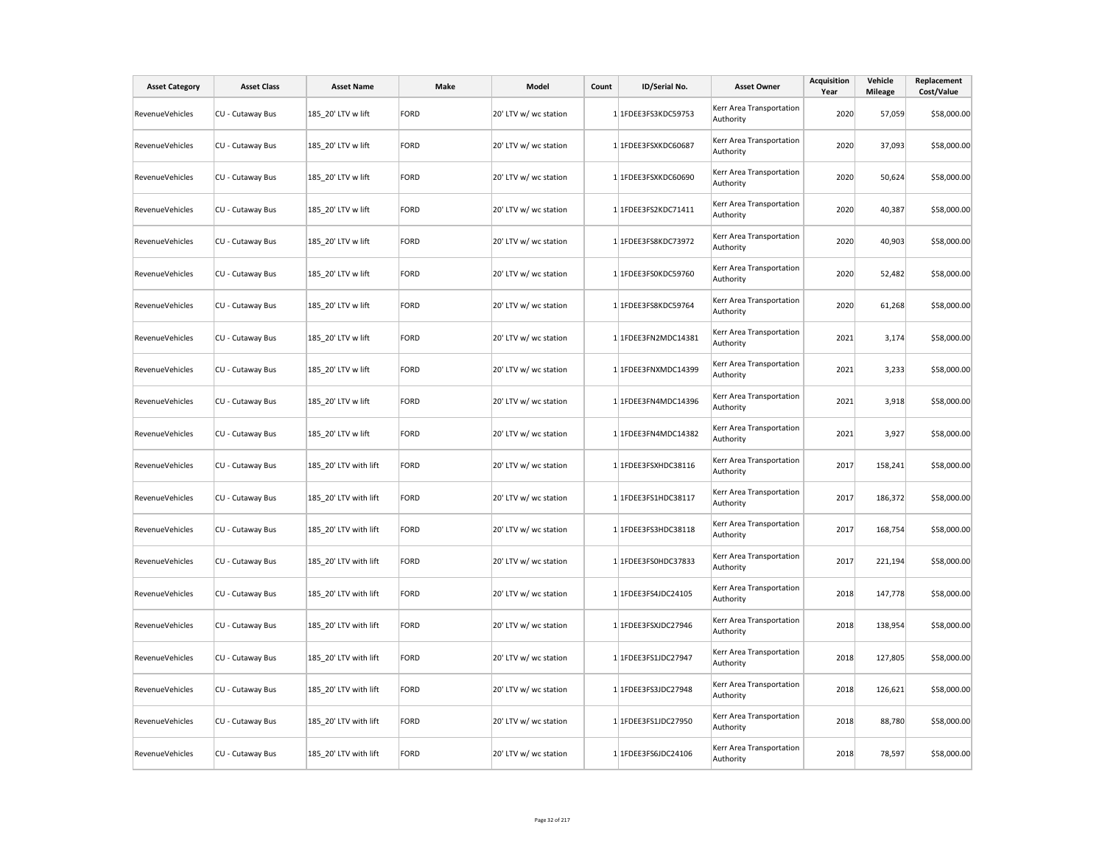| <b>Asset Category</b>  | <b>Asset Class</b> | <b>Asset Name</b>     | Make        | Model                 | Count | ID/Serial No.       | <b>Asset Owner</b>                    | <b>Acquisition</b><br>Year | Vehicle<br><b>Mileage</b> | Replacement<br>Cost/Value |
|------------------------|--------------------|-----------------------|-------------|-----------------------|-------|---------------------|---------------------------------------|----------------------------|---------------------------|---------------------------|
| <b>RevenueVehicles</b> | CU - Cutaway Bus   | 185_20' LTV w lift    | <b>FORD</b> | 20' LTV w/ wc station |       | 1 1FDEE3FS3KDC59753 | Kerr Area Transportation<br>Authority | 2020                       | 57,059                    | \$58,000.00               |
| RevenueVehicles        | CU - Cutaway Bus   | 185 20' LTV w lift    | <b>FORD</b> | 20' LTV w/ wc station |       | 1 1FDEE3FSXKDC60687 | Kerr Area Transportation<br>Authority | 2020                       | 37,093                    | \$58,000.00               |
| RevenueVehicles        | CU - Cutaway Bus   | 185 20' LTV w lift    | <b>FORD</b> | 20' LTV w/ wc station |       | 1 1FDEE3FSXKDC60690 | Kerr Area Transportation<br>Authority | 2020                       | 50,624                    | \$58,000.00               |
| RevenueVehicles        | CU - Cutaway Bus   | 185 20' LTV w lift    | <b>FORD</b> | 20' LTV w/ wc station |       | 1 1FDEE3FS2KDC71411 | Kerr Area Transportation<br>Authority | 2020                       | 40,387                    | \$58,000.00               |
| RevenueVehicles        | CU - Cutaway Bus   | 185 20' LTV w lift    | <b>FORD</b> | 20' LTV w/ wc station |       | 1 1FDEE3FS8KDC73972 | Kerr Area Transportation<br>Authority | 2020                       | 40,903                    | \$58,000.00               |
| <b>RevenueVehicles</b> | CU - Cutaway Bus   | 185 20' LTV w lift    | <b>FORD</b> | 20' LTV w/ wc station |       | 1 1FDEE3FS0KDC59760 | Kerr Area Transportation<br>Authority | 2020                       | 52,482                    | \$58,000.00               |
| RevenueVehicles        | CU - Cutaway Bus   | 185_20' LTV w lift    | <b>FORD</b> | 20' LTV w/ wc station |       | 1 1FDEE3FS8KDC59764 | Kerr Area Transportation<br>Authority | 2020                       | 61,268                    | \$58,000.00               |
| RevenueVehicles        | CU - Cutaway Bus   | 185_20' LTV w lift    | <b>FORD</b> | 20' LTV w/ wc station |       | 1 1FDEE3FN2MDC14381 | Kerr Area Transportation<br>Authority | 2021                       | 3,174                     | \$58,000.00               |
| RevenueVehicles        | CU - Cutaway Bus   | 185_20' LTV w lift    | <b>FORD</b> | 20' LTV w/ wc station |       | 1 1FDEE3FNXMDC14399 | Kerr Area Transportation<br>Authority | 2021                       | 3,233                     | \$58,000.00               |
| RevenueVehicles        | CU - Cutaway Bus   | 185_20' LTV w lift    | <b>FORD</b> | 20' LTV w/ wc station |       | 1 1FDEE3FN4MDC14396 | Kerr Area Transportation<br>Authority | 2021                       | 3,918                     | \$58,000.00               |
| RevenueVehicles        | CU - Cutaway Bus   | 185 20' LTV w lift    | <b>FORD</b> | 20' LTV w/ wc station |       | 1 1FDEE3FN4MDC14382 | Kerr Area Transportation<br>Authority | 2021                       | 3,927                     | \$58,000.00               |
| <b>RevenueVehicles</b> | CU - Cutaway Bus   | 185 20' LTV with lift | <b>FORD</b> | 20' LTV w/ wc station |       | 1 1FDEE3FSXHDC38116 | Kerr Area Transportation<br>Authority | 2017                       | 158,241                   | \$58,000.00               |
| RevenueVehicles        | CU - Cutaway Bus   | 185 20' LTV with lift | <b>FORD</b> | 20' LTV w/ wc station |       | 1 1FDEE3FS1HDC38117 | Kerr Area Transportation<br>Authority | 2017                       | 186,372                   | \$58,000.00               |
| RevenueVehicles        | CU - Cutaway Bus   | 185 20' LTV with lift | <b>FORD</b> | 20' LTV w/ wc station |       | 1 1FDEE3FS3HDC38118 | Kerr Area Transportation<br>Authority | 2017                       | 168,754                   | \$58,000.00               |
| <b>RevenueVehicles</b> | CU - Cutaway Bus   | 185 20' LTV with lift | <b>FORD</b> | 20' LTV w/ wc station |       | 1 1FDEE3FS0HDC37833 | Kerr Area Transportation<br>Authority | 2017                       | 221,194                   | \$58,000.00               |
| RevenueVehicles        | CU - Cutaway Bus   | 185_20' LTV with lift | FORD        | 20' LTV w/ wc station |       | 1 1FDEE3FS4JDC24105 | Kerr Area Transportation<br>Authority | 2018                       | 147,778                   | \$58,000.00               |
| RevenueVehicles        | CU - Cutaway Bus   | 185_20' LTV with lift | <b>FORD</b> | 20' LTV w/ wc station |       | 1 1FDEE3FSXJDC27946 | Kerr Area Transportation<br>Authority | 2018                       | 138,954                   | \$58,000.00               |
| RevenueVehicles        | CU - Cutaway Bus   | 185_20' LTV with lift | <b>FORD</b> | 20' LTV w/ wc station |       | 1 1FDEE3FS1JDC27947 | Kerr Area Transportation<br>Authority | 2018                       | 127,805                   | \$58,000.00               |
| RevenueVehicles        | CU - Cutaway Bus   | 185_20' LTV with lift | <b>FORD</b> | 20' LTV w/ wc station |       | 1 1FDEE3FS3JDC27948 | Kerr Area Transportation<br>Authority | 2018                       | 126,621                   | \$58,000.00               |
| RevenueVehicles        | CU - Cutaway Bus   | 185 20' LTV with lift | <b>FORD</b> | 20' LTV w/ wc station |       | 1 1FDEE3FS1JDC27950 | Kerr Area Transportation<br>Authority | 2018                       | 88,780                    | \$58,000.00               |
| RevenueVehicles        | CU - Cutaway Bus   | 185 20' LTV with lift | <b>FORD</b> | 20' LTV w/ wc station |       | 1 1FDEE3FS6JDC24106 | Kerr Area Transportation<br>Authority | 2018                       | 78,597                    | \$58,000.00               |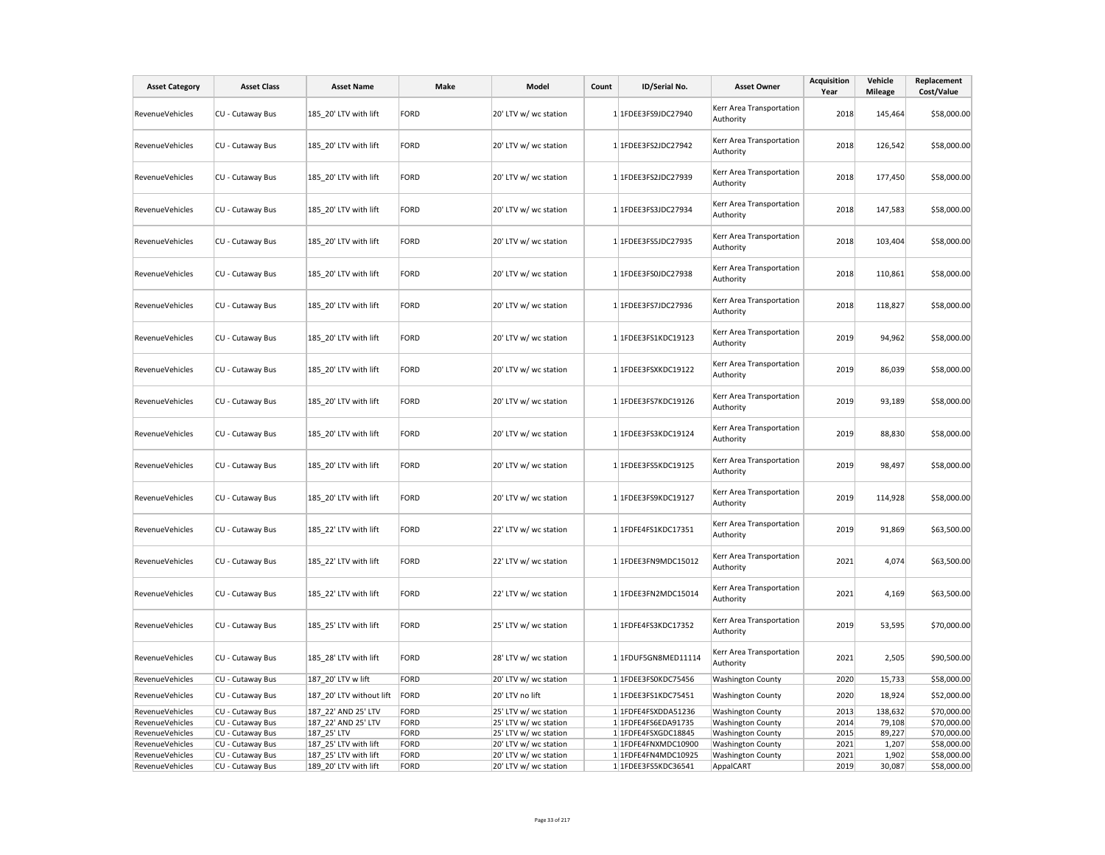| <b>Asset Category</b>              | <b>Asset Class</b> | <b>Asset Name</b>        | Make         | Model                 | Count | ID/Serial No.       | <b>Asset Owner</b>                    | <b>Acquisition</b><br>Year | Vehicle<br><b>Mileage</b> | Replacement<br>Cost/Value |
|------------------------------------|--------------------|--------------------------|--------------|-----------------------|-------|---------------------|---------------------------------------|----------------------------|---------------------------|---------------------------|
| RevenueVehicles                    | CU - Cutaway Bus   | 185 20' LTV with lift    | FORD         | 20' LTV w/ wc station |       | 1 1FDEE3FS9JDC27940 | Kerr Area Transportation<br>Authority | 2018                       | 145,464                   | \$58,000.00               |
| <b>RevenueVehicles</b>             | CU - Cutaway Bus   | 185 20' LTV with lift    | FORD         | 20' LTV w/ wc station |       | 1 1FDEE3FS2JDC27942 | Kerr Area Transportation<br>Authority | 2018                       | 126,542                   | \$58,000.00               |
| RevenueVehicles                    | CU - Cutaway Bus   | 185 20' LTV with lift    | FORD         | 20' LTV w/ wc station |       | 1 1FDEE3FS2JDC27939 | Kerr Area Transportation<br>Authority | 2018                       | 177,450                   | \$58,000.00               |
| RevenueVehicles                    | CU - Cutaway Bus   | 185 20' LTV with lift    | <b>FORD</b>  | 20' LTV w/ wc station |       | 1 1FDEE3FS3JDC27934 | Kerr Area Transportation<br>Authority | 2018                       | 147,583                   | \$58,000.00               |
| <b>RevenueVehicles</b>             | CU - Cutaway Bus   | 185 20' LTV with lift    | FORD         | 20' LTV w/ wc station |       | 1 1FDEE3FS5JDC27935 | Kerr Area Transportation<br>Authority | 2018                       | 103,404                   | \$58,000.00               |
| RevenueVehicles                    | CU - Cutaway Bus   | 185 20' LTV with lift    | FORD         | 20' LTV w/ wc station |       | 1 1FDEE3FS0JDC27938 | Kerr Area Transportation<br>Authority | 2018                       | 110,861                   | \$58,000.00               |
| RevenueVehicles                    | CU - Cutaway Bus   | 185_20' LTV with lift    | FORD         | 20' LTV w/ wc station |       | 1 1FDEE3FS7JDC27936 | Kerr Area Transportation<br>Authority | 2018                       | 118,827                   | \$58,000.00               |
| RevenueVehicles                    | CU - Cutaway Bus   | 185_20' LTV with lift    | FORD         | 20' LTV w/ wc station |       | 1 1FDEE3FS1KDC19123 | Kerr Area Transportation<br>Authority | 2019                       | 94,962                    | \$58,000.00               |
| <b>RevenueVehicles</b>             | CU - Cutaway Bus   | 185 20' LTV with lift    | FORD         | 20' LTV w/ wc station |       | 1 1FDEE3FSXKDC19122 | Kerr Area Transportation<br>Authority | 2019                       | 86,039                    | \$58,000.00               |
| <b>RevenueVehicles</b>             | CU - Cutaway Bus   | 185 20' LTV with lift    | FORD         | 20' LTV w/ wc station |       | 1 1FDEE3FS7KDC19126 | Kerr Area Transportation<br>Authority | 2019                       | 93,189                    | \$58,000.00               |
| RevenueVehicles                    | CU - Cutaway Bus   | 185 20' LTV with lift    | FORD         | 20' LTV w/ wc station |       | 1 1FDEE3FS3KDC19124 | Kerr Area Transportation<br>Authority | 2019                       | 88,830                    | \$58,000.00               |
| RevenueVehicles                    | CU - Cutaway Bus   | 185 20' LTV with lift    | FORD         | 20' LTV w/ wc station |       | 1 1FDEE3FS5KDC19125 | Kerr Area Transportation<br>Authority | 2019                       | 98,497                    | \$58,000.00               |
| <b>RevenueVehicles</b>             | CU - Cutaway Bus   | 185 20' LTV with lift    | FORD         | 20' LTV w/ wc station |       | 1 1FDEE3FS9KDC19127 | Kerr Area Transportation<br>Authority | 2019                       | 114,928                   | \$58,000.00               |
| RevenueVehicles                    | CU - Cutaway Bus   | 185_22' LTV with lift    | FORD         | 22' LTV w/ wc station |       | 1 1FDFE4FS1KDC17351 | Kerr Area Transportation<br>Authority | 2019                       | 91,869                    | \$63,500.00               |
| RevenueVehicles                    | CU - Cutaway Bus   | 185_22' LTV with lift    | FORD         | 22' LTV w/ wc station |       | 1 1FDEE3FN9MDC15012 | Kerr Area Transportation<br>Authority | 2021                       | 4,074                     | \$63,500.00               |
| <b>RevenueVehicles</b>             | CU - Cutaway Bus   | 185 22' LTV with lift    | FORD         | 22' LTV w/ wc station |       | 1 1FDEE3FN2MDC15014 | Kerr Area Transportation<br>Authority | 2021                       | 4,169                     | \$63,500.00               |
| RevenueVehicles                    | CU - Cutaway Bus   | 185 25' LTV with lift    | FORD         | 25' LTV w/ wc station |       | 1 1FDFE4FS3KDC17352 | Kerr Area Transportation<br>Authority | 2019                       | 53,595                    | \$70,000.00               |
| RevenueVehicles                    | CU - Cutaway Bus   | 185 28' LTV with lift    | FORD         | 28' LTV w/ wc station |       | 1 1FDUF5GN8MED11114 | Kerr Area Transportation<br>Authority | 2021                       | 2,505                     | \$90,500.00               |
| RevenueVehicles                    | CU - Cutaway Bus   | 187 20' LTV w lift       | FORD         | 20' LTV w/ wc station |       | 1 1FDEE3FS0KDC75456 | <b>Washington County</b>              | 2020                       | 15,733                    | \$58,000.00               |
| <b>RevenueVehicles</b>             | CU - Cutaway Bus   | 187 20' LTV without lift | FORD         | 20' LTV no lift       |       | 1 1FDEE3FS1KDC75451 | <b>Washington County</b>              | 2020                       | 18,924                    | \$52,000.00               |
| RevenueVehicles                    | CU - Cutaway Bus   | 187 22' AND 25' LTV      | FORD         | 25' LTV w/ wc station |       | 1 1FDFE4FSXDDA51236 | <b>Washington County</b>              | 2013                       | 138,632                   | \$70,000.00               |
| RevenueVehicles                    | CU - Cutaway Bus   | 187 22' AND 25' LTV      | FORD         | 25' LTV w/ wc station |       | 1 1FDFE4FS6EDA91735 | <b>Washington County</b>              | 2014                       | 79,108                    | \$70,000.00               |
| RevenueVehicles                    | CU - Cutaway Bus   | 187 25' LTV              | FORD         | 25' LTV w/ wc station |       | 1 1FDFE4FSXGDC18845 | <b>Washington County</b>              | 2015                       | 89,227                    | \$70,000.00               |
| RevenueVehicles                    | CU - Cutaway Bus   | 187_25' LTV with lift    | FORD         | 20' LTV w/ wc station |       | 1 1FDFE4FNXMDC10900 | <b>Washington County</b>              | 2021                       | 1,207                     | \$58,000.00               |
| RevenueVehicles<br>RevenueVehicles | CU - Cutaway Bus   | 187 25' LTV with lift    | FORD<br>FORD | 20' LTV w/ wc station |       | 1 1FDFE4FN4MDC10925 | <b>Washington County</b>              | 2021<br>2019               | 1,902                     | \$58,000.00               |
|                                    | CU - Cutaway Bus   | 189 20' LTV with lift    |              | 20' LTV w/ wc station |       | 1 1FDEE3FS5KDC36541 | AppalCART                             |                            | 30,087                    | \$58,000.00               |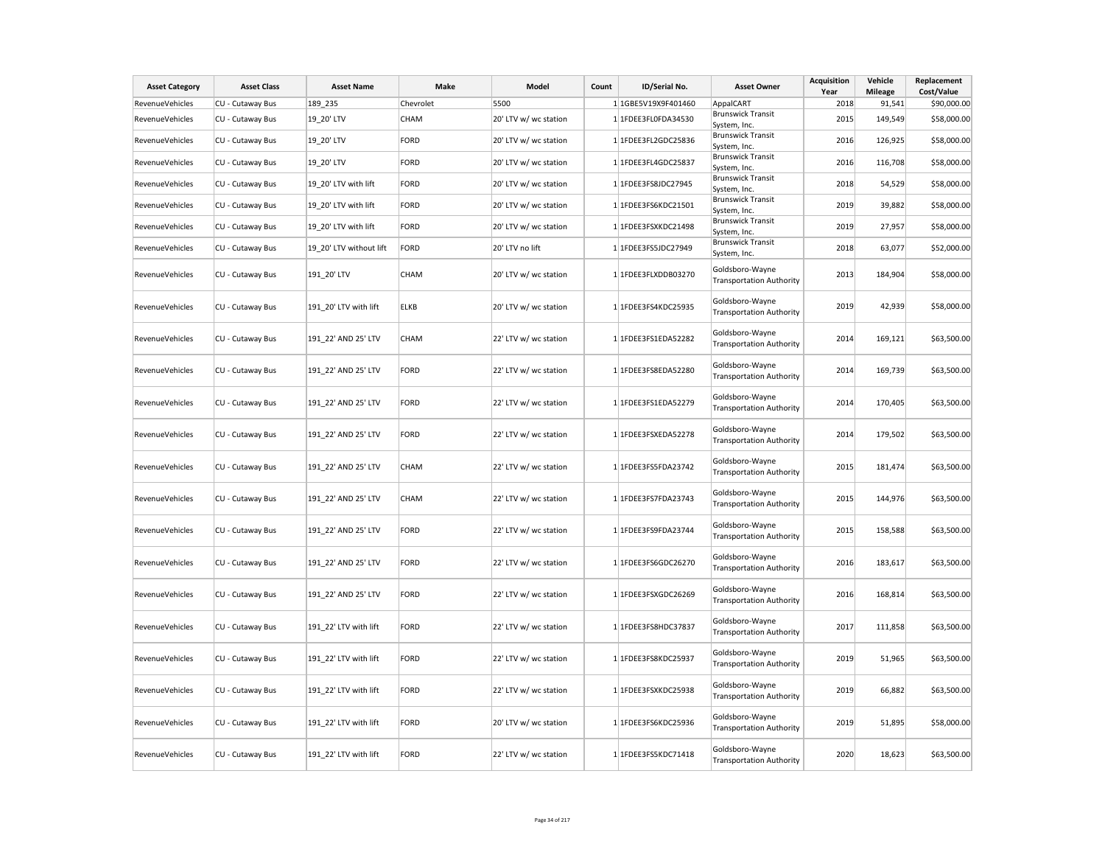| <b>Asset Category</b>  | <b>Asset Class</b> | <b>Asset Name</b>       | Make        | Model                 | Count | ID/Serial No.       | <b>Asset Owner</b>                                 | <b>Acquisition</b><br>Year | Vehicle<br><b>Mileage</b> | Replacement<br>Cost/Value |
|------------------------|--------------------|-------------------------|-------------|-----------------------|-------|---------------------|----------------------------------------------------|----------------------------|---------------------------|---------------------------|
| RevenueVehicles        | CU - Cutaway Bus   | 189 235                 | Chevrolet   | 5500                  |       | 1 1GBE5V19X9F401460 | AppalCART                                          | 2018                       | 91,541                    | \$90,000.00               |
| <b>RevenueVehicles</b> | CU - Cutaway Bus   | 19 20' LTV              | CHAM        | 20' LTV w/ wc station |       | 1 1FDEE3FL0FDA34530 | <b>Brunswick Transit</b><br>System, Inc.           | 2015                       | 149,549                   | \$58,000.00               |
| RevenueVehicles        | CU - Cutaway Bus   | 19 20' LTV              | FORD        | 20' LTV w/ wc station |       | 1 1FDEE3FL2GDC25836 | <b>Brunswick Transit</b><br>System, Inc.           | 2016                       | 126,925                   | \$58,000.00               |
| RevenueVehicles        | CU - Cutaway Bus   | 19 20' LTV              | FORD        | 20' LTV w/ wc station |       | 1 1FDEE3FL4GDC25837 | <b>Brunswick Transit</b><br>System, Inc.           | 2016                       | 116,708                   | \$58,000.00               |
| RevenueVehicles        | CU - Cutaway Bus   | 19 20' LTV with lift    | FORD        | 20' LTV w/ wc station |       | 1 1FDEE3FS8JDC27945 | <b>Brunswick Transit</b><br>System, Inc.           | 2018                       | 54,529                    | \$58,000.00               |
| <b>RevenueVehicles</b> | CU - Cutaway Bus   | 19 20' LTV with lift    | FORD        | 20' LTV w/ wc station |       | 1 1FDEE3FS6KDC21501 | <b>Brunswick Transit</b><br>System, Inc.           | 2019                       | 39,882                    | \$58,000.00               |
| <b>RevenueVehicles</b> | CU - Cutaway Bus   | 19 20' LTV with lift    | FORD        | 20' LTV w/ wc station |       | 1 1FDEE3FSXKDC21498 | <b>Brunswick Transit</b><br>System, Inc.           | 2019                       | 27,957                    | \$58,000.00               |
| RevenueVehicles        | CU - Cutaway Bus   | 19 20' LTV without lift | FORD        | 20' LTV no lift       |       | 1 1FDEE3FS5JDC27949 | <b>Brunswick Transit</b><br>System, Inc.           | 2018                       | 63,077                    | \$52,000.00               |
| RevenueVehicles        | CU - Cutaway Bus   | 191 20' LTV             | <b>CHAM</b> | 20' LTV w/ wc station |       | 1 1FDEE3FLXDDB03270 | Goldsboro-Wayne<br><b>Transportation Authority</b> | 2013                       | 184,904                   | \$58,000.00               |
| RevenueVehicles        | CU - Cutaway Bus   | 191 20' LTV with lift   | <b>ELKB</b> | 20' LTV w/ wc station |       | 1 1FDEE3FS4KDC25935 | Goldsboro-Wayne<br><b>Transportation Authority</b> | 2019                       | 42,939                    | \$58,000.00               |
| RevenueVehicles        | CU - Cutaway Bus   | 191 22' AND 25' LTV     | CHAM        | 22' LTV w/ wc station |       | 1 1FDEE3FS1EDA52282 | Goldsboro-Wayne<br><b>Transportation Authority</b> | 2014                       | 169,121                   | \$63,500.00               |
| RevenueVehicles        | CU - Cutaway Bus   | 191 22' AND 25' LTV     | FORD        | 22' LTV w/ wc station |       | 1 1FDEE3FS8EDA52280 | Goldsboro-Wayne<br><b>Transportation Authority</b> | 2014                       | 169,739                   | \$63,500.00               |
| RevenueVehicles        | CU - Cutaway Bus   | 191_22' AND 25' LTV     | FORD        | 22' LTV w/ wc station |       | 1 1FDEE3FS1EDA52279 | Goldsboro-Wayne<br><b>Transportation Authority</b> | 2014                       | 170,405                   | \$63,500.00               |
| RevenueVehicles        | CU - Cutaway Bus   | 191_22' AND 25' LTV     | FORD        | 22' LTV w/ wc station |       | 1 1FDEE3FSXEDA52278 | Goldsboro-Wayne<br><b>Transportation Authority</b> | 2014                       | 179,502                   | \$63,500.00               |
| RevenueVehicles        | CU - Cutaway Bus   | 191 22' AND 25' LTV     | CHAM        | 22' LTV w/ wc station |       | 1 1FDEE3FS5FDA23742 | Goldsboro-Wayne<br><b>Transportation Authority</b> | 2015                       | 181,474                   | \$63,500.00               |
| RevenueVehicles        | CU - Cutaway Bus   | 191_22' AND 25' LTV     | <b>CHAM</b> | 22' LTV w/ wc station |       | 1 1FDEE3FS7FDA23743 | Goldsboro-Wayne<br><b>Transportation Authority</b> | 2015                       | 144,976                   | \$63,500.00               |
| RevenueVehicles        | CU - Cutaway Bus   | 191_22' AND 25' LTV     | FORD        | 22' LTV w/ wc station |       | 1 1FDEE3FS9FDA23744 | Goldsboro-Wayne<br><b>Transportation Authority</b> | 2015                       | 158,588                   | \$63,500.00               |
| RevenueVehicles        | CU - Cutaway Bus   | 191_22' AND 25' LTV     | FORD        | 22' LTV w/ wc station |       | 1 1FDEE3FS6GDC26270 | Goldsboro-Wayne<br><b>Transportation Authority</b> | 2016                       | 183,617                   | \$63,500.00               |
| <b>RevenueVehicles</b> | CU - Cutaway Bus   | 191 22' AND 25' LTV     | FORD        | 22' LTV w/ wc station |       | 1 1FDEE3FSXGDC26269 | Goldsboro-Wayne<br><b>Transportation Authority</b> | 2016                       | 168,814                   | \$63,500.00               |
| RevenueVehicles        | CU - Cutaway Bus   | 191 22' LTV with lift   | FORD        | 22' LTV w/ wc station |       | 1 1FDEE3FS8HDC37837 | Goldsboro-Wayne<br><b>Transportation Authority</b> | 2017                       | 111,858                   | \$63,500.00               |
| <b>RevenueVehicles</b> | CU - Cutaway Bus   | 191 22' LTV with lift   | FORD        | 22' LTV w/ wc station |       | 1 1FDEE3FS8KDC25937 | Goldsboro-Wayne<br><b>Transportation Authority</b> | 2019                       | 51,965                    | \$63,500.00               |
| <b>RevenueVehicles</b> | CU - Cutaway Bus   | 191 22' LTV with lift   | FORD        | 22' LTV w/ wc station |       | 1 1FDEE3FSXKDC25938 | Goldsboro-Wayne<br><b>Transportation Authority</b> | 2019                       | 66,882                    | \$63,500.00               |
| RevenueVehicles        | CU - Cutaway Bus   | 191 22' LTV with lift   | FORD        | 20' LTV w/ wc station |       | 1 1FDEE3FS6KDC25936 | Goldsboro-Wayne<br><b>Transportation Authority</b> | 2019                       | 51,895                    | \$58,000.00               |
| RevenueVehicles        | CU - Cutaway Bus   | 191 22' LTV with lift   | FORD        | 22' LTV w/ wc station |       | 1 1FDEE3FS5KDC71418 | Goldsboro-Wayne<br><b>Transportation Authority</b> | 2020                       | 18,623                    | \$63,500.00               |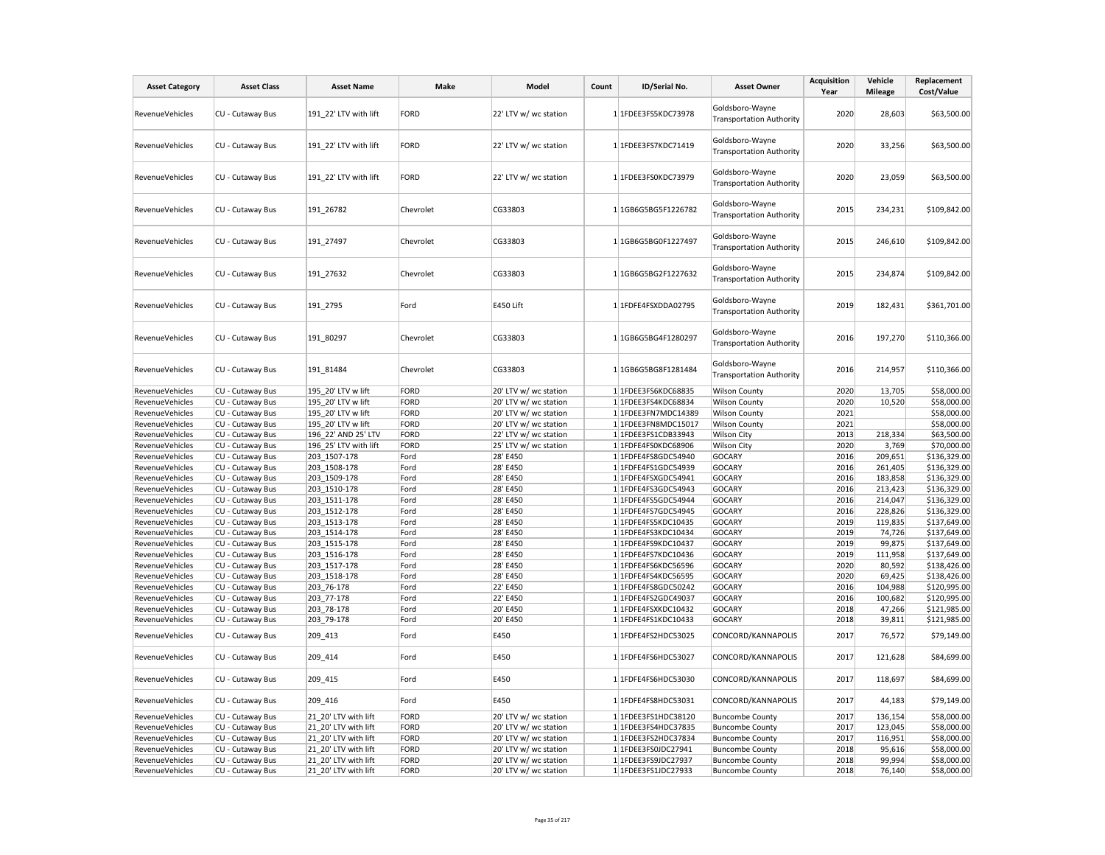| <b>Asset Category</b>              | <b>Asset Class</b>                   | <b>Asset Name</b>          | Make         | Model                 | Count | ID/Serial No.                              | <b>Asset Owner</b>                                 | <b>Acquisition</b><br>Year | Vehicle<br><b>Mileage</b> | Replacement<br>Cost/Value    |
|------------------------------------|--------------------------------------|----------------------------|--------------|-----------------------|-------|--------------------------------------------|----------------------------------------------------|----------------------------|---------------------------|------------------------------|
| RevenueVehicles                    | CU - Cutaway Bus                     | 191 22' LTV with lift      | FORD         | 22' LTV w/ wc station |       | 1 1FDEE3FS5KDC73978                        | Goldsboro-Wayne<br><b>Transportation Authority</b> | 2020                       | 28,603                    | \$63,500.00                  |
| RevenueVehicles                    | CU - Cutaway Bus                     | 191 22' LTV with lift      | FORD         | 22' LTV w/ wc station |       | 1 1FDEE3FS7KDC71419                        | Goldsboro-Wayne<br><b>Transportation Authority</b> | 2020                       | 33,256                    | \$63,500.00                  |
| RevenueVehicles                    | CU - Cutaway Bus                     | 191 22' LTV with lift      | FORD         | 22' LTV w/ wc station |       | 1 1FDEE3FS0KDC73979                        | Goldsboro-Wayne<br><b>Transportation Authority</b> | 2020                       | 23,059                    | \$63,500.00                  |
| <b>RevenueVehicles</b>             | CU - Cutaway Bus                     | 191_26782                  | Chevrolet    | CG33803               |       | 1 1GB6G5BG5F1226782                        | Goldsboro-Wayne<br><b>Transportation Authority</b> | 2015                       | 234,231                   | \$109,842.00                 |
| RevenueVehicles                    | CU - Cutaway Bus                     | 191 27497                  | Chevrolet    | CG33803               |       | 1 1GB6G5BG0F1227497                        | Goldsboro-Wayne<br><b>Transportation Authority</b> | 2015                       | 246,610                   | \$109,842.00                 |
| <b>RevenueVehicles</b>             | CU - Cutaway Bus                     | 191_27632                  | Chevrolet    | CG33803               |       | 1 1GB6G5BG2F1227632                        | Goldsboro-Wayne<br><b>Transportation Authority</b> | 2015                       | 234,874                   | \$109,842.00                 |
| <b>RevenueVehicles</b>             | CU - Cutaway Bus                     | 191 2795                   | Ford         | E450 Lift             |       | 1 1FDFE4FSXDDA02795                        | Goldsboro-Wayne<br><b>Transportation Authority</b> | 2019                       | 182,431                   | \$361,701.00                 |
| RevenueVehicles                    | CU - Cutaway Bus                     | 191 80297                  | Chevrolet    | CG33803               |       | 1 1GB6G5BG4F1280297                        | Goldsboro-Wayne<br><b>Transportation Authority</b> | 2016                       | 197,270                   | \$110,366.00                 |
| RevenueVehicles                    | CU - Cutaway Bus                     | 191_81484                  | Chevrolet    | CG33803               |       | 1 1GB6G5BG8F1281484                        | Goldsboro-Wayne<br><b>Transportation Authority</b> | 2016                       | 214,957                   | \$110,366.00                 |
| RevenueVehicles                    | CU - Cutaway Bus                     | 195 20' LTV w lift         | FORD         | 20' LTV w/ wc station |       | 1 1FDEE3FS6KDC68835                        | <b>Wilson County</b>                               | 2020                       | 13,705                    | \$58,000.00                  |
| <b>RevenueVehicles</b>             | CU - Cutaway Bus                     | 195 20' LTV w lift         | FORD         | 20' LTV w/ wc station |       | 1 1FDEE3FS4KDC68834                        | <b>Wilson County</b>                               | 2020                       | 10,520                    | \$58,000.00                  |
| <b>RevenueVehicles</b>             | CU - Cutaway Bus                     | 195 20' LTV w lift         | FORD         | 20' LTV w/ wc station |       | 1 1FDEE3FN7MDC14389                        | <b>Wilson County</b>                               | 2021                       |                           | \$58,000.00                  |
| RevenueVehicles                    | CU - Cutaway Bus                     | 195_20' LTV w lift         | FORD         | 20' LTV w/ wc station |       | 1 1FDEE3FN8MDC15017                        | <b>Wilson County</b>                               | 2021                       |                           | \$58,000.00                  |
| RevenueVehicles                    | CU - Cutaway Bus                     | 196 22' AND 25' LTV        | FORD         | 22' LTV w/ wc station |       | 1 1FDEE3FS1CDB33943                        | <b>Wilson City</b>                                 | 2013                       | 218,334                   | \$63,500.00                  |
| RevenueVehicles                    | CU - Cutaway Bus                     | 196 25' LTV with lift      | FORD         | 25' LTV w/ wc station |       | 1 1FDFE4FS0KDC68906                        | <b>Wilson City</b>                                 | 2020                       | 3,769                     | \$70,000.00                  |
| <b>RevenueVehicles</b>             | CU - Cutaway Bus                     | 203 1507-178               | Ford         | 28' E450              |       | 1 1FDFE4FS8GDC54940                        | <b>GOCARY</b>                                      | 2016                       | 209,651                   | \$136,329.00                 |
| RevenueVehicles                    | CU - Cutaway Bus                     | 203 1508-178               | Ford         | 28' E450              |       | 1 1FDFE4FS1GDC54939                        | <b>GOCARY</b>                                      | 2016                       | 261,405                   | \$136,329.00                 |
| RevenueVehicles                    | CU - Cutaway Bus                     | 203_1509-178               | Ford         | 28' E450              |       | 1 1FDFE4FSXGDC54941                        | <b>GOCARY</b>                                      | 2016                       | 183,858                   | \$136,329.00                 |
| RevenueVehicles                    | CU - Cutaway Bus                     | 203 1510-178               | Ford         | 28' E450              |       | 1 1FDFE4FS3GDC54943                        | <b>GOCARY</b>                                      | 2016                       | 213,423                   | \$136,329.00                 |
| <b>RevenueVehicles</b>             | CU - Cutaway Bus                     | 203 1511-178               | Ford         | 28' E450              |       | 1 1FDFE4FS5GDC54944                        | <b>GOCARY</b>                                      | 2016                       | 214,047                   | \$136,329.00                 |
| RevenueVehicles                    | CU - Cutaway Bus                     | 203_1512-178               | Ford         | 28' E450              |       | 1 1FDFE4FS7GDC54945                        | <b>GOCARY</b>                                      | 2016                       | 228,826                   | \$136,329.00                 |
| RevenueVehicles                    | CU - Cutaway Bus                     | 203 1513-178               | Ford         | 28' E450              |       | 1 1FDFE4FS5KDC10435                        | <b>GOCARY</b>                                      | 2019                       | 119,835                   | \$137,649.00                 |
| RevenueVehicles                    | CU - Cutaway Bus                     | 203 1514-178               | Ford         | 28' E450              |       | 1 1FDFE4FS3KDC10434                        | <b>GOCARY</b>                                      | 2019                       | 74,726                    | \$137,649.00                 |
| RevenueVehicles                    | CU - Cutaway Bus                     | 203 1515-178               | Ford         | 28' E450              |       | 1 1FDFE4FS9KDC10437                        | <b>GOCARY</b>                                      | 2019                       | 99,875                    | \$137,649.00                 |
| RevenueVehicles                    | CU - Cutaway Bus                     | 203 1516-178               | Ford         | 28' E450              |       | 1 1FDFE4FS7KDC10436                        | <b>GOCARY</b>                                      | 2019                       | 111,958                   | \$137,649.00                 |
| RevenueVehicles                    | CU - Cutaway Bus                     | 203 1517-178               | Ford         | 28' E450              |       | 1 1FDFE4FS6KDC56596                        | <b>GOCARY</b>                                      | 2020                       | 80,592                    | \$138,426.00                 |
| RevenueVehicles<br>RevenueVehicles | CU - Cutaway Bus                     | 203 1518-178<br>203 76-178 | Ford         | 28' E450<br>22' E450  |       | 1 1FDFE4FS4KDC56595                        | <b>GOCARY</b><br><b>GOCARY</b>                     | 2020<br>2016               | 69,425<br>104,988         | \$138,426.00<br>\$120,995.00 |
| RevenueVehicles                    | CU - Cutaway Bus<br>CU - Cutaway Bus | 203 77-178                 | Ford<br>Ford | 22' E450              |       | 1 1FDFE4FS8GDC50242<br>1 1FDFE4FS2GDC49037 |                                                    | 2016                       | 100,682                   | \$120,995.00                 |
| RevenueVehicles                    | CU - Cutaway Bus                     | 203_78-178                 | Ford         | 20' E450              |       | 1 1FDFE4FSXKDC10432                        | <b>GOCARY</b><br><b>GOCARY</b>                     | 2018                       | 47,266                    | \$121,985.00                 |
| RevenueVehicles                    | CU - Cutaway Bus                     | 203_79-178                 | Ford         | 20' E450              |       | 1 1FDFE4FS1KDC10433                        | <b>GOCARY</b>                                      | 2018                       | 39,811                    | \$121,985.00                 |
| RevenueVehicles                    | CU - Cutaway Bus                     | 209 413                    | Ford         | E450                  |       | 1 1FDFE4FS2HDC53025                        | CONCORD/KANNAPOLIS                                 | 2017                       | 76,572                    | \$79,149.00                  |
| RevenueVehicles                    | CU - Cutaway Bus                     | 209 414                    | Ford         | E450                  |       | 1 1FDFE4FS6HDC53027                        | CONCORD/KANNAPOLIS                                 | 2017                       | 121,628                   | \$84,699.00                  |
| RevenueVehicles                    | CU - Cutaway Bus                     | 209 415                    | Ford         | E450                  |       | 1 1FDFE4FS6HDC53030                        | CONCORD/KANNAPOLIS                                 | 2017                       | 118,697                   | \$84,699.00                  |
| RevenueVehicles                    | CU - Cutaway Bus                     | 209_416                    | Ford         | E450                  |       | 1 1FDFE4FS8HDC53031                        | CONCORD/KANNAPOLIS                                 | 2017                       | 44,183                    | \$79,149.00                  |
| RevenueVehicles                    | CU - Cutaway Bus                     | 21_20' LTV with lift       | FORD         | 20' LTV w/ wc station |       | 1 1FDEE3FS1HDC38120                        | <b>Buncombe County</b>                             | 2017                       | 136,154                   | \$58,000.00                  |
| RevenueVehicles                    | CU - Cutaway Bus                     | 21 20' LTV with lift       | FORD         | 20' LTV w/ wc station |       | 1 1FDEE3FS4HDC37835                        | <b>Buncombe County</b>                             | 2017                       | 123,045                   | \$58,000.00                  |
| <b>RevenueVehicles</b>             | CU - Cutaway Bus                     | 21 20' LTV with lift       | FORD         | 20' LTV w/ wc station |       | 1 1FDEE3FS2HDC37834                        | <b>Buncombe County</b>                             | 2017                       | 116,951                   | \$58,000.00                  |
| RevenueVehicles                    | CU - Cutaway Bus                     | 21 20' LTV with lift       | FORD         | 20' LTV w/ wc station |       | 1 1FDEE3FS0JDC27941                        | <b>Buncombe County</b>                             | 2018                       | 95,616                    | \$58,000.00                  |
| <b>RevenueVehicles</b>             | CU - Cutaway Bus                     | 21 20' LTV with lift       | FORD         | 20' LTV w/ wc station |       | 1 1FDEE3FS9JDC27937                        | <b>Buncombe County</b>                             | 2018                       | 99,994                    | \$58,000.00                  |
| RevenueVehicles                    | CU - Cutaway Bus                     | 21_20' LTV with lift       | FORD         | 20' LTV w/ wc station |       | 1 1FDEE3FS1JDC27933                        | <b>Buncombe County</b>                             | 2018                       | 76,140                    | \$58,000.00                  |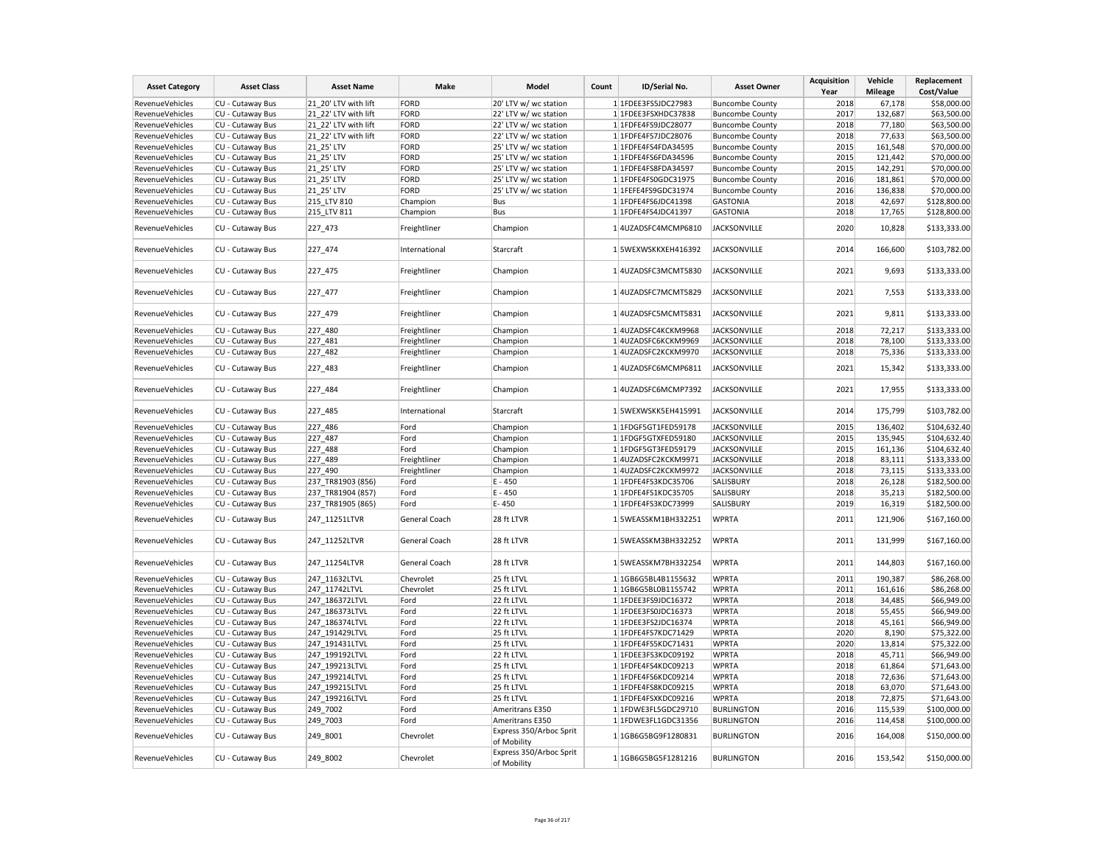| <b>Asset Category</b>  | <b>Asset Class</b> | <b>Asset Name</b>    | Make          | Model                                  | Count | ID/Serial No.       | <b>Asset Owner</b>     | <b>Acquisition</b><br>Year | Vehicle<br><b>Mileage</b> | Replacement<br>Cost/Value |
|------------------------|--------------------|----------------------|---------------|----------------------------------------|-------|---------------------|------------------------|----------------------------|---------------------------|---------------------------|
| RevenueVehicles        | CU - Cutaway Bus   | 21 20' LTV with lift | FORD          | 20' LTV w/ wc station                  |       | 1 1FDEE3FS5JDC27983 | <b>Buncombe County</b> | 2018                       | 67,178                    | \$58,000.00               |
|                        |                    |                      |               |                                        |       |                     |                        |                            |                           |                           |
| RevenueVehicles        | CU - Cutaway Bus   | 21 22' LTV with lift | FORD          | 22' LTV w/ wc station                  |       | 1 1FDEE3FSXHDC37838 | <b>Buncombe County</b> | 2017                       | 132,687                   | \$63,500.00               |
| RevenueVehicles        | CU - Cutaway Bus   | 21 22' LTV with lift | FORD          | 22' LTV w/ wc station                  |       | 1 1FDFE4FS9JDC28077 | <b>Buncombe County</b> | 2018                       | 77,180                    | \$63,500.00               |
| RevenueVehicles        | CU - Cutaway Bus   | 21 22' LTV with lift | FORD          | 22' LTV w/ wc station                  |       | 1 1FDFE4FS7JDC28076 | <b>Buncombe County</b> | 2018                       | 77,633                    | \$63,500.00               |
| RevenueVehicles        | CU - Cutaway Bus   | 21_25' LTV           | FORD          | 25' LTV w/ wc station                  |       | 1 1FDFE4FS4FDA34595 | <b>Buncombe County</b> | 2015                       | 161,548                   | \$70,000.00               |
| RevenueVehicles        | CU - Cutaway Bus   | 21_25' LTV           | FORD          | 25' LTV w/ wc station                  |       | 1 1FDFE4FS6FDA34596 | <b>Buncombe County</b> | 2015                       | 121,442                   | \$70,000.00               |
| RevenueVehicles        | CU - Cutaway Bus   | 21 25' LTV           | FORD          | 25' LTV w/ wc station                  |       | 1 1FDFE4FS8FDA34597 | <b>Buncombe County</b> | 2015                       | 142,291                   | \$70,000.00               |
| RevenueVehicles        | CU - Cutaway Bus   | 21_25' LTV           | FORD          | 25' LTV w/ wc station                  |       | 1 1FDFE4FS0GDC31975 | <b>Buncombe County</b> | 2016                       | 181,861                   | \$70,000.00               |
| RevenueVehicles        | CU - Cutaway Bus   | 21 25' LTV           | FORD          | 25' LTV w/ wc station                  |       | 1 1FEFE4FS9GDC31974 | <b>Buncombe County</b> | 2016                       | 136,838                   | \$70,000.00               |
| RevenueVehicles        | CU - Cutaway Bus   | 215 LTV 810          | Champion      | Bus                                    |       | 1 1FDFE4FS6JDC41398 | <b>GASTONIA</b>        | 2018                       | 42,697                    | \$128,800.00              |
| RevenueVehicles        | CU - Cutaway Bus   | 215_LTV 811          | Champion      | Bus                                    |       | 1 1FDFE4FS4JDC41397 | <b>GASTONIA</b>        | 2018                       | 17,765                    | \$128,800.00              |
| <b>RevenueVehicles</b> | CU - Cutaway Bus   | 227 473              | Freightliner  | Champion                               |       | 1 4UZADSFC4MCMP6810 | <b>JACKSONVILLE</b>    | 2020                       | 10,828                    | \$133,333.00              |
| RevenueVehicles        | CU - Cutaway Bus   | 227 474              | International | Starcraft                              |       | 1 5WEXWSKKXEH416392 | <b>JACKSONVILLE</b>    | 2014                       | 166,600                   | \$103,782.00              |
| RevenueVehicles        | CU - Cutaway Bus   | 227_475              | Freightliner  | Champion                               |       | 1 4UZADSFC3MCMT5830 | <b>JACKSONVILLE</b>    | 2021                       | 9,693                     | \$133,333.00              |
| RevenueVehicles        | CU - Cutaway Bus   | 227_477              | Freightliner  | Champion                               |       | 1 4UZADSFC7MCMT5829 | <b>JACKSONVILLE</b>    | 2021                       | 7,553                     | \$133,333.00              |
| RevenueVehicles        | CU - Cutaway Bus   | 227_479              | Freightliner  | Champion                               |       | 1 4UZADSFC5MCMT5831 | <b>JACKSONVILLE</b>    | 2021                       | 9,811                     | \$133,333.00              |
| <b>RevenueVehicles</b> | CU - Cutaway Bus   | 227_480              | Freightliner  | Champion                               |       | 1 4UZADSFC4KCKM9968 | <b>JACKSONVILLE</b>    | 2018                       | 72,217                    | \$133,333.00              |
| RevenueVehicles        | CU - Cutaway Bus   | 227_481              | Freightliner  | Champion                               |       | 1 4UZADSFC6KCKM9969 | <b>JACKSONVILLE</b>    | 2018                       | 78,100                    | \$133,333.00              |
| RevenueVehicles        | CU - Cutaway Bus   | 227_482              | Freightliner  | Champion                               |       | 1 4UZADSFC2KCKM9970 | <b>JACKSONVILLE</b>    | 2018                       | 75,336                    | \$133,333.00              |
| RevenueVehicles        | CU - Cutaway Bus   | 227 483              | Freightliner  | Champion                               |       | 1 4UZADSFC6MCMP6811 | <b>JACKSONVILLE</b>    | 2021                       | 15,342                    | \$133,333.00              |
| RevenueVehicles        | CU - Cutaway Bus   | 227_484              | Freightliner  | Champion                               |       | 1 4UZADSFC6MCMP7392 | <b>JACKSONVILLE</b>    | 2021                       | 17,955                    | \$133,333.00              |
| RevenueVehicles        | CU - Cutaway Bus   | 227_485              | International | Starcraft                              |       | 1 5WEXWSKK5EH415991 | <b>JACKSONVILLE</b>    | 2014                       | 175,799                   | \$103,782.00              |
| RevenueVehicles        | CU - Cutaway Bus   | 227 486              | Ford          | Champion                               |       | 1 1FDGF5GT1FED59178 | <b>JACKSONVILLE</b>    | 2015                       | 136,402                   | \$104,632.40              |
| RevenueVehicles        | CU - Cutaway Bus   | 227_487              | Ford          | Champion                               |       | 1 1FDGF5GTXFED59180 | <b>JACKSONVILLE</b>    | 2015                       | 135,945                   | \$104,632.40              |
| RevenueVehicles        | CU - Cutaway Bus   | 227_488              | Ford          | Champion                               |       | 1 1FDGF5GT3FED59179 | <b>JACKSONVILLE</b>    | 2015                       | 161,136                   | \$104,632.40              |
| RevenueVehicles        | CU - Cutaway Bus   | 227 489              | Freightliner  | Champion                               |       | 1 4UZADSFC2KCKM9971 | <b>JACKSONVILLE</b>    | 2018                       | 83,111                    | \$133,333.00              |
| RevenueVehicles        | CU - Cutaway Bus   | 227_490              | Freightliner  | Champion                               |       | 1 4UZADSFC2KCKM9972 | <b>JACKSONVILLE</b>    | 2018                       | 73,115                    | \$133,333.00              |
| <b>RevenueVehicles</b> | CU - Cutaway Bus   | 237 TR81903 (856)    | Ford          | E - 450                                |       | 1 1FDFE4FS3KDC35706 | SALISBURY              | 2018                       | 26,128                    | \$182,500.00              |
| RevenueVehicles        | CU - Cutaway Bus   | 237 TR81904 (857)    | Ford          | E - 450                                |       | 1 1FDFE4FS1KDC35705 | SALISBURY              | 2018                       | 35,213                    | \$182,500.00              |
| RevenueVehicles        | CU - Cutaway Bus   | 237 TR81905 (865)    | Ford          | E-450                                  |       | 1 1FDFE4FS3KDC73999 | SALISBURY              | 2019                       | 16,319                    | \$182,500.00              |
| RevenueVehicles        | CU - Cutaway Bus   | 247 11251LTVR        | General Coach | 28 ft LTVR                             |       | 1 5WEASSKM1BH332251 | <b>WPRTA</b>           | 2011                       | 121,906                   | \$167,160.00              |
| RevenueVehicles        | CU - Cutaway Bus   | 247 11252LTVR        | General Coach | 28 ft LTVR                             |       | 1 5WEASSKM3BH332252 | <b>WPRTA</b>           | 2011                       | 131,999                   | \$167,160.00              |
| RevenueVehicles        | CU - Cutaway Bus   | 247_11254LTVR        | General Coach | 28 ft LTVR                             |       | 1 5WEASSKM7BH332254 | <b>WPRTA</b>           | 2011                       | 144,803                   | \$167,160.00              |
| RevenueVehicles        | CU - Cutaway Bus   | 247 11632LTVL        | Chevrolet     | 25 ft LTVL                             |       | 1 1GB6G5BL4B1155632 | <b>WPRTA</b>           | 2011                       | 190,387                   | \$86,268.00               |
| RevenueVehicles        | CU - Cutaway Bus   | 247 11742LTVL        | Chevrolet     | 25 ft LTVL                             |       | 1 1GB6G5BL0B1155742 | <b>WPRTA</b>           | 2011                       | 161,616                   | \$86,268.00               |
| <b>RevenueVehicles</b> | CU - Cutaway Bus   | 247 186372LTVL       | Ford          | 22 ft LTVL                             |       | 1 1FDEE3FS9JDC16372 | <b>WPRTA</b>           | 2018                       | 34,485                    | \$66,949.00               |
| RevenueVehicles        | CU - Cutaway Bus   | 247 186373LTVL       | Ford          | 22 ft LTVL                             |       | 1 1FDEE3FS0JDC16373 | <b>WPRTA</b>           | 2018                       | 55,455                    | \$66,949.00               |
| RevenueVehicles        | CU - Cutaway Bus   | 247 186374LTVL       | Ford          | 22 ft LTVL                             |       | 1 1FDEE3FS2JDC16374 | <b>WPRTA</b>           | 2018                       | 45,161                    | \$66,949.00               |
| RevenueVehicles        | CU - Cutaway Bus   | 247 191429LTVL       | Ford          | 25 ft LTVL                             |       | 1 1FDFE4FS7KDC71429 | <b>WPRTA</b>           | 2020                       | 8,190                     | \$75,322.00               |
| RevenueVehicles        | CU - Cutaway Bus   | 247 191431LTVL       | Ford          | 25 ft LTVL                             |       | 1 1FDFE4FS5KDC71431 | <b>WPRTA</b>           | 2020                       | 13,814                    | \$75,322.00               |
| RevenueVehicles        | CU - Cutaway Bus   | 247 199192LTVL       | Ford          | 22 ft LTVL                             |       | 1 1FDEE3FS3KDC09192 | <b>WPRTA</b>           | 2018                       | 45,711                    | \$66,949.00               |
| RevenueVehicles        | CU - Cutaway Bus   | 247 199213LTVL       | Ford          | 25 ft LTVL                             |       | 1 1FDFE4FS4KDC09213 | <b>WPRTA</b>           | 2018                       | 61,864                    | \$71,643.00               |
| RevenueVehicles        | CU - Cutaway Bus   | 247 199214LTVL       | Ford          | 25 ft LTVL                             |       | 1 1FDFE4FS6KDC09214 | <b>WPRTA</b>           | 2018                       | 72,636                    | \$71,643.00               |
| RevenueVehicles        | CU - Cutaway Bus   | 247_199215LTVL       | Ford          | 25 ft LTVL                             |       | 1 1FDFE4FS8KDC09215 | <b>WPRTA</b>           | 2018                       | 63,070                    | \$71,643.00               |
| RevenueVehicles        | CU - Cutaway Bus   | 247 199216LTVL       | Ford          | 25 ft LTVL                             |       | 1 1FDFE4FSXKDC09216 | <b>WPRTA</b>           | 2018                       | 72,875                    | \$71,643.00               |
| RevenueVehicles        | CU - Cutaway Bus   | 249 7002             | Ford          | Ameritrans E350                        |       | 1 1FDWE3FL5GDC29710 | <b>BURLINGTON</b>      | 2016                       | 115,539                   | \$100,000.00              |
| RevenueVehicles        | CU - Cutaway Bus   | 249_7003             | Ford          | Ameritrans E350                        |       | 1 1FDWE3FL1GDC31356 | <b>BURLINGTON</b>      | 2016                       | 114,458                   | \$100,000.00              |
| RevenueVehicles        | CU - Cutaway Bus   | 249_8001             | Chevrolet     | Express 350/Arboc Sprit<br>of Mobility |       | 1 1GB6G5BG9F1280831 | <b>BURLINGTON</b>      | 2016                       | 164,008                   | \$150,000.00              |
| RevenueVehicles        | CU - Cutaway Bus   | 249 8002             | Chevrolet     | Express 350/Arboc Sprit<br>of Mobility |       | 1 1GB6G5BG5F1281216 | <b>BURLINGTON</b>      | 2016                       | 153,542                   | \$150,000.00              |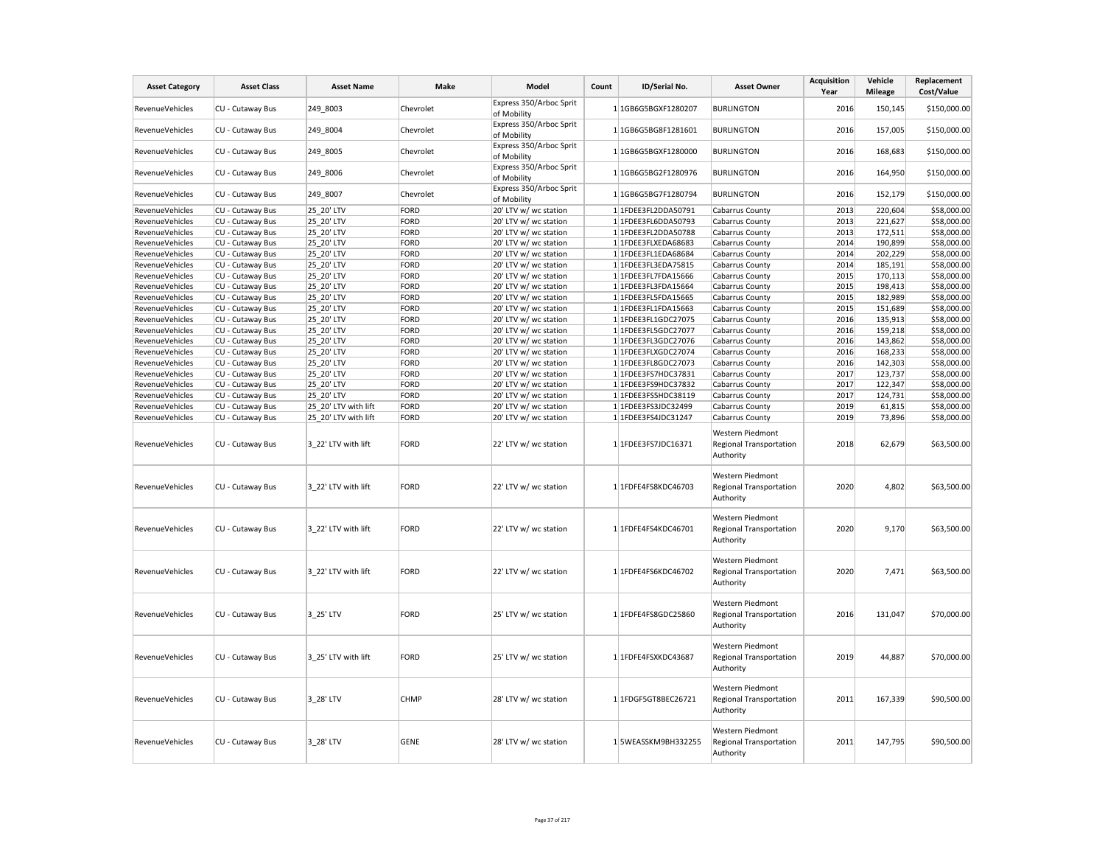| <b>Asset Category</b> | <b>Asset Class</b> | <b>Asset Name</b>    | <b>Make</b> | Model                                  | Count | ID/Serial No.         | <b>Asset Owner</b>                                              | <b>Acquisition</b><br>Year | Vehicle<br><b>Mileage</b> | Replacement<br>Cost/Value |
|-----------------------|--------------------|----------------------|-------------|----------------------------------------|-------|-----------------------|-----------------------------------------------------------------|----------------------------|---------------------------|---------------------------|
| RevenueVehicles       | CU - Cutaway Bus   | 249 8003             | Chevrolet   | Express 350/Arboc Sprit<br>of Mobility |       | 1 1GB6G5BGXF1280207   | <b>BURLINGTON</b>                                               | 2016                       | 150,145                   | \$150,000.00              |
| RevenueVehicles       | CU - Cutaway Bus   | 249 8004             | Chevrolet   | Express 350/Arboc Sprit<br>of Mobility |       | 1 1GB6G5BG8F1281601   | <b>BURLINGTON</b>                                               | 2016                       | 157,005                   | \$150,000.00              |
| RevenueVehicles       | CU - Cutaway Bus   | 249 8005             | Chevrolet   | Express 350/Arboc Sprit<br>of Mobility |       | 1 1GB6G5BGXF1280000   | <b>BURLINGTON</b>                                               | 2016                       | 168,683                   | \$150,000.00              |
| RevenueVehicles       | CU - Cutaway Bus   | 249 8006             | Chevrolet   | Express 350/Arboc Sprit<br>of Mobility |       | 1 1GB6G5BG2F1280976   | <b>BURLINGTON</b>                                               | 2016                       | 164,950                   | \$150,000.00              |
| RevenueVehicles       | CU - Cutaway Bus   | 249 8007             | Chevrolet   | Express 350/Arboc Sprit<br>of Mobility |       | 1 1GB6G5BG7F1280794   | <b>BURLINGTON</b>                                               | 2016                       | 152,179                   | \$150,000.00              |
| RevenueVehicles       | CU - Cutaway Bus   | 25 20' LTV           | <b>FORD</b> | 20' LTV w/ wc station                  |       | 1 1FDEE3FL2DDA50791   | Cabarrus County                                                 | 2013                       | 220,604                   | \$58,000.00               |
| RevenueVehicles       | CU - Cutaway Bus   | 25 20' LTV           | FORD        | 20' LTV w/ wc station                  |       | 1 1FDEE3FL6DDA50793   | Cabarrus County                                                 | 2013                       | 221,627                   | \$58,000.00               |
| RevenueVehicles       | CU - Cutaway Bus   | 25 20' LTV           | <b>FORD</b> | 20' LTV w/ wc station                  |       | 1 1FDEE3FL2DDA50788   | Cabarrus County                                                 | 2013                       | 172,511                   | \$58,000.00               |
| RevenueVehicles       | CU - Cutaway Bus   | 25 20' LTV           | <b>FORD</b> | 20' LTV w/ wc station                  |       | 1 1FDEE3FLXEDA68683   | Cabarrus County                                                 | 2014                       | 190,899                   | \$58,000.00               |
| RevenueVehicles       | CU - Cutaway Bus   | 25 20' LTV           | <b>FORD</b> | 20' LTV w/ wc station                  |       | 1 1FDEE3FL1EDA68684   | Cabarrus County                                                 | 2014                       | 202,229                   | \$58,000.00               |
| RevenueVehicles       | CU - Cutaway Bus   | 25 20' LTV           | FORD        | 20' LTV w/ wc station                  |       | 1 1FDEE3FL3EDA75815   | Cabarrus County                                                 | 2014                       | 185,191                   | \$58,000.00               |
| RevenueVehicles       | CU - Cutaway Bus   | 25 20' LTV           | <b>FORD</b> | 20' LTV w/ wc station                  |       | 1 1FDEE3FL7FDA15666   | Cabarrus County                                                 | 2015                       | 170,113                   | \$58,000.00               |
| RevenueVehicles       | CU - Cutaway Bus   | 25 20' LTV           | <b>FORD</b> | 20' LTV w/ wc station                  |       | 1 1FDEE3FL3FDA15664   | Cabarrus County                                                 | 2015                       | 198,413                   | \$58,000.00               |
| RevenueVehicles       | CU - Cutaway Bus   | 25 20' LTV           | <b>FORD</b> | 20' LTV w/ wc station                  |       | 1 1FDEE3FL5FDA15665   | Cabarrus County                                                 | 2015                       | 182,989                   | \$58,000.00               |
| RevenueVehicles       | CU - Cutaway Bus   | 25_20' LTV           | <b>FORD</b> | 20' LTV w/ wc station                  |       | $1$ 1FDEE3FL1FDA15663 | Cabarrus County                                                 | 2015                       | 151,689                   | \$58,000.00               |
| RevenueVehicles       | CU - Cutaway Bus   | 25 20' LTV           | <b>FORD</b> | 20' LTV w/ wc station                  |       | 1 1FDEE3FL1GDC27075   | Cabarrus County                                                 | 2016                       | 135,913                   | \$58,000.00               |
| RevenueVehicles       | CU - Cutaway Bus   | 25 20' LTV           | <b>FORD</b> | 20' LTV w/ wc station                  |       | 1 1FDEE3FL5GDC27077   | Cabarrus County                                                 | 2016                       | 159,218                   | \$58,000.00               |
| RevenueVehicles       | CU - Cutaway Bus   | 25_20' LTV           | <b>FORD</b> | 20' LTV w/ wc station                  |       | 1 1FDEE3FL3GDC27076   | Cabarrus County                                                 | 2016                       | 143,862                   | \$58,000.00               |
| RevenueVehicles       | CU - Cutaway Bus   | 25 20' LTV           | <b>FORD</b> | 20' LTV w/ wc station                  |       | 1 1FDEE3FLXGDC27074   | Cabarrus County                                                 | 2016                       | 168,233                   | \$58,000.00               |
| RevenueVehicles       | CU - Cutaway Bus   | 25 20' LTV           | <b>FORD</b> | 20' LTV w/ wc station                  |       | 1 1FDEE3FL8GDC27073   | Cabarrus County                                                 | 2016                       | 142,303                   | \$58,000.00               |
| RevenueVehicles       | CU - Cutaway Bus   | 25 20' LTV           | <b>FORD</b> | 20' LTV w/ wc station                  |       | 1 1FDEE3FS7HDC37831   | Cabarrus County                                                 | 2017                       | 123,737                   | \$58,000.00               |
| RevenueVehicles       | CU - Cutaway Bus   | 25 20' LTV           | <b>FORD</b> | 20' LTV w/ wc station                  |       | 1 1FDEE3FS9HDC37832   | Cabarrus County                                                 | 2017                       | 122,347                   | \$58,000.00               |
| RevenueVehicles       | CU - Cutaway Bus   | 25 20' LTV           | <b>FORD</b> | 20' LTV w/ wc station                  |       | 1 1FDEE3FS5HDC38119   | Cabarrus County                                                 | 2017                       | 124,731                   | \$58,000.00               |
| RevenueVehicles       | CU - Cutaway Bus   | 25 20' LTV with lift | <b>FORD</b> | 20' LTV w/ wc station                  |       | 1 1FDEE3FS3JDC32499   | Cabarrus County                                                 | 2019                       | 61,815                    | \$58,000.00               |
| RevenueVehicles       | CU - Cutaway Bus   | 25 20' LTV with lift | <b>FORD</b> | 20' LTV w/ wc station                  |       | 1 1FDEE3FS4JDC31247   | Cabarrus County                                                 | 2019                       | 73,896                    | \$58,000.00               |
| RevenueVehicles       | CU - Cutaway Bus   | 3 22' LTV with lift  | <b>FORD</b> | 22' LTV w/ wc station                  |       | 1 1FDEE3FS7JDC16371   | Western Piedmont<br>Regional Transportation<br>Authority        | 2018                       | 62,679                    | \$63,500.00               |
| RevenueVehicles       | CU - Cutaway Bus   | 3 22' LTV with lift  | <b>FORD</b> | 22' LTV w/ wc station                  |       | 1 1FDFE4FS8KDC46703   | Western Piedmont<br>Regional Transportation<br>Authority        | 2020                       | 4,802                     | \$63,500.00               |
| RevenueVehicles       | CU - Cutaway Bus   | 3 22' LTV with lift  | <b>FORD</b> | 22' LTV w/ wc station                  |       | 1 1FDFE4FS4KDC46701   | Western Piedmont<br>Regional Transportation<br>Authority        | 2020                       | 9,170                     | \$63,500.00               |
| RevenueVehicles       | CU - Cutaway Bus   | 3 22' LTV with lift  | <b>FORD</b> | 22' LTV w/ wc station                  |       | 1 1FDFE4FS6KDC46702   | Western Piedmont<br>Regional Transportation<br>Authority        | 2020                       | 7,471                     | \$63,500.00               |
| RevenueVehicles       | CU - Cutaway Bus   | 3 25' LTV            | <b>FORD</b> | 25' LTV w/ wc station                  |       | 1 1FDFE4FS8GDC25860   | Western Piedmont<br><b>Regional Transportation</b><br>Authority | 2016                       | 131,047                   | \$70,000.00               |
| RevenueVehicles       | CU - Cutaway Bus   | 3 25' LTV with lift  | <b>FORD</b> | 25' LTV w/ wc station                  |       | 1 1FDFE4FSXKDC43687   | Western Piedmont<br>Regional Transportation<br>Authority        | 2019                       | 44,887                    | \$70,000.00               |
| RevenueVehicles       | CU - Cutaway Bus   | 3 28' LTV            | CHMP        | 28' LTV w/ wc station                  |       | 1 1FDGF5GT8BEC26721   | Western Piedmont<br>Regional Transportation<br>Authority        | 2011                       | 167,339                   | \$90,500.00               |
| RevenueVehicles       | CU - Cutaway Bus   | 3_28' LTV            | <b>GENE</b> | 28' LTV w/ wc station                  |       | 1 5WEASSKM9BH332255   | Western Piedmont<br>Regional Transportation<br>Authority        | 2011                       | 147,795                   | \$90,500.00               |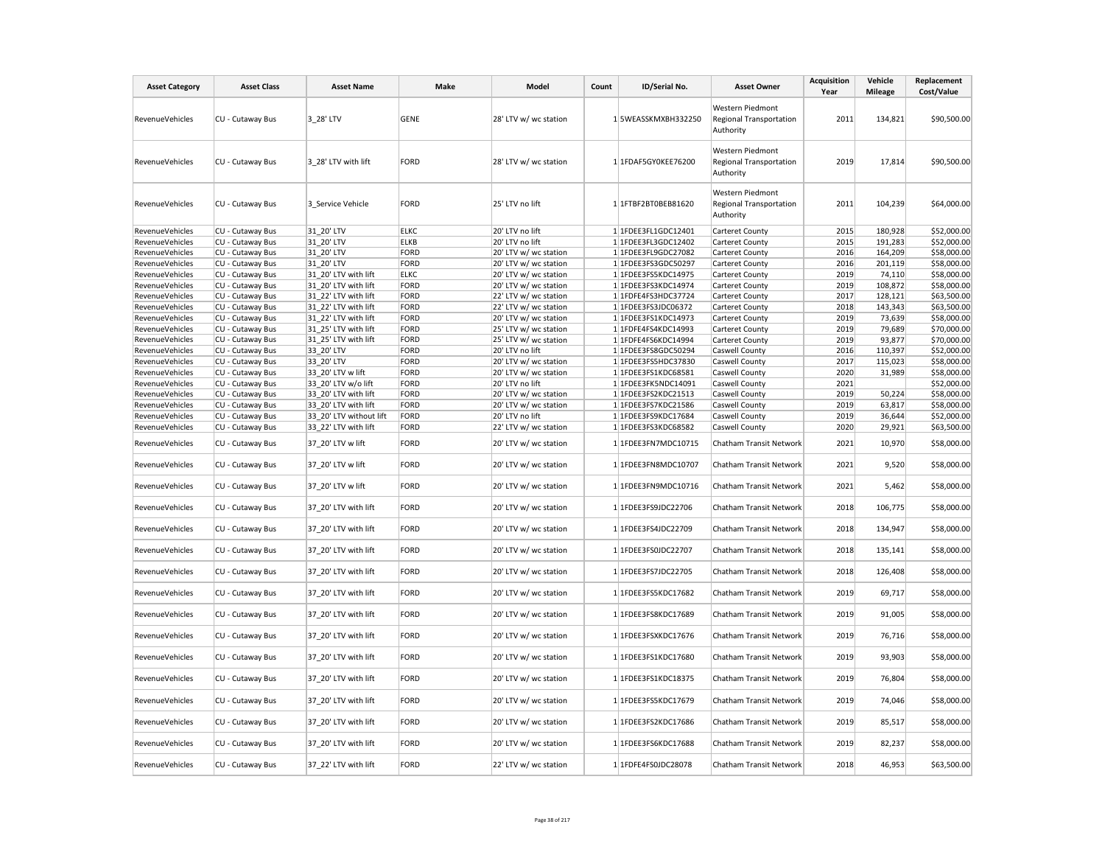| <b>Asset Category</b>              | <b>Asset Class</b>                   | <b>Asset Name</b>                           | Make         | Model                                    | Count | ID/Serial No.                              | <b>Asset Owner</b>                                       | <b>Acquisition</b><br>Year | Vehicle<br><b>Mileage</b> | Replacement<br>Cost/Value  |
|------------------------------------|--------------------------------------|---------------------------------------------|--------------|------------------------------------------|-------|--------------------------------------------|----------------------------------------------------------|----------------------------|---------------------------|----------------------------|
| RevenueVehicles                    | CU - Cutaway Bus                     | 3 28' LTV                                   | <b>GENE</b>  | 28' LTV w/ wc station                    |       | 1 5WEASSKMXBH332250                        | Western Piedmont<br>Regional Transportation<br>Authority | 2011                       | 134,821                   | \$90,500.00                |
| <b>RevenueVehicles</b>             | CU - Cutaway Bus                     | 3 28' LTV with lift                         | FORD         | 28' LTV w/ wc station                    |       | 1 1FDAF5GY0KEE76200                        | Western Piedmont<br>Regional Transportation<br>Authority | 2019                       | 17,814                    | \$90,500.00                |
| RevenueVehicles                    | CU - Cutaway Bus                     | 3 Service Vehicle                           | FORD         | 25' LTV no lift                          |       | 1 1FTBF2BT0BEB81620                        | Western Piedmont<br>Regional Transportation<br>Authority | 2011                       | 104,239                   | \$64,000.00                |
| RevenueVehicles                    | CU - Cutaway Bus                     | 31 20' LTV                                  | <b>ELKC</b>  | 20' LTV no lift                          |       | 1 1FDEE3FL1GDC12401                        | Carteret County                                          | 2015                       | 180,928                   | \$52,000.00                |
| RevenueVehicles                    | CU - Cutaway Bus                     | 31 20' LTV                                  | <b>ELKB</b>  | 20' LTV no lift                          |       | 1 1FDEE3FL3GDC12402                        | Carteret County                                          | 2015                       | 191,283                   | \$52,000.00                |
| RevenueVehicles                    | CU - Cutaway Bus                     | 31 20' LTV                                  | FORD         | 20' LTV w/ wc station                    |       | 1 1FDEE3FL9GDC27082                        | Carteret County                                          | 2016                       | 164,209                   | \$58,000.00                |
| RevenueVehicles                    | CU - Cutaway Bus                     | 31 20' LTV                                  | FORD         | 20' LTV w/ wc station                    |       | 1 1FDEE3FS3GDC50297                        | Carteret County                                          | 2016                       | 201,119                   | \$58,000.00                |
| RevenueVehicles                    | CU - Cutaway Bus                     | 31_20' LTV with lift                        | <b>ELKC</b>  | 20' LTV w/ wc station                    |       | 1 1FDEE3FS5KDC14975                        | Carteret County                                          | 2019                       | 74,110                    | \$58,000.00                |
| RevenueVehicles                    | CU - Cutaway Bus                     | 31 20' LTV with lift                        | FORD         | 20' LTV w/ wc station                    |       | 1 1FDEE3FS3KDC14974                        | Carteret County                                          | 2019                       | 108,872                   | \$58,000.00                |
| RevenueVehicles                    | CU - Cutaway Bus                     | 31 22' LTV with lift                        | FORD         | 22' LTV w/ wc station                    |       | 1 1FDFE4FS3HDC37724                        | Carteret County                                          | 2017                       | 128,121                   | \$63,500.00                |
| RevenueVehicles                    | CU - Cutaway Bus                     | 31 22' LTV with lift                        | FORD         | 22' LTV w/ wc station                    |       | 1 1FDEE3FS3JDC06372                        | Carteret County                                          | 2018                       | 143,343                   | \$63,500.00                |
| RevenueVehicles                    | CU - Cutaway Bus                     | 31 22' LTV with lift                        | FORD         | 20' LTV w/ wc station                    |       | 1 1FDEE3FS1KDC14973                        | Carteret County                                          | 2019                       | 73,639                    | \$58,000.00                |
| RevenueVehicles                    | CU - Cutaway Bus                     | 31 25' LTV with lift                        | FORD         | 25' LTV w/ wc station                    |       | 1 1FDFE4FS4KDC14993                        | Carteret County                                          | 2019                       | 79,689                    | \$70,000.00                |
| RevenueVehicles                    | CU - Cutaway Bus                     | 31_25' LTV with lift                        | FORD         | 25' LTV w/ wc station                    |       | 1 1FDFE4FS6KDC14994                        | Carteret County                                          | 2019                       | 93,877                    | \$70,000.00                |
| RevenueVehicles                    | CU - Cutaway Bus                     | 33 20' LTV                                  | FORD         | 20' LTV no lift                          |       | 1 1FDEE3FS8GDC50294                        | Caswell County                                           | 2016                       | 110,397                   | \$52,000.00                |
| RevenueVehicles                    | CU - Cutaway Bus                     | 33 20' LTV                                  | FORD         | 20' LTV w/ wc station                    |       | 1 1FDEE3FS5HDC37830                        | Caswell County                                           | 2017                       | 115,023                   | \$58,000.00                |
| RevenueVehicles                    | CU - Cutaway Bus                     | 33 20' LTV w lift                           | FORD         | 20' LTV w/ wc station                    |       | 1 1FDEE3FS1KDC68581<br>1 1FDEE3FK5NDC14091 | Caswell County                                           | 2020<br>2021               | 31,989                    | \$58,000.00                |
| RevenueVehicles<br>RevenueVehicles | CU - Cutaway Bus<br>CU - Cutaway Bus | 33 20' LTV w/o lift<br>33 20' LTV with lift | FORD<br>FORD | 20' LTV no lift<br>20' LTV w/ wc station |       | 1 1FDEE3FS2KDC21513                        | Caswell County<br>Caswell County                         | 2019                       | 50,224                    | \$52,000.00<br>\$58,000.00 |
| RevenueVehicles                    | CU - Cutaway Bus                     | 33 20' LTV with lift                        | FORD         | 20' LTV w/ wc station                    |       | 1 1FDEE3FS7KDC21586                        | Caswell County                                           | 2019                       | 63,817                    | \$58,000.00                |
| RevenueVehicles                    | CU - Cutaway Bus                     | 33 20' LTV without lift                     | FORD         | 20' LTV no lift                          |       | 1 1FDEE3FS9KDC17684                        | Caswell County                                           | 2019                       | 36,644                    | \$52,000.00                |
| RevenueVehicles                    | CU - Cutaway Bus                     | 33 22' LTV with lift                        | FORD         | 22' LTV w/ wc station                    |       | 1 1FDEE3FS3KDC68582                        | Caswell County                                           | 2020                       | 29,921                    | \$63,500.00                |
| RevenueVehicles                    | CU - Cutaway Bus                     | 37 20' LTV w lift                           | FORD         | 20' LTV w/ wc station                    |       | 1 1FDEE3FN7MDC10715                        | Chatham Transit Network                                  | 2021                       | 10,970                    | \$58,000.00                |
| RevenueVehicles                    | CU - Cutaway Bus                     | 37 20' LTV w lift                           | FORD         | 20' LTV w/ wc station                    |       | 1 1FDEE3FN8MDC10707                        | Chatham Transit Network                                  | 2021                       | 9,520                     | \$58,000.00                |
| RevenueVehicles                    | CU - Cutaway Bus                     | 37 20' LTV w lift                           | FORD         | 20' LTV w/ wc station                    |       | 1 1FDEE3FN9MDC10716                        | Chatham Transit Network                                  | 2021                       | 5,462                     | \$58,000.00                |
| RevenueVehicles                    | CU - Cutaway Bus                     | 37_20' LTV with lift                        | FORD         | 20' LTV w/ wc station                    |       | 1 1FDEE3FS9JDC22706                        | Chatham Transit Network                                  | 2018                       | 106,775                   | \$58,000.00                |
| RevenueVehicles                    | CU - Cutaway Bus                     | 37_20' LTV with lift                        | FORD         | 20' LTV w/ wc station                    |       | 1 1FDEE3FS4JDC22709                        | Chatham Transit Network                                  | 2018                       | 134,947                   | \$58,000.00                |
| RevenueVehicles                    | CU - Cutaway Bus                     | 37 20' LTV with lift                        | FORD         | 20' LTV w/ wc station                    |       | 1 1FDEE3FS0JDC22707                        | Chatham Transit Network                                  | 2018                       | 135,141                   | \$58,000.00                |
| RevenueVehicles                    | CU - Cutaway Bus                     | 37 20' LTV with lift                        | FORD         | 20' LTV w/ wc station                    |       | 1 1FDEE3FS7JDC22705                        | Chatham Transit Network                                  | 2018                       | 126,408                   | \$58,000.00                |
| RevenueVehicles                    | CU - Cutaway Bus                     | 37_20' LTV with lift                        | FORD         | 20' LTV w/ wc station                    |       | 1 1FDEE3FS5KDC17682                        | Chatham Transit Network                                  | 2019                       | 69,717                    | \$58,000.00                |
| RevenueVehicles                    | CU - Cutaway Bus                     | 37 20' LTV with lift                        | FORD         | 20' LTV w/ wc station                    |       | 1 1FDEE3FS8KDC17689                        | Chatham Transit Network                                  | 2019                       | 91,005                    | \$58,000.00                |
| RevenueVehicles                    | CU - Cutaway Bus                     | 37_20' LTV with lift                        | FORD         | 20' LTV w/ wc station                    |       | 1 1FDEE3FSXKDC17676                        | Chatham Transit Network                                  | 2019                       | 76,716                    | \$58,000.00                |
| RevenueVehicles                    | CU - Cutaway Bus                     | 37 20' LTV with lift                        | FORD         | 20' LTV w/ wc station                    |       | 1 1FDEE3FS1KDC17680                        | Chatham Transit Network                                  | 2019                       | 93,903                    | \$58,000.00                |
| RevenueVehicles                    | CU - Cutaway Bus                     | 37 20' LTV with lift                        | FORD         | 20' LTV w/ wc station                    |       | 1 1FDEE3FS1KDC18375                        | Chatham Transit Network                                  | 2019                       | 76,804                    | \$58,000.00                |
| RevenueVehicles                    | CU - Cutaway Bus                     | 37_20' LTV with lift                        | FORD         | 20' LTV w/ wc station                    |       | 1 1FDEE3FS5KDC17679                        | Chatham Transit Network                                  | 2019                       | 74,046                    | \$58,000.00                |
| RevenueVehicles                    | CU - Cutaway Bus                     | 37_20' LTV with lift                        | FORD         | 20' LTV w/ wc station                    |       | 1 1FDEE3FS2KDC17686                        | Chatham Transit Network                                  | 2019                       | 85,517                    | \$58,000.00                |
| <b>RevenueVehicles</b>             | CU - Cutaway Bus                     | 37 20' LTV with lift                        | FORD         | 20' LTV w/ wc station                    |       | 1 1FDEE3FS6KDC17688                        | Chatham Transit Network                                  | 2019                       | 82,237                    | \$58,000.00                |
| RevenueVehicles                    | CU - Cutaway Bus                     | 37 22' LTV with lift                        | FORD         | 22' LTV w/ wc station                    |       | 1 1FDFE4FS0JDC28078                        | Chatham Transit Network                                  | 2018                       | 46,953                    | \$63,500.00                |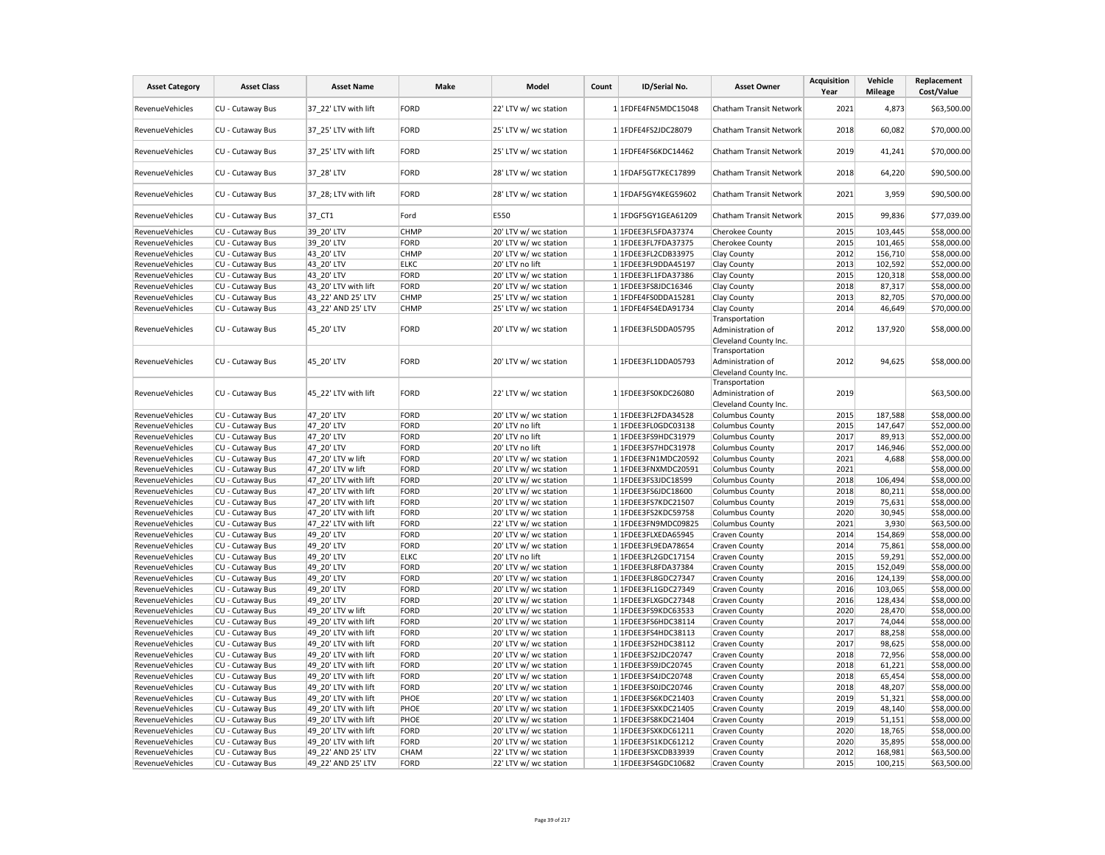| <b>FORD</b><br>22' LTV w/ wc station<br>2021<br>\$63,500.00<br>RevenueVehicles<br>CU - Cutaway Bus<br>37_22' LTV with lift<br>1 1FDFE4FN5MDC15048<br>Chatham Transit Network<br>4,873<br>2018<br>\$70,000.00<br>RevenueVehicles<br>CU - Cutaway Bus<br>37 25' LTV with lift<br>FORD<br>25' LTV w/ wc station<br>1 1FDFE4FS2JDC28079<br>Chatham Transit Network<br>60,082<br>37_25' LTV with lift<br>FORD<br>2019<br>41,241<br>\$70,000.00<br>RevenueVehicles<br>CU - Cutaway Bus<br>25' LTV w/ wc station<br>1 1FDFE4FS6KDC14462<br>Chatham Transit Network<br>FORD<br>28' LTV w/ wc station<br>2018<br>64,220<br>\$90,500.00<br>RevenueVehicles<br>CU - Cutaway Bus<br>37_28' LTV<br>1 1FDAF5GT7KEC17899<br>Chatham Transit Network<br>FORD<br>2021<br>CU - Cutaway Bus<br>37_28; LTV with lift<br>28' LTV w/ wc station<br>1 1FDAF5GY4KEG59602<br>Chatham Transit Network<br>3,959<br>\$90,500.00<br>RevenueVehicles<br>2015<br>RevenueVehicles<br>CU - Cutaway Bus<br>37 CT1<br>Ford<br>E550<br>1 1FDGF5GY1GEA61209<br>Chatham Transit Network<br>99,836<br>\$77,039.00<br>2015<br>39 20' LTV<br>103,445<br>\$58,000.00<br>RevenueVehicles<br>CU - Cutaway Bus<br>CHMP<br>20' LTV w/ wc station<br>1 1FDEE3FL5FDA37374<br>Cherokee County<br>39 20' LTV<br>2015<br>\$58,000.00<br>RevenueVehicles<br>CU - Cutaway Bus<br>FORD<br>20' LTV w/ wc station<br>1 1FDEE3FL7FDA37375<br>Cherokee County<br>101,465<br>43 20' LTV<br>CHMP<br>2012<br>156,710<br>\$58,000.00<br>RevenueVehicles<br>CU - Cutaway Bus<br>20' LTV w/ wc station<br>1 1FDEE3FL2CDB33975<br>Clay County<br>2013<br>RevenueVehicles<br>CU - Cutaway Bus<br>43 20' LTV<br><b>ELKC</b><br>20' LTV no lift<br>1 1FDEE3FL9DDA45197<br>Clay County<br>102,592<br>\$52,000.00<br>2015<br>120,318<br>RevenueVehicles<br>CU - Cutaway Bus<br>43 20' LTV<br>FORD<br>20' LTV w/ wc station<br>1 1FDEE3FL1FDA37386<br>\$58,000.00<br>Clay County<br>RevenueVehicles<br>CU - Cutaway Bus<br>43_20' LTV with lift<br>FORD<br>2018<br>87,317<br>\$58,000.00<br>20' LTV w/ wc station<br>1 1FDEE3FS8JDC16346<br>Clay County<br>2013<br>RevenueVehicles<br>CU - Cutaway Bus<br>43 22' AND 25' LTV<br><b>CHMP</b><br>25' LTV w/ wc station<br>1 1FDFE4FS0DDA15281<br>Clay County<br>82,705<br>\$70,000.00<br>43 22' AND 25' LTV<br>25' LTV w/ wc station<br>2014<br>\$70,000.00<br>RevenueVehicles<br>CU - Cutaway Bus<br><b>CHMP</b><br>1 1FDFE4FS4EDA91734<br>Clay County<br>46,649<br>Transportation<br>2012<br>\$58,000.00<br>RevenueVehicles<br>CU - Cutaway Bus<br>45_20' LTV<br>FORD<br>20' LTV w/ wc station<br>1 1FDEE3FL5DDA05795<br>Administration of<br>137,920<br>Cleveland County Inc.<br>Transportation<br>FORD<br>2012<br>CU - Cutaway Bus<br>45 20' LTV<br>20' LTV w/ wc station<br>1 1FDEE3FL1DDA05793<br>Administration of<br>94,625<br>\$58,000.00<br>RevenueVehicles<br>Cleveland County Inc.<br>Transportation<br>45 22' LTV with lift<br>FORD<br>Administration of<br>2019<br>\$63,500.00<br>CU - Cutaway Bus<br>22' LTV w/ wc station<br>1 1FDEE3FS0KDC26080<br>RevenueVehicles<br>Cleveland County Inc.<br>47 20' LTV<br>2015<br>187,588<br>\$58,000.00<br>RevenueVehicles<br>CU - Cutaway Bus<br>FORD<br>20' LTV w/ wc station<br>1 1FDEE3FL2FDA34528<br><b>Columbus County</b><br>47 20' LTV<br>FORD<br>20' LTV no lift<br>1 1FDEE3FL0GDC03138<br>2015<br>147,647<br>\$52,000.00<br>RevenueVehicles<br>CU - Cutaway Bus<br><b>Columbus County</b><br>20' LTV no lift<br>2017<br>\$52,000.00<br>RevenueVehicles<br>CU - Cutaway Bus<br>47 20' LTV<br>FORD<br>1 1FDEE3FS9HDC31979<br><b>Columbus County</b><br>89,913<br>2017<br>RevenueVehicles<br>CU - Cutaway Bus<br>47 20' LTV<br>FORD<br>20' LTV no lift<br>1 1FDEE3FS7HDC31978<br><b>Columbus County</b><br>146,946<br>\$52,000.00<br>2021<br>RevenueVehicles<br>CU - Cutaway Bus<br>47_20' LTV w lift<br>FORD<br>20' LTV w/ wc station<br>1 1FDEE3FN1MDC20592<br><b>Columbus County</b><br>4,688<br>\$58,000.00<br>2021<br>RevenueVehicles<br>CU - Cutaway Bus<br>47 20' LTV w lift<br>FORD<br>20' LTV w/ wc station<br>1 1FDEE3FNXMDC20591<br><b>Columbus County</b><br>\$58,000.00<br>2018<br>RevenueVehicles<br>CU - Cutaway Bus<br>47 20' LTV with lift<br>FORD<br>20' LTV w/ wc station<br>1 1FDEE3FS3JDC18599<br>Columbus County<br>106,494<br>\$58,000.00<br>47_20' LTV with lift<br>2018<br>\$58,000.00<br>RevenueVehicles<br>CU - Cutaway Bus<br>FORD<br>20' LTV w/ wc station<br>1 1FDEE3FS6JDC18600<br>80,211<br><b>Columbus County</b><br>CU - Cutaway Bus<br>47 20' LTV with lift<br>FORD<br>2019<br>\$58,000.00<br>RevenueVehicles<br>20' LTV w/ wc station<br>1 1FDEE3FS7KDC21507<br><b>Columbus County</b><br>75,631<br>CU - Cutaway Bus<br>47 20' LTV with lift<br>FORD<br>20' LTV w/ wc station<br>1 1FDEE3FS2KDC59758<br>2020<br>30,945<br>\$58,000.00<br>RevenueVehicles<br>Columbus County<br>2021<br>RevenueVehicles<br>CU - Cutaway Bus<br>47_22' LTV with lift<br>FORD<br>22' LTV w/ wc station<br>1 1FDEE3FN9MDC09825<br><b>Columbus County</b><br>3,930<br>\$63,500.00<br>FORD<br>2014<br>154,869<br>\$58,000.00<br>RevenueVehicles<br>CU - Cutaway Bus<br>49 20' LTV<br>20' LTV w/ wc station<br>1 1FDEE3FLXEDA65945<br>Craven County<br>RevenueVehicles<br>CU - Cutaway Bus<br>49_20' LTV<br>20' LTV w/ wc station<br>1 1FDEE3FL9EDA78654<br>2014<br>75,861<br>\$58,000.00<br>FORD<br>Craven County<br>2015<br>\$52,000.00<br>RevenueVehicles<br>CU - Cutaway Bus<br>49 20' LTV<br><b>ELKC</b><br>20' LTV no lift<br>1 1FDEE3FL2GDC17154<br>Craven County<br>59,291<br>2015<br>CU - Cutaway Bus<br>49 20' LTV<br>152,049<br>\$58,000.00<br>RevenueVehicles<br>FORD<br>20' LTV w/ wc station<br>1 1FDEE3FL8FDA37384<br><b>Craven County</b><br>49_20' LTV<br>2016<br>\$58,000.00<br>RevenueVehicles<br>CU - Cutaway Bus<br>FORD<br>20' LTV w/ wc station<br>1 1FDEE3FL8GDC27347<br>Craven County<br>124,139<br>2016<br>RevenueVehicles<br>CU - Cutaway Bus<br>49 20' LTV<br>FORD<br>20' LTV w/ wc station<br>1 1FDEE3FL1GDC27349<br><b>Craven County</b><br>103,065<br>\$58,000.00<br>49 20' LTV<br>2016<br>128,434<br>RevenueVehicles<br>CU - Cutaway Bus<br>FORD<br>20' LTV w/ wc station<br>1 1FDEE3FLXGDC27348<br>Craven County<br>\$58,000.00<br>RevenueVehicles<br>CU - Cutaway Bus<br>49_20' LTV w lift<br>FORD<br>20' LTV w/ wc station<br>1 1FDEE3FS9KDC63533<br>Craven County<br>2020<br>28,470<br>\$58,000.00<br>RevenueVehicles<br>CU - Cutaway Bus<br>49 20' LTV with lift<br>FORD<br><b>Craven County</b><br>2017<br>74,044<br>\$58,000.00<br>20' LTV w/ wc station<br>1 1FDEE3FS6HDC38114<br>49 20' LTV with lift<br>2017<br>RevenueVehicles<br>CU - Cutaway Bus<br>FORD<br>20' LTV w/ wc station<br>1 1FDEE3FS4HDC38113<br>Craven County<br>88,258<br>\$58,000.00<br>CU - Cutaway Bus<br>49_20' LTV with lift<br>FORD<br>2017<br>98,625<br>\$58,000.00<br>RevenueVehicles<br>20' LTV w/ wc station<br>1 1FDEE3FS2HDC38112<br>Craven County<br>RevenueVehicles<br>CU - Cutaway Bus<br>49 20' LTV with lift<br>FORD<br>2018<br>\$58,000.00<br>20' LTV w/ wc station<br>1 1FDEE3FS2JDC20747<br><b>Craven County</b><br>72,956<br>49 20' LTV with lift<br>2018<br>RevenueVehicles<br>CU - Cutaway Bus<br>FORD<br>20' LTV w/ wc station<br>1 1FDEE3FS9JDC20745<br><b>Craven County</b><br>61,221<br>\$58,000.00<br>RevenueVehicles<br>CU - Cutaway Bus<br>49 20' LTV with lift<br>FORD<br>2018<br>65,454<br>\$58,000.00<br>20' LTV w/ wc station<br>1 1FDEE3FS4JDC20748<br><b>Craven County</b><br>RevenueVehicles<br>CU - Cutaway Bus<br>49 20' LTV with lift<br>2018<br>\$58,000.00<br>FORD<br>20' LTV w/ wc station<br>1 1FDEE3FS0JDC20746<br><b>Craven County</b><br>48,207<br>49 20' LTV with lift<br>2019<br>51,321<br>\$58,000.00<br>RevenueVehicles<br>CU - Cutaway Bus<br>PHOE<br>20' LTV w/ wc station<br>1 1FDEE3FS6KDC21403<br><b>Craven County</b><br>2019<br>CU - Cutaway Bus<br>49 20' LTV with lift<br>48,140<br>\$58,000.00<br>RevenueVehicles<br>PHOE<br>20' LTV w/ wc station<br>1 1FDEE3FSXKDC21405<br><b>Craven County</b><br>RevenueVehicles<br>CU - Cutaway Bus<br>49 20' LTV with lift<br>PHOE<br>20' LTV w/ wc station<br>1 1FDEE3FS8KDC21404<br>2019<br>51,151<br>\$58,000.00<br><b>Craven County</b><br>RevenueVehicles<br>CU - Cutaway Bus<br>49 20' LTV with lift<br>FORD<br>20' LTV w/ wc station<br>1 1FDEE3FSXKDC61211<br><b>Craven County</b><br>2020<br>18,765<br>\$58,000.00<br>RevenueVehicles<br>49 20' LTV with lift<br>FORD<br>2020<br>35,895<br>\$58,000.00<br>CU - Cutaway Bus<br>20' LTV w/ wc station<br>1 1FDEE3FS1KDC61212<br><b>Craven County</b><br>2012<br>RevenueVehicles<br>CU - Cutaway Bus<br>49 22' AND 25' LTV<br>CHAM<br>22' LTV w/ wc station<br>1 1FDEE3FSXCDB33939<br><b>Craven County</b><br>168,981<br>\$63,500.00<br>2015<br>RevenueVehicles<br>CU - Cutaway Bus<br>49 22' AND 25' LTV<br>FORD<br>22' LTV w/ wc station<br>1 1FDEE3FS4GDC10682<br><b>Craven County</b><br>100,215<br>\$63,500.00 | <b>Asset Category</b> | <b>Asset Class</b> | <b>Asset Name</b> | Make | Model | Count | ID/Serial No. | <b>Asset Owner</b> | <b>Acquisition</b><br>Year | Vehicle<br><b>Mileage</b> | Replacement<br>Cost/Value |
|----------------------------------------------------------------------------------------------------------------------------------------------------------------------------------------------------------------------------------------------------------------------------------------------------------------------------------------------------------------------------------------------------------------------------------------------------------------------------------------------------------------------------------------------------------------------------------------------------------------------------------------------------------------------------------------------------------------------------------------------------------------------------------------------------------------------------------------------------------------------------------------------------------------------------------------------------------------------------------------------------------------------------------------------------------------------------------------------------------------------------------------------------------------------------------------------------------------------------------------------------------------------------------------------------------------------------------------------------------------------------------------------------------------------------------------------------------------------------------------------------------------------------------------------------------------------------------------------------------------------------------------------------------------------------------------------------------------------------------------------------------------------------------------------------------------------------------------------------------------------------------------------------------------------------------------------------------------------------------------------------------------------------------------------------------------------------------------------------------------------------------------------------------------------------------------------------------------------------------------------------------------------------------------------------------------------------------------------------------------------------------------------------------------------------------------------------------------------------------------------------------------------------------------------------------------------------------------------------------------------------------------------------------------------------------------------------------------------------------------------------------------------------------------------------------------------------------------------------------------------------------------------------------------------------------------------------------------------------------------------------------------------------------------------------------------------------------------------------------------------------------------------------------------------------------------------------------------------------------------------------------------------------------------------------------------------------------------------------------------------------------------------------------------------------------------------------------------------------------------------------------------------------------------------------------------------------------------------------------------------------------------------------------------------------------------------------------------------------------------------------------------------------------------------------------------------------------------------------------------------------------------------------------------------------------------------------------------------------------------------------------------------------------------------------------------------------------------------------------------------------------------------------------------------------------------------------------------------------------------------------------------------------------------------------------------------------------------------------------------------------------------------------------------------------------------------------------------------------------------------------------------------------------------------------------------------------------------------------------------------------------------------------------------------------------------------------------------------------------------------------------------------------------------------------------------------------------------------------------------------------------------------------------------------------------------------------------------------------------------------------------------------------------------------------------------------------------------------------------------------------------------------------------------------------------------------------------------------------------------------------------------------------------------------------------------------------------------------------------------------------------------------------------------------------------------------------------------------------------------------------------------------------------------------------------------------------------------------------------------------------------------------------------------------------------------------------------------------------------------------------------------------------------------------------------------------------------------------------------------------------------------------------------------------------------------------------------------------------------------------------------------------------------------------------------------------------------------------------------------------------------------------------------------------------------------------------------------------------------------------------------------------------------------------------------------------------------------------------------------------------------------------------------------------------------------------------------------------------------------------------------------------------------------------------------------------------------------------------------------------------------------------------------------------------------------------------------------------------------------------------------------------------------------------------------------------------------------------------------------------------------------------------------------------------------------------------------------------------------------------------------------------------------------------------------------------------------------------------------------------------------------------------------------------------------------------------------------------------------------------------------------------------------------------------------------------------------------------------------------------------------------------------------------------------------------------------------------------------------------------------------------------------------------------------------------------------------------------------------------------------------------------------------------------------------------------------------------------------------------------------------------------------------------------------------------------------------------------------------------------------------------------------------------------------------------------------------------------------------------------------------------------------------------------------------------------------------------------------------------------------------------------------------------------------------------------------------------------------------------------------------------------------------------------------------------------------------------------------------------------------------------------------------------------------------------------------------------------------------------------------------------------------------------------------------------------------------------------------------------------------------------------------------------------------------------------------------------------------------------------------------------------------------------------------------------------------------------------------------------------------------------------------------------------------------------|-----------------------|--------------------|-------------------|------|-------|-------|---------------|--------------------|----------------------------|---------------------------|---------------------------|
|                                                                                                                                                                                                                                                                                                                                                                                                                                                                                                                                                                                                                                                                                                                                                                                                                                                                                                                                                                                                                                                                                                                                                                                                                                                                                                                                                                                                                                                                                                                                                                                                                                                                                                                                                                                                                                                                                                                                                                                                                                                                                                                                                                                                                                                                                                                                                                                                                                                                                                                                                                                                                                                                                                                                                                                                                                                                                                                                                                                                                                                                                                                                                                                                                                                                                                                                                                                                                                                                                                                                                                                                                                                                                                                                                                                                                                                                                                                                                                                                                                                                                                                                                                                                                                                                                                                                                                                                                                                                                                                                                                                                                                                                                                                                                                                                                                                                                                                                                                                                                                                                                                                                                                                                                                                                                                                                                                                                                                                                                                                                                                                                                                                                                                                                                                                                                                                                                                                                                                                                                                                                                                                                                                                                                                                                                                                                                                                                                                                                                                                                                                                                                                                                                                                                                                                                                                                                                                                                                                                                                                                                                                                                                                                                                                                                                                                                                                                                                                                                                                                                                                                                                                                                                                                                                                                                                                                                                                                                                                                                                                                                                                                                                                                                                                                                                                                                                                                                                                                                                                                                                                                                                                                                                                                                                                                                                                                                                                                                        |                       |                    |                   |      |       |       |               |                    |                            |                           |                           |
|                                                                                                                                                                                                                                                                                                                                                                                                                                                                                                                                                                                                                                                                                                                                                                                                                                                                                                                                                                                                                                                                                                                                                                                                                                                                                                                                                                                                                                                                                                                                                                                                                                                                                                                                                                                                                                                                                                                                                                                                                                                                                                                                                                                                                                                                                                                                                                                                                                                                                                                                                                                                                                                                                                                                                                                                                                                                                                                                                                                                                                                                                                                                                                                                                                                                                                                                                                                                                                                                                                                                                                                                                                                                                                                                                                                                                                                                                                                                                                                                                                                                                                                                                                                                                                                                                                                                                                                                                                                                                                                                                                                                                                                                                                                                                                                                                                                                                                                                                                                                                                                                                                                                                                                                                                                                                                                                                                                                                                                                                                                                                                                                                                                                                                                                                                                                                                                                                                                                                                                                                                                                                                                                                                                                                                                                                                                                                                                                                                                                                                                                                                                                                                                                                                                                                                                                                                                                                                                                                                                                                                                                                                                                                                                                                                                                                                                                                                                                                                                                                                                                                                                                                                                                                                                                                                                                                                                                                                                                                                                                                                                                                                                                                                                                                                                                                                                                                                                                                                                                                                                                                                                                                                                                                                                                                                                                                                                                                                                                        |                       |                    |                   |      |       |       |               |                    |                            |                           |                           |
|                                                                                                                                                                                                                                                                                                                                                                                                                                                                                                                                                                                                                                                                                                                                                                                                                                                                                                                                                                                                                                                                                                                                                                                                                                                                                                                                                                                                                                                                                                                                                                                                                                                                                                                                                                                                                                                                                                                                                                                                                                                                                                                                                                                                                                                                                                                                                                                                                                                                                                                                                                                                                                                                                                                                                                                                                                                                                                                                                                                                                                                                                                                                                                                                                                                                                                                                                                                                                                                                                                                                                                                                                                                                                                                                                                                                                                                                                                                                                                                                                                                                                                                                                                                                                                                                                                                                                                                                                                                                                                                                                                                                                                                                                                                                                                                                                                                                                                                                                                                                                                                                                                                                                                                                                                                                                                                                                                                                                                                                                                                                                                                                                                                                                                                                                                                                                                                                                                                                                                                                                                                                                                                                                                                                                                                                                                                                                                                                                                                                                                                                                                                                                                                                                                                                                                                                                                                                                                                                                                                                                                                                                                                                                                                                                                                                                                                                                                                                                                                                                                                                                                                                                                                                                                                                                                                                                                                                                                                                                                                                                                                                                                                                                                                                                                                                                                                                                                                                                                                                                                                                                                                                                                                                                                                                                                                                                                                                                                                                        |                       |                    |                   |      |       |       |               |                    |                            |                           |                           |
|                                                                                                                                                                                                                                                                                                                                                                                                                                                                                                                                                                                                                                                                                                                                                                                                                                                                                                                                                                                                                                                                                                                                                                                                                                                                                                                                                                                                                                                                                                                                                                                                                                                                                                                                                                                                                                                                                                                                                                                                                                                                                                                                                                                                                                                                                                                                                                                                                                                                                                                                                                                                                                                                                                                                                                                                                                                                                                                                                                                                                                                                                                                                                                                                                                                                                                                                                                                                                                                                                                                                                                                                                                                                                                                                                                                                                                                                                                                                                                                                                                                                                                                                                                                                                                                                                                                                                                                                                                                                                                                                                                                                                                                                                                                                                                                                                                                                                                                                                                                                                                                                                                                                                                                                                                                                                                                                                                                                                                                                                                                                                                                                                                                                                                                                                                                                                                                                                                                                                                                                                                                                                                                                                                                                                                                                                                                                                                                                                                                                                                                                                                                                                                                                                                                                                                                                                                                                                                                                                                                                                                                                                                                                                                                                                                                                                                                                                                                                                                                                                                                                                                                                                                                                                                                                                                                                                                                                                                                                                                                                                                                                                                                                                                                                                                                                                                                                                                                                                                                                                                                                                                                                                                                                                                                                                                                                                                                                                                                                        |                       |                    |                   |      |       |       |               |                    |                            |                           |                           |
|                                                                                                                                                                                                                                                                                                                                                                                                                                                                                                                                                                                                                                                                                                                                                                                                                                                                                                                                                                                                                                                                                                                                                                                                                                                                                                                                                                                                                                                                                                                                                                                                                                                                                                                                                                                                                                                                                                                                                                                                                                                                                                                                                                                                                                                                                                                                                                                                                                                                                                                                                                                                                                                                                                                                                                                                                                                                                                                                                                                                                                                                                                                                                                                                                                                                                                                                                                                                                                                                                                                                                                                                                                                                                                                                                                                                                                                                                                                                                                                                                                                                                                                                                                                                                                                                                                                                                                                                                                                                                                                                                                                                                                                                                                                                                                                                                                                                                                                                                                                                                                                                                                                                                                                                                                                                                                                                                                                                                                                                                                                                                                                                                                                                                                                                                                                                                                                                                                                                                                                                                                                                                                                                                                                                                                                                                                                                                                                                                                                                                                                                                                                                                                                                                                                                                                                                                                                                                                                                                                                                                                                                                                                                                                                                                                                                                                                                                                                                                                                                                                                                                                                                                                                                                                                                                                                                                                                                                                                                                                                                                                                                                                                                                                                                                                                                                                                                                                                                                                                                                                                                                                                                                                                                                                                                                                                                                                                                                                                                        |                       |                    |                   |      |       |       |               |                    |                            |                           |                           |
|                                                                                                                                                                                                                                                                                                                                                                                                                                                                                                                                                                                                                                                                                                                                                                                                                                                                                                                                                                                                                                                                                                                                                                                                                                                                                                                                                                                                                                                                                                                                                                                                                                                                                                                                                                                                                                                                                                                                                                                                                                                                                                                                                                                                                                                                                                                                                                                                                                                                                                                                                                                                                                                                                                                                                                                                                                                                                                                                                                                                                                                                                                                                                                                                                                                                                                                                                                                                                                                                                                                                                                                                                                                                                                                                                                                                                                                                                                                                                                                                                                                                                                                                                                                                                                                                                                                                                                                                                                                                                                                                                                                                                                                                                                                                                                                                                                                                                                                                                                                                                                                                                                                                                                                                                                                                                                                                                                                                                                                                                                                                                                                                                                                                                                                                                                                                                                                                                                                                                                                                                                                                                                                                                                                                                                                                                                                                                                                                                                                                                                                                                                                                                                                                                                                                                                                                                                                                                                                                                                                                                                                                                                                                                                                                                                                                                                                                                                                                                                                                                                                                                                                                                                                                                                                                                                                                                                                                                                                                                                                                                                                                                                                                                                                                                                                                                                                                                                                                                                                                                                                                                                                                                                                                                                                                                                                                                                                                                                                                        |                       |                    |                   |      |       |       |               |                    |                            |                           |                           |
|                                                                                                                                                                                                                                                                                                                                                                                                                                                                                                                                                                                                                                                                                                                                                                                                                                                                                                                                                                                                                                                                                                                                                                                                                                                                                                                                                                                                                                                                                                                                                                                                                                                                                                                                                                                                                                                                                                                                                                                                                                                                                                                                                                                                                                                                                                                                                                                                                                                                                                                                                                                                                                                                                                                                                                                                                                                                                                                                                                                                                                                                                                                                                                                                                                                                                                                                                                                                                                                                                                                                                                                                                                                                                                                                                                                                                                                                                                                                                                                                                                                                                                                                                                                                                                                                                                                                                                                                                                                                                                                                                                                                                                                                                                                                                                                                                                                                                                                                                                                                                                                                                                                                                                                                                                                                                                                                                                                                                                                                                                                                                                                                                                                                                                                                                                                                                                                                                                                                                                                                                                                                                                                                                                                                                                                                                                                                                                                                                                                                                                                                                                                                                                                                                                                                                                                                                                                                                                                                                                                                                                                                                                                                                                                                                                                                                                                                                                                                                                                                                                                                                                                                                                                                                                                                                                                                                                                                                                                                                                                                                                                                                                                                                                                                                                                                                                                                                                                                                                                                                                                                                                                                                                                                                                                                                                                                                                                                                                                                        |                       |                    |                   |      |       |       |               |                    |                            |                           |                           |
|                                                                                                                                                                                                                                                                                                                                                                                                                                                                                                                                                                                                                                                                                                                                                                                                                                                                                                                                                                                                                                                                                                                                                                                                                                                                                                                                                                                                                                                                                                                                                                                                                                                                                                                                                                                                                                                                                                                                                                                                                                                                                                                                                                                                                                                                                                                                                                                                                                                                                                                                                                                                                                                                                                                                                                                                                                                                                                                                                                                                                                                                                                                                                                                                                                                                                                                                                                                                                                                                                                                                                                                                                                                                                                                                                                                                                                                                                                                                                                                                                                                                                                                                                                                                                                                                                                                                                                                                                                                                                                                                                                                                                                                                                                                                                                                                                                                                                                                                                                                                                                                                                                                                                                                                                                                                                                                                                                                                                                                                                                                                                                                                                                                                                                                                                                                                                                                                                                                                                                                                                                                                                                                                                                                                                                                                                                                                                                                                                                                                                                                                                                                                                                                                                                                                                                                                                                                                                                                                                                                                                                                                                                                                                                                                                                                                                                                                                                                                                                                                                                                                                                                                                                                                                                                                                                                                                                                                                                                                                                                                                                                                                                                                                                                                                                                                                                                                                                                                                                                                                                                                                                                                                                                                                                                                                                                                                                                                                                                                        |                       |                    |                   |      |       |       |               |                    |                            |                           |                           |
|                                                                                                                                                                                                                                                                                                                                                                                                                                                                                                                                                                                                                                                                                                                                                                                                                                                                                                                                                                                                                                                                                                                                                                                                                                                                                                                                                                                                                                                                                                                                                                                                                                                                                                                                                                                                                                                                                                                                                                                                                                                                                                                                                                                                                                                                                                                                                                                                                                                                                                                                                                                                                                                                                                                                                                                                                                                                                                                                                                                                                                                                                                                                                                                                                                                                                                                                                                                                                                                                                                                                                                                                                                                                                                                                                                                                                                                                                                                                                                                                                                                                                                                                                                                                                                                                                                                                                                                                                                                                                                                                                                                                                                                                                                                                                                                                                                                                                                                                                                                                                                                                                                                                                                                                                                                                                                                                                                                                                                                                                                                                                                                                                                                                                                                                                                                                                                                                                                                                                                                                                                                                                                                                                                                                                                                                                                                                                                                                                                                                                                                                                                                                                                                                                                                                                                                                                                                                                                                                                                                                                                                                                                                                                                                                                                                                                                                                                                                                                                                                                                                                                                                                                                                                                                                                                                                                                                                                                                                                                                                                                                                                                                                                                                                                                                                                                                                                                                                                                                                                                                                                                                                                                                                                                                                                                                                                                                                                                                                                        |                       |                    |                   |      |       |       |               |                    |                            |                           |                           |
|                                                                                                                                                                                                                                                                                                                                                                                                                                                                                                                                                                                                                                                                                                                                                                                                                                                                                                                                                                                                                                                                                                                                                                                                                                                                                                                                                                                                                                                                                                                                                                                                                                                                                                                                                                                                                                                                                                                                                                                                                                                                                                                                                                                                                                                                                                                                                                                                                                                                                                                                                                                                                                                                                                                                                                                                                                                                                                                                                                                                                                                                                                                                                                                                                                                                                                                                                                                                                                                                                                                                                                                                                                                                                                                                                                                                                                                                                                                                                                                                                                                                                                                                                                                                                                                                                                                                                                                                                                                                                                                                                                                                                                                                                                                                                                                                                                                                                                                                                                                                                                                                                                                                                                                                                                                                                                                                                                                                                                                                                                                                                                                                                                                                                                                                                                                                                                                                                                                                                                                                                                                                                                                                                                                                                                                                                                                                                                                                                                                                                                                                                                                                                                                                                                                                                                                                                                                                                                                                                                                                                                                                                                                                                                                                                                                                                                                                                                                                                                                                                                                                                                                                                                                                                                                                                                                                                                                                                                                                                                                                                                                                                                                                                                                                                                                                                                                                                                                                                                                                                                                                                                                                                                                                                                                                                                                                                                                                                                                                        |                       |                    |                   |      |       |       |               |                    |                            |                           |                           |
|                                                                                                                                                                                                                                                                                                                                                                                                                                                                                                                                                                                                                                                                                                                                                                                                                                                                                                                                                                                                                                                                                                                                                                                                                                                                                                                                                                                                                                                                                                                                                                                                                                                                                                                                                                                                                                                                                                                                                                                                                                                                                                                                                                                                                                                                                                                                                                                                                                                                                                                                                                                                                                                                                                                                                                                                                                                                                                                                                                                                                                                                                                                                                                                                                                                                                                                                                                                                                                                                                                                                                                                                                                                                                                                                                                                                                                                                                                                                                                                                                                                                                                                                                                                                                                                                                                                                                                                                                                                                                                                                                                                                                                                                                                                                                                                                                                                                                                                                                                                                                                                                                                                                                                                                                                                                                                                                                                                                                                                                                                                                                                                                                                                                                                                                                                                                                                                                                                                                                                                                                                                                                                                                                                                                                                                                                                                                                                                                                                                                                                                                                                                                                                                                                                                                                                                                                                                                                                                                                                                                                                                                                                                                                                                                                                                                                                                                                                                                                                                                                                                                                                                                                                                                                                                                                                                                                                                                                                                                                                                                                                                                                                                                                                                                                                                                                                                                                                                                                                                                                                                                                                                                                                                                                                                                                                                                                                                                                                                                        |                       |                    |                   |      |       |       |               |                    |                            |                           |                           |
|                                                                                                                                                                                                                                                                                                                                                                                                                                                                                                                                                                                                                                                                                                                                                                                                                                                                                                                                                                                                                                                                                                                                                                                                                                                                                                                                                                                                                                                                                                                                                                                                                                                                                                                                                                                                                                                                                                                                                                                                                                                                                                                                                                                                                                                                                                                                                                                                                                                                                                                                                                                                                                                                                                                                                                                                                                                                                                                                                                                                                                                                                                                                                                                                                                                                                                                                                                                                                                                                                                                                                                                                                                                                                                                                                                                                                                                                                                                                                                                                                                                                                                                                                                                                                                                                                                                                                                                                                                                                                                                                                                                                                                                                                                                                                                                                                                                                                                                                                                                                                                                                                                                                                                                                                                                                                                                                                                                                                                                                                                                                                                                                                                                                                                                                                                                                                                                                                                                                                                                                                                                                                                                                                                                                                                                                                                                                                                                                                                                                                                                                                                                                                                                                                                                                                                                                                                                                                                                                                                                                                                                                                                                                                                                                                                                                                                                                                                                                                                                                                                                                                                                                                                                                                                                                                                                                                                                                                                                                                                                                                                                                                                                                                                                                                                                                                                                                                                                                                                                                                                                                                                                                                                                                                                                                                                                                                                                                                                                                        |                       |                    |                   |      |       |       |               |                    |                            |                           |                           |
|                                                                                                                                                                                                                                                                                                                                                                                                                                                                                                                                                                                                                                                                                                                                                                                                                                                                                                                                                                                                                                                                                                                                                                                                                                                                                                                                                                                                                                                                                                                                                                                                                                                                                                                                                                                                                                                                                                                                                                                                                                                                                                                                                                                                                                                                                                                                                                                                                                                                                                                                                                                                                                                                                                                                                                                                                                                                                                                                                                                                                                                                                                                                                                                                                                                                                                                                                                                                                                                                                                                                                                                                                                                                                                                                                                                                                                                                                                                                                                                                                                                                                                                                                                                                                                                                                                                                                                                                                                                                                                                                                                                                                                                                                                                                                                                                                                                                                                                                                                                                                                                                                                                                                                                                                                                                                                                                                                                                                                                                                                                                                                                                                                                                                                                                                                                                                                                                                                                                                                                                                                                                                                                                                                                                                                                                                                                                                                                                                                                                                                                                                                                                                                                                                                                                                                                                                                                                                                                                                                                                                                                                                                                                                                                                                                                                                                                                                                                                                                                                                                                                                                                                                                                                                                                                                                                                                                                                                                                                                                                                                                                                                                                                                                                                                                                                                                                                                                                                                                                                                                                                                                                                                                                                                                                                                                                                                                                                                                                                        |                       |                    |                   |      |       |       |               |                    |                            |                           |                           |
|                                                                                                                                                                                                                                                                                                                                                                                                                                                                                                                                                                                                                                                                                                                                                                                                                                                                                                                                                                                                                                                                                                                                                                                                                                                                                                                                                                                                                                                                                                                                                                                                                                                                                                                                                                                                                                                                                                                                                                                                                                                                                                                                                                                                                                                                                                                                                                                                                                                                                                                                                                                                                                                                                                                                                                                                                                                                                                                                                                                                                                                                                                                                                                                                                                                                                                                                                                                                                                                                                                                                                                                                                                                                                                                                                                                                                                                                                                                                                                                                                                                                                                                                                                                                                                                                                                                                                                                                                                                                                                                                                                                                                                                                                                                                                                                                                                                                                                                                                                                                                                                                                                                                                                                                                                                                                                                                                                                                                                                                                                                                                                                                                                                                                                                                                                                                                                                                                                                                                                                                                                                                                                                                                                                                                                                                                                                                                                                                                                                                                                                                                                                                                                                                                                                                                                                                                                                                                                                                                                                                                                                                                                                                                                                                                                                                                                                                                                                                                                                                                                                                                                                                                                                                                                                                                                                                                                                                                                                                                                                                                                                                                                                                                                                                                                                                                                                                                                                                                                                                                                                                                                                                                                                                                                                                                                                                                                                                                                                                        |                       |                    |                   |      |       |       |               |                    |                            |                           |                           |
|                                                                                                                                                                                                                                                                                                                                                                                                                                                                                                                                                                                                                                                                                                                                                                                                                                                                                                                                                                                                                                                                                                                                                                                                                                                                                                                                                                                                                                                                                                                                                                                                                                                                                                                                                                                                                                                                                                                                                                                                                                                                                                                                                                                                                                                                                                                                                                                                                                                                                                                                                                                                                                                                                                                                                                                                                                                                                                                                                                                                                                                                                                                                                                                                                                                                                                                                                                                                                                                                                                                                                                                                                                                                                                                                                                                                                                                                                                                                                                                                                                                                                                                                                                                                                                                                                                                                                                                                                                                                                                                                                                                                                                                                                                                                                                                                                                                                                                                                                                                                                                                                                                                                                                                                                                                                                                                                                                                                                                                                                                                                                                                                                                                                                                                                                                                                                                                                                                                                                                                                                                                                                                                                                                                                                                                                                                                                                                                                                                                                                                                                                                                                                                                                                                                                                                                                                                                                                                                                                                                                                                                                                                                                                                                                                                                                                                                                                                                                                                                                                                                                                                                                                                                                                                                                                                                                                                                                                                                                                                                                                                                                                                                                                                                                                                                                                                                                                                                                                                                                                                                                                                                                                                                                                                                                                                                                                                                                                                                                        |                       |                    |                   |      |       |       |               |                    |                            |                           |                           |
|                                                                                                                                                                                                                                                                                                                                                                                                                                                                                                                                                                                                                                                                                                                                                                                                                                                                                                                                                                                                                                                                                                                                                                                                                                                                                                                                                                                                                                                                                                                                                                                                                                                                                                                                                                                                                                                                                                                                                                                                                                                                                                                                                                                                                                                                                                                                                                                                                                                                                                                                                                                                                                                                                                                                                                                                                                                                                                                                                                                                                                                                                                                                                                                                                                                                                                                                                                                                                                                                                                                                                                                                                                                                                                                                                                                                                                                                                                                                                                                                                                                                                                                                                                                                                                                                                                                                                                                                                                                                                                                                                                                                                                                                                                                                                                                                                                                                                                                                                                                                                                                                                                                                                                                                                                                                                                                                                                                                                                                                                                                                                                                                                                                                                                                                                                                                                                                                                                                                                                                                                                                                                                                                                                                                                                                                                                                                                                                                                                                                                                                                                                                                                                                                                                                                                                                                                                                                                                                                                                                                                                                                                                                                                                                                                                                                                                                                                                                                                                                                                                                                                                                                                                                                                                                                                                                                                                                                                                                                                                                                                                                                                                                                                                                                                                                                                                                                                                                                                                                                                                                                                                                                                                                                                                                                                                                                                                                                                                                                        |                       |                    |                   |      |       |       |               |                    |                            |                           |                           |
|                                                                                                                                                                                                                                                                                                                                                                                                                                                                                                                                                                                                                                                                                                                                                                                                                                                                                                                                                                                                                                                                                                                                                                                                                                                                                                                                                                                                                                                                                                                                                                                                                                                                                                                                                                                                                                                                                                                                                                                                                                                                                                                                                                                                                                                                                                                                                                                                                                                                                                                                                                                                                                                                                                                                                                                                                                                                                                                                                                                                                                                                                                                                                                                                                                                                                                                                                                                                                                                                                                                                                                                                                                                                                                                                                                                                                                                                                                                                                                                                                                                                                                                                                                                                                                                                                                                                                                                                                                                                                                                                                                                                                                                                                                                                                                                                                                                                                                                                                                                                                                                                                                                                                                                                                                                                                                                                                                                                                                                                                                                                                                                                                                                                                                                                                                                                                                                                                                                                                                                                                                                                                                                                                                                                                                                                                                                                                                                                                                                                                                                                                                                                                                                                                                                                                                                                                                                                                                                                                                                                                                                                                                                                                                                                                                                                                                                                                                                                                                                                                                                                                                                                                                                                                                                                                                                                                                                                                                                                                                                                                                                                                                                                                                                                                                                                                                                                                                                                                                                                                                                                                                                                                                                                                                                                                                                                                                                                                                                                        |                       |                    |                   |      |       |       |               |                    |                            |                           |                           |
|                                                                                                                                                                                                                                                                                                                                                                                                                                                                                                                                                                                                                                                                                                                                                                                                                                                                                                                                                                                                                                                                                                                                                                                                                                                                                                                                                                                                                                                                                                                                                                                                                                                                                                                                                                                                                                                                                                                                                                                                                                                                                                                                                                                                                                                                                                                                                                                                                                                                                                                                                                                                                                                                                                                                                                                                                                                                                                                                                                                                                                                                                                                                                                                                                                                                                                                                                                                                                                                                                                                                                                                                                                                                                                                                                                                                                                                                                                                                                                                                                                                                                                                                                                                                                                                                                                                                                                                                                                                                                                                                                                                                                                                                                                                                                                                                                                                                                                                                                                                                                                                                                                                                                                                                                                                                                                                                                                                                                                                                                                                                                                                                                                                                                                                                                                                                                                                                                                                                                                                                                                                                                                                                                                                                                                                                                                                                                                                                                                                                                                                                                                                                                                                                                                                                                                                                                                                                                                                                                                                                                                                                                                                                                                                                                                                                                                                                                                                                                                                                                                                                                                                                                                                                                                                                                                                                                                                                                                                                                                                                                                                                                                                                                                                                                                                                                                                                                                                                                                                                                                                                                                                                                                                                                                                                                                                                                                                                                                                                        |                       |                    |                   |      |       |       |               |                    |                            |                           |                           |
|                                                                                                                                                                                                                                                                                                                                                                                                                                                                                                                                                                                                                                                                                                                                                                                                                                                                                                                                                                                                                                                                                                                                                                                                                                                                                                                                                                                                                                                                                                                                                                                                                                                                                                                                                                                                                                                                                                                                                                                                                                                                                                                                                                                                                                                                                                                                                                                                                                                                                                                                                                                                                                                                                                                                                                                                                                                                                                                                                                                                                                                                                                                                                                                                                                                                                                                                                                                                                                                                                                                                                                                                                                                                                                                                                                                                                                                                                                                                                                                                                                                                                                                                                                                                                                                                                                                                                                                                                                                                                                                                                                                                                                                                                                                                                                                                                                                                                                                                                                                                                                                                                                                                                                                                                                                                                                                                                                                                                                                                                                                                                                                                                                                                                                                                                                                                                                                                                                                                                                                                                                                                                                                                                                                                                                                                                                                                                                                                                                                                                                                                                                                                                                                                                                                                                                                                                                                                                                                                                                                                                                                                                                                                                                                                                                                                                                                                                                                                                                                                                                                                                                                                                                                                                                                                                                                                                                                                                                                                                                                                                                                                                                                                                                                                                                                                                                                                                                                                                                                                                                                                                                                                                                                                                                                                                                                                                                                                                                                                        |                       |                    |                   |      |       |       |               |                    |                            |                           |                           |
|                                                                                                                                                                                                                                                                                                                                                                                                                                                                                                                                                                                                                                                                                                                                                                                                                                                                                                                                                                                                                                                                                                                                                                                                                                                                                                                                                                                                                                                                                                                                                                                                                                                                                                                                                                                                                                                                                                                                                                                                                                                                                                                                                                                                                                                                                                                                                                                                                                                                                                                                                                                                                                                                                                                                                                                                                                                                                                                                                                                                                                                                                                                                                                                                                                                                                                                                                                                                                                                                                                                                                                                                                                                                                                                                                                                                                                                                                                                                                                                                                                                                                                                                                                                                                                                                                                                                                                                                                                                                                                                                                                                                                                                                                                                                                                                                                                                                                                                                                                                                                                                                                                                                                                                                                                                                                                                                                                                                                                                                                                                                                                                                                                                                                                                                                                                                                                                                                                                                                                                                                                                                                                                                                                                                                                                                                                                                                                                                                                                                                                                                                                                                                                                                                                                                                                                                                                                                                                                                                                                                                                                                                                                                                                                                                                                                                                                                                                                                                                                                                                                                                                                                                                                                                                                                                                                                                                                                                                                                                                                                                                                                                                                                                                                                                                                                                                                                                                                                                                                                                                                                                                                                                                                                                                                                                                                                                                                                                                                                        |                       |                    |                   |      |       |       |               |                    |                            |                           |                           |
|                                                                                                                                                                                                                                                                                                                                                                                                                                                                                                                                                                                                                                                                                                                                                                                                                                                                                                                                                                                                                                                                                                                                                                                                                                                                                                                                                                                                                                                                                                                                                                                                                                                                                                                                                                                                                                                                                                                                                                                                                                                                                                                                                                                                                                                                                                                                                                                                                                                                                                                                                                                                                                                                                                                                                                                                                                                                                                                                                                                                                                                                                                                                                                                                                                                                                                                                                                                                                                                                                                                                                                                                                                                                                                                                                                                                                                                                                                                                                                                                                                                                                                                                                                                                                                                                                                                                                                                                                                                                                                                                                                                                                                                                                                                                                                                                                                                                                                                                                                                                                                                                                                                                                                                                                                                                                                                                                                                                                                                                                                                                                                                                                                                                                                                                                                                                                                                                                                                                                                                                                                                                                                                                                                                                                                                                                                                                                                                                                                                                                                                                                                                                                                                                                                                                                                                                                                                                                                                                                                                                                                                                                                                                                                                                                                                                                                                                                                                                                                                                                                                                                                                                                                                                                                                                                                                                                                                                                                                                                                                                                                                                                                                                                                                                                                                                                                                                                                                                                                                                                                                                                                                                                                                                                                                                                                                                                                                                                                                                        |                       |                    |                   |      |       |       |               |                    |                            |                           |                           |
|                                                                                                                                                                                                                                                                                                                                                                                                                                                                                                                                                                                                                                                                                                                                                                                                                                                                                                                                                                                                                                                                                                                                                                                                                                                                                                                                                                                                                                                                                                                                                                                                                                                                                                                                                                                                                                                                                                                                                                                                                                                                                                                                                                                                                                                                                                                                                                                                                                                                                                                                                                                                                                                                                                                                                                                                                                                                                                                                                                                                                                                                                                                                                                                                                                                                                                                                                                                                                                                                                                                                                                                                                                                                                                                                                                                                                                                                                                                                                                                                                                                                                                                                                                                                                                                                                                                                                                                                                                                                                                                                                                                                                                                                                                                                                                                                                                                                                                                                                                                                                                                                                                                                                                                                                                                                                                                                                                                                                                                                                                                                                                                                                                                                                                                                                                                                                                                                                                                                                                                                                                                                                                                                                                                                                                                                                                                                                                                                                                                                                                                                                                                                                                                                                                                                                                                                                                                                                                                                                                                                                                                                                                                                                                                                                                                                                                                                                                                                                                                                                                                                                                                                                                                                                                                                                                                                                                                                                                                                                                                                                                                                                                                                                                                                                                                                                                                                                                                                                                                                                                                                                                                                                                                                                                                                                                                                                                                                                                                                        |                       |                    |                   |      |       |       |               |                    |                            |                           |                           |
|                                                                                                                                                                                                                                                                                                                                                                                                                                                                                                                                                                                                                                                                                                                                                                                                                                                                                                                                                                                                                                                                                                                                                                                                                                                                                                                                                                                                                                                                                                                                                                                                                                                                                                                                                                                                                                                                                                                                                                                                                                                                                                                                                                                                                                                                                                                                                                                                                                                                                                                                                                                                                                                                                                                                                                                                                                                                                                                                                                                                                                                                                                                                                                                                                                                                                                                                                                                                                                                                                                                                                                                                                                                                                                                                                                                                                                                                                                                                                                                                                                                                                                                                                                                                                                                                                                                                                                                                                                                                                                                                                                                                                                                                                                                                                                                                                                                                                                                                                                                                                                                                                                                                                                                                                                                                                                                                                                                                                                                                                                                                                                                                                                                                                                                                                                                                                                                                                                                                                                                                                                                                                                                                                                                                                                                                                                                                                                                                                                                                                                                                                                                                                                                                                                                                                                                                                                                                                                                                                                                                                                                                                                                                                                                                                                                                                                                                                                                                                                                                                                                                                                                                                                                                                                                                                                                                                                                                                                                                                                                                                                                                                                                                                                                                                                                                                                                                                                                                                                                                                                                                                                                                                                                                                                                                                                                                                                                                                                                                        |                       |                    |                   |      |       |       |               |                    |                            |                           |                           |
|                                                                                                                                                                                                                                                                                                                                                                                                                                                                                                                                                                                                                                                                                                                                                                                                                                                                                                                                                                                                                                                                                                                                                                                                                                                                                                                                                                                                                                                                                                                                                                                                                                                                                                                                                                                                                                                                                                                                                                                                                                                                                                                                                                                                                                                                                                                                                                                                                                                                                                                                                                                                                                                                                                                                                                                                                                                                                                                                                                                                                                                                                                                                                                                                                                                                                                                                                                                                                                                                                                                                                                                                                                                                                                                                                                                                                                                                                                                                                                                                                                                                                                                                                                                                                                                                                                                                                                                                                                                                                                                                                                                                                                                                                                                                                                                                                                                                                                                                                                                                                                                                                                                                                                                                                                                                                                                                                                                                                                                                                                                                                                                                                                                                                                                                                                                                                                                                                                                                                                                                                                                                                                                                                                                                                                                                                                                                                                                                                                                                                                                                                                                                                                                                                                                                                                                                                                                                                                                                                                                                                                                                                                                                                                                                                                                                                                                                                                                                                                                                                                                                                                                                                                                                                                                                                                                                                                                                                                                                                                                                                                                                                                                                                                                                                                                                                                                                                                                                                                                                                                                                                                                                                                                                                                                                                                                                                                                                                                                                        |                       |                    |                   |      |       |       |               |                    |                            |                           |                           |
|                                                                                                                                                                                                                                                                                                                                                                                                                                                                                                                                                                                                                                                                                                                                                                                                                                                                                                                                                                                                                                                                                                                                                                                                                                                                                                                                                                                                                                                                                                                                                                                                                                                                                                                                                                                                                                                                                                                                                                                                                                                                                                                                                                                                                                                                                                                                                                                                                                                                                                                                                                                                                                                                                                                                                                                                                                                                                                                                                                                                                                                                                                                                                                                                                                                                                                                                                                                                                                                                                                                                                                                                                                                                                                                                                                                                                                                                                                                                                                                                                                                                                                                                                                                                                                                                                                                                                                                                                                                                                                                                                                                                                                                                                                                                                                                                                                                                                                                                                                                                                                                                                                                                                                                                                                                                                                                                                                                                                                                                                                                                                                                                                                                                                                                                                                                                                                                                                                                                                                                                                                                                                                                                                                                                                                                                                                                                                                                                                                                                                                                                                                                                                                                                                                                                                                                                                                                                                                                                                                                                                                                                                                                                                                                                                                                                                                                                                                                                                                                                                                                                                                                                                                                                                                                                                                                                                                                                                                                                                                                                                                                                                                                                                                                                                                                                                                                                                                                                                                                                                                                                                                                                                                                                                                                                                                                                                                                                                                                                        |                       |                    |                   |      |       |       |               |                    |                            |                           |                           |
|                                                                                                                                                                                                                                                                                                                                                                                                                                                                                                                                                                                                                                                                                                                                                                                                                                                                                                                                                                                                                                                                                                                                                                                                                                                                                                                                                                                                                                                                                                                                                                                                                                                                                                                                                                                                                                                                                                                                                                                                                                                                                                                                                                                                                                                                                                                                                                                                                                                                                                                                                                                                                                                                                                                                                                                                                                                                                                                                                                                                                                                                                                                                                                                                                                                                                                                                                                                                                                                                                                                                                                                                                                                                                                                                                                                                                                                                                                                                                                                                                                                                                                                                                                                                                                                                                                                                                                                                                                                                                                                                                                                                                                                                                                                                                                                                                                                                                                                                                                                                                                                                                                                                                                                                                                                                                                                                                                                                                                                                                                                                                                                                                                                                                                                                                                                                                                                                                                                                                                                                                                                                                                                                                                                                                                                                                                                                                                                                                                                                                                                                                                                                                                                                                                                                                                                                                                                                                                                                                                                                                                                                                                                                                                                                                                                                                                                                                                                                                                                                                                                                                                                                                                                                                                                                                                                                                                                                                                                                                                                                                                                                                                                                                                                                                                                                                                                                                                                                                                                                                                                                                                                                                                                                                                                                                                                                                                                                                                                                        |                       |                    |                   |      |       |       |               |                    |                            |                           |                           |
|                                                                                                                                                                                                                                                                                                                                                                                                                                                                                                                                                                                                                                                                                                                                                                                                                                                                                                                                                                                                                                                                                                                                                                                                                                                                                                                                                                                                                                                                                                                                                                                                                                                                                                                                                                                                                                                                                                                                                                                                                                                                                                                                                                                                                                                                                                                                                                                                                                                                                                                                                                                                                                                                                                                                                                                                                                                                                                                                                                                                                                                                                                                                                                                                                                                                                                                                                                                                                                                                                                                                                                                                                                                                                                                                                                                                                                                                                                                                                                                                                                                                                                                                                                                                                                                                                                                                                                                                                                                                                                                                                                                                                                                                                                                                                                                                                                                                                                                                                                                                                                                                                                                                                                                                                                                                                                                                                                                                                                                                                                                                                                                                                                                                                                                                                                                                                                                                                                                                                                                                                                                                                                                                                                                                                                                                                                                                                                                                                                                                                                                                                                                                                                                                                                                                                                                                                                                                                                                                                                                                                                                                                                                                                                                                                                                                                                                                                                                                                                                                                                                                                                                                                                                                                                                                                                                                                                                                                                                                                                                                                                                                                                                                                                                                                                                                                                                                                                                                                                                                                                                                                                                                                                                                                                                                                                                                                                                                                                                                        |                       |                    |                   |      |       |       |               |                    |                            |                           |                           |
|                                                                                                                                                                                                                                                                                                                                                                                                                                                                                                                                                                                                                                                                                                                                                                                                                                                                                                                                                                                                                                                                                                                                                                                                                                                                                                                                                                                                                                                                                                                                                                                                                                                                                                                                                                                                                                                                                                                                                                                                                                                                                                                                                                                                                                                                                                                                                                                                                                                                                                                                                                                                                                                                                                                                                                                                                                                                                                                                                                                                                                                                                                                                                                                                                                                                                                                                                                                                                                                                                                                                                                                                                                                                                                                                                                                                                                                                                                                                                                                                                                                                                                                                                                                                                                                                                                                                                                                                                                                                                                                                                                                                                                                                                                                                                                                                                                                                                                                                                                                                                                                                                                                                                                                                                                                                                                                                                                                                                                                                                                                                                                                                                                                                                                                                                                                                                                                                                                                                                                                                                                                                                                                                                                                                                                                                                                                                                                                                                                                                                                                                                                                                                                                                                                                                                                                                                                                                                                                                                                                                                                                                                                                                                                                                                                                                                                                                                                                                                                                                                                                                                                                                                                                                                                                                                                                                                                                                                                                                                                                                                                                                                                                                                                                                                                                                                                                                                                                                                                                                                                                                                                                                                                                                                                                                                                                                                                                                                                                                        |                       |                    |                   |      |       |       |               |                    |                            |                           |                           |
|                                                                                                                                                                                                                                                                                                                                                                                                                                                                                                                                                                                                                                                                                                                                                                                                                                                                                                                                                                                                                                                                                                                                                                                                                                                                                                                                                                                                                                                                                                                                                                                                                                                                                                                                                                                                                                                                                                                                                                                                                                                                                                                                                                                                                                                                                                                                                                                                                                                                                                                                                                                                                                                                                                                                                                                                                                                                                                                                                                                                                                                                                                                                                                                                                                                                                                                                                                                                                                                                                                                                                                                                                                                                                                                                                                                                                                                                                                                                                                                                                                                                                                                                                                                                                                                                                                                                                                                                                                                                                                                                                                                                                                                                                                                                                                                                                                                                                                                                                                                                                                                                                                                                                                                                                                                                                                                                                                                                                                                                                                                                                                                                                                                                                                                                                                                                                                                                                                                                                                                                                                                                                                                                                                                                                                                                                                                                                                                                                                                                                                                                                                                                                                                                                                                                                                                                                                                                                                                                                                                                                                                                                                                                                                                                                                                                                                                                                                                                                                                                                                                                                                                                                                                                                                                                                                                                                                                                                                                                                                                                                                                                                                                                                                                                                                                                                                                                                                                                                                                                                                                                                                                                                                                                                                                                                                                                                                                                                                                                        |                       |                    |                   |      |       |       |               |                    |                            |                           |                           |
|                                                                                                                                                                                                                                                                                                                                                                                                                                                                                                                                                                                                                                                                                                                                                                                                                                                                                                                                                                                                                                                                                                                                                                                                                                                                                                                                                                                                                                                                                                                                                                                                                                                                                                                                                                                                                                                                                                                                                                                                                                                                                                                                                                                                                                                                                                                                                                                                                                                                                                                                                                                                                                                                                                                                                                                                                                                                                                                                                                                                                                                                                                                                                                                                                                                                                                                                                                                                                                                                                                                                                                                                                                                                                                                                                                                                                                                                                                                                                                                                                                                                                                                                                                                                                                                                                                                                                                                                                                                                                                                                                                                                                                                                                                                                                                                                                                                                                                                                                                                                                                                                                                                                                                                                                                                                                                                                                                                                                                                                                                                                                                                                                                                                                                                                                                                                                                                                                                                                                                                                                                                                                                                                                                                                                                                                                                                                                                                                                                                                                                                                                                                                                                                                                                                                                                                                                                                                                                                                                                                                                                                                                                                                                                                                                                                                                                                                                                                                                                                                                                                                                                                                                                                                                                                                                                                                                                                                                                                                                                                                                                                                                                                                                                                                                                                                                                                                                                                                                                                                                                                                                                                                                                                                                                                                                                                                                                                                                                                                        |                       |                    |                   |      |       |       |               |                    |                            |                           |                           |
|                                                                                                                                                                                                                                                                                                                                                                                                                                                                                                                                                                                                                                                                                                                                                                                                                                                                                                                                                                                                                                                                                                                                                                                                                                                                                                                                                                                                                                                                                                                                                                                                                                                                                                                                                                                                                                                                                                                                                                                                                                                                                                                                                                                                                                                                                                                                                                                                                                                                                                                                                                                                                                                                                                                                                                                                                                                                                                                                                                                                                                                                                                                                                                                                                                                                                                                                                                                                                                                                                                                                                                                                                                                                                                                                                                                                                                                                                                                                                                                                                                                                                                                                                                                                                                                                                                                                                                                                                                                                                                                                                                                                                                                                                                                                                                                                                                                                                                                                                                                                                                                                                                                                                                                                                                                                                                                                                                                                                                                                                                                                                                                                                                                                                                                                                                                                                                                                                                                                                                                                                                                                                                                                                                                                                                                                                                                                                                                                                                                                                                                                                                                                                                                                                                                                                                                                                                                                                                                                                                                                                                                                                                                                                                                                                                                                                                                                                                                                                                                                                                                                                                                                                                                                                                                                                                                                                                                                                                                                                                                                                                                                                                                                                                                                                                                                                                                                                                                                                                                                                                                                                                                                                                                                                                                                                                                                                                                                                                                                        |                       |                    |                   |      |       |       |               |                    |                            |                           |                           |
|                                                                                                                                                                                                                                                                                                                                                                                                                                                                                                                                                                                                                                                                                                                                                                                                                                                                                                                                                                                                                                                                                                                                                                                                                                                                                                                                                                                                                                                                                                                                                                                                                                                                                                                                                                                                                                                                                                                                                                                                                                                                                                                                                                                                                                                                                                                                                                                                                                                                                                                                                                                                                                                                                                                                                                                                                                                                                                                                                                                                                                                                                                                                                                                                                                                                                                                                                                                                                                                                                                                                                                                                                                                                                                                                                                                                                                                                                                                                                                                                                                                                                                                                                                                                                                                                                                                                                                                                                                                                                                                                                                                                                                                                                                                                                                                                                                                                                                                                                                                                                                                                                                                                                                                                                                                                                                                                                                                                                                                                                                                                                                                                                                                                                                                                                                                                                                                                                                                                                                                                                                                                                                                                                                                                                                                                                                                                                                                                                                                                                                                                                                                                                                                                                                                                                                                                                                                                                                                                                                                                                                                                                                                                                                                                                                                                                                                                                                                                                                                                                                                                                                                                                                                                                                                                                                                                                                                                                                                                                                                                                                                                                                                                                                                                                                                                                                                                                                                                                                                                                                                                                                                                                                                                                                                                                                                                                                                                                                                                        |                       |                    |                   |      |       |       |               |                    |                            |                           |                           |
|                                                                                                                                                                                                                                                                                                                                                                                                                                                                                                                                                                                                                                                                                                                                                                                                                                                                                                                                                                                                                                                                                                                                                                                                                                                                                                                                                                                                                                                                                                                                                                                                                                                                                                                                                                                                                                                                                                                                                                                                                                                                                                                                                                                                                                                                                                                                                                                                                                                                                                                                                                                                                                                                                                                                                                                                                                                                                                                                                                                                                                                                                                                                                                                                                                                                                                                                                                                                                                                                                                                                                                                                                                                                                                                                                                                                                                                                                                                                                                                                                                                                                                                                                                                                                                                                                                                                                                                                                                                                                                                                                                                                                                                                                                                                                                                                                                                                                                                                                                                                                                                                                                                                                                                                                                                                                                                                                                                                                                                                                                                                                                                                                                                                                                                                                                                                                                                                                                                                                                                                                                                                                                                                                                                                                                                                                                                                                                                                                                                                                                                                                                                                                                                                                                                                                                                                                                                                                                                                                                                                                                                                                                                                                                                                                                                                                                                                                                                                                                                                                                                                                                                                                                                                                                                                                                                                                                                                                                                                                                                                                                                                                                                                                                                                                                                                                                                                                                                                                                                                                                                                                                                                                                                                                                                                                                                                                                                                                                                                        |                       |                    |                   |      |       |       |               |                    |                            |                           |                           |
|                                                                                                                                                                                                                                                                                                                                                                                                                                                                                                                                                                                                                                                                                                                                                                                                                                                                                                                                                                                                                                                                                                                                                                                                                                                                                                                                                                                                                                                                                                                                                                                                                                                                                                                                                                                                                                                                                                                                                                                                                                                                                                                                                                                                                                                                                                                                                                                                                                                                                                                                                                                                                                                                                                                                                                                                                                                                                                                                                                                                                                                                                                                                                                                                                                                                                                                                                                                                                                                                                                                                                                                                                                                                                                                                                                                                                                                                                                                                                                                                                                                                                                                                                                                                                                                                                                                                                                                                                                                                                                                                                                                                                                                                                                                                                                                                                                                                                                                                                                                                                                                                                                                                                                                                                                                                                                                                                                                                                                                                                                                                                                                                                                                                                                                                                                                                                                                                                                                                                                                                                                                                                                                                                                                                                                                                                                                                                                                                                                                                                                                                                                                                                                                                                                                                                                                                                                                                                                                                                                                                                                                                                                                                                                                                                                                                                                                                                                                                                                                                                                                                                                                                                                                                                                                                                                                                                                                                                                                                                                                                                                                                                                                                                                                                                                                                                                                                                                                                                                                                                                                                                                                                                                                                                                                                                                                                                                                                                                                                        |                       |                    |                   |      |       |       |               |                    |                            |                           |                           |
|                                                                                                                                                                                                                                                                                                                                                                                                                                                                                                                                                                                                                                                                                                                                                                                                                                                                                                                                                                                                                                                                                                                                                                                                                                                                                                                                                                                                                                                                                                                                                                                                                                                                                                                                                                                                                                                                                                                                                                                                                                                                                                                                                                                                                                                                                                                                                                                                                                                                                                                                                                                                                                                                                                                                                                                                                                                                                                                                                                                                                                                                                                                                                                                                                                                                                                                                                                                                                                                                                                                                                                                                                                                                                                                                                                                                                                                                                                                                                                                                                                                                                                                                                                                                                                                                                                                                                                                                                                                                                                                                                                                                                                                                                                                                                                                                                                                                                                                                                                                                                                                                                                                                                                                                                                                                                                                                                                                                                                                                                                                                                                                                                                                                                                                                                                                                                                                                                                                                                                                                                                                                                                                                                                                                                                                                                                                                                                                                                                                                                                                                                                                                                                                                                                                                                                                                                                                                                                                                                                                                                                                                                                                                                                                                                                                                                                                                                                                                                                                                                                                                                                                                                                                                                                                                                                                                                                                                                                                                                                                                                                                                                                                                                                                                                                                                                                                                                                                                                                                                                                                                                                                                                                                                                                                                                                                                                                                                                                                                        |                       |                    |                   |      |       |       |               |                    |                            |                           |                           |
|                                                                                                                                                                                                                                                                                                                                                                                                                                                                                                                                                                                                                                                                                                                                                                                                                                                                                                                                                                                                                                                                                                                                                                                                                                                                                                                                                                                                                                                                                                                                                                                                                                                                                                                                                                                                                                                                                                                                                                                                                                                                                                                                                                                                                                                                                                                                                                                                                                                                                                                                                                                                                                                                                                                                                                                                                                                                                                                                                                                                                                                                                                                                                                                                                                                                                                                                                                                                                                                                                                                                                                                                                                                                                                                                                                                                                                                                                                                                                                                                                                                                                                                                                                                                                                                                                                                                                                                                                                                                                                                                                                                                                                                                                                                                                                                                                                                                                                                                                                                                                                                                                                                                                                                                                                                                                                                                                                                                                                                                                                                                                                                                                                                                                                                                                                                                                                                                                                                                                                                                                                                                                                                                                                                                                                                                                                                                                                                                                                                                                                                                                                                                                                                                                                                                                                                                                                                                                                                                                                                                                                                                                                                                                                                                                                                                                                                                                                                                                                                                                                                                                                                                                                                                                                                                                                                                                                                                                                                                                                                                                                                                                                                                                                                                                                                                                                                                                                                                                                                                                                                                                                                                                                                                                                                                                                                                                                                                                                                                        |                       |                    |                   |      |       |       |               |                    |                            |                           |                           |
|                                                                                                                                                                                                                                                                                                                                                                                                                                                                                                                                                                                                                                                                                                                                                                                                                                                                                                                                                                                                                                                                                                                                                                                                                                                                                                                                                                                                                                                                                                                                                                                                                                                                                                                                                                                                                                                                                                                                                                                                                                                                                                                                                                                                                                                                                                                                                                                                                                                                                                                                                                                                                                                                                                                                                                                                                                                                                                                                                                                                                                                                                                                                                                                                                                                                                                                                                                                                                                                                                                                                                                                                                                                                                                                                                                                                                                                                                                                                                                                                                                                                                                                                                                                                                                                                                                                                                                                                                                                                                                                                                                                                                                                                                                                                                                                                                                                                                                                                                                                                                                                                                                                                                                                                                                                                                                                                                                                                                                                                                                                                                                                                                                                                                                                                                                                                                                                                                                                                                                                                                                                                                                                                                                                                                                                                                                                                                                                                                                                                                                                                                                                                                                                                                                                                                                                                                                                                                                                                                                                                                                                                                                                                                                                                                                                                                                                                                                                                                                                                                                                                                                                                                                                                                                                                                                                                                                                                                                                                                                                                                                                                                                                                                                                                                                                                                                                                                                                                                                                                                                                                                                                                                                                                                                                                                                                                                                                                                                                                        |                       |                    |                   |      |       |       |               |                    |                            |                           |                           |
|                                                                                                                                                                                                                                                                                                                                                                                                                                                                                                                                                                                                                                                                                                                                                                                                                                                                                                                                                                                                                                                                                                                                                                                                                                                                                                                                                                                                                                                                                                                                                                                                                                                                                                                                                                                                                                                                                                                                                                                                                                                                                                                                                                                                                                                                                                                                                                                                                                                                                                                                                                                                                                                                                                                                                                                                                                                                                                                                                                                                                                                                                                                                                                                                                                                                                                                                                                                                                                                                                                                                                                                                                                                                                                                                                                                                                                                                                                                                                                                                                                                                                                                                                                                                                                                                                                                                                                                                                                                                                                                                                                                                                                                                                                                                                                                                                                                                                                                                                                                                                                                                                                                                                                                                                                                                                                                                                                                                                                                                                                                                                                                                                                                                                                                                                                                                                                                                                                                                                                                                                                                                                                                                                                                                                                                                                                                                                                                                                                                                                                                                                                                                                                                                                                                                                                                                                                                                                                                                                                                                                                                                                                                                                                                                                                                                                                                                                                                                                                                                                                                                                                                                                                                                                                                                                                                                                                                                                                                                                                                                                                                                                                                                                                                                                                                                                                                                                                                                                                                                                                                                                                                                                                                                                                                                                                                                                                                                                                                                        |                       |                    |                   |      |       |       |               |                    |                            |                           |                           |
|                                                                                                                                                                                                                                                                                                                                                                                                                                                                                                                                                                                                                                                                                                                                                                                                                                                                                                                                                                                                                                                                                                                                                                                                                                                                                                                                                                                                                                                                                                                                                                                                                                                                                                                                                                                                                                                                                                                                                                                                                                                                                                                                                                                                                                                                                                                                                                                                                                                                                                                                                                                                                                                                                                                                                                                                                                                                                                                                                                                                                                                                                                                                                                                                                                                                                                                                                                                                                                                                                                                                                                                                                                                                                                                                                                                                                                                                                                                                                                                                                                                                                                                                                                                                                                                                                                                                                                                                                                                                                                                                                                                                                                                                                                                                                                                                                                                                                                                                                                                                                                                                                                                                                                                                                                                                                                                                                                                                                                                                                                                                                                                                                                                                                                                                                                                                                                                                                                                                                                                                                                                                                                                                                                                                                                                                                                                                                                                                                                                                                                                                                                                                                                                                                                                                                                                                                                                                                                                                                                                                                                                                                                                                                                                                                                                                                                                                                                                                                                                                                                                                                                                                                                                                                                                                                                                                                                                                                                                                                                                                                                                                                                                                                                                                                                                                                                                                                                                                                                                                                                                                                                                                                                                                                                                                                                                                                                                                                                                                        |                       |                    |                   |      |       |       |               |                    |                            |                           |                           |
|                                                                                                                                                                                                                                                                                                                                                                                                                                                                                                                                                                                                                                                                                                                                                                                                                                                                                                                                                                                                                                                                                                                                                                                                                                                                                                                                                                                                                                                                                                                                                                                                                                                                                                                                                                                                                                                                                                                                                                                                                                                                                                                                                                                                                                                                                                                                                                                                                                                                                                                                                                                                                                                                                                                                                                                                                                                                                                                                                                                                                                                                                                                                                                                                                                                                                                                                                                                                                                                                                                                                                                                                                                                                                                                                                                                                                                                                                                                                                                                                                                                                                                                                                                                                                                                                                                                                                                                                                                                                                                                                                                                                                                                                                                                                                                                                                                                                                                                                                                                                                                                                                                                                                                                                                                                                                                                                                                                                                                                                                                                                                                                                                                                                                                                                                                                                                                                                                                                                                                                                                                                                                                                                                                                                                                                                                                                                                                                                                                                                                                                                                                                                                                                                                                                                                                                                                                                                                                                                                                                                                                                                                                                                                                                                                                                                                                                                                                                                                                                                                                                                                                                                                                                                                                                                                                                                                                                                                                                                                                                                                                                                                                                                                                                                                                                                                                                                                                                                                                                                                                                                                                                                                                                                                                                                                                                                                                                                                                                                        |                       |                    |                   |      |       |       |               |                    |                            |                           |                           |
|                                                                                                                                                                                                                                                                                                                                                                                                                                                                                                                                                                                                                                                                                                                                                                                                                                                                                                                                                                                                                                                                                                                                                                                                                                                                                                                                                                                                                                                                                                                                                                                                                                                                                                                                                                                                                                                                                                                                                                                                                                                                                                                                                                                                                                                                                                                                                                                                                                                                                                                                                                                                                                                                                                                                                                                                                                                                                                                                                                                                                                                                                                                                                                                                                                                                                                                                                                                                                                                                                                                                                                                                                                                                                                                                                                                                                                                                                                                                                                                                                                                                                                                                                                                                                                                                                                                                                                                                                                                                                                                                                                                                                                                                                                                                                                                                                                                                                                                                                                                                                                                                                                                                                                                                                                                                                                                                                                                                                                                                                                                                                                                                                                                                                                                                                                                                                                                                                                                                                                                                                                                                                                                                                                                                                                                                                                                                                                                                                                                                                                                                                                                                                                                                                                                                                                                                                                                                                                                                                                                                                                                                                                                                                                                                                                                                                                                                                                                                                                                                                                                                                                                                                                                                                                                                                                                                                                                                                                                                                                                                                                                                                                                                                                                                                                                                                                                                                                                                                                                                                                                                                                                                                                                                                                                                                                                                                                                                                                                                        |                       |                    |                   |      |       |       |               |                    |                            |                           |                           |
|                                                                                                                                                                                                                                                                                                                                                                                                                                                                                                                                                                                                                                                                                                                                                                                                                                                                                                                                                                                                                                                                                                                                                                                                                                                                                                                                                                                                                                                                                                                                                                                                                                                                                                                                                                                                                                                                                                                                                                                                                                                                                                                                                                                                                                                                                                                                                                                                                                                                                                                                                                                                                                                                                                                                                                                                                                                                                                                                                                                                                                                                                                                                                                                                                                                                                                                                                                                                                                                                                                                                                                                                                                                                                                                                                                                                                                                                                                                                                                                                                                                                                                                                                                                                                                                                                                                                                                                                                                                                                                                                                                                                                                                                                                                                                                                                                                                                                                                                                                                                                                                                                                                                                                                                                                                                                                                                                                                                                                                                                                                                                                                                                                                                                                                                                                                                                                                                                                                                                                                                                                                                                                                                                                                                                                                                                                                                                                                                                                                                                                                                                                                                                                                                                                                                                                                                                                                                                                                                                                                                                                                                                                                                                                                                                                                                                                                                                                                                                                                                                                                                                                                                                                                                                                                                                                                                                                                                                                                                                                                                                                                                                                                                                                                                                                                                                                                                                                                                                                                                                                                                                                                                                                                                                                                                                                                                                                                                                                                                        |                       |                    |                   |      |       |       |               |                    |                            |                           |                           |
|                                                                                                                                                                                                                                                                                                                                                                                                                                                                                                                                                                                                                                                                                                                                                                                                                                                                                                                                                                                                                                                                                                                                                                                                                                                                                                                                                                                                                                                                                                                                                                                                                                                                                                                                                                                                                                                                                                                                                                                                                                                                                                                                                                                                                                                                                                                                                                                                                                                                                                                                                                                                                                                                                                                                                                                                                                                                                                                                                                                                                                                                                                                                                                                                                                                                                                                                                                                                                                                                                                                                                                                                                                                                                                                                                                                                                                                                                                                                                                                                                                                                                                                                                                                                                                                                                                                                                                                                                                                                                                                                                                                                                                                                                                                                                                                                                                                                                                                                                                                                                                                                                                                                                                                                                                                                                                                                                                                                                                                                                                                                                                                                                                                                                                                                                                                                                                                                                                                                                                                                                                                                                                                                                                                                                                                                                                                                                                                                                                                                                                                                                                                                                                                                                                                                                                                                                                                                                                                                                                                                                                                                                                                                                                                                                                                                                                                                                                                                                                                                                                                                                                                                                                                                                                                                                                                                                                                                                                                                                                                                                                                                                                                                                                                                                                                                                                                                                                                                                                                                                                                                                                                                                                                                                                                                                                                                                                                                                                                                        |                       |                    |                   |      |       |       |               |                    |                            |                           |                           |
|                                                                                                                                                                                                                                                                                                                                                                                                                                                                                                                                                                                                                                                                                                                                                                                                                                                                                                                                                                                                                                                                                                                                                                                                                                                                                                                                                                                                                                                                                                                                                                                                                                                                                                                                                                                                                                                                                                                                                                                                                                                                                                                                                                                                                                                                                                                                                                                                                                                                                                                                                                                                                                                                                                                                                                                                                                                                                                                                                                                                                                                                                                                                                                                                                                                                                                                                                                                                                                                                                                                                                                                                                                                                                                                                                                                                                                                                                                                                                                                                                                                                                                                                                                                                                                                                                                                                                                                                                                                                                                                                                                                                                                                                                                                                                                                                                                                                                                                                                                                                                                                                                                                                                                                                                                                                                                                                                                                                                                                                                                                                                                                                                                                                                                                                                                                                                                                                                                                                                                                                                                                                                                                                                                                                                                                                                                                                                                                                                                                                                                                                                                                                                                                                                                                                                                                                                                                                                                                                                                                                                                                                                                                                                                                                                                                                                                                                                                                                                                                                                                                                                                                                                                                                                                                                                                                                                                                                                                                                                                                                                                                                                                                                                                                                                                                                                                                                                                                                                                                                                                                                                                                                                                                                                                                                                                                                                                                                                                                                        |                       |                    |                   |      |       |       |               |                    |                            |                           |                           |
|                                                                                                                                                                                                                                                                                                                                                                                                                                                                                                                                                                                                                                                                                                                                                                                                                                                                                                                                                                                                                                                                                                                                                                                                                                                                                                                                                                                                                                                                                                                                                                                                                                                                                                                                                                                                                                                                                                                                                                                                                                                                                                                                                                                                                                                                                                                                                                                                                                                                                                                                                                                                                                                                                                                                                                                                                                                                                                                                                                                                                                                                                                                                                                                                                                                                                                                                                                                                                                                                                                                                                                                                                                                                                                                                                                                                                                                                                                                                                                                                                                                                                                                                                                                                                                                                                                                                                                                                                                                                                                                                                                                                                                                                                                                                                                                                                                                                                                                                                                                                                                                                                                                                                                                                                                                                                                                                                                                                                                                                                                                                                                                                                                                                                                                                                                                                                                                                                                                                                                                                                                                                                                                                                                                                                                                                                                                                                                                                                                                                                                                                                                                                                                                                                                                                                                                                                                                                                                                                                                                                                                                                                                                                                                                                                                                                                                                                                                                                                                                                                                                                                                                                                                                                                                                                                                                                                                                                                                                                                                                                                                                                                                                                                                                                                                                                                                                                                                                                                                                                                                                                                                                                                                                                                                                                                                                                                                                                                                                                        |                       |                    |                   |      |       |       |               |                    |                            |                           |                           |
|                                                                                                                                                                                                                                                                                                                                                                                                                                                                                                                                                                                                                                                                                                                                                                                                                                                                                                                                                                                                                                                                                                                                                                                                                                                                                                                                                                                                                                                                                                                                                                                                                                                                                                                                                                                                                                                                                                                                                                                                                                                                                                                                                                                                                                                                                                                                                                                                                                                                                                                                                                                                                                                                                                                                                                                                                                                                                                                                                                                                                                                                                                                                                                                                                                                                                                                                                                                                                                                                                                                                                                                                                                                                                                                                                                                                                                                                                                                                                                                                                                                                                                                                                                                                                                                                                                                                                                                                                                                                                                                                                                                                                                                                                                                                                                                                                                                                                                                                                                                                                                                                                                                                                                                                                                                                                                                                                                                                                                                                                                                                                                                                                                                                                                                                                                                                                                                                                                                                                                                                                                                                                                                                                                                                                                                                                                                                                                                                                                                                                                                                                                                                                                                                                                                                                                                                                                                                                                                                                                                                                                                                                                                                                                                                                                                                                                                                                                                                                                                                                                                                                                                                                                                                                                                                                                                                                                                                                                                                                                                                                                                                                                                                                                                                                                                                                                                                                                                                                                                                                                                                                                                                                                                                                                                                                                                                                                                                                                                                        |                       |                    |                   |      |       |       |               |                    |                            |                           |                           |
|                                                                                                                                                                                                                                                                                                                                                                                                                                                                                                                                                                                                                                                                                                                                                                                                                                                                                                                                                                                                                                                                                                                                                                                                                                                                                                                                                                                                                                                                                                                                                                                                                                                                                                                                                                                                                                                                                                                                                                                                                                                                                                                                                                                                                                                                                                                                                                                                                                                                                                                                                                                                                                                                                                                                                                                                                                                                                                                                                                                                                                                                                                                                                                                                                                                                                                                                                                                                                                                                                                                                                                                                                                                                                                                                                                                                                                                                                                                                                                                                                                                                                                                                                                                                                                                                                                                                                                                                                                                                                                                                                                                                                                                                                                                                                                                                                                                                                                                                                                                                                                                                                                                                                                                                                                                                                                                                                                                                                                                                                                                                                                                                                                                                                                                                                                                                                                                                                                                                                                                                                                                                                                                                                                                                                                                                                                                                                                                                                                                                                                                                                                                                                                                                                                                                                                                                                                                                                                                                                                                                                                                                                                                                                                                                                                                                                                                                                                                                                                                                                                                                                                                                                                                                                                                                                                                                                                                                                                                                                                                                                                                                                                                                                                                                                                                                                                                                                                                                                                                                                                                                                                                                                                                                                                                                                                                                                                                                                                                                        |                       |                    |                   |      |       |       |               |                    |                            |                           |                           |
|                                                                                                                                                                                                                                                                                                                                                                                                                                                                                                                                                                                                                                                                                                                                                                                                                                                                                                                                                                                                                                                                                                                                                                                                                                                                                                                                                                                                                                                                                                                                                                                                                                                                                                                                                                                                                                                                                                                                                                                                                                                                                                                                                                                                                                                                                                                                                                                                                                                                                                                                                                                                                                                                                                                                                                                                                                                                                                                                                                                                                                                                                                                                                                                                                                                                                                                                                                                                                                                                                                                                                                                                                                                                                                                                                                                                                                                                                                                                                                                                                                                                                                                                                                                                                                                                                                                                                                                                                                                                                                                                                                                                                                                                                                                                                                                                                                                                                                                                                                                                                                                                                                                                                                                                                                                                                                                                                                                                                                                                                                                                                                                                                                                                                                                                                                                                                                                                                                                                                                                                                                                                                                                                                                                                                                                                                                                                                                                                                                                                                                                                                                                                                                                                                                                                                                                                                                                                                                                                                                                                                                                                                                                                                                                                                                                                                                                                                                                                                                                                                                                                                                                                                                                                                                                                                                                                                                                                                                                                                                                                                                                                                                                                                                                                                                                                                                                                                                                                                                                                                                                                                                                                                                                                                                                                                                                                                                                                                                                                        |                       |                    |                   |      |       |       |               |                    |                            |                           |                           |
|                                                                                                                                                                                                                                                                                                                                                                                                                                                                                                                                                                                                                                                                                                                                                                                                                                                                                                                                                                                                                                                                                                                                                                                                                                                                                                                                                                                                                                                                                                                                                                                                                                                                                                                                                                                                                                                                                                                                                                                                                                                                                                                                                                                                                                                                                                                                                                                                                                                                                                                                                                                                                                                                                                                                                                                                                                                                                                                                                                                                                                                                                                                                                                                                                                                                                                                                                                                                                                                                                                                                                                                                                                                                                                                                                                                                                                                                                                                                                                                                                                                                                                                                                                                                                                                                                                                                                                                                                                                                                                                                                                                                                                                                                                                                                                                                                                                                                                                                                                                                                                                                                                                                                                                                                                                                                                                                                                                                                                                                                                                                                                                                                                                                                                                                                                                                                                                                                                                                                                                                                                                                                                                                                                                                                                                                                                                                                                                                                                                                                                                                                                                                                                                                                                                                                                                                                                                                                                                                                                                                                                                                                                                                                                                                                                                                                                                                                                                                                                                                                                                                                                                                                                                                                                                                                                                                                                                                                                                                                                                                                                                                                                                                                                                                                                                                                                                                                                                                                                                                                                                                                                                                                                                                                                                                                                                                                                                                                                                                        |                       |                    |                   |      |       |       |               |                    |                            |                           |                           |
|                                                                                                                                                                                                                                                                                                                                                                                                                                                                                                                                                                                                                                                                                                                                                                                                                                                                                                                                                                                                                                                                                                                                                                                                                                                                                                                                                                                                                                                                                                                                                                                                                                                                                                                                                                                                                                                                                                                                                                                                                                                                                                                                                                                                                                                                                                                                                                                                                                                                                                                                                                                                                                                                                                                                                                                                                                                                                                                                                                                                                                                                                                                                                                                                                                                                                                                                                                                                                                                                                                                                                                                                                                                                                                                                                                                                                                                                                                                                                                                                                                                                                                                                                                                                                                                                                                                                                                                                                                                                                                                                                                                                                                                                                                                                                                                                                                                                                                                                                                                                                                                                                                                                                                                                                                                                                                                                                                                                                                                                                                                                                                                                                                                                                                                                                                                                                                                                                                                                                                                                                                                                                                                                                                                                                                                                                                                                                                                                                                                                                                                                                                                                                                                                                                                                                                                                                                                                                                                                                                                                                                                                                                                                                                                                                                                                                                                                                                                                                                                                                                                                                                                                                                                                                                                                                                                                                                                                                                                                                                                                                                                                                                                                                                                                                                                                                                                                                                                                                                                                                                                                                                                                                                                                                                                                                                                                                                                                                                                                        |                       |                    |                   |      |       |       |               |                    |                            |                           |                           |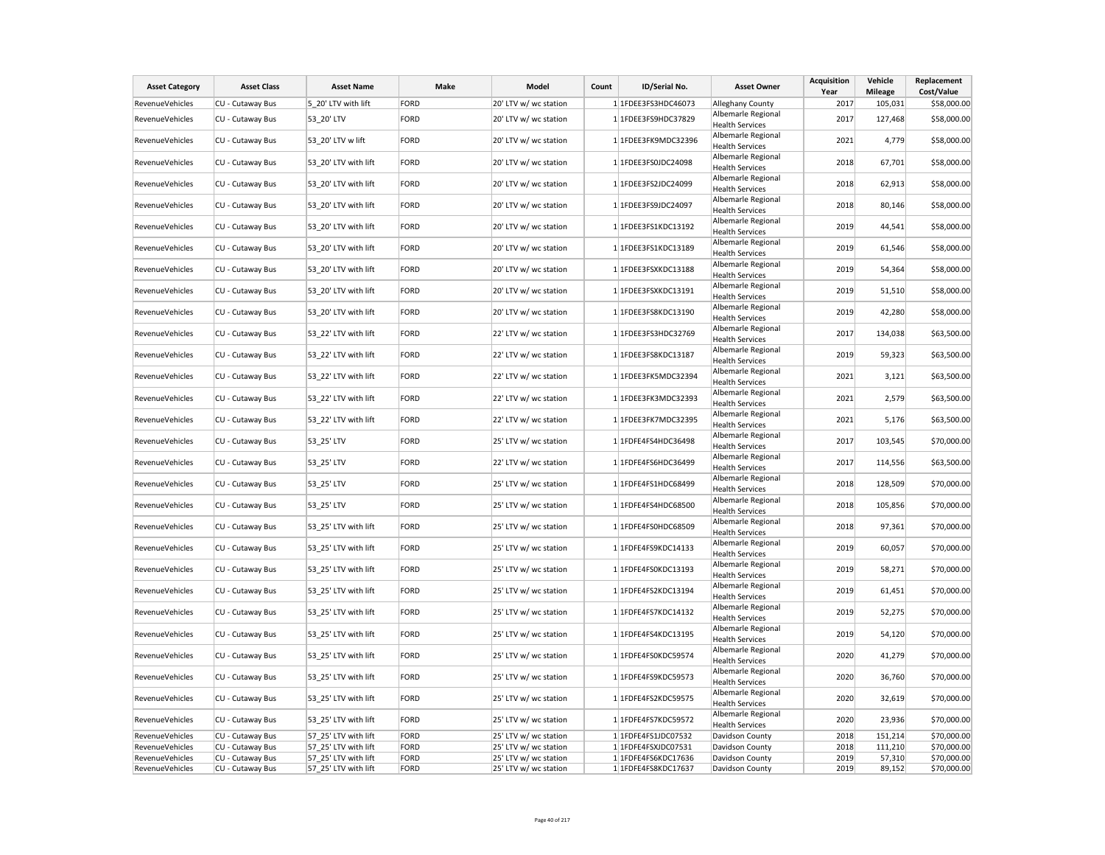| <b>Asset Category</b>  | <b>Asset Class</b> | <b>Asset Name</b>    | Make | Model                 | Count | ID/Serial No.       | <b>Asset Owner</b>                           | Acquisition<br>Year | Vehicle<br><b>Mileage</b> | Replacement<br>Cost/Value |
|------------------------|--------------------|----------------------|------|-----------------------|-------|---------------------|----------------------------------------------|---------------------|---------------------------|---------------------------|
| RevenueVehicles        | CU - Cutaway Bus   | 5 20' LTV with lift  | FORD | 20' LTV w/ wc station |       | 1 1FDEE3FS3HDC46073 | Alleghany County                             | 2017                | 105,031                   | \$58,000.00               |
| RevenueVehicles        | CU - Cutaway Bus   | 53 20' LTV           | FORD | 20' LTV w/ wc station |       | 1 1FDEE3FS9HDC37829 | Albemarle Regional<br><b>Health Services</b> | 2017                | 127,468                   | \$58,000.00               |
| RevenueVehicles        | CU - Cutaway Bus   | 53_20' LTV w lift    | FORD | 20' LTV w/ wc station |       | 1 1FDEE3FK9MDC32396 | Albemarle Regional<br><b>Health Services</b> | 2021                | 4,779                     | \$58,000.00               |
| RevenueVehicles        | CU - Cutaway Bus   | 53 20' LTV with lift | FORD | 20' LTV w/ wc station |       | 1 1FDEE3FS0JDC24098 | Albemarle Regional<br><b>Health Services</b> | 2018                | 67,701                    | \$58,000.00               |
| RevenueVehicles        | CU - Cutaway Bus   | 53 20' LTV with lift | FORD | 20' LTV w/ wc station |       | 1 1FDEE3FS2JDC24099 | Albemarle Regional<br><b>Health Services</b> | 2018                | 62,913                    | \$58,000.00               |
| RevenueVehicles        | CU - Cutaway Bus   | 53 20' LTV with lift | FORD | 20' LTV w/ wc station |       | 1 1FDEE3FS9JDC24097 | Albemarle Regional<br><b>Health Services</b> | 2018                | 80,146                    | \$58,000.00               |
| RevenueVehicles        | CU - Cutaway Bus   | 53 20' LTV with lift | FORD | 20' LTV w/ wc station |       | 1 1FDEE3FS1KDC13192 | Albemarle Regional<br><b>Health Services</b> | 2019                | 44,541                    | \$58,000.00               |
| RevenueVehicles        | CU - Cutaway Bus   | 53 20' LTV with lift | FORD | 20' LTV w/ wc station |       | 1 1FDEE3FS1KDC13189 | Albemarle Regional<br><b>Health Services</b> | 2019                | 61,546                    | \$58,000.00               |
| RevenueVehicles        | CU - Cutaway Bus   | 53 20' LTV with lift | FORD | 20' LTV w/ wc station |       | 1 1FDEE3FSXKDC13188 | Albemarle Regional<br><b>Health Services</b> | 2019                | 54,364                    | \$58,000.00               |
| RevenueVehicles        | CU - Cutaway Bus   | 53 20' LTV with lift | FORD | 20' LTV w/ wc station |       | 1 1FDEE3FSXKDC13191 | Albemarle Regional<br><b>Health Services</b> | 2019                | 51,510                    | \$58,000.00               |
| RevenueVehicles        | CU - Cutaway Bus   | 53 20' LTV with lift | FORD | 20' LTV w/ wc station |       | 1 1FDEE3FS8KDC13190 | Albemarle Regional<br><b>Health Services</b> | 2019                | 42,280                    | \$58,000.00               |
| RevenueVehicles        | CU - Cutaway Bus   | 53 22' LTV with lift | FORD | 22' LTV w/ wc station |       | 1 1FDEE3FS3HDC32769 | Albemarle Regional<br><b>Health Services</b> | 2017                | 134,038                   | \$63,500.00               |
| RevenueVehicles        | CU - Cutaway Bus   | 53 22' LTV with lift | FORD | 22' LTV w/ wc station |       | 1 1FDEE3FS8KDC13187 | Albemarle Regional<br><b>Health Services</b> | 2019                | 59,323                    | \$63,500.00               |
| RevenueVehicles        | CU - Cutaway Bus   | 53_22' LTV with lift | FORD | 22' LTV w/ wc station |       | 1 1FDEE3FK5MDC32394 | Albemarle Regional<br><b>Health Services</b> | 2021                | 3,121                     | \$63,500.00               |
| <b>RevenueVehicles</b> | CU - Cutaway Bus   | 53 22' LTV with lift | FORD | 22' LTV w/ wc station |       | 1 1FDEE3FK3MDC32393 | Albemarle Regional<br><b>Health Services</b> | 2021                | 2,579                     | \$63,500.00               |
| RevenueVehicles        | CU - Cutaway Bus   | 53 22' LTV with lift | FORD | 22' LTV w/ wc station |       | 1 1FDEE3FK7MDC32395 | Albemarle Regional<br><b>Health Services</b> | 2021                | 5,176                     | \$63,500.00               |
| RevenueVehicles        | CU - Cutaway Bus   | 53 25' LTV           | FORD | 25' LTV w/ wc station |       | 1 1FDFE4FS4HDC36498 | Albemarle Regional<br><b>Health Services</b> | 2017                | 103,545                   | \$70,000.00               |
| RevenueVehicles        | CU - Cutaway Bus   | 53_25' LTV           | FORD | 22' LTV w/ wc station |       | 1 1FDFE4FS6HDC36499 | Albemarle Regional<br><b>Health Services</b> | 2017                | 114,556                   | \$63,500.00               |
| RevenueVehicles        | CU - Cutaway Bus   | 53 25' LTV           | FORD | 25' LTV w/ wc station |       | 1 1FDFE4FS1HDC68499 | Albemarle Regional<br><b>Health Services</b> | 2018                | 128,509                   | \$70,000.00               |
| RevenueVehicles        | CU - Cutaway Bus   | 53 25' LTV           | FORD | 25' LTV w/ wc station |       | 1 1FDFE4FS4HDC68500 | Albemarle Regional<br><b>Health Services</b> | 2018                | 105,856                   | \$70,000.00               |
| RevenueVehicles        | CU - Cutaway Bus   | 53_25' LTV with lift | FORD | 25' LTV w/ wc station |       | 1 1FDFE4FS0HDC68509 | Albemarle Regional<br><b>Health Services</b> | 2018                | 97,361                    | \$70,000.00               |
| RevenueVehicles        | CU - Cutaway Bus   | 53 25' LTV with lift | FORD | 25' LTV w/ wc station |       | 1 1FDFE4FS9KDC14133 | Albemarle Regional<br><b>Health Services</b> | 2019                | 60,057                    | \$70,000.00               |
| RevenueVehicles        | CU - Cutaway Bus   | 53 25' LTV with lift | FORD | 25' LTV w/ wc station |       | 1 1FDFE4FS0KDC13193 | Albemarle Regional<br><b>Health Services</b> | 2019                | 58,271                    | \$70,000.00               |
| RevenueVehicles        | CU - Cutaway Bus   | 53 25' LTV with lift | FORD | 25' LTV w/ wc station |       | 1 1FDFE4FS2KDC13194 | Albemarle Regional<br><b>Health Services</b> | 2019                | 61,451                    | \$70,000.00               |
| RevenueVehicles        | CU - Cutaway Bus   | 53 25' LTV with lift | FORD | 25' LTV w/ wc station |       | 1 1FDFE4FS7KDC14132 | Albemarle Regional<br><b>Health Services</b> | 2019                | 52,275                    | \$70,000.00               |
| RevenueVehicles        | CU - Cutaway Bus   | 53 25' LTV with lift | FORD | 25' LTV w/ wc station |       | 1 1FDFE4FS4KDC13195 | Albemarle Regional<br><b>Health Services</b> | 2019                | 54,120                    | \$70,000.00               |
| RevenueVehicles        | CU - Cutaway Bus   | 53 25' LTV with lift | FORD | 25' LTV w/ wc station |       | 1 1FDFE4FS0KDC59574 | Albemarle Regional<br><b>Health Services</b> | 2020                | 41,279                    | \$70,000.00               |
| RevenueVehicles        | CU - Cutaway Bus   | 53_25' LTV with lift | FORD | 25' LTV w/ wc station |       | 1 1FDFE4FS9KDC59573 | Albemarle Regional<br><b>Health Services</b> | 2020                | 36,760                    | \$70,000.00               |
| RevenueVehicles        | CU - Cutaway Bus   | 53 25' LTV with lift | FORD | 25' LTV w/ wc station |       | 1 1FDFE4FS2KDC59575 | Albemarle Regional<br><b>Health Services</b> | 2020                | 32,619                    | \$70,000.00               |
| RevenueVehicles        | CU - Cutaway Bus   | 53 25' LTV with lift | FORD | 25' LTV w/ wc station |       | 1 1FDFE4FS7KDC59572 | Albemarle Regional<br><b>Health Services</b> | 2020                | 23,936                    | \$70,000.00               |
| RevenueVehicles        | CU - Cutaway Bus   | 57 25' LTV with lift | FORD | 25' LTV w/ wc station |       | 1 1FDFE4FS1JDC07532 | Davidson County                              | 2018                | 151,214                   | \$70,000.00               |
| RevenueVehicles        | CU - Cutaway Bus   | 57 25' LTV with lift | FORD | 25' LTV w/ wc station |       | 1 1FDFE4FSXJDC07531 | Davidson County                              | 2018                | 111,210                   | \$70,000.00               |
| RevenueVehicles        | CU - Cutaway Bus   | 57 25' LTV with lift | FORD | 25' LTV w/ wc station |       | 1 1FDFE4FS6KDC17636 | Davidson County                              | 2019                | 57,310                    | \$70,000.00               |
| RevenueVehicles        | CU - Cutaway Bus   | 57 25' LTV with lift | FORD | 25' LTV w/ wc station |       | 1 1FDFE4FS8KDC17637 | Davidson County                              | 2019                | 89,152                    | \$70,000.00               |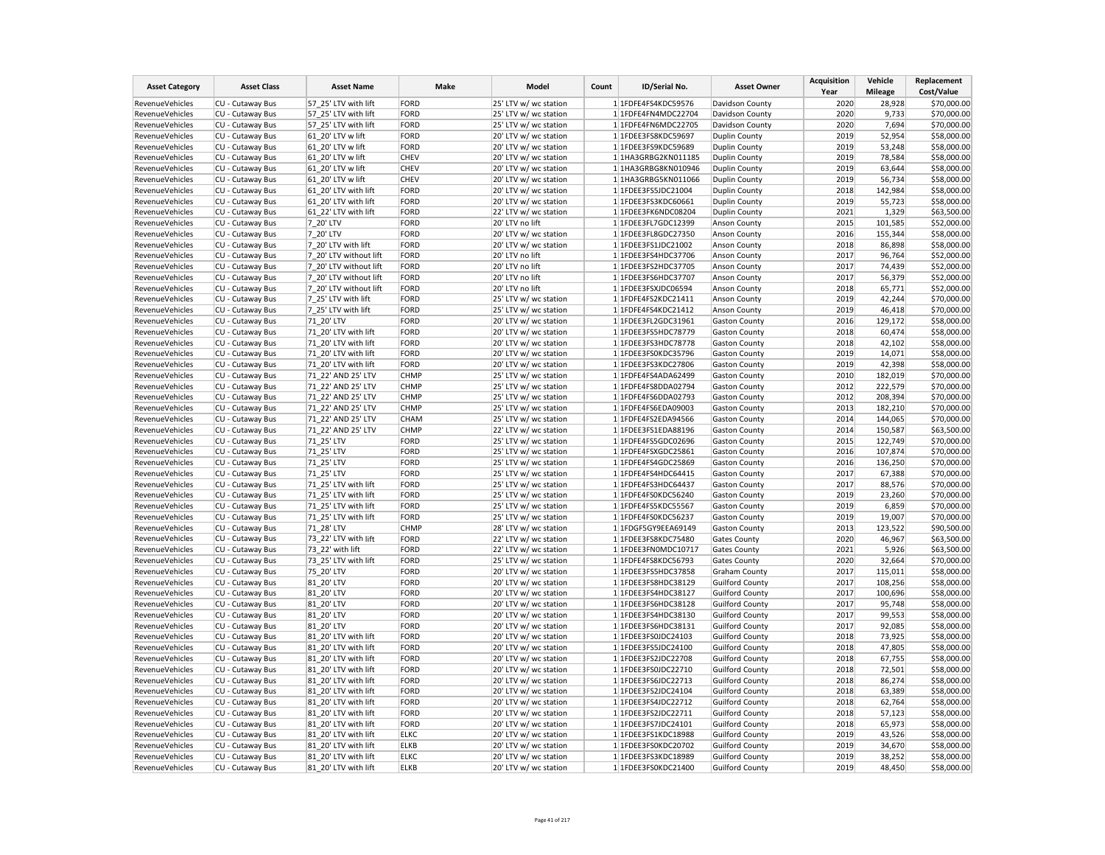| <b>Asset Category</b>  | <b>Asset Class</b> | <b>Asset Name</b>      | Make        | Model                 | Count | ID/Serial No.       | <b>Asset Owner</b>     | <b>Acquisition</b><br>Year | Vehicle<br><b>Mileage</b> | Replacement<br>Cost/Value |
|------------------------|--------------------|------------------------|-------------|-----------------------|-------|---------------------|------------------------|----------------------------|---------------------------|---------------------------|
| RevenueVehicles        | CU - Cutaway Bus   | 57 25' LTV with lift   | <b>FORD</b> | 25' LTV w/ wc station |       | 1 1FDFE4FS4KDC59576 | Davidson County        | 2020                       | 28,928                    | \$70,000.00               |
| RevenueVehicles        | CU - Cutaway Bus   | 57 25' LTV with lift   | FORD        | 25' LTV w/ wc station |       | 1 1FDFE4FN4MDC22704 | Davidson County        | 2020                       | 9,733                     | \$70,000.00               |
| RevenueVehicles        | CU - Cutaway Bus   | 57_25' LTV with lift   | FORD        | 25' LTV w/ wc station |       | 1 1FDFE4FN6MDC22705 | Davidson County        | 2020                       | 7,694                     | \$70,000.00               |
| RevenueVehicles        | CU - Cutaway Bus   | 61 20' LTV w lift      | FORD        | 20' LTV w/ wc station |       | 1 1FDEE3FS8KDC59697 | <b>Duplin County</b>   | 2019                       | 52,954                    | \$58,000.00               |
| RevenueVehicles        | CU - Cutaway Bus   | 61 20' LTV w lift      | FORD        | 20' LTV w/ wc station |       | 1 1FDEE3FS9KDC59689 | <b>Duplin County</b>   | 2019                       | 53,248                    | \$58,000.00               |
| RevenueVehicles        | CU - Cutaway Bus   | 61 20' LTV w lift      | <b>CHEV</b> | 20' LTV w/ wc station |       | 1 1HA3GRBG2KN011185 | <b>Duplin County</b>   | 2019                       | 78,584                    | \$58,000.00               |
| <b>RevenueVehicles</b> | CU - Cutaway Bus   | 61 20' LTV w lift      | <b>CHEV</b> | 20' LTV w/ wc station |       | 1 1HA3GRBG8KN010946 | Duplin County          | 2019                       | 63,644                    | \$58,000.00               |
| RevenueVehicles        | CU - Cutaway Bus   | 61 20' LTV w lift      | <b>CHEV</b> | 20' LTV w/ wc station |       | 1 1HA3GRBG5KN011066 | <b>Duplin County</b>   | 2019                       | 56,734                    | \$58,000.00               |
| RevenueVehicles        | CU - Cutaway Bus   | 61_20' LTV with lift   | FORD        | 20' LTV w/ wc station |       | 1 1FDEE3FS5JDC21004 | Duplin County          | 2018                       | 142,984                   | \$58,000.00               |
| RevenueVehicles        | CU - Cutaway Bus   | 61 20' LTV with lift   | FORD        | 20' LTV w/ wc station |       | 1 1FDEE3FS3KDC60661 | <b>Duplin County</b>   | 2019                       | 55,723                    | \$58,000.00               |
| RevenueVehicles        | CU - Cutaway Bus   | 61 22' LTV with lift   | FORD        | 22' LTV w/ wc station |       | 1 1FDEE3FK6NDC08204 | <b>Duplin County</b>   | 2021                       | 1,329                     | \$63,500.00               |
| RevenueVehicles        | CU - Cutaway Bus   | 7 20' LTV              | FORD        | 20' LTV no lift       |       | 1 1FDEE3FL7GDC12399 | <b>Anson County</b>    | 2015                       | 101,585                   | \$52,000.00               |
| RevenueVehicles        | CU - Cutaway Bus   | 7 20' LTV              | FORD        | 20' LTV w/ wc station |       | 1 1FDEE3FL8GDC27350 | Anson County           | 2016                       | 155,344                   | \$58,000.00               |
| RevenueVehicles        | CU - Cutaway Bus   | 7 20' LTV with lift    | FORD        | 20' LTV w/ wc station |       | 1 1FDEE3FS1JDC21002 | <b>Anson County</b>    | 2018                       | 86,898                    | \$58,000.00               |
| RevenueVehicles        | CU - Cutaway Bus   | 7 20' LTV without lift | FORD        | 20' LTV no lift       |       | 1 1FDEE3FS4HDC37706 | Anson County           | 2017                       | 96,764                    | \$52,000.00               |
| RevenueVehicles        | CU - Cutaway Bus   | 7 20' LTV without lift | FORD        | 20' LTV no lift       |       | 1 1FDEE3FS2HDC37705 | Anson County           | 2017                       | 74,439                    | \$52,000.00               |
| RevenueVehicles        | CU - Cutaway Bus   | 7 20' LTV without lift | FORD        | 20' LTV no lift       |       | 1 1FDEE3FS6HDC37707 | <b>Anson County</b>    | 2017                       | 56,379                    | \$52,000.00               |
| RevenueVehicles        | CU - Cutaway Bus   | 7_20' LTV without lift | FORD        | 20' LTV no lift       |       | 1 1FDEE3FSXJDC06594 | Anson County           | 2018                       | 65,771                    | \$52,000.00               |
| RevenueVehicles        | CU - Cutaway Bus   | 7 25' LTV with lift    | FORD        | 25' LTV w/ wc station |       | 1 1FDFE4FS2KDC21411 | Anson County           | 2019                       | 42,244                    | \$70,000.00               |
| RevenueVehicles        | CU - Cutaway Bus   | 7 25' LTV with lift    | FORD        | 25' LTV w/ wc station |       | 1 1FDFE4FS4KDC21412 | <b>Anson County</b>    | 2019                       | 46,418                    | \$70,000.00               |
| RevenueVehicles        | CU - Cutaway Bus   | 71 20' LTV             | FORD        | 20' LTV w/ wc station |       | 1 1FDEE3FL2GDC31961 | <b>Gaston County</b>   | 2016                       | 129,172                   | \$58,000.00               |
| RevenueVehicles        | CU - Cutaway Bus   | 71 20' LTV with lift   | FORD        | 20' LTV w/ wc station |       | 1 1FDEE3FS5HDC78779 | <b>Gaston County</b>   | 2018                       | 60,474                    | \$58,000.00               |
| RevenueVehicles        | CU - Cutaway Bus   | 71 20' LTV with lift   | FORD        | 20' LTV w/ wc station |       | 1 1FDEE3FS3HDC78778 | <b>Gaston County</b>   | 2018                       | 42,102                    | \$58,000.00               |
| RevenueVehicles        | CU - Cutaway Bus   | 71 20' LTV with lift   | FORD        | 20' LTV w/ wc station |       | 1 1FDEE3FS0KDC35796 | <b>Gaston County</b>   | 2019                       | 14,071                    | \$58,000.00               |
| RevenueVehicles        | CU - Cutaway Bus   | 71 20' LTV with lift   | FORD        | 20' LTV w/ wc station |       | 1 1FDEE3FS3KDC27806 | <b>Gaston County</b>   | 2019                       | 42,398                    | \$58,000.00               |
| RevenueVehicles        | CU - Cutaway Bus   | 71 22' AND 25' LTV     | <b>CHMP</b> | 25' LTV w/ wc station |       | 1 1FDFE4FS4ADA62499 | <b>Gaston County</b>   | 2010                       | 182,019                   | \$70,000.00               |
| RevenueVehicles        | CU - Cutaway Bus   | 71 22' AND 25' LTV     | <b>CHMP</b> | 25' LTV w/ wc station |       | 1 1FDFE4FS8DDA02794 | <b>Gaston County</b>   | 2012                       | 222,579                   | \$70,000.00               |
| RevenueVehicles        | CU - Cutaway Bus   | 71 22' AND 25' LTV     | CHMP        | 25' LTV w/ wc station |       | 1 1FDFE4FS6DDA02793 | <b>Gaston County</b>   | 2012                       | 208,394                   | \$70,000.00               |
| RevenueVehicles        | CU - Cutaway Bus   | 71 22' AND 25' LTV     | <b>CHMP</b> | 25' LTV w/ wc station |       | 1 1FDFE4FS6EDA09003 | <b>Gaston County</b>   | 2013                       | 182,210                   | \$70,000.00               |
| RevenueVehicles        | CU - Cutaway Bus   | 71 22' AND 25' LTV     | <b>CHAM</b> | 25' LTV w/ wc station |       | 1 1FDFE4FS2EDA94566 | <b>Gaston County</b>   | 2014                       | 144,065                   | \$70,000.00               |
| RevenueVehicles        | CU - Cutaway Bus   | 71 22' AND 25' LTV     | <b>CHMP</b> | 22' LTV w/ wc station |       | 1 1FDEE3FS1EDA88196 | <b>Gaston County</b>   | 2014                       | 150,587                   | \$63,500.00               |
| RevenueVehicles        | CU - Cutaway Bus   | 71 25' LTV             | FORD        | 25' LTV w/ wc station |       | 1 1FDFE4FS5GDC02696 | <b>Gaston County</b>   | 2015                       | 122,749                   | \$70,000.00               |
| RevenueVehicles        | CU - Cutaway Bus   | 71_25' LTV             | FORD        | 25' LTV w/ wc station |       | 1 1FDFE4FSXGDC25861 | <b>Gaston County</b>   | 2016                       | 107,874                   | \$70,000.00               |
| RevenueVehicles        | CU - Cutaway Bus   | 71 25' LTV             | FORD        | 25' LTV w/ wc station |       | 1 1FDFE4FS4GDC25869 | <b>Gaston County</b>   | 2016                       | 136,250                   | \$70,000.00               |
| RevenueVehicles        | CU - Cutaway Bus   | 71 25' LTV             | FORD        | 25' LTV w/ wc station |       | 1 1FDFE4FS4HDC64415 | <b>Gaston County</b>   | 2017                       | 67,388                    | \$70,000.00               |
| RevenueVehicles        | CU - Cutaway Bus   | 71 25' LTV with lift   | FORD        | 25' LTV w/ wc station |       | 1 1FDFE4FS3HDC64437 | <b>Gaston County</b>   | 2017                       | 88,576                    | \$70,000.00               |
| RevenueVehicles        | CU - Cutaway Bus   | 71 25' LTV with lift   | FORD        | 25' LTV w/ wc station |       | 1 1FDFE4FS0KDC56240 | <b>Gaston County</b>   | 2019                       | 23,260                    | \$70,000.00               |
| RevenueVehicles        | CU - Cutaway Bus   | 71 25' LTV with lift   | FORD        | 25' LTV w/ wc station |       | 1 1FDFE4FS5KDC55567 | <b>Gaston County</b>   | 2019                       | 6,859                     | \$70,000.00               |
| RevenueVehicles        | CU - Cutaway Bus   | 71 25' LTV with lift   | FORD        | 25' LTV w/ wc station |       | 1 1FDFE4FS0KDC56237 | <b>Gaston County</b>   | 2019                       | 19,007                    | \$70,000.00               |
| RevenueVehicles        | CU - Cutaway Bus   | 71 28' LTV             | <b>CHMP</b> | 28' LTV w/ wc station |       | 1 1FDGF5GY9EEA69149 | <b>Gaston County</b>   | 2013                       | 123,522                   | \$90,500.00               |
| RevenueVehicles        | CU - Cutaway Bus   | 73_22' LTV with lift   | FORD        | 22' LTV w/ wc station |       | 1 1FDEE3FS8KDC75480 | <b>Gates County</b>    | 2020                       | 46,967                    | \$63,500.00               |
| RevenueVehicles        | CU - Cutaway Bus   | 73 22' with lift       | FORD        | 22' LTV w/ wc station |       | 1 1FDEE3FN0MDC10717 | <b>Gates County</b>    | 2021                       | 5,926                     | \$63,500.00               |
| RevenueVehicles        | CU - Cutaway Bus   | 73_25' LTV with lift   | FORD        | 25' LTV w/ wc station |       | 1 1FDFE4FS8KDC56793 | <b>Gates County</b>    | 2020                       | 32,664                    | \$70,000.00               |
| RevenueVehicles        | CU - Cutaway Bus   | 75 20' LTV             | FORD        | 20' LTV w/ wc station |       | 1 1FDEE3FS5HDC37858 | <b>Graham County</b>   | 2017                       | 115,011                   | \$58,000.00               |
| RevenueVehicles        | CU - Cutaway Bus   | 81_20' LTV             | FORD        | 20' LTV w/ wc station |       | 1 1FDEE3FS8HDC38129 | <b>Guilford County</b> | 2017                       | 108,256                   | \$58,000.00               |
| RevenueVehicles        | CU - Cutaway Bus   | 81 20' LTV             | FORD        | 20' LTV w/ wc station |       | 1 1FDEE3FS4HDC38127 | <b>Guilford County</b> | 2017                       | 100,696                   | \$58,000.00               |
| RevenueVehicles        | CU - Cutaway Bus   | 81 20' LTV             | FORD        | 20' LTV w/ wc station |       | 1 1FDEE3FS6HDC38128 | <b>Guilford County</b> | 2017                       | 95,748                    | \$58,000.00               |
| RevenueVehicles        | CU - Cutaway Bus   | 81 20' LTV             | FORD        | 20' LTV w/ wc station |       | 1 1FDEE3FS4HDC38130 | <b>Guilford County</b> | 2017                       | 99,553                    | \$58,000.00               |
| RevenueVehicles        | CU - Cutaway Bus   | 81 20' LTV             | FORD        | 20' LTV w/ wc station |       | 1 1FDEE3FS6HDC38131 | <b>Guilford County</b> | 2017                       | 92,085                    | \$58,000.00               |
| RevenueVehicles        | CU - Cutaway Bus   | 81 20' LTV with lift   | FORD        | 20' LTV w/ wc station |       | 1 1FDEE3FS0JDC24103 | <b>Guilford County</b> | 2018                       | 73,925                    | \$58,000.00               |
| RevenueVehicles        | CU - Cutaway Bus   | 81 20' LTV with lift   | FORD        | 20' LTV w/ wc station |       | 1 1FDEE3FS5JDC24100 | <b>Guilford County</b> | 2018                       | 47,805                    | \$58,000.00               |
| RevenueVehicles        | CU - Cutaway Bus   | 81 20' LTV with lift   | FORD        | 20' LTV w/ wc station |       | 1 1FDEE3FS2JDC22708 | <b>Guilford County</b> | 2018                       | 67,755                    | \$58,000.00               |
| RevenueVehicles        | CU - Cutaway Bus   | 81 20' LTV with lift   | FORD        | 20' LTV w/ wc station |       | 1 1FDEE3FS0JDC22710 | <b>Guilford County</b> | 2018                       | 72,501                    | \$58,000.00               |
| RevenueVehicles        | CU - Cutaway Bus   | 81 20' LTV with lift   | FORD        | 20' LTV w/ wc station |       | 1 1FDEE3FS6JDC22713 | <b>Guilford County</b> | 2018                       | 86,274                    | \$58,000.00               |
| RevenueVehicles        | CU - Cutaway Bus   | 81 20' LTV with lift   | FORD        | 20' LTV w/ wc station |       | 1 1FDEE3FS2JDC24104 | <b>Guilford County</b> | 2018                       | 63,389                    | \$58,000.00               |
| RevenueVehicles        | CU - Cutaway Bus   | 81 20' LTV with lift   | FORD        | 20' LTV w/ wc station |       | 1 1FDEE3FS4JDC22712 | <b>Guilford County</b> | 2018                       | 62,764                    | \$58,000.00               |
| RevenueVehicles        | CU - Cutaway Bus   | 81 20' LTV with lift   | FORD        | 20' LTV w/ wc station |       | 1 1FDEE3FS2JDC22711 | <b>Guilford County</b> | 2018                       | 57,123                    | \$58,000.00               |
| RevenueVehicles        | CU - Cutaway Bus   | 81 20' LTV with lift   | FORD        | 20' LTV w/ wc station |       | 1 1FDEE3FS7JDC24101 | <b>Guilford County</b> | 2018                       | 65,973                    | \$58,000.00               |
| RevenueVehicles        | CU - Cutaway Bus   | 81 20' LTV with lift   | <b>ELKC</b> | 20' LTV w/ wc station |       | 1 1FDEE3FS1KDC18988 | <b>Guilford County</b> | 2019                       | 43,526                    | \$58,000.00               |
| RevenueVehicles        | CU - Cutaway Bus   | 81 20' LTV with lift   | <b>ELKB</b> | 20' LTV w/ wc station |       | 1 1FDEE3FS0KDC20702 | <b>Guilford County</b> | 2019                       | 34,670                    | \$58,000.00               |
| RevenueVehicles        | CU - Cutaway Bus   | 81 20' LTV with lift   | <b>ELKC</b> | 20' LTV w/ wc station |       | 1 1FDEE3FS3KDC18989 | <b>Guilford County</b> | 2019                       | 38,252                    | \$58,000.00               |
| RevenueVehicles        | CU - Cutaway Bus   | 81 20' LTV with lift   | <b>ELKB</b> | 20' LTV w/ wc station |       | 1 1FDEE3FS0KDC21400 | <b>Guilford County</b> | 2019                       | 48,450                    | \$58,000.00               |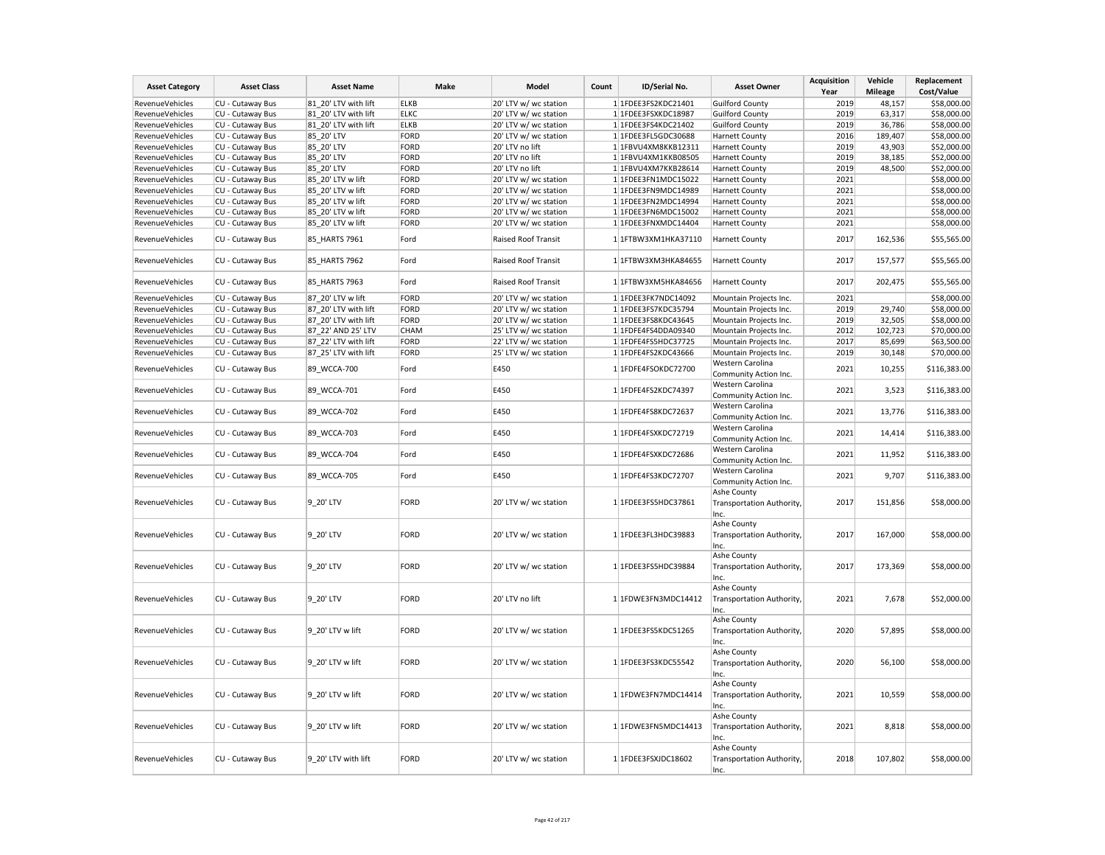| <b>Asset Category</b>  | <b>Asset Class</b> | <b>Asset Name</b>    | Make        | Model                 | Count | ID/Serial No.       | <b>Asset Owner</b>                        | <b>Acquisition</b><br>Year | Vehicle<br><b>Mileage</b> | Replacement<br>Cost/Value |
|------------------------|--------------------|----------------------|-------------|-----------------------|-------|---------------------|-------------------------------------------|----------------------------|---------------------------|---------------------------|
| RevenueVehicles        | CU - Cutaway Bus   | 81 20' LTV with lift | <b>ELKB</b> | 20' LTV w/ wc station |       | 1 1FDEE3FS2KDC21401 | <b>Guilford County</b>                    | 2019                       | 48,157                    | \$58,000.00               |
| <b>RevenueVehicles</b> | CU - Cutaway Bus   | 81 20' LTV with lift | <b>ELKC</b> | 20' LTV w/ wc station |       | 1 1FDEE3FSXKDC18987 | <b>Guilford County</b>                    | 2019                       | 63,317                    | \$58,000.00               |
| RevenueVehicles        | CU - Cutaway Bus   | 81_20' LTV with lift | <b>ELKB</b> | 20' LTV w/ wc station |       | 1 1FDEE3FS4KDC21402 | <b>Guilford County</b>                    | 2019                       | 36,786                    | \$58,000.00               |
| RevenueVehicles        | CU - Cutaway Bus   | 85 20' LTV           | <b>FORD</b> | 20' LTV w/ wc station |       | 1 1FDEE3FL5GDC30688 | <b>Harnett County</b>                     | 2016                       | 189,407                   | \$58,000.00               |
| <b>RevenueVehicles</b> | CU - Cutaway Bus   | 85 20' LTV           | <b>FORD</b> | 20' LTV no lift       |       | 1 1FBVU4XM8KKB12311 | <b>Harnett County</b>                     | 2019                       | 43,903                    | \$52,000.00               |
| RevenueVehicles        | CU - Cutaway Bus   | 85 20' LTV           | <b>FORD</b> | 20' LTV no lift       |       | 1 1FBVU4XM1KKB08505 | <b>Harnett County</b>                     | 2019                       | 38,185                    | \$52,000.00               |
| <b>RevenueVehicles</b> | CU - Cutaway Bus   | 85 20' LTV           | <b>FORD</b> | 20' LTV no lift       |       | 1 1FBVU4XM7KKB28614 | <b>Harnett County</b>                     | 2019                       | 48,500                    | \$52,000.00               |
| RevenueVehicles        | CU - Cutaway Bus   | 85 20' LTV w lift    | <b>FORD</b> | 20' LTV w/ wc station |       | 1 1FDEE3FN1MDC15022 | <b>Harnett County</b>                     | 2021                       |                           | \$58,000.00               |
| RevenueVehicles        | CU - Cutaway Bus   | 85 20' LTV w lift    | <b>FORD</b> | 20' LTV w/ wc station |       | 1 1FDEE3FN9MDC14989 | <b>Harnett County</b>                     | 2021                       |                           | \$58,000.00               |
| <b>RevenueVehicles</b> | CU - Cutaway Bus   | 85 20' LTV w lift    | <b>FORD</b> | 20' LTV w/ wc station |       | 1 1FDEE3FN2MDC14994 | <b>Harnett County</b>                     | 2021                       |                           | \$58,000.00               |
|                        |                    | 85 20' LTV w lift    | <b>FORD</b> |                       |       |                     |                                           | 2021                       |                           |                           |
| RevenueVehicles        | CU - Cutaway Bus   |                      |             | 20' LTV w/ wc station |       | 1 1FDEE3FN6MDC15002 | <b>Harnett County</b>                     | 2021                       |                           | \$58,000.00               |
| RevenueVehicles        | CU - Cutaway Bus   | 85_20' LTV w lift    | <b>FORD</b> | 20' LTV w/ wc station |       | 1 1FDEE3FNXMDC14404 | <b>Harnett County</b>                     |                            |                           | \$58,000.00               |
| RevenueVehicles        | CU - Cutaway Bus   | 85 HARTS 7961        | Ford        | Raised Roof Transit   |       | 1 1FTBW3XM1HKA37110 | <b>Harnett County</b>                     | 2017                       | 162,536                   | \$55,565.00               |
| <b>RevenueVehicles</b> | CU - Cutaway Bus   | 85 HARTS 7962        | Ford        | Raised Roof Transit   |       | 1 1FTBW3XM3HKA84655 | <b>Harnett County</b>                     | 2017                       | 157,577                   | \$55,565.00               |
| RevenueVehicles        | CU - Cutaway Bus   | 85_HARTS 7963        | Ford        | Raised Roof Transit   |       | 1 1FTBW3XM5HKA84656 | <b>Harnett County</b>                     | 2017                       | 202,475                   | \$55,565.00               |
| RevenueVehicles        | CU - Cutaway Bus   | 87 20' LTV w lift    | <b>FORD</b> | 20' LTV w/ wc station |       | 1 1FDEE3FK7NDC14092 | Mountain Projects Inc.                    | 2021                       |                           | \$58,000.00               |
| <b>RevenueVehicles</b> | CU - Cutaway Bus   | 87 20' LTV with lift | <b>FORD</b> | 20' LTV w/ wc station |       | 1 1FDEE3FS7KDC35794 | Mountain Projects Inc.                    | 2019                       | 29,740                    | \$58,000.00               |
| <b>RevenueVehicles</b> | CU - Cutaway Bus   | 87 20' LTV with lift | <b>FORD</b> | 20' LTV w/ wc station |       | 1 1FDEE3FS8KDC43645 | Mountain Projects Inc.                    | 2019                       | 32,505                    | \$58,000.00               |
| RevenueVehicles        | CU - Cutaway Bus   | 87 22' AND 25' LTV   | CHAM        | 25' LTV w/ wc station |       | 1 1FDFE4FS4DDA09340 | Mountain Projects Inc.                    | 2012                       | 102,723                   | \$70,000.00               |
| <b>RevenueVehicles</b> | CU - Cutaway Bus   | 87 22' LTV with lift | <b>FORD</b> | 22' LTV w/ wc station |       | 1 1FDFE4FS5HDC37725 | Mountain Projects Inc.                    | 2017                       | 85,699                    | \$63,500.00               |
| RevenueVehicles        | CU - Cutaway Bus   | 87 25' LTV with lift | <b>FORD</b> | 25' LTV w/ wc station |       | 1 1FDFE4FS2KDC43666 | Mountain Projects Inc.                    | 2019                       | 30,148                    | \$70,000.00               |
| <b>RevenueVehicles</b> | CU - Cutaway Bus   | 89 WCCA-700          | Ford        | E450                  |       | 1 1FDFE4FSOKDC72700 | Western Carolina<br>Community Action Inc. | 2021                       | 10,255                    | \$116,383.00              |
| RevenueVehicles        | CU - Cutaway Bus   | 89 WCCA-701          | Ford        | E450                  |       | 1 1FDFE4FS2KDC74397 | Western Carolina                          | 2021                       | 3,523                     | \$116,383.00              |
| RevenueVehicles        | CU - Cutaway Bus   | 89 WCCA-702          | Ford        | E450                  |       | 1 1FDFE4FS8KDC72637 | Community Action Inc.<br>Western Carolina | 2021                       | 13,776                    | \$116,383.00              |
|                        |                    |                      |             |                       |       |                     | Community Action Inc.                     |                            |                           |                           |
| RevenueVehicles        | CU - Cutaway Bus   | 89_WCCA-703          | Ford        | E450                  |       | 1 1FDFE4FSXKDC72719 | Western Carolina<br>Community Action Inc. | 2021                       | 14,414                    | \$116,383.00              |
| RevenueVehicles        | CU - Cutaway Bus   | 89 WCCA-704          | Ford        | E450                  |       | 1 1FDFE4FSXKDC72686 | Western Carolina<br>Community Action Inc. | 2021                       | 11,952                    | \$116,383.00              |
| RevenueVehicles        | CU - Cutaway Bus   | 89 WCCA-705          | Ford        | E450                  |       | 1 1FDFE4FS3KDC72707 | Western Carolina                          | 2021                       | 9,707                     | \$116,383.00              |
|                        |                    |                      |             |                       |       |                     | Community Action Inc.<br>Ashe County      |                            |                           |                           |
| RevenueVehicles        | CU - Cutaway Bus   | 9 20' LTV            | <b>FORD</b> | 20' LTV w/ wc station |       | 1 1FDEE3FS5HDC37861 | Transportation Authority,<br>Inc.         | 2017                       | 151,856                   | \$58,000.00               |
|                        |                    |                      |             |                       |       |                     | Ashe County                               |                            |                           |                           |
| <b>RevenueVehicles</b> | CU - Cutaway Bus   | 9 20' LTV            | <b>FORD</b> | 20' LTV w/ wc station |       | 1 1FDEE3FL3HDC39883 | Transportation Authority,<br>Inc.         | 2017                       | 167,000                   | \$58,000.00               |
|                        |                    |                      |             |                       |       |                     | Ashe County                               |                            |                           |                           |
| RevenueVehicles        | CU - Cutaway Bus   | 9 20' LTV            | <b>FORD</b> | 20' LTV w/ wc station |       | 1 1FDEE3FS5HDC39884 | Transportation Authority,<br>Inc.         | 2017                       | 173,369                   | \$58,000.00               |
|                        |                    |                      |             |                       |       |                     | Ashe County                               |                            |                           |                           |
| RevenueVehicles        | CU - Cutaway Bus   | 9 20' LTV            | <b>FORD</b> | 20' LTV no lift       |       | 1 1FDWE3FN3MDC14412 | Transportation Authority,<br>Inc.         | 2021                       | 7,678                     | \$52,000.00               |
|                        |                    |                      |             |                       |       |                     | Ashe County                               |                            |                           |                           |
| RevenueVehicles        | CU - Cutaway Bus   | 9 20' LTV w lift     | <b>FORD</b> | 20' LTV w/ wc station |       | 1 1FDEE3FS5KDC51265 | Transportation Authority,                 | 2020                       | 57,895                    | \$58,000.00               |
|                        |                    |                      |             |                       |       |                     | Inc.<br>Ashe County                       |                            |                           |                           |
| <b>RevenueVehicles</b> | CU - Cutaway Bus   | 9 20' LTV w lift     | <b>FORD</b> | 20' LTV w/ wc station |       | 1 1FDEE3FS3KDC55542 | Transportation Authority,<br>Inc.         | 2020                       | 56,100                    | \$58,000.00               |
| RevenueVehicles        | CU - Cutaway Bus   | 9 20' LTV w lift     | <b>FORD</b> | 20' LTV w/ wc station |       | 1 1FDWE3FN7MDC14414 | Ashe County<br>Transportation Authority,  | 2021                       | 10,559                    | \$58,000.00               |
|                        |                    |                      |             |                       |       |                     | Inc.                                      |                            |                           |                           |
| RevenueVehicles        | CU - Cutaway Bus   | 9 20' LTV w lift     | <b>FORD</b> | 20' LTV w/ wc station |       | 1 1FDWE3FN5MDC14413 | Ashe County<br>Transportation Authority,  | 2021                       | 8,818                     | \$58,000.00               |
|                        |                    |                      |             |                       |       |                     | Inc.                                      |                            |                           |                           |
|                        |                    |                      |             |                       |       |                     | Ashe County                               |                            |                           |                           |
| RevenueVehicles        | CU - Cutaway Bus   | 9 20' LTV with lift  | <b>FORD</b> | 20' LTV w/ wc station |       | 1 1FDEE3FSXJDC18602 | Transportation Authority,                 | 2018                       | 107,802                   | \$58,000.00               |
|                        |                    |                      |             |                       |       |                     | Inc.                                      |                            |                           |                           |
|                        |                    |                      |             |                       |       |                     |                                           |                            |                           |                           |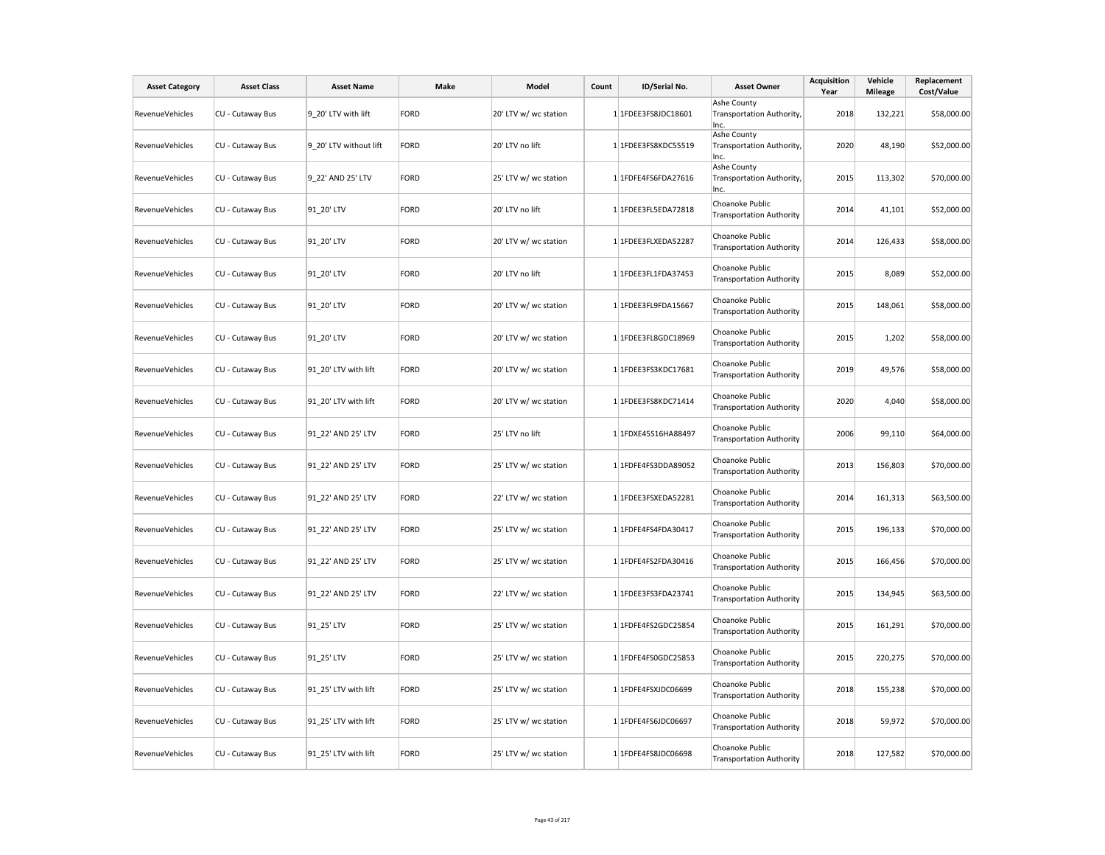| <b>Asset Category</b>  | <b>Asset Class</b> | <b>Asset Name</b>      | Make        | Model                 | Count | ID/Serial No.       | <b>Asset Owner</b>                                 | <b>Acquisition</b><br>Year | Vehicle<br><b>Mileage</b> | Replacement<br>Cost/Value |
|------------------------|--------------------|------------------------|-------------|-----------------------|-------|---------------------|----------------------------------------------------|----------------------------|---------------------------|---------------------------|
| <b>RevenueVehicles</b> | CU - Cutaway Bus   | 9 20' LTV with lift    | <b>FORD</b> | 20' LTV w/ wc station |       | 1 1FDEE3FS8JDC18601 | Ashe County<br>Transportation Authority,<br>Inc.   | 2018                       | 132,221                   | \$58,000.00               |
| RevenueVehicles        | CU - Cutaway Bus   | 9 20' LTV without lift | <b>FORD</b> | 20' LTV no lift       |       | 1 1FDEE3FS8KDC55519 | Ashe County<br>Transportation Authority,<br>Inc.   | 2020                       | 48,190                    | \$52,000.00               |
| RevenueVehicles        | CU - Cutaway Bus   | 9_22' AND 25' LTV      | <b>FORD</b> | 25' LTV w/ wc station |       | 1 1FDFE4FS6FDA27616 | Ashe County<br>Transportation Authority,<br>Inc.   | 2015                       | 113,302                   | \$70,000.00               |
| RevenueVehicles        | CU - Cutaway Bus   | 91 20' LTV             | <b>FORD</b> | 20' LTV no lift       |       | 1 1FDEE3FL5EDA72818 | Choanoke Public<br><b>Transportation Authority</b> | 2014                       | 41,101                    | \$52,000.00               |
| RevenueVehicles        | CU - Cutaway Bus   | 91 20' LTV             | <b>FORD</b> | 20' LTV w/ wc station |       | 1 1FDEE3FLXEDA52287 | Choanoke Public<br><b>Transportation Authority</b> | 2014                       | 126,433                   | \$58,000.00               |
| <b>RevenueVehicles</b> | CU - Cutaway Bus   | 91 20' LTV             | <b>FORD</b> | 20' LTV no lift       |       | 1 1FDEE3FL1FDA37453 | Choanoke Public<br><b>Transportation Authority</b> | 2015                       | 8,089                     | \$52,000.00               |
| RevenueVehicles        | CU - Cutaway Bus   | 91 20' LTV             | <b>FORD</b> | 20' LTV w/ wc station |       | 1 1FDEE3FL9FDA15667 | Choanoke Public<br><b>Transportation Authority</b> | 2015                       | 148,061                   | \$58,000.00               |
| RevenueVehicles        | CU - Cutaway Bus   | 91 20' LTV             | <b>FORD</b> | 20' LTV w/ wc station |       | 1 1FDEE3FL8GDC18969 | Choanoke Public<br><b>Transportation Authority</b> | 2015                       | 1,202                     | \$58,000.00               |
| RevenueVehicles        | CU - Cutaway Bus   | 91 20' LTV with lift   | <b>FORD</b> | 20' LTV w/ wc station |       | 1 1FDEE3FS3KDC17681 | Choanoke Public<br><b>Transportation Authority</b> | 2019                       | 49,576                    | \$58,000.00               |
| RevenueVehicles        | CU - Cutaway Bus   | 91 20' LTV with lift   | <b>FORD</b> | 20' LTV w/ wc station |       | 1 1FDEE3FS8KDC71414 | Choanoke Public<br><b>Transportation Authority</b> | 2020                       | 4,040                     | \$58,000.00               |
| <b>RevenueVehicles</b> | CU - Cutaway Bus   | 91 22' AND 25' LTV     | <b>FORD</b> | 25' LTV no lift       |       | 1 1FDXE45S16HA88497 | Choanoke Public<br><b>Transportation Authority</b> | 2006                       | 99,110                    | \$64,000.00               |
| RevenueVehicles        | CU - Cutaway Bus   | 91 22' AND 25' LTV     | <b>FORD</b> | 25' LTV w/ wc station |       | 1 1FDFE4FS3DDA89052 | Choanoke Public<br><b>Transportation Authority</b> | 2013                       | 156,803                   | \$70,000.00               |
| RevenueVehicles        | CU - Cutaway Bus   | 91 22' AND 25' LTV     | <b>FORD</b> | 22' LTV w/ wc station |       | 1 1FDEE3FSXEDA52281 | Choanoke Public<br><b>Transportation Authority</b> | 2014                       | 161,313                   | \$63,500.00               |
| RevenueVehicles        | CU - Cutaway Bus   | 91 22' AND 25' LTV     | <b>FORD</b> | 25' LTV w/ wc station |       | 1 1FDFE4FS4FDA30417 | Choanoke Public<br><b>Transportation Authority</b> | 2015                       | 196,133                   | \$70,000.00               |
| RevenueVehicles        | CU - Cutaway Bus   | 91 22' AND 25' LTV     | <b>FORD</b> | 25' LTV w/ wc station |       | 1 1FDFE4FS2FDA30416 | Choanoke Public<br><b>Transportation Authority</b> | 2015                       | 166,456                   | \$70,000.00               |
| <b>RevenueVehicles</b> | CU - Cutaway Bus   | 91 22' AND 25' LTV     | <b>FORD</b> | 22' LTV w/ wc station |       | 1 1FDEE3FS3FDA23741 | Choanoke Public<br><b>Transportation Authority</b> | 2015                       | 134,945                   | \$63,500.00               |
| RevenueVehicles        | CU - Cutaway Bus   | 91 25' LTV             | <b>FORD</b> | 25' LTV w/ wc station |       | 1 1FDFE4FS2GDC25854 | Choanoke Public<br><b>Transportation Authority</b> | 2015                       | 161,291                   | \$70,000.00               |
| RevenueVehicles        | CU - Cutaway Bus   | 91 25' LTV             | <b>FORD</b> | 25' LTV w/ wc station |       | 1 1FDFE4FS0GDC25853 | Choanoke Public<br><b>Transportation Authority</b> | 2015                       | 220,275                   | \$70,000.00               |
| RevenueVehicles        | CU - Cutaway Bus   | 91 25' LTV with lift   | <b>FORD</b> | 25' LTV w/ wc station |       | 1 1FDFE4FSXJDC06699 | Choanoke Public<br><b>Transportation Authority</b> | 2018                       | 155,238                   | \$70,000.00               |
| RevenueVehicles        | CU - Cutaway Bus   | 91 25' LTV with lift   | <b>FORD</b> | 25' LTV w/ wc station |       | 1 1FDFE4FS6JDC06697 | Choanoke Public<br><b>Transportation Authority</b> | 2018                       | 59,972                    | \$70,000.00               |
| <b>RevenueVehicles</b> | CU - Cutaway Bus   | 91 25' LTV with lift   | <b>FORD</b> | 25' LTV w/ wc station |       | 1 1FDFE4FS8JDC06698 | Choanoke Public<br><b>Transportation Authority</b> | 2018                       | 127,582                   | \$70,000.00               |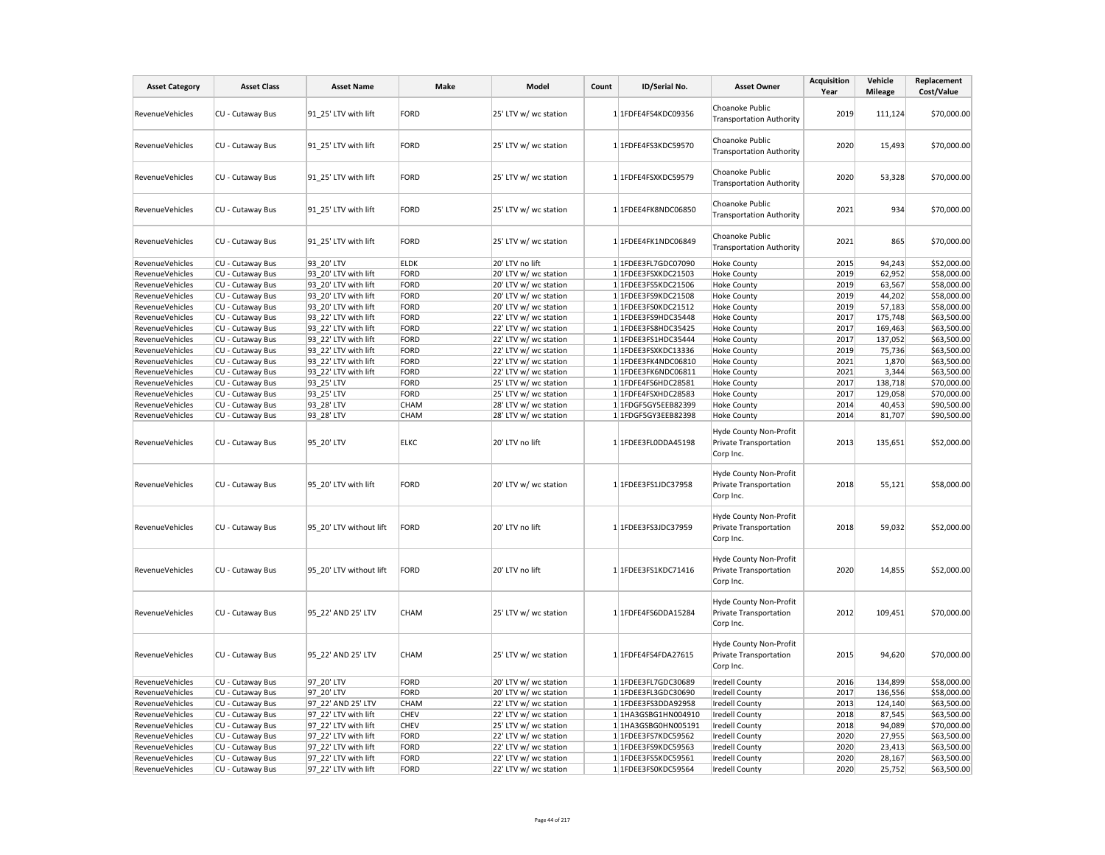| <b>Asset Category</b>  | <b>Asset Class</b> | <b>Asset Name</b>       | Make        | Model                 | Count | ID/Serial No.       | <b>Asset Owner</b>                                            | Acquisition<br>Year | Vehicle<br><b>Mileage</b> | Replacement<br>Cost/Value |
|------------------------|--------------------|-------------------------|-------------|-----------------------|-------|---------------------|---------------------------------------------------------------|---------------------|---------------------------|---------------------------|
| <b>RevenueVehicles</b> | CU - Cutaway Bus   | 91 25' LTV with lift    | FORD        | 25' LTV w/ wc station |       | 1 1FDFE4FS4KDC09356 | Choanoke Public<br><b>Transportation Authority</b>            | 2019                | 111,124                   | \$70,000.00               |
| RevenueVehicles        | CU - Cutaway Bus   | 91 25' LTV with lift    | FORD        | 25' LTV w/ wc station |       | 1 1FDFE4FS3KDC59570 | Choanoke Public<br><b>Transportation Authority</b>            | 2020                | 15,493                    | \$70,000.00               |
| RevenueVehicles        | CU - Cutaway Bus   | 91 25' LTV with lift    | FORD        | 25' LTV w/ wc station |       | 1 1FDFE4FSXKDC59579 | Choanoke Public<br><b>Transportation Authority</b>            | 2020                | 53,328                    | \$70,000.00               |
| <b>RevenueVehicles</b> | CU - Cutaway Bus   | 91_25' LTV with lift    | FORD        | 25' LTV w/ wc station |       | 1 1FDEE4FK8NDC06850 | Choanoke Public<br><b>Transportation Authority</b>            | 2021                | 934                       | \$70,000.00               |
| RevenueVehicles        | CU - Cutaway Bus   | 91 25' LTV with lift    | FORD        | 25' LTV w/ wc station |       | 1 1FDEE4FK1NDC06849 | Choanoke Public<br><b>Transportation Authority</b>            | 2021                | 865                       | \$70,000.00               |
| RevenueVehicles        | CU - Cutaway Bus   | 93 20' LTV              | <b>ELDK</b> | 20' LTV no lift       |       | 1 1FDEE3FL7GDC07090 | <b>Hoke County</b>                                            | 2015                | 94,243                    | \$52,000.00               |
| RevenueVehicles        | CU - Cutaway Bus   | 93_20' LTV with lift    | FORD        | 20' LTV w/ wc station |       | 1 1FDEE3FSXKDC21503 | <b>Hoke County</b>                                            | 2019                | 62,952                    | \$58,000.00               |
| RevenueVehicles        | CU - Cutaway Bus   | 93 20' LTV with lift    | FORD        | 20' LTV w/ wc station |       | 1 1FDEE3FS5KDC21506 | <b>Hoke County</b>                                            | 2019                | 63,567                    | \$58,000.00               |
| RevenueVehicles        | CU - Cutaway Bus   | 93 20' LTV with lift    | FORD        | 20' LTV w/ wc station |       | 1 1FDEE3FS9KDC21508 | <b>Hoke County</b>                                            | 2019                | 44,202                    | \$58,000.00               |
| RevenueVehicles        | CU - Cutaway Bus   | 93 20' LTV with lift    | FORD        | 20' LTV w/ wc station |       | 1 1FDEE3FS0KDC21512 | <b>Hoke County</b>                                            | 2019                | 57,183                    | \$58,000.00               |
| <b>RevenueVehicles</b> | CU - Cutaway Bus   | 93 22' LTV with lift    | FORD        | 22' LTV w/ wc station |       | 1 1FDEE3FS9HDC35448 | <b>Hoke County</b>                                            | 2017                | 175,748                   | \$63,500.00               |
| RevenueVehicles        | CU - Cutaway Bus   | 93 22' LTV with lift    | FORD        | 22' LTV w/ wc station |       | 1 1FDEE3FS8HDC35425 | <b>Hoke County</b>                                            | 2017                | 169,463                   | \$63,500.00               |
| RevenueVehicles        | CU - Cutaway Bus   | 93 22' LTV with lift    | FORD        | 22' LTV w/ wc station |       | 1 1FDEE3FS1HDC35444 | <b>Hoke County</b>                                            | 2017                | 137,052                   | \$63,500.00               |
| RevenueVehicles        | CU - Cutaway Bus   | 93 22' LTV with lift    | FORD        | 22' LTV w/ wc station |       | 1 1FDEE3FSXKDC13336 | <b>Hoke County</b>                                            | 2019                | 75,736                    | \$63,500.00               |
| RevenueVehicles        | CU - Cutaway Bus   | 93 22' LTV with lift    | FORD        | 22' LTV w/ wc station |       | 1 1FDEE3FK4NDC06810 | <b>Hoke County</b>                                            | 2021                | 1,870                     | \$63,500.00               |
| RevenueVehicles        | CU - Cutaway Bus   | 93 22' LTV with lift    | FORD        | 22' LTV w/ wc station |       | 1 1FDEE3FK6NDC06811 | <b>Hoke County</b>                                            | 2021                | 3,344                     | \$63,500.00               |
| RevenueVehicles        | CU - Cutaway Bus   | 93_25' LTV              | FORD        | 25' LTV w/ wc station |       | 1 1FDFE4FS6HDC28581 | <b>Hoke County</b>                                            | 2017                | 138,718                   | \$70,000.00               |
| RevenueVehicles        | CU - Cutaway Bus   | 93 25' LTV              | FORD        | 25' LTV w/ wc station |       | 1 1FDFE4FSXHDC28583 | <b>Hoke County</b>                                            | 2017                | 129,058                   | \$70,000.00               |
| RevenueVehicles        | CU - Cutaway Bus   | 93 28' LTV              | <b>CHAM</b> | 28' LTV w/ wc station |       | 1 1FDGF5GY5EEB82399 | <b>Hoke County</b>                                            | 2014                | 40,453                    | \$90,500.00               |
| RevenueVehicles        | CU - Cutaway Bus   | 93 28' LTV              | <b>CHAM</b> | 28' LTV w/ wc station |       | 1 1FDGF5GY3EEB82398 | <b>Hoke County</b>                                            | 2014                | 81,707                    | \$90,500.00               |
| RevenueVehicles        | CU - Cutaway Bus   | 95 20' LTV              | <b>ELKC</b> | 20' LTV no lift       |       | 1 1FDEE3FL0DDA45198 | Hyde County Non-Profit<br>Private Transportation<br>Corp Inc. | 2013                | 135,651                   | \$52,000.00               |
| RevenueVehicles        | CU - Cutaway Bus   | 95 20' LTV with lift    | FORD        | 20' LTV w/ wc station |       | 1 1FDEE3FS1JDC37958 | Hyde County Non-Profit<br>Private Transportation<br>Corp Inc. | 2018                | 55,121                    | \$58,000.00               |
| RevenueVehicles        | CU - Cutaway Bus   | 95 20' LTV without lift | FORD        | 20' LTV no lift       |       | 1 1FDEE3FS3JDC37959 | Hyde County Non-Profit<br>Private Transportation<br>Corp Inc. | 2018                | 59,032                    | \$52,000.00               |
| RevenueVehicles        | CU - Cutaway Bus   | 95 20' LTV without lift | FORD        | 20' LTV no lift       |       | 1 1FDEE3FS1KDC71416 | Hyde County Non-Profit<br>Private Transportation<br>Corp Inc. | 2020                | 14,855                    | \$52,000.00               |
| RevenueVehicles        | CU - Cutaway Bus   | 95 22' AND 25' LTV      | CHAM        | 25' LTV w/ wc station |       | 1 1FDFE4FS6DDA15284 | Hyde County Non-Profit<br>Private Transportation<br>Corp Inc. | 2012                | 109,451                   | \$70,000.00               |
| RevenueVehicles        | CU - Cutaway Bus   | 95 22' AND 25' LTV      | CHAM        | 25' LTV w/ wc station |       | 1 1FDFE4FS4FDA27615 | Hyde County Non-Profit<br>Private Transportation<br>Corp Inc. | 2015                | 94,620                    | \$70,000.00               |
| RevenueVehicles        | CU - Cutaway Bus   | 97 20' LTV              | FORD        | 20' LTV w/ wc station |       | 1 1FDEE3FL7GDC30689 | <b>Iredell County</b>                                         | 2016                | 134,899                   | \$58,000.00               |
| RevenueVehicles        | CU - Cutaway Bus   | 97 20' LTV              | FORD        | 20' LTV w/ wc station |       | 1 1FDEE3FL3GDC30690 | <b>Iredell County</b>                                         | 2017                | 136,556                   | \$58,000.00               |
| RevenueVehicles        | CU - Cutaway Bus   | 97 22' AND 25' LTV      | <b>CHAM</b> | 22' LTV w/ wc station |       | 1 1FDEE3FS3DDA92958 | <b>Iredell County</b>                                         | 2013                | 124,140                   | \$63,500.00               |
| RevenueVehicles        | CU - Cutaway Bus   | 97_22' LTV with lift    | CHEV        | 22' LTV w/ wc station |       | 1 1HA3GSBG1HN004910 | <b>Iredell County</b>                                         | 2018                | 87,545                    | \$63,500.00               |
| RevenueVehicles        | CU - Cutaway Bus   | 97 22' LTV with lift    | <b>CHEV</b> | 25' LTV w/ wc station |       | 1 1HA3GSBG0HN005191 | <b>Iredell County</b>                                         | 2018                | 94,089                    | \$70,000.00               |
| RevenueVehicles        | CU - Cutaway Bus   | 97 22' LTV with lift    | FORD        | 22' LTV w/ wc station |       | 1 1FDEE3FS7KDC59562 | <b>Iredell County</b>                                         | 2020                | 27,955                    | \$63,500.00               |
| RevenueVehicles        | CU - Cutaway Bus   | 97 22' LTV with lift    | FORD        | 22' LTV w/ wc station |       | 1 1FDEE3FS9KDC59563 | <b>Iredell County</b>                                         | 2020                | 23,413                    | \$63,500.00               |
| RevenueVehicles        | CU - Cutaway Bus   | 97 22' LTV with lift    | FORD        | 22' LTV w/ wc station |       | 1 1FDEE3FS5KDC59561 | <b>Iredell County</b>                                         | 2020                | 28,167                    | \$63,500.00               |
| RevenueVehicles        | CU - Cutaway Bus   | 97_22' LTV with lift    | FORD        | 22' LTV w/ wc station |       | 1 1FDEE3FS0KDC59564 | <b>Iredell County</b>                                         | 2020                | 25,752                    | \$63,500.00               |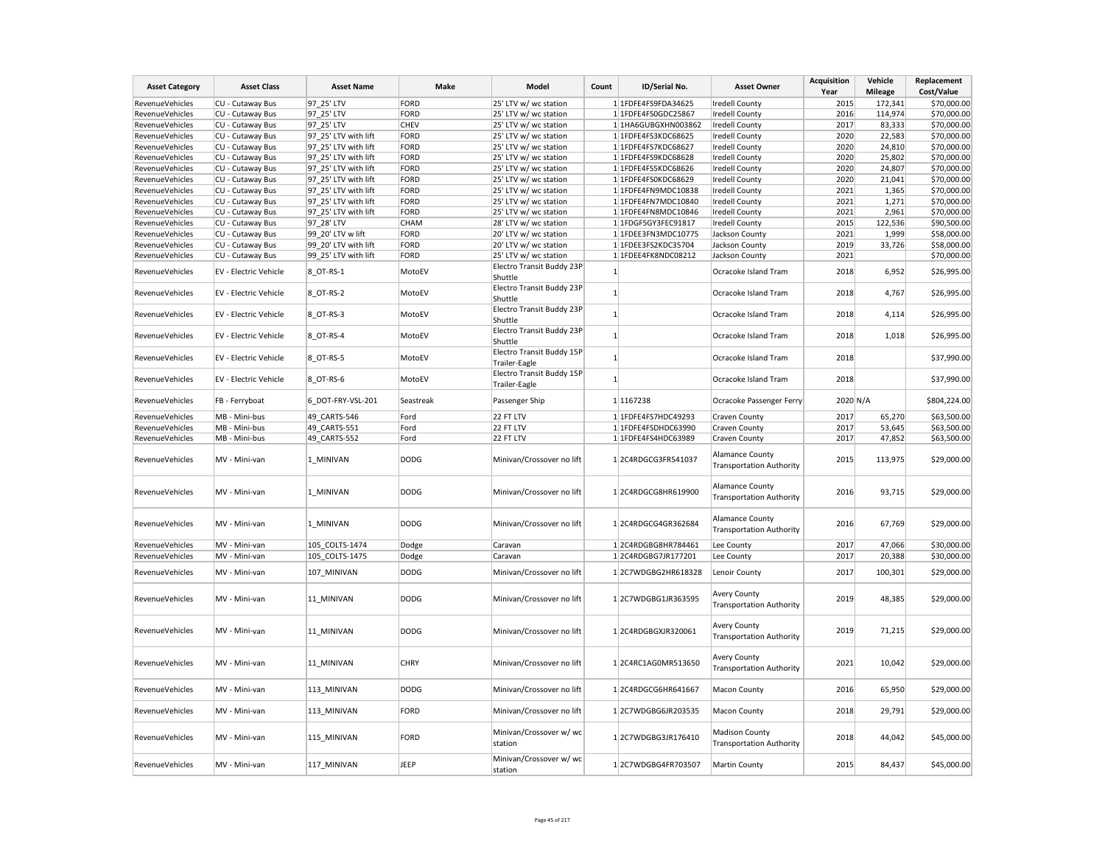| <b>Asset Category</b>  | <b>Asset Class</b>           | <b>Asset Name</b>    | Make        | Model                                      | Count        | ID/Serial No.       | <b>Asset Owner</b>                                        | <b>Acquisition</b><br>Year | Vehicle<br><b>Mileage</b> | Replacement<br>Cost/Value |
|------------------------|------------------------------|----------------------|-------------|--------------------------------------------|--------------|---------------------|-----------------------------------------------------------|----------------------------|---------------------------|---------------------------|
| RevenueVehicles        | CU - Cutaway Bus             | 97 25' LTV           | FORD        | 25' LTV w/ wc station                      |              | 1 1FDFE4FS9FDA34625 | <b>Iredell County</b>                                     | 2015                       | 172,341                   | \$70,000.00               |
| RevenueVehicles        | CU - Cutaway Bus             | 97 25' LTV           | FORD        | 25' LTV w/ wc station                      |              | 1 1FDFE4FS0GDC25867 | <b>Iredell County</b>                                     | 2016                       | 114,974                   | \$70,000.00               |
| RevenueVehicles        | CU - Cutaway Bus             | 97_25' LTV           | CHEV        | 25' LTV w/ wc station                      |              | 1 1HA6GUBGXHN003862 | <b>Iredell County</b>                                     | 2017                       | 83,333                    | \$70,000.00               |
| <b>RevenueVehicles</b> | CU - Cutaway Bus             | 97 25' LTV with lift | FORD        | 25' LTV w/ wc station                      |              | 1 1FDFE4FS3KDC68625 | <b>Iredell County</b>                                     | 2020                       | 22,583                    | \$70,000.00               |
| RevenueVehicles        | CU - Cutaway Bus             | 97 25' LTV with lift | FORD        | 25' LTV w/ wc station                      |              | 1 1FDFE4FS7KDC68627 | <b>Iredell County</b>                                     | 2020                       | 24,810                    | \$70,000.00               |
| RevenueVehicles        | CU - Cutaway Bus             | 97 25' LTV with lift | FORD        | 25' LTV w/ wc station                      |              | 1 1FDFE4FS9KDC68628 | <b>Iredell County</b>                                     | 2020                       | 25,802                    | \$70,000.00               |
| RevenueVehicles        | CU - Cutaway Bus             | 97 25' LTV with lift | FORD        | 25' LTV w/ wc station                      |              | 1 1FDFE4FS5KDC68626 | <b>Iredell County</b>                                     | 2020                       | 24,807                    | \$70,000.00               |
| RevenueVehicles        | CU - Cutaway Bus             | 97 25' LTV with lift | FORD        | 25' LTV w/ wc station                      |              | 1 1FDFE4FS0KDC68629 | <b>Iredell County</b>                                     | 2020                       | 21,041                    | \$70,000.00               |
| RevenueVehicles        | CU - Cutaway Bus             | 97_25' LTV with lift | FORD        | 25' LTV w/ wc station                      |              | 1 1FDFE4FN9MDC10838 | <b>Iredell County</b>                                     | 2021                       | 1,365                     | \$70,000.00               |
| RevenueVehicles        | CU - Cutaway Bus             | 97 25' LTV with lift | FORD        | 25' LTV w/ wc station                      |              | 1 1FDFE4FN7MDC10840 | <b>Iredell County</b>                                     | 2021                       | 1,271                     | \$70,000.00               |
|                        |                              |                      |             |                                            |              |                     |                                                           | 2021                       |                           |                           |
| RevenueVehicles        | CU - Cutaway Bus             | 97 25' LTV with lift | FORD        | 25' LTV w/ wc station                      |              | 1 1FDFE4FN8MDC10846 | <b>Iredell County</b>                                     |                            | 2,961                     | \$70,000.00               |
| RevenueVehicles        | CU - Cutaway Bus             | 97 28' LTV           | CHAM        | 28' LTV w/ wc station                      |              | 1 1FDGF5GY3FEC91817 | <b>Iredell County</b>                                     | 2015                       | 122,536                   | \$90,500.00               |
| RevenueVehicles        | CU - Cutaway Bus             | 99 20' LTV w lift    | FORD        | 20' LTV w/ wc station                      |              | 1 1FDEE3FN3MDC10775 | Jackson County                                            | 2021                       | 1,999                     | \$58,000.00               |
| <b>RevenueVehicles</b> | CU - Cutaway Bus             | 99 20' LTV with lift | FORD        | 20' LTV w/ wc station                      |              | 1 1FDEE3FS2KDC35704 | Jackson County                                            | 2019                       | 33,726                    | \$58,000.00               |
| RevenueVehicles        | CU - Cutaway Bus             | 99 25' LTV with lift | FORD        | 25' LTV w/ wc station                      |              | 1 1FDEE4FK8NDC08212 | Jackson County                                            | 2021                       |                           | \$70,000.00               |
| RevenueVehicles        | <b>EV - Electric Vehicle</b> | 8 OT-RS-1            | MotoEV      | Electro Transit Buddy 23P<br>Shuttle       | $\mathbf{1}$ |                     | Ocracoke Island Tram                                      | 2018                       | 6,952                     | \$26,995.00               |
| RevenueVehicles        | EV - Electric Vehicle        | 8 OT-RS-2            | MotoEV      | Electro Transit Buddy 23P<br>Shuttle       | $\mathbf{1}$ |                     | Ocracoke Island Tram                                      | 2018                       | 4,767                     | \$26,995.00               |
| RevenueVehicles        | EV - Electric Vehicle        | 8_OT-RS-3            | MotoEV      | Electro Transit Buddy 23P<br>Shuttle       | 1            |                     | Ocracoke Island Tram                                      | 2018                       | 4,114                     | \$26,995.00               |
| <b>RevenueVehicles</b> | EV - Electric Vehicle        | 8 OT-RS-4            | MotoEV      | Electro Transit Buddy 23P<br>Shuttle       | 1            |                     | Ocracoke Island Tram                                      | 2018                       | 1,018                     | \$26,995.00               |
| RevenueVehicles        | EV - Electric Vehicle        | 8 OT-RS-5            | MotoEV      | Electro Transit Buddy 15P                  | $\mathbf{1}$ |                     | Ocracoke Island Tram                                      | 2018                       |                           | \$37,990.00               |
| RevenueVehicles        | <b>EV - Electric Vehicle</b> | 8 OT-RS-6            | MotoEV      | Trailer-Eagle<br>Electro Transit Buddy 15P | -1           |                     | Ocracoke Island Tram                                      | 2018                       |                           | \$37,990.00               |
| RevenueVehicles        | FB - Ferryboat               | 6_DOT-FRY-VSL-201    | Seastreak   | Trailer-Eagle<br>Passenger Ship            |              | 1 1167238           | Ocracoke Passenger Ferry                                  | 2020 N/A                   |                           | \$804,224.00              |
|                        |                              |                      |             |                                            |              |                     |                                                           |                            |                           |                           |
| RevenueVehicles        | MB - Mini-bus                | 49 CARTS-546         | Ford        | 22 FT LTV                                  |              | 1 1FDFE4FS7HDC49293 | Craven County                                             | 2017                       | 65,270                    | \$63,500.00               |
| RevenueVehicles        | MB - Mini-bus                | 49 CARTS-551         | Ford        | 22 FT LTV                                  |              | 1 1FDFE4FSDHDC63990 | Craven County                                             | 2017                       | 53,645                    | \$63,500.00               |
| RevenueVehicles        | MB - Mini-bus                | 49 CARTS-552         | Ford        | 22 FT LTV                                  |              | 1 1FDFE4FS4HDC63989 | Craven County                                             | 2017                       | 47,852                    | \$63,500.00               |
| <b>RevenueVehicles</b> | MV - Mini-van                | 1 MINIVAN            | <b>DODG</b> | Minivan/Crossover no lift                  |              | 12C4RDGCG3FR541037  | Alamance County<br><b>Transportation Authority</b>        | 2015                       | 113,975                   | \$29,000.00               |
| RevenueVehicles        | MV - Mini-van                | 1 MINIVAN            | <b>DODG</b> | Minivan/Crossover no lift                  |              | 1 2C4RDGCG8HR619900 | <b>Alamance County</b><br><b>Transportation Authority</b> | 2016                       | 93,715                    | \$29,000.00               |
| RevenueVehicles        | MV - Mini-van                | 1 MINIVAN            | <b>DODG</b> | Minivan/Crossover no lift                  |              | 1 2C4RDGCG4GR362684 | <b>Alamance County</b><br><b>Transportation Authority</b> | 2016                       | 67,769                    | \$29,000.00               |
| RevenueVehicles        | MV - Mini-van                | 105_COLTS-1474       | Dodge       | Caravan                                    |              | 12C4RDGBG8HR784461  | Lee County                                                | 2017                       | 47,066                    | \$30,000.00               |
| RevenueVehicles        | MV - Mini-van                | 105 COLTS-1475       | Dodge       | Caravan                                    |              | 12C4RDGBG7JR177201  | Lee County                                                | 2017                       | 20,388                    | \$30,000.00               |
| RevenueVehicles        | MV - Mini-van                | 107 MINIVAN          | <b>DODG</b> | Minivan/Crossover no lift                  |              | 12C7WDGBG2HR618328  | Lenoir County                                             | 2017                       | 100,301                   | \$29,000.00               |
| <b>RevenueVehicles</b> | MV - Mini-van                | 11 MINIVAN           | <b>DODG</b> | Minivan/Crossover no lift                  |              | 12C7WDGBG1JR363595  | <b>Avery County</b><br><b>Transportation Authority</b>    | 2019                       | 48,385                    | \$29,000.00               |
| RevenueVehicles        | MV - Mini-van                | 11 MINIVAN           | <b>DODG</b> | Minivan/Crossover no lift                  |              | 12C4RDGBGXJR320061  | <b>Avery County</b><br><b>Transportation Authority</b>    | 2019                       | 71,215                    | \$29,000.00               |
| RevenueVehicles        | MV - Mini-van                | 11_MINIVAN           | <b>CHRY</b> | Minivan/Crossover no lift                  |              | 1 2C4RC1AG0MR513650 | <b>Avery County</b><br><b>Transportation Authority</b>    | 2021                       | 10,042                    | \$29,000.00               |
| RevenueVehicles        | MV - Mini-van                | 113 MINIVAN          | <b>DODG</b> | Minivan/Crossover no lift                  |              | 12C4RDGCG6HR641667  | Macon County                                              | 2016                       | 65,950                    | \$29,000.00               |
| RevenueVehicles        | MV - Mini-van                | 113 MINIVAN          | FORD        | Minivan/Crossover no lift                  |              | 12C7WDGBG6JR203535  | Macon County                                              | 2018                       | 29,791                    | \$29,000.00               |
| <b>RevenueVehicles</b> | MV - Mini-van                | 115 MINIVAN          | FORD        | Minivan/Crossover w/ wc<br>station         |              | 12C7WDGBG3JR176410  | <b>Madison County</b><br><b>Transportation Authority</b>  | 2018                       | 44,042                    | \$45,000.00               |
| RevenueVehicles        | MV - Mini-van                | 117 MINIVAN          | JEEP        | Minivan/Crossover w/ wc<br>station         |              | 12C7WDGBG4FR703507  | Martin County                                             | 2015                       | 84,437                    | \$45,000.00               |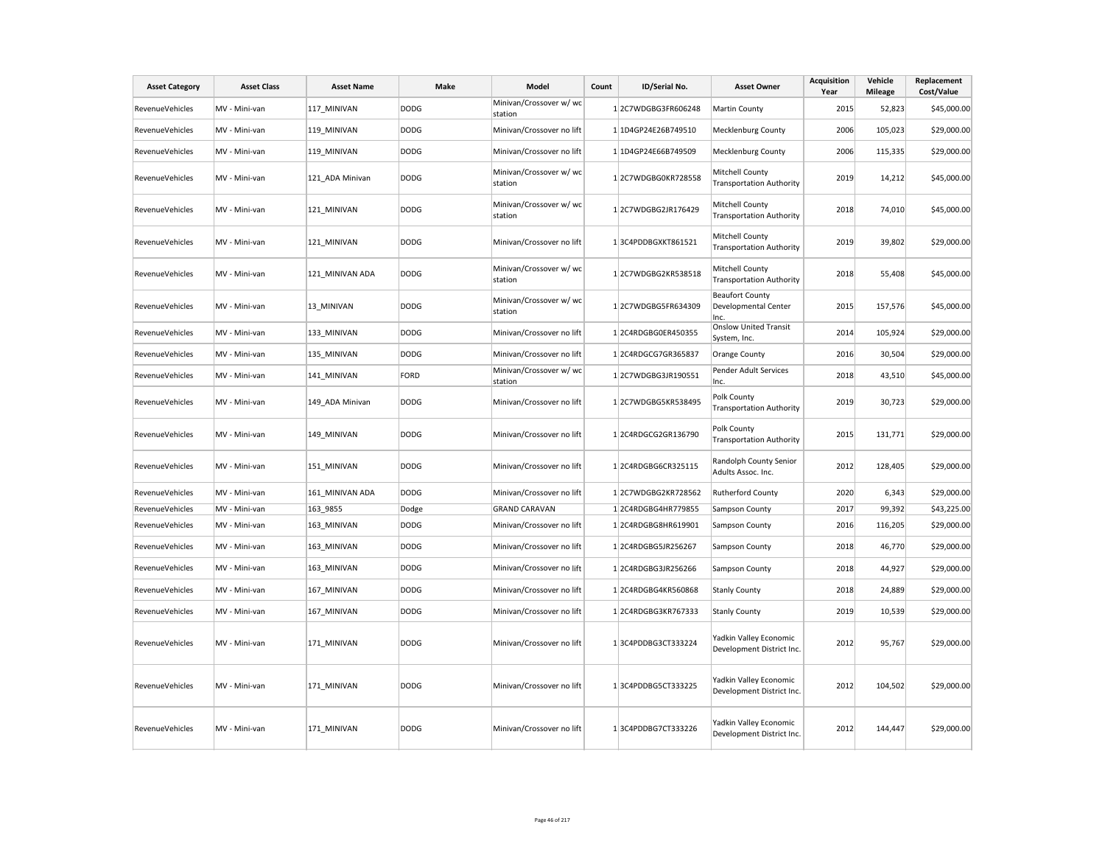| <b>Asset Category</b>  | <b>Asset Class</b> | <b>Asset Name</b> | Make        | Model                              | Count | ID/Serial No.       | <b>Asset Owner</b>                                     | <b>Acquisition</b><br>Year | Vehicle<br><b>Mileage</b> | Replacement<br>Cost/Value |
|------------------------|--------------------|-------------------|-------------|------------------------------------|-------|---------------------|--------------------------------------------------------|----------------------------|---------------------------|---------------------------|
| RevenueVehicles        | MV - Mini-van      | 117 MINIVAN       | <b>DODG</b> | Minivan/Crossover w/ wc<br>station |       | 12C7WDGBG3FR606248  | Martin County                                          | 2015                       | 52,823                    | \$45,000.00               |
| RevenueVehicles        | MV - Mini-van      | 119 MINIVAN       | <b>DODG</b> | Minivan/Crossover no lift          |       | 1 1D4GP24E26B749510 | Mecklenburg County                                     | 2006                       | 105,023                   | \$29,000.00               |
| <b>RevenueVehicles</b> | MV - Mini-van      | 119 MINIVAN       | <b>DODG</b> | Minivan/Crossover no lift          |       | 1 1D4GP24E66B749509 | <b>Mecklenburg County</b>                              | 2006                       | 115,335                   | \$29,000.00               |
| RevenueVehicles        | MV - Mini-van      | 121 ADA Minivan   | <b>DODG</b> | Minivan/Crossover w/ wc<br>station |       | 12C7WDGBG0KR728558  | Mitchell County<br><b>Transportation Authority</b>     | 2019                       | 14,212                    | \$45,000.00               |
| RevenueVehicles        | MV - Mini-van      | 121 MINIVAN       | <b>DODG</b> | Minivan/Crossover w/ wc<br>station |       | 12C7WDGBG2JR176429  | Mitchell County<br><b>Transportation Authority</b>     | 2018                       | 74,010                    | \$45,000.00               |
| RevenueVehicles        | MV - Mini-van      | 121_MINIVAN       | <b>DODG</b> | Minivan/Crossover no lift          |       | 13C4PDDBGXKT861521  | Mitchell County<br><b>Transportation Authority</b>     | 2019                       | 39,802                    | \$29,000.00               |
| RevenueVehicles        | MV - Mini-van      | 121 MINIVAN ADA   | <b>DODG</b> | Minivan/Crossover w/ wc<br>station |       | 12C7WDGBG2KR538518  | Mitchell County<br><b>Transportation Authority</b>     | 2018                       | 55,408                    | \$45,000.00               |
| RevenueVehicles        | MV - Mini-van      | 13 MINIVAN        | <b>DODG</b> | Minivan/Crossover w/ wc<br>station |       | 12C7WDGBG5FR634309  | <b>Beaufort County</b><br>Developmental Center<br>Inc. | 2015                       | 157,576                   | \$45,000.00               |
| RevenueVehicles        | MV - Mini-van      | 133 MINIVAN       | <b>DODG</b> | Minivan/Crossover no lift          |       | 12C4RDGBG0ER450355  | <b>Onslow United Transit</b><br>System, Inc.           | 2014                       | 105,924                   | \$29,000.00               |
| RevenueVehicles        | MV - Mini-van      | 135_MINIVAN       | <b>DODG</b> | Minivan/Crossover no lift          |       | 12C4RDGCG7GR365837  | <b>Orange County</b>                                   | 2016                       | 30,504                    | \$29,000.00               |
| RevenueVehicles        | MV - Mini-van      | 141_MINIVAN       | FORD        | Minivan/Crossover w/ wc<br>station |       | 12C7WDGBG3JR190551  | Pender Adult Services<br>Inc.                          | 2018                       | 43,510                    | \$45,000.00               |
| RevenueVehicles        | MV - Mini-van      | 149 ADA Minivan   | <b>DODG</b> | Minivan/Crossover no lift          |       | 12C7WDGBG5KR538495  | Polk County<br><b>Transportation Authority</b>         | 2019                       | 30,723                    | \$29,000.00               |
| RevenueVehicles        | MV - Mini-van      | 149 MINIVAN       | <b>DODG</b> | Minivan/Crossover no lift          |       | 12C4RDGCG2GR136790  | Polk County<br><b>Transportation Authority</b>         | 2015                       | 131,771                   | \$29,000.00               |
| RevenueVehicles        | MV - Mini-van      | 151_MINIVAN       | <b>DODG</b> | Minivan/Crossover no lift          |       | 12C4RDGBG6CR325115  | Randolph County Senior<br>Adults Assoc. Inc.           | 2012                       | 128,405                   | \$29,000.00               |
| <b>RevenueVehicles</b> | MV - Mini-van      | 161_MINIVAN ADA   | <b>DODG</b> | Minivan/Crossover no lift          |       | 12C7WDGBG2KR728562  | <b>Rutherford County</b>                               | 2020                       | 6,343                     | \$29,000.00               |
| RevenueVehicles        | MV - Mini-van      | 163_9855          | Dodge       | <b>GRAND CARAVAN</b>               |       | 12C4RDGBG4HR779855  | Sampson County                                         | 2017                       | 99,392                    | \$43,225.00               |
| RevenueVehicles        | MV - Mini-van      | 163_MINIVAN       | <b>DODG</b> | Minivan/Crossover no lift          |       | 12C4RDGBG8HR619901  | Sampson County                                         | 2016                       | 116,205                   | \$29,000.00               |
| RevenueVehicles        | MV - Mini-van      | 163_MINIVAN       | <b>DODG</b> | Minivan/Crossover no lift          |       | 12C4RDGBG5JR256267  | Sampson County                                         | 2018                       | 46,770                    | \$29,000.00               |
| RevenueVehicles        | MV - Mini-van      | 163_MINIVAN       | <b>DODG</b> | Minivan/Crossover no lift          |       | 12C4RDGBG3JR256266  | Sampson County                                         | 2018                       | 44,927                    | \$29,000.00               |
| RevenueVehicles        | MV - Mini-van      | 167 MINIVAN       | <b>DODG</b> | Minivan/Crossover no lift          |       | 12C4RDGBG4KR560868  | <b>Stanly County</b>                                   | 2018                       | 24,889                    | \$29,000.00               |
| <b>RevenueVehicles</b> | MV - Mini-van      | 167 MINIVAN       | <b>DODG</b> | Minivan/Crossover no lift          |       | 12C4RDGBG3KR767333  | <b>Stanly County</b>                                   | 2019                       | 10,539                    | \$29,000.00               |
| RevenueVehicles        | MV - Mini-van      | 171 MINIVAN       | <b>DODG</b> | Minivan/Crossover no lift          |       | 13C4PDDBG3CT333224  | Yadkin Valley Economic<br>Development District Inc.    | 2012                       | 95,767                    | \$29,000.00               |
| RevenueVehicles        | MV - Mini-van      | 171 MINIVAN       | <b>DODG</b> | Minivan/Crossover no lift          |       | 13C4PDDBG5CT333225  | Yadkin Valley Economic<br>Development District Inc.    | 2012                       | 104,502                   | \$29,000.00               |
| RevenueVehicles        | MV - Mini-van      | 171 MINIVAN       | <b>DODG</b> | Minivan/Crossover no lift          |       | 13C4PDDBG7CT333226  | Yadkin Valley Economic<br>Development District Inc.    | 2012                       | 144,447                   | \$29,000.00               |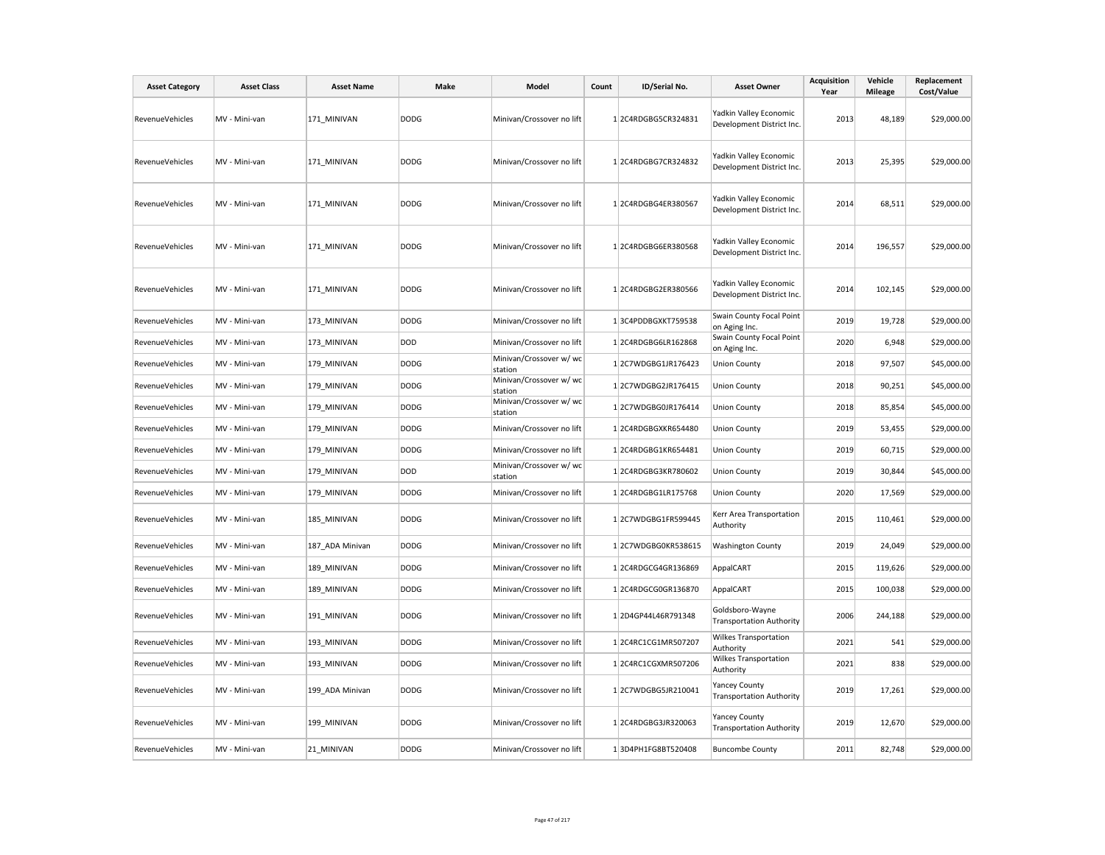| <b>Asset Category</b> | <b>Asset Class</b> | <b>Asset Name</b> | Make        | Model                              | Count | ID/Serial No.       | <b>Asset Owner</b>                                      | <b>Acquisition</b><br>Year | Vehicle<br><b>Mileage</b> | Replacement<br>Cost/Value |
|-----------------------|--------------------|-------------------|-------------|------------------------------------|-------|---------------------|---------------------------------------------------------|----------------------------|---------------------------|---------------------------|
| RevenueVehicles       | MV - Mini-van      | 171 MINIVAN       | <b>DODG</b> | Minivan/Crossover no lift          |       | 1 2C4RDGBG5CR324831 | Yadkin Valley Economic<br>Development District Inc.     | 2013                       | 48,189                    | \$29,000.00               |
| RevenueVehicles       | MV - Mini-van      | 171 MINIVAN       | <b>DODG</b> | Minivan/Crossover no lift          |       | 12C4RDGBG7CR324832  | Yadkin Valley Economic<br>Development District Inc.     | 2013                       | 25,395                    | \$29,000.00               |
| RevenueVehicles       | MV - Mini-van      | 171 MINIVAN       | <b>DODG</b> | Minivan/Crossover no lift          |       | 12C4RDGBG4ER380567  | Yadkin Valley Economic<br>Development District Inc.     | 2014                       | 68,511                    | \$29,000.00               |
| RevenueVehicles       | MV - Mini-van      | 171 MINIVAN       | DODG        | Minivan/Crossover no lift          |       | 12C4RDGBG6ER380568  | Yadkin Valley Economic<br>Development District Inc.     | 2014                       | 196,557                   | \$29,000.00               |
| RevenueVehicles       | MV - Mini-van      | 171 MINIVAN       | <b>DODG</b> | Minivan/Crossover no lift          |       | 12C4RDGBG2ER380566  | Yadkin Valley Economic<br>Development District Inc.     | 2014                       | 102,145                   | \$29,000.00               |
| RevenueVehicles       | MV - Mini-van      | 173 MINIVAN       | <b>DODG</b> | Minivan/Crossover no lift          |       | 13C4PDDBGXKT759538  | Swain County Focal Point<br>on Aging Inc.               | 2019                       | 19,728                    | \$29,000.00               |
| RevenueVehicles       | MV - Mini-van      | 173 MINIVAN       | DOD         | Minivan/Crossover no lift          |       | 12C4RDGBG6LR162868  | Swain County Focal Point<br>on Aging Inc.               | 2020                       | 6,948                     | \$29,000.00               |
| RevenueVehicles       | MV - Mini-van      | 179 MINIVAN       | <b>DODG</b> | Minivan/Crossover w/ wc<br>station |       | 12C7WDGBG1JR176423  | <b>Union County</b>                                     | 2018                       | 97,507                    | \$45,000.00               |
| RevenueVehicles       | MV - Mini-van      | 179 MINIVAN       | <b>DODG</b> | Minivan/Crossover w/ wc<br>station |       | 12C7WDGBG2JR176415  | <b>Union County</b>                                     | 2018                       | 90,251                    | \$45,000.00               |
| RevenueVehicles       | MV - Mini-van      | 179 MINIVAN       | <b>DODG</b> | Minivan/Crossover w/ wc<br>station |       | 12C7WDGBG0JR176414  | <b>Union County</b>                                     | 2018                       | 85,854                    | \$45,000.00               |
| RevenueVehicles       | MV - Mini-van      | 179 MINIVAN       | <b>DODG</b> | Minivan/Crossover no lift          |       | 12C4RDGBGXKR654480  | <b>Union County</b>                                     | 2019                       | 53,455                    | \$29,000.00               |
| RevenueVehicles       | MV - Mini-van      | 179 MINIVAN       | <b>DODG</b> | Minivan/Crossover no lift          |       | 12C4RDGBG1KR654481  | <b>Union County</b>                                     | 2019                       | 60,715                    | \$29,000.00               |
| RevenueVehicles       | MV - Mini-van      | 179 MINIVAN       | DOD         | Minivan/Crossover w/ wc<br>station |       | 12C4RDGBG3KR780602  | <b>Union County</b>                                     | 2019                       | 30,844                    | \$45,000.00               |
| RevenueVehicles       | MV - Mini-van      | 179 MINIVAN       | <b>DODG</b> | Minivan/Crossover no lift          |       | 12C4RDGBG1LR175768  | <b>Union County</b>                                     | 2020                       | 17,569                    | \$29,000.00               |
| RevenueVehicles       | MV - Mini-van      | 185_MINIVAN       | <b>DODG</b> | Minivan/Crossover no lift          |       | 12C7WDGBG1FR599445  | Kerr Area Transportation<br>Authority                   | 2015                       | 110,461                   | \$29,000.00               |
| RevenueVehicles       | MV - Mini-van      | 187 ADA Minivan   | <b>DODG</b> | Minivan/Crossover no lift          |       | 12C7WDGBG0KR538615  | <b>Washington County</b>                                | 2019                       | 24,049                    | \$29,000.00               |
| RevenueVehicles       | MV - Mini-van      | 189_MINIVAN       | <b>DODG</b> | Minivan/Crossover no lift          |       | 12C4RDGCG4GR136869  | AppalCART                                               | 2015                       | 119,626                   | \$29,000.00               |
| RevenueVehicles       | MV - Mini-van      | 189 MINIVAN       | <b>DODG</b> | Minivan/Crossover no lift          |       | 12C4RDGCG0GR136870  | AppalCART                                               | 2015                       | 100,038                   | \$29,000.00               |
| RevenueVehicles       | MV - Mini-van      | 191 MINIVAN       | <b>DODG</b> | Minivan/Crossover no lift          |       | 12D4GP44L46R791348  | Goldsboro-Wayne<br><b>Transportation Authority</b>      | 2006                       | 244,188                   | \$29,000.00               |
| RevenueVehicles       | MV - Mini-van      | 193 MINIVAN       | <b>DODG</b> | Minivan/Crossover no lift          |       | 12C4RC1CG1MR507207  | <b>Wilkes Transportation</b><br>Authority               | 2021                       | 541                       | \$29,000.00               |
| RevenueVehicles       | MV - Mini-van      | 193 MINIVAN       | <b>DODG</b> | Minivan/Crossover no lift          |       | 12C4RC1CGXMR507206  | Wilkes Transportation<br>Authority                      | 2021                       | 838                       | \$29,000.00               |
| RevenueVehicles       | MV - Mini-van      | 199 ADA Minivan   | <b>DODG</b> | Minivan/Crossover no lift          |       | 12C7WDGBG5JR210041  | <b>Yancey County</b><br><b>Transportation Authority</b> | 2019                       | 17,261                    | \$29,000.00               |
| RevenueVehicles       | MV - Mini-van      | 199 MINIVAN       | <b>DODG</b> | Minivan/Crossover no lift          |       | 12C4RDGBG3JR320063  | <b>Yancey County</b><br><b>Transportation Authority</b> | 2019                       | 12,670                    | \$29,000.00               |
| RevenueVehicles       | MV - Mini-van      | 21 MINIVAN        | <b>DODG</b> | Minivan/Crossover no lift          |       | 13D4PH1FG8BT520408  | <b>Buncombe County</b>                                  | 2011                       | 82,748                    | \$29,000.00               |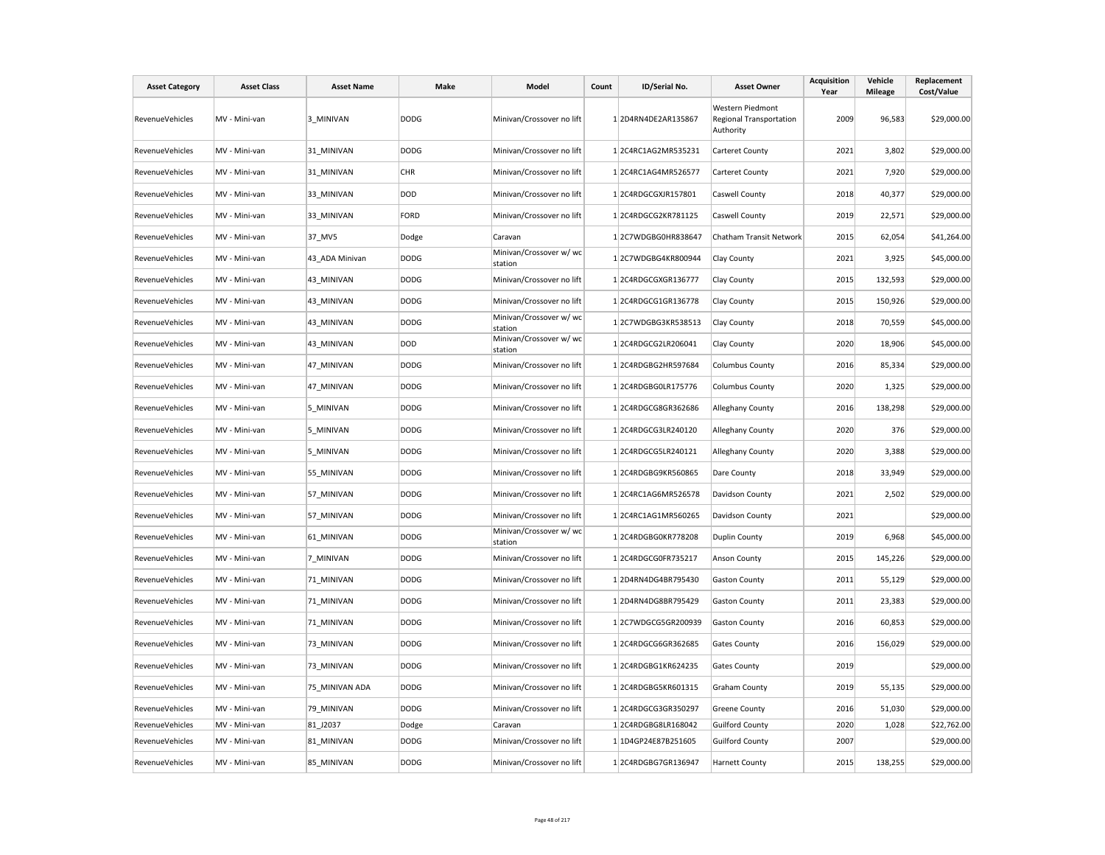| <b>Asset Category</b>  | <b>Asset Class</b> | <b>Asset Name</b> | <b>Make</b> | Model                              | Count | ID/Serial No.       | <b>Asset Owner</b>                                       | Acquisition<br>Year | Vehicle<br><b>Mileage</b> | Replacement<br>Cost/Value |
|------------------------|--------------------|-------------------|-------------|------------------------------------|-------|---------------------|----------------------------------------------------------|---------------------|---------------------------|---------------------------|
| RevenueVehicles        | MV - Mini-van      | 3 MINIVAN         | <b>DODG</b> | Minivan/Crossover no lift          |       | 12D4RN4DE2AR135867  | Western Piedmont<br>Regional Transportation<br>Authority | 2009                | 96,583                    | \$29,000.00               |
| <b>RevenueVehicles</b> | MV - Mini-van      | 31 MINIVAN        | <b>DODG</b> | Minivan/Crossover no lift          |       | 12C4RC1AG2MR535231  | Carteret County                                          | 2021                | 3,802                     | \$29,000.00               |
| RevenueVehicles        | MV - Mini-van      | 31 MINIVAN        | <b>CHR</b>  | Minivan/Crossover no lift          |       | 12C4RC1AG4MR526577  | Carteret County                                          | 2021                | 7,920                     | \$29,000.00               |
| RevenueVehicles        | MV - Mini-van      | 33 MINIVAN        | DOD         | Minivan/Crossover no lift          |       | 1 2C4RDGCGXJR157801 | Caswell County                                           | 2018                | 40,377                    | \$29,000.00               |
| <b>RevenueVehicles</b> | MV - Mini-van      | 33 MINIVAN        | FORD        | Minivan/Crossover no lift          |       | 1 2C4RDGCG2KR781125 | Caswell County                                           | 2019                | 22,571                    | \$29,000.00               |
| <b>RevenueVehicles</b> | MV - Mini-van      | 37 MV5            | Dodge       | Caravan                            |       | 1 2C7WDGBG0HR838647 | Chatham Transit Network                                  | 2015                | 62,054                    | \$41,264.00               |
| RevenueVehicles        | MV - Mini-van      | 43_ADA Minivan    | <b>DODG</b> | Minivan/Crossover w/ wc<br>station |       | 12C7WDGBG4KR800944  | Clay County                                              | 2021                | 3,925                     | \$45,000.00               |
| RevenueVehicles        | MV - Mini-van      | 43 MINIVAN        | <b>DODG</b> | Minivan/Crossover no lift          |       | 12C4RDGCGXGR136777  | Clay County                                              | 2015                | 132,593                   | \$29,000.00               |
| RevenueVehicles        | MV - Mini-van      | 43 MINIVAN        | <b>DODG</b> | Minivan/Crossover no lift          |       | 12C4RDGCG1GR136778  | Clay County                                              | 2015                | 150,926                   | \$29,000.00               |
| <b>RevenueVehicles</b> | MV - Mini-van      | 43 MINIVAN        | <b>DODG</b> | Minivan/Crossover w/ wc<br>station |       | 12C7WDGBG3KR538513  | Clay County                                              | 2018                | 70,559                    | \$45,000.00               |
| RevenueVehicles        | MV - Mini-van      | 43 MINIVAN        | DOD         | Minivan/Crossover w/ wc<br>station |       | 1 2C4RDGCG2LR206041 | Clay County                                              | 2020                | 18,906                    | \$45,000.00               |
| <b>RevenueVehicles</b> | MV - Mini-van      | 47 MINIVAN        | <b>DODG</b> | Minivan/Crossover no lift          |       | 12C4RDGBG2HR597684  | <b>Columbus County</b>                                   | 2016                | 85,334                    | \$29,000.00               |
| RevenueVehicles        | MV - Mini-van      | 47 MINIVAN        | <b>DODG</b> | Minivan/Crossover no lift          |       | 12C4RDGBG0LR175776  | <b>Columbus County</b>                                   | 2020                | 1,325                     | \$29,000.00               |
| <b>RevenueVehicles</b> | MV - Mini-van      | 5 MINIVAN         | <b>DODG</b> | Minivan/Crossover no lift          |       | 12C4RDGCG8GR362686  | Alleghany County                                         | 2016                | 138,298                   | \$29,000.00               |
| <b>RevenueVehicles</b> | MV - Mini-van      | 5_MINIVAN         | <b>DODG</b> | Minivan/Crossover no lift          |       | 12C4RDGCG3LR240120  | Alleghany County                                         | 2020                | 376                       | \$29,000.00               |
| RevenueVehicles        | MV - Mini-van      | 5 MINIVAN         | <b>DODG</b> | Minivan/Crossover no lift          |       | 12C4RDGCG5LR240121  | Alleghany County                                         | 2020                | 3,388                     | \$29,000.00               |
| RevenueVehicles        | MV - Mini-van      | 55 MINIVAN        | <b>DODG</b> | Minivan/Crossover no lift          |       | 12C4RDGBG9KR560865  | Dare County                                              | 2018                | 33,949                    | \$29,000.00               |
| RevenueVehicles        | MV - Mini-van      | 57_MINIVAN        | <b>DODG</b> | Minivan/Crossover no lift          |       | 12C4RC1AG6MR526578  | Davidson County                                          | 2021                | 2,502                     | \$29,000.00               |
| RevenueVehicles        | MV - Mini-van      | 57 MINIVAN        | <b>DODG</b> | Minivan/Crossover no lift          |       | 12C4RC1AG1MR560265  | Davidson County                                          | 2021                |                           | \$29,000.00               |
| <b>RevenueVehicles</b> | MV - Mini-van      | 61 MINIVAN        | <b>DODG</b> | Minivan/Crossover w/ wc<br>station |       | 12C4RDGBG0KR778208  | <b>Duplin County</b>                                     | 2019                | 6,968                     | \$45,000.00               |
| <b>RevenueVehicles</b> | MV - Mini-van      | 7 MINIVAN         | <b>DODG</b> | Minivan/Crossover no lift          |       | 12C4RDGCG0FR735217  | Anson County                                             | 2015                | 145,226                   | \$29,000.00               |
| <b>RevenueVehicles</b> | MV - Mini-van      | 71 MINIVAN        | <b>DODG</b> | Minivan/Crossover no lift          |       | 12D4RN4DG4BR795430  | <b>Gaston County</b>                                     | 2011                | 55,129                    | \$29,000.00               |
| RevenueVehicles        | MV - Mini-van      | 71 MINIVAN        | <b>DODG</b> | Minivan/Crossover no lift          |       | 12D4RN4DG8BR795429  | <b>Gaston County</b>                                     | 2011                | 23,383                    | \$29,000.00               |
| RevenueVehicles        | MV - Mini-van      | 71 MINIVAN        | <b>DODG</b> | Minivan/Crossover no lift          |       | 12C7WDGCG5GR200939  | <b>Gaston County</b>                                     | 2016                | 60,853                    | \$29,000.00               |
| <b>RevenueVehicles</b> | MV - Mini-van      | 73_MINIVAN        | <b>DODG</b> | Minivan/Crossover no lift          |       | 12C4RDGCG6GR362685  | Gates County                                             | 2016                | 156,029                   | \$29,000.00               |
| RevenueVehicles        | MV - Mini-van      | 73 MINIVAN        | <b>DODG</b> | Minivan/Crossover no lift          |       | 12C4RDGBG1KR624235  | <b>Gates County</b>                                      | 2019                |                           | \$29,000.00               |
| RevenueVehicles        | MV - Mini-van      | 75 MINIVAN ADA    | <b>DODG</b> | Minivan/Crossover no lift          |       | 12C4RDGBG5KR601315  | <b>Graham County</b>                                     | 2019                | 55,135                    | \$29,000.00               |
| RevenueVehicles        | MV - Mini-van      | 79 MINIVAN        | <b>DODG</b> | Minivan/Crossover no lift          |       | 12C4RDGCG3GR350297  | Greene County                                            | 2016                | 51,030                    | \$29,000.00               |
| RevenueVehicles        | MV - Mini-van      | 81 J2037          | Dodge       | Caravan                            |       | 1 2C4RDGBG8LR168042 | <b>Guilford County</b>                                   | 2020                | 1,028                     | \$22,762.00               |
| RevenueVehicles        | MV - Mini-van      | 81 MINIVAN        | <b>DODG</b> | Minivan/Crossover no lift          |       | 1 1D4GP24E87B251605 | <b>Guilford County</b>                                   | 2007                |                           | \$29,000.00               |
| RevenueVehicles        | MV - Mini-van      | 85 MINIVAN        | <b>DODG</b> | Minivan/Crossover no lift          |       | 12C4RDGBG7GR136947  | <b>Harnett County</b>                                    | 2015                | 138,255                   | \$29,000.00               |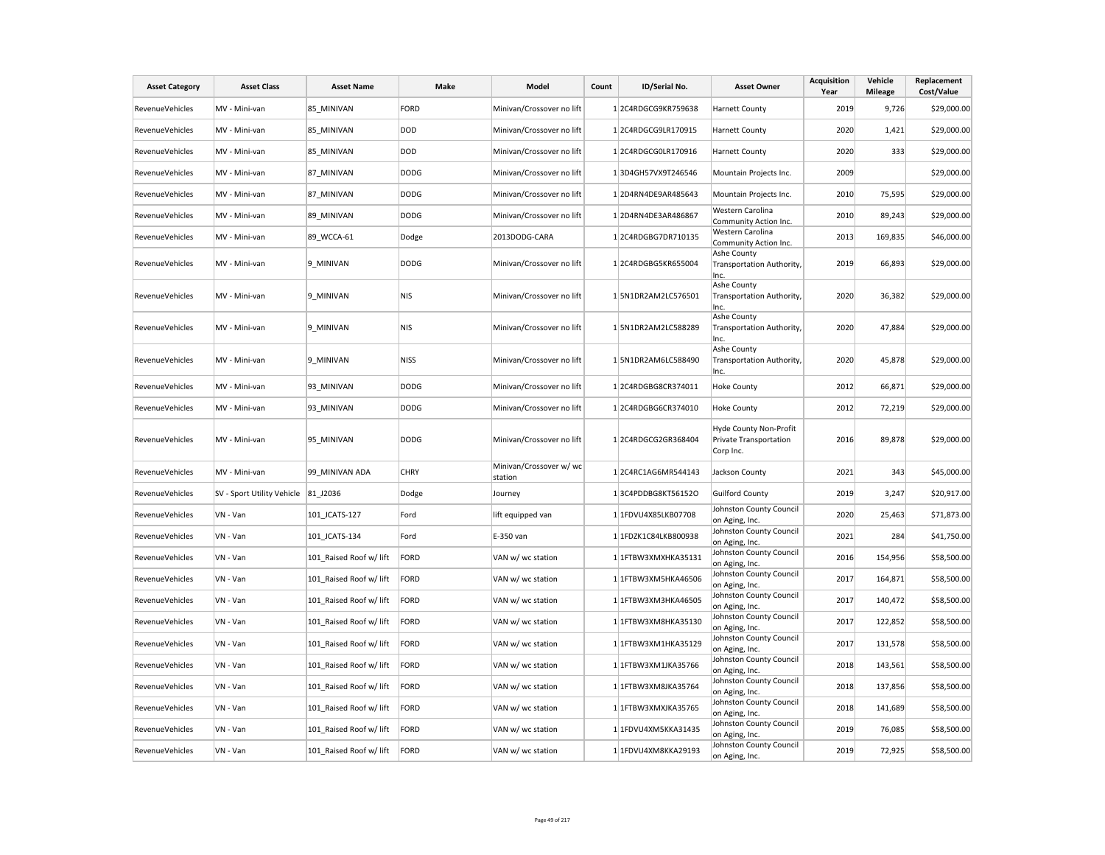| <b>Asset Category</b>  | <b>Asset Class</b>         | <b>Asset Name</b>       | Make        | Model                              | Count | ID/Serial No.        | <b>Asset Owner</b>                                                   | <b>Acquisition</b><br>Year | Vehicle<br><b>Mileage</b> | Replacement<br>Cost/Value |
|------------------------|----------------------------|-------------------------|-------------|------------------------------------|-------|----------------------|----------------------------------------------------------------------|----------------------------|---------------------------|---------------------------|
| RevenueVehicles        | MV - Mini-van              | 85 MINIVAN              | <b>FORD</b> | Minivan/Crossover no lift          |       | 12C4RDGCG9KR759638   | <b>Harnett County</b>                                                | 2019                       | 9,726                     | \$29,000.00               |
| RevenueVehicles        | MV - Mini-van              | 85 MINIVAN              | <b>DOD</b>  | Minivan/Crossover no lift          |       | 12C4RDGCG9LR170915   | <b>Harnett County</b>                                                | 2020                       | 1,421                     | \$29,000.00               |
| RevenueVehicles        | MV - Mini-van              | 85 MINIVAN              | <b>DOD</b>  | Minivan/Crossover no lift          |       | 12C4RDGCG0LR170916   | <b>Harnett County</b>                                                | 2020                       | 333                       | \$29,000.00               |
| <b>RevenueVehicles</b> | MV - Mini-van              | 87_MINIVAN              | <b>DODG</b> | Minivan/Crossover no lift          |       | 13D4GH57VX9T246546   | Mountain Projects Inc.                                               | 2009                       |                           | \$29,000.00               |
| RevenueVehicles        | MV - Mini-van              | 87 MINIVAN              | <b>DODG</b> | Minivan/Crossover no lift          |       | 12D4RN4DE9AR485643   | Mountain Projects Inc.                                               | 2010                       | 75,595                    | \$29,000.00               |
| RevenueVehicles        | MV - Mini-van              | 89 MINIVAN              | <b>DODG</b> | Minivan/Crossover no lift          |       | 12D4RN4DE3AR486867   | Western Carolina<br>Community Action Inc.                            | 2010                       | 89,243                    | \$29,000.00               |
| RevenueVehicles        | MV - Mini-van              | 89 WCCA-61              | Dodge       | 2013DODG-CARA                      |       | 12C4RDGBG7DR710135   | Western Carolina<br>Community Action Inc.                            | 2013                       | 169,835                   | \$46,000.00               |
| RevenueVehicles        | MV - Mini-van              | 9 MINIVAN               | <b>DODG</b> | Minivan/Crossover no lift          |       | 12C4RDGBG5KR655004   | Ashe County<br>Transportation Authority,<br>Inc.                     | 2019                       | 66,893                    | \$29,000.00               |
| <b>RevenueVehicles</b> | MV - Mini-van              | 9 MINIVAN               | <b>NIS</b>  | Minivan/Crossover no lift          |       | 1 5N1DR2AM2LC576501  | Ashe County<br>Transportation Authority,<br>Inc.                     | 2020                       | 36,382                    | \$29,000.00               |
| RevenueVehicles        | MV - Mini-van              | 9 MINIVAN               | <b>NIS</b>  | Minivan/Crossover no lift          |       | 15N1DR2AM2LC588289   | Ashe County<br>Transportation Authority,<br>Inc.                     | 2020                       | 47,884                    | \$29,000.00               |
| RevenueVehicles        | MV - Mini-van              | 9 MINIVAN               | <b>NISS</b> | Minivan/Crossover no lift          |       | 1 5N1DR2AM6LC588490  | Ashe County<br>Transportation Authority,<br>Inc.                     | 2020                       | 45,878                    | \$29,000.00               |
| RevenueVehicles        | MV - Mini-van              | 93_MINIVAN              | <b>DODG</b> | Minivan/Crossover no lift          |       | 12C4RDGBG8CR374011   | <b>Hoke County</b>                                                   | 2012                       | 66,871                    | \$29,000.00               |
| RevenueVehicles        | MV - Mini-van              | 93 MINIVAN              | <b>DODG</b> | Minivan/Crossover no lift          |       | 1 2C4RDGBG6CR374010  | <b>Hoke County</b>                                                   | 2012                       | 72,219                    | \$29,000.00               |
| <b>RevenueVehicles</b> | MV - Mini-van              | 95 MINIVAN              | <b>DODG</b> | Minivan/Crossover no lift          |       | 12C4RDGCG2GR368404   | Hyde County Non-Profit<br><b>Private Transportation</b><br>Corp Inc. | 2016                       | 89,878                    | \$29,000.00               |
| RevenueVehicles        | MV - Mini-van              | 99_MINIVAN ADA          | CHRY        | Minivan/Crossover w/ wc<br>station |       | 1 2C4RC1AG6MR544143  | Jackson County                                                       | 2021                       | 343                       | \$45,000.00               |
| <b>RevenueVehicles</b> | SV - Sport Utility Vehicle | 81 J2036                | Dodge       | Journey                            |       | 13C4PDDBG8KT56152O   | <b>Guilford County</b>                                               | 2019                       | 3,247                     | \$20,917.00               |
| <b>RevenueVehicles</b> | VN - Van                   | 101_JCATS-127           | Ford        | lift equipped van                  |       | 1 1FDVU4X85LKB07708  | Johnston County Council<br>on Aging, Inc.                            | 2020                       | 25,463                    | \$71,873.00               |
| RevenueVehicles        | VN - Van                   | 101 JCATS-134           | Ford        | E-350 van                          |       | 1 1FDZK1C84LKB800938 | Johnston County Council<br>on Aging, Inc.                            | 2021                       | 284                       | \$41,750.00               |
| RevenueVehicles        | VN - Van                   | 101 Raised Roof w/ lift | FORD        | VAN w/ wc station                  |       | 1 1FTBW3XMXHKA35131  | Johnston County Council<br>on Aging, Inc.                            | 2016                       | 154,956                   | \$58,500.00               |
| RevenueVehicles        | VN - Van                   | 101 Raised Roof w/ lift | FORD        | VAN w/ wc station                  |       | 1 1FTBW3XM5HKA46506  | Johnston County Council<br>on Aging, Inc.                            | 2017                       | 164,871                   | \$58,500.00               |
| RevenueVehicles        | VN - Van                   | 101 Raised Roof w/ lift | FORD        | VAN w/ wc station                  |       | 1 1FTBW3XM3HKA46505  | Johnston County Council<br>on Aging, Inc.                            | 2017                       | 140,472                   | \$58,500.00               |
| <b>RevenueVehicles</b> | VN - Van                   | 101 Raised Roof w/ lift | FORD        | VAN w/ wc station                  |       | 1 1FTBW3XM8HKA35130  | Johnston County Council<br>on Aging, Inc.                            | 2017                       | 122,852                   | \$58,500.00               |
| RevenueVehicles        | VN - Van                   | 101 Raised Roof w/ lift | FORD        | VAN w/ wc station                  |       | 1 1FTBW3XM1HKA35129  | Johnston County Council<br>on Aging, Inc.                            | 2017                       | 131,578                   | \$58,500.00               |
| RevenueVehicles        | VN - Van                   | 101 Raised Roof w/ lift | FORD        | VAN w/ wc station                  |       | 1 1FTBW3XM1JKA35766  | Johnston County Council<br>on Aging, Inc.                            | 2018                       | 143,561                   | \$58,500.00               |
| RevenueVehicles        | VN - Van                   | 101 Raised Roof w/ lift | FORD        | VAN w/ wc station                  |       | 1 1FTBW3XM8JKA35764  | Johnston County Council<br>on Aging, Inc.                            | 2018                       | 137,856                   | \$58,500.00               |
| <b>RevenueVehicles</b> | VN - Van                   | 101 Raised Roof w/ lift | FORD        | VAN w/ wc station                  |       | 1 1FTBW3XMXJKA35765  | Johnston County Council<br>on Aging, Inc.                            | 2018                       | 141,689                   | \$58,500.00               |
| RevenueVehicles        | VN - Van                   | 101 Raised Roof w/ lift | FORD        | VAN w/ wc station                  |       | 1 1FDVU4XM5KKA31435  | Johnston County Council<br>on Aging, Inc.                            | 2019                       | 76,085                    | \$58,500.00               |
| RevenueVehicles        | VN - Van                   | 101 Raised Roof w/ lift | FORD        | VAN w/ wc station                  |       | 1 1FDVU4XM8KKA29193  | Johnston County Council<br>on Aging, Inc.                            | 2019                       | 72,925                    | \$58,500.00               |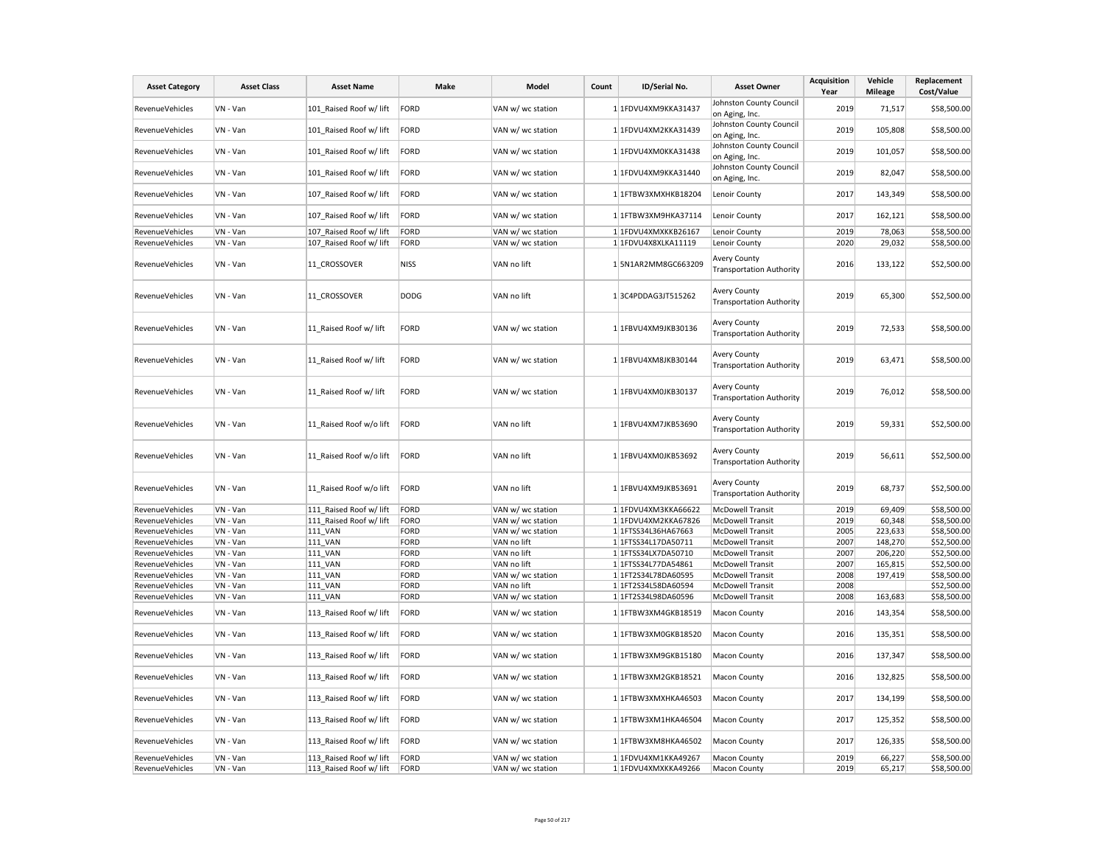| <b>Asset Category</b>  | <b>Asset Class</b> | <b>Asset Name</b>       | Make        | Model             | Count | ID/Serial No.       | <b>Asset Owner</b>                                          | <b>Acquisition</b><br>Year | Vehicle<br><b>Mileage</b> | Replacement<br>Cost/Value |
|------------------------|--------------------|-------------------------|-------------|-------------------|-------|---------------------|-------------------------------------------------------------|----------------------------|---------------------------|---------------------------|
| RevenueVehicles        | VN - Van           | 101 Raised Roof w/ lift | FORD        | VAN w/ wc station |       | 1 1FDVU4XM9KKA31437 | Johnston County Council                                     | 2019                       | 71,517                    | \$58,500.00               |
| RevenueVehicles        | VN - Van           | 101_Raised Roof w/ lift | FORD        | VAN w/ wc station |       | 1 1FDVU4XM2KKA31439 | on Aging, Inc.<br>Johnston County Council<br>on Aging, Inc. | 2019                       | 105,808                   | \$58,500.00               |
| RevenueVehicles        | VN - Van           | 101 Raised Roof w/ lift | FORD        | VAN w/ wc station |       | 1 1FDVU4XM0KKA31438 | Johnston County Council<br>on Aging, Inc.                   | 2019                       | 101,057                   | \$58,500.00               |
| RevenueVehicles        | VN - Van           | 101 Raised Roof w/ lift | FORD        | VAN w/ wc station |       | 1 1FDVU4XM9KKA31440 | Johnston County Council<br>on Aging, Inc.                   | 2019                       | 82,047                    | \$58,500.00               |
| RevenueVehicles        | VN - Van           | 107_Raised Roof w/ lift | FORD        | VAN w/ wc station |       | 1 1FTBW3XMXHKB18204 | Lenoir County                                               | 2017                       | 143,349                   | \$58,500.00               |
| <b>RevenueVehicles</b> | VN - Van           | 107_Raised Roof w/ lift | FORD        | VAN w/ wc station |       | 1 1FTBW3XM9HKA37114 | Lenoir County                                               | 2017                       | 162,121                   | \$58,500.00               |
| RevenueVehicles        | VN - Van           | 107 Raised Roof w/ lift | FORD        | VAN w/ wc station |       | 1 1FDVU4XMXKKB26167 | Lenoir County                                               | 2019                       | 78,063                    | \$58,500.00               |
| RevenueVehicles        | VN - Van           | 107 Raised Roof w/ lift | FORD        | VAN w/ wc station |       | 1 1FDVU4X8XLKA11119 | Lenoir County                                               | 2020                       | 29,032                    | \$58,500.00               |
| RevenueVehicles        | VN - Van           | 11_CROSSOVER            | NISS        | VAN no lift       |       | 1 5N1AR2MM8GC663209 | Avery County<br><b>Transportation Authority</b>             | 2016                       | 133,122                   | \$52,500.00               |
| RevenueVehicles        | VN - Van           | 11 CROSSOVER            | <b>DODG</b> | VAN no lift       |       | 13C4PDDAG3JT515262  | <b>Avery County</b><br><b>Transportation Authority</b>      | 2019                       | 65,300                    | \$52,500.00               |
| RevenueVehicles        | VN - Van           | 11 Raised Roof w/ lift  | FORD        | VAN w/ wc station |       | 1 1FBVU4XM9JKB30136 | <b>Avery County</b><br><b>Transportation Authority</b>      | 2019                       | 72,533                    | \$58,500.00               |
| RevenueVehicles        | VN - Van           | 11 Raised Roof w/ lift  | FORD        | VAN w/ wc station |       | 1 1FBVU4XM8JKB30144 | <b>Avery County</b><br><b>Transportation Authority</b>      | 2019                       | 63,471                    | \$58,500.00               |
| RevenueVehicles        | VN - Van           | 11_Raised Roof w/ lift  | FORD        | VAN w/ wc station |       | 1 1FBVU4XM0JKB30137 | <b>Avery County</b><br><b>Transportation Authority</b>      | 2019                       | 76,012                    | \$58,500.00               |
| <b>RevenueVehicles</b> | VN - Van           | 11 Raised Roof w/o lift | FORD        | VAN no lift       |       | 1 1FBVU4XM7JKB53690 | <b>Avery County</b><br><b>Transportation Authority</b>      | 2019                       | 59,331                    | \$52,500.00               |
| RevenueVehicles        | VN - Van           | 11 Raised Roof w/o lift | FORD        | VAN no lift       |       | 1 1FBVU4XM0JKB53692 | <b>Avery County</b><br><b>Transportation Authority</b>      | 2019                       | 56,611                    | \$52,500.00               |
| RevenueVehicles        | VN - Van           | 11 Raised Roof w/o lift | FORD        | VAN no lift       |       | 1 1FBVU4XM9JKB53691 | <b>Avery County</b><br><b>Transportation Authority</b>      | 2019                       | 68,737                    | \$52,500.00               |
| RevenueVehicles        | VN - Van           | 111 Raised Roof w/ lift | FORD        | VAN w/ wc station |       | 1 1FDVU4XM3KKA66622 | <b>McDowell Transit</b>                                     | 2019                       | 69,409                    | \$58,500.00               |
| RevenueVehicles        | VN - Van           | 111 Raised Roof w/ lift | FORO        | VAN w/ wc station |       | 1 1FDVU4XM2KKA67826 | <b>McDowell Transit</b>                                     | 2019                       | 60,348                    | \$58,500.00               |
| <b>RevenueVehicles</b> | VN - Van           | <b>111 VAN</b>          | FORD        | VAN w/ wc station |       | 1 1FTSS34L36HA67663 | <b>McDowell Transit</b>                                     | 2005                       | 223,633                   | \$58,500.00               |
| RevenueVehicles        | VN - Van           | <b>111 VAN</b>          | FORD        | VAN no lift       |       | 1 1FTSS34L17DA50711 | <b>McDowell Transit</b>                                     | 2007                       | 148,270                   | \$52,500.00               |
| RevenueVehicles        | VN - Van           | 111 VAN                 | FORD        | VAN no lift       |       | 1 1FTSS34LX7DA50710 | <b>McDowell Transit</b>                                     | 2007                       | 206,220                   | \$52,500.00               |
| RevenueVehicles        | VN - Van           | <b>111 VAN</b>          | FORD        | VAN no lift       |       | 1 1FTSS34L77DA54861 | <b>McDowell Transit</b>                                     | 2007                       | 165,815                   | \$52,500.00               |
| RevenueVehicles        | VN - Van           | 111_VAN                 | FORD        | VAN w/ wc station |       | 1 1FT2S34L78DA60595 | <b>McDowell Transit</b>                                     | 2008                       | 197,419                   | \$58,500.00               |
| RevenueVehicles        | VN - Van           | <b>111 VAN</b>          | FORD        | VAN no lift       |       | 1 1FT2S34L58DA60594 | <b>McDowell Transit</b>                                     | 2008                       |                           | \$52,500.00               |
| RevenueVehicles        | VN - Van           | 111 VAN                 | FORD        | VAN w/ wc station |       | 1 1FT2S34L98DA60596 | <b>McDowell Transit</b>                                     | 2008                       | 163,683                   | \$58,500.00               |
| RevenueVehicles        | VN - Van           | 113 Raised Roof w/ lift | FORD        | VAN w/ wc station |       | 1 1FTBW3XM4GKB18519 | <b>Macon County</b>                                         | 2016                       | 143,354                   | \$58,500.00               |
| RevenueVehicles        | VN - Van           | 113 Raised Roof w/ lift | FORD        | VAN w/ wc station |       | 1 1FTBW3XM0GKB18520 | Macon County                                                | 2016                       | 135,351                   | \$58,500.00               |
| RevenueVehicles        | VN - Van           | 113_Raised Roof w/ lift | FORD        | VAN w/ wc station |       | 1 1FTBW3XM9GKB15180 | Macon County                                                | 2016                       | 137,347                   | \$58,500.00               |
| RevenueVehicles        | VN - Van           | 113 Raised Roof w/ lift | FORD        | VAN w/ wc station |       | 1 1FTBW3XM2GKB18521 | Macon County                                                | 2016                       | 132,825                   | \$58,500.00               |
| RevenueVehicles        | VN - Van           | 113 Raised Roof w/ lift | FORD        | VAN w/ wc station |       | 1 1FTBW3XMXHKA46503 | Macon County                                                | 2017                       | 134,199                   | \$58,500.00               |
| RevenueVehicles        | VN - Van           | 113_Raised Roof w/ lift | FORD        | VAN w/ wc station |       | 1 1FTBW3XM1HKA46504 | Macon County                                                | 2017                       | 125,352                   | \$58,500.00               |
| RevenueVehicles        | VN - Van           | 113 Raised Roof w/ lift | FORD        | VAN w/ wc station |       | 1 1FTBW3XM8HKA46502 | Macon County                                                | 2017                       | 126,335                   | \$58,500.00               |
| RevenueVehicles        | VN - Van           | 113 Raised Roof w/ lift | FORD        | VAN w/ wc station |       | 1 1FDVU4XM1KKA49267 | <b>Macon County</b>                                         | 2019                       | 66,227                    | \$58,500.00               |
| RevenueVehicles        | VN - Van           | 113_Raised Roof w/ lift | FORD        | VAN w/ wc station |       | 1 1FDVU4XMXKKA49266 | <b>Macon County</b>                                         | 2019                       | 65,217                    | \$58,500.00               |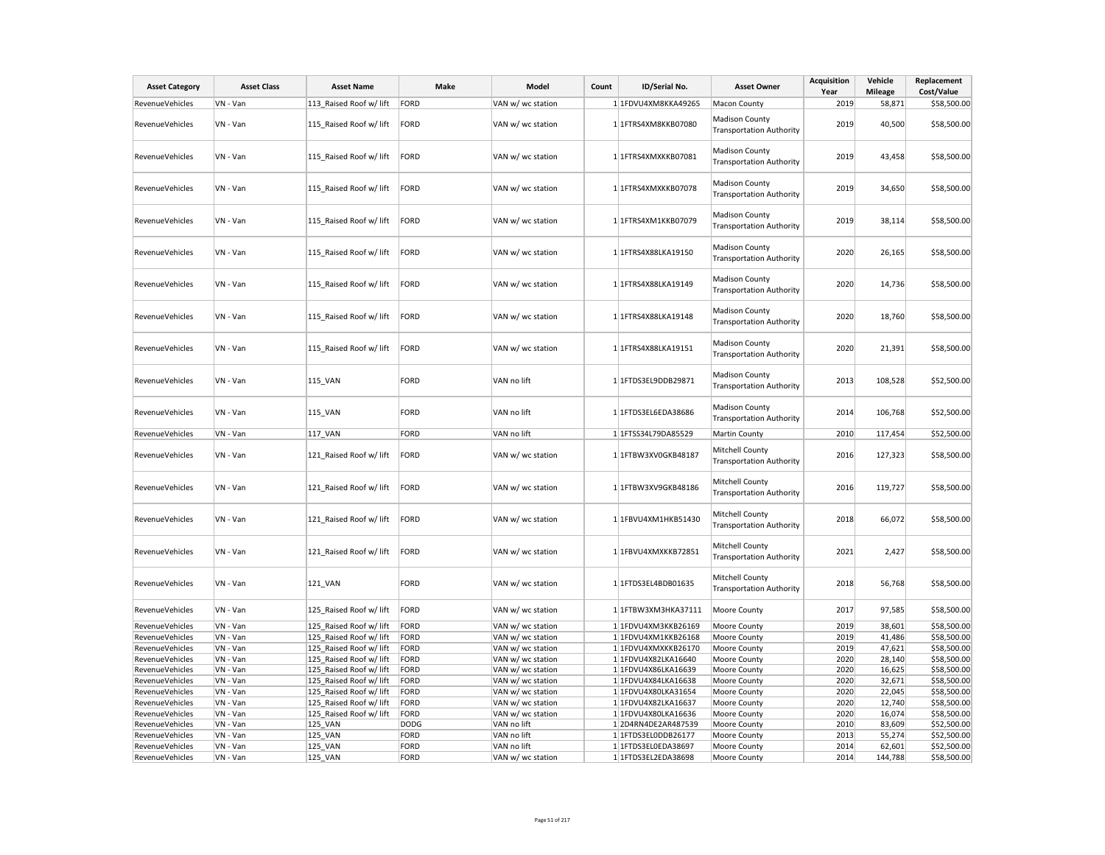| <b>Asset Category</b>                     | <b>Asset Class</b>   | <b>Asset Name</b>                                  | Make         | Model                                  | Count | ID/Serial No.                              | <b>Asset Owner</b>                                       | <b>Acquisition</b><br>Year | Vehicle<br><b>Mileage</b> | Replacement<br>Cost/Value  |
|-------------------------------------------|----------------------|----------------------------------------------------|--------------|----------------------------------------|-------|--------------------------------------------|----------------------------------------------------------|----------------------------|---------------------------|----------------------------|
| RevenueVehicles                           | VN - Van             | 113 Raised Roof w/ lift                            | FORD         | VAN w/ wc station                      |       | 1 1FDVU4XM8KKA49265                        | Macon County                                             | 2019                       | 58,871                    | \$58,500.00                |
| RevenueVehicles                           | VN - Van             | 115 Raised Roof w/ lift                            | FORD         | VAN w/ wc station                      |       | 1 1FTRS4XM8KKB07080                        | <b>Madison County</b><br><b>Transportation Authority</b> | 2019                       | 40,500                    | \$58,500.00                |
| RevenueVehicles                           | VN - Van             | 115 Raised Roof w/ lift                            | FORD         | VAN w/ wc station                      |       | 1 1FTRS4XMXKKB07081                        | <b>Madison County</b><br><b>Transportation Authority</b> | 2019                       | 43,458                    | \$58,500.00                |
| RevenueVehicles                           | VN - Van             | 115 Raised Roof w/ lift                            | FORD         | VAN w/ wc station                      |       | 1 1FTRS4XMXKKB07078                        | <b>Madison County</b><br><b>Transportation Authority</b> | 2019                       | 34,650                    | \$58,500.00                |
| <b>RevenueVehicles</b>                    | VN - Van             | 115 Raised Roof w/ lift                            | FORD         | VAN w/ wc station                      |       | 1 1FTRS4XM1KKB07079                        | Madison County<br><b>Transportation Authority</b>        | 2019                       | 38,114                    | \$58,500.00                |
| RevenueVehicles                           | VN - Van             | 115 Raised Roof w/ lift                            | FORD         | VAN w/ wc station                      |       | 1 1FTRS4X88LKA19150                        | <b>Madison County</b><br><b>Transportation Authority</b> | 2020                       | 26,165                    | \$58,500.00                |
| <b>RevenueVehicles</b>                    | VN - Van             | 115 Raised Roof w/ lift                            | FORD         | VAN w/ wc station                      |       | 1 1FTRS4X88LKA19149                        | <b>Madison County</b><br><b>Transportation Authority</b> | 2020                       | 14,736                    | \$58,500.00                |
| RevenueVehicles                           | VN - Van             | 115 Raised Roof w/ lift                            | <b>FORD</b>  | VAN w/ wc station                      |       | 1 1FTRS4X88LKA19148                        | <b>Madison County</b><br><b>Transportation Authority</b> | 2020                       | 18,760                    | \$58,500.00                |
| RevenueVehicles                           | VN - Van             | 115 Raised Roof w/ lift                            | FORD         | VAN w/ wc station                      |       | 1 1FTRS4X88LKA19151                        | <b>Madison County</b><br><b>Transportation Authority</b> | 2020                       | 21,391                    | \$58,500.00                |
| RevenueVehicles                           | VN - Van             | 115_VAN                                            | FORD         | VAN no lift                            |       | 1 1FTDS3EL9DDB29871                        | <b>Madison County</b><br><b>Transportation Authority</b> | 2013                       | 108,528                   | \$52,500.00                |
| RevenueVehicles                           | VN - Van             | <b>115 VAN</b>                                     | FORD         | VAN no lift                            |       | 1 1FTDS3EL6EDA38686                        | <b>Madison County</b><br><b>Transportation Authority</b> | 2014                       | 106,768                   | \$52,500.00                |
| <b>RevenueVehicles</b>                    | VN - Van             | 117_VAN                                            | FORD         | VAN no lift                            |       | 1 1 FTSS34L79DA85529                       | Martin County                                            | 2010                       | 117,454                   | \$52,500.00                |
| RevenueVehicles                           | VN - Van             | 121 Raised Roof w/ lift                            | FORD         | VAN w/ wc station                      |       | 1 1FTBW3XV0GKB48187                        | Mitchell County<br><b>Transportation Authority</b>       | 2016                       | 127,323                   | \$58,500.00                |
| RevenueVehicles                           | VN - Van             | 121_Raised Roof w/ lift                            | FORD         | VAN w/ wc station                      |       | 1 1FTBW3XV9GKB48186                        | Mitchell County<br><b>Transportation Authority</b>       | 2016                       | 119,727                   | \$58,500.00                |
| <b>RevenueVehicles</b>                    | VN - Van             | 121 Raised Roof w/ lift                            | FORD         | VAN w/ wc station                      |       | 1 1FBVU4XM1HKB51430                        | Mitchell County<br><b>Transportation Authority</b>       | 2018                       | 66,072                    | \$58,500.00                |
| RevenueVehicles                           | VN - Van             | 121 Raised Roof w/ lift                            | FORD         | VAN w/ wc station                      |       | 1 1FBVU4XMXKKB72851                        | Mitchell County<br><b>Transportation Authority</b>       | 2021                       | 2,427                     | \$58,500.00                |
| <b>RevenueVehicles</b>                    | VN - Van             | 121_VAN                                            | FORD         | VAN w/ wc station                      |       | 1 1FTDS3EL4BDB01635                        | Mitchell County<br><b>Transportation Authority</b>       | 2018                       | 56,768                    | \$58,500.00                |
| RevenueVehicles                           | VN - Van             | 125 Raised Roof w/ lift                            | FORD         | VAN w/ wc station                      |       | 1 1FTBW3XM3HKA37111                        | Moore County                                             | 2017                       | 97,585                    | \$58,500.00                |
| RevenueVehicles                           | VN - Van             | 125 Raised Roof w/ lift                            | FORD         | VAN w/ wc station                      |       | 1 1FDVU4XM3KKB26169                        | Moore County                                             | 2019                       | 38,601                    | \$58,500.00                |
| RevenueVehicles                           | VN - Van             | 125 Raised Roof w/ lift                            | FORD         | VAN w/ wc station                      |       | 1 1FDVU4XM1KKB26168                        | Moore County                                             | 2019                       | 41,486                    | \$58,500.00                |
| RevenueVehicles                           | VN - Van             | 125_Raised Roof w/ lift                            | FORD         | VAN w/ wc station                      |       | 1 1FDVU4XMXKKB26170                        | Moore County                                             | 2019                       | 47,621                    | \$58,500.00                |
| <b>RevenueVehicles</b><br>RevenueVehicles | VN - Van<br>VN - Van | 125 Raised Roof w/ lift<br>125 Raised Roof w/ lift | FORD<br>FORD | VAN w/ wc station<br>VAN w/ wc station |       | 1 1FDVU4X82LKA16640<br>1 1FDVU4X86LKA16639 | Moore County<br>Moore County                             | 2020<br>2020               | 28,140<br>16,625          | \$58,500.00<br>\$58,500.00 |
| RevenueVehicles                           | VN - Van             | 125 Raised Roof w/ lift                            | FORD         | VAN w/ wc station                      |       | 1 1FDVU4X84LKA16638                        | Moore County                                             | 2020                       | 32,671                    | \$58,500.00                |
| RevenueVehicles                           | VN - Van             | 125 Raised Roof w/ lift                            | FORD         | VAN w/ wc station                      |       | 1 1FDVU4X80LKA31654                        | Moore County                                             | 2020                       | 22,045                    | \$58,500.00                |
| RevenueVehicles                           | VN - Van             | 125 Raised Roof w/ lift                            | FORD         | VAN w/ wc station                      |       | 1 1FDVU4X82LKA16637                        | Moore County                                             | 2020                       | 12,740                    | \$58,500.00                |
| RevenueVehicles                           | VN - Van             | 125 Raised Roof w/ lift                            | FORD         | VAN w/ wc station                      |       | 1 1FDVU4X80LKA16636                        | Moore County                                             | 2020                       | 16,074                    | \$58,500.00                |
| RevenueVehicles                           | VN - Van             | 125 VAN                                            | <b>DODG</b>  | VAN no lift                            |       | 12D4RN4DE2AR487539                         | Moore County                                             | 2010                       | 83,609                    | \$52,500.00                |
| RevenueVehicles                           | VN - Van             | 125 VAN                                            | FORD         | VAN no lift                            |       | 1 1FTDS3EL0DDB26177                        | Moore County                                             | 2013                       | 55,274                    | \$52,500.00                |
| <b>RevenueVehicles</b>                    | VN - Van             | 125 VAN                                            | FORD         | VAN no lift                            |       | 1 1FTDS3EL0EDA38697                        | Moore County                                             | 2014                       | 62,601                    | \$52,500.00                |
| RevenueVehicles                           | VN - Van             | 125 VAN                                            | FORD         | VAN w/ wc station                      |       | 1 1FTDS3EL2EDA38698                        | Moore County                                             | 2014                       | 144,788                   | \$58,500.00                |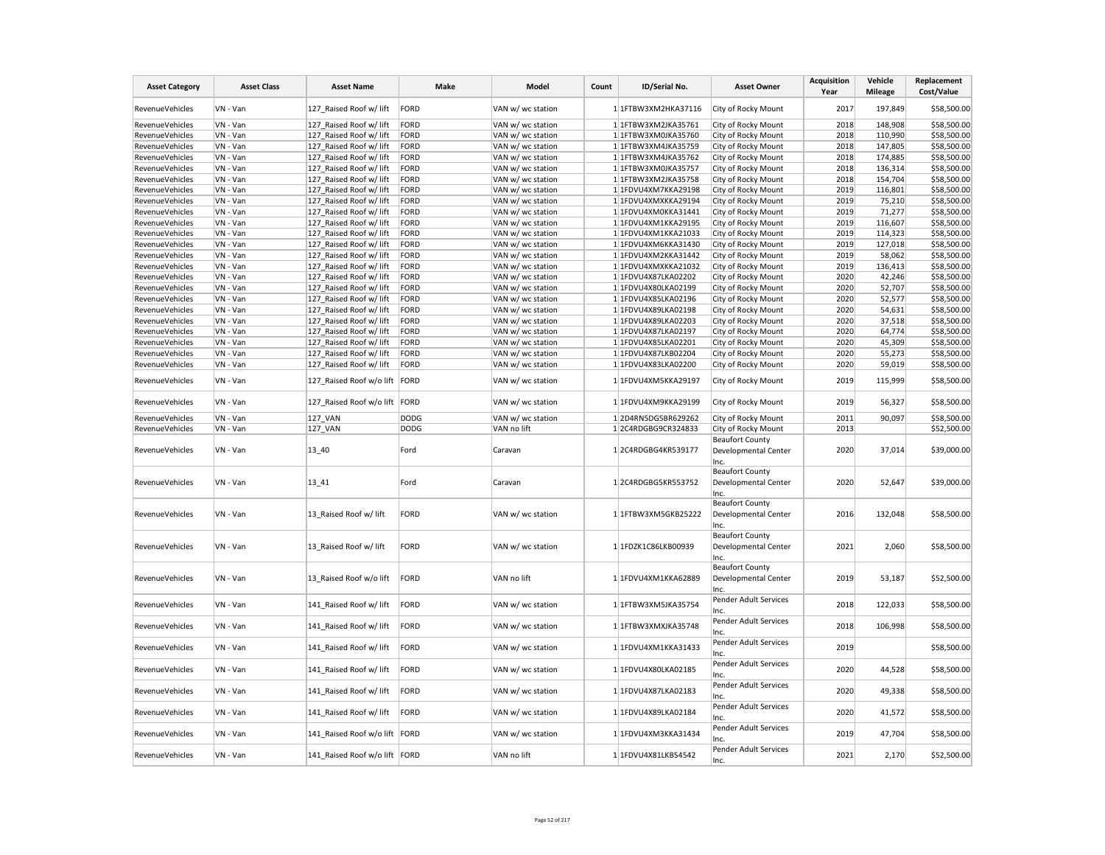| <b>Asset Category</b>              | <b>Asset Class</b>   | <b>Asset Name</b>                                        | Make        | Model                                  | Count | ID/Serial No.                              | <b>Asset Owner</b>                                     | <b>Acquisition</b><br>Year | Vehicle<br><b>Mileage</b> | Replacement<br>Cost/Value  |
|------------------------------------|----------------------|----------------------------------------------------------|-------------|----------------------------------------|-------|--------------------------------------------|--------------------------------------------------------|----------------------------|---------------------------|----------------------------|
| RevenueVehicles                    | VN - Van             | 127 Raised Roof w/ lift                                  | FORD        | VAN w/ wc station                      |       | 1 1FTBW3XM2HKA37116                        | City of Rocky Mount                                    | 2017                       | 197,849                   | \$58,500.00                |
| RevenueVehicles                    | VN - Van             | 127 Raised Roof w/ lift                                  | FORD        | VAN w/ wc station                      |       | 1 1FTBW3XM2JKA35761                        | City of Rocky Mount                                    | 2018                       | 148,908                   | \$58,500.00                |
| RevenueVehicles                    | VN - Van             | 127 Raised Roof w/ lift                                  | FORD        | VAN w/ wc station                      |       | 1 1FTBW3XM0JKA35760                        | City of Rocky Mount                                    | 2018                       | 110,990                   | \$58,500.00                |
| <b>RevenueVehicles</b>             | VN - Van             | 127_Raised Roof w/ lift                                  | FORD        | VAN w/ wc station                      |       | 1 1FTBW3XM4JKA35759                        | City of Rocky Mount                                    | 2018                       | 147,805                   | \$58,500.00                |
| <b>RevenueVehicles</b>             | VN - Van             | 127 Raised Roof w/ lift                                  | FORD        | VAN w/ wc station                      |       | 1 1FTBW3XM4JKA35762                        | City of Rocky Mount                                    | 2018                       | 174,885                   | \$58,500.00                |
| RevenueVehicles                    | VN - Van             | 127 Raised Roof w/ lift                                  | FORD        | VAN w/ wc station                      |       | 1 1FTBW3XM0JKA35757                        | City of Rocky Mount                                    | 2018                       | 136,314                   | \$58,500.00                |
| RevenueVehicles                    | VN - Van             | 127 Raised Roof w/ lift                                  | FORD        | VAN w/ wc station                      |       | 1 1FTBW3XM2JKA35758                        | City of Rocky Mount                                    | 2018                       | 154,704                   | \$58,500.00                |
| RevenueVehicles                    | VN - Van             | 127 Raised Roof w/ lift                                  | FORD        | VAN w/ wc station                      |       | 1 1FDVU4XM7KKA29198                        | City of Rocky Mount                                    | 2019                       | 116,801                   | \$58,500.00                |
| RevenueVehicles                    | VN - Van             | 127_Raised Roof w/ lift                                  | FORD        | VAN w/ wc station                      |       | 1 1FDVU4XMXKKA29194                        | City of Rocky Mount                                    | 2019                       | 75,210                    | \$58,500.00                |
| RevenueVehicles                    | VN - Van             | 127 Raised Roof w/ lift                                  | FORD        | VAN w/ wc station                      |       | 1 1FDVU4XM0KKA31441                        | City of Rocky Mount                                    | 2019                       | 71,277                    | \$58,500.00                |
| RevenueVehicles                    | VN - Van             | 127 Raised Roof w/ lift                                  | FORD        | VAN w/ wc station                      |       | 1 1FDVU4XM1KKA29195                        | City of Rocky Mount                                    | 2019                       | 116,607                   | \$58,500.00                |
| RevenueVehicles                    | VN - Van             | 127_Raised Roof w/ lift                                  | FORD        | VAN w/ wc station                      |       | 1 1FDVU4XM1KKA21033                        | City of Rocky Mount                                    | 2019                       | 114,323                   | \$58,500.00                |
| <b>RevenueVehicles</b>             | VN - Van             | 127 Raised Roof w/ lift                                  | FORD        | VAN w/ wc station                      |       | 1 1FDVU4XM6KKA31430                        | City of Rocky Mount                                    | 2019                       | 127,018                   | \$58,500.00                |
| RevenueVehicles                    | VN - Van             | 127 Raised Roof w/ lift                                  | FORD        | VAN w/ wc station                      |       | 1 1FDVU4XM2KKA31442                        | City of Rocky Mount                                    | 2019                       | 58,062                    | \$58,500.00                |
| RevenueVehicles                    | VN - Van             | 127 Raised Roof w/ lift                                  | FORD        | VAN w/ wc station                      |       | 1 1FDVU4XMXKKA21032                        | City of Rocky Mount                                    | 2019                       | 136,413                   | \$58,500.00                |
| RevenueVehicles                    | VN - Van             | 127 Raised Roof w/ lift                                  | FORD        | VAN w/ wc station                      |       | 1 1FDVU4X87LKA02202                        | City of Rocky Mount                                    | 2020                       | 42,246                    | \$58,500.00                |
| RevenueVehicles                    | VN - Van             | 127 Raised Roof w/ lift                                  | FORD        | VAN w/ wc station                      |       | 1 1FDVU4X80LKA02199                        | City of Rocky Mount                                    | 2020                       | 52,707                    | \$58,500.00                |
| RevenueVehicles                    | VN - Van             | 127 Raised Roof w/ lift                                  | FORD        | VAN w/ wc station                      |       | 1 1FDVU4X85LKA02196                        | City of Rocky Mount                                    | 2020                       | 52,577                    | \$58,500.00                |
| RevenueVehicles                    | VN - Van             | 127_Raised Roof w/ lift                                  | FORD        | VAN w/ wc station                      |       | 1 1FDVU4X89LKA02198                        | City of Rocky Mount                                    | 2020                       | 54,631                    | \$58,500.00                |
| RevenueVehicles                    | VN - Van             | 127 Raised Roof w/ lift                                  | FORD        | VAN w/ wc station                      |       | 1 1FDVU4X89LKA02203                        | City of Rocky Mount                                    | 2020                       | 37,518                    | \$58,500.00                |
| RevenueVehicles                    | VN - Van             | 127 Raised Roof w/ lift                                  | FORD        | VAN w/ wc station                      |       | 1 1FDVU4X87LKA02197                        | City of Rocky Mount                                    | 2020                       | 64,774                    | \$58,500.00                |
|                                    |                      |                                                          | FORD        |                                        |       |                                            |                                                        | 2020                       |                           | \$58,500.00                |
| RevenueVehicles                    | VN - Van             | 127 Raised Roof w/ lift                                  |             | VAN w/ wc station                      |       | 1 1FDVU4X85LKA02201                        | City of Rocky Mount                                    |                            | 45,309                    |                            |
| RevenueVehicles                    | VN - Van             | 127 Raised Roof w/ lift                                  | FORD        | VAN w/ wc station                      |       | 1 1FDVU4X87LKB02204                        | City of Rocky Mount                                    | 2020                       | 55,273                    | \$58,500.00                |
| RevenueVehicles<br>RevenueVehicles | VN - Van<br>VN - Van | 127 Raised Roof w/ lift<br>127_Raised Roof w/o lift FORD | FORD        | VAN w/ wc station<br>VAN w/ wc station |       | 1 1FDVU4X83LKA02200<br>1 1FDVU4XM5KKA29197 | City of Rocky Mount<br>City of Rocky Mount             | 2020<br>2019               | 59,019<br>115,999         | \$58,500.00<br>\$58,500.00 |
| RevenueVehicles                    | VN - Van             | 127 Raised Roof w/o lift FORD                            |             | VAN w/ wc station                      |       | 1 1FDVU4XM9KKA29199                        | City of Rocky Mount                                    | 2019                       | 56,327                    | \$58,500.00                |
|                                    |                      |                                                          |             |                                        |       |                                            |                                                        | 2011                       |                           |                            |
| RevenueVehicles                    | VN - Van             | 127 VAN                                                  | <b>DODG</b> | VAN w/ wc station                      |       | 12D4RN5DG5BR629262                         | City of Rocky Mount                                    |                            | 90,097                    | \$58,500.00                |
| RevenueVehicles                    | VN - Van             | 127_VAN                                                  | <b>DODG</b> | VAN no lift                            |       | 12C4RDGBG9CR324833                         | City of Rocky Mount                                    | 2013                       |                           | \$52,500.00                |
| RevenueVehicles                    | VN - Van             | 13_40                                                    | Ford        | Caravan                                |       | 12C4RDGBG4KR539177                         | <b>Beaufort County</b><br>Developmental Center<br>Inc. | 2020                       | 37,014                    | \$39,000.00                |
| RevenueVehicles                    | VN - Van             | 13 41                                                    | Ford        | Caravan                                |       | 12C4RDGBG5KR553752                         | <b>Beaufort County</b><br>Developmental Center         | 2020                       | 52,647                    | \$39,000.00                |
|                                    |                      |                                                          |             |                                        |       |                                            | Inc.<br><b>Beaufort County</b>                         |                            |                           |                            |
| RevenueVehicles                    | VN - Van             | 13_Raised Roof w/ lift                                   | FORD        | VAN w/ wc station                      |       | 1 1FTBW3XM5GKB25222                        | Developmental Center<br>Inc.                           | 2016                       | 132,048                   | \$58,500.00                |
|                                    |                      |                                                          |             |                                        |       |                                            | <b>Beaufort County</b>                                 |                            |                           |                            |
| RevenueVehicles                    | VN - Van             | 13_Raised Roof w/ lift                                   | FORD        | VAN w/ wc station                      |       | 1 1FDZK1C86LKB00939                        | Developmental Center<br>Inc.                           | 2021                       | 2,060                     | \$58,500.00                |
| RevenueVehicles                    | VN - Van             | 13 Raised Roof w/o lift                                  | FORD        | VAN no lift                            |       | 1 1FDVU4XM1KKA62889                        | <b>Beaufort County</b><br>Developmental Center<br>Inc. | 2019                       | 53,187                    | \$52,500.00                |
| RevenueVehicles                    | VN - Van             | 141 Raised Roof w/ lift                                  | FORD        | VAN w/ wc station                      |       | 1 1FTBW3XM5JKA35754                        | Pender Adult Services<br>Inc.                          | 2018                       | 122,033                   | \$58,500.00                |
| RevenueVehicles                    | VN - Van             | 141_Raised Roof w/ lift                                  | FORD        | VAN w/ wc station                      |       | 1 1FTBW3XMXJKA35748                        | Pender Adult Services<br>Inc.                          | 2018                       | 106,998                   | \$58,500.00                |
| RevenueVehicles                    | VN - Van             | 141 Raised Roof w/ lift                                  | FORD        | VAN w/ wc station                      |       | 1 1FDVU4XM1KKA31433                        | Pender Adult Services<br>Inc.                          | 2019                       |                           | \$58,500.00                |
| RevenueVehicles                    | VN - Van             | 141 Raised Roof w/ lift                                  | FORD        | VAN w/ wc station                      |       | 1 1FDVU4X80LKA02185                        | Pender Adult Services<br>Inc.                          | 2020                       | 44,528                    | \$58,500.00                |
| RevenueVehicles                    | VN - Van             | 141_Raised Roof w/ lift                                  | FORD        | VAN w/ wc station                      |       | 1 1FDVU4X87LKA02183                        | Pender Adult Services<br>Inc.                          | 2020                       | 49,338                    | \$58,500.00                |
| RevenueVehicles                    | VN - Van             | 141 Raised Roof w/ lift                                  | FORD        | VAN w/ wc station                      |       | 1 1FDVU4X89LKA02184                        | Pender Adult Services<br>Inc.                          | 2020                       | 41,572                    | \$58,500.00                |
| RevenueVehicles                    | VN - Van             | 141 Raised Roof w/o lift FORD                            |             | VAN w/ wc station                      |       | 1 1FDVU4XM3KKA31434                        | Pender Adult Services<br>Inc.                          | 2019                       | 47,704                    | \$58,500.00                |
| RevenueVehicles                    | VN - Van             | 141 Raised Roof w/o lift FORD                            |             | VAN no lift                            |       | 1 1FDVU4X81LKB54542                        | Pender Adult Services<br>Inc.                          | 2021                       | 2,170                     | \$52,500.00                |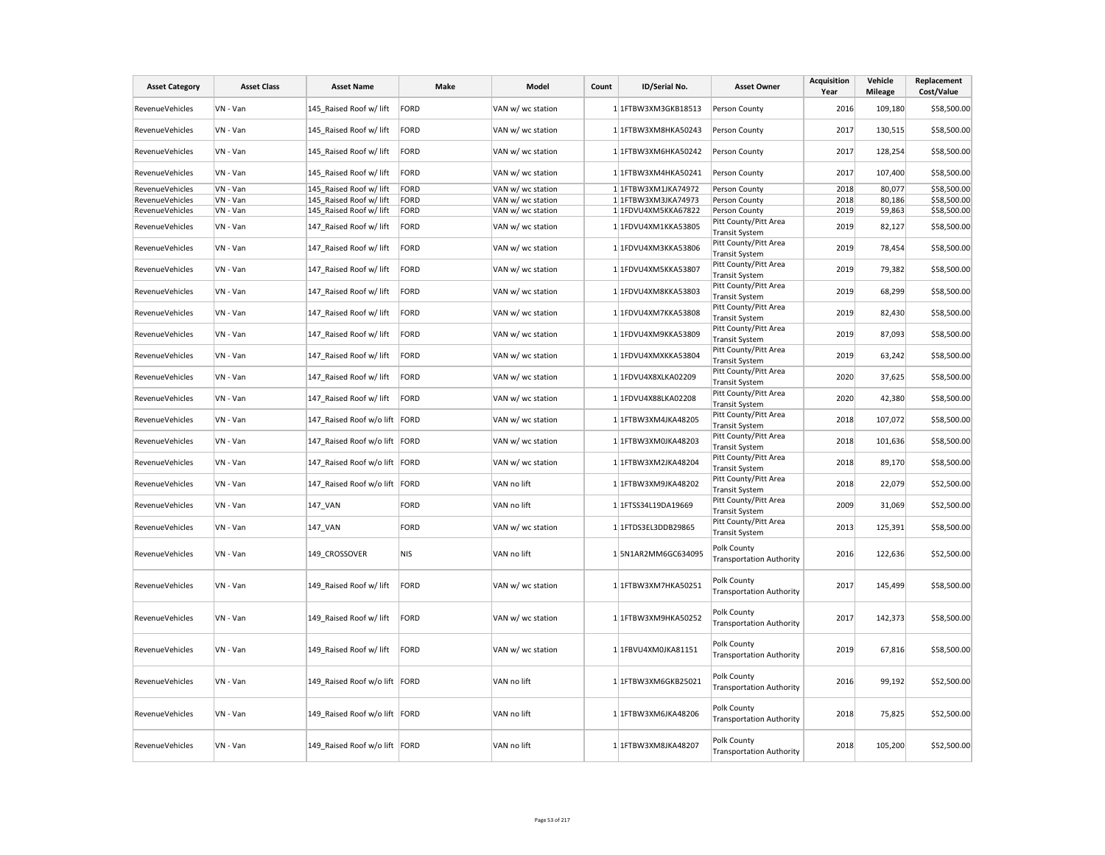| <b>Asset Category</b>  | <b>Asset Class</b> | <b>Asset Name</b>               | Make        | Model             | Count | ID/Serial No.         | <b>Asset Owner</b>                             | <b>Acquisition</b><br>Year | Vehicle<br><b>Mileage</b> | Replacement<br>Cost/Value |
|------------------------|--------------------|---------------------------------|-------------|-------------------|-------|-----------------------|------------------------------------------------|----------------------------|---------------------------|---------------------------|
| RevenueVehicles        | VN - Van           | 145 Raised Roof w/ lift         | FORD        | VAN w/ wc station |       | 1 1FTBW3XM3GKB18513   | Person County                                  | 2016                       | 109,180                   | \$58,500.00               |
| <b>RevenueVehicles</b> | VN - Van           | 145 Raised Roof w/ lift         | FORD        | VAN w/ wc station |       | 1 1FTBW3XM8HKA50243   | Person County                                  | 2017                       | 130,515                   | \$58,500.00               |
| RevenueVehicles        | VN - Van           | 145_Raised Roof w/ lift         | FORD        | VAN w/ wc station |       | 1 1FTBW3XM6HKA50242   | Person County                                  | 2017                       | 128,254                   | \$58,500.00               |
| RevenueVehicles        | VN - Van           | 145 Raised Roof w/ lift         | FORD        | VAN w/ wc station |       | 1 1FTBW3XM4HKA50241   | Person County                                  | 2017                       | 107,400                   | \$58,500.00               |
| <b>RevenueVehicles</b> | VN - Van           | 145 Raised Roof w/ lift         | FORD        | VAN w/ wc station |       | 1 1FTBW3XM1JKA74972   | Person County                                  | 2018                       | 80,077                    | \$58,500.00               |
| RevenueVehicles        | VN - Van           | 145_Raised Roof w/ lift         | FORD        | VAN w/ wc station |       | $1$ 1FTBW3XM3JKA74973 | Person County                                  | 2018                       | 80,186                    | \$58,500.00               |
| RevenueVehicles        | VN - Van           | 145 Raised Roof w/ lift         | FORD        | VAN w/ wc station |       | 1 1FDVU4XM5KKA67822   | Person County                                  | 2019                       | 59,863                    | \$58,500.00               |
| RevenueVehicles        | VN - Van           | 147 Raised Roof w/ lift         | FORD        | VAN w/ wc station |       | 1 1FDVU4XM1KKA53805   | Pitt County/Pitt Area<br><b>Transit System</b> | 2019                       | 82,127                    | \$58,500.00               |
| RevenueVehicles        | VN - Van           | 147 Raised Roof w/ lift         | FORD        | VAN w/ wc station |       | 1 1FDVU4XM3KKA53806   | Pitt County/Pitt Area<br><b>Transit System</b> | 2019                       | 78,454                    | \$58,500.00               |
| <b>RevenueVehicles</b> | VN - Van           | 147 Raised Roof w/ lift         | FORD        | VAN w/ wc station |       | 1 1FDVU4XM5KKA53807   | Pitt County/Pitt Area<br><b>Transit System</b> | 2019                       | 79,382                    | \$58,500.00               |
| RevenueVehicles        | VN - Van           | 147 Raised Roof w/ lift         | FORD        | VAN w/ wc station |       | 1 1FDVU4XM8KKA53803   | Pitt County/Pitt Area<br><b>Transit System</b> | 2019                       | 68,299                    | \$58,500.00               |
| <b>RevenueVehicles</b> | VN - Van           | 147_Raised Roof w/ lift         | FORD        | VAN w/ wc station |       | 1 1FDVU4XM7KKA53808   | Pitt County/Pitt Area<br><b>Transit System</b> | 2019                       | 82,430                    | \$58,500.00               |
| RevenueVehicles        | VN - Van           | 147 Raised Roof w/ lift         | FORD        | VAN w/ wc station |       | 1 1FDVU4XM9KKA53809   | Pitt County/Pitt Area<br><b>Transit System</b> | 2019                       | 87,093                    | \$58,500.00               |
| RevenueVehicles        | VN - Van           | 147 Raised Roof w/ lift         | FORD        | VAN w/ wc station |       | 1 1FDVU4XMXKKA53804   | Pitt County/Pitt Area<br><b>Transit System</b> | 2019                       | 63,242                    | \$58,500.00               |
| <b>RevenueVehicles</b> | VN - Van           | 147 Raised Roof w/ lift         | FORD        | VAN w/ wc station |       | 1 1FDVU4X8XLKA02209   | Pitt County/Pitt Area<br><b>Transit System</b> | 2020                       | 37,625                    | \$58,500.00               |
| <b>RevenueVehicles</b> | VN - Van           | 147_Raised Roof w/ lift         | FORD        | VAN w/ wc station |       | 1 1FDVU4X88LKA02208   | Pitt County/Pitt Area<br><b>Transit System</b> | 2020                       | 42,380                    | \$58,500.00               |
| RevenueVehicles        | VN - Van           | 147_Raised Roof w/o lift FORD   |             | VAN w/ wc station |       | 1 1FTBW3XM4JKA48205   | Pitt County/Pitt Area<br><b>Transit System</b> | 2018                       | 107,072                   | \$58,500.00               |
| <b>RevenueVehicles</b> | VN - Van           | 147 Raised Roof w/o lift   FORD |             | VAN w/ wc station |       | 1 1FTBW3XM0JKA48203   | Pitt County/Pitt Area<br><b>Transit System</b> | 2018                       | 101,636                   | \$58,500.00               |
| RevenueVehicles        | VN - Van           | 147 Raised Roof w/o lift FORD   |             | VAN w/ wc station |       | 1 1FTBW3XM2JKA48204   | Pitt County/Pitt Area<br><b>Transit System</b> | 2018                       | 89,170                    | \$58,500.00               |
| RevenueVehicles        | VN - Van           | 147_Raised Roof w/o lift FORD   |             | VAN no lift       |       | 1 1FTBW3XM9JKA48202   | Pitt County/Pitt Area<br><b>Transit System</b> | 2018                       | 22,079                    | \$52,500.00               |
| <b>RevenueVehicles</b> | VN - Van           | 147 VAN                         | <b>FORD</b> | VAN no lift       |       | 1 1FTSS34L19DA19669   | Pitt County/Pitt Area<br><b>Transit System</b> | 2009                       | 31,069                    | \$52,500.00               |
| RevenueVehicles        | VN - Van           | 147_VAN                         | FORD        | VAN w/ wc station |       | 1 1FTDS3EL3DDB29865   | Pitt County/Pitt Area<br><b>Transit System</b> | 2013                       | 125,391                   | \$58,500.00               |
| <b>RevenueVehicles</b> | VN - Van           | 149 CROSSOVER                   | NIS         | VAN no lift       |       | 15N1AR2MM6GC634095    | Polk County<br><b>Transportation Authority</b> | 2016                       | 122,636                   | \$52,500.00               |
| <b>RevenueVehicles</b> | VN - Van           | 149 Raised Roof w/ lift         | FORD        | VAN w/ wc station |       | 1 1FTBW3XM7HKA50251   | Polk County<br><b>Transportation Authority</b> | 2017                       | 145,499                   | \$58,500.00               |
| RevenueVehicles        | VN - Van           | 149 Raised Roof w/ lift         | FORD        | VAN w/ wc station |       | 1 1FTBW3XM9HKA50252   | Polk County<br><b>Transportation Authority</b> | 2017                       | 142,373                   | \$58,500.00               |
| RevenueVehicles        | VN - Van           | 149 Raised Roof w/ lift         | FORD        | VAN w/ wc station |       | 1 1FBVU4XM0JKA81151   | Polk County<br><b>Transportation Authority</b> | 2019                       | 67,816                    | \$58,500.00               |
| RevenueVehicles        | VN - Van           | 149 Raised Roof w/o lift FORD   |             | VAN no lift       |       | 1 1FTBW3XM6GKB25021   | Polk County<br><b>Transportation Authority</b> | 2016                       | 99,192                    | \$52,500.00               |
| <b>RevenueVehicles</b> | VN - Van           | 149 Raised Roof w/o lift   FORD |             | VAN no lift       |       | 1 1FTBW3XM6JKA48206   | Polk County<br><b>Transportation Authority</b> | 2018                       | 75,825                    | \$52,500.00               |
| RevenueVehicles        | VN - Van           | 149 Raised Roof w/o lift   FORD |             | VAN no lift       |       | 1 1FTBW3XM8JKA48207   | Polk County<br><b>Transportation Authority</b> | 2018                       | 105,200                   | \$52,500.00               |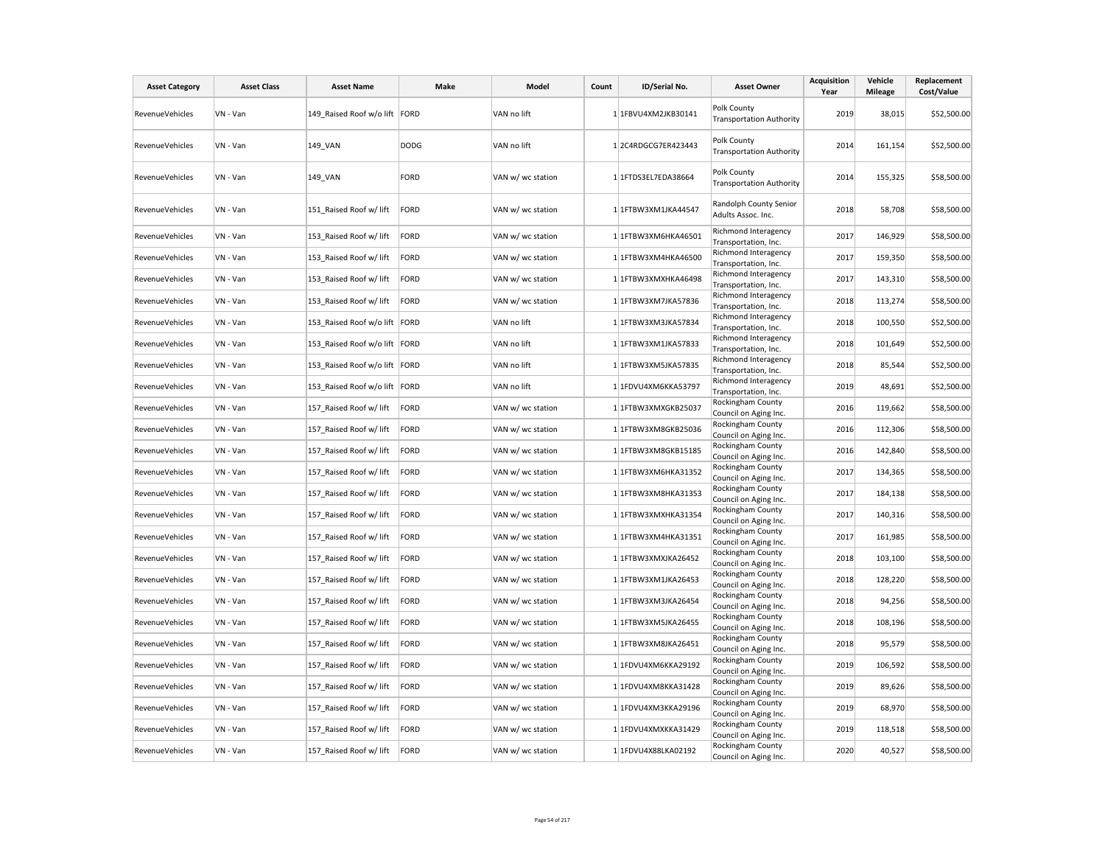| <b>Asset Category</b>  | <b>Asset Class</b> | <b>Asset Name</b>               | Make        | Model             | Count | ID/Serial No.           | <b>Asset Owner</b>                                                  | Acquisition<br>Year | Vehicle<br><b>Mileage</b> | Replacement<br>Cost/Value |
|------------------------|--------------------|---------------------------------|-------------|-------------------|-------|-------------------------|---------------------------------------------------------------------|---------------------|---------------------------|---------------------------|
| RevenueVehicles        | VN - Van           | 149_Raised Roof w/o lift FORD   |             | VAN no lift       |       | 1 1FBVU4XM2JKB30141     | Polk County<br><b>Transportation Authority</b>                      | 2019                | 38,015                    | \$52,500.00               |
| <b>RevenueVehicles</b> | VN - Van           | 149_VAN                         | <b>DODG</b> | VAN no lift       |       | 12C4RDGCG7ER423443      | Polk County<br><b>Transportation Authority</b>                      | 2014                | 161,154                   | \$52,500.00               |
| <b>RevenueVehicles</b> | VN - Van           | 149_VAN                         | <b>FORD</b> | VAN w/ wc station |       | 1 1FTDS3EL7EDA38664     | Polk County<br><b>Transportation Authority</b>                      | 2014                | 155,325                   | \$58,500.00               |
| RevenueVehicles        | VN - Van           | 151 Raised Roof w/ lift         | FORD        | VAN w/ wc station |       | 1 1FTBW3XM1JKA44547     | Randolph County Senior<br>Adults Assoc. Inc.                        | 2018                | 58,708                    | \$58,500.00               |
| RevenueVehicles        | VN - Van           | 153 Raised Roof w/ lift         | FORD        | VAN w/ wc station |       | 1 1FTBW3XM6HKA46501     | Richmond Interagency<br>Transportation, Inc.                        | 2017                | 146,929                   | \$58,500.00               |
| RevenueVehicles        | VN - Van           | 153_Raised Roof w/ lift         | FORD        | VAN w/ wc station |       | 1 1FTBW3XM4HKA46500     | Richmond Interagency<br>Transportation, Inc.                        | 2017                | 159,350                   | \$58,500.00               |
| RevenueVehicles        | VN - Van           | 153 Raised Roof w/ lift         | FORD        | VAN w/ wc station |       | 1 1FTBW3XMXHKA46498     | Richmond Interagency<br>Transportation, Inc.                        | 2017                | 143,310                   | \$58,500.00               |
| RevenueVehicles        | VN - Van           | 153 Raised Roof w/ lift         | FORD        | VAN w/ wc station |       | 1 1FTBW3XM7JKA57836     | Richmond Interagency<br>Transportation, Inc.                        | 2018                | 113,274                   | \$58,500.00               |
| RevenueVehicles        | VN - Van           | 153_Raised Roof w/o lift FORD   |             | VAN no lift       |       | 1 1FTBW3XM3JKA57834     | Richmond Interagency<br>Transportation, Inc.                        | 2018                | 100,550                   | \$52,500.00               |
| <b>RevenueVehicles</b> | VN - Van           | 153_Raised Roof w/o lift FORD   |             | VAN no lift       |       | 1 1FTBW3XM1JKA57833     | Richmond Interagency<br>Transportation, Inc.                        | 2018                | 101,649                   | \$52,500.00               |
| <b>RevenueVehicles</b> | VN - Van           | 153 Raised Roof w/o lift   FORD |             | VAN no lift       |       | 1 1FTBW3XM5JKA57835     | Richmond Interagency<br>Transportation, Inc.                        | 2018                | 85,544                    | \$52,500.00               |
| RevenueVehicles        | VN - Van           | 153_Raised Roof w/o lift FORD   |             | VAN no lift       |       | 1 1FDVU4XM6KKA53797     | Richmond Interagency<br>Transportation, Inc.                        | 2019                | 48,691                    | \$52,500.00               |
| <b>RevenueVehicles</b> | VN - Van           | 157 Raised Roof w/ lift         | FORD        | VAN w/ wc station |       | 1 1FTBW3XMXGKB25037     | Rockingham County<br>Council on Aging Inc.                          | 2016                | 119,662                   | \$58,500.00               |
| <b>RevenueVehicles</b> | VN - Van           | 157_Raised Roof w/ lift         | FORD        | VAN w/ wc station |       | 1 1FTBW3XM8GKB25036     | Rockingham County<br>Council on Aging Inc.                          | 2016                | 112,306                   | \$58,500.00               |
| <b>RevenueVehicles</b> | VN - Van           | 157_Raised Roof w/ lift         | FORD        | VAN w/ wc station |       | 1 1FTBW3XM8GKB15185     | Rockingham County<br>Council on Aging Inc.                          | 2016                | 142,840                   | \$58,500.00               |
| RevenueVehicles        | VN - Van           | 157_Raised Roof w/ lift         | <b>FORD</b> | VAN w/ wc station |       | 1 1FTBW3XM6HKA31352     | Rockingham County<br>Council on Aging Inc.                          | 2017                | 134,365                   | \$58,500.00               |
| RevenueVehicles        | VN - Van           | 157 Raised Roof w/ lift         | FORD        | VAN w/ wc station |       | $1$   1FTBW3XM8HKA31353 | Rockingham County<br>Council on Aging Inc.                          | 2017                | 184,138                   | \$58,500.00               |
| <b>RevenueVehicles</b> | VN - Van           | 157 Raised Roof w/ lift         | FORD        | VAN w/ wc station |       | 1 1FTBW3XMXHKA31354     | Rockingham County<br>Council on Aging Inc.                          | 2017                | 140,316                   | \$58,500.00               |
| RevenueVehicles        | VN - Van           | 157_Raised Roof w/ lift         | FORD        | VAN w/ wc station |       | 1 1FTBW3XM4HKA31351     | Rockingham County                                                   | 2017                | 161,985                   | \$58,500.00               |
| <b>RevenueVehicles</b> | VN - Van           | 157 Raised Roof w/ lift         | FORD        | VAN w/ wc station |       | 1 1FTBW3XMXJKA26452     | Council on Aging Inc.<br>Rockingham County                          | 2018                | 103,100                   | \$58,500.00               |
| RevenueVehicles        | VN - Van           | 157_Raised Roof w/ lift         | FORD        | VAN w/ wc station |       | 1 1FTBW3XM1JKA26453     | Council on Aging Inc.<br>Rockingham County                          | 2018                | 128,220                   | \$58,500.00               |
| RevenueVehicles        | VN - Van           | 157 Raised Roof w/ lift         | FORD        | VAN w/ wc station |       | 1 1FTBW3XM3JKA26454     | Council on Aging Inc.<br>Rockingham County                          | 2018                | 94,256                    | \$58,500.00               |
| <b>RevenueVehicles</b> | VN - Van           | 157_Raised Roof w/ lift         | FORD        | VAN w/ wc station |       | 1 1FTBW3XM5JKA26455     | Council on Aging Inc.<br>Rockingham County                          | 2018                | 108,196                   | \$58,500.00               |
| RevenueVehicles        | VN - Van           | 157 Raised Roof w/ lift         | <b>FORD</b> | VAN w/ wc station |       | 1 1FTBW3XM8JKA26451     | Council on Aging Inc.<br>Rockingham County                          | 2018                | 95,579                    | \$58,500.00               |
| RevenueVehicles        | VN - Van           | 157_Raised Roof w/ lift         | FORD        | VAN w/ wc station |       | 1 1FDVU4XM6KKA29192     | Council on Aging Inc.<br>Rockingham County                          | 2019                | 106,592                   | \$58,500.00               |
| RevenueVehicles        | VN - Van           | 157 Raised Roof w/ lift         | FORD        | VAN w/ wc station |       | 1 1FDVU4XM8KKA31428     | Council on Aging Inc.<br>Rockingham County                          | 2019                | 89,626                    | \$58,500.00               |
| RevenueVehicles        | VN - Van           | 157_Raised Roof w/ lift         | FORD        | VAN w/ wc station |       | 1 1FDVU4XM3KKA29196     | Council on Aging Inc.<br>Rockingham County                          | 2019                | 68,970                    | \$58,500.00               |
| RevenueVehicles        | VN - Van           | 157_Raised Roof w/ lift         | FORD        | VAN w/ wc station |       | 1 1FDVU4XMXKKA31429     | Council on Aging Inc.<br>Rockingham County                          | 2019                | 118,518                   | \$58,500.00               |
| RevenueVehicles        | VN - Van           | 157_Raised Roof w/ lift         | FORD        | VAN w/ wc station |       | 1 1FDVU4X88LKA02192     | Council on Aging Inc.<br>Rockingham County<br>Council on Aging Inc. | 2020                | 40,527                    | \$58,500.00               |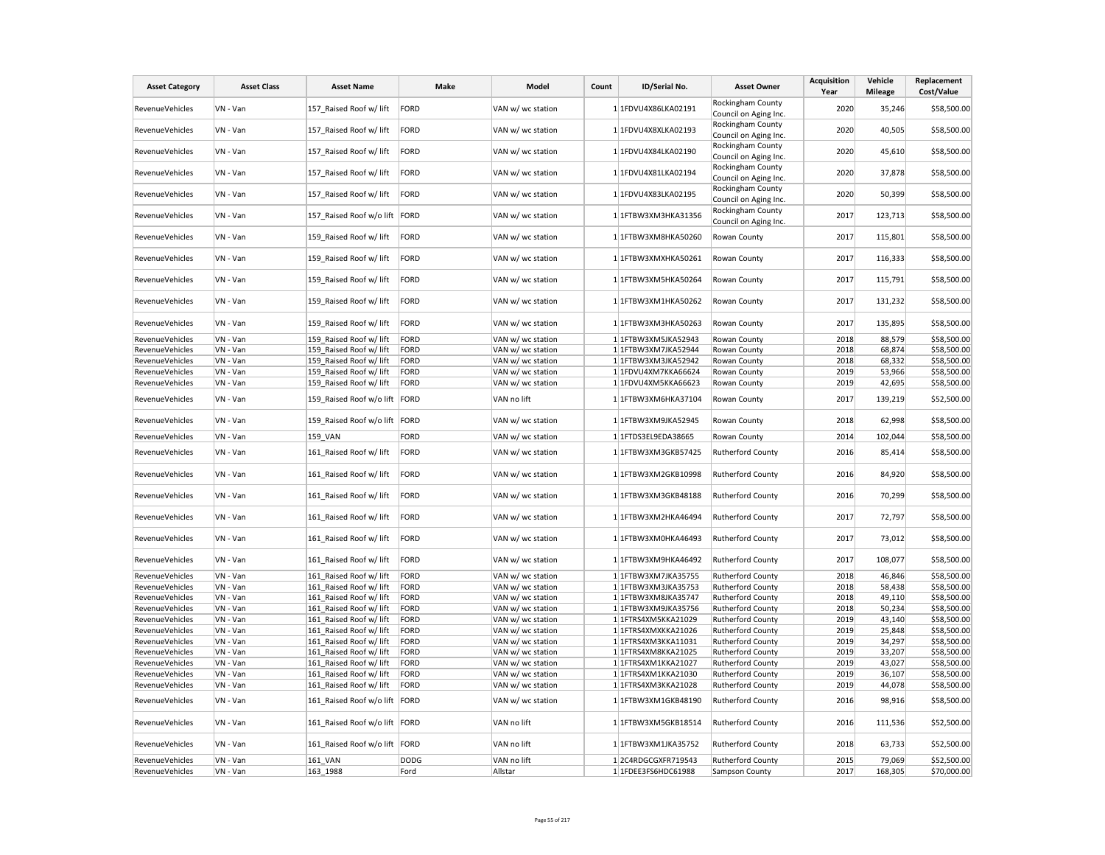| <b>Asset Category</b>  | <b>Asset Class</b> | <b>Asset Name</b>               | Make        | Model             | Count | ID/Serial No.         | <b>Asset Owner</b>                         | <b>Acquisition</b><br>Year | Vehicle<br><b>Mileage</b> | Replacement<br>Cost/Value |
|------------------------|--------------------|---------------------------------|-------------|-------------------|-------|-----------------------|--------------------------------------------|----------------------------|---------------------------|---------------------------|
| RevenueVehicles        | VN - Van           | 157 Raised Roof w/ lift         | FORD        | VAN w/ wc station |       | 1 1FDVU4X86LKA02191   | Rockingham County<br>Council on Aging Inc. | 2020                       | 35,246                    | \$58,500.00               |
| RevenueVehicles        | VN - Van           | 157_Raised Roof w/ lift         | FORD        | VAN w/ wc station |       | 1 1FDVU4X8XLKA02193   | Rockingham County<br>Council on Aging Inc. | 2020                       | 40,505                    | \$58,500.00               |
| <b>RevenueVehicles</b> | VN - Van           | 157 Raised Roof w/ lift         | FORD        | VAN w/ wc station |       | 1 1FDVU4X84LKA02190   | Rockingham County<br>Council on Aging Inc. | 2020                       | 45,610                    | \$58,500.00               |
| RevenueVehicles        | VN - Van           | 157 Raised Roof w/ lift         | FORD        | VAN w/ wc station |       | 1 1FDVU4X81LKA02194   | Rockingham County<br>Council on Aging Inc. | 2020                       | 37,878                    | \$58,500.00               |
| RevenueVehicles        | VN - Van           | 157 Raised Roof w/ lift         | FORD        | VAN w/ wc station |       | 1 1FDVU4X83LKA02195   | Rockingham County<br>Council on Aging Inc. | 2020                       | 50,399                    | \$58,500.00               |
| RevenueVehicles        | VN - Van           | 157_Raised Roof w/o lift FORD   |             | VAN w/ wc station |       | $1$ 1FTBW3XM3HKA31356 | Rockingham County<br>Council on Aging Inc. | 2017                       | 123,713                   | \$58,500.00               |
| <b>RevenueVehicles</b> | VN - Van           | 159 Raised Roof w/ lift         | FORD        | VAN w/ wc station |       | 1 1FTBW3XM8HKA50260   | Rowan County                               | 2017                       | 115,801                   | \$58,500.00               |
| RevenueVehicles        | VN - Van           | 159_Raised Roof w/ lift         | FORD        | VAN w/ wc station |       | 1 1FTBW3XMXHKA50261   | Rowan County                               | 2017                       | 116,333                   | \$58,500.00               |
| RevenueVehicles        | VN - Van           | 159 Raised Roof w/ lift         | FORD        | VAN w/ wc station |       | 1 1FTBW3XM5HKA50264   | Rowan County                               | 2017                       | 115,791                   | \$58,500.00               |
| <b>RevenueVehicles</b> | VN - Van           | 159 Raised Roof w/ lift         | FORD        | VAN w/ wc station |       | 1 1FTBW3XM1HKA50262   | Rowan County                               | 2017                       | 131,232                   | \$58,500.00               |
| RevenueVehicles        | VN - Van           | 159_Raised Roof w/ lift         | FORD        | VAN w/ wc station |       | 1 1FTBW3XM3HKA50263   | Rowan County                               | 2017                       | 135,895                   | \$58,500.00               |
| RevenueVehicles        | VN - Van           | 159 Raised Roof w/ lift         | FORD        | VAN w/ wc station |       | 1 1FTBW3XM5JKA52943   | Rowan County                               | 2018                       | 88,579                    | \$58,500.00               |
| RevenueVehicles        | VN - Van           | 159 Raised Roof w/ lift         | FORD        | VAN w/ wc station |       | 1 1FTBW3XM7JKA52944   | Rowan County                               | 2018                       | 68,874                    | \$58,500.00               |
| RevenueVehicles        | VN - Van           | 159 Raised Roof w/ lift         | FORD        | VAN w/ wc station |       | 1 1FTBW3XM3JKA52942   | Rowan County                               | 2018                       | 68,332                    | \$58,500.00               |
| RevenueVehicles        | VN - Van           | 159 Raised Roof w/ lift         | FORD        | VAN w/ wc station |       | 1 1FDVU4XM7KKA66624   | Rowan County                               | 2019                       | 53,966                    | \$58,500.00               |
| RevenueVehicles        | VN - Van           | 159 Raised Roof w/ lift         | FORD        | VAN w/ wc station |       | 1 1FDVU4XM5KKA66623   | Rowan County                               | 2019                       | 42,695                    | \$58,500.00               |
| RevenueVehicles        | VN - Van           | 159 Raised Roof w/o lift FORD   |             | VAN no lift       |       | 1 1FTBW3XM6HKA37104   | Rowan County                               | 2017                       | 139,219                   | \$52,500.00               |
| RevenueVehicles        | VN - Van           | 159 Raised Roof w/o lift FORD   |             | VAN w/ wc station |       | 1 1FTBW3XM9JKA52945   | Rowan County                               | 2018                       | 62,998                    | \$58,500.00               |
| RevenueVehicles        | VN - Van           | 159 VAN                         | FORD        | VAN w/ wc station |       | 1 1FTDS3EL9EDA38665   | Rowan County                               | 2014                       | 102,044                   | \$58,500.00               |
| RevenueVehicles        | VN - Van           | 161 Raised Roof w/ lift         | FORD        | VAN w/ wc station |       | 1 1FTBW3XM3GKB57425   | Rutherford County                          | 2016                       | 85,414                    | \$58,500.00               |
| RevenueVehicles        | VN - Van           | 161 Raised Roof w/ lift         | FORD        | VAN w/ wc station |       | 1 1FTBW3XM2GKB10998   | <b>Rutherford County</b>                   | 2016                       | 84,920                    | \$58,500.00               |
| RevenueVehicles        | VN - Van           | 161 Raised Roof w/ lift         | FORD        | VAN w/ wc station |       | 1 1FTBW3XM3GKB48188   | <b>Rutherford County</b>                   | 2016                       | 70,299                    | \$58,500.00               |
| <b>RevenueVehicles</b> | VN - Van           | 161 Raised Roof w/ lift         | FORD        | VAN w/ wc station |       | 1 1FTBW3XM2HKA46494   | <b>Rutherford County</b>                   | 2017                       | 72,797                    | \$58,500.00               |
| RevenueVehicles        | VN - Van           | 161 Raised Roof w/ lift         | FORD        | VAN w/ wc station |       | 1 1FTBW3XM0HKA46493   | <b>Rutherford County</b>                   | 2017                       | 73,012                    | \$58,500.00               |
| RevenueVehicles        | VN - Van           | 161 Raised Roof w/ lift         | FORD        | VAN w/ wc station |       | 1 1FTBW3XM9HKA46492   | Rutherford County                          | 2017                       | 108,077                   | \$58,500.00               |
| RevenueVehicles        | VN - Van           | 161 Raised Roof w/ lift         | FORD        | VAN w/ wc station |       | 1 1FTBW3XM7JKA35755   | Rutherford County                          | 2018                       | 46,846                    | \$58,500.00               |
| RevenueVehicles        | VN - Van           | 161 Raised Roof w/ lift         | FORD        | VAN w/ wc station |       | 1 1FTBW3XM3JKA35753   | <b>Rutherford County</b>                   | 2018                       | 58,438                    | \$58,500.00               |
| RevenueVehicles        | VN - Van           | 161 Raised Roof w/ lift         | FORD        | VAN w/ wc station |       | 1 1FTBW3XM8JKA35747   | <b>Rutherford County</b>                   | 2018                       | 49,110                    | \$58,500.00               |
| RevenueVehicles        | VN - Van           | 161 Raised Roof w/ lift         | FORD        | VAN w/ wc station |       | 1 1FTBW3XM9JKA35756   | Rutherford County                          | 2018                       | 50,234                    | \$58,500.00               |
| <b>RevenueVehicles</b> | VN - Van           | 161 Raised Roof w/ lift         | FORD        | VAN w/ wc station |       | 1 1FTRS4XM5KKA21029   | Rutherford County                          | 2019                       | 43,140                    | \$58,500.00               |
| RevenueVehicles        | VN - Van           | 161 Raised Roof w/ lift         | FORD        | VAN w/ wc station |       | 1 1FTRS4XMXKKA21026   | <b>Rutherford County</b>                   | 2019                       | 25,848                    | \$58,500.00               |
| RevenueVehicles        | VN - Van           | 161 Raised Roof w/ lift         | FORD        | VAN w/ wc station |       | 1 1FTRS4XM3KKA11031   | Rutherford County                          | 2019                       | 34,297                    | \$58,500.00               |
| RevenueVehicles        | VN - Van           | 161 Raised Roof w/ lift         | FORD        | VAN w/ wc station |       | 1 1FTRS4XM8KKA21025   | <b>Rutherford County</b>                   | 2019                       | 33,207                    | \$58,500.00               |
| <b>RevenueVehicles</b> | VN - Van           | 161 Raised Roof w/ lift         | FORD        | VAN w/ wc station |       | 1 1FTRS4XM1KKA21027   | <b>Rutherford County</b>                   | 2019                       | 43,027                    | \$58,500.00               |
| RevenueVehicles        | VN - Van           | 161_Raised Roof w/ lift         | FORD        | VAN w/ wc station |       | 1 1FTRS4XM1KKA21030   | Rutherford County                          | 2019                       | 36,107                    | \$58,500.00               |
| RevenueVehicles        | VN - Van           | 161 Raised Roof w/ lift         | FORD        | VAN w/ wc station |       | 1 1FTRS4XM3KKA21028   | <b>Rutherford County</b>                   | 2019                       | 44,078                    | \$58,500.00               |
| <b>RevenueVehicles</b> | VN - Van           | 161 Raised Roof w/o lift   FORD |             | VAN w/ wc station |       | 1 1FTBW3XM1GKB48190   | <b>Rutherford County</b>                   | 2016                       | 98,916                    | \$58,500.00               |
| RevenueVehicles        | VN - Van           | 161_Raised Roof w/o lift   FORD |             | VAN no lift       |       | 1 1FTBW3XM5GKB18514   | Rutherford County                          | 2016                       | 111,536                   | \$52,500.00               |
| <b>RevenueVehicles</b> | VN - Van           | 161 Raised Roof w/o lift FORD   |             | VAN no lift       |       | 1 1FTBW3XM1JKA35752   | <b>Rutherford County</b>                   | 2018                       | 63,733                    | \$52,500.00               |
| <b>RevenueVehicles</b> | VN - Van           | <b>161 VAN</b>                  | <b>DODG</b> | VAN no lift       |       | 1 2C4RDGCGXFR719543   | <b>Rutherford County</b>                   | 2015                       | 79,069                    | \$52,500.00               |
| RevenueVehicles        | VN - Van           | 163_1988                        | Ford        | Allstar           |       | 1 1FDEE3FS6HDC61988   | Sampson County                             | 2017                       | 168,305                   | \$70,000.00               |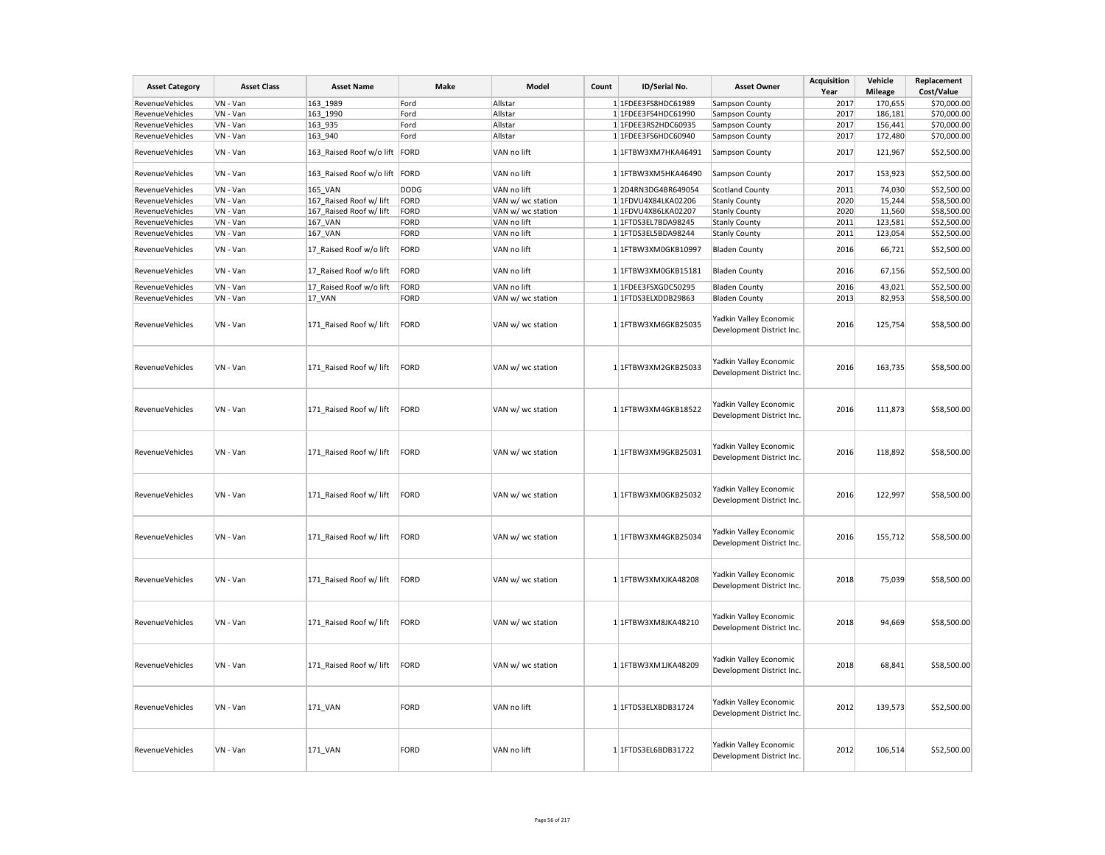| <b>Asset Category</b>  | <b>Asset Class</b> | <b>Asset Name</b>             | Make        | Model             | Count | ID/Serial No.       | <b>Asset Owner</b>                                  | Acquisition<br>Year | Vehicle<br><b>Mileage</b> | Replacement<br>Cost/Value |
|------------------------|--------------------|-------------------------------|-------------|-------------------|-------|---------------------|-----------------------------------------------------|---------------------|---------------------------|---------------------------|
|                        | VN - Van           | 163 1989                      |             |                   |       | 1 1FDEE3FS8HDC61989 |                                                     | 2017                |                           | \$70,000.00               |
| RevenueVehicles        |                    |                               | Ford        | Allstar           |       |                     | Sampson County                                      |                     | 170,655                   |                           |
| RevenueVehicles        | VN - Van           | 163 1990                      | Ford        | Allstar           |       | 1 1FDEE3FS4HDC61990 | Sampson County                                      | 2017                | 186,181                   | \$70,000.00               |
| RevenueVehicles        | VN - Van           | 163_935                       | Ford        | Allstar           |       | 1 1FDEE3RS2HDC60935 | Sampson County                                      | 2017                | 156,441                   | \$70,000.00               |
| RevenueVehicles        | VN - Van           | 163_940                       | Ford        | Allstar           |       | 1 1FDEE3FS6HDC60940 | Sampson County                                      | 2017                | 172,480                   | \$70,000.00               |
| RevenueVehicles        | VN - Van           | 163_Raised Roof w/o lift FORD |             | VAN no lift       |       | 1 1FTBW3XM7HKA46491 | Sampson County                                      | 2017                | 121,967                   | \$52,500.00               |
| RevenueVehicles        | VN - Van           | 163_Raised Roof w/o lift FORD |             | VAN no lift       |       | 1 1FTBW3XM5HKA46490 | Sampson County                                      | 2017                | 153,923                   | \$52,500.00               |
| RevenueVehicles        | VN - Van           | 165_VAN                       | <b>DODG</b> | VAN no lift       |       | 12D4RN3DG4BR649054  | <b>Scotland County</b>                              | 2011                | 74,030                    | \$52,500.00               |
| RevenueVehicles        | VN - Van           | 167 Raised Roof w/ lift       | FORD        | VAN w/ wc station |       | 1 1FDVU4X84LKA02206 | <b>Stanly County</b>                                | 2020                | 15,244                    | \$58,500.00               |
| RevenueVehicles        | VN - Van           | 167 Raised Roof w/ lift       | FORD        | VAN w/ wc station |       | 1 1FDVU4X86LKA02207 | <b>Stanly County</b>                                | 2020                | 11,560                    | \$58,500.00               |
| RevenueVehicles        | VN - Van           | 167_VAN                       | FORD        | VAN no lift       |       | 1 1FTDS3EL7BDA98245 | <b>Stanly County</b>                                | 2011                | 123,581                   | \$52,500.00               |
| RevenueVehicles        | VN - Van           | 167_VAN                       | FORD        | VAN no lift       |       | 1 1FTDS3EL5BDA98244 | <b>Stanly County</b>                                | 2011                | 123,054                   | \$52,500.00               |
| RevenueVehicles        | VN - Van           | 17_Raised Roof w/o lift       | FORD        | VAN no lift       |       | 1 1FTBW3XM0GKB10997 | <b>Bladen County</b>                                | 2016                | 66,721                    | \$52,500.00               |
| <b>RevenueVehicles</b> | VN - Van           | 17_Raised Roof w/o lift       | FORD        | VAN no lift       |       | 1 1FTBW3XM0GKB15181 | <b>Bladen County</b>                                | 2016                | 67,156                    | \$52,500.00               |
| RevenueVehicles        | VN - Van           | 17_Raised Roof w/o lift       | FORD        | VAN no lift       |       | 1 1FDEE3FSXGDC50295 | <b>Bladen County</b>                                | 2016                | 43,021                    | \$52,500.00               |
| RevenueVehicles        | VN - Van           | 17_VAN                        | FORD        | VAN w/ wc station |       | 1 1FTDS3ELXDDB29863 | <b>Bladen County</b>                                | 2013                | 82,953                    | \$58,500.00               |
| RevenueVehicles        | VN - Van           | 171_Raised Roof w/ lift       | FORD        | VAN w/ wc station |       | 1 1FTBW3XM6GKB25035 | Yadkin Valley Economic<br>Development District Inc. | 2016                | 125,754                   | \$58,500.00               |
| RevenueVehicles        | VN - Van           | 171 Raised Roof w/ lift       | FORD        | VAN w/ wc station |       | 1 1FTBW3XM2GKB25033 | Yadkin Valley Economic<br>Development District Inc. | 2016                | 163,735                   | \$58,500.00               |
| RevenueVehicles        | VN - Van           | 171_Raised Roof w/ lift       | FORD        | VAN w/ wc station |       | 1 1FTBW3XM4GKB18522 | Yadkin Valley Economic<br>Development District Inc. | 2016                | 111,873                   | \$58,500.00               |
| RevenueVehicles        | VN - Van           | 171_Raised Roof w/ lift       | FORD        | VAN w/ wc station |       | 1 1FTBW3XM9GKB25031 | Yadkin Valley Economic<br>Development District Inc. | 2016                | 118,892                   | \$58,500.00               |
| RevenueVehicles        | VN - Van           | 171 Raised Roof w/ lift       | FORD        | VAN w/ wc station |       | 1 1FTBW3XM0GKB25032 | Yadkin Valley Economic<br>Development District Inc. | 2016                | 122,997                   | \$58,500.00               |
| RevenueVehicles        | VN - Van           | 171_Raised Roof w/ lift       | FORD        | VAN w/ wc station |       | 1 1FTBW3XM4GKB25034 | Yadkin Valley Economic<br>Development District Inc. | 2016                | 155,712                   | \$58,500.00               |
| RevenueVehicles        | VN - Van           | 171_Raised Roof w/ lift       | FORD        | VAN w/ wc station |       | 1 1FTBW3XMXJKA48208 | Yadkin Valley Economic<br>Development District Inc. | 2018                | 75,039                    | \$58,500.00               |
| RevenueVehicles        | VN - Van           | 171_Raised Roof w/ lift       | FORD        | VAN w/ wc station |       | 1 1FTBW3XM8JKA48210 | Yadkin Valley Economic<br>Development District Inc. | 2018                | 94,669                    | \$58,500.00               |
| RevenueVehicles        | VN - Van           | 171 Raised Roof w/ lift       | FORD        | VAN w/ wc station |       | 1 1FTBW3XM1JKA48209 | Yadkin Valley Economic<br>Development District Inc. | 2018                | 68,841                    | \$58,500.00               |
| RevenueVehicles        | VN - Van           | 171_VAN                       | FORD        | VAN no lift       |       | 1 1FTDS3ELXBDB31724 | Yadkin Valley Economic<br>Development District Inc. | 2012                | 139,573                   | \$52,500.00               |
| RevenueVehicles        | VN - Van           | 171 VAN                       | FORD        | VAN no lift       |       | 1 1FTDS3EL6BDB31722 | Yadkin Valley Economic<br>Development District Inc. | 2012                | 106,514                   | \$52,500.00               |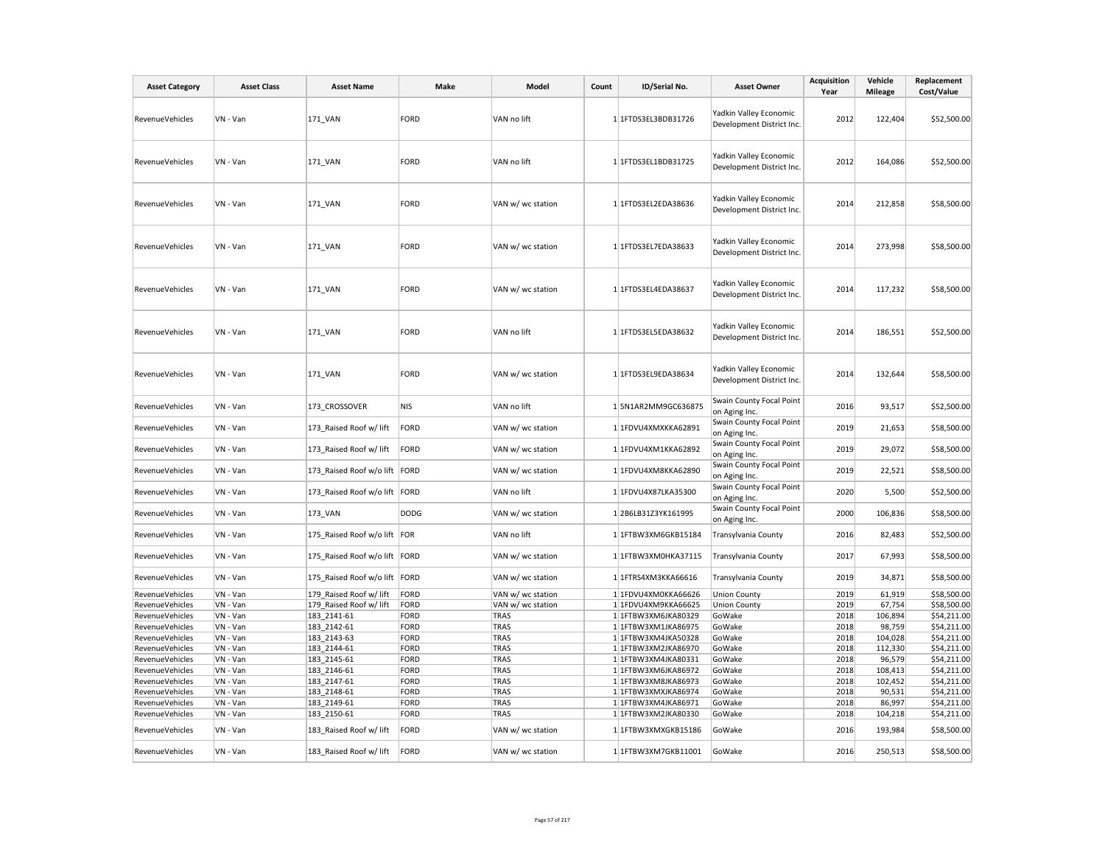| <b>Asset Category</b>  | <b>Asset Class</b> | <b>Asset Name</b>             | Make        | Model             | Count | ID/Serial No.        | <b>Asset Owner</b>                                  | Acquisition<br>Year | Vehicle<br><b>Mileage</b> | Replacement<br>Cost/Value |
|------------------------|--------------------|-------------------------------|-------------|-------------------|-------|----------------------|-----------------------------------------------------|---------------------|---------------------------|---------------------------|
| <b>RevenueVehicles</b> | VN - Van           | 171_VAN                       | <b>FORD</b> | VAN no lift       |       | 1 1FTDS3EL3BDB31726  | Yadkin Valley Economic<br>Development District Inc. | 2012                | 122,404                   | \$52,500.00               |
| <b>RevenueVehicles</b> | VN - Van           | 171 VAN                       | <b>FORD</b> | VAN no lift       |       | 1 1FTDS3EL1BDB31725  | Yadkin Valley Economic<br>Development District Inc. | 2012                | 164,086                   | \$52,500.00               |
| <b>RevenueVehicles</b> | VN - Van           | 171 VAN                       | <b>FORD</b> | VAN w/ wc station |       | 1 1FTDS3EL2EDA38636  | Yadkin Valley Economic<br>Development District Inc. | 2014                | 212,858                   | \$58,500.00               |
| <b>RevenueVehicles</b> | VN - Van           | 171_VAN                       | <b>FORD</b> | VAN w/ wc station |       | 1 1 FTDS3EL7EDA38633 | Yadkin Valley Economic<br>Development District Inc. | 2014                | 273,998                   | \$58,500.00               |
| RevenueVehicles        | VN - Van           | 171 VAN                       | <b>FORD</b> | VAN w/ wc station |       | 1 1 FTDS3EL4EDA38637 | Yadkin Valley Economic<br>Development District Inc. | 2014                | 117,232                   | \$58,500.00               |
| <b>RevenueVehicles</b> | VN - Van           | 171 VAN                       | <b>FORD</b> | VAN no lift       |       | 1 1FTDS3EL5EDA38632  | Yadkin Valley Economic<br>Development District Inc. | 2014                | 186,551                   | \$52,500.00               |
| RevenueVehicles        | VN - Van           | 171 VAN                       | <b>FORD</b> | VAN w/ wc station |       | 1 1 FTDS3EL9EDA38634 | Yadkin Valley Economic<br>Development District Inc. | 2014                | 132,644                   | \$58,500.00               |
| RevenueVehicles        | VN - Van           | 173 CROSSOVER                 | <b>NIS</b>  | VAN no lift       |       | 1 5N1AR2MM9GC636875  | Swain County Focal Point<br>on Aging Inc.           | 2016                | 93,517                    | \$52,500.00               |
| <b>RevenueVehicles</b> | VN - Van           | 173 Raised Roof w/ lift       | <b>FORD</b> | VAN w/ wc station |       | 1 1FDVU4XMXKKA62891  | Swain County Focal Point<br>on Aging Inc.           | 2019                | 21,653                    | \$58,500.00               |
| <b>RevenueVehicles</b> | VN - Van           | 173 Raised Roof w/ lift       | FORD        | VAN w/ wc station |       | 1 1FDVU4XM1KKA62892  | Swain County Focal Point<br>on Aging Inc.           | 2019                | 29,072                    | \$58,500.00               |
| RevenueVehicles        | VN - Van           | 173_Raised Roof w/o lift      | FORD        | VAN w/ wc station |       | 1 1FDVU4XM8KKA62890  | Swain County Focal Point<br>on Aging Inc.           | 2019                | 22,521                    | \$58,500.00               |
| RevenueVehicles        | VN - Van           | 173 Raised Roof w/o lift FORD |             | VAN no lift       |       | 1 1FDVU4X87LKA35300  | Swain County Focal Point<br>on Aging Inc.           | 2020                | 5,500                     | \$52,500.00               |
| RevenueVehicles        | VN - Van           | 173_VAN                       | <b>DODG</b> | VAN w/ wc station |       | 12B6LB31Z3YK161995   | Swain County Focal Point<br>on Aging Inc.           | 2000                | 106,836                   | \$58,500.00               |
| <b>RevenueVehicles</b> | VN - Van           | 175 Raised Roof w/o lift      | FOR         | VAN no lift       |       | 1 1FTBW3XM6GKB15184  | <b>Transylvania County</b>                          | 2016                | 82,483                    | \$52,500.00               |
| RevenueVehicles        | VN - Van           | 175 Raised Roof w/o lift FORD |             | VAN w/ wc station |       | 1 1FTBW3XM0HKA37115  | Transylvania County                                 | 2017                | 67,993                    | \$58,500.00               |
| RevenueVehicles        | VN - Van           | 175_Raised Roof w/o lift      | FORD        | VAN w/ wc station |       | 1 1FTRS4XM3KKA66616  | Transylvania County                                 | 2019                | 34,871                    | \$58,500.00               |
| RevenueVehicles        | VN - Van           | 179 Raised Roof w/ lift       | <b>FORD</b> | VAN w/ wc station |       | 1 1FDVU4XM0KKA66626  | <b>Union County</b>                                 | 2019                | 61,919                    | \$58,500.00               |
| RevenueVehicles        | VN - Van           | 179_Raised Roof w/ lift       | <b>FORD</b> | VAN w/ wc station |       | 1 1FDVU4XM9KKA66625  | <b>Union County</b>                                 | 2019                | 67,754                    | \$58,500.00               |
| <b>RevenueVehicles</b> | VN - Van           | 183_2141-61                   | <b>FORD</b> | TRAS              |       | 1 1FTBW3XM6JKA80329  | GoWake                                              | 2018                | 106,894                   | \$54,211.00               |
| <b>RevenueVehicles</b> | VN - Van           | 183_2142-61                   | <b>FORD</b> | TRAS              |       | 1 1FTBW3XM1JKA86975  | GoWake                                              | 2018                | 98,759                    | \$54,211.00               |
| <b>RevenueVehicles</b> | VN - Van           | 183 2143-63                   | <b>FORD</b> | TRAS              |       | 1 1FTBW3XM4JKA50328  | GoWake                                              | 2018                | 104,028                   | \$54,211.00               |
| RevenueVehicles        | VN - Van           | 183 2144-61                   | <b>FORD</b> | TRAS              |       | 1 1FTBW3XM2JKA86970  | GoWake                                              | 2018                | 112,330                   | \$54,211.00               |
| RevenueVehicles        | VN - Van           | 183_2145-61                   | <b>FORD</b> | TRAS              |       | 1 1FTBW3XM4JKA80331  | GoWake                                              | 2018                | 96,579                    | \$54,211.00               |
| <b>RevenueVehicles</b> | VN - Van           | 183 2146-61                   | <b>FORD</b> | TRAS              |       | 1 1FTBW3XM6JKA86972  | GoWake                                              | 2018                | 108,413                   | \$54,211.00               |
| RevenueVehicles        | VN - Van           | 183 2147-61                   | <b>FORD</b> | TRAS              |       | 1 1FTBW3XM8JKA86973  | GoWake                                              | 2018                | 102,452                   | \$54,211.00               |
| RevenueVehicles        | VN - Van           | 183 2148-61                   | <b>FORD</b> | TRAS              |       | 1 1FTBW3XMXJKA86974  | GoWake                                              | 2018                | 90,531                    | \$54,211.00               |
| RevenueVehicles        | VN - Van           | 183 2149-61                   | <b>FORD</b> | TRAS              |       | 1 1FTBW3XM4JKA86971  | GoWake                                              | 2018                | 86,997                    | \$54,211.00               |
| RevenueVehicles        | VN - Van           | 183 2150-61                   | <b>FORD</b> | TRAS              |       | 1 1 FTBW3XM2JKA80330 | GoWake                                              | 2018                | 104,218                   | \$54,211.00               |
| RevenueVehicles        | VN - Van           | 183_Raised Roof w/ lift       | FORD        | VAN w/ wc station |       | 1 1FTBW3XMXGKB15186  | GoWake                                              | 2016                | 193,984                   | \$58,500.00               |
| <b>RevenueVehicles</b> | VN - Van           | 183 Raised Roof w/ lift       | FORD        | VAN w/ wc station |       | 1 1FTBW3XM7GKB11001  | GoWake                                              | 2016                | 250,513                   | \$58,500.00               |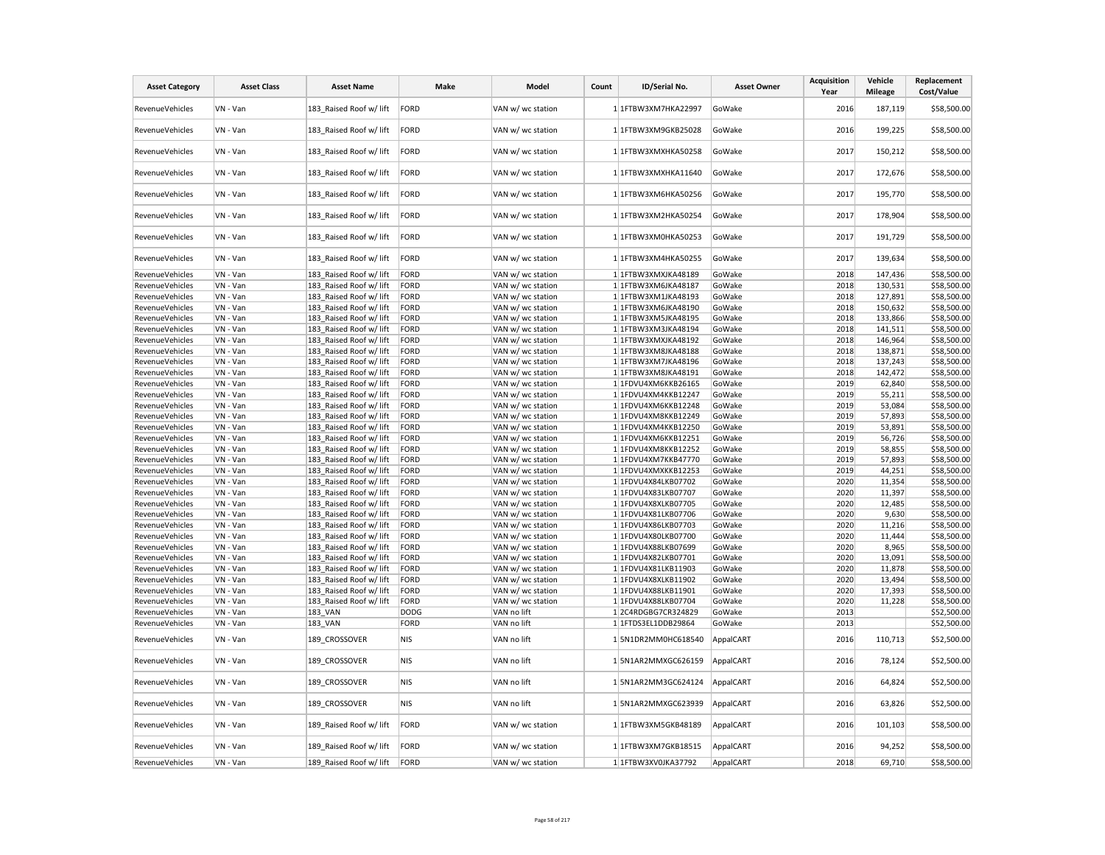| <b>Asset Category</b>  | <b>Asset Class</b> | <b>Asset Name</b>       | Make        | Model             | Count | ID/Serial No.       | <b>Asset Owner</b> | Acquisition<br>Year | Vehicle<br><b>Mileage</b> | Replacement<br>Cost/Value |
|------------------------|--------------------|-------------------------|-------------|-------------------|-------|---------------------|--------------------|---------------------|---------------------------|---------------------------|
| RevenueVehicles        | VN - Van           | 183 Raised Roof w/ lift | FORD        | VAN w/ wc station |       | 1 1FTBW3XM7HKA22997 | GoWake             | 2016                | 187,119                   | \$58,500.00               |
| RevenueVehicles        | VN - Van           | 183 Raised Roof w/ lift | FORD        | VAN w/ wc station |       | 1 1FTBW3XM9GKB25028 | GoWake             | 2016                | 199,225                   | \$58,500.00               |
| RevenueVehicles        | VN - Van           | 183 Raised Roof w/ lift | FORD        | VAN w/ wc station |       | 1 1FTBW3XMXHKA50258 | GoWake             | 2017                | 150,212                   | \$58,500.00               |
| <b>RevenueVehicles</b> | VN - Van           | 183 Raised Roof w/ lift | FORD        | VAN w/ wc station |       | 1 1FTBW3XMXHKA11640 | GoWake             | 2017                | 172,676                   | \$58,500.00               |
| RevenueVehicles        | VN - Van           | 183 Raised Roof w/ lift | FORD        | VAN w/ wc station |       | 1 1FTBW3XM6HKA50256 | GoWake             | 2017                | 195,770                   | \$58,500.00               |
| RevenueVehicles        | VN - Van           | 183 Raised Roof w/ lift | FORD        | VAN w/ wc station |       | 1 1FTBW3XM2HKA50254 | GoWake             | 2017                | 178,904                   | \$58,500.00               |
| RevenueVehicles        | VN - Van           | 183 Raised Roof w/ lift | FORD        | VAN w/ wc station |       | 1 1FTBW3XM0HKA50253 | GoWake             | 2017                | 191,729                   | \$58,500.00               |
| <b>RevenueVehicles</b> | VN - Van           | 183_Raised Roof w/ lift | FORD        | VAN w/ wc station |       | 1 1FTBW3XM4HKA50255 | GoWake             | 2017                | 139,634                   | \$58,500.00               |
| RevenueVehicles        | VN - Van           | 183 Raised Roof w/ lift | FORD        | VAN w/ wc station |       | 1 1FTBW3XMXJKA48189 | GoWake             | 2018                | 147,436                   | \$58,500.00               |
| RevenueVehicles        | VN - Van           | 183_Raised Roof w/ lift | FORD        | VAN w/ wc station |       | 1 1FTBW3XM6JKA48187 | GoWake             | 2018                | 130,531                   | \$58,500.00               |
| RevenueVehicles        | VN - Van           | 183 Raised Roof w/ lift | FORD        | VAN w/ wc station |       | 1 1FTBW3XM1JKA48193 | GoWake             | 2018                | 127,891                   | \$58,500.00               |
| RevenueVehicles        | VN - Van           | 183 Raised Roof w/ lift | FORD        | VAN w/ wc station |       | 1 1FTBW3XM6JKA48190 | GoWake             | 2018                | 150,632                   | \$58,500.00               |
| RevenueVehicles        | VN - Van           | 183_Raised Roof w/ lift | FORD        | VAN w/ wc station |       | 1 1FTBW3XM5JKA48195 | GoWake             | 2018                | 133,866                   | \$58,500.00               |
| RevenueVehicles        | VN - Van           | 183 Raised Roof w/ lift | FORD        | VAN w/ wc station |       | 1 1FTBW3XM3JKA48194 | GoWake             | 2018                | 141,511                   | \$58,500.00               |
| RevenueVehicles        | VN - Van           | 183 Raised Roof w/ lift | FORD        | VAN w/ wc station |       | 1 1FTBW3XMXJKA48192 | GoWake             | 2018                | 146,964                   | \$58,500.00               |
| RevenueVehicles        | VN - Van           | 183 Raised Roof w/ lift | FORD        | VAN w/ wc station |       | 1 1FTBW3XM8JKA48188 | GoWake             | 2018                | 138,871                   | \$58,500.00               |
| RevenueVehicles        | VN - Van           | 183 Raised Roof w/ lift | FORD        | VAN w/ wc station |       | 1 1FTBW3XM7JKA48196 | GoWake             | 2018                | 137,243                   | \$58,500.00               |
| RevenueVehicles        | VN - Van           | 183 Raised Roof w/ lift | FORD        | VAN w/ wc station |       | 1 1FTBW3XM8JKA48191 | GoWake             | 2018                | 142,472                   | \$58,500.00               |
| RevenueVehicles        | VN - Van           | 183 Raised Roof w/ lift | FORD        |                   |       | 1 1FDVU4XM6KKB26165 | GoWake             | 2019                | 62,840                    |                           |
| RevenueVehicles        | VN - Van           |                         | FORD        | VAN w/ wc station |       |                     |                    | 2019                |                           | \$58,500.00               |
|                        |                    | 183 Raised Roof w/ lift |             | VAN w/ wc station |       | 1 1FDVU4XM4KKB12247 | GoWake             |                     | 55,211                    | \$58,500.00               |
| RevenueVehicles        | VN - Van           | 183 Raised Roof w/ lift | FORD        | VAN w/ wc station |       | 1 1FDVU4XM6KKB12248 | GoWake             | 2019                | 53,084                    | \$58,500.00               |
| RevenueVehicles        | VN - Van           | 183 Raised Roof w/ lift | FORD        | VAN w/ wc station |       | 1 1FDVU4XM8KKB12249 | GoWake             | 2019                | 57,893                    | \$58,500.00               |
| RevenueVehicles        | VN - Van           | 183 Raised Roof w/ lift | FORD        | VAN w/ wc station |       | 1 1FDVU4XM4KKB12250 | GoWake             | 2019                | 53,891                    | \$58,500.00               |
| RevenueVehicles        | VN - Van           | 183 Raised Roof w/ lift | FORD        | VAN w/ wc station |       | 1 1FDVU4XM6KKB12251 | GoWake             | 2019                | 56,726                    | \$58,500.00               |
| <b>RevenueVehicles</b> | VN - Van           | 183 Raised Roof w/ lift | FORD        | VAN w/ wc station |       | 1 1FDVU4XM8KKB12252 | GoWake             | 2019                | 58,855                    | \$58,500.00               |
| RevenueVehicles        | VN - Van           | 183 Raised Roof w/ lift | FORD        | VAN w/ wc station |       | 1 1FDVU4XM7KKB47770 | GoWake             | 2019                | 57,893                    | \$58,500.00               |
| RevenueVehicles        | VN - Van           | 183 Raised Roof w/ lift | FORD        | VAN w/ wc station |       | 1 1FDVU4XMXKKB12253 | GoWake             | 2019                | 44,251                    | \$58,500.00               |
| RevenueVehicles        | VN - Van           | 183 Raised Roof w/ lift | FORD        | VAN w/ wc station |       | 1 1FDVU4X84LKB07702 | GoWake             | 2020                | 11,354                    | \$58,500.00               |
| RevenueVehicles        | VN - Van           | 183 Raised Roof w/ lift | FORD        | VAN w/ wc station |       | 1 1FDVU4X83LKB07707 | GoWake             | 2020                | 11,397                    | \$58,500.00               |
| RevenueVehicles        | VN - Van           | 183 Raised Roof w/ lift | FORD        | VAN w/ wc station |       | 1 1FDVU4X8XLKB07705 | GoWake             | 2020                | 12,485                    | \$58,500.00               |
| RevenueVehicles        | VN - Van           | 183 Raised Roof w/ lift | FORD        | VAN w/ wc station |       | 1 1FDVU4X81LKB07706 | GoWake             | 2020                | 9,630                     | \$58,500.00               |
| RevenueVehicles        | VN - Van           | 183 Raised Roof w/ lift | FORD        | VAN w/ wc station |       | 1 1FDVU4X86LKB07703 | GoWake             | 2020                | 11,216                    | \$58,500.00               |
| RevenueVehicles        | VN - Van           | 183 Raised Roof w/ lift | FORD        | VAN w/ wc station |       | 1 1FDVU4X80LKB07700 | GoWake             | 2020                | 11,444                    | \$58,500.00               |
| RevenueVehicles        | VN - Van           | 183 Raised Roof w/ lift | FORD        | VAN w/ wc station |       | 1 1FDVU4X88LKB07699 | GoWake             | 2020                | 8,965                     | \$58,500.00               |
| <b>RevenueVehicles</b> | VN - Van           | 183 Raised Roof w/ lift | FORD        | VAN w/ wc station |       | 1 1FDVU4X82LKB07701 | GoWake             | 2020                | 13,091                    | \$58,500.00               |
| <b>RevenueVehicles</b> | VN - Van           | 183 Raised Roof w/ lift | FORD        | VAN w/ wc station |       | 1 1FDVU4X81LKB11903 | GoWake             | 2020                | 11,878                    | \$58,500.00               |
| RevenueVehicles        | VN - Van           | 183 Raised Roof w/ lift | FORD        | VAN w/ wc station |       | 1 1FDVU4X8XLKB11902 | GoWake             | 2020                | 13,494                    | \$58,500.00               |
| RevenueVehicles        | VN - Van           | 183 Raised Roof w/ lift | FORD        | VAN w/ wc station |       | 1 1FDVU4X88LKB11901 | GoWake             | 2020                | 17,393                    | \$58,500.00               |
| RevenueVehicles        | VN - Van           | 183 Raised Roof w/ lift | FORD        | VAN w/ wc station |       | 1 1FDVU4X88LKB07704 | GoWake             | 2020                | 11,228                    | \$58,500.00               |
| RevenueVehicles        | VN - Van           | 183 VAN                 | <b>DODG</b> | VAN no lift       |       | 12C4RDGBG7CR324829  | GoWake             | 2013                |                           | \$52,500.00               |
| RevenueVehicles        | VN - Van           | 183 VAN                 | FORD        | VAN no lift       |       | 1 1FTDS3EL1DDB29864 | GoWake             | 2013                |                           | \$52,500.00               |
| RevenueVehicles        | VN - Van           | 189 CROSSOVER           | <b>NIS</b>  | VAN no lift       |       | 1 5N1DR2MM0HC618540 | AppalCART          | 2016                | 110,713                   | \$52,500.00               |
| RevenueVehicles        | VN - Van           | 189 CROSSOVER           | <b>NIS</b>  | VAN no lift       |       | 1 5N1AR2MMXGC626159 | AppalCART          | 2016                | 78,124                    | \$52,500.00               |
| RevenueVehicles        | VN - Van           | 189_CROSSOVER           | <b>NIS</b>  | VAN no lift       |       | 1 5N1AR2MM3GC624124 | AppalCART          | 2016                | 64,824                    | \$52,500.00               |
| RevenueVehicles        | VN - Van           | 189 CROSSOVER           | <b>NIS</b>  | VAN no lift       |       | 1 5N1AR2MMXGC623939 | AppalCART          | 2016                | 63,826                    | \$52,500.00               |
| RevenueVehicles        | VN - Van           | 189 Raised Roof w/ lift | FORD        | VAN w/ wc station |       | 1 1FTBW3XM5GKB48189 | AppalCART          | 2016                | 101,103                   | \$58,500.00               |
| RevenueVehicles        | VN - Van           | 189 Raised Roof w/ lift | FORD        | VAN w/ wc station |       | 1 1FTBW3XM7GKB18515 | AppalCART          | 2016                | 94,252                    | \$58,500.00               |
| RevenueVehicles        | VN - Van           | 189 Raised Roof w/ lift | FORD        | VAN w/ wc station |       | 1 1FTBW3XV0JKA37792 | AppalCART          | 2018                | 69,710                    | \$58,500.00               |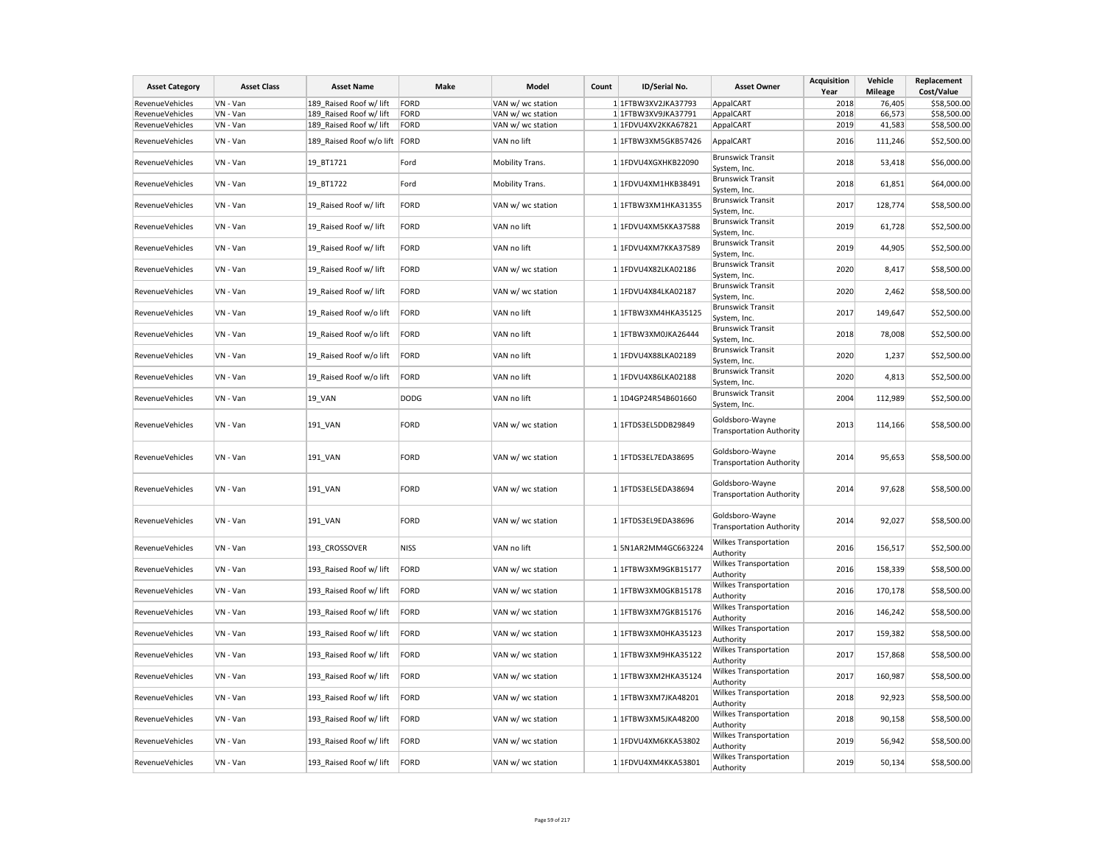| <b>Asset Category</b> | <b>Asset Class</b> | <b>Asset Name</b>               | Make        | Model             | Count | ID/Serial No.        | <b>Asset Owner</b>                                 | <b>Acquisition</b><br>Year | Vehicle<br>Mileage | Replacement<br>Cost/Value |
|-----------------------|--------------------|---------------------------------|-------------|-------------------|-------|----------------------|----------------------------------------------------|----------------------------|--------------------|---------------------------|
| RevenueVehicles       | VN - Van           | 189_Raised Roof w/ lift         | FORD        | VAN w/ wc station |       | 1 1FTBW3XV2JKA37793  | AppalCART                                          | 2018                       | 76,405             | \$58,500.00               |
|                       |                    |                                 |             |                   |       |                      |                                                    |                            |                    |                           |
| RevenueVehicles       | VN - Van           | 189 Raised Roof w/ lift         | FORD        | VAN w/ wc station |       | 1 1FTBW3XV9JKA37791  | AppalCART                                          | 2018                       | 66,573             | \$58,500.00               |
| RevenueVehicles       | VN - Van           | 189_Raised Roof w/ lift         | FORD        | VAN w/ wc station |       | 1 1FDVU4XV2KKA67821  | AppalCART                                          | 2019                       | 41,583             | \$58,500.00               |
| RevenueVehicles       | VN - Van           | 189_Raised Roof w/o lift   FORD |             | VAN no lift       |       | 1 1FTBW3XM5GKB57426  | AppalCART                                          | 2016                       | 111,246            | \$52,500.00               |
| RevenueVehicles       | VN - Van           | 19 BT1721                       | Ford        | Mobility Trans.   |       | 1 1FDVU4XGXHKB22090  | <b>Brunswick Transit</b><br>System, Inc.           | 2018                       | 53,418             | \$56,000.00               |
| RevenueVehicles       | VN - Van           | 19 BT1722                       | Ford        | Mobility Trans.   |       | 1 1FDVU4XM1HKB38491  | <b>Brunswick Transit</b><br>System, Inc.           | 2018                       | 61,851             | \$64,000.00               |
| RevenueVehicles       | VN - Van           | 19 Raised Roof w/ lift          | FORD        | VAN w/ wc station |       | 1 1FTBW3XM1HKA31355  | <b>Brunswick Transit</b><br>System, Inc.           | 2017                       | 128,774            | \$58,500.00               |
| RevenueVehicles       | VN - Van           | 19 Raised Roof w/ lift          | FORD        | VAN no lift       |       | 1 1FDVU4XM5KKA37588  | <b>Brunswick Transit</b><br>System, Inc.           | 2019                       | 61,728             | \$52,500.00               |
| RevenueVehicles       | VN - Van           | 19 Raised Roof w/ lift          | FORD        | VAN no lift       |       | 1 1FDVU4XM7KKA37589  | <b>Brunswick Transit</b><br>System, Inc.           | 2019                       | 44,905             | \$52,500.00               |
| RevenueVehicles       | VN - Van           | 19_Raised Roof w/ lift          | FORD        | VAN w/ wc station |       | 1 1FDVU4X82LKA02186  | <b>Brunswick Transit</b><br>System, Inc.           | 2020                       | 8,417              | \$58,500.00               |
| RevenueVehicles       | VN - Van           | 19 Raised Roof w/ lift          | FORD        | VAN w/ wc station |       | 1 1FDVU4X84LKA02187  | <b>Brunswick Transit</b><br>System, Inc.           | 2020                       | 2,462              | \$58,500.00               |
| RevenueVehicles       | VN - Van           | 19_Raised Roof w/o lift         | FORD        | VAN no lift       |       | 1 1FTBW3XM4HKA35125  | <b>Brunswick Transit</b><br>System, Inc.           | 2017                       | 149,647            | \$52,500.00               |
| RevenueVehicles       | VN - Van           | 19_Raised Roof w/o lift         | FORD        | VAN no lift       |       | 1 1FTBW3XM0JKA26444  | <b>Brunswick Transit</b><br>System, Inc.           | 2018                       | 78,008             | \$52,500.00               |
| RevenueVehicles       | VN - Van           | 19 Raised Roof w/o lift         | FORD        | VAN no lift       |       | 1 1FDVU4X88LKA02189  | <b>Brunswick Transit</b><br>System, Inc.           | 2020                       | 1,237              | \$52,500.00               |
| RevenueVehicles       | VN - Van           | 19 Raised Roof w/o lift         | FORD        | VAN no lift       |       | 1 1FDVU4X86LKA02188  | <b>Brunswick Transit</b><br>System, Inc.           | 2020                       | 4,813              | \$52,500.00               |
| RevenueVehicles       | VN - Van           | 19 VAN                          | <b>DODG</b> | VAN no lift       |       | 1 1D4GP24R54B601660  | <b>Brunswick Transit</b><br>System, Inc.           | 2004                       | 112,989            | \$52,500.00               |
| RevenueVehicles       | VN - Van           | 191 VAN                         | FORD        | VAN w/ wc station |       | 1 1FTDS3EL5DDB29849  | Goldsboro-Wayne<br><b>Transportation Authority</b> | 2013                       | 114,166            | \$58,500.00               |
| RevenueVehicles       | VN - Van           | 191_VAN                         | FORD        | VAN w/ wc station |       | 1 1FTDS3EL7EDA38695  | Goldsboro-Wayne<br><b>Transportation Authority</b> | 2014                       | 95,653             | \$58,500.00               |
| RevenueVehicles       | VN - Van           | 191_VAN                         | FORD        | VAN w/ wc station |       | 1 1FTDS3EL5EDA38694  | Goldsboro-Wayne<br><b>Transportation Authority</b> | 2014                       | 97,628             | \$58,500.00               |
| RevenueVehicles       | VN - Van           | 191 VAN                         | FORD        | VAN w/ wc station |       | 1 1FTDS3EL9EDA38696  | Goldsboro-Wayne<br><b>Transportation Authority</b> | 2014                       | 92,027             | \$58,500.00               |
| RevenueVehicles       | VN - Van           | 193 CROSSOVER                   | <b>NISS</b> | VAN no lift       |       | 15N1AR2MM4GC663224   | <b>Wilkes Transportation</b><br>Authority          | 2016                       | 156,517            | \$52,500.00               |
| RevenueVehicles       | VN - Van           | 193_Raised Roof w/ lift         | FORD        | VAN w/ wc station |       | 1 1FTBW3XM9GKB15177  | Wilkes Transportation<br>Authority                 | 2016                       | 158,339            | \$58,500.00               |
| RevenueVehicles       | VN - Van           | 193_Raised Roof w/ lift         | FORD        | VAN w/ wc station |       | 1 1FTBW3XM0GKB15178  | Wilkes Transportation<br>Authority                 | 2016                       | 170,178            | \$58,500.00               |
| RevenueVehicles       | VN - Van           | 193 Raised Roof w/ lift         | FORD        | VAN w/ wc station |       | 1 1FTBW3XM7GKB15176  | Wilkes Transportation<br>Authority                 | 2016                       | 146,242            | \$58,500.00               |
| RevenueVehicles       | VN - Van           | 193_Raised Roof w/ lift         | FORD        | VAN w/ wc station |       | 1 1FTBW3XM0HKA35123  | Wilkes Transportation<br>Authority                 | 2017                       | 159,382            | \$58,500.00               |
| RevenueVehicles       | VN - Van           | 193 Raised Roof w/ lift         | FORD        | VAN w/ wc station |       | 1 1FTBW3XM9HKA35122  | Wilkes Transportation<br>Authority                 | 2017                       | 157,868            | \$58,500.00               |
| RevenueVehicles       | VN - Van           | 193 Raised Roof w/ lift         | FORD        | VAN w/ wc station |       | 1 1FTBW3XM2HKA35124  | <b>Wilkes Transportation</b><br>Authority          | 2017                       | 160,987            | \$58,500.00               |
| RevenueVehicles       | VN - Van           | 193 Raised Roof w/ lift         | FORD        | VAN w/ wc station |       | 1 1 FTBW3XM7JKA48201 | Wilkes Transportation<br>Authority                 | 2018                       | 92,923             | \$58,500.00               |
| RevenueVehicles       | VN - Van           | 193 Raised Roof w/ lift         | FORD        | VAN w/ wc station |       | 1 1FTBW3XM5JKA48200  | <b>Wilkes Transportation</b><br>Authority          | 2018                       | 90,158             | \$58,500.00               |
| RevenueVehicles       | VN - Van           | 193 Raised Roof w/ lift         | FORD        | VAN w/ wc station |       | 1 1FDVU4XM6KKA53802  | <b>Wilkes Transportation</b><br>Authority          | 2019                       | 56,942             | \$58,500.00               |
| RevenueVehicles       | VN - Van           | 193 Raised Roof w/ lift         | FORD        | VAN w/ wc station |       | 1 1FDVU4XM4KKA53801  | Wilkes Transportation<br>Authority                 | 2019                       | 50,134             | \$58,500.00               |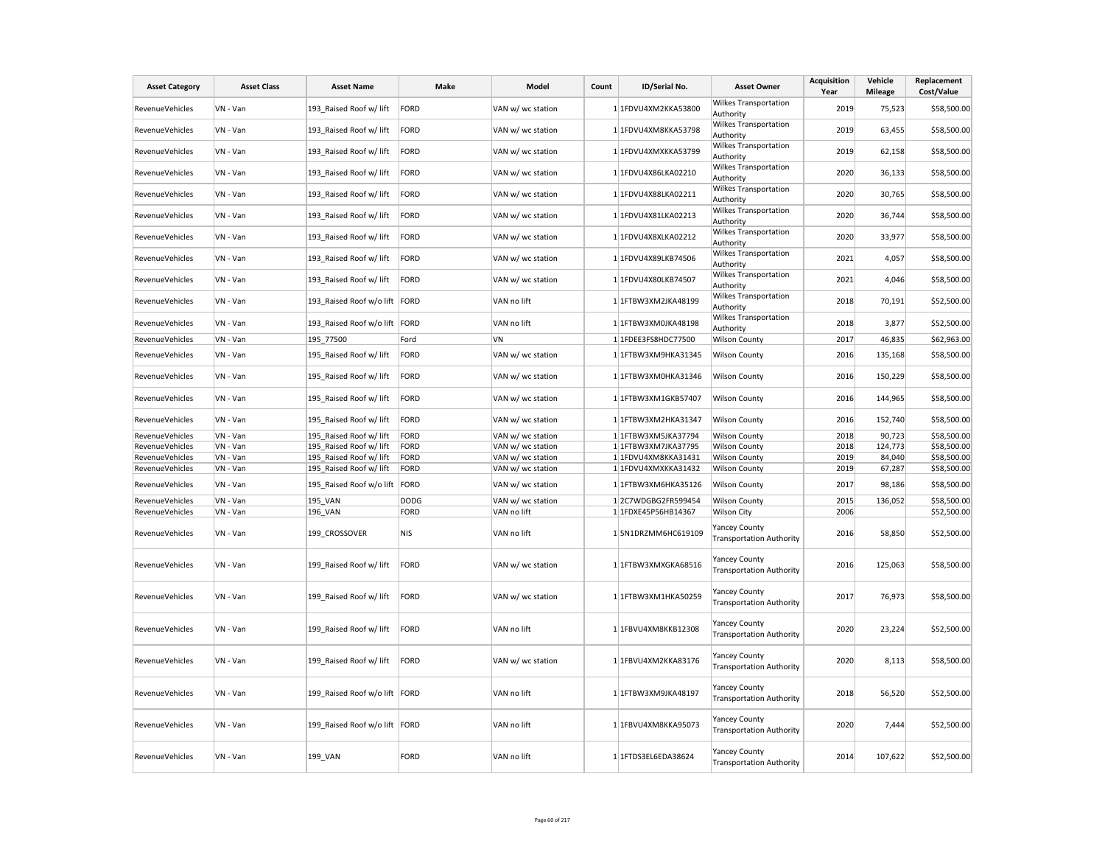| <b>Asset Category</b>  | <b>Asset Class</b> | <b>Asset Name</b>               | Make        | Model             | Count | ID/Serial No.        | <b>Asset Owner</b>                                      | <b>Acquisition</b><br>Year | Vehicle<br><b>Mileage</b> | Replacement<br>Cost/Value |
|------------------------|--------------------|---------------------------------|-------------|-------------------|-------|----------------------|---------------------------------------------------------|----------------------------|---------------------------|---------------------------|
| <b>RevenueVehicles</b> | VN - Van           | 193 Raised Roof w/ lift         | FORD        | VAN w/ wc station |       | 1 1FDVU4XM2KKA53800  | Wilkes Transportation<br>Authority                      | 2019                       | 75,523                    | \$58,500.00               |
| RevenueVehicles        | VN - Van           | 193 Raised Roof w/ lift         | FORD        | VAN w/ wc station |       | 1 1FDVU4XM8KKA53798  | Wilkes Transportation<br>Authority                      | 2019                       | 63,455                    | \$58,500.00               |
| RevenueVehicles        | VN - Van           | 193 Raised Roof w/ lift         | FORD        | VAN w/ wc station |       | 1 1FDVU4XMXKKA53799  | <b>Wilkes Transportation</b><br>Authority               | 2019                       | 62,158                    | \$58,500.00               |
| RevenueVehicles        | VN - Van           | 193 Raised Roof w/ lift         | FORD        | VAN w/ wc station |       | 1 1FDVU4X86LKA02210  | Wilkes Transportation<br>Authority                      | 2020                       | 36,133                    | \$58,500.00               |
| <b>RevenueVehicles</b> | VN - Van           | 193 Raised Roof w/ lift         | FORD        | VAN w/ wc station |       | 1 1FDVU4X88LKA02211  | Wilkes Transportation<br>Authority                      | 2020                       | 30,765                    | \$58,500.00               |
| RevenueVehicles        | VN - Van           | 193 Raised Roof w/ lift         | FORD        | VAN w/ wc station |       | 1 1FDVU4X81LKA02213  | <b>Wilkes Transportation</b><br>Authority               | 2020                       | 36,744                    | \$58,500.00               |
| <b>RevenueVehicles</b> | VN - Van           | 193_Raised Roof w/ lift         | FORD        | VAN w/ wc station |       | 1 1FDVU4X8XLKA02212  | Wilkes Transportation<br>Authority                      | 2020                       | 33,977                    | \$58,500.00               |
| RevenueVehicles        | VN - Van           | 193 Raised Roof w/ lift         | FORD        | VAN w/ wc station |       | 1 1FDVU4X89LKB74506  | Wilkes Transportation<br>Authority                      | 2021                       | 4,057                     | \$58,500.00               |
| RevenueVehicles        | VN - Van           | 193_Raised Roof w/ lift         | FORD        | VAN w/ wc station |       | 1 1FDVU4X80LKB74507  | Wilkes Transportation<br>Authority                      | 2021                       | 4,046                     | \$58,500.00               |
| RevenueVehicles        | VN - Van           | 193_Raised Roof w/o lift  FORD  |             | VAN no lift       |       | 1 1FTBW3XM2JKA48199  | Wilkes Transportation<br>Authority                      | 2018                       | 70,191                    | \$52,500.00               |
| <b>RevenueVehicles</b> | VN - Van           | 193_Raised Roof w/o lift FORD   |             | VAN no lift       |       | 1 1FTBW3XM0JKA48198  | <b>Wilkes Transportation</b><br>Authority               | 2018                       | 3,877                     | \$52,500.00               |
| <b>RevenueVehicles</b> | VN - Van           | 195 77500                       | Ford        | VN                |       | 1 1FDEE3FS8HDC77500  | <b>Wilson County</b>                                    | 2017                       | 46,835                    | \$62,963.00               |
| <b>RevenueVehicles</b> | VN - Van           | 195 Raised Roof w/ lift         | FORD        | VAN w/ wc station |       | 1 1FTBW3XM9HKA31345  | <b>Wilson County</b>                                    | 2016                       | 135,168                   | \$58,500.00               |
| RevenueVehicles        | VN - Van           | 195 Raised Roof w/ lift         | FORD        | VAN w/ wc station |       | 1 1FTBW3XM0HKA31346  | <b>Wilson County</b>                                    | 2016                       | 150,229                   | \$58,500.00               |
| RevenueVehicles        | VN - Van           | 195 Raised Roof w/ lift         | FORD        | VAN w/ wc station |       | 1 1FTBW3XM1GKB57407  | <b>Wilson County</b>                                    | 2016                       | 144,965                   | \$58,500.00               |
| RevenueVehicles        | VN - Van           | 195_Raised Roof w/ lift         | FORD        | VAN w/ wc station |       | 1 1FTBW3XM2HKA31347  | <b>Wilson County</b>                                    | 2016                       | 152,740                   | \$58,500.00               |
| RevenueVehicles        | VN - Van           | 195_Raised Roof w/ lift         | FORD        | VAN w/ wc station |       | 1 1FTBW3XM5JKA37794  | <b>Wilson County</b>                                    | 2018                       | 90,723                    | \$58,500.00               |
| RevenueVehicles        | VN - Van           | 195 Raised Roof w/ lift         | FORD        | VAN w/ wc station |       | 1 1FTBW3XM7JKA37795  | <b>Wilson County</b>                                    | 2018                       | 124,773                   | \$58,500.00               |
| <b>RevenueVehicles</b> | VN - Van           | 195_Raised Roof w/ lift         | FORD        | VAN w/ wc station |       | 1 1FDVU4XM8KKA31431  | <b>Wilson County</b>                                    | 2019                       | 84,040                    | \$58,500.00               |
| RevenueVehicles        | VN - Van           | 195_Raised Roof w/ lift         | FORD        | VAN w/ wc station |       | 1 1FDVU4XMXKKA31432  | <b>Wilson County</b>                                    | 2019                       | 67,287                    | \$58,500.00               |
| RevenueVehicles        | VN - Van           | 195 Raised Roof w/o lift FORD   |             | VAN w/ wc station |       | 1 1FTBW3XM6HKA35126  | <b>Wilson County</b>                                    | 2017                       | 98,186                    | \$58,500.00               |
| RevenueVehicles        | VN - Van           | 195 VAN                         | <b>DODG</b> | VAN w/ wc station |       | 12C7WDGBG2FR599454   | <b>Wilson County</b>                                    | 2015                       | 136,052                   | \$58,500.00               |
| RevenueVehicles        | VN - Van           | 196 VAN                         | FORD        | VAN no lift       |       | 1 1FDXE45P56HB14367  | <b>Wilson City</b>                                      | 2006                       |                           | \$52,500.00               |
| RevenueVehicles        | VN - Van           | 199 CROSSOVER                   | NIS         | VAN no lift       |       | 1 5N1DRZMM6HC619109  | fancey County<br><b>Transportation Authority</b>        | 2016                       | 58,850                    | \$52,500.00               |
| RevenueVehicles        | VN - Van           | 199 Raised Roof w/ lift         | FORD        | VAN w/ wc station |       | 1 1FTBW3XMXGKA68516  | <b>Yancey County</b><br><b>Transportation Authority</b> | 2016                       | 125,063                   | \$58,500.00               |
| <b>RevenueVehicles</b> | VN - Van           | 199_Raised Roof w/ lift         | FORD        | VAN w/ wc station |       | 1 1FTBW3XM1HKA50259  | Yancey County<br><b>Transportation Authority</b>        | 2017                       | 76,973                    | \$58,500.00               |
| RevenueVehicles        | VN - Van           | 199_Raised Roof w/ lift         | FORD        | VAN no lift       |       | 1 1FBVU4XM8KKB12308  | <b>Yancey County</b><br><b>Transportation Authority</b> | 2020                       | 23,224                    | \$52,500.00               |
| <b>RevenueVehicles</b> | VN - Van           | 199 Raised Roof w/ lift         | FORD        | VAN w/ wc station |       | 1 1FBVU4XM2KKA83176  | <b>Yancey County</b><br><b>Transportation Authority</b> | 2020                       | 8,113                     | \$58,500.00               |
| <b>RevenueVehicles</b> | VN - Van           | 199 Raised Roof w/o lift   FORD |             | VAN no lift       |       | 1 1 FTBW3XM9JKA48197 | <b>Yancey County</b><br><b>Transportation Authority</b> | 2018                       | 56,520                    | \$52,500.00               |
| <b>RevenueVehicles</b> | VN - Van           | 199 Raised Roof w/o lift FORD   |             | VAN no lift       |       | 1 1FBVU4XM8KKA95073  | <b>Yancey County</b><br><b>Transportation Authority</b> | 2020                       | 7,444                     | \$52,500.00               |
| RevenueVehicles        | VN - Van           | 199 VAN                         | FORD        | VAN no lift       |       | 1 1FTDS3EL6EDA38624  | <b>Yancey County</b><br><b>Transportation Authority</b> | 2014                       | 107,622                   | \$52,500.00               |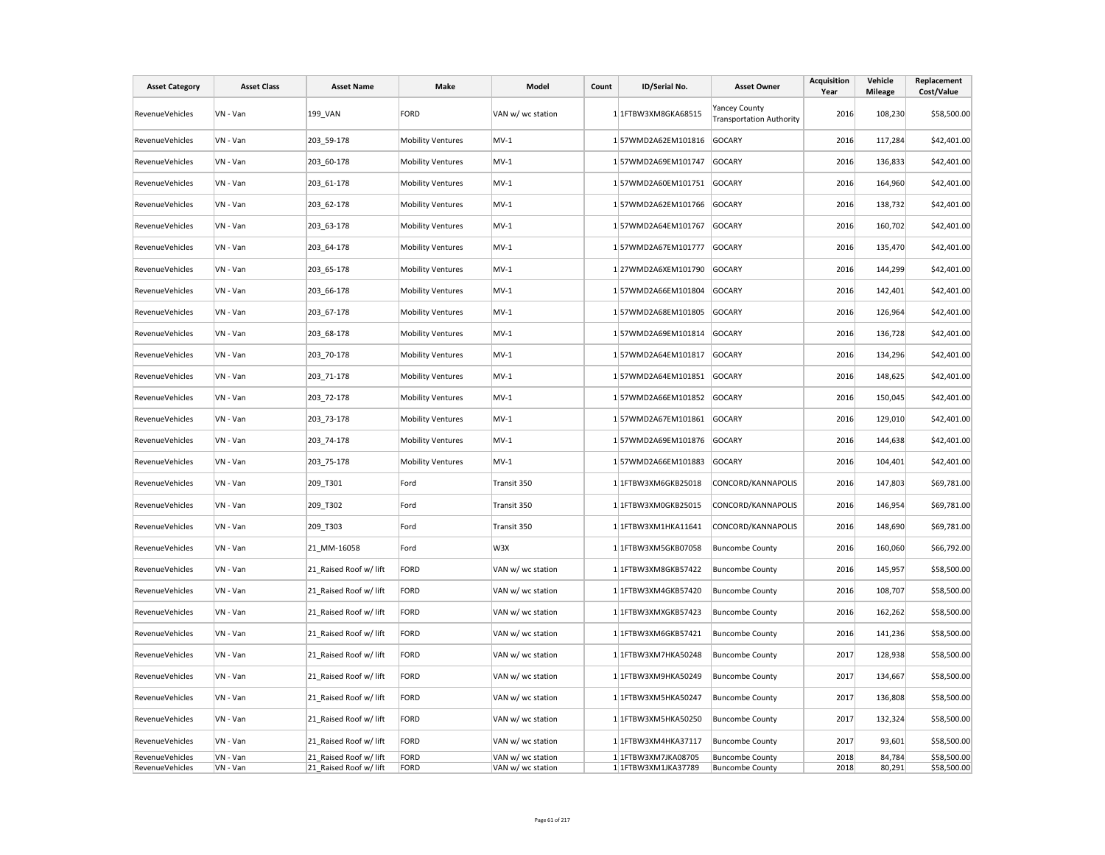| <b>Asset Category</b>              | <b>Asset Class</b>   | <b>Asset Name</b>                                | Make                     | Model                                  | Count | ID/Serial No.                              | <b>Asset Owner</b>                               | Acquisition<br>Year | Vehicle<br><b>Mileage</b> | Replacement<br>Cost/Value  |
|------------------------------------|----------------------|--------------------------------------------------|--------------------------|----------------------------------------|-------|--------------------------------------------|--------------------------------------------------|---------------------|---------------------------|----------------------------|
| <b>RevenueVehicles</b>             | VN - Van             | 199 VAN                                          | FORD                     | VAN w/ wc station                      |       | 1 1FTBW3XM8GKA68515                        | Yancey County<br><b>Transportation Authority</b> | 2016                | 108,230                   | \$58,500.00                |
| RevenueVehicles                    | VN - Van             | 203 59-178                                       | <b>Mobility Ventures</b> | $MV-1$                                 |       | 157WMD2A62EM101816                         | <b>GOCARY</b>                                    | 2016                | 117,284                   | \$42,401.00                |
| <b>RevenueVehicles</b>             | VN - Van             | 203 60-178                                       | <b>Mobility Ventures</b> | $MV-1$                                 |       | 157WMD2A69EM101747                         | <b>GOCARY</b>                                    | 2016                | 136,833                   | \$42,401.00                |
| RevenueVehicles                    | VN - Van             | 203 61-178                                       | <b>Mobility Ventures</b> | $MV-1$                                 |       | 157WMD2A60EM101751                         | <b>GOCARY</b>                                    | 2016                | 164,960                   | \$42,401.00                |
| RevenueVehicles                    | VN - Van             | 203 62-178                                       | <b>Mobility Ventures</b> | $MV-1$                                 |       | 157WMD2A62EM101766                         | GOCARY                                           | 2016                | 138,732                   | \$42,401.00                |
| RevenueVehicles                    | VN - Van             | 203 63-178                                       | <b>Mobility Ventures</b> | $MV-1$                                 |       | 157WMD2A64EM101767                         | <b>GOCARY</b>                                    | 2016                | 160,702                   | \$42,401.00                |
| RevenueVehicles                    | VN - Van             | 203 64-178                                       | <b>Mobility Ventures</b> | $MV-1$                                 |       | 157WMD2A67EM101777                         | <b>GOCARY</b>                                    | 2016                | 135,470                   | \$42,401.00                |
| RevenueVehicles                    | VN - Van             | 203 65-178                                       | <b>Mobility Ventures</b> | $MV-1$                                 |       | 1 27WMD2A6XEM101790                        | <b>GOCARY</b>                                    | 2016                | 144,299                   | \$42,401.00                |
| <b>RevenueVehicles</b>             | VN - Van             | 203 66-178                                       | <b>Mobility Ventures</b> | $MV-1$                                 |       | 157WMD2A66EM101804                         | <b>GOCARY</b>                                    | 2016                | 142,401                   | \$42,401.00                |
| RevenueVehicles                    | VN - Van             | 203_67-178                                       | <b>Mobility Ventures</b> | $MV-1$                                 |       | 157WMD2A68EM101805                         | <b>GOCARY</b>                                    | 2016                | 126,964                   | \$42,401.00                |
| RevenueVehicles                    | VN - Van             | 203 68-178                                       | <b>Mobility Ventures</b> | $MV-1$                                 |       | 157WMD2A69EM101814                         | <b>GOCARY</b>                                    | 2016                | 136,728                   | \$42,401.00                |
| RevenueVehicles                    | VN - Van             | 203_70-178                                       | <b>Mobility Ventures</b> | $MV-1$                                 |       | 157WMD2A64EM101817                         | <b>GOCARY</b>                                    | 2016                | 134,296                   | \$42,401.00                |
| RevenueVehicles                    | VN - Van             | 203_71-178                                       | <b>Mobility Ventures</b> | $MV-1$                                 |       | 157WMD2A64EM101851                         | <b>GOCARY</b>                                    | 2016                | 148,625                   | \$42,401.00                |
| <b>RevenueVehicles</b>             | VN - Van             | 203 72-178                                       | <b>Mobility Ventures</b> | $MV-1$                                 |       | 1 57WMD2A66EM101852                        | <b>GOCARY</b>                                    | 2016                | 150,045                   | \$42,401.00                |
| <b>RevenueVehicles</b>             | VN - Van             | 203 73-178                                       | <b>Mobility Ventures</b> | $MV-1$                                 |       | 1 57WMD2A67EM101861                        | <b>GOCARY</b>                                    | 2016                | 129,010                   | \$42,401.00                |
|                                    |                      |                                                  |                          |                                        |       |                                            |                                                  |                     |                           |                            |
| RevenueVehicles                    | VN - Van             | 203 74-178                                       | <b>Mobility Ventures</b> | $MV-1$                                 |       | 157WMD2A69EM101876                         | <b>GOCARY</b>                                    | 2016                | 144,638                   | \$42,401.00                |
| RevenueVehicles                    | VN - Van             | 203_75-178                                       | <b>Mobility Ventures</b> | $MV-1$                                 |       | 157WMD2A66EM101883                         | GOCARY                                           | 2016                | 104,401                   | \$42,401.00                |
| RevenueVehicles                    | VN - Van             | 209_T301                                         | Ford                     | Transit 350                            |       | 1 1FTBW3XM6GKB25018                        | CONCORD/KANNAPOLIS                               | 2016                | 147,803                   | \$69,781.00                |
| <b>RevenueVehicles</b>             | VN - Van             | 209_T302                                         | Ford                     | Transit 350                            |       | 1 1FTBW3XM0GKB25015                        | CONCORD/KANNAPOLIS                               | 2016                | 146,954                   | \$69,781.00                |
| RevenueVehicles                    | VN - Van             | 209_T303                                         | Ford                     | Transit 350                            |       | 1 1 FTBW3XM1HKA11641                       | CONCORD/KANNAPOLIS                               | 2016                | 148,690                   | \$69,781.00                |
| RevenueVehicles                    | VN - Van             | 21 MM-16058                                      | Ford                     | W3X                                    |       | 1 1FTBW3XM5GKB07058                        | <b>Buncombe County</b>                           | 2016                | 160,060                   | \$66,792.00                |
| RevenueVehicles                    | VN - Van             | 21_Raised Roof w/ lift                           | FORD                     | VAN w/ wc station                      |       | 1 1FTBW3XM8GKB57422                        | <b>Buncombe County</b>                           | 2016                | 145,957                   | \$58,500.00                |
| RevenueVehicles                    | VN - Van             | 21 Raised Roof w/ lift                           | FORD                     | VAN w/ wc station                      |       | 1 1FTBW3XM4GKB57420                        | <b>Buncombe County</b>                           | 2016                | 108,707                   | \$58,500.00                |
| RevenueVehicles                    | VN - Van             | 21 Raised Roof w/ lift                           | FORD                     | VAN w/ wc station                      |       | 1 1FTBW3XMXGKB57423                        | <b>Buncombe County</b>                           | 2016                | 162,262                   | \$58,500.00                |
| <b>RevenueVehicles</b>             | VN - Van             | 21 Raised Roof w/ lift                           | FORD                     | VAN w/ wc station                      |       | 1 1FTBW3XM6GKB57421                        | <b>Buncombe County</b>                           | 2016                | 141,236                   | \$58,500.00                |
| <b>RevenueVehicles</b>             | VN - Van             | 21 Raised Roof w/ lift                           | FORD                     | VAN w/ wc station                      |       | 1 1FTBW3XM7HKA50248                        | <b>Buncombe County</b>                           | 2017                | 128,938                   | \$58,500.00                |
| RevenueVehicles                    | VN - Van             | 21 Raised Roof w/ lift                           | FORD                     | VAN w/ wc station                      |       | 1 1FTBW3XM9HKA50249                        | <b>Buncombe County</b>                           | 2017                | 134,667                   | \$58,500.00                |
| RevenueVehicles                    | VN - Van             | 21_Raised Roof w/ lift                           | FORD                     | VAN w/ wc station                      |       | 1 1FTBW3XM5HKA50247                        | <b>Buncombe County</b>                           | 2017                | 136,808                   | \$58,500.00                |
| RevenueVehicles                    | VN - Van             | 21_Raised Roof w/ lift                           | FORD                     | VAN w/ wc station                      |       | 1 1FTBW3XM5HKA50250                        | <b>Buncombe County</b>                           | 2017                | 132,324                   | \$58,500.00                |
|                                    |                      |                                                  |                          |                                        |       |                                            |                                                  |                     |                           |                            |
| RevenueVehicles<br>RevenueVehicles | VN - Van<br>VN - Van | 21 Raised Roof w/ lift<br>21 Raised Roof w/ lift | FORD<br>FORD             | VAN w/ wc station<br>VAN w/ wc station |       | 1 1FTBW3XM4HKA37117<br>1 1FTBW3XM7JKA08705 | <b>Buncombe County</b>                           | 2017<br>2018        | 93,601<br>84,784          | \$58,500.00<br>\$58,500.00 |
| RevenueVehicles                    | VN - Van             | 21 Raised Roof w/ lift                           | FORD                     | VAN w/ wc station                      |       | 1 1FTBW3XM1JKA37789                        | <b>Buncombe County</b><br><b>Buncombe County</b> | 2018                | 80,291                    | \$58,500.00                |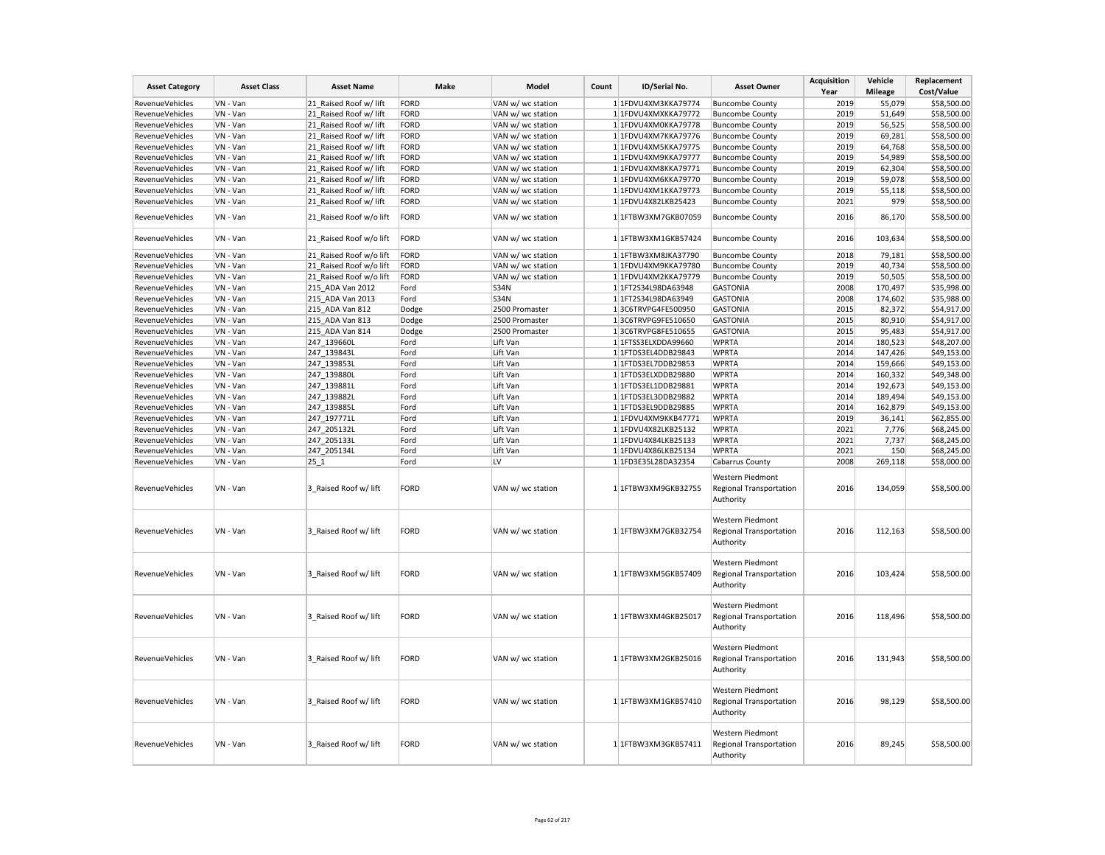| <b>Asset Category</b>  | <b>Asset Class</b> | <b>Asset Name</b>       | Make        | Model             | Count | ID/Serial No.       | <b>Asset Owner</b>                                       | <b>Acquisition</b><br>Year | Vehicle<br>Mileage | Replacement<br>Cost/Value |
|------------------------|--------------------|-------------------------|-------------|-------------------|-------|---------------------|----------------------------------------------------------|----------------------------|--------------------|---------------------------|
| RevenueVehicles        | VN - Van           | 21 Raised Roof w/ lift  | FORD        | VAN w/ wc station |       | 1 1FDVU4XM3KKA79774 | <b>Buncombe County</b>                                   | 2019                       | 55,079             | \$58,500.00               |
| RevenueVehicles        | VN - Van           | 21 Raised Roof w/ lift  | FORD        | VAN w/ wc station |       | 1 1FDVU4XMXKKA79772 | <b>Buncombe County</b>                                   | 2019                       | 51,649             | \$58,500.00               |
| RevenueVehicles        | VN - Van           | 21 Raised Roof w/ lift  | FORD        | VAN w/ wc station |       | 1 1FDVU4XM0KKA79778 | <b>Buncombe County</b>                                   | 2019                       | 56,525             | \$58,500.00               |
| RevenueVehicles        | VN - Van           |                         | FORD        |                   |       | 1 1FDVU4XM7KKA79776 |                                                          | 2019                       | 69,281             | \$58,500.00               |
|                        |                    | 21_Raised Roof w/ lift  | FORD        | VAN w/ wc station |       |                     | <b>Buncombe County</b>                                   | 2019                       |                    |                           |
| RevenueVehicles        | VN - Van           | 21 Raised Roof w/ lift  |             | VAN w/ wc station |       | 1 1FDVU4XM5KKA79775 | <b>Buncombe County</b>                                   |                            | 64,768             | \$58,500.00               |
| RevenueVehicles        | VN - Van           | 21 Raised Roof w/ lift  | FORD        | VAN w/ wc station |       | 1 1FDVU4XM9KKA79777 | <b>Buncombe County</b>                                   | 2019                       | 54,989             | \$58,500.00               |
| RevenueVehicles        | VN - Van           | 21 Raised Roof w/ lift  | FORD        | VAN w/ wc station |       | 1 1FDVU4XM8KKA79771 | <b>Buncombe County</b>                                   | 2019                       | 62,304             | \$58,500.00               |
| RevenueVehicles        | VN - Van           | 21 Raised Roof w/ lift  | FORD        | VAN w/ wc station |       | 1 1FDVU4XM6KKA79770 | <b>Buncombe County</b>                                   | 2019                       | 59,078             | \$58,500.00               |
| RevenueVehicles        | VN - Van           | 21_Raised Roof w/ lift  | FORD        | VAN w/ wc station |       | 1 1FDVU4XM1KKA79773 | <b>Buncombe County</b>                                   | 2019                       | 55,118             | \$58,500.00               |
| RevenueVehicles        | VN - Van           | 21 Raised Roof w/ lift  | FORD        | VAN w/ wc station |       | 1 1FDVU4X82LKB25423 | <b>Buncombe County</b>                                   | 2021                       | 979                | \$58,500.00               |
| RevenueVehicles        | VN - Van           | 21 Raised Roof w/o lift | FORD        | VAN w/ wc station |       | 1 1FTBW3XM7GKB07059 | <b>Buncombe County</b>                                   | 2016                       | 86,170             | \$58,500.00               |
| RevenueVehicles        | VN - Van           | 21 Raised Roof w/o lift | FORD        | VAN w/ wc station |       | 1 1FTBW3XM1GKB57424 | <b>Buncombe County</b>                                   | 2016                       | 103,634            | \$58,500.00               |
| RevenueVehicles        | VN - Van           | 21 Raised Roof w/o lift | FORD        | VAN w/ wc station |       | 1 1FTBW3XM8JKA37790 | <b>Buncombe County</b>                                   | 2018                       | 79,181             | \$58,500.00               |
| <b>RevenueVehicles</b> | VN - Van           | 21 Raised Roof w/o lift | FORD        | VAN w/ wc station |       | 1 1FDVU4XM9KKA79780 | <b>Buncombe County</b>                                   | 2019                       | 40,734             | \$58,500.00               |
| RevenueVehicles        | VN - Van           | 21 Raised Roof w/o lift | FORD        | VAN w/ wc station |       | 1 1FDVU4XM2KKA79779 | <b>Buncombe County</b>                                   | 2019                       | 50,505             | \$58,500.00               |
| RevenueVehicles        | VN - Van           | 215 ADA Van 2012        | Ford        | <b>S34N</b>       |       | 1 1FT2S34L98DA63948 | <b>GASTONIA</b>                                          | 2008                       | 170,497            | \$35,998.00               |
| RevenueVehicles        | VN - Van           | 215 ADA Van 2013        | Ford        | <b>S34N</b>       |       | 1 1FT2S34L98DA63949 | <b>GASTONIA</b>                                          | 2008                       | 174,602            | \$35,988.00               |
| RevenueVehicles        | VN - Van           | 215 ADA Van 812         | Dodge       | 2500 Promaster    |       | 13C6TRVPG4FE500950  | <b>GASTONIA</b>                                          | 2015                       | 82,372             | \$54,917.00               |
| RevenueVehicles        | VN - Van           | 215 ADA Van 813         | Dodge       | 2500 Promaster    |       | 13C6TRVPG9FE510650  | <b>GASTONIA</b>                                          | 2015                       | 80,910             | \$54,917.00               |
| RevenueVehicles        | VN - Van           | 215 ADA Van 814         | Dodge       | 2500 Promaster    |       | 13C6TRVPG8FE510655  | <b>GASTONIA</b>                                          | 2015                       | 95,483             | \$54,917.00               |
| RevenueVehicles        | VN - Van           | 247 139660L             | Ford        | Lift Van          |       | 1 1FTSS3ELXDDA99660 | <b>WPRTA</b>                                             | 2014                       | 180,523            | \$48,207.00               |
| RevenueVehicles        | VN - Van           | 247 139843L             | Ford        | Lift Van          |       | 1 1FTDS3EL4DDB29843 | <b>WPRTA</b>                                             | 2014                       | 147,426            | \$49,153.00               |
|                        |                    |                         |             |                   |       |                     |                                                          |                            |                    |                           |
| RevenueVehicles        | VN - Van           | 247 139853L             | Ford        | Lift Van          |       | 1 1FTDS3EL7DDB29853 | <b>WPRTA</b>                                             | 2014                       | 159,666            | \$49,153.00               |
| RevenueVehicles        | VN - Van           | 247 139880L             | Ford        | Lift Van          |       | 1 1FTDS3ELXDDB29880 | <b>WPRTA</b>                                             | 2014                       | 160,332            | \$49,348.00               |
| RevenueVehicles        | VN - Van           | 247_139881L             | Ford        | Lift Van          |       | 1 1FTDS3EL1DDB29881 | <b>WPRTA</b>                                             | 2014                       | 192,673            | \$49,153.00               |
| RevenueVehicles        | VN - Van           | 247 139882L             | Ford        | Lift Van          |       | 1 1FTDS3EL3DDB29882 | <b>WPRTA</b>                                             | 2014                       | 189,494            | \$49,153.00               |
| RevenueVehicles        | VN - Van           | 247 139885L             | Ford        | Lift Van          |       | 1 1FTDS3EL9DDB29885 | <b>WPRTA</b>                                             | 2014                       | 162,879            | \$49,153.00               |
| RevenueVehicles        | VN - Van           | 247 197771L             | Ford        | Lift Van          |       | 1 1FDVU4XM9KKB47771 | <b>WPRTA</b>                                             | 2019                       | 36,141             | \$62,855.00               |
| RevenueVehicles        | VN - Van           | 247 205132L             | Ford        | Lift Van          |       | 1 1FDVU4X82LKB25132 | <b>WPRTA</b>                                             | 2021                       | 7,776              | \$68,245.00               |
| RevenueVehicles        | VN - Van           | 247_205133L             | Ford        | Lift Van          |       | 1 1FDVU4X84LKB25133 | <b>WPRTA</b>                                             | 2021                       | 7,737              | \$68,245.00               |
| RevenueVehicles        | VN - Van           | 247_205134L             | Ford        | Lift Van          |       | 1 1FDVU4X86LKB25134 | <b>WPRTA</b>                                             | 2021                       | 150                | \$68,245.00               |
| RevenueVehicles        | VN - Van           | 25 1                    | Ford        | LV                |       | 1 1FD3E35L28DA32354 | Cabarrus County                                          | 2008                       | 269,118            | \$58,000.00               |
| RevenueVehicles        | VN - Van           | 3 Raised Roof w/ lift   | FORD        | VAN w/ wc station |       | 1 1FTBW3XM9GKB32755 | Western Piedmont<br>Regional Transportation<br>Authority | 2016                       | 134,059            | \$58,500.00               |
| RevenueVehicles        | VN - Van           | 3 Raised Roof w/ lift   | FORD        | VAN w/ wc station |       | 1 1FTBW3XM7GKB32754 | Western Piedmont<br>Regional Transportation<br>Authority | 2016                       | 112,163            | \$58,500.00               |
| RevenueVehicles        | VN - Van           | 3 Raised Roof w/ lift   | FORD        | VAN w/ wc station |       | 1 1FTBW3XM5GKB57409 | Western Piedmont<br>Regional Transportation<br>Authority | 2016                       | 103,424            | \$58,500.00               |
| RevenueVehicles        | VN - Van           | 3 Raised Roof w/ lift   | FORD        | VAN w/ wc station |       | 1 1FTBW3XM4GKB25017 | Western Piedmont<br>Regional Transportation<br>Authority | 2016                       | 118,496            | \$58,500.00               |
| RevenueVehicles        | VN - Van           | 3 Raised Roof w/ lift   | <b>FORD</b> | VAN w/ wc station |       | 1 1FTBW3XM2GKB25016 | Western Piedmont<br>Regional Transportation<br>Authority | 2016                       | 131,943            | \$58,500.00               |
| RevenueVehicles        | VN - Van           | 3 Raised Roof w/ lift   | FORD        | VAN w/ wc station |       | 1 1FTBW3XM1GKB57410 | Western Piedmont<br>Regional Transportation<br>Authority | 2016                       | 98,129             | \$58,500.00               |
| RevenueVehicles        | VN - Van           | 3 Raised Roof w/ lift   | FORD        | VAN w/ wc station |       | 1 1FTBW3XM3GKB57411 | Western Piedmont<br>Regional Transportation<br>Authority | 2016                       | 89,245             | \$58,500.00               |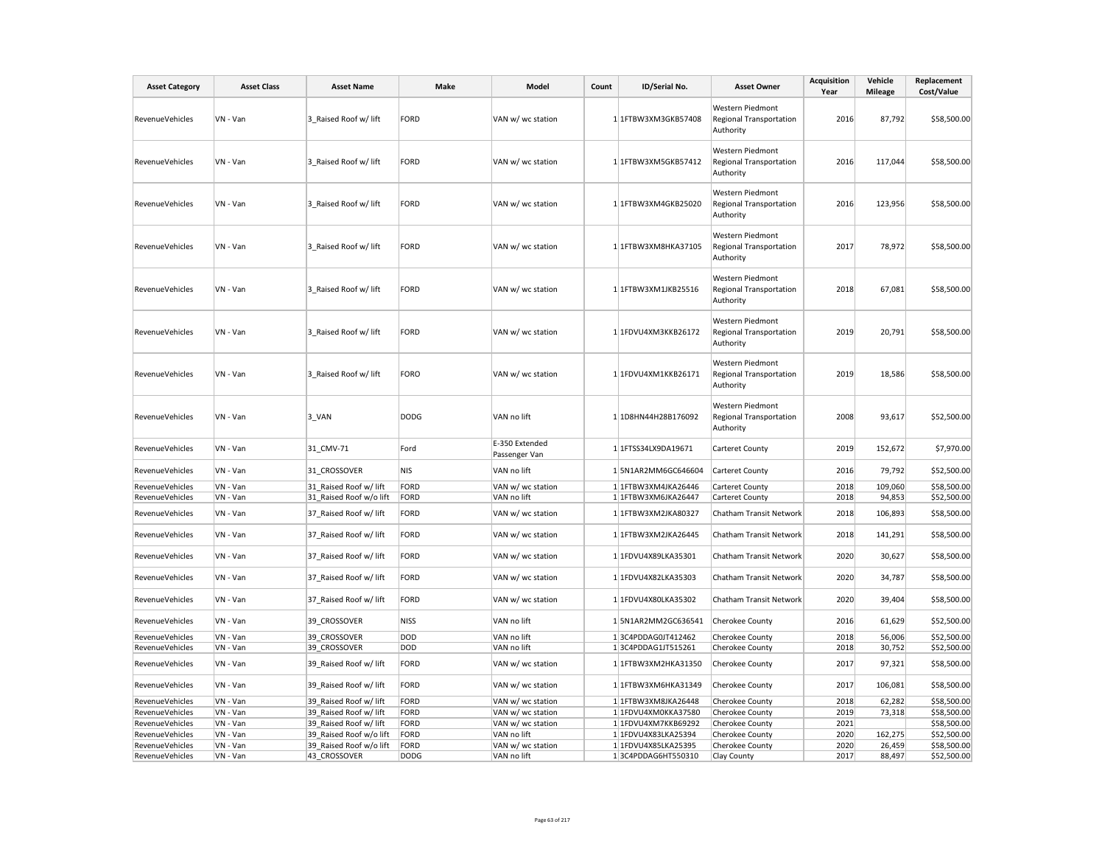| <b>Asset Category</b>  | <b>Asset Class</b> | <b>Asset Name</b>       | Make        | Model                           | Count | ID/Serial No.       | <b>Asset Owner</b>                                              | <b>Acquisition</b><br>Year | Vehicle<br><b>Mileage</b> | Replacement<br>Cost/Value |
|------------------------|--------------------|-------------------------|-------------|---------------------------------|-------|---------------------|-----------------------------------------------------------------|----------------------------|---------------------------|---------------------------|
| <b>RevenueVehicles</b> | VN - Van           | 3 Raised Roof w/ lift   | FORD        | VAN w/ wc station               |       | 1 1FTBW3XM3GKB57408 | Western Piedmont<br><b>Regional Transportation</b><br>Authority | 2016                       | 87,792                    | \$58,500.00               |
| RevenueVehicles        | VN - Van           | 3 Raised Roof w/ lift   | FORD        | VAN w/ wc station               |       | 1 1FTBW3XM5GKB57412 | Western Piedmont<br><b>Regional Transportation</b><br>Authority | 2016                       | 117,044                   | \$58,500.00               |
| <b>RevenueVehicles</b> | VN - Van           | 3 Raised Roof w/ lift   | FORD        | VAN w/ wc station               |       | 1 1FTBW3XM4GKB25020 | Western Piedmont<br><b>Regional Transportation</b><br>Authority | 2016                       | 123,956                   | \$58,500.00               |
| RevenueVehicles        | VN - Van           | 3 Raised Roof w/ lift   | FORD        | VAN w/ wc station               |       | 1 1FTBW3XM8HKA37105 | Western Piedmont<br><b>Regional Transportation</b><br>Authority | 2017                       | 78,972                    | \$58,500.00               |
| RevenueVehicles        | VN - Van           | 3 Raised Roof w/ lift   | FORD        | VAN w/ wc station               |       | 1 1FTBW3XM1JKB25516 | Western Piedmont<br><b>Regional Transportation</b><br>Authority | 2018                       | 67,081                    | \$58,500.00               |
| RevenueVehicles        | VN - Van           | 3 Raised Roof w/ lift   | FORD        | VAN w/ wc station               |       | 1 1FDVU4XM3KKB26172 | Western Piedmont<br><b>Regional Transportation</b><br>Authority | 2019                       | 20,791                    | \$58,500.00               |
| RevenueVehicles        | VN - Van           | 3 Raised Roof w/ lift   | FORO        | VAN w/ wc station               |       | 1 1FDVU4XM1KKB26171 | Western Piedmont<br><b>Regional Transportation</b><br>Authority | 2019                       | 18,586                    | \$58,500.00               |
| RevenueVehicles        | VN - Van           | 3 VAN                   | <b>DODG</b> | VAN no lift                     |       | 1 1D8HN44H28B176092 | Western Piedmont<br><b>Regional Transportation</b><br>Authority | 2008                       | 93,617                    | \$52,500.00               |
| RevenueVehicles        | VN - Van           | 31 CMV-71               | Ford        | E-350 Extended<br>Passenger Van |       | 1 1FTSS34LX9DA19671 | Carteret County                                                 | 2019                       | 152,672                   | \$7,970.00                |
| RevenueVehicles        | VN - Van           | 31 CROSSOVER            | NIS         | VAN no lift                     |       | 15N1AR2MM6GC646604  | <b>Carteret County</b>                                          | 2016                       | 79,792                    | \$52,500.00               |
| RevenueVehicles        | VN - Van           | 31 Raised Roof w/ lift  | FORD        | VAN w/ wc station               |       | 1 1FTBW3XM4JKA26446 | <b>Carteret County</b>                                          | 2018                       | 109,060                   | \$58,500.00               |
| RevenueVehicles        | VN - Van           | 31_Raised Roof w/o lift | FORD        | VAN no lift                     |       | 1 1FTBW3XM6JKA26447 | <b>Carteret County</b>                                          | 2018                       | 94,853                    | \$52,500.00               |
| <b>RevenueVehicles</b> | VN - Van           | 37 Raised Roof w/ lift  | FORD        | VAN w/ wc station               |       | 1 1FTBW3XM2JKA80327 | Chatham Transit Network                                         | 2018                       | 106,893                   | \$58,500.00               |
| RevenueVehicles        | VN - Van           | 37 Raised Roof w/ lift  | FORD        | VAN w/ wc station               |       | 1 1FTBW3XM2JKA26445 | Chatham Transit Network                                         | 2018                       | 141,291                   | \$58,500.00               |
| RevenueVehicles        | VN - Van           | 37_Raised Roof w/ lift  | FORD        | VAN w/ wc station               |       | 1 1FDVU4X89LKA35301 | Chatham Transit Network                                         | 2020                       | 30,627                    | \$58,500.00               |
| RevenueVehicles        | VN - Van           | 37 Raised Roof w/ lift  | FORD        | VAN w/ wc station               |       | 1 1FDVU4X82LKA35303 | Chatham Transit Network                                         | 2020                       | 34,787                    | \$58,500.00               |
| RevenueVehicles        | VN - Van           | 37_Raised Roof w/ lift  | FORD        | VAN w/ wc station               |       | 1 1FDVU4X80LKA35302 | Chatham Transit Network                                         | 2020                       | 39,404                    | \$58,500.00               |
| RevenueVehicles        | VN - Van           | 39 CROSSOVER            | NISS        | VAN no lift                     |       | 15N1AR2MM2GC636541  | <b>Cherokee County</b>                                          | 2016                       | 61,629                    | \$52,500.00               |
| RevenueVehicles        | VN - Van           | 39 CROSSOVER            | DOD         | VAN no lift                     |       | 13C4PDDAG0JT412462  | Cherokee County                                                 | 2018                       | 56,006                    | \$52,500.00               |
| RevenueVehicles        | VN - Van           | 39 CROSSOVER            | DOD         | VAN no lift                     |       | 13C4PDDAG1JT515261  | Cherokee County                                                 | 2018                       | 30,752                    | \$52,500.00               |
| RevenueVehicles        | VN - Van           | 39_Raised Roof w/ lift  | FORD        | VAN w/ wc station               |       | 1 1FTBW3XM2HKA31350 | Cherokee County                                                 | 2017                       | 97,321                    | \$58,500.00               |
| RevenueVehicles        | VN - Van           | 39 Raised Roof w/ lift  | FORD        | VAN w/ wc station               |       | 1 1FTBW3XM6HKA31349 | Cherokee County                                                 | 2017                       | 106,081                   | \$58,500.00               |
| RevenueVehicles        | VN - Van           | 39 Raised Roof w/ lift  | FORD        | VAN w/ wc station               |       | 1 1FTBW3XM8JKA26448 | Cherokee County                                                 | 2018                       | 62,282                    | \$58,500.00               |
| RevenueVehicles        | VN - Van           | 39 Raised Roof w/ lift  | FORD        | VAN w/ wc station               |       | 1 1FDVU4XM0KKA37580 | Cherokee County                                                 | 2019                       | 73,318                    | \$58,500.00               |
| RevenueVehicles        | VN - Van           | 39 Raised Roof w/ lift  | FORD        | VAN w/ wc station               |       | 1 1FDVU4XM7KKB69292 | <b>Cherokee County</b>                                          | 2021                       |                           | \$58,500.00               |
| RevenueVehicles        | VN - Van           | 39 Raised Roof w/o lift | FORD        | VAN no lift                     |       | 1 1FDVU4X83LKA25394 | Cherokee County                                                 | 2020                       | 162,275                   | \$52,500.00               |
| RevenueVehicles        | VN - Van           | 39 Raised Roof w/o lift | FORD        | VAN w/ wc station               |       | 1 1FDVU4X85LKA25395 | Cherokee County                                                 | 2020                       | 26,459                    | \$58,500.00               |
| RevenueVehicles        | VN - Van           | 43 CROSSOVER            | <b>DODG</b> | VAN no lift                     |       | 13C4PDDAG6HT550310  | Clay County                                                     | 2017                       | 88,497                    | \$52,500.00               |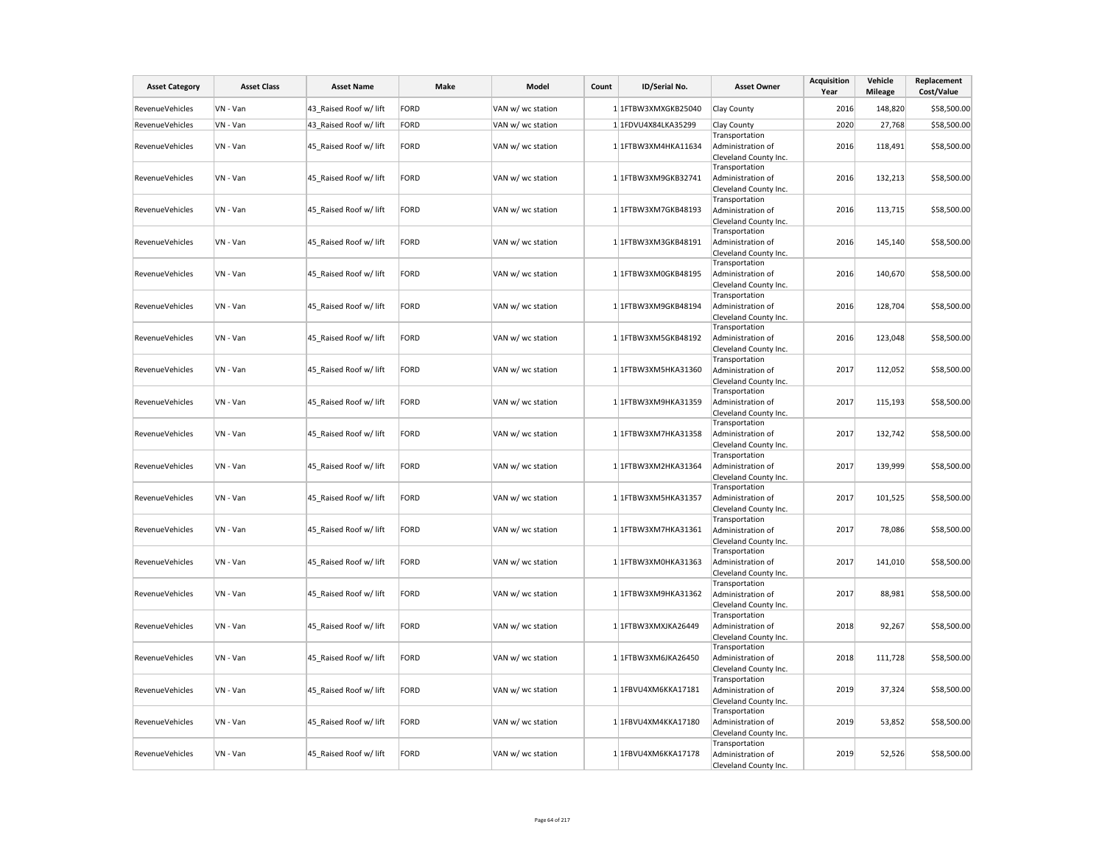| <b>Asset Category</b>  | <b>Asset Class</b> | <b>Asset Name</b>      | Make        | Model             | Count | ID/Serial No.         | <b>Asset Owner</b>                                           | <b>Acquisition</b><br>Year | Vehicle<br><b>Mileage</b> | Replacement<br>Cost/Value |
|------------------------|--------------------|------------------------|-------------|-------------------|-------|-----------------------|--------------------------------------------------------------|----------------------------|---------------------------|---------------------------|
| RevenueVehicles        | VN - Van           | 43 Raised Roof w/ lift | FORD        | VAN w/ wc station |       | 1 1FTBW3XMXGKB25040   | Clay County                                                  | 2016                       | 148,820                   | \$58,500.00               |
| RevenueVehicles        | VN - Van           | 43 Raised Roof w/ lift | FORD        | VAN w/ wc station |       | 1 1FDVU4X84LKA35299   | Clay County                                                  | 2020                       | 27,768                    | \$58,500.00               |
| <b>RevenueVehicles</b> | VN - Van           | 45 Raised Roof w/ lift | FORD        | VAN w/ wc station |       | 1 1FTBW3XM4HKA11634   | Transportation<br>Administration of<br>Cleveland County Inc. | 2016                       | 118,491                   | \$58,500.00               |
| RevenueVehicles        | VN - Van           | 45 Raised Roof w/ lift | FORD        | VAN w/ wc station |       | 1 1FTBW3XM9GKB32741   | Transportation<br>Administration of<br>Cleveland County Inc. | 2016                       | 132,213                   | \$58,500.00               |
| <b>RevenueVehicles</b> | VN - Van           | 45 Raised Roof w/ lift | FORD        | VAN w/ wc station |       | 1 1FTBW3XM7GKB48193   | Transportation<br>Administration of<br>Cleveland County Inc. | 2016                       | 113,715                   | \$58,500.00               |
| RevenueVehicles        | VN - Van           | 45 Raised Roof w/ lift | FORD        | VAN w/ wc station |       | 1 1FTBW3XM3GKB48191   | Transportation<br>Administration of<br>Cleveland County Inc. | 2016                       | 145,140                   | \$58,500.00               |
| RevenueVehicles        | VN - Van           | 45_Raised Roof w/ lift | FORD        | VAN w/ wc station |       | 1 1FTBW3XM0GKB48195   | Transportation<br>Administration of<br>Cleveland County Inc. | 2016                       | 140,670                   | \$58,500.00               |
| RevenueVehicles        | VN - Van           | 45_Raised Roof w/ lift | FORD        | VAN w/ wc station |       | 1 1FTBW3XM9GKB48194   | Transportation<br>Administration of<br>Cleveland County Inc. | 2016                       | 128,704                   | \$58,500.00               |
| RevenueVehicles        | VN - Van           | 45_Raised Roof w/ lift | FORD        | VAN w/ wc station |       | 1 1FTBW3XM5GKB48192   | Transportation<br>Administration of<br>Cleveland County Inc. | 2016                       | 123,048                   | \$58,500.00               |
| RevenueVehicles        | VN - Van           | 45 Raised Roof w/ lift | FORD        | VAN w/ wc station |       | 1 1FTBW3XM5HKA31360   | Transportation<br>Administration of<br>Cleveland County Inc. | 2017                       | 112,052                   | \$58,500.00               |
| RevenueVehicles        | VN - Van           | 45 Raised Roof w/ lift | FORD        | VAN w/ wc station |       | $1$ 1FTBW3XM9HKA31359 | Transportation<br>Administration of<br>Cleveland County Inc. | 2017                       | 115,193                   | \$58,500.00               |
| RevenueVehicles        | VN - Van           | 45 Raised Roof w/ lift | FORD        | VAN w/ wc station |       | 1 1FTBW3XM7HKA31358   | Transportation<br>Administration of<br>Cleveland County Inc. | 2017                       | 132,742                   | \$58,500.00               |
| RevenueVehicles        | VN - Van           | 45 Raised Roof w/ lift | FORD        | VAN w/ wc station |       | 1 1FTBW3XM2HKA31364   | Transportation<br>Administration of<br>Cleveland County Inc. | 2017                       | 139,999                   | \$58,500.00               |
| RevenueVehicles        | VN - Van           | 45 Raised Roof w/ lift | FORD        | VAN w/ wc station |       | 1 1FTBW3XM5HKA31357   | Transportation<br>Administration of<br>Cleveland County Inc. | 2017                       | 101,525                   | \$58,500.00               |
| RevenueVehicles        | VN - Van           | 45 Raised Roof w/ lift | FORD        | VAN w/ wc station |       | 1 1FTBW3XM7HKA31361   | Transportation<br>Administration of<br>Cleveland County Inc. | 2017                       | 78,086                    | \$58,500.00               |
| RevenueVehicles        | VN - Van           | 45 Raised Roof w/ lift | FORD        | VAN w/ wc station |       | 1 1FTBW3XM0HKA31363   | Transportation<br>Administration of<br>Cleveland County Inc. | 2017                       | 141,010                   | \$58,500.00               |
| <b>RevenueVehicles</b> | VN - Van           | 45 Raised Roof w/ lift | FORD        | VAN w/ wc station |       | 1 1FTBW3XM9HKA31362   | Transportation<br>Administration of<br>Cleveland County Inc. | 2017                       | 88,981                    | \$58,500.00               |
| RevenueVehicles        | VN - Van           | 45_Raised Roof w/ lift | FORD        | VAN w/ wc station |       | 1 1FTBW3XMXJKA26449   | Transportation<br>Administration of<br>Cleveland County Inc. | 2018                       | 92,267                    | \$58,500.00               |
| <b>RevenueVehicles</b> | VN - Van           | 45 Raised Roof w/ lift | FORD        | VAN w/ wc station |       | 1 1FTBW3XM6JKA26450   | Transportation<br>Administration of<br>Cleveland County Inc. | 2018                       | 111,728                   | \$58,500.00               |
| RevenueVehicles        | VN - Van           | 45 Raised Roof w/ lift | FORD        | VAN w/ wc station |       | 1 1FBVU4XM6KKA17181   | Transportation<br>Administration of<br>Cleveland County Inc. | 2019                       | 37,324                    | \$58,500.00               |
| <b>RevenueVehicles</b> | VN - Van           | 45 Raised Roof w/ lift | <b>FORD</b> | VAN w/ wc station |       | 1 1FBVU4XM4KKA17180   | Transportation<br>Administration of<br>Cleveland County Inc. | 2019                       | 53,852                    | \$58,500.00               |
| <b>RevenueVehicles</b> | VN - Van           | 45 Raised Roof w/ lift | FORD        | VAN w/ wc station |       | 1 1FBVU4XM6KKA17178   | Transportation<br>Administration of<br>Cleveland County Inc. | 2019                       | 52,526                    | \$58,500.00               |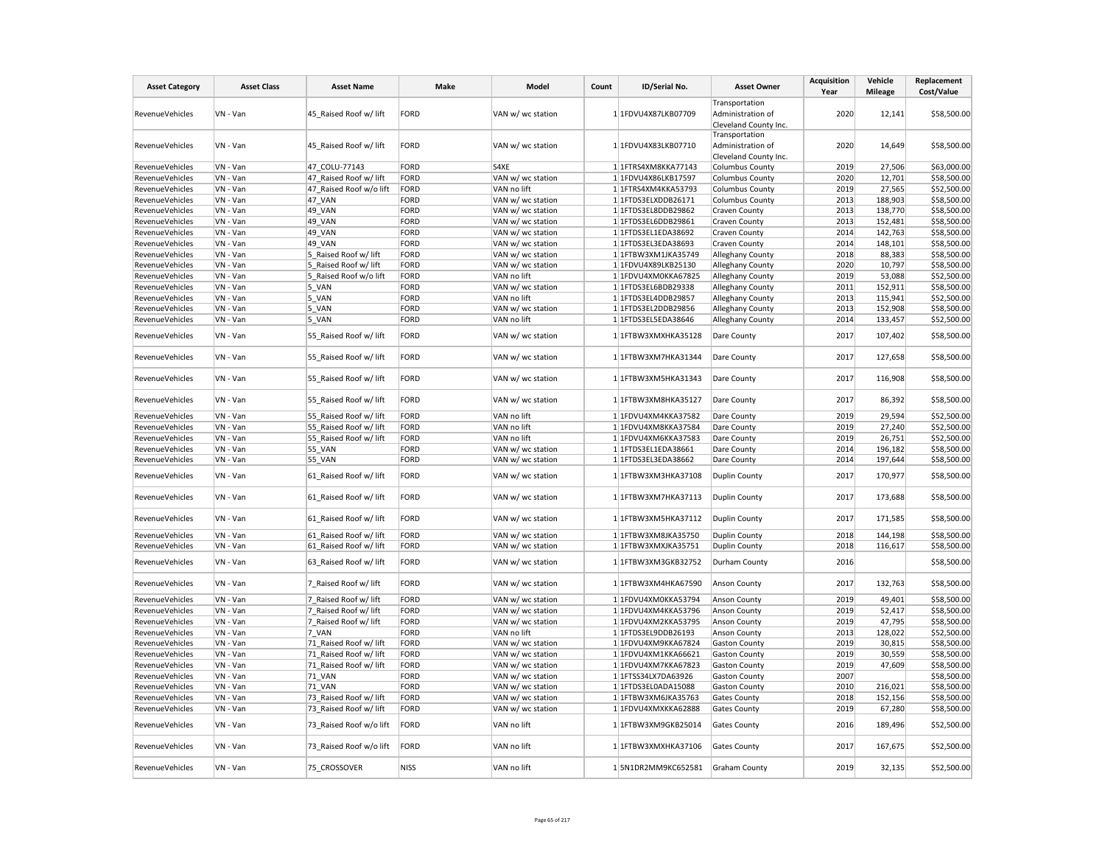| <b>Asset Category</b>  | <b>Asset Class</b> | <b>Asset Name</b>       | Make        | Model             | Count | ID/Serial No.       | <b>Asset Owner</b>                         | <b>Acquisition</b><br>Year | Vehicle<br><b>Mileage</b> | Replacement<br>Cost/Value |
|------------------------|--------------------|-------------------------|-------------|-------------------|-------|---------------------|--------------------------------------------|----------------------------|---------------------------|---------------------------|
| RevenueVehicles        | VN - Van           | 45 Raised Roof w/ lift  | FORD        | VAN w/ wc station |       | 1 1FDVU4X87LKB07709 | Transportation<br>Administration of        | 2020                       | 12,141                    | \$58,500.00               |
|                        |                    |                         |             |                   |       |                     | Cleveland County Inc.                      |                            |                           |                           |
| RevenueVehicles        | VN - Van           | 45 Raised Roof w/ lift  | FORD        | VAN w/ wc station |       | 1 1FDVU4X83LKB07710 | Transportation<br>Administration of        | 2020                       | 14,649                    | \$58,500.00               |
|                        |                    |                         |             |                   |       |                     | Cleveland County Inc.                      |                            |                           |                           |
| RevenueVehicles        | VN - Van           | 47 COLU-77143           | FORD        | S4XE              |       | 1 1FTRS4XM8KKA77143 | <b>Columbus County</b>                     | 2019                       | 27,506                    | \$63,000.00               |
| RevenueVehicles        | VN - Van           | 47 Raised Roof w/ lift  | FORD        | VAN w/ wc station |       | 1 1FDVU4X86LKB17597 | <b>Columbus County</b>                     | 2020                       | 12,701                    | \$58,500.00               |
| RevenueVehicles        | VN - Van           | 47 Raised Roof w/o lift | FORD        | VAN no lift       |       | 1 1FTRS4XM4KKA53793 | <b>Columbus County</b>                     | 2019                       | 27,565                    | \$52,500.00               |
| RevenueVehicles        | VN - Van           | 47 VAN                  | FORD        | VAN w/ wc station |       | 1 1FTDS3ELXDDB26171 | <b>Columbus County</b>                     | 2013                       | 188,903                   | \$58,500.00               |
| RevenueVehicles        | VN - Van           | 49_VAN                  | FORD        | VAN w/ wc station |       | 1 1FTDS3EL8DDB29862 | <b>Craven County</b>                       | 2013                       | 138,770                   | \$58,500.00               |
| RevenueVehicles        | VN - Van           | 49 VAN                  | FORD        | VAN w/ wc station |       | 1 1FTDS3EL6DDB29861 | <b>Craven County</b>                       | 2013                       | 152,481                   | \$58,500.00               |
| RevenueVehicles        | VN - Van           | 49 VAN                  | FORD        | VAN w/ wc station |       | 1 1FTDS3EL1EDA38692 | <b>Craven County</b>                       | 2014                       | 142,763                   | \$58,500.00               |
| RevenueVehicles        | VN - Van           | 49 VAN                  | FORD        | VAN w/ wc station |       | 1 1FTDS3EL3EDA38693 | Craven County                              | 2014                       | 148,101                   | \$58,500.00               |
| RevenueVehicles        | VN - Van           | 5 Raised Roof w/ lift   | FORD        | VAN w/ wc station |       | 1 1FTBW3XM1JKA35749 | Alleghany County                           | 2018                       | 88,383                    | \$58,500.00               |
| RevenueVehicles        | VN - Van           | 5_Raised Roof w/ lift   | FORD        | VAN w/ wc station |       | 1 1FDVU4X89LKB25130 | Alleghany County                           | 2020                       | 10,797                    | \$58,500.00               |
| RevenueVehicles        | VN - Van           | 5 Raised Roof w/o lift  | FORD        | VAN no lift       |       | 1 1FDVU4XM0KKA67825 | Alleghany County                           | 2019                       | 53,088                    | \$52,500.00               |
| RevenueVehicles        | VN - Van           | 5 VAN                   | FORD        | VAN w/ wc station |       | 1 1FTDS3EL6BDB29338 | <b>Alleghany County</b>                    | 2011                       | 152,911                   | \$58,500.00               |
| RevenueVehicles        | VN - Van           | 5 VAN                   | FORD        | VAN no lift       |       | 1 1FTDS3EL4DDB29857 |                                            | 2013                       | 115,941                   | \$52,500.00               |
| <b>RevenueVehicles</b> | VN - Van           |                         | FORD        | VAN w/ wc station |       | 1 1FTDS3EL2DDB29856 | Alleghany County                           | 2013                       | 152,908                   | \$58,500.00               |
| <b>RevenueVehicles</b> | VN - Van           | 5 VAN                   | FORD        | VAN no lift       |       | 1 1FTDS3EL5EDA38646 | Alleghany County                           | 2014                       |                           |                           |
|                        |                    | 5_VAN                   |             |                   |       |                     | Alleghany County                           |                            | 133,457                   | \$52,500.00               |
| RevenueVehicles        | VN - Van           | 55_Raised Roof w/ lift  | FORD        | VAN w/ wc station |       | 1 1FTBW3XMXHKA35128 | Dare County                                | 2017                       | 107,402                   | \$58,500.00               |
| RevenueVehicles        | VN - Van           | 55 Raised Roof w/ lift  | FORD        | VAN w/ wc station |       | 1 1FTBW3XM7HKA31344 | Dare County                                | 2017                       | 127,658                   | \$58,500.00               |
| RevenueVehicles        | VN - Van           | 55 Raised Roof w/ lift  | FORD        | VAN w/ wc station |       | 1 1FTBW3XM5HKA31343 | Dare County                                | 2017                       | 116,908                   | \$58,500.00               |
| RevenueVehicles        | VN - Van           | 55 Raised Roof w/ lift  | FORD        | VAN w/ wc station |       | 1 1FTBW3XM8HKA35127 | Dare County                                | 2017                       | 86,392                    | \$58,500.00               |
| <b>RevenueVehicles</b> | VN - Van           | 55 Raised Roof w/ lift  | FORD        | VAN no lift       |       | 1 1FDVU4XM4KKA37582 | Dare County                                | 2019                       | 29,594                    | \$52,500.00               |
| RevenueVehicles        | VN - Van           | 55 Raised Roof w/ lift  | FORD        | VAN no lift       |       | 1 1FDVU4XM8KKA37584 | Dare County                                | 2019                       | 27,240                    | \$52,500.00               |
| <b>RevenueVehicles</b> | VN - Van           | 55 Raised Roof w/ lift  | FORD        | VAN no lift       |       | 1 1FDVU4XM6KKA37583 | Dare County                                | 2019                       | 26,751                    | \$52,500.00               |
| RevenueVehicles        | VN - Van           | <b>55 VAN</b>           | FORD        | VAN w/ wc station |       | 1 1FTDS3EL1EDA38661 | Dare County                                | 2014                       | 196,182                   | \$58,500.00               |
| RevenueVehicles        | VN - Van           | 55_VAN                  | FORD        | VAN w/ wc station |       | 1 1FTDS3EL3EDA38662 | Dare County                                | 2014                       | 197,644                   | \$58,500.00               |
| RevenueVehicles        | VN - Van           | 61 Raised Roof w/ lift  | FORD        | VAN w/ wc station |       | 1 1FTBW3XM3HKA37108 | <b>Duplin County</b>                       | 2017                       | 170,977                   | \$58,500.00               |
| RevenueVehicles        | VN - Van           | 61 Raised Roof w/ lift  | FORD        | VAN w/ wc station |       | 1 1FTBW3XM7HKA37113 | <b>Duplin County</b>                       | 2017                       | 173,688                   | \$58,500.00               |
| RevenueVehicles        | VN - Van           | 61_Raised Roof w/ lift  | FORD        | VAN w/ wc station |       | 1 1FTBW3XM5HKA37112 | <b>Duplin County</b>                       | 2017                       | 171,585                   | \$58,500.00               |
| RevenueVehicles        | VN - Van           | 61 Raised Roof w/ lift  | FORD        | VAN w/ wc station |       | 1 1FTBW3XM8JKA35750 | <b>Duplin County</b>                       | 2018                       | 144,198                   | \$58,500.00               |
| RevenueVehicles        | VN - Van           | 61 Raised Roof w/ lift  | FORD        | VAN w/ wc station |       | 1 1FTBW3XMXJKA35751 | <b>Duplin County</b>                       | 2018                       | 116,617                   | \$58,500.00               |
| RevenueVehicles        | VN - Van           | 63 Raised Roof w/ lift  | FORD        | VAN w/ wc station |       | 1 1FTBW3XM3GKB32752 | Durham County                              | 2016                       |                           | \$58,500.00               |
| RevenueVehicles        | VN - Van           | 7_Raised Roof w/ lift   | FORD        | VAN w/ wc station |       | 1 1FTBW3XM4HKA67590 | Anson County                               | 2017                       | 132,763                   | \$58,500.00               |
| RevenueVehicles        | VN - Van           | 7 Raised Roof w/ lift   | FORD        | VAN w/ wc station |       | 1 1FDVU4XM0KKA53794 | Anson County                               | 2019                       | 49,401                    | \$58,500.00               |
| <b>RevenueVehicles</b> | VN - Van           | 7 Raised Roof w/ lift   | FORD        | VAN w/ wc station |       | 1 1FDVU4XM4KKA53796 | <b>Anson County</b>                        | 2019                       | 52,417                    | \$58,500.00               |
| RevenueVehicles        | VN - Van           | 7 Raised Roof w/ lift   | FORD        | VAN w/ wc station |       | 1 1FDVU4XM2KKA53795 | <b>Anson County</b>                        | 2019                       | 47,795                    | \$58,500.00               |
| RevenueVehicles        | VN - Van           | 7 VAN                   | FORD        | VAN no lift       |       | 1 1FTDS3EL9DDB26193 | <b>Anson County</b>                        | 2013                       | 128,022                   | \$52,500.00               |
| <b>RevenueVehicles</b> | VN - Van           | 71 Raised Roof w/ lift  | FORD        | VAN w/ wc station |       | 1 1FDVU4XM9KKA67824 | <b>Gaston County</b>                       | 2019                       | 30,815                    | \$58,500.00               |
| RevenueVehicles        | VN - Van           | 71 Raised Roof w/ lift  | FORD        | VAN w/ wc station |       | 1 1FDVU4XM1KKA66621 | <b>Gaston County</b>                       | 2019                       | 30,559                    | \$58,500.00               |
| RevenueVehicles        | VN - Van           | 71 Raised Roof w/ lift  | FORD        | VAN w/ wc station |       | 1 1FDVU4XM7KKA67823 | <b>Gaston County</b>                       | 2019                       | 47,609                    | \$58,500.00               |
| RevenueVehicles        | VN - Van           | <b>71 VAN</b>           | FORD        | VAN w/ wc station |       | 1 1FTSS34LX7DA63926 | <b>Gaston County</b>                       | 2007                       |                           | \$58,500.00               |
| RevenueVehicles        | VN - Van           | <b>71 VAN</b>           | FORD        | VAN w/ wc station |       | 1 1FTDS3EL0ADA15088 | <b>Gaston County</b>                       | 2010                       | 216,021                   | \$58,500.00               |
| RevenueVehicles        | VN - Van           | 73 Raised Roof w/ lift  | FORD        | VAN w/ wc station |       | 1 1FTBW3XM6JKA35763 |                                            | 2018                       | 152,156                   | \$58,500.00               |
| RevenueVehicles        | VN - Van           | 73 Raised Roof w/ lift  | FORD        | VAN w/ wc station |       | 1 1FDVU4XMXKKA62888 | <b>Gates County</b><br><b>Gates County</b> | 2019                       | 67,280                    | \$58,500.00               |
|                        |                    |                         |             |                   |       |                     |                                            |                            |                           |                           |
| RevenueVehicles        | VN - Van           | 73_Raised Roof w/o lift | FORD        | VAN no lift       |       | 1 1FTBW3XM9GKB25014 | <b>Gates County</b>                        | 2016                       | 189,496                   | \$52,500.00               |
| RevenueVehicles        | VN - Van           | 73 Raised Roof w/o lift | FORD        | VAN no lift       |       | 1 1FTBW3XMXHKA37106 | <b>Gates County</b>                        | 2017                       | 167,675                   | \$52,500.00               |
| <b>RevenueVehicles</b> | VN - Van           | 75 CROSSOVER            | <b>NISS</b> | VAN no lift       |       | 15N1DR2MM9KC652581  | <b>Graham County</b>                       | 2019                       | 32,135                    | \$52,500.00               |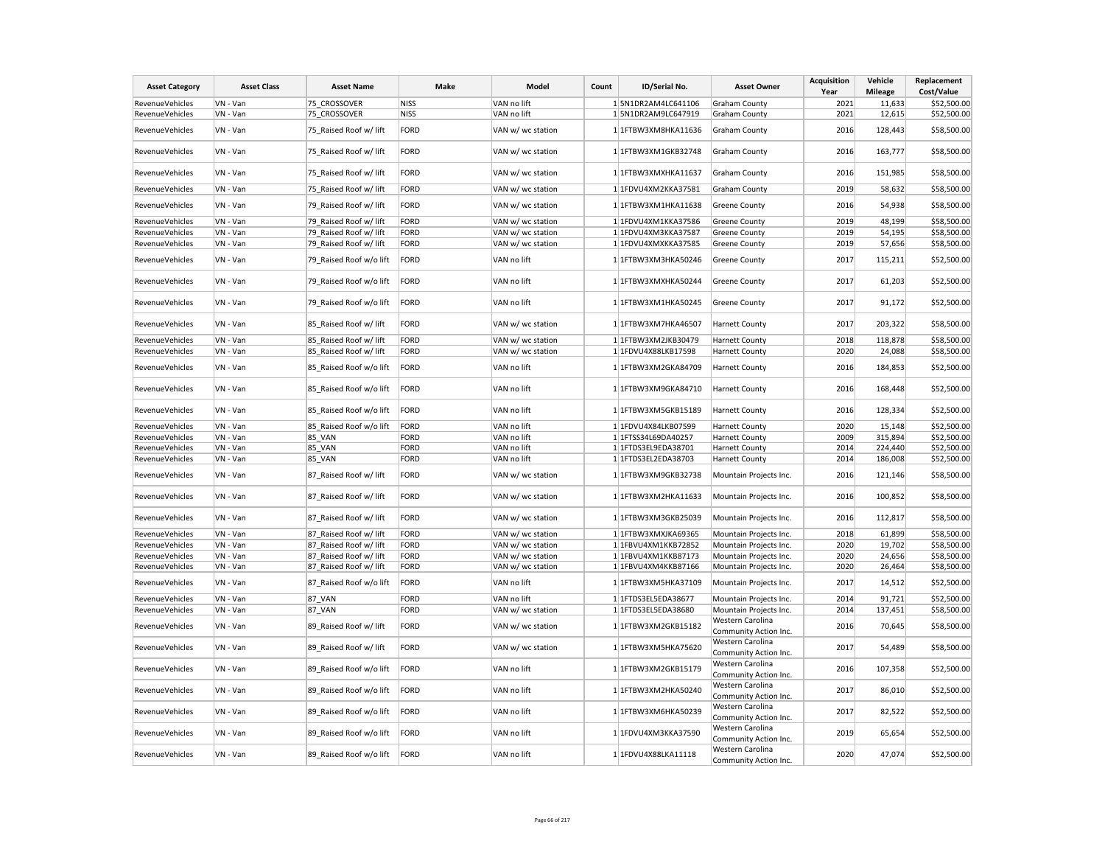| <b>Asset Category</b>  | <b>Asset Class</b> | <b>Asset Name</b>       | Make | Model             | Count | ID/Serial No.        | <b>Asset Owner</b>                        | <b>Acquisition</b><br>Year | Vehicle<br><b>Mileage</b> | Replacement<br>Cost/Value |
|------------------------|--------------------|-------------------------|------|-------------------|-------|----------------------|-------------------------------------------|----------------------------|---------------------------|---------------------------|
| RevenueVehicles        | VN - Van           | 75 CROSSOVER            | NISS | VAN no lift       |       | 1 5N1DR2AM4LC641106  | <b>Graham County</b>                      | 2021                       | 11,633                    | \$52,500.00               |
| RevenueVehicles        | VN - Van           | 75 CROSSOVER            | NISS | VAN no lift       |       | 1 5N1DR2AM9LC647919  | <b>Graham County</b>                      | 2021                       | 12,615                    | \$52,500.00               |
| RevenueVehicles        | VN - Van           | 75_Raised Roof w/ lift  | FORD | VAN w/ wc station |       | 1 1FTBW3XM8HKA11636  | <b>Graham County</b>                      | 2016                       | 128,443                   | \$58,500.00               |
| RevenueVehicles        | VN - Van           | 75_Raised Roof w/ lift  | FORD | VAN w/ wc station |       | 1 1FTBW3XM1GKB32748  | <b>Graham County</b>                      | 2016                       | 163,777                   | \$58,500.00               |
| RevenueVehicles        | VN - Van           | 75 Raised Roof w/ lift  | FORD | VAN w/ wc station |       | 1 1FTBW3XMXHKA11637  | <b>Graham County</b>                      | 2016                       | 151,985                   | \$58,500.00               |
| RevenueVehicles        | VN - Van           | 75 Raised Roof w/ lift  | FORD | VAN w/ wc station |       | 1 1FDVU4XM2KKA37581  | <b>Graham County</b>                      | 2019                       | 58,632                    | \$58,500.00               |
| RevenueVehicles        | VN - Van           | 79 Raised Roof w/ lift  | FORD | VAN w/ wc station |       | 1 1FTBW3XM1HKA11638  | <b>Greene County</b>                      | 2016                       | 54,938                    | \$58,500.00               |
| RevenueVehicles        | VN - Van           | 79 Raised Roof w/ lift  | FORD | VAN w/ wc station |       | 1 1FDVU4XM1KKA37586  | <b>Greene County</b>                      | 2019                       | 48.199                    | \$58,500.00               |
| RevenueVehicles        | VN - Van           | 79 Raised Roof w/ lift  | FORD | VAN w/ wc station |       | 1 1FDVU4XM3KKA37587  | <b>Greene County</b>                      | 2019                       | 54,195                    | \$58,500.00               |
| RevenueVehicles        | VN - Van           | 79 Raised Roof w/ lift  | FORD | VAN w/ wc station |       | 1 1FDVU4XMXKKA37585  | <b>Greene County</b>                      | 2019                       | 57,656                    | \$58,500.00               |
| RevenueVehicles        | VN - Van           | 79 Raised Roof w/o lift | FORD | VAN no lift       |       | 1 1FTBW3XM3HKA50246  | <b>Greene County</b>                      | 2017                       | 115,211                   | \$52,500.00               |
| RevenueVehicles        | VN - Van           | 79 Raised Roof w/o lift | FORD | VAN no lift       |       | 1 1FTBW3XMXHKA50244  | <b>Greene County</b>                      | 2017                       | 61,203                    | \$52,500.00               |
| RevenueVehicles        | VN - Van           | 79 Raised Roof w/o lift | FORD | VAN no lift       |       | 1 1FTBW3XM1HKA50245  | <b>Greene County</b>                      | 2017                       | 91,172                    | \$52,500.00               |
| RevenueVehicles        | VN - Van           | 85 Raised Roof w/ lift  | FORD | VAN w/ wc station |       | 1 1FTBW3XM7HKA46507  | <b>Harnett County</b>                     | 2017                       | 203,322                   | \$58,500.00               |
| RevenueVehicles        | VN - Van           | 85 Raised Roof w/ lift  | FORD | VAN w/ wc station |       | 1 1FTBW3XM2JKB30479  | <b>Harnett County</b>                     | 2018                       | 118,878                   | \$58,500.00               |
| RevenueVehicles        | VN - Van           | 85 Raised Roof w/ lift  | FORD | VAN w/ wc station |       | 1 1FDVU4X88LKB17598  | <b>Harnett County</b>                     | 2020                       | 24,088                    | \$58,500.00               |
| RevenueVehicles        | VN - Van           | 85_Raised Roof w/o lift | FORD | VAN no lift       |       | 1 1FTBW3XM2GKA84709  | <b>Harnett County</b>                     | 2016                       | 184,853                   | \$52,500.00               |
| RevenueVehicles        | VN - Van           | 85 Raised Roof w/o lift | FORD | VAN no lift       |       | 1 1FTBW3XM9GKA84710  | <b>Harnett County</b>                     | 2016                       | 168,448                   | \$52,500.00               |
| RevenueVehicles        | VN - Van           | 85 Raised Roof w/o lift | FORD | VAN no lift       |       | 1 1FTBW3XM5GKB15189  | <b>Harnett County</b>                     | 2016                       | 128,334                   | \$52,500.00               |
| RevenueVehicles        | VN - Van           | 85 Raised Roof w/o lift | FORD | VAN no lift       |       | 1 1FDVU4X84LKB07599  | <b>Harnett County</b>                     | 2020                       | 15,148                    | \$52,500.00               |
| RevenueVehicles        | VN - Van           | <b>85 VAN</b>           | FORD | VAN no lift       |       | 1 1 FTSS34L69DA40257 | <b>Harnett County</b>                     | 2009                       | 315,894                   | \$52,500.00               |
| RevenueVehicles        | VN - Van           | 85_VAN                  | FORD | VAN no lift       |       | 1 1FTDS3EL9EDA38701  | <b>Harnett County</b>                     | 2014                       | 224,440                   | \$52,500.00               |
| RevenueVehicles        | VN - Van           | 85_VAN                  | FORD | VAN no lift       |       | 1 1FTDS3EL2EDA38703  | <b>Harnett County</b>                     | 2014                       | 186,008                   | \$52,500.00               |
| RevenueVehicles        | VN - Van           | 87 Raised Roof w/ lift  | FORD | VAN w/ wc station |       | 1 1FTBW3XM9GKB32738  | Mountain Projects Inc.                    | 2016                       | 121,146                   | \$58,500.00               |
| RevenueVehicles        | VN - Van           | 87 Raised Roof w/ lift  | FORD | VAN w/ wc station |       | 1 1FTBW3XM2HKA11633  | Mountain Projects Inc.                    | 2016                       | 100,852                   | \$58,500.00               |
| RevenueVehicles        | VN - Van           | 87_Raised Roof w/ lift  | FORD | VAN w/ wc station |       | 1 1FTBW3XM3GKB25039  | Mountain Projects Inc.                    | 2016                       | 112,817                   | \$58,500.00               |
| RevenueVehicles        | VN - Van           | 87 Raised Roof w/ lift  | FORD | VAN w/ wc station |       | 1 1FTBW3XMXJKA69365  | Mountain Projects Inc.                    | 2018                       | 61,899                    | \$58,500.00               |
| RevenueVehicles        | VN - Van           | 87 Raised Roof w/ lift  | FORD | VAN w/ wc station |       | 1 1FBVU4XM1KKB72852  | Mountain Projects Inc.                    | 2020                       | 19,702                    | \$58,500.00               |
| RevenueVehicles        | VN - Van           | 87 Raised Roof w/ lift  | FORD | VAN w/ wc station |       | 1 1FBVU4XM1KKB87173  | Mountain Projects Inc.                    | 2020                       | 24,656                    | \$58,500.00               |
| RevenueVehicles        | VN - Van           | 87 Raised Roof w/ lift  | FORD | VAN w/ wc station |       | 1 1FBVU4XM4KKB87166  | Mountain Projects Inc.                    | 2020                       | 26,464                    | \$58,500.00               |
| RevenueVehicles        | VN - Van           | 87_Raised Roof w/o lift | FORD | VAN no lift       |       | 1 1FTBW3XM5HKA37109  | Mountain Projects Inc.                    | 2017                       | 14,512                    | \$52,500.00               |
| RevenueVehicles        | VN - Van           | <b>87 VAN</b>           | FORD | VAN no lift       |       | 1 1FTDS3EL5EDA38677  | Mountain Projects Inc.                    | 2014                       | 91,721                    | \$52,500.00               |
| RevenueVehicles        | VN - Van           | 87 VAN                  | FORD | VAN w/ wc station |       | 1 1FTDS3EL5EDA38680  | Mountain Projects Inc.                    | 2014                       | 137,451                   | \$58,500.00               |
| RevenueVehicles        | VN - Van           | 89 Raised Roof w/ lift  | FORD | VAN w/ wc station |       | 1 1FTBW3XM2GKB15182  | Western Carolina<br>Community Action Inc. | 2016                       | 70,645                    | \$58,500.00               |
| RevenueVehicles        | VN - Van           | 89 Raised Roof w/ lift  | FORD | VAN w/ wc station |       | 1 1FTBW3XM5HKA75620  | Western Carolina<br>Community Action Inc. | 2017                       | 54,489                    | \$58,500.00               |
| RevenueVehicles        | VN - Van           | 89 Raised Roof w/o lift | FORD | VAN no lift       |       | 1 1 FTBW3XM2GKB15179 | Western Carolina<br>Community Action Inc. | 2016                       | 107,358                   | \$52,500.00               |
| RevenueVehicles        | VN - Van           | 89 Raised Roof w/o lift | FORD | VAN no lift       |       | 1 1FTBW3XM2HKA50240  | Western Carolina<br>Community Action Inc. | 2017                       | 86,010                    | \$52,500.00               |
| RevenueVehicles        | VN - Van           | 89 Raised Roof w/o lift | FORD | VAN no lift       |       | 1 1FTBW3XM6HKA50239  | Western Carolina<br>Community Action Inc. | 2017                       | 82,522                    | \$52,500.00               |
| <b>RevenueVehicles</b> | VN - Van           | 89_Raised Roof w/o lift | FORD | VAN no lift       |       | 1 1FDVU4XM3KKA37590  | Western Carolina<br>Community Action Inc. | 2019                       | 65,654                    | \$52,500.00               |
| RevenueVehicles        | VN - Van           | 89_Raised Roof w/o lift | FORD | VAN no lift       |       | 1 1FDVU4X88LKA11118  | Western Carolina<br>Community Action Inc. | 2020                       | 47,074                    | \$52,500.00               |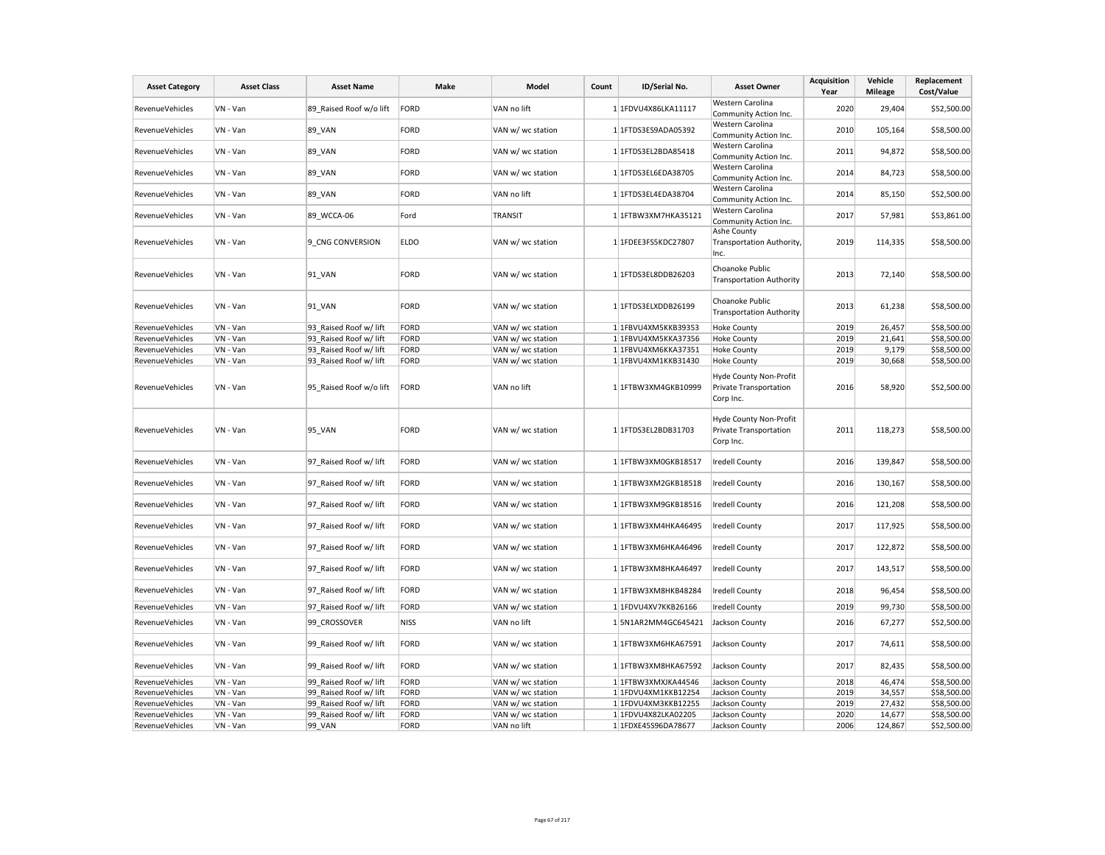| <b>Asset Category</b>  | <b>Asset Class</b> | <b>Asset Name</b>       | Make        | Model             | Count | ID/Serial No.        | <b>Asset Owner</b>                                            | <b>Acquisition</b><br>Year | Vehicle<br><b>Mileage</b> | Replacement<br>Cost/Value |
|------------------------|--------------------|-------------------------|-------------|-------------------|-------|----------------------|---------------------------------------------------------------|----------------------------|---------------------------|---------------------------|
| RevenueVehicles        | VN - Van           | 89 Raised Roof w/o lift | FORD        | VAN no lift       |       | 1 1FDVU4X86LKA11117  | Western Carolina<br>Community Action Inc.                     | 2020                       | 29,404                    | \$52,500.00               |
| RevenueVehicles        | VN - Van           | 89_VAN                  | FORD        | VAN w/ wc station |       | 1 1FTDS3ES9ADA05392  | Western Carolina<br>Community Action Inc.                     | 2010                       | 105,164                   | \$58,500.00               |
| RevenueVehicles        | VN - Van           | <b>89 VAN</b>           | FORD        | VAN w/ wc station |       | 1 1FTDS3EL2BDA85418  | Western Carolina<br>Community Action Inc.                     | 2011                       | 94,872                    | \$58,500.00               |
| RevenueVehicles        | VN - Van           | 89_VAN                  | FORD        | VAN w/ wc station |       | 1 1 FTDS3EL6EDA38705 | Western Carolina<br>Community Action Inc.                     | 2014                       | 84,723                    | \$58,500.00               |
| RevenueVehicles        | VN - Van           | <b>89 VAN</b>           | FORD        | VAN no lift       |       | 1 1FTDS3EL4EDA38704  | Western Carolina<br>Community Action Inc.                     | 2014                       | 85,150                    | \$52,500.00               |
| RevenueVehicles        | VN - Van           | 89 WCCA-06              | Ford        | <b>TRANSIT</b>    |       | 1 1FTBW3XM7HKA35121  | Western Carolina<br>Community Action Inc.                     | 2017                       | 57,981                    | \$53,861.00               |
| RevenueVehicles        | VN - Van           | 9 CNG CONVERSION        | <b>ELDO</b> | VAN w/ wc station |       | 1 1FDEE3FS5KDC27807  | Ashe County<br>Transportation Authority,<br>Inc.              | 2019                       | 114,335                   | \$58,500.00               |
| RevenueVehicles        | VN - Van           | 91_VAN                  | FORD        | VAN w/ wc station |       | 1 1FTDS3EL8DDB26203  | Choanoke Public<br><b>Transportation Authority</b>            | 2013                       | 72,140                    | \$58,500.00               |
| RevenueVehicles        | VN - Van           | 91_VAN                  | FORD        | VAN w/ wc station |       | 1 1FTDS3ELXDDB26199  | Choanoke Public<br><b>Transportation Authority</b>            | 2013                       | 61,238                    | \$58,500.00               |
| RevenueVehicles        | VN - Van           | 93 Raised Roof w/ lift  | FORD        | VAN w/ wc station |       | 1 1FBVU4XM5KKB39353  | <b>Hoke County</b>                                            | 2019                       | 26,457                    | \$58,500.00               |
| RevenueVehicles        | VN - Van           | 93 Raised Roof w/ lift  | FORD        | VAN w/ wc station |       | 1 1FBVU4XM5KKA37356  | <b>Hoke County</b>                                            | 2019                       | 21,641                    | \$58,500.00               |
| RevenueVehicles        | VN - Van           | 93 Raised Roof w/ lift  | FORD        | VAN w/ wc station |       | 1 1FBVU4XM6KKA37351  | <b>Hoke County</b>                                            | 2019                       | 9,179                     | \$58,500.00               |
| RevenueVehicles        | VN - Van           | 93 Raised Roof w/ lift  | FORD        | VAN w/ wc station |       | 1 1FBVU4XM1KKB31430  | <b>Hoke County</b>                                            | 2019                       | 30,668                    | \$58,500.00               |
| RevenueVehicles        | VN - Van           | 95 Raised Roof w/o lift | FORD        | VAN no lift       |       | 1 1FTBW3XM4GKB10999  | Hyde County Non-Profit<br>Private Transportation<br>Corp Inc. | 2016                       | 58,920                    | \$52,500.00               |
| RevenueVehicles        | VN - Van           | <b>95 VAN</b>           | FORD        | VAN w/ wc station |       | 1 1FTDS3EL2BDB31703  | Hyde County Non-Profit<br>Private Transportation<br>Corp Inc. | 2011                       | 118,273                   | \$58,500.00               |
| RevenueVehicles        | VN - Van           | 97 Raised Roof w/ lift  | FORD        | VAN w/ wc station |       | 1 1FTBW3XM0GKB18517  | <b>Iredell County</b>                                         | 2016                       | 139,847                   | \$58,500.00               |
| RevenueVehicles        | VN - Van           | 97 Raised Roof w/ lift  | FORD        | VAN w/ wc station |       | 1 1FTBW3XM2GKB18518  | <b>Iredell County</b>                                         | 2016                       | 130,167                   | \$58,500.00               |
| RevenueVehicles        | VN - Van           | 97_Raised Roof w/ lift  | FORD        | VAN w/ wc station |       | 1 1FTBW3XM9GKB18516  | <b>Iredell County</b>                                         | 2016                       | 121,208                   | \$58,500.00               |
| RevenueVehicles        | VN - Van           | 97 Raised Roof w/ lift  | FORD        | VAN w/ wc station |       | 1 1FTBW3XM4HKA46495  | <b>Iredell County</b>                                         | 2017                       | 117,925                   | \$58,500.00               |
| RevenueVehicles        | VN - Van           | 97 Raised Roof w/ lift  | FORD        | VAN w/ wc station |       | 1 1FTBW3XM6HKA46496  | Iredell County                                                | 2017                       | 122,872                   | \$58,500.00               |
| RevenueVehicles        | VN - Van           | 97 Raised Roof w/ lift  | FORD        | VAN w/ wc station |       | 1 1FTBW3XM8HKA46497  | <b>Iredell County</b>                                         | 2017                       | 143,517                   | \$58,500.00               |
| RevenueVehicles        | VN - Van           | 97 Raised Roof w/ lift  | FORD        | VAN w/ wc station |       | 1 1FTBW3XM8HKB48284  | <b>Iredell County</b>                                         | 2018                       | 96,454                    | \$58,500.00               |
| RevenueVehicles        | VN - Van           | 97 Raised Roof w/ lift  | FORD        | VAN w/ wc station |       | 1 1FDVU4XV7KKB26166  | Iredell County                                                | 2019                       | 99,730                    | \$58,500.00               |
| <b>RevenueVehicles</b> | VN - Van           | 99 CROSSOVER            | <b>NISS</b> | VAN no lift       |       | 15N1AR2MM4GC645421   | Jackson County                                                | 2016                       | 67,277                    | \$52,500.00               |
| RevenueVehicles        | VN - Van           | 99 Raised Roof w/ lift  | FORD        | VAN w/ wc station |       | 1 1FTBW3XM6HKA67591  | Jackson County                                                | 2017                       | 74,611                    | \$58,500.00               |
| RevenueVehicles        | VN - Van           | 99 Raised Roof w/ lift  | FORD        | VAN w/ wc station |       | 1 1FTBW3XM8HKA67592  | Jackson County                                                | 2017                       | 82,435                    | \$58,500.00               |
| RevenueVehicles        | VN - Van           | 99 Raised Roof w/ lift  | FORD        | VAN w/ wc station |       | 1 1FTBW3XMXJKA44546  | Jackson County                                                | 2018                       | 46,474                    | \$58,500.00               |
| RevenueVehicles        | VN - Van           | 99 Raised Roof w/ lift  | FORD        | VAN w/ wc station |       | 1 1FDVU4XM1KKB12254  | Jackson County                                                | 2019                       | 34,557                    | \$58,500.00               |
| RevenueVehicles        | VN - Van           | 99 Raised Roof w/ lift  | FORD        | VAN w/ wc station |       | 1 1FDVU4XM3KKB12255  | Jackson County                                                | 2019                       | 27,432                    | \$58,500.00               |
| RevenueVehicles        | VN - Van           | 99 Raised Roof w/ lift  | FORD        | VAN w/ wc station |       | 1 1FDVU4X82LKA02205  | Jackson County                                                | 2020                       | 14,677                    | \$58,500.00               |
| RevenueVehicles        | VN - Van           | <b>99 VAN</b>           | FORD        | VAN no lift       |       | 1 1FDXE45S96DA78677  | Jackson County                                                | 2006                       | 124,867                   | \$52,500.00               |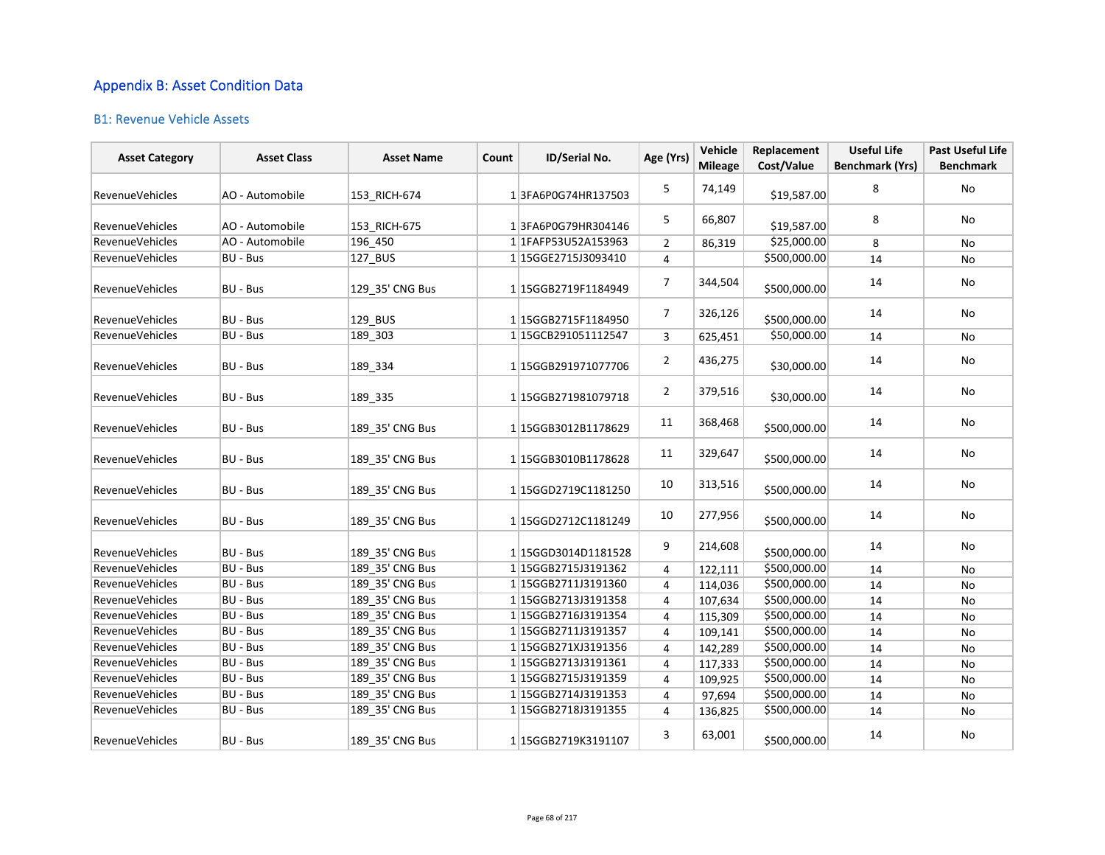## Appendix B: Asset Condition Data

## B1: Revenue Vehicle Assets

| <b>Asset Category</b>  | <b>Asset Class</b> | <b>Asset Name</b> | Count | ID/Serial No.       | Age (Yrs)      | Vehicle<br><b>Mileage</b> | Replacement<br>Cost/Value | <b>Useful Life</b><br><b>Benchmark (Yrs)</b> | Past Useful Life<br><b>Benchmark</b> |
|------------------------|--------------------|-------------------|-------|---------------------|----------------|---------------------------|---------------------------|----------------------------------------------|--------------------------------------|
| <b>RevenueVehicles</b> | AO - Automobile    | 153 RICH-674      |       | 13FA6P0G74HR137503  | 5              | 74,149                    | \$19,587.00               | 8                                            | No                                   |
| <b>RevenueVehicles</b> | AO - Automobile    | 153_RICH-675      |       | 13FA6P0G79HR304146  | 5              | 66,807                    | \$19,587.00               | 8                                            | No                                   |
| <b>RevenueVehicles</b> | AO - Automobile    | 196_450           |       | 1 1FAFP53U52A153963 | $\overline{2}$ | 86,319                    | \$25,000.00               | 8                                            | No                                   |
| <b>RevenueVehicles</b> | <b>BU - Bus</b>    | 127_BUS           |       | 1 15GGE2715J3093410 | 4              |                           | \$500,000.00              | 14                                           | No                                   |
| <b>RevenueVehicles</b> | <b>BU - Bus</b>    | 129 35' CNG Bus   |       | 1 15GGB2719F1184949 | $\overline{7}$ | 344,504                   | \$500,000.00              | 14                                           | No                                   |
| <b>RevenueVehicles</b> | BU - Bus           | 129_BUS           |       | 1 15GGB2715F1184950 | $\overline{7}$ | 326,126                   | \$500,000.00              | 14                                           | No                                   |
| <b>RevenueVehicles</b> | BU - Bus           | 189 303           |       | 1 15GCB291051112547 | 3              | 625,451                   | \$50,000.00               | 14                                           | No                                   |
| <b>RevenueVehicles</b> | <b>BU - Bus</b>    | 189_334           |       | 1 15GGB291971077706 | $\overline{2}$ | 436,275                   | \$30,000.00               | 14                                           | No                                   |
| RevenueVehicles        | <b>BU - Bus</b>    | 189_335           |       | 1 15GGB271981079718 | $\overline{2}$ | 379,516                   | \$30,000.00               | 14                                           | No                                   |
| RevenueVehicles        | BU - Bus           | 189 35' CNG Bus   |       | 1 15GGB3012B1178629 | 11             | 368,468                   | \$500,000.00              | 14                                           | No                                   |
| <b>RevenueVehicles</b> | BU - Bus           | 189 35' CNG Bus   |       | 1 15GGB3010B1178628 | 11             | 329,647                   | \$500,000.00              | 14                                           | No                                   |
| <b>RevenueVehicles</b> | <b>BU - Bus</b>    | 189 35' CNG Bus   |       | 1 15GGD2719C1181250 | 10             | 313,516                   | \$500,000.00              | 14                                           | No                                   |
| <b>RevenueVehicles</b> | <b>BU - Bus</b>    | 189_35' CNG Bus   |       | 115GGD2712C1181249  | 10             | 277,956                   | \$500,000.00              | 14                                           | No                                   |
| RevenueVehicles        | <b>BU - Bus</b>    | 189 35' CNG Bus   |       | 1 15GGD3014D1181528 | 9              | 214,608                   | \$500,000.00              | 14                                           | No                                   |
| RevenueVehicles        | <b>BU - Bus</b>    | 189 35' CNG Bus   |       | 1 15GGB2715J3191362 | 4              | 122,111                   | \$500,000.00              | 14                                           | <b>No</b>                            |
| RevenueVehicles        | <b>BU - Bus</b>    | 189 35' CNG Bus   |       | 1 15GGB2711J3191360 | 4              | 114,036                   | \$500,000.00              | 14                                           | No                                   |
| <b>RevenueVehicles</b> | <b>BU - Bus</b>    | 189 35' CNG Bus   |       | 1 15GGB2713J3191358 | 4              | 107,634                   | \$500,000.00              | 14                                           | No                                   |
| <b>RevenueVehicles</b> | <b>BU - Bus</b>    | 189_35' CNG Bus   |       | 1 15GGB2716J3191354 | 4              | 115,309                   | \$500,000.00              | 14                                           | No                                   |
| RevenueVehicles        | <b>BU - Bus</b>    | 189_35' CNG Bus   |       | 1 15GGB2711J3191357 | 4              | 109,141                   | \$500,000.00              | 14                                           | No                                   |
| RevenueVehicles        | <b>BU - Bus</b>    | 189 35' CNG Bus   |       | 1 15GGB271XJ3191356 | 4              | 142,289                   | \$500,000.00              | 14                                           | No                                   |
| RevenueVehicles        | <b>BU - Bus</b>    | 189_35' CNG Bus   |       | 1 15GGB2713J3191361 | 4              | 117,333                   | \$500,000.00              | 14                                           | No                                   |
| RevenueVehicles        | BU - Bus           | 189 35' CNG Bus   |       | 1 15GGB2715J3191359 | 4              | 109,925                   | \$500,000.00              | 14                                           | No                                   |
| RevenueVehicles        | BU - Bus           | 189_35' CNG Bus   |       | 1 15GGB2714J3191353 | 4              | 97,694                    | \$500,000.00              | 14                                           | No                                   |
| RevenueVehicles        | BU - Bus           | 189_35' CNG Bus   |       | 1 15GGB2718J3191355 | 4              | 136,825                   | \$500,000.00              | 14                                           | No                                   |
| <b>RevenueVehicles</b> | BU - Bus           | 189 35' CNG Bus   |       | 1 15GGB2719K3191107 | 3              | 63,001                    | \$500,000.00              | 14                                           | No                                   |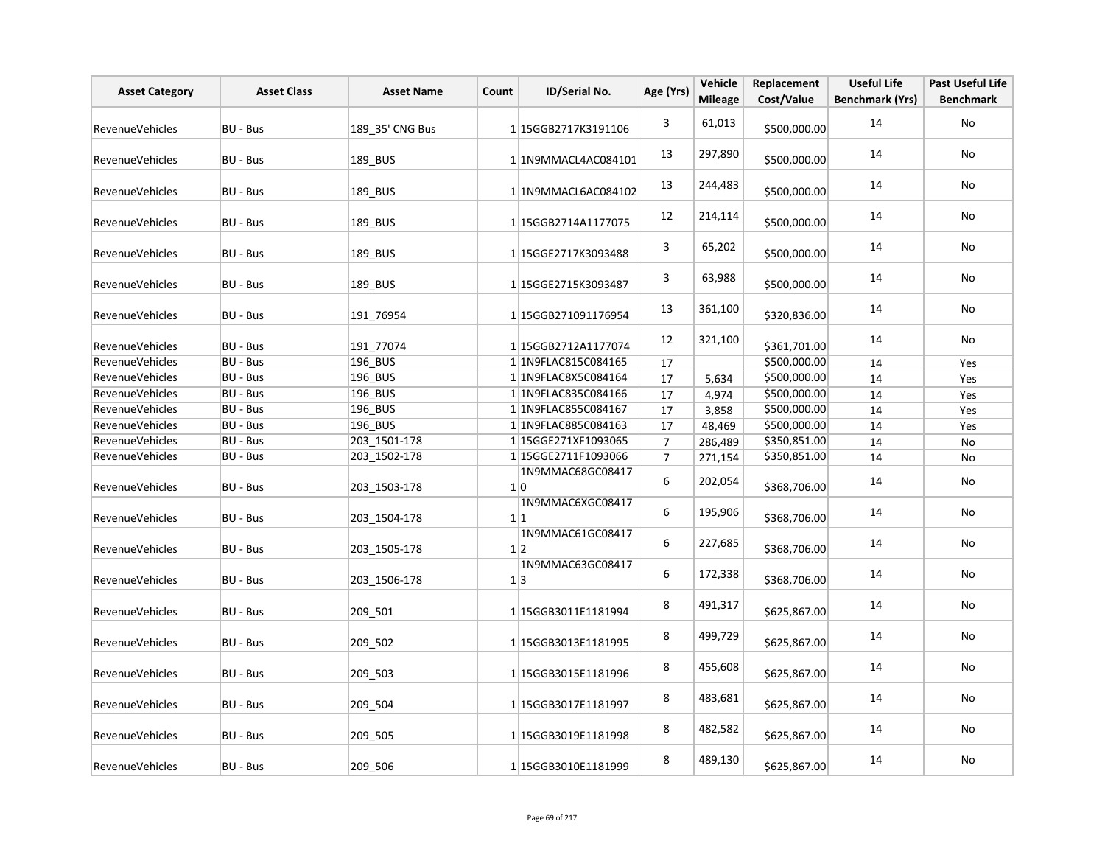| <b>Asset Category</b>  | <b>Asset Class</b> | <b>Asset Name</b> | Count | ID/Serial No.                  | Age (Yrs)      | Vehicle<br><b>Mileage</b> | Replacement<br>Cost/Value | <b>Useful Life</b><br><b>Benchmark (Yrs)</b> | <b>Past Useful Life</b><br><b>Benchmark</b> |
|------------------------|--------------------|-------------------|-------|--------------------------------|----------------|---------------------------|---------------------------|----------------------------------------------|---------------------------------------------|
| <b>RevenueVehicles</b> | BU - Bus           | 189_35' CNG Bus   |       | 1 15GGB2717K3191106            | 3              | 61,013                    | \$500,000.00              | 14                                           | No                                          |
| RevenueVehicles        | BU - Bus           | 189 BUS           |       | 1 1N9MMACL4AC084101            | 13             | 297,890                   | \$500,000.00              | 14                                           | No                                          |
| RevenueVehicles        | BU - Bus           | 189 BUS           |       | 1 1N9MMACL6AC084102            | 13             | 244,483                   | \$500,000.00              | 14                                           | No                                          |
| RevenueVehicles        | BU - Bus           | 189 BUS           |       | 1 15GGB2714A1177075            | 12             | 214,114                   | \$500,000.00              | 14                                           | No                                          |
| RevenueVehicles        | BU - Bus           | 189 BUS           |       | 115GGE2717K3093488             | 3              | 65,202                    | \$500,000.00              | 14                                           | No                                          |
| <b>RevenueVehicles</b> | BU - Bus           | 189 BUS           |       | 1 15GGE2715K3093487            | 3              | 63,988                    | \$500,000.00              | 14                                           | No                                          |
| RevenueVehicles        | BU - Bus           | 191 76954         |       | 1 15GGB271091176954            | 13             | 361,100                   | \$320,836.00              | 14                                           | No                                          |
| RevenueVehicles        | BU - Bus           | 191 77074         |       | 1 15GGB2712A1177074            | 12             | 321,100                   | \$361,701.00              | 14                                           | No                                          |
| RevenueVehicles        | BU - Bus           | 196_BUS           |       | 1 1N9FLAC815C084165            | 17             |                           | \$500,000.00              | 14                                           | Yes                                         |
| RevenueVehicles        | BU - Bus           | 196_BUS           |       | 1 1N9FLAC8X5C084164            | 17             | 5,634                     | \$500,000.00              | 14                                           | Yes                                         |
| RevenueVehicles        | BU - Bus           | 196_BUS           |       | 1 1N9FLAC835C084166            | 17             | 4,974                     | \$500,000.00              | 14                                           | Yes                                         |
| RevenueVehicles        | BU - Bus           | 196_BUS           |       | 1 1N9FLAC855C084167            | 17             | 3,858                     | \$500,000.00              | 14                                           | Yes                                         |
| RevenueVehicles        | BU - Bus           | 196 BUS           |       | 1 1N9FLAC885C084163            | 17             | 48,469                    | \$500,000.00              | 14                                           | Yes                                         |
| RevenueVehicles        | BU - Bus           | 203_1501-178      |       | 1 15GGE271XF1093065            | $\overline{7}$ | 286,489                   | \$350,851.00              | 14                                           | No                                          |
| RevenueVehicles        | BU - Bus           | 203 1502-178      |       | 1 15GGE2711F1093066            | $\overline{7}$ | 271,154                   | \$350,851.00              | 14                                           | No                                          |
| RevenueVehicles        | BU - Bus           | 203 1503-178      |       | 1N9MMAC68GC08417<br>1 0        | 6              | 202,054                   | \$368,706.00              | 14                                           | No                                          |
| RevenueVehicles        | BU - Bus           | 203 1504-178      |       | 1N9MMAC6XGC08417<br>1 1        | 6              | 195,906                   | \$368,706.00              | 14                                           | No                                          |
| <b>RevenueVehicles</b> | BU - Bus           | 203 1505-178      |       | 1N9MMAC61GC08417<br>$1\vert 2$ | 6              | 227,685                   | \$368,706.00              | 14                                           | No                                          |
| RevenueVehicles        | BU - Bus           | 203 1506-178      |       | 1N9MMAC63GC08417<br>1 3        | 6              | 172,338                   | \$368,706.00              | 14                                           | No                                          |
| RevenueVehicles        | BU - Bus           | 209 501           |       | 1 15GGB3011E1181994            | 8              | 491,317                   | \$625,867.00              | 14                                           | No                                          |
| RevenueVehicles        | BU - Bus           | 209 502           |       | 1 15GGB3013E1181995            | 8              | 499,729                   | \$625,867.00              | 14                                           | No                                          |
| RevenueVehicles        | BU - Bus           | 209 503           |       | 1 15GGB3015E1181996            | 8              | 455,608                   | \$625,867.00              | 14                                           | No                                          |
| <b>RevenueVehicles</b> | BU - Bus           | 209 504           |       | 115GGB3017E1181997             | 8              | 483,681                   | \$625,867.00              | 14                                           | No                                          |
| <b>RevenueVehicles</b> | BU - Bus           | 209 505           |       | 1 15GGB3019E1181998            | 8              | 482,582                   | \$625,867.00              | 14                                           | No                                          |
| RevenueVehicles        | BU - Bus           | 209 506           |       | 1 15GGB3010E1181999            | 8              | 489,130                   | \$625,867.00              | 14                                           | No                                          |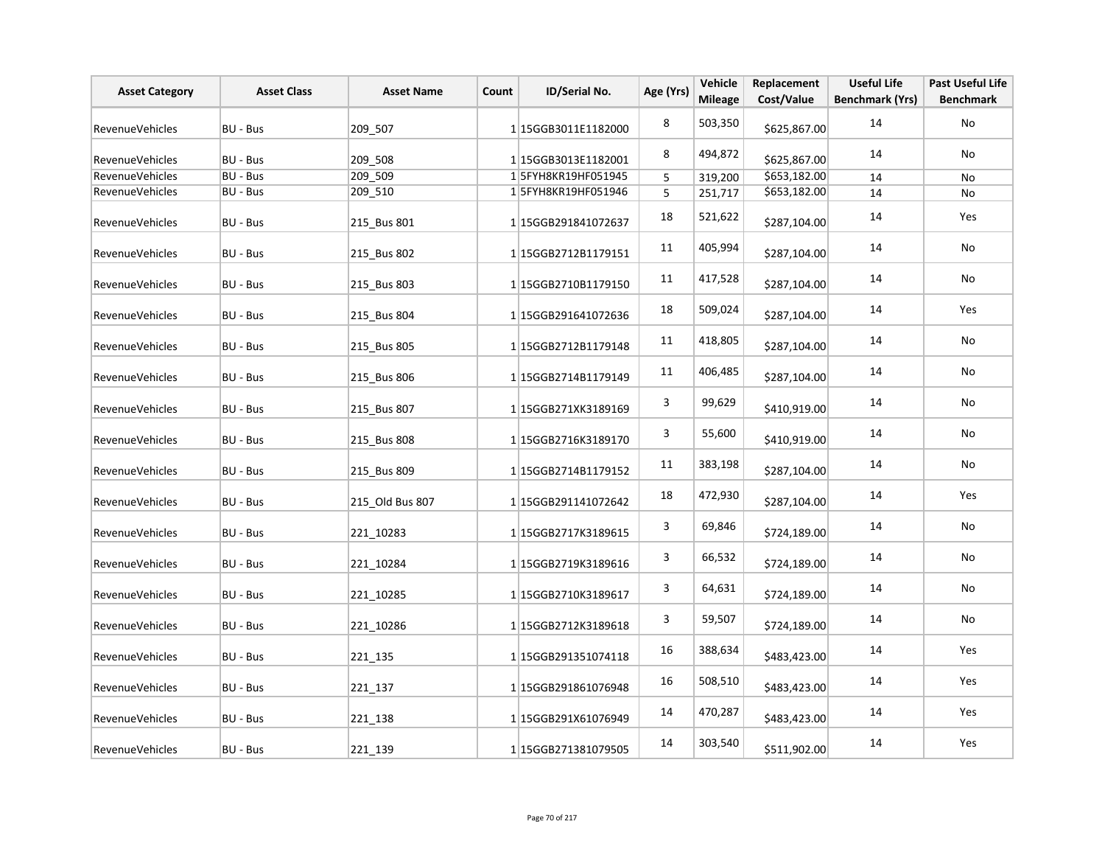| <b>Asset Category</b>  | <b>Asset Class</b> | <b>Asset Name</b> | Count | ID/Serial No.       | Age (Yrs)   | Vehicle<br><b>Mileage</b> | Replacement<br>Cost/Value | <b>Useful Life</b><br><b>Benchmark (Yrs)</b> | <b>Past Useful Life</b><br><b>Benchmark</b> |
|------------------------|--------------------|-------------------|-------|---------------------|-------------|---------------------------|---------------------------|----------------------------------------------|---------------------------------------------|
| <b>RevenueVehicles</b> | BU - Bus           | 209 507           |       | 115GGB3011E1182000  | 8           | 503,350                   | \$625,867.00              | 14                                           | No                                          |
| RevenueVehicles        | BU - Bus           | 209_508           |       | 1 15GGB3013E1182001 | 8           | 494,872                   | \$625,867.00              | 14                                           | No                                          |
| <b>RevenueVehicles</b> | BU - Bus           | 209_509           |       | 15FYH8KR19HF051945  | $\mathsf S$ | 319,200                   | \$653,182.00              | 14                                           | No                                          |
| RevenueVehicles        | BU - Bus           | 209_510           |       | 15FYH8KR19HF051946  | 5           | 251,717                   | \$653,182.00              | 14                                           | No                                          |
| <b>RevenueVehicles</b> | BU - Bus           | 215 Bus 801       |       | 115GGB291841072637  | 18          | 521,622                   | \$287,104.00              | 14                                           | Yes                                         |
| <b>RevenueVehicles</b> | BU - Bus           | 215_Bus 802       |       | 115GGB2712B1179151  | 11          | 405,994                   | \$287,104.00              | 14                                           | No                                          |
| RevenueVehicles        | BU - Bus           | 215 Bus 803       |       | 115GGB2710B1179150  | 11          | 417,528                   | \$287,104.00              | 14                                           | No                                          |
| RevenueVehicles        | BU - Bus           | 215 Bus 804       |       | 1 15GGB291641072636 | 18          | 509,024                   | \$287,104.00              | 14                                           | Yes                                         |
| RevenueVehicles        | BU - Bus           | 215 Bus 805       |       | 1 15GGB2712B1179148 | 11          | 418,805                   | \$287,104.00              | 14                                           | No                                          |
| RevenueVehicles        | BU - Bus           | 215 Bus 806       |       | 1 15GGB2714B1179149 | 11          | 406,485                   | \$287,104.00              | 14                                           | No                                          |
| <b>RevenueVehicles</b> | BU - Bus           | 215 Bus 807       |       | 1 15GGB271XK3189169 | 3           | 99,629                    | \$410,919.00              | 14                                           | No                                          |
| RevenueVehicles        | BU - Bus           | 215 Bus 808       |       | 1 15GGB2716K3189170 | 3           | 55,600                    | \$410,919.00              | 14                                           | No                                          |
| <b>RevenueVehicles</b> | BU - Bus           | 215 Bus 809       |       | 115GGB2714B1179152  | 11          | 383,198                   | \$287,104.00              | 14                                           | No                                          |
| RevenueVehicles        | BU - Bus           | 215 Old Bus 807   |       | 115GGB291141072642  | 18          | 472,930                   | \$287,104.00              | 14                                           | Yes                                         |
| RevenueVehicles        | BU - Bus           | 221 10283         |       | 1 15GGB2717K3189615 | 3           | 69,846                    | \$724,189.00              | 14                                           | No                                          |
| RevenueVehicles        | BU - Bus           | 221 10284         |       | 1 15GGB2719K3189616 | 3           | 66,532                    | \$724,189.00              | 14                                           | No                                          |
| RevenueVehicles        | BU - Bus           | 221 10285         |       | 1 15GGB2710K3189617 | 3           | 64,631                    | \$724,189.00              | 14                                           | No                                          |
| RevenueVehicles        | BU - Bus           | 221 10286         |       | 1 15GGB2712K3189618 | 3           | 59,507                    | \$724,189.00              | 14                                           | No                                          |
| RevenueVehicles        | BU - Bus           | 221 135           |       | 1 15GGB291351074118 | 16          | 388,634                   | \$483,423.00              | 14                                           | Yes                                         |
| RevenueVehicles        | BU - Bus           | 221 137           |       | 115GGB291861076948  | 16          | 508,510                   | \$483,423.00              | 14                                           | Yes                                         |
| RevenueVehicles        | BU - Bus           | 221 138           |       | 1 15GGB291X61076949 | 14          | 470,287                   | \$483,423.00              | 14                                           | Yes                                         |
| RevenueVehicles        | BU - Bus           | 221 139           |       | 115GGB271381079505  | 14          | 303,540                   | \$511,902.00              | 14                                           | Yes                                         |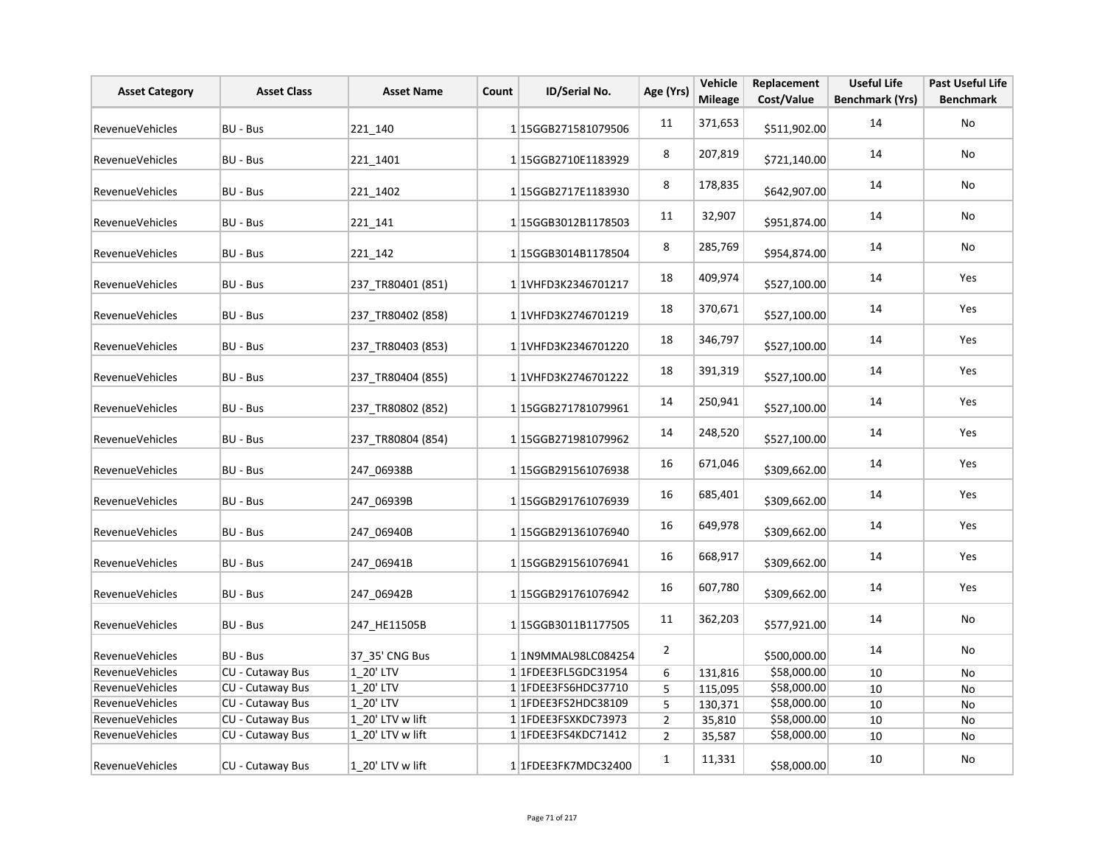| <b>Asset Category</b>  | <b>Asset Class</b>      | <b>Asset Name</b> | Count | ID/Serial No.               | Age (Yrs)      | Vehicle<br><b>Mileage</b> | Replacement<br>Cost/Value | <b>Useful Life</b><br><b>Benchmark (Yrs)</b> | <b>Past Useful Life</b><br><b>Benchmark</b> |
|------------------------|-------------------------|-------------------|-------|-----------------------------|----------------|---------------------------|---------------------------|----------------------------------------------|---------------------------------------------|
| <b>RevenueVehicles</b> | BU - Bus                | 221 140           |       | 1 15GGB271581079506         | 11             | 371,653                   | \$511,902.00              | 14                                           | No                                          |
| RevenueVehicles        | BU - Bus                | 221 1401          |       | 115GGB2710E1183929          | 8              | 207,819                   | \$721,140.00              | 14                                           | No                                          |
| RevenueVehicles        | BU - Bus                | 221 1402          |       | 115GGB2717E1183930          | 8              | 178,835                   | \$642,907.00              | 14                                           | No                                          |
| <b>RevenueVehicles</b> | BU - Bus                | 221 141           |       | 1 15GGB3012B1178503         | 11             | 32,907                    | \$951,874.00              | 14                                           | No                                          |
| RevenueVehicles        | BU - Bus                | 221 142           |       | 1 15GGB3014B1178504         | 8              | 285,769                   | \$954,874.00              | 14                                           | No                                          |
| <b>RevenueVehicles</b> | BU - Bus                | 237 TR80401 (851) |       | 1 1VHFD3K2346701217         | 18             | 409,974                   | \$527,100.00              | 14                                           | Yes                                         |
| RevenueVehicles        | BU - Bus                | 237_TR80402 (858) |       | 1 1VHFD3K2746701219         | 18             | 370,671                   | \$527,100.00              | 14                                           | Yes                                         |
| RevenueVehicles        | BU - Bus                | 237 TR80403 (853) |       | 1 1VHFD3K2346701220         | 18             | 346,797                   | \$527,100.00              | 14                                           | Yes                                         |
| RevenueVehicles        | BU - Bus                | 237 TR80404 (855) |       | 1 1 VHFD3K2746701222        | 18             | 391,319                   | \$527,100.00              | 14                                           | Yes                                         |
| RevenueVehicles        | BU - Bus                | 237 TR80802 (852) |       | 1 15GGB271781079961         | 14             | 250,941                   | \$527,100.00              | 14                                           | Yes                                         |
| RevenueVehicles        | BU - Bus                | 237 TR80804 (854) |       | 1 15GGB271981079962         | 14             | 248,520                   | \$527,100.00              | 14                                           | Yes                                         |
| RevenueVehicles        | BU - Bus                | 247_06938B        |       | 1 15GGB291561076938         | 16             | 671,046                   | \$309,662.00              | 14                                           | Yes                                         |
| RevenueVehicles        | BU - Bus                | 247 06939B        |       | 1 15GGB291761076939         | 16             | 685,401                   | \$309,662.00              | 14                                           | Yes                                         |
| RevenueVehicles        | BU - Bus                | 247 06940B        |       | 1 15GGB291361076940         | 16             | 649,978                   | \$309,662.00              | 14                                           | Yes                                         |
| <b>RevenueVehicles</b> | BU - Bus                | 247 06941B        |       | 1 15GGB291561076941         | 16             | 668,917                   | \$309,662.00              | 14                                           | Yes                                         |
| RevenueVehicles        | BU - Bus                | 247 06942B        |       | 1 15GGB291761076942         | 16             | 607,780                   | \$309,662.00              | 14                                           | Yes                                         |
| <b>RevenueVehicles</b> | BU - Bus                | 247 HE11505B      |       | 1 15GGB3011B1177505         | 11             | 362,203                   | \$577,921.00              | 14                                           | No                                          |
| RevenueVehicles        | BU - Bus                | 37 35' CNG Bus    |       | 1 1N9MMAL98LC084254         | $\overline{2}$ |                           | \$500,000.00              | 14                                           | No                                          |
| RevenueVehicles        | CU - Cutaway Bus        | 1 20' LTV         |       | 11FDEE3FL5GDC31954          | 6              | 131,816                   | \$58,000.00               | 10                                           | No                                          |
| RevenueVehicles        | CU - Cutaway Bus        | 1_20' LTV         |       | 1 1 FDEE3FS6HDC37710        | 5              | 115,095                   | \$58,000.00               | 10                                           | No                                          |
| RevenueVehicles        | CU - Cutaway Bus        | 1 20' LTV         |       | 1 1 FDEE3FS2HDC38109        | 5              | 130,371                   | \$58,000.00               | 10                                           | No                                          |
| RevenueVehicles        | <b>CU - Cutaway Bus</b> | 1_20' LTV w lift  |       | 1 1 FDEE3FSXKDC73973        | $\overline{2}$ | 35,810                    | \$58,000.00               | 10                                           | No                                          |
| <b>RevenueVehicles</b> | CU - Cutaway Bus        | 1 20' LTV w lift  |       | 1 1 FDEE3 FS4 KDC 7 1 4 1 2 | $\overline{2}$ | 35,587                    | \$58,000.00               | 10                                           | No                                          |
| RevenueVehicles        | CU - Cutaway Bus        | 1 20' LTV w lift  |       | 1 1FDEE3FK7MDC32400         | $\mathbf{1}$   | 11,331                    | \$58,000.00               | 10                                           | No                                          |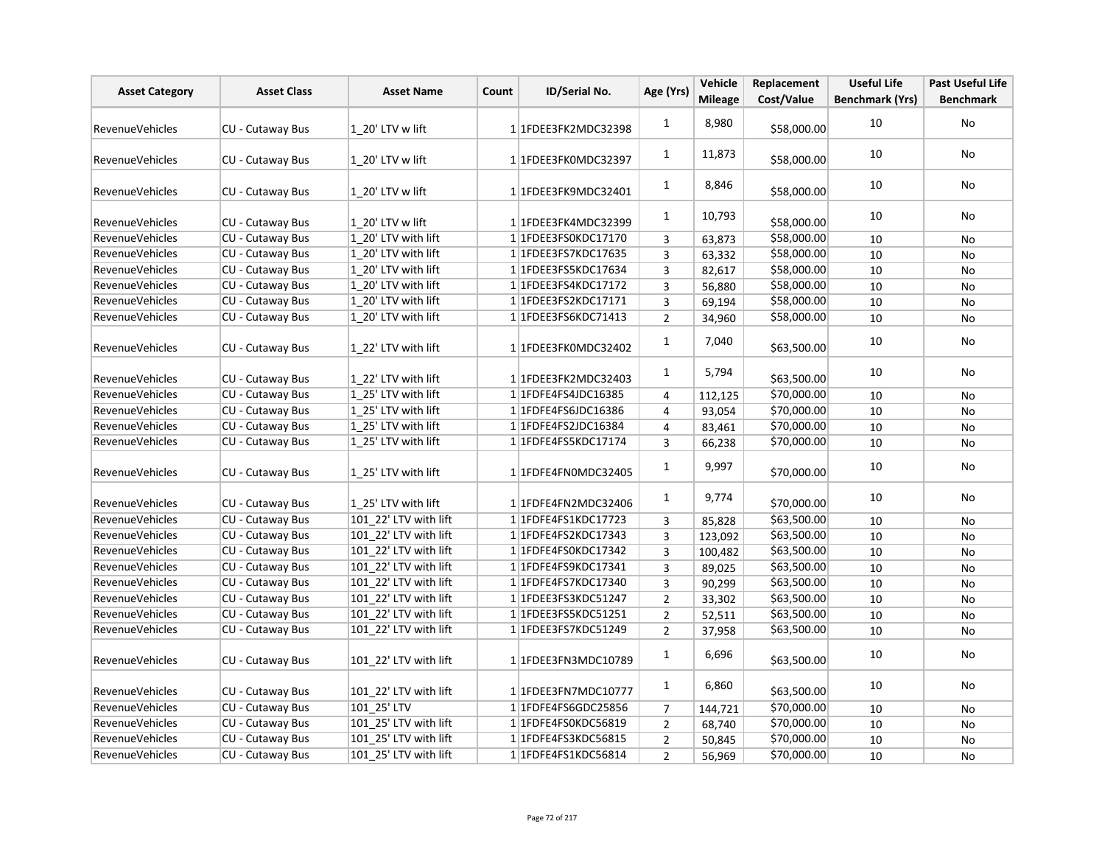| <b>Asset Category</b>  | <b>Asset Class</b>      | <b>Asset Name</b>     | Count | ID/Serial No.        | Age (Yrs)      | Vehicle<br><b>Mileage</b> | Replacement<br>Cost/Value | <b>Useful Life</b><br><b>Benchmark (Yrs)</b> | <b>Past Useful Life</b><br><b>Benchmark</b> |
|------------------------|-------------------------|-----------------------|-------|----------------------|----------------|---------------------------|---------------------------|----------------------------------------------|---------------------------------------------|
|                        |                         |                       |       |                      |                |                           |                           |                                              |                                             |
| <b>RevenueVehicles</b> | CU - Cutaway Bus        | 1 20' LTV w lift      |       | 11FDEE3FK2MDC32398   | $\mathbf{1}$   | 8,980                     | \$58,000.00               | 10                                           | No                                          |
| RevenueVehicles        | <b>CU - Cutaway Bus</b> | $ 1 20'$ LTV w lift   |       | 1 1FDEE3FK0MDC32397  | 1              | 11,873                    | \$58,000.00               | 10                                           | No                                          |
| <b>RevenueVehicles</b> | CU - Cutaway Bus        | 1 20' LTV w lift      |       | 11FDEE3FK9MDC32401   | $\mathbf{1}$   | 8,846                     | \$58,000.00               | 10                                           | No                                          |
| RevenueVehicles        | CU - Cutaway Bus        | 1 20' LTV w lift      |       | 11FDEE3FK4MDC32399   | $\mathbf{1}$   | 10,793                    | \$58,000.00               | 10                                           | No                                          |
| RevenueVehicles        | CU - Cutaway Bus        | 1 20' LTV with lift   |       | 1 1FDEE3FS0KDC17170  | 3              | 63,873                    | \$58,000.00               | 10                                           | No                                          |
| RevenueVehicles        | CU - Cutaway Bus        | 1 20' LTV with lift   |       | 1 1 FDEE3FS7KDC17635 | 3              | 63,332                    | \$58,000.00               | 10                                           | <b>No</b>                                   |
| <b>RevenueVehicles</b> | <b>CU - Cutaway Bus</b> | 1 20' LTV with lift   |       | 1 1FDEE3FS5KDC17634  | $\overline{3}$ | 82,617                    | \$58,000.00               | 10                                           | No                                          |
| RevenueVehicles        | <b>CU - Cutaway Bus</b> | 1 20' LTV with lift   |       | 11FDEE3FS4KDC17172   | $\overline{3}$ | 56,880                    | \$58,000.00               | 10                                           | No                                          |
| <b>RevenueVehicles</b> | <b>CU - Cutaway Bus</b> | 1 20' LTV with lift   |       | 11FDEE3FS2KDC17171   | 3              | 69,194                    | \$58,000.00               | 10                                           | No                                          |
| RevenueVehicles        | CU - Cutaway Bus        | 1 20' LTV with lift   |       | 11FDEE3FS6KDC71413   | $\overline{2}$ | 34,960                    | \$58,000.00               | 10                                           | No                                          |
| <b>RevenueVehicles</b> | CU - Cutaway Bus        | 1 22' LTV with lift   |       | 1 1FDEE3FK0MDC32402  | $\mathbf{1}$   | 7,040                     | \$63,500.00               | 10                                           | No                                          |
| RevenueVehicles        | <b>CU - Cutaway Bus</b> | 1 22' LTV with lift   |       | 11FDEE3FK2MDC32403   | $\mathbf{1}$   | 5,794                     | \$63,500.00               | 10                                           | No                                          |
| RevenueVehicles        | <b>CU - Cutaway Bus</b> | 1 25' LTV with lift   |       | 1 1FDFE4FS4JDC16385  | $\overline{4}$ | 112,125                   | \$70,000.00               | 10                                           | No                                          |
| <b>RevenueVehicles</b> | <b>CU - Cutaway Bus</b> | 1 25' LTV with lift   |       | 1 1 FDFE4FS6JDC16386 | $\overline{4}$ | 93,054                    | \$70,000.00               | 10                                           | No                                          |
| <b>RevenueVehicles</b> | <b>CU - Cutaway Bus</b> | 1 25' LTV with lift   |       | 1 1FDFE4FS2JDC16384  | $\overline{4}$ | 83,461                    | \$70,000.00               | 10                                           | No                                          |
| <b>RevenueVehicles</b> | CU - Cutaway Bus        | 1 25' LTV with lift   |       | 1 1FDFE4FS5KDC17174  | $\overline{3}$ | 66,238                    | \$70,000.00               | $10\,$                                       | No                                          |
| <b>RevenueVehicles</b> | CU - Cutaway Bus        | 1 25' LTV with lift   |       | 1 1FDFE4FN0MDC32405  | $\mathbf{1}$   | 9,997                     | \$70,000.00               | 10                                           | No                                          |
| <b>RevenueVehicles</b> | <b>CU - Cutaway Bus</b> | 1 25' LTV with lift   |       | 1 1FDFE4FN2MDC32406  | $\mathbf{1}$   | 9,774                     | \$70,000.00               | 10                                           | No                                          |
| <b>RevenueVehicles</b> | <b>CU - Cutaway Bus</b> | 101 22' LTV with lift |       | 1 1FDFE4FS1KDC17723  | 3              | 85,828                    | \$63,500.00               | 10                                           | No                                          |
| <b>RevenueVehicles</b> | <b>CU - Cutaway Bus</b> | 101 22' LTV with lift |       | 1 1 FDFE4FS2KDC17343 | $\overline{3}$ | 123,092                   | \$63,500.00               | 10                                           | No                                          |
| RevenueVehicles        | CU - Cutaway Bus        | 101 22' LTV with lift |       | 1 1FDFE4FS0KDC17342  | $\overline{3}$ | 100,482                   | \$63,500.00               | 10                                           | No                                          |
| <b>RevenueVehicles</b> | <b>CU - Cutaway Bus</b> | 101 22' LTV with lift |       | 1 1 FDFE4FS9KDC17341 | 3              | 89,025                    | \$63,500.00               | 10                                           | No                                          |
| RevenueVehicles        | <b>CU - Cutaway Bus</b> | 101 22' LTV with lift |       | 1 1FDFE4FS7KDC17340  | $\overline{3}$ | 90,299                    | \$63,500.00               | 10                                           | No                                          |
| RevenueVehicles        | CU - Cutaway Bus        | 101 22' LTV with lift |       | 1 1FDEE3FS3KDC51247  | $\overline{2}$ | 33,302                    | \$63,500.00               | 10                                           | No                                          |
| <b>RevenueVehicles</b> | CU - Cutaway Bus        | 101 22' LTV with lift |       | 11FDEE3FS5KDC51251   | $\overline{2}$ | 52,511                    | \$63,500.00               | 10                                           | No                                          |
| RevenueVehicles        | <b>CU - Cutaway Bus</b> | 101 22' LTV with lift |       | 11FDEE3FS7KDC51249   | $\overline{2}$ | 37,958                    | \$63,500.00               | 10                                           | <b>No</b>                                   |
| <b>RevenueVehicles</b> | CU - Cutaway Bus        | 101 22' LTV with lift |       | 1 1FDEE3FN3MDC10789  | $\mathbf{1}$   | 6,696                     | \$63,500.00               | 10                                           | No                                          |
| <b>RevenueVehicles</b> | CU - Cutaway Bus        | 101 22' LTV with lift |       | 1 1FDEE3FN7MDC10777  | $\mathbf{1}$   | 6,860                     | \$63,500.00               | 10                                           | No                                          |
| RevenueVehicles        | CU - Cutaway Bus        | 101 25' LTV           |       | 1 1 FDFE4FS6GDC25856 | $\overline{7}$ | 144,721                   | \$70,000.00               | 10                                           | No                                          |
| RevenueVehicles        | <b>CU - Cutaway Bus</b> | 101 25' LTV with lift |       | 1 1FDFE4FS0KDC56819  | $\overline{2}$ | 68,740                    | \$70,000.00               | 10                                           | No                                          |
| <b>RevenueVehicles</b> | <b>CU - Cutaway Bus</b> | 101 25' LTV with lift |       | 11FDFE4FS3KDC56815   | $\overline{2}$ | 50,845                    | \$70,000.00               | 10                                           | No                                          |
| <b>RevenueVehicles</b> | CU - Cutaway Bus        | 101 25' LTV with lift |       | 1 1 FDFE4FS1KDC56814 | $\overline{2}$ | 56,969                    | \$70,000.00               | 10                                           | No                                          |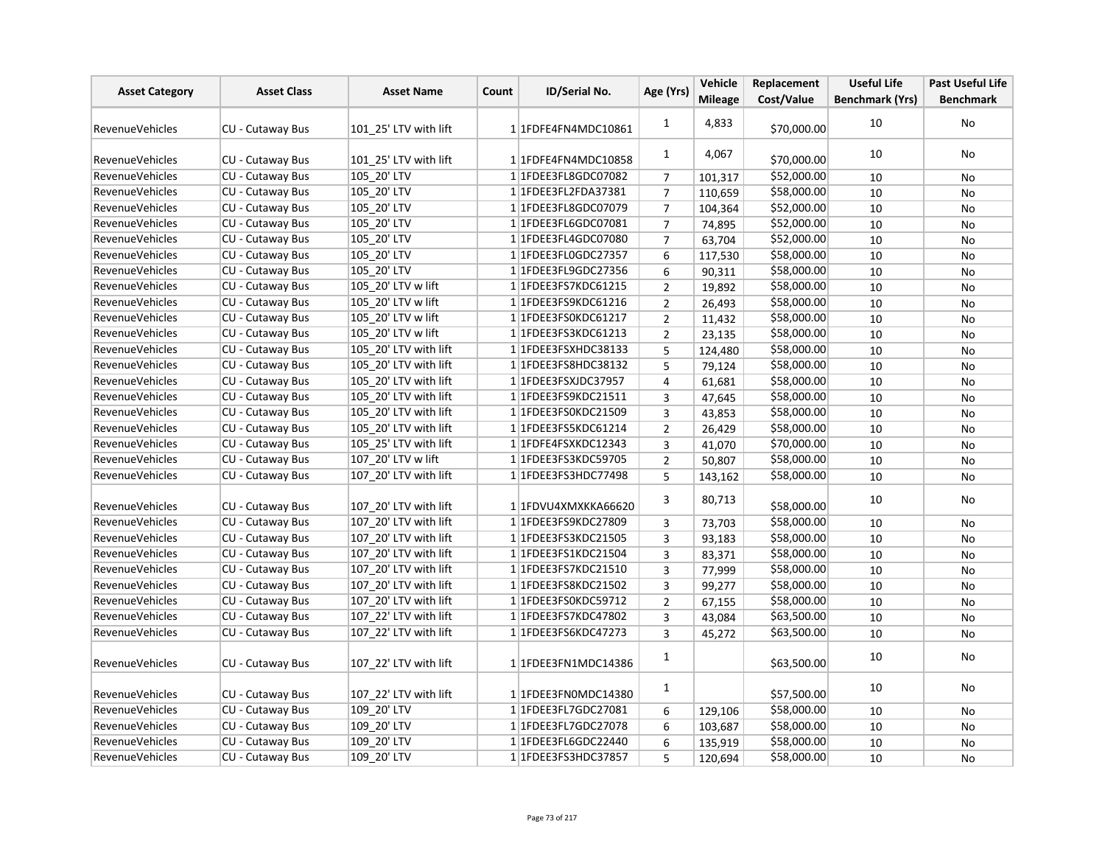| <b>Asset Category</b>  | <b>Asset Class</b>      | <b>Asset Name</b>     | Count | ID/Serial No.           | Age (Yrs)      | Vehicle        | Replacement | <b>Useful Life</b>     | <b>Past Useful Life</b> |
|------------------------|-------------------------|-----------------------|-------|-------------------------|----------------|----------------|-------------|------------------------|-------------------------|
|                        |                         |                       |       |                         |                | <b>Mileage</b> | Cost/Value  | <b>Benchmark (Yrs)</b> | <b>Benchmark</b>        |
| <b>RevenueVehicles</b> | CU - Cutaway Bus        | 101 25' LTV with lift |       | 1 1FDFE4FN4MDC10861     | $\mathbf{1}$   | 4,833          | \$70,000.00 | 10                     | No                      |
| <b>RevenueVehicles</b> | <b>CU - Cutaway Bus</b> | 101 25' LTV with lift |       | 1 1FDFE4FN4MDC10858     | $\mathbf{1}$   | 4,067          | \$70,000.00 | 10                     | No                      |
| <b>RevenueVehicles</b> | <b>CU - Cutaway Bus</b> | 105 20' LTV           |       | 1 1 FDEE3 FL8 GDC07082  | $\overline{7}$ | 101,317        | \$52,000.00 | 10                     | No                      |
| RevenueVehicles        | <b>CU - Cutaway Bus</b> | 105 20' LTV           |       | 1 1FDEE3FL2FDA37381     | $\overline{7}$ | 110,659        | \$58,000.00 | 10                     | No                      |
| <b>RevenueVehicles</b> | CU - Cutaway Bus        | 105 20' LTV           |       | 1 1 FDEE3 FL8 GDC 07079 | $\overline{7}$ | 104,364        | \$52,000.00 | 10                     | No                      |
| <b>RevenueVehicles</b> | CU - Cutaway Bus        | 105_20' LTV           |       | 1 1FDEE3FL6GDC07081     | $\overline{7}$ | 74,895         | \$52,000.00 | 10                     | No                      |
| <b>RevenueVehicles</b> | CU - Cutaway Bus        | 105_20' LTV           |       | 1 1FDEE3FL4GDC07080     | $\overline{7}$ | 63,704         | \$52,000.00 | 10                     | <b>No</b>               |
| <b>RevenueVehicles</b> | CU - Cutaway Bus        | 105 20' LTV           |       | 1 1FDEE3FL0GDC27357     | 6              | 117,530        | \$58,000.00 | 10                     | No                      |
| <b>RevenueVehicles</b> | CU - Cutaway Bus        | 105 20' LTV           |       | 1 1 FDEE3 FL9 GDC 27356 | 6              | 90,311         | \$58,000.00 | 10                     | No                      |
| <b>RevenueVehicles</b> | CU - Cutaway Bus        | 105 20' LTV w lift    |       | 1 1FDEE3FS7KDC61215     | $\overline{2}$ | 19,892         | \$58,000.00 | 10                     | No                      |
| <b>RevenueVehicles</b> | CU - Cutaway Bus        | 105 20' LTV w lift    |       | 1 1 FDEE3 FS9 KDC 61216 | $\overline{2}$ | 26,493         | \$58,000.00 | 10                     | No                      |
| <b>RevenueVehicles</b> | <b>CU - Cutaway Bus</b> | 105 20' LTV w lift    |       | 1 1FDEE3FS0KDC61217     | $\overline{2}$ | 11,432         | \$58,000.00 | 10                     | <b>No</b>               |
| <b>RevenueVehicles</b> | CU - Cutaway Bus        | 105 20' LTV w lift    |       | 11FDEE3FS3KDC61213      | $\overline{2}$ | 23,135         | \$58,000.00 | 10                     | No                      |
| RevenueVehicles        | CU - Cutaway Bus        | 105 20' LTV with lift |       | 1 1FDEE3FSXHDC38133     | 5              | 124,480        | \$58,000.00 | 10                     | <b>No</b>               |
| <b>RevenueVehicles</b> | CU - Cutaway Bus        | 105 20' LTV with lift |       | 1 1 FDEE3 FS8 HDC38132  | 5              | 79,124         | \$58,000.00 | 10                     | No                      |
| <b>RevenueVehicles</b> | CU - Cutaway Bus        | 105 20' LTV with lift |       | 1 1FDEE3FSXJDC37957     | $\overline{4}$ | 61,681         | \$58,000.00 | 10                     | No                      |
| <b>RevenueVehicles</b> | CU - Cutaway Bus        | 105 20' LTV with lift |       | 1 1 FDEE3 FS9 KDC 21511 | $\overline{3}$ | 47,645         | \$58,000.00 | 10                     | <b>No</b>               |
| <b>RevenueVehicles</b> | CU - Cutaway Bus        | 105 20' LTV with lift |       | 1 1FDEE3FS0KDC21509     | 3              | 43,853         | \$58,000.00 | 10                     | No                      |
| <b>RevenueVehicles</b> | CU - Cutaway Bus        | 105 20' LTV with lift |       | 1 1FDEE3FS5KDC61214     | $\overline{2}$ | 26,429         | \$58,000.00 | 10                     | No                      |
| <b>RevenueVehicles</b> | CU - Cutaway Bus        | 105_25' LTV with lift |       | 1 1FDFE4FSXKDC12343     | 3              | 41,070         | \$70,000.00 | 10                     | No                      |
| <b>RevenueVehicles</b> | <b>CU - Cutaway Bus</b> | 107 20' LTV w lift    |       | 1 1FDEE3FS3KDC59705     | $\overline{2}$ | 50,807         | \$58,000.00 | 10                     | No                      |
| <b>RevenueVehicles</b> | CU - Cutaway Bus        | 107 20' LTV with lift |       | 1 1FDEE3FS3HDC77498     | 5              | 143,162        | \$58,000.00 | 10                     | No                      |
| <b>RevenueVehicles</b> | CU - Cutaway Bus        | 107 20' LTV with lift |       | 1 1FDVU4XMXKKA66620     | 3              | 80,713         | \$58,000.00 | 10                     | No                      |
| <b>RevenueVehicles</b> | CU - Cutaway Bus        | 107 20' LTV with lift |       | 1 1FDEE3FS9KDC27809     | 3              | 73,703         | \$58,000.00 | 10                     | <b>No</b>               |
| <b>RevenueVehicles</b> | CU - Cutaway Bus        | 107 20' LTV with lift |       | 1 1 FDEE3 FS3 KDC 21505 | 3              | 93,183         | \$58,000.00 | 10                     | No                      |
| RevenueVehicles        | CU - Cutaway Bus        | 107 20' LTV with lift |       | 1 1 FDEE3 FS1 KDC 21504 | $\overline{3}$ | 83,371         | \$58,000.00 | 10                     | <b>No</b>               |
| <b>RevenueVehicles</b> | CU - Cutaway Bus        | 107 20' LTV with lift |       | 1 1 FDEE3FS7KDC21510    | 3              | 77,999         | \$58,000.00 | 10                     | No                      |
| RevenueVehicles        | CU - Cutaway Bus        | 107 20' LTV with lift |       | 1 1 FDEE3 FS8 KDC 21502 | 3              | 99,277         | \$58,000.00 | 10                     | No                      |
| <b>RevenueVehicles</b> | CU - Cutaway Bus        | 107 20' LTV with lift |       | 1 1FDEE3FS0KDC59712     | $\overline{2}$ | 67,155         | \$58,000.00 | 10                     | No                      |
| <b>RevenueVehicles</b> | CU - Cutaway Bus        | 107 22' LTV with lift |       | 11FDEE3FS7KDC47802      | 3              | 43,084         | \$63,500.00 | 10                     | No                      |
| RevenueVehicles        | CU - Cutaway Bus        | 107 22' LTV with lift |       | 1 1 FDEE3FS6KDC47273    | 3              | 45,272         | \$63,500.00 | 10                     | No                      |
| <b>RevenueVehicles</b> | CU - Cutaway Bus        | 107 22' LTV with lift |       | 1 1FDEE3FN1MDC14386     | $\mathbf{1}$   |                | \$63,500.00 | 10                     | No                      |
| <b>RevenueVehicles</b> | CU - Cutaway Bus        | 107 22' LTV with lift |       | 1 1FDEE3FN0MDC14380     | 1              |                | \$57,500.00 | 10                     | No                      |
| <b>RevenueVehicles</b> | CU - Cutaway Bus        | 109_20' LTV           |       | 1 1FDEE3FL7GDC27081     | 6              | 129,106        | \$58,000.00 | 10                     | No                      |
| <b>RevenueVehicles</b> | CU - Cutaway Bus        | 109 20' LTV           |       | 1 1 FDEE3 FL7 GDC 27078 | 6              | 103,687        | \$58,000.00 | 10                     | No                      |
| RevenueVehicles        | CU - Cutaway Bus        | 109 20' LTV           |       | 11FDEE3FL6GDC22440      | 6              | 135,919        | \$58,000.00 | 10                     | No                      |
| <b>RevenueVehicles</b> | CU - Cutaway Bus        | 109 20' LTV           |       | 1 1 FDEE3 FS3 HDC3 7857 | 5              | 120,694        | \$58,000.00 | 10                     | No                      |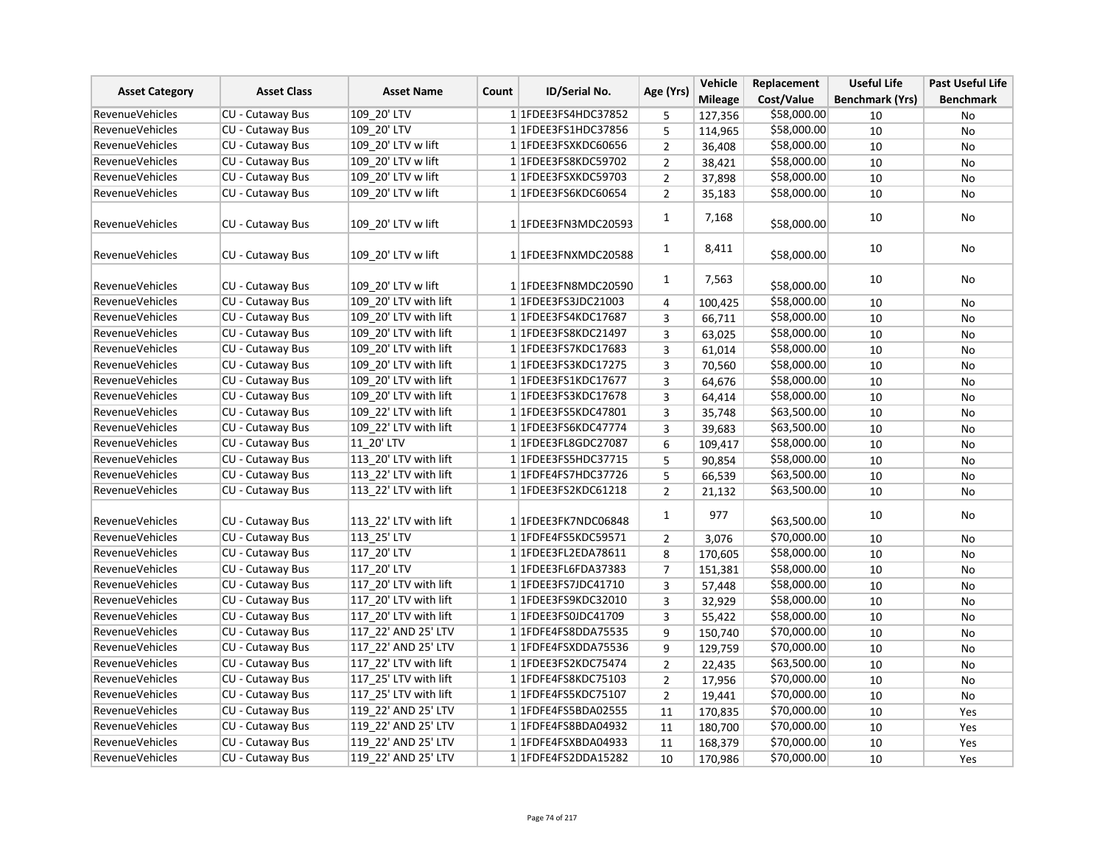| <b>Asset Category</b>  | <b>Asset Class</b>      | <b>Asset Name</b><br>Count | <b>ID/Serial No.</b> | Age (Yrs)               | Vehicle        | Replacement    | <b>Useful Life</b> | <b>Past Useful Life</b> |                  |
|------------------------|-------------------------|----------------------------|----------------------|-------------------------|----------------|----------------|--------------------|-------------------------|------------------|
|                        |                         |                            |                      |                         |                | <b>Mileage</b> | Cost/Value         | <b>Benchmark (Yrs)</b>  | <b>Benchmark</b> |
| <b>RevenueVehicles</b> | <b>CU - Cutaway Bus</b> | 109 20' LTV                |                      | 1 1 FDEE3 FS4 HDC3 7852 | 5              | 127,356        | \$58,000.00        | 10                      | No               |
| <b>RevenueVehicles</b> | CU - Cutaway Bus        | 109 20' LTV                |                      | 11FDEE3FS1HDC37856      | 5              | 114,965        | \$58,000.00        | 10                      | No               |
| <b>RevenueVehicles</b> | CU - Cutaway Bus        | 109 20' LTV w lift         |                      | 1 1FDEE3FSXKDC60656     | $\overline{2}$ | 36,408         | \$58,000.00        | 10                      | No               |
| <b>RevenueVehicles</b> | CU - Cutaway Bus        | 109 20' LTV w lift         |                      | 1 1FDEE3FS8KDC59702     | $\overline{2}$ | 38,421         | \$58,000.00        | 10                      | No               |
| <b>RevenueVehicles</b> | CU - Cutaway Bus        | 109_20' LTV w lift         |                      | 1 1FDEE3FSXKDC59703     | $\overline{2}$ | 37,898         | \$58,000.00        | 10                      | No               |
| <b>RevenueVehicles</b> | CU - Cutaway Bus        | 109 20' LTV w lift         |                      | 1 1FDEE3FS6KDC60654     | $\overline{2}$ | 35,183         | \$58,000.00        | 10                      | No               |
| <b>RevenueVehicles</b> | CU - Cutaway Bus        | 109 20' LTV w lift         |                      | 1 1FDEE3FN3MDC20593     | $\mathbf{1}$   | 7,168          | \$58,000.00        | 10                      | No               |
| <b>RevenueVehicles</b> | <b>CU - Cutaway Bus</b> | 109 20' LTV w lift         |                      | 1 1 FDEE3 FNXMDC20588   | $\mathbf{1}$   | 8,411          | \$58,000.00        | 10                      | No               |
| <b>RevenueVehicles</b> | CU - Cutaway Bus        | 109_20' LTV w lift         |                      | 1 1FDEE3FN8MDC20590     | $\mathbf{1}$   | 7,563          | \$58,000.00        | 10                      | No               |
| <b>RevenueVehicles</b> | CU - Cutaway Bus        | 109 20' LTV with lift      |                      | 1 1 FDEE3FS3JDC21003    | 4              | 100,425        | \$58,000.00        | 10                      | No               |
| <b>RevenueVehicles</b> | CU - Cutaway Bus        | 109 20' LTV with lift      |                      | 1 1 FDEE3FS4KDC17687    | 3              | 66,711         | \$58,000.00        | 10                      | No               |
| <b>RevenueVehicles</b> | CU - Cutaway Bus        | 109 20' LTV with lift      |                      | 11FDEE3FS8KDC21497      | $\overline{3}$ | 63,025         | \$58,000.00        | 10                      | No               |
| <b>RevenueVehicles</b> | CU - Cutaway Bus        | 109 20' LTV with lift      |                      | 1 1FDEE3FS7KDC17683     | $\overline{3}$ | 61,014         | \$58,000.00        | 10                      | No               |
| <b>RevenueVehicles</b> | CU - Cutaway Bus        | 109 20' LTV with lift      |                      | 1 1FDEE3FS3KDC17275     | 3              | 70,560         | \$58,000.00        | 10                      | No               |
| RevenueVehicles        | CU - Cutaway Bus        | 109 20' LTV with lift      |                      | 1 1 FDEE3 FS1 KDC17677  | 3              | 64,676         | \$58,000.00        | 10                      | No               |
| <b>RevenueVehicles</b> | CU - Cutaway Bus        | 109 20' LTV with lift      |                      | 1 1FDEE3FS3KDC17678     | 3              | 64,414         | \$58,000.00        | 10                      | No               |
| <b>RevenueVehicles</b> | CU - Cutaway Bus        | 109_22' LTV with lift      |                      | 1 1 FDEE3 FS5 KDC47801  | 3              | 35,748         | \$63,500.00        | 10                      | <b>No</b>        |
| <b>RevenueVehicles</b> | CU - Cutaway Bus        | 109 22' LTV with lift      |                      | 1 1 FDEE3 FS6KDC47774   | 3              | 39,683         | \$63,500.00        | 10                      | No               |
| <b>RevenueVehicles</b> | CU - Cutaway Bus        | 11 20' LTV                 |                      | 1 1 FDEE3 FL8 GDC 27087 | 6              | 109,417        | \$58,000.00        | 10                      | No               |
| <b>RevenueVehicles</b> | CU - Cutaway Bus        | 113_20' LTV with lift      |                      | 1 1FDEE3FS5HDC37715     | 5              | 90,854         | \$58,000.00        | 10                      | No               |
| <b>RevenueVehicles</b> | CU - Cutaway Bus        | 113 22' LTV with lift      |                      | 1 1FDFE4FS7HDC37726     | 5              | 66,539         | \$63,500.00        | 10                      | No               |
| <b>RevenueVehicles</b> | CU - Cutaway Bus        | 113 22' LTV with lift      |                      | 1 1FDEE3FS2KDC61218     | $\overline{2}$ | 21,132         | \$63,500.00        | 10                      | No               |
| <b>RevenueVehicles</b> | CU - Cutaway Bus        | 113 22' LTV with lift      |                      | 1 1FDEE3FK7NDC06848     | 1              | 977            | \$63,500.00        | 10                      | No               |
| RevenueVehicles        | CU - Cutaway Bus        | 113 25' LTV                |                      | 1 1FDFE4FS5KDC59571     | $\overline{2}$ | 3,076          | \$70,000.00        | 10                      | No               |
| <b>RevenueVehicles</b> | CU - Cutaway Bus        | 117 20' LTV                |                      | 1 1FDEE3FL2EDA78611     | 8              | 170,605        | \$58,000.00        | 10                      | No               |
| <b>RevenueVehicles</b> | CU - Cutaway Bus        | 117 20' LTV                |                      | 1 1 FDEE3 FL6FDA37383   | $\overline{7}$ | 151,381        | \$58,000.00        | 10                      | No               |
| <b>RevenueVehicles</b> | CU - Cutaway Bus        | 117 20' LTV with lift      |                      | 1 1FDEE3FS7JDC41710     | 3              | 57,448         | \$58,000.00        | 10                      | No               |
| <b>RevenueVehicles</b> | CU - Cutaway Bus        | 117 20' LTV with lift      |                      | 1 1 FDEE3FS9KDC32010    | 3              | 32,929         | \$58,000.00        | 10                      | No               |
| RevenueVehicles        | CU - Cutaway Bus        | 117_20' LTV with lift      |                      | 1 1FDEE3FS0JDC41709     | 3              | 55,422         | \$58,000.00        | 10                      | No               |
| <b>RevenueVehicles</b> | CU - Cutaway Bus        | 117 22' AND 25' LTV        |                      | 1 1FDFE4FS8DDA75535     | 9              | 150,740        | \$70,000.00        | 10                      | No               |
| <b>RevenueVehicles</b> | <b>CU - Cutaway Bus</b> | 117 22' AND 25' LTV        |                      | 1 1FDFE4FSXDDA75536     | 9              | 129,759        | \$70,000.00        | 10                      | No               |
| <b>RevenueVehicles</b> | CU - Cutaway Bus        | 117 22' LTV with lift      |                      | 11FDEE3FS2KDC75474      | $\overline{2}$ | 22,435         | \$63,500.00        | 10                      | <b>No</b>        |
| <b>RevenueVehicles</b> | CU - Cutaway Bus        | 117 25' LTV with lift      |                      | 1 1 FDFE4FS8KDC75103    | $\overline{2}$ | 17,956         | \$70,000.00        | 10                      | No               |
| <b>RevenueVehicles</b> | CU - Cutaway Bus        | 117 25' LTV with lift      |                      | 1 1 FDFE4FS5KDC75107    | $\overline{2}$ | 19,441         | \$70,000.00        | 10                      | No               |
| <b>RevenueVehicles</b> | CU - Cutaway Bus        | 119 22' AND 25' LTV        |                      | 1 1FDFE4FS5BDA02555     | 11             | 170,835        | \$70,000.00        | 10                      | Yes              |
| <b>RevenueVehicles</b> | CU - Cutaway Bus        | 119 22' AND 25' LTV        |                      | 11FDFE4FS8BDA04932      | 11             | 180,700        | \$70,000.00        | 10                      | Yes              |
| <b>RevenueVehicles</b> | CU - Cutaway Bus        | 119 22' AND 25' LTV        |                      | 1 1FDFE4FSXBDA04933     | 11             | 168,379        | \$70,000.00        | 10                      | Yes              |
| <b>RevenueVehicles</b> | CU - Cutaway Bus        | 119 22' AND 25' LTV        |                      | 1 1 FDFE4FS2DDA15282    | 10             | 170,986        | \$70,000.00        | 10                      | Yes              |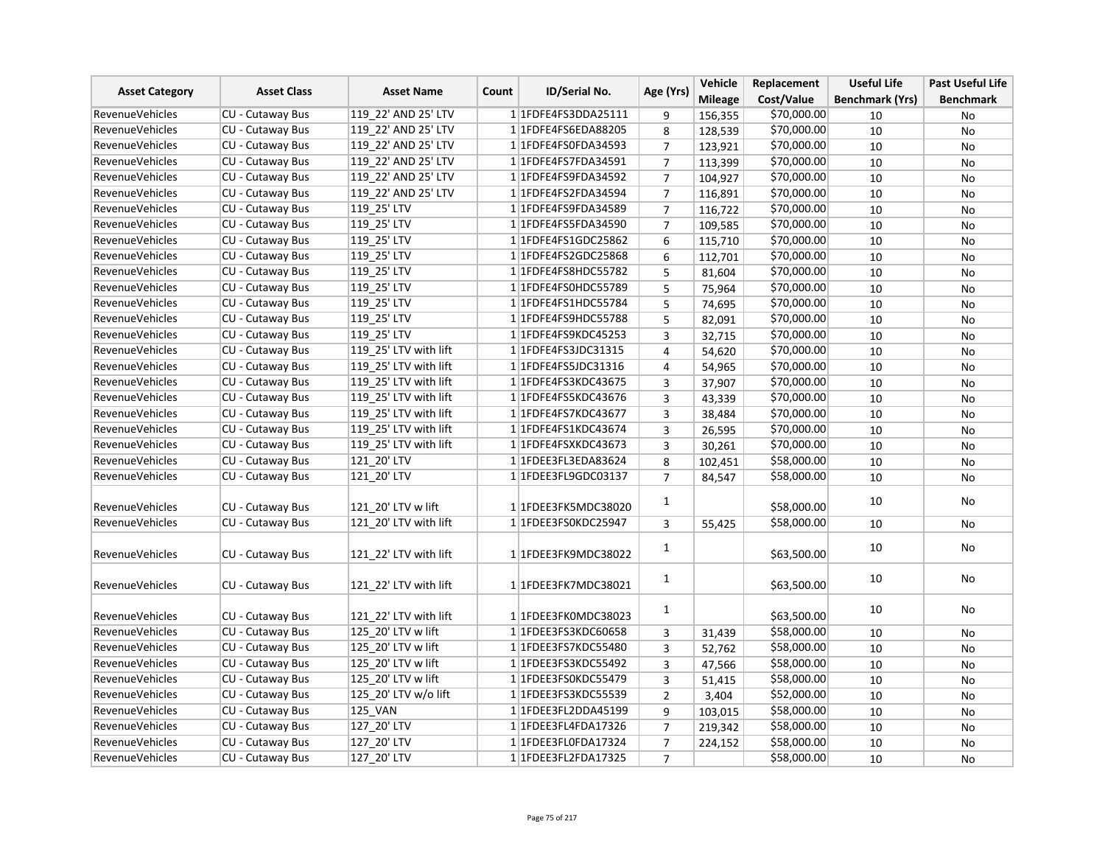| <b>Asset Category</b>  | <b>Asset Class</b>      | <b>Asset Name</b>     | <b>ID/Serial No.</b><br>Count | Age (Yrs)               | Vehicle        | Replacement    | <b>Useful Life</b> | <b>Past Useful Life</b> |                  |
|------------------------|-------------------------|-----------------------|-------------------------------|-------------------------|----------------|----------------|--------------------|-------------------------|------------------|
|                        |                         |                       |                               |                         |                | <b>Mileage</b> | Cost/Value         | <b>Benchmark (Yrs)</b>  | <b>Benchmark</b> |
| <b>RevenueVehicles</b> | CU - Cutaway Bus        | 119 22' AND 25' LTV   |                               | 1 1FDFE4FS3DDA25111     | 9              | 156,355        | \$70,000.00        | 10                      | No               |
| <b>RevenueVehicles</b> | <b>CU - Cutaway Bus</b> | 119 22' AND 25' LTV   |                               | 1 1FDFE4FS6EDA88205     | 8              | 128,539        | \$70,000.00        | 10                      | No               |
| <b>RevenueVehicles</b> | <b>CU - Cutaway Bus</b> | 119 22' AND 25' LTV   |                               | 1 1FDFE4FS0FDA34593     | $\overline{7}$ | 123,921        | \$70,000.00        | 10                      | <b>No</b>        |
| RevenueVehicles        | CU - Cutaway Bus        | 119 22' AND 25' LTV   |                               | 1 1FDFE4FS7FDA34591     | $\overline{7}$ | 113,399        | \$70,000.00        | 10                      | No               |
| <b>RevenueVehicles</b> | CU - Cutaway Bus        | 119 22' AND 25' LTV   |                               | 1 1FDFE4FS9FDA34592     | $\overline{7}$ | 104,927        | \$70,000.00        | 10                      | No               |
| <b>RevenueVehicles</b> | CU - Cutaway Bus        | 119 22' AND 25' LTV   |                               | 1 1FDFE4FS2FDA34594     | $\overline{7}$ | 116,891        | \$70,000.00        | 10                      | No               |
| RevenueVehicles        | CU - Cutaway Bus        | 119 25' LTV           |                               | 1 1 FDFE4FS9FDA34589    | $\overline{7}$ | 116,722        | \$70,000.00        | 10                      | No               |
| <b>RevenueVehicles</b> | CU - Cutaway Bus        | 119 25' LTV           |                               | 1 1FDFE4FS5FDA34590     | $\overline{7}$ | 109,585        | \$70,000.00        | 10                      | No               |
| RevenueVehicles        | CU - Cutaway Bus        | 119 25' LTV           |                               | 1 1 FDFE4FS1 GDC25862   | 6              | 115,710        | \$70,000.00        | 10                      | <b>No</b>        |
| <b>RevenueVehicles</b> | CU - Cutaway Bus        | 119 25' LTV           |                               | 1 1FDFE4FS2GDC25868     | 6              | 112,701        | \$70,000.00        | 10                      | No               |
| <b>RevenueVehicles</b> | CU - Cutaway Bus        | 119 25' LTV           |                               | 1 1FDFE4FS8HDC55782     | 5              | 81,604         | \$70,000.00        | 10                      | No               |
| <b>RevenueVehicles</b> | CU - Cutaway Bus        | 119 25' LTV           |                               | 1 1FDFE4FS0HDC55789     | 5              | 75,964         | \$70,000.00        | 10                      | No               |
| <b>RevenueVehicles</b> | CU - Cutaway Bus        | 119_25' LTV           |                               | 1 1FDFE4FS1HDC55784     | 5              | 74,695         | \$70,000.00        | 10                      | No               |
| <b>RevenueVehicles</b> | CU - Cutaway Bus        | 119 25' LTV           |                               | 1 1FDFE4FS9HDC55788     | 5              | 82,091         | \$70,000.00        | 10                      | No               |
| <b>RevenueVehicles</b> | <b>CU - Cutaway Bus</b> | 119 25' LTV           |                               | 1 1FDFE4FS9KDC45253     | $\overline{3}$ | 32,715         | \$70,000.00        | 10                      | No               |
| RevenueVehicles        | CU - Cutaway Bus        | 119 25' LTV with lift |                               | 1 1FDFE4FS3JDC31315     | 4              | 54,620         | \$70,000.00        | 10                      | <b>No</b>        |
| <b>RevenueVehicles</b> | CU - Cutaway Bus        | 119 25' LTV with lift |                               | 1 1 FDFE4FS5JDC31316    | 4              | 54,965         | \$70,000.00        | 10                      | No               |
| RevenueVehicles        | CU - Cutaway Bus        | 119 25' LTV with lift |                               | 1 1 FDFE4FS3KDC43675    | 3              | 37,907         | \$70,000.00        | 10                      | <b>No</b>        |
| <b>RevenueVehicles</b> | CU - Cutaway Bus        | 119 25' LTV with lift |                               | 1 1FDFE4FS5KDC43676     | 3              | 43,339         | \$70,000.00        | 10                      | No               |
| <b>RevenueVehicles</b> | <b>CU - Cutaway Bus</b> | 119 25' LTV with lift |                               | 1 1FDFE4FS7KDC43677     | 3              | 38,484         | \$70,000.00        | 10                      | No               |
| <b>RevenueVehicles</b> | <b>CU - Cutaway Bus</b> | 119 25' LTV with lift |                               | 1 1 FDFE4FS1KDC43674    | 3              | 26,595         | \$70,000.00        | 10                      | No               |
| <b>RevenueVehicles</b> | CU - Cutaway Bus        | 119 25' LTV with lift |                               | 1 1 FDFE4FSXKDC43673    | 3              | 30,261         | \$70,000.00        | 10                      | No               |
| RevenueVehicles        | CU - Cutaway Bus        | 121 20' LTV           |                               | 1 1FDEE3FL3EDA83624     | 8              | 102,451        | \$58,000.00        | 10                      | No               |
| <b>RevenueVehicles</b> | CU - Cutaway Bus        | 121 20' LTV           |                               | 1 1FDEE3FL9GDC03137     | $\overline{7}$ | 84,547         | \$58,000.00        | 10                      | No               |
| <b>RevenueVehicles</b> | <b>CU - Cutaway Bus</b> | 121 20' LTV w lift    |                               | 1 1FDEE3FK5MDC38020     | $\mathbf{1}$   |                | \$58,000.00        | 10                      | No               |
| <b>RevenueVehicles</b> | CU - Cutaway Bus        | 121 20' LTV with lift |                               | 1 1FDEE3FS0KDC25947     | 3              | 55,425         | \$58,000.00        | 10                      | <b>No</b>        |
| <b>RevenueVehicles</b> | CU - Cutaway Bus        | 121_22' LTV with lift |                               | 1 1FDEE3FK9MDC38022     | $\mathbf{1}$   |                | \$63,500.00        | 10                      | No               |
| <b>RevenueVehicles</b> | <b>CU - Cutaway Bus</b> | 121 22' LTV with lift |                               | 1 1FDEE3FK7MDC38021     | $\mathbf{1}$   |                | \$63,500.00        | 10                      | No               |
| <b>RevenueVehicles</b> | CU - Cutaway Bus        | 121 22' LTV with lift |                               | 1 1FDEE3FK0MDC38023     | $\mathbf{1}$   |                | \$63,500.00        | 10                      | No               |
| <b>RevenueVehicles</b> | CU - Cutaway Bus        | 125 20' LTV w lift    |                               | 1 1FDEE3FS3KDC60658     | 3              | 31,439         | \$58,000.00        | 10                      | No               |
| <b>RevenueVehicles</b> | CU - Cutaway Bus        | 125 20' LTV w lift    |                               | 1 1FDEE3FS7KDC55480     | 3              | 52,762         | \$58,000.00        | 10                      | No               |
| <b>RevenueVehicles</b> | CU - Cutaway Bus        | 125 20' LTV w lift    |                               | 1 1FDEE3FS3KDC55492     | 3              | 47,566         | \$58,000.00        | 10                      | No               |
| <b>RevenueVehicles</b> | CU - Cutaway Bus        | 125 20' LTV w lift    |                               | 1 1FDEE3FS0KDC55479     | 3              | 51,415         | \$58,000.00        | 10                      | No               |
| <b>RevenueVehicles</b> | CU - Cutaway Bus        | 125 20' LTV w/o lift  |                               | 1 1FDEE3FS3KDC55539     | $\overline{2}$ | 3,404          | \$52,000.00        | 10                      | No               |
| <b>RevenueVehicles</b> | CU - Cutaway Bus        | <b>125 VAN</b>        |                               | 1 1FDEE3FL2DDA45199     | 9              | 103,015        | \$58,000.00        | 10                      | <b>No</b>        |
| <b>RevenueVehicles</b> | CU - Cutaway Bus        | 127_20' LTV           |                               | 1 1 FDEE3 FL4 FDA 17326 | $\overline{7}$ | 219,342        | \$58,000.00        | 10                      | No               |
| <b>RevenueVehicles</b> | CU - Cutaway Bus        | 127 20' LTV           |                               | 1 1FDEE3FL0FDA17324     | $\overline{7}$ | 224,152        | \$58,000.00        | 10                      | No               |
| RevenueVehicles        | CU - Cutaway Bus        | 127 20' LTV           |                               | 1 1FDEE3FL2FDA17325     | $\overline{7}$ |                | \$58,000.00        | 10                      | <b>No</b>        |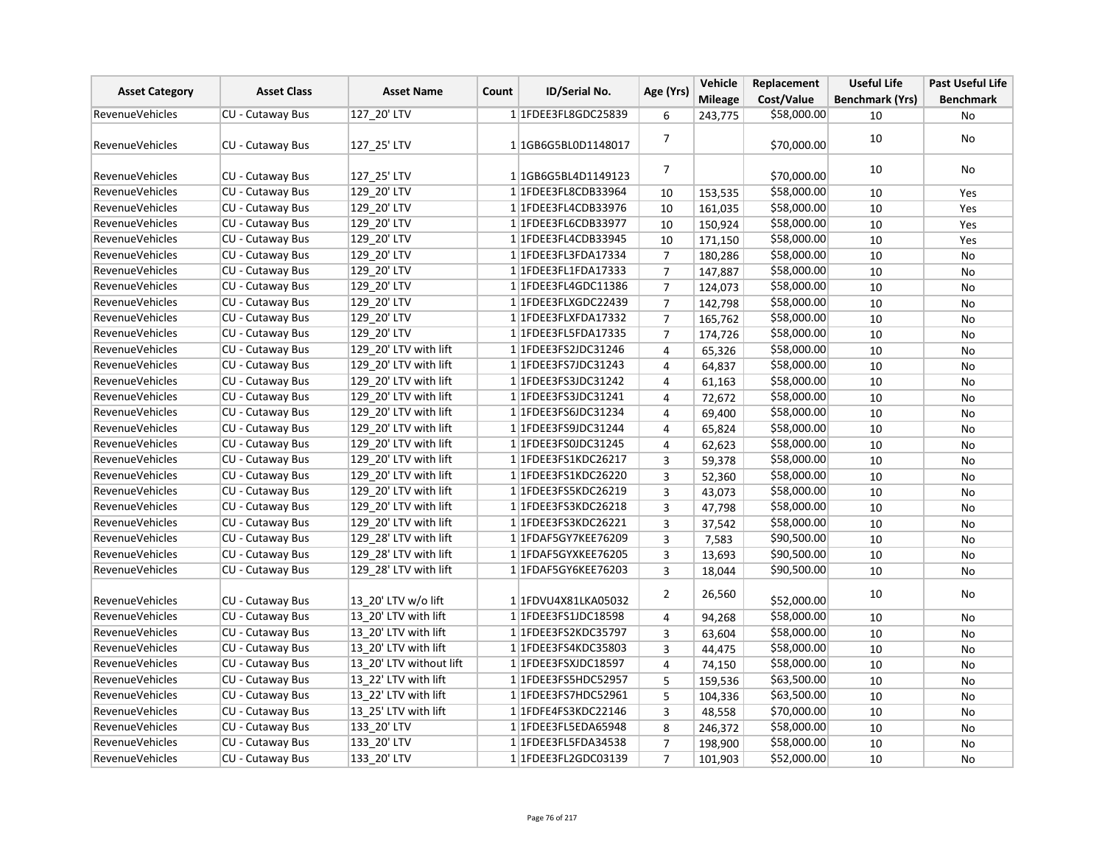| <b>Asset Category</b>  | <b>Asset Class</b>      | <b>Asset Name</b>       | Count | <b>ID/Serial No.</b>        | Age (Yrs)      | Vehicle        | Replacement | <b>Useful Life</b>     | <b>Past Useful Life</b> |
|------------------------|-------------------------|-------------------------|-------|-----------------------------|----------------|----------------|-------------|------------------------|-------------------------|
|                        |                         |                         |       |                             |                | <b>Mileage</b> | Cost/Value  | <b>Benchmark (Yrs)</b> | <b>Benchmark</b>        |
| <b>RevenueVehicles</b> | CU - Cutaway Bus        | 127_20' LTV             |       | 1 1FDEE3FL8GDC25839         | 6              | 243,775        | \$58,000.00 | 10                     | No                      |
| <b>RevenueVehicles</b> | <b>CU - Cutaway Bus</b> | 127 25' LTV             |       | 1 1GB6G5BL0D1148017         | $\overline{7}$ |                | \$70,000.00 | 10                     | No                      |
| <b>RevenueVehicles</b> | CU - Cutaway Bus        | 127 25' LTV             |       | 11GB6G5BL4D1149123          | $\overline{7}$ |                | \$70,000.00 | 10                     | No                      |
| <b>RevenueVehicles</b> | CU - Cutaway Bus        | 129 20' LTV             |       | 1 1FDEE3FL8CDB33964         | 10             | 153,535        | \$58,000.00 | 10                     | Yes                     |
| <b>RevenueVehicles</b> | CU - Cutaway Bus        | 129 20' LTV             |       | 1 1 FDEE3 FL4 CDB 33976     | 10             | 161,035        | \$58,000.00 | 10                     | Yes                     |
| <b>RevenueVehicles</b> | <b>CU - Cutaway Bus</b> | 129 20' LTV             |       | 1 1 FDEE3 FL6 CDB33977      | 10             | 150,924        | \$58,000.00 | 10                     | Yes                     |
| <b>RevenueVehicles</b> | CU - Cutaway Bus        | 129 20' LTV             |       | 1 1 FDEE3 FL4 CDB 3 3 9 4 5 | 10             | 171,150        | \$58,000.00 | 10                     | Yes                     |
| <b>RevenueVehicles</b> | CU - Cutaway Bus        | 129 20' LTV             |       | 1 1FDEE3FL3FDA17334         | $\overline{7}$ | 180,286        | \$58,000.00 | 10                     | No                      |
| <b>RevenueVehicles</b> | CU - Cutaway Bus        | 129_20' LTV             |       | 1 1FDEE3FL1FDA17333         | $\overline{7}$ | 147,887        | \$58,000.00 | 10                     | No                      |
| <b>RevenueVehicles</b> | CU - Cutaway Bus        | 129 20' LTV             |       | 1 1 FDEE3 FL4 GDC 1 1 386   | $\overline{7}$ | 124,073        | \$58,000.00 | 10                     | No                      |
| <b>RevenueVehicles</b> | CU - Cutaway Bus        | 129 20' LTV             |       | 1 1FDEE3FLXGDC22439         | $\overline{7}$ | 142,798        | \$58,000.00 | 10                     | No                      |
| <b>RevenueVehicles</b> | CU - Cutaway Bus        | 129 20' LTV             |       | 1 1FDEE3FLXFDA17332         | $\overline{7}$ | 165,762        | \$58,000.00 | 10                     | No                      |
| <b>RevenueVehicles</b> | CU - Cutaway Bus        | 129 20' LTV             |       | 1 1 FDEE3 FL5 FDA 17335     | $\overline{7}$ | 174,726        | \$58,000.00 | 10                     | No                      |
| RevenueVehicles        | CU - Cutaway Bus        | 129_20' LTV with lift   |       | 1 1 FDEE3FS2JDC31246        | $\overline{4}$ | 65,326         | \$58,000.00 | 10                     | <b>No</b>               |
| <b>RevenueVehicles</b> | CU - Cutaway Bus        | 129 20' LTV with lift   |       | 1 1FDEE3FS7JDC31243         | 4              | 64,837         | \$58,000.00 | 10                     | <b>No</b>               |
| <b>RevenueVehicles</b> | CU - Cutaway Bus        | 129 20' LTV with lift   |       | 1 1FDEE3FS3JDC31242         | $\overline{4}$ | 61,163         | \$58,000.00 | 10                     | No                      |
| <b>RevenueVehicles</b> | CU - Cutaway Bus        | 129 20' LTV with lift   |       | 1 1 FDEE3FS3JDC31241        | 4              | 72,672         | \$58,000.00 | 10                     | No                      |
| <b>RevenueVehicles</b> | CU - Cutaway Bus        | 129 20' LTV with lift   |       | 1 1 FDEE3FS6JDC31234        | 4              | 69,400         | \$58,000.00 | 10                     | No                      |
| <b>RevenueVehicles</b> | CU - Cutaway Bus        | 129 20' LTV with lift   |       | 1 1 FDEE3FS9JDC31244        | $\overline{4}$ | 65,824         | \$58,000.00 | 10                     | No                      |
| RevenueVehicles        | CU - Cutaway Bus        | 129 20' LTV with lift   |       | 1 1 FDEE3FS0JDC31245        | 4              | 62,623         | \$58,000.00 | 10                     | No                      |
| <b>RevenueVehicles</b> | CU - Cutaway Bus        | 129 20' LTV with lift   |       | 11FDEE3FS1KDC26217          | 3              | 59,378         | \$58,000.00 | 10                     | No                      |
| <b>RevenueVehicles</b> | <b>CU - Cutaway Bus</b> | 129 20' LTV with lift   |       | 1 1FDEE3FS1KDC26220         | 3              | 52,360         | \$58,000.00 | 10                     | No                      |
| <b>RevenueVehicles</b> | CU - Cutaway Bus        | 129 20' LTV with lift   |       | 1 1FDEE3FS5KDC26219         | $\overline{3}$ | 43,073         | \$58,000.00 | 10                     | No                      |
| <b>RevenueVehicles</b> | CU - Cutaway Bus        | 129 20' LTV with lift   |       | 1 1 FDEE3 FS3 KDC 26218     | $\overline{3}$ | 47,798         | \$58,000.00 | 10                     | No                      |
| <b>RevenueVehicles</b> | CU - Cutaway Bus        | 129 20' LTV with lift   |       | 1 1 FDEE3 FS3 KDC 26221     | 3              | 37,542         | \$58,000.00 | 10                     | No                      |
| RevenueVehicles        | CU - Cutaway Bus        | 129 28' LTV with lift   |       | 1 1FDAF5GY7KEE76209         | 3              | 7,583          | \$90,500.00 | 10                     | No                      |
| <b>RevenueVehicles</b> | CU - Cutaway Bus        | 129 28' LTV with lift   |       | 1 1FDAF5GYXKEE76205         | 3              | 13,693         | \$90,500.00 | 10                     | No                      |
| <b>RevenueVehicles</b> | CU - Cutaway Bus        | 129 28' LTV with lift   |       | 1 1 FDAF5 GY6KEE 76203      | 3              | 18,044         | \$90,500.00 | 10                     | No                      |
| <b>RevenueVehicles</b> | CU - Cutaway Bus        | 13 20' LTV w/o lift     |       | 1 1FDVU4X81LKA05032         | $\overline{2}$ | 26,560         | \$52,000.00 | 10                     | No                      |
| <b>RevenueVehicles</b> | CU - Cutaway Bus        | 13 20' LTV with lift    |       | 1 1 FDEE3FS1JDC18598        | 4              | 94,268         | \$58,000.00 | 10                     | <b>No</b>               |
| RevenueVehicles        | CU - Cutaway Bus        | 13 20' LTV with lift    |       | 1 1FDEE3FS2KDC35797         | 3              | 63,604         | \$58,000.00 | 10                     | <b>No</b>               |
| <b>RevenueVehicles</b> | CU - Cutaway Bus        | 13 20' LTV with lift    |       | 1 1 FDEE3FS4KDC35803        | 3              | 44,475         | \$58,000.00 | 10                     | No                      |
| <b>RevenueVehicles</b> | CU - Cutaway Bus        | 13 20' LTV without lift |       | 1 1FDEE3FSXJDC18597         | 4              | 74,150         | \$58,000.00 | 10                     | No                      |
| <b>RevenueVehicles</b> | CU - Cutaway Bus        | 13 22' LTV with lift    |       | 1 1 FDEE3 FS5 HDC5 2957     | 5              | 159,536        | \$63,500.00 | 10                     | No                      |
| <b>RevenueVehicles</b> | CU - Cutaway Bus        | 13 22' LTV with lift    |       | 11FDEE3FS7HDC52961          | 5              | 104,336        | \$63,500.00 | 10                     | No                      |
| <b>RevenueVehicles</b> | CU - Cutaway Bus        | 13 25' LTV with lift    |       | 1 1 FDFE4FS3KDC22146        | 3              | 48,558         | \$70,000.00 | 10                     | <b>No</b>               |
| RevenueVehicles        | CU - Cutaway Bus        | 133_20' LTV             |       | 1 1FDEE3FL5EDA65948         | 8              | 246,372        | \$58,000.00 | 10                     | No                      |
| <b>RevenueVehicles</b> | CU - Cutaway Bus        | 133 20' LTV             |       | 1 1FDEE3FL5FDA34538         | $\overline{7}$ | 198,900        | \$58,000.00 | 10                     | No                      |
| <b>RevenueVehicles</b> | CU - Cutaway Bus        | 133 20' LTV             |       | 1 1FDEE3FL2GDC03139         | $\overline{7}$ | 101,903        | \$52,000.00 | 10                     | No                      |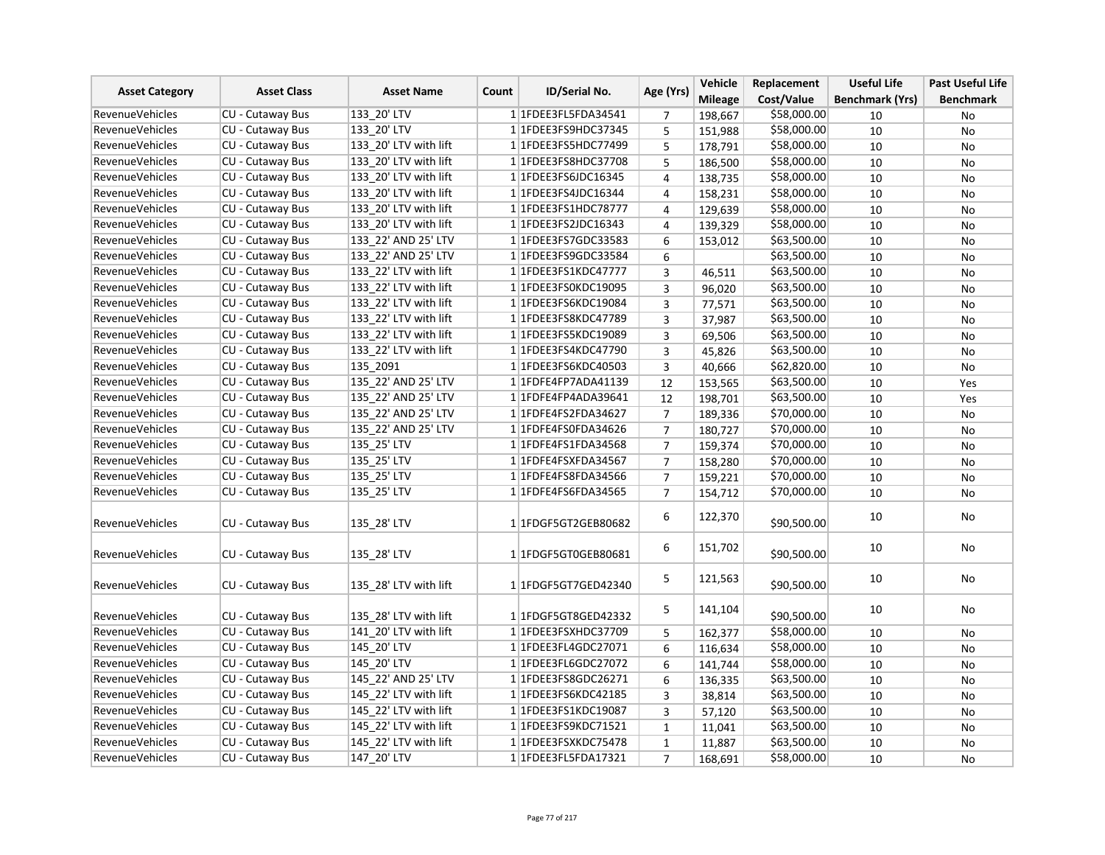| <b>Asset Category</b>  | <b>Asset Class</b>      | <b>Asset Name</b>     | <b>ID/Serial No.</b><br>Count | Age (Yrs)        | Vehicle        | Replacement | <b>Useful Life</b>     | <b>Past Useful Life</b> |
|------------------------|-------------------------|-----------------------|-------------------------------|------------------|----------------|-------------|------------------------|-------------------------|
|                        |                         |                       |                               |                  | <b>Mileage</b> | Cost/Value  | <b>Benchmark (Yrs)</b> | <b>Benchmark</b>        |
| <b>RevenueVehicles</b> | CU - Cutaway Bus        | 133 20' LTV           | 1 1FDEE3FL5FDA34541           | 7                | 198,667        | \$58,000.00 | 10                     | No                      |
| RevenueVehicles        | CU - Cutaway Bus        | 133 20' LTV           | 1 1 FDEE3 FS9 HDC3 7345       | 5                | 151,988        | \$58,000.00 | 10                     | No                      |
| RevenueVehicles        | <b>CU - Cutaway Bus</b> | 133_20' LTV with lift | 1 1FDEE3FS5HDC77499           | 5                | 178,791        | \$58,000.00 | 10                     | <b>No</b>               |
| <b>RevenueVehicles</b> | CU - Cutaway Bus        | 133 20' LTV with lift | 1 1 FDEE3FS8HDC37708          | 5                | 186,500        | \$58,000.00 | 10                     | <b>No</b>               |
| <b>RevenueVehicles</b> | CU - Cutaway Bus        | 133 20' LTV with lift | 1 1 FDEE3FS6JDC16345          | 4                | 138,735        | \$58,000.00 | 10                     | No                      |
| <b>RevenueVehicles</b> | CU - Cutaway Bus        | 133 20' LTV with lift | 1 1FDEE3FS4JDC16344           | 4                | 158,231        | \$58,000.00 | 10                     | No                      |
| <b>RevenueVehicles</b> | CU - Cutaway Bus        | 133 20' LTV with lift | 11FDEE3FS1HDC78777            | 4                | 129,639        | \$58,000.00 | 10                     | No                      |
| RevenueVehicles        | CU - Cutaway Bus        | 133_20' LTV with lift | 1 1 FDEE3FS2JDC16343          | 4                | 139,329        | \$58,000.00 | 10                     | No                      |
| <b>RevenueVehicles</b> | CU - Cutaway Bus        | 133 22' AND 25' LTV   | 1 1 FDEE3 FS7 GDC33583        | 6                | 153,012        | \$63,500.00 | 10                     | No                      |
| <b>RevenueVehicles</b> | CU - Cutaway Bus        | 133 22' AND 25' LTV   | 1 1 FDEE3 FS9 GDC33584        | 6                |                | \$63,500.00 | 10                     | No                      |
| <b>RevenueVehicles</b> | CU - Cutaway Bus        | 133 22' LTV with lift | 1 1FDEE3FS1KDC47777           | 3                | 46,511         | \$63,500.00 | 10                     | No                      |
| RevenueVehicles        | CU - Cutaway Bus        | 133 22' LTV with lift | 1 1 FDEE3FS0KDC19095          | 3                | 96,020         | \$63,500.00 | 10                     | No                      |
| <b>RevenueVehicles</b> | CU - Cutaway Bus        | 133 22' LTV with lift | 1 1FDEE3FS6KDC19084           | $\overline{3}$   | 77,571         | \$63,500.00 | 10                     | <b>No</b>               |
| RevenueVehicles        | CU - Cutaway Bus        | 133 22' LTV with lift | 1 1 FDEE3 FS8 KDC47789        | 3                | 37,987         | \$63,500.00 | 10                     | No                      |
| <b>RevenueVehicles</b> | CU - Cutaway Bus        | 133 22' LTV with lift | 1 1FDEE3FS5KDC19089           | 3                | 69,506         | \$63,500.00 | 10                     | No                      |
| <b>RevenueVehicles</b> | CU - Cutaway Bus        | 133 22' LTV with lift | 1 1 FDEE3FS4KDC47790          | 3                | 45,826         | \$63,500.00 | 10                     | <b>No</b>               |
| <b>RevenueVehicles</b> | CU - Cutaway Bus        | 135 2091              | 1 1 FDEE3FS6KDC40503          | 3                | 40,666         | \$62,820.00 | 10                     | No                      |
| <b>RevenueVehicles</b> | <b>CU - Cutaway Bus</b> | 135 22' AND 25' LTV   | 1 1FDFE4FP7ADA41139           | 12               | 153,565        | \$63,500.00 | 10                     | Yes                     |
| <b>RevenueVehicles</b> | CU - Cutaway Bus        | 135 22' AND 25' LTV   | 1 1FDFE4FP4ADA39641           | 12               | 198,701        | \$63,500.00 | 10                     | Yes                     |
| <b>RevenueVehicles</b> | <b>CU - Cutaway Bus</b> | 135 22' AND 25' LTV   | 1 1FDFE4FS2FDA34627           | $\overline{7}$   | 189,336        | \$70,000.00 | 10                     | <b>No</b>               |
| <b>RevenueVehicles</b> | CU - Cutaway Bus        | 135 22' AND 25' LTV   | 1 1FDFE4FS0FDA34626           | $\overline{7}$   | 180,727        | \$70,000.00 | 10                     | No                      |
| RevenueVehicles        | CU - Cutaway Bus        | 135 25' LTV           | 1 1FDFE4FS1FDA34568           | $\overline{7}$   | 159,374        | \$70,000.00 | 10                     | No                      |
| <b>RevenueVehicles</b> | CU - Cutaway Bus        | 135_25' LTV           | 1 1FDFE4FSXFDA34567           | $\overline{7}$   | 158,280        | \$70,000.00 | 10                     | No                      |
| <b>RevenueVehicles</b> | CU - Cutaway Bus        | 135 25' LTV           | 1 1FDFE4FS8FDA34566           | $\boldsymbol{7}$ | 159,221        | \$70,000.00 | 10                     | No                      |
| <b>RevenueVehicles</b> | <b>CU - Cutaway Bus</b> | 135 25' LTV           | 1 1 FDFE4FS6FDA34565          | $\overline{7}$   | 154,712        | \$70,000.00 | 10                     | No                      |
| <b>RevenueVehicles</b> | CU - Cutaway Bus        | 135_28' LTV           | 1 1 FDGF5 GT2 GEB80682        | 6                | 122,370        | \$90,500.00 | 10                     | No                      |
| <b>RevenueVehicles</b> | <b>CU - Cutaway Bus</b> | 135 28' LTV           | 1 1 FDGF5 GT0 GEB80681        | 6                | 151,702        | \$90,500.00 | 10                     | No                      |
| <b>RevenueVehicles</b> | CU - Cutaway Bus        | 135 28' LTV with lift | 1 1 FDGF5 GT7 GED42340        | 5                | 121,563        | \$90,500.00 | 10                     | No                      |
| <b>RevenueVehicles</b> | <b>CU - Cutaway Bus</b> | 135 28' LTV with lift | 1 1 FDGF5 GT8 GED42332        | 5                | 141,104        | \$90,500.00 | 10                     | No                      |
| <b>RevenueVehicles</b> | CU - Cutaway Bus        | 141 20' LTV with lift | 1 1FDEE3FSXHDC37709           | 5                | 162,377        | \$58,000.00 | 10                     | No                      |
| <b>RevenueVehicles</b> | CU - Cutaway Bus        | 145 20' LTV           | 1 1 FDEE3 FL4 GDC 27071       | 6                | 116,634        | \$58,000.00 | 10                     | No                      |
| RevenueVehicles        | CU - Cutaway Bus        | 145 20' LTV           | 1 1 FDEE3 FL6GDC27072         | 6                | 141,744        | \$58,000.00 | 10                     | No                      |
| <b>RevenueVehicles</b> | CU - Cutaway Bus        | 145 22' AND 25' LTV   | 1 1FDEE3FS8GDC26271           | 6                | 136,335        | \$63,500.00 | 10                     | No                      |
| RevenueVehicles        | CU - Cutaway Bus        | 145 22' LTV with lift | 1 1FDEE3FS6KDC42185           | 3                | 38,814         | \$63,500.00 | 10                     | No                      |
| <b>RevenueVehicles</b> | CU - Cutaway Bus        | 145 22' LTV with lift | 1 1FDEE3FS1KDC19087           | 3                | 57,120         | \$63,500.00 | 10                     | <b>No</b>               |
| <b>RevenueVehicles</b> | CU - Cutaway Bus        | 145 22' LTV with lift | 1 1 FDEE3 FS9 KDC 7 1 5 2 1   | $\mathbf{1}$     | 11,041         | \$63,500.00 | 10                     | No                      |
| RevenueVehicles        | CU - Cutaway Bus        | 145 22' LTV with lift | 1 1FDEE3FSXKDC75478           | $\mathbf 1$      | 11,887         | \$63,500.00 | 10                     | <b>No</b>               |
| <b>RevenueVehicles</b> | CU - Cutaway Bus        | 147 20' LTV           | 1 1 FDEE3FL5FDA17321          | $\overline{7}$   | 168,691        | \$58,000.00 | 10                     | No                      |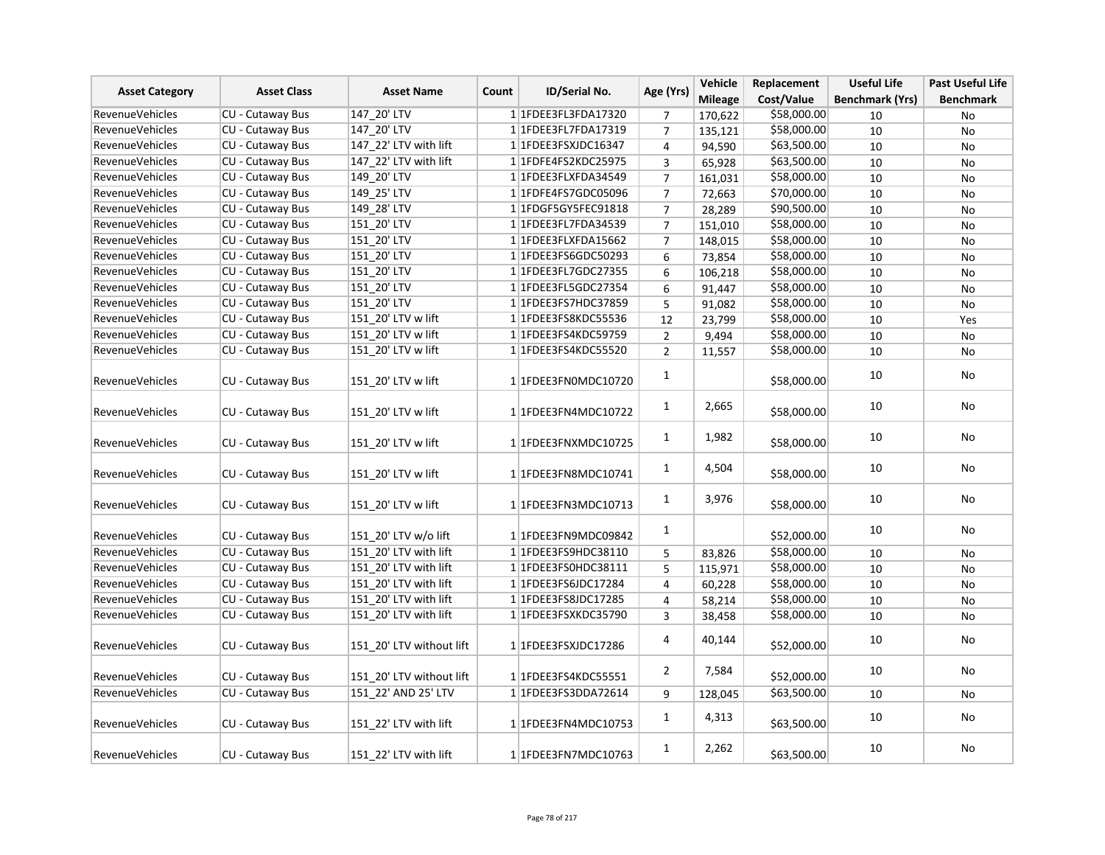|                        | <b>Asset Class</b>      | <b>Asset Name</b>        |       | ID/Serial No.             | Age (Yrs)      | Vehicle        | Replacement | <b>Useful Life</b>     | Past Useful Life |
|------------------------|-------------------------|--------------------------|-------|---------------------------|----------------|----------------|-------------|------------------------|------------------|
| <b>Asset Category</b>  |                         |                          | Count |                           |                | <b>Mileage</b> | Cost/Value  | <b>Benchmark (Yrs)</b> | <b>Benchmark</b> |
| <b>RevenueVehicles</b> | CU - Cutaway Bus        | 147 20' LTV              |       | 1 1FDEE3FL3FDA17320       | 7              | 170,622        | \$58,000.00 | 10                     | No               |
| <b>RevenueVehicles</b> | CU - Cutaway Bus        | 147 20' LTV              |       | 1 1FDEE3FL7FDA17319       | $\overline{7}$ | 135,121        | \$58,000.00 | 10                     | No               |
| RevenueVehicles        | CU - Cutaway Bus        | 147 22' LTV with lift    |       | 1 1FDEE3FSXJDC16347       | $\pmb{4}$      | 94,590         | \$63,500.00 | 10                     | No               |
| <b>RevenueVehicles</b> | <b>CU - Cutaway Bus</b> | 147 22' LTV with lift    |       | 1 1FDFE4FS2KDC25975       | 3              | 65,928         | \$63,500.00 | 10                     | No               |
| RevenueVehicles        | <b>CU - Cutaway Bus</b> | 149 20' LTV              |       | 1 1FDEE3FLXFDA34549       | $\overline{7}$ | 161,031        | \$58,000.00 | 10                     | No               |
| <b>RevenueVehicles</b> | CU - Cutaway Bus        | 149_25' LTV              |       | 1 1FDFE4FS7GDC05096       | $\overline{7}$ | 72,663         | \$70,000.00 | 10                     | No               |
| <b>RevenueVehicles</b> | <b>CU - Cutaway Bus</b> | 149 28' LTV              |       | 1 1 FDGF5 GY5 FEC 9 18 18 | $\overline{7}$ | 28,289         | \$90,500.00 | 10                     | No               |
| <b>RevenueVehicles</b> | <b>CU - Cutaway Bus</b> | 151 20' LTV              |       | 1 1FDEE3FL7FDA34539       | $\overline{7}$ | 151,010        | \$58,000.00 | 10                     | No               |
| RevenueVehicles        | CU - Cutaway Bus        | 151_20' LTV              |       | 1 1FDEE3FLXFDA15662       | $\overline{7}$ | 148,015        | \$58,000.00 | 10                     | No               |
| <b>RevenueVehicles</b> | <b>CU - Cutaway Bus</b> | 151 20' LTV              |       | 1 1 FDEE3 FS6GDC50293     | 6              | 73,854         | \$58,000.00 | 10                     | No               |
| <b>RevenueVehicles</b> | CU - Cutaway Bus        | 151 20' LTV              |       | 1 1FDEE3FL7GDC27355       | 6              | 106,218        | \$58,000.00 | 10                     | No               |
| RevenueVehicles        | CU - Cutaway Bus        | 151_20' LTV              |       | 1 1 FDEE3 FL5 GDC 27354   | 6              | 91,447         | \$58,000.00 | 10                     | No               |
| <b>RevenueVehicles</b> | CU - Cutaway Bus        | 151 20' LTV              |       | 1 1 FDEE3FS7HDC37859      | 5              | 91,082         | \$58,000.00 | 10                     | No               |
| <b>RevenueVehicles</b> | CU - Cutaway Bus        | 151 20' LTV w lift       |       | 1 1FDEE3FS8KDC55536       | 12             | 23,799         | \$58,000.00 | 10                     | Yes              |
| <b>RevenueVehicles</b> | CU - Cutaway Bus        | 151 20' LTV w lift       |       | 1 1FDEE3FS4KDC59759       | $\overline{2}$ | 9,494          | \$58,000.00 | 10                     | No               |
| <b>RevenueVehicles</b> | CU - Cutaway Bus        | 151 20' LTV w lift       |       | 1 1FDEE3FS4KDC55520       | $\overline{2}$ | 11,557         | \$58,000.00 | 10                     | No               |
| <b>RevenueVehicles</b> | CU - Cutaway Bus        | 151 20' LTV w lift       |       | 1 1FDEE3FN0MDC10720       | 1              |                | \$58,000.00 | 10                     | No               |
| <b>RevenueVehicles</b> | CU - Cutaway Bus        | 151 20' LTV w lift       |       | 1 1FDEE3FN4MDC10722       | $\mathbf{1}$   | 2,665          | \$58,000.00 | 10                     | No               |
| <b>RevenueVehicles</b> | CU - Cutaway Bus        | 151 20' LTV w lift       |       | 1 1FDEE3FNXMDC10725       | $\mathbf{1}$   | 1,982          | \$58,000.00 | 10                     | No               |
| <b>RevenueVehicles</b> | CU - Cutaway Bus        | 151 20' LTV w lift       |       | 1 1FDEE3FN8MDC10741       | $\mathbf{1}$   | 4,504          | \$58,000.00 | 10                     | No               |
| <b>RevenueVehicles</b> | CU - Cutaway Bus        | 151 20' LTV w lift       |       | 1 1FDEE3FN3MDC10713       | $\mathbf{1}$   | 3,976          | \$58,000.00 | 10                     | No               |
| <b>RevenueVehicles</b> | CU - Cutaway Bus        | 151 20' LTV w/o lift     |       | 1 1FDEE3FN9MDC09842       | $\mathbf{1}$   |                | \$52,000.00 | 10                     | No               |
| <b>RevenueVehicles</b> | CU - Cutaway Bus        | 151 20' LTV with lift    |       | 1 1 FDEE3FS9HDC38110      | 5              | 83,826         | \$58,000.00 | $10\,$                 | No               |
| <b>RevenueVehicles</b> | <b>CU - Cutaway Bus</b> | 151 20' LTV with lift    |       | 1 1FDEE3FS0HDC38111       | 5              | 115,971        | \$58,000.00 | 10                     | No               |
| <b>RevenueVehicles</b> | CU - Cutaway Bus        | 151 20' LTV with lift    |       | 1 1FDEE3FS6JDC17284       | $\overline{4}$ | 60,228         | \$58,000.00 | 10                     | No               |
| <b>RevenueVehicles</b> | <b>CU - Cutaway Bus</b> | 151_20' LTV with lift    |       | 1 1FDEE3FS8JDC17285       | 4              | 58,214         | \$58,000.00 | 10                     | No               |
| <b>RevenueVehicles</b> | CU - Cutaway Bus        | 151 20' LTV with lift    |       | 1 1FDEE3FSXKDC35790       | 3              | 38,458         | \$58,000.00 | 10                     | <b>No</b>        |
| <b>RevenueVehicles</b> | <b>CU - Cutaway Bus</b> | 151 20' LTV without lift |       | 1 1FDEE3FSXJDC17286       | 4              | 40,144         | \$52,000.00 | 10                     | No               |
| <b>RevenueVehicles</b> | CU - Cutaway Bus        | 151_20' LTV without lift |       | 1 1FDEE3FS4KDC55551       | $\overline{2}$ | 7,584          | \$52,000.00 | 10                     | No               |
| <b>RevenueVehicles</b> | CU - Cutaway Bus        | 151 22' AND 25' LTV      |       | 1 1FDEE3FS3DDA72614       | 9              | 128,045        | \$63,500.00 | 10                     | <b>No</b>        |
| <b>RevenueVehicles</b> | CU - Cutaway Bus        | 151 22' LTV with lift    |       | 1 1FDEE3FN4MDC10753       | $\mathbf{1}$   | 4,313          | \$63,500.00 | 10                     | No               |
| <b>RevenueVehicles</b> | CU - Cutaway Bus        | 151 22' LTV with lift    |       | 1 1FDEE3FN7MDC10763       | $\mathbf{1}$   | 2,262          | \$63,500.00 | 10                     | No               |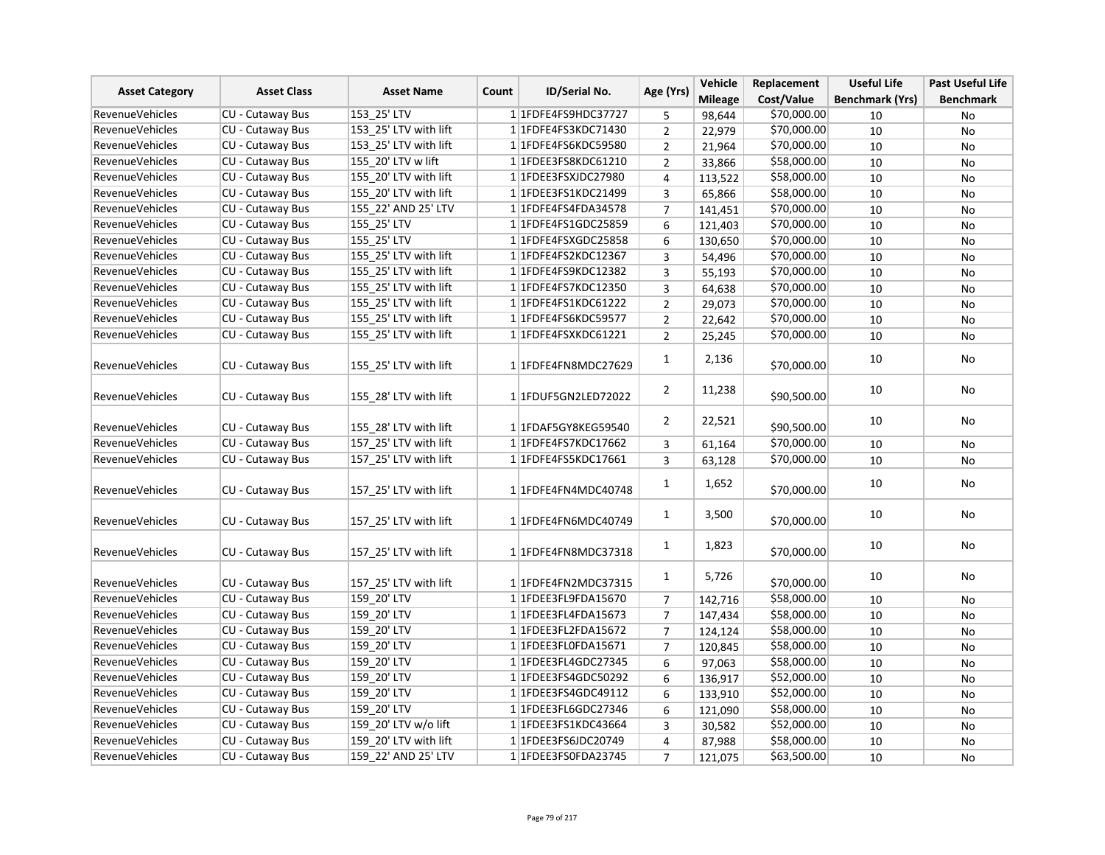| <b>Asset Category</b>                            | <b>Asset Class</b>      | <b>Asset Name</b>     | <b>ID/Serial No.</b><br>Count | Age (Yrs)      | Vehicle        | Replacement                | <b>Useful Life</b>     | <b>Past Useful Life</b> |
|--------------------------------------------------|-------------------------|-----------------------|-------------------------------|----------------|----------------|----------------------------|------------------------|-------------------------|
|                                                  |                         |                       |                               |                | <b>Mileage</b> | Cost/Value                 | <b>Benchmark (Yrs)</b> | <b>Benchmark</b>        |
| <b>RevenueVehicles</b>                           | <b>CU - Cutaway Bus</b> | 153 25' LTV           | 1 1FDFE4FS9HDC37727           | 5              | 98,644         | \$70,000.00                | 10                     | No                      |
| <b>RevenueVehicles</b>                           | CU - Cutaway Bus        | 153 25' LTV with lift | 1 1 FDFE4FS3KDC71430          | $\overline{2}$ | 22,979         | \$70,000.00                | 10                     | No                      |
| RevenueVehicles                                  | CU - Cutaway Bus        | 153 25' LTV with lift | 1 1FDFE4FS6KDC59580           | $\overline{2}$ | 21,964         | \$70,000.00                | 10                     | No                      |
| <b>RevenueVehicles</b>                           | CU - Cutaway Bus        | 155 20' LTV w lift    | 1 1FDEE3FS8KDC61210           | $\overline{2}$ | 33,866         | \$58,000.00                | 10                     | No                      |
| RevenueVehicles                                  | <b>CU - Cutaway Bus</b> | 155 20' LTV with lift | 1 1FDEE3FSXJDC27980           | 4              | 113,522        | \$58,000.00                | 10                     | No                      |
| <b>RevenueVehicles</b>                           | CU - Cutaway Bus        | 155 20' LTV with lift | 1 1FDEE3FS1KDC21499           | 3              | 65,866         | \$58,000.00                | 10                     | No                      |
| <b>RevenueVehicles</b>                           | CU - Cutaway Bus        | 155 22' AND 25' LTV   | 1 1 FDFE4FS4FDA34578          | $\overline{7}$ | 141,451        | \$70,000.00                | 10                     | No                      |
| <b>RevenueVehicles</b>                           | CU - Cutaway Bus        | 155 25' LTV           | 1 1 FDFE4FS1GDC25859          | 6              | 121,403        | \$70,000.00                | 10                     | No                      |
| RevenueVehicles                                  | <b>CU - Cutaway Bus</b> | 155 25' LTV           | 1 1FDFE4FSXGDC25858           | 6              | 130,650        | \$70,000.00                | $10\,$                 | No                      |
| <b>RevenueVehicles</b>                           | CU - Cutaway Bus        | 155 25' LTV with lift | 1 1FDFE4FS2KDC12367           | $\overline{3}$ | 54,496         | \$70,000.00                | 10                     | No                      |
| <b>RevenueVehicles</b>                           | CU - Cutaway Bus        | 155 25' LTV with lift | 1 1FDFE4FS9KDC12382           | 3              | 55,193         | \$70,000.00                | 10                     | No                      |
| <b>RevenueVehicles</b>                           | <b>CU - Cutaway Bus</b> | 155 25' LTV with lift | 1 1FDFE4FS7KDC12350           | 3              | 64,638         | \$70,000.00                | 10                     | No                      |
| <b>RevenueVehicles</b>                           | CU - Cutaway Bus        | 155 25' LTV with lift | 1 1FDFE4FS1KDC61222           | $\overline{2}$ | 29,073         | \$70,000.00                | 10                     | No                      |
| <b>RevenueVehicles</b>                           | CU - Cutaway Bus        | 155 25' LTV with lift | 1 1FDFE4FS6KDC59577           | $\overline{2}$ | 22,642         | \$70,000.00                | 10                     | No                      |
| RevenueVehicles                                  | CU - Cutaway Bus        | 155 25' LTV with lift | 1 1FDFE4FSXKDC61221           | $\overline{2}$ | 25,245         | \$70,000.00                | 10                     | No                      |
|                                                  |                         |                       |                               | $\mathbf{1}$   | 2,136          | \$70,000.00                | 10                     | No                      |
| <b>RevenueVehicles</b>                           | CU - Cutaway Bus        | 155 25' LTV with lift | 1 1FDFE4FN8MDC27629           |                |                |                            |                        |                         |
| <b>RevenueVehicles</b>                           | <b>CU - Cutaway Bus</b> | 155 28' LTV with lift | 1 1FDUF5GN2LED72022           | $\overline{2}$ | 11,238         | \$90,500.00                | 10                     | No                      |
| RevenueVehicles                                  | CU - Cutaway Bus        | 155 28' LTV with lift | 1 1FDAF5GY8KEG59540           | $\overline{2}$ | 22,521         | \$90,500.00                | 10                     | No                      |
|                                                  | CU - Cutaway Bus        | 157 25' LTV with lift | 1 1FDFE4FS7KDC17662           |                |                |                            |                        |                         |
| <b>RevenueVehicles</b><br><b>RevenueVehicles</b> | <b>CU - Cutaway Bus</b> | 157 25' LTV with lift | 1 1FDFE4FS5KDC17661           | 3              | 61,164         | \$70,000.00<br>\$70,000.00 | 10                     | No                      |
|                                                  |                         |                       |                               | $\overline{3}$ | 63,128         |                            | 10                     | <b>No</b>               |
| <b>RevenueVehicles</b>                           | CU - Cutaway Bus        | 157 25' LTV with lift | 1 1FDFE4FN4MDC40748           | $\mathbf{1}$   | 1,652          | \$70,000.00                | 10                     | No                      |
| <b>RevenueVehicles</b>                           | CU - Cutaway Bus        | 157 25' LTV with lift | 1 1FDFE4FN6MDC40749           | $\mathbf{1}$   | 3,500          | \$70,000.00                | 10                     | No                      |
| <b>RevenueVehicles</b>                           | <b>CU - Cutaway Bus</b> | 157 25' LTV with lift | 1 1 FDFE4 FN8 MDC37318        | $\mathbf{1}$   | 1,823          | \$70,000.00                | 10                     | No                      |
| <b>RevenueVehicles</b>                           | CU - Cutaway Bus        | 157 25' LTV with lift | 1 1FDFE4FN2MDC37315           | $\mathbf{1}$   | 5,726          | \$70,000.00                | 10                     | No                      |
| <b>RevenueVehicles</b>                           | CU - Cutaway Bus        | 159_20' LTV           | 1 1FDEE3FL9FDA15670           | $\overline{7}$ | 142,716        | \$58,000.00                | 10                     | No                      |
| <b>RevenueVehicles</b>                           | <b>CU - Cutaway Bus</b> | 159 20' LTV           | 1 1FDEE3FL4FDA15673           | $\overline{7}$ | 147,434        | \$58,000.00                | 10                     | <b>No</b>               |
| <b>RevenueVehicles</b>                           | CU - Cutaway Bus        | 159 20' LTV           | 1 1FDEE3FL2FDA15672           | $\overline{7}$ | 124,124        | \$58,000.00                | 10                     | No                      |
| RevenueVehicles                                  | CU - Cutaway Bus        | 159 20' LTV           | 1 1FDEE3FL0FDA15671           | $\overline{7}$ | 120,845        | \$58,000.00                | 10                     | No                      |
| <b>RevenueVehicles</b>                           | CU - Cutaway Bus        | 159_20' LTV           | 1 1 FDEE3 FL4 GDC 27345       | 6              | 97,063         | \$58,000.00                | 10                     | No                      |
| <b>RevenueVehicles</b>                           | CU - Cutaway Bus        | 159 20' LTV           | 1 1 FDEE3FS4GDC50292          | 6              | 136,917        | \$52,000.00                | 10                     | No                      |
| <b>RevenueVehicles</b>                           | CU - Cutaway Bus        | 159_20' LTV           | 1 1FDEE3FS4GDC49112           | 6              | 133,910        | \$52,000.00                | 10                     | No                      |
| RevenueVehicles                                  | CU - Cutaway Bus        | 159 20' LTV           | 1 1 FDEE3 FL6GDC27346         | 6              | 121,090        | \$58,000.00                | 10                     | No                      |
| <b>RevenueVehicles</b>                           | CU - Cutaway Bus        | 159 20' LTV w/o lift  | 1 1 FDEE3 FS1 KDC43664        | 3              | 30,582         | \$52,000.00                | 10                     | No                      |
| <b>RevenueVehicles</b>                           | CU - Cutaway Bus        | 159 20' LTV with lift | 1 1 FDEE3FS6JDC20749          | 4              | 87,988         | \$58,000.00                | 10                     | <b>No</b>               |
| <b>RevenueVehicles</b>                           | CU - Cutaway Bus        | 159 22' AND 25' LTV   | 1 1FDEE3FS0FDA23745           | $\overline{7}$ | 121,075        | \$63,500.00                | 10                     | No                      |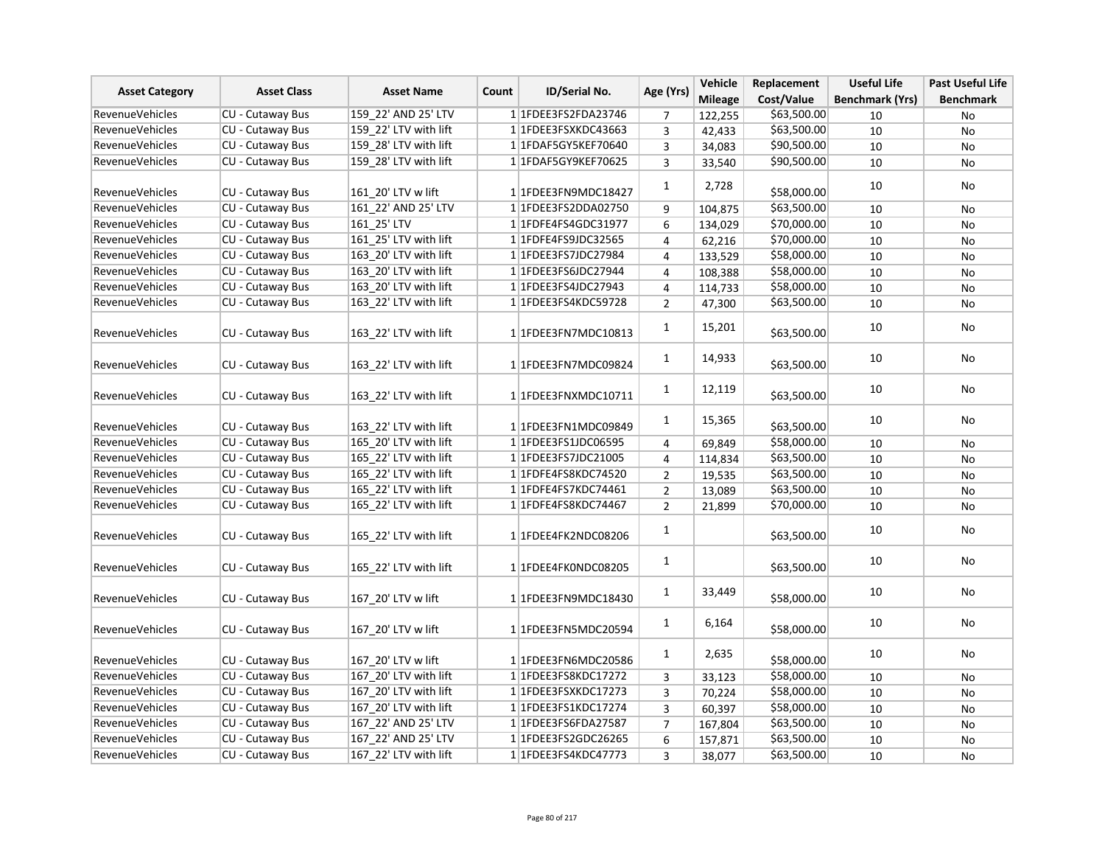| <b>Asset Category</b>  | <b>Asset Class</b>      | <b>Asset Name</b>     | Count | ID/Serial No.          | Age (Yrs)      | Vehicle        | Replacement | <b>Useful Life</b>     | Past Useful Life |
|------------------------|-------------------------|-----------------------|-------|------------------------|----------------|----------------|-------------|------------------------|------------------|
|                        |                         |                       |       |                        |                | <b>Mileage</b> | Cost/Value  | <b>Benchmark (Yrs)</b> | <b>Benchmark</b> |
| <b>RevenueVehicles</b> | CU - Cutaway Bus        | 159 22' AND 25' LTV   |       | 1 1FDEE3FS2FDA23746    | 7              | 122,255        | \$63,500.00 | 10                     | No               |
| <b>RevenueVehicles</b> | <b>CU - Cutaway Bus</b> | 159 22' LTV with lift |       | 1 1FDEE3FSXKDC43663    | 3              | 42,433         | \$63,500.00 | 10                     | No               |
| <b>RevenueVehicles</b> | <b>CU - Cutaway Bus</b> | 159 28' LTV with lift |       | 1 1FDAF5GY5KEF70640    | 3              | 34,083         | \$90,500.00 | 10                     | No               |
| <b>RevenueVehicles</b> | CU - Cutaway Bus        | 159_28' LTV with lift |       | 1 1FDAF5GY9KEF70625    | 3              | 33,540         | \$90,500.00 | 10                     | No               |
|                        |                         |                       |       |                        | $\mathbf{1}$   | 2,728          |             | 10                     | No               |
| <b>RevenueVehicles</b> | CU - Cutaway Bus        | 161 20' LTV w lift    |       | 1 1FDEE3FN9MDC18427    |                |                | \$58,000.00 |                        |                  |
| <b>RevenueVehicles</b> | CU - Cutaway Bus        | 161 22' AND 25' LTV   |       | 1 1FDEE3FS2DDA02750    | 9              | 104,875        | \$63,500.00 | 10                     | No               |
| <b>RevenueVehicles</b> | <b>CU - Cutaway Bus</b> | 161 25' LTV           |       | 1 1 FDFE4FS4GDC31977   | 6              | 134,029        | \$70,000.00 | 10                     | <b>No</b>        |
| RevenueVehicles        | <b>CU - Cutaway Bus</b> | 161 25' LTV with lift |       | 1 1FDFE4FS9JDC32565    | 4              | 62,216         | \$70,000.00 | 10                     | No               |
| RevenueVehicles        | CU - Cutaway Bus        | 163 20' LTV with lift |       | 1 1FDEE3FS7JDC27984    | $\overline{4}$ | 133,529        | \$58,000.00 | 10                     | No               |
| <b>RevenueVehicles</b> | CU - Cutaway Bus        | 163 20' LTV with lift |       | 1 1FDEE3FS6JDC27944    | $\pmb{4}$      | 108,388        | \$58,000.00 | 10                     | No               |
| RevenueVehicles        | CU - Cutaway Bus        | 163 20' LTV with lift |       | 1 1FDEE3FS4JDC27943    | 4              | 114,733        | \$58,000.00 | 10                     | No               |
| <b>RevenueVehicles</b> | <b>CU - Cutaway Bus</b> | 163 22' LTV with lift |       | 1 1FDEE3FS4KDC59728    | $\overline{2}$ | 47,300         | \$63,500.00 | 10                     | <b>No</b>        |
| <b>RevenueVehicles</b> | CU - Cutaway Bus        | 163 22' LTV with lift |       | 1 1FDEE3FN7MDC10813    | $\mathbf{1}$   | 15,201         | \$63,500.00 | 10                     | No               |
| <b>RevenueVehicles</b> | CU - Cutaway Bus        | 163 22' LTV with lift |       | 1 1FDEE3FN7MDC09824    | $\mathbf{1}$   | 14,933         | \$63,500.00 | 10                     | No               |
| <b>RevenueVehicles</b> | CU - Cutaway Bus        | 163 22' LTV with lift |       | 1 1FDEE3FNXMDC10711    | $\mathbf{1}$   | 12,119         | \$63,500.00 | 10                     | No               |
| RevenueVehicles        | CU - Cutaway Bus        | 163 22' LTV with lift |       | 1 1FDEE3FN1MDC09849    | $\mathbf{1}$   | 15,365         | \$63,500.00 | 10                     | No               |
| RevenueVehicles        | <b>CU - Cutaway Bus</b> | 165 20' LTV with lift |       | 1 1FDEE3FS1JDC06595    | 4              | 69,849         | \$58,000.00 | 10                     | No               |
| RevenueVehicles        | <b>CU - Cutaway Bus</b> | 165 22' LTV with lift |       | 1 1FDEE3FS7JDC21005    | $\pmb{4}$      | 114,834        | \$63,500.00 | 10                     | No               |
| RevenueVehicles        | CU - Cutaway Bus        | 165_22' LTV with lift |       | 1 1 FDFE4FS8KDC74520   | $\overline{2}$ | 19,535         | \$63,500.00 | 10                     | No               |
| <b>RevenueVehicles</b> | <b>CU - Cutaway Bus</b> | 165 22' LTV with lift |       | 1 1FDFE4FS7KDC74461    | $\overline{2}$ | 13,089         | \$63,500.00 | 10                     | No               |
| <b>RevenueVehicles</b> | CU - Cutaway Bus        | 165_22' LTV with lift |       | 1 1FDFE4FS8KDC74467    | $\overline{2}$ | 21,899         | \$70,000.00 | 10                     | <b>No</b>        |
| <b>RevenueVehicles</b> | CU - Cutaway Bus        | 165 22' LTV with lift |       | 1 1FDEE4FK2NDC08206    | $\mathbf{1}$   |                | \$63,500.00 | 10                     | No               |
| <b>RevenueVehicles</b> | CU - Cutaway Bus        | 165 22' LTV with lift |       | 1 1FDEE4FK0NDC08205    | $\mathbf{1}$   |                | \$63,500.00 | 10                     | No               |
| <b>RevenueVehicles</b> | CU - Cutaway Bus        | 167 20' LTV w lift    |       | 1 1FDEE3FN9MDC18430    | $\mathbf{1}$   | 33,449         | \$58,000.00 | 10                     | No               |
| <b>RevenueVehicles</b> | CU - Cutaway Bus        | 167 20' LTV w lift    |       | 1 1FDEE3FN5MDC20594    | $\mathbf{1}$   | 6,164          | \$58,000.00 | 10                     | No               |
| <b>RevenueVehicles</b> | CU - Cutaway Bus        | 167_20' LTV w lift    |       | 11FDEE3FN6MDC20586     | $\mathbf{1}$   | 2,635          | \$58,000.00 | 10                     | No               |
| <b>RevenueVehicles</b> | <b>CU - Cutaway Bus</b> | 167 20' LTV with lift |       | 11FDEE3FS8KDC17272     | 3              | 33,123         | \$58,000.00 | 10                     | No               |
| RevenueVehicles        | <b>CU - Cutaway Bus</b> | 167 20' LTV with lift |       | 1 1FDEE3FSXKDC17273    | 3              | 70,224         | \$58,000.00 | 10                     | No               |
| RevenueVehicles        | CU - Cutaway Bus        | 167 20' LTV with lift |       | 1 1 FDEE3 FS1 KDC17274 | 3              | 60,397         | \$58,000.00 | 10                     | No               |
| RevenueVehicles        | <b>CU - Cutaway Bus</b> | 167_22' AND 25' LTV   |       | 1 1FDEE3FS6FDA27587    | $\overline{7}$ | 167,804        | \$63,500.00 | 10                     | No               |
| RevenueVehicles        | <b>CU - Cutaway Bus</b> | 167 22' AND 25' LTV   |       | 1 1 FDEE3FS2GDC26265   | 6              | 157,871        | \$63,500.00 | 10                     | No               |
| <b>RevenueVehicles</b> | CU - Cutaway Bus        | 167 22' LTV with lift |       | 1 1FDEE3FS4KDC47773    | 3              | 38,077         | \$63,500.00 | 10                     | No               |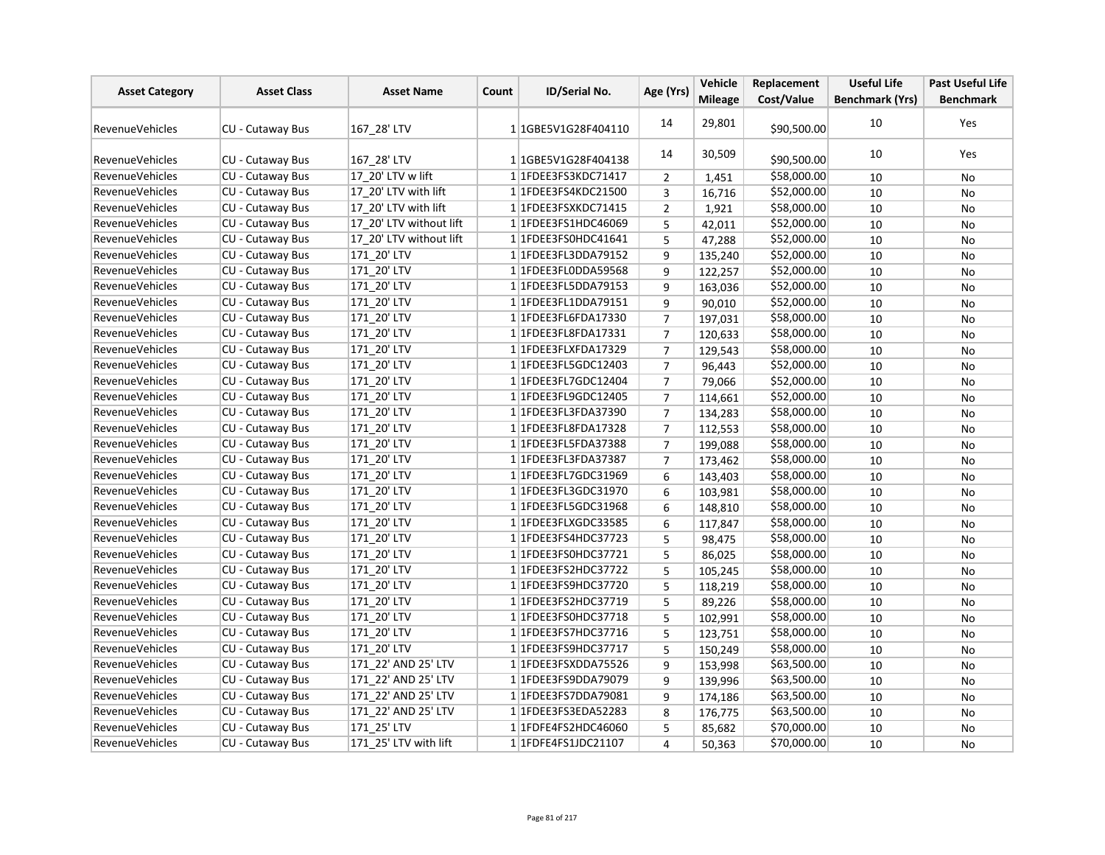| <b>Asset Category</b>  | <b>Asset Class</b>      | <b>Asset Name</b>       | Count | ID/Serial No.           | Age (Yrs)      | <b>Vehicle</b> | Replacement | <b>Useful Life</b>     | <b>Past Useful Life</b> |
|------------------------|-------------------------|-------------------------|-------|-------------------------|----------------|----------------|-------------|------------------------|-------------------------|
|                        |                         |                         |       |                         |                | <b>Mileage</b> | Cost/Value  | <b>Benchmark (Yrs)</b> | <b>Benchmark</b>        |
| <b>RevenueVehicles</b> | CU - Cutaway Bus        | 167 28' LTV             |       | 1 1GBE5V1G28F404110     | 14             | 29,801         | \$90,500.00 | 10                     | Yes                     |
| <b>RevenueVehicles</b> | CU - Cutaway Bus        | 167 28' LTV             |       | 1 1GBE5V1G28F404138     | 14             | 30,509         | \$90,500.00 | 10                     | Yes                     |
| RevenueVehicles        | CU - Cutaway Bus        | 17 20' LTV w lift       |       | 1 1FDEE3FS3KDC71417     | 2              | 1,451          | \$58,000.00 | 10                     | No                      |
| RevenueVehicles        | CU - Cutaway Bus        | 17 20' LTV with lift    |       | 1 1 FDEE3 FS4 KDC 21500 | 3              | 16,716         | \$52,000.00 | 10                     | No                      |
| RevenueVehicles        | CU - Cutaway Bus        | 17 20' LTV with lift    |       | 1 1FDEE3FSXKDC71415     | $\overline{2}$ | 1,921          | \$58,000.00 | 10                     | <b>No</b>               |
| <b>RevenueVehicles</b> | <b>CU - Cutaway Bus</b> | 17 20' LTV without lift |       | 1 1FDEE3FS1HDC46069     | 5              | 42,011         | \$52,000.00 | 10                     | <b>No</b>               |
| <b>RevenueVehicles</b> | CU - Cutaway Bus        | 17 20' LTV without lift |       | 1 1FDEE3FS0HDC41641     | 5              | 47,288         | \$52,000.00 | 10                     | No                      |
| <b>RevenueVehicles</b> | CU - Cutaway Bus        | 171 20' LTV             |       | 1 1FDEE3FL3DDA79152     | 9              | 135,240        | \$52,000.00 | 10                     | No                      |
| RevenueVehicles        | <b>CU - Cutaway Bus</b> | 171 20' LTV             |       | 1 1FDEE3FL0DDA59568     | 9              | 122,257        | \$52,000.00 | 10                     | <b>No</b>               |
| <b>RevenueVehicles</b> | CU - Cutaway Bus        | 171 20' LTV             |       | 1 1 FDEE3 FL5DDA 79153  | 9              | 163,036        | \$52,000.00 | 10                     | <b>No</b>               |
| <b>RevenueVehicles</b> | CU - Cutaway Bus        | 171_20' LTV             |       | 1 1FDEE3FL1DDA79151     | 9              | 90,010         | \$52,000.00 | 10                     | No                      |
| <b>RevenueVehicles</b> | CU - Cutaway Bus        | 171 20' LTV             |       | 1 1FDEE3FL6FDA17330     | $\overline{7}$ | 197,031        | \$58,000.00 | 10                     | No                      |
| RevenueVehicles        | <b>CU - Cutaway Bus</b> | 171 20' LTV             |       | 1 1 FDEE3 FL8 FDA 17331 | $\overline{7}$ | 120,633        | \$58,000.00 | 10                     | <b>No</b>               |
| <b>RevenueVehicles</b> | <b>CU - Cutaway Bus</b> | 171 20' LTV             |       | 1 1FDEE3FLXFDA17329     | $\overline{7}$ | 129,543        | \$58,000.00 | 10                     | <b>No</b>               |
| RevenueVehicles        | CU - Cutaway Bus        | 171 20' LTV             |       | 1 1 FDEE3 FL5 GDC 12403 | $\overline{7}$ | 96,443         | \$52,000.00 | 10                     | No                      |
| <b>RevenueVehicles</b> | CU - Cutaway Bus        | 171 20' LTV             |       | 1 1FDEE3FL7GDC12404     | $\overline{7}$ | 79,066         | \$52,000.00 | 10                     | No                      |
| <b>RevenueVehicles</b> | CU - Cutaway Bus        | 171_20' LTV             |       | 1 1FDEE3FL9GDC12405     | $\overline{7}$ | 114,661        | \$52,000.00 | 10                     | No                      |
| <b>RevenueVehicles</b> | <b>CU - Cutaway Bus</b> | 171 20' LTV             |       | 1 1FDEE3FL3FDA37390     | $\overline{7}$ | 134,283        | \$58,000.00 | 10                     | <b>No</b>               |
| <b>RevenueVehicles</b> | <b>CU - Cutaway Bus</b> | 171_20' LTV             |       | 1 1FDEE3FL8FDA17328     | $\overline{7}$ | 112,553        | \$58,000.00 | 10                     | No                      |
| <b>RevenueVehicles</b> | CU - Cutaway Bus        | 171 20' LTV             |       | 1 1FDEE3FL5FDA37388     | $\overline{7}$ | 199,088        | \$58,000.00 | 10                     | No                      |
| RevenueVehicles        | CU - Cutaway Bus        | 171 20' LTV             |       | 1 1 FDEE3FL3FDA37387    | $\overline{7}$ | 173,462        | \$58,000.00 | 10                     | No                      |
| <b>RevenueVehicles</b> | <b>CU - Cutaway Bus</b> | 171 20' LTV             |       | 1 1 FDEE3 FL7 GDC3 1969 | 6              | 143,403        | \$58,000.00 | 10                     | <b>No</b>               |
| <b>RevenueVehicles</b> | CU - Cutaway Bus        | 171 20' LTV             |       | 1 1 FDEE3 FL3 GDC3 1970 | 6              | 103,981        | \$58,000.00 | 10                     | No                      |
| <b>RevenueVehicles</b> | CU - Cutaway Bus        | 171 20' LTV             |       | 1 1 FDEE3 FL5 GDC3 1968 | 6              | 148,810        | \$58,000.00 | 10                     | No                      |
| <b>RevenueVehicles</b> | CU - Cutaway Bus        | 171_20' LTV             |       | 1 1FDEE3FLXGDC33585     | 6              | 117,847        | \$58,000.00 | 10                     | No                      |
| <b>RevenueVehicles</b> | <b>CU - Cutaway Bus</b> | 171 20' LTV             |       | 1 1 FDEE3FS4HDC37723    | 5              | 98,475         | \$58,000.00 | 10                     | No                      |
| <b>RevenueVehicles</b> | CU - Cutaway Bus        | 171_20' LTV             |       | 11FDEE3FS0HDC37721      | 5              | 86,025         | \$58,000.00 | 10                     | No                      |
| <b>RevenueVehicles</b> | CU - Cutaway Bus        | 171 20' LTV             |       | 11FDEE3FS2HDC37722      | 5              | 105,245        | \$58,000.00 | 10                     | <b>No</b>               |
| RevenueVehicles        | CU - Cutaway Bus        | 171 20' LTV             |       | 1 1FDEE3FS9HDC37720     | 5              | 118,219        | \$58,000.00 | 10                     | No                      |
| RevenueVehicles        | CU - Cutaway Bus        | 171_20' LTV             |       | 1 1FDEE3FS2HDC37719     | 5              | 89,226         | \$58,000.00 | 10                     | No                      |
| RevenueVehicles        | CU - Cutaway Bus        | 171 20' LTV             |       | 1 1FDEE3FS0HDC37718     | 5              | 102,991        | \$58,000.00 | 10                     | No                      |
| <b>RevenueVehicles</b> | CU - Cutaway Bus        | 171 20' LTV             |       | 1 1 FDEE3FS7 HDC37716   | 5              | 123,751        | \$58,000.00 | 10                     | <b>No</b>               |
| <b>RevenueVehicles</b> | CU - Cutaway Bus        | 171 20' LTV             |       | 11FDEE3FS9HDC37717      | 5              | 150,249        | \$58,000.00 | 10                     | No                      |
| <b>RevenueVehicles</b> | CU - Cutaway Bus        | 171 22' AND 25' LTV     |       | 1 1FDEE3FSXDDA75526     | 9              | 153,998        | \$63,500.00 | 10                     | No                      |
| RevenueVehicles        | CU - Cutaway Bus        | 171 22' AND 25' LTV     |       | 1 1 FDEE3FS9DDA79079    | 9              | 139,996        | \$63,500.00 | 10                     | No                      |
| <b>RevenueVehicles</b> | CU - Cutaway Bus        | 171 22' AND 25' LTV     |       | 1 1FDEE3FS7DDA79081     | 9              | 174,186        | \$63,500.00 | 10                     | <b>No</b>               |
| <b>RevenueVehicles</b> | CU - Cutaway Bus        | 171 22' AND 25' LTV     |       | 11FDEE3FS3EDA52283      | 8              | 176,775        | \$63,500.00 | 10                     | No                      |
| <b>RevenueVehicles</b> | CU - Cutaway Bus        | 171_25' LTV             |       | 1 1FDFE4FS2HDC46060     | 5              | 85,682         | \$70,000.00 | 10                     | No                      |
| <b>RevenueVehicles</b> | CU - Cutaway Bus        | 171 25' LTV with lift   |       | 1 1 FDFE4FS1JDC21107    | $\overline{4}$ | 50,363         | \$70,000.00 | 10                     | No                      |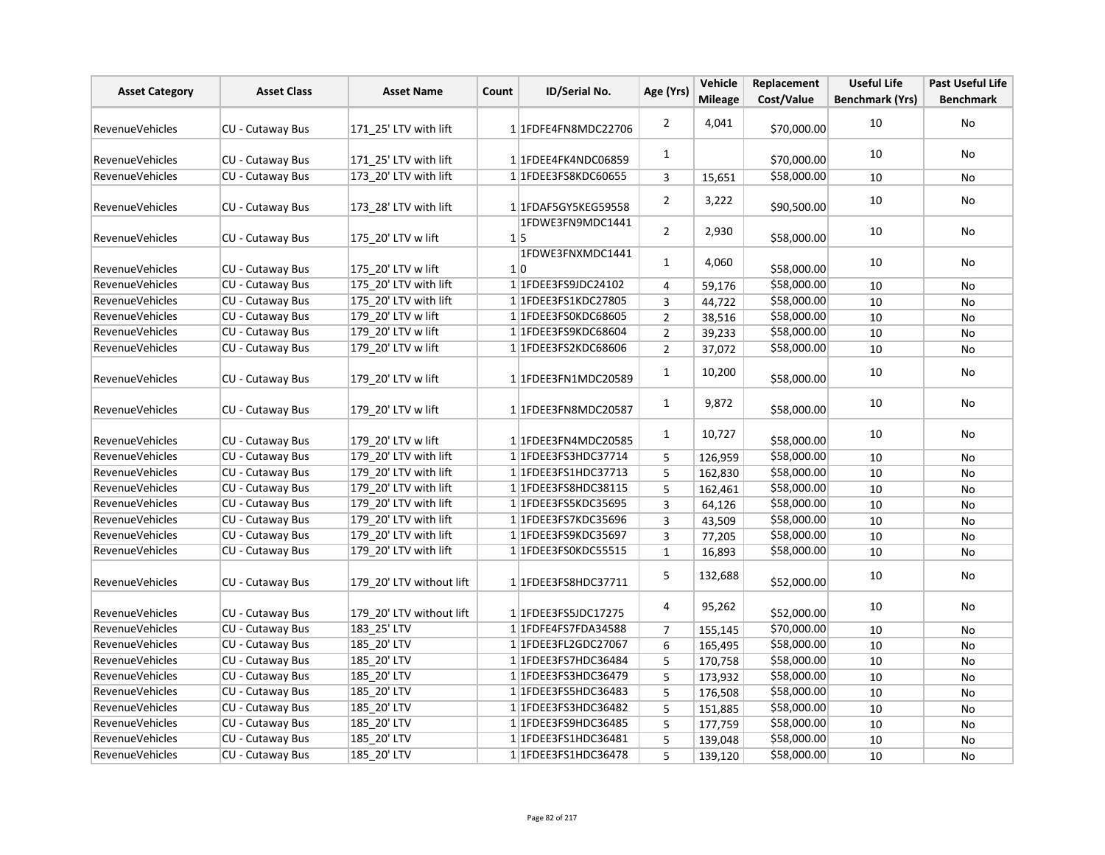| <b>Asset Category</b>  | <b>Asset Class</b>      | <b>Asset Name</b>        | Count | <b>ID/Serial No.</b>           | Age (Yrs)      | Vehicle<br><b>Mileage</b> | Replacement<br>Cost/Value | <b>Useful Life</b><br><b>Benchmark (Yrs)</b> | <b>Past Useful Life</b><br><b>Benchmark</b> |
|------------------------|-------------------------|--------------------------|-------|--------------------------------|----------------|---------------------------|---------------------------|----------------------------------------------|---------------------------------------------|
|                        |                         |                          |       |                                |                |                           |                           |                                              |                                             |
| <b>RevenueVehicles</b> | CU - Cutaway Bus        | 171 25' LTV with lift    |       | 11FDFE4FN8MDC22706             | $\overline{2}$ | 4,041                     | \$70,000.00               | 10                                           | No                                          |
| <b>RevenueVehicles</b> | <b>CU - Cutaway Bus</b> | 171 25' LTV with lift    |       | 1 1FDEE4FK4NDC06859            | $\mathbf{1}$   |                           | \$70,000.00               | 10                                           | No                                          |
| <b>RevenueVehicles</b> | CU - Cutaway Bus        | 173 20' LTV with lift    |       | 1 1FDEE3FS8KDC60655            | $\overline{3}$ | 15,651                    | \$58,000.00               | 10                                           | No                                          |
| <b>RevenueVehicles</b> | CU - Cutaway Bus        | 173 28' LTV with lift    |       | 1 1FDAF5GY5KEG59558            | 2              | 3,222                     | \$90,500.00               | 10                                           | No                                          |
| RevenueVehicles        | CU - Cutaway Bus        | 175 20' LTV w lift       |       | 1FDWE3FN9MDC1441<br>$1\vert 5$ | $\overline{2}$ | 2,930                     | \$58,000.00               | 10                                           | No                                          |
| <b>RevenueVehicles</b> | CU - Cutaway Bus        | 175 20' LTV w lift       |       | 1FDWE3FNXMDC1441<br>1 0        | $\mathbf{1}$   | 4,060                     | \$58,000.00               | 10                                           | No                                          |
| <b>RevenueVehicles</b> | CU - Cutaway Bus        | 175 20' LTV with lift    |       | 1 1FDEE3FS9JDC24102            | 4              | 59,176                    | \$58,000.00               | 10                                           | No                                          |
| <b>RevenueVehicles</b> | CU - Cutaway Bus        | 175_20' LTV with lift    |       | 1 1 FDEE3 FS1 KDC27805         | 3              | 44,722                    | \$58,000.00               | 10                                           | No                                          |
| <b>RevenueVehicles</b> | <b>CU - Cutaway Bus</b> | 179 20' LTV w lift       |       | 1 1 FDEE3FS0KDC68605           | $\overline{2}$ | 38,516                    | \$58,000.00               | 10                                           | No                                          |
| <b>RevenueVehicles</b> | CU - Cutaway Bus        | 179 20' LTV w lift       |       | 1 1FDEE3FS9KDC68604            | $\overline{2}$ | 39,233                    | \$58,000.00               | 10                                           | No                                          |
| <b>RevenueVehicles</b> | CU - Cutaway Bus        | 179_20' LTV w lift       |       | 1 1FDEE3FS2KDC68606            | $\overline{2}$ | 37,072                    | \$58,000.00               | 10                                           | No                                          |
| <b>RevenueVehicles</b> | CU - Cutaway Bus        | 179 20' LTV w lift       |       | 1 1FDEE3FN1MDC20589            | $\mathbf{1}$   | 10,200                    | \$58,000.00               | 10                                           | No                                          |
| <b>RevenueVehicles</b> | CU - Cutaway Bus        | 179 20' LTV w lift       |       | 1 1FDEE3FN8MDC20587            | $\mathbf{1}$   | 9,872                     | \$58,000.00               | 10                                           | No                                          |
| RevenueVehicles        | CU - Cutaway Bus        | 179 20' LTV w lift       |       | 1 1FDEE3FN4MDC20585            | $\mathbf{1}$   | 10,727                    | \$58,000.00               | 10                                           | No                                          |
| <b>RevenueVehicles</b> | <b>CU - Cutaway Bus</b> | 179 20' LTV with lift    |       | 1 1 FDEE3FS3HDC37714           | 5              | 126,959                   | \$58,000.00               | 10                                           | No                                          |
| <b>RevenueVehicles</b> | <b>CU - Cutaway Bus</b> | 179 20' LTV with lift    |       | 1 1FDEE3FS1HDC37713            | 5              | 162,830                   | \$58,000.00               | 10                                           | No                                          |
| <b>RevenueVehicles</b> | CU - Cutaway Bus        | 179 20' LTV with lift    |       | 1 1 FDEE3 FS8 HDC38115         | 5              | 162,461                   | \$58,000.00               | 10                                           | No                                          |
| <b>RevenueVehicles</b> | CU - Cutaway Bus        | 179_20' LTV with lift    |       | 11FDEE3FS5KDC35695             | 3              | 64,126                    | \$58,000.00               | 10                                           | <b>No</b>                                   |
| <b>RevenueVehicles</b> | CU - Cutaway Bus        | 179 20' LTV with lift    |       | 1 1FDEE3FS7KDC35696            | 3              | 43,509                    | \$58,000.00               | 10                                           | No                                          |
| RevenueVehicles        | CU - Cutaway Bus        | 179_20' LTV with lift    |       | 1 1FDEE3FS9KDC35697            | 3              | 77,205                    | \$58,000.00               | 10                                           | No                                          |
| RevenueVehicles        | CU - Cutaway Bus        | 179 20' LTV with lift    |       | 1 1FDEE3FS0KDC55515            | $\mathbf{1}$   | 16,893                    | \$58,000.00               | 10                                           | No                                          |
| <b>RevenueVehicles</b> | CU - Cutaway Bus        | 179 20' LTV without lift |       | 1 1FDEE3FS8HDC37711            | 5              | 132,688                   | \$52,000.00               | 10                                           | No                                          |
| RevenueVehicles        | CU - Cutaway Bus        | 179 20' LTV without lift |       | 1 1 FDEE3FS5JDC17275           | 4              | 95,262                    | \$52,000.00               | 10                                           | No                                          |
| <b>RevenueVehicles</b> | CU - Cutaway Bus        | 183 25' LTV              |       | 1 1FDFE4FS7FDA34588            | $\overline{7}$ | 155,145                   | \$70,000.00               | 10                                           | No                                          |
| <b>RevenueVehicles</b> | CU - Cutaway Bus        | 185_20' LTV              |       | 1 1FDEE3FL2GDC27067            | 6              | 165,495                   | \$58,000.00               | 10                                           | No                                          |
| <b>RevenueVehicles</b> | CU - Cutaway Bus        | 185 20' LTV              |       | 1 1 FDEE3FS7HDC36484           | 5              | 170,758                   | \$58,000.00               | 10                                           | No                                          |
| <b>RevenueVehicles</b> | CU - Cutaway Bus        | 185_20' LTV              |       | 1 1FDEE3FS3HDC36479            | 5              | 173,932                   | \$58,000.00               | 10                                           | No                                          |
| RevenueVehicles        | CU - Cutaway Bus        | 185_20' LTV              |       | 1 1FDEE3FS5HDC36483            | 5              | 176,508                   | \$58,000.00               | 10                                           | No                                          |
| <b>RevenueVehicles</b> | CU - Cutaway Bus        | 185_20' LTV              |       | 1 1FDEE3FS3HDC36482            | 5              | 151,885                   | \$58,000.00               | 10                                           | No                                          |
| <b>RevenueVehicles</b> | CU - Cutaway Bus        | 185 20' LTV              |       | 1 1FDEE3FS9HDC36485            | 5              | 177,759                   | \$58,000.00               | $10\,$                                       | No                                          |
| <b>RevenueVehicles</b> | CU - Cutaway Bus        | 185_20' LTV              |       | 1 1 FDEE3 FS1 HDC36481         | 5              | 139,048                   | \$58,000.00               | 10                                           | No                                          |
| <b>RevenueVehicles</b> | CU - Cutaway Bus        | 185_20' LTV              |       | 1 1FDEE3FS1HDC36478            | 5              | 139,120                   | \$58,000.00               | 10                                           | No                                          |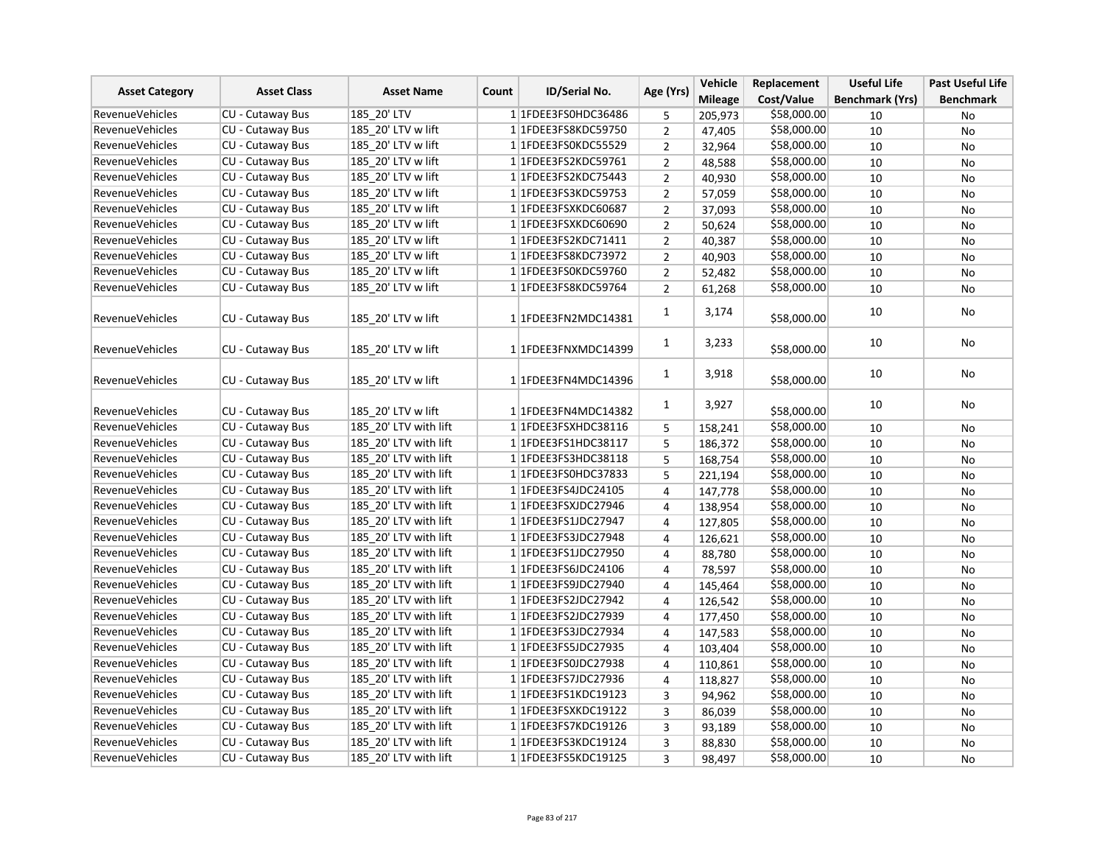| <b>Asset Category</b>  |                         | <b>Asset Name</b>     | <b>ID/Serial No.</b><br>Count | Age (Yrs)                   | Vehicle        | Replacement    | <b>Useful Life</b> | <b>Past Useful Life</b> |                  |
|------------------------|-------------------------|-----------------------|-------------------------------|-----------------------------|----------------|----------------|--------------------|-------------------------|------------------|
|                        | <b>Asset Class</b>      |                       |                               |                             |                | <b>Mileage</b> | Cost/Value         | <b>Benchmark (Yrs)</b>  | <b>Benchmark</b> |
| <b>RevenueVehicles</b> | <b>CU - Cutaway Bus</b> | 185 20' LTV           |                               | 1 1FDEE3FS0HDC36486         | 5              | 205,973        | \$58,000.00        | 10                      | No               |
| <b>RevenueVehicles</b> | CU - Cutaway Bus        | 185 20' LTV w lift    |                               | 1 1FDEE3FS8KDC59750         | $\overline{2}$ | 47,405         | \$58,000.00        | 10                      | No               |
| <b>RevenueVehicles</b> | CU - Cutaway Bus        | 185 20' LTV w lift    |                               | 1 1FDEE3FS0KDC55529         | $\overline{2}$ | 32,964         | \$58,000.00        | 10                      | <b>No</b>        |
| <b>RevenueVehicles</b> | CU - Cutaway Bus        | 185 20' LTV w lift    |                               | 1 1FDEE3FS2KDC59761         | $\overline{2}$ | 48,588         | \$58,000.00        | 10                      | No               |
| <b>RevenueVehicles</b> | <b>CU - Cutaway Bus</b> | 185 20' LTV w lift    |                               | 1 1FDEE3FS2KDC75443         | $\overline{2}$ | 40,930         | \$58,000.00        | 10                      | No               |
| <b>RevenueVehicles</b> | CU - Cutaway Bus        | 185 20' LTV w lift    |                               | 1 1 FDEE3FS3KDC59753        | $\overline{2}$ | 57,059         | \$58,000.00        | 10                      | <b>No</b>        |
| <b>RevenueVehicles</b> | CU - Cutaway Bus        | 185 20' LTV w lift    |                               | 1 1FDEE3FSXKDC60687         | $\overline{2}$ | 37,093         | \$58,000.00        | 10                      | No               |
| <b>RevenueVehicles</b> | CU - Cutaway Bus        | 185 20' LTV w lift    |                               | 1 1FDEE3FSXKDC60690         | $\overline{2}$ | 50,624         | \$58,000.00        | 10                      | No               |
| <b>RevenueVehicles</b> | CU - Cutaway Bus        | 185 20' LTV w lift    |                               | 1 1 FDEE3 FS2 KDC 7 1 4 1 1 | $\overline{2}$ | 40,387         | \$58,000.00        | 10                      | No               |
| <b>RevenueVehicles</b> | <b>CU - Cutaway Bus</b> | 185 20' LTV w lift    |                               | 11FDEE3FS8KDC73972          | $\overline{2}$ | 40,903         | \$58,000.00        | 10                      | No               |
| <b>RevenueVehicles</b> | CU - Cutaway Bus        | 185 20' LTV w lift    |                               | 1 1FDEE3FS0KDC59760         | $\overline{2}$ | 52,482         | \$58,000.00        | 10                      | No               |
| <b>RevenueVehicles</b> | CU - Cutaway Bus        | 185 20' LTV w lift    |                               | 1 1FDEE3FS8KDC59764         | $\overline{2}$ | 61,268         | \$58,000.00        | 10                      | <b>No</b>        |
| <b>RevenueVehicles</b> | CU - Cutaway Bus        | 185 20' LTV w lift    |                               | 1 1FDEE3FN2MDC14381         | 1              | 3,174          | \$58,000.00        | 10                      | No               |
| <b>RevenueVehicles</b> | CU - Cutaway Bus        | 185 20' LTV w lift    |                               | 1 1FDEE3FNXMDC14399         | $\mathbf{1}$   | 3,233          | \$58,000.00        | 10                      | No               |
| <b>RevenueVehicles</b> | <b>CU - Cutaway Bus</b> | 185 20' LTV w lift    |                               | 1 1FDEE3FN4MDC14396         | $\mathbf{1}$   | 3,918          | \$58,000.00        | 10                      | <b>No</b>        |
| <b>RevenueVehicles</b> | CU - Cutaway Bus        | 185 20' LTV w lift    |                               | 1 1FDEE3FN4MDC14382         | $\mathbf{1}$   | 3,927          | \$58,000.00        | 10                      | No               |
| <b>RevenueVehicles</b> | <b>CU - Cutaway Bus</b> | 185 20' LTV with lift |                               | 1 1FDEE3FSXHDC38116         | 5              | 158,241        | \$58,000.00        | 10                      | No               |
| <b>RevenueVehicles</b> | CU - Cutaway Bus        | 185 20' LTV with lift |                               | 1 1 FDEE3 FS1 HDC38117      | 5              | 186,372        | \$58,000.00        | 10                      | <b>No</b>        |
| <b>RevenueVehicles</b> | <b>CU - Cutaway Bus</b> | 185 20' LTV with lift |                               | 1 1 FDEE3FS3HDC38118        | 5              | 168,754        | \$58,000.00        | 10                      | No               |
| <b>RevenueVehicles</b> | CU - Cutaway Bus        | 185 20' LTV with lift |                               | 1 1FDEE3FS0HDC37833         | 5              | 221,194        | \$58,000.00        | 10                      | <b>No</b>        |
| <b>RevenueVehicles</b> | CU - Cutaway Bus        | 185 20' LTV with lift |                               | 1 1FDEE3FS4JDC24105         | 4              | 147,778        | \$58,000.00        | 10                      | No               |
| RevenueVehicles        | CU - Cutaway Bus        | 185 20' LTV with lift |                               | 1 1FDEE3FSXJDC27946         | $\overline{4}$ | 138,954        | \$58,000.00        | 10                      | <b>No</b>        |
| <b>RevenueVehicles</b> | CU - Cutaway Bus        | 185 20' LTV with lift |                               | 1 1FDEE3FS1JDC27947         | 4              | 127,805        | \$58,000.00        | 10                      | No               |
| <b>RevenueVehicles</b> | CU - Cutaway Bus        | 185 20' LTV with lift |                               | 1 1FDEE3FS3JDC27948         | 4              | 126,621        | \$58,000.00        | 10                      | No               |
| <b>RevenueVehicles</b> | CU - Cutaway Bus        | 185 20' LTV with lift |                               | 1 1FDEE3FS1JDC27950         | 4              | 88,780         | \$58,000.00        | 10                      | No               |
| <b>RevenueVehicles</b> | CU - Cutaway Bus        | 185 20' LTV with lift |                               | 1 1 FDEE3 FS6JDC 24106      | 4              | 78,597         | \$58,000.00        | 10                      | No               |
| RevenueVehicles        | CU - Cutaway Bus        | 185 20' LTV with lift |                               | 1 1 FDEE3FS9JDC27940        | 4              | 145,464        | \$58,000.00        | 10                      | No               |
| <b>RevenueVehicles</b> | CU - Cutaway Bus        | 185 20' LTV with lift |                               | 1 1FDEE3FS2JDC27942         | $\overline{4}$ | 126,542        | \$58,000.00        | 10                      | No               |
| <b>RevenueVehicles</b> | CU - Cutaway Bus        | 185 20' LTV with lift |                               | 1 1FDEE3FS2JDC27939         | $\overline{4}$ | 177,450        | \$58,000.00        | 10                      | No               |
| <b>RevenueVehicles</b> | CU - Cutaway Bus        | 185 20' LTV with lift |                               | 1 1FDEE3FS3JDC27934         | 4              | 147,583        | \$58,000.00        | 10                      | No               |
| <b>RevenueVehicles</b> | CU - Cutaway Bus        | 185 20' LTV with lift |                               | 1 1FDEE3FS5JDC27935         | 4              | 103,404        | \$58,000.00        | 10                      | No               |
| <b>RevenueVehicles</b> | CU - Cutaway Bus        | 185 20' LTV with lift |                               | 1 1 FDEE3FS0JDC27938        | 4              | 110,861        | \$58,000.00        | 10                      | <b>No</b>        |
| <b>RevenueVehicles</b> | CU - Cutaway Bus        | 185 20' LTV with lift |                               | 1 1 FDEE3FS7JDC27936        | 4              | 118,827        | \$58,000.00        | 10                      | No               |
| <b>RevenueVehicles</b> | CU - Cutaway Bus        | 185 20' LTV with lift |                               | 1 1 FDEE3 FS1 KDC19123      | 3              | 94,962         | \$58,000.00        | 10                      | No               |
| <b>RevenueVehicles</b> | CU - Cutaway Bus        | 185 20' LTV with lift |                               | 1 1FDEE3FSXKDC19122         | 3              | 86,039         | \$58,000.00        | 10                      | No               |
| <b>RevenueVehicles</b> | CU - Cutaway Bus        | 185 20' LTV with lift |                               | 1 1FDEE3FS7KDC19126         | 3              | 93,189         | \$58,000.00        | 10                      | No               |
| <b>RevenueVehicles</b> | CU - Cutaway Bus        | 185 20' LTV with lift |                               | 1 1 FDEE3 FS3 KDC 19124     | 3              | 88,830         | \$58,000.00        | 10                      | No               |
| <b>RevenueVehicles</b> | CU - Cutaway Bus        | 185 20' LTV with lift |                               | 1 1FDEE3FS5KDC19125         | 3              | 98,497         | \$58,000.00        | 10                      | <b>No</b>        |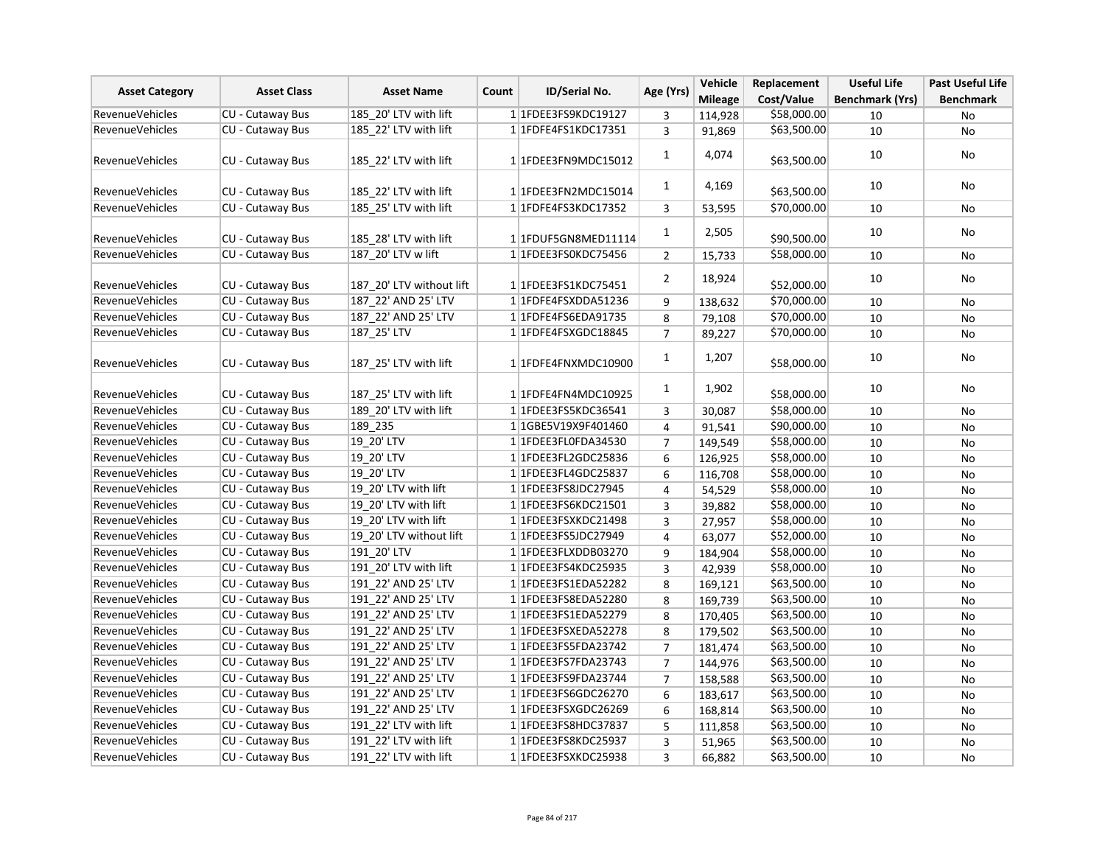| <b>Asset Category</b>  | <b>Asset Class</b>      | <b>Asset Name</b>        | Count | ID/Serial No.           | Age (Yrs)      | Vehicle        | Replacement | <b>Useful Life</b>     | <b>Past Useful Life</b> |
|------------------------|-------------------------|--------------------------|-------|-------------------------|----------------|----------------|-------------|------------------------|-------------------------|
|                        |                         |                          |       |                         |                | <b>Mileage</b> | Cost/Value  | <b>Benchmark (Yrs)</b> | <b>Benchmark</b>        |
| <b>RevenueVehicles</b> | CU - Cutaway Bus        | 185 20' LTV with lift    |       | 1 1FDEE3FS9KDC19127     | 3              | 114,928        | \$58,000.00 | 10                     | No                      |
| <b>RevenueVehicles</b> | <b>CU - Cutaway Bus</b> | 185 22' LTV with lift    |       | 1 1 FDFE4FS1KDC17351    | 3              | 91,869         | \$63,500.00 | 10                     | No                      |
| <b>RevenueVehicles</b> | CU - Cutaway Bus        | 185 22' LTV with lift    |       | 1 1FDEE3FN9MDC15012     | 1              | 4,074          | \$63,500.00 | 10                     | No                      |
| <b>RevenueVehicles</b> | <b>CU - Cutaway Bus</b> | 185 22' LTV with lift    |       | 1 1FDEE3FN2MDC15014     | 1              | 4,169          | \$63,500.00 | 10                     | <b>No</b>               |
| <b>RevenueVehicles</b> | CU - Cutaway Bus        | 185 25' LTV with lift    |       | 11FDFE4FS3KDC17352      | 3              | 53,595         | \$70,000.00 | 10                     | No                      |
| RevenueVehicles        | CU - Cutaway Bus        | 185 28' LTV with lift    |       | 1 1FDUF5GN8MED11114     | $\mathbf{1}$   | 2,505          | \$90,500.00 | 10                     | No                      |
| RevenueVehicles        | CU - Cutaway Bus        | 187 20' LTV w lift       |       | 11FDEE3FS0KDC75456      | $\overline{2}$ | 15,733         | \$58,000.00 | 10                     | No                      |
| <b>RevenueVehicles</b> | CU - Cutaway Bus        | 187 20' LTV without lift |       | 1 1FDEE3FS1KDC75451     | $\overline{2}$ | 18,924         | \$52,000.00 | 10                     | No                      |
| RevenueVehicles        | CU - Cutaway Bus        | 187 22' AND 25' LTV      |       | 1 1FDFE4FSXDDA51236     | 9              | 138,632        | \$70,000.00 | 10                     | No                      |
| <b>RevenueVehicles</b> | CU - Cutaway Bus        | 187 22' AND 25' LTV      |       | 1 1FDFE4FS6EDA91735     | 8              | 79,108         | \$70,000.00 | 10                     | No                      |
| RevenueVehicles        | <b>CU - Cutaway Bus</b> | 187_25' LTV              |       | 1 1FDFE4FSXGDC18845     | $\overline{7}$ | 89,227         | \$70,000.00 | 10                     | No                      |
| <b>RevenueVehicles</b> | CU - Cutaway Bus        | 187 25' LTV with lift    |       | 1 1FDFE4FNXMDC10900     | $\mathbf{1}$   | 1,207          | \$58,000.00 | 10                     | No                      |
| RevenueVehicles        | <b>CU - Cutaway Bus</b> | 187 25' LTV with lift    |       | 1 1FDFE4FN4MDC10925     | $\mathbf{1}$   | 1,902          | \$58,000.00 | 10                     | No                      |
| <b>RevenueVehicles</b> | CU - Cutaway Bus        | 189 20' LTV with lift    |       | 1 1FDEE3FS5KDC36541     | 3              | 30,087         | \$58,000.00 | 10                     | No                      |
| <b>RevenueVehicles</b> | CU - Cutaway Bus        | 189 235                  |       | 1 1GBE5V19X9F401460     | $\overline{4}$ | 91,541         | \$90,000.00 | 10                     | No                      |
| <b>RevenueVehicles</b> | CU - Cutaway Bus        | 19 20' LTV               |       | 1 1FDEE3FL0FDA34530     | $\overline{7}$ | 149,549        | \$58,000.00 | 10                     | No                      |
| <b>RevenueVehicles</b> | CU - Cutaway Bus        | 19 20' LTV               |       | 1 1 FDEE3 FL2 GDC 25836 | 6              | 126,925        | \$58,000.00 | 10                     | No                      |
| RevenueVehicles        | <b>CU - Cutaway Bus</b> | 19 20' LTV               |       | 1 1 FDEE3 FL4 GDC 25837 | 6              | 116,708        | \$58,000.00 | 10                     | No                      |
| <b>RevenueVehicles</b> | CU - Cutaway Bus        | 19 20' LTV with lift     |       | 1 1 FDEE3FS8JDC27945    | $\overline{4}$ | 54,529         | \$58,000.00 | 10                     | No                      |
| <b>RevenueVehicles</b> | <b>CU - Cutaway Bus</b> | 19 20' LTV with lift     |       | 1 1 FDEE3 FS6KDC21501   | 3              | 39,882         | \$58,000.00 | 10                     | No                      |
| <b>RevenueVehicles</b> | CU - Cutaway Bus        | 19 20' LTV with lift     |       | 1 1FDEE3FSXKDC21498     | 3              | 27,957         | \$58,000.00 | 10                     | No                      |
| RevenueVehicles        | <b>CU - Cutaway Bus</b> | 19 20' LTV without lift  |       | 1 1FDEE3FS5JDC27949     | $\overline{4}$ | 63,077         | \$52,000.00 | 10                     | No                      |
| RevenueVehicles        | <b>CU - Cutaway Bus</b> | 191_20'LTV               |       | 1 1FDEE3FLXDDB03270     | 9              | 184,904        | \$58,000.00 | 10                     | <b>No</b>               |
| <b>RevenueVehicles</b> | CU - Cutaway Bus        | 191 20' LTV with lift    |       | 11FDEE3FS4KDC25935      | $\overline{3}$ | 42,939         | \$58,000.00 | 10                     | No                      |
| RevenueVehicles        | CU - Cutaway Bus        | 191 22' AND 25' LTV      |       | 1 1FDEE3FS1EDA52282     | 8              | 169,121        | \$63,500.00 | 10                     | No                      |
| <b>RevenueVehicles</b> | CU - Cutaway Bus        | 191 22' AND 25' LTV      |       | 1 1FDEE3FS8EDA52280     | 8              | 169,739        | \$63,500.00 | 10                     | No                      |
| RevenueVehicles        | <b>CU - Cutaway Bus</b> | 191 22' AND 25' LTV      |       | 1 1 FDEE3 FS1 EDA 52279 | 8              | 170,405        | \$63,500.00 | 10                     | No                      |
| RevenueVehicles        | CU - Cutaway Bus        | 191 22' AND 25' LTV      |       | 1 1FDEE3FSXEDA52278     | 8              | 179,502        | \$63,500.00 | 10                     | No                      |
| RevenueVehicles        | CU - Cutaway Bus        | 191 22' AND 25' LTV      |       | 11FDEE3FS5FDA23742      | $\overline{7}$ | 181,474        | \$63,500.00 | 10                     | No                      |
| <b>RevenueVehicles</b> | <b>CU - Cutaway Bus</b> | 191 22' AND 25' LTV      |       | 1 1FDEE3FS7FDA23743     | $\overline{7}$ | 144,976        | \$63,500.00 | 10                     | No                      |
| <b>RevenueVehicles</b> | CU - Cutaway Bus        | 191 22' AND 25' LTV      |       | 1 1FDEE3FS9FDA23744     | $\overline{7}$ | 158,588        | \$63,500.00 | 10                     | No                      |
| <b>RevenueVehicles</b> | CU - Cutaway Bus        | 191 22' AND 25' LTV      |       | 1 1 FDEE3 FS6GDC26270   | 6              | 183,617        | \$63,500.00 | 10                     | No                      |
| RevenueVehicles        | CU - Cutaway Bus        | 191 22' AND 25' LTV      |       | 1 1FDEE3FSXGDC26269     | 6              | 168,814        | \$63,500.00 | 10                     | <b>No</b>               |
| <b>RevenueVehicles</b> | CU - Cutaway Bus        | 191 22' LTV with lift    |       | 1 1 FDEE3FS8HDC37837    | 5              | 111,858        | \$63,500.00 | 10                     | No                      |
| <b>RevenueVehicles</b> | CU - Cutaway Bus        | 191 22' LTV with lift    |       | 1 1 FDEE3FS8KDC25937    | $\overline{3}$ | 51,965         | \$63,500.00 | 10                     | No                      |
| <b>RevenueVehicles</b> | CU - Cutaway Bus        | 191 22' LTV with lift    |       | 1 1 FDEE3FSXKDC25938    | $\overline{3}$ | 66,882         | \$63,500.00 | 10                     | No                      |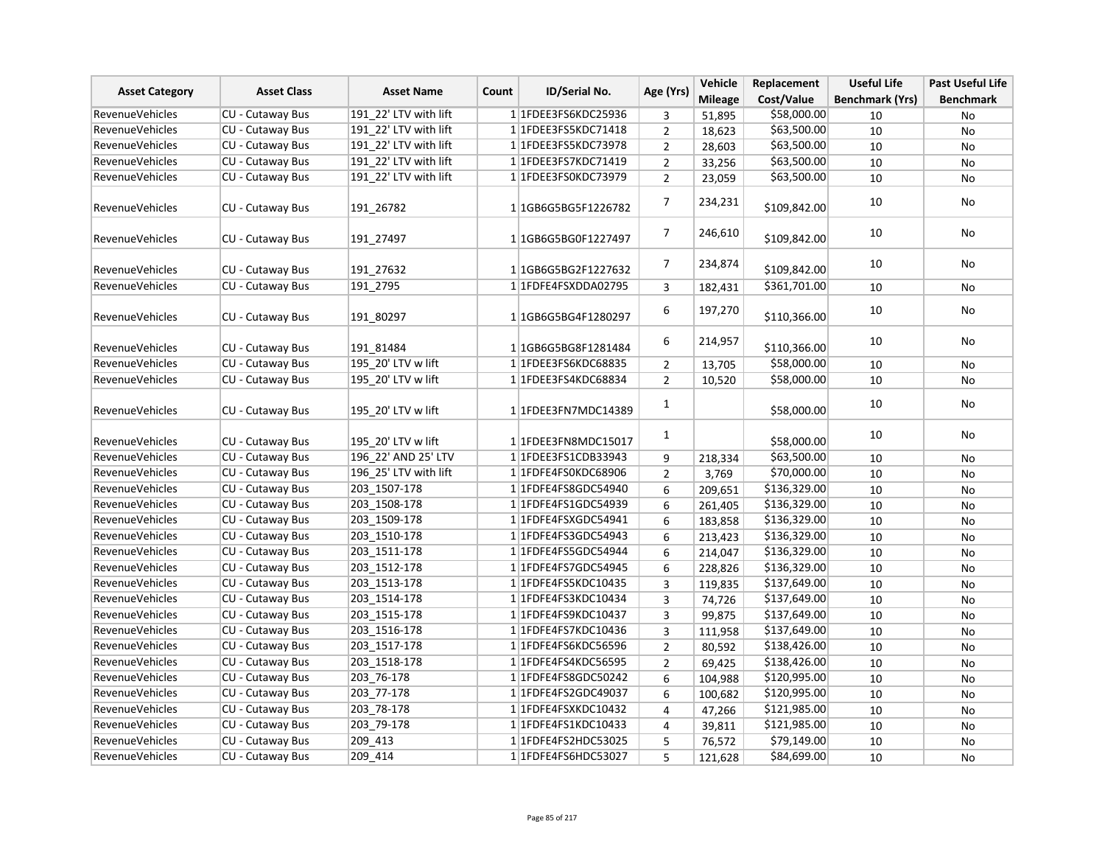| <b>Asset Category</b>  | <b>Asset Class</b>      | <b>Asset Name</b><br>Count | ID/Serial No.                     | Age (Yrs)               | Vehicle        | Replacement  | <b>Useful Life</b>     | <b>Past Useful Life</b> |
|------------------------|-------------------------|----------------------------|-----------------------------------|-------------------------|----------------|--------------|------------------------|-------------------------|
|                        |                         |                            |                                   |                         | <b>Mileage</b> | Cost/Value   | <b>Benchmark (Yrs)</b> | <b>Benchmark</b>        |
| <b>RevenueVehicles</b> | <b>CU - Cutaway Bus</b> | 191 22' LTV with lift      | 1 1FDEE3FS6KDC25936               | 3                       | 51,895         | \$58,000.00  | 10                     | No                      |
| RevenueVehicles        | CU - Cutaway Bus        | 191 22' LTV with lift      | 11FDEE3FS5KDC71418                | $\overline{2}$          | 18,623         | \$63,500.00  | 10                     | No                      |
| <b>RevenueVehicles</b> | <b>CU - Cutaway Bus</b> | 191 22' LTV with lift      | 1 1FDEE3FS5KDC73978               | $\overline{2}$          | 28,603         | \$63,500.00  | 10                     | No                      |
| <b>RevenueVehicles</b> | CU - Cutaway Bus        | 191_22' LTV with lift      | 1 1FDEE3FS7KDC71419               | $\mathbf 2$             | 33,256         | \$63,500.00  | 10                     | No                      |
| <b>RevenueVehicles</b> | CU - Cutaway Bus        | 191_22' LTV with lift      | 1 1FDEE3FS0KDC73979               | $\overline{2}$          | 23,059         | \$63,500.00  | 10                     | No                      |
| <b>RevenueVehicles</b> | CU - Cutaway Bus        | 191 26782                  | 11GB6G5BG5F1226782                | $\overline{7}$          | 234,231        | \$109,842.00 | 10                     | No                      |
| <b>RevenueVehicles</b> | <b>CU - Cutaway Bus</b> | 191 27497                  | 11GB6G5BG0F1227497                | $\overline{7}$          | 246,610        | \$109,842.00 | 10                     | <b>No</b>               |
| RevenueVehicles        | CU - Cutaway Bus        | 191 27632                  | 1 1 1 GB6 G5 BG 2 F 1 2 2 7 6 3 2 | 7                       | 234,874        | \$109,842.00 | 10                     | No                      |
| <b>RevenueVehicles</b> | CU - Cutaway Bus        | 191 2795                   | 11FDFE4FSXDDA02795                | 3                       | 182,431        | \$361,701.00 | 10                     | No                      |
| RevenueVehicles        | CU - Cutaway Bus        | 191 80297                  | 1 1GB6G5BG4F1280297               | 6                       | 197,270        | \$110,366.00 | 10                     | No                      |
| <b>RevenueVehicles</b> | CU - Cutaway Bus        | 191 81484                  | 1 1 1 GB6 G5 BG8 F 1 2 8 1 4 8 4  | 6                       | 214,957        | \$110,366.00 | 10                     | No                      |
| <b>RevenueVehicles</b> | <b>CU - Cutaway Bus</b> | 195 20' LTV w lift         | 1 1FDEE3FS6KDC68835               | $\overline{2}$          | 13,705         | \$58,000.00  | 10                     | No                      |
| <b>RevenueVehicles</b> | CU - Cutaway Bus        | 195_20' LTV w lift         | 1 1FDEE3FS4KDC68834               | $\overline{2}$          | 10,520         | \$58,000.00  | 10                     | No                      |
| <b>RevenueVehicles</b> | CU - Cutaway Bus        | 195 20' LTV w lift         | 1 1FDEE3FN7MDC14389               | $\mathbf{1}$            |                | \$58,000.00  | 10                     | <b>No</b>               |
| RevenueVehicles        | CU - Cutaway Bus        | 195 20' LTV w lift         | 1 1FDEE3FN8MDC15017               | $\mathbf{1}$            |                | \$58,000.00  | 10                     | No                      |
| <b>RevenueVehicles</b> | CU - Cutaway Bus        | 196 22' AND 25' LTV        | 1 1 FDEE3 FS1 CDB33943            | 9                       | 218,334        | \$63,500.00  | 10                     | <b>No</b>               |
| <b>RevenueVehicles</b> | <b>CU - Cutaway Bus</b> | 196 25' LTV with lift      | 1 1FDFE4FS0KDC68906               | $\overline{2}$          | 3,769          | \$70,000.00  | 10                     | No                      |
| <b>RevenueVehicles</b> | <b>CU - Cutaway Bus</b> | 203 1507-178               | 11FDFE4FS8GDC54940                | 6                       | 209,651        | \$136,329.00 | 10                     | No                      |
| RevenueVehicles        | <b>CU - Cutaway Bus</b> | 203_1508-178               | 1 1 FDFE4FS1GDC54939              | 6                       | 261,405        | \$136,329.00 | 10                     | No                      |
| <b>RevenueVehicles</b> | CU - Cutaway Bus        | 203 1509-178               | 1 1FDFE4FSXGDC54941               | 6                       | 183,858        | \$136,329.00 | 10                     | No                      |
| <b>RevenueVehicles</b> | CU - Cutaway Bus        | 203 1510-178               | 1 1 FDFE4FS3GDC54943              | 6                       | 213,423        | \$136,329.00 | 10                     | No                      |
| RevenueVehicles        | CU - Cutaway Bus        | 203 1511-178               | 1 1 FDFE4FS5 GDC54944             | 6                       | 214,047        | \$136,329.00 | 10                     | No                      |
| <b>RevenueVehicles</b> | CU - Cutaway Bus        | 203_1512-178               | 1 1 FDFE4FS7GDC54945              | 6                       | 228,826        | \$136,329.00 | 10                     | No                      |
| <b>RevenueVehicles</b> | CU - Cutaway Bus        | 203 1513-178               | 1 1FDFE4FS5KDC10435               | 3                       | 119,835        | \$137,649.00 | 10                     | No                      |
| <b>RevenueVehicles</b> | CU - Cutaway Bus        | 203 1514-178               | 1 1FDFE4FS3KDC10434               | $\overline{\mathbf{3}}$ | 74,726         | \$137,649.00 | 10                     | No                      |
| RevenueVehicles        | CU - Cutaway Bus        | 203_1515-178               | 1 1FDFE4FS9KDC10437               | 3                       | 99,875         | \$137,649.00 | 10                     | No                      |
| <b>RevenueVehicles</b> | CU - Cutaway Bus        | 203 1516-178               | 1 1FDFE4FS7KDC10436               | 3                       | 111,958        | \$137,649.00 | 10                     | No                      |
| RevenueVehicles        | CU - Cutaway Bus        | 203 1517-178               | 1 1FDFE4FS6KDC56596               | $\overline{2}$          | 80,592         | \$138,426.00 | 10                     | No                      |
| <b>RevenueVehicles</b> | <b>CU - Cutaway Bus</b> | 203 1518-178               | 1 1FDFE4FS4KDC56595               | $\overline{2}$          | 69,425         | \$138,426.00 | 10                     | No                      |
| <b>RevenueVehicles</b> | CU - Cutaway Bus        | 203_76-178                 | 11FDFE4FS8GDC50242                | 6                       | 104,988        | \$120,995.00 | 10                     | No                      |
| RevenueVehicles        | CU - Cutaway Bus        | 203_77-178                 | 1 1 FDFE4FS2GDC49037              | 6                       | 100,682        | \$120,995.00 | 10                     | No                      |
| <b>RevenueVehicles</b> | CU - Cutaway Bus        | 203 78-178                 | 1 1FDFE4FSXKDC10432               | $\pmb{4}$               | 47,266         | \$121,985.00 | 10                     | No                      |
| <b>RevenueVehicles</b> | CU - Cutaway Bus        | 203 79-178                 | 1 1 FDFE4FS1KDC10433              | 4                       | 39,811         | \$121,985.00 | 10                     | No                      |
| RevenueVehicles        | CU - Cutaway Bus        | 209 413                    | 1 1FDFE4FS2HDC53025               | 5                       | 76,572         | \$79,149.00  | 10                     | No                      |
| <b>RevenueVehicles</b> | CU - Cutaway Bus        | 209_414                    | 1 1 FDFE4FS6HDC53027              | 5                       | 121,628        | \$84,699.00  | 10                     | No                      |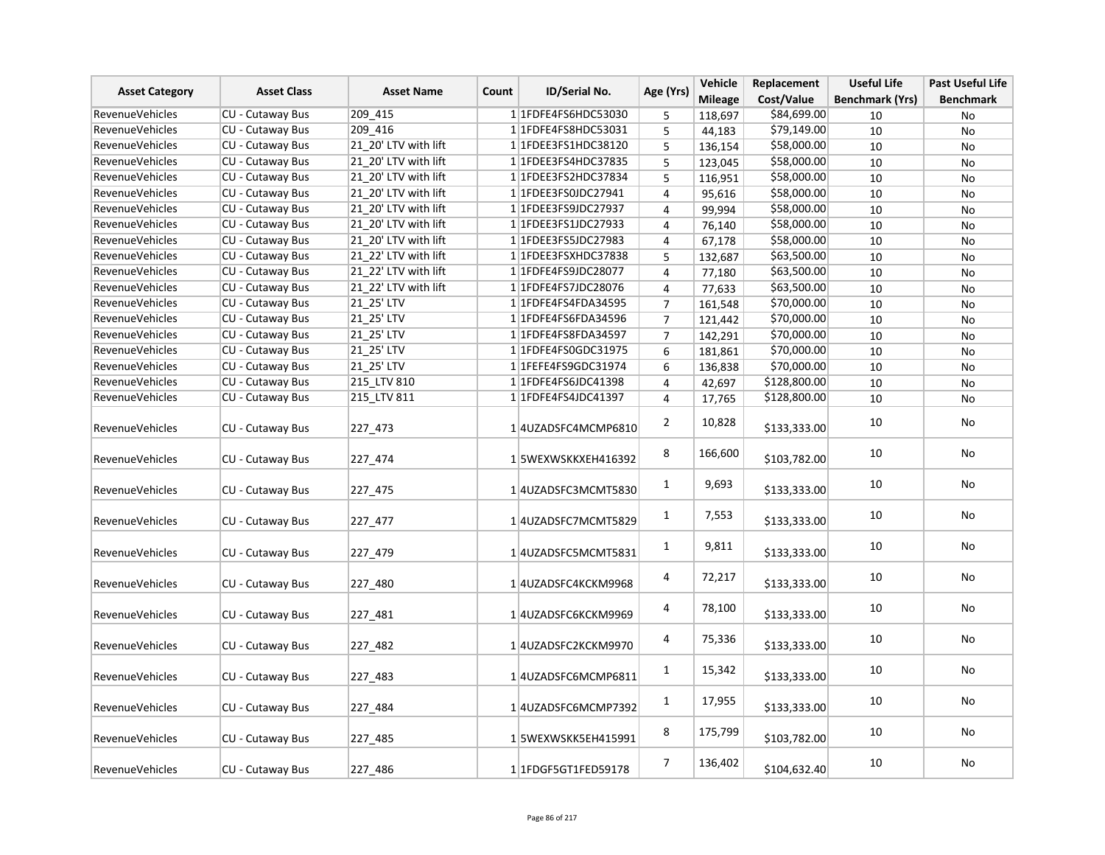|                        | <b>Asset Class</b>      | <b>Asset Name</b>    | Count | ID/Serial No.             | Age (Yrs)      | Vehicle        | Replacement  | <b>Useful Life</b>     | Past Useful Life |
|------------------------|-------------------------|----------------------|-------|---------------------------|----------------|----------------|--------------|------------------------|------------------|
| <b>Asset Category</b>  |                         |                      |       |                           |                | <b>Mileage</b> | Cost/Value   | <b>Benchmark (Yrs)</b> | <b>Benchmark</b> |
| <b>RevenueVehicles</b> | CU - Cutaway Bus        | 209_415              |       | 1 1 FDFE4FS6HDC53030      | 5              | 118,697        | \$84,699.00  | 10                     | No               |
| <b>RevenueVehicles</b> | CU - Cutaway Bus        | 209 416              |       | 1 1 FDFE4FS8HDC53031      | 5              | 44,183         | \$79,149.00  | 10                     | No               |
| <b>RevenueVehicles</b> | <b>CU - Cutaway Bus</b> | 21 20' LTV with lift |       | 1 1FDEE3FS1HDC38120       | 5              | 136,154        | \$58,000.00  | 10                     | No               |
| <b>RevenueVehicles</b> | <b>CU - Cutaway Bus</b> | 21 20' LTV with lift |       | 1 1 FDEE3 FS4 HDC3 7835   | 5              | 123,045        | \$58,000.00  | 10                     | No               |
| RevenueVehicles        | CU - Cutaway Bus        | 21 20' LTV with lift |       | 1 1FDEE3FS2HDC37834       | 5              | 116,951        | \$58,000.00  | 10                     | No               |
| RevenueVehicles        | <b>CU - Cutaway Bus</b> | 21 20' LTV with lift |       | 1 1 FDEE3FS0JDC27941      | $\overline{4}$ | 95,616         | \$58,000.00  | 10                     | No               |
| RevenueVehicles        | CU - Cutaway Bus        | 21 20' LTV with lift |       | 1 1FDEE3FS9JDC27937       | 4              | 99,994         | \$58,000.00  | 10                     | No               |
| RevenueVehicles        | CU - Cutaway Bus        | 21 20' LTV with lift |       | 1 1 FDEE3 FS1 JDC 27933   | $\overline{4}$ | 76,140         | \$58,000.00  | 10                     | No               |
| RevenueVehicles        | CU - Cutaway Bus        | 21 20' LTV with lift |       | 1 1 FDEE3FS5JDC27983      | 4              | 67,178         | \$58,000.00  | 10                     | No               |
| <b>RevenueVehicles</b> | CU - Cutaway Bus        | 21 22' LTV with lift |       | 1 1FDEE3FSXHDC37838       | 5              | 132,687        | \$63,500.00  | 10                     | No               |
| <b>RevenueVehicles</b> | CU - Cutaway Bus        | 21 22' LTV with lift |       | 1 1FDFE4FS9JDC28077       | $\overline{4}$ | 77,180         | \$63,500.00  | 10                     | No               |
| RevenueVehicles        | CU - Cutaway Bus        | 21 22' LTV with lift |       | 1 1 FDFE4FS7JDC28076      | $\overline{4}$ | 77,633         | \$63,500.00  | 10                     | <b>No</b>        |
| <b>RevenueVehicles</b> | CU - Cutaway Bus        | 21 25' LTV           |       | 1 1FDFE4FS4FDA34595       | $\overline{7}$ | 161,548        | \$70,000.00  | 10                     | No               |
| <b>RevenueVehicles</b> | CU - Cutaway Bus        | 21_25' LTV           |       | 1 1FDFE4FS6FDA34596       | $\overline{7}$ | 121,442        | \$70,000.00  | 10                     | No               |
| <b>RevenueVehicles</b> | CU - Cutaway Bus        | 21 25' LTV           |       | 1 1FDFE4FS8FDA34597       | $\overline{7}$ | 142,291        | \$70,000.00  | 10                     | <b>No</b>        |
| RevenueVehicles        | CU - Cutaway Bus        | 21 25' LTV           |       | 1 1 FDFE4FS0GDC31975      | 6              | 181,861        | \$70,000.00  | 10                     | No               |
| <b>RevenueVehicles</b> | CU - Cutaway Bus        | 21 25' LTV           |       | 1 1 FEFE 4 FS9 GDC 3 1974 | 6              | 136,838        | \$70,000.00  | 10                     | No               |
| <b>RevenueVehicles</b> | CU - Cutaway Bus        | 215 LTV 810          |       | 1 1 FDFE4FS6JDC41398      | $\overline{4}$ | 42,697         | \$128,800.00 | 10                     | No               |
| <b>RevenueVehicles</b> | CU - Cutaway Bus        | 215 LTV 811          |       | 1 1 FDFE4FS4JDC41397      | $\overline{4}$ | 17,765         | \$128,800.00 | 10                     | No               |
| <b>RevenueVehicles</b> | CU - Cutaway Bus        | 227 473              |       | 1 4 UZADSFC4MCMP6810      | $\overline{2}$ | 10,828         | \$133,333.00 | 10                     | No               |
|                        |                         |                      |       |                           |                |                |              |                        |                  |
| <b>RevenueVehicles</b> | <b>CU - Cutaway Bus</b> | 227_474              |       | 15WEXWSKKXEH416392        | 8              | 166,600        | \$103,782.00 | 10                     | <b>No</b>        |
| <b>RevenueVehicles</b> | CU - Cutaway Bus        | 227_475              |       | 1 4 UZADSFC3MCMT5830      | $\mathbf{1}$   | 9,693          | \$133,333.00 | 10                     | No               |
| <b>RevenueVehicles</b> | CU - Cutaway Bus        | 227_477              |       | 14UZADSFC7MCMT5829        | $\mathbf{1}$   | 7,553          | \$133,333.00 | 10                     | No               |
| <b>RevenueVehicles</b> | CU - Cutaway Bus        | 227 479              |       | 1 4 UZADSFC5MCMT5831      | $\mathbf{1}$   | 9,811          | \$133,333.00 | 10                     | No               |
| RevenueVehicles        | CU - Cutaway Bus        | 227 480              |       | 1 4 UZADSFC4KCKM9968      | 4              | 72,217         | \$133,333.00 | 10                     | No               |
| <b>RevenueVehicles</b> | CU - Cutaway Bus        | 227_481              |       | 1 4 UZADSFC6KCKM9969      | 4              | 78,100         | \$133,333.00 | 10                     | No               |
| <b>RevenueVehicles</b> | CU - Cutaway Bus        | 227 482              |       | 1 4 UZADSFC2KCKM9970      | 4              | 75,336         | \$133,333.00 | 10                     | <b>No</b>        |
| RevenueVehicles        | CU - Cutaway Bus        | 227 483              |       | 1 4 UZADSFC6MCMP6811      | $\mathbf{1}$   | 15,342         | \$133,333.00 | 10                     | No               |
| <b>RevenueVehicles</b> | CU - Cutaway Bus        | 227 484              |       | 14UZADSFC6MCMP7392        | $\mathbf{1}$   | 17,955         | \$133,333.00 | 10                     | No               |
| RevenueVehicles        | CU - Cutaway Bus        | 227 485              |       | 15WEXWSKK5EH415991        | 8              | 175,799        | \$103,782.00 | 10                     | No               |
| <b>RevenueVehicles</b> | <b>CU - Cutaway Bus</b> | 227 486              |       | 1 1 FDGF5GT1FED59178      | $\overline{7}$ | 136,402        | \$104,632.40 | 10                     | No               |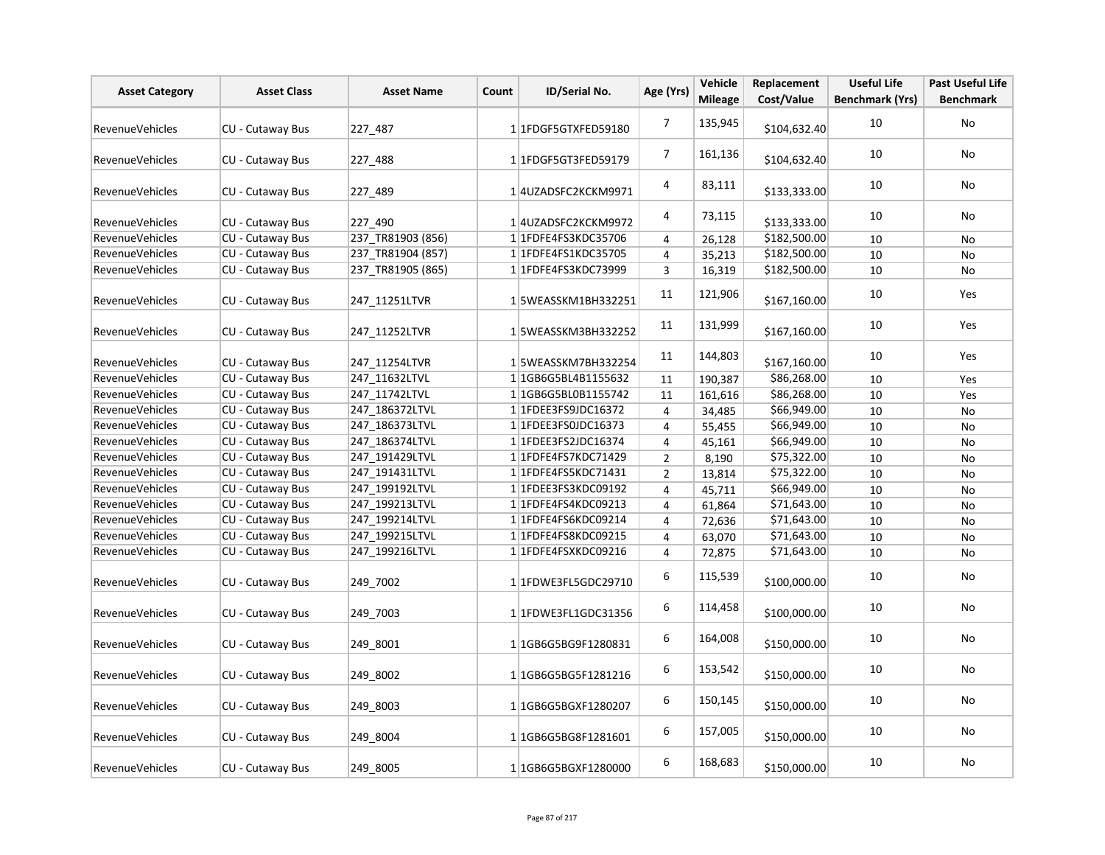| <b>Asset Category</b>  | <b>Asset Class</b>      | <b>Asset Name</b> | Count | ID/Serial No.                    | Age (Yrs)      | Vehicle<br><b>Mileage</b> | Replacement<br>Cost/Value | <b>Useful Life</b>     | <b>Past Useful Life</b> |
|------------------------|-------------------------|-------------------|-------|----------------------------------|----------------|---------------------------|---------------------------|------------------------|-------------------------|
|                        |                         |                   |       |                                  |                |                           |                           | <b>Benchmark (Yrs)</b> | <b>Benchmark</b>        |
| <b>RevenueVehicles</b> | <b>CU - Cutaway Bus</b> | 227 487           |       | 1 1FDGF5GTXFED59180              | $\overline{7}$ | 135,945                   | \$104,632.40              | 10                     | No                      |
| RevenueVehicles        | CU - Cutaway Bus        | 227_488           |       | 1 1 FDGF5GT3FED59179             | $\overline{7}$ | 161,136                   | \$104,632.40              | 10                     | <b>No</b>               |
| <b>RevenueVehicles</b> | CU - Cutaway Bus        | 227_489           |       | 1 4 UZADSFC2KCKM9971             | 4              | 83,111                    | \$133,333.00              | 10                     | No                      |
| RevenueVehicles        | CU - Cutaway Bus        | 227 490           |       | 1 4 UZADSFC2KCKM9972             | 4              | 73,115                    | \$133,333.00              | 10                     | No                      |
| <b>RevenueVehicles</b> | <b>CU - Cutaway Bus</b> | 237 TR81903 (856) |       | 11FDFE4FS3KDC35706               | 4              | 26,128                    | \$182,500.00              | 10                     | No                      |
| <b>RevenueVehicles</b> | <b>CU - Cutaway Bus</b> | 237_TR81904 (857) |       | 1 1FDFE4FS1KDC35705              | 4              | 35,213                    | \$182,500.00              | 10                     | No                      |
| <b>RevenueVehicles</b> | CU - Cutaway Bus        | 237 TR81905 (865) |       | 1 1FDFE4FS3KDC73999              | 3              | 16,319                    | \$182,500.00              | 10                     | No                      |
| RevenueVehicles        | CU - Cutaway Bus        | 247_11251LTVR     |       | 15WEASSKM1BH332251               | 11             | 121,906                   | \$167,160.00              | 10                     | Yes                     |
| <b>RevenueVehicles</b> | CU - Cutaway Bus        | 247 11252LTVR     |       | 15WEASSKM3BH332252               | 11             | 131,999                   | \$167,160.00              | 10                     | Yes                     |
| RevenueVehicles        | CU - Cutaway Bus        | 247 11254LTVR     |       | 15WEASSKM7BH332254               | 11             | 144,803                   | \$167,160.00              | 10                     | Yes                     |
| <b>RevenueVehicles</b> | CU - Cutaway Bus        | 247 11632LTVL     |       | 1 1GB6G5BL4B1155632              | 11             | 190,387                   | \$86,268.00               | 10                     | Yes                     |
| <b>RevenueVehicles</b> | <b>CU - Cutaway Bus</b> | 247 11742LTVL     |       | 1 1GB6G5BL0B1155742              | 11             | 161,616                   | \$86,268.00               | 10                     | Yes                     |
| <b>RevenueVehicles</b> | CU - Cutaway Bus        | 247 186372LTVL    |       | 1 1FDEE3FS9JDC16372              | $\overline{4}$ | 34,485                    | \$66,949.00               | 10                     | No                      |
| <b>RevenueVehicles</b> | CU - Cutaway Bus        | 247_186373LTVL    |       | 1 1 FDEE3 FS0JDC16373            | 4              | 55,455                    | \$66,949.00               | 10                     | No                      |
| <b>RevenueVehicles</b> | CU - Cutaway Bus        | 247 186374LTVL    |       | 1 1FDEE3FS2JDC16374              | 4              | 45,161                    | \$66,949.00               | 10                     | No                      |
| <b>RevenueVehicles</b> | CU - Cutaway Bus        | 247_191429LTVL    |       | 1 1 FDFE4FS7KDC71429             | $\overline{2}$ | 8,190                     | \$75,322.00               | 10                     | No                      |
| RevenueVehicles        | CU - Cutaway Bus        | 247 191431LTVL    |       | 1 1 FDFE4FS5KDC71431             | $\overline{2}$ | 13,814                    | \$75,322.00               | 10                     | No                      |
| <b>RevenueVehicles</b> | CU - Cutaway Bus        | 247 199192LTVL    |       | 1 1FDEE3FS3KDC09192              | $\overline{4}$ | 45,711                    | \$66,949.00               | 10                     | No                      |
| <b>RevenueVehicles</b> | <b>CU - Cutaway Bus</b> | 247 199213LTVL    |       | 1 1FDFE4FS4KDC09213              | $\overline{4}$ | 61,864                    | \$71,643.00               | 10                     | No                      |
| <b>RevenueVehicles</b> | <b>CU - Cutaway Bus</b> | 247 199214LTVL    |       | 1 1FDFE4FS6KDC09214              | 4              | 72,636                    | \$71,643.00               | 10                     | No                      |
| <b>RevenueVehicles</b> | CU - Cutaway Bus        | 247_199215LTVL    |       | 1 1FDFE4FS8KDC09215              | 4              | 63,070                    | \$71,643.00               | 10                     | No                      |
| <b>RevenueVehicles</b> | CU - Cutaway Bus        | 247_199216LTVL    |       | 1 1FDFE4FSXKDC09216              | 4              | 72,875                    | \$71,643.00               | 10                     | No                      |
| RevenueVehicles        | CU - Cutaway Bus        | 249 7002          |       | 1 1 FDWE3FL5 GDC 29710           | 6              | 115,539                   | \$100,000.00              | 10                     | No                      |
| <b>RevenueVehicles</b> | CU - Cutaway Bus        | 249 7003          |       | 1 1FDWE3FL1GDC31356              | 6              | 114,458                   | \$100,000.00              | 10                     | No                      |
| <b>RevenueVehicles</b> | CU - Cutaway Bus        | 249 8001          |       | 1 1 1 GB6 G5 BG9 F 1 2 8 0 8 3 1 | 6              | 164,008                   | \$150,000.00              | 10                     | <b>No</b>               |
| <b>RevenueVehicles</b> | CU - Cutaway Bus        | 249 8002          |       | 1 1 1 GB6 G5 BG5 F 1 2 8 1 2 1 6 | 6              | 153,542                   | \$150,000.00              | 10                     | No                      |
| RevenueVehicles        | CU - Cutaway Bus        | 249 8003          |       | 1 1GB6G5BGXF1280207              | 6              | 150,145                   | \$150,000.00              | 10                     | No                      |
| <b>RevenueVehicles</b> | CU - Cutaway Bus        | 249 8004          |       | 1 1GB6G5BG8F1281601              | 6              | 157,005                   | \$150,000.00              | 10                     | No                      |
| <b>RevenueVehicles</b> | CU - Cutaway Bus        | 249 8005          |       | 1 1GB6G5BGXF1280000              | 6              | 168,683                   | \$150,000.00              | $10\,$                 | No                      |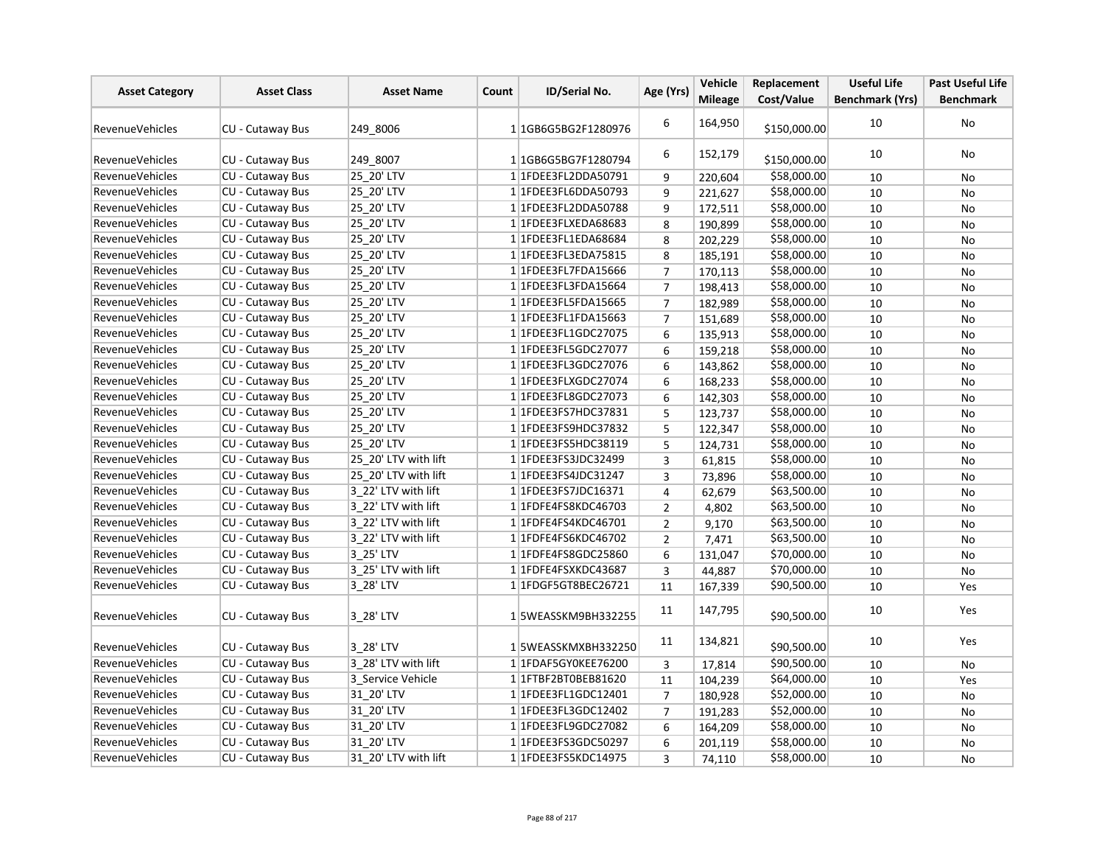| <b>Asset Category</b>  | <b>Asset Class</b>      | <b>Asset Name</b>    | Count | <b>ID/Serial No.</b>             | Age (Yrs)      | Vehicle        | Replacement  | <b>Useful Life</b>     | <b>Past Useful Life</b> |
|------------------------|-------------------------|----------------------|-------|----------------------------------|----------------|----------------|--------------|------------------------|-------------------------|
|                        |                         |                      |       |                                  |                | <b>Mileage</b> | Cost/Value   | <b>Benchmark (Yrs)</b> | <b>Benchmark</b>        |
| <b>RevenueVehicles</b> | <b>CU - Cutaway Bus</b> | 249 8006             |       | 11GB6G5BG2F1280976               | 6              | 164,950        | \$150,000.00 | 10                     | No                      |
| <b>RevenueVehicles</b> | CU - Cutaway Bus        | 249 8007             |       | 1 1 1 GB6 G5 BG7 F 1 2 8 0 7 9 4 | 6              | 152,179        | \$150,000.00 | 10                     | No                      |
| <b>RevenueVehicles</b> | CU - Cutaway Bus        | 25 20' LTV           |       | 1 1FDEE3FL2DDA50791              | 9              | 220,604        | \$58,000.00  | 10                     | No                      |
| <b>RevenueVehicles</b> | <b>CU - Cutaway Bus</b> | 25_20' LTV           |       | 1 1FDEE3FL6DDA50793              | 9              | 221,627        | \$58,000.00  | 10                     | No                      |
| <b>RevenueVehicles</b> | CU - Cutaway Bus        | 25 20' LTV           |       | 1 1FDEE3FL2DDA50788              | 9              | 172,511        | \$58,000.00  | 10                     | No                      |
| <b>RevenueVehicles</b> | CU - Cutaway Bus        | 25 20' LTV           |       | 1 1FDEE3FLXEDA68683              | 8              | 190,899        | \$58,000.00  | 10                     | No                      |
| <b>RevenueVehicles</b> | CU - Cutaway Bus        | 25 20' LTV           |       | 1 1FDEE3FL1EDA68684              | 8              | 202,229        | \$58,000.00  | 10                     | <b>No</b>               |
| <b>RevenueVehicles</b> | CU - Cutaway Bus        | 25 20' LTV           |       | 11FDEE3FL3EDA75815               | 8              | 185,191        | \$58,000.00  | 10                     | No                      |
| <b>RevenueVehicles</b> | CU - Cutaway Bus        | 25_20' LTV           |       | 1 1FDEE3FL7FDA15666              | $\overline{7}$ | 170,113        | \$58,000.00  | 10                     | No                      |
| <b>RevenueVehicles</b> | CU - Cutaway Bus        | 25 20' LTV           |       | 1 1FDEE3FL3FDA15664              | $\overline{7}$ | 198,413        | \$58,000.00  | 10                     | <b>No</b>               |
| <b>RevenueVehicles</b> | CU - Cutaway Bus        | 25_20' LTV           |       | 1 1FDEE3FL5FDA15665              | $\overline{7}$ | 182,989        | \$58,000.00  | 10                     | No                      |
| <b>RevenueVehicles</b> | CU - Cutaway Bus        | 25 20' LTV           |       | 1 1FDEE3FL1FDA15663              | $\overline{7}$ | 151,689        | \$58,000.00  | 10                     | No                      |
| <b>RevenueVehicles</b> | CU - Cutaway Bus        | 25 20' LTV           |       | 1 1 FDEE3 FL1 GDC 27075          | 6              | 135,913        | \$58,000.00  | 10                     | No                      |
| <b>RevenueVehicles</b> | <b>CU - Cutaway Bus</b> | 25 20' LTV           |       | 1 1 FDEE3 FL5 GDC 27077          | 6              | 159,218        | \$58,000.00  | 10                     | <b>No</b>               |
| <b>RevenueVehicles</b> | CU - Cutaway Bus        | 25 20' LTV           |       | 1 1 FDEE3 FL3 GDC 27076          | 6              | 143,862        | \$58,000.00  | 10                     | <b>No</b>               |
| <b>RevenueVehicles</b> | CU - Cutaway Bus        | 25_20' LTV           |       | 1 1FDEE3FLXGDC27074              | 6              | 168,233        | \$58,000.00  | 10                     | No                      |
| <b>RevenueVehicles</b> | CU - Cutaway Bus        | 25_20' LTV           |       | 1 1 FDEE3 FL8 GDC 27073          | 6              | 142,303        | \$58,000.00  | 10                     | No                      |
| <b>RevenueVehicles</b> | CU - Cutaway Bus        | 25 20' LTV           |       | 1 1FDEE3FS7HDC37831              | 5              | 123,737        | \$58,000.00  | 10                     | No                      |
| <b>RevenueVehicles</b> | CU - Cutaway Bus        | 25 20' LTV           |       | 1 1FDEE3FS9HDC37832              | 5              | 122,347        | \$58,000.00  | 10                     | No                      |
| <b>RevenueVehicles</b> | CU - Cutaway Bus        | 25 20' LTV           |       | 1 1 FDEE3 FS5 HDC38119           | 5              | 124,731        | \$58,000.00  | 10                     | No                      |
| <b>RevenueVehicles</b> | <b>CU - Cutaway Bus</b> | 25 20' LTV with lift |       | 1 1FDEE3FS3JDC32499              | 3              | 61,815         | \$58,000.00  | 10                     | <b>No</b>               |
| <b>RevenueVehicles</b> | <b>CU - Cutaway Bus</b> | 25 20' LTV with lift |       | 1 1 FDEE3FS4JDC31247             | 3              | 73,896         | \$58,000.00  | 10                     | No                      |
| <b>RevenueVehicles</b> | CU - Cutaway Bus        | 3 22' LTV with lift  |       | 1 1 FDEE3FS7JDC16371             | 4              | 62,679         | \$63,500.00  | 10                     | No                      |
| <b>RevenueVehicles</b> | CU - Cutaway Bus        | 3 22' LTV with lift  |       | 1 1 FDFE4FS8KDC46703             | $\overline{2}$ | 4,802          | \$63,500.00  | 10                     | <b>No</b>               |
| <b>RevenueVehicles</b> | CU - Cutaway Bus        | 3 22' LTV with lift  |       | 1 1FDFE4FS4KDC46701              | $\overline{2}$ | 9,170          | \$63,500.00  | 10                     | No                      |
| RevenueVehicles        | CU - Cutaway Bus        | 3 22' LTV with lift  |       | 1 1FDFE4FS6KDC46702              | $\overline{2}$ | 7,471          | \$63,500.00  | 10                     | No                      |
| <b>RevenueVehicles</b> | CU - Cutaway Bus        | 3 25' LTV            |       | 1 1 FDFE4FS8GDC25860             | 6              | 131,047        | \$70,000.00  | 10                     | No                      |
| <b>RevenueVehicles</b> | CU - Cutaway Bus        | 3 25' LTV with lift  |       | 1 1FDFE4FSXKDC43687              | 3              | 44,887         | \$70,000.00  | 10                     | No                      |
| <b>RevenueVehicles</b> | <b>CU - Cutaway Bus</b> | 3 28' LTV            |       | 1 1 FDGF5GT8BEC26721             | 11             | 167,339        | \$90,500.00  | 10                     | Yes                     |
| <b>RevenueVehicles</b> | CU - Cutaway Bus        | 3 28' LTV            |       | 15WEASSKM9BH332255               | 11             | 147,795        | \$90,500.00  | 10                     | Yes                     |
| <b>RevenueVehicles</b> | CU - Cutaway Bus        | 3 28' LTV            |       | 15WEASSKMXBH332250               | 11             | 134,821        | \$90,500.00  | 10                     | Yes                     |
| <b>RevenueVehicles</b> | <b>CU - Cutaway Bus</b> | 3 28' LTV with lift  |       | 1 1FDAF5GY0KEE76200              | 3              | 17,814         | \$90,500.00  | 10                     | <b>No</b>               |
| <b>RevenueVehicles</b> | CU - Cutaway Bus        | 3 Service Vehicle    |       | 1 1 FTBF 2 BT0BEB81620           | 11             | 104,239        | \$64,000.00  | 10                     | Yes                     |
| <b>RevenueVehicles</b> | CU - Cutaway Bus        | 31 20' LTV           |       | 1 1 FDEE3 FL1 GDC 12401          | $\overline{7}$ | 180,928        | \$52,000.00  | 10                     | No                      |
| RevenueVehicles        | CU - Cutaway Bus        | 31_20' LTV           |       | 1 1FDEE3FL3GDC12402              | $\overline{7}$ | 191,283        | \$52,000.00  | 10                     | No                      |
| <b>RevenueVehicles</b> | CU - Cutaway Bus        | 31 20' LTV           |       | 11FDEE3FL9GDC27082               | 6              | 164,209        | \$58,000.00  | 10                     | No                      |
| RevenueVehicles        | CU - Cutaway Bus        | 31 20' LTV           |       | 1 1 FDEE3FS3GDC50297             | 6              | 201,119        | \$58,000.00  | 10                     | No                      |
| <b>RevenueVehicles</b> | <b>CU - Cutaway Bus</b> | 31 20' LTV with lift |       | 1 1 FDEE3 FS5 KDC 14975          | $\overline{3}$ | 74,110         | \$58,000.00  | 10                     | No                      |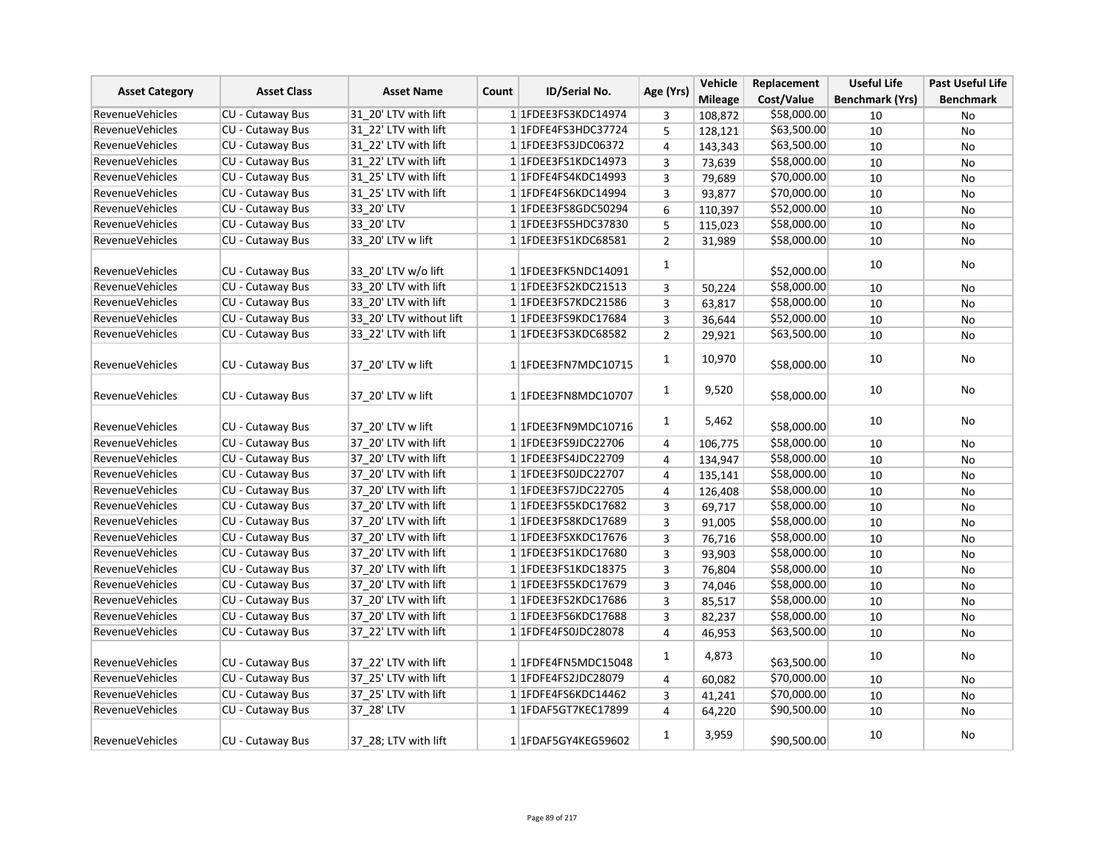| <b>Asset Category</b>  | <b>Asset Class</b>      | <b>Asset Name</b>       | ID/Serial No.<br>Count | Age (Yrs)               | Vehicle        | Replacement    | <b>Useful Life</b> | <b>Past Useful Life</b> |                  |
|------------------------|-------------------------|-------------------------|------------------------|-------------------------|----------------|----------------|--------------------|-------------------------|------------------|
|                        |                         |                         |                        |                         |                | <b>Mileage</b> | Cost/Value         | <b>Benchmark (Yrs)</b>  | <b>Benchmark</b> |
| <b>RevenueVehicles</b> | CU - Cutaway Bus        | 31 20' LTV with lift    |                        | 1 1FDEE3FS3KDC14974     | 3              | 108,872        | \$58,000.00        | 10                      | No               |
| <b>RevenueVehicles</b> | CU - Cutaway Bus        | 31 22' LTV with lift    |                        | 1 1FDFE4FS3HDC37724     | 5              | 128,121        | \$63,500.00        | 10                      | No               |
| <b>RevenueVehicles</b> | <b>CU - Cutaway Bus</b> | 31 22' LTV with lift    |                        | 1 1 FDEE3FS3JDC06372    | 4              | 143,343        | \$63,500.00        | 10                      | No               |
| <b>RevenueVehicles</b> | CU - Cutaway Bus        | 31 22' LTV with lift    |                        | 1 1 FDEE3 FS1 KDC 14973 | 3              | 73,639         | \$58,000.00        | 10                      | No               |
| <b>RevenueVehicles</b> | CU - Cutaway Bus        | 31 25' LTV with lift    |                        | 1 1 FDFE4FS4KDC14993    | 3              | 79,689         | \$70,000.00        | 10                      | No               |
| <b>RevenueVehicles</b> | <b>CU - Cutaway Bus</b> | 31 25' LTV with lift    |                        | 1 1FDFE4FS6KDC14994     | 3              | 93,877         | \$70,000.00        | 10                      | No               |
| <b>RevenueVehicles</b> | CU - Cutaway Bus        | 33_20' LTV              |                        | 1 1FDEE3FS8GDC50294     | 6              | 110,397        | \$52,000.00        | 10                      | No               |
| <b>RevenueVehicles</b> | <b>CU - Cutaway Bus</b> | 33 20' LTV              |                        | 1 1FDEE3FS5HDC37830     | 5              | 115,023        | \$58,000.00        | 10                      | No               |
| <b>RevenueVehicles</b> | CU - Cutaway Bus        | 33 20' LTV w lift       |                        | 1 1FDEE3FS1KDC68581     | $\overline{2}$ | 31,989         | \$58,000.00        | 10                      | No               |
| <b>RevenueVehicles</b> | <b>CU - Cutaway Bus</b> | 33 20' LTV w/o lift     |                        | 1 1FDEE3FK5NDC14091     | 1              |                | \$52,000.00        | 10                      | No               |
| <b>RevenueVehicles</b> | CU - Cutaway Bus        | 33 20' LTV with lift    |                        | 1 1FDEE3FS2KDC21513     | 3              | 50,224         | \$58,000.00        | 10                      | No               |
| <b>RevenueVehicles</b> | <b>CU - Cutaway Bus</b> | 33 20' LTV with lift    |                        | 1 1 FDEE3FS7KDC21586    | 3              | 63,817         | \$58,000.00        | 10                      | No               |
| <b>RevenueVehicles</b> | <b>CU - Cutaway Bus</b> | 33_20' LTV without lift |                        | 1 1FDEE3FS9KDC17684     | 3              | 36,644         | \$52,000.00        | 10                      | <b>No</b>        |
| <b>RevenueVehicles</b> | CU - Cutaway Bus        | 33_22' LTV with lift    |                        | 1 1FDEE3FS3KDC68582     | $\overline{2}$ | 29,921         | \$63,500.00        | 10                      | No               |
| <b>RevenueVehicles</b> | CU - Cutaway Bus        | 37 20' LTV w lift       |                        | 1 1FDEE3FN7MDC10715     | $\mathbf{1}$   | 10,970         | \$58,000.00        | 10                      | No               |
| <b>RevenueVehicles</b> | <b>CU - Cutaway Bus</b> | 37 20' LTV w lift       |                        | 1 1FDEE3FN8MDC10707     | $\mathbf{1}$   | 9,520          | \$58,000.00        | 10                      | No               |
| <b>RevenueVehicles</b> | <b>CU - Cutaway Bus</b> | 37 20' LTV w lift       |                        | 1 1FDEE3FN9MDC10716     | 1              | 5,462          | \$58,000.00        | 10                      | No               |
| <b>RevenueVehicles</b> | CU - Cutaway Bus        | 37 20' LTV with lift    |                        | 1 1 FDEE3FS9JDC22706    | 4              | 106,775        | \$58,000.00        | 10                      | No               |
| <b>RevenueVehicles</b> | CU - Cutaway Bus        | 37 20' LTV with lift    |                        | 1 1FDEE3FS4JDC22709     | 4              | 134,947        | \$58,000.00        | 10                      | No               |
| <b>RevenueVehicles</b> | CU - Cutaway Bus        | 37 20' LTV with lift    |                        | 1 1FDEE3FS0JDC22707     | 4              | 135,141        | \$58,000.00        | 10                      | No               |
| <b>RevenueVehicles</b> | CU - Cutaway Bus        | 37 20' LTV with lift    |                        | 1 1FDEE3FS7JDC22705     | 4              | 126,408        | \$58,000.00        | 10                      | No               |
| <b>RevenueVehicles</b> | <b>CU - Cutaway Bus</b> | 37 20' LTV with lift    |                        | 1 1FDEE3FS5KDC17682     | 3              | 69,717         | \$58,000.00        | 10                      | No               |
| RevenueVehicles        | CU - Cutaway Bus        | 37 20' LTV with lift    |                        | 1 1FDEE3FS8KDC17689     | 3              | 91,005         | \$58,000.00        | 10                      | No               |
| <b>RevenueVehicles</b> | <b>CU - Cutaway Bus</b> | 37 20' LTV with lift    |                        | 1 1FDEE3FSXKDC17676     | 3              | 76,716         | \$58,000.00        | 10                      | No               |
| <b>RevenueVehicles</b> | CU - Cutaway Bus        | 37 20' LTV with lift    |                        | 1 1 FDEE3 FS1 KDC17680  | 3              | 93,903         | \$58,000.00        | 10                      | No               |
| <b>RevenueVehicles</b> | <b>CU - Cutaway Bus</b> | 37 20' LTV with lift    |                        | 1 1 FDEE3 FS1 KDC18375  | 3              | 76,804         | \$58,000.00        | 10                      | No               |
| RevenueVehicles        | CU - Cutaway Bus        | 37 20' LTV with lift    |                        | 1 1FDEE3FS5KDC17679     | 3              | 74,046         | \$58,000.00        | 10                      | No               |
| <b>RevenueVehicles</b> | <b>CU - Cutaway Bus</b> | 37 20' LTV with lift    |                        | 1 1FDEE3FS2KDC17686     | 3              | 85,517         | \$58,000.00        | 10                      | No               |
| <b>RevenueVehicles</b> | <b>CU - Cutaway Bus</b> | 37 20' LTV with lift    |                        | 1 1FDEE3FS6KDC17688     | 3              | 82,237         | \$58,000.00        | 10                      | No               |
| <b>RevenueVehicles</b> | CU - Cutaway Bus        | 37 22' LTV with lift    |                        | 1 1FDFE4FS0JDC28078     | $\overline{4}$ | 46,953         | \$63,500.00        | 10                      | No               |
| <b>RevenueVehicles</b> | <b>CU - Cutaway Bus</b> | 37 22' LTV with lift    |                        | 1 1FDFE4FN5MDC15048     | 1              | 4,873          | \$63,500.00        | 10                      | No               |
| <b>RevenueVehicles</b> | <b>CU - Cutaway Bus</b> | 37 25' LTV with lift    |                        | 1 1 FDFE4FS2JDC28079    | 4              | 60,082         | \$70,000.00        | 10                      | <b>No</b>        |
| RevenueVehicles        | <b>CU - Cutaway Bus</b> | 37 25' LTV with lift    |                        | 1 1FDFE4FS6KDC14462     | 3              | 41,241         | \$70,000.00        | 10                      | No               |
| RevenueVehicles        | CU - Cutaway Bus        | 37 28' LTV              |                        | 1 1FDAF5GT7KEC17899     | 4              | 64,220         | \$90,500.00        | 10                      | No               |
| <b>RevenueVehicles</b> | CU - Cutaway Bus        | 37 28; LTV with lift    |                        | 1 1FDAF5GY4KEG59602     | $\mathbf{1}$   | 3,959          | \$90,500.00        | 10                      | No               |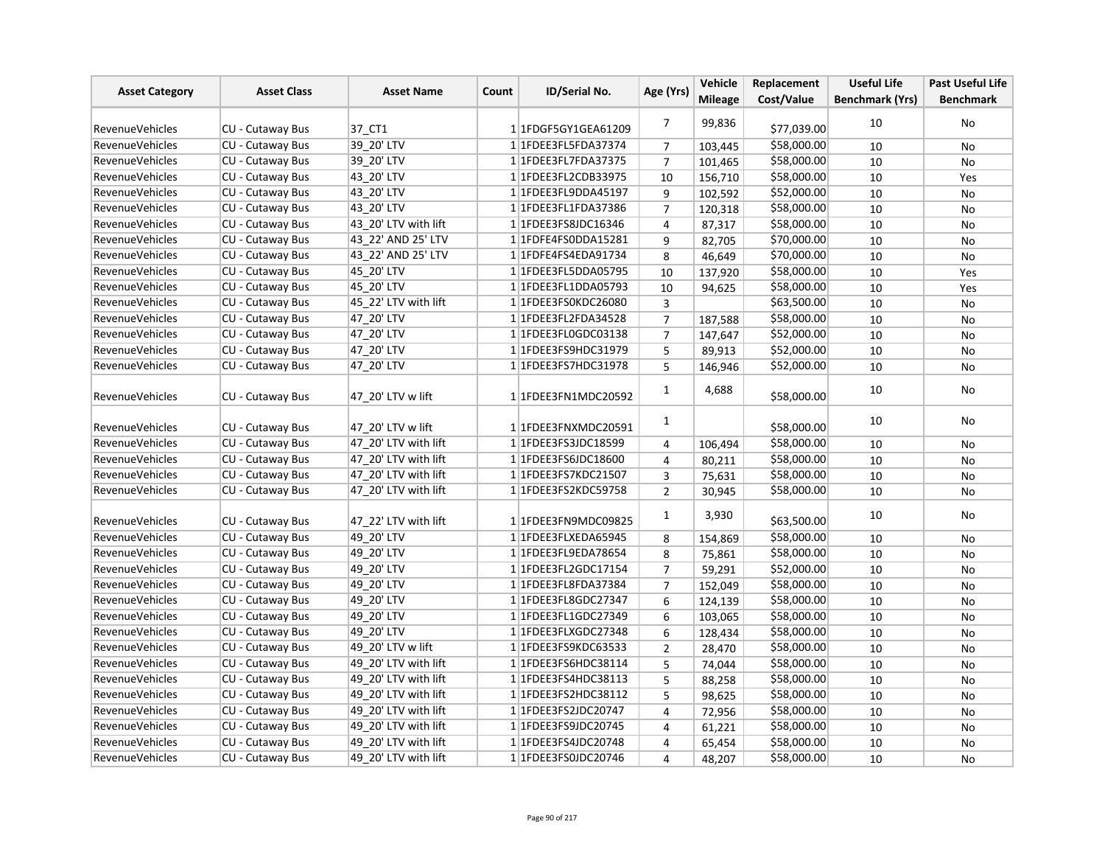| <b>Asset Category</b>  | <b>Asset Class</b>      | <b>Asset Name</b>    | Count | ID/Serial No.               | Age (Yrs)      | Vehicle        | Replacement | <b>Useful Life</b>     | <b>Past Useful Life</b> |
|------------------------|-------------------------|----------------------|-------|-----------------------------|----------------|----------------|-------------|------------------------|-------------------------|
|                        |                         |                      |       |                             |                | <b>Mileage</b> | Cost/Value  | <b>Benchmark (Yrs)</b> | <b>Benchmark</b>        |
| <b>RevenueVehicles</b> | CU - Cutaway Bus        | 37 CT1               |       | 11FDGF5GY1GEA61209          | $\overline{7}$ | 99,836         | \$77,039.00 | 10                     | No                      |
| RevenueVehicles        | <b>CU - Cutaway Bus</b> | 39 20' LTV           |       | 1 1FDEE3FL5FDA37374         | $\overline{7}$ | 103,445        | \$58,000.00 | 10                     | <b>No</b>               |
| <b>RevenueVehicles</b> | CU - Cutaway Bus        | 39 20' LTV           |       | 1 1FDEE3FL7FDA37375         | $\overline{7}$ | 101,465        | \$58,000.00 | 10                     | <b>No</b>               |
| <b>RevenueVehicles</b> | CU - Cutaway Bus        | 43 20' LTV           |       | 1 1FDEE3FL2CDB33975         | 10             | 156,710        | \$58,000.00 | 10                     | Yes                     |
| <b>RevenueVehicles</b> | <b>CU - Cutaway Bus</b> | 43 20' LTV           |       | 1 1FDEE3FL9DDA45197         | 9              | 102,592        | \$52,000.00 | 10                     | No                      |
| RevenueVehicles        | CU - Cutaway Bus        | 43 20' LTV           |       | 1 1 FDEE3 FL1 FDA 37386     | $\overline{7}$ | 120,318        | \$58,000.00 | 10                     | No                      |
| <b>RevenueVehicles</b> | CU - Cutaway Bus        | 43 20' LTV with lift |       | 1 1 FDEE3FS8JDC16346        | $\overline{4}$ | 87,317         | \$58,000.00 | 10                     | No                      |
| <b>RevenueVehicles</b> | <b>CU - Cutaway Bus</b> | 43 22' AND 25' LTV   |       | 1 1FDFE4FS0DDA15281         | 9              | 82,705         | \$70,000.00 | 10                     | No                      |
| RevenueVehicles        | CU - Cutaway Bus        | 43 22' AND 25' LTV   |       | 1 1FDFE4FS4EDA91734         | 8              | 46,649         | \$70,000.00 | 10                     | No                      |
| <b>RevenueVehicles</b> | <b>CU - Cutaway Bus</b> | 45 20' LTV           |       | 1 1 FDEE3 FL5DDA05795       | 10             | 137,920        | \$58,000.00 | 10                     | Yes                     |
| <b>RevenueVehicles</b> | CU - Cutaway Bus        | 45 20' LTV           |       | 1 1 FDEE3 FL1DDA05793       | 10             | 94,625         | \$58,000.00 | 10                     | Yes                     |
| <b>RevenueVehicles</b> | CU - Cutaway Bus        | 45 22' LTV with lift |       | 1 1FDEE3FS0KDC26080         | $\overline{3}$ |                | \$63,500.00 | 10                     | No                      |
| <b>RevenueVehicles</b> | CU - Cutaway Bus        | 47 20' LTV           |       | 1 1FDEE3FL2FDA34528         | $\overline{7}$ | 187,588        | \$58,000.00 | 10                     | No                      |
| RevenueVehicles        | CU - Cutaway Bus        | 47 20' LTV           |       | 1 1FDEE3FL0GDC03138         | 7              | 147,647        | \$52,000.00 | 10                     | No                      |
| <b>RevenueVehicles</b> | CU - Cutaway Bus        | 47 20' LTV           |       | 1 1FDEE3FS9HDC31979         | 5              | 89,913         | \$52,000.00 | 10                     | <b>No</b>               |
| <b>RevenueVehicles</b> | CU - Cutaway Bus        | 47 20' LTV           |       | 1 1 FDEE3FS7HDC31978        | 5              | 146,946        | \$52,000.00 | 10                     | No                      |
| <b>RevenueVehicles</b> | CU - Cutaway Bus        | 47 20' LTV w lift    |       | 1 1FDEE3FN1MDC20592         | $\mathbf{1}$   | 4,688          | \$58,000.00 | 10                     | No                      |
| RevenueVehicles        | CU - Cutaway Bus        | 47 20' LTV w lift    |       | 1 1FDEE3FNXMDC20591         | $\mathbf{1}$   |                | \$58,000.00 | 10                     | No                      |
| <b>RevenueVehicles</b> | CU - Cutaway Bus        | 47 20' LTV with lift |       | 1 1FDEE3FS3JDC18599         | 4              | 106,494        | \$58,000.00 | 10                     | No                      |
| <b>RevenueVehicles</b> | CU - Cutaway Bus        | 47 20' LTV with lift |       | 1 1FDEE3FS6JDC18600         | $\overline{4}$ | 80,211         | \$58,000.00 | 10                     | No                      |
| <b>RevenueVehicles</b> | CU - Cutaway Bus        | 47 20' LTV with lift |       | 1 1 FDEE3FS7KDC21507        | 3              | 75,631         | \$58,000.00 | 10                     | No                      |
| <b>RevenueVehicles</b> | CU - Cutaway Bus        | 47 20' LTV with lift |       | 1 1FDEE3FS2KDC59758         | $\overline{2}$ | 30,945         | \$58,000.00 | 10                     | No                      |
| <b>RevenueVehicles</b> | <b>CU - Cutaway Bus</b> | 47_22' LTV with lift |       | 1 1FDEE3FN9MDC09825         | $\mathbf{1}$   | 3,930          | \$63,500.00 | 10                     | No                      |
| <b>RevenueVehicles</b> | CU - Cutaway Bus        | 49 20' LTV           |       | 1 1FDEE3FLXEDA65945         | 8              | 154,869        | \$58,000.00 | 10                     | No                      |
| <b>RevenueVehicles</b> | <b>CU - Cutaway Bus</b> | 49 20' LTV           |       | 1 1FDEE3FL9EDA78654         | 8              | 75,861         | \$58,000.00 | 10                     | No                      |
| <b>RevenueVehicles</b> | CU - Cutaway Bus        | 49 20' LTV           |       | 1 1 FDEE3 FL2 GDC 17154     | $\overline{7}$ | 59,291         | \$52,000.00 | 10                     | No                      |
| <b>RevenueVehicles</b> | CU - Cutaway Bus        | 49 20' LTV           |       | 1 1FDEE3FL8FDA37384         | $\overline{7}$ | 152,049        | \$58,000.00 | 10                     | No                      |
| <b>RevenueVehicles</b> | CU - Cutaway Bus        | 49 20' LTV           |       | 1 1FDEE3FL8GDC27347         | 6              | 124,139        | \$58,000.00 | 10                     | No                      |
| RevenueVehicles        | CU - Cutaway Bus        | 49 20' LTV           |       | 1 1FDEE3FL1GDC27349         | 6              | 103,065        | \$58,000.00 | 10                     | No                      |
| <b>RevenueVehicles</b> | CU - Cutaway Bus        | 49 20' LTV           |       | 1 1FDEE3FLXGDC27348         | 6              | 128,434        | \$58,000.00 | 10                     | No                      |
| <b>RevenueVehicles</b> | <b>CU - Cutaway Bus</b> | 49 20' LTV w lift    |       | 1 1FDEE3FS9KDC63533         | $\overline{2}$ | 28,470         | \$58,000.00 | 10                     | No                      |
| <b>RevenueVehicles</b> | CU - Cutaway Bus        | 49 20' LTV with lift |       | 1 1FDEE3FS6HDC38114         | 5              | 74,044         | \$58,000.00 | 10                     | No                      |
| <b>RevenueVehicles</b> | CU - Cutaway Bus        | 49 20' LTV with lift |       | 1 1 FDEE3FS4HDC38113        | 5              | 88,258         | \$58,000.00 | 10                     | No                      |
| <b>RevenueVehicles</b> | CU - Cutaway Bus        | 49 20' LTV with lift |       | 1 1 FDEE3 FS 2 HD C38 1 1 2 | 5              | 98,625         | \$58,000.00 | 10                     | No                      |
| <b>RevenueVehicles</b> | CU - Cutaway Bus        | 49 20' LTV with lift |       | 1 1FDEE3FS2JDC20747         | 4              | 72,956         | \$58,000.00 | 10                     | No                      |
| <b>RevenueVehicles</b> | <b>CU - Cutaway Bus</b> | 49 20' LTV with lift |       | 1 1 FDEE3FS9JDC20745        | 4              | 61,221         | \$58,000.00 | 10                     | No                      |
| <b>RevenueVehicles</b> | CU - Cutaway Bus        | 49 20' LTV with lift |       | 1 1 FDEE3FS4JDC20748        | $\overline{4}$ | 65,454         | \$58,000.00 | 10                     | No                      |
| <b>RevenueVehicles</b> | CU - Cutaway Bus        | 49 20' LTV with lift |       | 1 1FDEE3FS0JDC20746         | 4              | 48,207         | \$58,000.00 | 10                     | No                      |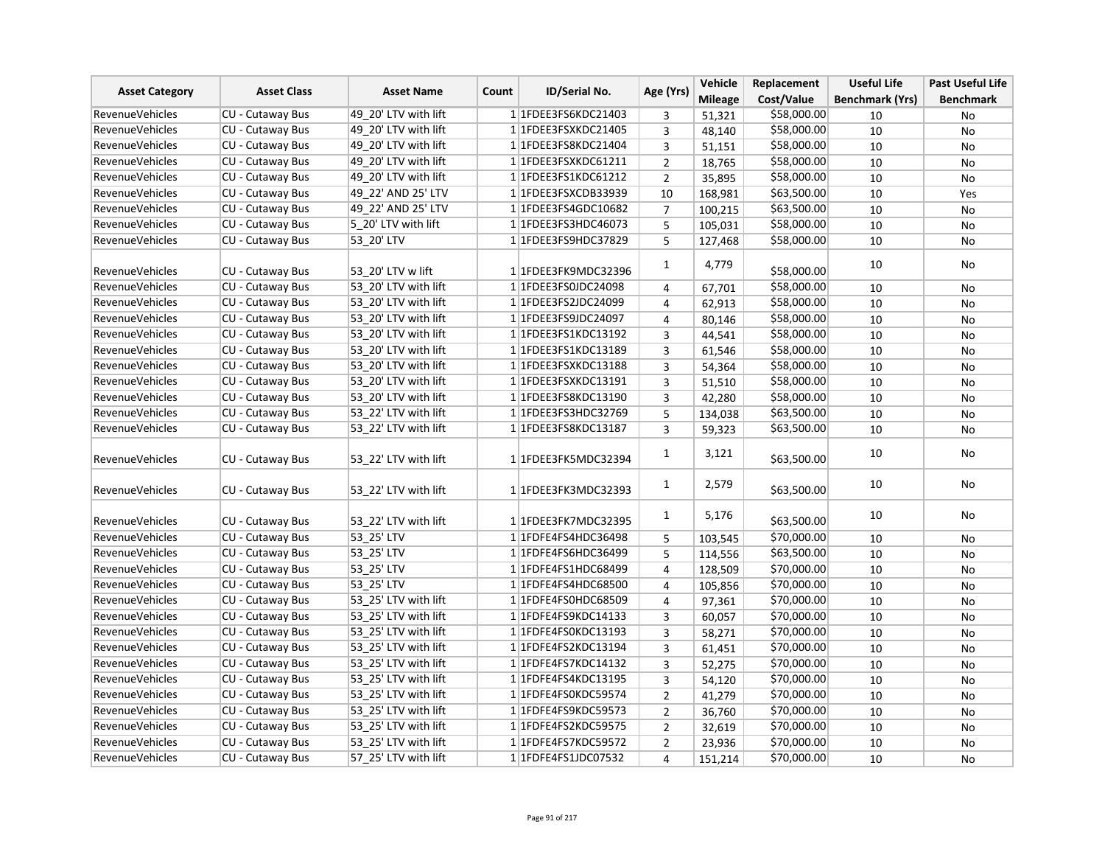| <b>Asset Category</b>  | <b>Asset Class</b>      | <b>Asset Name</b>    |       |                         | Age (Yrs)      | Vehicle        | Replacement | <b>Useful Life</b>     | <b>Past Useful Life</b> |
|------------------------|-------------------------|----------------------|-------|-------------------------|----------------|----------------|-------------|------------------------|-------------------------|
|                        |                         |                      | Count | <b>ID/Serial No.</b>    |                | <b>Mileage</b> | Cost/Value  | <b>Benchmark (Yrs)</b> | <b>Benchmark</b>        |
| <b>RevenueVehicles</b> | <b>CU - Cutaway Bus</b> | 49 20' LTV with lift |       | 1 1 FDEE3FS6KDC21403    | 3              | 51,321         | \$58,000.00 | 10                     | No                      |
| <b>RevenueVehicles</b> | <b>CU - Cutaway Bus</b> | 49 20' LTV with lift |       | 1 1FDEE3FSXKDC21405     | 3              | 48,140         | \$58,000.00 | 10                     | No                      |
| <b>RevenueVehicles</b> | CU - Cutaway Bus        | 49 20' LTV with lift |       | 1 1FDEE3FS8KDC21404     | 3              | 51,151         | \$58,000.00 | 10                     | <b>No</b>               |
| <b>RevenueVehicles</b> | CU - Cutaway Bus        | 49 20' LTV with lift |       | 1 1FDEE3FSXKDC61211     | $\overline{2}$ | 18,765         | \$58,000.00 | 10                     | No                      |
| <b>RevenueVehicles</b> | CU - Cutaway Bus        | 49 20' LTV with lift |       | 1 1FDEE3FS1KDC61212     | $\overline{2}$ | 35,895         | \$58,000.00 | 10                     | No                      |
| RevenueVehicles        | <b>CU - Cutaway Bus</b> | 49 22' AND 25' LTV   |       | 1 1FDEE3FSXCDB33939     | 10             | 168,981        | \$63,500.00 | 10                     | Yes                     |
| <b>RevenueVehicles</b> | CU - Cutaway Bus        | 49 22' AND 25' LTV   |       | 1 1 FDEE3FS4GDC10682    | $\overline{7}$ | 100,215        | \$63,500.00 | 10                     | <b>No</b>               |
| <b>RevenueVehicles</b> | CU - Cutaway Bus        | 5 20' LTV with lift  |       | 1 1FDEE3FS3HDC46073     | 5              | 105,031        | \$58,000.00 | 10                     | No                      |
| <b>RevenueVehicles</b> | CU - Cutaway Bus        | 53 20' LTV           |       | 1 1FDEE3FS9HDC37829     | 5              | 127,468        | \$58,000.00 | 10                     | No                      |
| <b>RevenueVehicles</b> | <b>CU - Cutaway Bus</b> | 53 20' LTV w lift    |       | 1 1FDEE3FK9MDC32396     | 1              | 4,779          | \$58,000.00 | 10                     | No                      |
| <b>RevenueVehicles</b> | <b>CU - Cutaway Bus</b> | 53 20' LTV with lift |       | 1 1FDEE3FS0JDC24098     | 4              | 67,701         | \$58,000.00 | 10                     | No                      |
| <b>RevenueVehicles</b> | <b>CU - Cutaway Bus</b> | 53 20' LTV with lift |       | 1 1FDEE3FS2JDC24099     | $\overline{4}$ | 62,913         | \$58,000.00 | 10                     | No                      |
| <b>RevenueVehicles</b> | CU - Cutaway Bus        | 53 20' LTV with lift |       | 1 1FDEE3FS9JDC24097     | 4              | 80,146         | \$58,000.00 | 10                     | No                      |
| RevenueVehicles        | CU - Cutaway Bus        | 53 20' LTV with lift |       | 1 1 FDEE3 FS1 KDC 13192 | 3              | 44,541         | \$58,000.00 | 10                     | No                      |
| <b>RevenueVehicles</b> | <b>CU - Cutaway Bus</b> | 53 20' LTV with lift |       | 1 1 FDEE3 FS1 KDC13189  | 3              | 61,546         | \$58,000.00 | 10                     | <b>No</b>               |
| <b>RevenueVehicles</b> | CU - Cutaway Bus        | 53 20' LTV with lift |       | 1 1FDEE3FSXKDC13188     | 3              | 54,364         | \$58,000.00 | 10                     | No                      |
| <b>RevenueVehicles</b> | CU - Cutaway Bus        | 53 20' LTV with lift |       | 1 1FDEE3FSXKDC13191     | 3              | 51,510         | \$58,000.00 | 10                     | No                      |
| <b>RevenueVehicles</b> | CU - Cutaway Bus        | 53 20' LTV with lift |       | 1 1FDEE3FS8KDC13190     | 3              | 42,280         | \$58,000.00 | 10                     | No                      |
| <b>RevenueVehicles</b> | CU - Cutaway Bus        | 53 22' LTV with lift |       | 1 1FDEE3FS3HDC32769     | 5              | 134,038        | \$63,500.00 | 10                     | No                      |
| <b>RevenueVehicles</b> | <b>CU - Cutaway Bus</b> | 53 22' LTV with lift |       | 1 1 FDEE3 FS8 KDC 13187 | 3              | 59,323         | \$63,500.00 | 10                     | <b>No</b>               |
| <b>RevenueVehicles</b> | CU - Cutaway Bus        | 53 22' LTV with lift |       | 1 1FDEE3FK5MDC32394     | $\mathbf{1}$   | 3,121          | \$63,500.00 | 10                     | No                      |
| <b>RevenueVehicles</b> | <b>CU - Cutaway Bus</b> | 53 22' LTV with lift |       | 1 1FDEE3FK3MDC32393     | $\mathbf{1}$   | 2,579          | \$63,500.00 | 10                     | No                      |
| <b>RevenueVehicles</b> | CU - Cutaway Bus        | 53_22' LTV with lift |       | 1 1FDEE3FK7MDC32395     | 1              | 5,176          | \$63,500.00 | 10                     | No                      |
| <b>RevenueVehicles</b> | CU - Cutaway Bus        | 53_25' LTV           |       | 1 1FDFE4FS4HDC36498     | 5              | 103,545        | \$70,000.00 | 10                     | No                      |
| <b>RevenueVehicles</b> | CU - Cutaway Bus        | 53 25' LTV           |       | 1 1FDFE4FS6HDC36499     | 5              | 114,556        | \$63,500.00 | 10                     | No                      |
| <b>RevenueVehicles</b> | CU - Cutaway Bus        | 53 25' LTV           |       | 1 1FDFE4FS1HDC68499     | 4              | 128.509        | \$70,000.00 | 10                     | No                      |
| <b>RevenueVehicles</b> | CU - Cutaway Bus        | 53 25' LTV           |       | 1 1FDFE4FS4HDC68500     | 4              | 105,856        | \$70,000.00 | 10                     | No                      |
| <b>RevenueVehicles</b> | CU - Cutaway Bus        | 53 25' LTV with lift |       | 1 1FDFE4FS0HDC68509     | 4              | 97,361         | \$70,000.00 | 10                     | No                      |
| RevenueVehicles        | CU - Cutaway Bus        | 53 25' LTV with lift |       | 1 1FDFE4FS9KDC14133     | 3              | 60,057         | \$70,000.00 | 10                     | No                      |
| <b>RevenueVehicles</b> | <b>CU - Cutaway Bus</b> | 53 25' LTV with lift |       | 1 1FDFE4FS0KDC13193     | 3              | 58,271         | \$70,000.00 | 10                     | No                      |
| <b>RevenueVehicles</b> | <b>CU - Cutaway Bus</b> | 53 25' LTV with lift |       | 1 1 FDFE4FS2KDC13194    | 3              | 61,451         | \$70,000.00 | 10                     | No                      |
| RevenueVehicles        | CU - Cutaway Bus        | 53 25' LTV with lift |       | 1 1FDFE4FS7KDC14132     | 3              | 52,275         | \$70,000.00 | 10                     | <b>No</b>               |
| <b>RevenueVehicles</b> | CU - Cutaway Bus        | 53 25' LTV with lift |       | 1 1 FDFE4FS4KDC13195    | 3              | 54,120         | \$70,000.00 | 10                     | No                      |
| <b>RevenueVehicles</b> | CU - Cutaway Bus        | 53 25' LTV with lift |       | 1 1FDFE4FS0KDC59574     | $\overline{2}$ | 41,279         | \$70,000.00 | 10                     | No                      |
| <b>RevenueVehicles</b> | <b>CU - Cutaway Bus</b> | 53 25' LTV with lift |       | 1 1FDFE4FS9KDC59573     | $\mathbf{2}$   | 36,760         | \$70,000.00 | 10                     | No                      |
| <b>RevenueVehicles</b> | <b>CU - Cutaway Bus</b> | 53 25' LTV with lift |       | 1 1FDFE4FS2KDC59575     | $\overline{2}$ | 32,619         | \$70,000.00 | 10                     | No                      |
| <b>RevenueVehicles</b> | CU - Cutaway Bus        | 53 25' LTV with lift |       | 1 1FDFE4FS7KDC59572     | $\overline{2}$ | 23,936         | \$70,000.00 | 10                     | No                      |
| <b>RevenueVehicles</b> | CU - Cutaway Bus        | 57 25' LTV with lift |       | 1 1FDFE4FS1JDC07532     | 4              | 151,214        | \$70,000.00 | 10                     | No                      |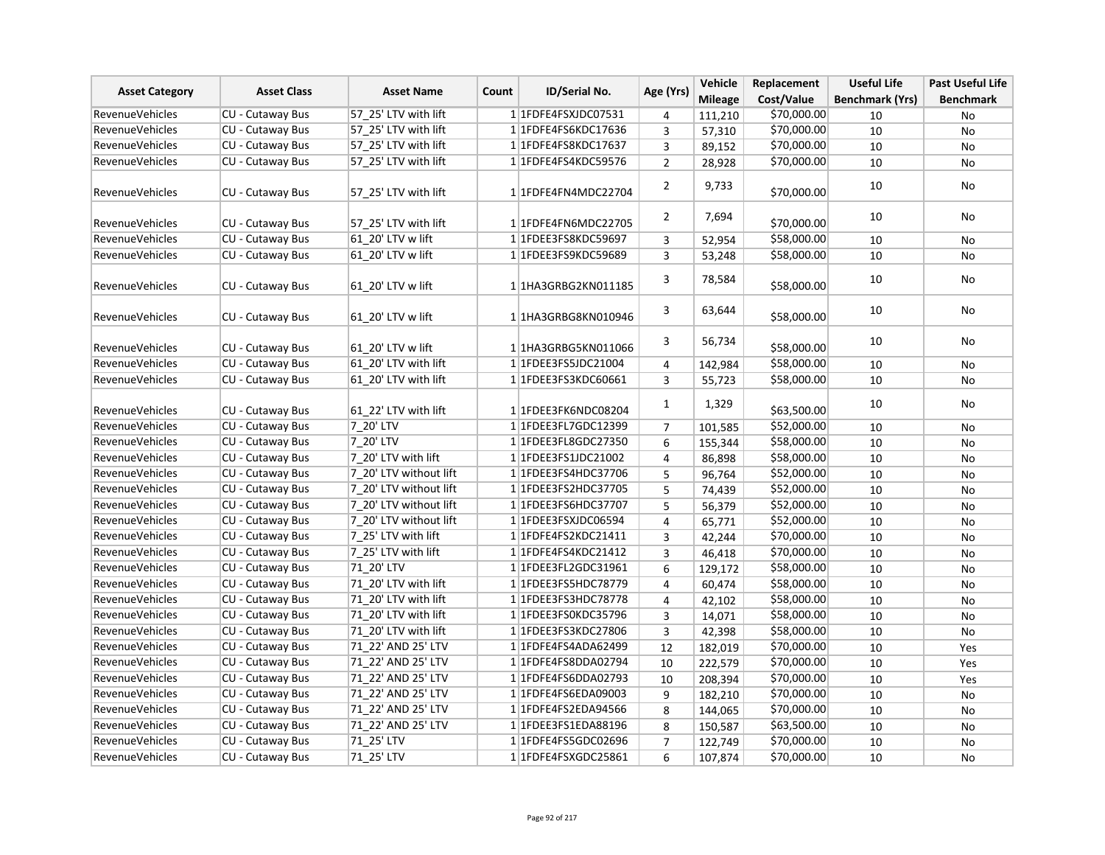|                        | <b>Asset Class</b>      | <b>Asset Name</b>      | Count | <b>ID/Serial No.</b>    | Age (Yrs)      | Vehicle        | Replacement | <b>Useful Life</b>     | <b>Past Useful Life</b> |
|------------------------|-------------------------|------------------------|-------|-------------------------|----------------|----------------|-------------|------------------------|-------------------------|
| <b>Asset Category</b>  |                         |                        |       |                         |                | <b>Mileage</b> | Cost/Value  | <b>Benchmark (Yrs)</b> | <b>Benchmark</b>        |
| RevenueVehicles        | <b>CU - Cutaway Bus</b> | 57 25' LTV with lift   |       | 1 1FDFE4FSXJDC07531     | 4              | 111,210        | \$70,000.00 | 10                     | No                      |
| RevenueVehicles        | <b>CU - Cutaway Bus</b> | 57 25' LTV with lift   |       | 1 1 FDFE4FS6KDC17636    | 3              | 57,310         | \$70,000.00 | 10                     | No                      |
| <b>RevenueVehicles</b> | <b>CU - Cutaway Bus</b> | 57 25' LTV with lift   |       | 1 1FDFE4FS8KDC17637     | $\overline{3}$ | 89,152         | \$70,000.00 | 10                     | <b>No</b>               |
| <b>RevenueVehicles</b> | CU - Cutaway Bus        | 57 25' LTV with lift   |       | 1 1FDFE4FS4KDC59576     | $\overline{2}$ | 28,928         | \$70,000.00 | 10                     | No                      |
| <b>RevenueVehicles</b> | <b>CU - Cutaway Bus</b> | 57 25' LTV with lift   |       | 1 1FDFE4FN4MDC22704     | $\overline{2}$ | 9,733          | \$70,000.00 | 10                     | No                      |
| RevenueVehicles        | CU - Cutaway Bus        | 57 25' LTV with lift   |       | 1 1FDFE4FN6MDC22705     | $\overline{2}$ | 7,694          | \$70,000.00 | 10                     | No                      |
| <b>RevenueVehicles</b> | CU - Cutaway Bus        | 61 20' LTV w lift      |       | 1 1FDEE3FS8KDC59697     | 3              | 52,954         | \$58,000.00 | 10                     | No                      |
| <b>RevenueVehicles</b> | CU - Cutaway Bus        | 61 20' LTV w lift      |       | 11FDEE3FS9KDC59689      | 3              | 53,248         | \$58,000.00 | 10                     | No                      |
| <b>RevenueVehicles</b> | CU - Cutaway Bus        | 61 20' LTV w lift      |       | 11HA3GRBG2KN011185      | 3              | 78,584         | \$58,000.00 | 10                     | No                      |
| RevenueVehicles        | <b>CU - Cutaway Bus</b> | 61 20' LTV w lift      |       | 11HA3GRBG8KN010946      | 3              | 63,644         | \$58,000.00 | 10                     | No                      |
| <b>RevenueVehicles</b> | CU - Cutaway Bus        | 61 20' LTV w lift      |       | 11HA3GRBG5KN011066      | 3              | 56,734         | \$58,000.00 | 10                     | No                      |
| <b>RevenueVehicles</b> | CU - Cutaway Bus        | 61 20' LTV with lift   |       | 1 1FDEE3FS5JDC21004     | $\overline{4}$ | 142,984        | \$58,000.00 | 10                     | <b>No</b>               |
| <b>RevenueVehicles</b> | CU - Cutaway Bus        | 61 20' LTV with lift   |       | 1 1FDEE3FS3KDC60661     | 3              | 55,723         | \$58,000.00 | 10                     | No                      |
| <b>RevenueVehicles</b> | CU - Cutaway Bus        | 61 22' LTV with lift   |       | 11FDEE3FK6NDC08204      | $\mathbf{1}$   | 1,329          | \$63,500.00 | 10                     | No                      |
| <b>RevenueVehicles</b> | CU - Cutaway Bus        | 7 20' LTV              |       | 1 1 FDEE3 FL7 GDC 12399 | $\overline{7}$ | 101,585        | \$52,000.00 | 10                     | No                      |
| <b>RevenueVehicles</b> | CU - Cutaway Bus        | 7 20' LTV              |       | 1 1FDEE3FL8GDC27350     | 6              | 155,344        | \$58,000.00 | 10                     | No                      |
| <b>RevenueVehicles</b> | <b>CU - Cutaway Bus</b> | 7 20' LTV with lift    |       | 1 1FDEE3FS1JDC21002     | $\overline{4}$ | 86,898         | \$58,000.00 | 10                     | No                      |
| <b>RevenueVehicles</b> | <b>CU - Cutaway Bus</b> | 7 20' LTV without lift |       | 1 1 FDEE3 FS4 HDC3 7706 | 5              | 96,764         | \$52,000.00 | 10                     | No                      |
| <b>RevenueVehicles</b> | <b>CU - Cutaway Bus</b> | 7 20' LTV without lift |       | 1 1FDEE3FS2HDC37705     | 5              | 74,439         | \$52,000.00 | 10                     | No                      |
| <b>RevenueVehicles</b> | <b>CU - Cutaway Bus</b> | 7 20' LTV without lift |       | 1 1FDEE3FS6HDC37707     | 5              | 56,379         | \$52,000.00 | 10                     | No                      |
| <b>RevenueVehicles</b> | CU - Cutaway Bus        | 7 20' LTV without lift |       | 1 1FDEE3FSXJDC06594     | $\overline{4}$ | 65,771         | \$52,000.00 | 10                     | No                      |
| RevenueVehicles        | <b>CU - Cutaway Bus</b> | 7_25' LTV with lift    |       | 1 1 FDFE4FS2KDC21411    | 3              | 42,244         | \$70,000.00 | 10                     | No                      |
| <b>RevenueVehicles</b> | <b>CU - Cutaway Bus</b> | 7 25' LTV with lift    |       | 1 1 FDFE4FS4KDC21412    | $\overline{3}$ | 46,418         | \$70,000.00 | 10                     | <b>No</b>               |
| <b>RevenueVehicles</b> | CU - Cutaway Bus        | 71 20' LTV             |       | 1 1FDEE3FL2GDC31961     | 6              | 129,172        | \$58,000.00 | 10                     | No                      |
| <b>RevenueVehicles</b> | CU - Cutaway Bus        | 71 20' LTV with lift   |       | 1 1 FDEE3 FS5 HDC 78779 | $\overline{4}$ | 60,474         | \$58,000.00 | 10                     | No                      |
| <b>RevenueVehicles</b> | CU - Cutaway Bus        | 71 20' LTV with lift   |       | 1 1FDEE3FS3HDC78778     | $\overline{4}$ | 42,102         | \$58,000.00 | 10                     | No                      |
| RevenueVehicles        | CU - Cutaway Bus        | 71 20' LTV with lift   |       | 1 1FDEE3FS0KDC35796     | 3              | 14,071         | \$58,000.00 | 10                     | No                      |
| RevenueVehicles        | CU - Cutaway Bus        | 71 20' LTV with lift   |       | 1 1FDEE3FS3KDC27806     | 3              | 42,398         | \$58,000.00 | 10                     | No                      |
| RevenueVehicles        | CU - Cutaway Bus        | 71 22' AND 25' LTV     |       | 1 1 FDFE4FS4ADA62499    | 12             | 182,019        | \$70,000.00 | 10                     | Yes                     |
| <b>RevenueVehicles</b> | <b>CU - Cutaway Bus</b> | 71 22' AND 25' LTV     |       | 1 1FDFE4FS8DDA02794     | 10             | 222,579        | \$70,000.00 | 10                     | Yes                     |
| <b>RevenueVehicles</b> | CU - Cutaway Bus        | 71 22' AND 25' LTV     |       | 1 1FDFE4FS6DDA02793     | 10             | 208,394        | \$70,000.00 | 10                     | Yes                     |
| <b>RevenueVehicles</b> | <b>CU - Cutaway Bus</b> | 71 22' AND 25' LTV     |       | 1 1FDFE4FS6EDA09003     | 9              | 182,210        | \$70,000.00 | 10                     | No                      |
| RevenueVehicles        | <b>CU - Cutaway Bus</b> | 71 22' AND 25' LTV     |       | 1 1FDFE4FS2EDA94566     | 8              | 144,065        | \$70,000.00 | 10                     | <b>No</b>               |
| <b>RevenueVehicles</b> | CU - Cutaway Bus        | 71 22' AND 25' LTV     |       | 1 1FDEE3FS1EDA88196     | 8              | 150,587        | \$63,500.00 | 10                     | No                      |
| <b>RevenueVehicles</b> | CU - Cutaway Bus        | 71 25' LTV             |       | 1 1 FDFE4FS5GDC02696    | $\overline{7}$ | 122,749        | \$70,000.00 | 10                     | No                      |
| <b>RevenueVehicles</b> | CU - Cutaway Bus        | 71_25'LTV              |       | 1 1 FDFE4FSXGDC25861    | 6              | 107,874        | \$70,000.00 | 10                     | No                      |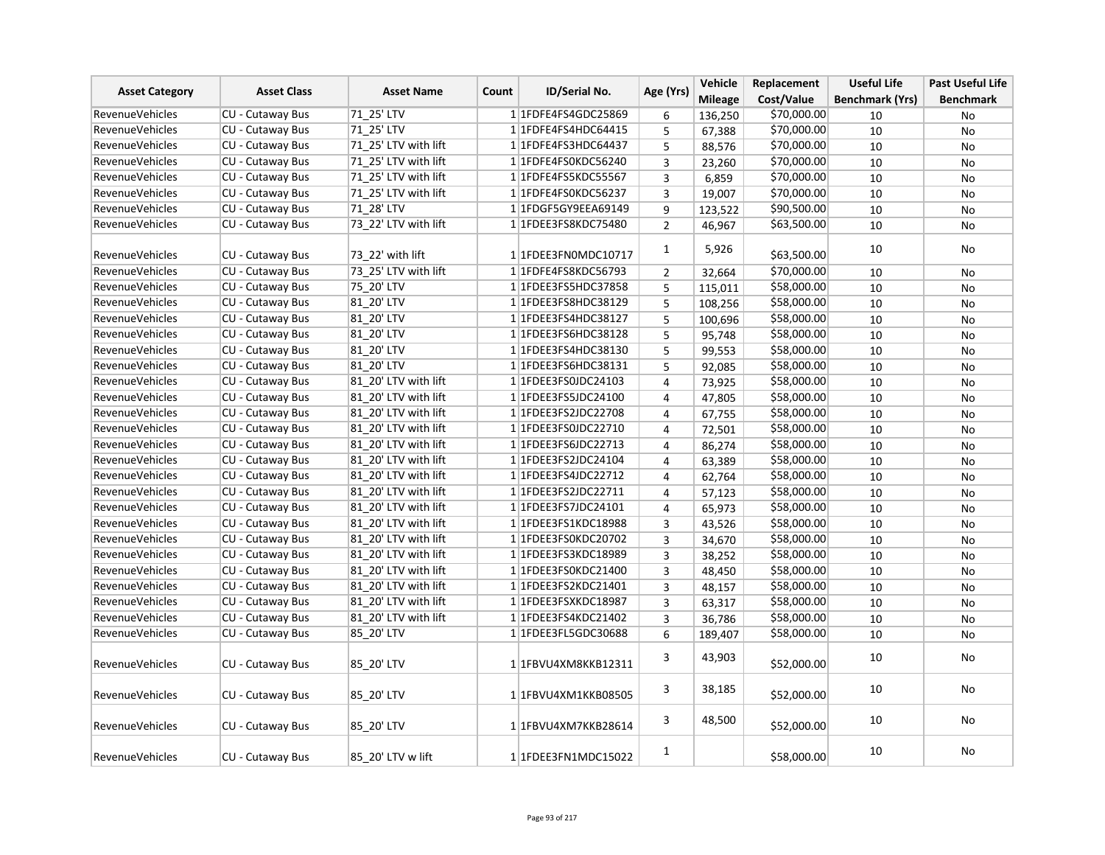|                        | <b>Asset Class</b>      | <b>Asset Name</b>    |       | <b>ID/Serial No.</b>        | Age (Yrs)      | Vehicle        | Replacement | <b>Useful Life</b>     | <b>Past Useful Life</b> |
|------------------------|-------------------------|----------------------|-------|-----------------------------|----------------|----------------|-------------|------------------------|-------------------------|
| <b>Asset Category</b>  |                         |                      | Count |                             |                | <b>Mileage</b> | Cost/Value  | <b>Benchmark (Yrs)</b> | <b>Benchmark</b>        |
| <b>RevenueVehicles</b> | CU - Cutaway Bus        | 71 25' LTV           |       | 1 1 FDFE4FS4GDC25869        | 6              | 136,250        | \$70,000.00 | 10                     | No                      |
| RevenueVehicles        | CU - Cutaway Bus        | 71 25' LTV           |       | 1 1FDFE4FS4HDC64415         | 5              | 67,388         | \$70,000.00 | 10                     | <b>No</b>               |
| RevenueVehicles        | <b>CU - Cutaway Bus</b> | 71 25' LTV with lift |       | 1 1 FDFE4FS3HDC64437        | 5              | 88,576         | \$70,000.00 | 10                     | <b>No</b>               |
| <b>RevenueVehicles</b> | CU - Cutaway Bus        | 71 25' LTV with lift |       | 1 1FDFE4FS0KDC56240         | 3              | 23,260         | \$70,000.00 | 10                     | <b>No</b>               |
| <b>RevenueVehicles</b> | CU - Cutaway Bus        | 71 25' LTV with lift |       | 1 1FDFE4FS5KDC55567         | 3              | 6,859          | \$70,000.00 | 10                     | No                      |
| <b>RevenueVehicles</b> | CU - Cutaway Bus        | 71 25' LTV with lift |       | 1 1FDFE4FS0KDC56237         | 3              | 19,007         | \$70,000.00 | 10                     | No                      |
| <b>RevenueVehicles</b> | <b>CU - Cutaway Bus</b> | 71 28' LTV           |       | 1 1 FDGF5 GY9EEA 69149      | 9              | 123,522        | \$90,500.00 | 10                     | <b>No</b>               |
| <b>RevenueVehicles</b> | CU - Cutaway Bus        | 73 22' LTV with lift |       | 1 1 FDEE3 FS8 KDC 75480     | $\overline{2}$ | 46,967         | \$63,500.00 | 10                     | No                      |
|                        |                         |                      |       |                             |                |                |             |                        |                         |
| RevenueVehicles        | CU - Cutaway Bus        | 73 22' with lift     |       | 1 1FDEE3FN0MDC10717         | $\mathbf{1}$   | 5,926          | \$63,500.00 | 10                     | No                      |
| <b>RevenueVehicles</b> | <b>CU - Cutaway Bus</b> | 73 25' LTV with lift |       | 1 1FDFE4FS8KDC56793         | $\overline{2}$ | 32,664         | \$70,000.00 | 10                     | No                      |
| <b>RevenueVehicles</b> | <b>CU - Cutaway Bus</b> | 75 20' LTV           |       | 1 1 FDEE3 FS5 HDC3 7858     | 5              | 115,011        | \$58,000.00 | 10                     | No                      |
| RevenueVehicles        | <b>CU - Cutaway Bus</b> | 81 20' LTV           |       | 1 1FDEE3FS8HDC38129         | $\overline{5}$ | 108,256        | \$58,000.00 | 10                     | <b>No</b>               |
| <b>RevenueVehicles</b> | CU - Cutaway Bus        | 81 20' LTV           |       | 1 1 FDEE3FS4HDC38127        | 5              | 100,696        | \$58,000.00 | 10                     | No                      |
| RevenueVehicles        | CU - Cutaway Bus        | 81_20' LTV           |       | 1 1FDEE3FS6HDC38128         | 5              | 95,748         | \$58,000.00 | 10                     | No                      |
| <b>RevenueVehicles</b> | CU - Cutaway Bus        | 81 20' LTV           |       | 1 1 FDEE3 FS4 HDC38130      | 5              | 99,553         | \$58,000.00 | 10                     | <b>No</b>               |
| <b>RevenueVehicles</b> | CU - Cutaway Bus        | 81 20' LTV           |       | 1 1 FDEE3 FS6 HDC38131      | 5              | 92,085         | \$58,000.00 | 10                     | No                      |
| <b>RevenueVehicles</b> | CU - Cutaway Bus        | 81 20' LTV with lift |       | 1 1FDEE3FS0JDC24103         | 4              | 73,925         | \$58,000.00 | 10                     | No                      |
| <b>RevenueVehicles</b> | CU - Cutaway Bus        | 81 20' LTV with lift |       | 1 1FDEE3FS5JDC24100         | 4              | 47,805         | \$58,000.00 | 10                     | No                      |
| <b>RevenueVehicles</b> | CU - Cutaway Bus        | 81 20' LTV with lift |       | 1 1FDEE3FS2JDC22708         | $\overline{4}$ | 67,755         | \$58,000.00 | 10                     | No                      |
| <b>RevenueVehicles</b> | <b>CU - Cutaway Bus</b> | 81 20' LTV with lift |       | 1 1FDEE3FS0JDC22710         | 4              | 72,501         | \$58,000.00 | 10                     | <b>No</b>               |
| <b>RevenueVehicles</b> | CU - Cutaway Bus        | 81 20' LTV with lift |       | 1 1 FDEE3FS6JDC22713        | 4              | 86,274         | \$58,000.00 | 10                     | No                      |
| RevenueVehicles        | CU - Cutaway Bus        | 81 20' LTV with lift |       | 1 1FDEE3FS2JDC24104         | 4              | 63,389         | \$58,000.00 | 10                     | <b>No</b>               |
| <b>RevenueVehicles</b> | CU - Cutaway Bus        | 81 20' LTV with lift |       | 1 1FDEE3FS4JDC22712         | 4              | 62,764         | \$58,000.00 | 10                     | No                      |
| <b>RevenueVehicles</b> | CU - Cutaway Bus        | 81 20' LTV with lift |       | 1 1FDEE3FS2JDC22711         | $\overline{4}$ | 57,123         | \$58,000.00 | 10                     | No                      |
| <b>RevenueVehicles</b> | CU - Cutaway Bus        | 81 20' LTV with lift |       | 1 1 FDEE3FS7JDC24101        | 4              | 65,973         | \$58,000.00 | 10                     | <b>No</b>               |
| <b>RevenueVehicles</b> | <b>CU - Cutaway Bus</b> | 81 20' LTV with lift |       | 1 1FDEE3FS1KDC18988         | 3              | 43,526         | \$58,000.00 | 10                     | No                      |
| <b>RevenueVehicles</b> | CU - Cutaway Bus        | 81 20' LTV with lift |       | 1 1FDEE3FS0KDC20702         | 3              | 34,670         | \$58,000.00 | 10                     | <b>No</b>               |
| <b>RevenueVehicles</b> | CU - Cutaway Bus        | 81 20' LTV with lift |       | 1 1FDEE3FS3KDC18989         | 3              | 38,252         | \$58,000.00 | 10                     | No                      |
| <b>RevenueVehicles</b> | CU - Cutaway Bus        | 81 20' LTV with lift |       | 1 1FDEE3FS0KDC21400         | 3              | 48,450         | \$58,000.00 | 10                     | No                      |
| <b>RevenueVehicles</b> | CU - Cutaway Bus        | 81 20' LTV with lift |       | 1 1 FDEE3 FS2 KDC 2 1 4 0 1 | $\overline{3}$ | 48,157         | \$58,000.00 | 10                     | <b>No</b>               |
| <b>RevenueVehicles</b> | CU - Cutaway Bus        | 81 20' LTV with lift |       | 1 1FDEE3FSXKDC18987         | 3              | 63,317         | \$58,000.00 | 10                     | No                      |
| <b>RevenueVehicles</b> | CU - Cutaway Bus        | 81 20' LTV with lift |       | 1 1 FDEE3FS4KDC21402        | 3              | 36,786         | \$58,000.00 | 10                     | <b>No</b>               |
| RevenueVehicles        | CU - Cutaway Bus        | 85_20' LTV           |       | 1 1FDEE3FL5GDC30688         | 6              | 189,407        | \$58,000.00 | 10                     | No                      |
|                        |                         |                      |       |                             |                |                |             |                        |                         |
| <b>RevenueVehicles</b> | CU - Cutaway Bus        | 85 20' LTV           |       | 1 1FBVU4XM8KKB12311         | 3              | 43,903         | \$52,000.00 | 10                     | No                      |
|                        |                         |                      |       |                             |                |                |             |                        |                         |
| <b>RevenueVehicles</b> | CU - Cutaway Bus        | 85 20' LTV           |       | 1 1FBVU4XM1KKB08505         | 3              | 38,185         | \$52,000.00 | 10                     | No                      |
|                        |                         |                      |       |                             |                |                |             |                        |                         |
| <b>RevenueVehicles</b> | <b>CU - Cutaway Bus</b> | 85 20' LTV           |       | 1 1FBVU4XM7KKB28614         | 3              | 48,500         | \$52,000.00 | 10                     | No                      |
|                        |                         |                      |       |                             |                |                |             |                        |                         |
| <b>RevenueVehicles</b> | CU - Cutaway Bus        | 85 20' LTV w lift    |       | 1 1FDEE3FN1MDC15022         | $\mathbf{1}$   |                | \$58,000.00 | 10                     | No                      |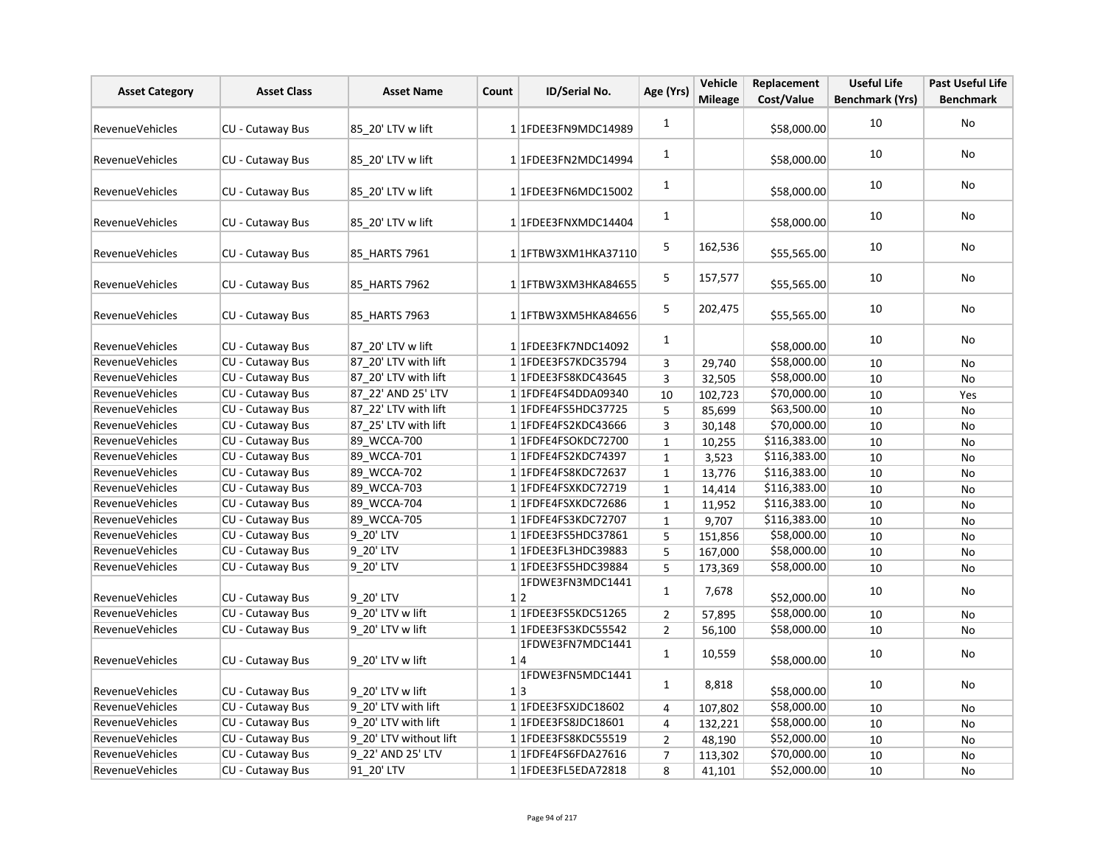| <b>Asset Category</b>  | <b>Asset Class</b>      | <b>Asset Name</b>      | Count | ID/Serial No.                  | Age (Yrs)      | Vehicle        | Replacement  | <b>Useful Life</b>     | <b>Past Useful Life</b> |
|------------------------|-------------------------|------------------------|-------|--------------------------------|----------------|----------------|--------------|------------------------|-------------------------|
|                        |                         |                        |       |                                |                | <b>Mileage</b> | Cost/Value   | <b>Benchmark (Yrs)</b> | <b>Benchmark</b>        |
| <b>RevenueVehicles</b> | CU - Cutaway Bus        | 85 20' LTV w lift      |       | 1 1FDEE3FN9MDC14989            | $\mathbf{1}$   |                | \$58,000.00  | 10                     | No                      |
| <b>RevenueVehicles</b> | CU - Cutaway Bus        | 85 20' LTV w lift      |       | 1 1FDEE3FN2MDC14994            | $\mathbf{1}$   |                | \$58,000.00  | 10                     | No                      |
| <b>RevenueVehicles</b> | CU - Cutaway Bus        | 85 20' LTV w lift      |       | 1 1FDEE3FN6MDC15002            | 1              |                | \$58,000.00  | 10                     | No                      |
| <b>RevenueVehicles</b> | CU - Cutaway Bus        | 85 20' LTV w lift      |       | 1 1FDEE3FNXMDC14404            | $\mathbf{1}$   |                | \$58,000.00  | 10                     | No                      |
| <b>RevenueVehicles</b> | CU - Cutaway Bus        | 85 HARTS 7961          |       | 11FTBW3XM1HKA37110             | 5              | 162,536        | \$55,565.00  | 10                     | No                      |
| <b>RevenueVehicles</b> | CU - Cutaway Bus        | 85 HARTS 7962          |       | 1 1FTBW3XM3HKA84655            | 5              | 157,577        | \$55,565.00  | 10                     | No                      |
| <b>RevenueVehicles</b> | CU - Cutaway Bus        | 85 HARTS 7963          |       | 1 1FTBW3XM5HKA84656            | 5              | 202,475        | \$55,565.00  | 10                     | No                      |
| <b>RevenueVehicles</b> | CU - Cutaway Bus        | 87 20' LTV w lift      |       | 1 1FDEE3FK7NDC14092            | $\mathbf{1}$   |                | \$58,000.00  | 10                     | No                      |
| <b>RevenueVehicles</b> | CU - Cutaway Bus        | 87 20' LTV with lift   |       | 1 1FDEE3FS7KDC35794            | 3              | 29,740         | \$58,000.00  | 10                     | No                      |
| RevenueVehicles        | CU - Cutaway Bus        | 87 20' LTV with lift   |       | 1 1FDEE3FS8KDC43645            | 3              | 32,505         | \$58,000.00  | 10                     | No                      |
| RevenueVehicles        | CU - Cutaway Bus        | 87 22' AND 25' LTV     |       | 1 1 FDFE4FS4DDA09340           | 10             | 102,723        | \$70,000.00  | 10                     | Yes                     |
| RevenueVehicles        | CU - Cutaway Bus        | 87_22' LTV with lift   |       | 1 1FDFE4FS5HDC37725            | 5              | 85,699         | \$63,500.00  | 10                     | No                      |
| <b>RevenueVehicles</b> | CU - Cutaway Bus        | 87 25' LTV with lift   |       | 1 1FDFE4FS2KDC43666            | $\overline{3}$ | 30,148         | \$70,000.00  | 10                     | <b>No</b>               |
| <b>RevenueVehicles</b> | CU - Cutaway Bus        | 89_WCCA-700            |       | 11FDFE4FSOKDC72700             | $\mathbf 1$    | 10,255         | \$116,383.00 | 10                     | No                      |
| <b>RevenueVehicles</b> | CU - Cutaway Bus        | 89_WCCA-701            |       | 1 1FDFE4FS2KDC74397            | $\mathbf{1}$   | 3,523          | \$116,383.00 | 10                     | No                      |
| <b>RevenueVehicles</b> | CU - Cutaway Bus        | 89 WCCA-702            |       | 1 1 FDFE4FS8KDC72637           | $\mathbf{1}$   | 13,776         | \$116,383.00 | 10                     | No                      |
| <b>RevenueVehicles</b> | CU - Cutaway Bus        | 89 WCCA-703            |       | 11FDFE4FSXKDC72719             | $\mathbf{1}$   | 14,414         | \$116,383.00 | 10                     | No                      |
| <b>RevenueVehicles</b> | CU - Cutaway Bus        | 89_WCCA-704            |       | 1 1FDFE4FSXKDC72686            | $\mathbf 1$    | 11,952         | \$116,383.00 | 10                     | No                      |
| <b>RevenueVehicles</b> | CU - Cutaway Bus        | 89 WCCA-705            |       | 1 1 FDFE4FS3KDC72707           | $\mathbf 1$    | 9,707          | \$116,383.00 | 10                     | No                      |
| <b>RevenueVehicles</b> | CU - Cutaway Bus        | 9 20' LTV              |       | 1 1 FDEE3 FS5 HDC3 7861        | 5              | 151,856        | \$58,000.00  | 10                     | No                      |
| <b>RevenueVehicles</b> | <b>CU - Cutaway Bus</b> | 9 20' LTV              |       | 1 1FDEE3FL3HDC39883            | 5              | 167,000        | \$58,000.00  | 10                     | <b>No</b>               |
| <b>RevenueVehicles</b> | CU - Cutaway Bus        | 9_20' LTV              |       | 1 1FDEE3FS5HDC39884            | 5              | 173,369        | \$58,000.00  | 10                     | No                      |
| <b>RevenueVehicles</b> | CU - Cutaway Bus        | 9 20' LTV              |       | 1FDWE3FN3MDC1441<br>1 2        | $\mathbf 1$    | 7,678          | \$52,000.00  | 10                     | No                      |
| <b>RevenueVehicles</b> | CU - Cutaway Bus        | 9 20' LTV w lift       |       | 11FDEE3FS5KDC51265             | $\overline{2}$ | 57,895         | \$58,000.00  | 10                     | No                      |
| <b>RevenueVehicles</b> | CU - Cutaway Bus        | 9 20' LTV w lift       |       | 1 1 FDEE3 FS3 KDC55542         | $\overline{2}$ | 56,100         | \$58,000.00  | 10                     | No                      |
| <b>RevenueVehicles</b> | CU - Cutaway Bus        | 9 20' LTV w lift       |       | 1FDWE3FN7MDC1441<br>1 4        | $\mathbf{1}$   | 10,559         | \$58,000.00  | 10                     | No                      |
| <b>RevenueVehicles</b> | CU - Cutaway Bus        | 9 20' LTV w lift       |       | 1FDWE3FN5MDC1441<br>$1\vert 3$ | $\mathbf{1}$   | 8,818          | \$58,000.00  | 10                     | No                      |
| RevenueVehicles        | CU - Cutaway Bus        | 9 20' LTV with lift    |       | 1 1FDEE3FSXJDC18602            | 4              | 107,802        | \$58,000.00  | 10                     | No                      |
| <b>RevenueVehicles</b> | CU - Cutaway Bus        | 9 20' LTV with lift    |       | 11FDEE3FS8JDC18601             | 4              | 132,221        | \$58,000.00  | 10                     | No                      |
| <b>RevenueVehicles</b> | CU - Cutaway Bus        | 9 20' LTV without lift |       | 1 1FDEE3FS8KDC55519            | $\overline{2}$ | 48,190         | \$52,000.00  | 10                     | No                      |
| <b>RevenueVehicles</b> | CU - Cutaway Bus        | 9 22' AND 25' LTV      |       | 1 1FDFE4FS6FDA27616            | $\overline{7}$ | 113,302        | \$70,000.00  | 10                     | No                      |
| <b>RevenueVehicles</b> | CU - Cutaway Bus        | 91_20' LTV             |       | 1 1FDEE3FL5EDA72818            | 8              | 41,101         | \$52,000.00  | 10                     | No                      |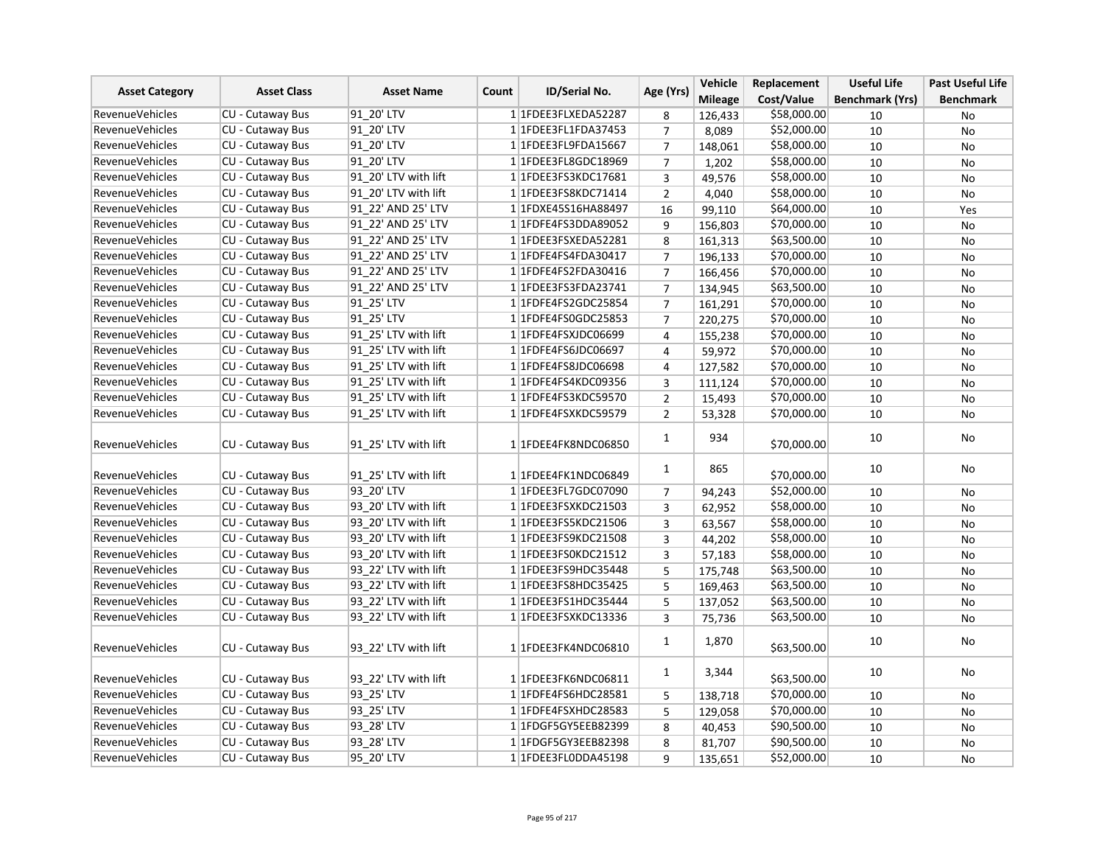|                        | <b>Asset Class</b>      | <b>Asset Name</b>    |       |                             | Age (Yrs)      | Vehicle        | Replacement | <b>Useful Life</b>     | <b>Past Useful Life</b> |
|------------------------|-------------------------|----------------------|-------|-----------------------------|----------------|----------------|-------------|------------------------|-------------------------|
| <b>Asset Category</b>  |                         |                      | Count | ID/Serial No.               |                | <b>Mileage</b> | Cost/Value  | <b>Benchmark (Yrs)</b> | <b>Benchmark</b>        |
| <b>RevenueVehicles</b> | CU - Cutaway Bus        | 91 20' LTV           |       | 1 1FDEE3FLXEDA52287         | 8              | 126,433        | \$58,000.00 | 10                     | No                      |
| <b>RevenueVehicles</b> | CU - Cutaway Bus        | 91 20' LTV           |       | 1 1FDEE3FL1FDA37453         | $\overline{7}$ | 8,089          | \$52,000.00 | 10                     | No                      |
| RevenueVehicles        | CU - Cutaway Bus        | 91 20' LTV           |       | 1 1FDEE3FL9FDA15667         | $\overline{7}$ | 148,061        | \$58,000.00 | 10                     | No                      |
| <b>RevenueVehicles</b> | CU - Cutaway Bus        | 91 20' LTV           |       | 1 1FDEE3FL8GDC18969         | $\overline{7}$ | 1,202          | \$58,000.00 | 10                     | No                      |
| <b>RevenueVehicles</b> | CU - Cutaway Bus        | 91_20' LTV with lift |       | 1 1 FDEE3 FS3 KDC 17681     | 3              | 49,576         | \$58,000.00 | 10                     | No                      |
| <b>RevenueVehicles</b> | CU - Cutaway Bus        | 91 20' LTV with lift |       | 1 1 FDEE3 FS8 KDC 7 1 4 1 4 | $\overline{2}$ | 4,040          | \$58,000.00 | 10                     | No                      |
| <b>RevenueVehicles</b> | CU - Cutaway Bus        | 91 22' AND 25' LTV   |       | 1 1FDXE45S16HA88497         | 16             | 99,110         | \$64,000.00 | 10                     | Yes                     |
| RevenueVehicles        | CU - Cutaway Bus        | 91 22' AND 25' LTV   |       | 1 1FDFE4FS3DDA89052         | 9              | 156,803        | \$70,000.00 | 10                     | No                      |
| <b>RevenueVehicles</b> | CU - Cutaway Bus        | 91 22' AND 25' LTV   |       | 1 1FDEE3FSXEDA52281         | 8              | 161,313        | \$63,500.00 | 10                     | No                      |
| <b>RevenueVehicles</b> | CU - Cutaway Bus        | 91 22' AND 25' LTV   |       | 1 1FDFE4FS4FDA30417         | $\overline{7}$ | 196,133        | \$70,000.00 | 10                     | No                      |
| <b>RevenueVehicles</b> | CU - Cutaway Bus        | 91 22' AND 25' LTV   |       | 1 1FDFE4FS2FDA30416         | $\overline{7}$ | 166,456        | \$70,000.00 | 10                     | <b>No</b>               |
| <b>RevenueVehicles</b> | CU - Cutaway Bus        | 91 22' AND 25' LTV   |       | 1 1 FDEE3FS3FDA23741        | $\overline{7}$ | 134,945        | \$63,500.00 | 10                     | No                      |
| <b>RevenueVehicles</b> | CU - Cutaway Bus        | 91 25' LTV           |       | 1 1 FDFE4FS2GDC25854        | $\overline{7}$ | 161,291        | \$70,000.00 | 10                     | No                      |
| <b>RevenueVehicles</b> | CU - Cutaway Bus        | 91 25' LTV           |       | 11FDFE4FS0GDC25853          | $\overline{7}$ | 220,275        | \$70,000.00 | 10                     | No                      |
| <b>RevenueVehicles</b> | CU - Cutaway Bus        | 91 25' LTV with lift |       | 1 1FDFE4FSXJDC06699         | 4              | 155,238        | \$70,000.00 | 10                     | No                      |
| <b>RevenueVehicles</b> | CU - Cutaway Bus        | 91 25' LTV with lift |       | 1 1FDFE4FS6JDC06697         | 4              | 59,972         | \$70,000.00 | 10                     | <b>No</b>               |
| <b>RevenueVehicles</b> | CU - Cutaway Bus        | 91 25' LTV with lift |       | 1 1 FDFE4FS8JDC06698        | 4              | 127,582        | \$70,000.00 | 10                     | <b>No</b>               |
| <b>RevenueVehicles</b> | CU - Cutaway Bus        | 91 25' LTV with lift |       | 1 1FDFE4FS4KDC09356         | 3              | 111,124        | \$70,000.00 | 10                     | No                      |
| <b>RevenueVehicles</b> | CU - Cutaway Bus        | 91 25' LTV with lift |       | 1 1FDFE4FS3KDC59570         | $\overline{2}$ | 15,493         | \$70,000.00 | 10                     | No                      |
| <b>RevenueVehicles</b> | CU - Cutaway Bus        | 91 25' LTV with lift |       | 1 1FDFE4FSXKDC59579         | $\overline{2}$ | 53,328         | \$70,000.00 | 10                     | <b>No</b>               |
| <b>RevenueVehicles</b> | CU - Cutaway Bus        | 91 25' LTV with lift |       | 1 1FDEE4FK8NDC06850         | $\mathbf{1}$   | 934            | \$70,000.00 | 10                     | No                      |
| <b>RevenueVehicles</b> | <b>CU - Cutaway Bus</b> | 91 25' LTV with lift |       | 1 1FDEE4FK1NDC06849         | 1              | 865            | \$70,000.00 | 10                     | <b>No</b>               |
| <b>RevenueVehicles</b> | CU - Cutaway Bus        | 93 20' LTV           |       | 1 1FDEE3FL7GDC07090         | $\overline{7}$ | 94,243         | \$52,000.00 | 10                     | No                      |
| RevenueVehicles        | <b>CU - Cutaway Bus</b> | 93 20' LTV with lift |       | 1 1FDEE3FSXKDC21503         | $\overline{3}$ | 62,952         | \$58,000.00 | 10                     | <b>No</b>               |
| <b>RevenueVehicles</b> | CU - Cutaway Bus        | 93 20' LTV with lift |       | 1 1FDEE3FS5KDC21506         | 3              | 63,567         | \$58,000.00 | 10                     | <b>No</b>               |
| <b>RevenueVehicles</b> | CU - Cutaway Bus        | 93 20' LTV with lift |       | 1 1FDEE3FS9KDC21508         | 3              | 44,202         | \$58,000.00 | 10                     | No                      |
| <b>RevenueVehicles</b> | CU - Cutaway Bus        | 93 20' LTV with lift |       | 1 1FDEE3FS0KDC21512         | 3              | 57,183         | \$58,000.00 | 10                     | <b>No</b>               |
| <b>RevenueVehicles</b> | CU - Cutaway Bus        | 93 22' LTV with lift |       | 1 1FDEE3FS9HDC35448         | 5              | 175,748        | \$63,500.00 | 10                     | No                      |
| <b>RevenueVehicles</b> | CU - Cutaway Bus        | 93 22' LTV with lift |       | 1 1 FDEE3 FS8 HDC35425      | 5              | 169,463        | \$63,500.00 | 10                     | No                      |
| <b>RevenueVehicles</b> | CU - Cutaway Bus        | 93 22' LTV with lift |       | 1 1FDEE3FS1HDC35444         | 5              | 137,052        | \$63,500.00 | 10                     | No                      |
| <b>RevenueVehicles</b> | <b>CU - Cutaway Bus</b> | 93 22' LTV with lift |       | 1 1FDEE3FSXKDC13336         | 3              | 75,736         | \$63,500.00 | 10                     | No                      |
| RevenueVehicles        | CU - Cutaway Bus        | 93_22' LTV with lift |       | 1 1FDEE3FK4NDC06810         | $\mathbf{1}$   | 1,870          | \$63,500.00 | 10                     | No                      |
| <b>RevenueVehicles</b> | <b>CU - Cutaway Bus</b> | 93 22' LTV with lift |       | 1 1FDEE3FK6NDC06811         | $\mathbf{1}$   | 3,344          | \$63,500.00 | 10                     | No                      |
| <b>RevenueVehicles</b> | CU - Cutaway Bus        | 93 25' LTV           |       | 1 1 FDFE4FS6HDC28581        | 5              | 138,718        | \$70,000.00 | 10                     | No                      |
| <b>RevenueVehicles</b> | CU - Cutaway Bus        | 93_25' LTV           |       | 1 1FDFE4FSXHDC28583         | 5              | 129,058        | \$70,000.00 | 10                     | No                      |
| <b>RevenueVehicles</b> | CU - Cutaway Bus        | 93 28' LTV           |       | 1 1 FDGF5 GY5 EEB82399      | 8              | 40,453         | \$90,500.00 | 10                     | No                      |
| <b>RevenueVehicles</b> | <b>CU - Cutaway Bus</b> | 93 28' LTV           |       | 1 1 FDGF5 GY3EEB82398       | 8              | 81,707         | \$90,500.00 | 10                     | No                      |
| <b>RevenueVehicles</b> | <b>CU - Cutaway Bus</b> | 95 20' LTV           |       | 1 1FDEE3FL0DDA45198         | 9              | 135,651        | \$52,000.00 | 10                     | <b>No</b>               |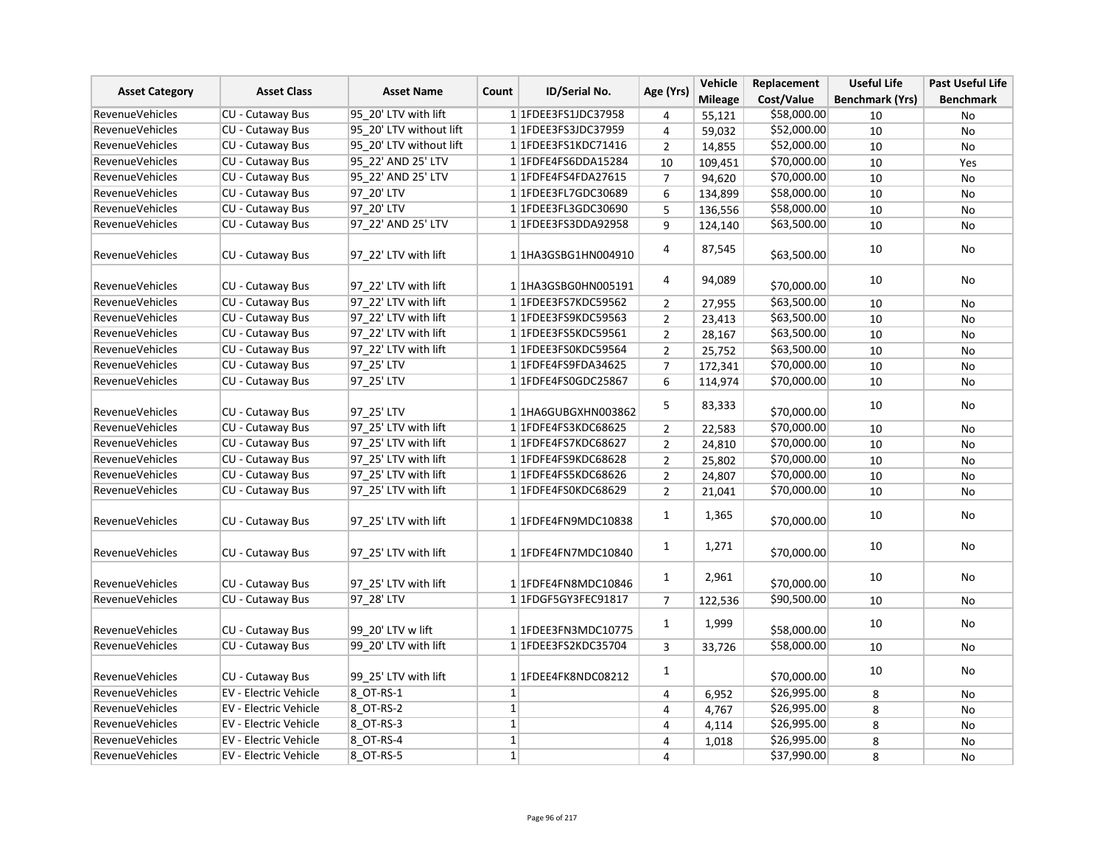| <b>Asset Category</b>  | <b>Asset Class</b>           | <b>Asset Name</b>       | ID/Serial No.<br>Count | Age (Yrs)                | Vehicle        | Replacement    | <b>Useful Life</b> | <b>Past Useful Life</b> |                  |
|------------------------|------------------------------|-------------------------|------------------------|--------------------------|----------------|----------------|--------------------|-------------------------|------------------|
|                        |                              |                         |                        |                          |                | <b>Mileage</b> | Cost/Value         | <b>Benchmark (Yrs)</b>  | <b>Benchmark</b> |
| <b>RevenueVehicles</b> | CU - Cutaway Bus             | 95 20' LTV with lift    |                        | 1 1FDEE3FS1JDC37958      | 4              | 55,121         | \$58,000.00        | 10                      | No               |
| <b>RevenueVehicles</b> | <b>CU - Cutaway Bus</b>      | 95 20' LTV without lift |                        | 1 1 FDEE3FS3JDC37959     | 4              | 59,032         | \$52,000.00        | 10                      | No               |
| RevenueVehicles        | CU - Cutaway Bus             | 95 20' LTV without lift |                        | 1 1FDEE3FS1KDC71416      | $\overline{2}$ | 14,855         | \$52,000.00        | 10                      | <b>No</b>        |
| <b>RevenueVehicles</b> | CU - Cutaway Bus             | 95 22' AND 25' LTV      |                        | 1 1FDFE4FS6DDA15284      | 10             | 109,451        | \$70,000.00        | 10                      | Yes              |
| <b>RevenueVehicles</b> | CU - Cutaway Bus             | 95_22' AND 25' LTV      |                        | 1 1FDFE4FS4FDA27615      | $\overline{7}$ | 94,620         | \$70,000.00        | 10                      | No               |
| <b>RevenueVehicles</b> | <b>CU - Cutaway Bus</b>      | 97 20' LTV              |                        | 1 1FDEE3FL7GDC30689      | 6              | 134,899        | \$58,000.00        | 10                      | No               |
| <b>RevenueVehicles</b> | CU - Cutaway Bus             | 97 20' LTV              |                        | 1 1FDEE3FL3GDC30690      | 5              | 136,556        | \$58,000.00        | 10                      | No               |
| <b>RevenueVehicles</b> | CU - Cutaway Bus             | 97 22' AND 25' LTV      |                        | 1 1FDEE3FS3DDA92958      | 9              | 124,140        | \$63,500.00        | 10                      | No               |
| <b>RevenueVehicles</b> | CU - Cutaway Bus             | 97 22' LTV with lift    |                        | 1 1HA3GSBG1HN004910      | 4              | 87,545         | \$63,500.00        | 10                      | No               |
| <b>RevenueVehicles</b> | <b>CU - Cutaway Bus</b>      | 97 22' LTV with lift    |                        | 1 1HA3GSBG0HN005191      | 4              | 94,089         | \$70,000.00        | 10                      | No               |
| <b>RevenueVehicles</b> | CU - Cutaway Bus             | 97 22' LTV with lift    |                        | 1 1FDEE3FS7KDC59562      | $\overline{2}$ | 27,955         | \$63,500.00        | 10                      | No               |
| RevenueVehicles        | CU - Cutaway Bus             | 97 22' LTV with lift    |                        | 11FDEE3FS9KDC59563       | $\overline{2}$ | 23,413         | \$63,500.00        | 10                      | No               |
| RevenueVehicles        | <b>CU - Cutaway Bus</b>      | 97 22' LTV with lift    |                        | 1 1FDEE3FS5KDC59561      | $\overline{2}$ | 28,167         | \$63,500.00        | 10                      | No               |
| <b>RevenueVehicles</b> | <b>CU - Cutaway Bus</b>      | 97 22' LTV with lift    |                        | 1 1FDEE3FS0KDC59564      | $\overline{2}$ | 25,752         | \$63,500.00        | 10                      | No               |
| <b>RevenueVehicles</b> | CU - Cutaway Bus             | 97 25' LTV              |                        | 1 1FDFE4FS9FDA34625      | $\overline{7}$ | 172,341        | \$70,000.00        | 10                      | No               |
| <b>RevenueVehicles</b> | <b>CU - Cutaway Bus</b>      | 97 25' LTV              |                        | 1 1FDFE4FS0GDC25867      | 6              | 114,974        | \$70,000.00        | 10                      | No               |
| <b>RevenueVehicles</b> | CU - Cutaway Bus             | 97 25' LTV              |                        | 1 1HA6GUBGXHN003862      | 5              | 83,333         | \$70,000.00        | 10                      | No               |
| <b>RevenueVehicles</b> | CU - Cutaway Bus             | 97 25' LTV with lift    |                        | 1 1FDFE4FS3KDC68625      | $\overline{2}$ | 22,583         | \$70,000.00        | 10                      | No               |
| <b>RevenueVehicles</b> | CU - Cutaway Bus             | 97 25' LTV with lift    |                        | 1 1FDFE4FS7KDC68627      | $\overline{2}$ | 24,810         | \$70,000.00        | 10                      | No               |
| <b>RevenueVehicles</b> | CU - Cutaway Bus             | 97 25' LTV with lift    |                        | 1 1FDFE4FS9KDC68628      | $\overline{2}$ | 25,802         | \$70,000.00        | 10                      | No               |
| <b>RevenueVehicles</b> | CU - Cutaway Bus             | 97 25' LTV with lift    |                        | 1 1FDFE4FS5KDC68626      | $\overline{2}$ | 24,807         | \$70,000.00        | 10                      | No               |
| <b>RevenueVehicles</b> | <b>CU - Cutaway Bus</b>      | 97 25' LTV with lift    |                        | 1 1FDFE4FS0KDC68629      | $\overline{2}$ | 21,041         | \$70,000.00        | 10                      | No               |
| <b>RevenueVehicles</b> | CU - Cutaway Bus             | 97 25' LTV with lift    |                        | 1 1FDFE4FN9MDC10838      | $\mathbf{1}$   | 1,365          | \$70,000.00        | 10                      | No               |
| <b>RevenueVehicles</b> | CU - Cutaway Bus             | 97_25' LTV with lift    |                        | 1 1FDFE4FN7MDC10840      | $\mathbf{1}$   | 1,271          | \$70,000.00        | 10                      | No               |
| RevenueVehicles        | <b>CU - Cutaway Bus</b>      | 97 25' LTV with lift    |                        | 1 1FDFE4FN8MDC10846      | $\mathbf{1}$   | 2,961          | \$70,000.00        | 10                      | No               |
| <b>RevenueVehicles</b> | <b>CU - Cutaway Bus</b>      | 97 28' LTV              |                        | 1 1 FDGF5 GY3 FEC 9 1817 | $\overline{7}$ | 122,536        | \$90,500.00        | 10                      | No               |
| <b>RevenueVehicles</b> | CU - Cutaway Bus             | 99 20' LTV w lift       |                        | 1 1FDEE3FN3MDC10775      | $\mathbf{1}$   | 1,999          | \$58,000.00        | 10                      | No               |
| <b>RevenueVehicles</b> | CU - Cutaway Bus             | 99 20' LTV with lift    |                        | 1 1FDEE3FS2KDC35704      | 3              | 33,726         | \$58,000.00        | 10                      | No               |
| <b>RevenueVehicles</b> | CU - Cutaway Bus             | 99 25' LTV with lift    |                        | 1 1FDEE4FK8NDC08212      | $\mathbf{1}$   |                | \$70,000.00        | 10                      | No               |
| <b>RevenueVehicles</b> | EV - Electric Vehicle        | 8 OT-RS-1               | $1\vert$               |                          | 4              | 6,952          | \$26,995.00        | 8                       | No               |
| <b>RevenueVehicles</b> | <b>EV - Electric Vehicle</b> | 8 OT-RS-2               | $1\vert$               |                          | 4              | 4,767          | \$26,995.00        | 8                       | No               |
| <b>RevenueVehicles</b> | EV - Electric Vehicle        | 8 OT-RS-3               | $1\vert$               |                          | 4              | 4,114          | \$26,995.00        | 8                       | No               |
| <b>RevenueVehicles</b> | EV - Electric Vehicle        | 8 OT-RS-4               | $1\vert$               |                          | 4              | 1,018          | \$26,995.00        | 8                       | No               |
| <b>RevenueVehicles</b> | <b>EV - Electric Vehicle</b> | 8 OT-RS-5               | $1\vert$               |                          | 4              |                | \$37,990.00        | 8                       | No               |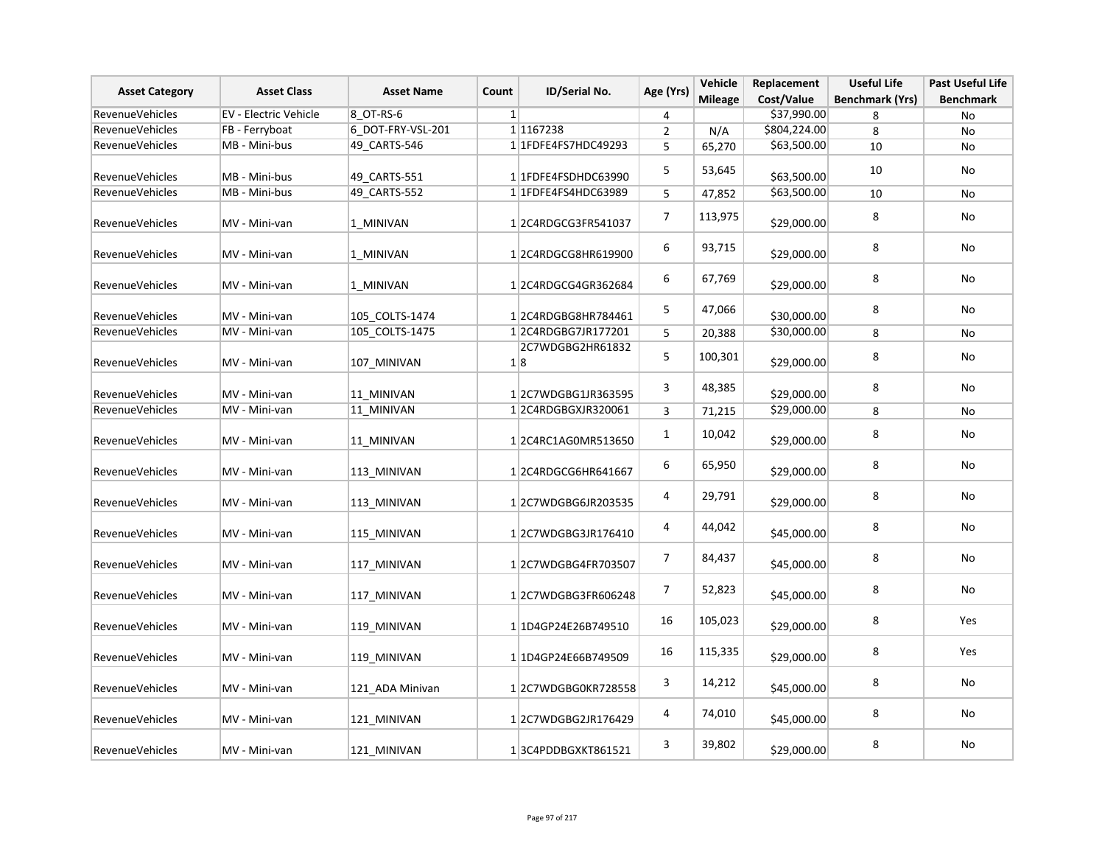| <b>Asset Category</b>  | <b>Asset Class</b>    | <b>Asset Name</b> | Count    | ID/Serial No.          | Age (Yrs)               | Vehicle<br><b>Mileage</b> | Replacement<br>Cost/Value | <b>Useful Life</b><br><b>Benchmark (Yrs)</b> | <b>Past Useful Life</b><br><b>Benchmark</b> |
|------------------------|-----------------------|-------------------|----------|------------------------|-------------------------|---------------------------|---------------------------|----------------------------------------------|---------------------------------------------|
| RevenueVehicles        | EV - Electric Vehicle | 8 OT-RS-6         | $1\vert$ |                        | 4                       |                           | \$37,990.00               | 8                                            | No                                          |
| RevenueVehicles        | FB - Ferryboat        | 6 DOT-FRY-VSL-201 |          | 1 1167238              | $\overline{2}$          | N/A                       | \$804,224.00              | 8                                            | No                                          |
| <b>RevenueVehicles</b> | MB - Mini-bus         | 49 CARTS-546      |          | 1 1FDFE4FS7HDC49293    | 5                       | 65,270                    | \$63,500.00               | 10                                           | No                                          |
| RevenueVehicles        | MB - Mini-bus         | 49 CARTS-551      |          | 11FDFE4FSDHDC63990     | 5                       | 53,645                    | \$63,500.00               | 10                                           | No                                          |
| <b>RevenueVehicles</b> | MB - Mini-bus         | 49_CARTS-552      |          | 1 1 FDFE4FS4HDC63989   | 5                       | 47,852                    | \$63,500.00               | 10                                           | No                                          |
| RevenueVehicles        | MV - Mini-van         | 1 MINIVAN         |          | 12C4RDGCG3FR541037     | $\overline{7}$          | 113,975                   | \$29,000.00               | 8                                            | No                                          |
| <b>RevenueVehicles</b> | MV - Mini-van         | 1 MINIVAN         |          | 12C4RDGCG8HR619900     | $\boldsymbol{6}$        | 93,715                    | \$29,000.00               | 8                                            | No                                          |
| RevenueVehicles        | MV - Mini-van         | 1 MINIVAN         |          | 12C4RDGCG4GR362684     | 6                       | 67,769                    | \$29,000.00               | 8                                            | No                                          |
| Revenue Vehicles       | MV - Mini-van         | 105 COLTS-1474    |          | 12C4RDGBG8HR784461     | 5                       | 47,066                    | \$30,000.00               | 8                                            | No                                          |
| RevenueVehicles        | MV - Mini-van         | 105 COLTS-1475    |          | 12C4RDGBG7JR177201     | 5                       | 20,388                    | \$30,000.00               | 8                                            | No                                          |
| RevenueVehicles        | MV - Mini-van         | 107_MINIVAN       |          | 2C7WDGBG2HR61832<br>18 | 5                       | 100,301                   | \$29,000.00               | 8                                            | No                                          |
| Revenue Vehicles       | MV - Mini-van         | 11 MINIVAN        |          | 12C7WDGBG1JR363595     | 3                       | 48,385                    | \$29,000.00               | 8                                            | No                                          |
| RevenueVehicles        | MV - Mini-van         | 11_MINIVAN        |          | 1 2C4RDGBGXJR320061    | 3                       | 71,215                    | \$29,000.00               | 8                                            | No                                          |
| RevenueVehicles        | MV - Mini-van         | 11_MINIVAN        |          | 12C4RC1AG0MR513650     | $\mathbf{1}$            | 10,042                    | \$29,000.00               | 8                                            | No                                          |
| RevenueVehicles        | MV - Mini-van         | 113 MINIVAN       |          | 12C4RDGCG6HR641667     | 6                       | 65,950                    | \$29,000.00               | 8                                            | No                                          |
| RevenueVehicles        | MV - Mini-van         | 113 MINIVAN       |          | 12C7WDGBG6JR203535     | 4                       | 29,791                    | \$29,000.00               | 8                                            | No                                          |
| RevenueVehicles        | MV - Mini-van         | 115 MINIVAN       |          | 12C7WDGBG3JR176410     | 4                       | 44,042                    | \$45,000.00               | 8                                            | No                                          |
| RevenueVehicles        | MV - Mini-van         | 117_MINIVAN       |          | 12C7WDGBG4FR703507     | $\overline{7}$          | 84,437                    | \$45,000.00               | 8                                            | No                                          |
| RevenueVehicles        | MV - Mini-van         | 117_MINIVAN       |          | 12C7WDGBG3FR606248     | $\overline{7}$          | 52,823                    | \$45,000.00               | 8                                            | No                                          |
| RevenueVehicles        | MV - Mini-van         | 119 MINIVAN       |          | 11D4GP24E26B749510     | 16                      | 105,023                   | \$29,000.00               | 8                                            | Yes                                         |
| <b>RevenueVehicles</b> | MV - Mini-van         | 119_MINIVAN       |          | 1 1D4GP24E66B749509    | 16                      | 115,335                   | \$29,000.00               | 8                                            | Yes                                         |
| RevenueVehicles        | MV - Mini-van         | 121 ADA Minivan   |          | 12C7WDGBG0KR728558     | 3                       | 14,212                    | \$45,000.00               | 8                                            | No                                          |
| RevenueVehicles        | MV - Mini-van         | 121 MINIVAN       |          | 12C7WDGBG2JR176429     | $\overline{\mathbf{4}}$ | 74,010                    | \$45,000.00               | 8                                            | No                                          |
| RevenueVehicles        | MV - Mini-van         | 121 MINIVAN       |          | 13C4PDDBGXKT861521     | 3                       | 39,802                    | \$29,000.00               | 8                                            | No                                          |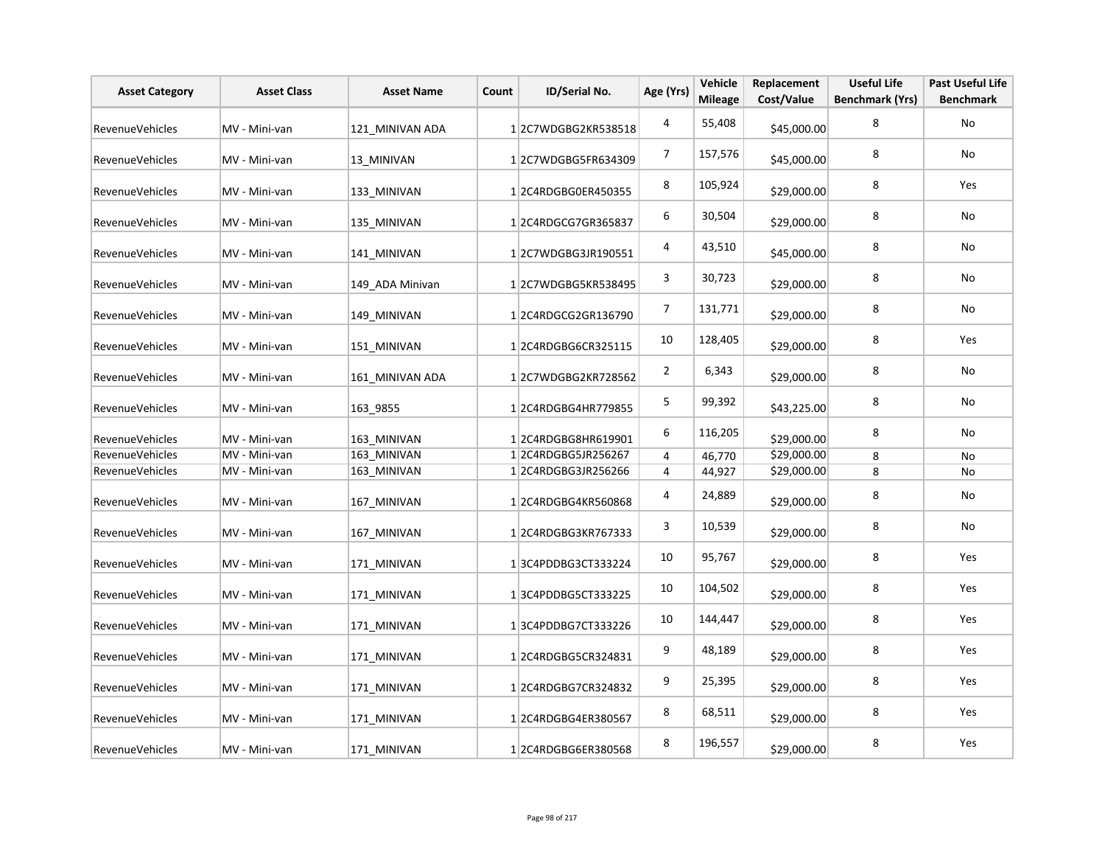| <b>Asset Category</b>  | <b>Asset Class</b> | <b>Asset Name</b> | Count | ID/Serial No.      | Age (Yrs)               | Vehicle<br><b>Mileage</b> | Replacement<br>Cost/Value | <b>Useful Life</b><br><b>Benchmark (Yrs)</b> | Past Useful Life<br><b>Benchmark</b> |
|------------------------|--------------------|-------------------|-------|--------------------|-------------------------|---------------------------|---------------------------|----------------------------------------------|--------------------------------------|
| RevenueVehicles        | MV - Mini-van      | 121 MINIVAN ADA   |       | 12C7WDGBG2KR538518 | 4                       | 55,408                    | \$45,000.00               | 8                                            | No                                   |
| <b>RevenueVehicles</b> | MV - Mini-van      | 13 MINIVAN        |       | 12C7WDGBG5FR634309 | 7                       | 157,576                   | \$45,000.00               | 8                                            | No                                   |
| RevenueVehicles        | MV - Mini-van      | 133 MINIVAN       |       | 12C4RDGBG0ER450355 | 8                       | 105,924                   | \$29,000.00               | 8                                            | Yes                                  |
| RevenueVehicles        | MV - Mini-van      | 135_MINIVAN       |       | 12C4RDGCG7GR365837 | 6                       | 30,504                    | \$29,000.00               | 8                                            | No                                   |
| RevenueVehicles        | MV - Mini-van      | 141 MINIVAN       |       | 12C7WDGBG3JR190551 | $\overline{\mathbf{r}}$ | 43,510                    | \$45,000.00               | 8                                            | No                                   |
| RevenueVehicles        | MV - Mini-van      | 149 ADA Minivan   |       | 12C7WDGBG5KR538495 | 3                       | 30,723                    | \$29,000.00               | 8                                            | No                                   |
| <b>RevenueVehicles</b> | MV - Mini-van      | 149 MINIVAN       |       | 12C4RDGCG2GR136790 | 7                       | 131,771                   | \$29,000.00               | 8                                            | No                                   |
| RevenueVehicles        | MV - Mini-van      | 151_MINIVAN       |       | 12C4RDGBG6CR325115 | $10\,$                  | 128,405                   | \$29,000.00               | 8                                            | Yes                                  |
| RevenueVehicles        | MV - Mini-van      | 161 MINIVAN ADA   |       | 12C7WDGBG2KR728562 | $\overline{2}$          | 6,343                     | \$29,000.00               | 8                                            | No                                   |
| RevenueVehicles        | MV - Mini-van      | 163 9855          |       | 12C4RDGBG4HR779855 | $\mathsf S$             | 99,392                    | \$43,225.00               | 8                                            | No                                   |
| RevenueVehicles        | MV - Mini-van      | 163_MINIVAN       |       | 12C4RDGBG8HR619901 | 6                       | 116,205                   | \$29,000.00               | 8                                            | No                                   |
| RevenueVehicles        | MV - Mini-van      | 163 MINIVAN       |       | 12C4RDGBG5JR256267 | $\overline{\mathbf{4}}$ | 46,770                    | \$29,000.00               | 8                                            | No                                   |
| <b>RevenueVehicles</b> | MV - Mini-van      | 163_MINIVAN       |       | 12C4RDGBG3JR256266 | 4                       | 44,927                    | \$29,000.00               | 8                                            | No                                   |
| <b>RevenueVehicles</b> | MV - Mini-van      | 167 MINIVAN       |       | 12C4RDGBG4KR560868 | 4                       | 24,889                    | \$29,000.00               | 8                                            | No                                   |
| RevenueVehicles        | MV - Mini-van      | 167 MINIVAN       |       | 12C4RDGBG3KR767333 | 3                       | 10,539                    | \$29,000.00               | 8                                            | No                                   |
| RevenueVehicles        | MV - Mini-van      | 171 MINIVAN       |       | 13C4PDDBG3CT333224 | 10                      | 95,767                    | \$29,000.00               | 8                                            | Yes                                  |
| RevenueVehicles        | MV - Mini-van      | 171 MINIVAN       |       | 13C4PDDBG5CT333225 | 10                      | 104,502                   | \$29,000.00               | 8                                            | Yes                                  |
| RevenueVehicles        | MV - Mini-van      | 171 MINIVAN       |       | 13C4PDDBG7CT333226 | 10                      | 144,447                   | \$29,000.00               | 8                                            | Yes                                  |
| <b>RevenueVehicles</b> | MV - Mini-van      | 171_MINIVAN       |       | 12C4RDGBG5CR324831 | 9                       | 48,189                    | \$29,000.00               | 8                                            | Yes                                  |
| RevenueVehicles        | MV - Mini-van      | 171 MINIVAN       |       | 12C4RDGBG7CR324832 | 9                       | 25,395                    | \$29,000.00               | 8                                            | Yes                                  |
| RevenueVehicles        | MV - Mini-van      | 171 MINIVAN       |       | 12C4RDGBG4ER380567 | 8                       | 68,511                    | \$29,000.00               | 8                                            | Yes                                  |
| <b>RevenueVehicles</b> | MV - Mini-van      | 171 MINIVAN       |       | 12C4RDGBG6ER380568 | 8                       | 196,557                   | \$29,000.00               | 8                                            | Yes                                  |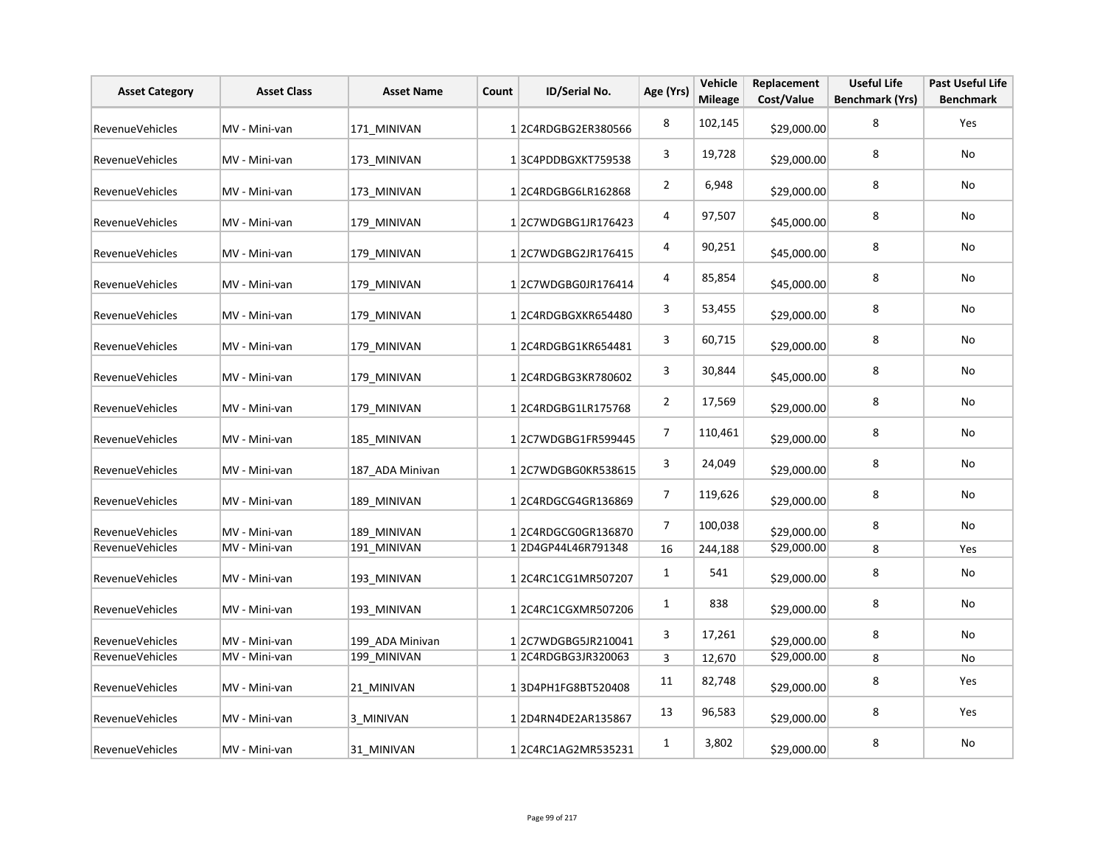| <b>Asset Category</b>  | <b>Asset Class</b> | <b>Asset Name</b> | Count | ID/Serial No.      | Age (Yrs)               | Vehicle<br><b>Mileage</b> | Replacement<br>Cost/Value | <b>Useful Life</b><br><b>Benchmark (Yrs)</b> | <b>Past Useful Life</b><br><b>Benchmark</b> |
|------------------------|--------------------|-------------------|-------|--------------------|-------------------------|---------------------------|---------------------------|----------------------------------------------|---------------------------------------------|
| RevenueVehicles        | MV - Mini-van      | 171 MINIVAN       |       | 12C4RDGBG2ER380566 | 8                       | 102,145                   | \$29,000.00               | 8                                            | Yes                                         |
| <b>RevenueVehicles</b> | MV - Mini-van      | 173 MINIVAN       |       | 13C4PDDBGXKT759538 | 3                       | 19,728                    | \$29,000.00               | 8                                            | No                                          |
| RevenueVehicles        | MV - Mini-van      | 173 MINIVAN       |       | 12C4RDGBG6LR162868 | $\overline{2}$          | 6,948                     | \$29,000.00               | 8                                            | No                                          |
| RevenueVehicles        | MV - Mini-van      | 179_MINIVAN       |       | 12C7WDGBG1JR176423 | 4                       | 97,507                    | \$45,000.00               | 8                                            | No                                          |
| RevenueVehicles        | MV - Mini-van      | 179_MINIVAN       |       | 12C7WDGBG2JR176415 | $\overline{\mathbf{r}}$ | 90,251                    | \$45,000.00               | 8                                            | No                                          |
| RevenueVehicles        | MV - Mini-van      | 179 MINIVAN       |       | 12C7WDGBG0JR176414 | 4                       | 85,854                    | \$45,000.00               | 8                                            | No                                          |
| <b>RevenueVehicles</b> | MV - Mini-van      | 179 MINIVAN       |       | 12C4RDGBGXKR654480 | 3                       | 53,455                    | \$29,000.00               | 8                                            | No                                          |
| RevenueVehicles        | MV - Mini-van      | 179 MINIVAN       |       | 12C4RDGBG1KR654481 | 3                       | 60,715                    | \$29,000.00               | 8                                            | No                                          |
| RevenueVehicles        | MV - Mini-van      | 179 MINIVAN       |       | 12C4RDGBG3KR780602 | 3                       | 30,844                    | \$45,000.00               | 8                                            | No                                          |
| RevenueVehicles        | MV - Mini-van      | 179 MINIVAN       |       | 12C4RDGBG1LR175768 | $\overline{2}$          | 17,569                    | \$29,000.00               | 8                                            | No                                          |
| RevenueVehicles        | MV - Mini-van      | 185 MINIVAN       |       | 12C7WDGBG1FR599445 | $\overline{7}$          | 110,461                   | \$29,000.00               | 8                                            | No                                          |
| RevenueVehicles        | MV - Mini-van      | 187 ADA Minivan   |       | 12C7WDGBG0KR538615 | 3                       | 24,049                    | \$29,000.00               | 8                                            | No                                          |
| <b>RevenueVehicles</b> | MV - Mini-van      | 189 MINIVAN       |       | 12C4RDGCG4GR136869 | $\overline{7}$          | 119,626                   | \$29,000.00               | 8                                            | No                                          |
| RevenueVehicles        | MV - Mini-van      | 189 MINIVAN       |       | 12C4RDGCG0GR136870 | $\overline{7}$          | 100,038                   | \$29,000.00               | 8                                            | No                                          |
| RevenueVehicles        | MV - Mini-van      | 191 MINIVAN       |       | 12D4GP44L46R791348 | 16                      | 244,188                   | \$29,000.00               | 8                                            | Yes                                         |
| <b>RevenueVehicles</b> | MV - Mini-van      | 193 MINIVAN       |       | 12C4RC1CG1MR507207 | $\mathbf{1}$            | 541                       | \$29,000.00               | 8                                            | No                                          |
| RevenueVehicles        | MV - Mini-van      | 193 MINIVAN       |       | 12C4RC1CGXMR507206 | $\mathbf{1}$            | 838                       | \$29,000.00               | 8                                            | No                                          |
| RevenueVehicles        | MV - Mini-van      | 199 ADA Minivan   |       | 12C7WDGBG5JR210041 | 3                       | 17,261                    | \$29,000.00               | 8                                            | No                                          |
| RevenueVehicles        | MV - Mini-van      | 199_MINIVAN       |       | 12C4RDGBG3JR320063 | 3                       | 12,670                    | \$29,000.00               | 8                                            | No                                          |
| RevenueVehicles        | MV - Mini-van      | 21 MINIVAN        |       | 13D4PH1FG8BT520408 | 11                      | 82,748                    | \$29,000.00               | 8                                            | Yes                                         |
| RevenueVehicles        | MV - Mini-van      | 3_MINIVAN         |       | 12D4RN4DE2AR135867 | 13                      | 96,583                    | \$29,000.00               | 8                                            | Yes                                         |
| RevenueVehicles        | MV - Mini-van      | 31 MINIVAN        |       | 12C4RC1AG2MR535231 | $\mathbf{1}$            | 3,802                     | \$29,000.00               | 8                                            | No                                          |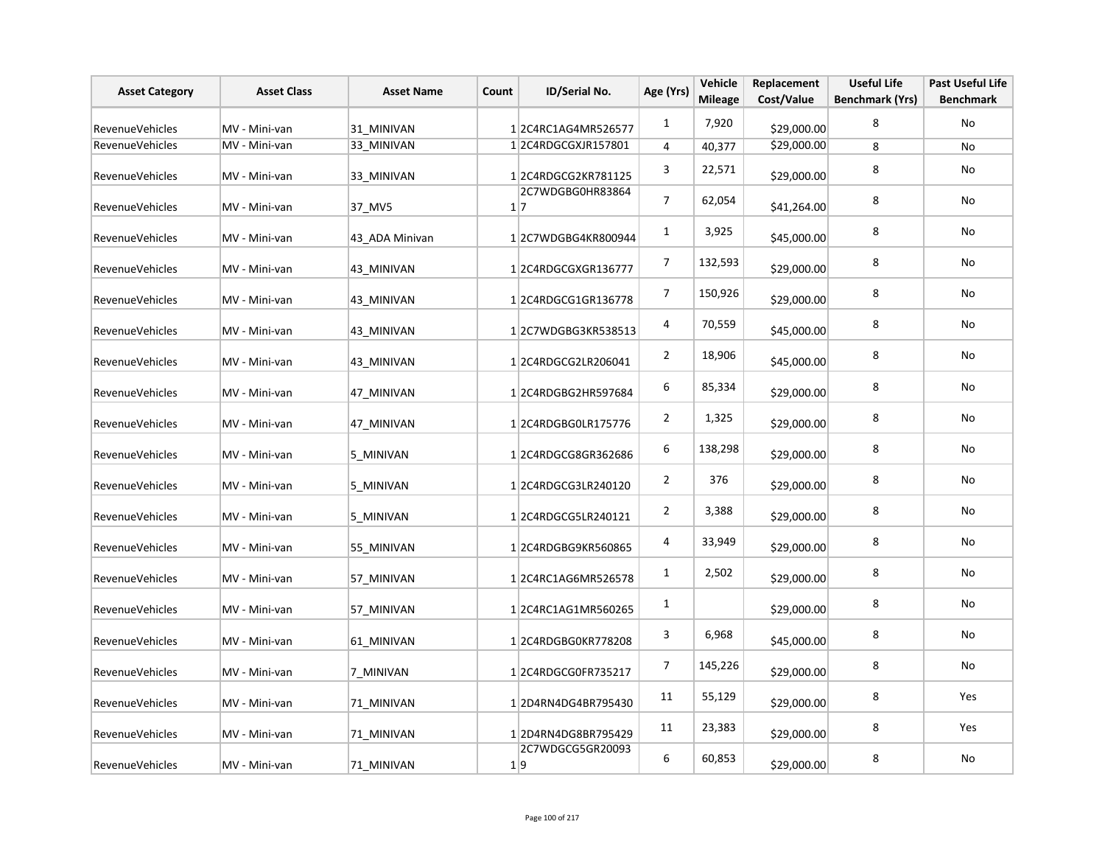| <b>Asset Category</b>  | <b>Asset Class</b> | <b>Asset Name</b> | Count | ID/Serial No.                  | Age (Yrs)               | Vehicle<br><b>Mileage</b> | Replacement<br>Cost/Value | <b>Useful Life</b><br><b>Benchmark (Yrs)</b> | <b>Past Useful Life</b><br><b>Benchmark</b> |
|------------------------|--------------------|-------------------|-------|--------------------------------|-------------------------|---------------------------|---------------------------|----------------------------------------------|---------------------------------------------|
| <b>RevenueVehicles</b> | MV - Mini-van      | 31 MINIVAN        |       | 12C4RC1AG4MR526577             | $\mathbf{1}$            | 7,920                     | \$29,000.00               | 8                                            | No                                          |
| <b>RevenueVehicles</b> | MV - Mini-van      | 33 MINIVAN        |       | 1 2C4RDGCGXJR157801            | 4                       | 40,377                    | \$29,000.00               | 8                                            | No                                          |
| <b>RevenueVehicles</b> | MV - Mini-van      | 33 MINIVAN        |       | 12C4RDGCG2KR781125             | 3                       | 22,571                    | \$29,000.00               | 8                                            | No                                          |
| RevenueVehicles        | MV - Mini-van      | 37 MV5            |       | 2C7WDGBG0HR83864<br>$1\vert 7$ | $\overline{7}$          | 62,054                    | \$41,264.00               | 8                                            | No                                          |
| <b>RevenueVehicles</b> | MV - Mini-van      | 43 ADA Minivan    |       | 12C7WDGBG4KR800944             | $\mathbf{1}$            | 3,925                     | \$45,000.00               | 8                                            | No                                          |
| <b>RevenueVehicles</b> | MV - Mini-van      | 43 MINIVAN        |       | 12C4RDGCGXGR136777             | $\overline{7}$          | 132,593                   | \$29,000.00               | 8                                            | No                                          |
| <b>RevenueVehicles</b> | MV - Mini-van      | 43_MINIVAN        |       | 1 2C4RDGCG1GR136778            | $\overline{7}$          | 150,926                   | \$29,000.00               | 8                                            | No                                          |
| RevenueVehicles        | MV - Mini-van      | 43 MINIVAN        |       | 12C7WDGBG3KR538513             | $\overline{\mathbf{4}}$ | 70,559                    | \$45,000.00               | 8                                            | No                                          |
| <b>RevenueVehicles</b> | MV - Mini-van      | 43 MINIVAN        |       | 1 2C4RDGCG2LR206041            | $\overline{2}$          | 18,906                    | \$45,000.00               | 8                                            | <b>No</b>                                   |
| RevenueVehicles        | MV - Mini-van      | 47 MINIVAN        |       | 12C4RDGBG2HR597684             | 6                       | 85,334                    | \$29,000.00               | 8                                            | No                                          |
| RevenueVehicles        | MV - Mini-van      | 47 MINIVAN        |       | 12C4RDGBG0LR175776             | $\overline{2}$          | 1,325                     | \$29,000.00               | 8                                            | No                                          |
| <b>RevenueVehicles</b> | MV - Mini-van      | 5 MINIVAN         |       | 12C4RDGCG8GR362686             | $\boldsymbol{6}$        | 138,298                   | \$29,000.00               | 8                                            | No                                          |
| RevenueVehicles        | MV - Mini-van      | 5 MINIVAN         |       | 12C4RDGCG3LR240120             | $\overline{2}$          | 376                       | \$29,000.00               | 8                                            | No                                          |
| <b>RevenueVehicles</b> | MV - Mini-van      | 5 MINIVAN         |       | 12C4RDGCG5LR240121             | $\overline{2}$          | 3,388                     | \$29,000.00               | 8                                            | No                                          |
| <b>RevenueVehicles</b> | MV - Mini-van      | 55 MINIVAN        |       | 12C4RDGBG9KR560865             | 4                       | 33,949                    | \$29,000.00               | 8                                            | No                                          |
| RevenueVehicles        | MV - Mini-van      | 57 MINIVAN        |       | 12C4RC1AG6MR526578             | 1                       | 2,502                     | \$29,000.00               | 8                                            | No                                          |
| <b>RevenueVehicles</b> | MV - Mini-van      | 57_MINIVAN        |       | 1 2C4RC1AG1MR560265            | 1                       |                           | \$29,000.00               | 8                                            | No                                          |
| <b>RevenueVehicles</b> | MV - Mini-van      | 61 MINIVAN        |       | 12C4RDGBG0KR778208             | 3                       | 6,968                     | \$45,000.00               | 8                                            | No                                          |
| RevenueVehicles        | MV - Mini-van      | 7 MINIVAN         |       | 12C4RDGCG0FR735217             | 7                       | 145,226                   | \$29,000.00               | 8                                            | No                                          |
| RevenueVehicles        | MV - Mini-van      | 71 MINIVAN        |       | 12D4RN4DG4BR795430             | 11                      | 55,129                    | \$29,000.00               | 8                                            | Yes                                         |
| RevenueVehicles        | MV - Mini-van      | 71 MINIVAN        |       | 12D4RN4DG8BR795429             | 11                      | 23,383                    | \$29,000.00               | 8                                            | Yes                                         |
| RevenueVehicles        | MV - Mini-van      | 71 MINIVAN        |       | 2C7WDGCG5GR20093<br>1 9        | 6                       | 60,853                    | \$29,000.00               | 8                                            | No                                          |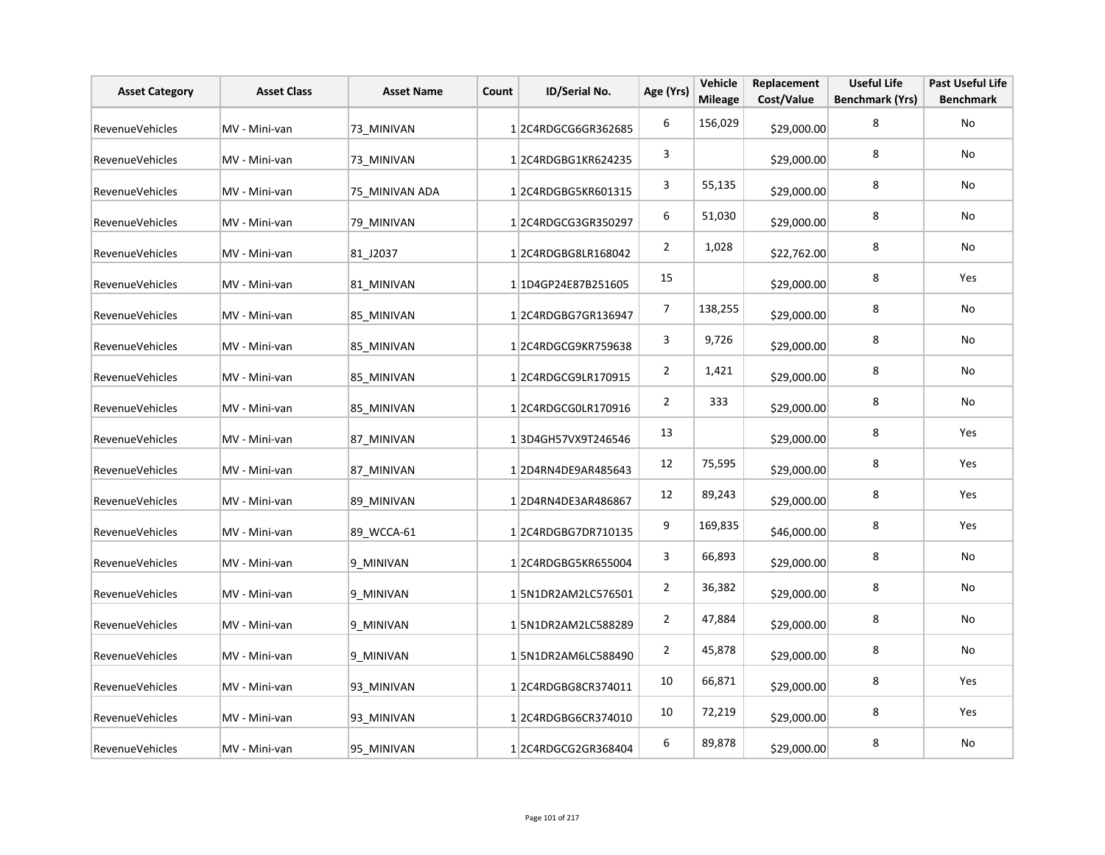| <b>Asset Category</b>  | <b>Asset Class</b> | <b>Asset Name</b> | Count | ID/Serial No.       | Age (Yrs)        | Vehicle<br><b>Mileage</b> | Replacement<br>Cost/Value | <b>Useful Life</b><br><b>Benchmark (Yrs)</b> | <b>Past Useful Life</b><br><b>Benchmark</b> |
|------------------------|--------------------|-------------------|-------|---------------------|------------------|---------------------------|---------------------------|----------------------------------------------|---------------------------------------------|
| RevenueVehicles        | MV - Mini-van      | 73 MINIVAN        |       | 12C4RDGCG6GR362685  | $\boldsymbol{6}$ | 156,029                   | \$29,000.00               | 8                                            | No                                          |
| <b>RevenueVehicles</b> | MV - Mini-van      | 73 MINIVAN        |       | 12C4RDGBG1KR624235  | 3                |                           | \$29,000.00               | 8                                            | No                                          |
| <b>RevenueVehicles</b> | MV - Mini-van      | 75 MINIVAN ADA    |       | 12C4RDGBG5KR601315  | 3                | 55,135                    | \$29,000.00               | 8                                            | No                                          |
| RevenueVehicles        | MV - Mini-van      | 79 MINIVAN        |       | 12C4RDGCG3GR350297  | 6                | 51,030                    | \$29,000.00               | 8                                            | No                                          |
| RevenueVehicles        | MV - Mini-van      | 81 J2037          |       | 12C4RDGBG8LR168042  | $\overline{2}$   | 1,028                     | \$22,762.00               | 8                                            | No                                          |
| RevenueVehicles        | MV - Mini-van      | 81 MINIVAN        |       | 1 1D4GP24E87B251605 | 15               |                           | \$29,000.00               | 8                                            | Yes                                         |
| RevenueVehicles        | MV - Mini-van      | 85 MINIVAN        |       | 12C4RDGBG7GR136947  | 7                | 138,255                   | \$29,000.00               | 8                                            | No                                          |
| RevenueVehicles        | MV - Mini-van      | 85 MINIVAN        |       | 12C4RDGCG9KR759638  | 3                | 9,726                     | \$29,000.00               | 8                                            | No                                          |
| RevenueVehicles        | MV - Mini-van      | 85 MINIVAN        |       | 1 2C4RDGCG9LR170915 | $\overline{2}$   | 1,421                     | \$29,000.00               | 8                                            | No                                          |
| RevenueVehicles        | MV - Mini-van      | 85 MINIVAN        |       | 1 2C4RDGCG0LR170916 | $\overline{2}$   | 333                       | \$29,000.00               | 8                                            | No                                          |
| RevenueVehicles        | MV - Mini-van      | 87 MINIVAN        |       | 13D4GH57VX9T246546  | 13               |                           | \$29,000.00               | 8                                            | Yes                                         |
| RevenueVehicles        | MV - Mini-van      | 87_MINIVAN        |       | 12D4RN4DE9AR485643  | 12               | 75,595                    | \$29,000.00               | 8                                            | Yes                                         |
| RevenueVehicles        | MV - Mini-van      | 89 MINIVAN        |       | 12D4RN4DE3AR486867  | 12               | 89,243                    | \$29,000.00               | 8                                            | Yes                                         |
| RevenueVehicles        | MV - Mini-van      | 89 WCCA-61        |       | 12C4RDGBG7DR710135  | 9                | 169,835                   | \$46,000.00               | 8                                            | Yes                                         |
| RevenueVehicles        | MV - Mini-van      | 9 MINIVAN         |       | 12C4RDGBG5KR655004  | 3                | 66,893                    | \$29,000.00               | 8                                            | No                                          |
| <b>RevenueVehicles</b> | MV - Mini-van      | 9 MINIVAN         |       | 15N1DR2AM2LC576501  | $\overline{2}$   | 36,382                    | \$29,000.00               | 8                                            | No                                          |
| RevenueVehicles        | MV - Mini-van      | 9 MINIVAN         |       | 15N1DR2AM2LC588289  | $\overline{2}$   | 47,884                    | \$29,000.00               | 8                                            | No                                          |
| RevenueVehicles        | MV - Mini-van      | 9 MINIVAN         |       | 15N1DR2AM6LC588490  | $\overline{2}$   | 45,878                    | \$29,000.00               | 8                                            | No                                          |
| RevenueVehicles        | MV - Mini-van      | 93 MINIVAN        |       | 1 2C4RDGBG8CR374011 | 10               | 66,871                    | \$29,000.00               | 8                                            | Yes                                         |
| RevenueVehicles        | MV - Mini-van      | 93 MINIVAN        |       | 12C4RDGBG6CR374010  | 10               | 72,219                    | \$29,000.00               | 8                                            | Yes                                         |
| RevenueVehicles        | MV - Mini-van      | 95 MINIVAN        |       | 12C4RDGCG2GR368404  | 6                | 89,878                    | \$29,000.00               | 8                                            | No                                          |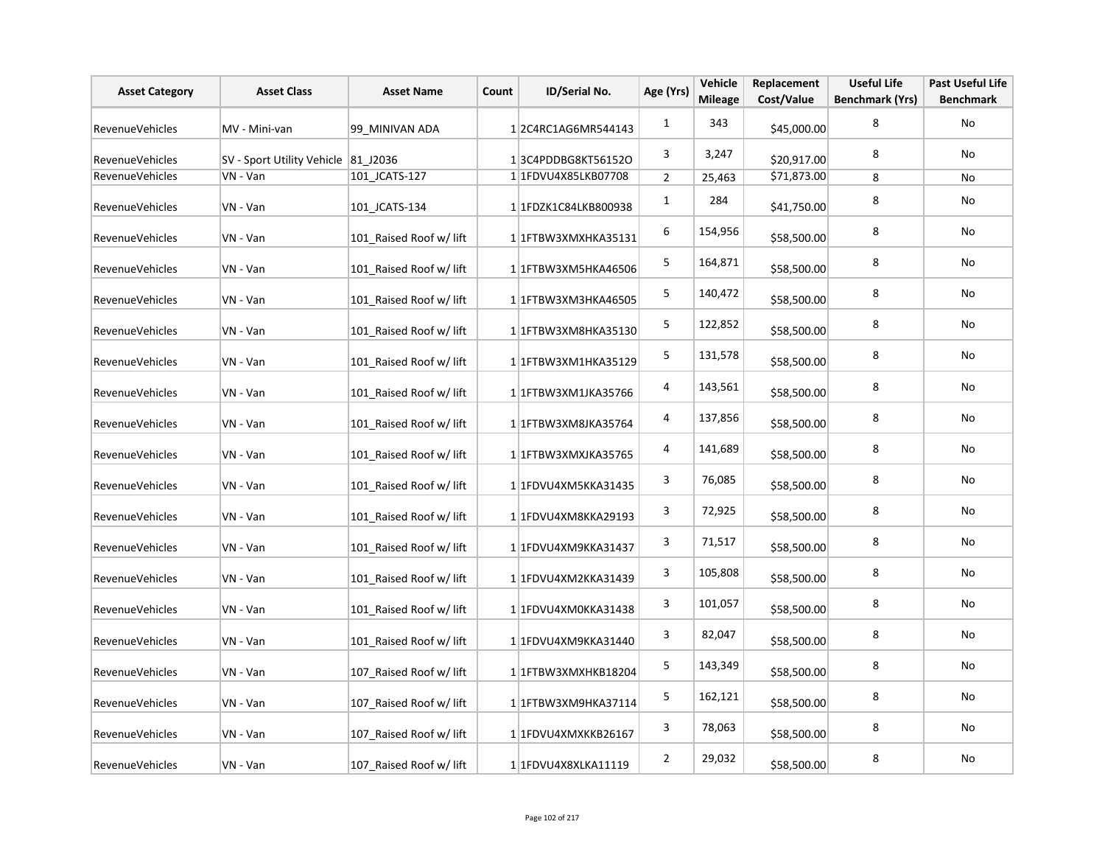| <b>Asset Category</b>  | <b>Asset Class</b>                  | <b>Asset Name</b>       | Count | ID/Serial No.        | Age (Yrs)      | Vehicle<br><b>Mileage</b> | Replacement<br>Cost/Value | <b>Useful Life</b><br><b>Benchmark (Yrs)</b> | <b>Past Useful Life</b><br><b>Benchmark</b> |
|------------------------|-------------------------------------|-------------------------|-------|----------------------|----------------|---------------------------|---------------------------|----------------------------------------------|---------------------------------------------|
| <b>RevenueVehicles</b> | MV - Mini-van                       | 99 MINIVAN ADA          |       | 12C4RC1AG6MR544143   | $\mathbf{1}$   | 343                       | \$45,000.00               | 8                                            | <b>No</b>                                   |
| RevenueVehicles        | SV - Sport Utility Vehicle 81 J2036 |                         |       | 13C4PDDBG8KT56152O   | 3              | 3,247                     | \$20,917.00               | 8                                            | No                                          |
| <b>RevenueVehicles</b> | $VN - Van$                          | 101 JCATS-127           |       | 1 1 FDVU4X85LKB07708 | $\overline{2}$ | 25,463                    | \$71,873.00               | 8                                            | No                                          |
| RevenueVehicles        | VN - Van                            | 101 JCATS-134           |       | 11FDZK1C84LKB800938  | $\mathbf{1}$   | 284                       | \$41,750.00               | 8                                            | No                                          |
| RevenueVehicles        | VN - Van                            | 101 Raised Roof w/ lift |       | 1 1FTBW3XMXHKA35131  | 6              | 154,956                   | \$58,500.00               | 8                                            | No                                          |
| RevenueVehicles        | VN - Van                            | 101 Raised Roof w/ lift |       | 1 1FTBW3XM5HKA46506  | 5              | 164,871                   | \$58,500.00               | 8                                            | <b>No</b>                                   |
| RevenueVehicles        | VN - Van                            | 101 Raised Roof w/ lift |       | 1 1 FTBW3XM3HKA46505 | 5              | 140,472                   | \$58,500.00               | 8                                            | No                                          |
| RevenueVehicles        | VN - Van                            | 101 Raised Roof w/ lift |       | 1 1 FTBW3XM8HKA35130 | 5              | 122,852                   | \$58,500.00               | 8                                            | No                                          |
| RevenueVehicles        | VN - Van                            | 101 Raised Roof w/ lift |       | 1 1 FTBW3XM1HKA35129 | 5              | 131,578                   | \$58,500.00               | 8                                            | No                                          |
| RevenueVehicles        | VN - Van                            | 101 Raised Roof w/ lift |       | 1 1 FTBW3XM1JKA35766 | 4              | 143,561                   | \$58,500.00               | 8                                            | No                                          |
| RevenueVehicles        | VN - Van                            | 101 Raised Roof w/ lift |       | 1 1 FTBW3XM8JKA35764 | 4              | 137,856                   | \$58,500.00               | 8                                            | No                                          |
| RevenueVehicles        | VN - Van                            | 101 Raised Roof w/ lift |       | 1 1 TFBW3XMXJKA35765 | 4              | 141,689                   | \$58,500.00               | 8                                            | No                                          |
| RevenueVehicles        | VN - Van                            | 101 Raised Roof w/ lift |       | 1 1FDVU4XM5KKA31435  | 3              | 76,085                    | \$58,500.00               | 8                                            | No                                          |
| RevenueVehicles        | VN - Van                            | 101 Raised Roof w/ lift |       | 1 1FDVU4XM8KKA29193  | 3              | 72,925                    | \$58,500.00               | 8                                            | No                                          |
| RevenueVehicles        | VN - Van                            | 101 Raised Roof w/ lift |       | 1 1FDVU4XM9KKA31437  | 3              | 71,517                    | \$58,500.00               | 8                                            | No                                          |
| RevenueVehicles        | VN - Van                            | 101 Raised Roof w/ lift |       | 1 1FDVU4XM2KKA31439  | 3              | 105,808                   | \$58,500.00               | 8                                            | No                                          |
| RevenueVehicles        | VN - Van                            | 101 Raised Roof w/ lift |       | 1 1FDVU4XM0KKA31438  | 3              | 101,057                   | \$58,500.00               | 8                                            | No                                          |
| <b>RevenueVehicles</b> | VN - Van                            | 101 Raised Roof w/ lift |       | 1 1FDVU4XM9KKA31440  | 3              | 82,047                    | \$58,500.00               | 8                                            | No                                          |
| RevenueVehicles        | VN - Van                            | 107 Raised Roof w/ lift |       | 1 1FTBW3XMXHKB18204  | 5              | 143,349                   | \$58,500.00               | 8                                            | No                                          |
| RevenueVehicles        | VN - Van                            | 107 Raised Roof w/ lift |       | 1 1FTBW3XM9HKA37114  | 5              | 162,121                   | \$58,500.00               | 8                                            | No                                          |
| RevenueVehicles        | VN - Van                            | 107 Raised Roof w/ lift |       | 1 1FDVU4XMXKKB26167  | 3              | 78,063                    | \$58,500.00               | 8                                            | <b>No</b>                                   |
| RevenueVehicles        | VN - Van                            | 107 Raised Roof w/ lift |       | 1 1 FDVU4X8XLKA11119 | $\overline{2}$ | 29,032                    | \$58,500.00               | 8                                            | No                                          |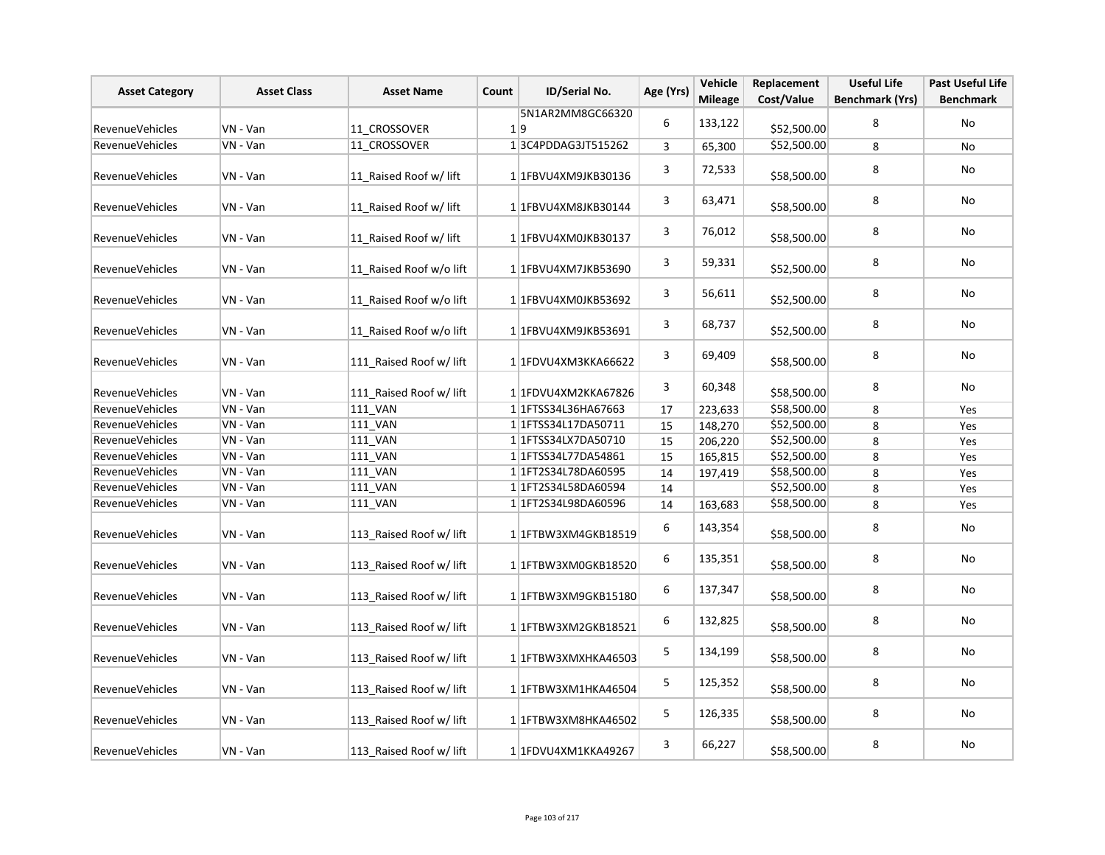| <b>Asset Category</b>  | <b>Asset Class</b> | <b>Asset Name</b>       | Count | <b>ID/Serial No.</b>       | Age (Yrs)      | Vehicle<br><b>Mileage</b> | Replacement<br>Cost/Value | <b>Useful Life</b><br><b>Benchmark (Yrs)</b> | <b>Past Useful Life</b><br><b>Benchmark</b> |
|------------------------|--------------------|-------------------------|-------|----------------------------|----------------|---------------------------|---------------------------|----------------------------------------------|---------------------------------------------|
|                        |                    |                         |       | 5N1AR2MM8GC66320           | 6              |                           |                           |                                              |                                             |
| RevenueVehicles        | VN - Van           | 11 CROSSOVER            |       | 1 9                        |                | 133,122                   | \$52,500.00               | 8                                            | No                                          |
| <b>RevenueVehicles</b> | VN - Van           | 11 CROSSOVER            |       | 13C4PDDAG3JT515262         | $\overline{3}$ | 65,300                    | \$52,500.00               | 8                                            | No                                          |
| <b>RevenueVehicles</b> | VN - Van           | 11 Raised Roof w/ lift  |       | 1 1FBVU4XM9JKB30136        | 3              | 72,533                    | \$58,500.00               | 8                                            | No                                          |
| <b>RevenueVehicles</b> | VN - Van           | 11 Raised Roof w/ lift  |       | 1 1FBVU4XM8JKB30144        | 3              | 63,471                    | \$58,500.00               | 8                                            | No                                          |
| <b>RevenueVehicles</b> | VN - Van           | 11 Raised Roof w/ lift  |       | 1 1FBVU4XM0JKB30137        | 3              | 76,012                    | \$58,500.00               | 8                                            | <b>No</b>                                   |
| RevenueVehicles        | VN - Van           | 11 Raised Roof w/o lift |       | 1 1FBVU4XM7JKB53690        | 3              | 59,331                    | \$52,500.00               | 8                                            | No                                          |
| <b>RevenueVehicles</b> | VN - Van           | 11 Raised Roof w/o lift |       | 1 1FBVU4XM0JKB53692        | 3              | 56,611                    | \$52,500.00               | 8                                            | No                                          |
| RevenueVehicles        | VN - Van           | 11 Raised Roof w/o lift |       | 1 1FBVU4XM9JKB53691        | 3              | 68,737                    | \$52,500.00               | 8                                            | No                                          |
| RevenueVehicles        | VN - Van           | 111 Raised Roof w/ lift |       | 1 1FDVU4XM3KKA66622        | 3              | 69,409                    | \$58,500.00               | 8                                            | No                                          |
| RevenueVehicles        | VN - Van           | 111 Raised Roof w/ lift |       | 1 1FDVU4XM2KKA67826        | 3              | 60,348                    | \$58,500.00               | 8                                            | No                                          |
| RevenueVehicles        | VN - Van           | <b>111 VAN</b>          |       | 1 1 FTSS34L36HA67663       | 17             | 223,633                   | \$58,500.00               | 8                                            | Yes                                         |
| RevenueVehicles        | VN - Van           | <b>111 VAN</b>          |       | 1 1 1 FTSS 34 L17DA50711   | 15             | 148,270                   | \$52,500.00               | 8                                            | Yes                                         |
| <b>RevenueVehicles</b> | VN - Van           | 111 VAN                 |       | 1 1 1 FTSS34 LX7DA50710    | 15             | 206,220                   | \$52,500.00               | 8                                            | Yes                                         |
| RevenueVehicles        | VN - Van           | 111_VAN                 |       | 1 1 1 FTSS 34 L77 DA 54861 | 15             | 165,815                   | \$52,500.00               | 8                                            | Yes                                         |
| RevenueVehicles        | VN - Van           | 111_VAN                 |       | 1 1FT2S34L78DA60595        | 14             | 197,419                   | \$58,500.00               | 8                                            | Yes                                         |
| RevenueVehicles        | VN - Van           | 111_VAN                 |       | 1 1FT2S34L58DA60594        | 14             |                           | \$52,500.00               | 8                                            | Yes                                         |
| <b>RevenueVehicles</b> | VN - Van           | <b>111 VAN</b>          |       | 1 1 1 FT2 S34 L98 DA6 0596 | 14             | 163,683                   | \$58,500.00               | 8                                            | Yes                                         |
| RevenueVehicles        | VN - Van           | 113 Raised Roof w/ lift |       | 1 1 FTBW3XM4GKB18519       | 6              | 143,354                   | \$58,500.00               | 8                                            | No                                          |
| RevenueVehicles        | VN - Van           | 113 Raised Roof w/ lift |       | 1 1FTBW3XM0GKB18520        | 6              | 135,351                   | \$58,500.00               | 8                                            | No                                          |
| <b>RevenueVehicles</b> | VN - Van           | 113_Raised Roof w/ lift |       | 11FTBW3XM9GKB15180         | 6              | 137,347                   | \$58,500.00               | 8                                            | No                                          |
| <b>RevenueVehicles</b> | VN - Van           | 113_Raised Roof w/ lift |       | 1 1FTBW3XM2GKB18521        | 6              | 132,825                   | \$58,500.00               | 8                                            | No                                          |
| RevenueVehicles        | VN - Van           | 113_Raised Roof w/ lift |       | 1 1FTBW3XMXHKA46503        | 5              | 134,199                   | \$58,500.00               | 8                                            | No                                          |
| RevenueVehicles        | VN - Van           | 113_Raised Roof w/ lift |       | 1 1FTBW3XM1HKA46504        | 5              | 125,352                   | \$58,500.00               | 8                                            | No                                          |
| RevenueVehicles        | VN - Van           | 113 Raised Roof w/ lift |       | 1 1FTBW3XM8HKA46502        | 5              | 126,335                   | \$58,500.00               | 8                                            | No                                          |
| <b>RevenueVehicles</b> | VN - Van           | 113 Raised Roof w/ lift |       | 1 1FDVU4XM1KKA49267        | 3              | 66,227                    | \$58,500.00               | 8                                            | No                                          |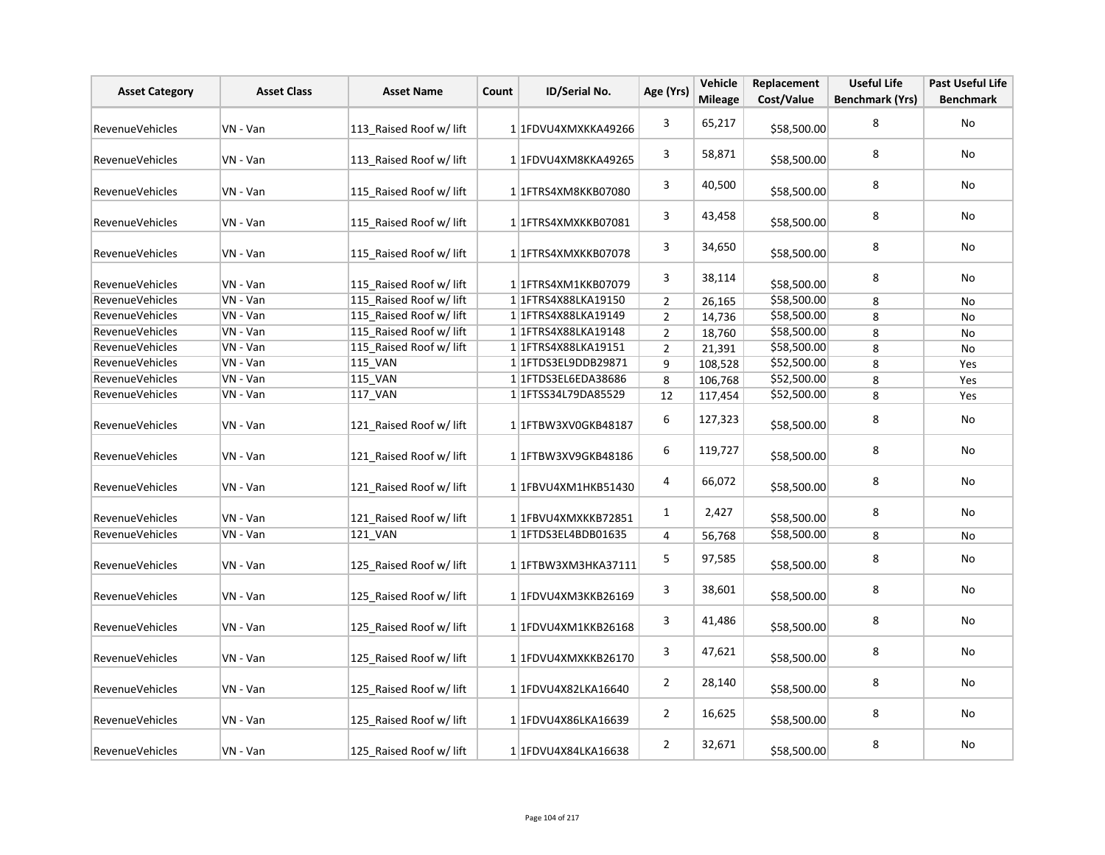| <b>Asset Category</b>  | <b>Asset Class</b> | <b>Asset Name</b>       | Count | <b>ID/Serial No.</b>       | Age (Yrs)      | Vehicle<br><b>Mileage</b> | Replacement<br>Cost/Value | <b>Useful Life</b><br><b>Benchmark (Yrs)</b> | <b>Past Useful Life</b><br><b>Benchmark</b> |
|------------------------|--------------------|-------------------------|-------|----------------------------|----------------|---------------------------|---------------------------|----------------------------------------------|---------------------------------------------|
| <b>RevenueVehicles</b> | VN - Van           | 113_Raised Roof w/ lift |       | 1 1FDVU4XMXKKA49266        | 3              | 65,217                    | \$58,500.00               | 8                                            | No                                          |
| <b>RevenueVehicles</b> | VN - Van           | 113 Raised Roof w/ lift |       | 1 1FDVU4XM8KKA49265        | 3              | 58,871                    | \$58,500.00               | 8                                            | No                                          |
| <b>RevenueVehicles</b> | VN - Van           | 115 Raised Roof w/ lift |       | 1 1FTRS4XM8KKB07080        | 3              | 40,500                    | \$58,500.00               | 8                                            | No                                          |
| RevenueVehicles        | VN - Van           | 115_Raised Roof w/ lift |       | 1 1FTRS4XMXKKB07081        | 3              | 43,458                    | \$58,500.00               | 8                                            | No                                          |
| <b>RevenueVehicles</b> | VN - Van           | 115 Raised Roof w/ lift |       | 1 1FTRS4XMXKKB07078        | 3              | 34,650                    | \$58,500.00               | 8                                            | No                                          |
| RevenueVehicles        | VN - Van           | 115 Raised Roof w/ lift |       | 1 1 FTRS4XM1KKB07079       | 3              | 38,114                    | \$58,500.00               | 8                                            | No                                          |
| <b>RevenueVehicles</b> | VN - Van           | 115 Raised Roof w/ lift |       | 11FTRS4X88LKA19150         | $\overline{2}$ | 26,165                    | \$58,500.00               | 8                                            | No                                          |
| RevenueVehicles        | VN - Van           | 115 Raised Roof w/ lift |       | 1 1 FTRS4X88LKA19149       | $\overline{2}$ | 14,736                    | \$58,500.00               | 8                                            | No                                          |
| RevenueVehicles        | VN - Van           | 115_Raised Roof w/ lift |       | 1 1 FTRS4X88LKA19148       | $\overline{2}$ | 18,760                    | \$58,500.00               | 8                                            | No                                          |
| RevenueVehicles        | VN - Van           | 115 Raised Roof w/ lift |       | 1 1 FTRS4X88LKA19151       | $\mathbf 2$    | 21,391                    | \$58,500.00               | 8                                            | No                                          |
| <b>RevenueVehicles</b> | VN - Van           | 115_VAN                 |       | 1 1 1 FTD S3 EL9DDB 29871  | 9              | 108,528                   | \$52,500.00               | 8                                            | Yes                                         |
| RevenueVehicles        | VN - Van           | <b>115 VAN</b>          |       | 1 1 1 FTD S3 EL6ED A 38686 | 8              | 106,768                   | \$52,500.00               | 8                                            | Yes                                         |
| <b>RevenueVehicles</b> | VN - Van           | 117 VAN                 |       | 1 1 1 FTSS 34 L79 DA85 529 | 12             | 117,454                   | \$52,500.00               | 8                                            | Yes                                         |
| RevenueVehicles        | VN - Van           | 121 Raised Roof w/ lift |       | 1 1 FTBW3XV0GKB48187       | 6              | 127,323                   | \$58,500.00               | 8                                            | No                                          |
| RevenueVehicles        | VN - Van           | 121 Raised Roof w/ lift |       | 1 1 FTBW3XV9GKB48186       | 6              | 119,727                   | \$58,500.00               | 8                                            | No                                          |
| RevenueVehicles        | VN - Van           | 121 Raised Roof w/ lift |       | 1 1 FBVU4XM1HKB51430       | 4              | 66,072                    | \$58,500.00               | 8                                            | No                                          |
| RevenueVehicles        | VN - Van           | 121 Raised Roof w/ lift |       | 1 1 FBVU4XMXKKB72851       | $\mathbf{1}$   | 2,427                     | \$58,500.00               | 8                                            | No                                          |
| <b>RevenueVehicles</b> | VN - Van           | <b>121 VAN</b>          |       | 1 1 FTDS3EL4BDB01635       | 4              | 56,768                    | \$58,500.00               | 8                                            | No                                          |
| <b>RevenueVehicles</b> | VN - Van           | 125 Raised Roof w/ lift |       | 1 1 FTBW3XM3HKA37111       | 5              | 97,585                    | \$58,500.00               | 8                                            | No                                          |
| RevenueVehicles        | VN - Van           | 125 Raised Roof w/ lift |       | 1 1 FDVU4XM3KKB26169       | 3              | 38,601                    | \$58,500.00               | 8                                            | No                                          |
| RevenueVehicles        | VN - Van           | 125 Raised Roof w/ lift |       | 1 1FDVU4XM1KKB26168        | 3              | 41,486                    | \$58,500.00               | 8                                            | No                                          |
| RevenueVehicles        | VN - Van           | 125 Raised Roof w/ lift |       | 1 1FDVU4XMXKKB26170        | 3              | 47,621                    | \$58,500.00               | 8                                            | No                                          |
| <b>RevenueVehicles</b> | VN - Van           | 125_Raised Roof w/ lift |       | 1 1FDVU4X82LKA16640        | $\overline{2}$ | 28,140                    | \$58,500.00               | 8                                            | No                                          |
| RevenueVehicles        | VN - Van           | 125 Raised Roof w/ lift |       | 1 1 FDVU4X86LKA16639       | $\overline{2}$ | 16,625                    | \$58,500.00               | 8                                            | No                                          |
| <b>RevenueVehicles</b> | VN - Van           | 125 Raised Roof w/ lift |       | 1 1 FDVU4X84LKA16638       | $\overline{2}$ | 32,671                    | \$58,500.00               | 8                                            | No                                          |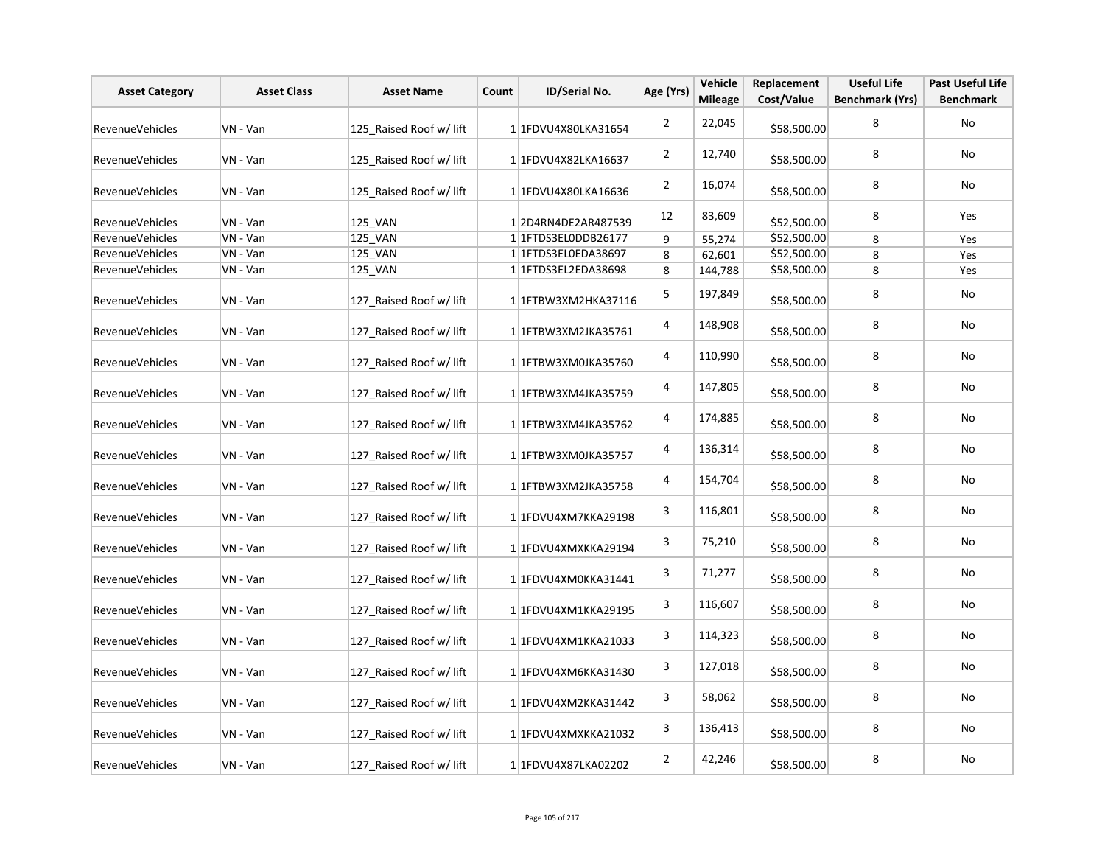| <b>Asset Category</b>  | <b>Asset Class</b> | <b>Asset Name</b>       | Count | ID/Serial No.              | Age (Yrs)      | Vehicle<br><b>Mileage</b> | Replacement<br>Cost/Value | <b>Useful Life</b><br><b>Benchmark (Yrs)</b> | <b>Past Useful Life</b><br><b>Benchmark</b> |
|------------------------|--------------------|-------------------------|-------|----------------------------|----------------|---------------------------|---------------------------|----------------------------------------------|---------------------------------------------|
| <b>RevenueVehicles</b> | VN - Van           | 125_Raised Roof w/ lift |       | 1 1FDVU4X80LKA31654        | $\overline{2}$ | 22,045                    | \$58,500.00               | 8                                            | No                                          |
| <b>RevenueVehicles</b> | VN - Van           | 125_Raised Roof w/ lift |       | 1 1FDVU4X82LKA16637        | $\overline{2}$ | 12,740                    | \$58,500.00               | 8                                            | No                                          |
| RevenueVehicles        | VN - Van           | 125 Raised Roof w/ lift |       | 1 1FDVU4X80LKA16636        | $\overline{2}$ | 16,074                    | \$58,500.00               | 8                                            | No                                          |
| RevenueVehicles        | VN - Van           | 125_VAN                 |       | 12D4RN4DE2AR487539         | 12             | 83,609                    | \$52,500.00               | 8                                            | Yes                                         |
| RevenueVehicles        | VN - Van           | 125_VAN                 |       | 1 1 1 FTDS3 ELODDB 26177   | 9              | 55,274                    | \$52,500.00               | 8                                            | Yes                                         |
| <b>RevenueVehicles</b> | VN - Van           | 125 VAN                 |       | 1 1FTDS3EL0EDA38697        | 8              | 62,601                    | \$52,500.00               | 8                                            | Yes                                         |
| <b>RevenueVehicles</b> | VN - Van           | 125 VAN                 |       | 1 1 1 FTD S3 EL2ED A 38698 | 8              | 144,788                   | \$58,500.00               | 8                                            | Yes                                         |
| <b>RevenueVehicles</b> | VN - Van           | 127 Raised Roof w/ lift |       | 1 1 FTBW3XM2HKA37116       | 5              | 197,849                   | \$58,500.00               | 8                                            | No                                          |
| RevenueVehicles        | VN - Van           | 127 Raised Roof w/ lift |       | 1 1FTBW3XM2JKA35761        | 4              | 148,908                   | \$58,500.00               | 8                                            | No                                          |
| RevenueVehicles        | VN - Van           | 127 Raised Roof w/ lift |       | 1 1FTBW3XM0JKA35760        | 4              | 110,990                   | \$58,500.00               | 8                                            | No                                          |
| RevenueVehicles        | VN - Van           | 127 Raised Roof w/ lift |       | 1 1 TBW3XM4JKA35759        | 4              | 147,805                   | \$58,500.00               | 8                                            | No                                          |
| <b>RevenueVehicles</b> | VN - Van           | 127 Raised Roof w/ lift |       | 1 1 TFBW3XM4JKA35762       | 4              | 174,885                   | \$58,500.00               | 8                                            | No                                          |
| <b>RevenueVehicles</b> | VN - Van           | 127 Raised Roof w/ lift |       | 1 1FTBW3XM0JKA35757        | 4              | 136,314                   | \$58,500.00               | 8                                            | No                                          |
| <b>RevenueVehicles</b> | VN - Van           | 127 Raised Roof w/ lift |       | 1 1 TBW3XM2JKA35758        | 4              | 154,704                   | \$58,500.00               | 8                                            | No                                          |
| RevenueVehicles        | VN - Van           | 127 Raised Roof w/ lift |       | 1 1FDVU4XM7KKA29198        | 3              | 116,801                   | \$58,500.00               | 8                                            | No                                          |
| <b>RevenueVehicles</b> | VN - Van           | 127 Raised Roof w/ lift |       | 1 1FDVU4XMXKKA29194        | 3              | 75,210                    | \$58,500.00               | 8                                            | <b>No</b>                                   |
| RevenueVehicles        | VN - Van           | 127 Raised Roof w/ lift |       | 1 1FDVU4XM0KKA31441        | 3              | 71,277                    | \$58,500.00               | 8                                            | No                                          |
| <b>RevenueVehicles</b> | VN - Van           | 127 Raised Roof w/ lift |       | 1 1FDVU4XM1KKA29195        | 3              | 116,607                   | \$58,500.00               | 8                                            | No                                          |
| <b>RevenueVehicles</b> | VN - Van           | 127 Raised Roof w/ lift |       | 1 1FDVU4XM1KKA21033        | 3              | 114,323                   | \$58,500.00               | 8                                            | No                                          |
| <b>RevenueVehicles</b> | VN - Van           | 127 Raised Roof w/ lift |       | 1 1FDVU4XM6KKA31430        | 3              | 127,018                   | \$58,500.00               | 8                                            | No                                          |
| <b>RevenueVehicles</b> | VN - Van           | 127 Raised Roof w/ lift |       | 1 1FDVU4XM2KKA31442        | 3              | 58,062                    | \$58,500.00               | 8                                            | No                                          |
| <b>RevenueVehicles</b> | VN - Van           | 127 Raised Roof w/ lift |       | 1 1FDVU4XMXKKA21032        | 3              | 136,413                   | \$58,500.00               | 8                                            | No                                          |
| RevenueVehicles        | VN - Van           | 127 Raised Roof w/ lift |       | 1 1FDVU4X87LKA02202        | $\overline{2}$ | 42,246                    | \$58,500.00               | 8                                            | No                                          |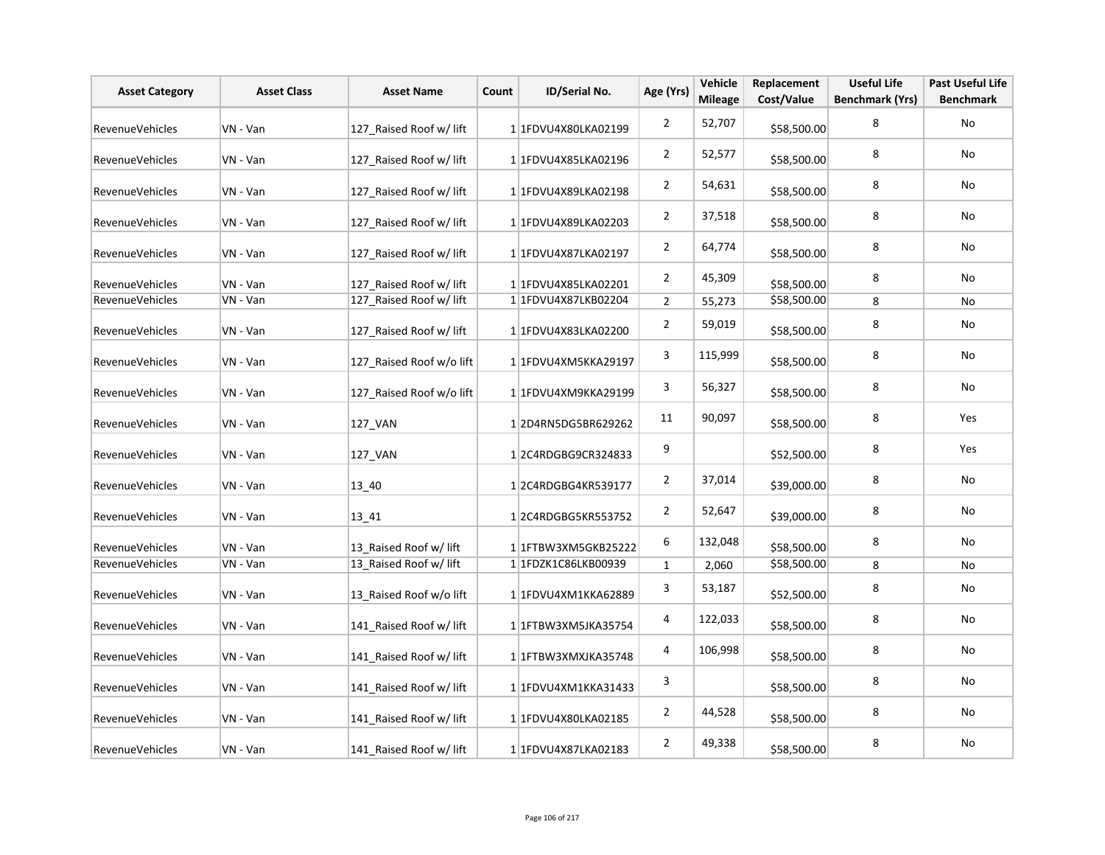| <b>Asset Category</b>  | <b>Asset Class</b> | <b>Asset Name</b>        | Count | <b>ID/Serial No.</b> | Age (Yrs)        | Vehicle<br><b>Mileage</b> | Replacement<br>Cost/Value | <b>Useful Life</b><br><b>Benchmark (Yrs)</b> | <b>Past Useful Life</b><br><b>Benchmark</b> |
|------------------------|--------------------|--------------------------|-------|----------------------|------------------|---------------------------|---------------------------|----------------------------------------------|---------------------------------------------|
| <b>RevenueVehicles</b> | VN - Van           | 127 Raised Roof w/ lift  |       | 1 1FDVU4X80LKA02199  | $\overline{2}$   | 52,707                    | \$58,500.00               | 8                                            | No                                          |
| <b>RevenueVehicles</b> | VN - Van           | 127 Raised Roof w/ lift  |       | 1 1FDVU4X85LKA02196  | $\overline{2}$   | 52,577                    | \$58,500.00               | 8                                            | No                                          |
| <b>RevenueVehicles</b> | VN - Van           | 127 Raised Roof w/ lift  |       | 1 1FDVU4X89LKA02198  | $\overline{2}$   | 54,631                    | \$58,500.00               | 8                                            | No                                          |
| <b>RevenueVehicles</b> | VN - Van           | 127 Raised Roof w/ lift  |       | 1 1FDVU4X89LKA02203  | $\overline{2}$   | 37,518                    | \$58,500.00               | 8                                            | No                                          |
| <b>RevenueVehicles</b> | VN - Van           | 127 Raised Roof w/ lift  |       | 1 1FDVU4X87LKA02197  | $\overline{2}$   | 64,774                    | \$58,500.00               | 8                                            | No                                          |
| <b>RevenueVehicles</b> | VN - Van           | 127 Raised Roof w/ lift  |       | 1 1FDVU4X85LKA02201  | $\overline{2}$   | 45,309                    | \$58,500.00               | 8                                            | No                                          |
| <b>RevenueVehicles</b> | VN - Van           | 127 Raised Roof w/ lift  |       | 1 1FDVU4X87LKB02204  | $\overline{2}$   | 55,273                    | \$58,500.00               | 8                                            | No                                          |
| RevenueVehicles        | VN - Van           | 127_Raised Roof w/ lift  |       | 1 1 FDVU4X83LKA02200 | $\overline{2}$   | 59,019                    | \$58,500.00               | 8                                            | No                                          |
| <b>RevenueVehicles</b> | VN - Van           | 127 Raised Roof w/o lift |       | 1 1FDVU4XM5KKA29197  | 3                | 115,999                   | \$58,500.00               | 8                                            | No                                          |
| <b>RevenueVehicles</b> | VN - Van           | 127 Raised Roof w/o lift |       | 1 1FDVU4XM9KKA29199  | 3                | 56,327                    | \$58,500.00               | 8                                            | No                                          |
| <b>RevenueVehicles</b> | VN - Van           | 127_VAN                  |       | 12D4RN5DG5BR629262   | 11               | 90,097                    | \$58,500.00               | 8                                            | Yes                                         |
| <b>RevenueVehicles</b> | VN - Van           | 127 VAN                  |       | 12C4RDGBG9CR324833   | 9                |                           | \$52,500.00               | 8                                            | Yes                                         |
| RevenueVehicles        | VN - Van           | 13 40                    |       | 1 2C4RDGBG4KR539177  | $\overline{2}$   | 37,014                    | \$39,000.00               | 8                                            | No                                          |
| <b>RevenueVehicles</b> | VN - Van           | $13 - 41$                |       | 12C4RDGBG5KR553752   | $\overline{2}$   | 52,647                    | \$39,000.00               | 8                                            | No                                          |
| <b>RevenueVehicles</b> | VN - Van           | 13_Raised Roof w/ lift   |       | 11FTBW3XM5GKB25222   | $\boldsymbol{6}$ | 132,048                   | \$58,500.00               | 8                                            | No                                          |
| RevenueVehicles        | VN - Van           | 13_Raised Roof w/ lift   |       | 1 1FDZK1C86LKB00939  | $\mathbf{1}$     | 2,060                     | \$58,500.00               | 8                                            | No                                          |
| <b>RevenueVehicles</b> | VN - Van           | 13 Raised Roof w/o lift  |       | 1 1FDVU4XM1KKA62889  | 3                | 53,187                    | \$52,500.00               | 8                                            | No                                          |
| RevenueVehicles        | VN - Van           | 141 Raised Roof w/ lift  |       | 1 1FTBW3XM5JKA35754  | 4                | 122,033                   | \$58,500.00               | 8                                            | No                                          |
| <b>RevenueVehicles</b> | VN - Van           | 141_Raised Roof w/ lift  |       | 1 1FTBW3XMXJKA35748  | 4                | 106,998                   | \$58,500.00               | 8                                            | No                                          |
| RevenueVehicles        | VN - Van           | 141_Raised Roof w/ lift  |       | 1 1FDVU4XM1KKA31433  | 3                |                           | \$58,500.00               | 8                                            | No                                          |
| <b>RevenueVehicles</b> | VN - Van           | 141_Raised Roof w/ lift  |       | 1 1 FDVU4X80LKA02185 | $\overline{2}$   | 44,528                    | \$58,500.00               | 8                                            | No                                          |
| RevenueVehicles        | VN - Van           | 141 Raised Roof w/ lift  |       | 1 1FDVU4X87LKA02183  | $\overline{2}$   | 49,338                    | \$58,500.00               | 8                                            | No                                          |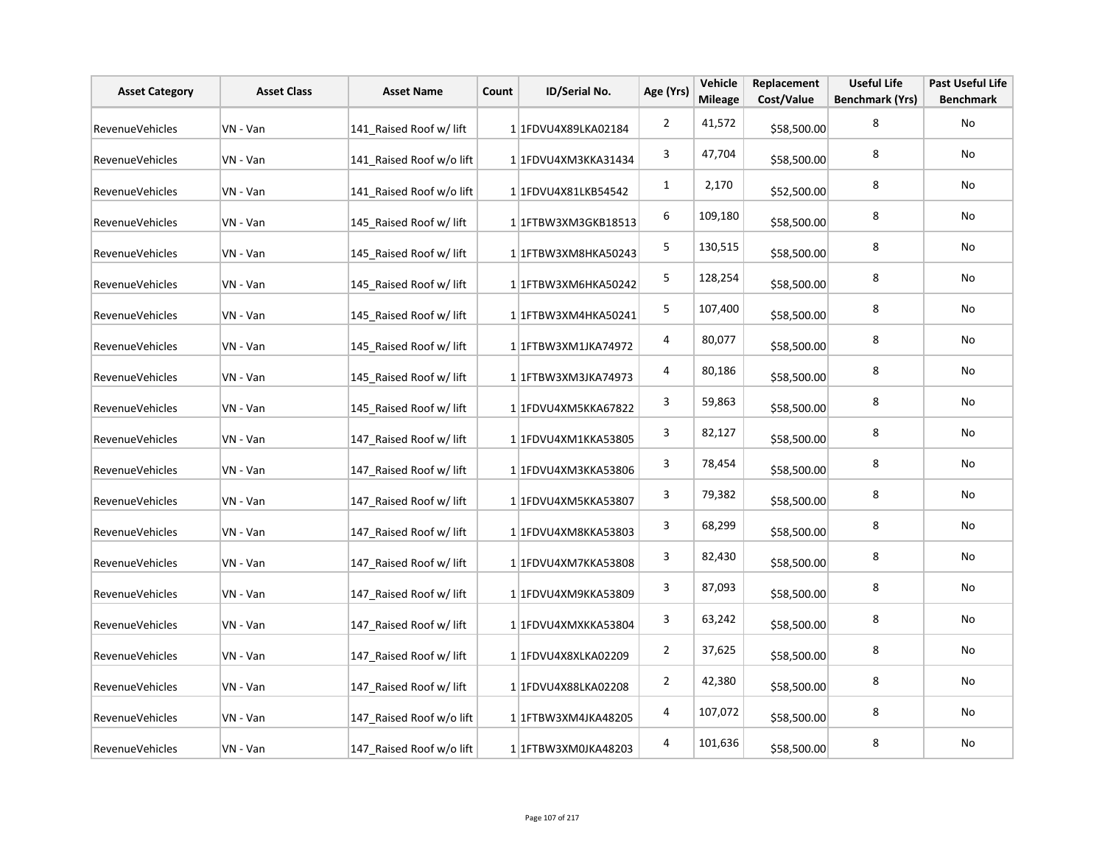| <b>Asset Category</b>  | <b>Asset Class</b> | <b>Asset Name</b>        | Count | ID/Serial No.                      | Age (Yrs)      | Vehicle<br><b>Mileage</b> | Replacement<br>Cost/Value | <b>Useful Life</b><br><b>Benchmark (Yrs)</b> | <b>Past Useful Life</b><br><b>Benchmark</b> |
|------------------------|--------------------|--------------------------|-------|------------------------------------|----------------|---------------------------|---------------------------|----------------------------------------------|---------------------------------------------|
| <b>RevenueVehicles</b> | VN - Van           | 141 Raised Roof w/ lift  |       | 1 1FDVU4X89LKA02184                | $\overline{2}$ | 41,572                    | \$58,500.00               | 8                                            | No                                          |
| RevenueVehicles        | VN - Van           | 141 Raised Roof w/o lift |       | 1 1FDVU4XM3KKA31434                | 3              | 47,704                    | \$58,500.00               | 8                                            | No                                          |
| RevenueVehicles        | VN - Van           | 141 Raised Roof w/o lift |       | 1 1 FDVU4X81LKB54542               | $\mathbf{1}$   | 2,170                     | \$52,500.00               | 8                                            | No                                          |
| RevenueVehicles        | VN - Van           | 145 Raised Roof w/ lift  |       | 1 1 FTBW3XM3GKB18513               | 6              | 109,180                   | \$58,500.00               | 8                                            | No                                          |
| RevenueVehicles        | VN - Van           | 145 Raised Roof w/ lift  |       | 1 1FTBW3XM8HKA50243                | 5              | 130,515                   | \$58,500.00               | 8                                            | No                                          |
| RevenueVehicles        | VN - Van           | 145 Raised Roof w/ lift  |       | 1 1FTBW3XM6HKA50242                | 5              | 128,254                   | \$58,500.00               | 8                                            | No                                          |
| RevenueVehicles        | VN - Van           | 145 Raised Roof w/ lift  |       | 1 1 FTBW3XM4HKA50241               | 5              | 107,400                   | \$58,500.00               | 8                                            | No                                          |
| RevenueVehicles        | VN - Van           | 145 Raised Roof w/ lift  |       | 1 1 1 FTBW 3 X M 1 J K A 7 4 9 7 2 | 4              | 80,077                    | \$58,500.00               | 8                                            | No                                          |
| RevenueVehicles        | VN - Van           | 145 Raised Roof w/ lift  |       | 1 1 FTBW3XM3JKA74973               | 4              | 80,186                    | \$58,500.00               | 8                                            | No                                          |
| RevenueVehicles        | VN - Van           | 145 Raised Roof w/ lift  |       | 1 1FDVU4XM5KKA67822                | 3              | 59,863                    | \$58,500.00               | 8                                            | No                                          |
| RevenueVehicles        | VN - Van           | 147_Raised Roof w/ lift  |       | 1 1FDVU4XM1KKA53805                | 3              | 82,127                    | \$58,500.00               | 8                                            | No                                          |
| RevenueVehicles        | VN - Van           | 147_Raised Roof w/ lift  |       | 1 1FDVU4XM3KKA53806                | 3              | 78,454                    | \$58,500.00               | 8                                            | No                                          |
| <b>RevenueVehicles</b> | VN - Van           | 147_Raised Roof w/ lift  |       | 1 1FDVU4XM5KKA53807                | 3              | 79,382                    | \$58,500.00               | 8                                            | No                                          |
| RevenueVehicles        | VN - Van           | 147 Raised Roof w/ lift  |       | 1 1FDVU4XM8KKA53803                | 3              | 68,299                    | \$58,500.00               | 8                                            | No                                          |
| RevenueVehicles        | VN - Van           | 147_Raised Roof w/ lift  |       | 1 1FDVU4XM7KKA53808                | 3              | 82,430                    | \$58,500.00               | 8                                            | No                                          |
| RevenueVehicles        | VN - Van           | 147_Raised Roof w/ lift  |       | 1 1FDVU4XM9KKA53809                | 3              | 87,093                    | \$58,500.00               | 8                                            | No                                          |
| RevenueVehicles        | VN - Van           | 147_Raised Roof w/ lift  |       | 1 1FDVU4XMXKKA53804                | 3              | 63,242                    | \$58,500.00               | 8                                            | No                                          |
| RevenueVehicles        | VN - Van           | 147_Raised Roof w/ lift  |       | 1 1FDVU4X8XLKA02209                | $\overline{2}$ | 37,625                    | \$58,500.00               | 8                                            | No                                          |
| RevenueVehicles        | VN - Van           | 147 Raised Roof w/ lift  |       | 1 1FDVU4X88LKA02208                | $\overline{2}$ | 42,380                    | \$58,500.00               | 8                                            | No                                          |
| RevenueVehicles        | VN - Van           | 147_Raised Roof w/o lift |       | 1 1FTBW3XM4JKA48205                | 4              | 107,072                   | \$58,500.00               | 8                                            | No                                          |
| RevenueVehicles        | VN - Van           | 147 Raised Roof w/o lift |       | 1 1FTBW3XM0JKA48203                | 4              | 101,636                   | \$58,500.00               | 8                                            | No                                          |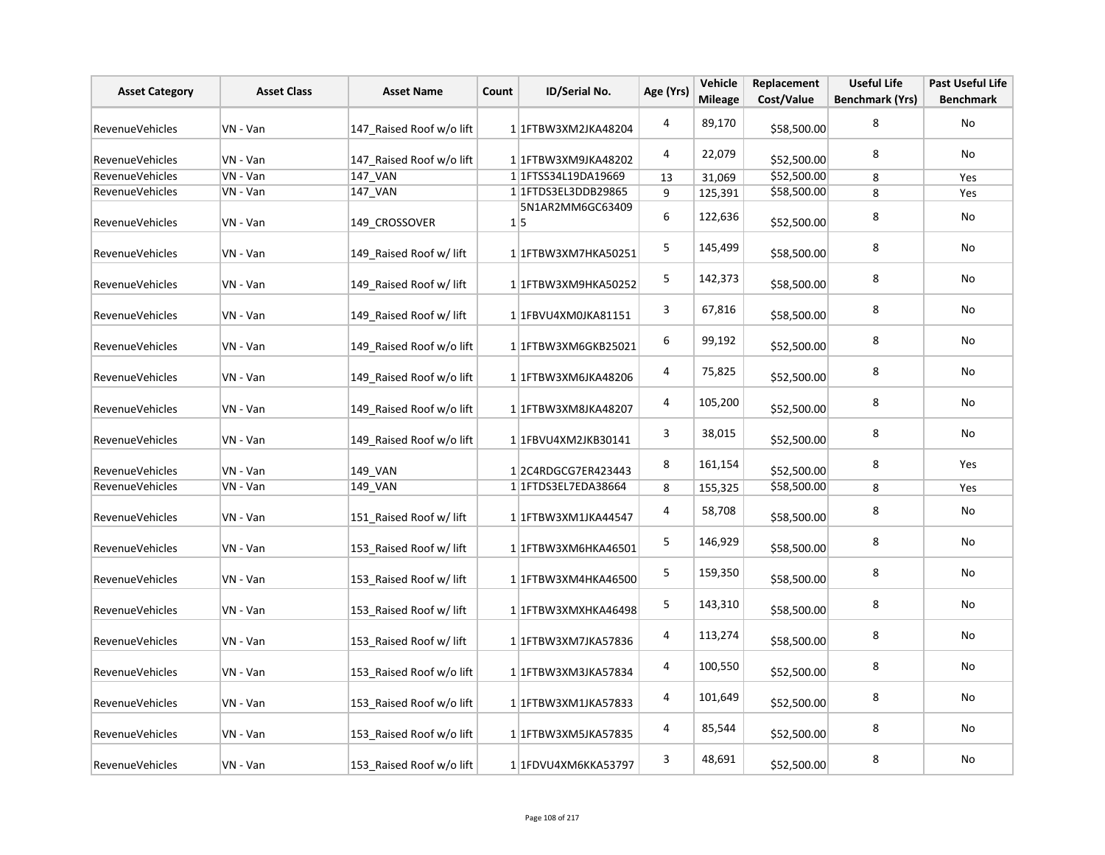| <b>Asset Category</b>  | <b>Asset Class</b> | <b>Asset Name</b>        | Count | ID/Serial No.                  | Age (Yrs)      | Vehicle<br><b>Mileage</b> | Replacement<br>Cost/Value | <b>Useful Life</b><br><b>Benchmark (Yrs)</b> | <b>Past Useful Life</b><br><b>Benchmark</b> |
|------------------------|--------------------|--------------------------|-------|--------------------------------|----------------|---------------------------|---------------------------|----------------------------------------------|---------------------------------------------|
| RevenueVehicles        | VN - Van           | 147 Raised Roof w/o lift |       | 1 1 FTBW3XM2JKA48204           | $\overline{4}$ | 89,170                    | \$58,500.00               | 8                                            | <b>No</b>                                   |
| RevenueVehicles        | VN - Van           | 147 Raised Roof w/o lift |       | 1 1 FTBW3XM9JKA48202           | 4              | 22,079                    | \$52,500.00               | 8                                            | No                                          |
| <b>RevenueVehicles</b> | VN - Van           | 147 VAN                  |       | 11FTSS34L19DA19669             | 13             | 31,069                    | \$52,500.00               | 8                                            | Yes                                         |
| RevenueVehicles        | VN - Van           | <b>147 VAN</b>           |       | 1 1 FTDS3EL3DDB29865           | 9              | 125,391                   | \$58,500.00               | 8                                            | Yes                                         |
| <b>RevenueVehicles</b> | VN - Van           | 149 CROSSOVER            |       | 5N1AR2MM6GC63409<br>$1\vert 5$ | 6              | 122,636                   | \$52,500.00               | 8                                            | No                                          |
| RevenueVehicles        | VN - Van           | 149 Raised Roof w/ lift  |       | 1 1 FTBW3XM7HKA50251           | 5              | 145,499                   | \$58,500.00               | 8                                            | No                                          |
| RevenueVehicles        | VN - Van           | 149 Raised Roof w/ lift  |       | 1 1FTBW3XM9HKA50252            | $\mathsf S$    | 142,373                   | \$58,500.00               | 8                                            | No                                          |
| RevenueVehicles        | VN - Van           | 149 Raised Roof w/ lift  |       | 1 1FBVU4XM0JKA81151            | 3              | 67,816                    | \$58,500.00               | 8                                            | No                                          |
| RevenueVehicles        | VN - Van           | 149 Raised Roof w/o lift |       | 1 1FTBW3XM6GKB25021            | 6              | 99,192                    | \$52,500.00               | 8                                            | No                                          |
| RevenueVehicles        | VN - Van           | 149 Raised Roof w/o lift |       | 1 1FTBW3XM6JKA48206            | 4              | 75,825                    | \$52,500.00               | 8                                            | No                                          |
| <b>RevenueVehicles</b> | VN - Van           | 149 Raised Roof w/o lift |       | 1 1FTBW3XM8JKA48207            | 4              | 105,200                   | \$52,500.00               | 8                                            | No                                          |
| RevenueVehicles        | VN - Van           | 149 Raised Roof w/o lift |       | 1 1FBVU4XM2JKB30141            | 3              | 38,015                    | \$52,500.00               | 8                                            | No                                          |
| RevenueVehicles        | VN - Van           | 149 VAN                  |       | 12C4RDGCG7ER423443             | 8              | 161,154                   | \$52,500.00               | 8                                            | <b>Yes</b>                                  |
| RevenueVehicles        | VN - Van           | 149 VAN                  |       | 1 1FTDS3EL7EDA38664            | 8              | 155,325                   | \$58,500.00               | 8                                            | Yes                                         |
| RevenueVehicles        | VN - Van           | 151 Raised Roof w/ lift  |       | 1 1 FTBW3XM1JKA44547           | 4              | 58,708                    | \$58,500.00               | 8                                            | No                                          |
| <b>RevenueVehicles</b> | VN - Van           | 153 Raised Roof w/ lift  |       | 1 1FTBW3XM6HKA46501            | 5              | 146,929                   | \$58,500.00               | 8                                            | No                                          |
| RevenueVehicles        | VN - Van           | 153 Raised Roof w/ lift  |       | 1 1 FTBW3XM4HKA46500           | 5              | 159,350                   | \$58,500.00               | 8                                            | No                                          |
| RevenueVehicles        | VN - Van           | 153 Raised Roof w/ lift  |       | 1 1 FTBW3XMXHKA46498           | 5              | 143,310                   | \$58,500.00               | 8                                            | No                                          |
| RevenueVehicles        | VN - Van           | 153 Raised Roof w/ lift  |       | 1 1FTBW3XM7JKA57836            | 4              | 113,274                   | \$58,500.00               | 8                                            | No                                          |
| RevenueVehicles        | VN - Van           | 153 Raised Roof w/o lift |       | 1 1FTBW3XM3JKA57834            | 4              | 100,550                   | \$52,500.00               | 8                                            | No                                          |
| RevenueVehicles        | VN - Van           | 153 Raised Roof w/o lift |       | 1 1FTBW3XM1JKA57833            | 4              | 101,649                   | \$52,500.00               | 8                                            | No                                          |
| <b>RevenueVehicles</b> | VN - Van           | 153 Raised Roof w/o lift |       | 1 1FTBW3XM5JKA57835            | 4              | 85,544                    | \$52,500.00               | 8                                            | No                                          |
| <b>RevenueVehicles</b> | VN - Van           | 153 Raised Roof w/o lift |       | 1 1FDVU4XM6KKA53797            | 3              | 48,691                    | \$52,500.00               | 8                                            | No                                          |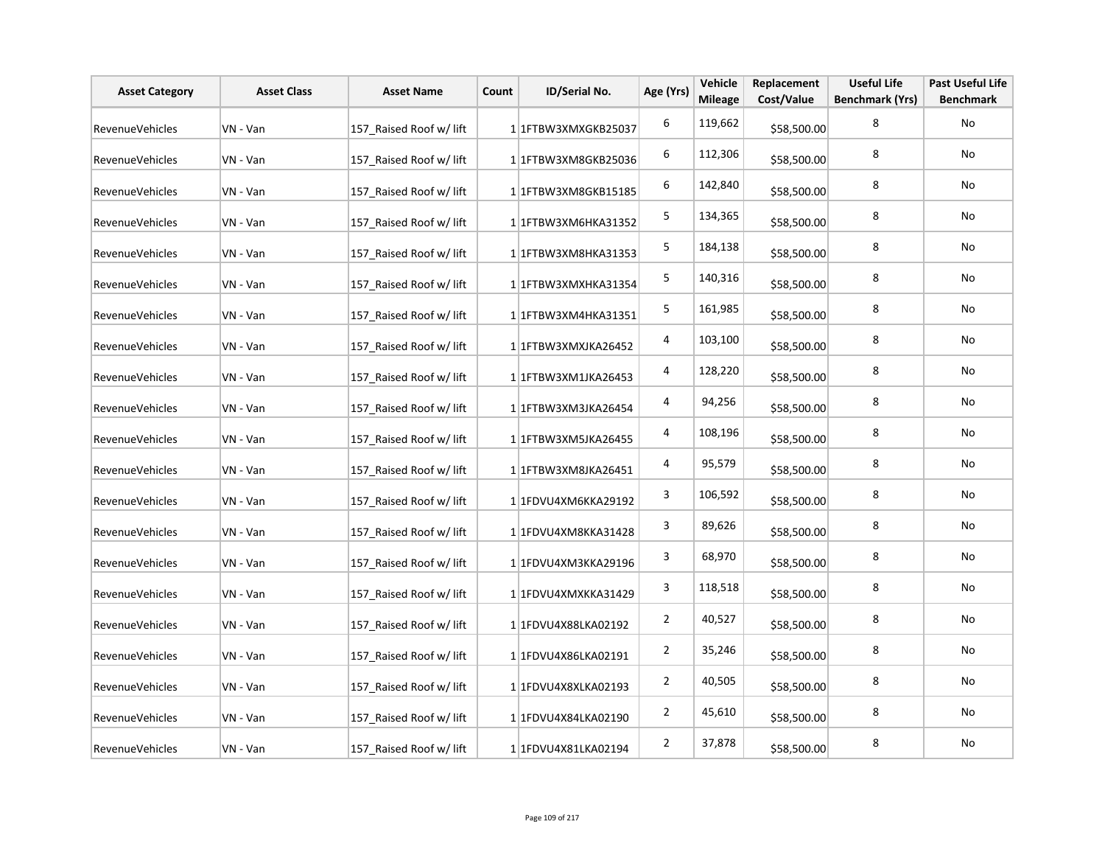| <b>Asset Category</b>  | <b>Asset Class</b> | <b>Asset Name</b>       | Count | ID/Serial No.          | Age (Yrs)      | Vehicle<br><b>Mileage</b> | Replacement<br>Cost/Value | <b>Useful Life</b><br><b>Benchmark (Yrs)</b> | <b>Past Useful Life</b><br><b>Benchmark</b> |
|------------------------|--------------------|-------------------------|-------|------------------------|----------------|---------------------------|---------------------------|----------------------------------------------|---------------------------------------------|
| <b>RevenueVehicles</b> | VN - Van           | 157 Raised Roof w/ lift |       | 1 1 FTBW3XMXGKB25037   | 6              | 119,662                   | \$58,500.00               | 8                                            | No                                          |
| RevenueVehicles        | VN - Van           | 157 Raised Roof w/ lift |       | 1 1 FTBW3XM8GKB25036   | 6              | 112,306                   | \$58,500.00               | 8                                            | No                                          |
| <b>RevenueVehicles</b> | VN - Van           | 157_Raised Roof w/ lift |       | 1 1 FTBW3XM8GKB15185   | 6              | 142,840                   | \$58,500.00               | 8                                            | No                                          |
| RevenueVehicles        | VN - Van           | 157 Raised Roof w/ lift |       | 1 1FTBW3XM6HKA31352    | 5              | 134,365                   | \$58,500.00               | 8                                            | No                                          |
| <b>RevenueVehicles</b> | VN - Van           | 157 Raised Roof w/ lift |       | 1 1FTBW3XM8HKA31353    | 5              | 184,138                   | \$58,500.00               | 8                                            | No                                          |
| RevenueVehicles        | VN - Van           | 157_Raised Roof w/ lift |       | 1 1 FTBW3XMXHKA31354   | 5              | 140,316                   | \$58,500.00               | 8                                            | No                                          |
| RevenueVehicles        | VN - Van           | 157 Raised Roof w/ lift |       | $1$  1FTBW3XM4HKA31351 | 5              | 161,985                   | \$58,500.00               | 8                                            | No                                          |
| RevenueVehicles        | VN - Van           | 157_Raised Roof w/ lift |       | 1 1FTBW3XMXJKA26452    | 4              | 103,100                   | \$58,500.00               | 8                                            | No                                          |
| <b>RevenueVehicles</b> | VN - Van           | 157_Raised Roof w/ lift |       | 1 1 FTBW3XM1JKA26453   | 4              | 128,220                   | \$58,500.00               | 8                                            | No                                          |
| RevenueVehicles        | VN - Van           | 157 Raised Roof w/ lift |       | 1 1FTBW3XM3JKA26454    | 4              | 94,256                    | \$58,500.00               | 8                                            | No                                          |
| RevenueVehicles        | VN - Van           | 157 Raised Roof w/ lift |       | 1 1FTBW3XM5JKA26455    | 4              | 108,196                   | \$58,500.00               | 8                                            | No                                          |
| RevenueVehicles        | VN - Van           | 157 Raised Roof w/ lift |       | 1 1FTBW3XM8JKA26451    | 4              | 95,579                    | \$58,500.00               | 8                                            | No                                          |
| RevenueVehicles        | VN - Van           | 157 Raised Roof w/ lift |       | 1 1FDVU4XM6KKA29192    | 3              | 106,592                   | \$58,500.00               | 8                                            | No                                          |
| RevenueVehicles        | VN - Van           | 157 Raised Roof w/ lift |       | 1 1FDVU4XM8KKA31428    | 3              | 89,626                    | \$58,500.00               | 8                                            | No                                          |
| RevenueVehicles        | VN - Van           | 157 Raised Roof w/ lift |       | 1 1FDVU4XM3KKA29196    | 3              | 68,970                    | \$58,500.00               | 8                                            | No                                          |
| RevenueVehicles        | VN - Van           | 157 Raised Roof w/ lift |       | 1 1FDVU4XMXKKA31429    | 3              | 118,518                   | \$58,500.00               | 8                                            | No                                          |
| RevenueVehicles        | VN - Van           | 157 Raised Roof w/ lift |       | 1 1FDVU4X88LKA02192    | $\overline{2}$ | 40,527                    | \$58,500.00               | 8                                            | No                                          |
| RevenueVehicles        | VN - Van           | 157_Raised Roof w/ lift |       | 1 1FDVU4X86LKA02191    | $\overline{2}$ | 35,246                    | \$58,500.00               | 8                                            | No                                          |
| RevenueVehicles        | VN - Van           | 157_Raised Roof w/ lift |       | 1 1 FDVU4X8XLKA02193   | $\overline{2}$ | 40,505                    | \$58,500.00               | 8                                            | No                                          |
| RevenueVehicles        | VN - Van           | 157 Raised Roof w/ lift |       | 1 1FDVU4X84LKA02190    | $\overline{2}$ | 45,610                    | \$58,500.00               | 8                                            | No                                          |
| RevenueVehicles        | VN - Van           | 157 Raised Roof w/ lift |       | 1 1 FDVU4X81LKA02194   | $\overline{2}$ | 37,878                    | \$58,500.00               | 8                                            | No                                          |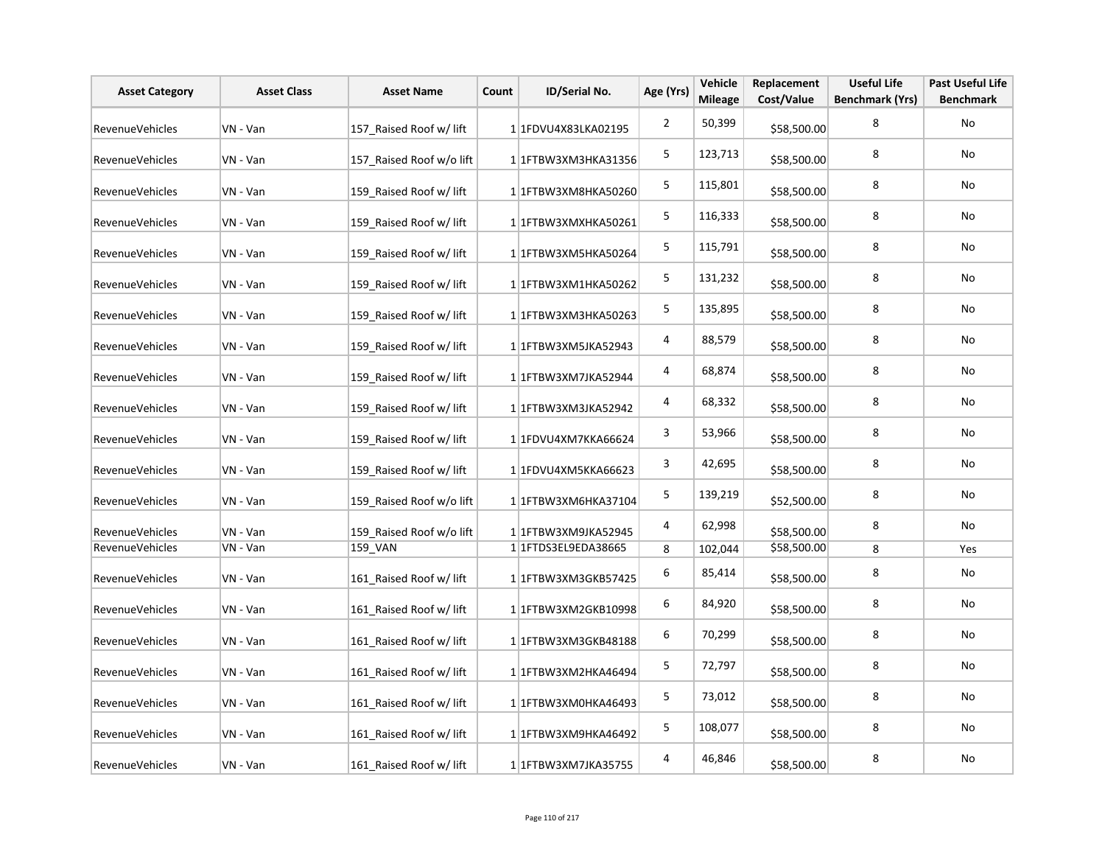| <b>Asset Category</b>  | <b>Asset Class</b> | <b>Asset Name</b>        | Count | ID/Serial No.                      | Age (Yrs)      | Vehicle<br><b>Mileage</b> | Replacement<br>Cost/Value | <b>Useful Life</b><br><b>Benchmark (Yrs)</b> | <b>Past Useful Life</b><br><b>Benchmark</b> |
|------------------------|--------------------|--------------------------|-------|------------------------------------|----------------|---------------------------|---------------------------|----------------------------------------------|---------------------------------------------|
| RevenueVehicles        | VN - Van           | 157 Raised Roof w/ lift  |       | 1 1FDVU4X83LKA02195                | $\overline{2}$ | 50,399                    | \$58,500.00               | 8                                            | <b>No</b>                                   |
| RevenueVehicles        | VN - Van           | 157 Raised Roof w/o lift |       | 1 1 FTBW3XM3HKA31356               | 5              | 123,713                   | \$58,500.00               | 8                                            | No                                          |
| RevenueVehicles        | VN - Van           | 159 Raised Roof w/ lift  |       | 1 1FTBW3XM8HKA50260                | 5              | 115,801                   | \$58,500.00               | 8                                            | No                                          |
| RevenueVehicles        | VN - Van           | 159 Raised Roof w/ lift  |       | 1 1FTBW3XMXHKA50261                | 5              | 116,333                   | \$58,500.00               | 8                                            | No                                          |
| <b>RevenueVehicles</b> | VN - Van           | 159 Raised Roof w/ lift  |       | 1 1FTBW3XM5HKA50264                | 5              | 115,791                   | \$58,500.00               | 8                                            | No                                          |
| RevenueVehicles        | VN - Van           | 159 Raised Roof w/ lift  |       | 1 1 FTBW3XM1HKA50262               | 5              | 131,232                   | \$58,500.00               | 8                                            | No                                          |
| RevenueVehicles        | VN - Van           | 159 Raised Roof w/ lift  |       | 1 1FTBW3XM3HKA50263                | 5              | 135,895                   | \$58,500.00               | 8                                            | No                                          |
| RevenueVehicles        | VN - Van           | 159 Raised Roof w/ lift  |       | 1 1FTBW3XM5JKA52943                | 4              | 88,579                    | \$58,500.00               | 8                                            | No                                          |
| RevenueVehicles        | VN - Van           | 159 Raised Roof w/ lift  |       | 1 1FTBW3XM7JKA52944                | 4              | 68,874                    | \$58,500.00               | 8                                            | No                                          |
| RevenueVehicles        | VN - Van           | 159 Raised Roof w/ lift  |       | 1 1FTBW3XM3JKA52942                | 4              | 68,332                    | \$58,500.00               | 8                                            | No                                          |
| RevenueVehicles        | VN - Van           | 159 Raised Roof w/ lift  |       | 1 1FDVU4XM7KKA66624                | 3              | 53,966                    | \$58,500.00               | 8                                            | No                                          |
| RevenueVehicles        | VN - Van           | 159 Raised Roof w/ lift  |       | 1 1FDVU4XM5KKA66623                | 3              | 42,695                    | \$58,500.00               | 8                                            | No                                          |
| RevenueVehicles        | VN - Van           | 159 Raised Roof w/o lift |       | 1 1 1 FTBW 3 X M 6 H K A 3 7 1 0 4 | 5              | 139,219                   | \$52,500.00               | 8                                            | No                                          |
| RevenueVehicles        | VN - Van           | 159 Raised Roof w/o lift |       | 1 1FTBW3XM9JKA52945                | 4              | 62,998                    | \$58,500.00               | 8                                            | No                                          |
| RevenueVehicles        | VN - Van           | 159 VAN                  |       | 1 1 FTDS3EL9EDA38665               | 8              | 102,044                   | \$58,500.00               | 8                                            | Yes                                         |
| RevenueVehicles        | VN - Van           | 161 Raised Roof w/ lift  |       | 1 1 FTBW3XM3GKB57425               | 6              | 85,414                    | \$58,500.00               | 8                                            | No                                          |
| RevenueVehicles        | VN - Van           | 161 Raised Roof w/ lift  |       | 1 1FTBW3XM2GKB10998                | 6              | 84,920                    | \$58,500.00               | 8                                            | No                                          |
| <b>RevenueVehicles</b> | VN - Van           | 161 Raised Roof w/ lift  |       | 1 1 FTBW3XM3GKB48188               | 6              | 70,299                    | \$58,500.00               | 8                                            | No                                          |
| RevenueVehicles        | VN - Van           | 161 Raised Roof w/ lift  |       | 1 1 FTBW3XM2HKA46494               | 5              | 72,797                    | \$58,500.00               | 8                                            | No                                          |
| RevenueVehicles        | VN - Van           | 161 Raised Roof w/ lift  |       | 1 1FTBW3XM0HKA46493                | 5              | 73,012                    | \$58,500.00               | 8                                            | No                                          |
| RevenueVehicles        | VN - Van           | 161 Raised Roof w/ lift  |       | 1 1FTBW3XM9HKA46492                | 5              | 108,077                   | \$58,500.00               | 8                                            | <b>No</b>                                   |
| RevenueVehicles        | VN - Van           | 161 Raised Roof w/ lift  |       | 1 1 TBW3XM7JKA35755                | 4              | 46,846                    | \$58,500.00               | 8                                            | No                                          |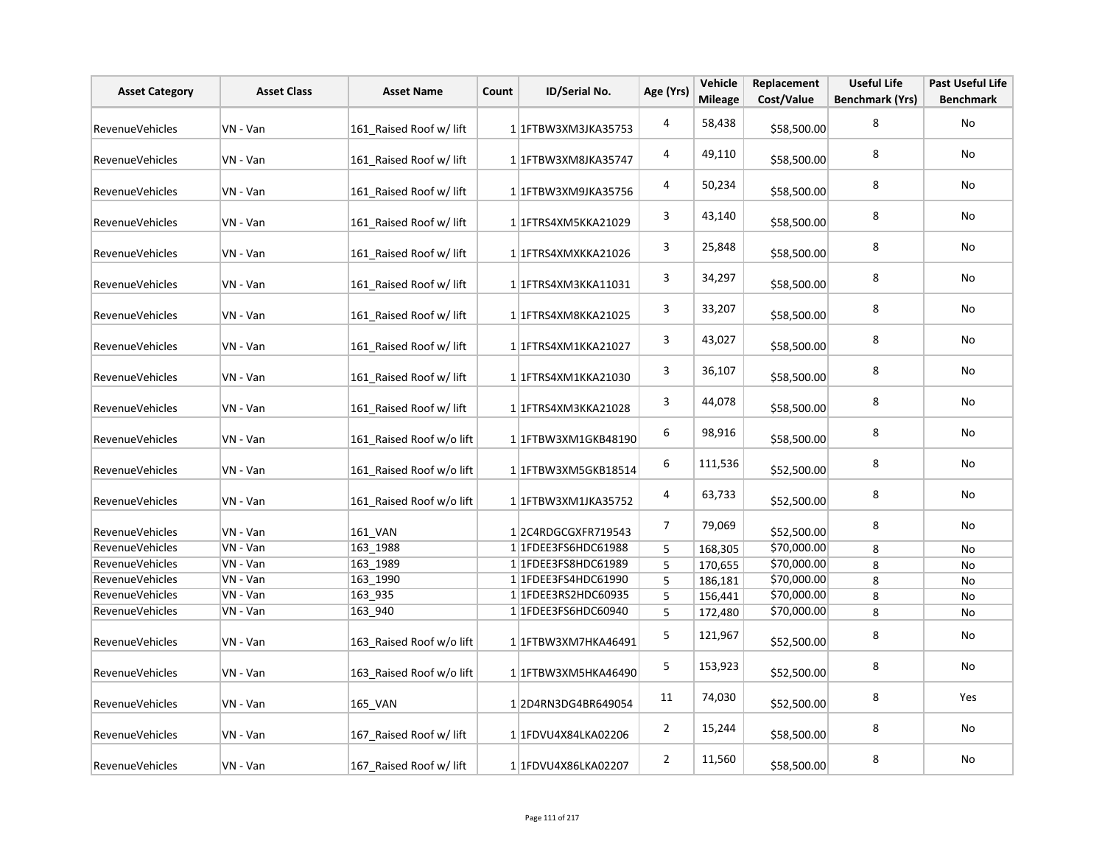| <b>Asset Category</b>  | <b>Asset Class</b> | <b>Asset Name</b>        | Count | ID/Serial No.        | Age (Yrs)      | Vehicle<br><b>Mileage</b> | Replacement<br>Cost/Value | <b>Useful Life</b><br><b>Benchmark (Yrs)</b> | <b>Past Useful Life</b><br><b>Benchmark</b> |
|------------------------|--------------------|--------------------------|-------|----------------------|----------------|---------------------------|---------------------------|----------------------------------------------|---------------------------------------------|
| <b>RevenueVehicles</b> | VN - Van           | 161_Raised Roof w/ lift  |       | 1 1 FTBW3XM3JKA35753 | $\overline{4}$ | 58,438                    | \$58,500.00               | 8                                            | <b>No</b>                                   |
| <b>RevenueVehicles</b> | VN - Van           | 161 Raised Roof w/ lift  |       | 1 1FTBW3XM8JKA35747  | 4              | 49,110                    | \$58,500.00               | 8                                            | No                                          |
| RevenueVehicles        | VN - Van           | 161 Raised Roof w/ lift  |       | 1 1FTBW3XM9JKA35756  | 4              | 50,234                    | \$58,500.00               | 8                                            | No                                          |
| RevenueVehicles        | VN - Van           | 161 Raised Roof w/ lift  |       | 1 1 FTRS4XM5KKA21029 | 3              | 43,140                    | \$58,500.00               | 8                                            | No                                          |
| RevenueVehicles        | VN - Van           | 161 Raised Roof w/ lift  |       | 1 1 FTRS4XMXKKA21026 | 3              | 25,848                    | \$58,500.00               | 8                                            | No                                          |
| RevenueVehicles        | VN - Van           | 161 Raised Roof w/ lift  |       | 1 1 FTRS4XM3KKA11031 | 3              | 34,297                    | \$58,500.00               | 8                                            | No                                          |
| <b>RevenueVehicles</b> | VN - Van           | 161 Raised Roof w/ lift  |       | 1 1 FTRS4XM8KKA21025 | 3              | 33,207                    | \$58,500.00               | 8                                            | No                                          |
| RevenueVehicles        | VN - Van           | 161 Raised Roof w/ lift  |       | 1 1 FTRS4XM1KKA21027 | 3              | 43,027                    | \$58,500.00               | 8                                            | No                                          |
| RevenueVehicles        | VN - Van           | 161 Raised Roof w/ lift  |       | 1 1 FTRS4XM1KKA21030 | 3              | 36,107                    | \$58,500.00               | 8                                            | No                                          |
| RevenueVehicles        | VN - Van           | 161 Raised Roof w/ lift  |       | 1 1FTRS4XM3KKA21028  | 3              | 44,078                    | \$58,500.00               | 8                                            | No                                          |
| RevenueVehicles        | VN - Van           | 161 Raised Roof w/o lift |       | 1 1 FTBW3XM1GKB48190 | 6              | 98,916                    | \$58,500.00               | 8                                            | No                                          |
| <b>RevenueVehicles</b> | VN - Van           | 161 Raised Roof w/o lift |       | 1 1 FTBW3XM5GKB18514 | 6              | 111,536                   | \$52,500.00               | 8                                            | No                                          |
| <b>RevenueVehicles</b> | VN - Van           | 161 Raised Roof w/o lift |       | 1 1 FTBW3XM1JKA35752 | 4              | 63,733                    | \$52,500.00               | 8                                            | No                                          |
| RevenueVehicles        | VN - Van           | 161 VAN                  |       | 12C4RDGCGXFR719543   | $\overline{7}$ | 79,069                    | \$52,500.00               | 8                                            | No                                          |
| RevenueVehicles        | VN - Van           | 163 1988                 |       | 1 1FDEE3FS6HDC61988  | 5              | 168,305                   | \$70,000.00               | 8                                            | No                                          |
| RevenueVehicles        | VN - Van           | 163 1989                 |       | 1 1FDEE3FS8HDC61989  | 5              | 170,655                   | \$70,000.00               | 8                                            | No                                          |
| RevenueVehicles        | VN - Van           | 163 1990                 |       | 1 1FDEE3FS4HDC61990  | 5              | 186,181                   | \$70,000.00               | 8                                            | No                                          |
| RevenueVehicles        | VN - Van           | 163 935                  |       | 1 1FDEE3RS2HDC60935  | 5              | 156,441                   | \$70,000.00               | 8                                            | No                                          |
| <b>RevenueVehicles</b> | VN - Van           | 163 940                  |       | 1 1FDEE3FS6HDC60940  | 5              | 172,480                   | \$70,000.00               | 8                                            | No                                          |
| <b>RevenueVehicles</b> | VN - Van           | 163 Raised Roof w/o lift |       | 1 1 FTBW3XM7HKA46491 | 5              | 121,967                   | \$52,500.00               | 8                                            | No                                          |
| RevenueVehicles        | VN - Van           | 163 Raised Roof w/o lift |       | 1 1 FTBW3XM5HKA46490 | 5              | 153,923                   | \$52,500.00               | 8                                            | No                                          |
| <b>RevenueVehicles</b> | VN - Van           | 165_VAN                  |       | 12D4RN3DG4BR649054   | 11             | 74,030                    | \$52,500.00               | 8                                            | Yes                                         |
| <b>RevenueVehicles</b> | VN - Van           | 167 Raised Roof w/ lift  |       | 1 1FDVU4X84LKA02206  | $\overline{2}$ | 15,244                    | \$58,500.00               | 8                                            | No                                          |
| RevenueVehicles        | VN - Van           | 167 Raised Roof w/ lift  |       | 1 1 FDVU4X86LKA02207 | $\overline{2}$ | 11,560                    | \$58,500.00               | 8                                            | No                                          |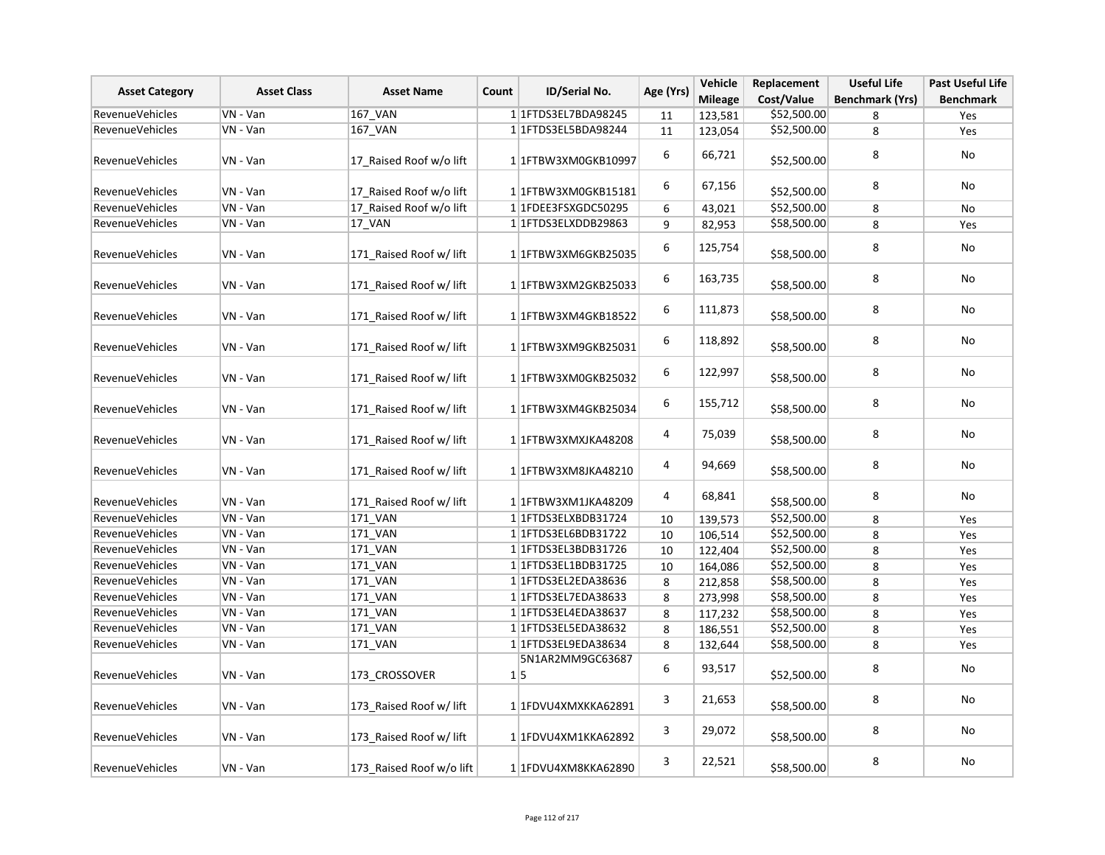| <b>Asset Class</b><br>ID/Serial No.<br><b>Asset Category</b><br><b>Asset Name</b><br>Count | Age (Yrs) | Vehicle                  | Replacement                        | <b>Useful Life</b> | <b>Past Useful Life</b> |             |                        |                  |
|--------------------------------------------------------------------------------------------|-----------|--------------------------|------------------------------------|--------------------|-------------------------|-------------|------------------------|------------------|
|                                                                                            |           |                          |                                    |                    | <b>Mileage</b>          | Cost/Value  | <b>Benchmark (Yrs)</b> | <b>Benchmark</b> |
| RevenueVehicles                                                                            | VN - Van  | 167_VAN                  | 1 1 FTDS3EL7BDA98245               | 11                 | 123,581                 | \$52,500.00 | 8                      | Yes              |
| <b>RevenueVehicles</b>                                                                     | VN - Van  | 167_VAN                  | 1 1 FTDS3EL5BDA98244               | 11                 | 123,054                 | \$52,500.00 | 8                      | Yes              |
| RevenueVehicles                                                                            | VN - Van  | 17 Raised Roof w/o lift  | 1 1FTBW3XM0GKB10997                | 6                  | 66,721                  | \$52,500.00 | 8                      | No               |
| RevenueVehicles                                                                            | VN - Van  | 17 Raised Roof w/o lift  | 11FTBW3XM0GKB15181                 | 6                  | 67,156                  | \$52,500.00 | 8                      | No               |
| RevenueVehicles                                                                            | VN - Van  | 17 Raised Roof w/o lift  | 1 1FDEE3FSXGDC50295                | 6                  | 43,021                  | \$52,500.00 | 8                      | No               |
| RevenueVehicles                                                                            | VN - Van  | <b>17 VAN</b>            | 1 1FTDS3ELXDDB29863                | 9                  | 82,953                  | \$58,500.00 | 8                      | Yes              |
| <b>RevenueVehicles</b>                                                                     | VN - Van  | 171 Raised Roof w/ lift  | 1 1 FTBW3XM6GKB25035               | 6                  | 125,754                 | \$58,500.00 | 8                      | No               |
| RevenueVehicles                                                                            | VN - Van  | 171 Raised Roof w/ lift  | 1 1 FTBW3XM2GKB25033               | 6                  | 163,735                 | \$58,500.00 | 8                      | No               |
| RevenueVehicles                                                                            | VN - Van  | 171 Raised Roof w/ lift  | 1 1 FTBW3XM4GKB18522               | 6                  | 111,873                 | \$58,500.00 | 8                      | No               |
| <b>RevenueVehicles</b>                                                                     | VN - Van  | 171 Raised Roof w/ lift  | 1 1FTBW3XM9GKB25031                | 6                  | 118,892                 | \$58,500.00 | 8                      | No               |
| <b>RevenueVehicles</b>                                                                     | VN - Van  | 171 Raised Roof w/ lift  | 11FTBW3XM0GKB25032                 | 6                  | 122,997                 | \$58,500.00 | 8                      | <b>No</b>        |
| <b>RevenueVehicles</b>                                                                     | VN - Van  | 171_Raised Roof w/ lift  | 1 1 1 FTBW 3 X M 4 G K B 2 5 0 3 4 | 6                  | 155,712                 | \$58,500.00 | 8                      | <b>No</b>        |
| RevenueVehicles                                                                            | VN - Van  | 171 Raised Roof w/ lift  | 1 1FTBW3XMXJKA48208                | 4                  | 75,039                  | \$58,500.00 | 8                      | No               |
| <b>RevenueVehicles</b>                                                                     | VN - Van  | 171 Raised Roof w/ lift  | 1 1 FTBW3XM8JKA48210               | 4                  | 94,669                  | \$58,500.00 | 8                      | No               |
| RevenueVehicles                                                                            | VN - Van  | 171_Raised Roof w/ lift  | 1 1FTBW3XM1JKA48209                | 4                  | 68,841                  | \$58,500.00 | 8                      | <b>No</b>        |
| RevenueVehicles                                                                            | VN - Van  | <b>171 VAN</b>           | 1 1 FTDS3ELXBDB31724               | 10                 | 139,573                 | \$52,500.00 | 8                      | Yes              |
| RevenueVehicles                                                                            | VN - Van  | 171 VAN                  | 1 1 FTDS3EL6BDB31722               | 10                 | 106,514                 | \$52,500.00 | 8                      | Yes              |
| <b>RevenueVehicles</b>                                                                     | VN - Van  | 171_VAN                  | 1 1 1 FTDS3 EL3BDB 31726           | 10                 | 122,404                 | \$52,500.00 | 8                      | Yes              |
| <b>RevenueVehicles</b>                                                                     | VN - Van  | 171_VAN                  | 1 1 FTDS3EL1BDB31725               | 10                 | 164,086                 | \$52,500.00 | 8                      | Yes              |
| RevenueVehicles                                                                            | VN - Van  | 171_VAN                  | 1 1 FTDS3EL2EDA38636               | 8                  | 212,858                 | \$58,500.00 | 8                      | Yes              |
| RevenueVehicles                                                                            | VN - Van  | 171 VAN                  | 1 1 FTDS3EL7EDA38633               | 8                  | 273,998                 | \$58,500.00 | 8                      | Yes              |
| RevenueVehicles                                                                            | VN - Van  | <b>171 VAN</b>           | 1 1 FTDS3EL4EDA38637               | 8                  | 117,232                 | \$58,500.00 | 8                      | Yes              |
| <b>RevenueVehicles</b>                                                                     | VN - Van  | 171 VAN                  | 1 1 FTDS3EL5EDA38632               | 8                  | 186,551                 | \$52,500.00 | 8                      | Yes              |
| <b>RevenueVehicles</b>                                                                     | VN - Van  | 171 VAN                  | 1 1 FTDS3EL9EDA38634               | 8                  | 132,644                 | \$58,500.00 | 8                      | Yes              |
| RevenueVehicles                                                                            | VN - Van  | 173 CROSSOVER            | 5N1AR2MM9GC63687<br>1 5            | 6                  | 93,517                  | \$52,500.00 | 8                      | No               |
| <b>RevenueVehicles</b>                                                                     | VN - Van  | 173 Raised Roof w/ lift  | 1 1FDVU4XMXKKA62891                | 3                  | 21,653                  | \$58,500.00 | 8                      | <b>No</b>        |
| <b>RevenueVehicles</b>                                                                     | VN - Van  | 173 Raised Roof w/ lift  | 1 1FDVU4XM1KKA62892                | 3                  | 29,072                  | \$58,500.00 | 8                      | No               |
| RevenueVehicles                                                                            | VN - Van  | 173 Raised Roof w/o lift | 1 1FDVU4XM8KKA62890                | 3                  | 22,521                  | \$58,500.00 | 8                      | <b>No</b>        |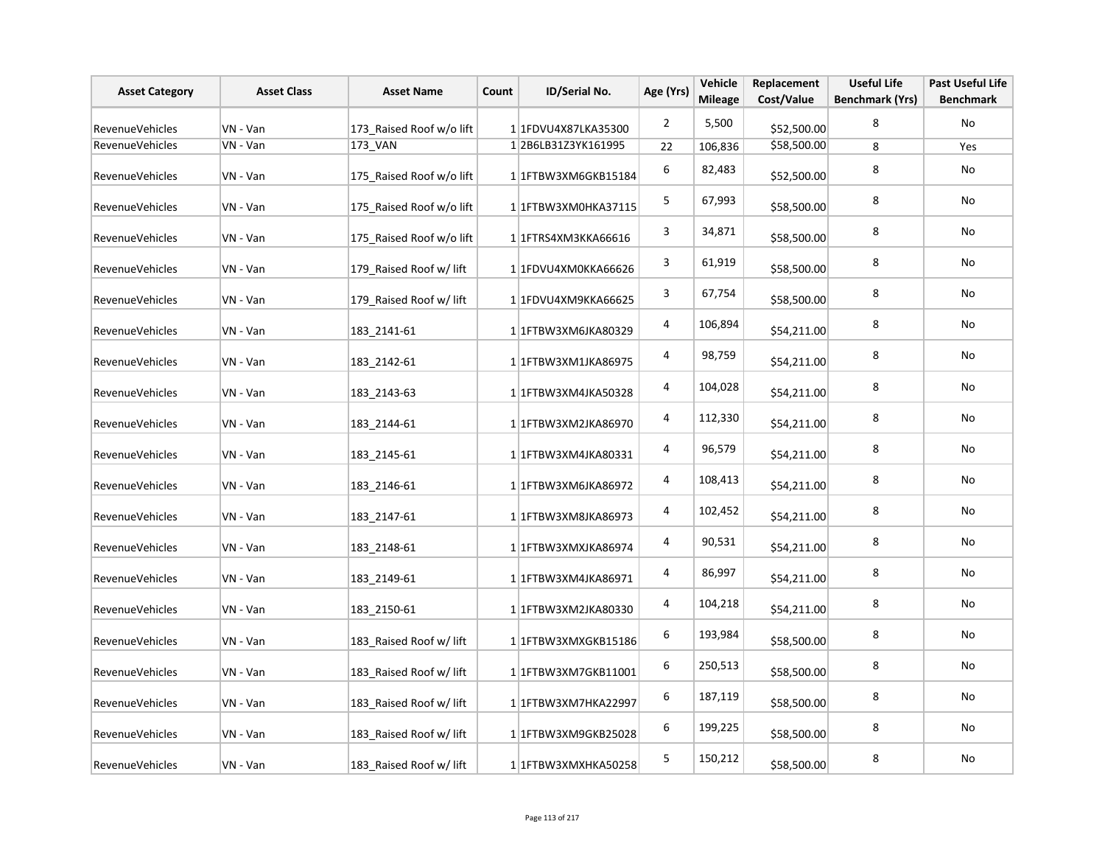| <b>Asset Category</b>  | <b>Asset Class</b> | <b>Asset Name</b>        | Count | ID/Serial No.        | Age (Yrs)               | Vehicle<br><b>Mileage</b> | Replacement<br>Cost/Value | <b>Useful Life</b><br><b>Benchmark (Yrs)</b> | <b>Past Useful Life</b><br><b>Benchmark</b> |
|------------------------|--------------------|--------------------------|-------|----------------------|-------------------------|---------------------------|---------------------------|----------------------------------------------|---------------------------------------------|
| Revenue Vehicles       | VN - Van           | 173_Raised Roof w/o lift |       | 11FDVU4X87LKA35300   | $\overline{2}$          | 5,500                     | \$52,500.00               | 8                                            | No                                          |
| RevenueVehicles        | VN - Van           | 173 VAN                  |       | 12B6LB31Z3YK161995   | 22                      | 106,836                   | \$58,500.00               | 8                                            | Yes                                         |
| RevenueVehicles        | VN - Van           | 175 Raised Roof w/o lift |       | 1 1 FTBW3XM6GKB15184 | 6                       | 82,483                    | \$52,500.00               | 8                                            | No                                          |
| RevenueVehicles        | VN - Van           | 175 Raised Roof w/o lift |       | 1 1FTBW3XM0HKA37115  | 5                       | 67,993                    | \$58,500.00               | 8                                            | No                                          |
| RevenueVehicles        | VN - Van           | 175 Raised Roof w/o lift |       | 1 1 FTRS4XM3KKA66616 | 3                       | 34,871                    | \$58,500.00               | 8                                            | No                                          |
| RevenueVehicles        | VN - Van           | 179 Raised Roof w/ lift  |       | 1 1FDVU4XM0KKA66626  | 3                       | 61,919                    | \$58,500.00               | 8                                            | No                                          |
| RevenueVehicles        | VN - Van           | 179 Raised Roof w/ lift  |       | 1 1FDVU4XM9KKA66625  | 3                       | 67,754                    | \$58,500.00               | 8                                            | No                                          |
| RevenueVehicles        | VN - Van           | 183 2141-61              |       | 1 1 FTBW3XM6JKA80329 | $\overline{\mathbf{4}}$ | 106,894                   | \$54,211.00               | 8                                            | No                                          |
| <b>RevenueVehicles</b> | VN - Van           | 183 2142-61              |       | 11FTBW3XM1JKA86975   | 4                       | 98,759                    | \$54,211.00               | 8                                            | No                                          |
| RevenueVehicles        | VN - Van           | 183 2143-63              |       | 1 1FTBW3XM4JKA50328  | 4                       | 104,028                   | \$54,211.00               | 8                                            | No                                          |
| RevenueVehicles        | VN - Van           | 183 2144-61              |       | 1 1 FTBW3XM2JKA86970 | 4                       | 112,330                   | \$54,211.00               | 8                                            | No                                          |
| RevenueVehicles        | VN - Van           | 183 2145-61              |       | 1 1 FTBW3XM4JKA80331 | 4                       | 96,579                    | \$54,211.00               | 8                                            | No                                          |
| RevenueVehicles        | VN - Van           | 183 2146-61              |       | 1 1 FTBW3XM6JKA86972 | 4                       | 108,413                   | \$54,211.00               | 8                                            | No                                          |
| RevenueVehicles        | VN - Van           | 183 2147-61              |       | 1 1 FTBW3XM8JKA86973 | 4                       | 102,452                   | \$54,211.00               | 8                                            | No                                          |
| RevenueVehicles        | VN - Van           | 183 2148-61              |       | 1 1 FTBW3XMXJKA86974 | 4                       | 90,531                    | \$54,211.00               | 8                                            | No                                          |
| RevenueVehicles        | VN - Van           | 183 2149-61              |       | 1 1FTBW3XM4JKA86971  | 4                       | 86,997                    | \$54,211.00               | 8                                            | No                                          |
| RevenueVehicles        | VN - Van           | 183 2150-61              |       | 11FTBW3XM2JKA80330   | 4                       | 104,218                   | \$54,211.00               | 8                                            | No                                          |
| <b>RevenueVehicles</b> | VN - Van           | 183 Raised Roof w/ lift  |       | 1 1FTBW3XMXGKB15186  | 6                       | 193,984                   | \$58,500.00               | 8                                            | No                                          |
| RevenueVehicles        | VN - Van           | 183 Raised Roof w/ lift  |       | 1 1 FTBW3XM7GKB11001 | 6                       | 250,513                   | \$58,500.00               | 8                                            | No                                          |
| RevenueVehicles        | VN - Van           | 183 Raised Roof w/ lift  |       | 1 1 FTBW3XM7HKA22997 | 6                       | 187,119                   | \$58,500.00               | 8                                            | No                                          |
| <b>RevenueVehicles</b> | VN - Van           | 183 Raised Roof w/ lift  |       | 1 1 FTBW3XM9GKB25028 | 6                       | 199,225                   | \$58,500.00               | 8                                            | <b>No</b>                                   |
| RevenueVehicles        | VN - Van           | 183 Raised Roof w/ lift  |       | 1 1FTBW3XMXHKA50258  | 5                       | 150,212                   | \$58,500.00               | 8                                            | No                                          |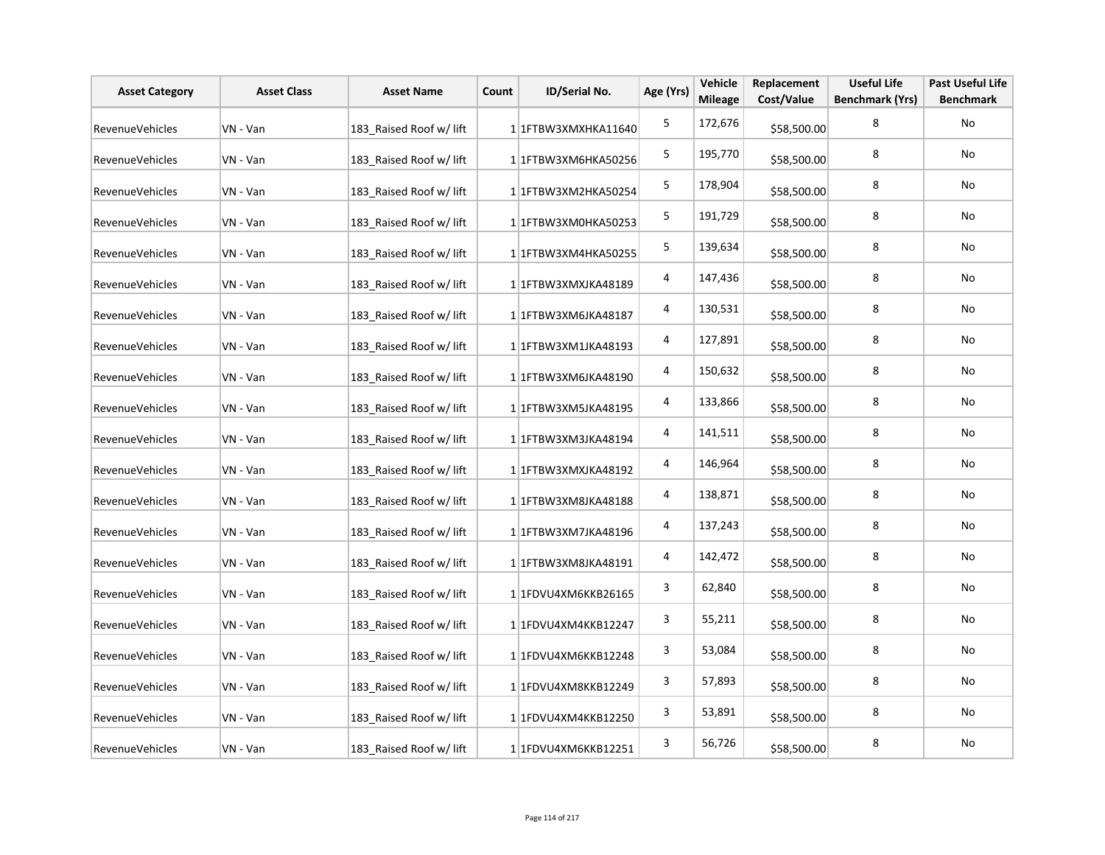| <b>Asset Category</b>  | <b>Asset Class</b> | <b>Asset Name</b>       | Count | ID/Serial No.                     | Age (Yrs) | Vehicle<br><b>Mileage</b> | Replacement<br>Cost/Value | <b>Useful Life</b><br><b>Benchmark (Yrs)</b> | <b>Past Useful Life</b><br><b>Benchmark</b> |
|------------------------|--------------------|-------------------------|-------|-----------------------------------|-----------|---------------------------|---------------------------|----------------------------------------------|---------------------------------------------|
| <b>RevenueVehicles</b> | VN - Van           | 183 Raised Roof w/ lift |       | 1 1FTBW3XMXHKA11640               | 5         | 172,676                   | \$58,500.00               | 8                                            | No                                          |
| <b>RevenueVehicles</b> | VN - Van           | 183 Raised Roof w/ lift |       | 1 1FTBW3XM6HKA50256               | 5         | 195,770                   | \$58,500.00               | 8                                            | No                                          |
| RevenueVehicles        | VN - Van           | 183 Raised Roof w/ lift |       | 1 1 1 FTBW 3 X M 2 H K A 50 2 5 4 | 5         | 178,904                   | \$58,500.00               | 8                                            | No                                          |
| RevenueVehicles        | VN - Van           | 183 Raised Roof w/ lift |       | 1 1FTBW3XM0HKA50253               | 5         | 191,729                   | \$58,500.00               | 8                                            | No                                          |
| RevenueVehicles        | VN - Van           | 183 Raised Roof w/ lift |       | 1 1 1 FTBW 3 X M 4 H K A 50 25 5  | 5         | 139,634                   | \$58,500.00               | 8                                            | No                                          |
| RevenueVehicles        | VN - Van           | 183 Raised Roof w/ lift |       | 1 1 FTBW3XMXJKA48189              | 4         | 147,436                   | \$58,500.00               | 8                                            | No                                          |
| RevenueVehicles        | VN - Van           | 183 Raised Roof w/ lift |       | 1 1FTBW3XM6JKA48187               | 4         | 130,531                   | \$58,500.00               | 8                                            | No                                          |
| RevenueVehicles        | VN - Van           | 183 Raised Roof w/ lift |       | 1 1 FTBW3XM1JKA48193              | 4         | 127,891                   | \$58,500.00               | 8                                            | No                                          |
| RevenueVehicles        | VN - Van           | 183 Raised Roof w/ lift |       | 1 1FTBW3XM6JKA48190               | 4         | 150,632                   | \$58,500.00               | 8                                            | No                                          |
| RevenueVehicles        | VN - Van           | 183 Raised Roof w/ lift |       | 1 1FTBW3XM5JKA48195               | 4         | 133,866                   | \$58,500.00               | 8                                            | No                                          |
| RevenueVehicles        | VN - Van           | 183_Raised Roof w/ lift |       | 1 1 FTBW3XM3JKA48194              | 4         | 141,511                   | \$58,500.00               | 8                                            | No                                          |
| RevenueVehicles        | VN - Van           | 183 Raised Roof w/ lift |       | 1 1 FTBW3XMXJKA48192              | 4         | 146,964                   | \$58,500.00               | 8                                            | No                                          |
| <b>RevenueVehicles</b> | VN - Van           | 183 Raised Roof w/ lift |       | 1 1 FTBW3XM8JKA48188              | 4         | 138,871                   | \$58,500.00               | 8                                            | No                                          |
| RevenueVehicles        | VN - Van           | 183 Raised Roof w/ lift |       | 1 1 FTBW3XM7JKA48196              | 4         | 137,243                   | \$58,500.00               | 8                                            | No                                          |
| RevenueVehicles        | VN - Van           | 183_Raised Roof w/ lift |       | 1 1 FTBW3XM8JKA48191              | 4         | 142,472                   | \$58,500.00               | 8                                            | No                                          |
| RevenueVehicles        | VN - Van           | 183_Raised Roof w/ lift |       | 1 1FDVU4XM6KKB26165               | 3         | 62,840                    | \$58,500.00               | 8                                            | No                                          |
| RevenueVehicles        | VN - Van           | 183_Raised Roof w/ lift |       | 1 1FDVU4XM4KKB12247               | 3         | 55,211                    | \$58,500.00               | 8                                            | No                                          |
| RevenueVehicles        | VN - Van           | 183_Raised Roof w/ lift |       | 1 1FDVU4XM6KKB12248               | 3         | 53,084                    | \$58,500.00               | 8                                            | No                                          |
| RevenueVehicles        | VN - Van           | 183 Raised Roof w/ lift |       | 1 1FDVU4XM8KKB12249               | 3         | 57,893                    | \$58,500.00               | 8                                            | No                                          |
| RevenueVehicles        | VN - Van           | 183_Raised Roof w/ lift |       | 1 1FDVU4XM4KKB12250               | 3         | 53,891                    | \$58,500.00               | 8                                            | No                                          |
| RevenueVehicles        | VN - Van           | 183 Raised Roof w/ lift |       | 1 1FDVU4XM6KKB12251               | 3         | 56,726                    | \$58,500.00               | 8                                            | No                                          |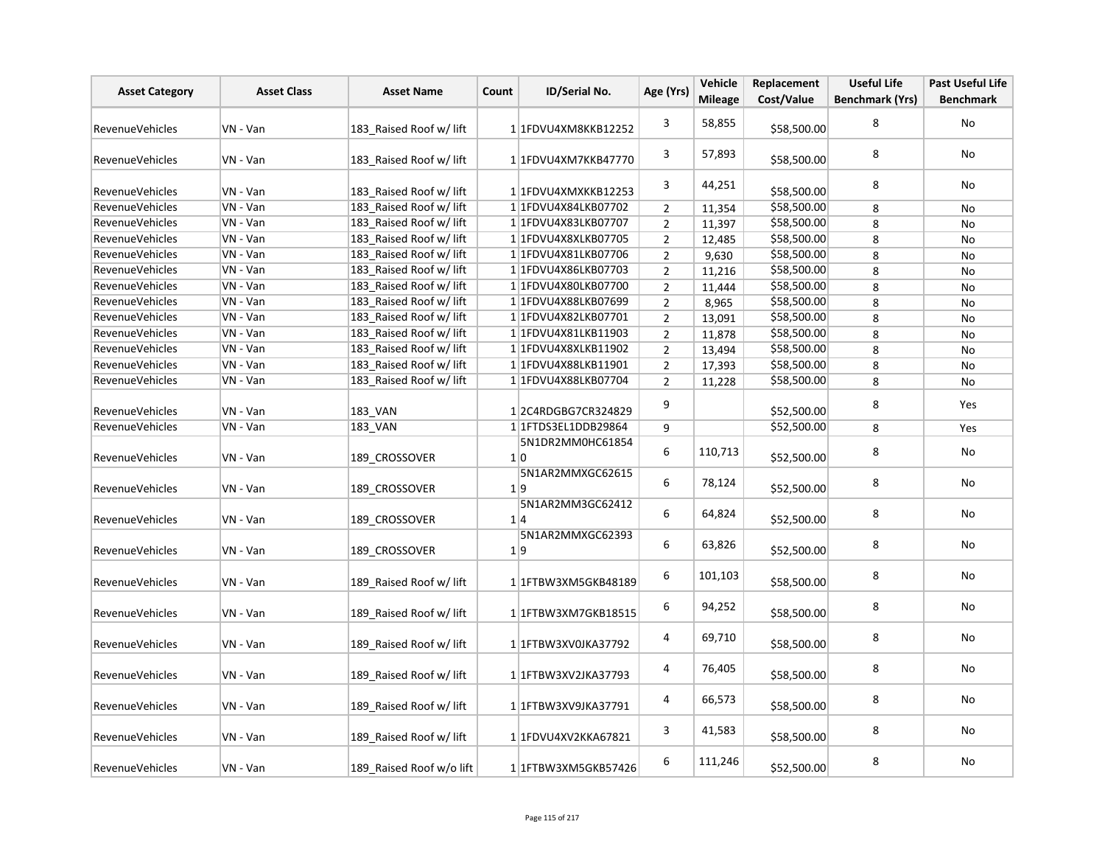| <b>Asset Category</b>  | <b>Asset Class</b> | <b>Asset Name</b>        | Count | ID/Serial No.           | Age (Yrs)      | Vehicle<br><b>Mileage</b> | Replacement<br>Cost/Value | <b>Useful Life</b><br><b>Benchmark (Yrs)</b> | Past Useful Life<br><b>Benchmark</b> |
|------------------------|--------------------|--------------------------|-------|-------------------------|----------------|---------------------------|---------------------------|----------------------------------------------|--------------------------------------|
|                        |                    |                          |       |                         |                |                           |                           |                                              |                                      |
| <b>RevenueVehicles</b> | VN - Van           | 183 Raised Roof w/ lift  |       | 1 1FDVU4XM8KKB12252     | 3              | 58,855                    | \$58,500.00               | 8                                            | No                                   |
| <b>RevenueVehicles</b> | VN - Van           | 183 Raised Roof w/ lift  |       | 1 1FDVU4XM7KKB47770     | 3              | 57,893                    | \$58,500.00               | 8                                            | No                                   |
| RevenueVehicles        | VN - Van           | 183 Raised Roof w/ lift  |       | 1 1 FDVU4XMXKKB12253    | 3              | 44,251                    | \$58,500.00               | 8                                            | No                                   |
| <b>RevenueVehicles</b> | VN - Van           | 183 Raised Roof w/ lift  |       | 1 1FDVU4X84LKB07702     | $\overline{2}$ | 11,354                    | \$58,500.00               | 8                                            | No                                   |
| <b>RevenueVehicles</b> | VN - Van           | 183 Raised Roof w/ lift  |       | 1 1FDVU4X83LKB07707     | $\overline{2}$ | 11,397                    | \$58,500.00               | 8                                            | No                                   |
| RevenueVehicles        | VN - Van           | 183 Raised Roof w/ lift  |       | 1 1FDVU4X8XLKB07705     | $\overline{2}$ | 12,485                    | \$58,500.00               | 8                                            | No                                   |
| RevenueVehicles        | VN - Van           | 183 Raised Roof w/ lift  |       | 1 1 FDVU4X81LKB07706    | $\overline{2}$ | 9,630                     | \$58,500.00               | 8                                            | No                                   |
| <b>RevenueVehicles</b> | VN - Van           | 183 Raised Roof w/ lift  |       | 11FDVU4X86LKB07703      | $\overline{2}$ | 11,216                    | \$58,500.00               | 8                                            | No                                   |
| <b>RevenueVehicles</b> | VN - Van           | 183 Raised Roof w/ lift  |       | 1 1FDVU4X80LKB07700     | $\overline{2}$ | 11,444                    | \$58,500.00               | 8                                            | No                                   |
| <b>RevenueVehicles</b> | VN - Van           | 183 Raised Roof w/ lift  |       | 1 1FDVU4X88LKB07699     | $\overline{2}$ | 8,965                     | \$58,500.00               | 8                                            | <b>No</b>                            |
| RevenueVehicles        | VN - Van           | 183_Raised Roof w/ lift  |       | 1 1FDVU4X82LKB07701     | $\mathbf 2$    | 13,091                    | \$58,500.00               | 8                                            | No                                   |
| RevenueVehicles        | VN - Van           | 183 Raised Roof w/ lift  |       | 1 1FDVU4X81LKB11903     | $\overline{2}$ | 11,878                    | \$58,500.00               | 8                                            | No                                   |
| <b>RevenueVehicles</b> | VN - Van           | 183 Raised Roof w/ lift  |       | 1 1 FDVU4X8XLKB11902    | $\overline{2}$ | 13,494                    | \$58,500.00               | 8                                            | No                                   |
| <b>RevenueVehicles</b> | VN - Van           | 183 Raised Roof w/ lift  |       | 1 1FDVU4X88LKB11901     | $\overline{2}$ | 17,393                    | \$58,500.00               | 8                                            | No                                   |
| <b>RevenueVehicles</b> | VN - Van           | 183 Raised Roof w/ lift  |       | 1 1 FDVU4X88LKB07704    | $\overline{2}$ | 11,228                    | \$58,500.00               | 8                                            | <b>No</b>                            |
| <b>RevenueVehicles</b> | VN - Van           | 183 VAN                  |       | 12C4RDGBG7CR324829      | 9              |                           | \$52,500.00               | 8                                            | Yes                                  |
| RevenueVehicles        | VN - Van           | 183 VAN                  |       | 1 1 FTDS3EL1DDB29864    | 9              |                           | \$52,500.00               | 8                                            | Yes                                  |
|                        |                    |                          |       | 5N1DR2MM0HC61854        |                |                           |                           |                                              |                                      |
| <b>RevenueVehicles</b> | VN - Van           | 189 CROSSOVER            |       | 1 0                     | 6              | 110,713                   | \$52,500.00               | 8                                            | No                                   |
| RevenueVehicles        | VN - Van           | 189_CROSSOVER            |       | 5N1AR2MMXGC62615<br>1 9 | 6              | 78,124                    | \$52,500.00               | 8                                            | No                                   |
| <b>RevenueVehicles</b> | VN - Van           | 189 CROSSOVER            |       | 5N1AR2MM3GC62412<br>1 4 | 6              | 64,824                    | \$52,500.00               | 8                                            | No                                   |
| <b>RevenueVehicles</b> | VN - Van           | 189 CROSSOVER            |       | 5N1AR2MMXGC62393<br>1 9 | 6              | 63,826                    | \$52,500.00               | 8                                            | No                                   |
| RevenueVehicles        | VN - Van           | 189 Raised Roof w/ lift  |       | 1 1 FTBW3XM5GKB48189    | 6              | 101,103                   | \$58,500.00               | 8                                            | No                                   |
| <b>RevenueVehicles</b> | VN - Van           | 189 Raised Roof w/ lift  |       | 11FTBW3XM7GKB18515      | 6              | 94,252                    | \$58,500.00               | 8                                            | No                                   |
| <b>RevenueVehicles</b> | VN - Van           | 189 Raised Roof w/ lift  |       | 1 1FTBW3XV0JKA37792     | 4              | 69,710                    | \$58,500.00               | 8                                            | No                                   |
| RevenueVehicles        | VN - Van           | 189 Raised Roof w/ lift  |       | 1 1 FTBW3XV2JKA37793    | 4              | 76,405                    | \$58,500.00               | 8                                            | No                                   |
| <b>RevenueVehicles</b> | VN - Van           | 189 Raised Roof w/ lift  |       | 1 1 FTBW3XV9JKA37791    | 4              | 66,573                    | \$58,500.00               | 8                                            | No                                   |
| <b>RevenueVehicles</b> | VN - Van           | 189 Raised Roof w/ lift  |       | 1 1FDVU4XV2KKA67821     | 3              | 41,583                    | \$58,500.00               | 8                                            | No                                   |
| <b>RevenueVehicles</b> | VN - Van           | 189 Raised Roof w/o lift |       | 1 1 FTBW3XM5GKB57426    | 6              | 111,246                   | \$52,500.00               | 8                                            | No                                   |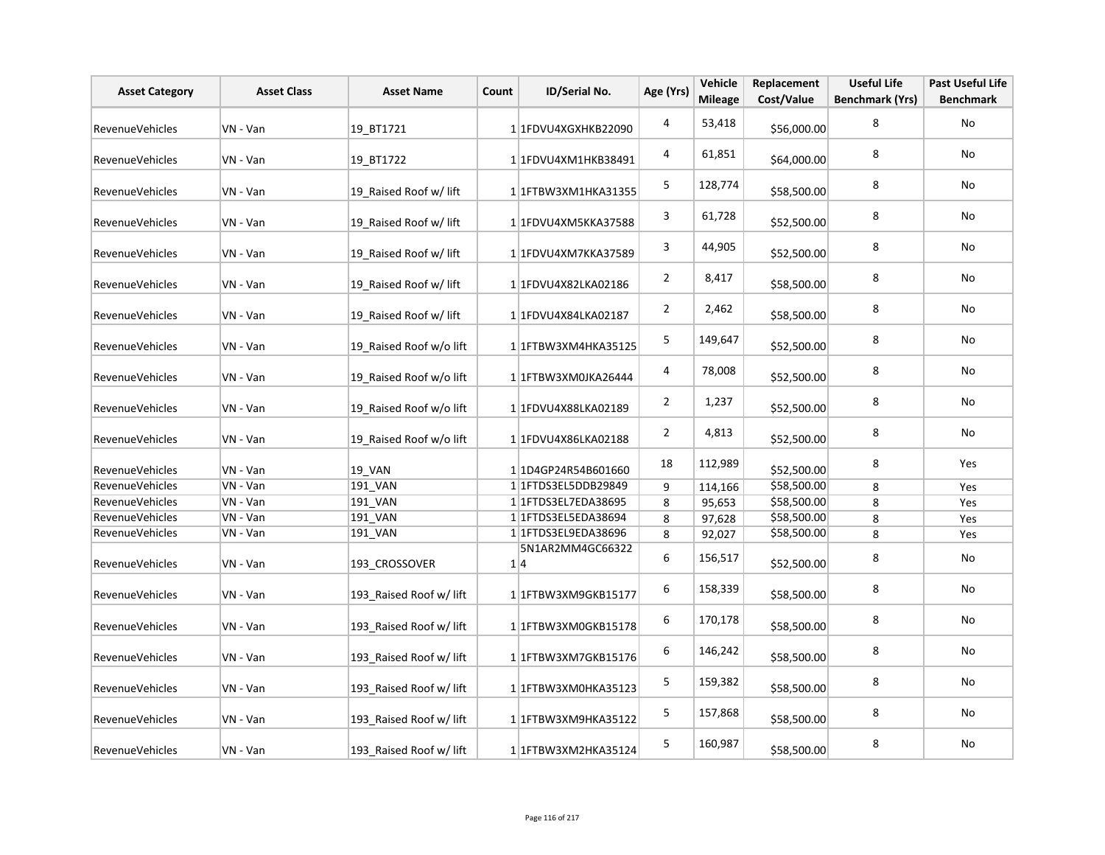| <b>Asset Category</b>  | <b>Asset Class</b> | <b>Asset Name</b>       | Count | ID/Serial No.           | Age (Yrs)      | Vehicle<br><b>Mileage</b> | Replacement<br>Cost/Value | <b>Useful Life</b><br><b>Benchmark (Yrs)</b> | Past Useful Life<br><b>Benchmark</b> |
|------------------------|--------------------|-------------------------|-------|-------------------------|----------------|---------------------------|---------------------------|----------------------------------------------|--------------------------------------|
| <b>RevenueVehicles</b> | VN - Van           | 19 BT1721               |       | 11FDVU4XGXHKB22090      | 4              | 53,418                    | \$56,000.00               | 8                                            | No                                   |
| <b>RevenueVehicles</b> | VN - Van           | 19 BT1722               |       | 1 1 FDVU4XM1HKB38491    | 4              | 61,851                    | \$64,000.00               | 8                                            | No                                   |
| RevenueVehicles        | VN - Van           | 19 Raised Roof w/ lift  |       | 1 1 FTBW3XM1HKA31355    | 5              | 128,774                   | \$58,500.00               | 8                                            | No                                   |
| RevenueVehicles        | VN - Van           | 19 Raised Roof w/ lift  |       | 1 1FDVU4XM5KKA37588     | 3              | 61,728                    | \$52,500.00               | 8                                            | No                                   |
| RevenueVehicles        | VN - Van           | 19 Raised Roof w/ lift  |       | 1 1FDVU4XM7KKA37589     | 3              | 44,905                    | \$52,500.00               | 8                                            | No                                   |
| <b>RevenueVehicles</b> | VN - Van           | 19 Raised Roof w/ lift  |       | 1 1 FDVU4X82LKA02186    | $\overline{2}$ | 8,417                     | \$58,500.00               | 8                                            | No                                   |
| RevenueVehicles        | VN - Van           | 19_Raised Roof w/ lift  |       | 1 1 FDVU4X84LKA02187    | $\overline{2}$ | 2,462                     | \$58,500.00               | 8                                            | No                                   |
| RevenueVehicles        | VN - Van           | 19 Raised Roof w/o lift |       | 1 1 FTBW3XM4HKA35125    | 5              | 149,647                   | \$52,500.00               | 8                                            | No                                   |
| RevenueVehicles        | VN - Van           | 19 Raised Roof w/o lift |       | 1 1FTBW3XM0JKA26444     | 4              | 78,008                    | \$52,500.00               | 8                                            | No                                   |
| RevenueVehicles        | VN - Van           | 19 Raised Roof w/o lift |       | 1 1 FDVU4X88LKA02189    | $\overline{2}$ | 1,237                     | \$52,500.00               | 8                                            | No                                   |
| <b>RevenueVehicles</b> | VN - Van           | 19_Raised Roof w/o lift |       | 1 1 FDVU4X86LKA02188    | $\overline{2}$ | 4,813                     | \$52,500.00               | 8                                            | No                                   |
| RevenueVehicles        | VN - Van           | 19_VAN                  |       | 1 1D4GP24R54B601660     | 18             | 112,989                   | \$52,500.00               | 8                                            | Yes                                  |
| RevenueVehicles        | VN - Van           | 191 VAN                 |       | 11FTDS3EL5DDB29849      | 9              | 114,166                   | \$58,500.00               | 8                                            | Yes                                  |
| RevenueVehicles        | VN - Van           | 191_VAN                 |       | 1 1 FTDS3EL7EDA38695    | 8              | 95,653                    | \$58,500.00               | 8                                            | Yes                                  |
| RevenueVehicles        | VN - Van           | 191_VAN                 |       | 1 1 FTDS3EL5EDA38694    | 8              | 97,628                    | \$58,500.00               | 8                                            | Yes                                  |
| RevenueVehicles        | VN - Van           | 191 VAN                 |       | 1 1 FTDS3EL9EDA38696    | 8              | 92,027                    | \$58,500.00               | 8                                            | Yes                                  |
| RevenueVehicles        | VN - Van           | 193_CROSSOVER           |       | 5N1AR2MM4GC66322<br>1 4 | 6              | 156,517                   | \$52,500.00               | 8                                            | No                                   |
| RevenueVehicles        | VN - Van           | 193 Raised Roof w/ lift |       | 11FTBW3XM9GKB15177      | 6              | 158,339                   | \$58,500.00               | 8                                            | No                                   |
| <b>RevenueVehicles</b> | VN - Van           | 193 Raised Roof w/ lift |       | 1 1FTBW3XM0GKB15178     | 6              | 170,178                   | \$58,500.00               | 8                                            | No                                   |
| RevenueVehicles        | VN - Van           | 193 Raised Roof w/ lift |       | 1 1 FTBW3XM7GKB15176    | 6              | 146,242                   | \$58,500.00               | 8                                            | No                                   |
| RevenueVehicles        | VN - Van           | 193_Raised Roof w/ lift |       | 1 1 FTBW3XM0HKA35123    | 5              | 159,382                   | \$58,500.00               | 8                                            | No                                   |
| RevenueVehicles        | VN - Van           | 193 Raised Roof w/ lift |       | 1 1FTBW3XM9HKA35122     | 5              | 157,868                   | \$58,500.00               | 8                                            | No                                   |
| RevenueVehicles        | VN - Van           | 193 Raised Roof w/ lift |       | 1 1FTBW3XM2HKA35124     | 5              | 160,987                   | \$58,500.00               | 8                                            | No                                   |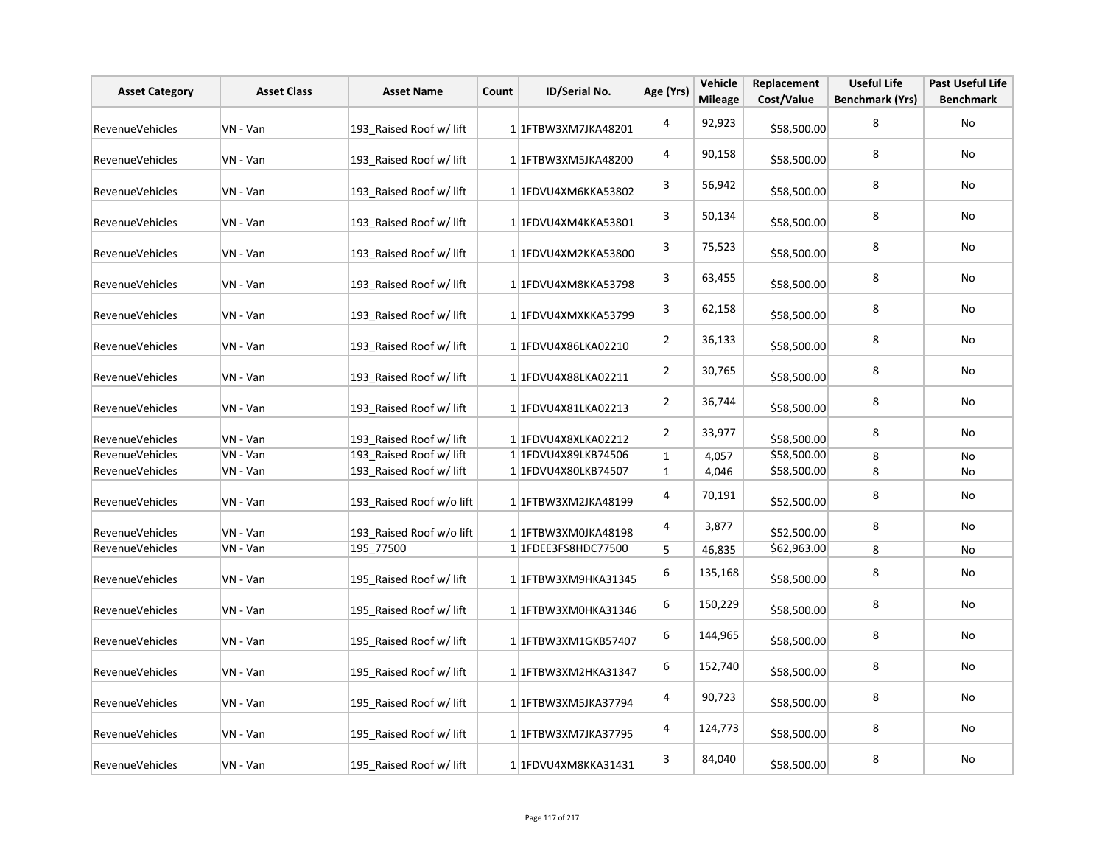| <b>Asset Category</b>  | <b>Asset Class</b> | <b>Asset Name</b>        | Count | ID/Serial No.                       | Age (Yrs)      | Vehicle<br><b>Mileage</b> | Replacement<br>Cost/Value | <b>Useful Life</b><br><b>Benchmark (Yrs)</b> | <b>Past Useful Life</b><br><b>Benchmark</b> |
|------------------------|--------------------|--------------------------|-------|-------------------------------------|----------------|---------------------------|---------------------------|----------------------------------------------|---------------------------------------------|
| <b>RevenueVehicles</b> | VN - Van           | 193_Raised Roof w/ lift  |       | 1 1 FTBW3XM7JKA48201                | $\overline{4}$ | 92,923                    | \$58,500.00               | 8                                            | <b>No</b>                                   |
| <b>RevenueVehicles</b> | VN - Van           | 193 Raised Roof w/ lift  |       | 1 1 FTBW3XM5JKA48200                | 4              | 90,158                    | \$58,500.00               | 8                                            | No                                          |
| RevenueVehicles        | VN - Van           | 193 Raised Roof w/ lift  |       | 1 1FDVU4XM6KKA53802                 | 3              | 56,942                    | \$58,500.00               | 8                                            | No                                          |
| RevenueVehicles        | VN - Van           | 193 Raised Roof w/ lift  |       | 1 1FDVU4XM4KKA53801                 | 3              | 50,134                    | \$58,500.00               | 8                                            | No                                          |
| RevenueVehicles        | VN - Van           | 193 Raised Roof w/ lift  |       | 1 1FDVU4XM2KKA53800                 | 3              | 75,523                    | \$58,500.00               | 8                                            | No                                          |
| RevenueVehicles        | VN - Van           | 193 Raised Roof w/ lift  |       | 1 1FDVU4XM8KKA53798                 | 3              | 63,455                    | \$58,500.00               | 8                                            | No                                          |
| <b>RevenueVehicles</b> | VN - Van           | 193 Raised Roof w/ lift  |       | 1 1FDVU4XMXKKA53799                 | 3              | 62,158                    | \$58,500.00               | 8                                            | No                                          |
| <b>RevenueVehicles</b> | VN - Van           | 193 Raised Roof w/ lift  |       | 1 1FDVU4X86LKA02210                 | $\overline{2}$ | 36,133                    | \$58,500.00               | 8                                            | No                                          |
| RevenueVehicles        | VN - Van           | 193 Raised Roof w/ lift  |       | 1 1FDVU4X88LKA02211                 | $\overline{2}$ | 30,765                    | \$58,500.00               | 8                                            | <b>No</b>                                   |
| RevenueVehicles        | VN - Van           | 193 Raised Roof w/ lift  |       | 1 1FDVU4X81LKA02213                 | $\overline{2}$ | 36,744                    | \$58,500.00               | 8                                            | No                                          |
| RevenueVehicles        | VN - Van           | 193 Raised Roof w/ lift  |       | 1 1FDVU4X8XLKA02212                 | $\overline{2}$ | 33,977                    | \$58,500.00               | 8                                            | No                                          |
| RevenueVehicles        | VN - Van           | 193 Raised Roof w/ lift  |       | 1 1FDVU4X89LKB74506                 | $\mathbf{1}$   | 4,057                     | \$58,500.00               | 8                                            | No                                          |
| <b>RevenueVehicles</b> | VN - Van           | 193 Raised Roof w/ lift  |       | 11FDVU4X80LKB74507                  | $\mathbf{1}$   | 4,046                     | \$58,500.00               | 8                                            | <b>No</b>                                   |
| <b>RevenueVehicles</b> | VN - Van           | 193 Raised Roof w/o lift |       | 1 1 FTBW3XM2JKA48199                | 4              | 70,191                    | \$52,500.00               | 8                                            | No                                          |
| RevenueVehicles        | VN - Van           | 193 Raised Roof w/o lift |       | 1 1 FTBW3XM0JKA48198                | 4              | 3,877                     | \$52,500.00               | 8                                            | No                                          |
| <b>RevenueVehicles</b> | VN - Van           | 195 77500                |       | 1 1FDEE3FS8HDC77500                 | 5              | 46,835                    | \$62,963.00               | 8                                            | No                                          |
| RevenueVehicles        | VN - Van           | 195 Raised Roof w/ lift  |       | 1 1 FTBW3XM9HKA31345                | 6              | 135,168                   | \$58,500.00               | 8                                            | No                                          |
| RevenueVehicles        | VN - Van           | 195 Raised Roof w/ lift  |       | 1 1 FTBW3XM0HKA31346                | 6              | 150,229                   | \$58,500.00               | 8                                            | No                                          |
| RevenueVehicles        | VN - Van           | 195 Raised Roof w/ lift  |       | 1 1 FTBW3XM1GKB57407                | 6              | 144,965                   | \$58,500.00               | 8                                            | No                                          |
| RevenueVehicles        | VN - Van           | 195 Raised Roof w/ lift  |       | 1 1 1 FTB W 3 X M 2 H K A 3 1 3 4 7 | 6              | 152,740                   | \$58,500.00               | 8                                            | No                                          |
| <b>RevenueVehicles</b> | VN - Van           | 195 Raised Roof w/ lift  |       | 1 1FTBW3XM5JKA37794                 | 4              | 90,723                    | \$58,500.00               | 8                                            | No                                          |
| RevenueVehicles        | VN - Van           | 195 Raised Roof w/ lift  |       | 1 1FTBW3XM7JKA37795                 | 4              | 124,773                   | \$58,500.00               | 8                                            | No                                          |
| <b>RevenueVehicles</b> | VN - Van           | 195 Raised Roof w/ lift  |       | 1 1FDVU4XM8KKA31431                 | 3              | 84,040                    | \$58,500.00               | 8                                            | No                                          |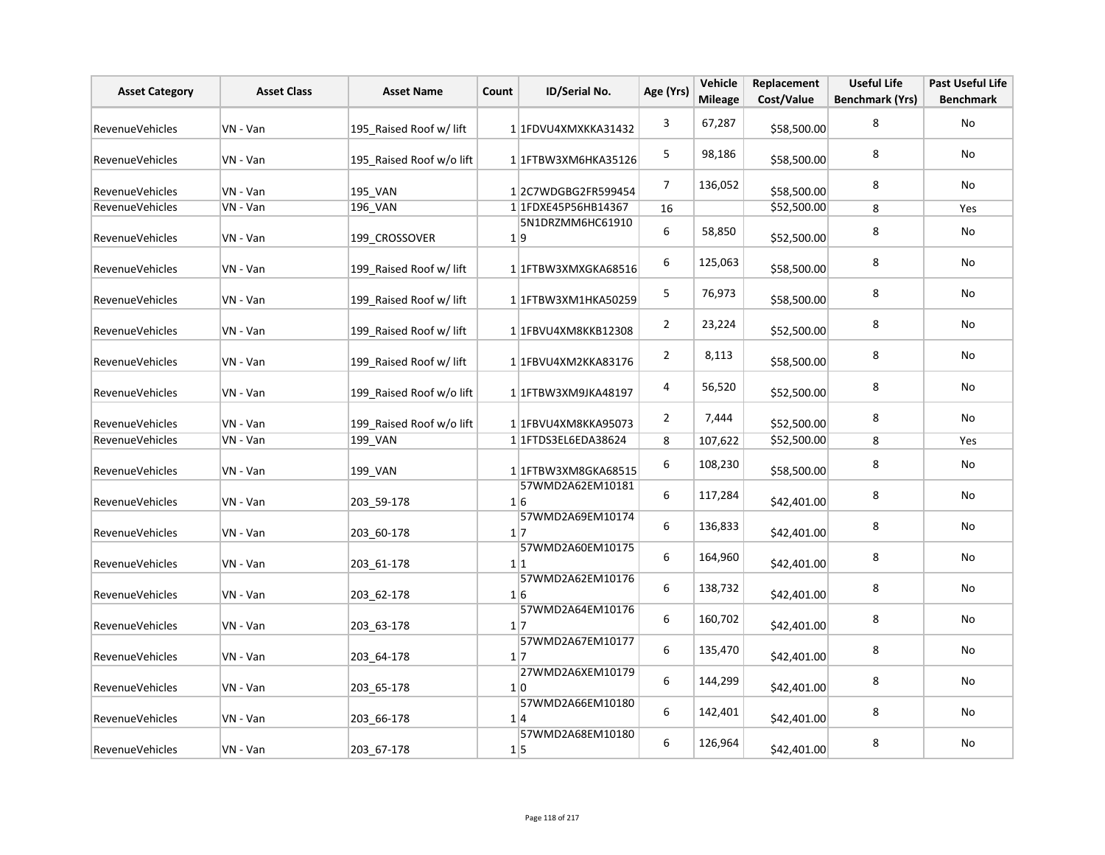| <b>Asset Category</b>  | <b>Asset Class</b> | <b>Asset Name</b>        | Count | ID/Serial No.                       | Age (Yrs)      | Vehicle<br><b>Mileage</b> | Replacement<br>Cost/Value | <b>Useful Life</b><br><b>Benchmark (Yrs)</b> | <b>Past Useful Life</b><br><b>Benchmark</b> |
|------------------------|--------------------|--------------------------|-------|-------------------------------------|----------------|---------------------------|---------------------------|----------------------------------------------|---------------------------------------------|
| RevenueVehicles        | VN - Van           | 195 Raised Roof w/ lift  |       | 1 1 FDVU4XMXKKA31432                | 3              | 67,287                    | \$58,500.00               | 8                                            | No                                          |
| <b>RevenueVehicles</b> | VN - Van           | 195_Raised Roof w/o lift |       | 1 1FTBW3XM6HKA35126                 | 5              | 98,186                    | \$58,500.00               | 8                                            | <b>No</b>                                   |
| RevenueVehicles        | VN - Van           | 195 VAN                  |       | 12C7WDGBG2FR599454                  | $\overline{7}$ | 136,052                   | \$58,500.00               | 8                                            | No                                          |
| RevenueVehicles        | VN - Van           | 196 VAN                  |       | 1 1FDXE45P56HB14367                 | 16             |                           | \$52,500.00               | 8                                            | Yes                                         |
| <b>RevenueVehicles</b> | VN - Van           | 199 CROSSOVER            |       | 5N1DRZMM6HC61910<br>1 9             | 6              | 58,850                    | \$52,500.00               | 8                                            | No                                          |
| RevenueVehicles        | VN - Van           | 199 Raised Roof w/ lift  |       | 1 1 FTBW3XMXGKA68516                | 6              | 125,063                   | \$58,500.00               | 8                                            | No                                          |
| <b>RevenueVehicles</b> | VN - Van           | 199 Raised Roof w/ lift  |       | 1 1 FTBW3XM1HKA50259                | 5              | 76,973                    | \$58,500.00               | 8                                            | No                                          |
| RevenueVehicles        | VN - Van           | 199 Raised Roof w/ lift  |       | 1 1FBVU4XM8KKB12308                 | $\overline{2}$ | 23,224                    | \$52,500.00               | 8                                            | No                                          |
| RevenueVehicles        | VN - Van           | 199 Raised Roof w/ lift  |       | 1 1FBVU4XM2KKA83176                 | $\overline{2}$ | 8,113                     | \$58,500.00               | 8                                            | No                                          |
| <b>RevenueVehicles</b> | VN - Van           | 199 Raised Roof w/o lift |       | 1 1FTBW3XM9JKA48197                 | 4              | 56,520                    | \$52,500.00               | 8                                            | No                                          |
| RevenueVehicles        | VN - Van           | 199 Raised Roof w/o lift |       | 1 1 FBVU4XM8KKA95073                | $\overline{2}$ | 7,444                     | \$52,500.00               | 8                                            | No                                          |
| RevenueVehicles        | VN - Van           | 199 VAN                  |       | 1 1 FTDS3EL6EDA38624                | 8              | 107,622                   | \$52,500.00               | 8                                            | Yes                                         |
| <b>RevenueVehicles</b> | VN - Van           | 199_VAN                  |       | 11FTBW3XM8GKA68515                  | 6              | 108,230                   | \$58,500.00               | 8                                            | No                                          |
| <b>RevenueVehicles</b> | VN - Van           | 203 59-178               |       | 57WMD2A62EM10181<br>1 6             | 6              | 117,284                   | \$42,401.00               | 8                                            | No                                          |
| RevenueVehicles        | VN - Van           | 203 60-178               |       | 57WMD2A69EM10174<br>1 7             | 6              | 136,833                   | \$42,401.00               | 8                                            | No                                          |
| RevenueVehicles        | VN - Van           | 203 61-178               |       | 57WMD2A60EM10175<br>1 1             | 6              | 164,960                   | \$42,401.00               | 8                                            | No                                          |
| <b>RevenueVehicles</b> | VN - Van           | 203 62-178               |       | 57WMD2A62EM10176<br>1 6             | 6              | 138,732                   | \$42,401.00               | 8                                            | No                                          |
| RevenueVehicles        | VN - Van           | 203 63-178               |       | 57WMD2A64EM10176<br>17              | 6              | 160,702                   | \$42,401.00               | 8                                            | No                                          |
| <b>RevenueVehicles</b> | VN - Van           | 203 64-178               |       | 57WMD2A67EM10177<br>$1\overline{7}$ | 6              | 135,470                   | \$42,401.00               | 8                                            | No                                          |
| RevenueVehicles        | VN - Van           | 203 65-178               |       | 27WMD2A6XEM10179<br>1 0             | 6              | 144,299                   | \$42,401.00               | 8                                            | No                                          |
| RevenueVehicles        | VN - Van           | 203 66-178               |       | 57WMD2A66EM10180<br>1 4             | 6              | 142,401                   | \$42,401.00               | 8                                            | No                                          |
| RevenueVehicles        | VN - Van           | 203_67-178               |       | 57WMD2A68EM10180<br>1 5             | 6              | 126,964                   | \$42,401.00               | 8                                            | No                                          |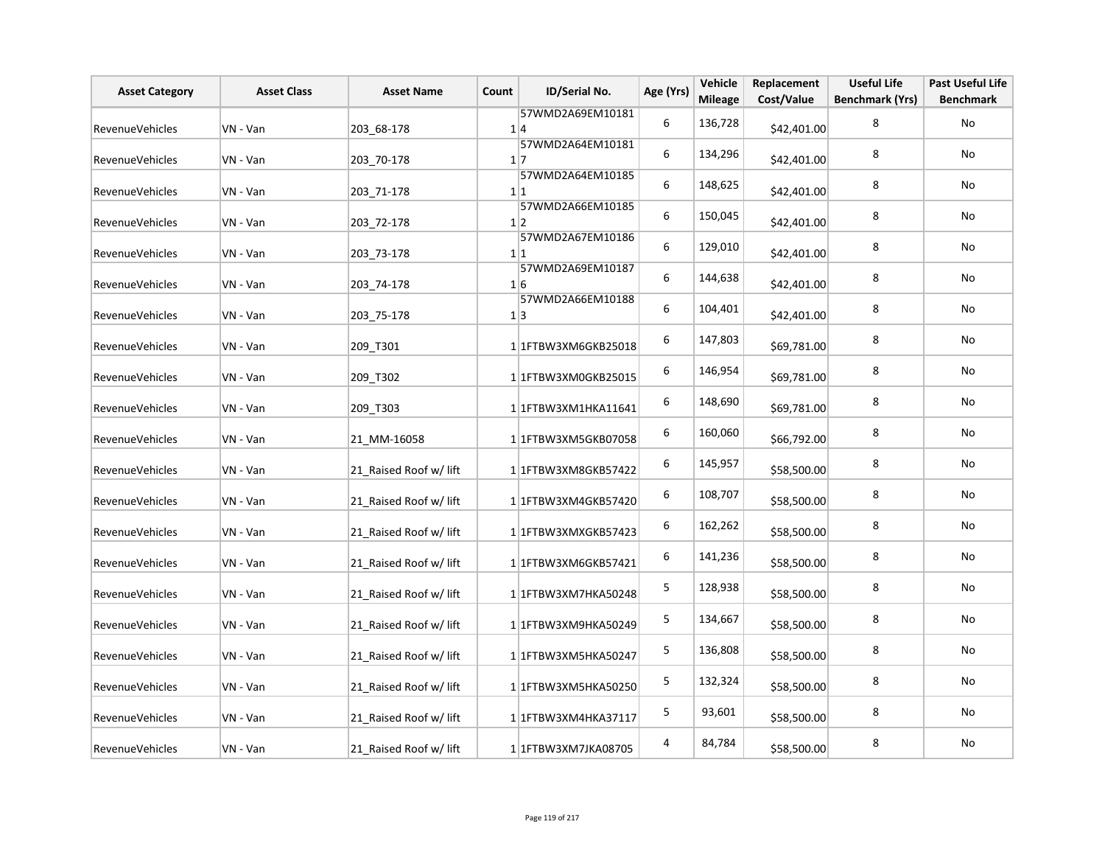| <b>Asset Category</b>  | <b>Asset Class</b> | <b>Asset Name</b>      | Count | <b>ID/Serial No.</b>           | Age (Yrs)   | Vehicle<br><b>Mileage</b> | Replacement<br>Cost/Value | <b>Useful Life</b><br><b>Benchmark (Yrs)</b> | <b>Past Useful Life</b><br><b>Benchmark</b> |
|------------------------|--------------------|------------------------|-------|--------------------------------|-------------|---------------------------|---------------------------|----------------------------------------------|---------------------------------------------|
| <b>RevenueVehicles</b> | VN - Van           | 203 68-178             |       | 57WMD2A69EM10181<br>1 4        | 6           | 136,728                   | \$42,401.00               | 8                                            | No                                          |
| RevenueVehicles        | VN - Van           | 203 70-178             |       | 57WMD2A64EM10181<br>$1\vert 7$ | 6           | 134,296                   | \$42,401.00               | 8                                            | No                                          |
| <b>RevenueVehicles</b> | VN - Van           | 203_71-178             |       | 57WMD2A64EM10185<br>1 1        | 6           | 148,625                   | \$42,401.00               | 8                                            | No                                          |
| RevenueVehicles        | VN - Van           | 203_72-178             |       | 57WMD2A66EM10185<br>1 2        | 6           | 150,045                   | \$42,401.00               | 8                                            | No                                          |
| <b>RevenueVehicles</b> | VN - Van           | 203_73-178             |       | 57WMD2A67EM10186<br>1 1        | 6           | 129,010                   | \$42,401.00               | 8                                            | No                                          |
| RevenueVehicles        | VN - Van           | 203 74-178             |       | 57WMD2A69EM10187<br>1 6        | 6           | 144,638                   | \$42,401.00               | 8                                            | No                                          |
| <b>RevenueVehicles</b> | VN - Van           | 203 75-178             |       | 57WMD2A66EM10188<br>1 3        | 6           | 104,401                   | \$42,401.00               | 8                                            | No                                          |
| RevenueVehicles        | VN - Van           | 209 T301               |       | 1 1FTBW3XM6GKB25018            | 6           | 147,803                   | \$69,781.00               | 8                                            | No                                          |
| <b>RevenueVehicles</b> | VN - Van           | 209 T302               |       | 1 1FTBW3XM0GKB25015            | 6           | 146,954                   | \$69,781.00               | 8                                            | No                                          |
| RevenueVehicles        | VN - Van           | 209_T303               |       | 1 1 FTBW3XM1HKA11641           | 6           | 148,690                   | \$69,781.00               | 8                                            | No                                          |
| RevenueVehicles        | VN - Van           | 21 MM-16058            |       | 11FTBW3XM5GKB07058             | 6           | 160,060                   | \$66,792.00               | 8                                            | No                                          |
| RevenueVehicles        | VN - Van           | 21 Raised Roof w/ lift |       | 11FTBW3XM8GKB57422             | 6           | 145,957                   | \$58,500.00               | 8                                            | No                                          |
| RevenueVehicles        | VN - Van           | 21 Raised Roof w/ lift |       | 1 1 FTBW3XM4GKB57420           | 6           | 108,707                   | \$58,500.00               | 8                                            | No                                          |
| RevenueVehicles        | VN - Van           | 21 Raised Roof w/ lift |       | 1 1 FTBW3XMXGKB57423           | 6           | 162,262                   | \$58,500.00               | 8                                            | No                                          |
| RevenueVehicles        | VN - Van           | 21 Raised Roof w/ lift |       | 1 1 FTBW3XM6GKB57421           | 6           | 141,236                   | \$58,500.00               | 8                                            | No                                          |
| RevenueVehicles        | VN - Van           | 21 Raised Roof w/ lift |       | 1 1 FTBW3XM7HKA50248           | 5           | 128,938                   | \$58,500.00               | 8                                            | No                                          |
| RevenueVehicles        | VN - Van           | 21 Raised Roof w/ lift |       | 1 1 FTBW3XM9HKA50249           | 5           | 134,667                   | \$58,500.00               | 8                                            | No                                          |
| RevenueVehicles        | VN - Van           | 21 Raised Roof w/ lift |       | 1 1FTBW3XM5HKA50247            | $\mathsf S$ | 136,808                   | \$58,500.00               | 8                                            | No                                          |
| RevenueVehicles        | VN - Van           | 21_Raised Roof w/ lift |       | 1 1FTBW3XM5HKA50250            | 5           | 132,324                   | \$58,500.00               | 8                                            | No                                          |
| RevenueVehicles        | VN - Van           | 21 Raised Roof w/ lift |       | 1 1 FTBW3XM4HKA37117           | 5           | 93,601                    | \$58,500.00               | 8                                            | No                                          |
| RevenueVehicles        | VN - Van           | 21 Raised Roof w/ lift |       | 1 1FTBW3XM7JKA08705            | 4           | 84,784                    | \$58,500.00               | 8                                            | No                                          |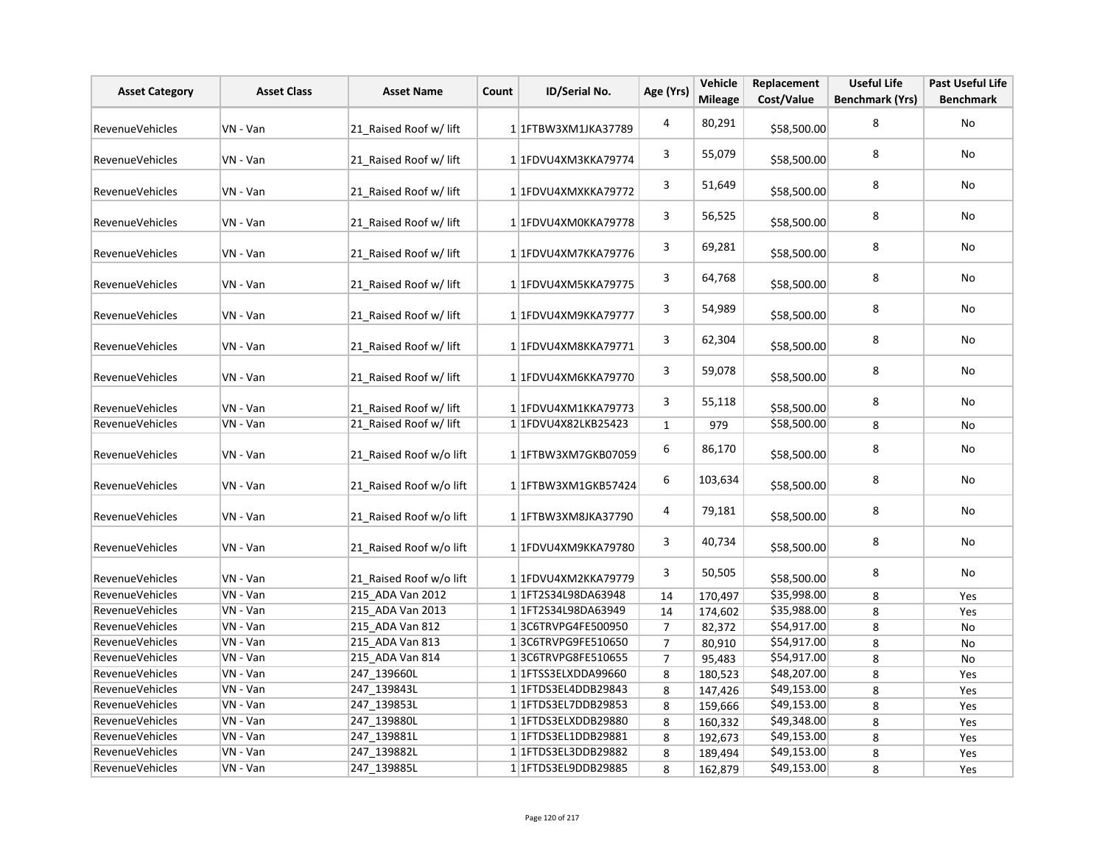| <b>Asset Category</b>  | <b>Asset Class</b> | <b>Asset Name</b>       | Count | ID/Serial No.            | Age (Yrs)               | Vehicle<br><b>Mileage</b> | Replacement<br>Cost/Value | <b>Useful Life</b><br><b>Benchmark (Yrs)</b> | <b>Past Useful Life</b><br><b>Benchmark</b> |
|------------------------|--------------------|-------------------------|-------|--------------------------|-------------------------|---------------------------|---------------------------|----------------------------------------------|---------------------------------------------|
|                        |                    |                         |       |                          | $\overline{\mathbf{4}}$ | 80,291                    |                           | 8                                            | <b>No</b>                                   |
| <b>RevenueVehicles</b> | VN - Van           | 21 Raised Roof w/ lift  |       | 1 1 FTBW3XM1JKA37789     |                         |                           | \$58,500.00               |                                              |                                             |
| RevenueVehicles        | VN - Van           | 21 Raised Roof w/ lift  |       | 1 1FDVU4XM3KKA79774      | 3                       | 55,079                    | \$58,500.00               | 8                                            | No                                          |
| <b>RevenueVehicles</b> | VN - Van           | 21 Raised Roof w/ lift  |       | 1 1FDVU4XMXKKA79772      | 3                       | 51,649                    | \$58,500.00               | 8                                            | No                                          |
| <b>RevenueVehicles</b> | VN - Van           | 21 Raised Roof w/ lift  |       | 1 1FDVU4XM0KKA79778      | 3                       | 56,525                    | \$58,500.00               | 8                                            | No                                          |
| RevenueVehicles        | VN - Van           | 21 Raised Roof w/ lift  |       | 1 1FDVU4XM7KKA79776      | 3                       | 69,281                    | \$58,500.00               | 8                                            | No                                          |
| RevenueVehicles        | VN - Van           | 21_Raised Roof w/ lift  |       | 1 1FDVU4XM5KKA79775      | 3                       | 64,768                    | \$58,500.00               | 8                                            | <b>No</b>                                   |
| RevenueVehicles        | VN - Van           | 21 Raised Roof w/ lift  |       | 1 1FDVU4XM9KKA79777      | 3                       | 54,989                    | \$58,500.00               | 8                                            | No                                          |
| <b>RevenueVehicles</b> | VN - Van           | 21 Raised Roof w/ lift  |       | 1 1FDVU4XM8KKA79771      | 3                       | 62,304                    | \$58,500.00               | 8                                            | No                                          |
| RevenueVehicles        | VN - Van           | 21 Raised Roof w/ lift  |       | 1 1FDVU4XM6KKA79770      | 3                       | 59,078                    | \$58,500.00               | 8                                            | No                                          |
| RevenueVehicles        | VN - Van           | 21_Raised Roof w/ lift  |       | 1 1FDVU4XM1KKA79773      | 3                       | 55,118                    | \$58,500.00               | 8                                            | <b>No</b>                                   |
| <b>RevenueVehicles</b> | VN - Van           | 21 Raised Roof w/ lift  |       | 1 1FDVU4X82LKB25423      | $\mathbf{1}$            | 979                       | \$58,500.00               | 8                                            | No                                          |
| <b>RevenueVehicles</b> | VN - Van           | 21 Raised Roof w/o lift |       | 1 1 FTBW3XM7GKB07059     | 6                       | 86,170                    | \$58,500.00               | 8                                            | No                                          |
| RevenueVehicles        | VN - Van           | 21 Raised Roof w/o lift |       | 1 1 FTBW3XM1GKB57424     | 6                       | 103,634                   | \$58,500.00               | 8                                            | No                                          |
| <b>RevenueVehicles</b> | VN - Van           | 21 Raised Roof w/o lift |       | 1 1 FTBW3XM8JKA37790     | 4                       | 79,181                    | \$58,500.00               | 8                                            | No                                          |
| RevenueVehicles        | VN - Van           | 21 Raised Roof w/o lift |       | 1 1FDVU4XM9KKA79780      | 3                       | 40,734                    | \$58,500.00               | 8                                            | No                                          |
| RevenueVehicles        | VN - Van           | 21 Raised Roof w/o lift |       | 1 1FDVU4XM2KKA79779      | 3                       | 50,505                    | \$58,500.00               | 8                                            | No                                          |
| <b>RevenueVehicles</b> | VN - Van           | 215 ADA Van 2012        |       | 1 1FT2S34L98DA63948      | 14                      | 170,497                   | \$35,998.00               | 8                                            | Yes                                         |
| RevenueVehicles        | VN - Van           | 215 ADA Van 2013        |       | 11FT2S34L98DA63949       | 14                      | 174,602                   | \$35,988.00               | 8                                            | Yes                                         |
| <b>RevenueVehicles</b> | VN - Van           | 215 ADA Van 812         |       | 13C6TRVPG4FE500950       | $\overline{7}$          | 82,372                    | \$54,917.00               | 8                                            | <b>No</b>                                   |
| RevenueVehicles        | VN - Van           | 215_ADA Van 813         |       | 13C6TRVPG9FE510650       | $\overline{7}$          | 80,910                    | \$54,917.00               | 8                                            | No                                          |
| RevenueVehicles        | VN - Van           | 215 ADA Van 814         |       | 13C6TRVPG8FE510655       | $\overline{7}$          | 95,483                    | \$54,917.00               | 8                                            | No                                          |
| RevenueVehicles        | VN - Van           | 247_139660L             |       | 1 1 TTSS3ELXDDA99660     | 8                       | 180,523                   | \$48,207.00               | 8                                            | Yes                                         |
| RevenueVehicles        | VN - Van           | 247 139843L             |       | 1 1 FTDS3EL4DDB29843     | 8                       | 147,426                   | \$49,153.00               | 8                                            | Yes                                         |
| RevenueVehicles        | VN - Van           | 247 139853L             |       | 1 1 1 FTDS3 EL7DDB 29853 | 8                       | 159,666                   | \$49,153.00               | 8                                            | Yes                                         |
| RevenueVehicles        | VN - Van           | 247 139880L             |       | 1 1FTDS3ELXDDB29880      | 8                       | 160,332                   | \$49,348.00               | 8                                            | Yes                                         |
| <b>RevenueVehicles</b> | VN - Van           | 247 139881L             |       | 1 1 FTDS3EL1DDB29881     | 8                       | 192,673                   | \$49,153.00               | 8                                            | Yes                                         |
| RevenueVehicles        | VN - Van           | 247 139882L             |       | 1 1 FTDS3EL3DDB29882     | 8                       | 189,494                   | \$49,153.00               | 8                                            | Yes                                         |
| <b>RevenueVehicles</b> | VN - Van           | 247 139885L             |       | 1 1 FTDS3EL9DDB29885     | 8                       | 162,879                   | \$49,153.00               | 8                                            | Yes                                         |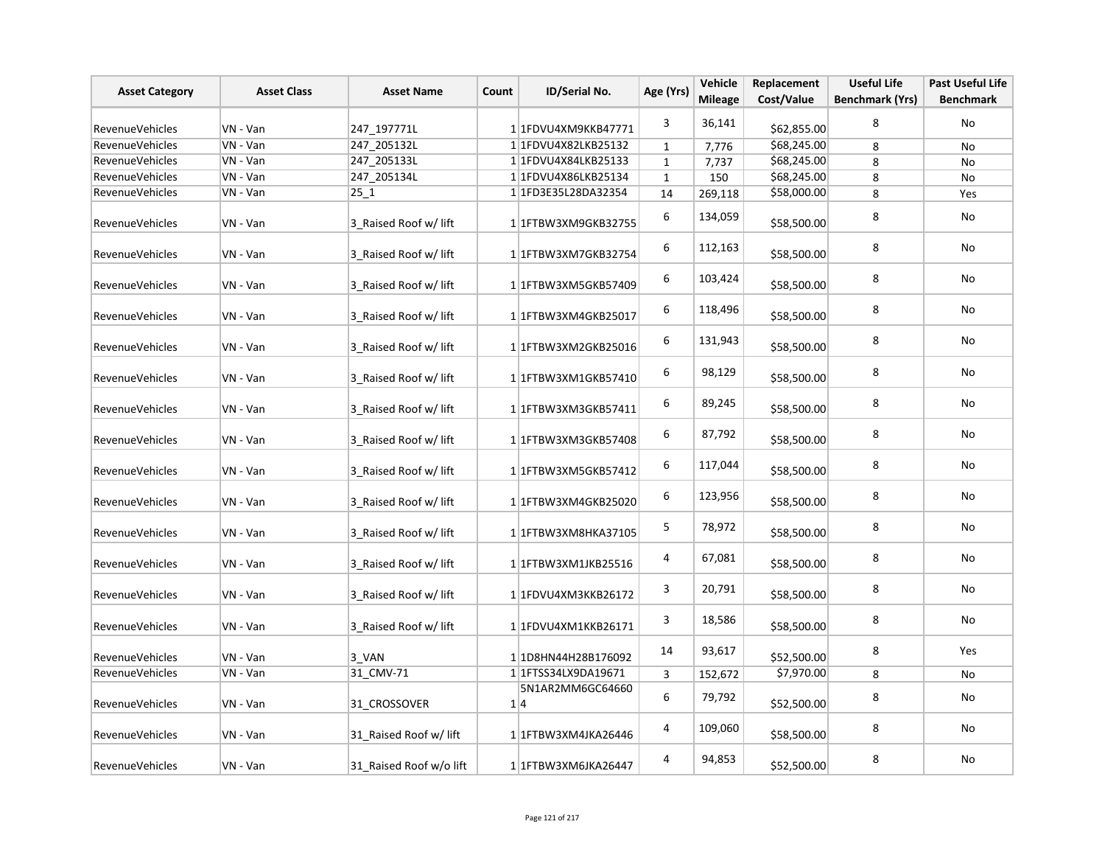| <b>Asset Category</b>  | <b>Asset Class</b> | <b>Asset Name</b>       | Count | ID/Serial No.                      | Age (Yrs)    | Vehicle<br><b>Mileage</b> | Replacement<br>Cost/Value | <b>Useful Life</b><br><b>Benchmark (Yrs)</b> | <b>Past Useful Life</b><br><b>Benchmark</b> |
|------------------------|--------------------|-------------------------|-------|------------------------------------|--------------|---------------------------|---------------------------|----------------------------------------------|---------------------------------------------|
| <b>RevenueVehicles</b> | VN - Van           | 247_197771L             |       | 1 1FDVU4XM9KKB47771                | 3            | 36,141                    | \$62,855.00               | 8                                            | No                                          |
| RevenueVehicles        | VN - Van           | 247_205132L             |       | 1 1FDVU4X82LKB25132                | $\mathbf{1}$ | 7,776                     | \$68,245.00               | 8                                            | No                                          |
| <b>RevenueVehicles</b> | VN - Van           | 247 205133L             |       | 1 1 FDVU4X84LKB25133               | $\mathbf{1}$ | 7,737                     | \$68,245.00               | 8                                            | No                                          |
| RevenueVehicles        | VN - Van           | 247_205134L             |       | 1 1 FDVU4X86LKB25134               | $\mathbf{1}$ | 150                       | \$68,245.00               | 8                                            | No                                          |
| <b>RevenueVehicles</b> | VN - Van           | 25 1                    |       | 1 1FD3E35L28DA32354                | 14           | 269,118                   | \$58,000.00               | 8                                            | Yes                                         |
| <b>RevenueVehicles</b> | VN - Van           | 3 Raised Roof w/ lift   |       | 11FTBW3XM9GKB32755                 | 6            | 134,059                   | \$58,500.00               | 8                                            | No                                          |
| <b>RevenueVehicles</b> | VN - Van           | 3 Raised Roof w/ lift   |       | 1 1 FTBW3XM7GKB32754               | 6            | 112,163                   | \$58,500.00               | 8                                            | No                                          |
| <b>RevenueVehicles</b> | VN - Van           | 3 Raised Roof w/ lift   |       | 1 1 FTBW3XM5GKB57409               | 6            | 103,424                   | \$58,500.00               | 8                                            | No                                          |
| RevenueVehicles        | VN - Van           | 3 Raised Roof w/ lift   |       | 1 1 FTBW3XM4GKB25017               | 6            | 118,496                   | \$58,500.00               | 8                                            | No                                          |
| RevenueVehicles        | VN - Van           | 3 Raised Roof w/ lift   |       | 1 1 FTBW3XM2GKB25016               | 6            | 131,943                   | \$58,500.00               | 8                                            | No                                          |
| <b>RevenueVehicles</b> | VN - Van           | 3 Raised Roof w/ lift   |       | 1 1 FTBW3XM1GKB57410               | 6            | 98,129                    | \$58,500.00               | 8                                            | No                                          |
| RevenueVehicles        | VN - Van           | 3_Raised Roof w/ lift   |       | 1 1 FTBW3XM3GKB57411               | 6            | 89,245                    | \$58,500.00               | 8                                            | No                                          |
| RevenueVehicles        | VN - Van           | 3 Raised Roof w/ lift   |       | 1 1 FTBW3XM3GKB57408               | 6            | 87,792                    | \$58,500.00               | 8                                            | No                                          |
| RevenueVehicles        | VN - Van           | 3 Raised Roof w/ lift   |       | 1 1 FTBW3XM5GKB57412               | 6            | 117,044                   | \$58,500.00               | 8                                            | No                                          |
| <b>RevenueVehicles</b> | VN - Van           | 3 Raised Roof w/ lift   |       | 1 1 FTBW3XM4GKB25020               | 6            | 123,956                   | \$58,500.00               | 8                                            | No                                          |
| <b>RevenueVehicles</b> | VN - Van           | 3 Raised Roof w/ lift   |       | 1 1 TBW3XM8HKA37105                | 5            | 78,972                    | \$58,500.00               | 8                                            | No                                          |
| <b>RevenueVehicles</b> | VN - Van           | 3 Raised Roof w/ lift   |       | 11FTBW3XM1JKB25516                 | 4            | 67,081                    | \$58,500.00               | 8                                            | No                                          |
| <b>RevenueVehicles</b> | VN - Van           | 3 Raised Roof w/ lift   |       | 1 1FDVU4XM3KKB26172                | 3            | 20,791                    | \$58,500.00               | 8                                            | No                                          |
| <b>RevenueVehicles</b> | VN - Van           | 3 Raised Roof w/ lift   |       | 1 1FDVU4XM1KKB26171                | 3            | 18,586                    | \$58,500.00               | 8                                            | No                                          |
| Revenue Vehicles       | VN - Van           | 3 VAN                   |       | 1 1D8HN44H28B176092                | 14           | 93,617                    | \$52,500.00               | 8                                            | Yes                                         |
| RevenueVehicles        | VN - Van           | 31_CMV-71               |       | 1 1 1 FTSS34 LX9DA19671            | 3            | 152,672                   | \$7,970.00                | 8                                            | No                                          |
| <b>RevenueVehicles</b> | VN - Van           | 31 CROSSOVER            |       | 5N1AR2MM6GC64660<br>1 4            | 6            | 79,792                    | \$52,500.00               | 8                                            | No                                          |
| <b>RevenueVehicles</b> | VN - Van           | 31 Raised Roof w/ lift  |       | 1 1 1 FTBW 3 X M 4 J K A 2 6 4 4 6 | 4            | 109,060                   | \$58,500.00               | 8                                            | No                                          |
| <b>RevenueVehicles</b> | VN - Van           | 31 Raised Roof w/o lift |       | 1 1FTBW3XM6JKA26447                | 4            | 94,853                    | \$52,500.00               | 8                                            | No                                          |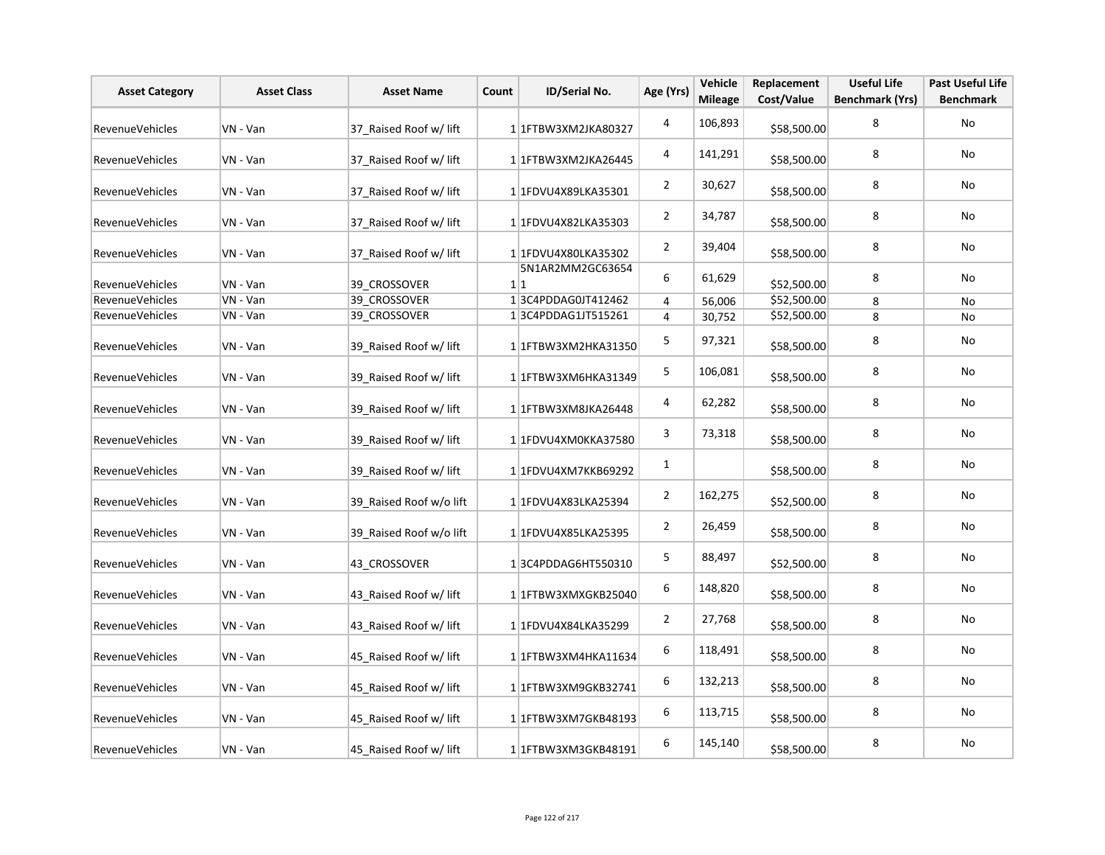| <b>Asset Category</b>  | <b>Asset Class</b> | <b>Asset Name</b>       | Count | ID/Serial No.           | Age (Yrs)      | Vehicle<br><b>Mileage</b> | Replacement<br>Cost/Value | <b>Useful Life</b><br><b>Benchmark (Yrs)</b> | Past Useful Life<br><b>Benchmark</b> |
|------------------------|--------------------|-------------------------|-------|-------------------------|----------------|---------------------------|---------------------------|----------------------------------------------|--------------------------------------|
| <b>RevenueVehicles</b> | VN - Van           | 37 Raised Roof w/ lift  |       | 1 1 FTBW3XM2JKA80327    | 4              | 106,893                   | \$58,500.00               | 8                                            | No                                   |
| <b>RevenueVehicles</b> | VN - Van           | 37_Raised Roof w/ lift  |       | 1 1FTBW3XM2JKA26445     | 4              | 141,291                   | \$58,500.00               | 8                                            | No                                   |
| <b>RevenueVehicles</b> | VN - Van           | 37 Raised Roof w/ lift  |       | 1 1FDVU4X89LKA35301     | $\overline{2}$ | 30,627                    | \$58,500.00               | 8                                            | No                                   |
| RevenueVehicles        | VN - Van           | 37_Raised Roof w/ lift  |       | 1 1FDVU4X82LKA35303     | $\overline{2}$ | 34,787                    | \$58,500.00               | 8                                            | No                                   |
| RevenueVehicles        | VN - Van           | 37_Raised Roof w/ lift  |       | 1 1FDVU4X80LKA35302     | $\overline{2}$ | 39,404                    | \$58,500.00               | 8                                            | No                                   |
| RevenueVehicles        | VN - Van           | 39 CROSSOVER            |       | 5N1AR2MM2GC63654<br>1 1 | 6              | 61,629                    | \$52,500.00               | 8                                            | No                                   |
| RevenueVehicles        | VN - Van           | 39 CROSSOVER            |       | 13C4PDDAG0JT412462      | $\overline{4}$ | 56,006                    | \$52,500.00               | 8                                            | No                                   |
| <b>RevenueVehicles</b> | VN - Van           | 39 CROSSOVER            |       | 13C4PDDAG1JT515261      | $\overline{4}$ | 30,752                    | \$52,500.00               | 8                                            | No                                   |
| RevenueVehicles        | VN - Van           | 39 Raised Roof w/ lift  |       | 1 1FTBW3XM2HKA31350     | 5              | 97,321                    | \$58,500.00               | 8                                            | No                                   |
| RevenueVehicles        | VN - Van           | 39 Raised Roof w/ lift  |       | 1 1 FTBW3XM6HKA31349    | 5              | 106,081                   | \$58,500.00               | 8                                            | No                                   |
| <b>RevenueVehicles</b> | VN - Van           | 39 Raised Roof w/ lift  |       | 1 1FTBW3XM8JKA26448     | 4              | 62,282                    | \$58,500.00               | 8                                            | No                                   |
| RevenueVehicles        | VN - Van           | 39 Raised Roof w/ lift  |       | 1 1FDVU4XM0KKA37580     | 3              | 73,318                    | \$58,500.00               | 8                                            | No                                   |
| RevenueVehicles        | VN - Van           | 39 Raised Roof w/ lift  |       | 1 1FDVU4XM7KKB69292     | 1              |                           | \$58,500.00               | 8                                            | No                                   |
| RevenueVehicles        | VN - Van           | 39 Raised Roof w/o lift |       | 1 1FDVU4X83LKA25394     | $\overline{2}$ | 162,275                   | \$52,500.00               | 8                                            | No                                   |
| RevenueVehicles        | VN - Van           | 39 Raised Roof w/o lift |       | 1 1FDVU4X85LKA25395     | $\overline{2}$ | 26,459                    | \$58,500.00               | 8                                            | No                                   |
| RevenueVehicles        | VN - Van           | 43 CROSSOVER            |       | 13C4PDDAG6HT550310      | 5              | 88,497                    | \$52,500.00               | 8                                            | No                                   |
| RevenueVehicles        | VN - Van           | 43 Raised Roof w/ lift  |       | 1 1 FTBW3XMXGKB25040    | 6              | 148,820                   | \$58,500.00               | 8                                            | No                                   |
| RevenueVehicles        | VN - Van           | 43 Raised Roof w/ lift  |       | 1 1FDVU4X84LKA35299     | $\overline{2}$ | 27,768                    | \$58,500.00               | 8                                            | No                                   |
| RevenueVehicles        | VN - Van           | 45 Raised Roof w/ lift  |       | 1 1 FTBW3XM4HKA11634    | 6              | 118,491                   | \$58,500.00               | 8                                            | No                                   |
| RevenueVehicles        | VN - Van           | 45 Raised Roof w/ lift  |       | 11FTBW3XM9GKB32741      | 6              | 132,213                   | \$58,500.00               | 8                                            | No                                   |
| RevenueVehicles        | VN - Van           | 45 Raised Roof w/ lift  |       | 11FTBW3XM7GKB48193      | 6              | 113,715                   | \$58,500.00               | 8                                            | No                                   |
| RevenueVehicles        | VN - Van           | 45 Raised Roof w/ lift  |       | 1 1 FTBW3XM3GKB48191    | 6              | 145,140                   | \$58,500.00               | 8                                            | No                                   |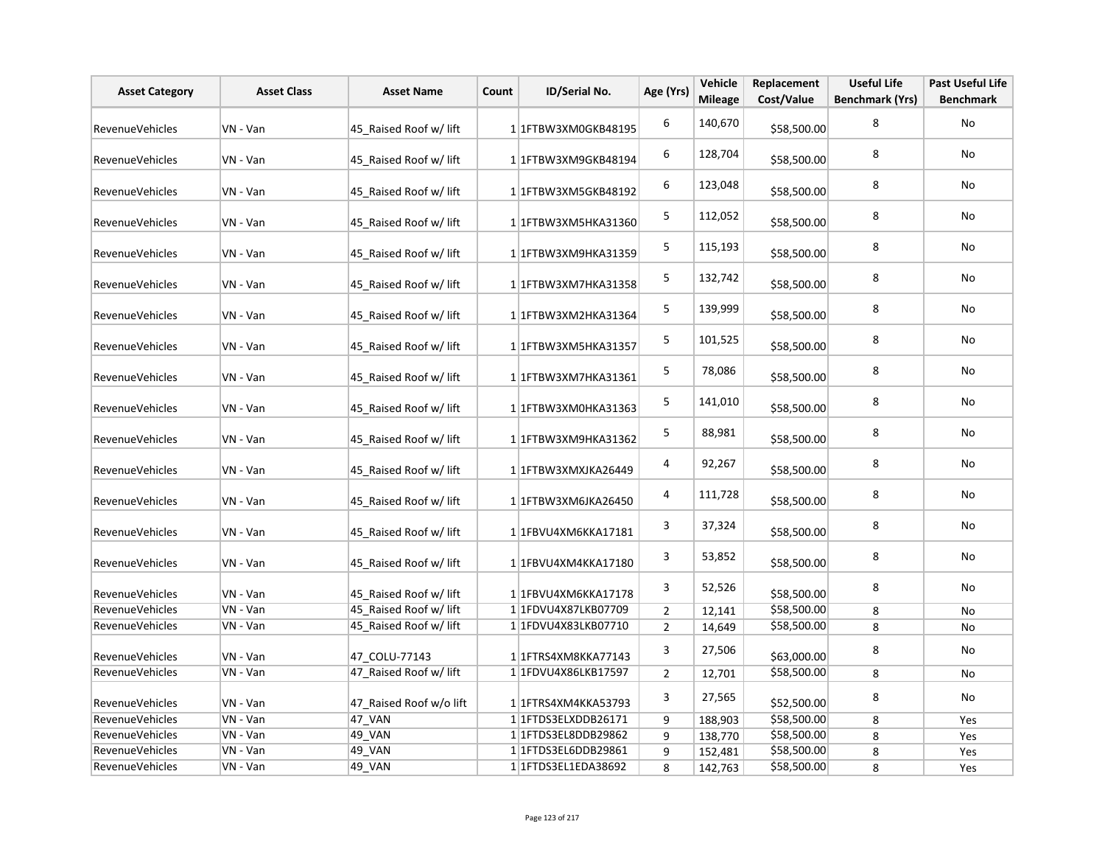| <b>Asset Category</b>  | <b>Asset Class</b> | <b>Asset Name</b>       | Count | ID/Serial No.             | Age (Yrs)      | Vehicle<br><b>Mileage</b> | Replacement<br>Cost/Value | <b>Useful Life</b><br><b>Benchmark (Yrs)</b> | <b>Past Useful Life</b><br><b>Benchmark</b> |
|------------------------|--------------------|-------------------------|-------|---------------------------|----------------|---------------------------|---------------------------|----------------------------------------------|---------------------------------------------|
| <b>RevenueVehicles</b> | VN - Van           | 45_Raised Roof w/ lift  |       | 1 1FTBW3XM0GKB48195       | 6              | 140,670                   | \$58,500.00               | 8                                            | <b>No</b>                                   |
| RevenueVehicles        | VN - Van           | 45 Raised Roof w/ lift  |       | 1 1 FTBW3XM9GKB48194      | 6              | 128,704                   | \$58,500.00               | 8                                            | No                                          |
| RevenueVehicles        | VN - Van           | 45 Raised Roof w/ lift  |       | 11FTBW3XM5GKB48192        | 6              | 123,048                   | \$58,500.00               | 8                                            | No                                          |
| RevenueVehicles        | VN - Van           | 45 Raised Roof w/ lift  |       | 1 1FTBW3XM5HKA31360       | 5              | 112,052                   | \$58,500.00               | 8                                            | No                                          |
| RevenueVehicles        | VN - Van           | 45 Raised Roof w/ lift  |       | 1 1FTBW3XM9HKA31359       | 5              | 115,193                   | \$58,500.00               | 8                                            | No                                          |
| <b>RevenueVehicles</b> | VN - Van           | 45 Raised Roof w/ lift  |       | 11FTBW3XM7HKA31358        | 5              | 132,742                   | \$58,500.00               | 8                                            | No                                          |
| RevenueVehicles        | VN - Van           | 45 Raised Roof w/ lift  |       | 1 1 FTBW3XM2HKA31364      | 5              | 139,999                   | \$58,500.00               | 8                                            | <b>No</b>                                   |
| RevenueVehicles        | VN - Van           | 45 Raised Roof w/ lift  |       | 1 1 FTBW3XM5HKA31357      | 5              | 101,525                   | \$58,500.00               | 8                                            | No                                          |
| <b>RevenueVehicles</b> | VN - Van           | 45 Raised Roof w/ lift  |       | 1 1 FTBW3XM7HKA31361      | 5              | 78,086                    | \$58,500.00               | 8                                            | No                                          |
| RevenueVehicles        | VN - Van           | 45 Raised Roof w/ lift  |       | 1 1FTBW3XM0HKA31363       | 5              | 141,010                   | \$58,500.00               | 8                                            | No                                          |
| RevenueVehicles        | VN - Van           | 45 Raised Roof w/ lift  |       | 1 1FTBW3XM9HKA31362       | 5              | 88,981                    | \$58,500.00               | 8                                            | No                                          |
| RevenueVehicles        | VN - Van           | 45 Raised Roof w/ lift  |       | 1 1FTBW3XMXJKA26449       | 4              | 92,267                    | \$58,500.00               | 8                                            | <b>No</b>                                   |
| RevenueVehicles        | VN - Van           | 45 Raised Roof w/ lift  |       | 1 1FTBW3XM6JKA26450       | 4              | 111,728                   | \$58,500.00               | 8                                            | No                                          |
| RevenueVehicles        | VN - Van           | 45 Raised Roof w/ lift  |       | 1 1FBVU4XM6KKA17181       | 3              | 37,324                    | \$58,500.00               | 8                                            | No                                          |
| RevenueVehicles        | VN - Van           | 45 Raised Roof w/ lift  |       | 1 1FBVU4XM4KKA17180       | 3              | 53,852                    | \$58,500.00               | 8                                            | No                                          |
| <b>RevenueVehicles</b> | VN - Van           | 45 Raised Roof w/ lift  |       | 1 1FBVU4XM6KKA17178       | 3              | 52,526                    | \$58,500.00               | 8                                            | No                                          |
| RevenueVehicles        | VN - Van           | 45 Raised Roof w/ lift  |       | 1 1FDVU4X87LKB07709       | $\overline{2}$ | 12,141                    | \$58,500.00               | 8                                            | No                                          |
| <b>RevenueVehicles</b> | VN - Van           | 45 Raised Roof w/ lift  |       | 1 1FDVU4X83LKB07710       | $\overline{2}$ | 14,649                    | \$58,500.00               | 8                                            | No                                          |
| RevenueVehicles        | VN - Van           | 47 COLU-77143           |       | 1 1 FTRS4XM8KKA77143      | 3              | 27,506                    | \$63,000.00               | 8                                            | No                                          |
| RevenueVehicles        | VN - Van           | 47 Raised Roof w/ lift  |       | 11FDVU4X86LKB17597        | $\overline{2}$ | 12,701                    | \$58,500.00               | 8                                            | No                                          |
| RevenueVehicles        | VN - Van           | 47_Raised Roof w/o lift |       | 1 1 FTRS4XM4KKA53793      | 3              | 27,565                    | \$52,500.00               | 8                                            | No                                          |
| RevenueVehicles        | VN - Van           | 47 VAN                  |       | 1 1 FTDS3ELXDDB26171      | 9              | 188,903                   | \$58,500.00               | 8                                            | Yes                                         |
| RevenueVehicles        | VN - Van           | 49_VAN                  |       | 1 1 1 FTD S3 EL8DDB 29862 | 9              | 138,770                   | \$58,500.00               | 8                                            | Yes                                         |
| RevenueVehicles        | VN - Van           | 49 VAN                  |       | 1 1 FTDS3EL6DDB29861      | 9              | 152,481                   | \$58,500.00               | 8                                            | Yes                                         |
| RevenueVehicles        | VN - Van           | 49 VAN                  |       | 1 1 FTDS3EL1EDA38692      | 8              | 142,763                   | \$58,500.00               | 8                                            | Yes                                         |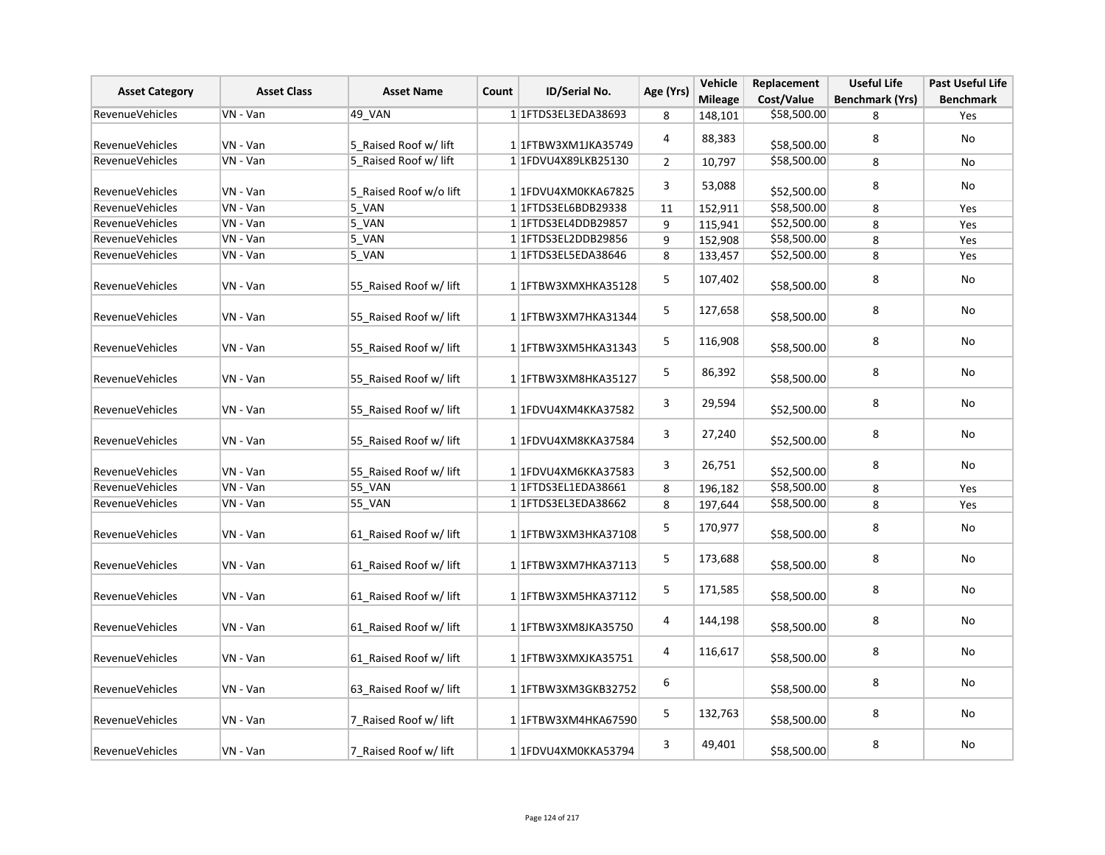| <b>Asset Category</b>  | <b>Asset Class</b> | <b>Asset Name</b>      | Count | ID/Serial No.        | Age (Yrs)      | Vehicle<br><b>Mileage</b> | Replacement<br>Cost/Value | <b>Useful Life</b><br><b>Benchmark (Yrs)</b> | <b>Past Useful Life</b><br><b>Benchmark</b> |
|------------------------|--------------------|------------------------|-------|----------------------|----------------|---------------------------|---------------------------|----------------------------------------------|---------------------------------------------|
| <b>RevenueVehicles</b> | VN - Van           | 49_VAN                 |       | 1 1 FTDS3EL3EDA38693 | 8              | 148,101                   | \$58,500.00               | 8                                            | Yes                                         |
| RevenueVehicles        | VN - Van           | 5 Raised Roof w/ lift  |       | 1 1FTBW3XM1JKA35749  | 4              | 88,383                    | \$58,500.00               | 8                                            | No                                          |
| RevenueVehicles        | VN - Van           | 5 Raised Roof w/ lift  |       | 1 1FDVU4X89LKB25130  | $\overline{2}$ | 10,797                    | \$58,500.00               | 8                                            | No                                          |
| <b>RevenueVehicles</b> | VN - Van           | 5_Raised Roof w/o lift |       | 1 1FDVU4XM0KKA67825  | 3              | 53,088                    | \$52,500.00               | 8                                            | No                                          |
| RevenueVehicles        | VN - Van           | $5$ VAN                |       | 1 1 FTDS3EL6BDB29338 | 11             | 152,911                   | \$58,500.00               | 8                                            | Yes                                         |
| <b>RevenueVehicles</b> | VN - Van           | 5_VAN                  |       | 1 1 FTDS3EL4DDB29857 | 9              | 115,941                   | \$52,500.00               | 8                                            | Yes                                         |
| RevenueVehicles        | VN - Van           | 5_VAN                  |       | 11FTDS3EL2DDB29856   | 9              | 152,908                   | \$58,500.00               | 8                                            | Yes                                         |
| RevenueVehicles        | VN - Van           | 5_VAN                  |       | 1 1FTDS3EL5EDA38646  | 8              | 133,457                   | \$52,500.00               | 8                                            | Yes                                         |
| RevenueVehicles        | VN - Van           | 55 Raised Roof w/ lift |       | 1 1FTBW3XMXHKA35128  | 5              | 107,402                   | \$58,500.00               | 8                                            | No                                          |
| RevenueVehicles        | VN - Van           | 55 Raised Roof w/ lift |       | 1 1 FTBW3XM7HKA31344 | 5              | 127,658                   | \$58,500.00               | 8                                            | No                                          |
| RevenueVehicles        | VN - Van           | 55 Raised Roof w/ lift |       | 1 1 FTBW3XM5HKA31343 | 5              | 116,908                   | \$58,500.00               | 8                                            | No                                          |
| RevenueVehicles        | VN - Van           | 55_Raised Roof w/ lift |       | 1 1FTBW3XM8HKA35127  | 5              | 86,392                    | \$58,500.00               | 8                                            | No                                          |
| <b>RevenueVehicles</b> | VN - Van           | 55 Raised Roof w/ lift |       | 1 1FDVU4XM4KKA37582  | 3              | 29,594                    | \$52,500.00               | 8                                            | <b>No</b>                                   |
| RevenueVehicles        | VN - Van           | 55 Raised Roof w/ lift |       | 1 1FDVU4XM8KKA37584  | 3              | 27,240                    | \$52,500.00               | 8                                            | No                                          |
| RevenueVehicles        | VN - Van           | 55_Raised Roof w/ lift |       | 1 1FDVU4XM6KKA37583  | 3              | 26,751                    | \$52,500.00               | 8                                            | No                                          |
| RevenueVehicles        | VN - Van           | 55_VAN                 |       | 1 1 FTDS3EL1EDA38661 | 8              | 196,182                   | \$58,500.00               | 8                                            | Yes                                         |
| <b>RevenueVehicles</b> | VN - Van           | 55_VAN                 |       | 1 1 FTDS3EL3EDA38662 | 8              | 197,644                   | \$58,500.00               | 8                                            | Yes                                         |
| <b>RevenueVehicles</b> | VN - Van           | 61 Raised Roof w/ lift |       | 1 1FTBW3XM3HKA37108  | 5              | 170,977                   | \$58,500.00               | 8                                            | No                                          |
| <b>RevenueVehicles</b> | VN - Van           | 61 Raised Roof w/ lift |       | 1 1 FTBW3XM7HKA37113 | 5              | 173,688                   | \$58,500.00               | 8                                            | No                                          |
| <b>RevenueVehicles</b> | VN - Van           | 61 Raised Roof w/ lift |       | 11FTBW3XM5HKA37112   | 5              | 171,585                   | \$58,500.00               | 8                                            | No                                          |
| <b>RevenueVehicles</b> | VN - Van           | 61 Raised Roof w/ lift |       | 1 1 FTBW3XM8JKA35750 | 4              | 144,198                   | \$58,500.00               | 8                                            | No                                          |
| RevenueVehicles        | VN - Van           | 61 Raised Roof w/ lift |       | 1 1FTBW3XMXJKA35751  | 4              | 116,617                   | \$58,500.00               | 8                                            | No                                          |
| <b>RevenueVehicles</b> | VN - Van           | 63_Raised Roof w/ lift |       | 1 1 FTBW3XM3GKB32752 | 6              |                           | \$58,500.00               | 8                                            | No                                          |
| RevenueVehicles        | VN - Van           | 7 Raised Roof w/ lift  |       | 1 1FTBW3XM4HKA67590  | 5              | 132,763                   | \$58,500.00               | 8                                            | No                                          |
| <b>RevenueVehicles</b> | VN - Van           | 7 Raised Roof w/ lift  |       | 1 1FDVU4XM0KKA53794  | 3              | 49,401                    | \$58,500.00               | 8                                            | No                                          |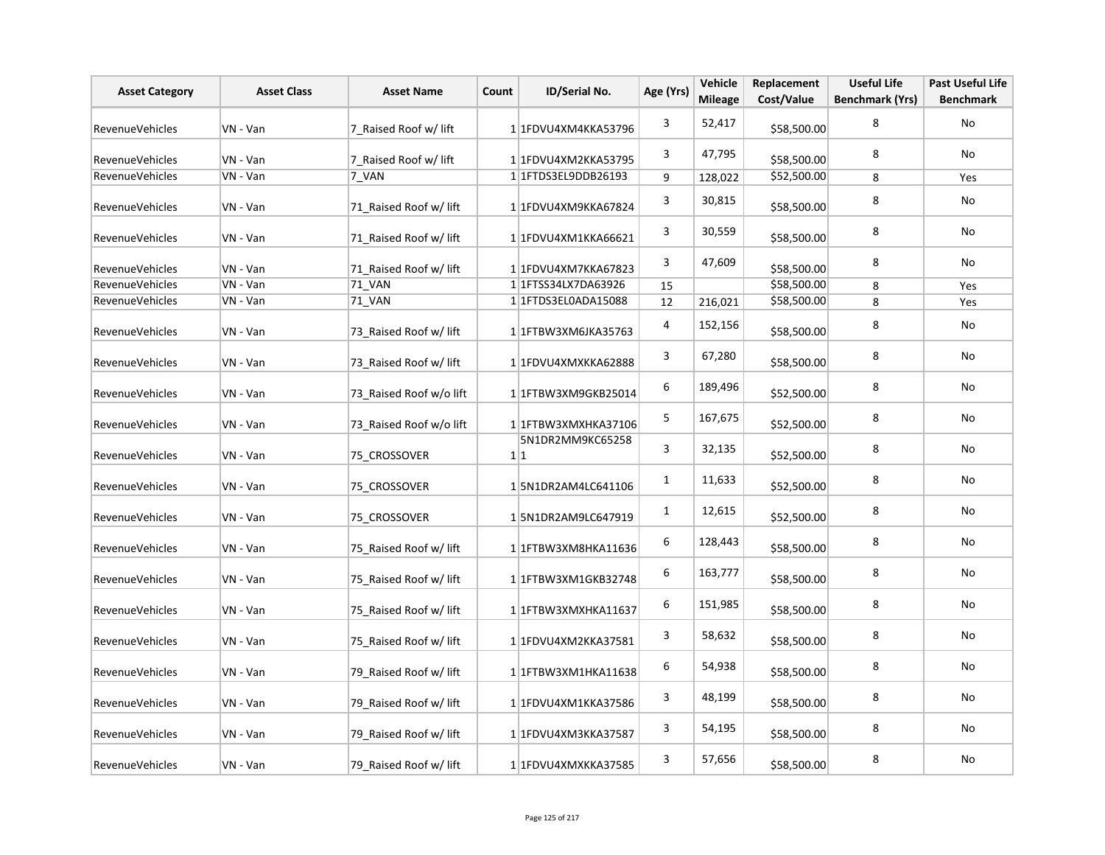| <b>Asset Category</b>  | <b>Asset Class</b> | <b>Asset Name</b>       | Count | ID/Serial No.           | Age (Yrs)    | Vehicle<br><b>Mileage</b> | Replacement<br>Cost/Value | <b>Useful Life</b><br><b>Benchmark (Yrs)</b> | <b>Past Useful Life</b><br><b>Benchmark</b> |
|------------------------|--------------------|-------------------------|-------|-------------------------|--------------|---------------------------|---------------------------|----------------------------------------------|---------------------------------------------|
| RevenueVehicles        | VN - Van           | 7 Raised Roof w/ lift   |       | 1 1FDVU4XM4KKA53796     | 3            | 52,417                    | \$58,500.00               | 8                                            | <b>No</b>                                   |
| RevenueVehicles        | VN - Van           | 7 Raised Roof w/ lift   |       | 1 1FDVU4XM2KKA53795     | 3            | 47,795                    | \$58,500.00               | 8                                            | No                                          |
| <b>RevenueVehicles</b> | VN - Van           | 7 VAN                   |       | 1 1 FTDS3EL9DDB26193    | 9            | 128,022                   | \$52,500.00               | 8                                            | Yes                                         |
| RevenueVehicles        | VN - Van           | 71 Raised Roof w/ lift  |       | 1 1FDVU4XM9KKA67824     | 3            | 30,815                    | \$58,500.00               | 8                                            | No                                          |
| <b>RevenueVehicles</b> | VN - Van           | 71 Raised Roof w/ lift  |       | 1 1FDVU4XM1KKA66621     | 3            | 30,559                    | \$58,500.00               | 8                                            | No                                          |
| <b>RevenueVehicles</b> | VN - Van           | 71_Raised Roof w/ lift  |       | 1 1FDVU4XM7KKA67823     | 3            | 47,609                    | \$58,500.00               | 8                                            | No                                          |
| RevenueVehicles        | VN - Van           | 71 VAN                  |       | 1 1 1 FTSS34 LX7DA63926 | 15           |                           | \$58,500.00               | 8                                            | Yes                                         |
| RevenueVehicles        | VN - Van           | 71 VAN                  |       | 1 1FTDS3EL0ADA15088     | 12           | 216,021                   | \$58,500.00               | 8                                            | Yes                                         |
| RevenueVehicles        | VN - Van           | 73 Raised Roof w/ lift  |       | 1 1FTBW3XM6JKA35763     | 4            | 152,156                   | \$58,500.00               | 8                                            | No                                          |
| <b>RevenueVehicles</b> | VN - Van           | 73 Raised Roof w/ lift  |       | 1 1FDVU4XMXKKA62888     | 3            | 67,280                    | \$58,500.00               | 8                                            | No                                          |
| RevenueVehicles        | VN - Van           | 73 Raised Roof w/o lift |       | 1 1 FTBW3XM9GKB25014    | 6            | 189,496                   | \$52,500.00               | 8                                            | No                                          |
| RevenueVehicles        | VN - Van           | 73 Raised Roof w/o lift |       | 1 1 FTBW3XMXHKA37106    | 5            | 167,675                   | \$52,500.00               | 8                                            | No                                          |
| RevenueVehicles        | VN - Van           | 75 CROSSOVER            |       | 5N1DR2MM9KC65258<br>1 1 | 3            | 32,135                    | \$52,500.00               | 8                                            | No                                          |
| RevenueVehicles        | VN - Van           | 75 CROSSOVER            |       | 15N1DR2AM4LC641106      | $\mathbf{1}$ | 11,633                    | \$52,500.00               | 8                                            | No                                          |
| <b>RevenueVehicles</b> | VN - Van           | 75 CROSSOVER            |       | 15N1DR2AM9LC647919      | 1            | 12,615                    | \$52,500.00               | 8                                            | No                                          |
| <b>RevenueVehicles</b> | VN - Van           | 75 Raised Roof w/ lift  |       | 1 1 FTBW3XM8HKA11636    | 6            | 128,443                   | \$58,500.00               | 8                                            | No                                          |
| RevenueVehicles        | VN - Van           | 75 Raised Roof w/ lift  |       | 1 1 FTBW3XM1GKB32748    | 6            | 163,777                   | \$58,500.00               | 8                                            | No                                          |
| RevenueVehicles        | VN - Van           | 75 Raised Roof w/ lift  |       | 1 1 FTBW3XMXHKA11637    | 6            | 151,985                   | \$58,500.00               | 8                                            | No                                          |
| RevenueVehicles        | VN - Van           | 75 Raised Roof w/ lift  |       | 1 1FDVU4XM2KKA37581     | 3            | 58,632                    | \$58,500.00               | 8                                            | No                                          |
| RevenueVehicles        | VN - Van           | 79 Raised Roof w/ lift  |       | 1 1 FTBW3XM1HKA11638    | 6            | 54,938                    | \$58,500.00               | 8                                            | No                                          |
| RevenueVehicles        | VN - Van           | 79 Raised Roof w/ lift  |       | 1 1FDVU4XM1KKA37586     | 3            | 48,199                    | \$58,500.00               | 8                                            | No                                          |
| RevenueVehicles        | VN - Van           | 79 Raised Roof w/ lift  |       | 1 1FDVU4XM3KKA37587     | 3            | 54,195                    | \$58,500.00               | 8                                            | No                                          |
| RevenueVehicles        | VN - Van           | 79 Raised Roof w/ lift  |       | 1 1FDVU4XMXKKA37585     | 3            | 57,656                    | \$58,500.00               | 8                                            | No                                          |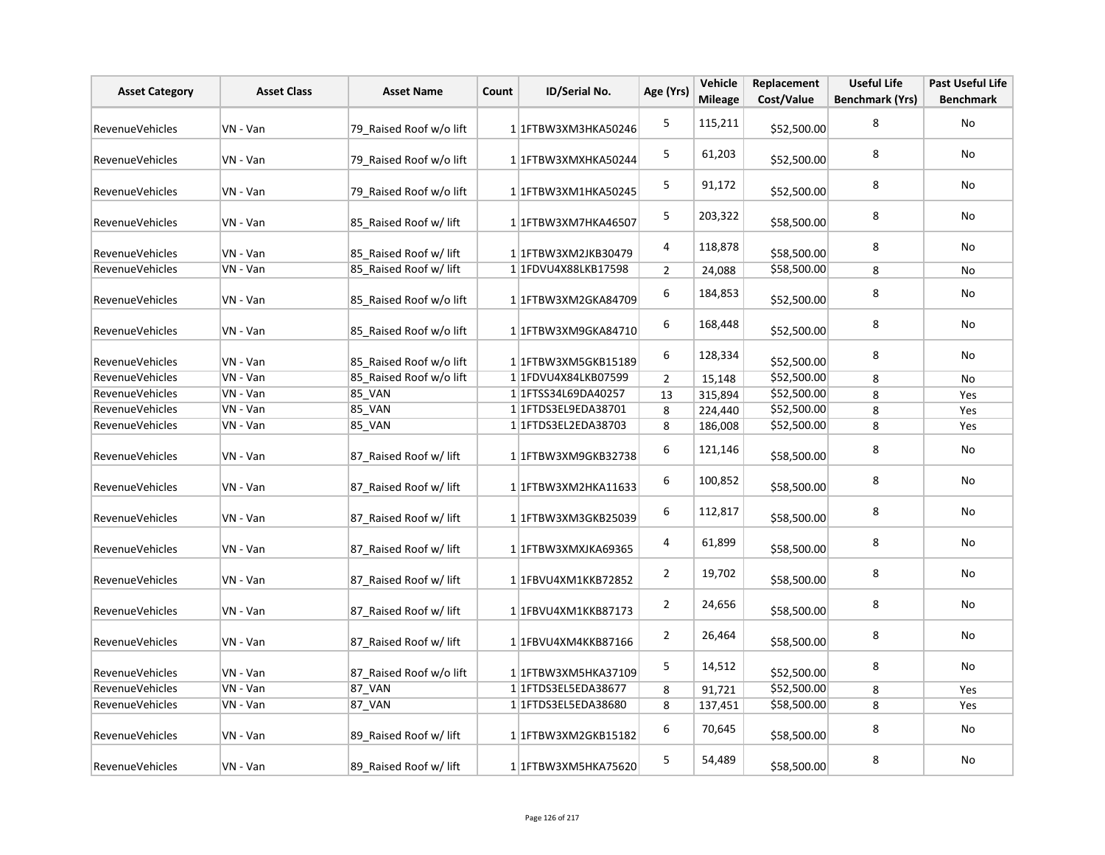| <b>Asset Category</b>  | <b>Asset Class</b> | <b>Asset Name</b>       | Count | ID/Serial No.              | Age (Yrs)      | Vehicle<br><b>Mileage</b> | Replacement<br>Cost/Value | <b>Useful Life</b><br><b>Benchmark (Yrs)</b> | <b>Past Useful Life</b><br><b>Benchmark</b> |
|------------------------|--------------------|-------------------------|-------|----------------------------|----------------|---------------------------|---------------------------|----------------------------------------------|---------------------------------------------|
| <b>RevenueVehicles</b> | VN - Van           | 79 Raised Roof w/o lift |       | 1 1FTBW3XM3HKA50246        | $\mathsf S$    | 115,211                   | \$52,500.00               | 8                                            | <b>No</b>                                   |
| RevenueVehicles        | VN - Van           | 79 Raised Roof w/o lift |       | 1 1FTBW3XMXHKA50244        | 5              | 61,203                    | \$52,500.00               | 8                                            | No                                          |
| <b>RevenueVehicles</b> | VN - Van           | 79 Raised Roof w/o lift |       | 1 1FTBW3XM1HKA50245        | 5              | 91,172                    | \$52,500.00               | 8                                            | No                                          |
| <b>RevenueVehicles</b> | VN - Van           | 85_Raised Roof w/ lift  |       | 1 1 FTBW3XM7HKA46507       | 5              | 203,322                   | \$58,500.00               | 8                                            | No                                          |
| RevenueVehicles        | VN - Van           | 85_Raised Roof w/ lift  |       | 1 1FTBW3XM2JKB30479        | 4              | 118,878                   | \$58,500.00               | 8                                            | <b>No</b>                                   |
| <b>RevenueVehicles</b> | VN - Van           | 85 Raised Roof w/ lift  |       | 1 1FDVU4X88LKB17598        | $\overline{2}$ | 24,088                    | \$58,500.00               | 8                                            | No                                          |
| RevenueVehicles        | VN - Van           | 85 Raised Roof w/o lift |       | 1 1 FTBW3XM2GKA84709       | 6              | 184,853                   | \$52,500.00               | 8                                            | No                                          |
| RevenueVehicles        | VN - Van           | 85 Raised Roof w/o lift |       | 1 1 FTBW3XM9GKA84710       | 6              | 168,448                   | \$52,500.00               | 8                                            | No                                          |
| RevenueVehicles        | VN - Van           | 85 Raised Roof w/o lift |       | 1 1 FTBW3XM5GKB15189       | 6              | 128,334                   | \$52,500.00               | 8                                            | <b>No</b>                                   |
| RevenueVehicles        | VN - Van           | 85 Raised Roof w/o lift |       | 1 1FDVU4X84LKB07599        | $\overline{2}$ | 15,148                    | \$52,500.00               | 8                                            | No                                          |
| RevenueVehicles        | VN - Van           | 85_VAN                  |       | 1 1 FTSS34L69DA40257       | 13             | 315,894                   | \$52,500.00               | 8                                            | Yes                                         |
| <b>RevenueVehicles</b> | VN - Van           | 85_VAN                  |       | 1 1 FTDS3EL9EDA38701       | 8              | 224,440                   | \$52,500.00               | 8                                            | Yes                                         |
| RevenueVehicles        | VN - Van           | 85_VAN                  |       | 1 1 1 FTD S3 EL2ED A 38703 | 8              | 186,008                   | \$52,500.00               | 8                                            | Yes                                         |
| RevenueVehicles        | VN - Van           | 87 Raised Roof w/ lift  |       | 1 1FTBW3XM9GKB32738        | 6              | 121,146                   | \$58,500.00               | 8                                            | No                                          |
| RevenueVehicles        | VN - Van           | 87 Raised Roof w/ lift  |       | $1 1$ FTBW3XM2HKA11633     | 6              | 100,852                   | \$58,500.00               | 8                                            | No                                          |
| <b>RevenueVehicles</b> | VN - Van           | 87 Raised Roof w/ lift  |       | 1 1 FTBW3XM3GKB25039       | 6              | 112,817                   | \$58,500.00               | 8                                            | No                                          |
| RevenueVehicles        | VN - Van           | 87 Raised Roof w/ lift  |       | 1 1FTBW3XMXJKA69365        | 4              | 61,899                    | \$58,500.00               | 8                                            | <b>No</b>                                   |
| RevenueVehicles        | VN - Van           | 87 Raised Roof w/ lift  |       | 1 1 FBVU4XM1KKB72852       | $\overline{2}$ | 19,702                    | \$58,500.00               | 8                                            | No                                          |
| RevenueVehicles        | VN - Van           | 87 Raised Roof w/ lift  |       | 1 1FBVU4XM1KKB87173        | $\overline{2}$ | 24,656                    | \$58,500.00               | 8                                            | No                                          |
| <b>RevenueVehicles</b> | VN - Van           | 87 Raised Roof w/ lift  |       | 1 1FBVU4XM4KKB87166        | $\overline{2}$ | 26,464                    | \$58,500.00               | 8                                            | No                                          |
| RevenueVehicles        | VN - Van           | 87_Raised Roof w/o lift |       | 1 1FTBW3XM5HKA37109        | 5              | 14,512                    | \$52,500.00               | 8                                            | No                                          |
| RevenueVehicles        | VN - Van           | 87_VAN                  |       | 1 1 FTDS3EL5EDA38677       | 8              | 91,721                    | \$52,500.00               | 8                                            | Yes                                         |
| RevenueVehicles        | VN - Van           | <b>87 VAN</b>           |       | 1 1 FTDS3EL5EDA38680       | 8              | 137,451                   | \$58,500.00               | 8                                            | Yes                                         |
| <b>RevenueVehicles</b> | VN - Van           | 89 Raised Roof w/ lift  |       | 1 1 FTBW3XM2GKB15182       | 6              | 70,645                    | \$58,500.00               | 8                                            | No                                          |
| <b>RevenueVehicles</b> | VN - Van           | 89 Raised Roof w/ lift  |       | 1 1FTBW3XM5HKA75620        | 5              | 54,489                    | \$58,500.00               | 8                                            | No                                          |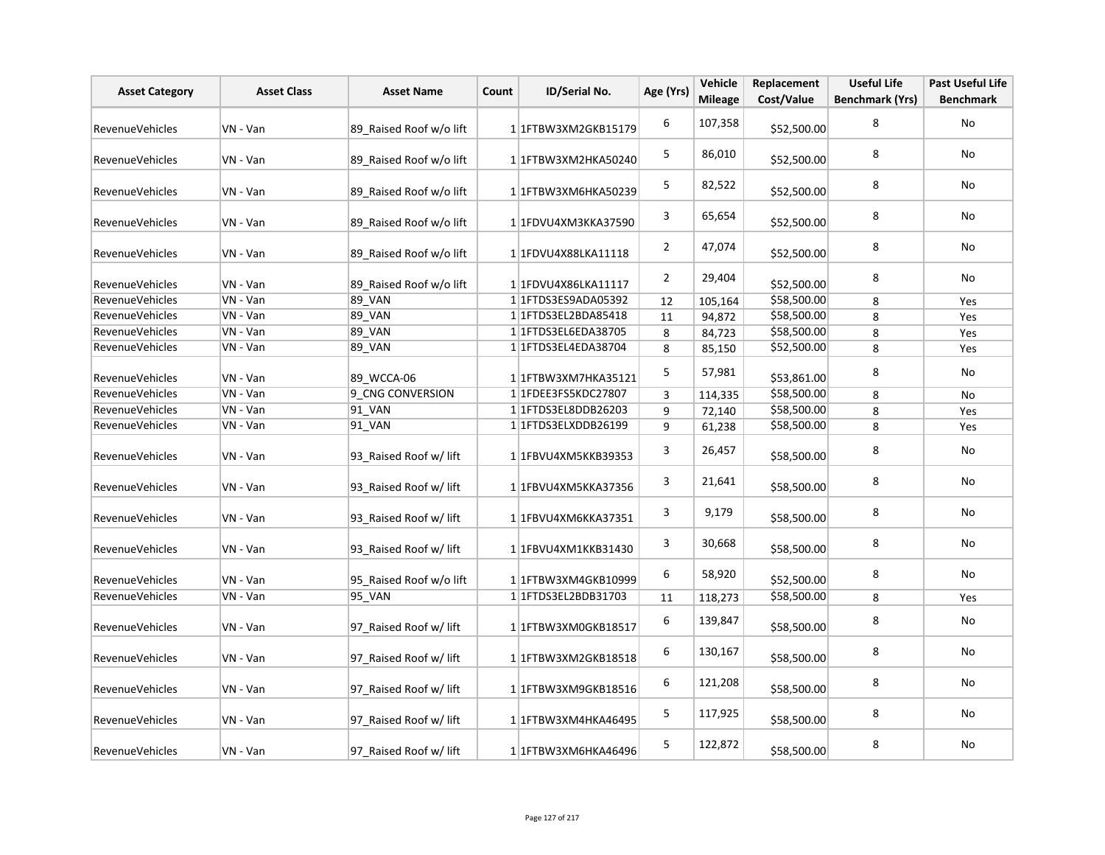| <b>Asset Category</b>  | <b>Asset Class</b> | <b>Asset Name</b>       | Count | ID/Serial No.              | Age (Yrs)      | Vehicle<br><b>Mileage</b> | Replacement<br>Cost/Value | <b>Useful Life</b><br><b>Benchmark (Yrs)</b> | <b>Past Useful Life</b><br><b>Benchmark</b> |
|------------------------|--------------------|-------------------------|-------|----------------------------|----------------|---------------------------|---------------------------|----------------------------------------------|---------------------------------------------|
| <b>RevenueVehicles</b> | VN - Van           | 89 Raised Roof w/o lift |       | 1 1 FTBW3XM2GKB15179       | 6              | 107,358                   | \$52,500.00               | 8                                            | No                                          |
| <b>RevenueVehicles</b> | VN - Van           | 89 Raised Roof w/o lift |       | 1 1 FTBW3XM2HKA50240       | 5              | 86,010                    | \$52,500.00               | 8                                            | No                                          |
| <b>RevenueVehicles</b> | VN - Van           | 89 Raised Roof w/o lift |       | 1 1FTBW3XM6HKA50239        | 5              | 82,522                    | \$52,500.00               | 8                                            | No                                          |
| RevenueVehicles        | VN - Van           | 89 Raised Roof w/o lift |       | 1 1FDVU4XM3KKA37590        | 3              | 65,654                    | \$52,500.00               | 8                                            | No                                          |
| <b>RevenueVehicles</b> | VN - Van           | 89 Raised Roof w/o lift |       | 1 1FDVU4X88LKA11118        | $\overline{2}$ | 47,074                    | \$52,500.00               | 8                                            | No                                          |
| RevenueVehicles        | VN - Van           | 89 Raised Roof w/o lift |       | 11FDVU4X86LKA11117         | $\overline{2}$ | 29,404                    | \$52,500.00               | 8                                            | No                                          |
| <b>RevenueVehicles</b> | VN - Van           | 89_VAN                  |       | 11FTDS3ES9ADA05392         | 12             | 105,164                   | \$58,500.00               | 8                                            | Yes                                         |
| RevenueVehicles        | VN - Van           | 89_VAN                  |       | 1 1 FTDS3EL2BDA85418       | 11             | 94,872                    | \$58,500.00               | 8                                            | Yes                                         |
| RevenueVehicles        | VN - Van           | 89_VAN                  |       | 1 1 FTDS3EL6EDA38705       | 8              | 84,723                    | \$58,500.00               | 8                                            | Yes                                         |
| RevenueVehicles        | VN - Van           | <b>89 VAN</b>           |       | 1 1 1 FTD S3 EL4ED A 38704 | 8              | 85,150                    | \$52,500.00               | 8                                            | Yes                                         |
| RevenueVehicles        | VN - Van           | 89 WCCA-06              |       | 11FTBW3XM7HKA35121         | 5              | 57,981                    | \$53,861.00               | 8                                            | No                                          |
| <b>RevenueVehicles</b> | VN - Van           | 9 CNG CONVERSION        |       | 11FDEE3FS5KDC27807         | 3              | 114,335                   | \$58,500.00               | 8                                            | No                                          |
| RevenueVehicles        | VN - Van           | 91_VAN                  |       | 1 1 FTDS3EL8DDB26203       | 9              | 72,140                    | \$58,500.00               | 8                                            | Yes                                         |
| RevenueVehicles        | VN - Van           | $91$ <sup>VAN</sup>     |       | 1 1 1 FTDS3 ELXDDB 26199   | 9              | 61,238                    | \$58,500.00               | 8                                            | Yes                                         |
| RevenueVehicles        | VN - Van           | 93 Raised Roof w/ lift  |       | 1 1FBVU4XM5KKB39353        | 3              | 26,457                    | \$58,500.00               | 8                                            | No                                          |
| RevenueVehicles        | VN - Van           | 93 Raised Roof w/ lift  |       | 1 1FBVU4XM5KKA37356        | 3              | 21,641                    | \$58,500.00               | 8                                            | No                                          |
| RevenueVehicles        | VN - Van           | 93 Raised Roof w/ lift  |       | 1 1FBVU4XM6KKA37351        | 3              | 9,179                     | \$58,500.00               | 8                                            | No                                          |
| RevenueVehicles        | VN - Van           | 93_Raised Roof w/ lift  |       | 1 1FBVU4XM1KKB31430        | 3              | 30,668                    | \$58,500.00               | 8                                            | No                                          |
| <b>RevenueVehicles</b> | VN - Van           | 95_Raised Roof w/o lift |       | 1 1 FTBW3XM4GKB10999       | 6              | 58,920                    | \$52,500.00               | 8                                            | No                                          |
| RevenueVehicles        | VN - Van           | 95 VAN                  |       | 11FTDS3EL2BDB31703         | 11             | 118,273                   | \$58,500.00               | 8                                            | Yes                                         |
| RevenueVehicles        | VN - Van           | 97 Raised Roof w/ lift  |       | 1 1FTBW3XM0GKB18517        | 6              | 139,847                   | \$58,500.00               | 8                                            | No                                          |
| RevenueVehicles        | VN - Van           | 97 Raised Roof w/ lift  |       | 1 1 FTBW3XM2GKB18518       | 6              | 130,167                   | \$58,500.00               | 8                                            | No                                          |
| <b>RevenueVehicles</b> | VN - Van           | 97 Raised Roof w/ lift  |       | 1 1 FTBW3XM9GKB18516       | 6              | 121,208                   | \$58,500.00               | 8                                            | No                                          |
| <b>RevenueVehicles</b> | VN - Van           | 97 Raised Roof w/ lift  |       | 1 1FTBW3XM4HKA46495        | 5              | 117,925                   | \$58,500.00               | 8                                            | No                                          |
| <b>RevenueVehicles</b> | VN - Van           | 97 Raised Roof w/ lift  |       | 1 1FTBW3XM6HKA46496        | 5              | 122,872                   | \$58,500.00               | 8                                            | No                                          |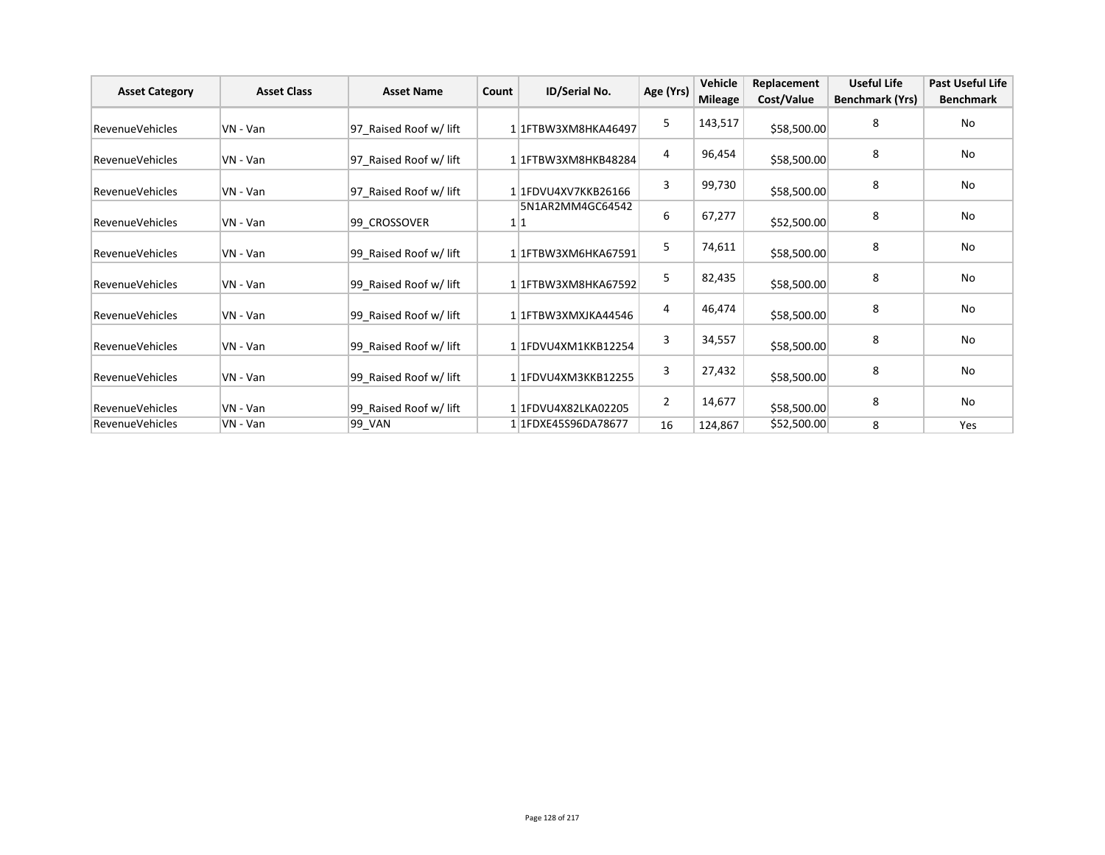| <b>Asset Category</b>  | <b>Asset Class</b> | <b>Asset Name</b>      | Count | ID/Serial No.           | Age (Yrs) | Vehicle        | Replacement | <b>Useful Life</b> | <b>Past Useful Life</b> |
|------------------------|--------------------|------------------------|-------|-------------------------|-----------|----------------|-------------|--------------------|-------------------------|
|                        |                    |                        |       |                         |           | <b>Mileage</b> | Cost/Value  | Benchmark (Yrs)    | <b>Benchmark</b>        |
| <b>RevenueVehicles</b> | VN - Van           | 97 Raised Roof w/ lift |       | 1 1 FTBW3XM8HKA46497    | 5         | 143,517        | \$58,500.00 | 8                  | No                      |
| <b>RevenueVehicles</b> | VN - Van           | 97 Raised Roof w/ lift |       | 11FTBW3XM8HKB48284      | 4         | 96,454         | \$58,500.00 | 8                  | No                      |
| <b>RevenueVehicles</b> | VN - Van           | 97 Raised Roof w/ lift |       | 1 1 FDVU4XV7KKB26166    | 3         | 99,730         | \$58,500.00 | 8                  | No                      |
| RevenueVehicles        | VN - Van           | 99 CROSSOVER           |       | 5N1AR2MM4GC64542<br>1 1 | 6         | 67,277         | \$52,500.00 | 8                  | No                      |
| <b>RevenueVehicles</b> | VN - Van           | 99 Raised Roof w/ lift |       | 11FTBW3XM6HKA67591      | 5         | 74,611         | \$58,500.00 | 8                  | No                      |
| <b>RevenueVehicles</b> | VN - Van           | 99 Raised Roof w/ lift |       | 11FTBW3XM8HKA67592      | 5         | 82,435         | \$58,500.00 | 8                  | No                      |
| Revenue Vehicles       | VN - Van           | 99 Raised Roof w/ lift |       | 11FTBW3XMXJKA44546      | 4         | 46,474         | \$58,500.00 | 8                  | No                      |
| <b>RevenueVehicles</b> | VN - Van           | 99 Raised Roof w/ lift |       | 11FDVU4XM1KKB12254      | 3         | 34,557         | \$58,500.00 | 8                  | No                      |
| <b>RevenueVehicles</b> | VN - Van           | 99 Raised Roof w/ lift |       | 11FDVU4XM3KKB12255      | 3         | 27,432         | \$58,500.00 | 8                  | No                      |
| <b>RevenueVehicles</b> | VN - Van           | 99 Raised Roof w/ lift |       | 1 1FDVU4X82LKA02205     | 2         | 14,677         | \$58,500.00 | 8                  | No                      |
| <b>RevenueVehicles</b> | VN - Van           | 99_VAN                 |       | 1 1FDXE45S96DA78677     | 16        | 124,867        | \$52,500.00 | 8                  | Yes                     |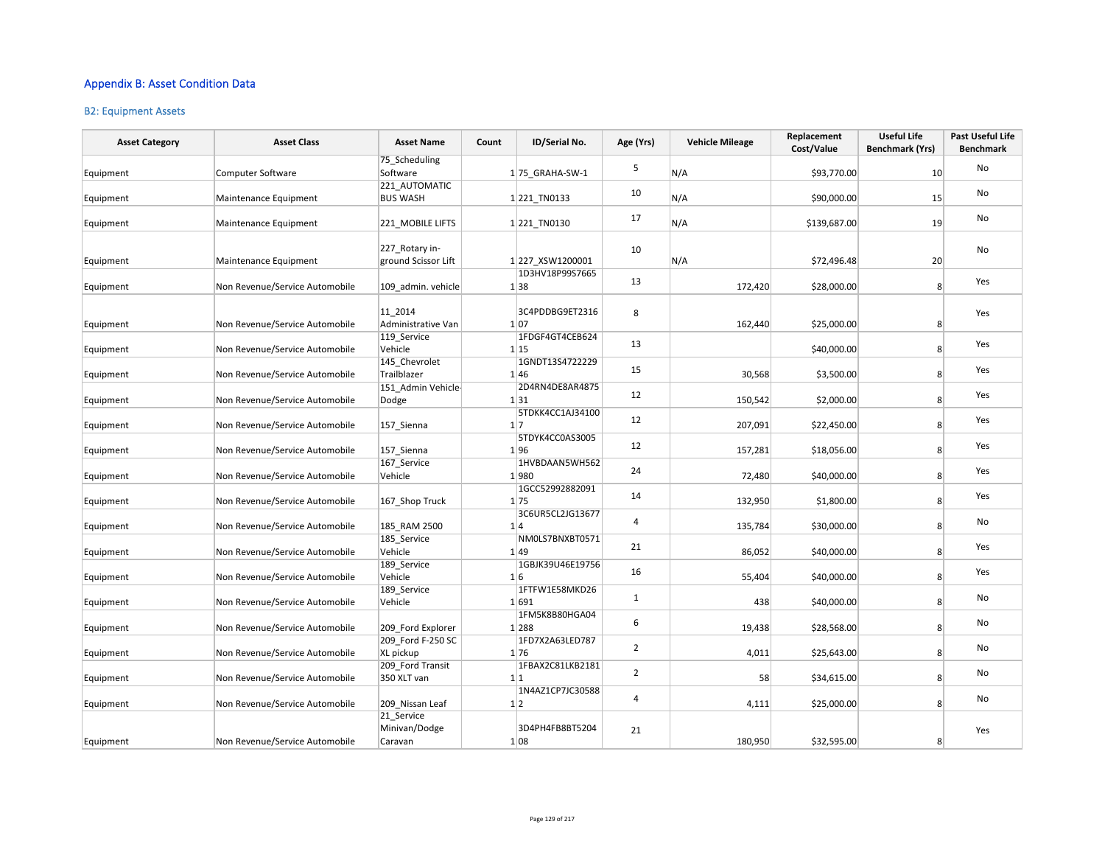### Appendix B: Asset Condition Data

#### B2: Equipment Assets

| <b>Asset Category</b> | <b>Asset Class</b>             | <b>Asset Name</b>                      | Count | ID/Serial No.           | Age (Yrs)      | <b>Vehicle Mileage</b> | Replacement<br>Cost/Value | <b>Useful Life</b><br><b>Benchmark (Yrs)</b> | <b>Past Useful Life</b><br><b>Benchmark</b> |
|-----------------------|--------------------------------|----------------------------------------|-------|-------------------------|----------------|------------------------|---------------------------|----------------------------------------------|---------------------------------------------|
| Equipment             | Computer Software              | 75_Scheduling<br>Software              |       | $1 75$ GRAHA-SW-1       | 5              | N/A                    | \$93,770.00               | 10                                           | No                                          |
| Equipment             | Maintenance Equipment          | 221 AUTOMATIC<br><b>BUS WASH</b>       |       | 1 221 TN0133            | 10             | N/A                    | \$90,000.00               | 15                                           | No                                          |
| Equipment             | Maintenance Equipment          | 221_MOBILE LIFTS                       |       | 1221_TN0130             | 17             | N/A                    | \$139,687.00              | 19                                           | No                                          |
| Equipment             | Maintenance Equipment          | 227 Rotary in-<br>ground Scissor Lift  |       | 1 227 XSW1200001        | 10             | N/A                    | \$72,496.48               | 20                                           | No                                          |
| Equipment             | Non Revenue/Service Automobile | 109 admin. vehicle                     |       | 1D3HV18P99S7665<br>1 38 | 13             | 172,420                | \$28,000.00               | 8                                            | Yes                                         |
| Equipment             | Non Revenue/Service Automobile | 11 2014<br>Administrative Van          |       | 3C4PDDBG9ET2316<br>1 07 | 8              | 162,440                | \$25,000.00               | 8                                            | Yes                                         |
| Equipment             | Non Revenue/Service Automobile | 119 Service<br>Vehicle                 |       | 1FDGF4GT4CEB624<br>1 15 | 13             |                        | \$40,000.00               | 8                                            | Yes                                         |
| Equipment             | Non Revenue/Service Automobile | 145_Chevrolet<br>Trailblazer           |       | 1GNDT13S4722229<br>1 46 | 15             | 30,568                 | \$3,500.00                | 8                                            | Yes                                         |
| Equipment             | Non Revenue/Service Automobile | 151 Admin Vehicle-<br>Dodge            |       | 2D4RN4DE8AR4875<br>1 31 | 12             | 150,542                | \$2,000.00                | 8                                            | Yes                                         |
| Equipment             | Non Revenue/Service Automobile | 157_Sienna                             |       | 5TDKK4CC1AJ34100<br>1 7 | 12             | 207,091                | \$22,450.00               | 8                                            | Yes                                         |
| Equipment             | Non Revenue/Service Automobile | 157 Sienna                             |       | 5TDYK4CC0AS3005<br>1 96 | 12             | 157,281                | \$18,056.00               | 8 <sup>1</sup>                               | Yes                                         |
| Equipment             | Non Revenue/Service Automobile | 167_Service<br>Vehicle                 |       | 1HVBDAAN5WH562<br>1980  | 24             | 72,480                 | \$40,000.00               | 8 <sup>2</sup>                               | Yes                                         |
| Equipment             | Non Revenue/Service Automobile | 167 Shop Truck                         |       | 1GCC52992882091<br>1 75 | 14             | 132,950                | \$1,800.00                | 8 <sup>1</sup>                               | Yes                                         |
| Equipment             | Non Revenue/Service Automobile | 185 RAM 2500                           |       | 3C6UR5CL2JG13677<br>1 4 | $\overline{4}$ | 135,784                | \$30,000.00               | 8 <sup>1</sup>                               | No                                          |
| Equipment             | Non Revenue/Service Automobile | 185 Service<br>Vehicle                 |       | NM0LS7BNXBT0571<br>1 49 | 21             | 86,052                 | \$40,000.00               | 8 <sup>1</sup>                               | Yes                                         |
| Equipment             | Non Revenue/Service Automobile | 189_Service<br>Vehicle                 |       | 1GBJK39U46E19756<br>1 6 | 16             | 55,404                 | \$40,000.00               | 8                                            | Yes                                         |
| Equipment             | Non Revenue/Service Automobile | 189_Service<br>Vehicle                 |       | 1FTFW1E58MKD26<br>1 691 | 1              | 438                    | \$40,000.00               | 8                                            | No                                          |
| Equipment             | Non Revenue/Service Automobile | 209 Ford Explorer                      |       | 1FM5K8B80HGA04<br>1 288 | 6              | 19,438                 | \$28,568.00               | 8                                            | No                                          |
| Equipment             | Non Revenue/Service Automobile | 209_Ford F-250 SC<br>XL pickup         |       | 1FD7X2A63LED787<br>1 76 | $\overline{2}$ | 4,011                  | \$25,643.00               | 8                                            | No                                          |
| Equipment             | Non Revenue/Service Automobile | 209 Ford Transit<br>350 XLT van        |       | 1FBAX2C81LKB2181<br>1 1 | $\overline{2}$ | 58                     | \$34,615.00               | 8                                            | No                                          |
| Equipment             | Non Revenue/Service Automobile | 209 Nissan Leaf                        |       | 1N4AZ1CP7JC30588<br>1 2 | 4              | 4,111                  | \$25,000.00               | 8                                            | No                                          |
| Equipment             | Non Revenue/Service Automobile | 21 Service<br>Minivan/Dodge<br>Caravan |       | 3D4PH4FB8BT5204<br>1 08 | 21             | 180,950                | \$32,595.00               | 8                                            | Yes                                         |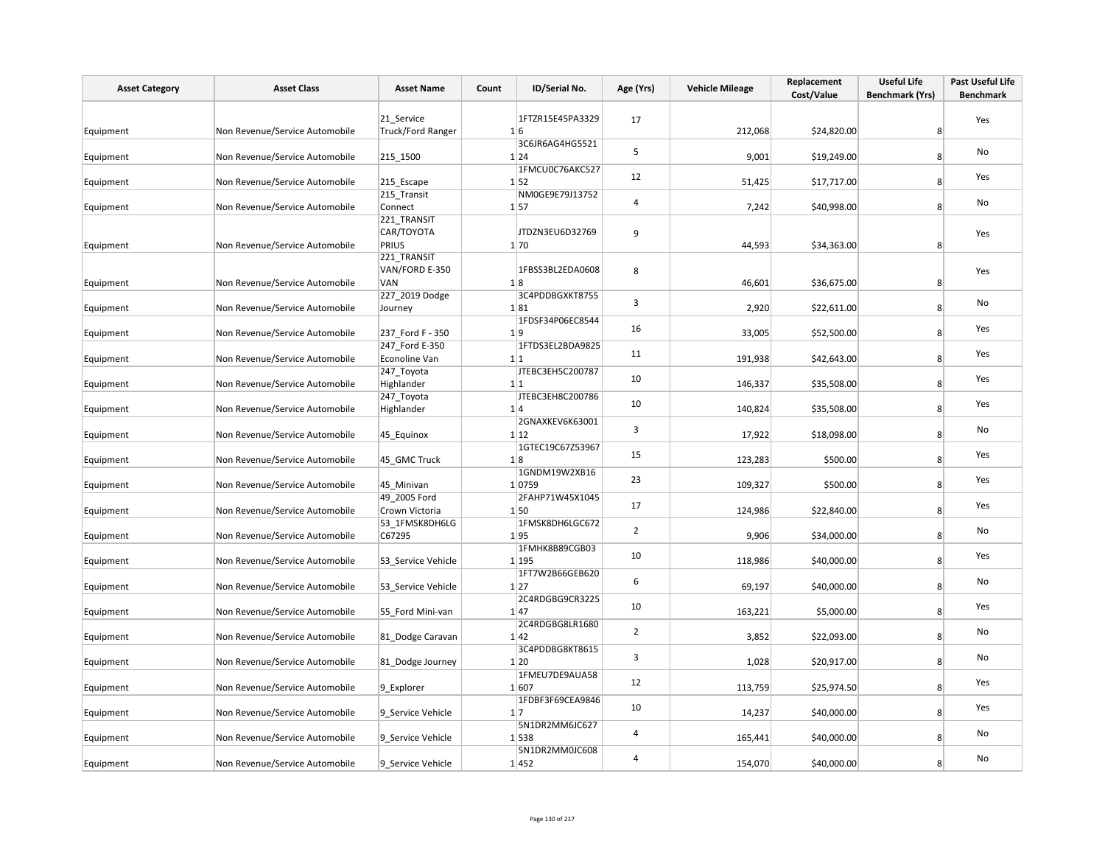| <b>Asset Category</b> | <b>Asset Class</b>             | <b>Asset Name</b>              | ID/Serial No.<br>Count    | Age (Yrs)      | <b>Vehicle Mileage</b> | Replacement<br>Cost/Value | <b>Useful Life</b><br><b>Benchmark (Yrs)</b> | Past Useful Life<br><b>Benchmark</b> |
|-----------------------|--------------------------------|--------------------------------|---------------------------|----------------|------------------------|---------------------------|----------------------------------------------|--------------------------------------|
|                       |                                |                                |                           |                |                        |                           |                                              |                                      |
|                       |                                | 21_Service                     | 1FTZR15E45PA3329          | 17             |                        |                           |                                              | Yes                                  |
| Equipment             | Non Revenue/Service Automobile | <b>Truck/Ford Ranger</b>       | 1 6                       |                | 212,068                | \$24,820.00               | 8 <sup>1</sup>                               |                                      |
| Equipment             | Non Revenue/Service Automobile | 215_1500                       | 3C6JR6AG4HG5521<br>1 24   | 5              | 9,001                  | \$19,249.00               | 8 <sup>1</sup>                               | No                                   |
|                       |                                |                                | 1FMCU0C76AKC527           |                |                        |                           |                                              |                                      |
| Equipment             | Non Revenue/Service Automobile | 215_Escape                     | 1 52                      | 12             | 51,425                 | \$17,717.00               | 8 <sup>1</sup>                               | Yes                                  |
|                       |                                | 215_Transit                    | NM0GE9E79J13752           | 4              |                        |                           |                                              | No                                   |
| Equipment             | Non Revenue/Service Automobile | Connect                        | 1 57                      |                | 7,242                  | \$40,998.00               | 8 <sup>1</sup>                               |                                      |
|                       |                                | 221_TRANSIT<br>CAR/TOYOTA      | JTDZN3EU6D32769           |                |                        |                           |                                              |                                      |
| Equipment             | Non Revenue/Service Automobile | PRIUS                          | 1 70                      | 9              | 44,593                 | \$34,363.00               | 8 <sup>1</sup>                               | Yes                                  |
|                       |                                | 221 TRANSIT                    |                           |                |                        |                           |                                              |                                      |
|                       |                                | VAN/FORD E-350                 | 1FBSS3BL2EDA0608          | 8              |                        |                           |                                              | Yes                                  |
| Equipment             | Non Revenue/Service Automobile | <b>VAN</b>                     | 1 8                       |                | 46,601                 | \$36,675.00               | 8 <sup>1</sup>                               |                                      |
|                       |                                | 227_2019 Dodge                 | 3C4PDDBGXKT8755           | 3              |                        |                           |                                              | No                                   |
| Equipment             | Non Revenue/Service Automobile | Journey                        | 1 81                      |                | 2,920                  | \$22,611.00               | 8 <sup>1</sup>                               |                                      |
| Equipment             | Non Revenue/Service Automobile | 237 Ford F - 350               | 1FDSF34P06EC8544<br>1 9   | 16             | 33,005                 | \$52,500.00               | 8 <sup>1</sup>                               | Yes                                  |
|                       |                                | 247 Ford E-350                 | 1FTDS3EL2BDA9825          |                |                        |                           |                                              |                                      |
| Equipment             | Non Revenue/Service Automobile | Econoline Van                  | 1 1                       | 11             | 191,938                | \$42,643.00               | 8 <sup>1</sup>                               | Yes                                  |
|                       |                                | 247_Toyota                     | JTEBC3EH5C200787          |                |                        |                           |                                              |                                      |
| Equipment             | Non Revenue/Service Automobile | Highlander                     | 1 1                       | 10             | 146,337                | \$35,508.00               | 8 <sup>1</sup>                               | Yes                                  |
|                       |                                | 247_Toyota                     | JTEBC3EH8C200786          | 10             |                        |                           |                                              | Yes                                  |
| Equipment             | Non Revenue/Service Automobile | Highlander                     | 1 4<br>2GNAXKEV6K63001    |                | 140,824                | \$35,508.00               | 8 <sup>1</sup>                               |                                      |
| Equipment             | Non Revenue/Service Automobile | 45 Equinox                     | 1 12                      | 3              | 17,922                 | \$18,098.00               | 8 <sup>1</sup>                               | No                                   |
|                       |                                |                                | 1GTEC19C67Z53967          |                |                        |                           |                                              |                                      |
| Equipment             | Non Revenue/Service Automobile | 45_GMC Truck                   | 1 8                       | 15             | 123,283                | \$500.00                  | 8 <sup>1</sup>                               | Yes                                  |
|                       |                                |                                | 1GNDM19W2XB16             | 23             |                        |                           |                                              | Yes                                  |
| Equipment             | Non Revenue/Service Automobile | 45 Minivan                     | 1 0759                    |                | 109,327                | \$500.00                  | 8 <sup>1</sup>                               |                                      |
|                       | Non Revenue/Service Automobile | 49 2005 Ford<br>Crown Victoria | 2FAHP71W45X1045<br>1 50   | 17             | 124,986                | \$22,840.00               | 8 <sup>1</sup>                               | Yes                                  |
| Equipment             |                                | 53_1FMSK8DH6LG                 | 1FMSK8DH6LGC672           |                |                        |                           |                                              |                                      |
| Equipment             | Non Revenue/Service Automobile | C67295                         | 1 95                      | $\overline{2}$ | 9,906                  | \$34,000.00               | 8 <sup>1</sup>                               | No                                   |
|                       |                                |                                | 1FMHK8B89CGB03            |                |                        |                           |                                              |                                      |
| Equipment             | Non Revenue/Service Automobile | 53_Service Vehicle             | 1 195                     | 10             | 118,986                | \$40,000.00               | 8 <sup>1</sup>                               | Yes                                  |
|                       |                                |                                | 1FT7W2B66GEB620           | 6              |                        |                           |                                              | No                                   |
| Equipment             | Non Revenue/Service Automobile | 53_Service Vehicle             | 1 27                      |                | 69,197                 | \$40,000.00               | 8 <sup>1</sup>                               |                                      |
| Equipment             | Non Revenue/Service Automobile | 55 Ford Mini-van               | 2C4RDGBG9CR3225<br>1 47   | 10             | 163,221                | \$5,000.00                | 8 <sup>1</sup>                               | Yes                                  |
|                       |                                |                                | 2C4RDGBG8LR1680           |                |                        |                           |                                              |                                      |
| Equipment             | Non Revenue/Service Automobile | 81_Dodge Caravan               | 1 42                      | $\overline{2}$ | 3,852                  | \$22,093.00               | 8 <sup>1</sup>                               | No                                   |
|                       |                                |                                | 3C4PDDBG8KT8615           |                |                        |                           |                                              |                                      |
| Equipment             | Non Revenue/Service Automobile | 81 Dodge Journey               | 1 20                      | 3              | 1,028                  | \$20,917.00               | 8 <sup>1</sup>                               | No                                   |
|                       |                                |                                | 1FMEU7DE9AUA58            | 12             |                        |                           |                                              | Yes                                  |
| Equipment             | Non Revenue/Service Automobile | 9 Explorer                     | 1 607<br>1FDBF3F69CEA9846 |                | 113,759                | \$25,974.50               | 8 <sup>1</sup>                               |                                      |
| Equipment             | Non Revenue/Service Automobile | 9 Service Vehicle              | $1\overline{7}$           | 10             | 14,237                 | \$40,000.00               | 8 <sup>1</sup>                               | Yes                                  |
|                       |                                |                                | 5N1DR2MM6JC627            |                |                        |                           |                                              |                                      |
| Equipment             | Non Revenue/Service Automobile | 9 Service Vehicle              | 1538                      | 4              | 165,441                | \$40,000.00               | 8 <sup>1</sup>                               | No                                   |
|                       |                                |                                | 5N1DR2MM0JC608            | 4              |                        |                           |                                              | No                                   |
| Equipment             | Non Revenue/Service Automobile | 9 Service Vehicle              | 1 452                     |                | 154,070                | \$40,000.00               | 8 <sup>1</sup>                               |                                      |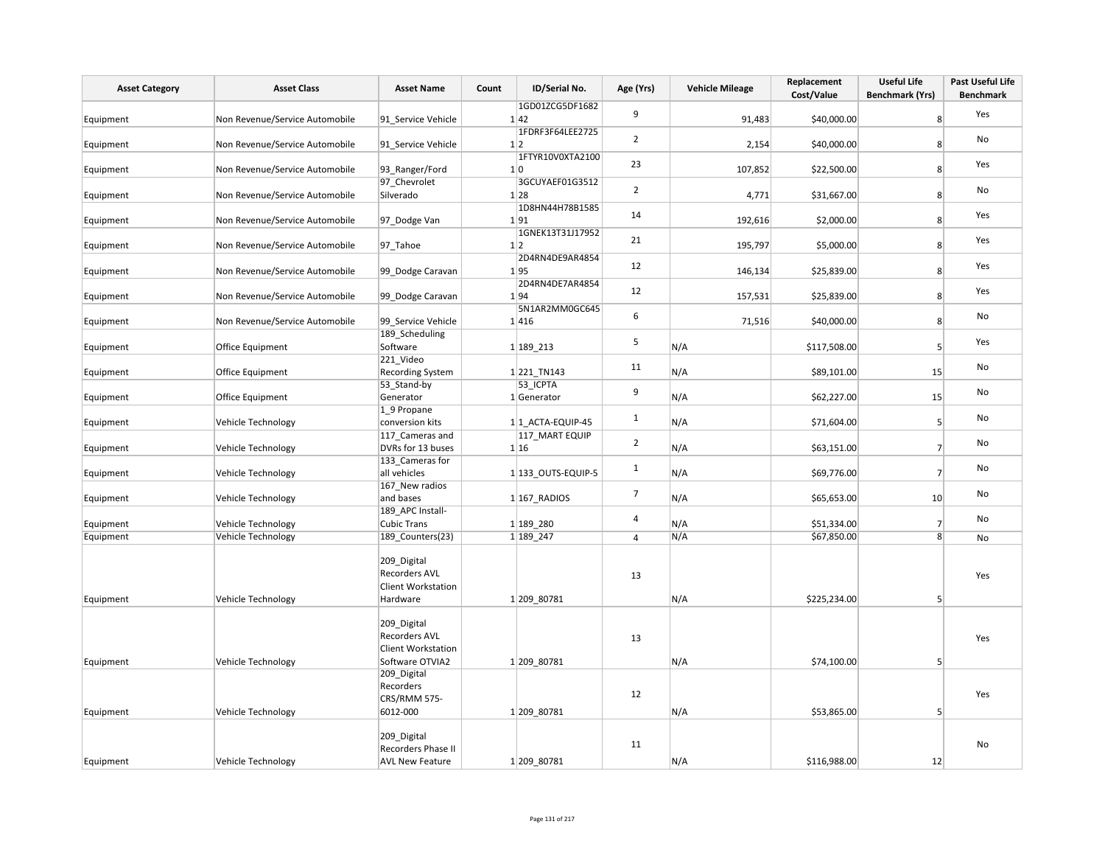| <b>Asset Category</b>  | <b>Asset Class</b>                       | <b>Asset Name</b>                                                                                | Count | ID/Serial No.              | Age (Yrs)      | <b>Vehicle Mileage</b> | Replacement<br>Cost/Value   | <b>Useful Life</b><br><b>Benchmark (Yrs)</b> | Past Useful Life<br><b>Benchmark</b> |
|------------------------|------------------------------------------|--------------------------------------------------------------------------------------------------|-------|----------------------------|----------------|------------------------|-----------------------------|----------------------------------------------|--------------------------------------|
| Equipment              | Non Revenue/Service Automobile           | 91_Service Vehicle                                                                               |       | 1GD01ZCG5DF1682<br>1 42    | 9              | 91,483                 | \$40,000.00                 | 8 <sup>1</sup>                               | Yes                                  |
| Equipment              | Non Revenue/Service Automobile           | 91 Service Vehicle                                                                               |       | 1FDRF3F64LEE2725<br>1 2    | $\overline{2}$ | 2,154                  | \$40,000.00                 | 8 <sup>1</sup>                               | No                                   |
| Equipment              | Non Revenue/Service Automobile           | 93 Ranger/Ford                                                                                   |       | 1FTYR10V0XTA2100<br>1 0    | 23             | 107,852                | \$22,500.00                 | 8 <sup>1</sup>                               | Yes                                  |
| Equipment              | Non Revenue/Service Automobile           | 97 Chevrolet<br>Silverado                                                                        |       | 3GCUYAEF01G3512<br>1 28    | $\overline{2}$ | 4,771                  | \$31,667.00                 | 8 <sup>1</sup>                               | No                                   |
| Equipment              | Non Revenue/Service Automobile           | 97 Dodge Van                                                                                     |       | 1D8HN44H78B1585<br>1 91    | 14             | 192,616                | \$2,000.00                  | 8 <sup>1</sup>                               | Yes                                  |
| Equipment              | Non Revenue/Service Automobile           | 97_Tahoe                                                                                         |       | 1GNEK13T31J17952<br>1 2    | 21             | 195,797                | \$5,000.00                  | 8 <sup>1</sup>                               | Yes                                  |
| Equipment              | Non Revenue/Service Automobile           | 99 Dodge Caravan                                                                                 |       | 2D4RN4DE9AR4854<br>1 95    | 12             | 146,134                | \$25,839.00                 | 8 <sup>1</sup>                               | Yes                                  |
| Equipment              | Non Revenue/Service Automobile           | 99 Dodge Caravan                                                                                 |       | 2D4RN4DE7AR4854<br>1 94    | 12             | 157,531                | \$25,839.00                 | 8 <sup>1</sup>                               | Yes                                  |
| Equipment              | Non Revenue/Service Automobile           | 99 Service Vehicle                                                                               |       | 5N1AR2MM0GC645<br>1 416    | 6              | 71,516                 | \$40,000.00                 | 8 <sup>1</sup>                               | No                                   |
| Equipment              | Office Equipment                         | 189_Scheduling<br>Software                                                                       |       | 1 189 213                  | 5              | N/A                    | \$117,508.00                | 5 <sup>1</sup>                               | Yes                                  |
| Equipment              | Office Equipment                         | 221_Video<br><b>Recording System</b>                                                             |       | 1 221 TN143                | $11\,$         | N/A                    | \$89,101.00                 | 15                                           | No                                   |
| Equipment              | Office Equipment                         | 53_Stand-by<br>Generator                                                                         |       | 53 ICPTA<br>1 Generator    | 9              | N/A                    | \$62,227.00                 | 15                                           | No                                   |
| Equipment              | Vehicle Technology                       | 1_9 Propane<br>conversion kits                                                                   |       | 1 1 ACTA-EQUIP-45          | $\mathbf{1}$   | N/A                    | \$71,604.00                 | 5 <sup>1</sup>                               | No                                   |
| Equipment              | Vehicle Technology                       | 117 Cameras and<br>DVRs for 13 buses                                                             |       | 117 MART EQUIP<br>1 16     | $\overline{2}$ | N/A                    | \$63,151.00                 | 7                                            | No                                   |
| Equipment              | Vehicle Technology                       | 133 Cameras for<br>all vehicles                                                                  |       | 1 133 OUTS-EQUIP-5         | $\mathbf{1}$   | N/A                    | \$69,776.00                 | $\overline{7}$                               | No                                   |
| Equipment              | Vehicle Technology                       | 167_New radios<br>and bases                                                                      |       | $1 167$ RADIOS             | $\overline{7}$ | N/A                    | \$65,653.00                 | 10                                           | No                                   |
| Equipment              | Vehicle Technology                       | 189 APC Install-<br><b>Cubic Trans</b>                                                           |       | 1 189 280                  | 4              | N/A                    | \$51,334.00                 | $\overline{7}$                               | No                                   |
| Equipment<br>Equipment | Vehicle Technology<br>Vehicle Technology | 189_Counters(23)<br>209 Digital<br><b>Recorders AVL</b><br><b>Client Workstation</b><br>Hardware |       | 1 189 247<br>1 209 80781   | 4<br>13        | N/A<br>N/A             | \$67,850.00<br>\$225,234.00 | 8 <sup>1</sup><br>5 <sup>1</sup>             | No<br>Yes                            |
|                        |                                          | 209_Digital<br><b>Recorders AVL</b><br><b>Client Workstation</b>                                 |       |                            | 13             |                        |                             |                                              | Yes                                  |
| Equipment<br>Equipment | Vehicle Technology<br>Vehicle Technology | Software OTVIA2<br>209_Digital<br>Recorders<br>CRS/RMM 575-<br>6012-000                          |       | 1 209 80781<br>1 209 80781 | 12             | N/A<br>N/A             | \$74,100.00<br>\$53,865.00  | 5 <sup>2</sup><br>5 <sup>1</sup>             | Yes                                  |
| Equipment              | Vehicle Technology                       | 209 Digital<br>Recorders Phase II<br><b>AVL New Feature</b>                                      |       | 1 209 80781                | 11             | N/A                    | \$116,988.00                | 12                                           | No                                   |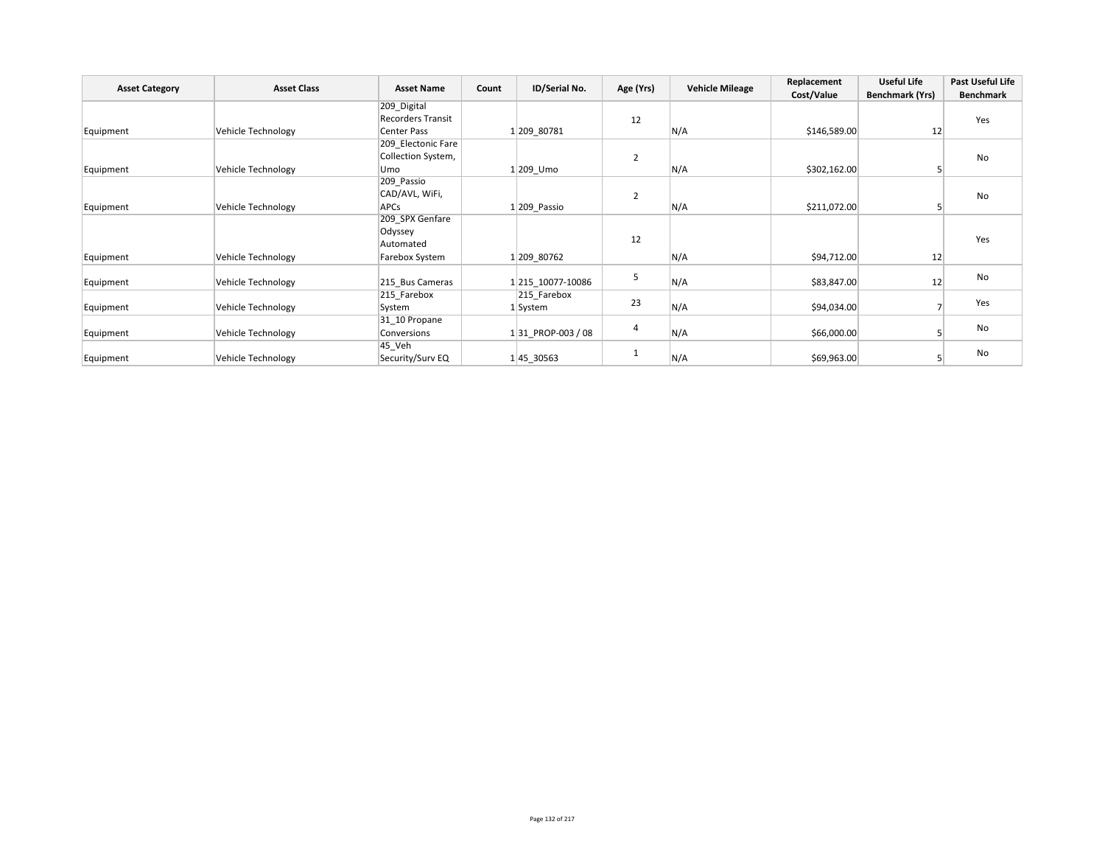|                       | <b>Asset Class</b> | <b>Asset Name</b>        |       | ID/Serial No.     |                | <b>Vehicle Mileage</b> | Replacement  | <b>Useful Life</b>     | Past Useful Life |
|-----------------------|--------------------|--------------------------|-------|-------------------|----------------|------------------------|--------------|------------------------|------------------|
| <b>Asset Category</b> |                    |                          | Count |                   | Age (Yrs)      |                        | Cost/Value   | <b>Benchmark (Yrs)</b> | <b>Benchmark</b> |
|                       |                    | 209_Digital              |       |                   |                |                        |              |                        |                  |
|                       |                    | <b>Recorders Transit</b> |       |                   | 12             |                        |              |                        | Yes              |
| Equipment             | Vehicle Technology | Center Pass              |       | 1 209 80781       |                | N/A                    | \$146,589.00 | 12                     |                  |
|                       |                    | 209_Electonic Fare       |       |                   |                |                        |              |                        |                  |
|                       |                    | Collection System,       |       |                   | $\overline{2}$ |                        |              |                        | No               |
| Equipment             | Vehicle Technology | Umo                      |       | $1 209$ Umo       |                | N/A                    | \$302,162.00 |                        |                  |
|                       |                    | 209_Passio               |       |                   |                |                        |              |                        |                  |
|                       |                    | CAD/AVL, WiFi,           |       |                   | $\overline{2}$ |                        |              |                        | No               |
| Equipment             | Vehicle Technology | APCs                     |       | 1 209 Passio      |                | N/A                    | \$211,072.00 |                        |                  |
|                       |                    | 209_SPX Genfare          |       |                   |                |                        |              |                        |                  |
|                       |                    | Odyssey                  |       |                   |                |                        |              |                        |                  |
|                       |                    | Automated                |       |                   | 12             |                        |              |                        | Yes              |
| Equipment             | Vehicle Technology | Farebox System           |       | 1 209 80762       |                | N/A                    | \$94,712.00  | 12                     |                  |
|                       |                    |                          |       |                   |                |                        |              |                        |                  |
| Equipment             | Vehicle Technology | 215 Bus Cameras          |       | 1 215 10077-10086 | 5              | N/A                    | \$83,847.00  | 12                     | No               |
|                       |                    | 215 Farebox              |       | 215 Farebox       | 23             |                        |              |                        |                  |
| Equipment             | Vehicle Technology | System                   |       | 1 System          |                | N/A                    | \$94,034.00  |                        | Yes              |
|                       |                    | 31 10 Propane            |       |                   |                |                        |              |                        |                  |
| Equipment             | Vehicle Technology | Conversions              |       | 131 PROP-003 / 08 | 4              | N/A                    | \$66,000.00  |                        | No               |
|                       |                    | 45 Veh                   |       |                   |                |                        |              |                        |                  |
| Equipment             | Vehicle Technology | Security/Surv EQ         |       | 145_30563         |                | N/A                    | \$69,963.00  |                        | No               |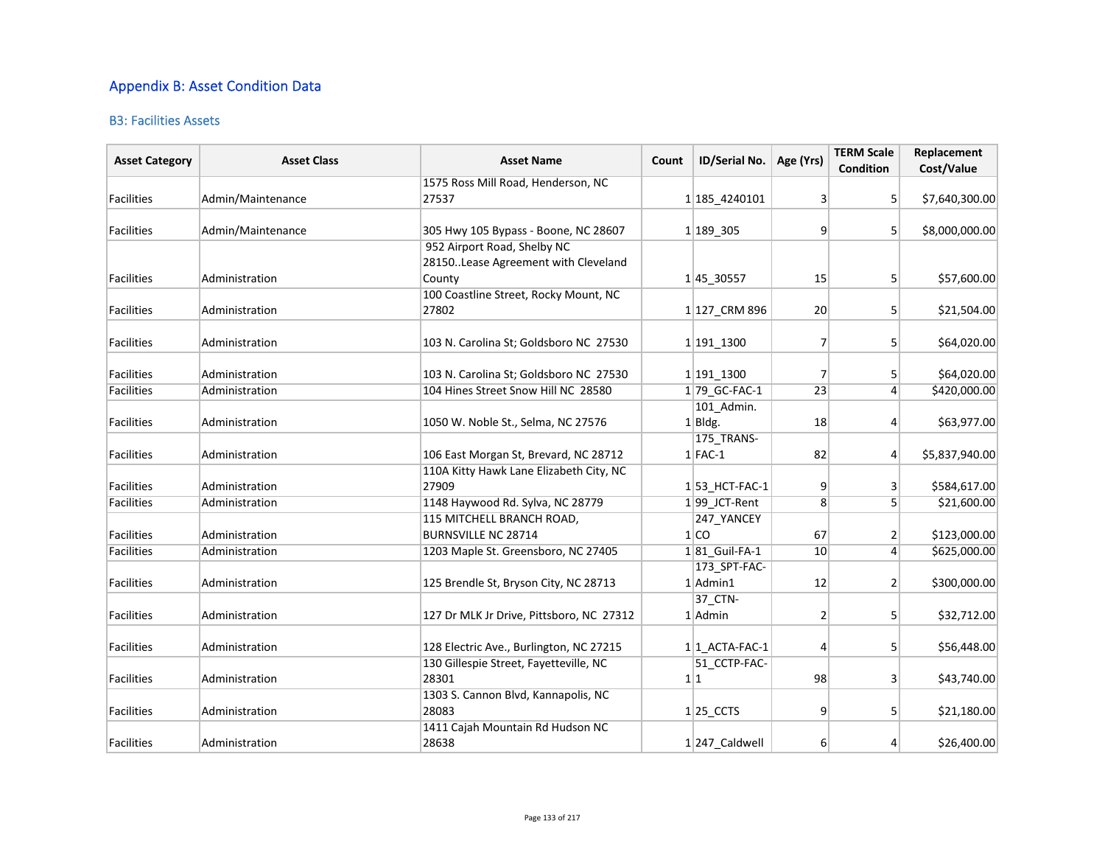## Appendix B: Asset Condition Data

### B3: Facilities Assets

| <b>Asset Category</b> | <b>Asset Class</b> | <b>Asset Name</b>                        | Count | ID/Serial No.          | Age (Yrs)      | <b>TERM Scale</b><br>Condition | Replacement<br>Cost/Value |
|-----------------------|--------------------|------------------------------------------|-------|------------------------|----------------|--------------------------------|---------------------------|
|                       |                    | 1575 Ross Mill Road, Henderson, NC       |       |                        |                |                                |                           |
| <b>Facilities</b>     | Admin/Maintenance  | 27537                                    |       | 1 185 4240101          | $\overline{3}$ | 5                              | \$7,640,300.00            |
| <b>Facilities</b>     | Admin/Maintenance  | 305 Hwy 105 Bypass - Boone, NC 28607     |       | 1 189 305              | 9              | 5 <sup>1</sup>                 | \$8,000,000.00            |
|                       |                    | 952 Airport Road, Shelby NC              |       |                        |                |                                |                           |
|                       |                    | 28150. Lease Agreement with Cleveland    |       |                        |                |                                |                           |
| <b>Facilities</b>     | Administration     | County                                   |       | 145_30557              | 15             | 5 <sup>2</sup>                 | \$57,600.00               |
|                       |                    | 100 Coastline Street, Rocky Mount, NC    |       |                        |                |                                |                           |
| <b>Facilities</b>     | Administration     | 27802                                    |       | 1 127 CRM 896          | 20             | 5 <sup>1</sup>                 | \$21,504.00               |
| <b>Facilities</b>     | Administration     | 103 N. Carolina St; Goldsboro NC 27530   |       | 1 191 1300             | $\overline{7}$ | 5 <sup>1</sup>                 | \$64,020.00               |
| <b>Facilities</b>     | Administration     | 103 N. Carolina St; Goldsboro NC 27530   |       | 1 191 1300             | 7              | 5                              | \$64,020.00               |
| <b>Facilities</b>     | Administration     | 104 Hines Street Snow Hill NC 28580      |       | 1 79 GC-FAC-1          | 23             | $\vert$                        | \$420,000.00              |
|                       |                    |                                          |       | 101 Admin.             |                |                                |                           |
| <b>Facilities</b>     | Administration     | 1050 W. Noble St., Selma, NC 27576       |       | $1$ Bldg.              | 18             | $\overline{4}$                 | \$63,977.00               |
|                       |                    |                                          |       | 175 TRANS-             |                |                                |                           |
| <b>Facilities</b>     | Administration     | 106 East Morgan St, Brevard, NC 28712    |       | $1$ FAC-1              | 82             | $\left 4\right $               | \$5,837,940.00            |
|                       |                    | 110A Kitty Hawk Lane Elizabeth City, NC  |       |                        |                |                                |                           |
| <b>Facilities</b>     | Administration     | 27909                                    |       | $1 53$ HCT-FAC-1       | 9              | 3                              | \$584,617.00              |
| <b>Facilities</b>     | Administration     | 1148 Haywood Rd. Sylva, NC 28779         |       | $1 99$ JCT-Rent        | 8              | 5                              | \$21,600.00               |
|                       |                    | 115 MITCHELL BRANCH ROAD,                |       | 247 YANCEY             |                |                                |                           |
| <b>Facilities</b>     | Administration     | <b>BURNSVILLE NC 28714</b>               |       | 1 CO                   | 67             | 2                              | \$123,000.00              |
| <b>Facilities</b>     | Administration     | 1203 Maple St. Greensboro, NC 27405      |       | 1 81 Guil-FA-1         | 10             | $\overline{4}$                 | \$625,000.00              |
|                       |                    |                                          |       | 173_SPT-FAC-           |                |                                |                           |
| <b>Facilities</b>     | Administration     | 125 Brendle St, Bryson City, NC 28713    |       | $1$  Admin1            | 12             | $\overline{2}$                 | \$300,000.00              |
|                       |                    |                                          |       | 37_CTN-                |                |                                |                           |
| <b>Facilities</b>     | Administration     | 127 Dr MLK Jr Drive, Pittsboro, NC 27312 |       | $1$ Admin              | $\overline{2}$ | 5 <sup>1</sup>                 | \$32,712.00               |
| <b>Facilities</b>     | Administration     | 128 Electric Ave., Burlington, NC 27215  |       | $1 1$ ACTA-FAC-1       | 4              | 5                              | \$56,448.00               |
|                       |                    | 130 Gillespie Street, Fayetteville, NC   |       | 51 CCTP-FAC-           |                |                                |                           |
| <b>Facilities</b>     | Administration     | 28301                                    |       | 1 1                    | 98             | 3                              | \$43,740.00               |
|                       |                    | 1303 S. Cannon Blvd, Kannapolis, NC      |       |                        |                |                                |                           |
| <b>Facilities</b>     | Administration     | 28083                                    |       | $1 25$ <sub>CCTS</sub> | 9              | 5                              | \$21,180.00               |
|                       |                    | 1411 Cajah Mountain Rd Hudson NC         |       |                        |                |                                |                           |
| Facilities            | Administration     | 28638                                    |       | 1 247 Caldwell         | 6              | 4                              | \$26,400.00               |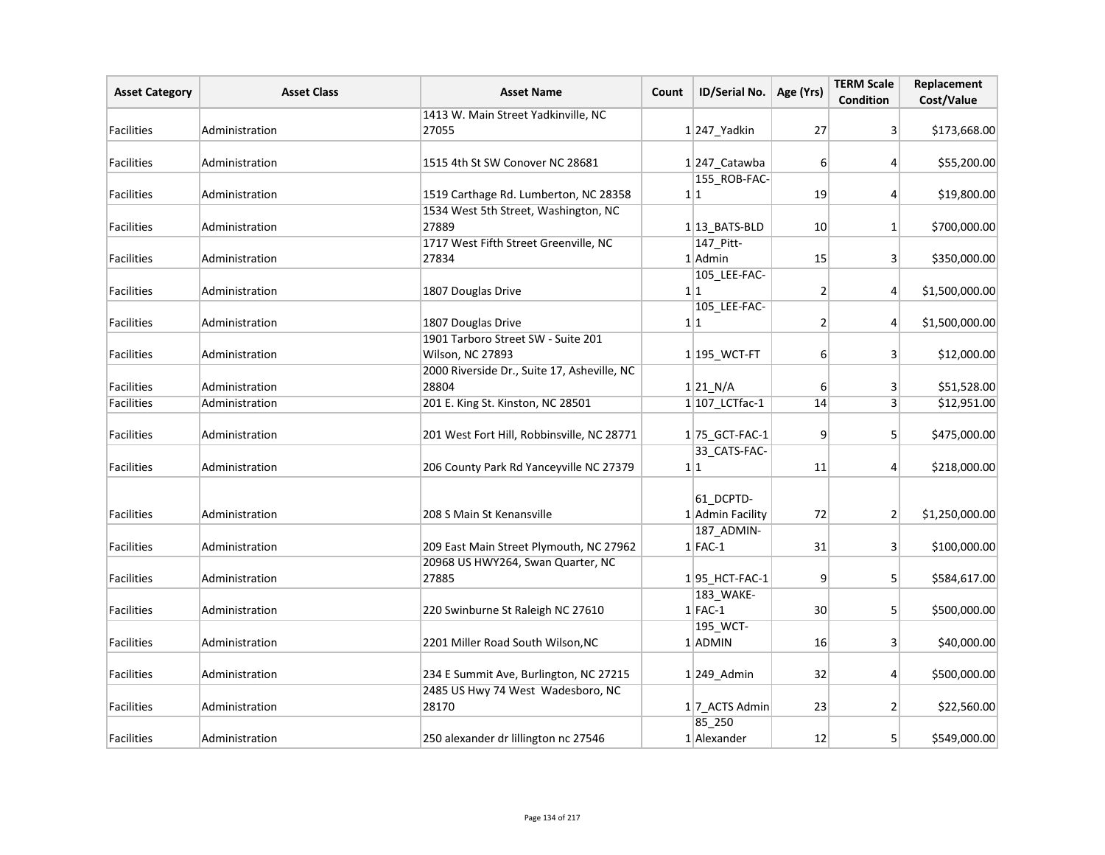| <b>Asset Category</b> | <b>Asset Class</b> | <b>Asset Name</b>                                      | Count | ID/Serial No.                 | Age (Yrs)        | <b>TERM Scale</b><br><b>Condition</b> | Replacement<br>Cost/Value |
|-----------------------|--------------------|--------------------------------------------------------|-------|-------------------------------|------------------|---------------------------------------|---------------------------|
|                       |                    | 1413 W. Main Street Yadkinville, NC                    |       |                               |                  |                                       |                           |
| <b>Facilities</b>     | Administration     | 27055                                                  |       | $1$  247_Yadkin               | 27               | $\mathbf{3}$                          | \$173,668.00              |
| <b>Facilities</b>     | Administration     | 1515 4th St SW Conover NC 28681                        |       | $1 247$ <sub>_</sub> Catawba  | 6                | $\vert 4 \vert$                       | \$55,200.00               |
|                       |                    |                                                        |       | 155_ROB-FAC-                  |                  |                                       |                           |
| Facilities            | Administration     | 1519 Carthage Rd. Lumberton, NC 28358                  |       | 1 1                           | 19               | $\vert 4 \vert$                       | \$19,800.00               |
| <b>Facilities</b>     | Administration     | 1534 West 5th Street, Washington, NC<br>27889          |       | $1 13$ BATS-BLD               | 10               | $1\vert$                              | \$700,000.00              |
| Facilities            | Administration     | 1717 West Fifth Street Greenville, NC<br>27834         |       | 147 Pitt-<br>1 Admin          | 15               | 3 <sup>1</sup>                        | \$350,000.00              |
| Facilities            | Administration     | 1807 Douglas Drive                                     |       | 105 LEE-FAC-<br>1 1           | $\overline{2}$   | $\vert$                               | \$1,500,000.00            |
|                       |                    |                                                        |       | 105_LEE-FAC-                  |                  |                                       |                           |
| Facilities            | Administration     | 1807 Douglas Drive                                     |       | 1 1                           | $\overline{2}$   | $\vert$                               | \$1,500,000.00            |
| <b>Facilities</b>     | Administration     | 1901 Tarboro Street SW - Suite 201<br>Wilson, NC 27893 |       | $1 195$ _WCT-FT               | 6                | 3 <sup>1</sup>                        | \$12,000.00               |
| Facilities            | Administration     | 2000 Riverside Dr., Suite 17, Asheville, NC<br>28804   |       | 1 21 N/A                      | $6 \overline{6}$ | 3 <sup>1</sup>                        | \$51,528.00               |
| Facilities            | Administration     | 201 E. King St. Kinston, NC 28501                      |       | $1 107$ LCTfac-1              | 14               | 3 <sup>1</sup>                        | \$12,951.00               |
| Facilities            | Administration     | 201 West Fort Hill, Robbinsville, NC 28771             |       | $1 75$ GCT-FAC-1              | 9                | 5 <sup>1</sup>                        | \$475,000.00              |
| <b>Facilities</b>     | Administration     | 206 County Park Rd Yanceyville NC 27379                |       | 33_CATS-FAC-<br>1 1           | 11               | $\left 4\right $                      | \$218,000.00              |
| <b>Facilities</b>     | Administration     | 208 S Main St Kenansville                              |       | 61 DCPTD-<br>1 Admin Facility | 72               | 2                                     | \$1,250,000.00            |
| Facilities            | Administration     | 209 East Main Street Plymouth, NC 27962                |       | 187_ADMIN-<br>$1$ FAC-1       | 31               | 3 <sup>1</sup>                        | \$100,000.00              |
| Facilities            | Administration     | 20968 US HWY264, Swan Quarter, NC<br>27885             |       | $1 95$ _HCT-FAC-1             | 9                | 5 <sup>1</sup>                        | \$584,617.00              |
| Facilities            | Administration     | 220 Swinburne St Raleigh NC 27610                      |       | 183_WAKE-<br>$1$ FAC-1        | 30               | 5 <sup>1</sup>                        | \$500,000.00              |
| <b>Facilities</b>     | Administration     | 2201 Miller Road South Wilson, NC                      |       | 195_WCT-<br>1 ADMIN           | 16               | 3 <sup>1</sup>                        | \$40,000.00               |
| <b>Facilities</b>     | Administration     | 234 E Summit Ave, Burlington, NC 27215                 |       | $1 249$ Admin                 | 32               | $\left 4\right $                      | \$500,000.00              |
| Facilities            | Administration     | 2485 US Hwy 74 West Wadesboro, NC<br>28170             |       | 17_ACTS Admin                 | 23               | $\overline{2}$                        | \$22,560.00               |
| Facilities            | Administration     | 250 alexander dr lillington nc 27546                   |       | 85_250<br>1 Alexander         | 12               | 5 <sup>1</sup>                        | \$549,000.00              |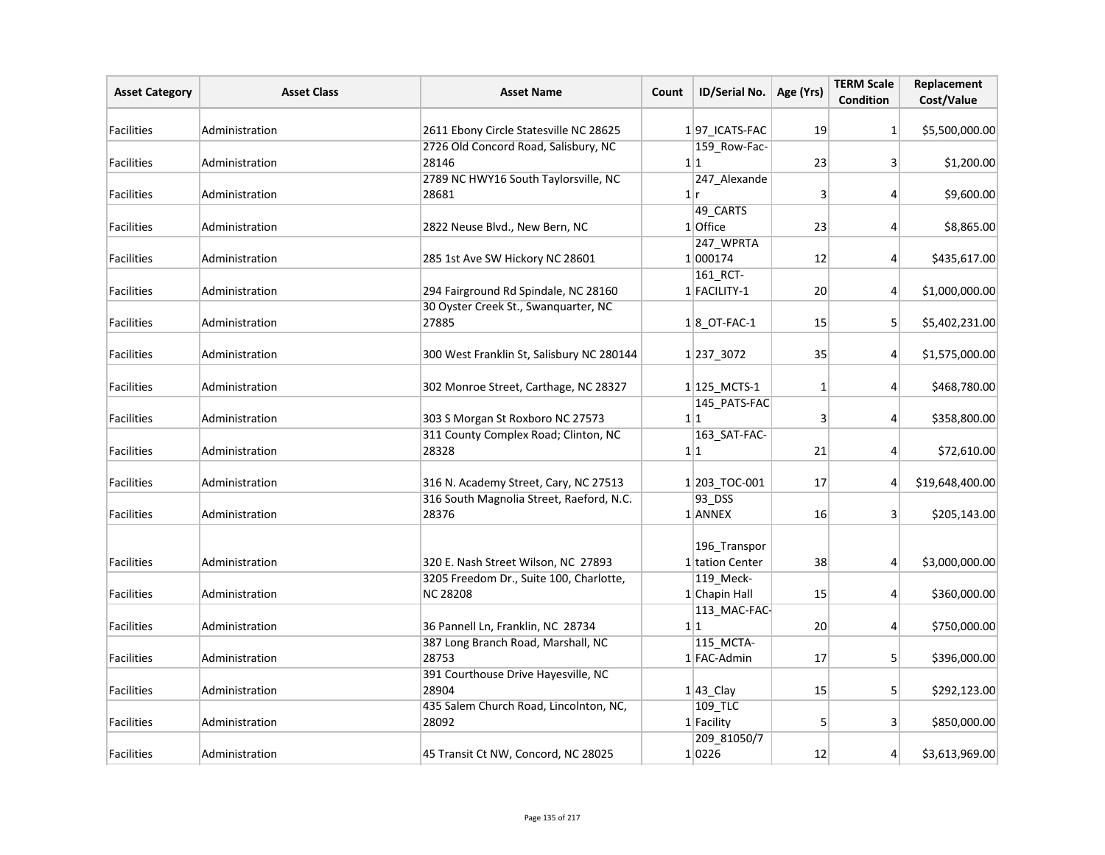| <b>Asset Category</b> | <b>Asset Class</b> | <b>Asset Name</b>                                          | Count | ID/Serial No.                   | Age (Yrs)    | <b>TERM Scale</b><br>Condition | Replacement<br>Cost/Value |
|-----------------------|--------------------|------------------------------------------------------------|-------|---------------------------------|--------------|--------------------------------|---------------------------|
| Facilities            | Administration     | 2611 Ebony Circle Statesville NC 28625                     |       | 197 ICATS-FAC                   | 19           | $1\vert$                       | \$5,500,000.00            |
| Facilities            | Administration     | 2726 Old Concord Road, Salisbury, NC<br>28146              |       | 159_Row-Fac-<br>1 1             | 23           | 3                              | \$1,200.00                |
| Facilities            | Administration     | 2789 NC HWY16 South Taylorsville, NC<br>28681              |       | 247_Alexande<br>1 r             | 3            | $\vert$                        | \$9,600.00                |
| <b>Facilities</b>     | Administration     | 2822 Neuse Blvd., New Bern, NC                             |       | 49 CARTS<br>1 Office            | 23           | 4                              | \$8,865.00                |
| <b>Facilities</b>     | Administration     | 285 1st Ave SW Hickory NC 28601                            |       | 247_WPRTA<br>1 000174           | 12           | $\vert$                        | \$435,617.00              |
| <b>Facilities</b>     | Administration     | 294 Fairground Rd Spindale, NC 28160                       |       | 161 RCT-<br>1 FACILITY-1        | 20           | $\vert$                        | \$1,000,000.00            |
| <b>Facilities</b>     | Administration     | 30 Oyster Creek St., Swanquarter, NC<br>27885              |       | $1 8$ OT-FAC-1                  | 15           | 5 <sup>1</sup>                 | \$5,402,231.00            |
| <b>Facilities</b>     | Administration     | 300 West Franklin St, Salisbury NC 280144                  |       | 1 237 3072                      | 35           | $\vert$                        | \$1,575,000.00            |
| Facilities            | Administration     | 302 Monroe Street, Carthage, NC 28327                      |       | $1 125$ MCTS-1                  | $\mathbf{1}$ | $\vert$                        | \$468,780.00              |
| <b>Facilities</b>     | Administration     | 303 S Morgan St Roxboro NC 27573                           |       | 145_PATS-FAC<br>1 1             | 3            | $\vert$                        | \$358,800.00              |
| <b>Facilities</b>     | Administration     | 311 County Complex Road; Clinton, NC<br>28328              |       | 163_SAT-FAC-<br>1 1             | 21           | $\vert$                        | \$72,610.00               |
| Facilities            | Administration     | 316 N. Academy Street, Cary, NC 27513                      |       | 1203_TOC-001                    | 17           | $\overline{4}$                 | \$19,648,400.00           |
| Facilities            | Administration     | 316 South Magnolia Street, Raeford, N.C.<br>28376          |       | 93_DSS<br>1 ANNEX               | 16           | 3 <sup>1</sup>                 | \$205,143.00              |
| Facilities            | Administration     | 320 E. Nash Street Wilson, NC 27893                        |       | 196 Transpor<br>1 tation Center | 38           | $\vert 4 \vert$                | \$3,000,000.00            |
| <b>Facilities</b>     | Administration     | 3205 Freedom Dr., Suite 100, Charlotte,<br><b>NC 28208</b> |       | 119 Meck-<br>1 Chapin Hall      | 15           | $\overline{4}$                 | \$360,000.00              |
| <b>Facilities</b>     | Administration     | 36 Pannell Ln, Franklin, NC 28734                          |       | 113_MAC-FAC-<br>1 1             | 20           | $\vert 4 \vert$                | \$750,000.00              |
| <b>Facilities</b>     | Administration     | 387 Long Branch Road, Marshall, NC<br>28753                |       | 115_MCTA-<br>1 FAC-Admin        | 17           | 5 <sup>1</sup>                 | \$396,000.00              |
| Facilities            | Administration     | 391 Courthouse Drive Hayesville, NC<br>28904               |       | $1 43$ <sub>_Clay</sub>         | 15           | 5                              | \$292,123.00              |
| <b>Facilities</b>     | Administration     | 435 Salem Church Road, Lincolnton, NC,<br>28092            |       | 109_TLC<br>1 Facility           | 5            | $\vert$ 3                      | \$850,000.00              |
| Facilities            | Administration     | 45 Transit Ct NW, Concord, NC 28025                        |       | 209_81050/7<br>1 0226           | 12           | $\left 4\right $               | \$3,613,969.00            |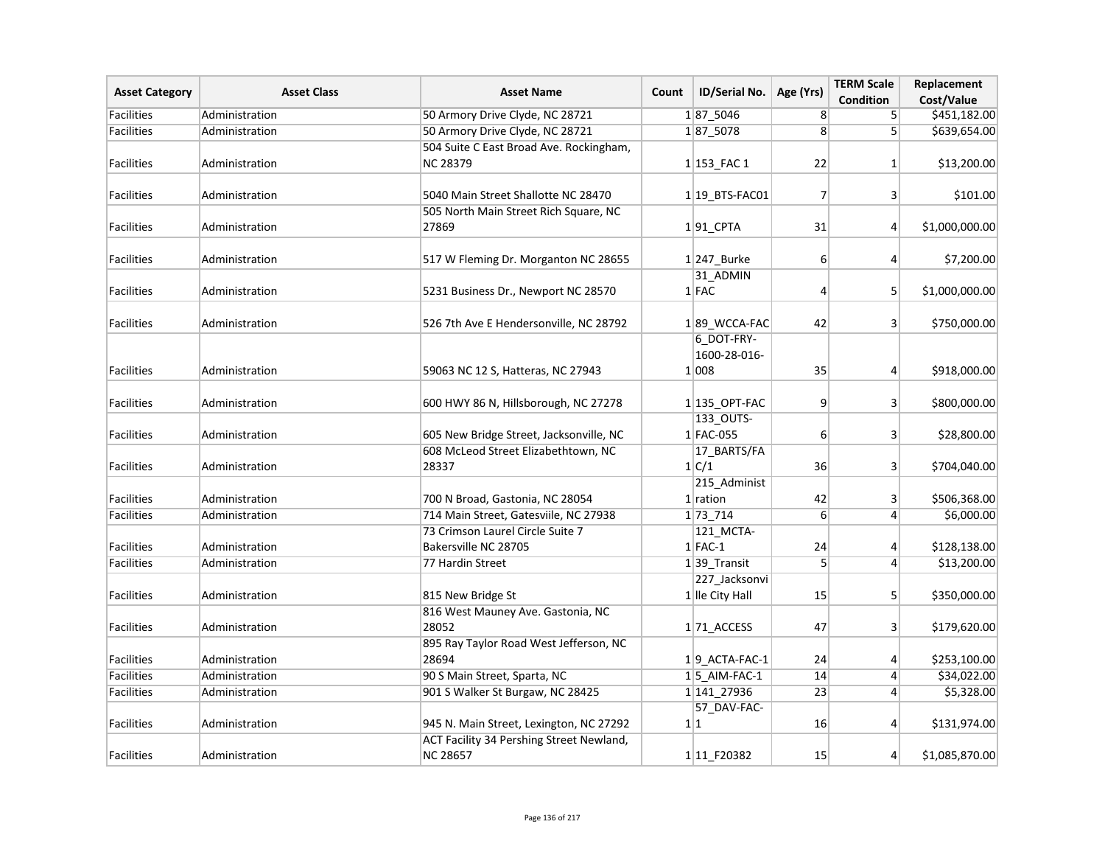| <b>Asset Category</b> | <b>Asset Class</b> | <b>Asset Name</b>                                                                   | Count | ID/Serial No.          | Age (Yrs)        | <b>TERM Scale</b><br>Condition | Replacement<br>Cost/Value |
|-----------------------|--------------------|-------------------------------------------------------------------------------------|-------|------------------------|------------------|--------------------------------|---------------------------|
| <b>Facilities</b>     | Administration     | 50 Armory Drive Clyde, NC 28721                                                     |       | 187_5046               | 8                | 5 <sup>1</sup>                 | \$451,182.00              |
| <b>Facilities</b>     | Administration     | 50 Armory Drive Clyde, NC 28721                                                     |       | 187 5078               | 8                | 5 <sup>1</sup>                 | \$639,654.00              |
|                       |                    | 504 Suite C East Broad Ave. Rockingham,                                             |       |                        |                  |                                |                           |
| <b>Facilities</b>     | Administration     | <b>NC 28379</b>                                                                     |       | $1 153$ FAC 1          | 22               | 1 <sup>1</sup>                 | \$13,200.00               |
|                       |                    |                                                                                     |       |                        |                  |                                |                           |
| <b>Facilities</b>     | Administration     | 5040 Main Street Shallotte NC 28470                                                 |       | $1 19$ BTS-FAC01       | 7                | 3 <sup>1</sup>                 | \$101.00                  |
|                       |                    | 505 North Main Street Rich Square, NC                                               |       |                        |                  |                                |                           |
| <b>Facilities</b>     | Administration     | 27869                                                                               |       | $1 91$ <sub>CPTA</sub> | 31               | $\vert$                        | \$1,000,000.00            |
|                       |                    |                                                                                     |       |                        |                  |                                |                           |
| <b>Facilities</b>     | Administration     | 517 W Fleming Dr. Morganton NC 28655                                                |       | $1 247$ Burke          | $6 \overline{6}$ | $\vert 4 \vert$                | \$7,200.00                |
|                       |                    |                                                                                     |       | 31_ADMIN               |                  |                                |                           |
| <b>Facilities</b>     | Administration     | 5231 Business Dr., Newport NC 28570                                                 |       | $1$ FAC                | 4                | $\mathsf{S}$                   | \$1,000,000.00            |
| <b>Facilities</b>     | Administration     | 526 7th Ave E Hendersonville, NC 28792                                              |       | 189 WCCA-FAC           | 42               | 3 <sup>1</sup>                 | \$750,000.00              |
|                       |                    |                                                                                     |       | 6 DOT-FRY-             |                  |                                |                           |
|                       |                    |                                                                                     |       | 1600-28-016-           |                  |                                |                           |
| <b>Facilities</b>     | Administration     | 59063 NC 12 S, Hatteras, NC 27943                                                   |       | 1 008                  | 35               | $\vert 4 \vert$                | \$918,000.00              |
|                       |                    |                                                                                     |       |                        |                  |                                |                           |
| <b>Facilities</b>     | Administration     | 600 HWY 86 N, Hillsborough, NC 27278                                                |       | $1 135$ _OPT-FAC       | 9                | 3 <sup>1</sup>                 | \$800,000.00              |
|                       |                    |                                                                                     |       | 133_OUTS-              |                  |                                |                           |
| <b>Facilities</b>     | Administration     | 605 New Bridge Street, Jacksonville, NC                                             |       | 1 FAC-055              | $6 \overline{6}$ | 3 <sup>1</sup>                 | \$28,800.00               |
|                       |                    | 608 McLeod Street Elizabethtown, NC                                                 |       | 17_BARTS/FA            |                  |                                |                           |
| <b>Facilities</b>     | Administration     | 28337                                                                               |       | 1 C/1                  | 36               | 3 <sup>1</sup>                 | \$704,040.00              |
|                       |                    |                                                                                     |       | 215_Administ           |                  |                                |                           |
| <b>Facilities</b>     | Administration     | 700 N Broad, Gastonia, NC 28054                                                     |       | $1$ ration             | 42               | 3 <sup>1</sup>                 | \$506,368.00              |
| <b>Facilities</b>     | Administration     | 714 Main Street, Gatesviile, NC 27938                                               |       | 1 73 714               | $6 \overline{6}$ | $\vert$                        | \$6,000.00                |
|                       |                    | 73 Crimson Laurel Circle Suite 7                                                    |       | 121 MCTA-              |                  |                                |                           |
| <b>Facilities</b>     | Administration     | Bakersville NC 28705                                                                |       | $1$ FAC-1              | 24               | 4                              | \$128,138.00              |
| <b>Facilities</b>     | Administration     | 77 Hardin Street                                                                    |       | $1 39$ Transit         | 5 <sup>1</sup>   | $\vert$                        | \$13,200.00               |
|                       |                    |                                                                                     |       | 227_Jacksonvi          |                  |                                |                           |
| <b>Facilities</b>     | Administration     | 815 New Bridge St                                                                   |       | 1 Ile City Hall        | 15               | 5                              | \$350,000.00              |
|                       |                    | 816 West Mauney Ave. Gastonia, NC                                                   |       |                        |                  |                                |                           |
| <b>Facilities</b>     | Administration     | 28052                                                                               |       | $1 71$ ACCESS          | 47               | 3 <sup>1</sup>                 | \$179,620.00              |
|                       |                    | 895 Ray Taylor Road West Jefferson, NC                                              |       |                        |                  |                                |                           |
| <b>Facilities</b>     | Administration     | 28694                                                                               |       | $1 9$ ACTA-FAC-1       | 24               | $\vert 4 \vert$                | \$253,100.00              |
| <b>Facilities</b>     | Administration     | 90 S Main Street, Sparta, NC                                                        |       | $1 5$ AIM-FAC-1        | 14               | $\vert 4 \vert$                | \$34,022.00               |
| <b>Facilities</b>     | Administration     | 901 S Walker St Burgaw, NC 28425                                                    |       | 1 141 27936            | $\overline{23}$  | $\left 4\right $               | \$5,328.00                |
| <b>Facilities</b>     |                    |                                                                                     |       | 57_DAV-FAC-<br>1 1     | 16               |                                | \$131,974.00              |
|                       | Administration     | 945 N. Main Street, Lexington, NC 27292<br>ACT Facility 34 Pershing Street Newland, |       |                        |                  | $\vert 4 \vert$                |                           |
|                       |                    |                                                                                     |       |                        |                  |                                |                           |
| Facilities            | Administration     | <b>NC 28657</b>                                                                     |       | 1 11 F20382            | 15               | $\vert 4 \vert$                | \$1,085,870.00            |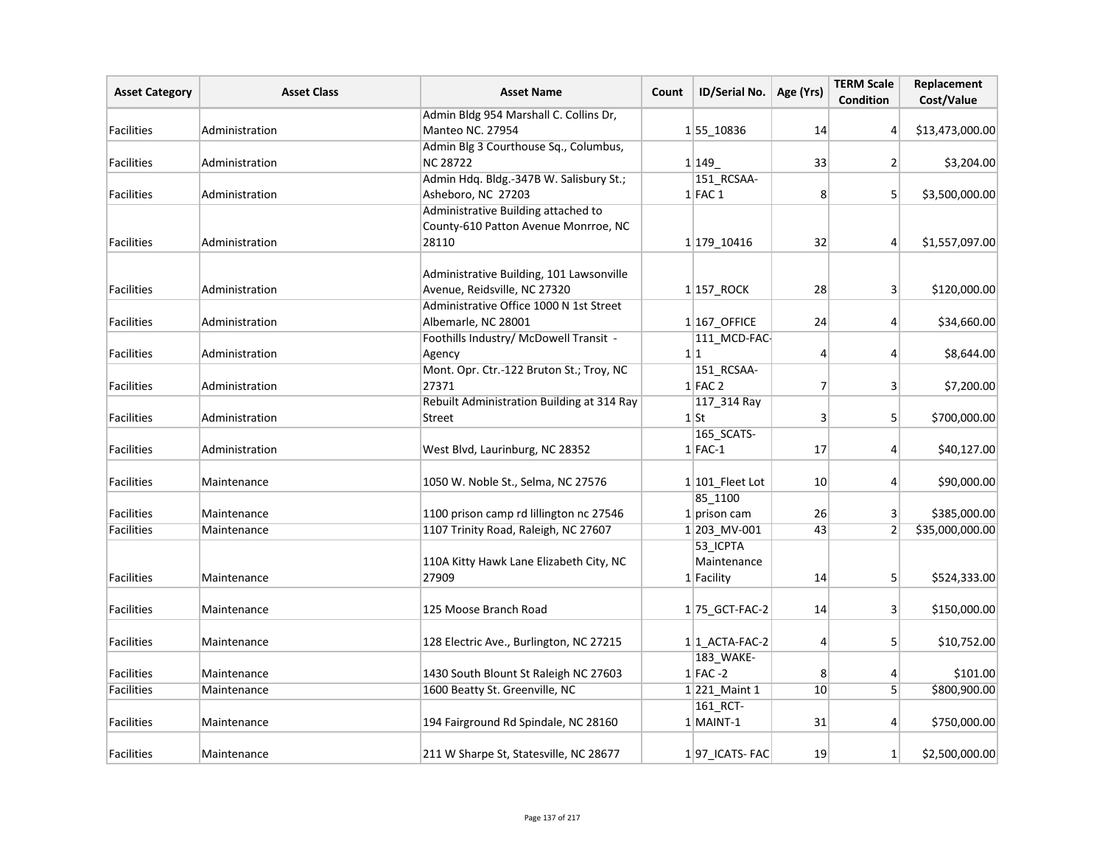| <b>Asset Category</b> | <b>Asset Class</b> | <b>Asset Name</b>                          | Count | ID/Serial No.     | Age (Yrs)      | <b>TERM Scale</b><br><b>Condition</b> | Replacement<br>Cost/Value |
|-----------------------|--------------------|--------------------------------------------|-------|-------------------|----------------|---------------------------------------|---------------------------|
|                       |                    | Admin Bldg 954 Marshall C. Collins Dr,     |       |                   |                |                                       |                           |
| Facilities            | Administration     | Manteo NC. 27954                           |       | 155 10836         | 14             | $\vert 4 \vert$                       | \$13,473,000.00           |
|                       |                    | Admin Blg 3 Courthouse Sq., Columbus,      |       |                   |                |                                       |                           |
| Facilities            | Administration     | <b>NC 28722</b>                            |       | 1 1 1 4 9         | 33             | $\overline{2}$                        | \$3,204.00                |
|                       |                    | Admin Hdq. Bldg.-347B W. Salisbury St.;    |       | 151_RCSAA-        |                |                                       |                           |
| Facilities            | Administration     | Asheboro, NC 27203                         |       | $1$ FAC 1         | 8              | 5 <sup>2</sup>                        | \$3,500,000.00            |
|                       |                    | Administrative Building attached to        |       |                   |                |                                       |                           |
|                       |                    | County-610 Patton Avenue Monrroe, NC       |       |                   |                |                                       |                           |
| Facilities            | Administration     | 28110                                      |       | 1 179 10416       | 32             | $\vert 4 \vert$                       | \$1,557,097.00            |
|                       |                    |                                            |       |                   |                |                                       |                           |
|                       |                    | Administrative Building, 101 Lawsonville   |       |                   |                |                                       |                           |
| Facilities            | Administration     | Avenue, Reidsville, NC 27320               |       | $1 157$ ROCK      | 28             | 3 <sup>2</sup>                        | \$120,000.00              |
|                       |                    | Administrative Office 1000 N 1st Street    |       |                   |                |                                       |                           |
| Facilities            | Administration     | Albemarle, NC 28001                        |       | $1 167$ OFFICE    | 24             | $\vert$                               | \$34,660.00               |
|                       |                    | Foothills Industry/ McDowell Transit -     |       | 111_MCD-FAC-      |                |                                       |                           |
| <b>Facilities</b>     | Administration     | Agency                                     |       | 1 1               | 4              | $\vert$                               | \$8,644.00                |
|                       |                    | Mont. Opr. Ctr.-122 Bruton St.; Troy, NC   |       | 151_RCSAA-        |                |                                       |                           |
| Facilities            | Administration     | 27371                                      |       | $1$ FAC 2         | $\overline{7}$ | 3 <sup>2</sup>                        | \$7,200.00                |
|                       |                    | Rebuilt Administration Building at 314 Ray |       | 117_314 Ray       |                |                                       |                           |
| <b>Facilities</b>     | Administration     | Street                                     |       | $1$ St            | 3              | 5                                     | \$700,000.00              |
|                       |                    |                                            |       | 165_SCATS-        |                |                                       |                           |
| <b>Facilities</b>     | Administration     | West Blvd, Laurinburg, NC 28352            |       | $1$ FAC-1         | 17             | $\vert$                               | \$40,127.00               |
|                       |                    |                                            |       |                   |                |                                       |                           |
| <b>Facilities</b>     | Maintenance        | 1050 W. Noble St., Selma, NC 27576         |       | $1 101$ Fleet Lot | 10             | $\vert 4 \vert$                       | \$90,000.00               |
|                       |                    |                                            |       | 85_1100           |                |                                       |                           |
| <b>Facilities</b>     | Maintenance        | 1100 prison camp rd lillington nc 27546    |       | $1$ prison cam    | 26             | 3 <sup>1</sup>                        | \$385,000.00              |
| <b>Facilities</b>     | Maintenance        | 1107 Trinity Road, Raleigh, NC 27607       |       | 1 203_MV-001      | 43             | $\overline{2}$                        | \$35,000,000.00           |
|                       |                    |                                            |       | 53_ICPTA          |                |                                       |                           |
|                       |                    | 110A Kitty Hawk Lane Elizabeth City, NC    |       | Maintenance       |                |                                       |                           |
| Facilities            | Maintenance        | 27909                                      |       | 1 Facility        | 14             | 5 <sup>2</sup>                        | \$524,333.00              |
|                       |                    |                                            |       |                   |                |                                       |                           |
| Facilities            | Maintenance        | 125 Moose Branch Road                      |       | 175_GCT-FAC-2     | 14             | $\vert$ 3                             | \$150,000.00              |
|                       |                    |                                            |       |                   |                |                                       |                           |
| Facilities            | Maintenance        | 128 Electric Ave., Burlington, NC 27215    |       | $1 1$ ACTA-FAC-2  | $\overline{4}$ | 5 <sup>1</sup>                        | \$10,752.00               |
|                       |                    |                                            |       | 183_WAKE-         |                |                                       |                           |
| Facilities            | Maintenance        | 1430 South Blount St Raleigh NC 27603      |       | $1$ FAC -2        | 8              | 4                                     | \$101.00                  |
| Facilities            | Maintenance        | 1600 Beatty St. Greenville, NC             |       | $1 221$ Maint 1   | 10             | 5 <sup>2</sup>                        | \$800,900.00              |
|                       |                    |                                            |       | 161_RCT-          |                |                                       |                           |
| Facilities            | Maintenance        | 194 Fairground Rd Spindale, NC 28160       |       | $1$ MAINT-1       | 31             | $\vert$                               | \$750,000.00              |
|                       |                    |                                            |       |                   |                |                                       |                           |
| Facilities            | Maintenance        | 211 W Sharpe St, Statesville, NC 28677     |       | 197 ICATS-FAC     | 19             | $1\vert$                              | \$2,500,000.00            |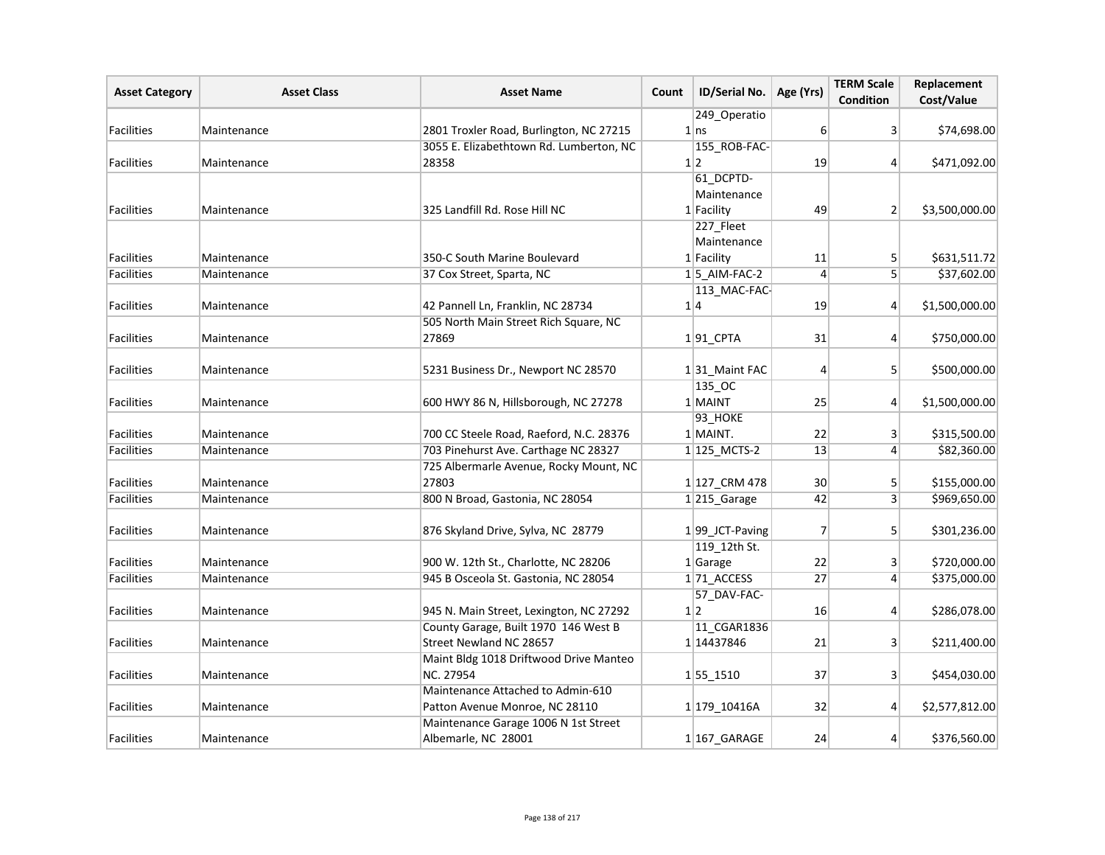| <b>Asset Category</b> | <b>Asset Class</b> | <b>Asset Name</b>                                                               | Count | ID/Serial No.                  | Age (Yrs)      | <b>TERM Scale</b><br><b>Condition</b> | Replacement<br>Cost/Value |
|-----------------------|--------------------|---------------------------------------------------------------------------------|-------|--------------------------------|----------------|---------------------------------------|---------------------------|
|                       |                    |                                                                                 |       | 249 Operatio                   |                |                                       |                           |
| <b>Facilities</b>     | Maintenance        | 2801 Troxler Road, Burlington, NC 27215                                         |       | $1 \, \text{ns}$               | 6              | 3                                     | \$74,698.00               |
|                       |                    | 3055 E. Elizabethtown Rd. Lumberton, NC                                         |       | 155_ROB-FAC-                   |                |                                       |                           |
| Facilities            | Maintenance        | 28358                                                                           |       | 1 2                            | 19             | 4                                     | \$471,092.00              |
|                       |                    |                                                                                 |       | 61 DCPTD-                      |                |                                       |                           |
|                       |                    |                                                                                 |       | Maintenance                    |                |                                       |                           |
| Facilities            | Maintenance        | 325 Landfill Rd. Rose Hill NC                                                   |       | 1 Facility                     | 49             | 2 <sup>2</sup>                        | \$3,500,000.00            |
|                       |                    |                                                                                 |       | 227_Fleet                      |                |                                       |                           |
|                       |                    |                                                                                 |       | Maintenance                    |                |                                       |                           |
| Facilities            | Maintenance        | 350-C South Marine Boulevard                                                    |       | 1 Facility                     | 11             | 5                                     | \$631,511.72              |
| Facilities            | Maintenance        | 37 Cox Street, Sparta, NC                                                       |       | 15 AIM-FAC-2                   | 4              | 5 <sup>1</sup>                        | \$37,602.00               |
|                       |                    |                                                                                 |       | 113_MAC-FAC-                   |                |                                       |                           |
| Facilities            | Maintenance        | 42 Pannell Ln, Franklin, NC 28734                                               |       | 1 4                            | 19             | $\mathbf{4}$                          | \$1,500,000.00            |
|                       |                    | 505 North Main Street Rich Square, NC                                           |       |                                |                |                                       |                           |
| Facilities            | Maintenance        | 27869                                                                           |       | $1 91$ <sub>_CPTA</sub>        | 31             | $\left 4\right $                      | \$750,000.00              |
|                       |                    |                                                                                 |       |                                |                |                                       |                           |
| Facilities            | Maintenance        | 5231 Business Dr., Newport NC 28570                                             |       | 131 Maint FAC                  | 4              | 5 <sup>1</sup>                        | \$500,000.00              |
|                       |                    |                                                                                 |       | 135_OC                         |                |                                       |                           |
| <b>Facilities</b>     | Maintenance        | 600 HWY 86 N, Hillsborough, NC 27278                                            |       | 1 MAINT                        | 25             | $\mathbf{4}$                          | \$1,500,000.00            |
|                       |                    |                                                                                 |       | 93_HOKE                        |                |                                       |                           |
| <b>Facilities</b>     | Maintenance        | 700 CC Steele Road, Raeford, N.C. 28376                                         |       | 1 MAINT.                       | 22             | 3                                     | \$315,500.00              |
| Facilities            | Maintenance        | 703 Pinehurst Ave. Carthage NC 28327                                            |       | 1 125_MCTS-2                   | 13             | $\overline{4}$                        | \$82,360.00               |
|                       |                    | 725 Albermarle Avenue, Rocky Mount, NC                                          |       |                                |                |                                       |                           |
| Facilities            | Maintenance        | 27803                                                                           |       | 1 127 CRM 478                  | 30             | 5                                     | \$155,000.00              |
| Facilities            | Maintenance        | 800 N Broad, Gastonia, NC 28054                                                 |       | 1215_Garage                    | 42             | 3 <sup>1</sup>                        | \$969,650.00              |
| <b>Facilities</b>     |                    |                                                                                 |       |                                | $\overline{7}$ |                                       |                           |
|                       | Maintenance        | 876 Skyland Drive, Sylva, NC 28779                                              |       | 199_JCT-Paving<br>119 12th St. |                | 5                                     | \$301,236.00              |
|                       |                    | 900 W. 12th St., Charlotte, NC 28206                                            |       | $1$ Garage                     | 22             |                                       | \$720,000.00              |
| Facilities            | Maintenance        |                                                                                 |       |                                |                | 3                                     |                           |
| Facilities            | Maintenance        | 945 B Osceola St. Gastonia, NC 28054                                            |       | 171_ACCESS                     | 27             | $\mathbf{4}$                          | \$375,000.00              |
|                       |                    |                                                                                 |       | 57_DAV-FAC-<br>1 2             |                |                                       |                           |
| Facilities            | Maintenance        | 945 N. Main Street, Lexington, NC 27292<br>County Garage, Built 1970 146 West B |       |                                | 16             | $\mathbf{4}$                          | \$286,078.00              |
| <b>Facilities</b>     | Maintenance        | Street Newland NC 28657                                                         |       | 11_CGAR1836<br>1 14437846      | 21             |                                       |                           |
|                       |                    |                                                                                 |       |                                |                | 3                                     | \$211,400.00              |
| <b>Facilities</b>     | Maintenance        | Maint Bldg 1018 Driftwood Drive Manteo<br><b>NC. 27954</b>                      |       |                                | 37             | 3 <sup>1</sup>                        | \$454,030.00              |
|                       |                    | Maintenance Attached to Admin-610                                               |       | 155 1510                       |                |                                       |                           |
| Facilities            | Maintenance        | Patton Avenue Monroe, NC 28110                                                  |       | 1 179 10416A                   | 32             | 4                                     | \$2,577,812.00            |
|                       |                    | Maintenance Garage 1006 N 1st Street                                            |       |                                |                |                                       |                           |
| <b>Facilities</b>     | Maintenance        | Albemarle, NC 28001                                                             |       | $1 167_GARAGE$                 | 24             | 4                                     | \$376,560.00              |
|                       |                    |                                                                                 |       |                                |                |                                       |                           |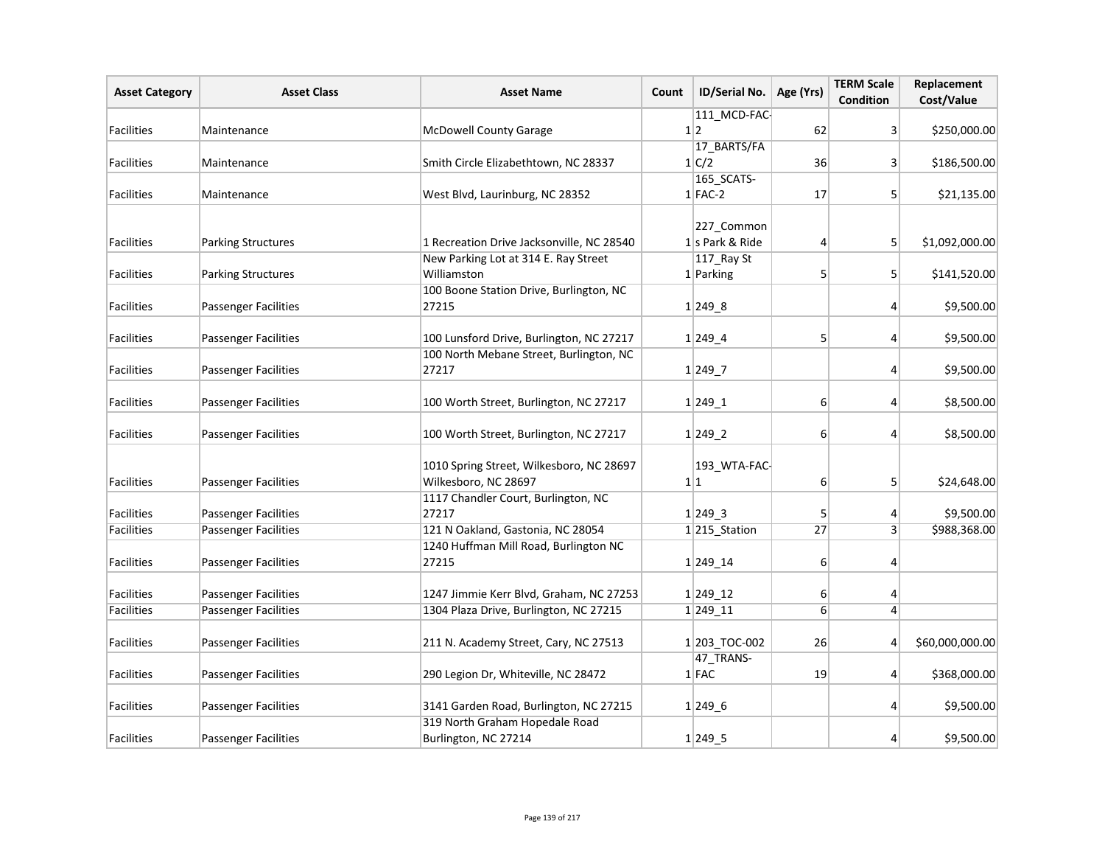| <b>Asset Category</b>                  | <b>Asset Class</b>          | <b>Asset Name</b>                                                | Count | ID/Serial No.             | Age (Yrs)        | <b>TERM Scale</b><br><b>Condition</b> | Replacement<br>Cost/Value |
|----------------------------------------|-----------------------------|------------------------------------------------------------------|-------|---------------------------|------------------|---------------------------------------|---------------------------|
|                                        |                             |                                                                  |       | 111 MCD-FAC-              |                  |                                       |                           |
| <b>Facilities</b>                      | Maintenance                 | <b>McDowell County Garage</b>                                    |       | 1 2                       | 62               | 3 <sup>1</sup>                        | \$250,000.00              |
|                                        |                             |                                                                  |       | 17_BARTS/FA               |                  |                                       |                           |
| Facilities                             | Maintenance                 | Smith Circle Elizabethtown, NC 28337                             |       | 1 C/2                     | 36               | 3 <sup>1</sup>                        | \$186,500.00              |
|                                        |                             |                                                                  |       | 165_SCATS-                |                  |                                       |                           |
| Facilities                             | Maintenance                 | West Blvd, Laurinburg, NC 28352                                  |       | $1$ FAC-2                 | 17               | 5                                     | \$21,135.00               |
|                                        |                             |                                                                  |       | 227_Common                |                  |                                       |                           |
| Facilities                             | <b>Parking Structures</b>   | 1 Recreation Drive Jacksonville, NC 28540                        |       | $1$ s Park & Ride         | $\overline{4}$   | 5 <sup>1</sup>                        | \$1,092,000.00            |
|                                        |                             | New Parking Lot at 314 E. Ray Street                             |       | 117_Ray St                |                  |                                       |                           |
| Facilities                             | <b>Parking Structures</b>   | Williamston                                                      |       | $1$ Parking               | 5                | 5 <sup>1</sup>                        | \$141,520.00              |
|                                        |                             | 100 Boone Station Drive, Burlington, NC                          |       |                           |                  |                                       |                           |
| Facilities                             | <b>Passenger Facilities</b> | 27215                                                            |       | 1 249.8                   |                  | $\vert 4 \vert$                       | \$9,500.00                |
| Facilities                             | <b>Passenger Facilities</b> | 100 Lunsford Drive, Burlington, NC 27217                         |       | $1 249_4$                 | 5                | 4                                     | \$9,500.00                |
|                                        |                             | 100 North Mebane Street, Burlington, NC                          |       |                           |                  |                                       |                           |
| <b>Facilities</b>                      | <b>Passenger Facilities</b> | 27217                                                            |       | $1 249$ 7                 |                  | 4                                     | \$9,500.00                |
| <b>Facilities</b>                      | <b>Passenger Facilities</b> | 100 Worth Street, Burlington, NC 27217                           |       | $1 249_1$                 | $6 \overline{6}$ | $\overline{4}$                        | \$8,500.00                |
| Facilities                             | <b>Passenger Facilities</b> | 100 Worth Street, Burlington, NC 27217                           |       | $1 249_2$                 | $6 \overline{6}$ | $\vert$                               | \$8,500.00                |
| Facilities                             | <b>Passenger Facilities</b> | 1010 Spring Street, Wilkesboro, NC 28697<br>Wilkesboro, NC 28697 |       | 193_WTA-FAC-<br>1 1       | $6 \overline{6}$ | 5 <sup>1</sup>                        | \$24,648.00               |
|                                        |                             | 1117 Chandler Court, Burlington, NC                              |       |                           |                  |                                       | \$9,500.00                |
| <b>Facilities</b><br><b>Facilities</b> | <b>Passenger Facilities</b> | 27217<br>121 N Oakland, Gastonia, NC 28054                       |       | $1 249$ _3                | 5                | $\vert 4 \vert$                       | \$988,368.00              |
|                                        | <b>Passenger Facilities</b> | 1240 Huffman Mill Road, Burlington NC                            |       | 1 <sup>215</sup> _Station | 27               | 3 <sup>1</sup>                        |                           |
| Facilities                             | <b>Passenger Facilities</b> | 27215                                                            |       | 1 249 14                  | $6 \overline{6}$ | $\vert 4 \vert$                       |                           |
|                                        |                             |                                                                  |       |                           |                  |                                       |                           |
| <b>Facilities</b>                      | <b>Passenger Facilities</b> | 1247 Jimmie Kerr Blvd, Graham, NC 27253                          |       | 1 249 12                  | 6                | $\vert 4 \vert$                       |                           |
| Facilities                             | <b>Passenger Facilities</b> | 1304 Plaza Drive, Burlington, NC 27215                           |       | 1 249 11                  | $6 \overline{6}$ | $\left 4\right $                      |                           |
| <b>Facilities</b>                      | <b>Passenger Facilities</b> | 211 N. Academy Street, Cary, NC 27513                            |       | 1203_TOC-002              | 26               | $\vert 4 \vert$                       | \$60,000,000.00           |
| <b>Facilities</b>                      | <b>Passenger Facilities</b> | 290 Legion Dr, Whiteville, NC 28472                              |       | 47_TRANS-<br>$1$ FAC      | 19               | $\vert 4 \vert$                       | \$368,000.00              |
|                                        |                             |                                                                  |       |                           |                  |                                       |                           |
| Facilities                             | <b>Passenger Facilities</b> | 3141 Garden Road, Burlington, NC 27215                           |       | $1 249_6$                 |                  | $\vert 4 \vert$                       | \$9,500.00                |
|                                        |                             | 319 North Graham Hopedale Road                                   |       |                           |                  |                                       |                           |
| <b>Facilities</b>                      | <b>Passenger Facilities</b> | Burlington, NC 27214                                             |       | 1 249.5                   |                  | 4                                     | \$9,500.00                |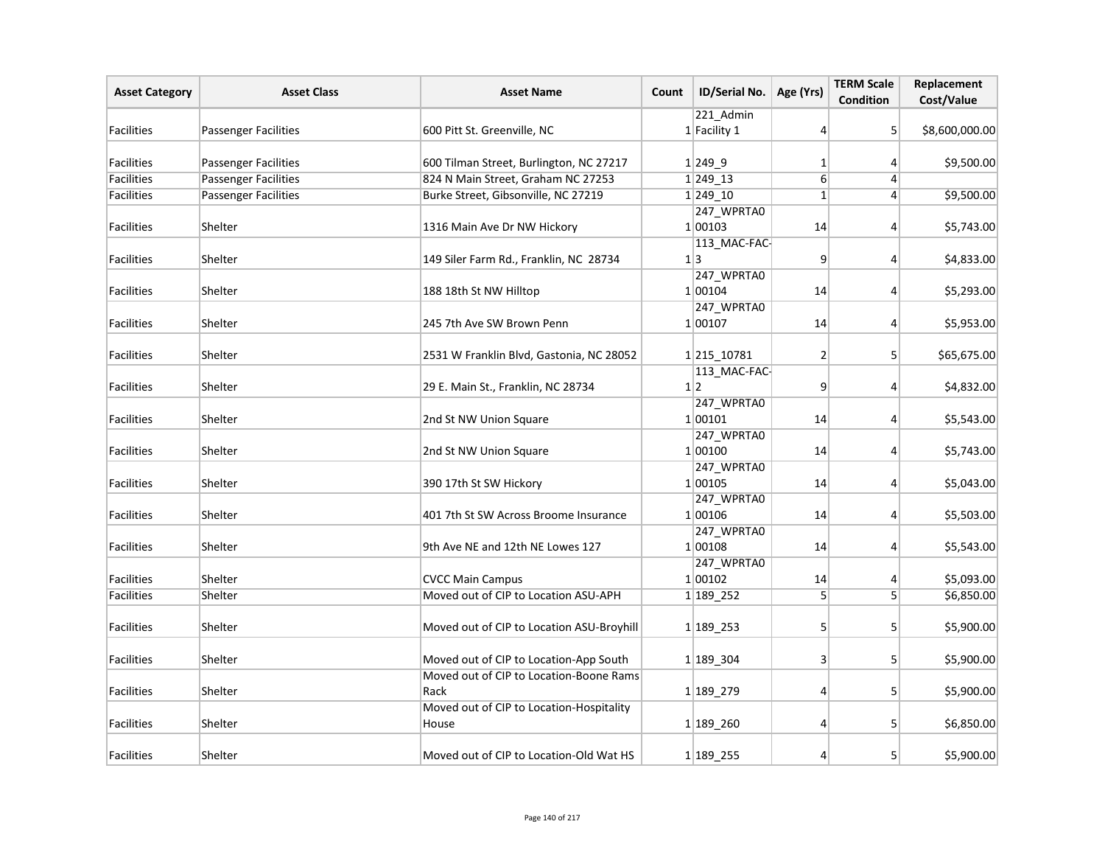| <b>Asset Category</b> | <b>Asset Class</b>          | <b>Asset Name</b>                                 | Count | ID/Serial No.         | Age (Yrs)      | <b>TERM Scale</b><br><b>Condition</b> | Replacement<br>Cost/Value |
|-----------------------|-----------------------------|---------------------------------------------------|-------|-----------------------|----------------|---------------------------------------|---------------------------|
|                       |                             |                                                   |       | 221 Admin             |                |                                       |                           |
| <b>Facilities</b>     | <b>Passenger Facilities</b> | 600 Pitt St. Greenville, NC                       |       | $1$ Facility 1        | 4              | 5 <sup>1</sup>                        | \$8,600,000.00            |
| <b>Facilities</b>     | <b>Passenger Facilities</b> | 600 Tilman Street, Burlington, NC 27217           |       | $1 249$ 9             | 1              | 4                                     | \$9,500.00                |
| <b>Facilities</b>     | <b>Passenger Facilities</b> | 824 N Main Street, Graham NC 27253                |       | 1 249 13              | $\overline{6}$ | 4                                     |                           |
| <b>Facilities</b>     | <b>Passenger Facilities</b> | Burke Street, Gibsonville, NC 27219               |       | 1 249 10              | $\mathbf{1}$   | $\vert$                               | \$9,500.00                |
|                       |                             |                                                   |       | 247_WPRTA0            |                |                                       |                           |
| <b>Facilities</b>     | Shelter                     | 1316 Main Ave Dr NW Hickory                       |       | 1 00103               | 14             | 4                                     | \$5,743.00                |
| <b>Facilities</b>     | Shelter                     | 149 Siler Farm Rd., Franklin, NC 28734            |       | 113_MAC-FAC-<br>1 3   | 9              | $\vert$                               | \$4,833.00                |
| <b>Facilities</b>     |                             |                                                   |       | 247_WPRTA0            |                |                                       |                           |
|                       | Shelter                     | 188 18th St NW Hilltop                            |       | 1 00104<br>247_WPRTA0 | 14             | 4                                     | \$5,293.00                |
| <b>Facilities</b>     | Shelter                     | 245 7th Ave SW Brown Penn                         |       | 1 00107               | 14             | 4                                     | \$5,953.00                |
| <b>Facilities</b>     | Shelter                     | 2531 W Franklin Blvd, Gastonia, NC 28052          |       | 1 215 10781           | 2              | 5                                     | \$65,675.00               |
|                       |                             |                                                   |       | 113_MAC-FAC-          |                |                                       |                           |
| Facilities            | Shelter                     | 29 E. Main St., Franklin, NC 28734                |       | 1 2                   | 9              | 4                                     | \$4,832.00                |
| <b>Facilities</b>     | Shelter                     | 2nd St NW Union Square                            |       | 247_WPRTA0<br>1 00101 | 14             | 4                                     | \$5,543.00                |
|                       |                             |                                                   |       | 247_WPRTA0            |                |                                       |                           |
| <b>Facilities</b>     | Shelter                     | 2nd St NW Union Square                            |       | 1 00100               | 14             | $\vert$                               | \$5,743.00                |
| <b>Facilities</b>     | Shelter                     | 390 17th St SW Hickory                            |       | 247_WPRTA0<br>1 00105 | 14             | 4                                     | \$5,043.00                |
|                       |                             |                                                   |       | 247_WPRTA0            |                |                                       |                           |
| <b>Facilities</b>     | Shelter                     | 401 7th St SW Across Broome Insurance             |       | 1 00106               | 14             | 4                                     | \$5,503.00                |
|                       |                             |                                                   |       | 247_WPRTA0            |                |                                       |                           |
| <b>Facilities</b>     | Shelter                     | 9th Ave NE and 12th NE Lowes 127                  |       | 1 00108               | 14             | 4                                     | \$5,543.00                |
|                       |                             |                                                   |       | 247_WPRTA0            |                |                                       |                           |
| Facilities            | Shelter                     | <b>CVCC Main Campus</b>                           |       | 1 00102               | 14             | 4                                     | \$5,093.00                |
| Facilities            | Shelter                     | Moved out of CIP to Location ASU-APH              |       | 1 189 252             | $\overline{5}$ | 5 <sup>1</sup>                        | \$6,850.00                |
| <b>Facilities</b>     | Shelter                     | Moved out of CIP to Location ASU-Broyhill         |       | 1 189 253             | $\overline{5}$ | 5                                     | \$5,900.00                |
| <b>Facilities</b>     | Shelter                     | Moved out of CIP to Location-App South            |       | 1 189 304             | 3              | 5                                     | \$5,900.00                |
|                       |                             | Moved out of CIP to Location-Boone Rams           |       |                       |                |                                       |                           |
| <b>Facilities</b>     | Shelter                     | Rack                                              |       | 1 189 279             | 4              | 5 <sup>1</sup>                        | \$5,900.00                |
| <b>Facilities</b>     | Shelter                     | Moved out of CIP to Location-Hospitality<br>House |       | 1 189 260             | 4              | 5                                     | \$6,850.00                |
| Facilities            | Shelter                     | Moved out of CIP to Location-Old Wat HS           |       | 1 189 255             | 4              | 5 <sup>1</sup>                        | \$5,900.00                |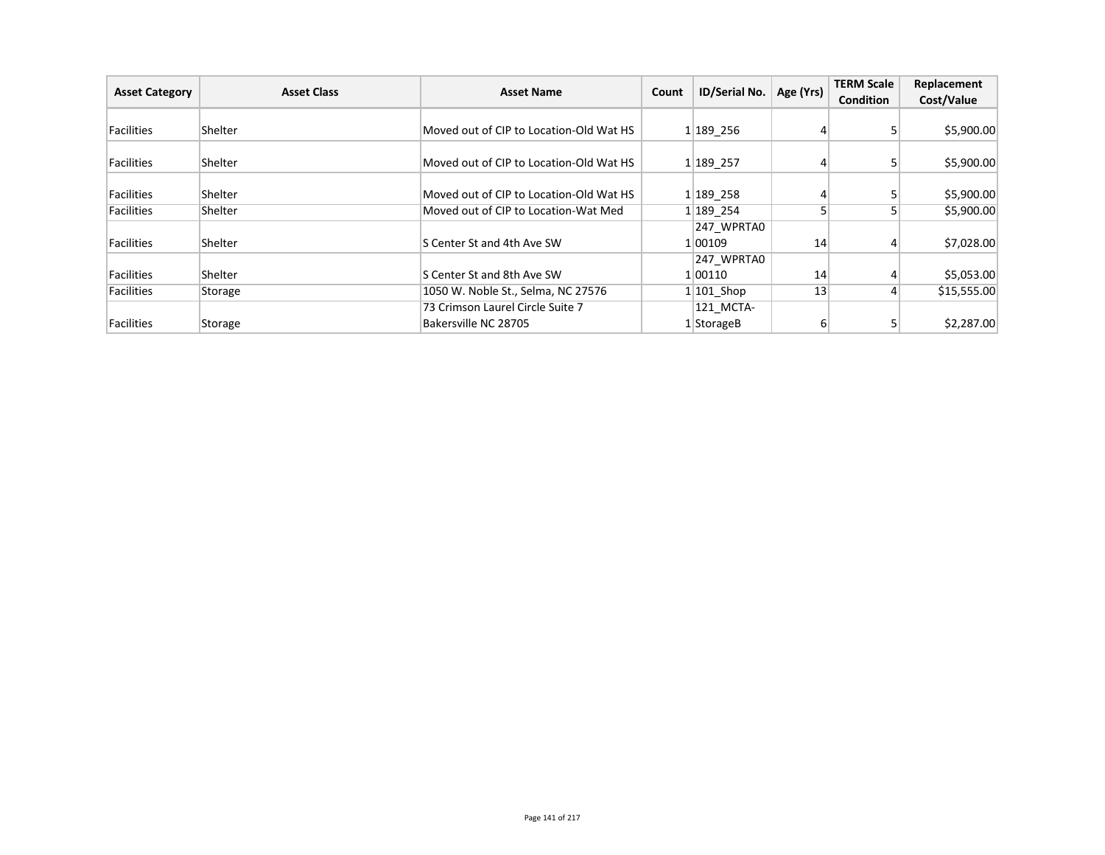| <b>Asset Category</b> | <b>Asset Class</b> | <b>Asset Name</b>                       | Count | ID/Serial No. | Age (Yrs)       | <b>TERM Scale</b><br><b>Condition</b> | Replacement<br>Cost/Value |
|-----------------------|--------------------|-----------------------------------------|-------|---------------|-----------------|---------------------------------------|---------------------------|
|                       |                    |                                         |       |               |                 |                                       |                           |
| Facilities            | Shelter            | Moved out of CIP to Location-Old Wat HS |       | 1 189 256     |                 |                                       | \$5,900.00                |
| Facilities            | <b>Shelter</b>     | Moved out of CIP to Location-Old Wat HS |       | 1 189 257     |                 |                                       | \$5,900.00                |
| Facilities            | Shelter            | Moved out of CIP to Location-Old Wat HS |       | 1 189 258     | 41              |                                       | \$5,900.00                |
| Facilities            | <b>Shelter</b>     | Moved out of CIP to Location-Wat Med    |       | 1 189 254     |                 |                                       | \$5,900.00                |
|                       |                    |                                         |       | 247 WPRTAO    |                 |                                       |                           |
| Facilities            | Shelter            | S Center St and 4th Ave SW              |       | 1 00109       | 14              |                                       | \$7,028.00                |
|                       |                    |                                         |       | 247 WPRTAO    |                 |                                       |                           |
| Facilities            | Shelter            | S Center St and 8th Ave SW              |       | 1 00110       | 14              |                                       | \$5,053.00                |
| Facilities            | Storage            | 1050 W. Noble St., Selma, NC 27576      |       | $1 101$ Shop  | 13 <sub>1</sub> |                                       | \$15,555.00               |
|                       |                    | 73 Crimson Laurel Circle Suite 7        |       | 121 MCTA-     |                 |                                       |                           |
| Facilities            | Storage            | Bakersville NC 28705                    |       | $1$ StorageB  | 6               |                                       | \$2,287.00                |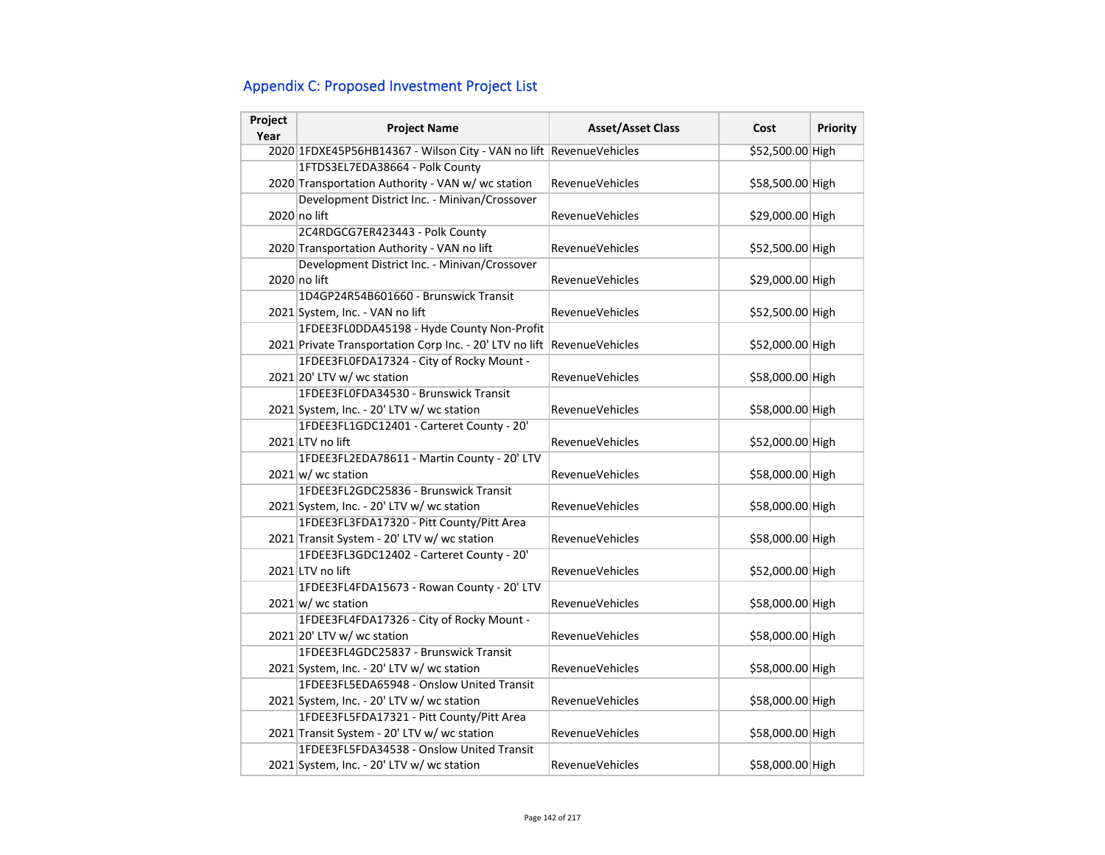# Appendix C: Proposed Investment Project List

| Project<br>Year | <b>Project Name</b>                                                | <b>Asset/Asset Class</b> | Cost             | Priority |
|-----------------|--------------------------------------------------------------------|--------------------------|------------------|----------|
|                 | 2020 1FDXE45P56HB14367 - Wilson City - VAN no lift RevenueVehicles |                          | \$52,500.00 High |          |
|                 | 1FTDS3EL7EDA38664 - Polk County                                    |                          |                  |          |
|                 | 2020 Transportation Authority - VAN w/ wc station                  | RevenueVehicles          | \$58,500.00 High |          |
|                 | Development District Inc. - Minivan/Crossover                      |                          |                  |          |
|                 | 2020 no lift                                                       | <b>RevenueVehicles</b>   | \$29,000.00 High |          |
|                 | 2C4RDGCG7ER423443 - Polk County                                    |                          |                  |          |
|                 | 2020 Transportation Authority - VAN no lift                        | <b>RevenueVehicles</b>   | \$52,500.00 High |          |
|                 | Development District Inc. - Minivan/Crossover                      |                          |                  |          |
|                 | 2020 no lift                                                       | <b>RevenueVehicles</b>   | \$29,000.00 High |          |
|                 | 1D4GP24R54B601660 - Brunswick Transit                              |                          |                  |          |
|                 | 2021 System, Inc. - VAN no lift                                    | <b>RevenueVehicles</b>   | \$52,500.00 High |          |
|                 | 1FDEE3FL0DDA45198 - Hyde County Non-Profit                         |                          |                  |          |
|                 | 2021 Private Transportation Corp Inc. - 20' LTV no lift            | RevenueVehicles          | \$52,000.00 High |          |
|                 | 1FDEE3FL0FDA17324 - City of Rocky Mount -                          |                          |                  |          |
|                 | 2021 20' LTV w/ wc station                                         | <b>RevenueVehicles</b>   | \$58,000.00 High |          |
|                 | 1FDEE3FL0FDA34530 - Brunswick Transit                              |                          |                  |          |
|                 | 2021 System, Inc. - 20' LTV w/ wc station                          | <b>RevenueVehicles</b>   | \$58,000.00 High |          |
|                 | 1FDEE3FL1GDC12401 - Carteret County - 20'                          |                          |                  |          |
|                 | 2021 LTV no lift                                                   | <b>RevenueVehicles</b>   | \$52,000.00 High |          |
|                 | 1FDEE3FL2EDA78611 - Martin County - 20' LTV                        |                          |                  |          |
|                 | $2021 \text{ w}$ wc station                                        | <b>RevenueVehicles</b>   | \$58,000.00 High |          |
|                 | 1FDEE3FL2GDC25836 - Brunswick Transit                              |                          |                  |          |
|                 | 2021 System, Inc. - 20' LTV w/ wc station                          | <b>RevenueVehicles</b>   | \$58,000.00 High |          |
|                 | 1FDEE3FL3FDA17320 - Pitt County/Pitt Area                          |                          |                  |          |
|                 | 2021 Transit System - 20' LTV w/ wc station                        | <b>RevenueVehicles</b>   | \$58,000.00 High |          |
|                 | 1FDEE3FL3GDC12402 - Carteret County - 20'                          |                          |                  |          |
|                 | 2021 LTV no lift                                                   | <b>RevenueVehicles</b>   | \$52,000.00 High |          |
|                 | 1FDEE3FL4FDA15673 - Rowan County - 20' LTV                         |                          |                  |          |
|                 | $2021 \text{w}$ wc station                                         | RevenueVehicles          | \$58,000.00 High |          |
|                 | 1FDEE3FL4FDA17326 - City of Rocky Mount -                          |                          |                  |          |
|                 | 2021 20' LTV w/ wc station                                         | <b>RevenueVehicles</b>   | \$58,000.00 High |          |
|                 | 1FDEE3FL4GDC25837 - Brunswick Transit                              |                          |                  |          |
|                 | 2021 System, Inc. - 20' LTV w/ wc station                          | RevenueVehicles          | \$58,000.00 High |          |
|                 | 1FDEE3FL5EDA65948 - Onslow United Transit                          |                          |                  |          |
|                 | 2021 System, Inc. - 20' LTV w/ wc station                          | <b>RevenueVehicles</b>   | \$58,000.00 High |          |
|                 | 1FDEE3FL5FDA17321 - Pitt County/Pitt Area                          |                          |                  |          |
|                 | 2021 Transit System - 20' LTV w/ wc station                        | <b>RevenueVehicles</b>   | \$58,000.00 High |          |
|                 | 1FDEE3FL5FDA34538 - Onslow United Transit                          |                          |                  |          |
|                 | 2021 System, Inc. - 20' LTV w/ wc station                          | RevenueVehicles          | \$58,000.00 High |          |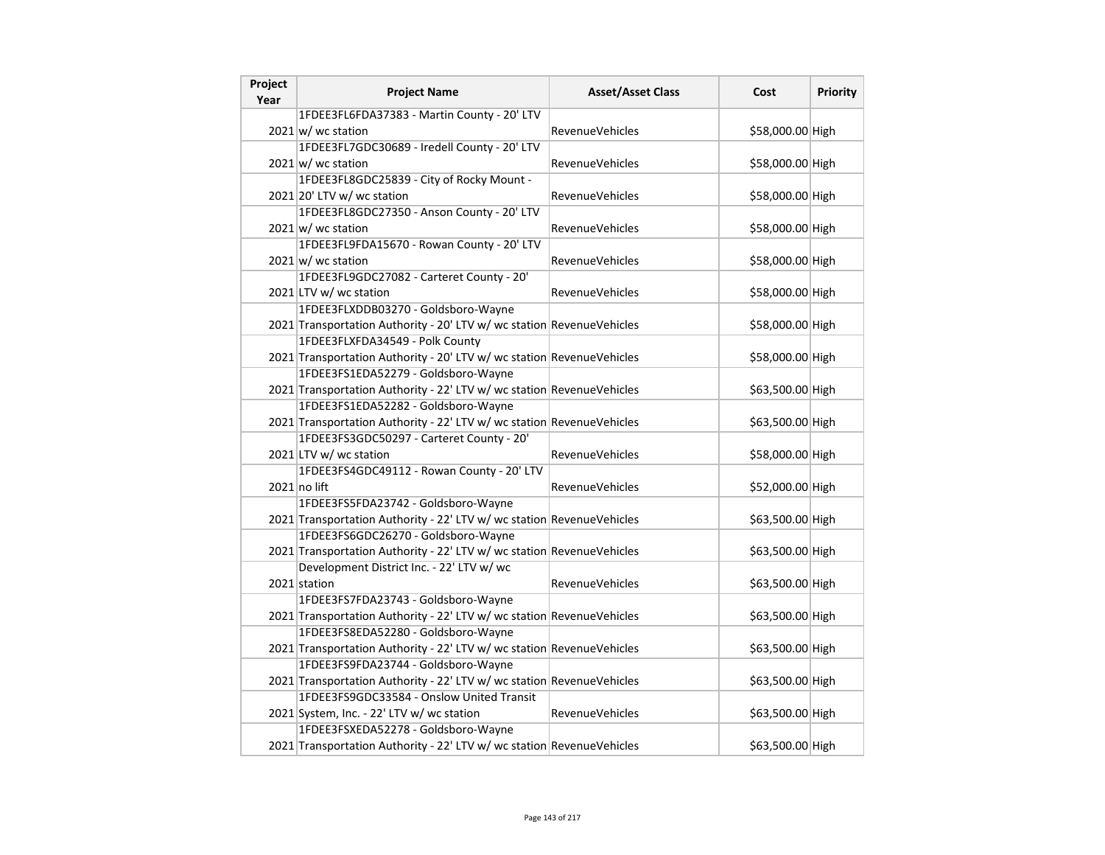| Project<br>Year | <b>Project Name</b>                                                   | <b>Asset/Asset Class</b> | Cost             | <b>Priority</b> |
|-----------------|-----------------------------------------------------------------------|--------------------------|------------------|-----------------|
|                 | 1FDEE3FL6FDA37383 - Martin County - 20' LTV                           |                          |                  |                 |
|                 | $2021 \text{ w}$ / wc station                                         | <b>RevenueVehicles</b>   | \$58,000.00 High |                 |
|                 | 1FDEE3FL7GDC30689 - Iredell County - 20' LTV                          |                          |                  |                 |
|                 | $2021 \text{ w}$ wc station                                           | <b>RevenueVehicles</b>   | \$58,000.00 High |                 |
|                 | 1FDEE3FL8GDC25839 - City of Rocky Mount -                             |                          |                  |                 |
|                 | $2021$ 20' LTV w/ wc station                                          | RevenueVehicles          | \$58,000.00 High |                 |
|                 | 1FDEE3FL8GDC27350 - Anson County - 20' LTV                            |                          |                  |                 |
|                 | $2021 \text{ w}$ / wc station                                         | <b>RevenueVehicles</b>   | \$58,000.00 High |                 |
|                 | 1FDEE3FL9FDA15670 - Rowan County - 20' LTV                            |                          |                  |                 |
|                 | $2021 \text{ w}$ / wc station                                         | <b>RevenueVehicles</b>   | \$58,000.00 High |                 |
|                 | 1FDEE3FL9GDC27082 - Carteret County - 20'                             |                          |                  |                 |
|                 | 2021 LTV w/ wc station                                                | <b>RevenueVehicles</b>   | \$58,000.00 High |                 |
|                 | 1FDEE3FLXDDB03270 - Goldsboro-Wayne                                   |                          |                  |                 |
|                 | 2021 Transportation Authority - 20' LTV w/ wc station RevenueVehicles |                          | \$58,000.00 High |                 |
|                 | 1FDEE3FLXFDA34549 - Polk County                                       |                          |                  |                 |
|                 | 2021 Transportation Authority - 20' LTV w/ wc station RevenueVehicles |                          | \$58,000.00 High |                 |
|                 | 1FDEE3FS1EDA52279 - Goldsboro-Wayne                                   |                          |                  |                 |
|                 | 2021 Transportation Authority - 22' LTV w/ wc station RevenueVehicles |                          | \$63,500.00 High |                 |
|                 | 1FDEE3FS1EDA52282 - Goldsboro-Wayne                                   |                          |                  |                 |
|                 | 2021 Transportation Authority - 22' LTV w/ wc station RevenueVehicles |                          | \$63,500.00 High |                 |
|                 | 1FDEE3FS3GDC50297 - Carteret County - 20'                             |                          |                  |                 |
|                 | 2021 LTV w/ wc station                                                | <b>RevenueVehicles</b>   | \$58,000.00 High |                 |
|                 | 1FDEE3FS4GDC49112 - Rowan County - 20' LTV                            |                          |                  |                 |
|                 | $2021$ no lift                                                        | <b>RevenueVehicles</b>   | \$52,000.00 High |                 |
|                 | 1FDEE3FS5FDA23742 - Goldsboro-Wayne                                   |                          |                  |                 |
|                 | 2021 Transportation Authority - 22' LTV w/ wc station RevenueVehicles |                          | \$63,500.00 High |                 |
|                 | 1FDEE3FS6GDC26270 - Goldsboro-Wayne                                   |                          |                  |                 |
|                 | 2021 Transportation Authority - 22' LTV w/ wc station RevenueVehicles |                          | \$63,500.00 High |                 |
|                 | Development District Inc. - 22' LTV w/ wc                             |                          |                  |                 |
|                 | 2021 station                                                          | <b>RevenueVehicles</b>   | \$63,500.00 High |                 |
|                 | 1FDEE3FS7FDA23743 - Goldsboro-Wayne                                   |                          |                  |                 |
|                 | 2021 Transportation Authority - 22' LTV w/ wc station RevenueVehicles |                          | \$63,500.00 High |                 |
|                 | 1FDEE3FS8EDA52280 - Goldsboro-Wayne                                   |                          |                  |                 |
|                 | 2021 Transportation Authority - 22' LTV w/ wc station RevenueVehicles |                          | \$63,500.00 High |                 |
|                 | 1FDEE3FS9FDA23744 - Goldsboro-Wayne                                   |                          |                  |                 |
|                 | 2021 Transportation Authority - 22' LTV w/ wc station RevenueVehicles |                          | \$63,500.00 High |                 |
|                 | 1FDEE3FS9GDC33584 - Onslow United Transit                             |                          |                  |                 |
|                 | 2021 System, Inc. - 22' LTV w/ wc station                             | <b>RevenueVehicles</b>   | \$63,500.00 High |                 |
|                 | 1FDEE3FSXEDA52278 - Goldsboro-Wayne                                   |                          |                  |                 |
|                 | 2021 Transportation Authority - 22' LTV w/ wc station RevenueVehicles |                          | \$63,500.00 High |                 |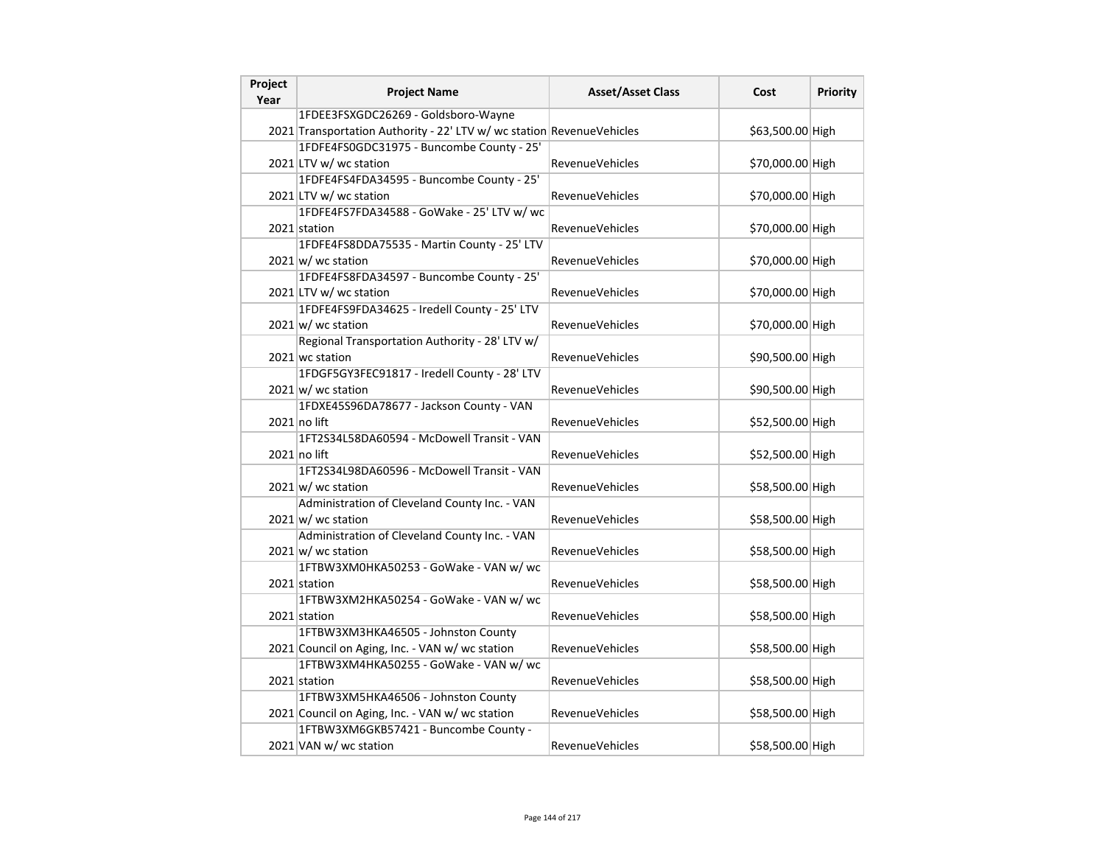| Project<br>Year | <b>Project Name</b>                                                   | <b>Asset/Asset Class</b> | Cost             | <b>Priority</b> |
|-----------------|-----------------------------------------------------------------------|--------------------------|------------------|-----------------|
|                 | 1FDEE3FSXGDC26269 - Goldsboro-Wayne                                   |                          |                  |                 |
|                 | 2021 Transportation Authority - 22' LTV w/ wc station RevenueVehicles |                          | \$63,500.00 High |                 |
|                 | 1FDFE4FS0GDC31975 - Buncombe County - 25'                             |                          |                  |                 |
|                 | 2021 LTV w/ wc station                                                | RevenueVehicles          | \$70,000.00 High |                 |
|                 | 1FDFE4FS4FDA34595 - Buncombe County - 25'                             |                          |                  |                 |
|                 | 2021 LTV w/ wc station                                                | <b>RevenueVehicles</b>   | \$70,000.00 High |                 |
|                 | 1FDFE4FS7FDA34588 - GoWake - 25' LTV w/ wc                            |                          |                  |                 |
|                 | 2021 station                                                          | <b>RevenueVehicles</b>   | \$70,000.00 High |                 |
|                 | 1FDFE4FS8DDA75535 - Martin County - 25' LTV                           |                          |                  |                 |
|                 | $2021 \text{ w}$ / wc station                                         | <b>RevenueVehicles</b>   | \$70,000.00 High |                 |
|                 | 1FDFE4FS8FDA34597 - Buncombe County - 25'                             |                          |                  |                 |
|                 | 2021 LTV w/ wc station                                                | RevenueVehicles          | \$70,000.00 High |                 |
|                 | 1FDFE4FS9FDA34625 - Iredell County - 25' LTV                          |                          |                  |                 |
|                 | $2021 \text{w}$ wc station                                            | <b>RevenueVehicles</b>   | \$70,000.00 High |                 |
|                 | Regional Transportation Authority - 28' LTV w/                        |                          |                  |                 |
|                 | 2021 wc station                                                       | <b>RevenueVehicles</b>   | \$90,500.00 High |                 |
|                 | 1FDGF5GY3FEC91817 - Iredell County - 28' LTV                          |                          |                  |                 |
|                 | $2021 \text{ w}$ wc station                                           | <b>RevenueVehicles</b>   | \$90,500.00 High |                 |
|                 | 1FDXE45S96DA78677 - Jackson County - VAN                              |                          |                  |                 |
|                 | $2021$ no lift                                                        | RevenueVehicles          | \$52,500.00 High |                 |
|                 | 1FT2S34L58DA60594 - McDowell Transit - VAN                            |                          |                  |                 |
|                 | $2021$ no lift                                                        | <b>RevenueVehicles</b>   | \$52,500.00 High |                 |
|                 | 1FT2S34L98DA60596 - McDowell Transit - VAN                            |                          |                  |                 |
|                 | $2021 \text{w}$ wc station                                            | <b>RevenueVehicles</b>   | \$58,500.00 High |                 |
|                 | Administration of Cleveland County Inc. - VAN                         |                          |                  |                 |
|                 | 2021 w/ wc station                                                    | RevenueVehicles          | \$58,500.00 High |                 |
|                 | Administration of Cleveland County Inc. - VAN                         |                          |                  |                 |
|                 | $2021 \text{ w}$ / wc station                                         | <b>RevenueVehicles</b>   | \$58,500.00 High |                 |
|                 | 1FTBW3XM0HKA50253 - GoWake - VAN w/ wc                                |                          |                  |                 |
|                 | 2021 station                                                          | <b>RevenueVehicles</b>   | \$58,500.00 High |                 |
|                 | 1FTBW3XM2HKA50254 - GoWake - VAN w/ wc                                |                          |                  |                 |
|                 | 2021 station                                                          | <b>RevenueVehicles</b>   | \$58,500.00 High |                 |
|                 | 1FTBW3XM3HKA46505 - Johnston County                                   |                          |                  |                 |
|                 | 2021 Council on Aging, Inc. - VAN w/ wc station                       | RevenueVehicles          | \$58,500.00 High |                 |
|                 | 1FTBW3XM4HKA50255 - GoWake - VAN w/ wc                                |                          |                  |                 |
|                 | 2021 station                                                          | <b>RevenueVehicles</b>   | \$58,500.00 High |                 |
|                 | 1FTBW3XM5HKA46506 - Johnston County                                   |                          |                  |                 |
|                 | 2021 Council on Aging, Inc. - VAN w/ wc station                       | <b>RevenueVehicles</b>   | \$58,500.00 High |                 |
|                 | 1FTBW3XM6GKB57421 - Buncombe County -                                 |                          |                  |                 |
|                 | 2021 VAN w/ wc station                                                | RevenueVehicles          | \$58,500.00 High |                 |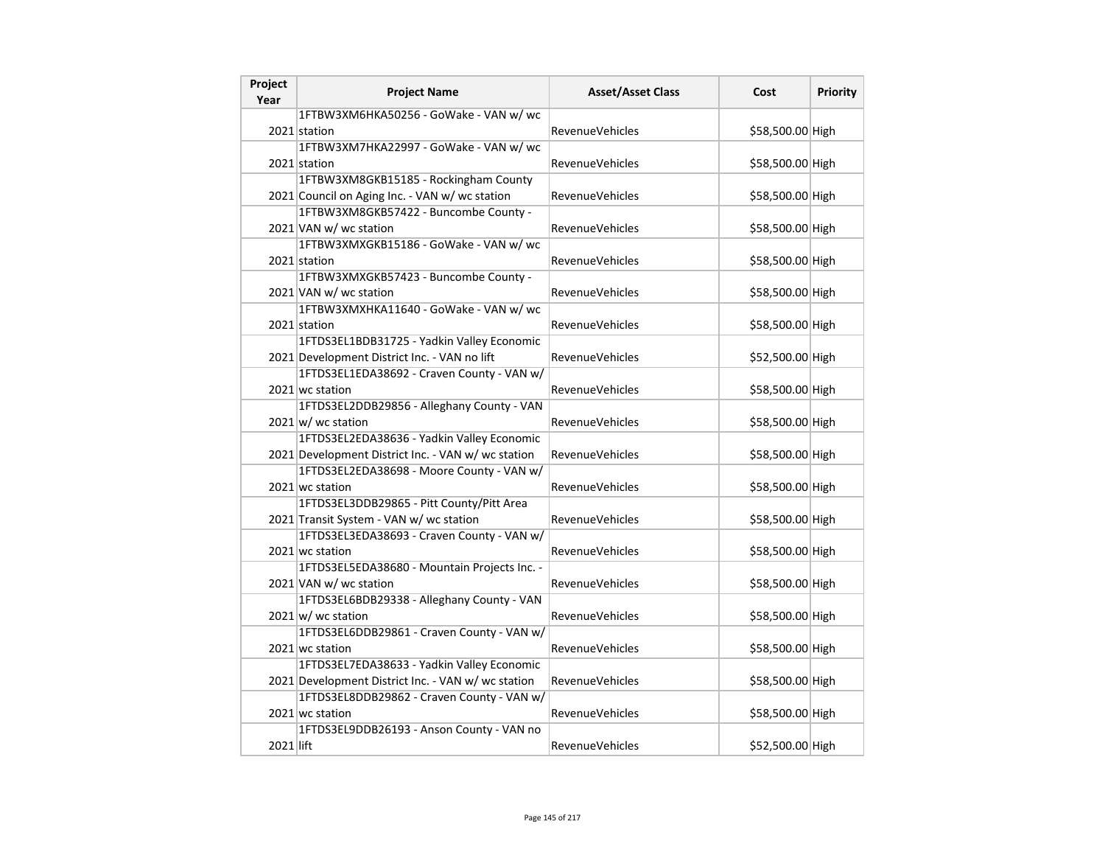| Project<br>Year | <b>Project Name</b>                                | <b>Asset/Asset Class</b> | Cost             | Priority |
|-----------------|----------------------------------------------------|--------------------------|------------------|----------|
|                 | 1FTBW3XM6HKA50256 - GoWake - VAN w/ wc             |                          |                  |          |
|                 | 2021 station                                       | <b>RevenueVehicles</b>   | \$58,500.00 High |          |
|                 | 1FTBW3XM7HKA22997 - GoWake - VAN w/ wc             |                          |                  |          |
|                 | 2021 station                                       | RevenueVehicles          | \$58,500.00 High |          |
|                 | 1FTBW3XM8GKB15185 - Rockingham County              |                          |                  |          |
|                 | 2021 Council on Aging Inc. - VAN w/ wc station     | <b>RevenueVehicles</b>   | \$58,500.00 High |          |
|                 | 1FTBW3XM8GKB57422 - Buncombe County -              |                          |                  |          |
|                 | 2021 VAN w/ wc station                             | <b>RevenueVehicles</b>   | \$58,500.00 High |          |
|                 | 1FTBW3XMXGKB15186 - GoWake - VAN w/ wc             |                          |                  |          |
|                 | 2021 station                                       | <b>RevenueVehicles</b>   | \$58,500.00 High |          |
|                 | 1FTBW3XMXGKB57423 - Buncombe County -              |                          |                  |          |
|                 | 2021 VAN w/ wc station                             | <b>RevenueVehicles</b>   | \$58,500.00 High |          |
|                 | 1FTBW3XMXHKA11640 - GoWake - VAN w/ wc             |                          |                  |          |
|                 | 2021 station                                       | <b>RevenueVehicles</b>   | \$58,500.00 High |          |
|                 | 1FTDS3EL1BDB31725 - Yadkin Valley Economic         |                          |                  |          |
|                 | 2021 Development District Inc. - VAN no lift       | RevenueVehicles          | \$52,500.00 High |          |
|                 | 1FTDS3EL1EDA38692 - Craven County - VAN w/         |                          |                  |          |
|                 | 2021 wc station                                    | <b>RevenueVehicles</b>   | \$58,500.00 High |          |
|                 | 1FTDS3EL2DDB29856 - Alleghany County - VAN         |                          |                  |          |
|                 | $2021 \text{ w}$ / wc station                      | RevenueVehicles          | \$58,500.00 High |          |
|                 | 1FTDS3EL2EDA38636 - Yadkin Valley Economic         |                          |                  |          |
|                 | 2021 Development District Inc. - VAN w/ wc station | <b>RevenueVehicles</b>   | \$58,500.00 High |          |
|                 | 1FTDS3EL2EDA38698 - Moore County - VAN w/          |                          |                  |          |
|                 | 2021 wc station                                    | RevenueVehicles          | \$58,500.00 High |          |
|                 | 1FTDS3EL3DDB29865 - Pitt County/Pitt Area          |                          |                  |          |
|                 | 2021 Transit System - VAN w/ wc station            | RevenueVehicles          | \$58,500.00 High |          |
|                 | 1FTDS3EL3EDA38693 - Craven County - VAN w/         |                          |                  |          |
|                 | 2021 wc station                                    | <b>RevenueVehicles</b>   | \$58,500.00 High |          |
|                 | 1FTDS3EL5EDA38680 - Mountain Projects Inc. -       |                          |                  |          |
|                 | 2021 VAN w/ wc station                             | <b>RevenueVehicles</b>   | \$58,500.00 High |          |
|                 | 1FTDS3EL6BDB29338 - Alleghany County - VAN         |                          |                  |          |
|                 | $2021 \text{ w}$ / wc station                      | RevenueVehicles          | \$58,500.00 High |          |
|                 | 1FTDS3EL6DDB29861 - Craven County - VAN w/         |                          |                  |          |
|                 | 2021 wc station                                    | <b>RevenueVehicles</b>   | \$58,500.00 High |          |
|                 | 1FTDS3EL7EDA38633 - Yadkin Valley Economic         |                          |                  |          |
|                 | 2021 Development District Inc. - VAN w/ wc station | RevenueVehicles          | \$58,500.00 High |          |
|                 | 1FTDS3EL8DDB29862 - Craven County - VAN w/         |                          |                  |          |
|                 | 2021 wc station                                    | <b>RevenueVehicles</b>   | \$58,500.00 High |          |
|                 | 1FTDS3EL9DDB26193 - Anson County - VAN no          |                          |                  |          |
| 2021 lift       |                                                    | RevenueVehicles          | \$52,500.00 High |          |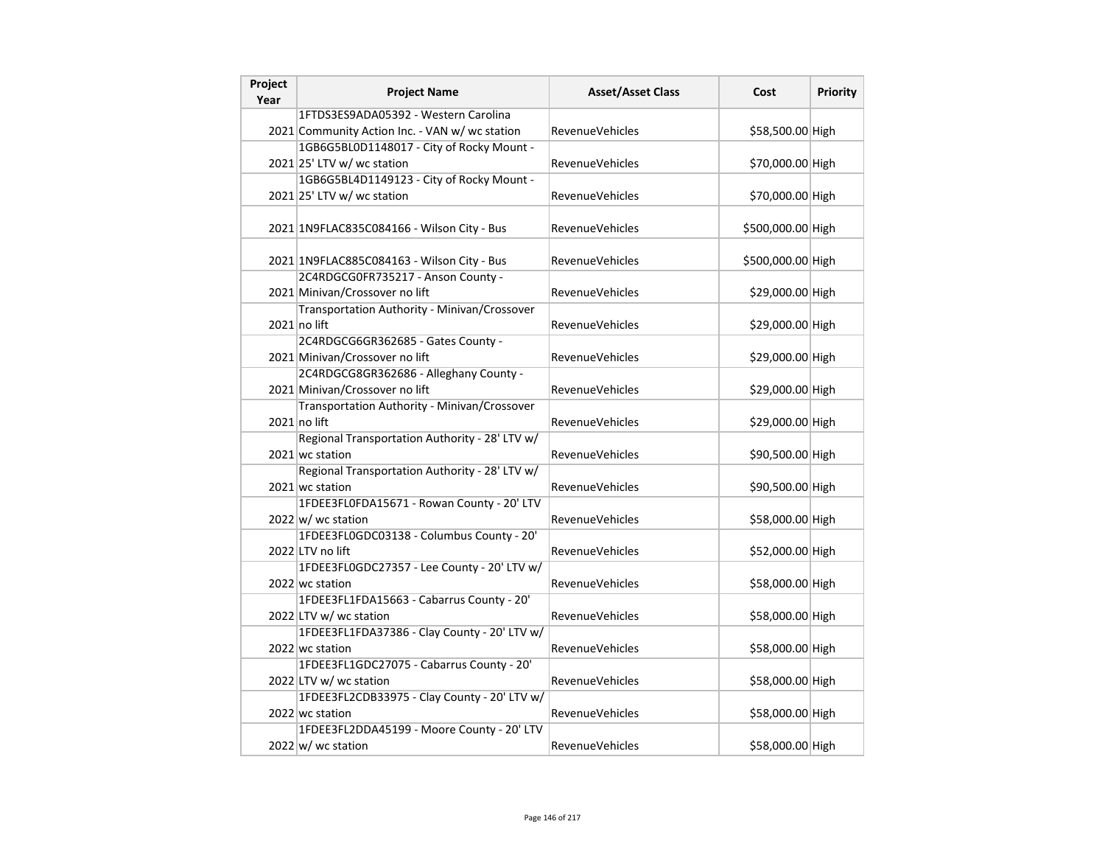| Project<br>Year | <b>Project Name</b>                                            | <b>Asset/Asset Class</b> | Cost              | Priority |
|-----------------|----------------------------------------------------------------|--------------------------|-------------------|----------|
|                 | 1FTDS3ES9ADA05392 - Western Carolina                           |                          |                   |          |
|                 | 2021 Community Action Inc. - VAN w/ wc station                 | <b>RevenueVehicles</b>   | \$58,500.00 High  |          |
|                 | 1GB6G5BL0D1148017 - City of Rocky Mount -                      |                          |                   |          |
|                 | $2021$ 25' LTV w/ wc station                                   | <b>RevenueVehicles</b>   | \$70,000.00 High  |          |
|                 | 1GB6G5BL4D1149123 - City of Rocky Mount -                      |                          |                   |          |
|                 | $2021$ 25' LTV w/ wc station                                   | RevenueVehicles          | \$70,000.00 High  |          |
|                 | 2021 1N9FLAC835C084166 - Wilson City - Bus                     | <b>RevenueVehicles</b>   | \$500,000.00 High |          |
|                 |                                                                |                          |                   |          |
|                 | 2021 1N9FLAC885C084163 - Wilson City - Bus                     | <b>RevenueVehicles</b>   | \$500,000.00 High |          |
|                 | 2C4RDGCG0FR735217 - Anson County -                             |                          |                   |          |
|                 | 2021 Minivan/Crossover no lift                                 | <b>RevenueVehicles</b>   | \$29,000.00 High  |          |
|                 | Transportation Authority - Minivan/Crossover                   |                          |                   |          |
|                 | $2021$ no lift                                                 | <b>RevenueVehicles</b>   | \$29,000.00 High  |          |
|                 | 2C4RDGCG6GR362685 - Gates County -                             |                          |                   |          |
|                 | 2021 Minivan/Crossover no lift                                 | RevenueVehicles          | \$29,000.00 High  |          |
|                 | 2C4RDGCG8GR362686 - Alleghany County -                         |                          |                   |          |
|                 | 2021 Minivan/Crossover no lift                                 | <b>RevenueVehicles</b>   | \$29,000.00 High  |          |
|                 | Transportation Authority - Minivan/Crossover<br>$2021$ no lift | <b>RevenueVehicles</b>   | \$29,000.00 High  |          |
|                 | Regional Transportation Authority - 28' LTV w/                 |                          |                   |          |
|                 | 2021 wc station                                                | <b>RevenueVehicles</b>   | \$90,500.00 High  |          |
|                 | Regional Transportation Authority - 28' LTV w/                 |                          |                   |          |
|                 | 2021 wc station                                                | <b>RevenueVehicles</b>   | \$90,500.00 High  |          |
|                 | 1FDEE3FL0FDA15671 - Rowan County - 20' LTV                     |                          |                   |          |
|                 | $2022 \vert w \vert$ wc station                                | RevenueVehicles          | \$58,000.00 High  |          |
|                 | 1FDEE3FL0GDC03138 - Columbus County - 20'                      |                          |                   |          |
|                 | 2022 LTV no lift                                               | <b>RevenueVehicles</b>   | \$52,000.00 High  |          |
|                 | 1FDEE3FL0GDC27357 - Lee County - 20' LTV w/                    |                          |                   |          |
|                 | 2022 wc station                                                | <b>RevenueVehicles</b>   | \$58,000.00 High  |          |
|                 | 1FDEE3FL1FDA15663 - Cabarrus County - 20'                      |                          |                   |          |
|                 | 2022 LTV w/ wc station                                         | RevenueVehicles          | \$58,000.00 High  |          |
|                 | 1FDEE3FL1FDA37386 - Clay County - 20' LTV w/                   |                          |                   |          |
|                 | 2022 wc station                                                | RevenueVehicles          | \$58,000.00 High  |          |
|                 | 1FDEE3FL1GDC27075 - Cabarrus County - 20'                      |                          |                   |          |
|                 | 2022 LTV w/ wc station                                         | <b>RevenueVehicles</b>   | \$58,000.00 High  |          |
|                 | 1FDEE3FL2CDB33975 - Clay County - 20' LTV w/                   |                          |                   |          |
|                 | 2022 wc station                                                | <b>RevenueVehicles</b>   | \$58,000.00 High  |          |
|                 | 1FDEE3FL2DDA45199 - Moore County - 20' LTV                     |                          |                   |          |
|                 | $2022 \text{ w}$ wc station                                    | RevenueVehicles          | \$58,000.00 High  |          |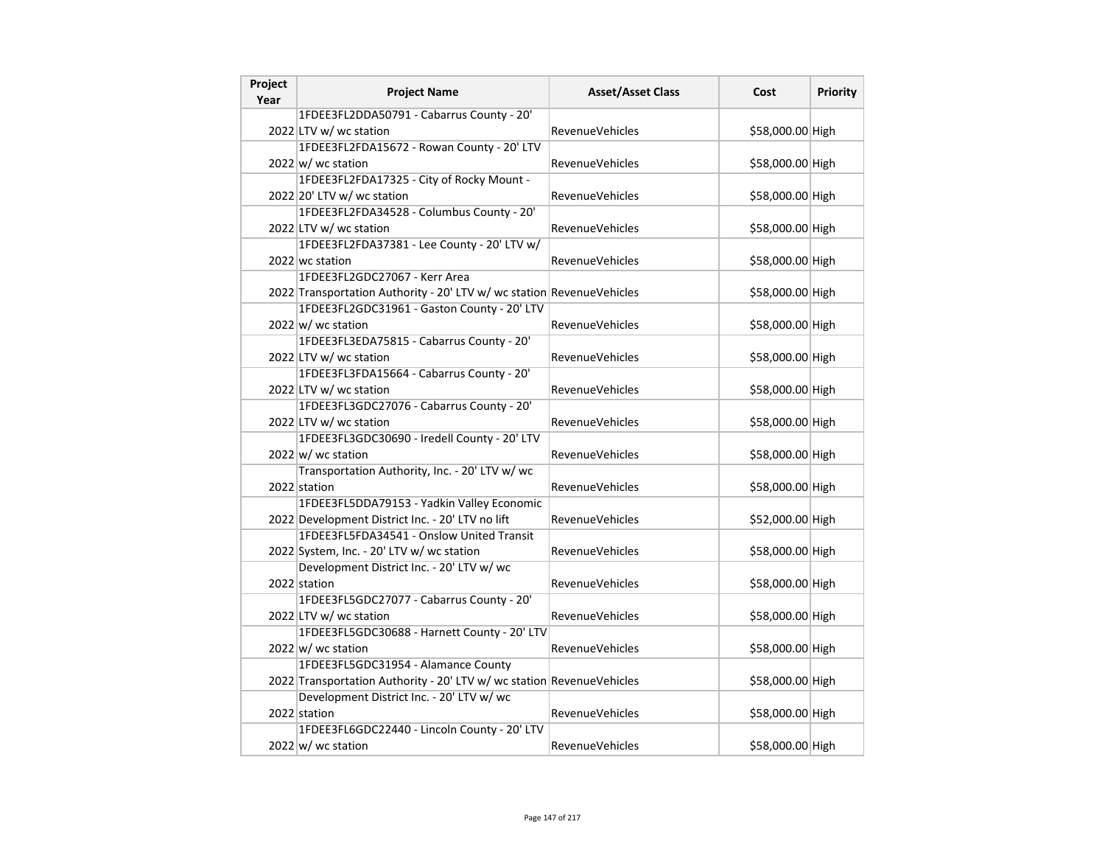| Project<br>Year | <b>Project Name</b>                                                   | <b>Asset/Asset Class</b> | Cost             | Priority |
|-----------------|-----------------------------------------------------------------------|--------------------------|------------------|----------|
|                 | 1FDEE3FL2DDA50791 - Cabarrus County - 20'                             |                          |                  |          |
|                 | 2022 LTV w/ wc station                                                | RevenueVehicles          | \$58,000.00 High |          |
|                 | 1FDEE3FL2FDA15672 - Rowan County - 20' LTV                            |                          |                  |          |
|                 | $2022 \text{ w}$ wc station                                           | RevenueVehicles          | \$58,000.00 High |          |
|                 | 1FDEE3FL2FDA17325 - City of Rocky Mount -                             |                          |                  |          |
|                 | 2022 20' LTV w/ wc station                                            | RevenueVehicles          | \$58,000.00 High |          |
|                 | 1FDEE3FL2FDA34528 - Columbus County - 20'                             |                          |                  |          |
|                 | 2022 LTV w/ wc station                                                | <b>RevenueVehicles</b>   | \$58,000.00 High |          |
|                 | 1FDEE3FL2FDA37381 - Lee County - 20' LTV w/                           |                          |                  |          |
|                 | 2022 wc station                                                       | <b>RevenueVehicles</b>   | \$58,000.00 High |          |
|                 | 1FDEE3FL2GDC27067 - Kerr Area                                         |                          |                  |          |
|                 | 2022 Transportation Authority - 20' LTV w/ wc station RevenueVehicles |                          | \$58,000.00 High |          |
|                 | 1FDEE3FL2GDC31961 - Gaston County - 20' LTV                           |                          |                  |          |
|                 | $2022 \vert w \vert$ wc station                                       | <b>RevenueVehicles</b>   | \$58,000.00 High |          |
|                 | 1FDEE3FL3EDA75815 - Cabarrus County - 20'                             |                          |                  |          |
|                 | 2022 LTV w/ wc station                                                | RevenueVehicles          | \$58,000.00 High |          |
|                 | 1FDEE3FL3FDA15664 - Cabarrus County - 20'                             |                          |                  |          |
|                 | 2022 LTV w/ wc station                                                | RevenueVehicles          | \$58,000.00 High |          |
|                 | 1FDEE3FL3GDC27076 - Cabarrus County - 20'                             |                          |                  |          |
|                 | 2022 LTV w/ wc station                                                | RevenueVehicles          | \$58,000.00 High |          |
|                 | 1FDEE3FL3GDC30690 - Iredell County - 20' LTV                          |                          |                  |          |
|                 | $2022 \text{ w}$ / wc station                                         | RevenueVehicles          | \$58,000.00 High |          |
|                 | Transportation Authority, Inc. - 20' LTV w/ wc                        |                          |                  |          |
|                 | 2022 station                                                          | <b>RevenueVehicles</b>   | \$58,000.00 High |          |
|                 | 1FDEE3FL5DDA79153 - Yadkin Valley Economic                            |                          |                  |          |
|                 | 2022 Development District Inc. - 20' LTV no lift                      | <b>RevenueVehicles</b>   | \$52,000.00 High |          |
|                 | 1FDEE3FL5FDA34541 - Onslow United Transit                             |                          |                  |          |
|                 | 2022 System, Inc. - 20' LTV w/ wc station                             | <b>RevenueVehicles</b>   | \$58,000.00 High |          |
|                 | Development District Inc. - 20' LTV w/ wc                             |                          |                  |          |
|                 | 2022 station                                                          | <b>RevenueVehicles</b>   | \$58,000.00 High |          |
|                 | 1FDEE3FL5GDC27077 - Cabarrus County - 20'                             |                          |                  |          |
|                 | 2022 LTV w/ wc station                                                | RevenueVehicles          | \$58,000.00 High |          |
|                 | 1FDEE3FL5GDC30688 - Harnett County - 20' LTV                          |                          |                  |          |
|                 | $2022 \vert w \vert$ wc station                                       | RevenueVehicles          | \$58,000.00 High |          |
|                 | 1FDEE3FL5GDC31954 - Alamance County                                   |                          |                  |          |
|                 | 2022 Transportation Authority - 20' LTV w/ wc station RevenueVehicles |                          | \$58,000.00 High |          |
|                 | Development District Inc. - 20' LTV w/ wc                             |                          |                  |          |
|                 | 2022 station                                                          | <b>RevenueVehicles</b>   | \$58,000.00 High |          |
|                 | 1FDEE3FL6GDC22440 - Lincoln County - 20' LTV                          |                          |                  |          |
|                 | $2022 \text{ w}$ / wc station                                         | RevenueVehicles          | \$58,000.00 High |          |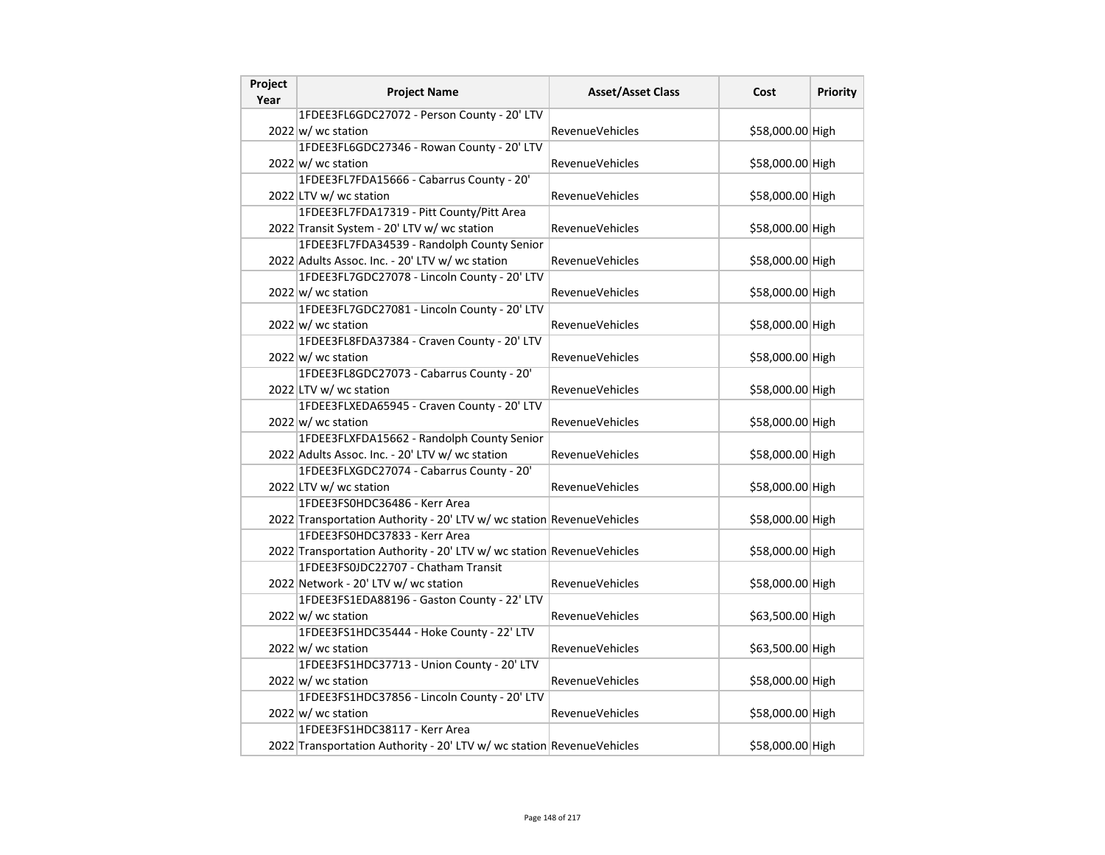| Project<br>Year | <b>Project Name</b>                                                   | <b>Asset/Asset Class</b> | Cost             | Priority |
|-----------------|-----------------------------------------------------------------------|--------------------------|------------------|----------|
|                 | 1FDEE3FL6GDC27072 - Person County - 20' LTV                           |                          |                  |          |
|                 | 2022 w/ wc station                                                    | RevenueVehicles          | \$58,000.00 High |          |
|                 | 1FDEE3FL6GDC27346 - Rowan County - 20' LTV                            |                          |                  |          |
|                 | $2022 \text{ w}$ wc station                                           | <b>RevenueVehicles</b>   | \$58,000.00 High |          |
|                 | 1FDEE3FL7FDA15666 - Cabarrus County - 20'                             |                          |                  |          |
|                 | 2022 LTV w/ wc station                                                | RevenueVehicles          | \$58,000.00 High |          |
|                 | 1FDEE3FL7FDA17319 - Pitt County/Pitt Area                             |                          |                  |          |
|                 | 2022 Transit System - 20' LTV w/ wc station                           | RevenueVehicles          | \$58,000.00 High |          |
|                 | 1FDEE3FL7FDA34539 - Randolph County Senior                            |                          |                  |          |
|                 | 2022 Adults Assoc. Inc. - 20' LTV w/ wc station                       | RevenueVehicles          | \$58,000.00 High |          |
|                 | 1FDEE3FL7GDC27078 - Lincoln County - 20' LTV                          |                          |                  |          |
|                 | $2022 \vert w \vert$ wc station                                       | RevenueVehicles          | \$58,000.00 High |          |
|                 | 1FDEE3FL7GDC27081 - Lincoln County - 20' LTV                          |                          |                  |          |
|                 | $2022 \vert w \vert$ wc station                                       | RevenueVehicles          | \$58,000.00 High |          |
|                 | 1FDEE3FL8FDA37384 - Craven County - 20' LTV                           |                          |                  |          |
|                 | 2022 w/ wc station                                                    | RevenueVehicles          | \$58,000.00 High |          |
|                 | 1FDEE3FL8GDC27073 - Cabarrus County - 20'                             |                          |                  |          |
|                 | 2022 LTV w/ wc station                                                | <b>RevenueVehicles</b>   | \$58,000.00 High |          |
|                 | 1FDEE3FLXEDA65945 - Craven County - 20' LTV                           |                          |                  |          |
|                 | 2022 w/ wc station                                                    | RevenueVehicles          | \$58,000.00 High |          |
|                 | 1FDEE3FLXFDA15662 - Randolph County Senior                            |                          |                  |          |
|                 | 2022 Adults Assoc. Inc. - 20' LTV w/ wc station                       | <b>RevenueVehicles</b>   | \$58,000.00 High |          |
|                 | 1FDEE3FLXGDC27074 - Cabarrus County - 20'                             |                          |                  |          |
|                 | 2022 LTV w/ wc station                                                | RevenueVehicles          | \$58,000.00 High |          |
|                 | 1FDEE3FS0HDC36486 - Kerr Area                                         |                          |                  |          |
|                 | 2022 Transportation Authority - 20' LTV w/ wc station RevenueVehicles |                          | \$58,000.00 High |          |
|                 | 1FDEE3FS0HDC37833 - Kerr Area                                         |                          |                  |          |
|                 | 2022 Transportation Authority - 20' LTV w/ wc station RevenueVehicles |                          | \$58,000.00 High |          |
|                 | 1FDEE3FS0JDC22707 - Chatham Transit                                   |                          |                  |          |
|                 | 2022 Network - 20' LTV w/ wc station                                  | RevenueVehicles          | \$58,000.00 High |          |
|                 | 1FDEE3FS1EDA88196 - Gaston County - 22' LTV                           |                          |                  |          |
|                 | $2022 \text{ w}$ wc station                                           | <b>RevenueVehicles</b>   | \$63,500.00 High |          |
|                 | 1FDEE3FS1HDC35444 - Hoke County - 22' LTV                             |                          |                  |          |
|                 | $2022 \vert w \vert$ wc station                                       | RevenueVehicles          | \$63,500.00 High |          |
|                 | 1FDEE3FS1HDC37713 - Union County - 20' LTV                            |                          |                  |          |
|                 | 2022 w/ wc station                                                    | RevenueVehicles          | \$58,000.00 High |          |
|                 | 1FDEE3FS1HDC37856 - Lincoln County - 20' LTV                          |                          |                  |          |
|                 | $2022 \text{ w}$ wc station                                           | RevenueVehicles          | \$58,000.00 High |          |
|                 | 1FDEE3FS1HDC38117 - Kerr Area                                         |                          |                  |          |
|                 | 2022 Transportation Authority - 20' LTV w/ wc station RevenueVehicles |                          | \$58,000.00 High |          |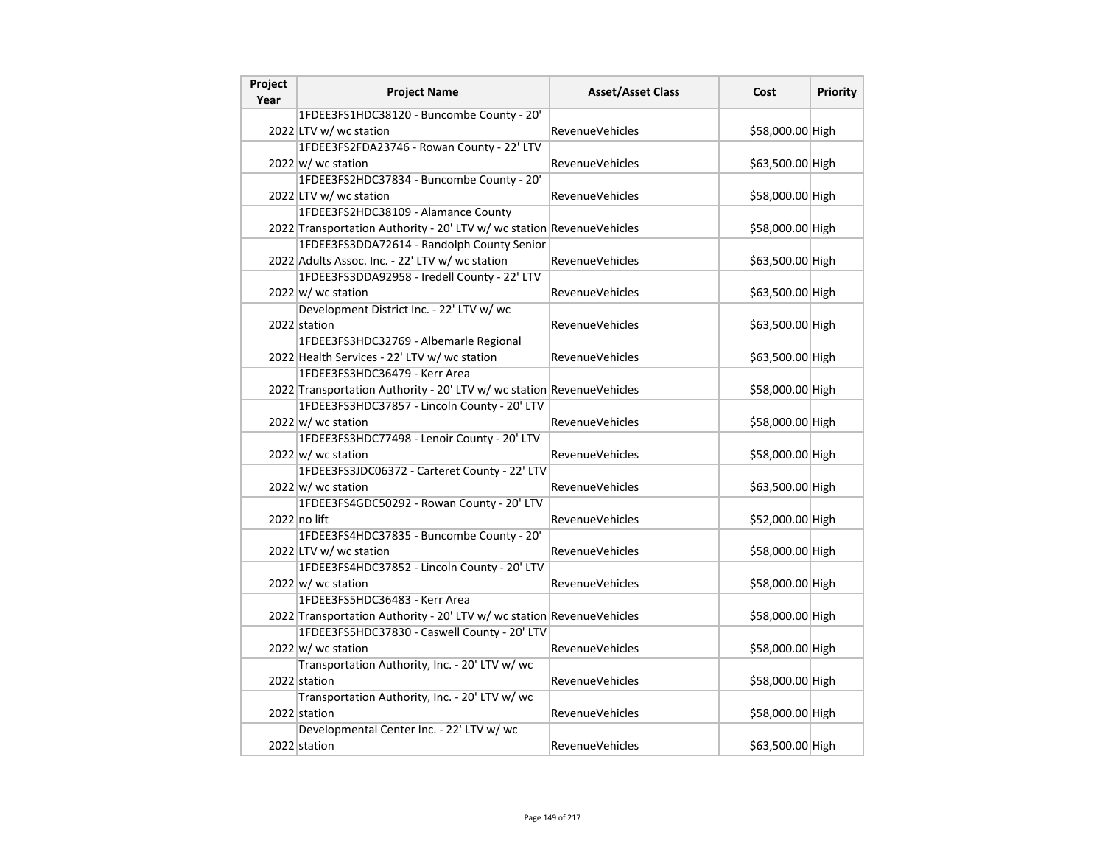| Project<br>Year | <b>Project Name</b>                                                   | <b>Asset/Asset Class</b> | Cost             | <b>Priority</b> |
|-----------------|-----------------------------------------------------------------------|--------------------------|------------------|-----------------|
|                 | 1FDEE3FS1HDC38120 - Buncombe County - 20'                             |                          |                  |                 |
|                 | 2022 LTV w/ wc station                                                | <b>RevenueVehicles</b>   | \$58,000.00 High |                 |
|                 | 1FDEE3FS2FDA23746 - Rowan County - 22' LTV                            |                          |                  |                 |
|                 | $2022 \text{ w}$ wc station                                           | RevenueVehicles          | \$63,500.00 High |                 |
|                 | 1FDEE3FS2HDC37834 - Buncombe County - 20'                             |                          |                  |                 |
|                 | 2022 LTV w/ wc station                                                | <b>RevenueVehicles</b>   | \$58,000.00 High |                 |
|                 | 1FDEE3FS2HDC38109 - Alamance County                                   |                          |                  |                 |
|                 | 2022 Transportation Authority - 20' LTV w/ wc station RevenueVehicles |                          | \$58,000.00 High |                 |
|                 | 1FDEE3FS3DDA72614 - Randolph County Senior                            |                          |                  |                 |
|                 | 2022 Adults Assoc. Inc. - 22' LTV w/ wc station                       | <b>RevenueVehicles</b>   | \$63,500.00 High |                 |
|                 | 1FDEE3FS3DDA92958 - Iredell County - 22' LTV                          |                          |                  |                 |
|                 | $2022 \text{ w}$ / wc station                                         | RevenueVehicles          | \$63,500.00 High |                 |
|                 | Development District Inc. - 22' LTV w/ wc                             |                          |                  |                 |
|                 | 2022 station                                                          | <b>RevenueVehicles</b>   | \$63,500.00 High |                 |
|                 | 1FDEE3FS3HDC32769 - Albemarle Regional                                |                          |                  |                 |
|                 | 2022 Health Services - 22' LTV w/ wc station                          | <b>RevenueVehicles</b>   | \$63,500.00 High |                 |
|                 | 1FDEE3FS3HDC36479 - Kerr Area                                         |                          |                  |                 |
|                 | 2022 Transportation Authority - 20' LTV w/ wc station RevenueVehicles |                          | \$58,000.00 High |                 |
|                 | 1FDEE3FS3HDC37857 - Lincoln County - 20' LTV                          |                          |                  |                 |
|                 | $2022 \text{ w}$ / wc station                                         | RevenueVehicles          | \$58,000.00 High |                 |
|                 | 1FDEE3FS3HDC77498 - Lenoir County - 20' LTV                           |                          |                  |                 |
|                 | $2022 \vert w \vert$ wc station                                       | <b>RevenueVehicles</b>   | \$58,000.00 High |                 |
|                 | 1FDEE3FS3JDC06372 - Carteret County - 22' LTV                         |                          |                  |                 |
|                 | 2022 w/ wc station                                                    | <b>RevenueVehicles</b>   | \$63,500.00 High |                 |
|                 | 1FDEE3FS4GDC50292 - Rowan County - 20' LTV                            |                          |                  |                 |
|                 | 2022 no lift                                                          | RevenueVehicles          | \$52,000.00 High |                 |
|                 | 1FDEE3FS4HDC37835 - Buncombe County - 20'                             |                          |                  |                 |
|                 | 2022 LTV w/ wc station                                                | <b>RevenueVehicles</b>   | \$58,000.00 High |                 |
|                 | 1FDEE3FS4HDC37852 - Lincoln County - 20' LTV                          |                          |                  |                 |
|                 | $2022 \text{ w}$ / wc station                                         | <b>RevenueVehicles</b>   | \$58,000.00 High |                 |
|                 | 1FDEE3FS5HDC36483 - Kerr Area                                         |                          |                  |                 |
|                 | 2022 Transportation Authority - 20' LTV w/ wc station RevenueVehicles |                          | \$58,000.00 High |                 |
|                 | 1FDEE3FS5HDC37830 - Caswell County - 20' LTV                          |                          |                  |                 |
|                 | 2022 w/ wc station                                                    | <b>RevenueVehicles</b>   | \$58,000.00 High |                 |
|                 | Transportation Authority, Inc. - 20' LTV w/ wc                        |                          |                  |                 |
|                 | 2022 station                                                          | <b>RevenueVehicles</b>   | \$58,000.00 High |                 |
|                 | Transportation Authority, Inc. - 20' LTV w/ wc                        |                          |                  |                 |
|                 | 2022 station                                                          | <b>RevenueVehicles</b>   | \$58,000.00 High |                 |
|                 | Developmental Center Inc. - 22' LTV w/ wc                             |                          |                  |                 |
|                 | 2022 station                                                          | <b>RevenueVehicles</b>   | \$63,500.00 High |                 |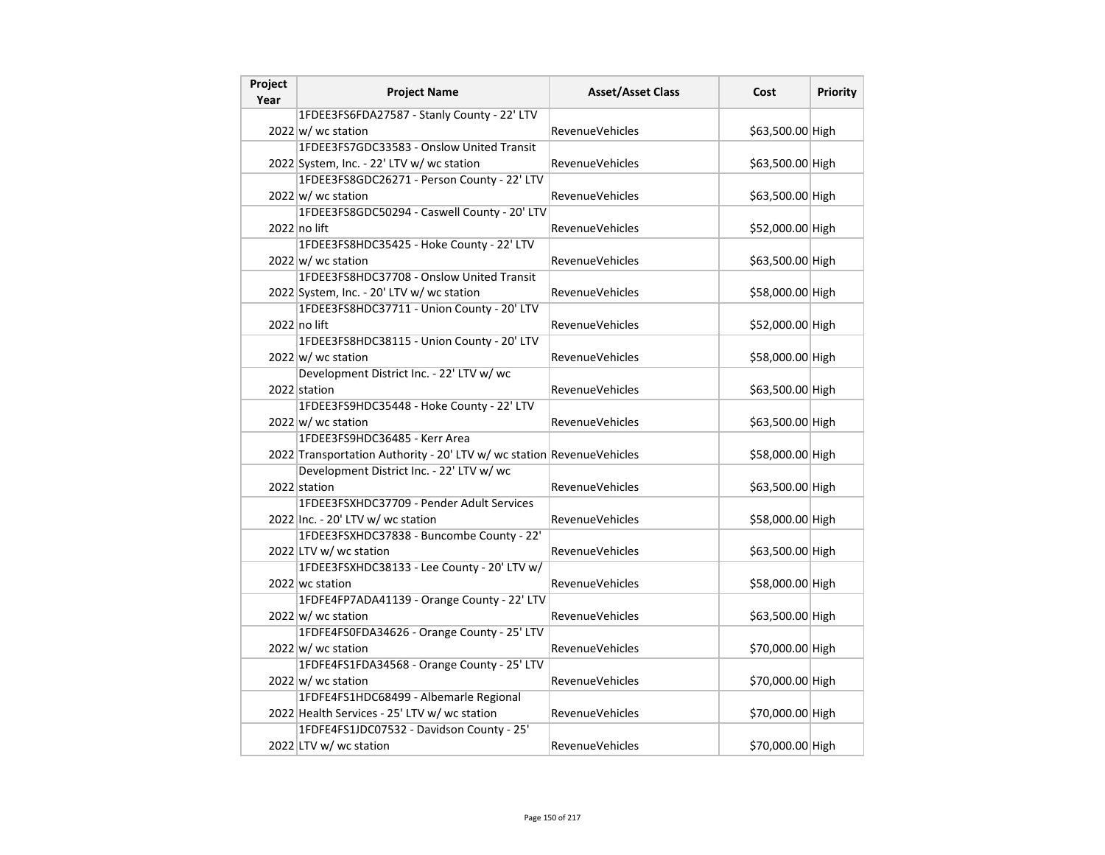| Project<br>Year | <b>Project Name</b>                                                   | <b>Asset/Asset Class</b> | Cost             | Priority |
|-----------------|-----------------------------------------------------------------------|--------------------------|------------------|----------|
|                 | 1FDEE3FS6FDA27587 - Stanly County - 22' LTV                           |                          |                  |          |
|                 | 2022 w/ wc station                                                    | <b>RevenueVehicles</b>   | \$63,500.00 High |          |
|                 | 1FDEE3FS7GDC33583 - Onslow United Transit                             |                          |                  |          |
|                 | 2022 System, Inc. - 22' LTV w/ wc station                             | RevenueVehicles          | \$63,500.00 High |          |
|                 | 1FDEE3FS8GDC26271 - Person County - 22' LTV                           |                          |                  |          |
|                 | $2022 \vert w \vert$ wc station                                       | <b>RevenueVehicles</b>   | \$63,500.00 High |          |
|                 | 1FDEE3FS8GDC50294 - Caswell County - 20' LTV                          |                          |                  |          |
|                 | 2022 no lift                                                          | <b>RevenueVehicles</b>   | \$52,000.00 High |          |
|                 | 1FDEE3FS8HDC35425 - Hoke County - 22' LTV                             |                          |                  |          |
|                 | 2022 w/ wc station                                                    | <b>RevenueVehicles</b>   | \$63,500.00 High |          |
|                 | 1FDEE3FS8HDC37708 - Onslow United Transit                             |                          |                  |          |
|                 | 2022 System, Inc. - 20' LTV w/ wc station                             | RevenueVehicles          | \$58,000.00 High |          |
|                 | 1FDEE3FS8HDC37711 - Union County - 20' LTV                            |                          |                  |          |
|                 | 2022 no lift                                                          | <b>RevenueVehicles</b>   | \$52,000.00 High |          |
|                 | 1FDEE3FS8HDC38115 - Union County - 20' LTV                            |                          |                  |          |
|                 | $2022 \text{ w}$ wc station                                           | <b>RevenueVehicles</b>   | \$58,000.00 High |          |
|                 | Development District Inc. - 22' LTV w/ wc                             |                          |                  |          |
|                 | 2022 station                                                          | <b>RevenueVehicles</b>   | \$63,500.00 High |          |
|                 | 1FDEE3FS9HDC35448 - Hoke County - 22' LTV                             |                          |                  |          |
|                 | 2022 w/ wc station                                                    | <b>RevenueVehicles</b>   | \$63,500.00 High |          |
|                 | 1FDEE3FS9HDC36485 - Kerr Area                                         |                          |                  |          |
|                 | 2022 Transportation Authority - 20' LTV w/ wc station RevenueVehicles |                          | \$58,000.00 High |          |
|                 | Development District Inc. - 22' LTV w/ wc                             |                          |                  |          |
|                 | 2022 station                                                          | <b>RevenueVehicles</b>   | \$63,500.00 High |          |
|                 | 1FDEE3FSXHDC37709 - Pender Adult Services                             |                          |                  |          |
|                 | 2022 Inc. - 20' LTV w/ wc station                                     | RevenueVehicles          | \$58,000.00 High |          |
|                 | 1FDEE3FSXHDC37838 - Buncombe County - 22'                             |                          |                  |          |
|                 | 2022 LTV w/ wc station                                                | <b>RevenueVehicles</b>   | \$63,500.00 High |          |
|                 | 1FDEE3FSXHDC38133 - Lee County - 20' LTV w/                           |                          |                  |          |
|                 | 2022 wc station                                                       | <b>RevenueVehicles</b>   | \$58,000.00 High |          |
|                 | 1FDFE4FP7ADA41139 - Orange County - 22' LTV                           |                          |                  |          |
|                 | $2022 \text{ w}$ wc station                                           | RevenueVehicles          | \$63,500.00 High |          |
|                 | 1FDFE4FS0FDA34626 - Orange County - 25' LTV                           |                          |                  |          |
|                 | $2022 \text{ w}$ / wc station                                         | <b>RevenueVehicles</b>   | \$70,000.00 High |          |
|                 | 1FDFE4FS1FDA34568 - Orange County - 25' LTV                           |                          |                  |          |
|                 | $2022 \text{ w}$ / wc station                                         | <b>RevenueVehicles</b>   | \$70,000.00 High |          |
|                 | 1FDFE4FS1HDC68499 - Albemarle Regional                                |                          |                  |          |
|                 | 2022 Health Services - 25' LTV w/ wc station                          | <b>RevenueVehicles</b>   | \$70,000.00 High |          |
|                 | 1FDFE4FS1JDC07532 - Davidson County - 25'                             |                          |                  |          |
|                 | 2022 LTV w/ wc station                                                | RevenueVehicles          | \$70,000.00 High |          |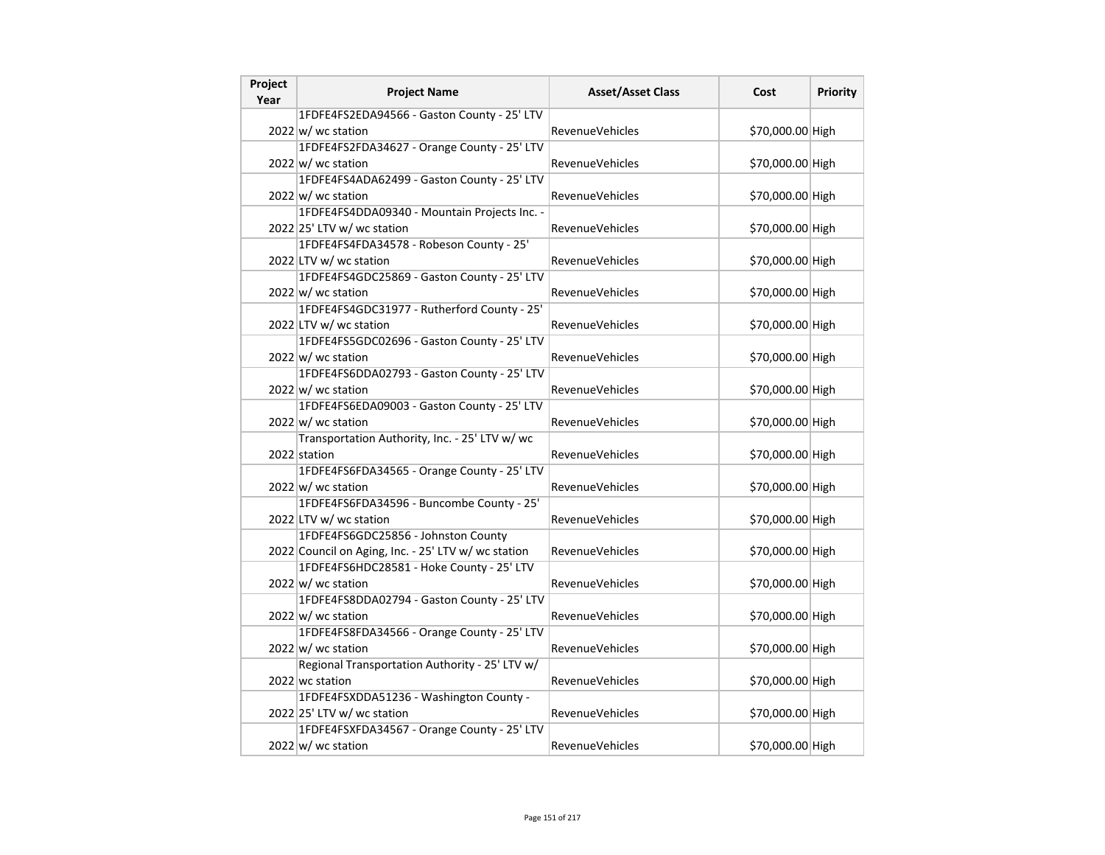| Project<br>Year | <b>Project Name</b>                                 | <b>Asset/Asset Class</b> | Cost             | Priority |
|-----------------|-----------------------------------------------------|--------------------------|------------------|----------|
|                 | 1FDFE4FS2EDA94566 - Gaston County - 25' LTV         |                          |                  |          |
|                 | 2022 w/ wc station                                  | <b>RevenueVehicles</b>   | \$70,000.00 High |          |
|                 | 1FDFE4FS2FDA34627 - Orange County - 25' LTV         |                          |                  |          |
|                 | 2022 w/ wc station                                  | RevenueVehicles          | \$70,000.00 High |          |
|                 | 1FDFE4FS4ADA62499 - Gaston County - 25' LTV         |                          |                  |          |
|                 | 2022 w/ wc station                                  | <b>RevenueVehicles</b>   | \$70,000.00 High |          |
|                 | 1FDFE4FS4DDA09340 - Mountain Projects Inc. -        |                          |                  |          |
|                 | 2022 25' LTV w/ wc station                          | RevenueVehicles          | \$70,000.00 High |          |
|                 | 1FDFE4FS4FDA34578 - Robeson County - 25'            |                          |                  |          |
|                 | 2022 LTV w/ wc station                              | <b>RevenueVehicles</b>   | \$70,000.00 High |          |
|                 | 1FDFE4FS4GDC25869 - Gaston County - 25' LTV         |                          |                  |          |
|                 | $2022 \text{ w}$ / wc station                       | RevenueVehicles          | \$70,000.00 High |          |
|                 | 1FDFE4FS4GDC31977 - Rutherford County - 25'         |                          |                  |          |
|                 | 2022 LTV w/ wc station                              | <b>RevenueVehicles</b>   | \$70,000.00 High |          |
|                 | 1FDFE4FS5GDC02696 - Gaston County - 25' LTV         |                          |                  |          |
|                 | $2022 \text{ w}$ wc station                         | <b>RevenueVehicles</b>   | \$70,000.00 High |          |
|                 | 1FDFE4FS6DDA02793 - Gaston County - 25' LTV         |                          |                  |          |
|                 | 2022 w/ wc station                                  | <b>RevenueVehicles</b>   | \$70,000.00 High |          |
|                 | 1FDFE4FS6EDA09003 - Gaston County - 25' LTV         |                          |                  |          |
|                 | 2022 w/ wc station                                  | RevenueVehicles          | \$70,000.00 High |          |
|                 | Transportation Authority, Inc. - 25' LTV w/ wc      |                          |                  |          |
|                 | 2022 station                                        | <b>RevenueVehicles</b>   | \$70,000.00 High |          |
|                 | 1FDFE4FS6FDA34565 - Orange County - 25' LTV         |                          |                  |          |
|                 | $2022 \text{ w}$ wc station                         | <b>RevenueVehicles</b>   | \$70,000.00 High |          |
|                 | 1FDFE4FS6FDA34596 - Buncombe County - 25'           |                          |                  |          |
|                 | 2022 LTV w/ wc station                              | RevenueVehicles          | \$70,000.00 High |          |
|                 | 1FDFE4FS6GDC25856 - Johnston County                 |                          |                  |          |
|                 | 2022 Council on Aging, Inc. - 25' LTV w/ wc station | <b>RevenueVehicles</b>   | \$70,000.00 High |          |
|                 | 1FDFE4FS6HDC28581 - Hoke County - 25' LTV           |                          |                  |          |
|                 | $2022 \text{ w}$ wc station                         | <b>RevenueVehicles</b>   | \$70,000.00 High |          |
|                 | 1FDFE4FS8DDA02794 - Gaston County - 25' LTV         |                          |                  |          |
|                 | $2022 \text{ w}$ wc station                         | <b>RevenueVehicles</b>   | \$70,000.00 High |          |
|                 | 1FDFE4FS8FDA34566 - Orange County - 25' LTV         |                          |                  |          |
|                 | 2022 w/ wc station                                  | RevenueVehicles          | \$70,000.00 High |          |
|                 | Regional Transportation Authority - 25' LTV w/      |                          |                  |          |
|                 | 2022 wc station                                     | <b>RevenueVehicles</b>   | \$70,000.00 High |          |
|                 | 1FDFE4FSXDDA51236 - Washington County -             |                          |                  |          |
|                 | 2022 25' LTV w/ wc station                          | <b>RevenueVehicles</b>   | \$70,000.00 High |          |
|                 | 1FDFE4FSXFDA34567 - Orange County - 25' LTV         |                          |                  |          |
|                 | $2022 \text{ w}$ / wc station                       | RevenueVehicles          | \$70,000.00 High |          |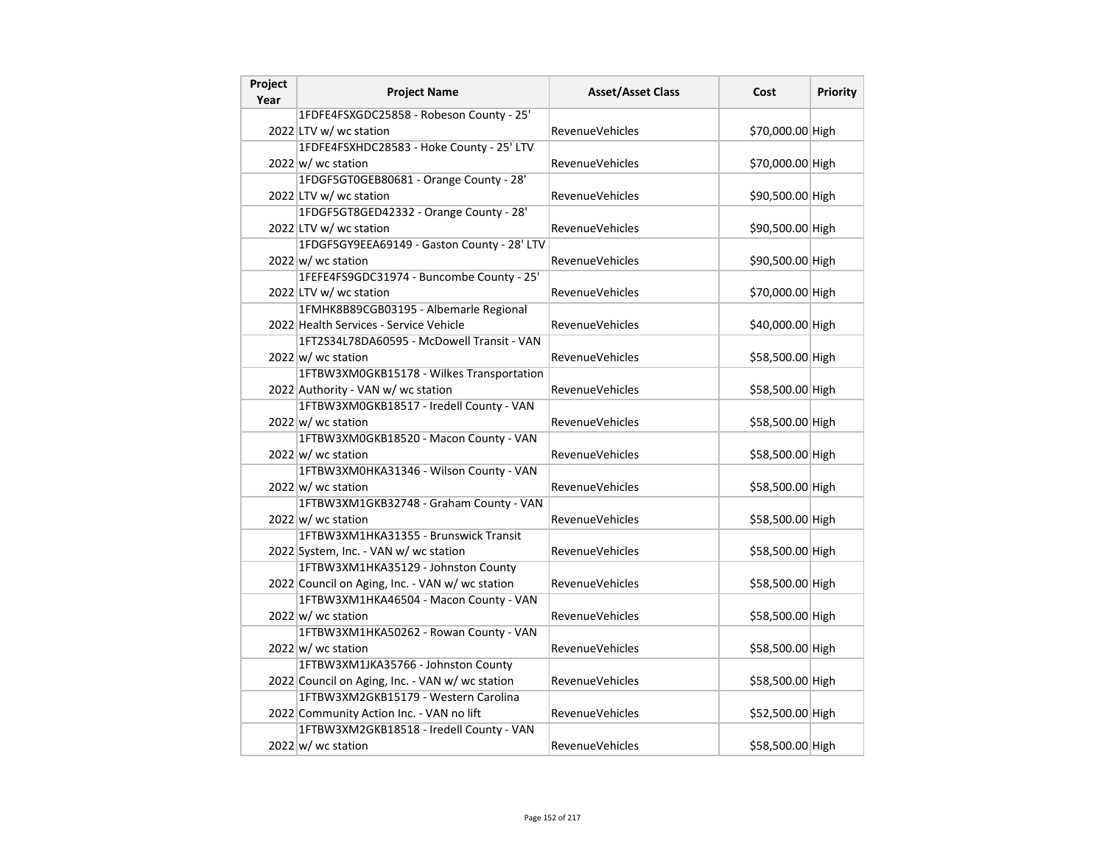| Project<br>Year | <b>Project Name</b>                             | <b>Asset/Asset Class</b> | Cost             | Priority |
|-----------------|-------------------------------------------------|--------------------------|------------------|----------|
|                 | 1FDFE4FSXGDC25858 - Robeson County - 25'        |                          |                  |          |
|                 | 2022 LTV w/ wc station                          | RevenueVehicles          | \$70,000.00 High |          |
|                 | 1FDFE4FSXHDC28583 - Hoke County - 25' LTV       |                          |                  |          |
|                 | $2022 \text{ w}$ wc station                     | <b>RevenueVehicles</b>   | \$70,000.00 High |          |
|                 | 1FDGF5GT0GEB80681 - Orange County - 28'         |                          |                  |          |
|                 | 2022 LTV w/ wc station                          | RevenueVehicles          | \$90,500.00 High |          |
|                 | 1FDGF5GT8GED42332 - Orange County - 28'         |                          |                  |          |
|                 | 2022 LTV w/ wc station                          | <b>RevenueVehicles</b>   | \$90,500.00 High |          |
|                 | 1FDGF5GY9EEA69149 - Gaston County - 28' LTV     |                          |                  |          |
|                 | $2022 \text{ w}$ wc station                     | RevenueVehicles          | \$90,500.00 High |          |
|                 | 1FEFE4FS9GDC31974 - Buncombe County - 25'       |                          |                  |          |
|                 | 2022 LTV w/ wc station                          | RevenueVehicles          | \$70,000.00 High |          |
|                 | 1FMHK8B89CGB03195 - Albemarle Regional          |                          |                  |          |
|                 | 2022 Health Services - Service Vehicle          | RevenueVehicles          | \$40,000.00 High |          |
|                 | 1FT2S34L78DA60595 - McDowell Transit - VAN      |                          |                  |          |
|                 | 2022 w/ wc station                              | <b>RevenueVehicles</b>   | \$58,500.00 High |          |
|                 | 1FTBW3XM0GKB15178 - Wilkes Transportation       |                          |                  |          |
|                 | 2022 Authority - VAN w/ wc station              | RevenueVehicles          | \$58,500.00 High |          |
|                 | 1FTBW3XM0GKB18517 - Iredell County - VAN        |                          |                  |          |
|                 | $2022 \vert w \vert$ wc station                 | <b>RevenueVehicles</b>   | \$58,500.00 High |          |
|                 | 1FTBW3XM0GKB18520 - Macon County - VAN          |                          |                  |          |
|                 | $2022 \vert w \vert$ wc station                 | <b>RevenueVehicles</b>   | \$58,500.00 High |          |
|                 | 1FTBW3XM0HKA31346 - Wilson County - VAN         |                          |                  |          |
|                 | $2022 \vert w \vert$ wc station                 | RevenueVehicles          | \$58,500.00 High |          |
|                 | 1FTBW3XM1GKB32748 - Graham County - VAN         |                          |                  |          |
|                 | 2022 w/ wc station                              | RevenueVehicles          | \$58,500.00 High |          |
|                 | 1FTBW3XM1HKA31355 - Brunswick Transit           |                          |                  |          |
|                 | 2022 System, Inc. - VAN w/ wc station           | <b>RevenueVehicles</b>   | \$58,500.00 High |          |
|                 | 1FTBW3XM1HKA35129 - Johnston County             |                          |                  |          |
|                 | 2022 Council on Aging, Inc. - VAN w/ wc station | RevenueVehicles          | \$58,500.00 High |          |
|                 | 1FTBW3XM1HKA46504 - Macon County - VAN          |                          |                  |          |
|                 | $2022 \text{ w}$ wc station                     | <b>RevenueVehicles</b>   | \$58,500.00 High |          |
|                 | 1FTBW3XM1HKA50262 - Rowan County - VAN          |                          |                  |          |
|                 | 2022 w/ wc station                              | RevenueVehicles          | \$58,500.00 High |          |
|                 | 1FTBW3XM1JKA35766 - Johnston County             |                          |                  |          |
|                 | 2022 Council on Aging, Inc. - VAN w/ wc station | RevenueVehicles          | \$58,500.00 High |          |
|                 | 1FTBW3XM2GKB15179 - Western Carolina            |                          |                  |          |
|                 | 2022 Community Action Inc. - VAN no lift        | <b>RevenueVehicles</b>   | \$52,500.00 High |          |
|                 | 1FTBW3XM2GKB18518 - Iredell County - VAN        |                          |                  |          |
|                 | $2022 \vert w \vert$ wc station                 | RevenueVehicles          | \$58,500.00 High |          |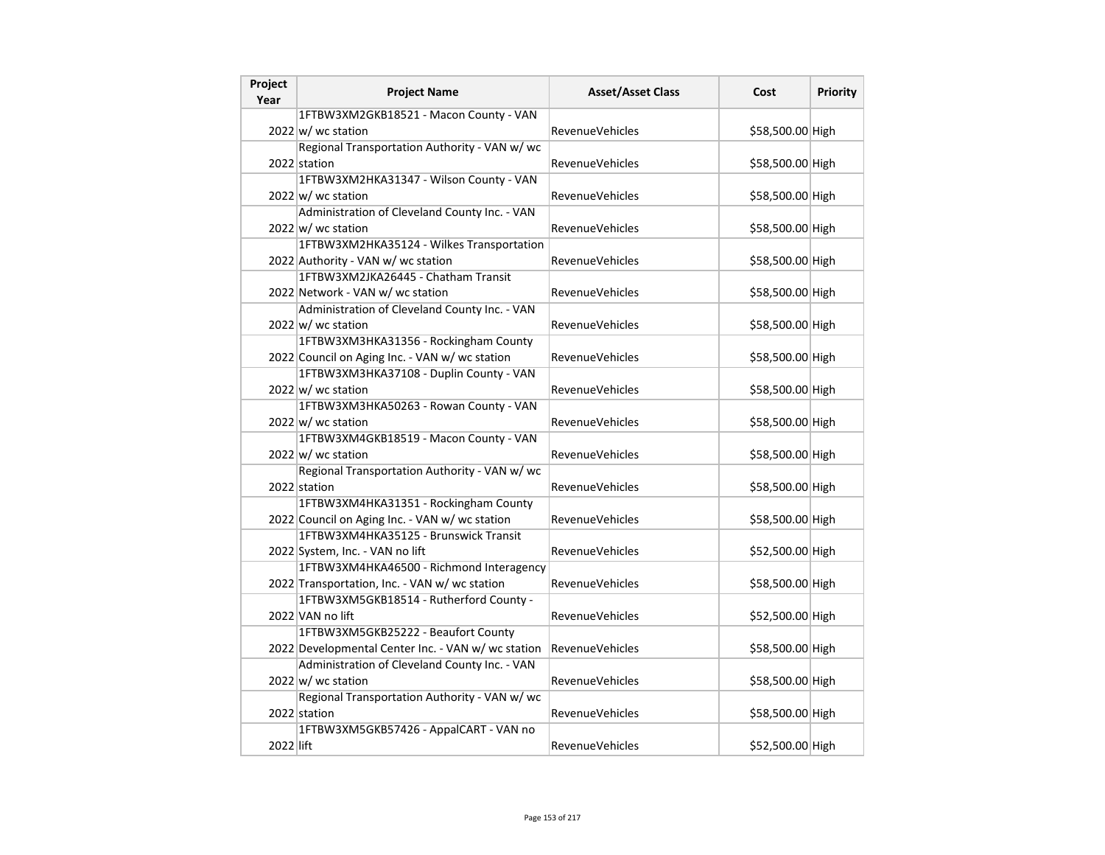| Project<br>Year | <b>Project Name</b>                                | <b>Asset/Asset Class</b> | Cost             | <b>Priority</b> |
|-----------------|----------------------------------------------------|--------------------------|------------------|-----------------|
|                 | 1FTBW3XM2GKB18521 - Macon County - VAN             |                          |                  |                 |
|                 | $2022 \text{ w}$ wc station                        | <b>RevenueVehicles</b>   | \$58,500.00 High |                 |
|                 | Regional Transportation Authority - VAN w/ wc      |                          |                  |                 |
|                 | 2022 station                                       | <b>RevenueVehicles</b>   | \$58,500.00 High |                 |
|                 | 1FTBW3XM2HKA31347 - Wilson County - VAN            |                          |                  |                 |
|                 | $2022 \vert w \vert$ wc station                    | RevenueVehicles          | \$58,500.00 High |                 |
|                 | Administration of Cleveland County Inc. - VAN      |                          |                  |                 |
|                 | $2022 \vert w \vert$ wc station                    | <b>RevenueVehicles</b>   | \$58,500.00 High |                 |
|                 | 1FTBW3XM2HKA35124 - Wilkes Transportation          |                          |                  |                 |
|                 | 2022 Authority - VAN w/ wc station                 | <b>RevenueVehicles</b>   | \$58,500.00 High |                 |
|                 | 1FTBW3XM2JKA26445 - Chatham Transit                |                          |                  |                 |
|                 | 2022 Network - VAN w/ wc station                   | RevenueVehicles          | \$58,500.00 High |                 |
|                 | Administration of Cleveland County Inc. - VAN      |                          |                  |                 |
|                 | $2022 \vert w \vert$ wc station                    | <b>RevenueVehicles</b>   | \$58,500.00 High |                 |
|                 | 1FTBW3XM3HKA31356 - Rockingham County              |                          |                  |                 |
|                 | 2022 Council on Aging Inc. - VAN w/ wc station     | <b>RevenueVehicles</b>   | \$58,500.00 High |                 |
|                 | 1FTBW3XM3HKA37108 - Duplin County - VAN            |                          |                  |                 |
|                 | $2022 \text{ w}$ / wc station                      | <b>RevenueVehicles</b>   | \$58,500.00 High |                 |
|                 | 1FTBW3XM3HKA50263 - Rowan County - VAN             |                          |                  |                 |
|                 | $2022 \text{ w}$ wc station                        | <b>RevenueVehicles</b>   | \$58,500.00 High |                 |
|                 | 1FTBW3XM4GKB18519 - Macon County - VAN             |                          |                  |                 |
|                 | $2022 \text{ w}$ / wc station                      | RevenueVehicles          | \$58,500.00 High |                 |
|                 | Regional Transportation Authority - VAN w/ wc      |                          |                  |                 |
|                 | 2022 station                                       | RevenueVehicles          | \$58,500.00 High |                 |
|                 | 1FTBW3XM4HKA31351 - Rockingham County              |                          |                  |                 |
|                 | 2022 Council on Aging Inc. - VAN w/ wc station     | RevenueVehicles          | \$58,500.00 High |                 |
|                 | 1FTBW3XM4HKA35125 - Brunswick Transit              |                          |                  |                 |
|                 | 2022 System, Inc. - VAN no lift                    | <b>RevenueVehicles</b>   | \$52,500.00 High |                 |
|                 | 1FTBW3XM4HKA46500 - Richmond Interagency           |                          |                  |                 |
|                 | 2022 Transportation, Inc. - VAN w/ wc station      | RevenueVehicles          | \$58,500.00 High |                 |
|                 | 1FTBW3XM5GKB18514 - Rutherford County -            |                          |                  |                 |
|                 | 2022 VAN no lift                                   | <b>RevenueVehicles</b>   | \$52,500.00 High |                 |
|                 | 1FTBW3XM5GKB25222 - Beaufort County                |                          |                  |                 |
|                 | 2022 Developmental Center Inc. - VAN w/ wc station | <b>RevenueVehicles</b>   | \$58,500.00 High |                 |
|                 | Administration of Cleveland County Inc. - VAN      |                          |                  |                 |
|                 | $2022 \text{ w}$ / wc station                      | RevenueVehicles          | \$58,500.00 High |                 |
|                 | Regional Transportation Authority - VAN w/ wc      |                          |                  |                 |
|                 | 2022 station                                       | <b>RevenueVehicles</b>   | \$58,500.00 High |                 |
|                 | 1FTBW3XM5GKB57426 - AppalCART - VAN no             |                          |                  |                 |
| 2022 lift       |                                                    | RevenueVehicles          | \$52,500.00 High |                 |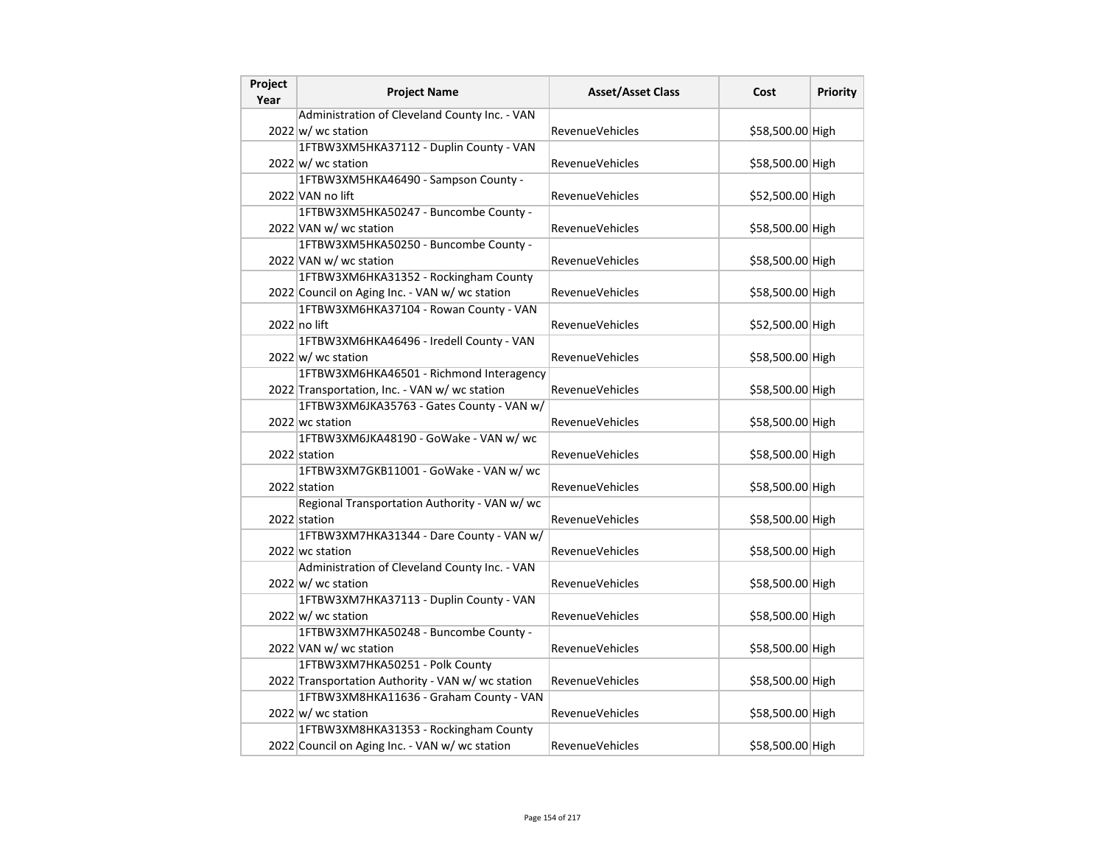| Project | <b>Project Name</b>                               | <b>Asset/Asset Class</b> | Cost             | Priority |
|---------|---------------------------------------------------|--------------------------|------------------|----------|
| Year    | Administration of Cleveland County Inc. - VAN     |                          |                  |          |
|         | 2022 w/ wc station                                | RevenueVehicles          | \$58,500.00 High |          |
|         | 1FTBW3XM5HKA37112 - Duplin County - VAN           |                          |                  |          |
|         | $2022 \text{ w}$ wc station                       | <b>RevenueVehicles</b>   | \$58,500.00 High |          |
|         | 1FTBW3XM5HKA46490 - Sampson County -              |                          |                  |          |
|         | 2022 VAN no lift                                  | RevenueVehicles          | \$52,500.00 High |          |
|         | 1FTBW3XM5HKA50247 - Buncombe County -             |                          |                  |          |
|         | 2022 VAN w/ wc station                            | RevenueVehicles          | \$58,500.00 High |          |
|         | 1FTBW3XM5HKA50250 - Buncombe County -             |                          |                  |          |
|         | 2022 VAN w/ wc station                            | RevenueVehicles          | \$58,500.00 High |          |
|         | 1FTBW3XM6HKA31352 - Rockingham County             |                          |                  |          |
|         | 2022 Council on Aging Inc. - VAN w/ wc station    | RevenueVehicles          | \$58,500.00 High |          |
|         | 1FTBW3XM6HKA37104 - Rowan County - VAN            |                          |                  |          |
|         | 2022 no lift                                      | RevenueVehicles          | \$52,500.00 High |          |
|         | 1FTBW3XM6HKA46496 - Iredell County - VAN          |                          |                  |          |
|         | 2022 w/ wc station                                | <b>RevenueVehicles</b>   | \$58,500.00 High |          |
|         | 1FTBW3XM6HKA46501 - Richmond Interagency          |                          |                  |          |
|         | 2022 Transportation, Inc. - VAN w/ wc station     | RevenueVehicles          | \$58,500.00 High |          |
|         | 1FTBW3XM6JKA35763 - Gates County - VAN w/         |                          |                  |          |
|         | 2022 wc station                                   | RevenueVehicles          | \$58,500.00 High |          |
|         | 1FTBW3XM6JKA48190 - GoWake - VAN w/ wc            |                          |                  |          |
|         | 2022 station                                      | <b>RevenueVehicles</b>   | \$58,500.00 High |          |
|         | 1FTBW3XM7GKB11001 - GoWake - VAN w/ wc            |                          |                  |          |
|         | 2022 station                                      | RevenueVehicles          | \$58,500.00 High |          |
|         | Regional Transportation Authority - VAN w/ wc     |                          |                  |          |
|         | 2022 station                                      | <b>RevenueVehicles</b>   | \$58,500.00 High |          |
|         | 1FTBW3XM7HKA31344 - Dare County - VAN w/          |                          |                  |          |
|         | 2022 wc station                                   | RevenueVehicles          | \$58,500.00 High |          |
|         | Administration of Cleveland County Inc. - VAN     |                          |                  |          |
|         | $2022 \vert w \vert$ wc station                   | RevenueVehicles          | \$58,500.00 High |          |
|         | 1FTBW3XM7HKA37113 - Duplin County - VAN           |                          |                  |          |
|         | $2022 \text{ w}$ wc station                       | RevenueVehicles          | \$58,500.00 High |          |
|         | 1FTBW3XM7HKA50248 - Buncombe County -             |                          |                  |          |
|         | 2022 VAN w/ wc station                            | <b>RevenueVehicles</b>   | \$58,500.00 High |          |
|         | 1FTBW3XM7HKA50251 - Polk County                   |                          |                  |          |
|         | 2022 Transportation Authority - VAN w/ wc station | RevenueVehicles          | \$58,500.00 High |          |
|         | 1FTBW3XM8HKA11636 - Graham County - VAN           |                          |                  |          |
|         | $2022 \vert w \vert$ wc station                   | <b>RevenueVehicles</b>   | \$58,500.00 High |          |
|         | 1FTBW3XM8HKA31353 - Rockingham County             |                          |                  |          |
|         |                                                   |                          |                  |          |
|         | 2022 Council on Aging Inc. - VAN w/ wc station    | RevenueVehicles          | \$58,500.00 High |          |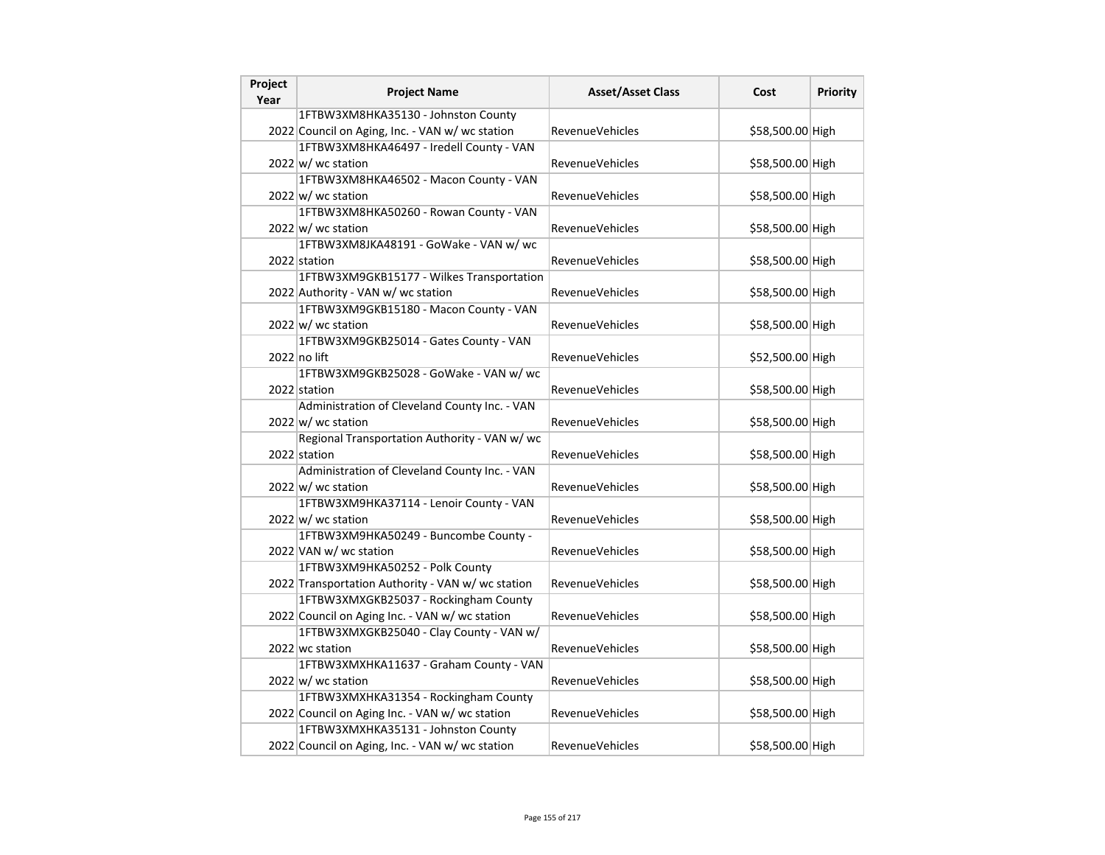| Project | <b>Project Name</b>                                       | <b>Asset/Asset Class</b> | Cost             | Priority |
|---------|-----------------------------------------------------------|--------------------------|------------------|----------|
| Year    | 1FTBW3XM8HKA35130 - Johnston County                       |                          |                  |          |
|         | 2022 Council on Aging, Inc. - VAN w/ wc station           | RevenueVehicles          | \$58,500.00 High |          |
|         | 1FTBW3XM8HKA46497 - Iredell County - VAN                  |                          |                  |          |
|         | $2022 \, \text{w}$ / wc station                           | RevenueVehicles          | \$58,500.00 High |          |
|         | 1FTBW3XM8HKA46502 - Macon County - VAN                    |                          |                  |          |
|         | 2022 w/ wc station                                        | <b>RevenueVehicles</b>   | \$58,500.00 High |          |
|         | 1FTBW3XM8HKA50260 - Rowan County - VAN                    |                          |                  |          |
|         | $2022 \vert w \vert$ wc station                           | <b>RevenueVehicles</b>   | \$58,500.00 High |          |
|         | 1FTBW3XM8JKA48191 - GoWake - VAN w/ wc                    |                          |                  |          |
|         |                                                           | <b>RevenueVehicles</b>   |                  |          |
|         | 2022 station<br>1FTBW3XM9GKB15177 - Wilkes Transportation |                          | \$58,500.00 High |          |
|         |                                                           |                          |                  |          |
|         | 2022 Authority - VAN w/ wc station                        | RevenueVehicles          | \$58,500.00 High |          |
|         | 1FTBW3XM9GKB15180 - Macon County - VAN                    |                          |                  |          |
|         | 2022 w/ wc station                                        | RevenueVehicles          | \$58,500.00 High |          |
|         | 1FTBW3XM9GKB25014 - Gates County - VAN                    |                          |                  |          |
|         | 2022 no lift                                              | <b>RevenueVehicles</b>   | \$52,500.00 High |          |
|         | 1FTBW3XM9GKB25028 - GoWake - VAN w/ wc                    |                          |                  |          |
|         | 2022 station                                              | RevenueVehicles          | \$58,500.00 High |          |
|         | Administration of Cleveland County Inc. - VAN             |                          |                  |          |
|         | $2022 \vert w \vert$ wc station                           | <b>RevenueVehicles</b>   | \$58,500.00 High |          |
|         | Regional Transportation Authority - VAN w/ wc             |                          |                  |          |
|         | 2022 station                                              | <b>RevenueVehicles</b>   | \$58,500.00 High |          |
|         | Administration of Cleveland County Inc. - VAN             |                          |                  |          |
|         | 2022 w/ wc station                                        | <b>RevenueVehicles</b>   | \$58,500.00 High |          |
|         | 1FTBW3XM9HKA37114 - Lenoir County - VAN                   |                          |                  |          |
|         | $2022 \vert w \vert$ wc station                           | RevenueVehicles          | \$58,500.00 High |          |
|         | 1FTBW3XM9HKA50249 - Buncombe County -                     |                          |                  |          |
|         | 2022 VAN w/ wc station                                    | <b>RevenueVehicles</b>   | \$58,500.00 High |          |
|         | 1FTBW3XM9HKA50252 - Polk County                           |                          |                  |          |
|         | 2022 Transportation Authority - VAN w/ wc station         | <b>RevenueVehicles</b>   | \$58,500.00 High |          |
|         | 1FTBW3XMXGKB25037 - Rockingham County                     |                          |                  |          |
|         | 2022 Council on Aging Inc. - VAN w/ wc station            | <b>RevenueVehicles</b>   | \$58,500.00 High |          |
|         | 1FTBW3XMXGKB25040 - Clay County - VAN w/                  |                          |                  |          |
|         | 2022 wc station                                           | RevenueVehicles          | \$58,500.00 High |          |
|         | 1FTBW3XMXHKA11637 - Graham County - VAN                   |                          |                  |          |
|         | $2022 \text{ w}$ / wc station                             | RevenueVehicles          | \$58,500.00 High |          |
|         | 1FTBW3XMXHKA31354 - Rockingham County                     |                          |                  |          |
|         | 2022 Council on Aging Inc. - VAN w/ wc station            | <b>RevenueVehicles</b>   | \$58,500.00 High |          |
|         | 1FTBW3XMXHKA35131 - Johnston County                       |                          |                  |          |
|         | 2022 Council on Aging, Inc. - VAN w/ wc station           | RevenueVehicles          | \$58,500.00 High |          |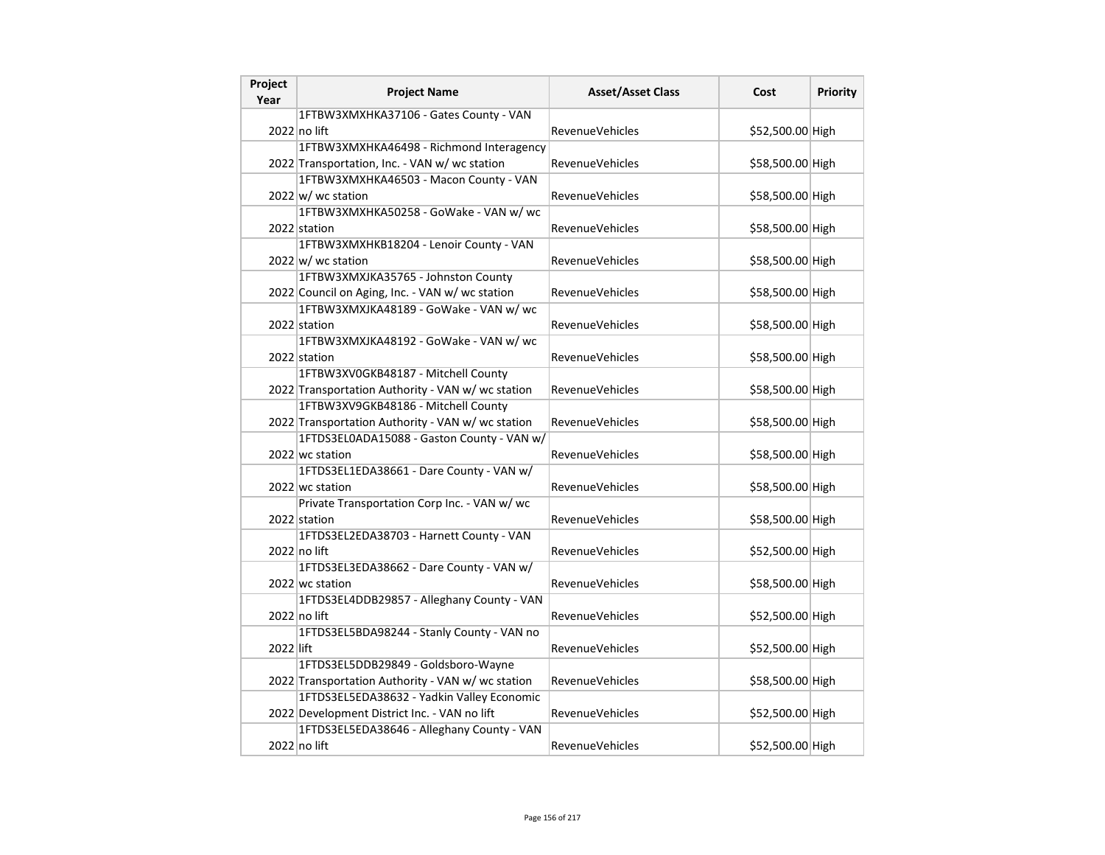| Project<br>Year | <b>Project Name</b>                               | <b>Asset/Asset Class</b> | Cost             | <b>Priority</b> |
|-----------------|---------------------------------------------------|--------------------------|------------------|-----------------|
|                 | 1FTBW3XMXHKA37106 - Gates County - VAN            |                          |                  |                 |
|                 | 2022 no lift                                      | <b>RevenueVehicles</b>   | \$52,500.00 High |                 |
|                 | 1FTBW3XMXHKA46498 - Richmond Interagency          |                          |                  |                 |
|                 | 2022 Transportation, Inc. - VAN w/ wc station     | RevenueVehicles          | \$58,500.00 High |                 |
|                 | 1FTBW3XMXHKA46503 - Macon County - VAN            |                          |                  |                 |
|                 | $2022 \vert w \vert$ wc station                   | RevenueVehicles          | \$58,500.00 High |                 |
|                 | 1FTBW3XMXHKA50258 - GoWake - VAN w/ wc            |                          |                  |                 |
|                 | 2022 station                                      | <b>RevenueVehicles</b>   | \$58,500.00 High |                 |
|                 | 1FTBW3XMXHKB18204 - Lenoir County - VAN           |                          |                  |                 |
|                 | $2022 \text{ w}$ wc station                       | RevenueVehicles          | \$58,500.00 High |                 |
|                 | 1FTBW3XMXJKA35765 - Johnston County               |                          |                  |                 |
|                 | 2022 Council on Aging, Inc. - VAN w/ wc station   | <b>RevenueVehicles</b>   | \$58,500.00 High |                 |
|                 | 1FTBW3XMXJKA48189 - GoWake - VAN w/ wc            |                          |                  |                 |
|                 | 2022 station                                      | <b>RevenueVehicles</b>   | \$58,500.00 High |                 |
|                 | 1FTBW3XMXJKA48192 - GoWake - VAN w/ wc            |                          |                  |                 |
|                 | 2022 station                                      | <b>RevenueVehicles</b>   | \$58,500.00 High |                 |
|                 | 1FTBW3XV0GKB48187 - Mitchell County               |                          |                  |                 |
|                 | 2022 Transportation Authority - VAN w/ wc station | <b>RevenueVehicles</b>   | \$58,500.00 High |                 |
|                 | 1FTBW3XV9GKB48186 - Mitchell County               |                          |                  |                 |
|                 | 2022 Transportation Authority - VAN w/ wc station | <b>RevenueVehicles</b>   | \$58,500.00 High |                 |
|                 | 1FTDS3EL0ADA15088 - Gaston County - VAN w/        |                          |                  |                 |
|                 | 2022 wc station                                   | <b>RevenueVehicles</b>   | \$58,500.00 High |                 |
|                 | 1FTDS3EL1EDA38661 - Dare County - VAN w/          |                          |                  |                 |
|                 | 2022 wc station                                   | RevenueVehicles          | \$58,500.00 High |                 |
|                 | Private Transportation Corp Inc. - VAN w/ wc      |                          |                  |                 |
|                 | 2022 station                                      | RevenueVehicles          | \$58,500.00 High |                 |
|                 | 1FTDS3EL2EDA38703 - Harnett County - VAN          |                          |                  |                 |
|                 | 2022 no lift                                      | <b>RevenueVehicles</b>   | \$52,500.00 High |                 |
|                 | 1FTDS3EL3EDA38662 - Dare County - VAN w/          |                          |                  |                 |
|                 | 2022 wc station                                   | <b>RevenueVehicles</b>   | \$58,500.00 High |                 |
|                 | 1FTDS3EL4DDB29857 - Alleghany County - VAN        |                          |                  |                 |
|                 | 2022 no lift                                      | <b>RevenueVehicles</b>   | \$52,500.00 High |                 |
|                 | 1FTDS3EL5BDA98244 - Stanly County - VAN no        |                          |                  |                 |
| 2022 lift       |                                                   | <b>RevenueVehicles</b>   | \$52,500.00 High |                 |
|                 | 1FTDS3EL5DDB29849 - Goldsboro-Wayne               |                          |                  |                 |
|                 | 2022 Transportation Authority - VAN w/ wc station | RevenueVehicles          | \$58,500.00 High |                 |
|                 | 1FTDS3EL5EDA38632 - Yadkin Valley Economic        |                          |                  |                 |
|                 | 2022 Development District Inc. - VAN no lift      | <b>RevenueVehicles</b>   | \$52,500.00 High |                 |
|                 | 1FTDS3EL5EDA38646 - Alleghany County - VAN        |                          |                  |                 |
|                 | 2022 no lift                                      | <b>RevenueVehicles</b>   | \$52,500.00 High |                 |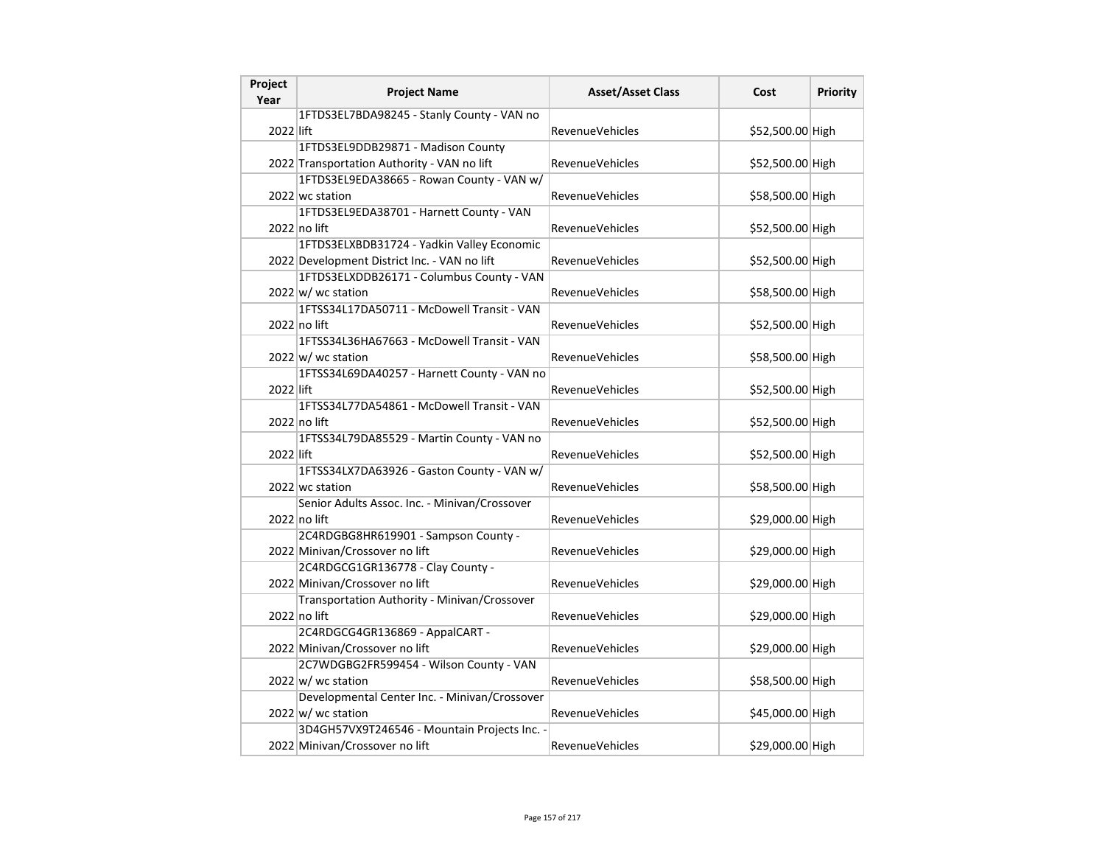| Project<br>Year | <b>Project Name</b>                           | <b>Asset/Asset Class</b> | Cost             | <b>Priority</b> |
|-----------------|-----------------------------------------------|--------------------------|------------------|-----------------|
|                 | 1FTDS3EL7BDA98245 - Stanly County - VAN no    |                          |                  |                 |
| 2022 lift       |                                               | <b>RevenueVehicles</b>   | \$52,500.00 High |                 |
|                 | 1FTDS3EL9DDB29871 - Madison County            |                          |                  |                 |
|                 | 2022 Transportation Authority - VAN no lift   | RevenueVehicles          | \$52,500.00 High |                 |
|                 | 1FTDS3EL9EDA38665 - Rowan County - VAN w/     |                          |                  |                 |
|                 | 2022 wc station                               | <b>RevenueVehicles</b>   | \$58,500.00 High |                 |
|                 | 1FTDS3EL9EDA38701 - Harnett County - VAN      |                          |                  |                 |
|                 | 2022 no lift                                  | <b>RevenueVehicles</b>   | \$52,500.00 High |                 |
|                 | 1FTDS3ELXBDB31724 - Yadkin Valley Economic    |                          |                  |                 |
|                 | 2022 Development District Inc. - VAN no lift  | <b>RevenueVehicles</b>   | \$52,500.00 High |                 |
|                 | 1FTDS3ELXDDB26171 - Columbus County - VAN     |                          |                  |                 |
|                 | $2022 \vert w \vert$ wc station               | RevenueVehicles          | \$58,500.00 High |                 |
|                 | 1FTSS34L17DA50711 - McDowell Transit - VAN    |                          |                  |                 |
|                 | 2022 no lift                                  | <b>RevenueVehicles</b>   | \$52,500.00 High |                 |
|                 | 1FTSS34L36HA67663 - McDowell Transit - VAN    |                          |                  |                 |
|                 | $2022 \text{ w}$ wc station                   | <b>RevenueVehicles</b>   | \$58,500.00 High |                 |
|                 | 1FTSS34L69DA40257 - Harnett County - VAN no   |                          |                  |                 |
| 2022 lift       |                                               | <b>RevenueVehicles</b>   | \$52,500.00 High |                 |
|                 | 1FTSS34L77DA54861 - McDowell Transit - VAN    |                          |                  |                 |
|                 | 2022 no lift                                  | <b>RevenueVehicles</b>   | \$52,500.00 High |                 |
|                 | 1FTSS34L79DA85529 - Martin County - VAN no    |                          |                  |                 |
| 2022 lift       |                                               | <b>RevenueVehicles</b>   | \$52,500.00 High |                 |
|                 | 1FTSS34LX7DA63926 - Gaston County - VAN w/    |                          |                  |                 |
|                 | 2022 wc station                               | <b>RevenueVehicles</b>   | \$58,500.00 High |                 |
|                 | Senior Adults Assoc. Inc. - Minivan/Crossover |                          |                  |                 |
|                 | 2022 no lift                                  | RevenueVehicles          | \$29,000.00 High |                 |
|                 | 2C4RDGBG8HR619901 - Sampson County -          |                          |                  |                 |
|                 | 2022 Minivan/Crossover no lift                | <b>RevenueVehicles</b>   | \$29,000.00 High |                 |
|                 | 2C4RDGCG1GR136778 - Clay County -             |                          |                  |                 |
|                 | 2022 Minivan/Crossover no lift                | <b>RevenueVehicles</b>   | \$29,000.00 High |                 |
|                 | Transportation Authority - Minivan/Crossover  |                          |                  |                 |
|                 | $2022$ no lift                                | <b>RevenueVehicles</b>   | \$29,000.00 High |                 |
|                 | 2C4RDGCG4GR136869 - AppalCART -               |                          |                  |                 |
|                 | 2022 Minivan/Crossover no lift                | <b>RevenueVehicles</b>   | \$29,000.00 High |                 |
|                 | 2C7WDGBG2FR599454 - Wilson County - VAN       |                          |                  |                 |
|                 | 2022 w/ wc station                            | <b>RevenueVehicles</b>   | \$58,500.00 High |                 |
|                 | Developmental Center Inc. - Minivan/Crossover |                          |                  |                 |
|                 | $2022 \vert w \vert$ wc station               | <b>RevenueVehicles</b>   | \$45,000.00 High |                 |
|                 | 3D4GH57VX9T246546 - Mountain Projects Inc. -  |                          |                  |                 |
|                 | 2022 Minivan/Crossover no lift                | RevenueVehicles          | \$29,000.00 High |                 |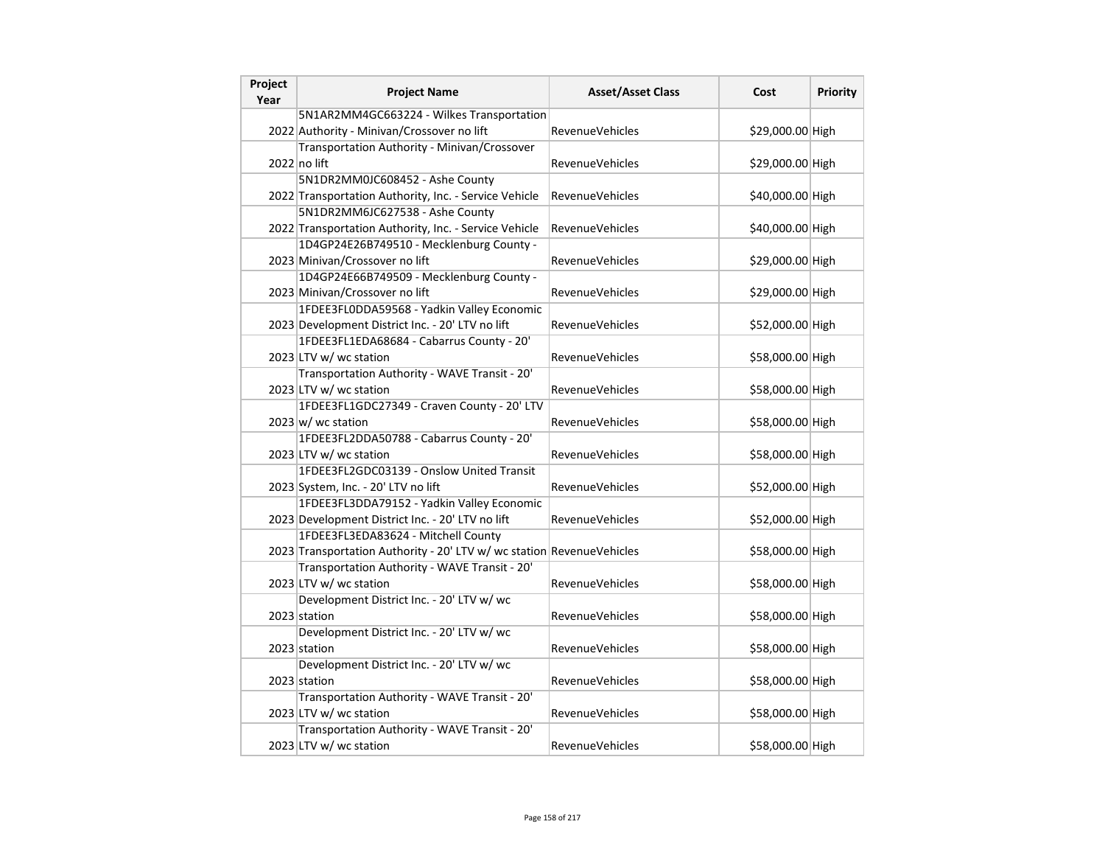| Project<br>Year | <b>Project Name</b>                                                   | <b>Asset/Asset Class</b> | Cost             | <b>Priority</b> |
|-----------------|-----------------------------------------------------------------------|--------------------------|------------------|-----------------|
|                 | 5N1AR2MM4GC663224 - Wilkes Transportation                             |                          |                  |                 |
|                 | 2022 Authority - Minivan/Crossover no lift                            | <b>RevenueVehicles</b>   | \$29,000.00 High |                 |
|                 | Transportation Authority - Minivan/Crossover                          |                          |                  |                 |
|                 | $2022$ no lift                                                        | RevenueVehicles          | \$29,000.00 High |                 |
|                 | 5N1DR2MM0JC608452 - Ashe County                                       |                          |                  |                 |
|                 | 2022 Transportation Authority, Inc. - Service Vehicle                 | <b>RevenueVehicles</b>   | \$40,000.00 High |                 |
|                 | 5N1DR2MM6JC627538 - Ashe County                                       |                          |                  |                 |
|                 | 2022 Transportation Authority, Inc. - Service Vehicle                 | RevenueVehicles          | \$40,000.00 High |                 |
|                 | 1D4GP24E26B749510 - Mecklenburg County -                              |                          |                  |                 |
|                 | 2023 Minivan/Crossover no lift                                        | <b>RevenueVehicles</b>   | \$29,000.00 High |                 |
|                 | 1D4GP24E66B749509 - Mecklenburg County -                              |                          |                  |                 |
|                 | 2023 Minivan/Crossover no lift                                        | RevenueVehicles          | \$29,000.00 High |                 |
|                 | 1FDEE3FL0DDA59568 - Yadkin Valley Economic                            |                          |                  |                 |
|                 | 2023 Development District Inc. - 20' LTV no lift                      | <b>RevenueVehicles</b>   | \$52,000.00 High |                 |
|                 | 1FDEE3FL1EDA68684 - Cabarrus County - 20'                             |                          |                  |                 |
|                 | 2023 LTV w/ wc station                                                | <b>RevenueVehicles</b>   | \$58,000.00 High |                 |
|                 | Transportation Authority - WAVE Transit - 20'                         |                          |                  |                 |
|                 | 2023 LTV w/ wc station                                                | RevenueVehicles          | \$58,000.00 High |                 |
|                 | 1FDEE3FL1GDC27349 - Craven County - 20' LTV                           |                          |                  |                 |
|                 | $2023 \text{ w}$ / wc station                                         | RevenueVehicles          | \$58,000.00 High |                 |
|                 | 1FDEE3FL2DDA50788 - Cabarrus County - 20'                             |                          |                  |                 |
|                 | 2023 LTV w/ wc station                                                | <b>RevenueVehicles</b>   | \$58,000.00 High |                 |
|                 | 1FDEE3FL2GDC03139 - Onslow United Transit                             |                          |                  |                 |
|                 | 2023 System, Inc. - 20' LTV no lift                                   | RevenueVehicles          | \$52,000.00 High |                 |
|                 | 1FDEE3FL3DDA79152 - Yadkin Valley Economic                            |                          |                  |                 |
|                 | 2023 Development District Inc. - 20' LTV no lift                      | RevenueVehicles          | \$52,000.00 High |                 |
|                 | 1FDEE3FL3EDA83624 - Mitchell County                                   |                          |                  |                 |
|                 | 2023 Transportation Authority - 20' LTV w/ wc station RevenueVehicles |                          | \$58,000.00 High |                 |
|                 | Transportation Authority - WAVE Transit - 20'                         |                          |                  |                 |
|                 | 2023 LTV w/ wc station                                                | <b>RevenueVehicles</b>   | \$58,000.00 High |                 |
|                 | Development District Inc. - 20' LTV w/ wc                             |                          |                  |                 |
|                 | 2023 station                                                          | RevenueVehicles          | \$58,000.00 High |                 |
|                 | Development District Inc. - 20' LTV w/ wc                             |                          |                  |                 |
|                 | 2023 station                                                          | RevenueVehicles          | \$58,000.00 High |                 |
|                 | Development District Inc. - 20' LTV w/ wc                             |                          |                  |                 |
|                 | 2023 station                                                          | <b>RevenueVehicles</b>   | \$58,000.00 High |                 |
|                 | Transportation Authority - WAVE Transit - 20'                         |                          |                  |                 |
|                 | 2023 LTV w/ wc station                                                | <b>RevenueVehicles</b>   | \$58,000.00 High |                 |
|                 | Transportation Authority - WAVE Transit - 20'                         |                          |                  |                 |
|                 | 2023 LTV w/ wc station                                                | RevenueVehicles          | \$58,000.00 High |                 |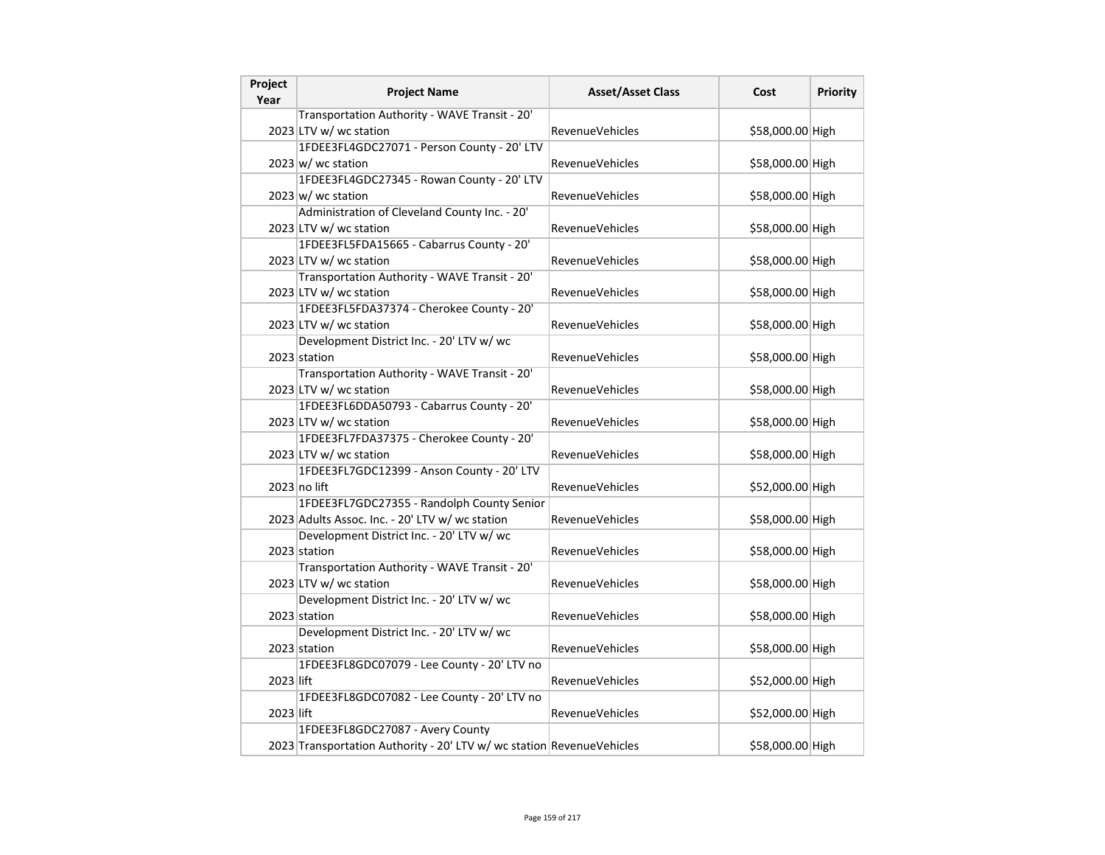| Project<br>Year | <b>Project Name</b>                                                   | <b>Asset/Asset Class</b> | Cost             | <b>Priority</b> |
|-----------------|-----------------------------------------------------------------------|--------------------------|------------------|-----------------|
|                 | Transportation Authority - WAVE Transit - 20'                         |                          |                  |                 |
|                 | 2023 LTV w/ wc station                                                | <b>RevenueVehicles</b>   | \$58,000.00 High |                 |
|                 | 1FDEE3FL4GDC27071 - Person County - 20' LTV                           |                          |                  |                 |
|                 | $2023 \text{ w}$ / wc station                                         | <b>RevenueVehicles</b>   | \$58,000.00 High |                 |
|                 | 1FDEE3FL4GDC27345 - Rowan County - 20' LTV                            |                          |                  |                 |
|                 | $2023 \, \text{w}$ / wc station                                       | <b>RevenueVehicles</b>   | \$58,000.00 High |                 |
|                 | Administration of Cleveland County Inc. - 20'                         |                          |                  |                 |
|                 | 2023 LTV w/ wc station                                                | RevenueVehicles          | \$58,000.00 High |                 |
|                 | 1FDEE3FL5FDA15665 - Cabarrus County - 20'                             |                          |                  |                 |
|                 | 2023 LTV w/ wc station                                                | <b>RevenueVehicles</b>   | \$58,000.00 High |                 |
|                 | Transportation Authority - WAVE Transit - 20'                         |                          |                  |                 |
|                 | 2023 LTV w/ wc station                                                | RevenueVehicles          | \$58,000.00 High |                 |
|                 | 1FDEE3FL5FDA37374 - Cherokee County - 20'                             |                          |                  |                 |
|                 | 2023 LTV w/ wc station                                                | <b>RevenueVehicles</b>   | \$58,000.00 High |                 |
|                 | Development District Inc. - 20' LTV w/ wc                             |                          |                  |                 |
|                 | 2023 station                                                          | <b>RevenueVehicles</b>   | \$58,000.00 High |                 |
|                 | Transportation Authority - WAVE Transit - 20'                         |                          |                  |                 |
|                 | 2023 LTV w/ wc station                                                | RevenueVehicles          | \$58,000.00 High |                 |
|                 | 1FDEE3FL6DDA50793 - Cabarrus County - 20'                             |                          |                  |                 |
|                 | 2023 LTV w/ wc station                                                | <b>RevenueVehicles</b>   | \$58,000.00 High |                 |
|                 | 1FDEE3FL7FDA37375 - Cherokee County - 20'                             |                          |                  |                 |
|                 | 2023 LTV w/ wc station                                                | <b>RevenueVehicles</b>   | \$58,000.00 High |                 |
|                 | 1FDEE3FL7GDC12399 - Anson County - 20' LTV                            |                          |                  |                 |
|                 | $2023$ no lift                                                        | RevenueVehicles          | \$52,000.00 High |                 |
|                 | 1FDEE3FL7GDC27355 - Randolph County Senior                            |                          |                  |                 |
|                 | 2023 Adults Assoc. Inc. - 20' LTV w/ wc station                       | <b>RevenueVehicles</b>   | \$58,000.00 High |                 |
|                 | Development District Inc. - 20' LTV w/ wc                             |                          |                  |                 |
|                 | 2023 station                                                          | <b>RevenueVehicles</b>   | \$58,000.00 High |                 |
|                 | Transportation Authority - WAVE Transit - 20'                         |                          |                  |                 |
|                 | 2023 LTV w/ wc station                                                | <b>RevenueVehicles</b>   | \$58,000.00 High |                 |
|                 | Development District Inc. - 20' LTV w/ wc                             |                          |                  |                 |
|                 | 2023 station                                                          | <b>RevenueVehicles</b>   | \$58,000.00 High |                 |
|                 | Development District Inc. - 20' LTV w/ wc                             |                          |                  |                 |
|                 | 2023 station                                                          | <b>RevenueVehicles</b>   | \$58,000.00 High |                 |
|                 | 1FDEE3FL8GDC07079 - Lee County - 20' LTV no                           |                          |                  |                 |
| 2023 lift       |                                                                       | <b>RevenueVehicles</b>   | \$52,000.00 High |                 |
|                 | 1FDEE3FL8GDC07082 - Lee County - 20' LTV no                           |                          |                  |                 |
| 2023 lift       |                                                                       | <b>RevenueVehicles</b>   | \$52,000.00 High |                 |
|                 | 1FDEE3FL8GDC27087 - Avery County                                      |                          |                  |                 |
|                 | 2023 Transportation Authority - 20' LTV w/ wc station RevenueVehicles |                          | \$58,000.00 High |                 |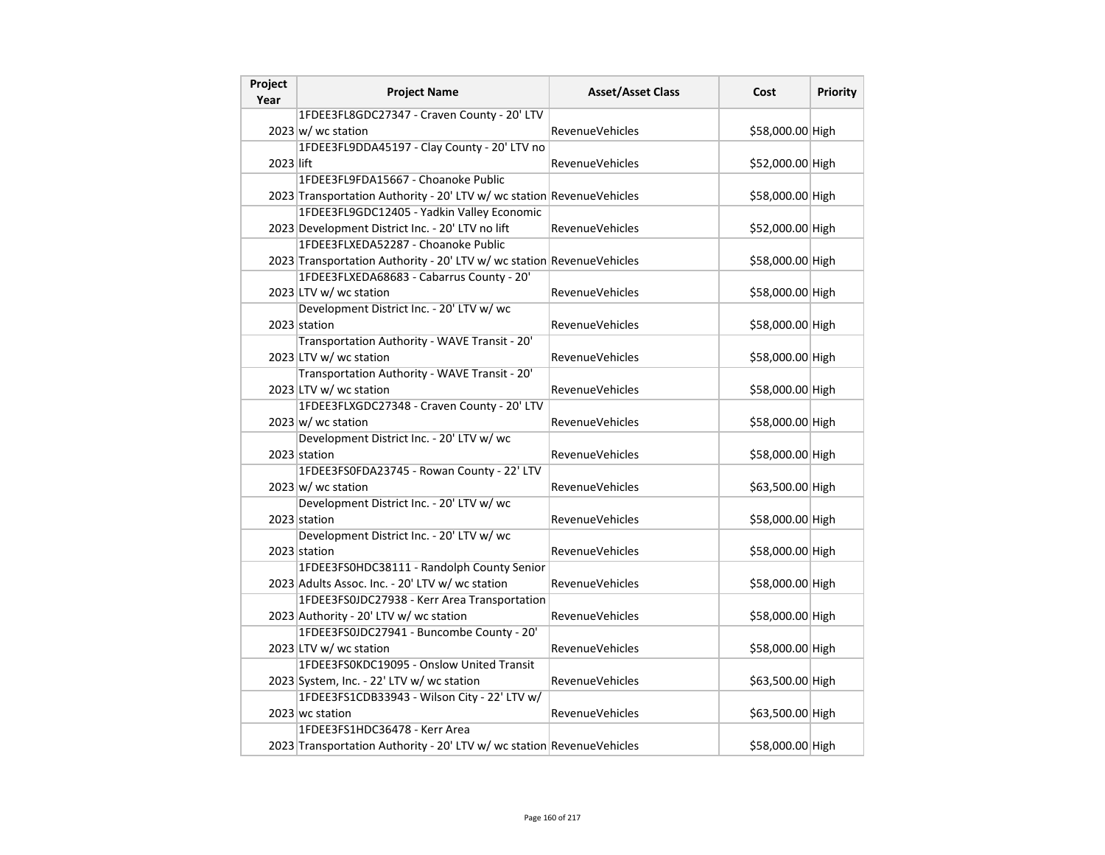| Project<br>Year | <b>Project Name</b>                                                   | <b>Asset/Asset Class</b> | Cost             | Priority |
|-----------------|-----------------------------------------------------------------------|--------------------------|------------------|----------|
|                 | 1FDEE3FL8GDC27347 - Craven County - 20' LTV                           |                          |                  |          |
|                 | $2023 \text{ w}$ / wc station                                         | <b>RevenueVehicles</b>   | \$58,000.00 High |          |
|                 | 1FDEE3FL9DDA45197 - Clay County - 20' LTV no                          |                          |                  |          |
| 2023 lift       |                                                                       | RevenueVehicles          | \$52,000.00 High |          |
|                 | 1FDEE3FL9FDA15667 - Choanoke Public                                   |                          |                  |          |
|                 | 2023 Transportation Authority - 20' LTV w/ wc station RevenueVehicles |                          | \$58,000.00 High |          |
|                 | 1FDEE3FL9GDC12405 - Yadkin Valley Economic                            |                          |                  |          |
|                 | 2023 Development District Inc. - 20' LTV no lift                      | <b>RevenueVehicles</b>   | \$52,000.00 High |          |
|                 | 1FDEE3FLXEDA52287 - Choanoke Public                                   |                          |                  |          |
|                 | 2023 Transportation Authority - 20' LTV w/ wc station RevenueVehicles |                          | \$58,000.00 High |          |
|                 | 1FDEE3FLXEDA68683 - Cabarrus County - 20'                             |                          |                  |          |
|                 | 2023 LTV w/ wc station                                                | <b>RevenueVehicles</b>   | \$58,000.00 High |          |
|                 | Development District Inc. - 20' LTV w/ wc                             |                          |                  |          |
|                 | 2023 station                                                          | <b>RevenueVehicles</b>   | \$58,000.00 High |          |
|                 | Transportation Authority - WAVE Transit - 20'                         |                          |                  |          |
|                 | 2023 LTV w/ wc station                                                | RevenueVehicles          | \$58,000.00 High |          |
|                 | Transportation Authority - WAVE Transit - 20'                         |                          |                  |          |
|                 | 2023 LTV w/ wc station                                                | <b>RevenueVehicles</b>   | \$58,000.00 High |          |
|                 | 1FDEE3FLXGDC27348 - Craven County - 20' LTV                           |                          |                  |          |
|                 | $2023 \text{ w}$ / wc station                                         | <b>RevenueVehicles</b>   | \$58,000.00 High |          |
|                 | Development District Inc. - 20' LTV w/ wc                             |                          |                  |          |
|                 | 2023 station                                                          | RevenueVehicles          | \$58,000.00 High |          |
|                 | 1FDEE3FS0FDA23745 - Rowan County - 22' LTV                            |                          |                  |          |
|                 | $2023 \, \text{w}$ / wc station                                       | <b>RevenueVehicles</b>   | \$63,500.00 High |          |
|                 | Development District Inc. - 20' LTV w/ wc                             |                          |                  |          |
|                 | 2023 station                                                          | RevenueVehicles          | \$58,000.00 High |          |
|                 | Development District Inc. - 20' LTV w/ wc                             |                          |                  |          |
|                 | 2023 station                                                          | RevenueVehicles          | \$58,000.00 High |          |
|                 | 1FDEE3FS0HDC38111 - Randolph County Senior                            |                          |                  |          |
|                 | 2023 Adults Assoc. Inc. - 20' LTV w/ wc station                       | RevenueVehicles          | \$58,000.00 High |          |
|                 | 1FDEE3FS0JDC27938 - Kerr Area Transportation                          |                          |                  |          |
|                 | 2023 Authority - 20' LTV w/ wc station                                | <b>RevenueVehicles</b>   | \$58,000.00 High |          |
|                 | 1FDEE3FS0JDC27941 - Buncombe County - 20'                             |                          |                  |          |
|                 | 2023 LTV w/ wc station                                                | RevenueVehicles          | \$58,000.00 High |          |
|                 | 1FDEE3FS0KDC19095 - Onslow United Transit                             |                          |                  |          |
|                 | 2023 System, Inc. - 22' LTV w/ wc station                             | <b>RevenueVehicles</b>   | \$63,500.00 High |          |
|                 | 1FDEE3FS1CDB33943 - Wilson City - 22' LTV w/                          |                          |                  |          |
|                 | 2023 wc station                                                       | <b>RevenueVehicles</b>   | \$63,500.00 High |          |
|                 | 1FDEE3FS1HDC36478 - Kerr Area                                         |                          |                  |          |
|                 | 2023 Transportation Authority - 20' LTV w/ wc station RevenueVehicles |                          | \$58,000.00 High |          |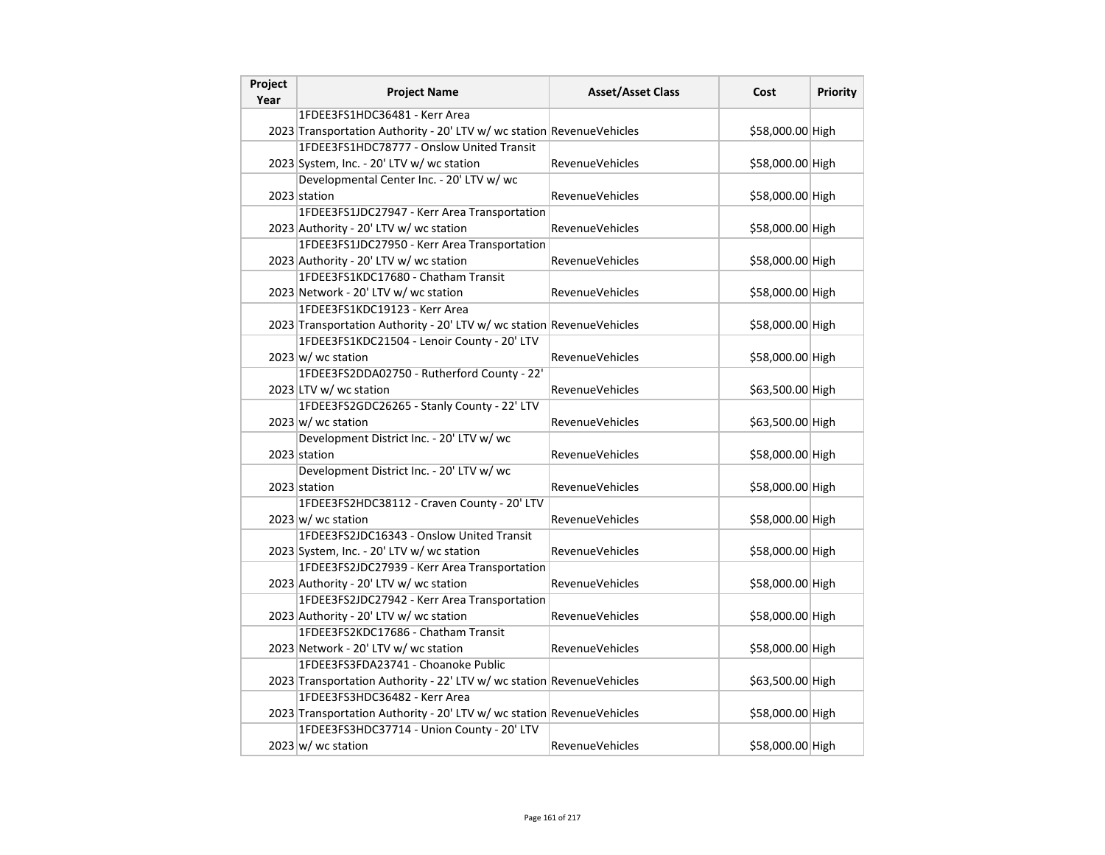| Project<br>Year | <b>Project Name</b>                                                   | <b>Asset/Asset Class</b> | Cost             | <b>Priority</b> |
|-----------------|-----------------------------------------------------------------------|--------------------------|------------------|-----------------|
|                 | 1FDEE3FS1HDC36481 - Kerr Area                                         |                          |                  |                 |
|                 | 2023 Transportation Authority - 20' LTV w/ wc station RevenueVehicles |                          | \$58,000.00 High |                 |
|                 | 1FDEE3FS1HDC78777 - Onslow United Transit                             |                          |                  |                 |
|                 | 2023 System, Inc. - 20' LTV w/ wc station                             | RevenueVehicles          | \$58,000.00 High |                 |
|                 | Developmental Center Inc. - 20' LTV w/ wc                             |                          |                  |                 |
|                 | 2023 station                                                          | <b>RevenueVehicles</b>   | \$58,000.00 High |                 |
|                 | 1FDEE3FS1JDC27947 - Kerr Area Transportation                          |                          |                  |                 |
|                 | 2023 Authority - 20' LTV w/ wc station                                | <b>RevenueVehicles</b>   | \$58,000.00 High |                 |
|                 | 1FDEE3FS1JDC27950 - Kerr Area Transportation                          |                          |                  |                 |
|                 | 2023 Authority - 20' LTV w/ wc station                                | RevenueVehicles          | \$58,000.00 High |                 |
|                 | 1FDEE3FS1KDC17680 - Chatham Transit                                   |                          |                  |                 |
|                 | 2023 Network - 20' LTV w/ wc station                                  | RevenueVehicles          | \$58,000.00 High |                 |
|                 | 1FDEE3FS1KDC19123 - Kerr Area                                         |                          |                  |                 |
|                 | 2023 Transportation Authority - 20' LTV w/ wc station RevenueVehicles |                          | \$58,000.00 High |                 |
|                 | 1FDEE3FS1KDC21504 - Lenoir County - 20' LTV                           |                          |                  |                 |
|                 | $2023 \vert w \rangle$ wc station                                     | <b>RevenueVehicles</b>   | \$58,000.00 High |                 |
|                 | 1FDEE3FS2DDA02750 - Rutherford County - 22'                           |                          |                  |                 |
|                 | 2023 LTV w/ wc station                                                | RevenueVehicles          | \$63,500.00 High |                 |
|                 | 1FDEE3FS2GDC26265 - Stanly County - 22' LTV                           |                          |                  |                 |
|                 | $2023 \vert w \vert$ wc station                                       | <b>RevenueVehicles</b>   | \$63,500.00 High |                 |
|                 | Development District Inc. - 20' LTV w/ wc                             |                          |                  |                 |
|                 | 2023 station                                                          | <b>RevenueVehicles</b>   | \$58,000.00 High |                 |
|                 | Development District Inc. - 20' LTV w/ wc                             |                          |                  |                 |
|                 | 2023 station                                                          | RevenueVehicles          | \$58,000.00 High |                 |
|                 | 1FDEE3FS2HDC38112 - Craven County - 20' LTV                           |                          |                  |                 |
|                 | 2023 w/ wc station                                                    | <b>RevenueVehicles</b>   | \$58,000.00 High |                 |
|                 | 1FDEE3FS2JDC16343 - Onslow United Transit                             |                          |                  |                 |
|                 | 2023 System, Inc. - 20' LTV w/ wc station                             | <b>RevenueVehicles</b>   | \$58,000.00 High |                 |
|                 | 1FDEE3FS2JDC27939 - Kerr Area Transportation                          |                          |                  |                 |
|                 | 2023 Authority - 20' LTV w/ wc station                                | RevenueVehicles          | \$58,000.00 High |                 |
|                 | 1FDEE3FS2JDC27942 - Kerr Area Transportation                          |                          |                  |                 |
|                 | 2023 Authority - 20' LTV w/ wc station                                | <b>RevenueVehicles</b>   | \$58,000.00 High |                 |
|                 | 1FDEE3FS2KDC17686 - Chatham Transit                                   |                          |                  |                 |
|                 | 2023 Network - 20' LTV w/ wc station                                  | <b>RevenueVehicles</b>   | \$58,000.00 High |                 |
|                 | 1FDEE3FS3FDA23741 - Choanoke Public                                   |                          |                  |                 |
|                 | 2023 Transportation Authority - 22' LTV w/ wc station RevenueVehicles |                          | \$63,500.00 High |                 |
|                 | 1FDEE3FS3HDC36482 - Kerr Area                                         |                          |                  |                 |
|                 | 2023 Transportation Authority - 20' LTV w/ wc station RevenueVehicles |                          | \$58,000.00 High |                 |
|                 | 1FDEE3FS3HDC37714 - Union County - 20' LTV                            |                          |                  |                 |
|                 | $2023 \text{ w}$ / wc station                                         | <b>RevenueVehicles</b>   | \$58,000.00 High |                 |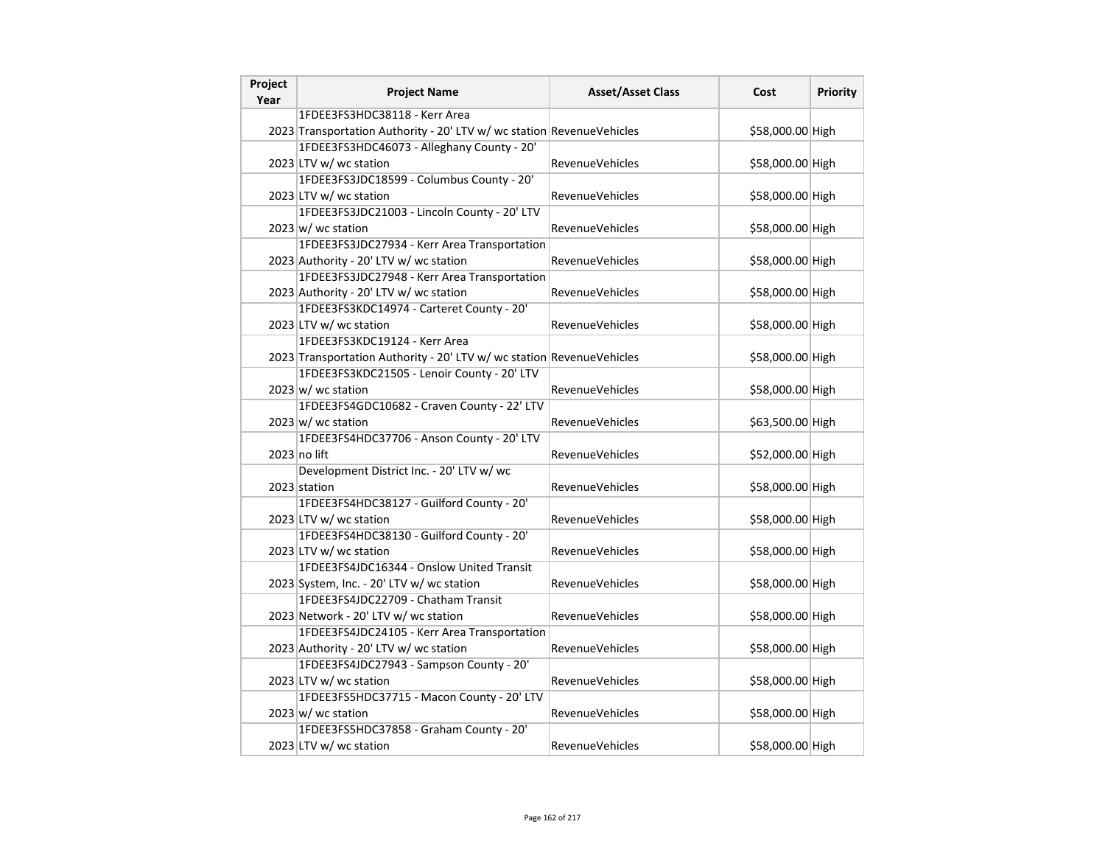| Project<br>Year | <b>Project Name</b>                                                   | <b>Asset/Asset Class</b> | Cost             | Priority |
|-----------------|-----------------------------------------------------------------------|--------------------------|------------------|----------|
|                 | 1FDEE3FS3HDC38118 - Kerr Area                                         |                          |                  |          |
|                 | 2023 Transportation Authority - 20' LTV w/ wc station RevenueVehicles |                          | \$58,000.00 High |          |
|                 | 1FDEE3FS3HDC46073 - Alleghany County - 20'                            |                          |                  |          |
|                 | 2023 LTV w/ wc station                                                | RevenueVehicles          | \$58,000.00 High |          |
|                 | 1FDEE3FS3JDC18599 - Columbus County - 20'                             |                          |                  |          |
|                 | 2023 LTV w/ wc station                                                | RevenueVehicles          | \$58,000.00 High |          |
|                 | 1FDEE3FS3JDC21003 - Lincoln County - 20' LTV                          |                          |                  |          |
|                 | $2023 \text{ w}$ / wc station                                         | <b>RevenueVehicles</b>   | \$58,000.00 High |          |
|                 | 1FDEE3FS3JDC27934 - Kerr Area Transportation                          |                          |                  |          |
|                 | 2023 Authority - 20' LTV w/ wc station                                | <b>RevenueVehicles</b>   | \$58,000.00 High |          |
|                 | 1FDEE3FS3JDC27948 - Kerr Area Transportation                          |                          |                  |          |
|                 | 2023 Authority - 20' LTV w/ wc station                                | RevenueVehicles          | \$58,000.00 High |          |
|                 | 1FDEE3FS3KDC14974 - Carteret County - 20'                             |                          |                  |          |
|                 | 2023 LTV w/ wc station                                                | <b>RevenueVehicles</b>   | \$58,000.00 High |          |
|                 | 1FDEE3FS3KDC19124 - Kerr Area                                         |                          |                  |          |
|                 | 2023 Transportation Authority - 20' LTV w/ wc station RevenueVehicles |                          | \$58,000.00 High |          |
|                 | 1FDEE3FS3KDC21505 - Lenoir County - 20' LTV                           |                          |                  |          |
|                 | $2023 \text{ w}$ / wc station                                         | <b>RevenueVehicles</b>   | \$58,000.00 High |          |
|                 | 1FDEE3FS4GDC10682 - Craven County - 22' LTV                           |                          |                  |          |
|                 | $2023 \text{ w}$ / wc station                                         | RevenueVehicles          | \$63,500.00 High |          |
|                 | 1FDEE3FS4HDC37706 - Anson County - 20' LTV                            |                          |                  |          |
|                 | $2023$ no lift                                                        | <b>RevenueVehicles</b>   | \$52,000.00 High |          |
|                 | Development District Inc. - 20' LTV w/ wc                             |                          |                  |          |
|                 | 2023 station                                                          | <b>RevenueVehicles</b>   | \$58,000.00 High |          |
|                 | 1FDEE3FS4HDC38127 - Guilford County - 20'                             |                          |                  |          |
|                 | 2023 LTV w/ wc station                                                | RevenueVehicles          | \$58,000.00 High |          |
|                 | 1FDEE3FS4HDC38130 - Guilford County - 20'                             |                          |                  |          |
|                 | 2023 LTV w/ wc station                                                | <b>RevenueVehicles</b>   | \$58,000.00 High |          |
|                 | 1FDEE3FS4JDC16344 - Onslow United Transit                             |                          |                  |          |
|                 | 2023 System, Inc. - 20' LTV w/ wc station                             | <b>RevenueVehicles</b>   | \$58,000.00 High |          |
|                 | 1FDEE3FS4JDC22709 - Chatham Transit                                   |                          |                  |          |
|                 | 2023 Network - 20' LTV w/ wc station                                  | RevenueVehicles          | \$58,000.00 High |          |
|                 | 1FDEE3FS4JDC24105 - Kerr Area Transportation                          |                          |                  |          |
|                 | 2023 Authority - 20' LTV w/ wc station                                | RevenueVehicles          | \$58,000.00 High |          |
|                 | 1FDEE3FS4JDC27943 - Sampson County - 20'                              |                          |                  |          |
|                 | 2023 LTV w/ wc station                                                | <b>RevenueVehicles</b>   | \$58,000.00 High |          |
|                 | 1FDEE3FS5HDC37715 - Macon County - 20' LTV                            |                          |                  |          |
|                 | $2023 \vert w \vert$ wc station                                       | <b>RevenueVehicles</b>   | \$58,000.00 High |          |
|                 | 1FDEE3FS5HDC37858 - Graham County - 20'                               |                          |                  |          |
|                 | 2023 LTV w/ wc station                                                | <b>RevenueVehicles</b>   | \$58,000.00 High |          |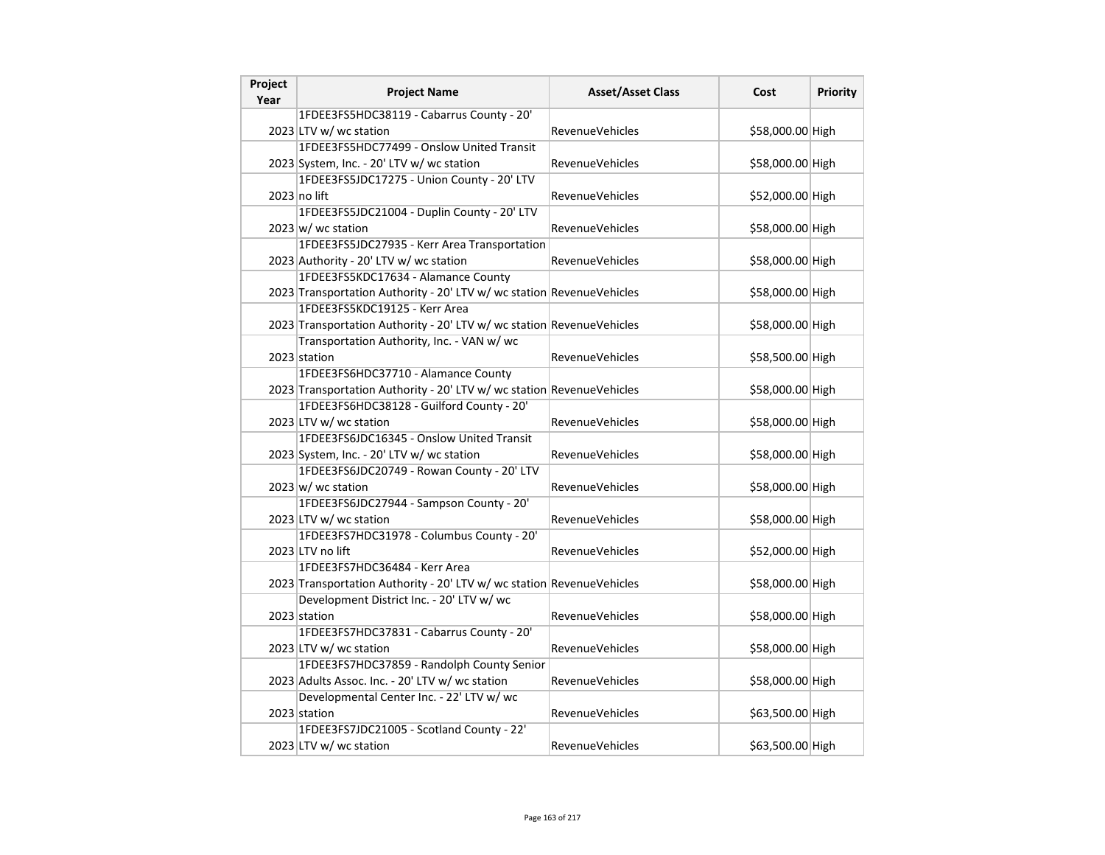| Project<br>Year | <b>Project Name</b>                                                   | <b>Asset/Asset Class</b> | Cost             | Priority |
|-----------------|-----------------------------------------------------------------------|--------------------------|------------------|----------|
|                 | 1FDEE3FS5HDC38119 - Cabarrus County - 20'                             |                          |                  |          |
|                 | 2023 LTV w/ wc station                                                | <b>RevenueVehicles</b>   | \$58,000.00 High |          |
|                 | 1FDEE3FS5HDC77499 - Onslow United Transit                             |                          |                  |          |
|                 | 2023 System, Inc. - 20' LTV w/ wc station                             | RevenueVehicles          | \$58,000.00 High |          |
|                 | 1FDEE3FS5JDC17275 - Union County - 20' LTV                            |                          |                  |          |
|                 | 2023 no lift                                                          | <b>RevenueVehicles</b>   | \$52,000.00 High |          |
|                 | 1FDEE3FS5JDC21004 - Duplin County - 20' LTV                           |                          |                  |          |
|                 | $2023 \text{ w}$ / wc station                                         | <b>RevenueVehicles</b>   | \$58,000.00 High |          |
|                 | 1FDEE3FS5JDC27935 - Kerr Area Transportation                          |                          |                  |          |
|                 | 2023 Authority - 20' LTV w/ wc station                                | <b>RevenueVehicles</b>   | \$58,000.00 High |          |
|                 | 1FDEE3FS5KDC17634 - Alamance County                                   |                          |                  |          |
|                 | 2023 Transportation Authority - 20' LTV w/ wc station RevenueVehicles |                          | \$58,000.00 High |          |
|                 | 1FDEE3FS5KDC19125 - Kerr Area                                         |                          |                  |          |
|                 | 2023 Transportation Authority - 20' LTV w/ wc station RevenueVehicles |                          | \$58,000.00 High |          |
|                 | Transportation Authority, Inc. - VAN w/ wc                            |                          |                  |          |
|                 | 2023 station                                                          | <b>RevenueVehicles</b>   | \$58,500.00 High |          |
|                 | 1FDEE3FS6HDC37710 - Alamance County                                   |                          |                  |          |
|                 | 2023 Transportation Authority - 20' LTV w/ wc station RevenueVehicles |                          | \$58,000.00 High |          |
|                 | 1FDEE3FS6HDC38128 - Guilford County - 20'                             |                          |                  |          |
|                 | 2023 LTV w/ wc station                                                | RevenueVehicles          | \$58,000.00 High |          |
|                 | 1FDEE3FS6JDC16345 - Onslow United Transit                             |                          |                  |          |
|                 | 2023 System, Inc. - 20' LTV w/ wc station                             | RevenueVehicles          | \$58,000.00 High |          |
|                 | 1FDEE3FS6JDC20749 - Rowan County - 20' LTV                            |                          |                  |          |
|                 | $2023 \vert w \vert$ wc station                                       | RevenueVehicles          | \$58,000.00 High |          |
|                 | 1FDEE3FS6JDC27944 - Sampson County - 20'                              |                          |                  |          |
|                 | 2023 LTV w/ wc station                                                | RevenueVehicles          | \$58,000.00 High |          |
|                 | 1FDEE3FS7HDC31978 - Columbus County - 20'                             |                          |                  |          |
|                 | 2023 LTV no lift                                                      | <b>RevenueVehicles</b>   | \$52,000.00 High |          |
|                 | 1FDEE3FS7HDC36484 - Kerr Area                                         |                          |                  |          |
|                 | 2023 Transportation Authority - 20' LTV w/ wc station RevenueVehicles |                          | \$58,000.00 High |          |
|                 | Development District Inc. - 20' LTV w/ wc                             |                          |                  |          |
|                 | 2023 station                                                          | <b>RevenueVehicles</b>   | \$58,000.00 High |          |
|                 | 1FDEE3FS7HDC37831 - Cabarrus County - 20'                             |                          |                  |          |
|                 | 2023 LTV w/ wc station                                                | <b>RevenueVehicles</b>   | \$58,000.00 High |          |
|                 | 1FDEE3FS7HDC37859 - Randolph County Senior                            |                          |                  |          |
|                 | 2023 Adults Assoc. Inc. - 20' LTV w/ wc station                       | RevenueVehicles          | \$58,000.00 High |          |
|                 | Developmental Center Inc. - 22' LTV w/ wc                             |                          |                  |          |
|                 | 2023 station                                                          | <b>RevenueVehicles</b>   | \$63,500.00 High |          |
|                 | 1FDEE3FS7JDC21005 - Scotland County - 22'                             |                          |                  |          |
|                 | 2023 LTV w/ wc station                                                | <b>RevenueVehicles</b>   | \$63,500.00 High |          |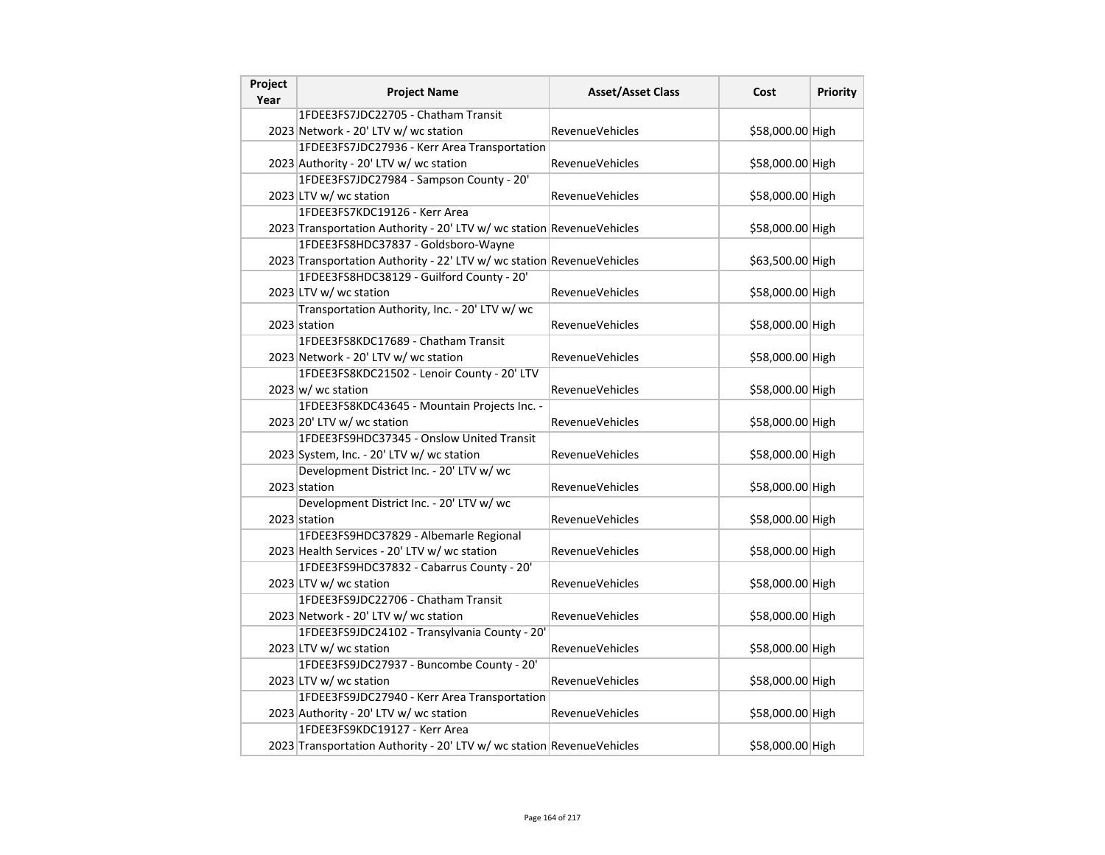| Project<br>Year | <b>Project Name</b>                                                   | <b>Asset/Asset Class</b> | Cost             | Priority |
|-----------------|-----------------------------------------------------------------------|--------------------------|------------------|----------|
|                 | 1FDEE3FS7JDC22705 - Chatham Transit                                   |                          |                  |          |
|                 | 2023 Network - 20' LTV w/ wc station                                  | <b>RevenueVehicles</b>   | \$58,000.00 High |          |
|                 | 1FDEE3FS7JDC27936 - Kerr Area Transportation                          |                          |                  |          |
|                 | 2023 Authority - 20' LTV w/ wc station                                | RevenueVehicles          | \$58,000.00 High |          |
|                 | 1FDEE3FS7JDC27984 - Sampson County - 20'                              |                          |                  |          |
|                 | 2023 LTV w/ wc station                                                | <b>RevenueVehicles</b>   | \$58,000.00 High |          |
|                 | 1FDEE3FS7KDC19126 - Kerr Area                                         |                          |                  |          |
|                 | 2023 Transportation Authority - 20' LTV w/ wc station RevenueVehicles |                          | \$58,000.00 High |          |
|                 | 1FDEE3FS8HDC37837 - Goldsboro-Wayne                                   |                          |                  |          |
|                 | 2023 Transportation Authority - 22' LTV w/ wc station RevenueVehicles |                          | \$63,500.00 High |          |
|                 | 1FDEE3FS8HDC38129 - Guilford County - 20'                             |                          |                  |          |
|                 | 2023 LTV w/ wc station                                                | RevenueVehicles          | \$58,000.00 High |          |
|                 | Transportation Authority, Inc. - 20' LTV w/ wc                        |                          |                  |          |
|                 | 2023 station                                                          | <b>RevenueVehicles</b>   | \$58,000.00 High |          |
|                 | 1FDEE3FS8KDC17689 - Chatham Transit                                   |                          |                  |          |
|                 | 2023 Network - 20' LTV w/ wc station                                  | <b>RevenueVehicles</b>   | \$58,000.00 High |          |
|                 | 1FDEE3FS8KDC21502 - Lenoir County - 20' LTV                           |                          |                  |          |
|                 | $2023 \text{ w}$ / wc station                                         | <b>RevenueVehicles</b>   | \$58,000.00 High |          |
|                 | 1FDEE3FS8KDC43645 - Mountain Projects Inc. -                          |                          |                  |          |
|                 | 2023 20' LTV w/ wc station                                            | <b>RevenueVehicles</b>   | \$58,000.00 High |          |
|                 | 1FDEE3FS9HDC37345 - Onslow United Transit                             |                          |                  |          |
|                 | 2023 System, Inc. - 20' LTV w/ wc station                             | <b>RevenueVehicles</b>   | \$58,000.00 High |          |
|                 | Development District Inc. - 20' LTV w/ wc                             |                          |                  |          |
|                 | 2023 station                                                          | <b>RevenueVehicles</b>   | \$58,000.00 High |          |
|                 | Development District Inc. - 20' LTV w/ wc                             |                          |                  |          |
|                 | 2023 station                                                          | RevenueVehicles          | \$58,000.00 High |          |
|                 | 1FDEE3FS9HDC37829 - Albemarle Regional                                |                          |                  |          |
|                 | 2023 Health Services - 20' LTV w/ wc station                          | RevenueVehicles          | \$58,000.00 High |          |
|                 | 1FDEE3FS9HDC37832 - Cabarrus County - 20'                             |                          |                  |          |
|                 | 2023 LTV w/ wc station                                                | <b>RevenueVehicles</b>   | \$58,000.00 High |          |
|                 | 1FDEE3FS9JDC22706 - Chatham Transit                                   |                          |                  |          |
|                 | 2023 Network - 20' LTV w/ wc station                                  | RevenueVehicles          | \$58,000.00 High |          |
|                 | 1FDEE3FS9JDC24102 - Transylvania County - 20'                         |                          |                  |          |
|                 | 2023 LTV w/ wc station                                                | RevenueVehicles          | \$58,000.00 High |          |
|                 | 1FDEE3FS9JDC27937 - Buncombe County - 20'                             |                          |                  |          |
|                 | 2023 LTV w/ wc station                                                | <b>RevenueVehicles</b>   | \$58,000.00 High |          |
|                 | 1FDEE3FS9JDC27940 - Kerr Area Transportation                          |                          |                  |          |
|                 | 2023 Authority - 20' LTV w/ wc station                                | <b>RevenueVehicles</b>   | \$58,000.00 High |          |
|                 | 1FDEE3FS9KDC19127 - Kerr Area                                         |                          |                  |          |
|                 | 2023 Transportation Authority - 20' LTV w/ wc station RevenueVehicles |                          | \$58,000.00 High |          |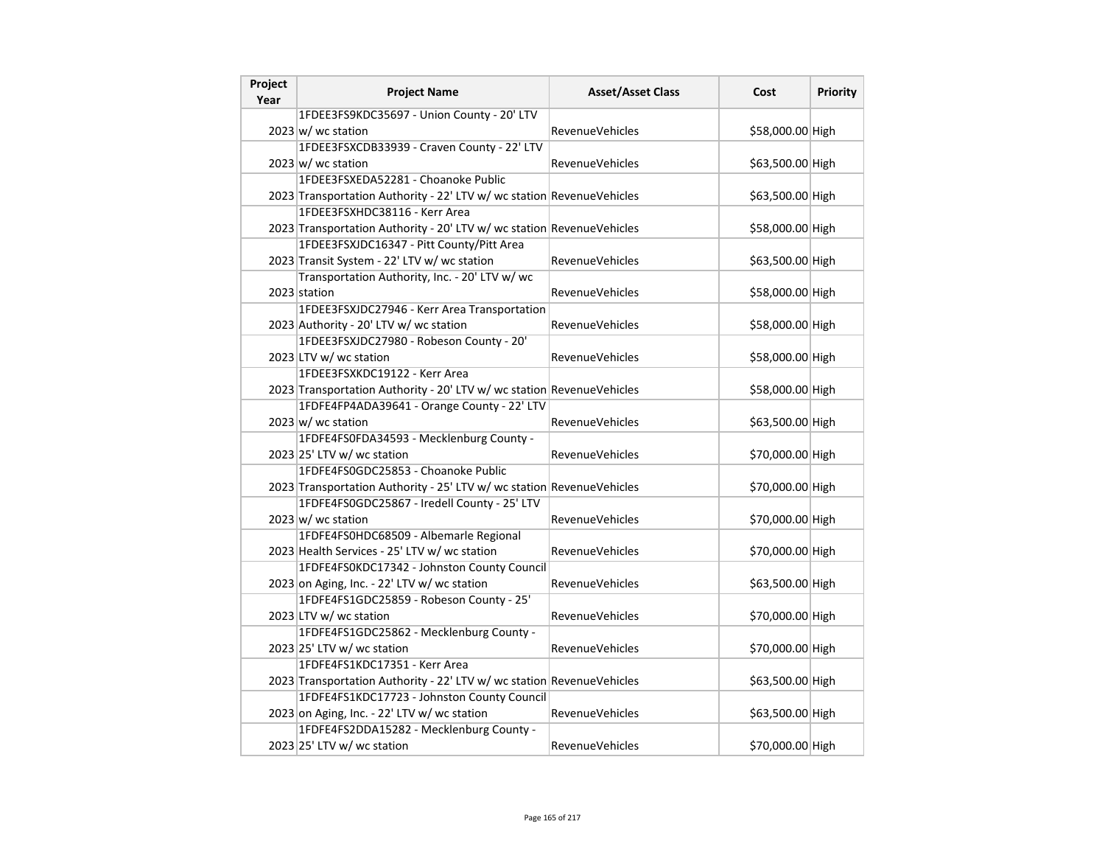| Project<br>Year | <b>Project Name</b>                                                   | <b>Asset/Asset Class</b> | Cost             | <b>Priority</b> |
|-----------------|-----------------------------------------------------------------------|--------------------------|------------------|-----------------|
|                 | 1FDEE3FS9KDC35697 - Union County - 20' LTV                            |                          |                  |                 |
|                 | $2023 \text{ w}$ / wc station                                         | <b>RevenueVehicles</b>   | \$58,000.00 High |                 |
|                 | 1FDEE3FSXCDB33939 - Craven County - 22' LTV                           |                          |                  |                 |
|                 | $2023 \text{ w}$ / wc station                                         | RevenueVehicles          | \$63,500.00 High |                 |
|                 | 1FDEE3FSXEDA52281 - Choanoke Public                                   |                          |                  |                 |
|                 | 2023 Transportation Authority - 22' LTV w/ wc station RevenueVehicles |                          | \$63,500.00 High |                 |
|                 | 1FDEE3FSXHDC38116 - Kerr Area                                         |                          |                  |                 |
|                 | 2023 Transportation Authority - 20' LTV w/ wc station RevenueVehicles |                          | \$58,000.00 High |                 |
|                 | 1FDEE3FSXJDC16347 - Pitt County/Pitt Area                             |                          |                  |                 |
|                 | 2023 Transit System - 22' LTV w/ wc station                           | <b>RevenueVehicles</b>   | \$63,500.00 High |                 |
|                 | Transportation Authority, Inc. - 20' LTV w/ wc                        |                          |                  |                 |
|                 | 2023 station                                                          | RevenueVehicles          | \$58,000.00 High |                 |
|                 | 1FDEE3FSXJDC27946 - Kerr Area Transportation                          |                          |                  |                 |
|                 | 2023 Authority - 20' LTV w/ wc station                                | <b>RevenueVehicles</b>   | \$58,000.00 High |                 |
|                 | 1FDEE3FSXJDC27980 - Robeson County - 20'                              |                          |                  |                 |
|                 | 2023 LTV w/ wc station                                                | <b>RevenueVehicles</b>   | \$58,000.00 High |                 |
|                 | 1FDEE3FSXKDC19122 - Kerr Area                                         |                          |                  |                 |
|                 | 2023 Transportation Authority - 20' LTV w/ wc station RevenueVehicles |                          | \$58,000.00 High |                 |
|                 | 1FDFE4FP4ADA39641 - Orange County - 22' LTV                           |                          |                  |                 |
|                 | $2023 \text{ w}$ / wc station                                         | RevenueVehicles          | \$63,500.00 High |                 |
|                 | 1FDFE4FS0FDA34593 - Mecklenburg County -                              |                          |                  |                 |
|                 | 2023 25' LTV w/ wc station                                            | <b>RevenueVehicles</b>   | \$70,000.00 High |                 |
|                 | 1FDFE4FS0GDC25853 - Choanoke Public                                   |                          |                  |                 |
|                 | 2023 Transportation Authority - 25' LTV w/ wc station RevenueVehicles |                          | \$70,000.00 High |                 |
|                 | 1FDFE4FS0GDC25867 - Iredell County - 25' LTV                          |                          |                  |                 |
|                 | $2023 \text{ w}$ / wc station                                         | RevenueVehicles          | \$70,000.00 High |                 |
|                 | 1FDFE4FS0HDC68509 - Albemarle Regional                                |                          |                  |                 |
|                 | 2023 Health Services - 25' LTV w/ wc station                          | <b>RevenueVehicles</b>   | \$70,000.00 High |                 |
|                 | 1FDFE4FS0KDC17342 - Johnston County Council                           |                          |                  |                 |
|                 | 2023 on Aging, Inc. - 22' LTV w/ wc station                           | <b>RevenueVehicles</b>   | \$63,500.00 High |                 |
|                 | 1FDFE4FS1GDC25859 - Robeson County - 25'                              |                          |                  |                 |
|                 | 2023 LTV w/ wc station                                                | <b>RevenueVehicles</b>   | \$70,000.00 High |                 |
|                 | 1FDFE4FS1GDC25862 - Mecklenburg County -                              |                          |                  |                 |
|                 | 2023 25' LTV w/ wc station                                            | RevenueVehicles          | \$70,000.00 High |                 |
|                 | 1FDFE4FS1KDC17351 - Kerr Area                                         |                          |                  |                 |
|                 | 2023 Transportation Authority - 22' LTV w/ wc station RevenueVehicles |                          | \$63,500.00 High |                 |
|                 | 1FDFE4FS1KDC17723 - Johnston County Council                           |                          |                  |                 |
|                 | 2023 on Aging, Inc. - 22' LTV w/ wc station                           | RevenueVehicles          | \$63,500.00 High |                 |
|                 | 1FDFE4FS2DDA15282 - Mecklenburg County -                              |                          |                  |                 |
|                 | 2023 25' LTV w/ wc station                                            | RevenueVehicles          | \$70,000.00 High |                 |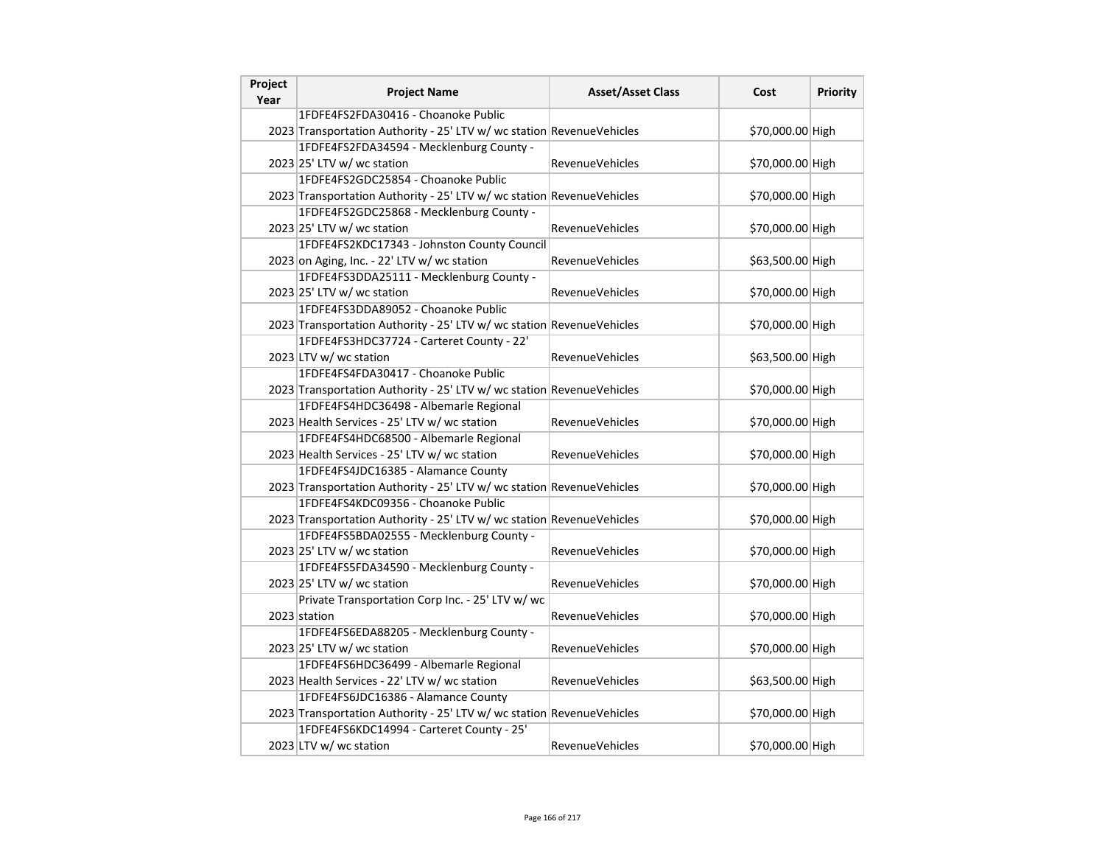| Project<br>Year | <b>Project Name</b>                                                   | <b>Asset/Asset Class</b> | Cost             | <b>Priority</b> |
|-----------------|-----------------------------------------------------------------------|--------------------------|------------------|-----------------|
|                 | 1FDFE4FS2FDA30416 - Choanoke Public                                   |                          |                  |                 |
|                 | 2023 Transportation Authority - 25' LTV w/ wc station RevenueVehicles |                          | \$70,000.00 High |                 |
|                 | 1FDFE4FS2FDA34594 - Mecklenburg County -                              |                          |                  |                 |
|                 | 2023 25' LTV w/ wc station                                            | RevenueVehicles          | \$70,000.00 High |                 |
|                 | 1FDFE4FS2GDC25854 - Choanoke Public                                   |                          |                  |                 |
|                 | 2023 Transportation Authority - 25' LTV w/ wc station RevenueVehicles |                          | \$70,000.00 High |                 |
|                 | 1FDFE4FS2GDC25868 - Mecklenburg County -                              |                          |                  |                 |
|                 | 2023 25' LTV w/ wc station                                            | <b>RevenueVehicles</b>   | \$70,000.00 High |                 |
|                 | 1FDFE4FS2KDC17343 - Johnston County Council                           |                          |                  |                 |
|                 | 2023 on Aging, Inc. - 22' LTV w/ wc station                           | <b>RevenueVehicles</b>   | \$63,500.00 High |                 |
|                 | 1FDFE4FS3DDA25111 - Mecklenburg County -                              |                          |                  |                 |
|                 | 2023 25' LTV w/ wc station                                            | RevenueVehicles          | \$70,000.00 High |                 |
|                 | 1FDFE4FS3DDA89052 - Choanoke Public                                   |                          |                  |                 |
|                 | 2023 Transportation Authority - 25' LTV w/ wc station RevenueVehicles |                          | \$70,000.00 High |                 |
|                 | 1FDFE4FS3HDC37724 - Carteret County - 22'                             |                          |                  |                 |
|                 | 2023 LTV w/ wc station                                                | <b>RevenueVehicles</b>   | \$63,500.00 High |                 |
|                 | 1FDFE4FS4FDA30417 - Choanoke Public                                   |                          |                  |                 |
|                 | 2023 Transportation Authority - 25' LTV w/ wc station RevenueVehicles |                          | \$70,000.00 High |                 |
|                 | 1FDFE4FS4HDC36498 - Albemarle Regional                                |                          |                  |                 |
|                 | 2023 Health Services - 25' LTV w/ wc station                          | RevenueVehicles          | \$70,000.00 High |                 |
|                 | 1FDFE4FS4HDC68500 - Albemarle Regional                                |                          |                  |                 |
|                 | 2023 Health Services - 25' LTV w/ wc station                          | <b>RevenueVehicles</b>   | \$70,000.00 High |                 |
|                 | 1FDFE4FS4JDC16385 - Alamance County                                   |                          |                  |                 |
|                 | 2023 Transportation Authority - 25' LTV w/ wc station RevenueVehicles |                          | \$70,000.00 High |                 |
|                 | 1FDFE4FS4KDC09356 - Choanoke Public                                   |                          |                  |                 |
|                 | 2023 Transportation Authority - 25' LTV w/ wc station RevenueVehicles |                          | \$70,000.00 High |                 |
|                 | 1FDFE4FS5BDA02555 - Mecklenburg County -                              |                          |                  |                 |
|                 | 2023 25' LTV w/ wc station                                            | <b>RevenueVehicles</b>   | \$70,000.00 High |                 |
|                 | 1FDFE4FS5FDA34590 - Mecklenburg County -                              |                          |                  |                 |
|                 | 2023 25' LTV w/ wc station                                            | <b>RevenueVehicles</b>   | \$70,000.00 High |                 |
|                 | Private Transportation Corp Inc. - 25' LTV w/ wc                      |                          |                  |                 |
|                 | 2023 station                                                          | <b>RevenueVehicles</b>   | \$70,000.00 High |                 |
|                 | 1FDFE4FS6EDA88205 - Mecklenburg County -                              |                          |                  |                 |
|                 | 2023 25' LTV w/ wc station                                            | RevenueVehicles          | \$70,000.00 High |                 |
|                 | 1FDFE4FS6HDC36499 - Albemarle Regional                                |                          |                  |                 |
|                 | 2023 Health Services - 22' LTV w/ wc station                          | <b>RevenueVehicles</b>   | \$63,500.00 High |                 |
|                 | 1FDFE4FS6JDC16386 - Alamance County                                   |                          |                  |                 |
|                 | 2023 Transportation Authority - 25' LTV w/ wc station RevenueVehicles |                          | \$70,000.00 High |                 |
|                 | 1FDFE4FS6KDC14994 - Carteret County - 25'                             |                          |                  |                 |
|                 | 2023 LTV w/ wc station                                                | <b>RevenueVehicles</b>   | \$70,000.00 High |                 |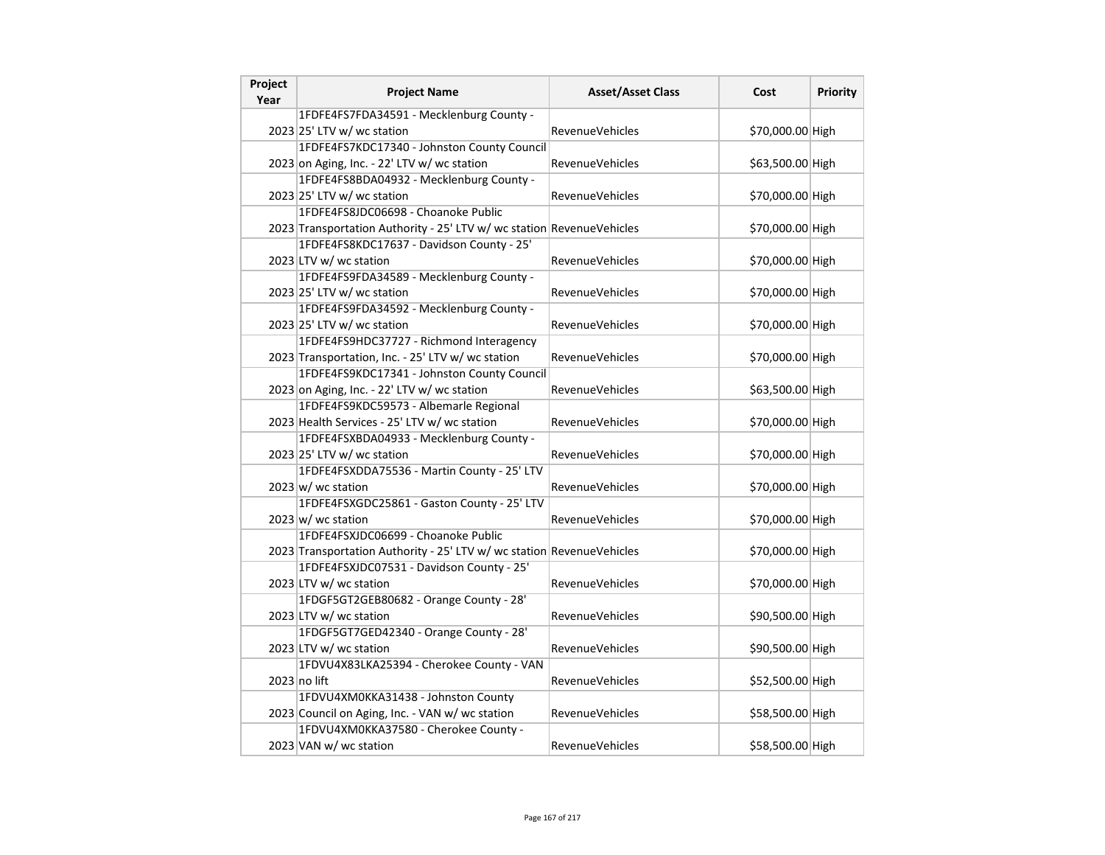| Project<br>Year | <b>Project Name</b>                                                   | <b>Asset/Asset Class</b> | Cost             | <b>Priority</b> |
|-----------------|-----------------------------------------------------------------------|--------------------------|------------------|-----------------|
|                 | 1FDFE4FS7FDA34591 - Mecklenburg County -                              |                          |                  |                 |
|                 | 2023 25' LTV w/ wc station                                            | <b>RevenueVehicles</b>   | \$70,000.00 High |                 |
|                 | 1FDFE4FS7KDC17340 - Johnston County Council                           |                          |                  |                 |
|                 | 2023 on Aging, Inc. - 22' LTV w/ wc station                           | RevenueVehicles          | \$63,500.00 High |                 |
|                 | 1FDFE4FS8BDA04932 - Mecklenburg County -                              |                          |                  |                 |
|                 | 2023 25' LTV w/ wc station                                            | RevenueVehicles          | \$70,000.00 High |                 |
|                 | 1FDFE4FS8JDC06698 - Choanoke Public                                   |                          |                  |                 |
|                 | 2023 Transportation Authority - 25' LTV w/ wc station RevenueVehicles |                          | \$70,000.00 High |                 |
|                 | 1FDFE4FS8KDC17637 - Davidson County - 25'                             |                          |                  |                 |
|                 | 2023 LTV w/ wc station                                                | <b>RevenueVehicles</b>   | \$70,000.00 High |                 |
|                 | 1FDFE4FS9FDA34589 - Mecklenburg County -                              |                          |                  |                 |
|                 | 2023 25' LTV w/ wc station                                            | RevenueVehicles          | \$70,000.00 High |                 |
|                 | 1FDFE4FS9FDA34592 - Mecklenburg County -                              |                          |                  |                 |
|                 | 2023 25' LTV w/ wc station                                            | RevenueVehicles          | \$70,000.00 High |                 |
|                 | 1FDFE4FS9HDC37727 - Richmond Interagency                              |                          |                  |                 |
|                 | 2023 Transportation, Inc. - 25' LTV w/ wc station                     | RevenueVehicles          | \$70,000.00 High |                 |
|                 | 1FDFE4FS9KDC17341 - Johnston County Council                           |                          |                  |                 |
|                 | 2023 on Aging, Inc. - 22' LTV w/ wc station                           | <b>RevenueVehicles</b>   | \$63,500.00 High |                 |
|                 | 1FDFE4FS9KDC59573 - Albemarle Regional                                |                          |                  |                 |
|                 | 2023 Health Services - 25' LTV w/ wc station                          | RevenueVehicles          | \$70,000.00 High |                 |
|                 | 1FDFE4FSXBDA04933 - Mecklenburg County -                              |                          |                  |                 |
|                 | 2023 25' LTV w/ wc station                                            | RevenueVehicles          | \$70,000.00 High |                 |
|                 | 1FDFE4FSXDDA75536 - Martin County - 25' LTV                           |                          |                  |                 |
|                 | $2023 \vert w \vert$ wc station                                       | RevenueVehicles          | \$70,000.00 High |                 |
|                 | 1FDFE4FSXGDC25861 - Gaston County - 25' LTV                           |                          |                  |                 |
|                 | $2023 \vert w \vert$ wc station                                       | <b>RevenueVehicles</b>   | \$70,000.00 High |                 |
|                 | 1FDFE4FSXJDC06699 - Choanoke Public                                   |                          |                  |                 |
|                 | 2023 Transportation Authority - 25' LTV w/ wc station RevenueVehicles |                          | \$70,000.00 High |                 |
|                 | 1FDFE4FSXJDC07531 - Davidson County - 25'                             |                          |                  |                 |
|                 | 2023 LTV w/ wc station                                                | RevenueVehicles          | \$70,000.00 High |                 |
|                 | 1FDGF5GT2GEB80682 - Orange County - 28'                               |                          |                  |                 |
|                 | 2023 LTV w/ wc station                                                | <b>RevenueVehicles</b>   | \$90,500.00 High |                 |
|                 | 1FDGF5GT7GED42340 - Orange County - 28'                               |                          |                  |                 |
|                 | 2023 LTV w/ wc station                                                | <b>RevenueVehicles</b>   | \$90,500.00 High |                 |
|                 | 1FDVU4X83LKA25394 - Cherokee County - VAN                             |                          |                  |                 |
|                 | 2023 no lift                                                          | RevenueVehicles          | \$52,500.00 High |                 |
|                 | 1FDVU4XM0KKA31438 - Johnston County                                   |                          |                  |                 |
|                 | 2023 Council on Aging, Inc. - VAN w/ wc station                       | RevenueVehicles          | \$58,500.00 High |                 |
|                 | 1FDVU4XM0KKA37580 - Cherokee County -                                 |                          |                  |                 |
|                 | 2023 VAN w/ wc station                                                | <b>RevenueVehicles</b>   | \$58,500.00 High |                 |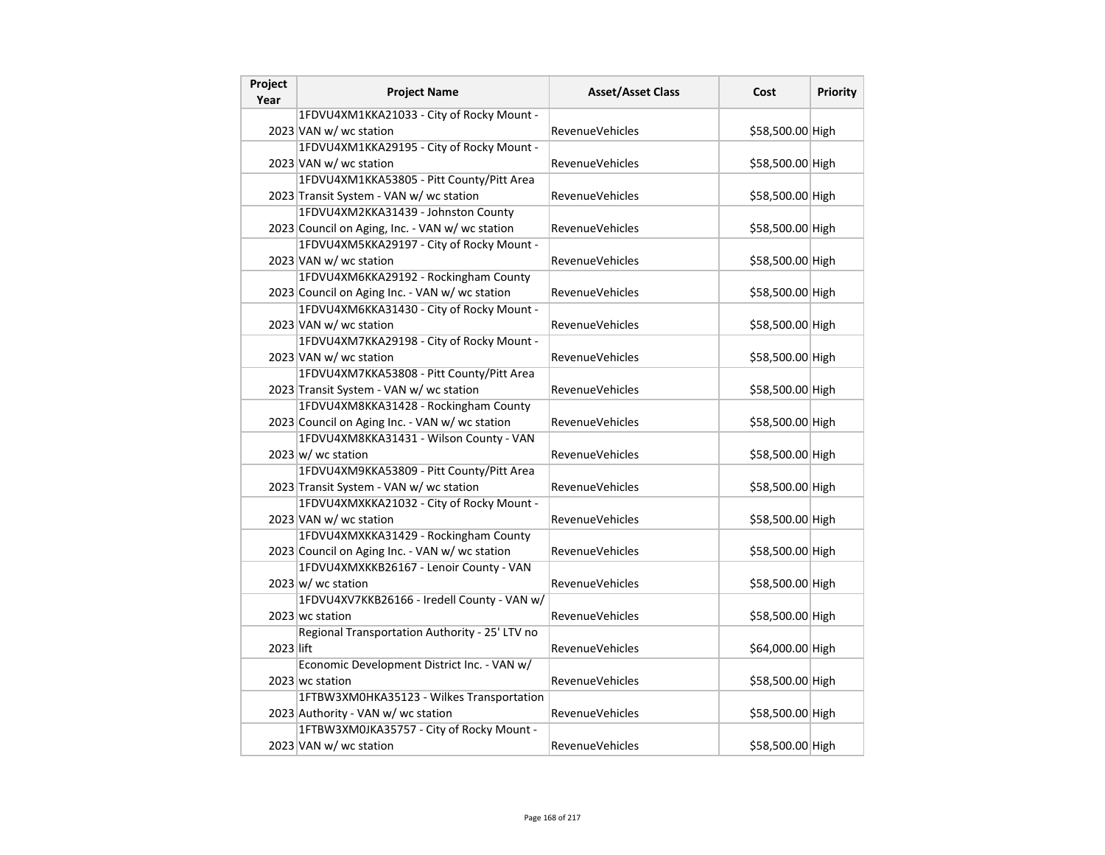| Project<br>Year | <b>Project Name</b>                             | <b>Asset/Asset Class</b> | Cost             | Priority |
|-----------------|-------------------------------------------------|--------------------------|------------------|----------|
|                 | 1FDVU4XM1KKA21033 - City of Rocky Mount -       |                          |                  |          |
|                 | 2023 VAN w/ wc station                          | <b>RevenueVehicles</b>   | \$58,500.00 High |          |
|                 | 1FDVU4XM1KKA29195 - City of Rocky Mount -       |                          |                  |          |
|                 | 2023 VAN w/ wc station                          | RevenueVehicles          | \$58,500.00 High |          |
|                 | 1FDVU4XM1KKA53805 - Pitt County/Pitt Area       |                          |                  |          |
|                 | 2023 Transit System - VAN w/ wc station         | RevenueVehicles          | \$58,500.00 High |          |
|                 | 1FDVU4XM2KKA31439 - Johnston County             |                          |                  |          |
|                 | 2023 Council on Aging, Inc. - VAN w/ wc station | RevenueVehicles          | \$58,500.00 High |          |
|                 | 1FDVU4XM5KKA29197 - City of Rocky Mount -       |                          |                  |          |
|                 | 2023 VAN w/ wc station                          | <b>RevenueVehicles</b>   | \$58,500.00 High |          |
|                 | 1FDVU4XM6KKA29192 - Rockingham County           |                          |                  |          |
|                 | 2023 Council on Aging Inc. - VAN w/ wc station  | RevenueVehicles          | \$58,500.00 High |          |
|                 | 1FDVU4XM6KKA31430 - City of Rocky Mount -       |                          |                  |          |
|                 | 2023 VAN w/ wc station                          | RevenueVehicles          | \$58,500.00 High |          |
|                 | 1FDVU4XM7KKA29198 - City of Rocky Mount -       |                          |                  |          |
|                 | 2023 VAN w/ wc station                          | <b>RevenueVehicles</b>   | \$58,500.00 High |          |
|                 | 1FDVU4XM7KKA53808 - Pitt County/Pitt Area       |                          |                  |          |
|                 | 2023 Transit System - VAN w/ wc station         | RevenueVehicles          | \$58,500.00 High |          |
|                 | 1FDVU4XM8KKA31428 - Rockingham County           |                          |                  |          |
|                 | 2023 Council on Aging Inc. - VAN w/ wc station  | <b>RevenueVehicles</b>   | \$58,500.00 High |          |
|                 | 1FDVU4XM8KKA31431 - Wilson County - VAN         |                          |                  |          |
|                 | $2023 \vert w \vert$ wc station                 | <b>RevenueVehicles</b>   | \$58,500.00 High |          |
|                 | 1FDVU4XM9KKA53809 - Pitt County/Pitt Area       |                          |                  |          |
|                 | 2023 Transit System - VAN w/ wc station         | <b>RevenueVehicles</b>   | \$58,500.00 High |          |
|                 | 1FDVU4XMXKKA21032 - City of Rocky Mount -       |                          |                  |          |
|                 | 2023 VAN w/ wc station                          | RevenueVehicles          | \$58,500.00 High |          |
|                 | 1FDVU4XMXKKA31429 - Rockingham County           |                          |                  |          |
|                 | 2023 Council on Aging Inc. - VAN w/ wc station  | <b>RevenueVehicles</b>   | \$58,500.00 High |          |
|                 | 1FDVU4XMXKKB26167 - Lenoir County - VAN         |                          |                  |          |
|                 | $2023 \, \text{w}$ / wc station                 | <b>RevenueVehicles</b>   | \$58,500.00 High |          |
|                 | 1FDVU4XV7KKB26166 - Iredell County - VAN w/     |                          |                  |          |
|                 | 2023 wc station                                 | <b>RevenueVehicles</b>   | \$58,500.00 High |          |
|                 | Regional Transportation Authority - 25' LTV no  |                          |                  |          |
| 2023 lift       |                                                 | <b>RevenueVehicles</b>   | \$64,000.00 High |          |
|                 | Economic Development District Inc. - VAN w/     |                          |                  |          |
|                 | 2023 wc station                                 | RevenueVehicles          | \$58,500.00 High |          |
|                 | 1FTBW3XM0HKA35123 - Wilkes Transportation       |                          |                  |          |
|                 | 2023 Authority - VAN w/ wc station              | <b>RevenueVehicles</b>   | \$58,500.00 High |          |
|                 | 1FTBW3XM0JKA35757 - City of Rocky Mount -       |                          |                  |          |
|                 | 2023 VAN w/ wc station                          | RevenueVehicles          | \$58,500.00 High |          |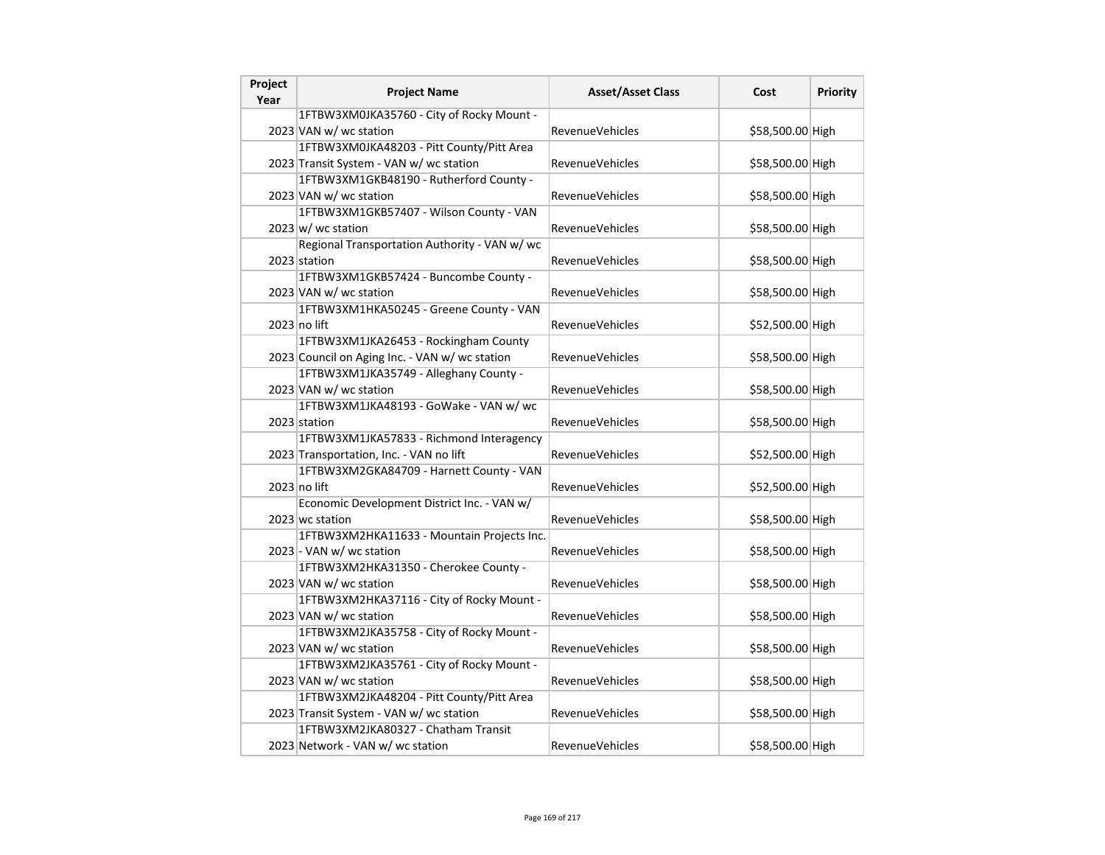| Project<br>Year | <b>Project Name</b>                            | <b>Asset/Asset Class</b> | Cost             | Priority |
|-----------------|------------------------------------------------|--------------------------|------------------|----------|
|                 | 1FTBW3XM0JKA35760 - City of Rocky Mount -      |                          |                  |          |
|                 | 2023 VAN w/ wc station                         | <b>RevenueVehicles</b>   | \$58,500.00 High |          |
|                 | 1FTBW3XM0JKA48203 - Pitt County/Pitt Area      |                          |                  |          |
|                 | 2023 Transit System - VAN w/ wc station        | <b>RevenueVehicles</b>   | \$58,500.00 High |          |
|                 | 1FTBW3XM1GKB48190 - Rutherford County -        |                          |                  |          |
|                 | 2023 VAN w/ wc station                         | <b>RevenueVehicles</b>   | \$58,500.00 High |          |
|                 | 1FTBW3XM1GKB57407 - Wilson County - VAN        |                          |                  |          |
|                 | $2023 \text{ w}$ / wc station                  | <b>RevenueVehicles</b>   | \$58,500.00 High |          |
|                 | Regional Transportation Authority - VAN w/ wc  |                          |                  |          |
|                 | 2023 station                                   | RevenueVehicles          | \$58,500.00 High |          |
|                 | 1FTBW3XM1GKB57424 - Buncombe County -          |                          |                  |          |
|                 | 2023 VAN w/ wc station                         | <b>RevenueVehicles</b>   | \$58,500.00 High |          |
|                 | 1FTBW3XM1HKA50245 - Greene County - VAN        |                          |                  |          |
|                 | 2023 no lift                                   | RevenueVehicles          | \$52,500.00 High |          |
|                 | 1FTBW3XM1JKA26453 - Rockingham County          |                          |                  |          |
|                 | 2023 Council on Aging Inc. - VAN w/ wc station | RevenueVehicles          | \$58,500.00 High |          |
|                 | 1FTBW3XM1JKA35749 - Alleghany County -         |                          |                  |          |
|                 | 2023 VAN w/ wc station                         | RevenueVehicles          | \$58,500.00 High |          |
|                 | 1FTBW3XM1JKA48193 - GoWake - VAN w/ wc         |                          |                  |          |
|                 | 2023 station                                   | RevenueVehicles          | \$58,500.00 High |          |
|                 | 1FTBW3XM1JKA57833 - Richmond Interagency       |                          |                  |          |
|                 | 2023 Transportation, Inc. - VAN no lift        | <b>RevenueVehicles</b>   | \$52,500.00 High |          |
|                 | 1FTBW3XM2GKA84709 - Harnett County - VAN       |                          |                  |          |
|                 | 2023 no lift                                   | RevenueVehicles          | \$52,500.00 High |          |
|                 | Economic Development District Inc. - VAN w/    |                          |                  |          |
|                 | 2023 wc station                                | RevenueVehicles          | \$58,500.00 High |          |
|                 | 1FTBW3XM2HKA11633 - Mountain Projects Inc.     |                          |                  |          |
|                 | 2023 - VAN w/ wc station                       | RevenueVehicles          | \$58,500.00 High |          |
|                 | 1FTBW3XM2HKA31350 - Cherokee County -          |                          |                  |          |
|                 | 2023 VAN w/ wc station                         | <b>RevenueVehicles</b>   | \$58,500.00 High |          |
|                 | 1FTBW3XM2HKA37116 - City of Rocky Mount -      |                          |                  |          |
|                 | 2023 VAN w/ wc station                         | RevenueVehicles          | \$58,500.00 High |          |
|                 | 1FTBW3XM2JKA35758 - City of Rocky Mount -      |                          |                  |          |
|                 | 2023 VAN w/ wc station                         | RevenueVehicles          | \$58,500.00 High |          |
|                 | 1FTBW3XM2JKA35761 - City of Rocky Mount -      |                          |                  |          |
|                 | 2023 VAN w/ wc station                         | RevenueVehicles          | \$58,500.00 High |          |
|                 | 1FTBW3XM2JKA48204 - Pitt County/Pitt Area      |                          |                  |          |
|                 | 2023 Transit System - VAN w/ wc station        | <b>RevenueVehicles</b>   | \$58,500.00 High |          |
|                 | 1FTBW3XM2JKA80327 - Chatham Transit            |                          |                  |          |
|                 | 2023 Network - VAN w/ wc station               | <b>RevenueVehicles</b>   | \$58,500.00 High |          |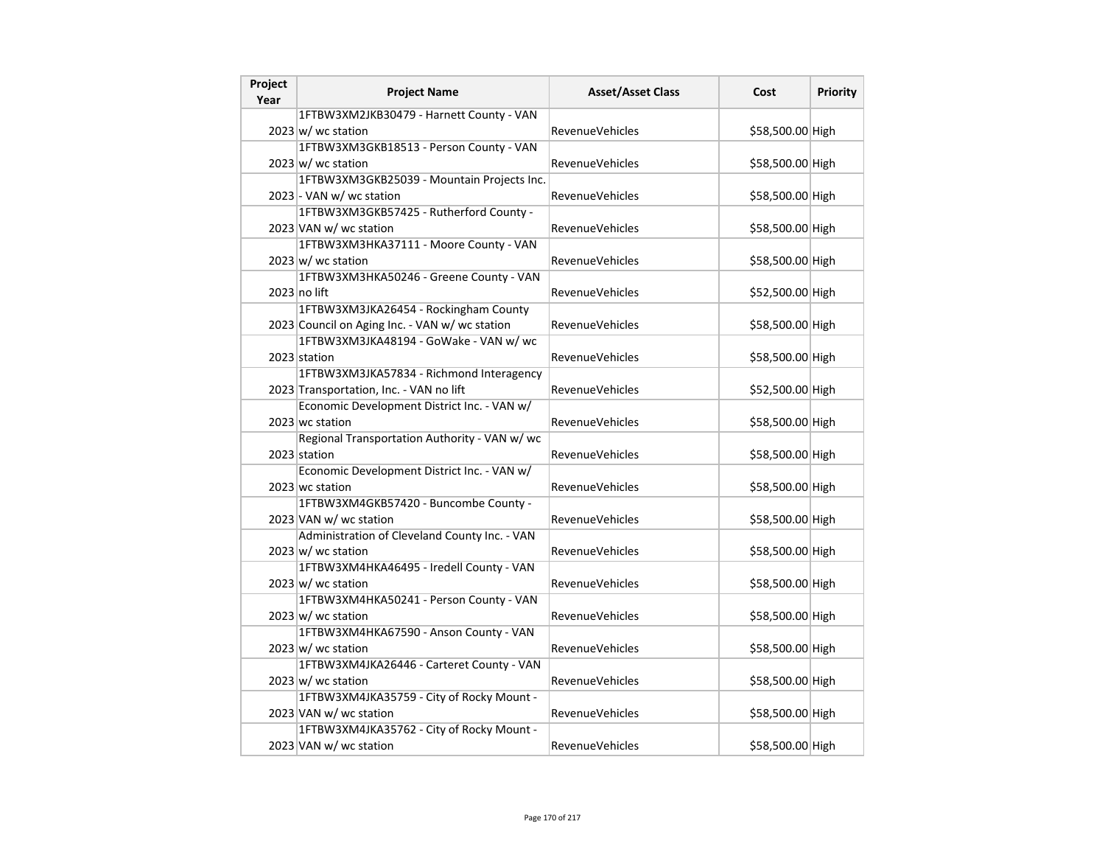| Project<br>Year | <b>Project Name</b>                            | <b>Asset/Asset Class</b> | Cost             | <b>Priority</b> |
|-----------------|------------------------------------------------|--------------------------|------------------|-----------------|
|                 | 1FTBW3XM2JKB30479 - Harnett County - VAN       |                          |                  |                 |
|                 | $2023 \vert w \vert$ wc station                | <b>RevenueVehicles</b>   | \$58,500.00 High |                 |
|                 | 1FTBW3XM3GKB18513 - Person County - VAN        |                          |                  |                 |
|                 | $2023 \vert w \vert$ wc station                | RevenueVehicles          | \$58,500.00 High |                 |
|                 | 1FTBW3XM3GKB25039 - Mountain Projects Inc.     |                          |                  |                 |
|                 | 2023 - VAN w/ wc station                       | RevenueVehicles          | \$58,500.00 High |                 |
|                 | 1FTBW3XM3GKB57425 - Rutherford County -        |                          |                  |                 |
|                 | 2023 VAN w/ wc station                         | <b>RevenueVehicles</b>   | \$58,500.00 High |                 |
|                 | 1FTBW3XM3HKA37111 - Moore County - VAN         |                          |                  |                 |
|                 | $2023 \text{ w}$ / wc station                  | RevenueVehicles          | \$58,500.00 High |                 |
|                 | 1FTBW3XM3HKA50246 - Greene County - VAN        |                          |                  |                 |
|                 | 2023 no lift                                   | <b>RevenueVehicles</b>   | \$52,500.00 High |                 |
|                 | 1FTBW3XM3JKA26454 - Rockingham County          |                          |                  |                 |
|                 | 2023 Council on Aging Inc. - VAN w/ wc station | <b>RevenueVehicles</b>   | \$58,500.00 High |                 |
|                 | 1FTBW3XM3JKA48194 - GoWake - VAN w/ wc         |                          |                  |                 |
|                 | 2023 station                                   | RevenueVehicles          | \$58,500.00 High |                 |
|                 | 1FTBW3XM3JKA57834 - Richmond Interagency       |                          |                  |                 |
|                 | 2023 Transportation, Inc. - VAN no lift        | <b>RevenueVehicles</b>   | \$52,500.00 High |                 |
|                 | Economic Development District Inc. - VAN w/    |                          |                  |                 |
|                 | 2023 wc station                                | <b>RevenueVehicles</b>   | \$58,500.00 High |                 |
|                 | Regional Transportation Authority - VAN w/ wc  |                          |                  |                 |
|                 | 2023 station                                   | RevenueVehicles          | \$58,500.00 High |                 |
|                 | Economic Development District Inc. - VAN w/    |                          |                  |                 |
|                 | 2023 wc station                                | <b>RevenueVehicles</b>   | \$58,500.00 High |                 |
|                 | 1FTBW3XM4GKB57420 - Buncombe County -          |                          |                  |                 |
|                 | 2023 VAN w/ wc station                         | RevenueVehicles          | \$58,500.00 High |                 |
|                 | Administration of Cleveland County Inc. - VAN  |                          |                  |                 |
|                 | $2023 \text{ w}$ / wc station                  | RevenueVehicles          | \$58,500.00 High |                 |
|                 | 1FTBW3XM4HKA46495 - Iredell County - VAN       |                          |                  |                 |
|                 | $2023 \text{ w}$ / wc station                  | RevenueVehicles          | \$58,500.00 High |                 |
|                 | 1FTBW3XM4HKA50241 - Person County - VAN        |                          |                  |                 |
|                 | $2023 \vert w \vert$ wc station                | <b>RevenueVehicles</b>   | \$58,500.00 High |                 |
|                 | 1FTBW3XM4HKA67590 - Anson County - VAN         |                          |                  |                 |
|                 | $2023 \vert w \vert$ wc station                | RevenueVehicles          | \$58,500.00 High |                 |
|                 | 1FTBW3XM4JKA26446 - Carteret County - VAN      |                          |                  |                 |
|                 | $2023 \vert w \vert$ wc station                | <b>RevenueVehicles</b>   | \$58,500.00 High |                 |
|                 | 1FTBW3XM4JKA35759 - City of Rocky Mount -      |                          |                  |                 |
|                 | 2023 VAN w/ wc station                         | <b>RevenueVehicles</b>   | \$58,500.00 High |                 |
|                 | 1FTBW3XM4JKA35762 - City of Rocky Mount -      |                          |                  |                 |
|                 | 2023 VAN w/ wc station                         | RevenueVehicles          | \$58,500.00 High |                 |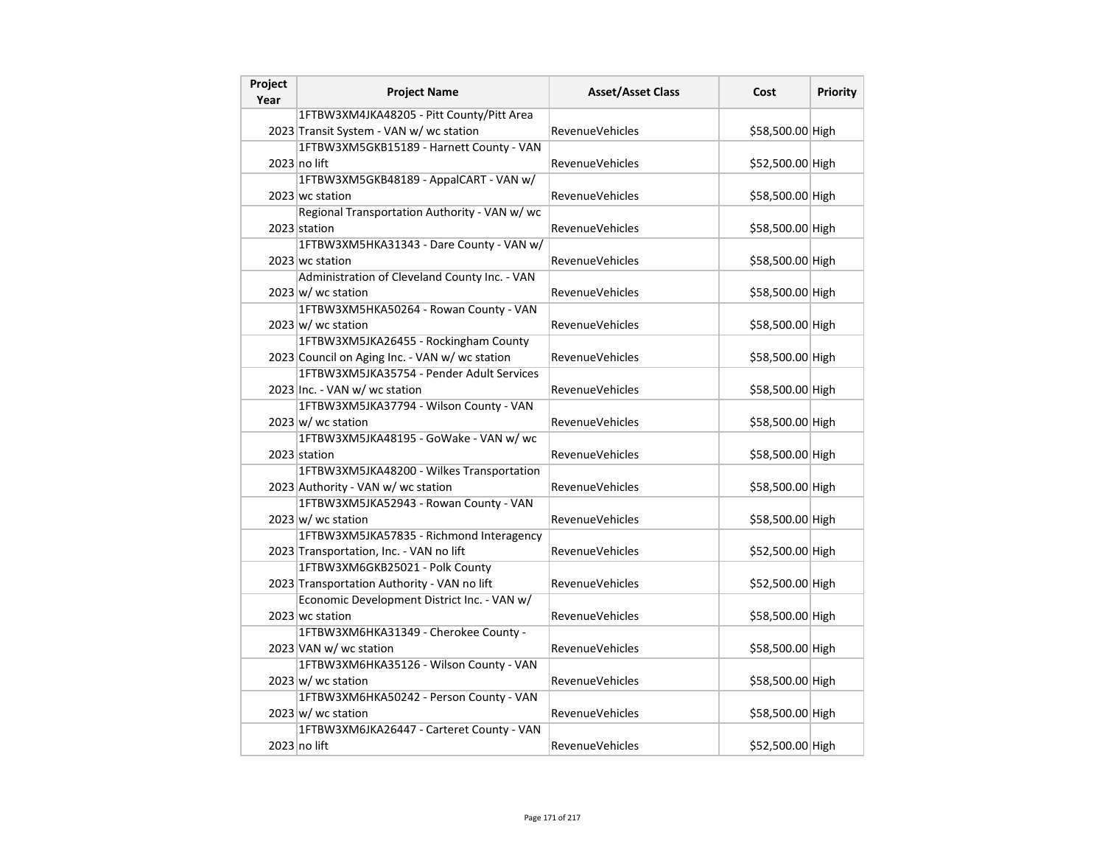| Project<br>Year | <b>Project Name</b>                            | <b>Asset/Asset Class</b> | Cost             | Priority |
|-----------------|------------------------------------------------|--------------------------|------------------|----------|
|                 | 1FTBW3XM4JKA48205 - Pitt County/Pitt Area      |                          |                  |          |
|                 | 2023 Transit System - VAN w/ wc station        | <b>RevenueVehicles</b>   | \$58,500.00 High |          |
|                 | 1FTBW3XM5GKB15189 - Harnett County - VAN       |                          |                  |          |
|                 | 2023 no lift                                   | RevenueVehicles          | \$52,500.00 High |          |
|                 | 1FTBW3XM5GKB48189 - AppalCART - VAN w/         |                          |                  |          |
|                 | 2023 wc station                                | RevenueVehicles          | \$58,500.00 High |          |
|                 | Regional Transportation Authority - VAN w/ wc  |                          |                  |          |
|                 | 2023 station                                   | <b>RevenueVehicles</b>   | \$58,500.00 High |          |
|                 | 1FTBW3XM5HKA31343 - Dare County - VAN w/       |                          |                  |          |
|                 | 2023 wc station                                | <b>RevenueVehicles</b>   | \$58,500.00 High |          |
|                 | Administration of Cleveland County Inc. - VAN  |                          |                  |          |
|                 | $2023 \text{ w}$ / wc station                  | RevenueVehicles          | \$58,500.00 High |          |
|                 | 1FTBW3XM5HKA50264 - Rowan County - VAN         |                          |                  |          |
|                 | $2023 \vert w \vert$ wc station                | RevenueVehicles          | \$58,500.00 High |          |
|                 | 1FTBW3XM5JKA26455 - Rockingham County          |                          |                  |          |
|                 | 2023 Council on Aging Inc. - VAN w/ wc station | <b>RevenueVehicles</b>   | \$58,500.00 High |          |
|                 | 1FTBW3XM5JKA35754 - Pender Adult Services      |                          |                  |          |
|                 | 2023 Inc. - VAN w/ wc station                  | <b>RevenueVehicles</b>   | \$58,500.00 High |          |
|                 | 1FTBW3XM5JKA37794 - Wilson County - VAN        |                          |                  |          |
|                 | $2023 \text{ w}$ / wc station                  | <b>RevenueVehicles</b>   | \$58,500.00 High |          |
|                 | 1FTBW3XM5JKA48195 - GoWake - VAN w/ wc         |                          |                  |          |
|                 | 2023 station                                   | <b>RevenueVehicles</b>   | \$58,500.00 High |          |
|                 | 1FTBW3XM5JKA48200 - Wilkes Transportation      |                          |                  |          |
|                 | 2023 Authority - VAN w/ wc station             | RevenueVehicles          | \$58,500.00 High |          |
|                 | 1FTBW3XM5JKA52943 - Rowan County - VAN         |                          |                  |          |
|                 | $2023 \text{ w}$ / wc station                  | RevenueVehicles          | \$58,500.00 High |          |
|                 | 1FTBW3XM5JKA57835 - Richmond Interagency       |                          |                  |          |
|                 | 2023 Transportation, Inc. - VAN no lift        | <b>RevenueVehicles</b>   | \$52,500.00 High |          |
|                 | 1FTBW3XM6GKB25021 - Polk County                |                          |                  |          |
|                 | 2023 Transportation Authority - VAN no lift    | <b>RevenueVehicles</b>   | \$52,500.00 High |          |
|                 | Economic Development District Inc. - VAN w/    |                          |                  |          |
|                 | 2023 wc station                                | <b>RevenueVehicles</b>   | \$58,500.00 High |          |
|                 | 1FTBW3XM6HKA31349 - Cherokee County -          |                          |                  |          |
|                 | 2023 VAN w/ wc station                         | <b>RevenueVehicles</b>   | \$58,500.00 High |          |
|                 | 1FTBW3XM6HKA35126 - Wilson County - VAN        |                          |                  |          |
|                 | $2023 \text{ w}$ / wc station                  | <b>RevenueVehicles</b>   | \$58,500.00 High |          |
|                 | 1FTBW3XM6HKA50242 - Person County - VAN        |                          |                  |          |
|                 | $2023 \text{ w}$ / wc station                  | <b>RevenueVehicles</b>   | \$58,500.00 High |          |
|                 | 1FTBW3XM6JKA26447 - Carteret County - VAN      |                          |                  |          |
|                 | 2023 no lift                                   | RevenueVehicles          | \$52,500.00 High |          |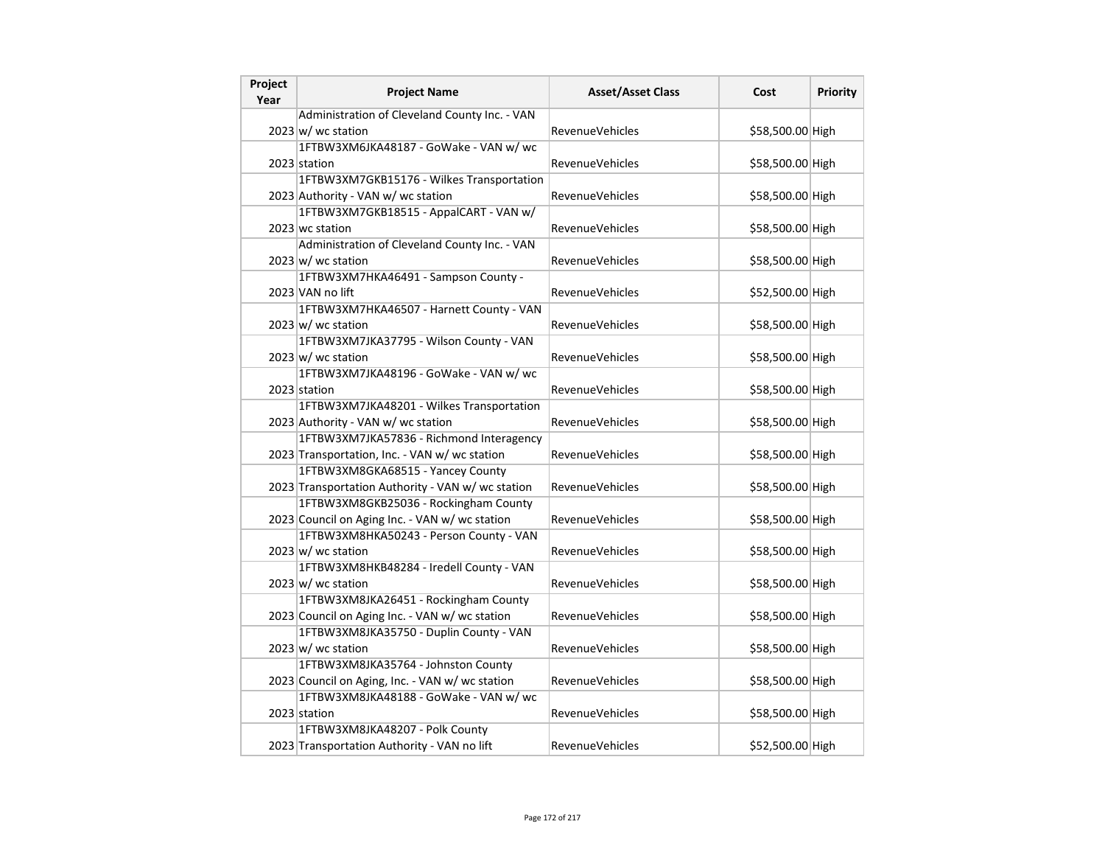| Project<br>Year | <b>Project Name</b>                               | <b>Asset/Asset Class</b> | Cost             | <b>Priority</b> |
|-----------------|---------------------------------------------------|--------------------------|------------------|-----------------|
|                 | Administration of Cleveland County Inc. - VAN     |                          |                  |                 |
|                 | $2023 \text{ w}$ / wc station                     | <b>RevenueVehicles</b>   | \$58,500.00 High |                 |
|                 | 1FTBW3XM6JKA48187 - GoWake - VAN w/ wc            |                          |                  |                 |
|                 | 2023 station                                      | RevenueVehicles          | \$58,500.00 High |                 |
|                 | 1FTBW3XM7GKB15176 - Wilkes Transportation         |                          |                  |                 |
|                 | 2023 Authority - VAN w/ wc station                | RevenueVehicles          | \$58,500.00 High |                 |
|                 | 1FTBW3XM7GKB18515 - AppalCART - VAN w/            |                          |                  |                 |
|                 | 2023 wc station                                   | <b>RevenueVehicles</b>   | \$58,500.00 High |                 |
|                 | Administration of Cleveland County Inc. - VAN     |                          |                  |                 |
|                 | $2023 \text{ w}$ / wc station                     | RevenueVehicles          | \$58,500.00 High |                 |
|                 | 1FTBW3XM7HKA46491 - Sampson County -              |                          |                  |                 |
|                 | 2023 VAN no lift                                  | <b>RevenueVehicles</b>   | \$52,500.00 High |                 |
|                 | 1FTBW3XM7HKA46507 - Harnett County - VAN          |                          |                  |                 |
|                 | $2023 \vert w \vert$ wc station                   | <b>RevenueVehicles</b>   | \$58,500.00 High |                 |
|                 | 1FTBW3XM7JKA37795 - Wilson County - VAN           |                          |                  |                 |
|                 | $2023 \vert w \vert$ wc station                   | RevenueVehicles          | \$58,500.00 High |                 |
|                 | 1FTBW3XM7JKA48196 - GoWake - VAN w/ wc            |                          |                  |                 |
|                 | 2023 station                                      | <b>RevenueVehicles</b>   | \$58,500.00 High |                 |
|                 | 1FTBW3XM7JKA48201 - Wilkes Transportation         |                          |                  |                 |
|                 | 2023 Authority - VAN w/ wc station                | <b>RevenueVehicles</b>   | \$58,500.00 High |                 |
|                 | 1FTBW3XM7JKA57836 - Richmond Interagency          |                          |                  |                 |
|                 | 2023 Transportation, Inc. - VAN w/ wc station     | RevenueVehicles          | \$58,500.00 High |                 |
|                 | 1FTBW3XM8GKA68515 - Yancey County                 |                          |                  |                 |
|                 | 2023 Transportation Authority - VAN w/ wc station | <b>RevenueVehicles</b>   | \$58,500.00 High |                 |
|                 | 1FTBW3XM8GKB25036 - Rockingham County             |                          |                  |                 |
|                 | 2023 Council on Aging Inc. - VAN w/ wc station    | RevenueVehicles          | \$58,500.00 High |                 |
|                 | 1FTBW3XM8HKA50243 - Person County - VAN           |                          |                  |                 |
|                 | $2023 \text{ w}$ / wc station                     | RevenueVehicles          | \$58,500.00 High |                 |
|                 | 1FTBW3XM8HKB48284 - Iredell County - VAN          |                          |                  |                 |
|                 | $2023 \text{ w}$ / wc station                     | RevenueVehicles          | \$58,500.00 High |                 |
|                 | 1FTBW3XM8JKA26451 - Rockingham County             |                          |                  |                 |
|                 | 2023 Council on Aging Inc. - VAN w/ wc station    | <b>RevenueVehicles</b>   | \$58,500.00 High |                 |
|                 | 1FTBW3XM8JKA35750 - Duplin County - VAN           |                          |                  |                 |
|                 | $2023 \vert w \vert$ wc station                   | RevenueVehicles          | \$58,500.00 High |                 |
|                 | 1FTBW3XM8JKA35764 - Johnston County               |                          |                  |                 |
|                 | 2023 Council on Aging, Inc. - VAN w/ wc station   | <b>RevenueVehicles</b>   | \$58,500.00 High |                 |
|                 | 1FTBW3XM8JKA48188 - GoWake - VAN w/ wc            |                          |                  |                 |
|                 | 2023 station                                      | <b>RevenueVehicles</b>   | \$58,500.00 High |                 |
|                 | 1FTBW3XM8JKA48207 - Polk County                   |                          |                  |                 |
|                 | 2023 Transportation Authority - VAN no lift       | RevenueVehicles          | \$52,500.00 High |                 |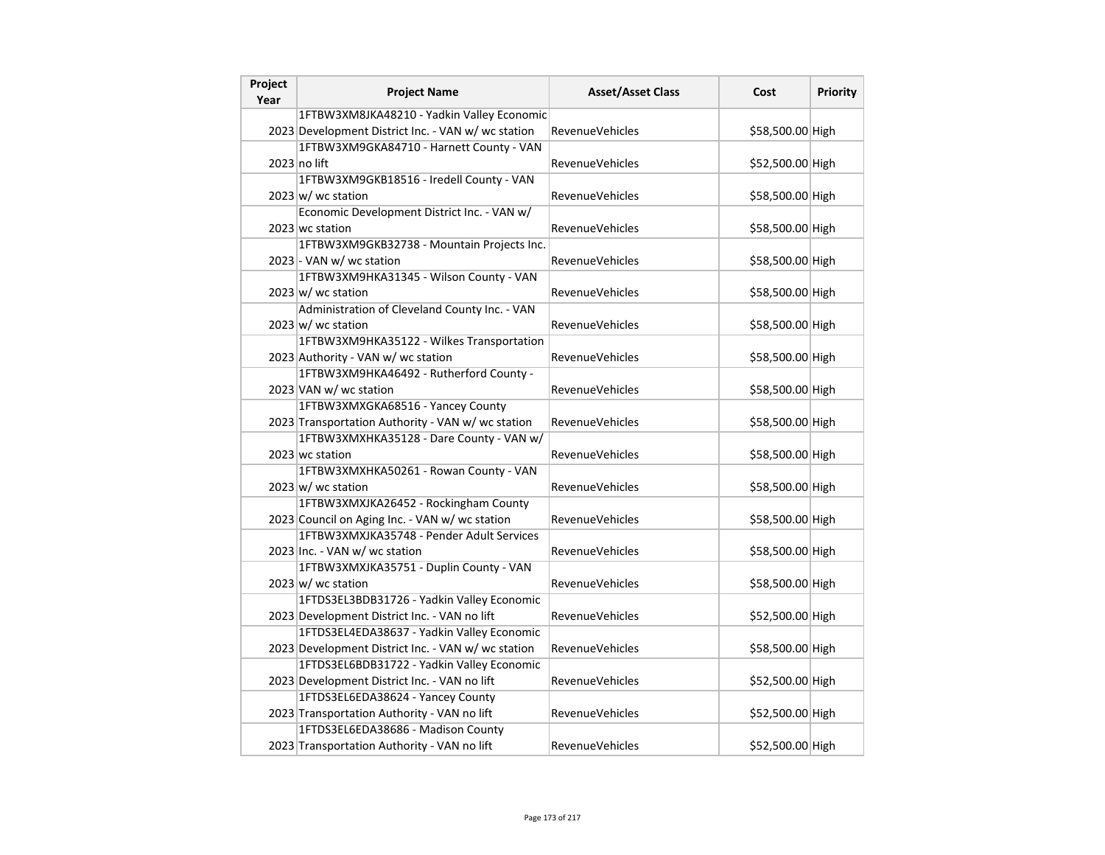| Project<br>Year | <b>Project Name</b>                                | <b>Asset/Asset Class</b> | Cost             | <b>Priority</b> |
|-----------------|----------------------------------------------------|--------------------------|------------------|-----------------|
|                 | 1FTBW3XM8JKA48210 - Yadkin Valley Economic         |                          |                  |                 |
|                 | 2023 Development District Inc. - VAN w/ wc station | <b>RevenueVehicles</b>   | \$58,500.00 High |                 |
|                 | 1FTBW3XM9GKA84710 - Harnett County - VAN           |                          |                  |                 |
|                 | 2023 no lift                                       | RevenueVehicles          | \$52,500.00 High |                 |
|                 | 1FTBW3XM9GKB18516 - Iredell County - VAN           |                          |                  |                 |
|                 | $2023 \, \text{w}$ / wc station                    | <b>RevenueVehicles</b>   | \$58,500.00 High |                 |
|                 | Economic Development District Inc. - VAN w/        |                          |                  |                 |
|                 | 2023 wc station                                    | <b>RevenueVehicles</b>   | \$58,500.00 High |                 |
|                 | 1FTBW3XM9GKB32738 - Mountain Projects Inc.         |                          |                  |                 |
|                 | 2023 - VAN w/ wc station                           | <b>RevenueVehicles</b>   | \$58,500.00 High |                 |
|                 | 1FTBW3XM9HKA31345 - Wilson County - VAN            |                          |                  |                 |
|                 | $2023 \vert w \vert$ wc station                    | RevenueVehicles          | \$58,500.00 High |                 |
|                 | Administration of Cleveland County Inc. - VAN      |                          |                  |                 |
|                 | $2023 \, \text{w}$ wc station                      | <b>RevenueVehicles</b>   | \$58,500.00 High |                 |
|                 | 1FTBW3XM9HKA35122 - Wilkes Transportation          |                          |                  |                 |
|                 | 2023 Authority - VAN w/ wc station                 | <b>RevenueVehicles</b>   | \$58,500.00 High |                 |
|                 | 1FTBW3XM9HKA46492 - Rutherford County -            |                          |                  |                 |
|                 | 2023 VAN w/ wc station                             | RevenueVehicles          | \$58,500.00 High |                 |
|                 | 1FTBW3XMXGKA68516 - Yancey County                  |                          |                  |                 |
|                 | 2023 Transportation Authority - VAN w/ wc station  | RevenueVehicles          | \$58,500.00 High |                 |
|                 | 1FTBW3XMXHKA35128 - Dare County - VAN w/           |                          |                  |                 |
|                 | 2023 wc station                                    | <b>RevenueVehicles</b>   | \$58,500.00 High |                 |
|                 | 1FTBW3XMXHKA50261 - Rowan County - VAN             |                          |                  |                 |
|                 | 2023 w/ wc station                                 | <b>RevenueVehicles</b>   | \$58,500.00 High |                 |
|                 | 1FTBW3XMXJKA26452 - Rockingham County              |                          |                  |                 |
|                 | 2023 Council on Aging Inc. - VAN w/ wc station     | RevenueVehicles          | \$58,500.00 High |                 |
|                 | 1FTBW3XMXJKA35748 - Pender Adult Services          |                          |                  |                 |
|                 | 2023 Inc. - VAN w/ wc station                      | <b>RevenueVehicles</b>   | \$58,500.00 High |                 |
|                 | 1FTBW3XMXJKA35751 - Duplin County - VAN            |                          |                  |                 |
|                 | $2023 \vert w \vert$ wc station                    | <b>RevenueVehicles</b>   | \$58,500.00 High |                 |
|                 | 1FTDS3EL3BDB31726 - Yadkin Valley Economic         |                          |                  |                 |
|                 | 2023 Development District Inc. - VAN no lift       | <b>RevenueVehicles</b>   | \$52,500.00 High |                 |
|                 | 1FTDS3EL4EDA38637 - Yadkin Valley Economic         |                          |                  |                 |
|                 | 2023 Development District Inc. - VAN w/ wc station | RevenueVehicles          | \$58,500.00 High |                 |
|                 | 1FTDS3EL6BDB31722 - Yadkin Valley Economic         |                          |                  |                 |
|                 | 2023 Development District Inc. - VAN no lift       | <b>RevenueVehicles</b>   | \$52,500.00 High |                 |
|                 | 1FTDS3EL6EDA38624 - Yancey County                  |                          |                  |                 |
|                 | 2023 Transportation Authority - VAN no lift        | RevenueVehicles          | \$52,500.00 High |                 |
|                 | 1FTDS3EL6EDA38686 - Madison County                 |                          |                  |                 |
|                 | 2023 Transportation Authority - VAN no lift        | RevenueVehicles          | \$52,500.00 High |                 |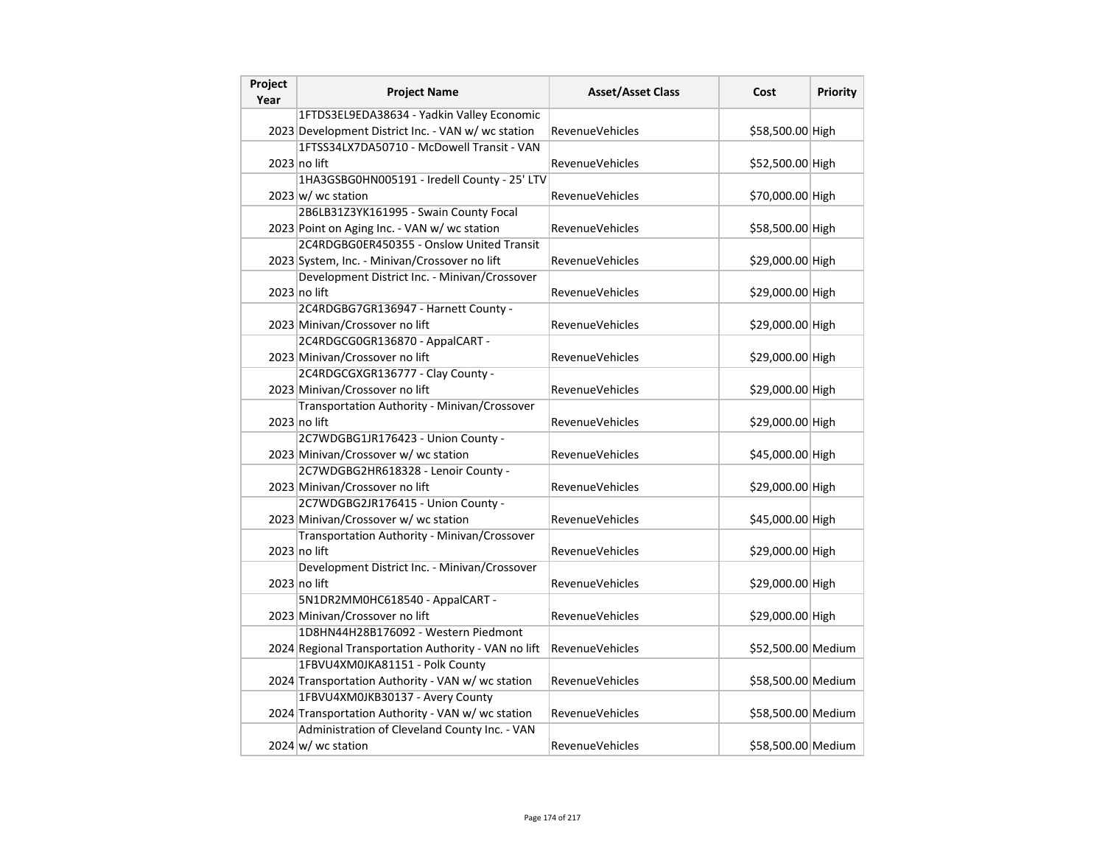| Project<br>Year | <b>Project Name</b>                                  | <b>Asset/Asset Class</b> | Cost               | <b>Priority</b> |
|-----------------|------------------------------------------------------|--------------------------|--------------------|-----------------|
|                 | 1FTDS3EL9EDA38634 - Yadkin Valley Economic           |                          |                    |                 |
|                 | 2023 Development District Inc. - VAN w/ wc station   | RevenueVehicles          | \$58,500.00 High   |                 |
|                 | 1FTSS34LX7DA50710 - McDowell Transit - VAN           |                          |                    |                 |
|                 | 2023 no lift                                         | RevenueVehicles          | \$52,500.00 High   |                 |
|                 | 1HA3GSBG0HN005191 - Iredell County - 25' LTV         |                          |                    |                 |
|                 | $2023 \, \text{w}$ / wc station                      | <b>RevenueVehicles</b>   | \$70,000.00 High   |                 |
|                 | 2B6LB31Z3YK161995 - Swain County Focal               |                          |                    |                 |
|                 | 2023 Point on Aging Inc. - VAN w/ wc station         | <b>RevenueVehicles</b>   | \$58,500.00 High   |                 |
|                 | 2C4RDGBG0ER450355 - Onslow United Transit            |                          |                    |                 |
|                 | 2023 System, Inc. - Minivan/Crossover no lift        | <b>RevenueVehicles</b>   | \$29,000.00 High   |                 |
|                 | Development District Inc. - Minivan/Crossover        |                          |                    |                 |
|                 | 2023 no lift                                         | <b>RevenueVehicles</b>   | \$29,000.00 High   |                 |
|                 | 2C4RDGBG7GR136947 - Harnett County -                 |                          |                    |                 |
|                 | 2023 Minivan/Crossover no lift                       | <b>RevenueVehicles</b>   | \$29,000.00 High   |                 |
|                 | 2C4RDGCG0GR136870 - AppalCART -                      |                          |                    |                 |
|                 | 2023 Minivan/Crossover no lift                       | <b>RevenueVehicles</b>   | \$29,000.00 High   |                 |
|                 | 2C4RDGCGXGR136777 - Clay County -                    |                          |                    |                 |
|                 | 2023 Minivan/Crossover no lift                       | <b>RevenueVehicles</b>   | \$29,000.00 High   |                 |
|                 | Transportation Authority - Minivan/Crossover         |                          |                    |                 |
|                 | 2023 no lift                                         | <b>RevenueVehicles</b>   | \$29,000.00 High   |                 |
|                 | 2C7WDGBG1JR176423 - Union County -                   |                          |                    |                 |
|                 | 2023 Minivan/Crossover w/ wc station                 | <b>RevenueVehicles</b>   | \$45,000.00 High   |                 |
|                 | 2C7WDGBG2HR618328 - Lenoir County -                  |                          |                    |                 |
|                 | 2023 Minivan/Crossover no lift                       | <b>RevenueVehicles</b>   | \$29,000.00 High   |                 |
|                 | 2C7WDGBG2JR176415 - Union County -                   |                          |                    |                 |
|                 | 2023 Minivan/Crossover w/ wc station                 | <b>RevenueVehicles</b>   | \$45,000.00 High   |                 |
|                 | Transportation Authority - Minivan/Crossover         |                          |                    |                 |
|                 | 2023 no lift                                         | <b>RevenueVehicles</b>   | \$29,000.00 High   |                 |
|                 | Development District Inc. - Minivan/Crossover        |                          |                    |                 |
|                 | 2023 no lift                                         | <b>RevenueVehicles</b>   | \$29,000.00 High   |                 |
|                 | 5N1DR2MM0HC618540 - AppalCART -                      |                          |                    |                 |
|                 | 2023 Minivan/Crossover no lift                       | <b>RevenueVehicles</b>   | \$29,000.00 High   |                 |
|                 | 1D8HN44H28B176092 - Western Piedmont                 |                          |                    |                 |
|                 | 2024 Regional Transportation Authority - VAN no lift | RevenueVehicles          | \$52,500.00 Medium |                 |
|                 | 1FBVU4XM0JKA81151 - Polk County                      |                          |                    |                 |
|                 | 2024 Transportation Authority - VAN w/ wc station    | <b>RevenueVehicles</b>   | \$58,500.00 Medium |                 |
|                 | 1FBVU4XM0JKB30137 - Avery County                     |                          |                    |                 |
|                 | 2024 Transportation Authority - VAN w/ wc station    | <b>RevenueVehicles</b>   | \$58,500.00 Medium |                 |
|                 | Administration of Cleveland County Inc. - VAN        |                          |                    |                 |
|                 | $2024 \text{ w/m}$ wc station                        | <b>RevenueVehicles</b>   | \$58,500.00 Medium |                 |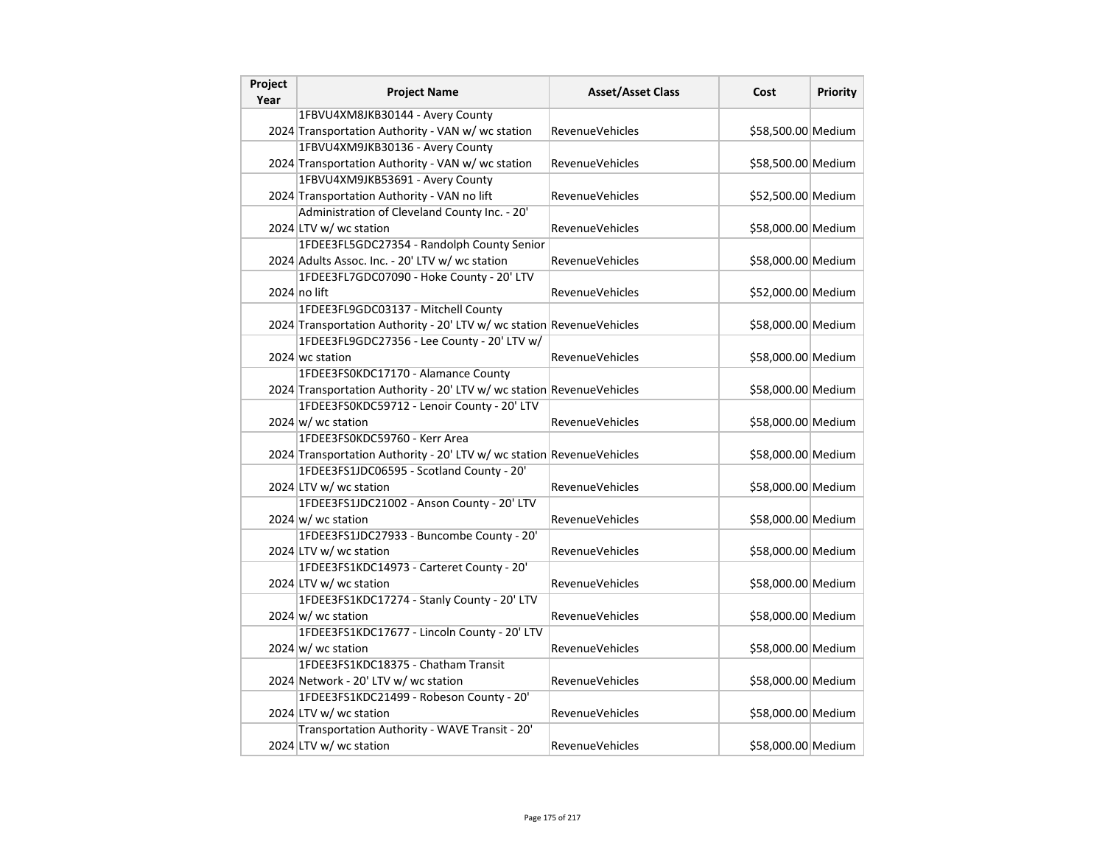| Project<br>Year | <b>Project Name</b>                                                   | <b>Asset/Asset Class</b> | Cost               | <b>Priority</b> |
|-----------------|-----------------------------------------------------------------------|--------------------------|--------------------|-----------------|
|                 | 1FBVU4XM8JKB30144 - Avery County                                      |                          |                    |                 |
|                 | 2024 Transportation Authority - VAN w/ wc station                     | <b>RevenueVehicles</b>   | \$58,500.00 Medium |                 |
|                 | 1FBVU4XM9JKB30136 - Avery County                                      |                          |                    |                 |
|                 | 2024 Transportation Authority - VAN w/ wc station                     | <b>RevenueVehicles</b>   | \$58,500.00 Medium |                 |
|                 | 1FBVU4XM9JKB53691 - Avery County                                      |                          |                    |                 |
|                 | 2024 Transportation Authority - VAN no lift                           | RevenueVehicles          | \$52,500.00 Medium |                 |
|                 | Administration of Cleveland County Inc. - 20'                         |                          |                    |                 |
|                 | 2024 LTV w/ wc station                                                | <b>RevenueVehicles</b>   | \$58,000.00 Medium |                 |
|                 | 1FDEE3FL5GDC27354 - Randolph County Senior                            |                          |                    |                 |
|                 | 2024 Adults Assoc. Inc. - 20' LTV w/ wc station                       | <b>RevenueVehicles</b>   | \$58,000.00 Medium |                 |
|                 | 1FDEE3FL7GDC07090 - Hoke County - 20' LTV                             |                          |                    |                 |
|                 | 2024 no lift                                                          | <b>RevenueVehicles</b>   | \$52,000.00 Medium |                 |
|                 | 1FDEE3FL9GDC03137 - Mitchell County                                   |                          |                    |                 |
|                 | 2024 Transportation Authority - 20' LTV w/ wc station RevenueVehicles |                          | \$58,000.00 Medium |                 |
|                 | 1FDEE3FL9GDC27356 - Lee County - 20' LTV w/                           |                          |                    |                 |
|                 | 2024 wc station                                                       | <b>RevenueVehicles</b>   | \$58,000.00 Medium |                 |
|                 | 1FDEE3FS0KDC17170 - Alamance County                                   |                          |                    |                 |
|                 | 2024 Transportation Authority - 20' LTV w/ wc station RevenueVehicles |                          | \$58,000.00 Medium |                 |
|                 | 1FDEE3FS0KDC59712 - Lenoir County - 20' LTV                           |                          |                    |                 |
|                 | $2024 \text{ w/m}$ wc station                                         | RevenueVehicles          | \$58,000.00 Medium |                 |
|                 | 1FDEE3FS0KDC59760 - Kerr Area                                         |                          |                    |                 |
|                 | 2024 Transportation Authority - 20' LTV w/ wc station RevenueVehicles |                          | \$58,000.00 Medium |                 |
|                 | 1FDEE3FS1JDC06595 - Scotland County - 20'                             |                          |                    |                 |
|                 | 2024 LTV w/ wc station                                                | <b>RevenueVehicles</b>   | \$58,000.00 Medium |                 |
|                 | 1FDEE3FS1JDC21002 - Anson County - 20' LTV                            |                          |                    |                 |
|                 | $2024 \text{ w/m}$ wc station                                         | <b>RevenueVehicles</b>   | \$58,000.00 Medium |                 |
|                 | 1FDEE3FS1JDC27933 - Buncombe County - 20'                             |                          |                    |                 |
|                 | 2024 LTV w/ wc station                                                | RevenueVehicles          | \$58,000.00 Medium |                 |
|                 | 1FDEE3FS1KDC14973 - Carteret County - 20'                             |                          |                    |                 |
|                 | 2024 LTV w/ wc station                                                | <b>RevenueVehicles</b>   | \$58,000.00 Medium |                 |
|                 | 1FDEE3FS1KDC17274 - Stanly County - 20' LTV                           |                          |                    |                 |
|                 | $2024 \text{ w/m}$ wc station                                         | <b>RevenueVehicles</b>   | \$58,000.00 Medium |                 |
|                 | 1FDEE3FS1KDC17677 - Lincoln County - 20' LTV                          |                          |                    |                 |
|                 | $2024 \, \text{w}$ / wc station                                       | RevenueVehicles          | \$58,000.00 Medium |                 |
|                 | 1FDEE3FS1KDC18375 - Chatham Transit                                   |                          |                    |                 |
|                 | 2024 Network - 20' LTV w/ wc station                                  | <b>RevenueVehicles</b>   | \$58,000.00 Medium |                 |
|                 | 1FDEE3FS1KDC21499 - Robeson County - 20'                              |                          |                    |                 |
|                 | 2024 LTV w/ wc station                                                | <b>RevenueVehicles</b>   | \$58,000.00 Medium |                 |
|                 | Transportation Authority - WAVE Transit - 20'                         |                          |                    |                 |
|                 | 2024 LTV w/ wc station                                                | <b>RevenueVehicles</b>   | \$58,000.00 Medium |                 |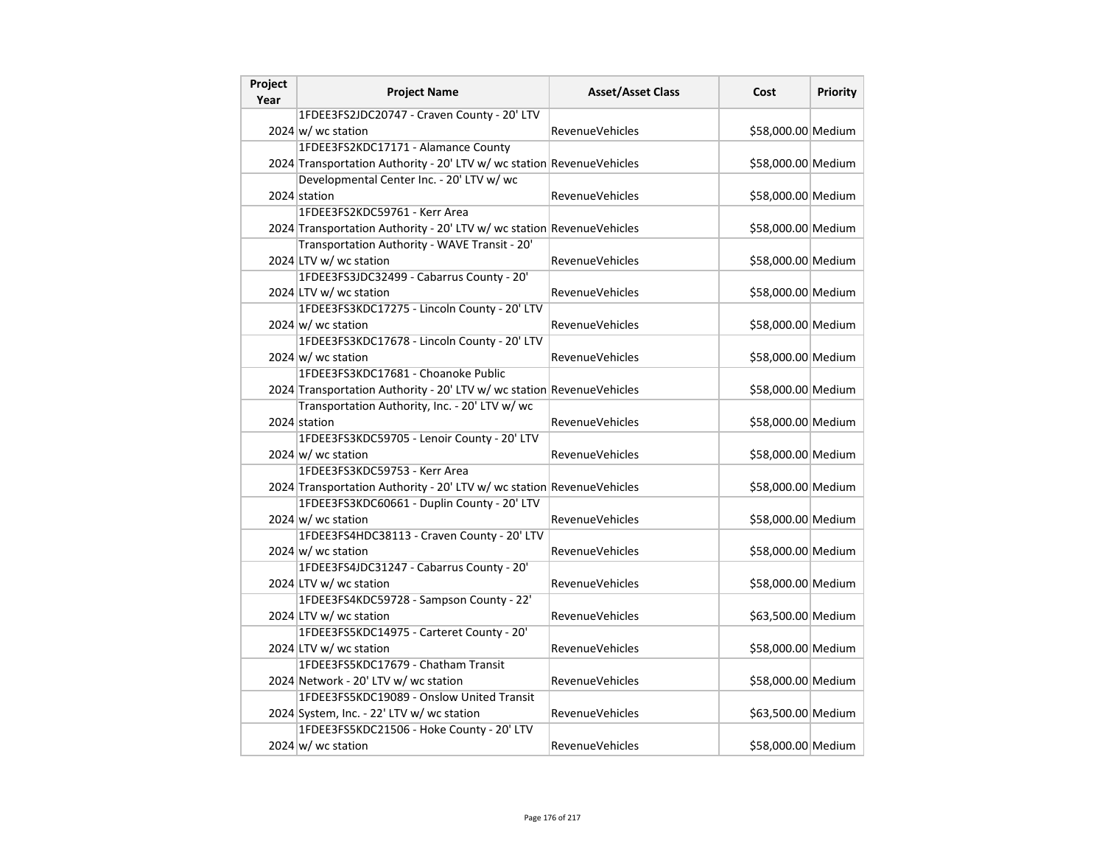| Project<br>Year | <b>Project Name</b>                                                   | <b>Asset/Asset Class</b> | Cost               | <b>Priority</b> |
|-----------------|-----------------------------------------------------------------------|--------------------------|--------------------|-----------------|
|                 | 1FDEE3FS2JDC20747 - Craven County - 20' LTV                           |                          |                    |                 |
|                 | $2024 \text{ w}$ / wc station                                         | <b>RevenueVehicles</b>   | \$58,000.00 Medium |                 |
|                 | 1FDEE3FS2KDC17171 - Alamance County                                   |                          |                    |                 |
|                 | 2024 Transportation Authority - 20' LTV w/ wc station RevenueVehicles |                          | \$58,000.00 Medium |                 |
|                 | Developmental Center Inc. - 20' LTV w/ wc                             |                          |                    |                 |
|                 | 2024 station                                                          | RevenueVehicles          | \$58,000.00 Medium |                 |
|                 | 1FDEE3FS2KDC59761 - Kerr Area                                         |                          |                    |                 |
|                 | 2024 Transportation Authority - 20' LTV w/ wc station RevenueVehicles |                          | \$58,000.00 Medium |                 |
|                 | Transportation Authority - WAVE Transit - 20'                         |                          |                    |                 |
|                 | 2024 LTV w/ wc station                                                | <b>RevenueVehicles</b>   | \$58,000.00 Medium |                 |
|                 | 1FDEE3FS3JDC32499 - Cabarrus County - 20'                             |                          |                    |                 |
|                 | 2024 LTV w/ wc station                                                | <b>RevenueVehicles</b>   | \$58,000.00 Medium |                 |
|                 | 1FDEE3FS3KDC17275 - Lincoln County - 20' LTV                          |                          |                    |                 |
|                 | $2024 \, \text{w}$ wc station                                         | RevenueVehicles          | \$58,000.00 Medium |                 |
|                 | 1FDEE3FS3KDC17678 - Lincoln County - 20' LTV                          |                          |                    |                 |
|                 | $2024 \text{ w}$ wc station                                           | <b>RevenueVehicles</b>   | \$58,000.00 Medium |                 |
|                 | 1FDEE3FS3KDC17681 - Choanoke Public                                   |                          |                    |                 |
|                 | 2024 Transportation Authority - 20' LTV w/ wc station RevenueVehicles |                          | \$58,000.00 Medium |                 |
|                 | Transportation Authority, Inc. - 20' LTV w/ wc                        |                          |                    |                 |
|                 | 2024 station                                                          | RevenueVehicles          | \$58,000.00 Medium |                 |
|                 | 1FDEE3FS3KDC59705 - Lenoir County - 20' LTV                           |                          |                    |                 |
|                 | $2024 \text{ w/m}$ wc station                                         | <b>RevenueVehicles</b>   | \$58,000.00 Medium |                 |
|                 | 1FDEE3FS3KDC59753 - Kerr Area                                         |                          |                    |                 |
|                 | 2024 Transportation Authority - 20' LTV w/ wc station RevenueVehicles |                          | \$58,000.00 Medium |                 |
|                 | 1FDEE3FS3KDC60661 - Duplin County - 20' LTV                           |                          |                    |                 |
|                 | $2024 \text{ w/m}$ wc station                                         | <b>RevenueVehicles</b>   | \$58,000.00 Medium |                 |
|                 | 1FDEE3FS4HDC38113 - Craven County - 20' LTV                           |                          |                    |                 |
|                 | $2024 \text{ w/m}$ wc station                                         | RevenueVehicles          | \$58,000.00 Medium |                 |
|                 | 1FDEE3FS4JDC31247 - Cabarrus County - 20'                             |                          |                    |                 |
|                 | 2024 LTV w/ wc station                                                | <b>RevenueVehicles</b>   | \$58,000.00 Medium |                 |
|                 | 1FDEE3FS4KDC59728 - Sampson County - 22'                              |                          |                    |                 |
|                 | 2024 LTV w/ wc station                                                | <b>RevenueVehicles</b>   | \$63,500.00 Medium |                 |
|                 | 1FDEE3FS5KDC14975 - Carteret County - 20'                             |                          |                    |                 |
|                 | 2024 LTV w/ wc station                                                | RevenueVehicles          | \$58,000.00 Medium |                 |
|                 | 1FDEE3FS5KDC17679 - Chatham Transit                                   |                          |                    |                 |
|                 | 2024 Network - 20' LTV w/ wc station                                  | <b>RevenueVehicles</b>   | \$58,000.00 Medium |                 |
|                 | 1FDEE3FS5KDC19089 - Onslow United Transit                             |                          |                    |                 |
|                 | 2024 System, Inc. - 22' LTV w/ wc station                             | <b>RevenueVehicles</b>   | \$63,500.00 Medium |                 |
|                 | 1FDEE3FS5KDC21506 - Hoke County - 20' LTV                             |                          |                    |                 |
|                 | $2024 \text{ w/m}$ wc station                                         | <b>RevenueVehicles</b>   | \$58,000.00 Medium |                 |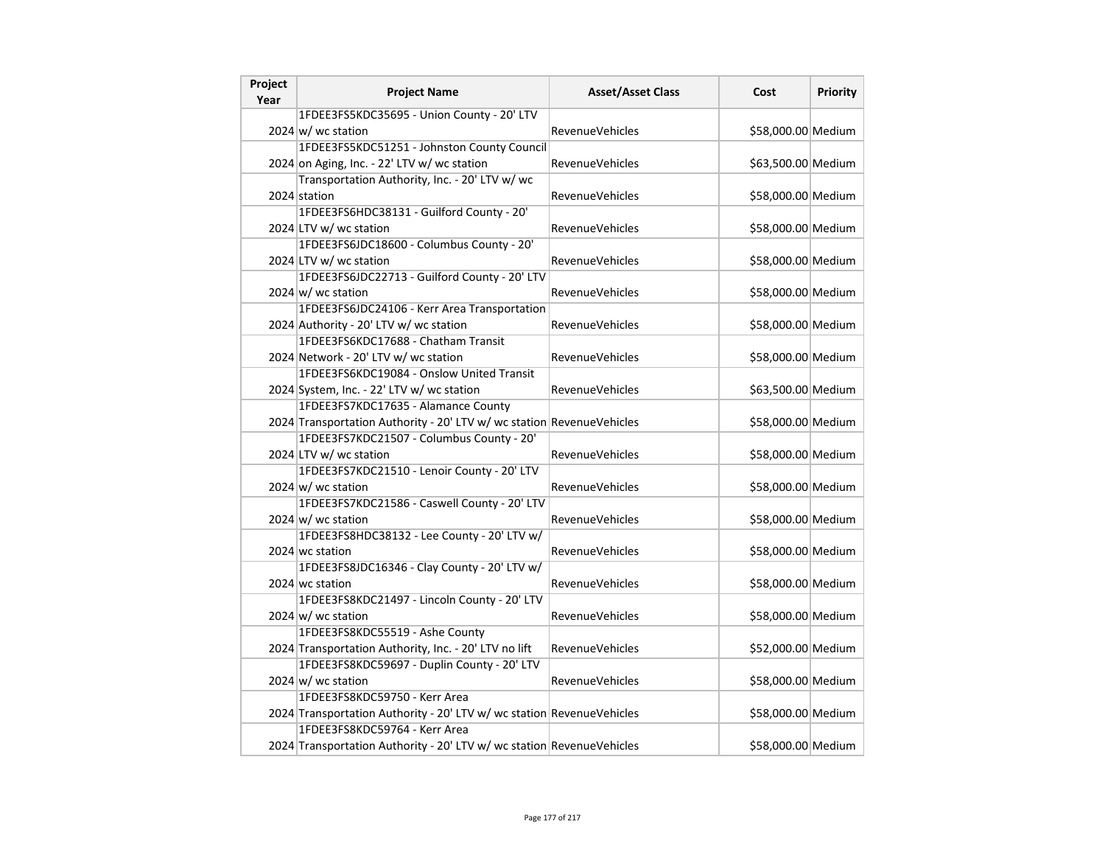| Project<br>Year | <b>Project Name</b>                                                   | <b>Asset/Asset Class</b> | Cost               | <b>Priority</b> |
|-----------------|-----------------------------------------------------------------------|--------------------------|--------------------|-----------------|
|                 | 1FDEE3FS5KDC35695 - Union County - 20' LTV                            |                          |                    |                 |
|                 | $2024 \text{ w/m}$ wc station                                         | <b>RevenueVehicles</b>   | \$58,000.00 Medium |                 |
|                 | 1FDEE3FS5KDC51251 - Johnston County Council                           |                          |                    |                 |
|                 | 2024 on Aging, Inc. - 22' LTV w/ wc station                           | <b>RevenueVehicles</b>   | \$63,500.00 Medium |                 |
|                 | Transportation Authority, Inc. - 20' LTV w/ wc                        |                          |                    |                 |
|                 | 2024 station                                                          | <b>RevenueVehicles</b>   | \$58,000.00 Medium |                 |
|                 | 1FDEE3FS6HDC38131 - Guilford County - 20'                             |                          |                    |                 |
|                 | 2024 LTV w/ wc station                                                | RevenueVehicles          | \$58,000.00 Medium |                 |
|                 | 1FDEE3FS6JDC18600 - Columbus County - 20'                             |                          |                    |                 |
|                 | 2024 LTV w/ wc station                                                | <b>RevenueVehicles</b>   | \$58,000.00 Medium |                 |
|                 | 1FDEE3FS6JDC22713 - Guilford County - 20' LTV                         |                          |                    |                 |
|                 | $2024 \text{ w/m}$ wc station                                         | <b>RevenueVehicles</b>   | \$58,000.00 Medium |                 |
|                 | 1FDEE3FS6JDC24106 - Kerr Area Transportation                          |                          |                    |                 |
|                 | 2024 Authority - 20' LTV w/ wc station                                | <b>RevenueVehicles</b>   | \$58,000.00 Medium |                 |
|                 | 1FDEE3FS6KDC17688 - Chatham Transit                                   |                          |                    |                 |
|                 | 2024 Network - 20' LTV w/ wc station                                  | <b>RevenueVehicles</b>   | \$58,000.00 Medium |                 |
|                 | 1FDEE3FS6KDC19084 - Onslow United Transit                             |                          |                    |                 |
|                 | 2024 System, Inc. - 22' LTV w/ wc station                             | <b>RevenueVehicles</b>   | \$63,500.00 Medium |                 |
|                 | 1FDEE3FS7KDC17635 - Alamance County                                   |                          |                    |                 |
|                 | 2024 Transportation Authority - 20' LTV w/ wc station RevenueVehicles |                          | \$58,000.00 Medium |                 |
|                 | 1FDEE3FS7KDC21507 - Columbus County - 20'                             |                          |                    |                 |
|                 | 2024 LTV w/ wc station                                                | <b>RevenueVehicles</b>   | \$58,000.00 Medium |                 |
|                 | 1FDEE3FS7KDC21510 - Lenoir County - 20' LTV                           |                          |                    |                 |
|                 | $2024 \text{ w}$ / wc station                                         | <b>RevenueVehicles</b>   | \$58,000.00 Medium |                 |
|                 | 1FDEE3FS7KDC21586 - Caswell County - 20' LTV                          |                          |                    |                 |
|                 | 2024 w/ wc station                                                    | <b>RevenueVehicles</b>   | \$58,000.00 Medium |                 |
|                 | 1FDEE3FS8HDC38132 - Lee County - 20' LTV w/                           |                          |                    |                 |
|                 | 2024 wc station                                                       | <b>RevenueVehicles</b>   | \$58,000.00 Medium |                 |
|                 | 1FDEE3FS8JDC16346 - Clay County - 20' LTV w/                          |                          |                    |                 |
|                 | 2024 wc station                                                       | <b>RevenueVehicles</b>   | \$58,000.00 Medium |                 |
|                 | 1FDEE3FS8KDC21497 - Lincoln County - 20' LTV                          |                          |                    |                 |
|                 | 2024 $w$ wc station                                                   | <b>RevenueVehicles</b>   | \$58,000.00 Medium |                 |
|                 | 1FDEE3FS8KDC55519 - Ashe County                                       |                          |                    |                 |
|                 | 2024 Transportation Authority, Inc. - 20' LTV no lift                 | <b>RevenueVehicles</b>   | \$52,000.00 Medium |                 |
|                 | 1FDEE3FS8KDC59697 - Duplin County - 20' LTV                           |                          |                    |                 |
|                 | $2024 \text{ w}$ / wc station                                         | <b>RevenueVehicles</b>   | \$58,000.00 Medium |                 |
|                 | 1FDEE3FS8KDC59750 - Kerr Area                                         |                          |                    |                 |
|                 | 2024 Transportation Authority - 20' LTV w/ wc station RevenueVehicles |                          | \$58,000.00 Medium |                 |
|                 | 1FDEE3FS8KDC59764 - Kerr Area                                         |                          |                    |                 |
|                 | 2024 Transportation Authority - 20' LTV w/ wc station RevenueVehicles |                          | \$58,000.00 Medium |                 |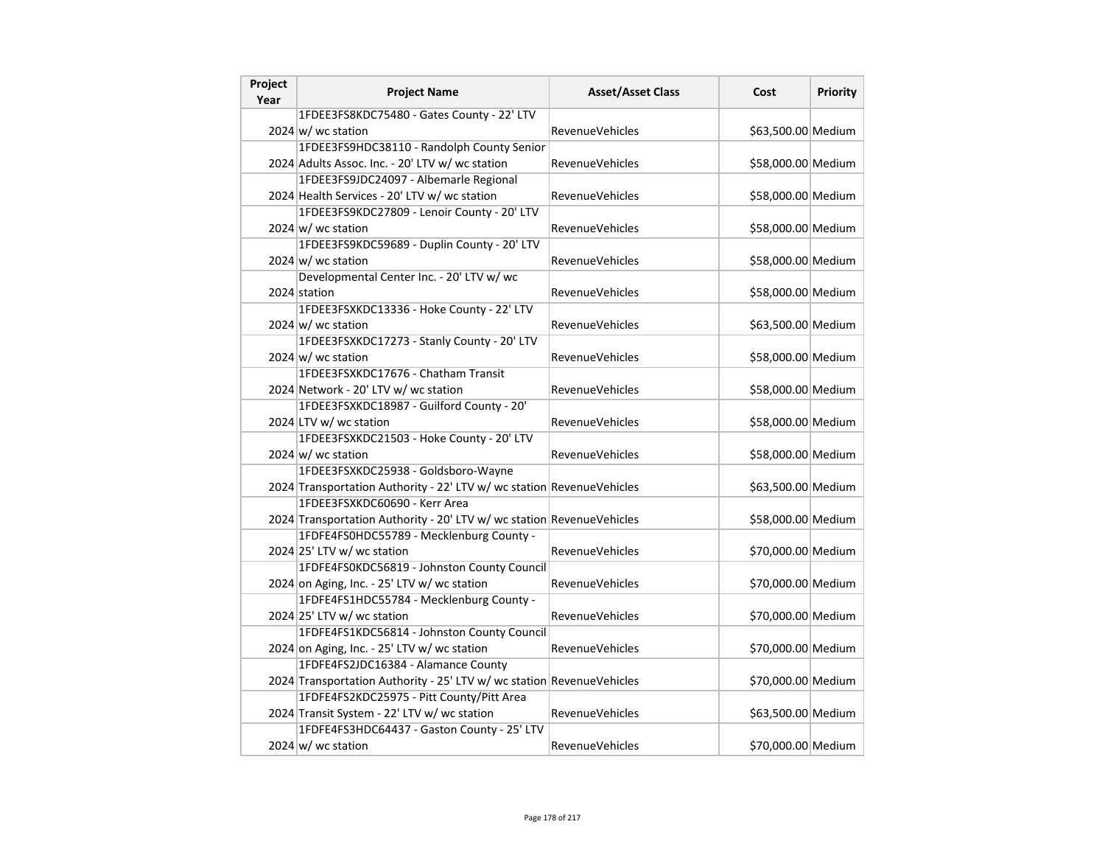| Project<br>Year | <b>Project Name</b>                                                   | <b>Asset/Asset Class</b> | Cost               | <b>Priority</b> |
|-----------------|-----------------------------------------------------------------------|--------------------------|--------------------|-----------------|
|                 | 1FDEE3FS8KDC75480 - Gates County - 22' LTV                            |                          |                    |                 |
|                 | $2024 \text{ w/m}$ wc station                                         | <b>RevenueVehicles</b>   | \$63,500.00 Medium |                 |
|                 | 1FDEE3FS9HDC38110 - Randolph County Senior                            |                          |                    |                 |
|                 | 2024 Adults Assoc. Inc. - 20' LTV w/ wc station                       | <b>RevenueVehicles</b>   | \$58,000.00 Medium |                 |
|                 | 1FDEE3FS9JDC24097 - Albemarle Regional                                |                          |                    |                 |
|                 | 2024 Health Services - 20' LTV w/ wc station                          | <b>RevenueVehicles</b>   | \$58,000.00 Medium |                 |
|                 | 1FDEE3FS9KDC27809 - Lenoir County - 20' LTV                           |                          |                    |                 |
|                 | $2024 \text{ w/m}$ wc station                                         | <b>RevenueVehicles</b>   | \$58,000.00 Medium |                 |
|                 | 1FDEE3FS9KDC59689 - Duplin County - 20' LTV                           |                          |                    |                 |
|                 | 2024 w/ wc station                                                    | <b>RevenueVehicles</b>   | \$58,000.00 Medium |                 |
|                 | Developmental Center Inc. - 20' LTV w/ wc                             |                          |                    |                 |
|                 | 2024 station                                                          | <b>RevenueVehicles</b>   | \$58,000.00 Medium |                 |
|                 | 1FDEE3FSXKDC13336 - Hoke County - 22' LTV                             |                          |                    |                 |
|                 | $2024 \, \text{w}$ wc station                                         | <b>RevenueVehicles</b>   | \$63,500.00 Medium |                 |
|                 | 1FDEE3FSXKDC17273 - Stanly County - 20' LTV                           |                          |                    |                 |
|                 | $2024 \text{ w}$ wc station                                           | <b>RevenueVehicles</b>   | \$58,000.00 Medium |                 |
|                 | 1FDEE3FSXKDC17676 - Chatham Transit                                   |                          |                    |                 |
|                 | 2024 Network - 20' LTV w/ wc station                                  | <b>RevenueVehicles</b>   | \$58,000.00 Medium |                 |
|                 | 1FDEE3FSXKDC18987 - Guilford County - 20'                             |                          |                    |                 |
|                 | 2024 LTV w/ wc station                                                | <b>RevenueVehicles</b>   | \$58,000.00 Medium |                 |
|                 | 1FDEE3FSXKDC21503 - Hoke County - 20' LTV                             |                          |                    |                 |
|                 | $2024 \text{ w/m}$ wc station                                         | <b>RevenueVehicles</b>   | \$58,000.00 Medium |                 |
|                 | 1FDEE3FSXKDC25938 - Goldsboro-Wayne                                   |                          |                    |                 |
|                 | 2024 Transportation Authority - 22' LTV w/ wc station RevenueVehicles |                          | \$63,500.00 Medium |                 |
|                 | 1FDEE3FSXKDC60690 - Kerr Area                                         |                          |                    |                 |
|                 | 2024 Transportation Authority - 20' LTV w/ wc station RevenueVehicles |                          | \$58,000.00 Medium |                 |
|                 | 1FDFE4FS0HDC55789 - Mecklenburg County -                              |                          |                    |                 |
|                 | 2024 25' LTV w/ wc station                                            | <b>RevenueVehicles</b>   | \$70,000.00 Medium |                 |
|                 | 1FDFE4FS0KDC56819 - Johnston County Council                           |                          |                    |                 |
|                 | 2024 on Aging, Inc. - 25' LTV w/ wc station                           | <b>RevenueVehicles</b>   | \$70,000.00 Medium |                 |
|                 | 1FDFE4FS1HDC55784 - Mecklenburg County -                              |                          |                    |                 |
|                 | 2024 25' LTV w/ wc station                                            | <b>RevenueVehicles</b>   | \$70,000.00 Medium |                 |
|                 | 1FDFE4FS1KDC56814 - Johnston County Council                           |                          |                    |                 |
|                 | 2024 on Aging, Inc. - 25' LTV w/ wc station                           | <b>RevenueVehicles</b>   | \$70,000.00 Medium |                 |
|                 | 1FDFE4FS2JDC16384 - Alamance County                                   |                          |                    |                 |
|                 | 2024 Transportation Authority - 25' LTV w/ wc station RevenueVehicles |                          | \$70,000.00 Medium |                 |
|                 | 1FDFE4FS2KDC25975 - Pitt County/Pitt Area                             |                          |                    |                 |
|                 | 2024 Transit System - 22' LTV w/ wc station                           | <b>RevenueVehicles</b>   | \$63,500.00 Medium |                 |
|                 | 1FDFE4FS3HDC64437 - Gaston County - 25' LTV                           |                          |                    |                 |
|                 | $2024 \text{ w/m}$ wc station                                         | <b>RevenueVehicles</b>   | \$70,000.00 Medium |                 |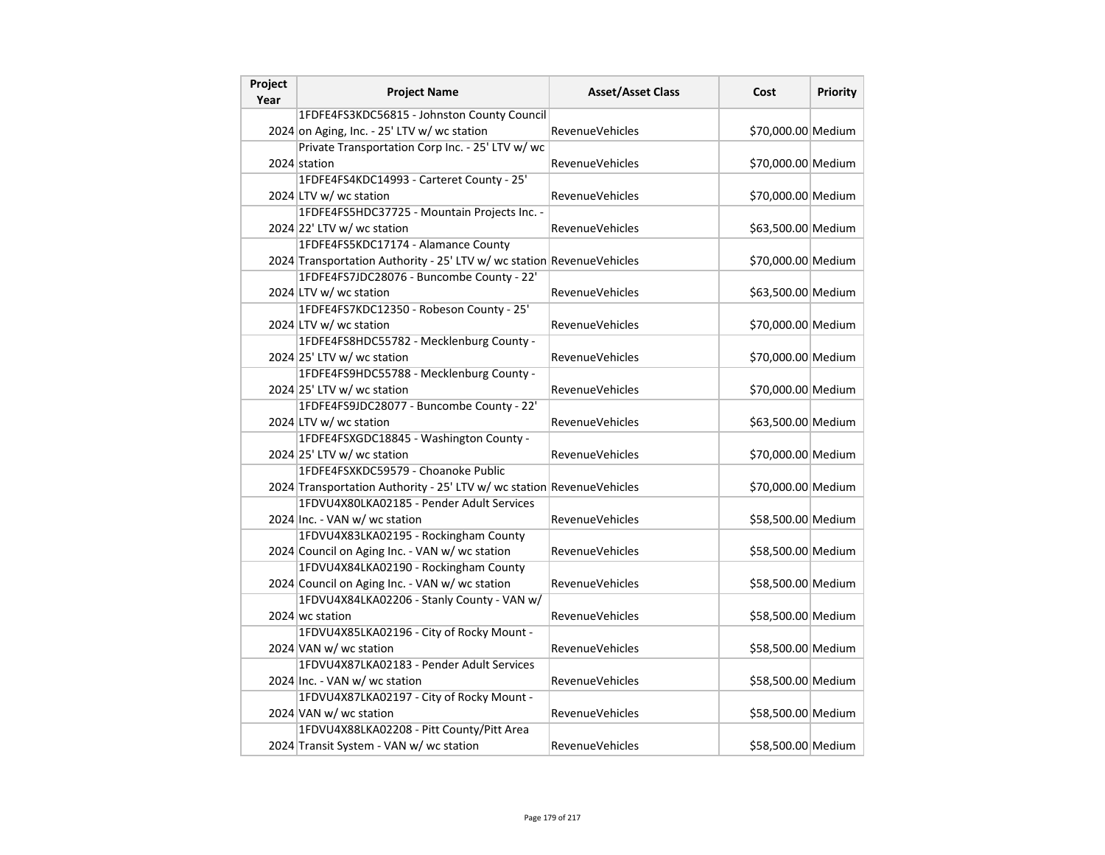| Project<br>Year | <b>Project Name</b>                                                   | <b>Asset/Asset Class</b> | Cost               | <b>Priority</b> |
|-----------------|-----------------------------------------------------------------------|--------------------------|--------------------|-----------------|
|                 | 1FDFE4FS3KDC56815 - Johnston County Council                           |                          |                    |                 |
|                 | 2024 on Aging, Inc. - 25' LTV w/ wc station                           | <b>RevenueVehicles</b>   | \$70,000.00 Medium |                 |
|                 | Private Transportation Corp Inc. - 25' LTV w/ wc                      |                          |                    |                 |
|                 | 2024 station                                                          | RevenueVehicles          | \$70,000.00 Medium |                 |
|                 | 1FDFE4FS4KDC14993 - Carteret County - 25'                             |                          |                    |                 |
|                 | 2024 LTV w/ wc station                                                | RevenueVehicles          | \$70,000.00 Medium |                 |
|                 | 1FDFE4FS5HDC37725 - Mountain Projects Inc. -                          |                          |                    |                 |
|                 | 2024 22' LTV w/ wc station                                            | RevenueVehicles          | \$63,500.00 Medium |                 |
|                 | 1FDFE4FS5KDC17174 - Alamance County                                   |                          |                    |                 |
|                 | 2024 Transportation Authority - 25' LTV w/ wc station RevenueVehicles |                          | \$70,000.00 Medium |                 |
|                 | 1FDFE4FS7JDC28076 - Buncombe County - 22'                             |                          |                    |                 |
|                 | 2024 LTV w/ wc station                                                | RevenueVehicles          | \$63,500.00 Medium |                 |
|                 | 1FDFE4FS7KDC12350 - Robeson County - 25'                              |                          |                    |                 |
|                 | 2024 LTV w/ wc station                                                | RevenueVehicles          | \$70,000.00 Medium |                 |
|                 | 1FDFE4FS8HDC55782 - Mecklenburg County -                              |                          |                    |                 |
|                 | 2024 25' LTV w/ wc station                                            | RevenueVehicles          | \$70,000.00 Medium |                 |
|                 | 1FDFE4FS9HDC55788 - Mecklenburg County -                              |                          |                    |                 |
|                 | 2024 25' LTV w/ wc station                                            | RevenueVehicles          | \$70,000.00 Medium |                 |
|                 | 1FDFE4FS9JDC28077 - Buncombe County - 22'                             |                          |                    |                 |
|                 | 2024 LTV w/ wc station                                                | RevenueVehicles          | \$63,500.00 Medium |                 |
|                 | 1FDFE4FSXGDC18845 - Washington County -                               |                          |                    |                 |
|                 | 2024 25' LTV w/ wc station                                            | <b>RevenueVehicles</b>   | \$70,000.00 Medium |                 |
|                 | 1FDFE4FSXKDC59579 - Choanoke Public                                   |                          |                    |                 |
|                 | 2024 Transportation Authority - 25' LTV w/ wc station RevenueVehicles |                          | \$70,000.00 Medium |                 |
|                 | 1FDVU4X80LKA02185 - Pender Adult Services                             |                          |                    |                 |
|                 | 2024 Inc. - VAN w/ wc station                                         | RevenueVehicles          | \$58,500.00 Medium |                 |
|                 | 1FDVU4X83LKA02195 - Rockingham County                                 |                          |                    |                 |
|                 | 2024 Council on Aging Inc. - VAN w/ wc station                        | RevenueVehicles          | \$58,500.00 Medium |                 |
|                 | 1FDVU4X84LKA02190 - Rockingham County                                 |                          |                    |                 |
|                 | 2024 Council on Aging Inc. - VAN w/ wc station                        | <b>RevenueVehicles</b>   | \$58,500.00 Medium |                 |
|                 | 1FDVU4X84LKA02206 - Stanly County - VAN w/                            |                          |                    |                 |
|                 | 2024 wc station                                                       | <b>RevenueVehicles</b>   | \$58,500.00 Medium |                 |
|                 | 1FDVU4X85LKA02196 - City of Rocky Mount -                             |                          |                    |                 |
|                 | 2024 VAN w/ wc station                                                | RevenueVehicles          | \$58,500.00 Medium |                 |
|                 | 1FDVU4X87LKA02183 - Pender Adult Services                             |                          |                    |                 |
|                 | 2024 Inc. - VAN w/ wc station                                         | <b>RevenueVehicles</b>   | \$58,500.00 Medium |                 |
|                 | 1FDVU4X87LKA02197 - City of Rocky Mount -                             |                          |                    |                 |
|                 | 2024 VAN w/ wc station                                                | <b>RevenueVehicles</b>   | \$58,500.00 Medium |                 |
|                 | 1FDVU4X88LKA02208 - Pitt County/Pitt Area                             |                          |                    |                 |
|                 | 2024 Transit System - VAN w/ wc station                               | <b>RevenueVehicles</b>   | \$58,500.00 Medium |                 |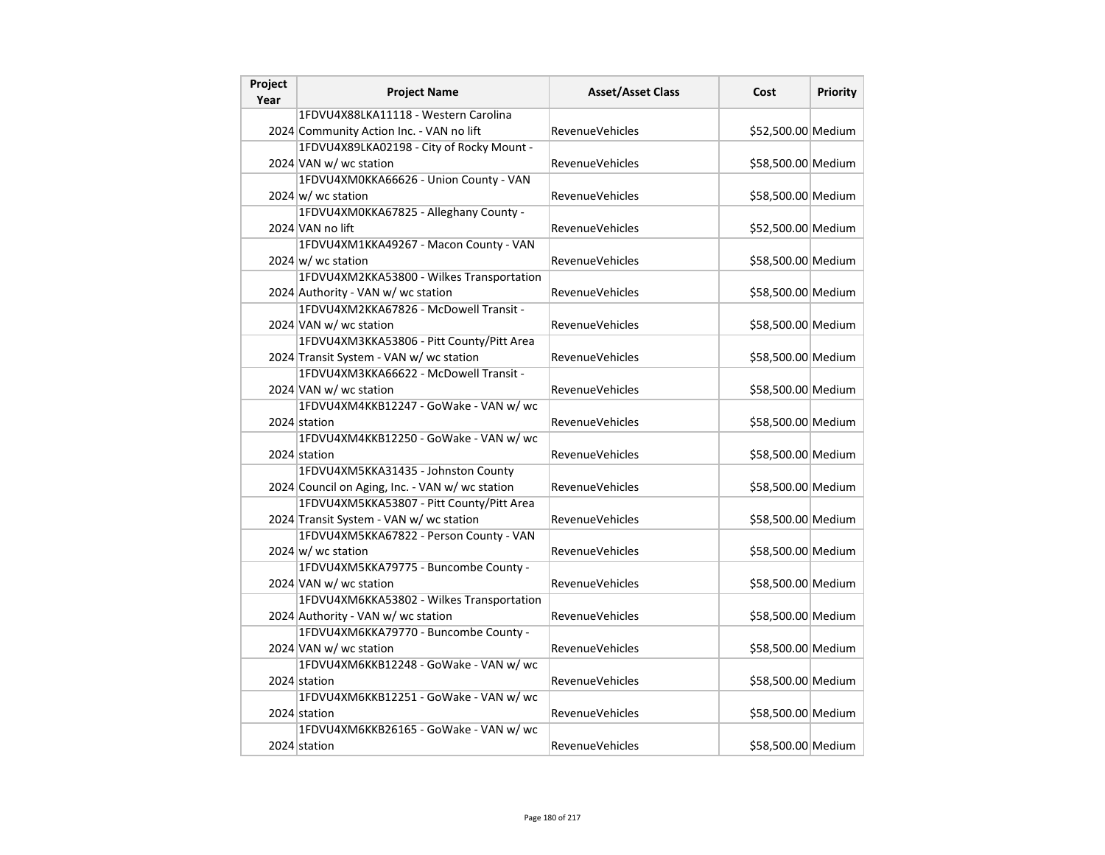| Project<br>Year | <b>Project Name</b>                             | <b>Asset/Asset Class</b> | Cost               | Priority |
|-----------------|-------------------------------------------------|--------------------------|--------------------|----------|
|                 | 1FDVU4X88LKA11118 - Western Carolina            |                          |                    |          |
|                 | 2024 Community Action Inc. - VAN no lift        | RevenueVehicles          | \$52,500.00 Medium |          |
|                 | 1FDVU4X89LKA02198 - City of Rocky Mount -       |                          |                    |          |
|                 | 2024 VAN w/ wc station                          | RevenueVehicles          | \$58,500.00 Medium |          |
|                 | 1FDVU4XM0KKA66626 - Union County - VAN          |                          |                    |          |
|                 | $2024 \, \text{w}$ wc station                   | <b>RevenueVehicles</b>   | \$58,500.00 Medium |          |
|                 | 1FDVU4XM0KKA67825 - Alleghany County -          |                          |                    |          |
|                 | 2024 VAN no lift                                | <b>RevenueVehicles</b>   | \$52,500.00 Medium |          |
|                 | 1FDVU4XM1KKA49267 - Macon County - VAN          |                          |                    |          |
|                 | $2024 \text{ w}$ wc station                     | <b>RevenueVehicles</b>   | \$58,500.00 Medium |          |
|                 | 1FDVU4XM2KKA53800 - Wilkes Transportation       |                          |                    |          |
|                 | 2024 Authority - VAN w/ wc station              | RevenueVehicles          | \$58,500.00 Medium |          |
|                 | 1FDVU4XM2KKA67826 - McDowell Transit -          |                          |                    |          |
|                 | 2024 VAN w/ wc station                          | RevenueVehicles          | \$58,500.00 Medium |          |
|                 | 1FDVU4XM3KKA53806 - Pitt County/Pitt Area       |                          |                    |          |
|                 | 2024 Transit System - VAN w/ wc station         | <b>RevenueVehicles</b>   | \$58,500.00 Medium |          |
|                 | 1FDVU4XM3KKA66622 - McDowell Transit -          |                          |                    |          |
|                 | 2024 VAN w/ wc station                          | <b>RevenueVehicles</b>   | \$58,500.00 Medium |          |
|                 | 1FDVU4XM4KKB12247 - GoWake - VAN w/ wc          |                          |                    |          |
|                 | 2024 station                                    | <b>RevenueVehicles</b>   | \$58,500.00 Medium |          |
|                 | 1FDVU4XM4KKB12250 - GoWake - VAN w/ wc          |                          |                    |          |
|                 | 2024 station                                    | RevenueVehicles          | \$58,500.00 Medium |          |
|                 | 1FDVU4XM5KKA31435 - Johnston County             |                          |                    |          |
|                 | 2024 Council on Aging, Inc. - VAN w/ wc station | <b>RevenueVehicles</b>   | \$58,500.00 Medium |          |
|                 | 1FDVU4XM5KKA53807 - Pitt County/Pitt Area       |                          |                    |          |
|                 | 2024 Transit System - VAN w/ wc station         | <b>RevenueVehicles</b>   | \$58,500.00 Medium |          |
|                 | 1FDVU4XM5KKA67822 - Person County - VAN         |                          |                    |          |
|                 | 2024 $w$ wc station                             | <b>RevenueVehicles</b>   | \$58,500.00 Medium |          |
|                 | 1FDVU4XM5KKA79775 - Buncombe County -           |                          |                    |          |
|                 | 2024 VAN w/ wc station                          | <b>RevenueVehicles</b>   | \$58,500.00 Medium |          |
|                 | 1FDVU4XM6KKA53802 - Wilkes Transportation       |                          |                    |          |
|                 | 2024 Authority - VAN w/ wc station              | <b>RevenueVehicles</b>   | \$58,500.00 Medium |          |
|                 | 1FDVU4XM6KKA79770 - Buncombe County -           |                          |                    |          |
|                 | 2024 VAN w/ wc station                          | <b>RevenueVehicles</b>   | \$58,500.00 Medium |          |
|                 | 1FDVU4XM6KKB12248 - GoWake - VAN w/ wc          |                          |                    |          |
|                 | 2024 station                                    | <b>RevenueVehicles</b>   | \$58,500.00 Medium |          |
|                 | 1FDVU4XM6KKB12251 - GoWake - VAN w/ wc          |                          |                    |          |
|                 | 2024 station                                    | <b>RevenueVehicles</b>   | \$58,500.00 Medium |          |
|                 | 1FDVU4XM6KKB26165 - GoWake - VAN w/ wc          |                          |                    |          |
|                 | 2024 station                                    | RevenueVehicles          | \$58,500.00 Medium |          |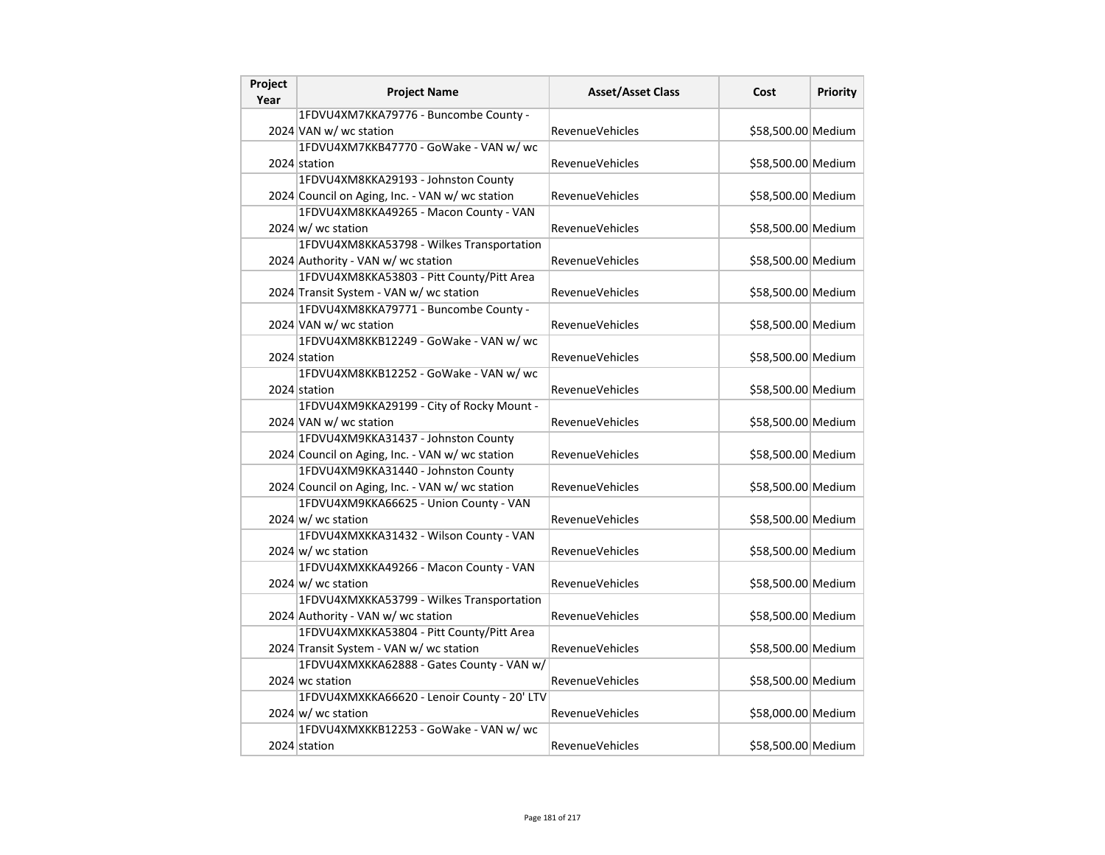| Project<br>Year | <b>Project Name</b>                             | <b>Asset/Asset Class</b> | Cost               | <b>Priority</b> |
|-----------------|-------------------------------------------------|--------------------------|--------------------|-----------------|
|                 | 1FDVU4XM7KKA79776 - Buncombe County -           |                          |                    |                 |
|                 | 2024 VAN w/ wc station                          | <b>RevenueVehicles</b>   | \$58,500.00 Medium |                 |
|                 | 1FDVU4XM7KKB47770 - GoWake - VAN w/ wc          |                          |                    |                 |
|                 | 2024 station                                    | <b>RevenueVehicles</b>   | \$58,500.00 Medium |                 |
|                 | 1FDVU4XM8KKA29193 - Johnston County             |                          |                    |                 |
|                 | 2024 Council on Aging, Inc. - VAN w/ wc station | <b>RevenueVehicles</b>   | \$58,500.00 Medium |                 |
|                 | 1FDVU4XM8KKA49265 - Macon County - VAN          |                          |                    |                 |
|                 | $2024 \text{ w/m}$ wc station                   | <b>RevenueVehicles</b>   | \$58,500.00 Medium |                 |
|                 | 1FDVU4XM8KKA53798 - Wilkes Transportation       |                          |                    |                 |
|                 | 2024 Authority - VAN w/ wc station              | <b>RevenueVehicles</b>   | \$58,500.00 Medium |                 |
|                 | 1FDVU4XM8KKA53803 - Pitt County/Pitt Area       |                          |                    |                 |
|                 | 2024 Transit System - VAN w/ wc station         | <b>RevenueVehicles</b>   | \$58,500.00 Medium |                 |
|                 | 1FDVU4XM8KKA79771 - Buncombe County -           |                          |                    |                 |
|                 | 2024 VAN w/ wc station                          | RevenueVehicles          | \$58,500.00 Medium |                 |
|                 | 1FDVU4XM8KKB12249 - GoWake - VAN w/ wc          |                          |                    |                 |
|                 | 2024 station                                    | <b>RevenueVehicles</b>   | \$58,500.00 Medium |                 |
|                 | 1FDVU4XM8KKB12252 - GoWake - VAN w/ wc          |                          |                    |                 |
|                 | 2024 station                                    | <b>RevenueVehicles</b>   | \$58,500.00 Medium |                 |
|                 | 1FDVU4XM9KKA29199 - City of Rocky Mount -       |                          |                    |                 |
|                 | 2024 VAN w/ wc station                          | <b>RevenueVehicles</b>   | \$58,500.00 Medium |                 |
|                 | 1FDVU4XM9KKA31437 - Johnston County             |                          |                    |                 |
|                 | 2024 Council on Aging, Inc. - VAN w/ wc station | <b>RevenueVehicles</b>   | \$58,500.00 Medium |                 |
|                 | 1FDVU4XM9KKA31440 - Johnston County             |                          |                    |                 |
|                 | 2024 Council on Aging, Inc. - VAN w/ wc station | <b>RevenueVehicles</b>   | \$58,500.00 Medium |                 |
|                 | 1FDVU4XM9KKA66625 - Union County - VAN          |                          |                    |                 |
|                 | $2024 \text{ w/m}$ wc station                   | <b>RevenueVehicles</b>   | \$58,500.00 Medium |                 |
|                 | 1FDVU4XMXKKA31432 - Wilson County - VAN         |                          |                    |                 |
|                 | $2024 \text{ w/m}$ wc station                   | <b>RevenueVehicles</b>   | \$58,500.00 Medium |                 |
|                 | 1FDVU4XMXKKA49266 - Macon County - VAN          |                          |                    |                 |
|                 | $2024 \text{ w/m}$ wc station                   | <b>RevenueVehicles</b>   | \$58,500.00 Medium |                 |
|                 | 1FDVU4XMXKKA53799 - Wilkes Transportation       |                          |                    |                 |
|                 | 2024 Authority - VAN w/ wc station              | <b>RevenueVehicles</b>   | \$58,500.00 Medium |                 |
|                 | 1FDVU4XMXKKA53804 - Pitt County/Pitt Area       |                          |                    |                 |
|                 | 2024 Transit System - VAN w/ wc station         | <b>RevenueVehicles</b>   | \$58,500.00 Medium |                 |
|                 | 1FDVU4XMXKKA62888 - Gates County - VAN w/       |                          |                    |                 |
|                 | 2024 wc station                                 | <b>RevenueVehicles</b>   | \$58,500.00 Medium |                 |
|                 | 1FDVU4XMXKKA66620 - Lenoir County - 20' LTV     |                          |                    |                 |
|                 | $2024 \text{ w}$ wc station                     | <b>RevenueVehicles</b>   | \$58,000.00 Medium |                 |
|                 | 1FDVU4XMXKKB12253 - GoWake - VAN w/ wc          |                          |                    |                 |
|                 | 2024 station                                    | <b>RevenueVehicles</b>   | \$58,500.00 Medium |                 |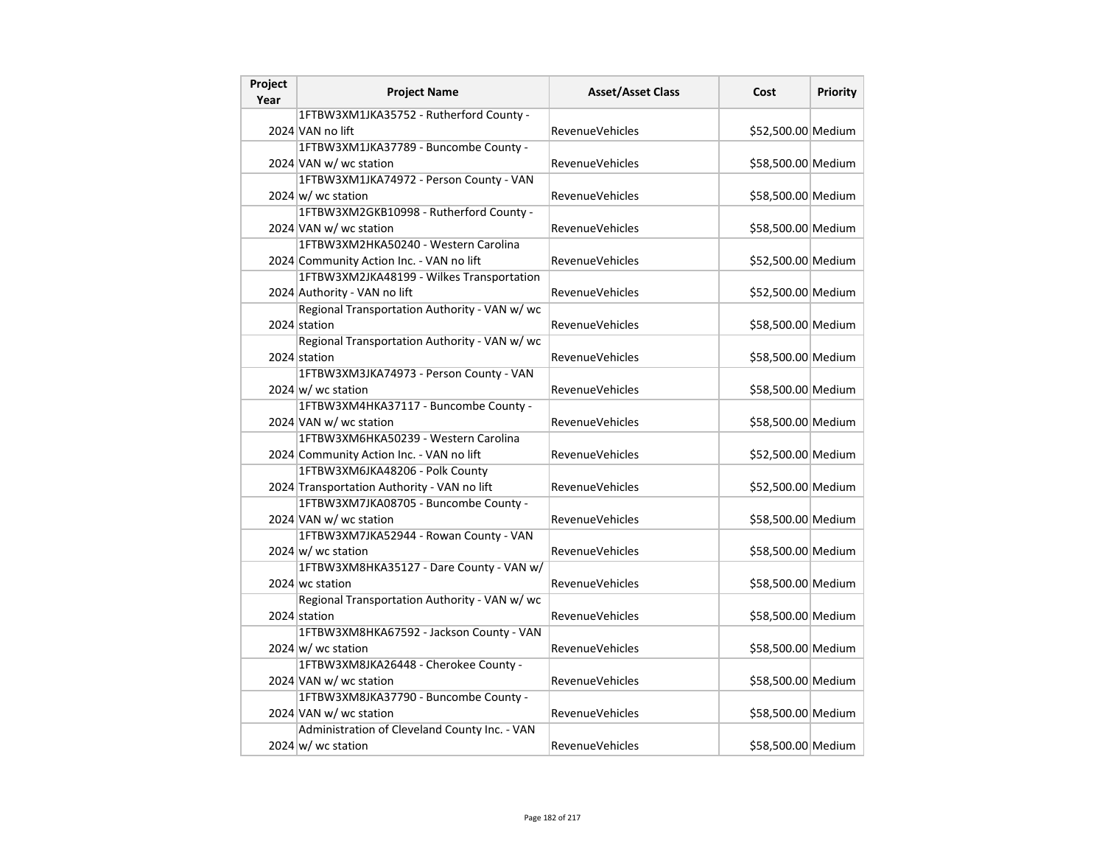| Project | <b>Project Name</b>                           | <b>Asset/Asset Class</b> | Cost               | <b>Priority</b> |
|---------|-----------------------------------------------|--------------------------|--------------------|-----------------|
| Year    |                                               |                          |                    |                 |
|         | 1FTBW3XM1JKA35752 - Rutherford County -       |                          |                    |                 |
|         | 2024 VAN no lift                              | RevenueVehicles          | \$52,500.00 Medium |                 |
|         | 1FTBW3XM1JKA37789 - Buncombe County -         |                          |                    |                 |
|         | 2024 VAN w/ wc station                        | RevenueVehicles          | \$58,500.00 Medium |                 |
|         | 1FTBW3XM1JKA74972 - Person County - VAN       |                          |                    |                 |
|         | $2024 \text{ w}$ / wc station                 | RevenueVehicles          | \$58,500.00 Medium |                 |
|         | 1FTBW3XM2GKB10998 - Rutherford County -       |                          |                    |                 |
|         | 2024 VAN w/ wc station                        | <b>RevenueVehicles</b>   | \$58,500.00 Medium |                 |
|         | 1FTBW3XM2HKA50240 - Western Carolina          |                          |                    |                 |
|         | 2024 Community Action Inc. - VAN no lift      | RevenueVehicles          | \$52,500.00 Medium |                 |
|         | 1FTBW3XM2JKA48199 - Wilkes Transportation     |                          |                    |                 |
|         | 2024 Authority - VAN no lift                  | <b>RevenueVehicles</b>   | \$52,500.00 Medium |                 |
|         | Regional Transportation Authority - VAN w/ wc |                          |                    |                 |
|         | 2024 station                                  | RevenueVehicles          | \$58,500.00 Medium |                 |
|         | Regional Transportation Authority - VAN w/ wc |                          |                    |                 |
|         | 2024 station                                  | RevenueVehicles          | \$58,500.00 Medium |                 |
|         | 1FTBW3XM3JKA74973 - Person County - VAN       |                          |                    |                 |
|         | $2024 \text{ w/m}$ wc station                 | RevenueVehicles          | \$58,500.00 Medium |                 |
|         | 1FTBW3XM4HKA37117 - Buncombe County -         |                          |                    |                 |
|         | 2024 VAN w/ wc station                        | RevenueVehicles          | \$58,500.00 Medium |                 |
|         | 1FTBW3XM6HKA50239 - Western Carolina          |                          |                    |                 |
|         | 2024 Community Action Inc. - VAN no lift      | RevenueVehicles          | \$52,500.00 Medium |                 |
|         | 1FTBW3XM6JKA48206 - Polk County               |                          |                    |                 |
|         | 2024 Transportation Authority - VAN no lift   | RevenueVehicles          | \$52,500.00 Medium |                 |
|         | 1FTBW3XM7JKA08705 - Buncombe County -         |                          |                    |                 |
|         | 2024 VAN w/ wc station                        | RevenueVehicles          | \$58,500.00 Medium |                 |
|         | 1FTBW3XM7JKA52944 - Rowan County - VAN        |                          |                    |                 |
|         | 2024 $w$ wc station                           | RevenueVehicles          | \$58,500.00 Medium |                 |
|         | 1FTBW3XM8HKA35127 - Dare County - VAN w/      |                          |                    |                 |
|         | 2024 wc station                               | <b>RevenueVehicles</b>   | \$58,500.00 Medium |                 |
|         | Regional Transportation Authority - VAN w/ wc |                          |                    |                 |
|         | 2024 station                                  | <b>RevenueVehicles</b>   | \$58,500.00 Medium |                 |
|         | 1FTBW3XM8HKA67592 - Jackson County - VAN      |                          |                    |                 |
|         | $2024 \, \text{w}$ wc station                 | RevenueVehicles          | \$58,500.00 Medium |                 |
|         | 1FTBW3XM8JKA26448 - Cherokee County -         |                          |                    |                 |
|         | 2024 VAN w/ wc station                        | <b>RevenueVehicles</b>   | \$58,500.00 Medium |                 |
|         | 1FTBW3XM8JKA37790 - Buncombe County -         |                          |                    |                 |
|         |                                               | RevenueVehicles          |                    |                 |
|         | 2024 VAN w/ wc station                        |                          | \$58,500.00 Medium |                 |
|         | Administration of Cleveland County Inc. - VAN |                          |                    |                 |
|         | 2024 $w$ wc station                           | <b>RevenueVehicles</b>   | \$58,500.00 Medium |                 |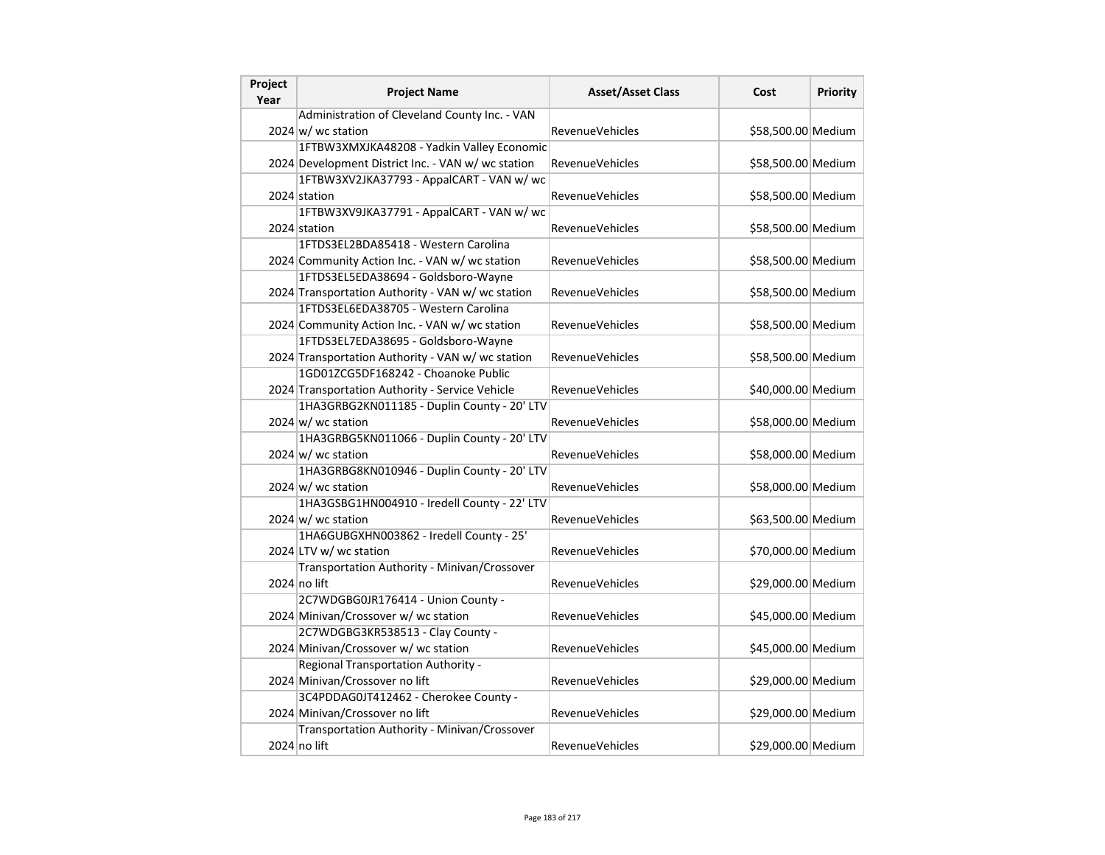| Project<br>Year | <b>Project Name</b>                                | <b>Asset/Asset Class</b> | Cost               | Priority |
|-----------------|----------------------------------------------------|--------------------------|--------------------|----------|
|                 | Administration of Cleveland County Inc. - VAN      |                          |                    |          |
|                 | $2024 \text{ w}$ / wc station                      | <b>RevenueVehicles</b>   | \$58,500.00 Medium |          |
|                 | 1FTBW3XMXJKA48208 - Yadkin Valley Economic         |                          |                    |          |
|                 | 2024 Development District Inc. - VAN w/ wc station | <b>RevenueVehicles</b>   | \$58,500.00 Medium |          |
|                 | 1FTBW3XV2JKA37793 - AppalCART - VAN w/ wc          |                          |                    |          |
|                 | 2024 station                                       | RevenueVehicles          | \$58,500.00 Medium |          |
|                 | 1FTBW3XV9JKA37791 - AppalCART - VAN w/ wc          |                          |                    |          |
|                 | 2024 station                                       | <b>RevenueVehicles</b>   | \$58,500.00 Medium |          |
|                 | 1FTDS3EL2BDA85418 - Western Carolina               |                          |                    |          |
|                 | 2024 Community Action Inc. - VAN w/ wc station     | RevenueVehicles          | \$58,500.00 Medium |          |
|                 | 1FTDS3EL5EDA38694 - Goldsboro-Wayne                |                          |                    |          |
|                 | 2024 Transportation Authority - VAN w/ wc station  | <b>RevenueVehicles</b>   | \$58,500.00 Medium |          |
|                 | 1FTDS3EL6EDA38705 - Western Carolina               |                          |                    |          |
|                 | 2024 Community Action Inc. - VAN w/ wc station     | RevenueVehicles          | \$58,500.00 Medium |          |
|                 | 1FTDS3EL7EDA38695 - Goldsboro-Wayne                |                          |                    |          |
|                 | 2024 Transportation Authority - VAN w/wc station   | <b>RevenueVehicles</b>   | \$58,500.00 Medium |          |
|                 | 1GD01ZCG5DF168242 - Choanoke Public                |                          |                    |          |
|                 | 2024 Transportation Authority - Service Vehicle    | <b>RevenueVehicles</b>   | \$40,000.00 Medium |          |
|                 | 1HA3GRBG2KN011185 - Duplin County - 20' LTV        |                          |                    |          |
|                 | 2024 $w$ wc station                                | RevenueVehicles          | \$58,000.00 Medium |          |
|                 | 1HA3GRBG5KN011066 - Duplin County - 20' LTV        |                          |                    |          |
|                 | $2024 \, \text{w}$ wc station                      | <b>RevenueVehicles</b>   | \$58,000.00 Medium |          |
|                 | 1HA3GRBG8KN010946 - Duplin County - 20' LTV        |                          |                    |          |
|                 | $2024 \text{ w}$ / wc station                      | <b>RevenueVehicles</b>   | \$58,000.00 Medium |          |
|                 | 1HA3GSBG1HN004910 - Iredell County - 22' LTV       |                          |                    |          |
|                 | $2024 \text{ w/m}$ wc station                      | <b>RevenueVehicles</b>   | \$63,500.00 Medium |          |
|                 | 1HA6GUBGXHN003862 - Iredell County - 25'           |                          |                    |          |
|                 | 2024 LTV w/ wc station                             | RevenueVehicles          | \$70,000.00 Medium |          |
|                 | Transportation Authority - Minivan/Crossover       |                          |                    |          |
|                 | 2024 no lift                                       | <b>RevenueVehicles</b>   | \$29,000.00 Medium |          |
|                 | 2C7WDGBG0JR176414 - Union County -                 |                          |                    |          |
|                 | 2024 Minivan/Crossover w/ wc station               | RevenueVehicles          | \$45,000.00 Medium |          |
|                 | 2C7WDGBG3KR538513 - Clay County -                  |                          |                    |          |
|                 | 2024 Minivan/Crossover w/ wc station               | RevenueVehicles          | \$45,000.00 Medium |          |
|                 | Regional Transportation Authority -                |                          |                    |          |
|                 | 2024 Minivan/Crossover no lift                     | <b>RevenueVehicles</b>   | \$29,000.00 Medium |          |
|                 | 3C4PDDAG0JT412462 - Cherokee County -              |                          |                    |          |
|                 | 2024 Minivan/Crossover no lift                     | <b>RevenueVehicles</b>   | \$29,000.00 Medium |          |
|                 | Transportation Authority - Minivan/Crossover       |                          |                    |          |
|                 | $2024$ no lift                                     | RevenueVehicles          | \$29,000.00 Medium |          |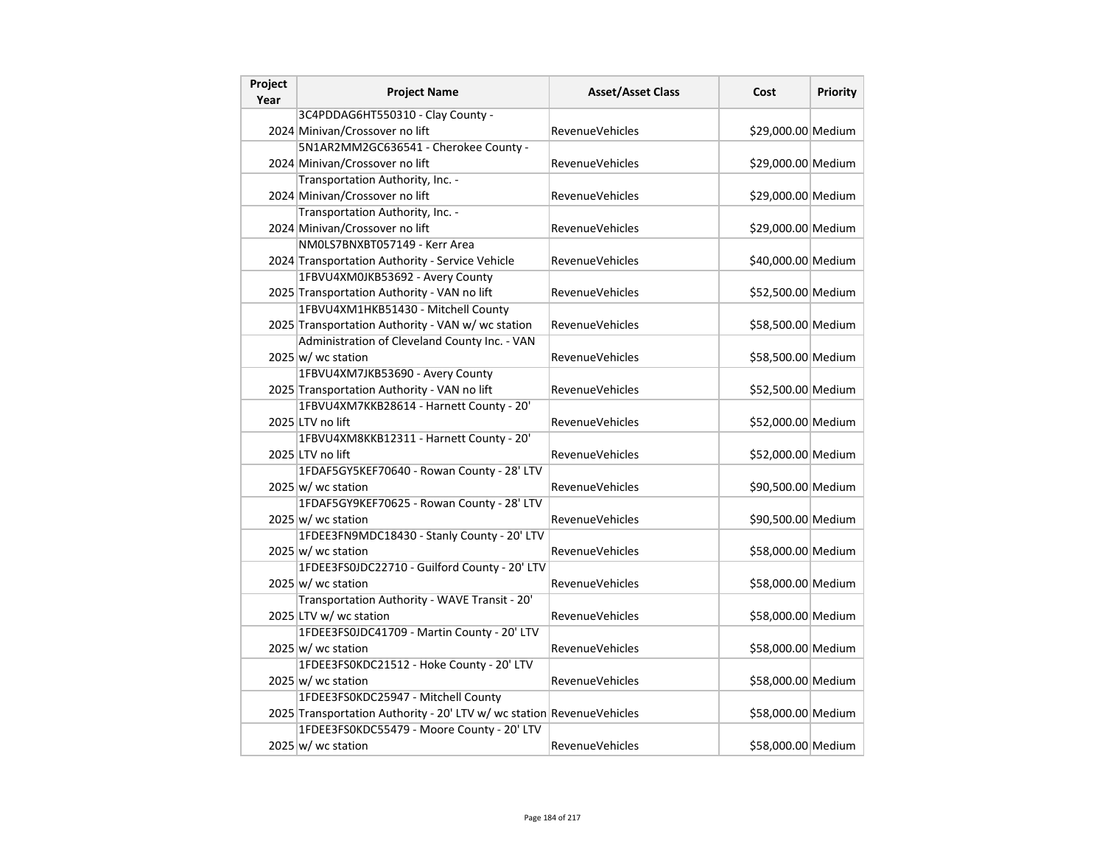| Project<br>Year | <b>Project Name</b>                                                   | <b>Asset/Asset Class</b> | Cost               | Priority |
|-----------------|-----------------------------------------------------------------------|--------------------------|--------------------|----------|
|                 | 3C4PDDAG6HT550310 - Clay County -                                     |                          |                    |          |
|                 | 2024 Minivan/Crossover no lift                                        | <b>RevenueVehicles</b>   | \$29,000.00 Medium |          |
|                 | 5N1AR2MM2GC636541 - Cherokee County -                                 |                          |                    |          |
|                 | 2024 Minivan/Crossover no lift                                        | RevenueVehicles          | \$29,000.00 Medium |          |
|                 | Transportation Authority, Inc. -                                      |                          |                    |          |
|                 | 2024 Minivan/Crossover no lift                                        | <b>RevenueVehicles</b>   | \$29,000.00 Medium |          |
|                 | Transportation Authority, Inc. -                                      |                          |                    |          |
|                 | 2024 Minivan/Crossover no lift                                        | RevenueVehicles          | \$29,000.00 Medium |          |
|                 | NM0LS7BNXBT057149 - Kerr Area                                         |                          |                    |          |
|                 | 2024 Transportation Authority - Service Vehicle                       | <b>RevenueVehicles</b>   | \$40,000.00 Medium |          |
|                 | 1FBVU4XM0JKB53692 - Avery County                                      |                          |                    |          |
|                 | 2025 Transportation Authority - VAN no lift                           | <b>RevenueVehicles</b>   | \$52,500.00 Medium |          |
|                 | 1FBVU4XM1HKB51430 - Mitchell County                                   |                          |                    |          |
|                 | 2025 Transportation Authority - VAN w/ wc station                     | RevenueVehicles          | \$58,500.00 Medium |          |
|                 | Administration of Cleveland County Inc. - VAN                         |                          |                    |          |
|                 | $2025 \vert w \vert$ wc station                                       | <b>RevenueVehicles</b>   | \$58,500.00 Medium |          |
|                 | 1FBVU4XM7JKB53690 - Avery County                                      |                          |                    |          |
|                 | 2025 Transportation Authority - VAN no lift                           | RevenueVehicles          | \$52,500.00 Medium |          |
|                 | 1FBVU4XM7KKB28614 - Harnett County - 20'                              |                          |                    |          |
|                 | 2025 LTV no lift                                                      | RevenueVehicles          | \$52,000.00 Medium |          |
|                 | 1FBVU4XM8KKB12311 - Harnett County - 20'                              |                          |                    |          |
|                 | 2025 LTV no lift                                                      | <b>RevenueVehicles</b>   | \$52,000.00 Medium |          |
|                 | 1FDAF5GY5KEF70640 - Rowan County - 28' LTV                            |                          |                    |          |
|                 | 2025 w/ wc station                                                    | <b>RevenueVehicles</b>   | \$90,500.00 Medium |          |
|                 | 1FDAF5GY9KEF70625 - Rowan County - 28' LTV                            |                          |                    |          |
|                 | $2025 \vert w \vert$ wc station                                       | <b>RevenueVehicles</b>   | \$90,500.00 Medium |          |
|                 | 1FDEE3FN9MDC18430 - Stanly County - 20' LTV                           |                          |                    |          |
|                 | $2025 \vert w$ / wc station                                           | RevenueVehicles          | \$58,000.00 Medium |          |
|                 | 1FDEE3FS0JDC22710 - Guilford County - 20' LTV                         |                          |                    |          |
|                 | 2025 w/ wc station                                                    | <b>RevenueVehicles</b>   | \$58,000.00 Medium |          |
|                 | Transportation Authority - WAVE Transit - 20'                         |                          |                    |          |
|                 | 2025 LTV w/ wc station                                                | <b>RevenueVehicles</b>   | \$58,000.00 Medium |          |
|                 | 1FDEE3FS0JDC41709 - Martin County - 20' LTV                           |                          |                    |          |
|                 | 2025 w/ wc station                                                    | RevenueVehicles          | \$58,000.00 Medium |          |
|                 | 1FDEE3FS0KDC21512 - Hoke County - 20' LTV                             |                          |                    |          |
|                 | $2025 \vert w \vert$ wc station                                       | <b>RevenueVehicles</b>   | \$58,000.00 Medium |          |
|                 | 1FDEE3FS0KDC25947 - Mitchell County                                   |                          |                    |          |
|                 | 2025 Transportation Authority - 20' LTV w/ wc station RevenueVehicles |                          | \$58,000.00 Medium |          |
|                 | 1FDEE3FS0KDC55479 - Moore County - 20' LTV                            |                          |                    |          |
|                 | $2025 \vert w$ / wc station                                           | <b>RevenueVehicles</b>   | \$58,000.00 Medium |          |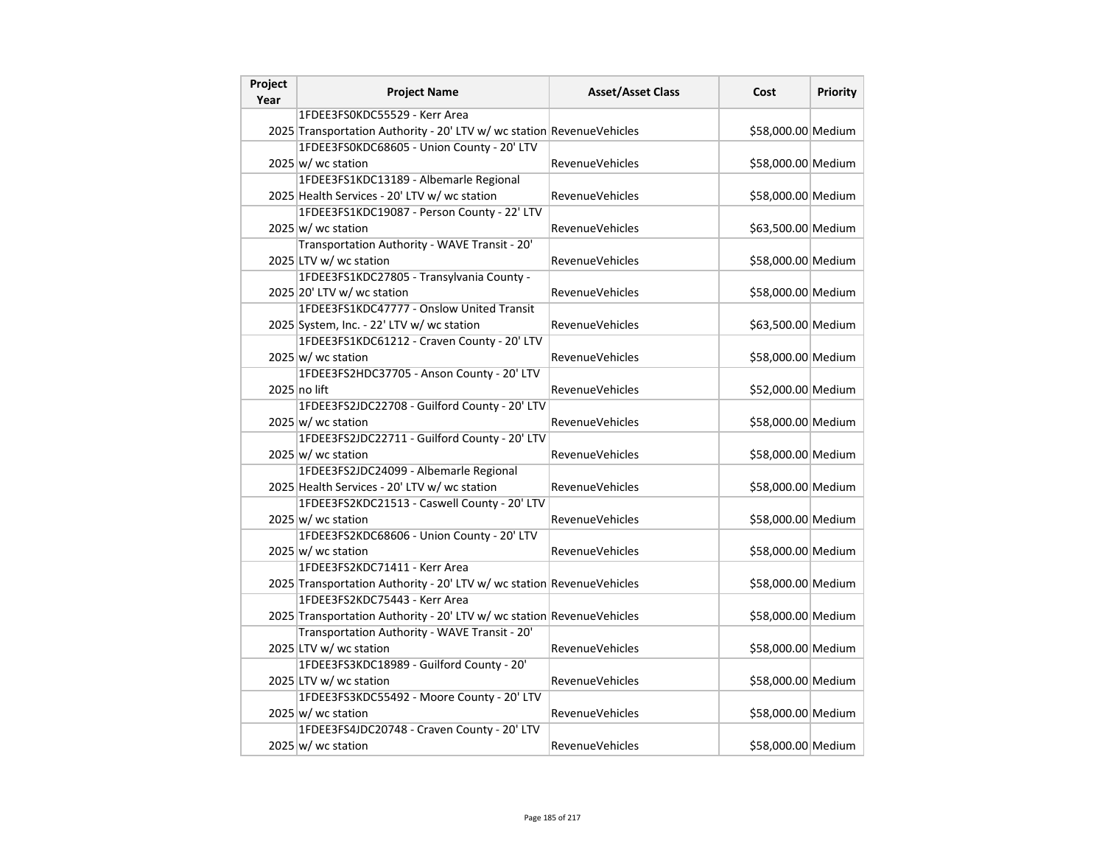| Project<br>Year | <b>Project Name</b>                                                   | <b>Asset/Asset Class</b> | Cost               | Priority |
|-----------------|-----------------------------------------------------------------------|--------------------------|--------------------|----------|
|                 | 1FDEE3FS0KDC55529 - Kerr Area                                         |                          |                    |          |
|                 | 2025 Transportation Authority - 20' LTV w/ wc station RevenueVehicles |                          | \$58,000.00 Medium |          |
|                 | 1FDEE3FS0KDC68605 - Union County - 20' LTV                            |                          |                    |          |
|                 | $2025 \vert w \vert$ wc station                                       | RevenueVehicles          | \$58,000.00 Medium |          |
|                 | 1FDEE3FS1KDC13189 - Albemarle Regional                                |                          |                    |          |
|                 | 2025 Health Services - 20' LTV w/ wc station                          | <b>RevenueVehicles</b>   | \$58,000.00 Medium |          |
|                 | 1FDEE3FS1KDC19087 - Person County - 22' LTV                           |                          |                    |          |
|                 | $2025 \vert w$ / wc station                                           | <b>RevenueVehicles</b>   | \$63,500.00 Medium |          |
|                 | Transportation Authority - WAVE Transit - 20'                         |                          |                    |          |
|                 | 2025 LTV w/ wc station                                                | <b>RevenueVehicles</b>   | \$58,000.00 Medium |          |
|                 | 1FDEE3FS1KDC27805 - Transylvania County -                             |                          |                    |          |
|                 | 2025 20' LTV w/ wc station                                            | RevenueVehicles          | \$58,000.00 Medium |          |
|                 | 1FDEE3FS1KDC47777 - Onslow United Transit                             |                          |                    |          |
|                 | 2025 System, Inc. - 22' LTV w/ wc station                             | <b>RevenueVehicles</b>   | \$63,500.00 Medium |          |
|                 | 1FDEE3FS1KDC61212 - Craven County - 20' LTV                           |                          |                    |          |
|                 | $2025 \vert w \vert$ wc station                                       | <b>RevenueVehicles</b>   | \$58,000.00 Medium |          |
|                 | 1FDEE3FS2HDC37705 - Anson County - 20' LTV                            |                          |                    |          |
|                 | 2025 no lift                                                          | <b>RevenueVehicles</b>   | \$52,000.00 Medium |          |
|                 | 1FDEE3FS2JDC22708 - Guilford County - 20' LTV                         |                          |                    |          |
|                 | 2025 w/ wc station                                                    | RevenueVehicles          | \$58,000.00 Medium |          |
|                 | 1FDEE3FS2JDC22711 - Guilford County - 20' LTV                         |                          |                    |          |
|                 | $2025 \vert w$ / wc station                                           | <b>RevenueVehicles</b>   | \$58,000.00 Medium |          |
|                 | 1FDEE3FS2JDC24099 - Albemarle Regional                                |                          |                    |          |
|                 | 2025 Health Services - 20' LTV w/ wc station                          | <b>RevenueVehicles</b>   | \$58,000.00 Medium |          |
|                 | 1FDEE3FS2KDC21513 - Caswell County - 20' LTV                          |                          |                    |          |
|                 | $2025 \vert w$ / wc station                                           | <b>RevenueVehicles</b>   | \$58,000.00 Medium |          |
|                 | 1FDEE3FS2KDC68606 - Union County - 20' LTV                            |                          |                    |          |
|                 | $2025 \vert w$ / wc station                                           | <b>RevenueVehicles</b>   | \$58,000.00 Medium |          |
|                 | 1FDEE3FS2KDC71411 - Kerr Area                                         |                          |                    |          |
|                 | 2025 Transportation Authority - 20' LTV w/ wc station RevenueVehicles |                          | \$58,000.00 Medium |          |
|                 | 1FDEE3FS2KDC75443 - Kerr Area                                         |                          |                    |          |
|                 | 2025 Transportation Authority - 20' LTV w/ wc station RevenueVehicles |                          | \$58,000.00 Medium |          |
|                 | Transportation Authority - WAVE Transit - 20'                         |                          |                    |          |
|                 | 2025 LTV w/ wc station                                                | RevenueVehicles          | \$58,000.00 Medium |          |
|                 | 1FDEE3FS3KDC18989 - Guilford County - 20'                             |                          |                    |          |
|                 | 2025 LTV w/ wc station                                                | <b>RevenueVehicles</b>   | \$58,000.00 Medium |          |
|                 | 1FDEE3FS3KDC55492 - Moore County - 20' LTV                            |                          |                    |          |
|                 | $2025 \vert w \vert$ wc station                                       | <b>RevenueVehicles</b>   | \$58,000.00 Medium |          |
|                 | 1FDEE3FS4JDC20748 - Craven County - 20' LTV                           |                          |                    |          |
|                 | $2025 \vert w$ / wc station                                           | <b>RevenueVehicles</b>   | \$58,000.00 Medium |          |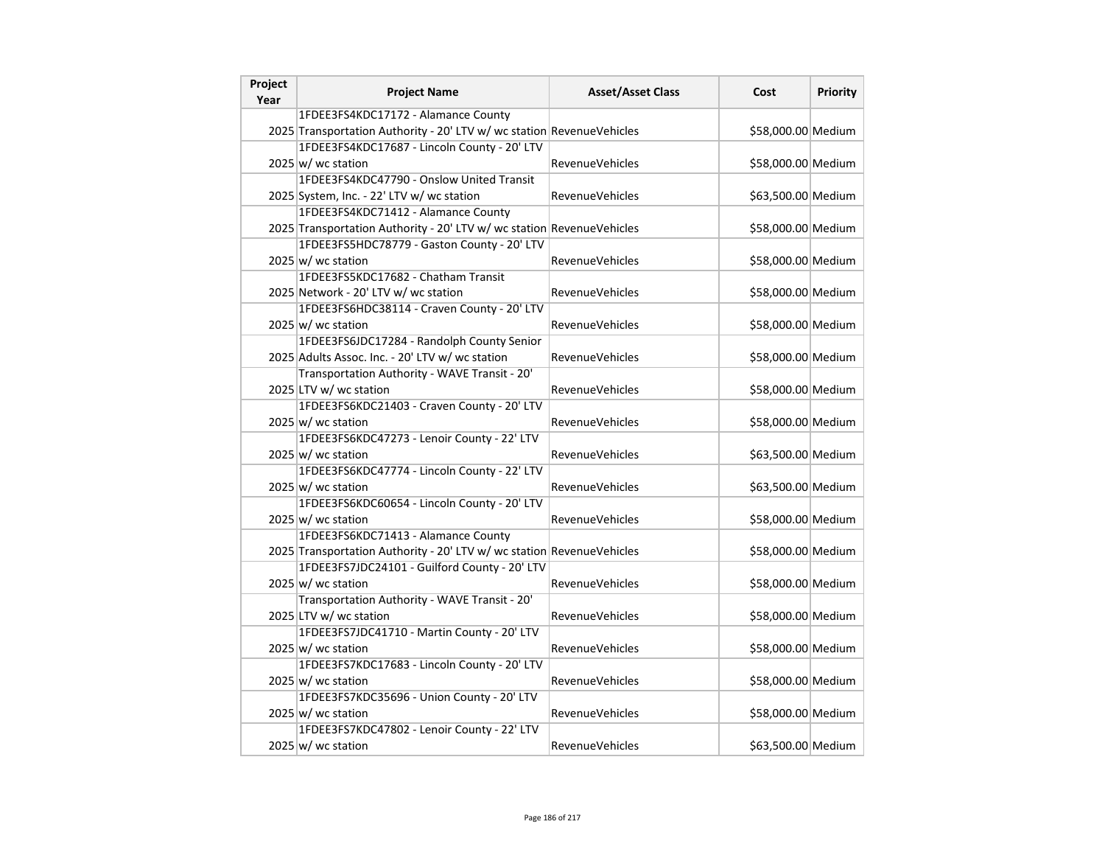| Project<br>Year | <b>Project Name</b>                                                   | <b>Asset/Asset Class</b> | Cost               | Priority |
|-----------------|-----------------------------------------------------------------------|--------------------------|--------------------|----------|
|                 | 1FDEE3FS4KDC17172 - Alamance County                                   |                          |                    |          |
|                 | 2025 Transportation Authority - 20' LTV w/ wc station RevenueVehicles |                          | \$58,000.00 Medium |          |
|                 | 1FDEE3FS4KDC17687 - Lincoln County - 20' LTV                          |                          |                    |          |
|                 | $2025 \vert w \vert$ wc station                                       | RevenueVehicles          | \$58,000.00 Medium |          |
|                 | 1FDEE3FS4KDC47790 - Onslow United Transit                             |                          |                    |          |
|                 | 2025 System, Inc. - 22' LTV w/ wc station                             | <b>RevenueVehicles</b>   | \$63,500.00 Medium |          |
|                 | 1FDEE3FS4KDC71412 - Alamance County                                   |                          |                    |          |
|                 | 2025 Transportation Authority - 20' LTV w/ wc station RevenueVehicles |                          | \$58,000.00 Medium |          |
|                 | 1FDEE3FS5HDC78779 - Gaston County - 20' LTV                           |                          |                    |          |
|                 | 2025 w/ wc station                                                    | <b>RevenueVehicles</b>   | \$58,000.00 Medium |          |
|                 | 1FDEE3FS5KDC17682 - Chatham Transit                                   |                          |                    |          |
|                 | 2025 Network - 20' LTV w/ wc station                                  | RevenueVehicles          | \$58,000.00 Medium |          |
|                 | 1FDEE3FS6HDC38114 - Craven County - 20' LTV                           |                          |                    |          |
|                 | $2025 \vert w \vert$ wc station                                       | <b>RevenueVehicles</b>   | \$58,000.00 Medium |          |
|                 | 1FDEE3FS6JDC17284 - Randolph County Senior                            |                          |                    |          |
|                 | 2025 Adults Assoc. Inc. - 20' LTV w/ wc station                       | <b>RevenueVehicles</b>   | \$58,000.00 Medium |          |
|                 | Transportation Authority - WAVE Transit - 20'                         |                          |                    |          |
|                 | 2025 LTV w/ wc station                                                | <b>RevenueVehicles</b>   | \$58,000.00 Medium |          |
|                 | 1FDEE3FS6KDC21403 - Craven County - 20' LTV                           |                          |                    |          |
|                 | $2025 \vert w$ / wc station                                           | RevenueVehicles          | \$58,000.00 Medium |          |
|                 | 1FDEE3FS6KDC47273 - Lenoir County - 22' LTV                           |                          |                    |          |
|                 | $2025 \, \text{w}$ / wc station                                       | <b>RevenueVehicles</b>   | \$63,500.00 Medium |          |
|                 | 1FDEE3FS6KDC47774 - Lincoln County - 22' LTV                          |                          |                    |          |
|                 | $2025 \vert w \vert$ wc station                                       | <b>RevenueVehicles</b>   | \$63,500.00 Medium |          |
|                 | 1FDEE3FS6KDC60654 - Lincoln County - 20' LTV                          |                          |                    |          |
|                 | $2025 \vert w$ / wc station                                           | <b>RevenueVehicles</b>   | \$58,000.00 Medium |          |
|                 | 1FDEE3FS6KDC71413 - Alamance County                                   |                          |                    |          |
|                 | 2025 Transportation Authority - 20' LTV w/ wc station RevenueVehicles |                          | \$58,000.00 Medium |          |
|                 | 1FDEE3FS7JDC24101 - Guilford County - 20' LTV                         |                          |                    |          |
|                 | 2025 w/ wc station                                                    | <b>RevenueVehicles</b>   | \$58,000.00 Medium |          |
|                 | Transportation Authority - WAVE Transit - 20'                         |                          |                    |          |
|                 | 2025 LTV w/ wc station                                                | <b>RevenueVehicles</b>   | \$58,000.00 Medium |          |
|                 | 1FDEE3FS7JDC41710 - Martin County - 20' LTV                           |                          |                    |          |
|                 | $2025 \vert w \vert$ wc station                                       | RevenueVehicles          | \$58,000.00 Medium |          |
|                 | 1FDEE3FS7KDC17683 - Lincoln County - 20' LTV                          |                          |                    |          |
|                 | $2025 \vert w \vert$ wc station                                       | <b>RevenueVehicles</b>   | \$58,000.00 Medium |          |
|                 | 1FDEE3FS7KDC35696 - Union County - 20' LTV                            |                          |                    |          |
|                 | $2025 \vert w \vert$ wc station                                       | <b>RevenueVehicles</b>   | \$58,000.00 Medium |          |
|                 | 1FDEE3FS7KDC47802 - Lenoir County - 22' LTV                           |                          |                    |          |
|                 | $2025 \vert w$ / wc station                                           | <b>RevenueVehicles</b>   | \$63,500.00 Medium |          |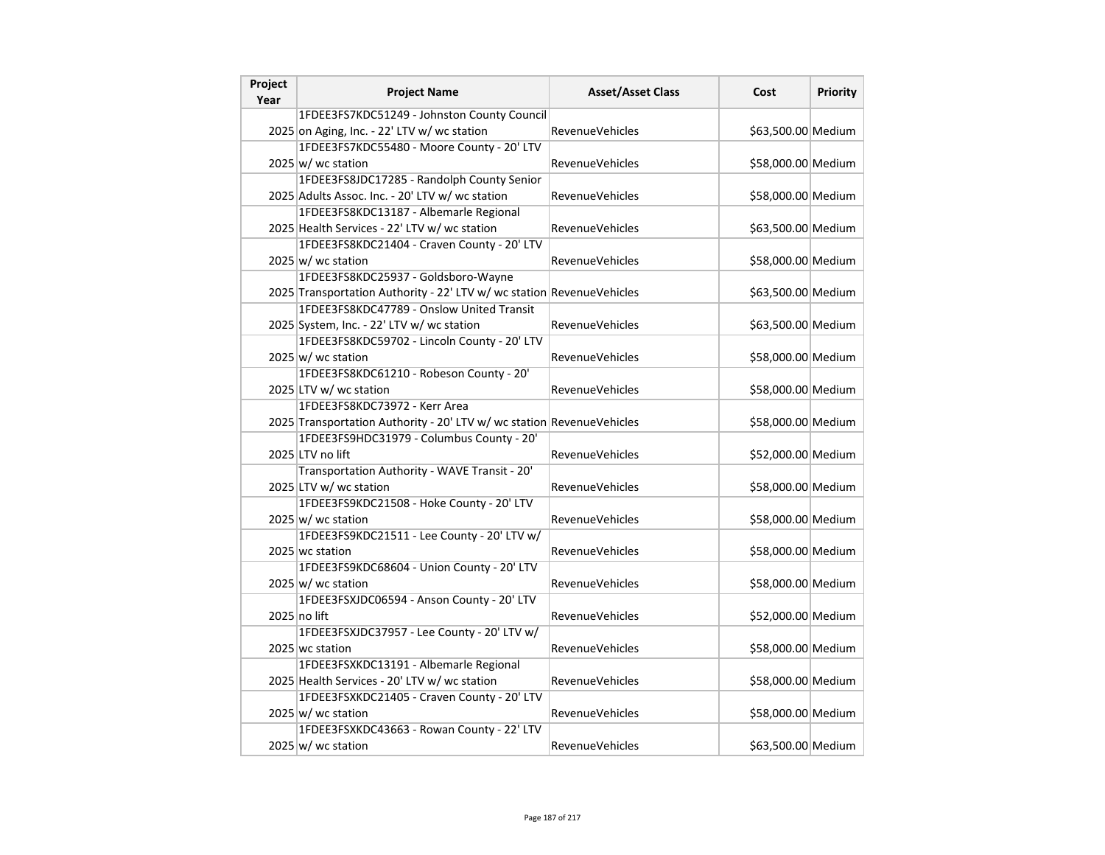| Project<br>Year | <b>Project Name</b>                                                   | <b>Asset/Asset Class</b> | Cost               | <b>Priority</b> |
|-----------------|-----------------------------------------------------------------------|--------------------------|--------------------|-----------------|
|                 | 1FDEE3FS7KDC51249 - Johnston County Council                           |                          |                    |                 |
|                 | 2025 on Aging, Inc. - 22' LTV w/ wc station                           | <b>RevenueVehicles</b>   | \$63,500.00 Medium |                 |
|                 | 1FDEE3FS7KDC55480 - Moore County - 20' LTV                            |                          |                    |                 |
|                 | $2025 \vert w \vert$ wc station                                       | <b>RevenueVehicles</b>   | \$58,000.00 Medium |                 |
|                 | 1FDEE3FS8JDC17285 - Randolph County Senior                            |                          |                    |                 |
|                 | 2025 Adults Assoc. Inc. - 20' LTV w/ wc station                       | <b>RevenueVehicles</b>   | \$58,000.00 Medium |                 |
|                 | 1FDEE3FS8KDC13187 - Albemarle Regional                                |                          |                    |                 |
|                 | 2025 Health Services - 22' LTV w/ wc station                          | RevenueVehicles          | \$63,500.00 Medium |                 |
|                 | 1FDEE3FS8KDC21404 - Craven County - 20' LTV                           |                          |                    |                 |
|                 | 2025 w/ wc station                                                    | <b>RevenueVehicles</b>   | \$58,000.00 Medium |                 |
|                 | 1FDEE3FS8KDC25937 - Goldsboro-Wayne                                   |                          |                    |                 |
|                 | 2025 Transportation Authority - 22' LTV w/ wc station RevenueVehicles |                          | \$63,500.00 Medium |                 |
|                 | 1FDEE3FS8KDC47789 - Onslow United Transit                             |                          |                    |                 |
|                 | 2025 System, Inc. - 22' LTV w/ wc station                             | <b>RevenueVehicles</b>   | \$63,500.00 Medium |                 |
|                 | 1FDEE3FS8KDC59702 - Lincoln County - 20' LTV                          |                          |                    |                 |
|                 | $2025 \vert w \vert$ wc station                                       | <b>RevenueVehicles</b>   | \$58,000.00 Medium |                 |
|                 | 1FDEE3FS8KDC61210 - Robeson County - 20'                              |                          |                    |                 |
|                 | 2025 LTV w/ wc station                                                | <b>RevenueVehicles</b>   | \$58,000.00 Medium |                 |
|                 | 1FDEE3FS8KDC73972 - Kerr Area                                         |                          |                    |                 |
|                 | 2025 Transportation Authority - 20' LTV w/ wc station RevenueVehicles |                          | \$58,000.00 Medium |                 |
|                 | 1FDEE3FS9HDC31979 - Columbus County - 20'                             |                          |                    |                 |
|                 | 2025 LTV no lift                                                      | <b>RevenueVehicles</b>   | \$52,000.00 Medium |                 |
|                 | Transportation Authority - WAVE Transit - 20'                         |                          |                    |                 |
|                 | 2025 LTV w/ wc station                                                | <b>RevenueVehicles</b>   | \$58,000.00 Medium |                 |
|                 | 1FDEE3FS9KDC21508 - Hoke County - 20' LTV                             |                          |                    |                 |
|                 | $2025 \vert w \vert$ wc station                                       | <b>RevenueVehicles</b>   | \$58,000.00 Medium |                 |
|                 | 1FDEE3FS9KDC21511 - Lee County - 20' LTV w/                           |                          |                    |                 |
|                 | 2025 wc station                                                       | <b>RevenueVehicles</b>   | \$58,000.00 Medium |                 |
|                 | 1FDEE3FS9KDC68604 - Union County - 20' LTV                            |                          |                    |                 |
|                 | $2025 \vert w \vert$ wc station                                       | <b>RevenueVehicles</b>   | \$58,000.00 Medium |                 |
|                 | 1FDEE3FSXJDC06594 - Anson County - 20' LTV                            |                          |                    |                 |
|                 | 2025 no lift                                                          | <b>RevenueVehicles</b>   | \$52,000.00 Medium |                 |
|                 | 1FDEE3FSXJDC37957 - Lee County - 20' LTV w/                           |                          |                    |                 |
|                 | 2025 wc station                                                       | <b>RevenueVehicles</b>   | \$58,000.00 Medium |                 |
|                 | 1FDEE3FSXKDC13191 - Albemarle Regional                                |                          |                    |                 |
|                 | 2025 Health Services - 20' LTV w/ wc station                          | <b>RevenueVehicles</b>   | \$58,000.00 Medium |                 |
|                 | 1FDEE3FSXKDC21405 - Craven County - 20' LTV                           |                          |                    |                 |
|                 | $2025 \vert w \vert$ wc station                                       | <b>RevenueVehicles</b>   | \$58,000.00 Medium |                 |
|                 | 1FDEE3FSXKDC43663 - Rowan County - 22' LTV                            |                          |                    |                 |
|                 | $2025 \vert w$ / wc station                                           | <b>RevenueVehicles</b>   | \$63,500.00 Medium |                 |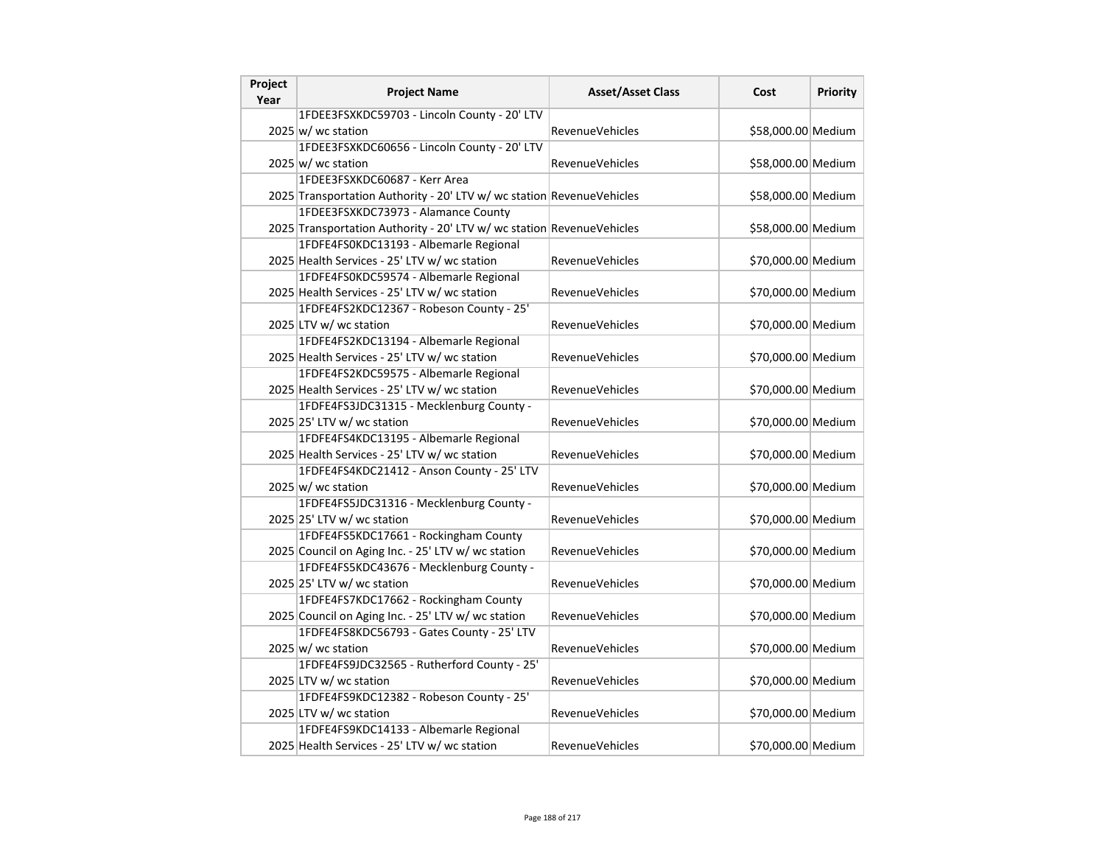| Project | <b>Project Name</b>                                                   | <b>Asset/Asset Class</b> | Cost               | <b>Priority</b> |
|---------|-----------------------------------------------------------------------|--------------------------|--------------------|-----------------|
| Year    |                                                                       |                          |                    |                 |
|         | 1FDEE3FSXKDC59703 - Lincoln County - 20' LTV                          |                          |                    |                 |
|         | $2025 \vert w$ / wc station                                           | <b>RevenueVehicles</b>   | \$58,000.00 Medium |                 |
|         | 1FDEE3FSXKDC60656 - Lincoln County - 20' LTV                          |                          |                    |                 |
|         | $2025 \vert w \vert$ wc station                                       | <b>RevenueVehicles</b>   | \$58,000.00 Medium |                 |
|         | 1FDEE3FSXKDC60687 - Kerr Area                                         |                          |                    |                 |
|         | 2025 Transportation Authority - 20' LTV w/ wc station RevenueVehicles |                          | \$58,000.00 Medium |                 |
|         | 1FDEE3FSXKDC73973 - Alamance County                                   |                          |                    |                 |
|         | 2025 Transportation Authority - 20' LTV w/ wc station RevenueVehicles |                          | \$58,000.00 Medium |                 |
|         | 1FDFE4FS0KDC13193 - Albemarle Regional                                |                          |                    |                 |
|         | 2025 Health Services - 25' LTV w/ wc station                          | <b>RevenueVehicles</b>   | \$70,000.00 Medium |                 |
|         | 1FDFE4FS0KDC59574 - Albemarle Regional                                |                          |                    |                 |
|         | 2025 Health Services - 25' LTV w/ wc station                          | <b>RevenueVehicles</b>   | \$70,000.00 Medium |                 |
|         | 1FDFE4FS2KDC12367 - Robeson County - 25'                              |                          |                    |                 |
|         | 2025 LTV w/ wc station                                                | <b>RevenueVehicles</b>   | \$70,000.00 Medium |                 |
|         | 1FDFE4FS2KDC13194 - Albemarle Regional                                |                          |                    |                 |
|         | 2025 Health Services - 25' LTV w/ wc station                          | <b>RevenueVehicles</b>   | \$70,000.00 Medium |                 |
|         | 1FDFE4FS2KDC59575 - Albemarle Regional                                |                          |                    |                 |
|         | 2025 Health Services - 25' LTV w/ wc station                          | <b>RevenueVehicles</b>   | \$70,000.00 Medium |                 |
|         | 1FDFE4FS3JDC31315 - Mecklenburg County -                              |                          |                    |                 |
|         | 2025 25' LTV w/ wc station                                            | <b>RevenueVehicles</b>   | \$70,000.00 Medium |                 |
|         | 1FDFE4FS4KDC13195 - Albemarle Regional                                |                          |                    |                 |
|         | 2025 Health Services - 25' LTV w/ wc station                          | RevenueVehicles          | \$70,000.00 Medium |                 |
|         | 1FDFE4FS4KDC21412 - Anson County - 25' LTV                            |                          |                    |                 |
|         | $2025 \vert w \vert$ wc station                                       | RevenueVehicles          | \$70,000.00 Medium |                 |
|         | 1FDFE4FS5JDC31316 - Mecklenburg County -                              |                          |                    |                 |
|         | 2025 25' LTV w/ wc station                                            | <b>RevenueVehicles</b>   | \$70,000.00 Medium |                 |
|         | 1FDFE4FS5KDC17661 - Rockingham County                                 |                          |                    |                 |
|         | 2025 Council on Aging Inc. - 25' LTV w/ wc station                    | <b>RevenueVehicles</b>   | \$70,000.00 Medium |                 |
|         | 1FDFE4FS5KDC43676 - Mecklenburg County -                              |                          |                    |                 |
|         |                                                                       |                          |                    |                 |
|         | 2025 25' LTV w/ wc station                                            | <b>RevenueVehicles</b>   | \$70,000.00 Medium |                 |
|         | 1FDFE4FS7KDC17662 - Rockingham County                                 |                          |                    |                 |
|         | 2025 Council on Aging Inc. - 25' LTV w/ wc station                    | <b>RevenueVehicles</b>   | \$70,000.00 Medium |                 |
|         | 1FDFE4FS8KDC56793 - Gates County - 25' LTV                            |                          |                    |                 |
|         | 2025 w/ wc station                                                    | RevenueVehicles          | \$70,000.00 Medium |                 |
|         | 1FDFE4FS9JDC32565 - Rutherford County - 25'                           |                          |                    |                 |
|         | 2025 LTV w/ wc station                                                | <b>RevenueVehicles</b>   | \$70,000.00 Medium |                 |
|         | 1FDFE4FS9KDC12382 - Robeson County - 25'                              |                          |                    |                 |
|         | 2025 LTV w/ wc station                                                | <b>RevenueVehicles</b>   | \$70,000.00 Medium |                 |
|         | 1FDFE4FS9KDC14133 - Albemarle Regional                                |                          |                    |                 |
|         | 2025 Health Services - 25' LTV w/ wc station                          | <b>RevenueVehicles</b>   | \$70,000.00 Medium |                 |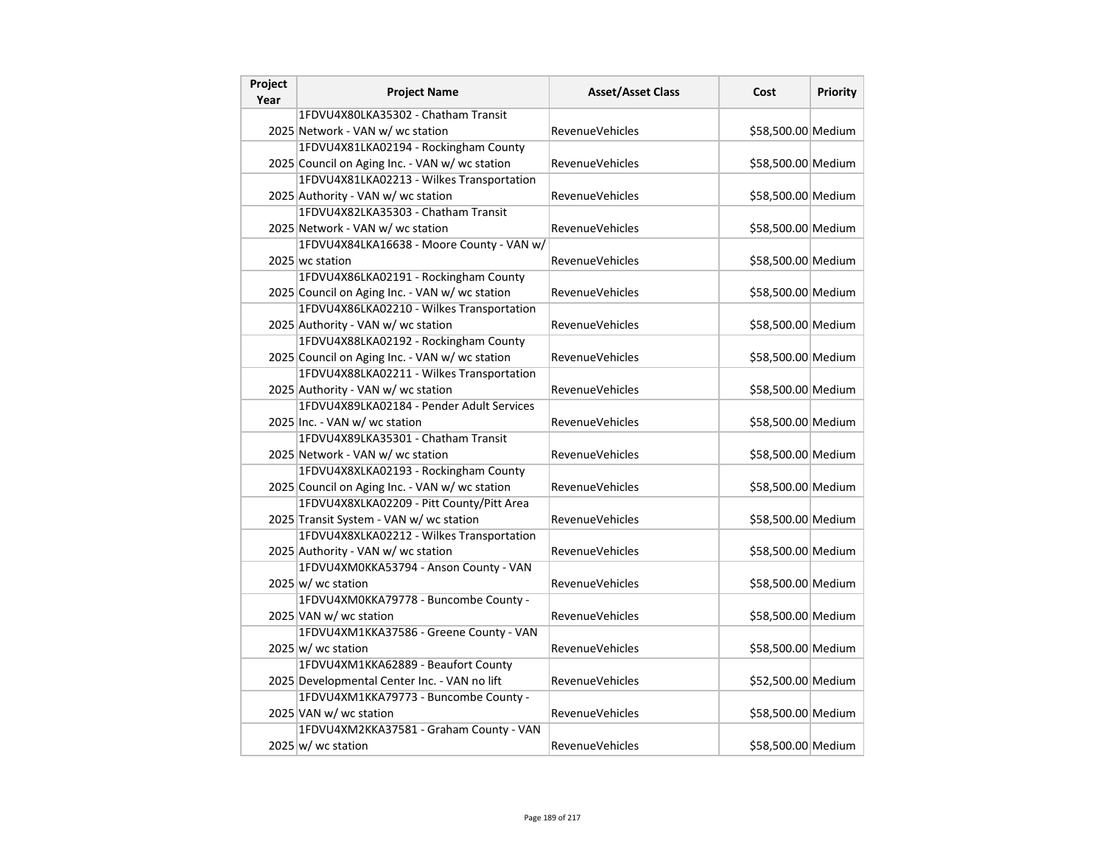| Project<br>Year | <b>Project Name</b>                            | <b>Asset/Asset Class</b> | Cost               | <b>Priority</b> |
|-----------------|------------------------------------------------|--------------------------|--------------------|-----------------|
|                 | 1FDVU4X80LKA35302 - Chatham Transit            |                          |                    |                 |
|                 | 2025 Network - VAN w/ wc station               | <b>RevenueVehicles</b>   | \$58,500.00 Medium |                 |
|                 | 1FDVU4X81LKA02194 - Rockingham County          |                          |                    |                 |
|                 | 2025 Council on Aging Inc. - VAN w/ wc station | <b>RevenueVehicles</b>   | \$58,500.00 Medium |                 |
|                 | 1FDVU4X81LKA02213 - Wilkes Transportation      |                          |                    |                 |
|                 | 2025 Authority - VAN w/ wc station             | <b>RevenueVehicles</b>   | \$58,500.00 Medium |                 |
|                 | 1FDVU4X82LKA35303 - Chatham Transit            |                          |                    |                 |
|                 | 2025 Network - VAN w/ wc station               | <b>RevenueVehicles</b>   | \$58,500.00 Medium |                 |
|                 | 1FDVU4X84LKA16638 - Moore County - VAN w/      |                          |                    |                 |
|                 | 2025 wc station                                | <b>RevenueVehicles</b>   | \$58,500.00 Medium |                 |
|                 | 1FDVU4X86LKA02191 - Rockingham County          |                          |                    |                 |
|                 | 2025 Council on Aging Inc. - VAN w/ wc station | <b>RevenueVehicles</b>   | \$58,500.00 Medium |                 |
|                 | 1FDVU4X86LKA02210 - Wilkes Transportation      |                          |                    |                 |
|                 | 2025 Authority - VAN w/ wc station             | <b>RevenueVehicles</b>   | \$58,500.00 Medium |                 |
|                 | 1FDVU4X88LKA02192 - Rockingham County          |                          |                    |                 |
|                 | 2025 Council on Aging Inc. - VAN w/ wc station | <b>RevenueVehicles</b>   | \$58,500.00 Medium |                 |
|                 | 1FDVU4X88LKA02211 - Wilkes Transportation      |                          |                    |                 |
|                 | 2025 Authority - VAN w/ wc station             | <b>RevenueVehicles</b>   | \$58,500.00 Medium |                 |
|                 | 1FDVU4X89LKA02184 - Pender Adult Services      |                          |                    |                 |
|                 | 2025 Inc. - VAN w/ wc station                  | RevenueVehicles          | \$58,500.00 Medium |                 |
|                 | 1FDVU4X89LKA35301 - Chatham Transit            |                          |                    |                 |
|                 | 2025 Network - VAN w/ wc station               | <b>RevenueVehicles</b>   | \$58,500.00 Medium |                 |
|                 | 1FDVU4X8XLKA02193 - Rockingham County          |                          |                    |                 |
|                 | 2025 Council on Aging Inc. - VAN w/ wc station | <b>RevenueVehicles</b>   | \$58,500.00 Medium |                 |
|                 | 1FDVU4X8XLKA02209 - Pitt County/Pitt Area      |                          |                    |                 |
|                 | 2025 Transit System - VAN w/ wc station        | <b>RevenueVehicles</b>   | \$58,500.00 Medium |                 |
|                 | 1FDVU4X8XLKA02212 - Wilkes Transportation      |                          |                    |                 |
|                 | 2025 Authority - VAN w/ wc station             | <b>RevenueVehicles</b>   | \$58,500.00 Medium |                 |
|                 | 1FDVU4XM0KKA53794 - Anson County - VAN         |                          |                    |                 |
|                 | $2025 \vert w \rangle$ wc station              | <b>RevenueVehicles</b>   | \$58,500.00 Medium |                 |
|                 | 1FDVU4XM0KKA79778 - Buncombe County -          |                          |                    |                 |
|                 | 2025 VAN w/ wc station                         | <b>RevenueVehicles</b>   | \$58,500.00 Medium |                 |
|                 | 1FDVU4XM1KKA37586 - Greene County - VAN        |                          |                    |                 |
|                 | $2025 \vert w \vert$ wc station                | <b>RevenueVehicles</b>   | \$58,500.00 Medium |                 |
|                 | 1FDVU4XM1KKA62889 - Beaufort County            |                          |                    |                 |
|                 | 2025 Developmental Center Inc. - VAN no lift   | <b>RevenueVehicles</b>   | \$52,500.00 Medium |                 |
|                 | 1FDVU4XM1KKA79773 - Buncombe County -          |                          |                    |                 |
|                 | 2025 VAN w/ wc station                         | <b>RevenueVehicles</b>   | \$58,500.00 Medium |                 |
|                 | 1FDVU4XM2KKA37581 - Graham County - VAN        |                          |                    |                 |
|                 | $2025 \vert w$ / wc station                    | <b>RevenueVehicles</b>   | \$58,500.00 Medium |                 |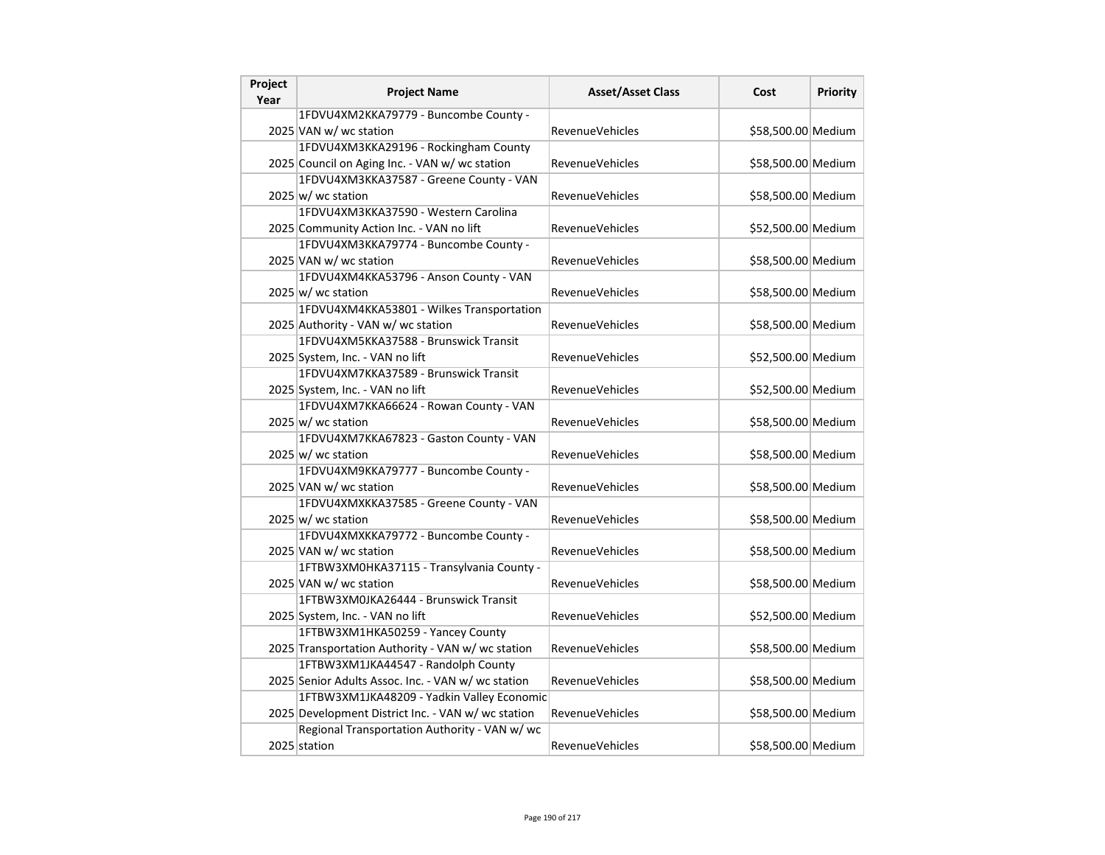| Project<br>Year | <b>Project Name</b>                                | <b>Asset/Asset Class</b> | Cost               | Priority |
|-----------------|----------------------------------------------------|--------------------------|--------------------|----------|
|                 | 1FDVU4XM2KKA79779 - Buncombe County -              |                          |                    |          |
|                 | 2025 VAN w/ wc station                             | RevenueVehicles          | \$58,500.00 Medium |          |
|                 | 1FDVU4XM3KKA29196 - Rockingham County              |                          |                    |          |
|                 | 2025 Council on Aging Inc. - VAN w/ wc station     | RevenueVehicles          | \$58,500.00 Medium |          |
|                 | 1FDVU4XM3KKA37587 - Greene County - VAN            |                          |                    |          |
|                 | $2025 \vert w \vert$ wc station                    | <b>RevenueVehicles</b>   | \$58,500.00 Medium |          |
|                 | 1FDVU4XM3KKA37590 - Western Carolina               |                          |                    |          |
|                 | 2025 Community Action Inc. - VAN no lift           | <b>RevenueVehicles</b>   | \$52,500.00 Medium |          |
|                 | 1FDVU4XM3KKA79774 - Buncombe County -              |                          |                    |          |
|                 | 2025 VAN w/ wc station                             | <b>RevenueVehicles</b>   | \$58,500.00 Medium |          |
|                 | 1FDVU4XM4KKA53796 - Anson County - VAN             |                          |                    |          |
|                 | $2025 \vert w \vert$ wc station                    | RevenueVehicles          | \$58,500.00 Medium |          |
|                 | 1FDVU4XM4KKA53801 - Wilkes Transportation          |                          |                    |          |
|                 | 2025 Authority - VAN w/ wc station                 | RevenueVehicles          | \$58,500.00 Medium |          |
|                 | 1FDVU4XM5KKA37588 - Brunswick Transit              |                          |                    |          |
|                 | 2025 System, Inc. - VAN no lift                    | <b>RevenueVehicles</b>   | \$52,500.00 Medium |          |
|                 | 1FDVU4XM7KKA37589 - Brunswick Transit              |                          |                    |          |
|                 | 2025 System, Inc. - VAN no lift                    | RevenueVehicles          | \$52,500.00 Medium |          |
|                 | 1FDVU4XM7KKA66624 - Rowan County - VAN             |                          |                    |          |
|                 | $2025 \vert w$ / wc station                        | <b>RevenueVehicles</b>   | \$58,500.00 Medium |          |
|                 | 1FDVU4XM7KKA67823 - Gaston County - VAN            |                          |                    |          |
|                 | $2025 \, \text{w}$ / wc station                    | RevenueVehicles          | \$58,500.00 Medium |          |
|                 | 1FDVU4XM9KKA79777 - Buncombe County -              |                          |                    |          |
|                 | 2025 VAN w/ wc station                             | <b>RevenueVehicles</b>   | \$58,500.00 Medium |          |
|                 | 1FDVU4XMXKKA37585 - Greene County - VAN            |                          |                    |          |
|                 | 2025 w/ wc station                                 | <b>RevenueVehicles</b>   | \$58,500.00 Medium |          |
|                 | 1FDVU4XMXKKA79772 - Buncombe County -              |                          |                    |          |
|                 | 2025 VAN w/ wc station                             | RevenueVehicles          | \$58,500.00 Medium |          |
|                 | 1FTBW3XM0HKA37115 - Transylvania County -          |                          |                    |          |
|                 | 2025 VAN w/ wc station                             | <b>RevenueVehicles</b>   | \$58,500.00 Medium |          |
|                 | 1FTBW3XM0JKA26444 - Brunswick Transit              |                          |                    |          |
|                 | 2025 System, Inc. - VAN no lift                    | <b>RevenueVehicles</b>   | \$52,500.00 Medium |          |
|                 | 1FTBW3XM1HKA50259 - Yancey County                  |                          |                    |          |
|                 | 2025 Transportation Authority - VAN w/ wc station  | <b>RevenueVehicles</b>   | \$58,500.00 Medium |          |
|                 | 1FTBW3XM1JKA44547 - Randolph County                |                          |                    |          |
|                 | 2025 Senior Adults Assoc. Inc. - VAN w/ wc station | <b>RevenueVehicles</b>   | \$58,500.00 Medium |          |
|                 | 1FTBW3XM1JKA48209 - Yadkin Valley Economic         |                          |                    |          |
|                 | 2025 Development District Inc. - VAN w/ wc station | <b>RevenueVehicles</b>   | \$58,500.00 Medium |          |
|                 | Regional Transportation Authority - VAN w/ wc      |                          |                    |          |
|                 | 2025 station                                       | <b>RevenueVehicles</b>   | \$58,500.00 Medium |          |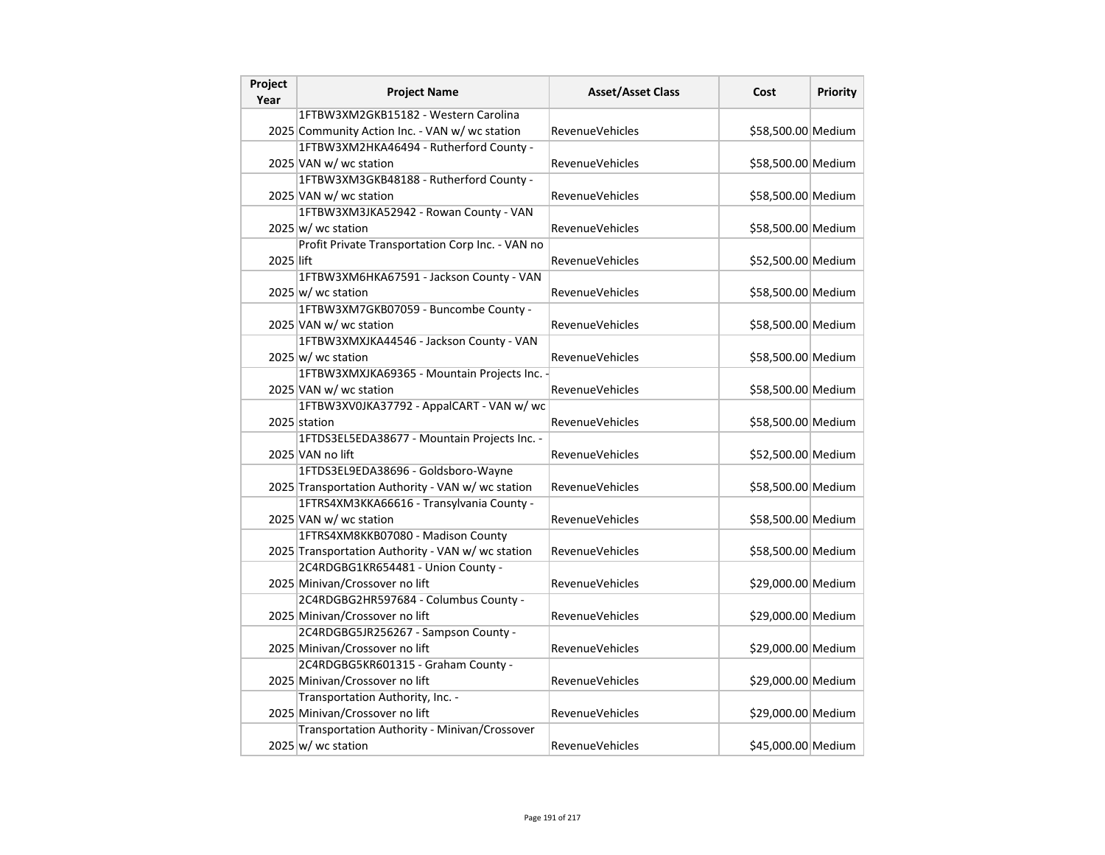| Project<br>Year | <b>Project Name</b>                               | <b>Asset/Asset Class</b> | Cost               | Priority |
|-----------------|---------------------------------------------------|--------------------------|--------------------|----------|
|                 | 1FTBW3XM2GKB15182 - Western Carolina              |                          |                    |          |
|                 | 2025 Community Action Inc. - VAN w/ wc station    | RevenueVehicles          | \$58,500.00 Medium |          |
|                 | 1FTBW3XM2HKA46494 - Rutherford County -           |                          |                    |          |
|                 | 2025 VAN w/ wc station                            | <b>RevenueVehicles</b>   | \$58,500.00 Medium |          |
|                 | 1FTBW3XM3GKB48188 - Rutherford County -           |                          |                    |          |
|                 | 2025 VAN w/ wc station                            | <b>RevenueVehicles</b>   | \$58,500.00 Medium |          |
|                 | 1FTBW3XM3JKA52942 - Rowan County - VAN            |                          |                    |          |
|                 | 2025 w/ wc station                                | <b>RevenueVehicles</b>   | \$58,500.00 Medium |          |
|                 | Profit Private Transportation Corp Inc. - VAN no  |                          |                    |          |
| 2025 lift       |                                                   | <b>RevenueVehicles</b>   | \$52,500.00 Medium |          |
|                 | 1FTBW3XM6HKA67591 - Jackson County - VAN          |                          |                    |          |
|                 | $2025 \vert w$ / wc station                       | <b>RevenueVehicles</b>   | \$58,500.00 Medium |          |
|                 | 1FTBW3XM7GKB07059 - Buncombe County -             |                          |                    |          |
|                 | 2025 VAN w/ wc station                            | <b>RevenueVehicles</b>   | \$58,500.00 Medium |          |
|                 | 1FTBW3XMXJKA44546 - Jackson County - VAN          |                          |                    |          |
|                 | $2025 \, \text{w}$ wc station                     | RevenueVehicles          | \$58,500.00 Medium |          |
|                 | 1FTBW3XMXJKA69365 - Mountain Projects Inc.        |                          |                    |          |
|                 | 2025 VAN w/ wc station                            | <b>RevenueVehicles</b>   | \$58,500.00 Medium |          |
|                 | 1FTBW3XV0JKA37792 - AppalCART - VAN w/ wc         |                          |                    |          |
|                 | 2025 station                                      | <b>RevenueVehicles</b>   | \$58,500.00 Medium |          |
|                 | 1FTDS3EL5EDA38677 - Mountain Projects Inc. -      |                          |                    |          |
|                 | 2025 VAN no lift                                  | <b>RevenueVehicles</b>   | \$52,500.00 Medium |          |
|                 | 1FTDS3EL9EDA38696 - Goldsboro-Wayne               |                          |                    |          |
|                 | 2025 Transportation Authority - VAN w/ wc station | <b>RevenueVehicles</b>   | \$58,500.00 Medium |          |
|                 | 1FTRS4XM3KKA66616 - Transylvania County -         |                          |                    |          |
|                 | 2025 VAN w/ wc station                            | RevenueVehicles          | \$58,500.00 Medium |          |
|                 | 1FTRS4XM8KKB07080 - Madison County                |                          |                    |          |
|                 | 2025 Transportation Authority - VAN w/ wc station | <b>RevenueVehicles</b>   | \$58,500.00 Medium |          |
|                 | 2C4RDGBG1KR654481 - Union County -                |                          |                    |          |
|                 | 2025 Minivan/Crossover no lift                    | <b>RevenueVehicles</b>   | \$29,000.00 Medium |          |
|                 | 2C4RDGBG2HR597684 - Columbus County -             |                          |                    |          |
|                 | 2025 Minivan/Crossover no lift                    | <b>RevenueVehicles</b>   | \$29,000.00 Medium |          |
|                 | 2C4RDGBG5JR256267 - Sampson County -              |                          |                    |          |
|                 | 2025 Minivan/Crossover no lift                    | <b>RevenueVehicles</b>   | \$29,000.00 Medium |          |
|                 | 2C4RDGBG5KR601315 - Graham County -               |                          |                    |          |
|                 | 2025 Minivan/Crossover no lift                    | RevenueVehicles          | \$29,000.00 Medium |          |
|                 | Transportation Authority, Inc. -                  |                          |                    |          |
|                 | 2025 Minivan/Crossover no lift                    | <b>RevenueVehicles</b>   | \$29,000.00 Medium |          |
|                 | Transportation Authority - Minivan/Crossover      |                          |                    |          |
|                 | $2025 \vert w$ / wc station                       | RevenueVehicles          | \$45,000.00 Medium |          |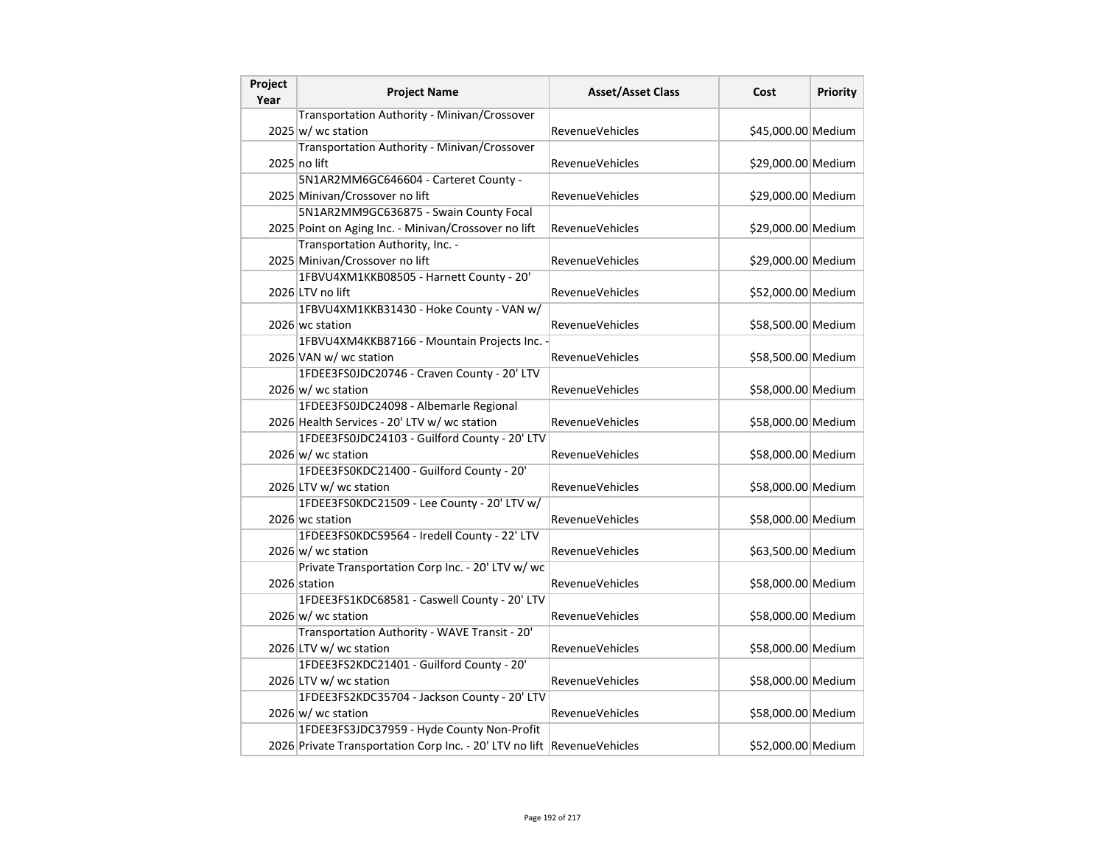| Project<br>Year | <b>Project Name</b>                                                     | <b>Asset/Asset Class</b> | Cost               | <b>Priority</b> |
|-----------------|-------------------------------------------------------------------------|--------------------------|--------------------|-----------------|
|                 | Transportation Authority - Minivan/Crossover                            |                          |                    |                 |
|                 | $2025 \vert w$ / wc station                                             | <b>RevenueVehicles</b>   | \$45,000.00 Medium |                 |
|                 | Transportation Authority - Minivan/Crossover                            |                          |                    |                 |
|                 | 2025 no lift                                                            | RevenueVehicles          | \$29,000.00 Medium |                 |
|                 | 5N1AR2MM6GC646604 - Carteret County -                                   |                          |                    |                 |
|                 | 2025 Minivan/Crossover no lift                                          | RevenueVehicles          | \$29,000.00 Medium |                 |
|                 | 5N1AR2MM9GC636875 - Swain County Focal                                  |                          |                    |                 |
|                 | 2025 Point on Aging Inc. - Minivan/Crossover no lift                    | RevenueVehicles          | \$29,000.00 Medium |                 |
|                 | Transportation Authority, Inc. -                                        |                          |                    |                 |
|                 | 2025 Minivan/Crossover no lift                                          | RevenueVehicles          | \$29,000.00 Medium |                 |
|                 | 1FBVU4XM1KKB08505 - Harnett County - 20'                                |                          |                    |                 |
|                 | 2026 LTV no lift                                                        | <b>RevenueVehicles</b>   | \$52,000.00 Medium |                 |
|                 | 1FBVU4XM1KKB31430 - Hoke County - VAN w/                                |                          |                    |                 |
|                 | 2026 wc station                                                         | RevenueVehicles          | \$58,500.00 Medium |                 |
|                 | 1FBVU4XM4KKB87166 - Mountain Projects Inc. -                            |                          |                    |                 |
|                 | 2026 VAN w/ wc station                                                  | RevenueVehicles          | \$58,500.00 Medium |                 |
|                 | 1FDEE3FS0JDC20746 - Craven County - 20' LTV                             |                          |                    |                 |
|                 | 2026 w/ wc station                                                      | RevenueVehicles          | \$58,000.00 Medium |                 |
|                 | 1FDEE3FS0JDC24098 - Albemarle Regional                                  |                          |                    |                 |
|                 | 2026 Health Services - 20' LTV w/ wc station                            | RevenueVehicles          | \$58,000.00 Medium |                 |
|                 | 1FDEE3FS0JDC24103 - Guilford County - 20' LTV                           |                          |                    |                 |
|                 | $2026 \text{ w/m}$ wc station                                           | RevenueVehicles          | \$58,000.00 Medium |                 |
|                 | 1FDEE3FS0KDC21400 - Guilford County - 20'                               |                          |                    |                 |
|                 | 2026 LTV w/ wc station                                                  | RevenueVehicles          | \$58,000.00 Medium |                 |
|                 | 1FDEE3FS0KDC21509 - Lee County - 20' LTV w/                             |                          |                    |                 |
|                 | 2026 wc station                                                         | <b>RevenueVehicles</b>   | \$58,000.00 Medium |                 |
|                 | 1FDEE3FS0KDC59564 - Iredell County - 22' LTV                            |                          |                    |                 |
|                 | $2026 \text{ w}$ / wc station                                           | RevenueVehicles          | \$63,500.00 Medium |                 |
|                 | Private Transportation Corp Inc. - 20' LTV w/ wc                        |                          |                    |                 |
|                 | 2026 station                                                            | RevenueVehicles          | \$58,000.00 Medium |                 |
|                 | 1FDEE3FS1KDC68581 - Caswell County - 20' LTV                            |                          |                    |                 |
|                 | $2026 \text{ w}$ / wc station                                           | <b>RevenueVehicles</b>   | \$58,000.00 Medium |                 |
|                 | Transportation Authority - WAVE Transit - 20'                           |                          |                    |                 |
|                 | 2026 LTV w/ wc station                                                  | RevenueVehicles          | \$58,000.00 Medium |                 |
|                 | 1FDEE3FS2KDC21401 - Guilford County - 20'                               |                          |                    |                 |
|                 | 2026 LTV w/ wc station                                                  | <b>RevenueVehicles</b>   | \$58,000.00 Medium |                 |
|                 | 1FDEE3FS2KDC35704 - Jackson County - 20' LTV                            |                          |                    |                 |
|                 | $2026 \text{ w}$ / wc station                                           | <b>RevenueVehicles</b>   | \$58,000.00 Medium |                 |
|                 | 1FDEE3FS3JDC37959 - Hyde County Non-Profit                              |                          |                    |                 |
|                 | 2026 Private Transportation Corp Inc. - 20' LTV no lift RevenueVehicles |                          | \$52,000.00 Medium |                 |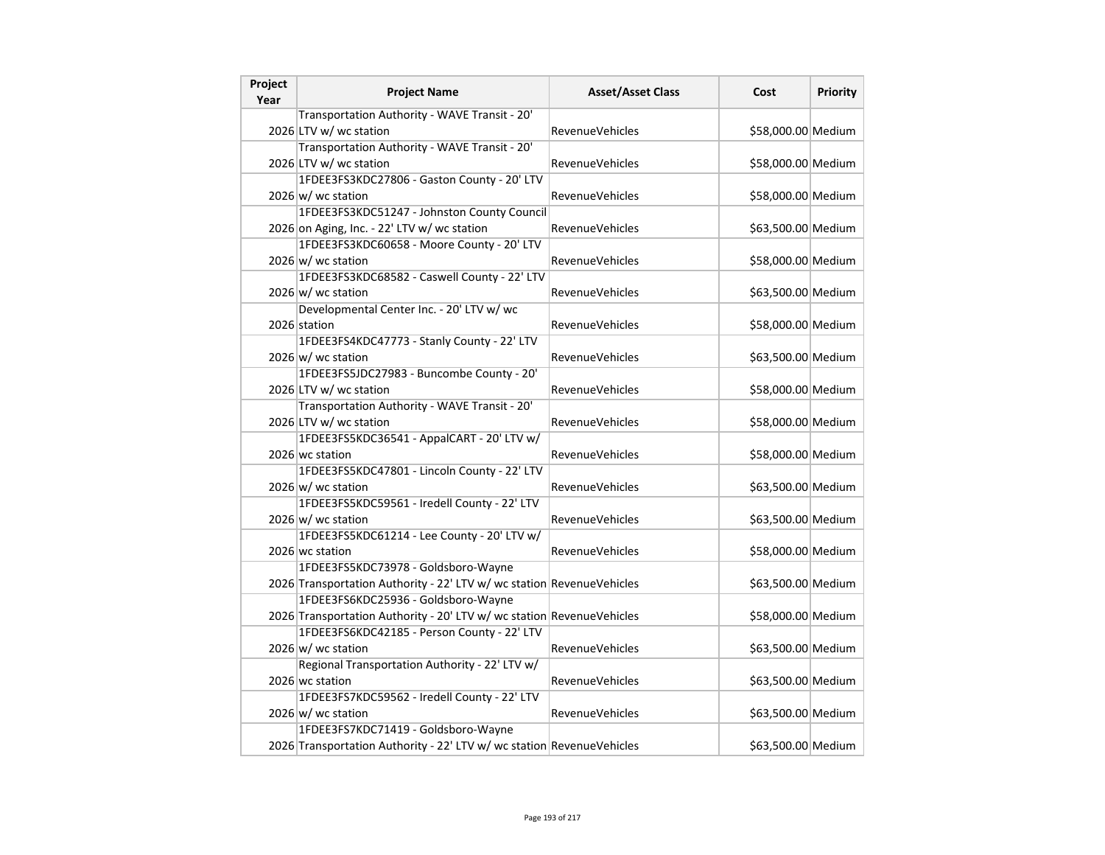| Project<br>Year | <b>Project Name</b>                                                   | <b>Asset/Asset Class</b> | Cost               | Priority |
|-----------------|-----------------------------------------------------------------------|--------------------------|--------------------|----------|
|                 | Transportation Authority - WAVE Transit - 20'                         |                          |                    |          |
|                 | 2026 LTV w/ wc station                                                | <b>RevenueVehicles</b>   | \$58,000.00 Medium |          |
|                 | Transportation Authority - WAVE Transit - 20'                         |                          |                    |          |
|                 | 2026 LTV w/ wc station                                                | RevenueVehicles          | \$58,000.00 Medium |          |
|                 | 1FDEE3FS3KDC27806 - Gaston County - 20' LTV                           |                          |                    |          |
|                 | 2026 w/ wc station                                                    | <b>RevenueVehicles</b>   | \$58,000.00 Medium |          |
|                 | 1FDEE3FS3KDC51247 - Johnston County Council                           |                          |                    |          |
|                 | 2026 on Aging, Inc. - 22' LTV w/ wc station                           | <b>RevenueVehicles</b>   | \$63,500.00 Medium |          |
|                 | 1FDEE3FS3KDC60658 - Moore County - 20' LTV                            |                          |                    |          |
|                 | $2026 \text{ w}$ wc station                                           | <b>RevenueVehicles</b>   | \$58,000.00 Medium |          |
|                 | 1FDEE3FS3KDC68582 - Caswell County - 22' LTV                          |                          |                    |          |
|                 | 2026 w/ wc station                                                    | RevenueVehicles          | \$63,500.00 Medium |          |
|                 | Developmental Center Inc. - 20' LTV w/ wc                             |                          |                    |          |
|                 | 2026 station                                                          | <b>RevenueVehicles</b>   | \$58,000.00 Medium |          |
|                 | 1FDEE3FS4KDC47773 - Stanly County - 22' LTV                           |                          |                    |          |
|                 | $2026 \, \vert \text{w}$ wc station                                   | RevenueVehicles          | \$63,500.00 Medium |          |
|                 | 1FDEE3FS5JDC27983 - Buncombe County - 20'                             |                          |                    |          |
|                 | 2026 LTV w/ wc station                                                | RevenueVehicles          | \$58,000.00 Medium |          |
|                 | Transportation Authority - WAVE Transit - 20'                         |                          |                    |          |
|                 | 2026 LTV w/ wc station                                                | RevenueVehicles          | \$58,000.00 Medium |          |
|                 | 1FDEE3FS5KDC36541 - AppalCART - 20' LTV w/                            |                          |                    |          |
|                 | 2026 wc station                                                       | RevenueVehicles          | \$58,000.00 Medium |          |
|                 | 1FDEE3FS5KDC47801 - Lincoln County - 22' LTV                          |                          |                    |          |
|                 | 2026 w/ wc station                                                    | <b>RevenueVehicles</b>   | \$63,500.00 Medium |          |
|                 | 1FDEE3FS5KDC59561 - Iredell County - 22' LTV                          |                          |                    |          |
|                 | $2026 \, \vert \text{w} / \text{wc}$ station                          | <b>RevenueVehicles</b>   | \$63,500.00 Medium |          |
|                 | 1FDEE3FS5KDC61214 - Lee County - 20' LTV w/                           |                          |                    |          |
|                 | 2026 wc station                                                       | RevenueVehicles          | \$58,000.00 Medium |          |
|                 | 1FDEE3FS5KDC73978 - Goldsboro-Wayne                                   |                          |                    |          |
|                 | 2026 Transportation Authority - 22' LTV w/ wc station RevenueVehicles |                          | \$63,500.00 Medium |          |
|                 | 1FDEE3FS6KDC25936 - Goldsboro-Wayne                                   |                          |                    |          |
|                 | 2026 Transportation Authority - 20' LTV w/ wc station RevenueVehicles |                          | \$58,000.00 Medium |          |
|                 | 1FDEE3FS6KDC42185 - Person County - 22' LTV                           |                          |                    |          |
|                 | $2026 \, \vert \text{w} / \text{wc}$ station                          | RevenueVehicles          | \$63,500.00 Medium |          |
|                 | Regional Transportation Authority - 22' LTV w/                        |                          |                    |          |
|                 | 2026 wc station                                                       | <b>RevenueVehicles</b>   | \$63,500.00 Medium |          |
|                 | 1FDEE3FS7KDC59562 - Iredell County - 22' LTV                          |                          |                    |          |
|                 | $2026 \text{ w}$ / wc station                                         | <b>RevenueVehicles</b>   | \$63,500.00 Medium |          |
|                 | 1FDEE3FS7KDC71419 - Goldsboro-Wayne                                   |                          |                    |          |
|                 | 2026 Transportation Authority - 22' LTV w/ wc station RevenueVehicles |                          | \$63,500.00 Medium |          |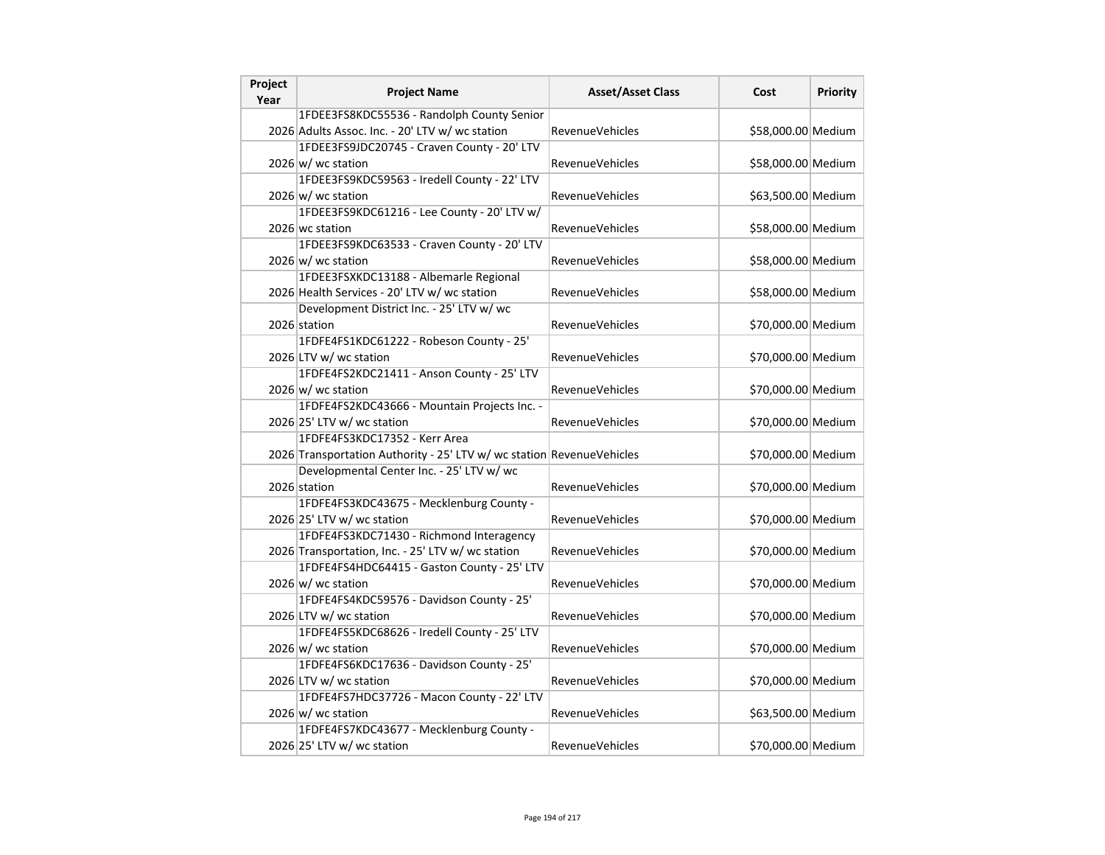| Project<br>Year | <b>Project Name</b>                                                   | <b>Asset/Asset Class</b> | Cost               | <b>Priority</b> |
|-----------------|-----------------------------------------------------------------------|--------------------------|--------------------|-----------------|
|                 | 1FDEE3FS8KDC55536 - Randolph County Senior                            |                          |                    |                 |
|                 | 2026 Adults Assoc. Inc. - 20' LTV w/ wc station                       | <b>RevenueVehicles</b>   | \$58,000.00 Medium |                 |
|                 | 1FDEE3FS9JDC20745 - Craven County - 20' LTV                           |                          |                    |                 |
|                 | $2026 \text{ w}$ / wc station                                         | RevenueVehicles          | \$58,000.00 Medium |                 |
|                 | 1FDEE3FS9KDC59563 - Iredell County - 22' LTV                          |                          |                    |                 |
|                 | 2026 w/ wc station                                                    | RevenueVehicles          | \$63,500.00 Medium |                 |
|                 | 1FDEE3FS9KDC61216 - Lee County - 20' LTV w/                           |                          |                    |                 |
|                 | 2026 wc station                                                       | <b>RevenueVehicles</b>   | \$58,000.00 Medium |                 |
|                 | 1FDEE3FS9KDC63533 - Craven County - 20' LTV                           |                          |                    |                 |
|                 | $2026 \, \vert \text{w}$ wc station                                   | <b>RevenueVehicles</b>   | \$58,000.00 Medium |                 |
|                 | 1FDEE3FSXKDC13188 - Albemarle Regional                                |                          |                    |                 |
|                 | 2026 Health Services - 20' LTV w/ wc station                          | RevenueVehicles          | \$58,000.00 Medium |                 |
|                 | Development District Inc. - 25' LTV w/ wc                             |                          |                    |                 |
|                 | 2026 station                                                          | RevenueVehicles          | \$70,000.00 Medium |                 |
|                 | 1FDFE4FS1KDC61222 - Robeson County - 25'                              |                          |                    |                 |
|                 | 2026 LTV w/ wc station                                                | <b>RevenueVehicles</b>   | \$70,000.00 Medium |                 |
|                 | 1FDFE4FS2KDC21411 - Anson County - 25' LTV                            |                          |                    |                 |
|                 | $2026 \text{ w}$ / wc station                                         | <b>RevenueVehicles</b>   | \$70,000.00 Medium |                 |
|                 | 1FDFE4FS2KDC43666 - Mountain Projects Inc. -                          |                          |                    |                 |
|                 | 2026 25' LTV w/ wc station                                            | RevenueVehicles          | \$70,000.00 Medium |                 |
|                 | 1FDFE4FS3KDC17352 - Kerr Area                                         |                          |                    |                 |
|                 | 2026 Transportation Authority - 25' LTV w/ wc station RevenueVehicles |                          | \$70,000.00 Medium |                 |
|                 | Developmental Center Inc. - 25' LTV w/ wc                             |                          |                    |                 |
|                 | 2026 station                                                          | <b>RevenueVehicles</b>   | \$70,000.00 Medium |                 |
|                 | 1FDFE4FS3KDC43675 - Mecklenburg County -                              |                          |                    |                 |
|                 | 2026 25' LTV w/ wc station                                            | RevenueVehicles          | \$70,000.00 Medium |                 |
|                 | 1FDFE4FS3KDC71430 - Richmond Interagency                              |                          |                    |                 |
|                 | 2026 Transportation, Inc. - 25' LTV w/ wc station                     | <b>RevenueVehicles</b>   | \$70,000.00 Medium |                 |
|                 | 1FDFE4FS4HDC64415 - Gaston County - 25' LTV                           |                          |                    |                 |
|                 | $2026 \text{ w}$ / wc station                                         | <b>RevenueVehicles</b>   | \$70,000.00 Medium |                 |
|                 | 1FDFE4FS4KDC59576 - Davidson County - 25'                             |                          |                    |                 |
|                 | 2026 LTV w/ wc station                                                | <b>RevenueVehicles</b>   | \$70,000.00 Medium |                 |
|                 | 1FDFE4FS5KDC68626 - Iredell County - 25' LTV                          |                          |                    |                 |
|                 | $2026 \text{ w}$ / wc station                                         | RevenueVehicles          | \$70,000.00 Medium |                 |
|                 | 1FDFE4FS6KDC17636 - Davidson County - 25'                             |                          |                    |                 |
|                 | 2026 LTV w/ wc station                                                | <b>RevenueVehicles</b>   | \$70,000.00 Medium |                 |
|                 | 1FDFE4FS7HDC37726 - Macon County - 22' LTV                            |                          |                    |                 |
|                 | $2026 \text{ w}$ / wc station                                         | <b>RevenueVehicles</b>   | \$63,500.00 Medium |                 |
|                 | 1FDFE4FS7KDC43677 - Mecklenburg County -                              |                          |                    |                 |
|                 | 2026 25' LTV w/ wc station                                            | RevenueVehicles          | \$70,000.00 Medium |                 |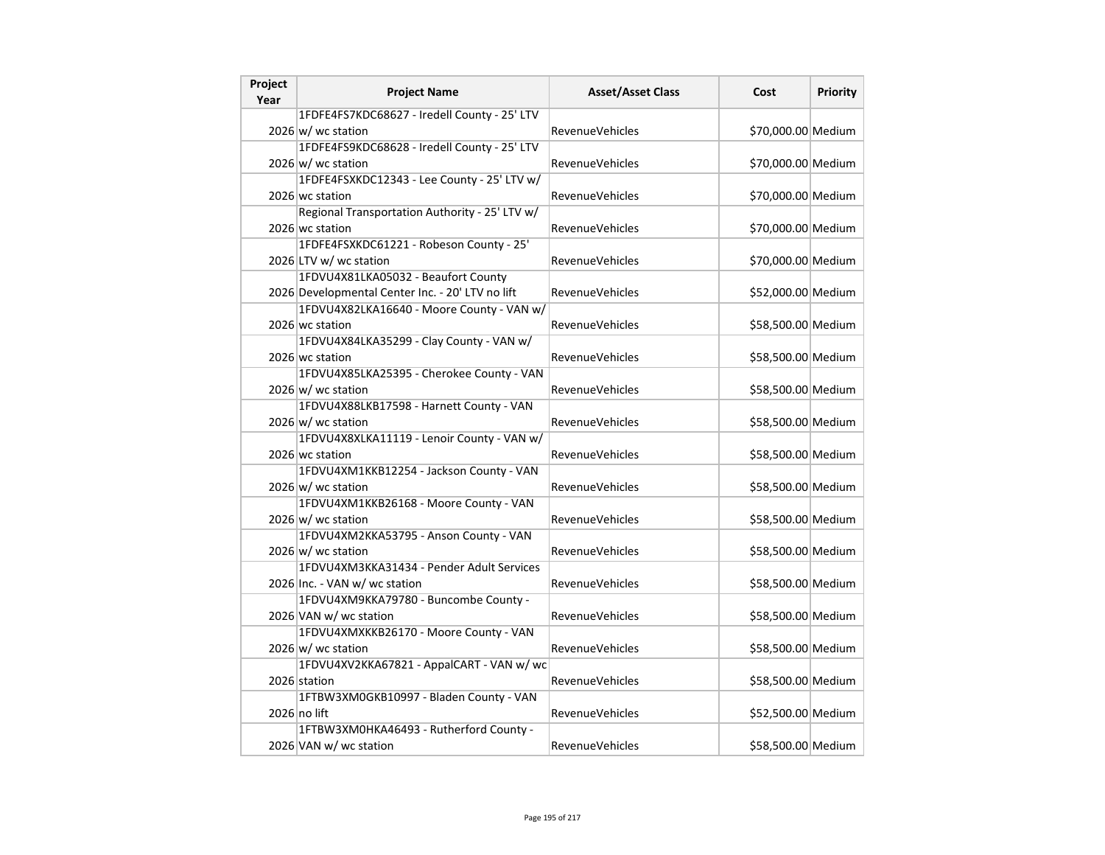| Project<br>Year | <b>Project Name</b>                              | <b>Asset/Asset Class</b> | Cost               | <b>Priority</b> |
|-----------------|--------------------------------------------------|--------------------------|--------------------|-----------------|
|                 | 1FDFE4FS7KDC68627 - Iredell County - 25' LTV     |                          |                    |                 |
|                 | 2026 w/ wc station                               | <b>RevenueVehicles</b>   | \$70,000.00 Medium |                 |
|                 | 1FDFE4FS9KDC68628 - Iredell County - 25' LTV     |                          |                    |                 |
|                 | $2026 \, \vert \text{w}$ wc station              | <b>RevenueVehicles</b>   | \$70,000.00 Medium |                 |
|                 | 1FDFE4FSXKDC12343 - Lee County - 25' LTV w/      |                          |                    |                 |
|                 | 2026 wc station                                  | <b>RevenueVehicles</b>   | \$70,000.00 Medium |                 |
|                 | Regional Transportation Authority - 25' LTV w/   |                          |                    |                 |
|                 | 2026 wc station                                  | RevenueVehicles          | \$70,000.00 Medium |                 |
|                 | 1FDFE4FSXKDC61221 - Robeson County - 25'         |                          |                    |                 |
|                 | 2026 LTV w/ wc station                           | <b>RevenueVehicles</b>   | \$70,000.00 Medium |                 |
|                 | 1FDVU4X81LKA05032 - Beaufort County              |                          |                    |                 |
|                 | 2026 Developmental Center Inc. - 20' LTV no lift | <b>RevenueVehicles</b>   | \$52,000.00 Medium |                 |
|                 | 1FDVU4X82LKA16640 - Moore County - VAN w/        |                          |                    |                 |
|                 | 2026 wc station                                  | RevenueVehicles          | \$58,500.00 Medium |                 |
|                 | 1FDVU4X84LKA35299 - Clay County - VAN w/         |                          |                    |                 |
|                 | 2026 wc station                                  | <b>RevenueVehicles</b>   | \$58,500.00 Medium |                 |
|                 | 1FDVU4X85LKA25395 - Cherokee County - VAN        |                          |                    |                 |
|                 | $2026 \text{ w}$ wc station                      | <b>RevenueVehicles</b>   | \$58,500.00 Medium |                 |
|                 | 1FDVU4X88LKB17598 - Harnett County - VAN         |                          |                    |                 |
|                 | $2026 \text{ w}$ / wc station                    | <b>RevenueVehicles</b>   | \$58,500.00 Medium |                 |
|                 | 1FDVU4X8XLKA11119 - Lenoir County - VAN w/       |                          |                    |                 |
|                 | 2026 wc station                                  | <b>RevenueVehicles</b>   | \$58,500.00 Medium |                 |
|                 | 1FDVU4XM1KKB12254 - Jackson County - VAN         |                          |                    |                 |
|                 | 2026 w/ wc station                               | <b>RevenueVehicles</b>   | \$58,500.00 Medium |                 |
|                 | 1FDVU4XM1KKB26168 - Moore County - VAN           |                          |                    |                 |
|                 | $2026 \text{ w}$ / wc station                    | <b>RevenueVehicles</b>   | \$58,500.00 Medium |                 |
|                 | 1FDVU4XM2KKA53795 - Anson County - VAN           |                          |                    |                 |
|                 | $2026 \text{ w}$ / wc station                    | <b>RevenueVehicles</b>   | \$58,500.00 Medium |                 |
|                 | 1FDVU4XM3KKA31434 - Pender Adult Services        |                          |                    |                 |
|                 | 2026 Inc. - VAN w/ wc station                    | <b>RevenueVehicles</b>   | \$58,500.00 Medium |                 |
|                 | 1FDVU4XM9KKA79780 - Buncombe County -            |                          |                    |                 |
|                 | 2026 VAN w/ wc station                           | <b>RevenueVehicles</b>   | \$58,500.00 Medium |                 |
|                 | 1FDVU4XMXKKB26170 - Moore County - VAN           |                          |                    |                 |
|                 | $2026 \, \text{w}$ wc station                    | <b>RevenueVehicles</b>   | \$58,500.00 Medium |                 |
|                 | 1FDVU4XV2KKA67821 - AppalCART - VAN w/ wc        |                          |                    |                 |
|                 | 2026 station                                     | <b>RevenueVehicles</b>   | \$58,500.00 Medium |                 |
|                 | 1FTBW3XM0GKB10997 - Bladen County - VAN          |                          |                    |                 |
|                 | 2026 no lift                                     | <b>RevenueVehicles</b>   | \$52,500.00 Medium |                 |
|                 | 1FTBW3XM0HKA46493 - Rutherford County -          |                          |                    |                 |
|                 | 2026 VAN w/ wc station                           | <b>RevenueVehicles</b>   | \$58,500.00 Medium |                 |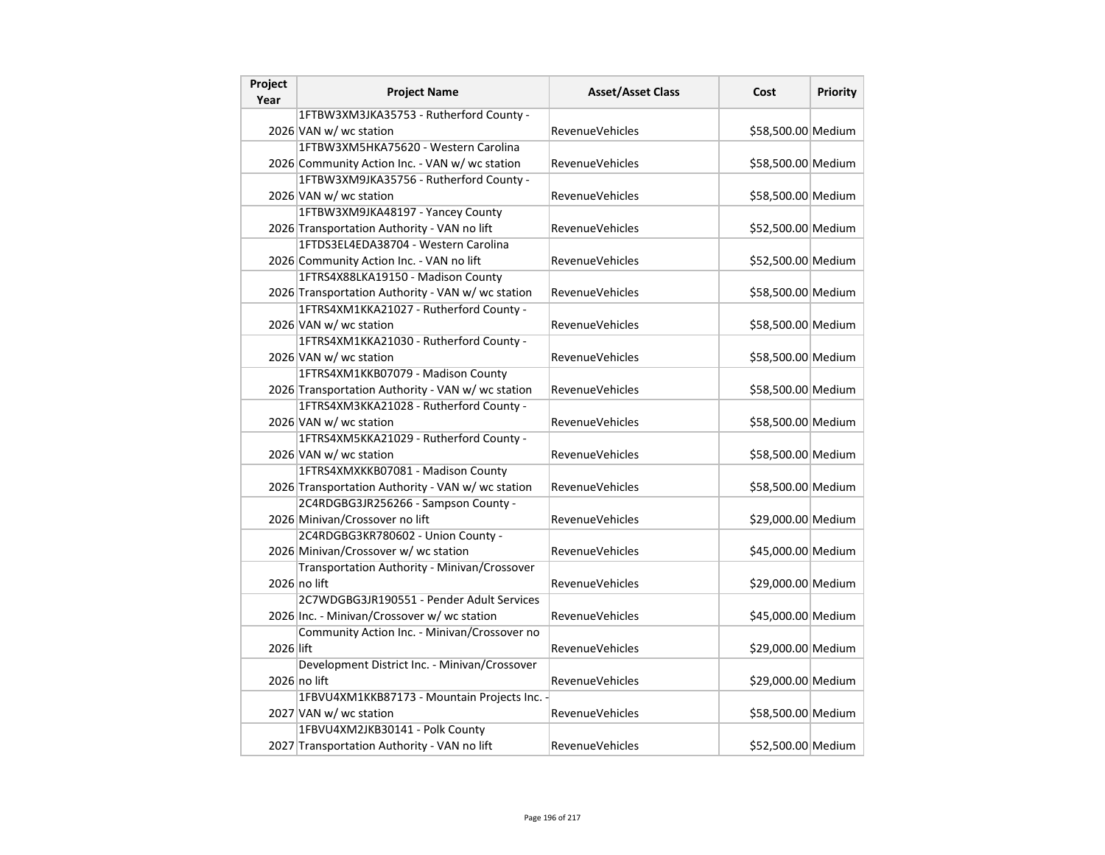| Project<br>Year | <b>Project Name</b>                               | <b>Asset/Asset Class</b> | Cost               | Priority |
|-----------------|---------------------------------------------------|--------------------------|--------------------|----------|
|                 | 1FTBW3XM3JKA35753 - Rutherford County -           |                          |                    |          |
|                 | 2026 VAN w/ wc station                            | RevenueVehicles          | \$58,500.00 Medium |          |
|                 | 1FTBW3XM5HKA75620 - Western Carolina              |                          |                    |          |
|                 | 2026 Community Action Inc. - VAN w/ wc station    | <b>RevenueVehicles</b>   | \$58,500.00 Medium |          |
|                 | 1FTBW3XM9JKA35756 - Rutherford County -           |                          |                    |          |
|                 | 2026 VAN w/ wc station                            | <b>RevenueVehicles</b>   | \$58,500.00 Medium |          |
|                 | 1FTBW3XM9JKA48197 - Yancey County                 |                          |                    |          |
|                 | 2026 Transportation Authority - VAN no lift       | RevenueVehicles          | \$52,500.00 Medium |          |
|                 | 1FTDS3EL4EDA38704 - Western Carolina              |                          |                    |          |
|                 | 2026 Community Action Inc. - VAN no lift          | RevenueVehicles          | \$52,500.00 Medium |          |
|                 | 1FTRS4X88LKA19150 - Madison County                |                          |                    |          |
|                 | 2026 Transportation Authority - VAN w/wc station  | <b>RevenueVehicles</b>   | \$58,500.00 Medium |          |
|                 | 1FTRS4XM1KKA21027 - Rutherford County -           |                          |                    |          |
|                 | 2026 VAN w/ wc station                            | <b>RevenueVehicles</b>   | \$58,500.00 Medium |          |
|                 | 1FTRS4XM1KKA21030 - Rutherford County -           |                          |                    |          |
|                 | 2026 VAN w/ wc station                            | <b>RevenueVehicles</b>   | \$58,500.00 Medium |          |
|                 | 1FTRS4XM1KKB07079 - Madison County                |                          |                    |          |
|                 | 2026 Transportation Authority - VAN w/ wc station | RevenueVehicles          | \$58,500.00 Medium |          |
|                 | 1FTRS4XM3KKA21028 - Rutherford County -           |                          |                    |          |
|                 | 2026 VAN w/ wc station                            | <b>RevenueVehicles</b>   | \$58,500.00 Medium |          |
|                 | 1FTRS4XM5KKA21029 - Rutherford County -           |                          |                    |          |
|                 | 2026 VAN w/ wc station                            | <b>RevenueVehicles</b>   | \$58,500.00 Medium |          |
|                 | 1FTRS4XMXKKB07081 - Madison County                |                          |                    |          |
|                 | 2026 Transportation Authority - VAN w/ wc station | <b>RevenueVehicles</b>   | \$58,500.00 Medium |          |
|                 | 2C4RDGBG3JR256266 - Sampson County -              |                          |                    |          |
|                 | 2026 Minivan/Crossover no lift                    | RevenueVehicles          | \$29,000.00 Medium |          |
|                 | 2C4RDGBG3KR780602 - Union County -                |                          |                    |          |
|                 | 2026 Minivan/Crossover w/ wc station              | <b>RevenueVehicles</b>   | \$45,000.00 Medium |          |
|                 | Transportation Authority - Minivan/Crossover      |                          |                    |          |
|                 | 2026 no lift                                      | <b>RevenueVehicles</b>   | \$29,000.00 Medium |          |
|                 | 2C7WDGBG3JR190551 - Pender Adult Services         |                          |                    |          |
|                 | 2026 Inc. - Minivan/Crossover w/ wc station       | <b>RevenueVehicles</b>   | \$45,000.00 Medium |          |
|                 | Community Action Inc. - Minivan/Crossover no      |                          |                    |          |
| 2026 lift       |                                                   | RevenueVehicles          | \$29,000.00 Medium |          |
|                 | Development District Inc. - Minivan/Crossover     |                          |                    |          |
|                 | 2026 no lift                                      | RevenueVehicles          | \$29,000.00 Medium |          |
|                 | 1FBVU4XM1KKB87173 - Mountain Projects Inc. -      |                          |                    |          |
|                 | 2027 VAN w/ wc station                            | <b>RevenueVehicles</b>   | \$58,500.00 Medium |          |
|                 | 1FBVU4XM2JKB30141 - Polk County                   |                          |                    |          |
|                 | 2027 Transportation Authority - VAN no lift       | RevenueVehicles          | \$52,500.00 Medium |          |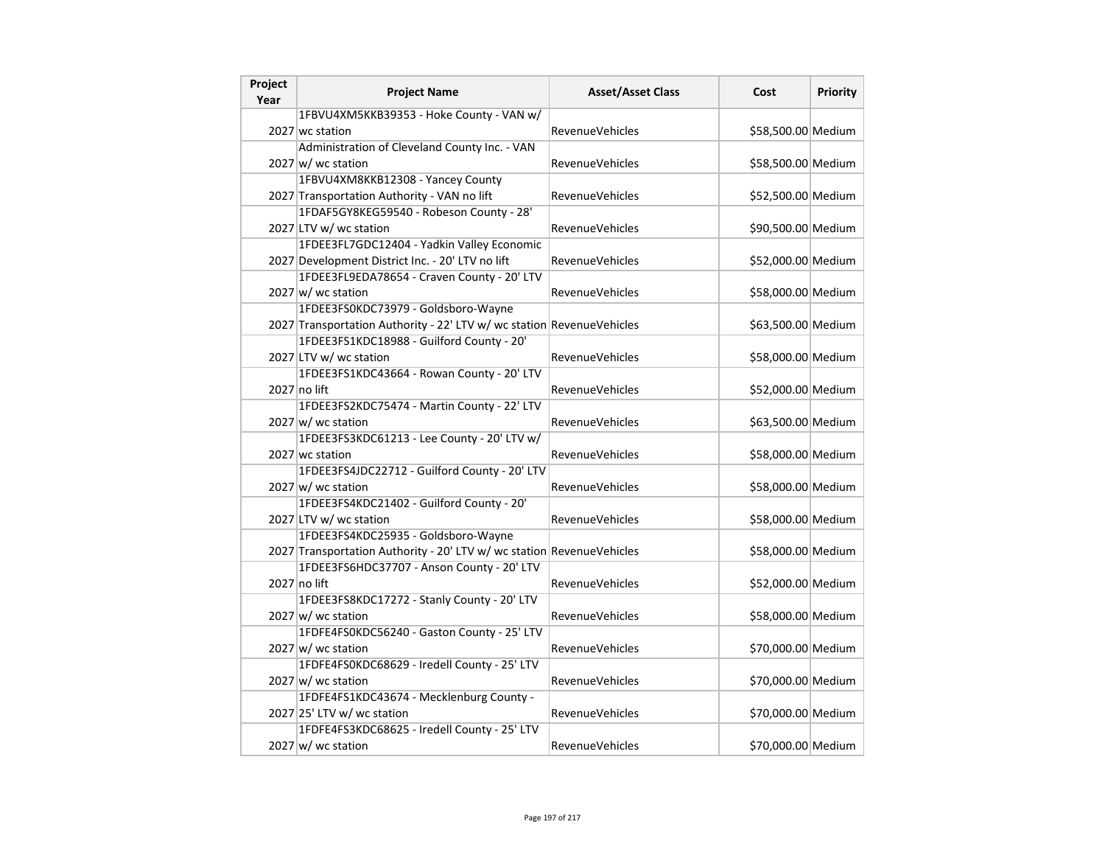| Project<br>Year | <b>Project Name</b>                                                   | <b>Asset/Asset Class</b> | Cost               | <b>Priority</b> |
|-----------------|-----------------------------------------------------------------------|--------------------------|--------------------|-----------------|
|                 | 1FBVU4XM5KKB39353 - Hoke County - VAN w/                              |                          |                    |                 |
|                 | 2027 wc station                                                       | <b>RevenueVehicles</b>   | \$58,500.00 Medium |                 |
|                 | Administration of Cleveland County Inc. - VAN                         |                          |                    |                 |
|                 | 2027 w/ wc station                                                    | <b>RevenueVehicles</b>   | \$58,500.00 Medium |                 |
|                 | 1FBVU4XM8KKB12308 - Yancey County                                     |                          |                    |                 |
|                 | 2027 Transportation Authority - VAN no lift                           | RevenueVehicles          | \$52,500.00 Medium |                 |
|                 | 1FDAF5GY8KEG59540 - Robeson County - 28'                              |                          |                    |                 |
|                 | 2027 LTV w/ wc station                                                | <b>RevenueVehicles</b>   | \$90,500.00 Medium |                 |
|                 | 1FDEE3FL7GDC12404 - Yadkin Valley Economic                            |                          |                    |                 |
|                 | 2027 Development District Inc. - 20' LTV no lift                      | <b>RevenueVehicles</b>   | \$52,000.00 Medium |                 |
|                 | 1FDEE3FL9EDA78654 - Craven County - 20' LTV                           |                          |                    |                 |
|                 | $2027$ w/ wc station                                                  | <b>RevenueVehicles</b>   | \$58,000.00 Medium |                 |
|                 | 1FDEE3FS0KDC73979 - Goldsboro-Wayne                                   |                          |                    |                 |
|                 | 2027 Transportation Authority - 22' LTV w/ wc station RevenueVehicles |                          | \$63,500.00 Medium |                 |
|                 | 1FDEE3FS1KDC18988 - Guilford County - 20'                             |                          |                    |                 |
|                 | 2027 LTV w/ wc station                                                | <b>RevenueVehicles</b>   | \$58,000.00 Medium |                 |
|                 | 1FDEE3FS1KDC43664 - Rowan County - 20' LTV                            |                          |                    |                 |
|                 | 2027 no lift                                                          | <b>RevenueVehicles</b>   | \$52,000.00 Medium |                 |
|                 | 1FDEE3FS2KDC75474 - Martin County - 22' LTV                           |                          |                    |                 |
|                 | 2027 w/ wc station                                                    | <b>RevenueVehicles</b>   | \$63,500.00 Medium |                 |
|                 | 1FDEE3FS3KDC61213 - Lee County - 20' LTV w/                           |                          |                    |                 |
|                 | 2027 wc station                                                       | <b>RevenueVehicles</b>   | \$58,000.00 Medium |                 |
|                 | 1FDEE3FS4JDC22712 - Guilford County - 20' LTV                         |                          |                    |                 |
|                 | $2027 \text{w}$ / wc station                                          | RevenueVehicles          | \$58,000.00 Medium |                 |
|                 | 1FDEE3FS4KDC21402 - Guilford County - 20'                             |                          |                    |                 |
|                 | 2027 LTV w/ wc station                                                | <b>RevenueVehicles</b>   | \$58,000.00 Medium |                 |
|                 | 1FDEE3FS4KDC25935 - Goldsboro-Wayne                                   |                          |                    |                 |
|                 | 2027 Transportation Authority - 20' LTV w/ wc station RevenueVehicles |                          | \$58,000.00 Medium |                 |
|                 | 1FDEE3FS6HDC37707 - Anson County - 20' LTV                            |                          |                    |                 |
|                 | 2027 no lift                                                          | <b>RevenueVehicles</b>   | \$52,000.00 Medium |                 |
|                 | 1FDEE3FS8KDC17272 - Stanly County - 20' LTV                           |                          |                    |                 |
|                 | 2027 w/ wc station                                                    | <b>RevenueVehicles</b>   | \$58,000.00 Medium |                 |
|                 | 1FDFE4FS0KDC56240 - Gaston County - 25' LTV                           |                          |                    |                 |
|                 | 2027 w/ wc station                                                    | <b>RevenueVehicles</b>   | \$70,000.00 Medium |                 |
|                 | 1FDFE4FS0KDC68629 - Iredell County - 25' LTV                          |                          |                    |                 |
|                 | $2027 \text{ w/m}$ wc station                                         | <b>RevenueVehicles</b>   | \$70,000.00 Medium |                 |
|                 | 1FDFE4FS1KDC43674 - Mecklenburg County -                              |                          |                    |                 |
|                 | 2027 25' LTV w/ wc station                                            | <b>RevenueVehicles</b>   | \$70,000.00 Medium |                 |
|                 | 1FDFE4FS3KDC68625 - Iredell County - 25' LTV                          |                          |                    |                 |
|                 | 2027 w/ wc station                                                    | <b>RevenueVehicles</b>   | \$70,000.00 Medium |                 |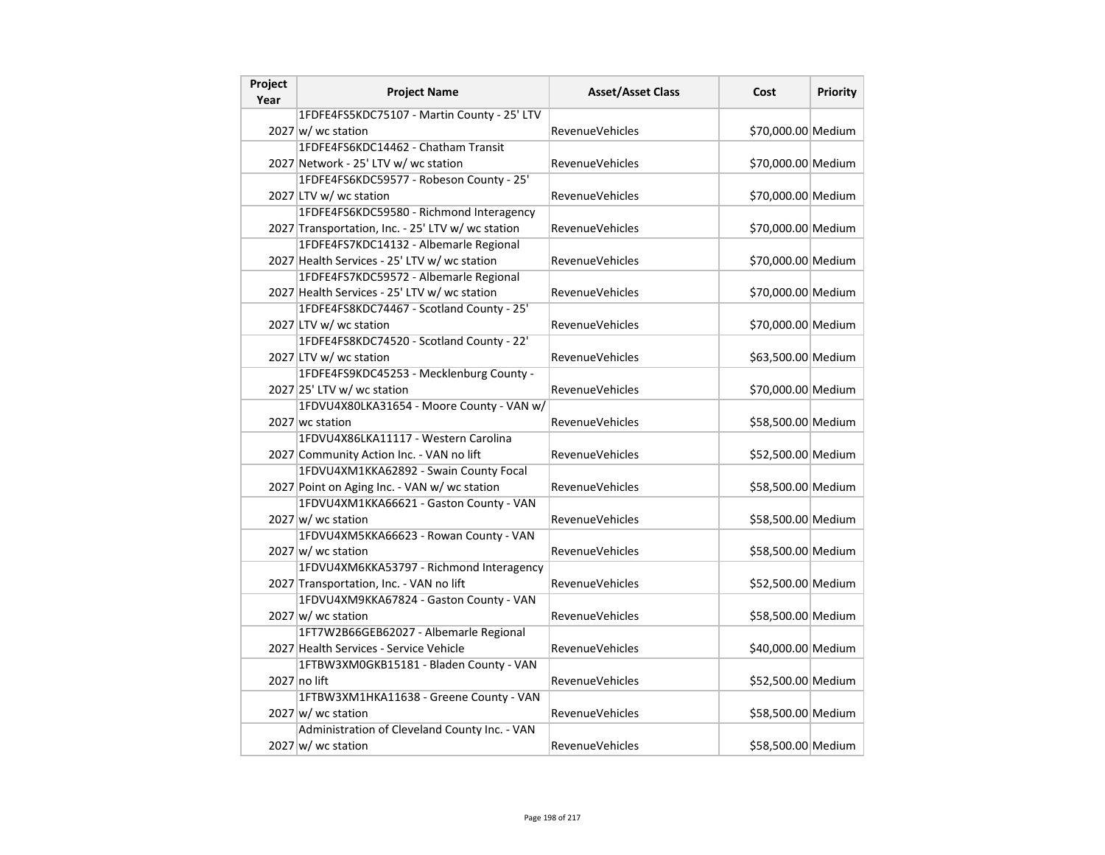| Project<br>Year | <b>Project Name</b>                               | <b>Asset/Asset Class</b> | Cost               | <b>Priority</b> |
|-----------------|---------------------------------------------------|--------------------------|--------------------|-----------------|
|                 | 1FDFE4FS5KDC75107 - Martin County - 25' LTV       |                          |                    |                 |
|                 | 2027 w/ wc station                                | <b>RevenueVehicles</b>   | \$70,000.00 Medium |                 |
|                 | 1FDFE4FS6KDC14462 - Chatham Transit               |                          |                    |                 |
|                 | 2027 Network - 25' LTV w/ wc station              | <b>RevenueVehicles</b>   | \$70,000.00 Medium |                 |
|                 | 1FDFE4FS6KDC59577 - Robeson County - 25'          |                          |                    |                 |
|                 | 2027 LTV w/ wc station                            | <b>RevenueVehicles</b>   | \$70,000.00 Medium |                 |
|                 | 1FDFE4FS6KDC59580 - Richmond Interagency          |                          |                    |                 |
|                 | 2027 Transportation, Inc. - 25' LTV w/ wc station | RevenueVehicles          | \$70,000.00 Medium |                 |
|                 | 1FDFE4FS7KDC14132 - Albemarle Regional            |                          |                    |                 |
|                 | 2027 Health Services - 25' LTV w/ wc station      | <b>RevenueVehicles</b>   | \$70,000.00 Medium |                 |
|                 | 1FDFE4FS7KDC59572 - Albemarle Regional            |                          |                    |                 |
|                 | 2027 Health Services - 25' LTV w/ wc station      | <b>RevenueVehicles</b>   | \$70,000.00 Medium |                 |
|                 | 1FDFE4FS8KDC74467 - Scotland County - 25'         |                          |                    |                 |
|                 | 2027 LTV w/ wc station                            | <b>RevenueVehicles</b>   | \$70,000.00 Medium |                 |
|                 | 1FDFE4FS8KDC74520 - Scotland County - 22'         |                          |                    |                 |
|                 | 2027 LTV w/ wc station                            | <b>RevenueVehicles</b>   | \$63,500.00 Medium |                 |
|                 | 1FDFE4FS9KDC45253 - Mecklenburg County -          |                          |                    |                 |
|                 | 2027 25' LTV w/ wc station                        | <b>RevenueVehicles</b>   | \$70,000.00 Medium |                 |
|                 | 1FDVU4X80LKA31654 - Moore County - VAN w/         |                          |                    |                 |
|                 | 2027 wc station                                   | <b>RevenueVehicles</b>   | \$58,500.00 Medium |                 |
|                 | 1FDVU4X86LKA11117 - Western Carolina              |                          |                    |                 |
|                 | 2027 Community Action Inc. - VAN no lift          | <b>RevenueVehicles</b>   | \$52,500.00 Medium |                 |
|                 | 1FDVU4XM1KKA62892 - Swain County Focal            |                          |                    |                 |
|                 | 2027 Point on Aging Inc. - VAN w/ wc station      | <b>RevenueVehicles</b>   | \$58,500.00 Medium |                 |
|                 | 1FDVU4XM1KKA66621 - Gaston County - VAN           |                          |                    |                 |
|                 | $2027 \text{ w}$ / wc station                     | <b>RevenueVehicles</b>   | \$58,500.00 Medium |                 |
|                 | 1FDVU4XM5KKA66623 - Rowan County - VAN            |                          |                    |                 |
|                 | 2027 w/ wc station                                | RevenueVehicles          | \$58,500.00 Medium |                 |
|                 | 1FDVU4XM6KKA53797 - Richmond Interagency          |                          |                    |                 |
|                 | 2027 Transportation, Inc. - VAN no lift           | <b>RevenueVehicles</b>   | \$52,500.00 Medium |                 |
|                 | 1FDVU4XM9KKA67824 - Gaston County - VAN           |                          |                    |                 |
|                 | $2027 \text{ w}$ / wc station                     | <b>RevenueVehicles</b>   | \$58,500.00 Medium |                 |
|                 | 1FT7W2B66GEB62027 - Albemarle Regional            |                          |                    |                 |
|                 | 2027 Health Services - Service Vehicle            | <b>RevenueVehicles</b>   | \$40,000.00 Medium |                 |
|                 | 1FTBW3XM0GKB15181 - Bladen County - VAN           |                          |                    |                 |
|                 | $2027$ no lift                                    | <b>RevenueVehicles</b>   | \$52,500.00 Medium |                 |
|                 | 1FTBW3XM1HKA11638 - Greene County - VAN           |                          |                    |                 |
|                 | 2027 w/ wc station                                | <b>RevenueVehicles</b>   | \$58,500.00 Medium |                 |
|                 | Administration of Cleveland County Inc. - VAN     |                          |                    |                 |
|                 | 2027 w/ wc station                                | <b>RevenueVehicles</b>   | \$58,500.00 Medium |                 |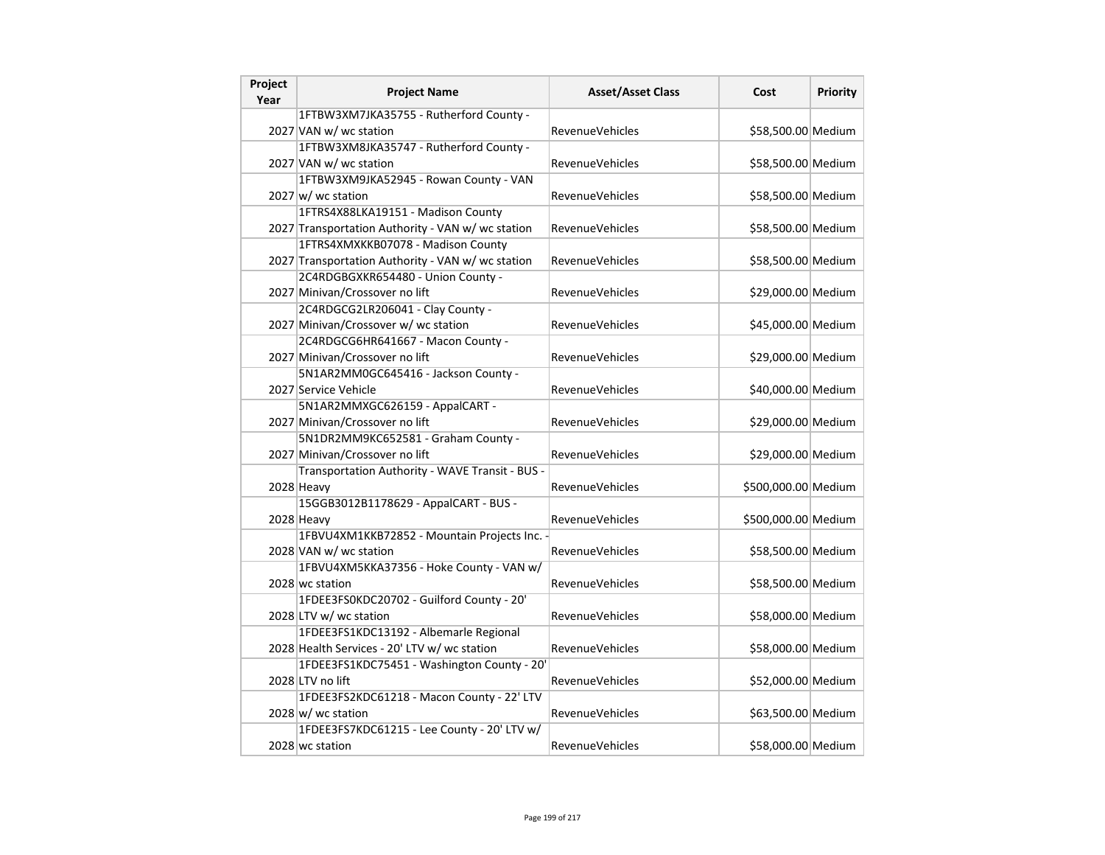| Project | <b>Project Name</b>                               | <b>Asset/Asset Class</b> | Cost                | Priority |
|---------|---------------------------------------------------|--------------------------|---------------------|----------|
| Year    |                                                   |                          |                     |          |
|         | 1FTBW3XM7JKA35755 - Rutherford County -           |                          |                     |          |
|         | 2027 VAN w/ wc station                            | <b>RevenueVehicles</b>   | \$58,500.00 Medium  |          |
|         | 1FTBW3XM8JKA35747 - Rutherford County -           |                          |                     |          |
|         | 2027 VAN w/ wc station                            | <b>RevenueVehicles</b>   | \$58,500.00 Medium  |          |
|         | 1FTBW3XM9JKA52945 - Rowan County - VAN            |                          |                     |          |
|         | $2027 \vert w \vert$ wc station                   | RevenueVehicles          | \$58,500.00 Medium  |          |
|         | 1FTRS4X88LKA19151 - Madison County                |                          |                     |          |
|         | 2027 Transportation Authority - VAN w/ wc station | RevenueVehicles          | \$58,500.00 Medium  |          |
|         | 1FTRS4XMXKKB07078 - Madison County                |                          |                     |          |
|         | 2027 Transportation Authority - VAN w/wc station  | RevenueVehicles          | \$58,500.00 Medium  |          |
|         | 2C4RDGBGXKR654480 - Union County -                |                          |                     |          |
|         | 2027 Minivan/Crossover no lift                    | <b>RevenueVehicles</b>   | \$29,000.00 Medium  |          |
|         | 2C4RDGCG2LR206041 - Clay County -                 |                          |                     |          |
|         | 2027 Minivan/Crossover w/ wc station              | RevenueVehicles          | \$45,000.00 Medium  |          |
|         | 2C4RDGCG6HR641667 - Macon County -                |                          |                     |          |
|         | 2027 Minivan/Crossover no lift                    | <b>RevenueVehicles</b>   | \$29,000.00 Medium  |          |
|         | 5N1AR2MM0GC645416 - Jackson County -              |                          |                     |          |
|         | 2027 Service Vehicle                              | <b>RevenueVehicles</b>   | \$40,000.00 Medium  |          |
|         | 5N1AR2MMXGC626159 - AppalCART -                   |                          |                     |          |
|         | 2027 Minivan/Crossover no lift                    | RevenueVehicles          | \$29,000.00 Medium  |          |
|         | 5N1DR2MM9KC652581 - Graham County -               |                          |                     |          |
|         | 2027 Minivan/Crossover no lift                    | RevenueVehicles          | \$29,000.00 Medium  |          |
|         | Transportation Authority - WAVE Transit - BUS -   |                          |                     |          |
|         | 2028 Heavy                                        | <b>RevenueVehicles</b>   | \$500,000.00 Medium |          |
|         | 15GGB3012B1178629 - AppalCART - BUS -             |                          |                     |          |
|         | 2028 Heavy                                        | <b>RevenueVehicles</b>   | \$500,000.00 Medium |          |
|         | 1FBVU4XM1KKB72852 - Mountain Projects Inc. -      |                          |                     |          |
|         | 2028 VAN w/ wc station                            | <b>RevenueVehicles</b>   | \$58,500.00 Medium  |          |
|         | 1FBVU4XM5KKA37356 - Hoke County - VAN w/          |                          |                     |          |
|         | 2028 wc station                                   | <b>RevenueVehicles</b>   | \$58,500.00 Medium  |          |
|         | 1FDEE3FS0KDC20702 - Guilford County - 20'         |                          |                     |          |
|         | 2028 LTV w/ wc station                            | <b>RevenueVehicles</b>   | \$58,000.00 Medium  |          |
|         | 1FDEE3FS1KDC13192 - Albemarle Regional            |                          |                     |          |
|         | 2028 Health Services - 20' LTV w/ wc station      | RevenueVehicles          | \$58,000.00 Medium  |          |
|         | 1FDEE3FS1KDC75451 - Washington County - 20'       |                          |                     |          |
|         | 2028 LTV no lift                                  | RevenueVehicles          | \$52,000.00 Medium  |          |
|         | 1FDEE3FS2KDC61218 - Macon County - 22' LTV        |                          |                     |          |
|         | 2028 w/ wc station                                | <b>RevenueVehicles</b>   |                     |          |
|         |                                                   |                          | \$63,500.00 Medium  |          |
|         | 1FDEE3FS7KDC61215 - Lee County - 20' LTV w/       |                          |                     |          |
|         | 2028 wc station                                   | <b>RevenueVehicles</b>   | \$58,000.00 Medium  |          |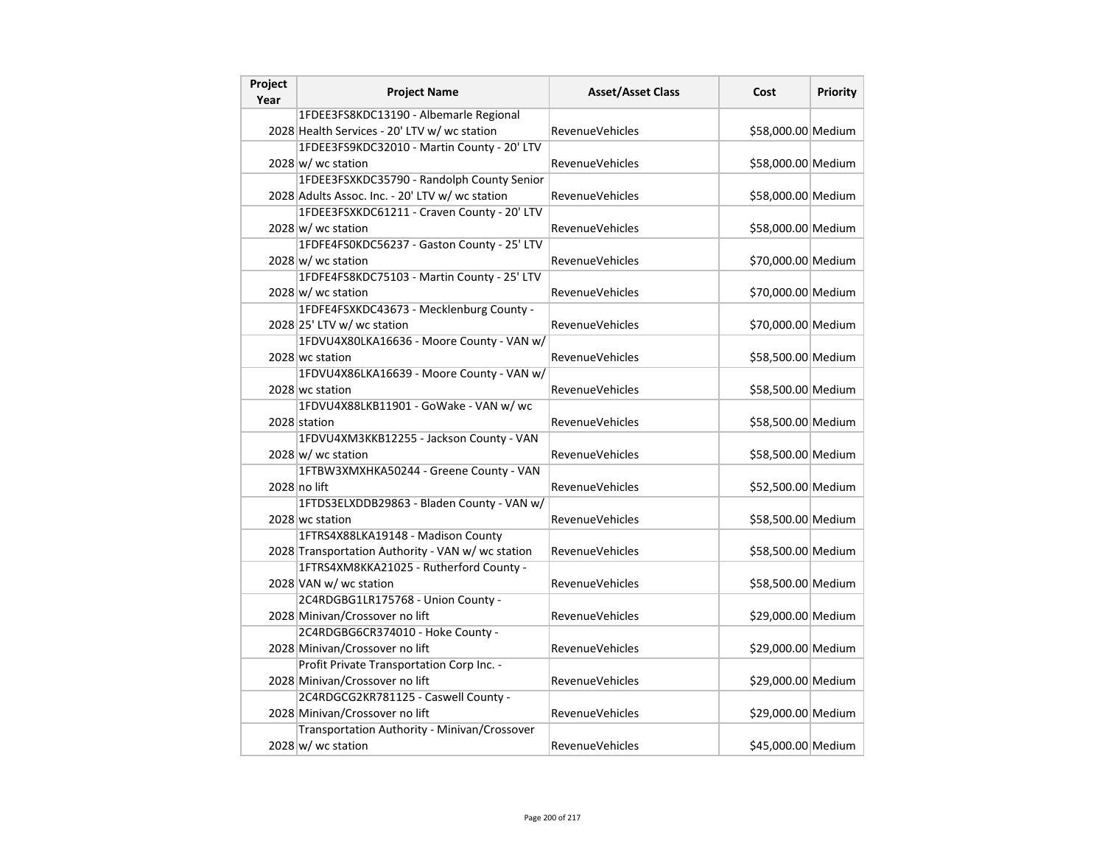| Project<br>Year | <b>Project Name</b>                               | <b>Asset/Asset Class</b> | Cost               | <b>Priority</b> |
|-----------------|---------------------------------------------------|--------------------------|--------------------|-----------------|
|                 | 1FDEE3FS8KDC13190 - Albemarle Regional            |                          |                    |                 |
|                 | 2028 Health Services - 20' LTV w/ wc station      | <b>RevenueVehicles</b>   | \$58,000.00 Medium |                 |
|                 | 1FDEE3FS9KDC32010 - Martin County - 20' LTV       |                          |                    |                 |
|                 | $2028 \text{ w}$ / wc station                     | <b>RevenueVehicles</b>   | \$58,000.00 Medium |                 |
|                 | 1FDEE3FSXKDC35790 - Randolph County Senior        |                          |                    |                 |
|                 | 2028 Adults Assoc. Inc. - 20' LTV w/ wc station   | RevenueVehicles          | \$58,000.00 Medium |                 |
|                 | 1FDEE3FSXKDC61211 - Craven County - 20' LTV       |                          |                    |                 |
|                 | 2028 w/ wc station                                | RevenueVehicles          | \$58,000.00 Medium |                 |
|                 | 1FDFE4FS0KDC56237 - Gaston County - 25' LTV       |                          |                    |                 |
|                 | 2028 w/ wc station                                | <b>RevenueVehicles</b>   | \$70,000.00 Medium |                 |
|                 | 1FDFE4FS8KDC75103 - Martin County - 25' LTV       |                          |                    |                 |
|                 | 2028 w/ wc station                                | <b>RevenueVehicles</b>   | \$70,000.00 Medium |                 |
|                 | 1FDFE4FSXKDC43673 - Mecklenburg County -          |                          |                    |                 |
|                 | 2028 25' LTV w/ wc station                        | <b>RevenueVehicles</b>   | \$70,000.00 Medium |                 |
|                 | 1FDVU4X80LKA16636 - Moore County - VAN w/         |                          |                    |                 |
|                 | 2028 wc station                                   | <b>RevenueVehicles</b>   | \$58,500.00 Medium |                 |
|                 | 1FDVU4X86LKA16639 - Moore County - VAN w/         |                          |                    |                 |
|                 | 2028 wc station                                   | <b>RevenueVehicles</b>   | \$58,500.00 Medium |                 |
|                 | 1FDVU4X88LKB11901 - GoWake - VAN w/ wc            |                          |                    |                 |
|                 | 2028 station                                      | <b>RevenueVehicles</b>   | \$58,500.00 Medium |                 |
|                 | 1FDVU4XM3KKB12255 - Jackson County - VAN          |                          |                    |                 |
|                 | $2028 \text{ w}$ / wc station                     | <b>RevenueVehicles</b>   | \$58,500.00 Medium |                 |
|                 | 1FTBW3XMXHKA50244 - Greene County - VAN           |                          |                    |                 |
|                 | 2028 no lift                                      | <b>RevenueVehicles</b>   | \$52,500.00 Medium |                 |
|                 | 1FTDS3ELXDDB29863 - Bladen County - VAN w/        |                          |                    |                 |
|                 | 2028 wc station                                   | <b>RevenueVehicles</b>   | \$58,500.00 Medium |                 |
|                 | 1FTRS4X88LKA19148 - Madison County                |                          |                    |                 |
|                 | 2028 Transportation Authority - VAN w/ wc station | <b>RevenueVehicles</b>   | \$58,500.00 Medium |                 |
|                 | 1FTRS4XM8KKA21025 - Rutherford County -           |                          |                    |                 |
|                 | 2028 VAN w/ wc station                            | <b>RevenueVehicles</b>   | \$58,500.00 Medium |                 |
|                 | 2C4RDGBG1LR175768 - Union County -                |                          |                    |                 |
|                 | 2028 Minivan/Crossover no lift                    | <b>RevenueVehicles</b>   | \$29,000.00 Medium |                 |
|                 | 2C4RDGBG6CR374010 - Hoke County -                 |                          |                    |                 |
|                 | 2028 Minivan/Crossover no lift                    | RevenueVehicles          | \$29,000.00 Medium |                 |
|                 | Profit Private Transportation Corp Inc. -         |                          |                    |                 |
|                 | 2028 Minivan/Crossover no lift                    | RevenueVehicles          | \$29,000.00 Medium |                 |
|                 | 2C4RDGCG2KR781125 - Caswell County -              |                          |                    |                 |
|                 | 2028 Minivan/Crossover no lift                    | <b>RevenueVehicles</b>   | \$29,000.00 Medium |                 |
|                 | Transportation Authority - Minivan/Crossover      |                          |                    |                 |
|                 | $2028 \, \text{w}$ / wc station                   | RevenueVehicles          | \$45,000.00 Medium |                 |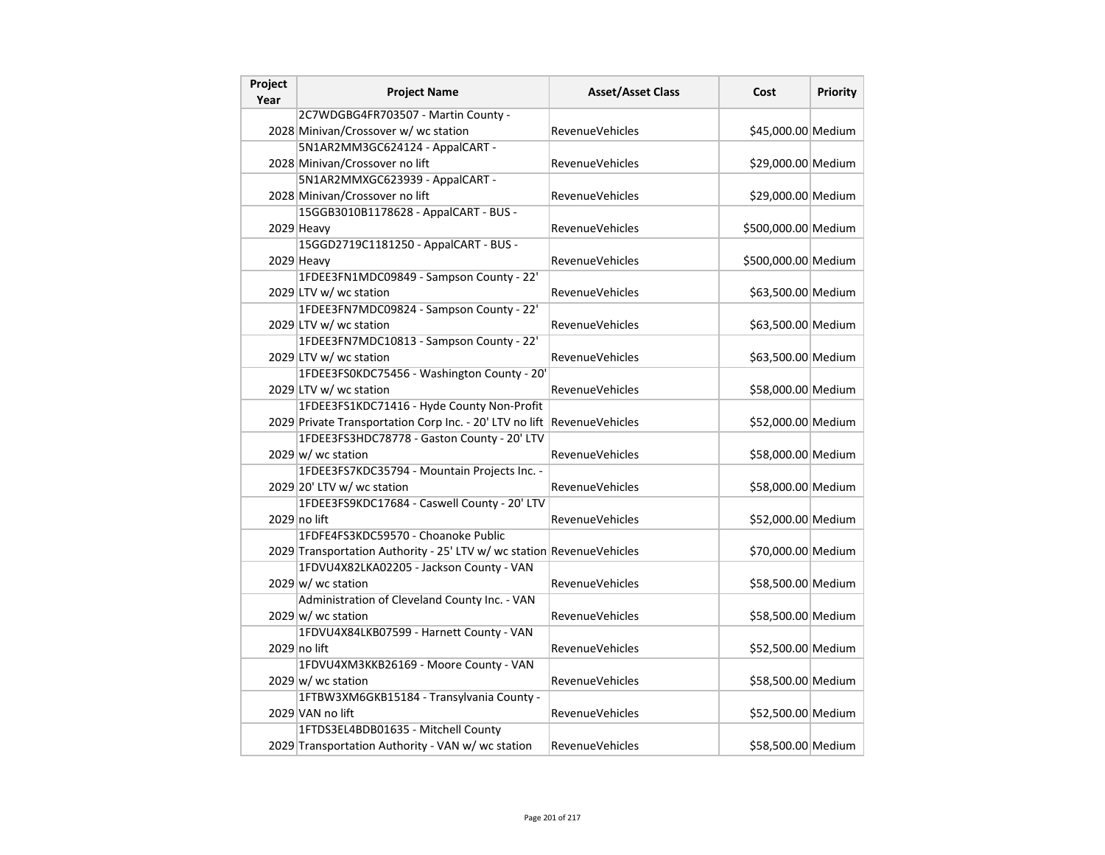| Project<br>Year | <b>Project Name</b>                                                   | <b>Asset/Asset Class</b> | Cost                | Priority |
|-----------------|-----------------------------------------------------------------------|--------------------------|---------------------|----------|
|                 | 2C7WDGBG4FR703507 - Martin County -                                   |                          |                     |          |
|                 | 2028 Minivan/Crossover w/ wc station                                  | RevenueVehicles          | \$45,000.00 Medium  |          |
|                 | 5N1AR2MM3GC624124 - AppalCART -                                       |                          |                     |          |
|                 | 2028 Minivan/Crossover no lift                                        | RevenueVehicles          | \$29,000.00 Medium  |          |
|                 | 5N1AR2MMXGC623939 - AppalCART -                                       |                          |                     |          |
|                 | 2028 Minivan/Crossover no lift                                        | <b>RevenueVehicles</b>   | \$29,000.00 Medium  |          |
|                 | 15GGB3010B1178628 - AppalCART - BUS -                                 |                          |                     |          |
|                 | 2029 Heavy                                                            | RevenueVehicles          | \$500,000.00 Medium |          |
|                 | 15GGD2719C1181250 - AppalCART - BUS -                                 |                          |                     |          |
|                 | 2029 Heavy                                                            | RevenueVehicles          | \$500,000.00 Medium |          |
|                 | 1FDEE3FN1MDC09849 - Sampson County - 22'                              |                          |                     |          |
|                 | 2029 LTV w/ wc station                                                | RevenueVehicles          | \$63,500.00 Medium  |          |
|                 | 1FDEE3FN7MDC09824 - Sampson County - 22'                              |                          |                     |          |
|                 | 2029 LTV w/ wc station                                                | RevenueVehicles          | \$63,500.00 Medium  |          |
|                 | 1FDEE3FN7MDC10813 - Sampson County - 22'                              |                          |                     |          |
|                 | 2029 LTV w/ wc station                                                | <b>RevenueVehicles</b>   | \$63,500.00 Medium  |          |
|                 | 1FDEE3FS0KDC75456 - Washington County - 20'                           |                          |                     |          |
|                 | 2029 LTV w/ wc station                                                | <b>RevenueVehicles</b>   | \$58,000.00 Medium  |          |
|                 | 1FDEE3FS1KDC71416 - Hyde County Non-Profit                            |                          |                     |          |
|                 | 2029 Private Transportation Corp Inc. - 20' LTV no lift               | RevenueVehicles          | \$52,000.00 Medium  |          |
|                 | 1FDEE3FS3HDC78778 - Gaston County - 20' LTV                           |                          |                     |          |
|                 | $2029 \text{ w}$ / wc station                                         | <b>RevenueVehicles</b>   | \$58,000.00 Medium  |          |
|                 | 1FDEE3FS7KDC35794 - Mountain Projects Inc. -                          |                          |                     |          |
|                 | 2029 20' LTV w/ wc station                                            | <b>RevenueVehicles</b>   | \$58,000.00 Medium  |          |
|                 | 1FDEE3FS9KDC17684 - Caswell County - 20' LTV                          |                          |                     |          |
|                 | 2029 no lift                                                          | <b>RevenueVehicles</b>   | \$52,000.00 Medium  |          |
|                 | 1FDFE4FS3KDC59570 - Choanoke Public                                   |                          |                     |          |
|                 | 2029 Transportation Authority - 25' LTV w/ wc station RevenueVehicles |                          | \$70,000.00 Medium  |          |
|                 | 1FDVU4X82LKA02205 - Jackson County - VAN                              |                          |                     |          |
|                 | $2029 \text{ w}$ / wc station                                         | RevenueVehicles          | \$58,500.00 Medium  |          |
|                 | Administration of Cleveland County Inc. - VAN                         |                          |                     |          |
|                 | $2029 \text{ w}$ / wc station                                         | RevenueVehicles          | \$58,500.00 Medium  |          |
|                 | 1FDVU4X84LKB07599 - Harnett County - VAN                              |                          |                     |          |
|                 | 2029 no lift                                                          | RevenueVehicles          | \$52,500.00 Medium  |          |
|                 | 1FDVU4XM3KKB26169 - Moore County - VAN                                |                          |                     |          |
|                 | $2029 \text{ w}$ / wc station                                         | RevenueVehicles          | \$58,500.00 Medium  |          |
|                 | 1FTBW3XM6GKB15184 - Transylvania County -                             |                          |                     |          |
|                 | 2029 VAN no lift                                                      | <b>RevenueVehicles</b>   | \$52,500.00 Medium  |          |
|                 | 1FTDS3EL4BDB01635 - Mitchell County                                   |                          |                     |          |
|                 | 2029 Transportation Authority - VAN w/ wc station                     | RevenueVehicles          | \$58,500.00 Medium  |          |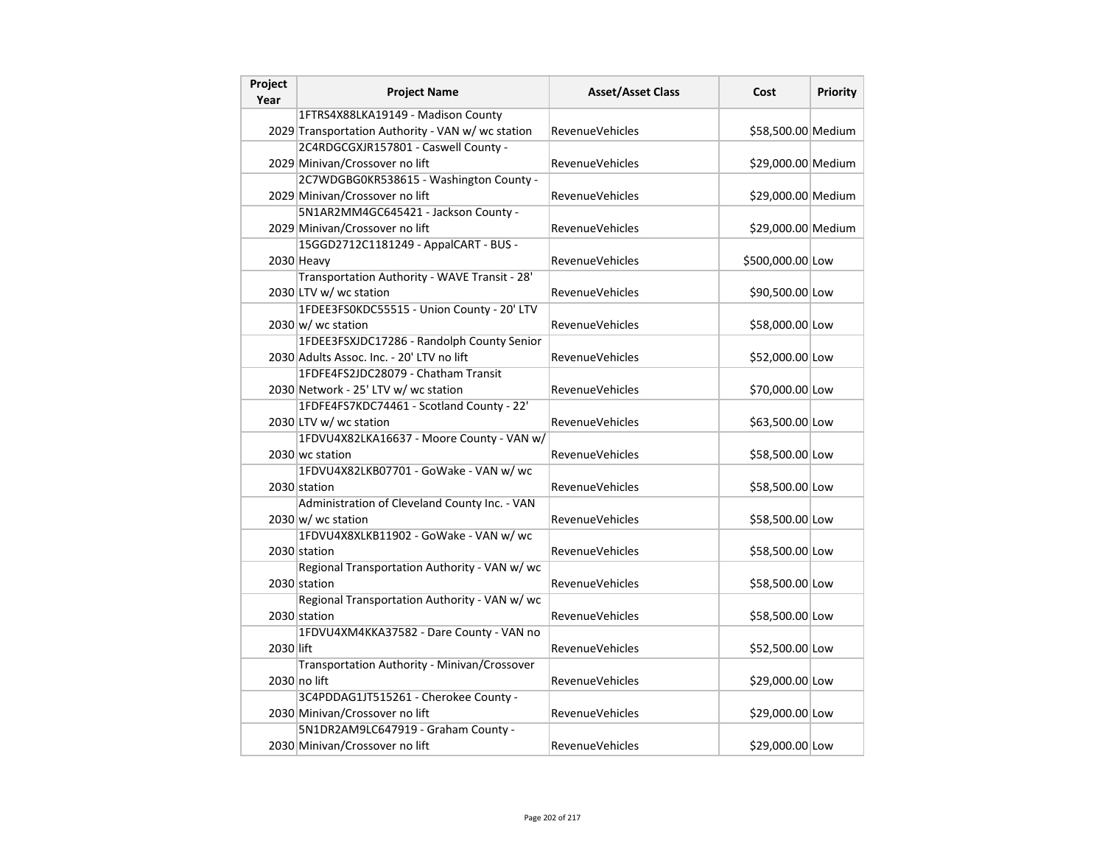| Project<br>Year | <b>Project Name</b>                               | <b>Asset/Asset Class</b> | Cost               | <b>Priority</b> |
|-----------------|---------------------------------------------------|--------------------------|--------------------|-----------------|
|                 | 1FTRS4X88LKA19149 - Madison County                |                          |                    |                 |
|                 | 2029 Transportation Authority - VAN w/ wc station | RevenueVehicles          | \$58,500.00 Medium |                 |
|                 | 2C4RDGCGXJR157801 - Caswell County -              |                          |                    |                 |
|                 | 2029 Minivan/Crossover no lift                    | RevenueVehicles          | \$29,000.00 Medium |                 |
|                 | 2C7WDGBG0KR538615 - Washington County -           |                          |                    |                 |
|                 | 2029 Minivan/Crossover no lift                    | RevenueVehicles          | \$29,000.00 Medium |                 |
|                 | 5N1AR2MM4GC645421 - Jackson County -              |                          |                    |                 |
|                 | 2029 Minivan/Crossover no lift                    | RevenueVehicles          | \$29,000.00 Medium |                 |
|                 | 15GGD2712C1181249 - AppalCART - BUS -             |                          |                    |                 |
|                 | 2030 Heavy                                        | RevenueVehicles          | \$500,000.00 Low   |                 |
|                 | Transportation Authority - WAVE Transit - 28'     |                          |                    |                 |
|                 | 2030 LTV w/ wc station                            | RevenueVehicles          | \$90,500.00 Low    |                 |
|                 | 1FDEE3FS0KDC55515 - Union County - 20' LTV        |                          |                    |                 |
|                 | 2030 w/ wc station                                | <b>RevenueVehicles</b>   | \$58,000.00 Low    |                 |
|                 | 1FDEE3FSXJDC17286 - Randolph County Senior        |                          |                    |                 |
|                 | 2030 Adults Assoc. Inc. - 20' LTV no lift         | RevenueVehicles          | \$52,000.00 Low    |                 |
|                 | 1FDFE4FS2JDC28079 - Chatham Transit               |                          |                    |                 |
|                 | 2030 Network - 25' LTV w/ wc station              | RevenueVehicles          | \$70,000.00 Low    |                 |
|                 | 1FDFE4FS7KDC74461 - Scotland County - 22'         |                          |                    |                 |
|                 | 2030 LTV w/ wc station                            | <b>RevenueVehicles</b>   | \$63,500.00 Low    |                 |
|                 | 1FDVU4X82LKA16637 - Moore County - VAN w/         |                          |                    |                 |
|                 | 2030 wc station                                   | <b>RevenueVehicles</b>   | \$58,500.00 Low    |                 |
|                 | 1FDVU4X82LKB07701 - GoWake - VAN w/ wc            |                          |                    |                 |
|                 | 2030 station                                      | RevenueVehicles          | \$58,500.00 Low    |                 |
|                 | Administration of Cleveland County Inc. - VAN     |                          |                    |                 |
|                 | $2030 \, \text{w}$ wc station                     | RevenueVehicles          | \$58,500.00 Low    |                 |
|                 | 1FDVU4X8XLKB11902 - GoWake - VAN w/ wc            |                          |                    |                 |
|                 | 2030 station                                      | <b>RevenueVehicles</b>   | \$58,500.00 Low    |                 |
|                 | Regional Transportation Authority - VAN w/ wc     |                          |                    |                 |
|                 | 2030 station                                      | RevenueVehicles          | \$58,500.00 Low    |                 |
|                 | Regional Transportation Authority - VAN w/ wc     |                          |                    |                 |
|                 | 2030 station                                      | RevenueVehicles          | \$58,500.00 Low    |                 |
|                 | 1FDVU4XM4KKA37582 - Dare County - VAN no          |                          |                    |                 |
| 2030 lift       |                                                   | RevenueVehicles          | \$52,500.00 Low    |                 |
|                 | Transportation Authority - Minivan/Crossover      |                          |                    |                 |
|                 | 2030 no lift                                      | RevenueVehicles          | \$29,000.00 Low    |                 |
|                 | 3C4PDDAG1JT515261 - Cherokee County -             |                          |                    |                 |
|                 | 2030 Minivan/Crossover no lift                    | <b>RevenueVehicles</b>   | \$29,000.00 Low    |                 |
|                 | 5N1DR2AM9LC647919 - Graham County -               |                          |                    |                 |
|                 | 2030 Minivan/Crossover no lift                    | RevenueVehicles          | \$29,000.00 Low    |                 |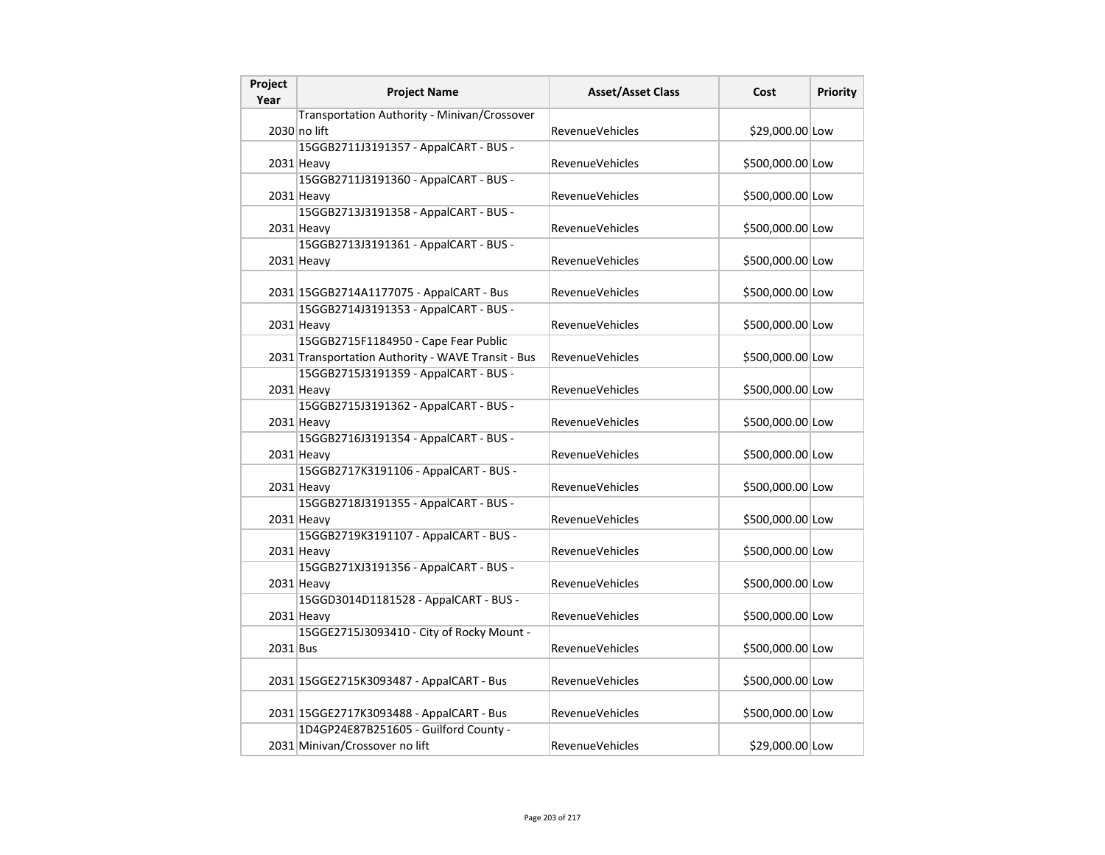| Project<br>Year | <b>Project Name</b>                                | <b>Asset/Asset Class</b> | Cost             | <b>Priority</b> |
|-----------------|----------------------------------------------------|--------------------------|------------------|-----------------|
|                 | Transportation Authority - Minivan/Crossover       |                          |                  |                 |
|                 | 2030 no lift                                       | <b>RevenueVehicles</b>   | \$29,000.00 Low  |                 |
|                 | 15GGB2711J3191357 - AppalCART - BUS -              |                          |                  |                 |
|                 | $2031$ Heavy                                       | RevenueVehicles          | \$500,000.00 Low |                 |
|                 | 15GGB2711J3191360 - AppalCART - BUS -              |                          |                  |                 |
|                 | 2031 Heavy                                         | <b>RevenueVehicles</b>   | \$500,000.00 Low |                 |
|                 | 15GGB2713J3191358 - AppalCART - BUS -              |                          |                  |                 |
|                 | 2031 Heavy                                         | <b>RevenueVehicles</b>   | \$500,000.00 Low |                 |
|                 | 15GGB2713J3191361 - AppalCART - BUS -              |                          |                  |                 |
|                 | 2031 Heavy                                         | <b>RevenueVehicles</b>   | \$500,000.00 Low |                 |
|                 |                                                    |                          |                  |                 |
|                 | 2031 15GGB2714A1177075 - AppalCART - Bus           | <b>RevenueVehicles</b>   | \$500,000.00 Low |                 |
|                 | 15GGB2714J3191353 - AppalCART - BUS -              |                          |                  |                 |
|                 | 2031 Heavy                                         | <b>RevenueVehicles</b>   | \$500,000.00 Low |                 |
|                 | 15GGB2715F1184950 - Cape Fear Public               |                          |                  |                 |
|                 | 2031 Transportation Authority - WAVE Transit - Bus | <b>RevenueVehicles</b>   | \$500,000.00 Low |                 |
|                 | 15GGB2715J3191359 - AppalCART - BUS -              |                          |                  |                 |
|                 | $2031$ Heavy                                       | <b>RevenueVehicles</b>   | \$500,000.00 Low |                 |
|                 | 15GGB2715J3191362 - AppalCART - BUS -              |                          |                  |                 |
|                 | $2031$ Heavy                                       | RevenueVehicles          | \$500,000.00 Low |                 |
|                 | 15GGB2716J3191354 - AppalCART - BUS -              |                          |                  |                 |
|                 | $2031$ Heavy                                       | <b>RevenueVehicles</b>   | \$500,000.00 Low |                 |
|                 | 15GGB2717K3191106 - AppalCART - BUS -              |                          |                  |                 |
|                 | 2031 Heavy                                         | <b>RevenueVehicles</b>   | \$500,000.00 Low |                 |
|                 | 15GGB2718J3191355 - AppalCART - BUS -              |                          |                  |                 |
|                 | 2031 Heavy                                         | <b>RevenueVehicles</b>   | \$500,000.00 Low |                 |
|                 | 15GGB2719K3191107 - AppalCART - BUS -              |                          |                  |                 |
|                 | 2031 Heavy                                         | <b>RevenueVehicles</b>   | \$500,000.00 Low |                 |
|                 | 15GGB271XJ3191356 - AppalCART - BUS -              |                          |                  |                 |
|                 | 2031 Heavy                                         | <b>RevenueVehicles</b>   | \$500,000.00 Low |                 |
|                 | 15GGD3014D1181528 - AppalCART - BUS -              |                          |                  |                 |
|                 | 2031 Heavy                                         | <b>RevenueVehicles</b>   | \$500,000.00 Low |                 |
|                 | 15GGE2715J3093410 - City of Rocky Mount -          |                          |                  |                 |
| 2031 Bus        |                                                    | <b>RevenueVehicles</b>   | \$500,000.00 Low |                 |
|                 | 2031 15GGE2715K3093487 - AppalCART - Bus           | <b>RevenueVehicles</b>   | \$500,000.00 Low |                 |
|                 |                                                    |                          |                  |                 |
|                 | 2031 15GGE2717K3093488 - AppalCART - Bus           | <b>RevenueVehicles</b>   | \$500,000.00 Low |                 |
|                 | 1D4GP24E87B251605 - Guilford County -              |                          |                  |                 |
|                 | 2031 Minivan/Crossover no lift                     | RevenueVehicles          | \$29,000.00 Low  |                 |
|                 |                                                    |                          |                  |                 |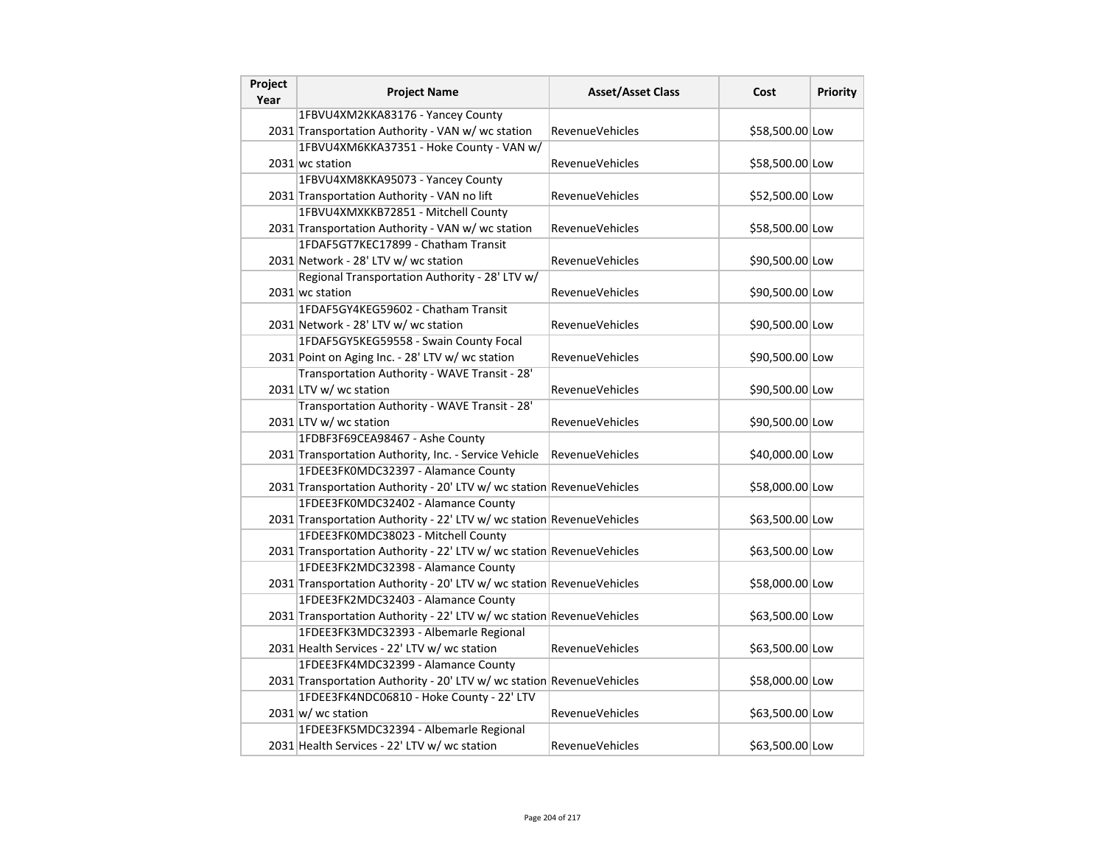| Project<br>Year | <b>Project Name</b>                                                   | <b>Asset/Asset Class</b> | Cost            | <b>Priority</b> |
|-----------------|-----------------------------------------------------------------------|--------------------------|-----------------|-----------------|
|                 | 1FBVU4XM2KKA83176 - Yancey County                                     |                          |                 |                 |
|                 | 2031 Transportation Authority - VAN w/ wc station                     | <b>RevenueVehicles</b>   | \$58,500.00 Low |                 |
|                 | 1FBVU4XM6KKA37351 - Hoke County - VAN w/                              |                          |                 |                 |
|                 | 2031 wc station                                                       | RevenueVehicles          | \$58,500.00 Low |                 |
|                 | 1FBVU4XM8KKA95073 - Yancey County                                     |                          |                 |                 |
|                 | 2031 Transportation Authority - VAN no lift                           | RevenueVehicles          | \$52,500.00 Low |                 |
|                 | 1FBVU4XMXKKB72851 - Mitchell County                                   |                          |                 |                 |
|                 | 2031 Transportation Authority - VAN w/ wc station                     | RevenueVehicles          | \$58,500.00 Low |                 |
|                 | 1FDAF5GT7KEC17899 - Chatham Transit                                   |                          |                 |                 |
|                 | 2031 Network - 28' LTV w/ wc station                                  | <b>RevenueVehicles</b>   | \$90,500.00 Low |                 |
|                 | Regional Transportation Authority - 28' LTV w/                        |                          |                 |                 |
|                 | 2031 wc station                                                       | RevenueVehicles          | \$90,500.00 Low |                 |
|                 | 1FDAF5GY4KEG59602 - Chatham Transit                                   |                          |                 |                 |
|                 | 2031 Network - 28' LTV w/ wc station                                  | RevenueVehicles          | \$90,500.00 Low |                 |
|                 | 1FDAF5GY5KEG59558 - Swain County Focal                                |                          |                 |                 |
|                 | 2031 Point on Aging Inc. - 28' LTV w/ wc station                      | <b>RevenueVehicles</b>   | \$90,500.00 Low |                 |
|                 | Transportation Authority - WAVE Transit - 28'                         |                          |                 |                 |
|                 | 2031 LTV w/ wc station                                                | <b>RevenueVehicles</b>   | \$90,500.00 Low |                 |
|                 | Transportation Authority - WAVE Transit - 28'                         |                          |                 |                 |
|                 | 2031 LTV w/ wc station                                                | RevenueVehicles          | \$90,500.00 Low |                 |
|                 | 1FDBF3F69CEA98467 - Ashe County                                       |                          |                 |                 |
|                 | 2031 Transportation Authority, Inc. - Service Vehicle                 | <b>RevenueVehicles</b>   | \$40,000.00 Low |                 |
|                 | 1FDEE3FK0MDC32397 - Alamance County                                   |                          |                 |                 |
|                 | 2031 Transportation Authority - 20' LTV w/ wc station RevenueVehicles |                          | \$58,000.00 Low |                 |
|                 | 1FDEE3FK0MDC32402 - Alamance County                                   |                          |                 |                 |
|                 | 2031 Transportation Authority - 22' LTV w/ wc station RevenueVehicles |                          | \$63,500.00 Low |                 |
|                 | 1FDEE3FK0MDC38023 - Mitchell County                                   |                          |                 |                 |
|                 | 2031 Transportation Authority - 22' LTV w/ wc station RevenueVehicles |                          | \$63,500.00 Low |                 |
|                 | 1FDEE3FK2MDC32398 - Alamance County                                   |                          |                 |                 |
|                 | 2031 Transportation Authority - 20' LTV w/ wc station RevenueVehicles |                          | \$58,000.00 Low |                 |
|                 | 1FDEE3FK2MDC32403 - Alamance County                                   |                          |                 |                 |
|                 | 2031 Transportation Authority - 22' LTV w/ wc station RevenueVehicles |                          | \$63,500.00 Low |                 |
|                 | 1FDEE3FK3MDC32393 - Albemarle Regional                                |                          |                 |                 |
|                 | 2031 Health Services - 22' LTV w/ wc station                          | RevenueVehicles          | \$63,500.00 Low |                 |
|                 | 1FDEE3FK4MDC32399 - Alamance County                                   |                          |                 |                 |
|                 | 2031 Transportation Authority - 20' LTV w/ wc station RevenueVehicles |                          | \$58,000.00 Low |                 |
|                 | 1FDEE3FK4NDC06810 - Hoke County - 22' LTV                             |                          |                 |                 |
|                 | $2031 \text{ w}$ / wc station                                         | <b>RevenueVehicles</b>   | \$63,500.00 Low |                 |
|                 | 1FDEE3FK5MDC32394 - Albemarle Regional                                |                          |                 |                 |
|                 | 2031 Health Services - 22' LTV w/ wc station                          | RevenueVehicles          | \$63,500.00 Low |                 |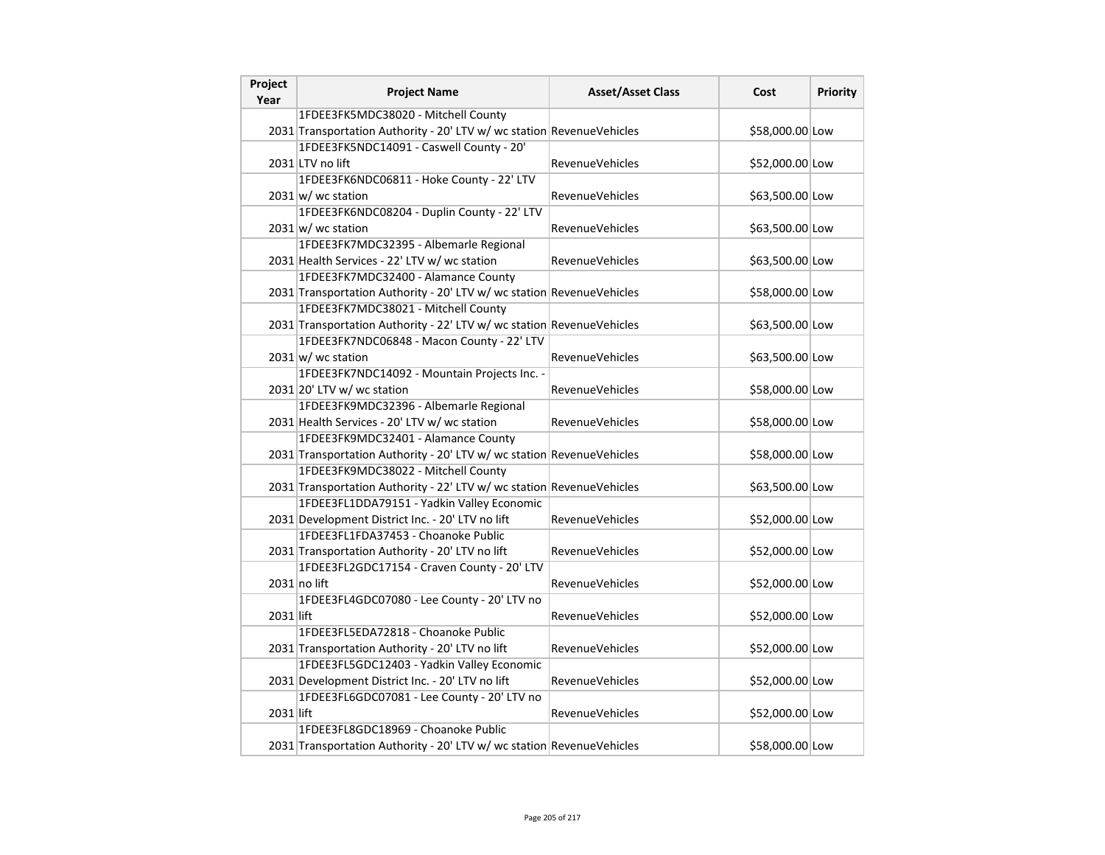| Project<br>Year | <b>Project Name</b>                                                   | <b>Asset/Asset Class</b> | Cost            | <b>Priority</b> |
|-----------------|-----------------------------------------------------------------------|--------------------------|-----------------|-----------------|
|                 | 1FDEE3FK5MDC38020 - Mitchell County                                   |                          |                 |                 |
|                 | 2031 Transportation Authority - 20' LTV w/ wc station RevenueVehicles |                          | \$58,000.00 Low |                 |
|                 | 1FDEE3FK5NDC14091 - Caswell County - 20'                              |                          |                 |                 |
|                 | 2031 LTV no lift                                                      | <b>RevenueVehicles</b>   | \$52,000.00 Low |                 |
|                 | 1FDEE3FK6NDC06811 - Hoke County - 22' LTV                             |                          |                 |                 |
|                 | $2031 \vert w \vert$ wc station                                       | <b>RevenueVehicles</b>   | \$63,500.00 Low |                 |
|                 | 1FDEE3FK6NDC08204 - Duplin County - 22' LTV                           |                          |                 |                 |
|                 | $2031 \text{ w/m}$ wc station                                         | <b>RevenueVehicles</b>   | \$63,500.00 Low |                 |
|                 | 1FDEE3FK7MDC32395 - Albemarle Regional                                |                          |                 |                 |
|                 | 2031 Health Services - 22' LTV w/ wc station                          | <b>RevenueVehicles</b>   | \$63,500.00 Low |                 |
|                 | 1FDEE3FK7MDC32400 - Alamance County                                   |                          |                 |                 |
|                 | 2031 Transportation Authority - 20' LTV w/ wc station RevenueVehicles |                          | \$58,000.00 Low |                 |
|                 | 1FDEE3FK7MDC38021 - Mitchell County                                   |                          |                 |                 |
|                 | 2031 Transportation Authority - 22' LTV w/ wc station RevenueVehicles |                          | \$63,500.00 Low |                 |
|                 | 1FDEE3FK7NDC06848 - Macon County - 22' LTV                            |                          |                 |                 |
|                 | $2031 \text{ w}$ / wc station                                         | <b>RevenueVehicles</b>   | \$63,500.00 Low |                 |
|                 | 1FDEE3FK7NDC14092 - Mountain Projects Inc. -                          |                          |                 |                 |
|                 | 2031 20' LTV w/ wc station                                            | <b>RevenueVehicles</b>   | \$58,000.00 Low |                 |
|                 | 1FDEE3FK9MDC32396 - Albemarle Regional                                |                          |                 |                 |
|                 | 2031 Health Services - 20' LTV w/ wc station                          | <b>RevenueVehicles</b>   | \$58,000.00 Low |                 |
|                 | 1FDEE3FK9MDC32401 - Alamance County                                   |                          |                 |                 |
|                 | 2031 Transportation Authority - 20' LTV w/ wc station RevenueVehicles |                          | \$58,000.00 Low |                 |
|                 | 1FDEE3FK9MDC38022 - Mitchell County                                   |                          |                 |                 |
|                 | 2031 Transportation Authority - 22' LTV w/ wc station RevenueVehicles |                          | \$63,500.00 Low |                 |
|                 | 1FDEE3FL1DDA79151 - Yadkin Valley Economic                            |                          |                 |                 |
|                 | 2031 Development District Inc. - 20' LTV no lift                      | RevenueVehicles          | \$52,000.00 Low |                 |
|                 | 1FDEE3FL1FDA37453 - Choanoke Public                                   |                          |                 |                 |
|                 | 2031 Transportation Authority - 20' LTV no lift                       | <b>RevenueVehicles</b>   | \$52,000.00 Low |                 |
|                 | 1FDEE3FL2GDC17154 - Craven County - 20' LTV                           |                          |                 |                 |
|                 | $2031$ no lift                                                        | <b>RevenueVehicles</b>   | \$52,000.00 Low |                 |
|                 | 1FDEE3FL4GDC07080 - Lee County - 20' LTV no                           |                          |                 |                 |
| 2031 lift       |                                                                       | <b>RevenueVehicles</b>   | \$52,000.00 Low |                 |
|                 | 1FDEE3FL5EDA72818 - Choanoke Public                                   |                          |                 |                 |
|                 | 2031 Transportation Authority - 20' LTV no lift                       | <b>RevenueVehicles</b>   | \$52,000.00 Low |                 |
|                 | 1FDEE3FL5GDC12403 - Yadkin Valley Economic                            |                          |                 |                 |
|                 | 2031 Development District Inc. - 20' LTV no lift                      | <b>RevenueVehicles</b>   | \$52,000.00 Low |                 |
|                 | 1FDEE3FL6GDC07081 - Lee County - 20' LTV no                           |                          |                 |                 |
| 2031 lift       |                                                                       | <b>RevenueVehicles</b>   | \$52,000.00 Low |                 |
|                 | 1FDEE3FL8GDC18969 - Choanoke Public                                   |                          |                 |                 |
|                 | 2031 Transportation Authority - 20' LTV w/ wc station RevenueVehicles |                          | \$58,000.00 Low |                 |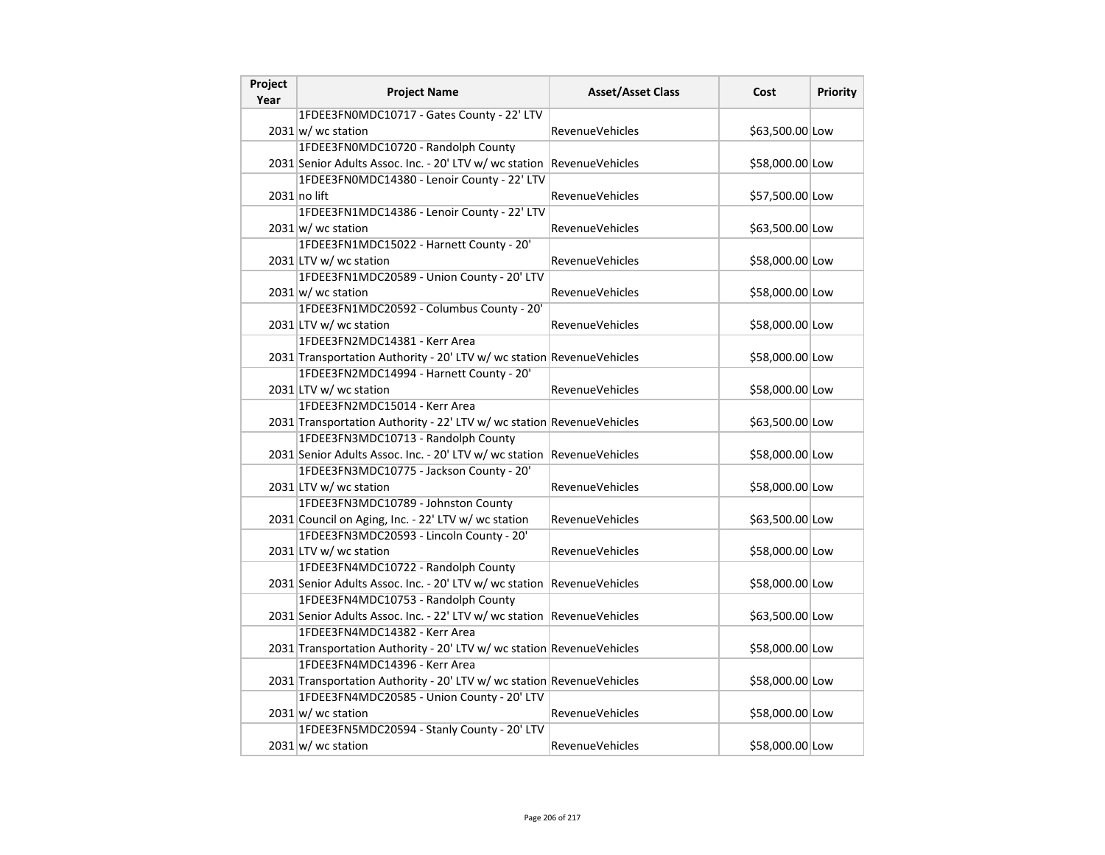| Project<br>Year | <b>Project Name</b>                                                    | <b>Asset/Asset Class</b> | Cost            | <b>Priority</b> |
|-----------------|------------------------------------------------------------------------|--------------------------|-----------------|-----------------|
|                 | 1FDEE3FN0MDC10717 - Gates County - 22' LTV                             |                          |                 |                 |
|                 | $2031 \text{ w}$ / wc station                                          | <b>RevenueVehicles</b>   | \$63,500.00 Low |                 |
|                 | 1FDEE3FN0MDC10720 - Randolph County                                    |                          |                 |                 |
|                 | 2031 Senior Adults Assoc. Inc. - 20' LTV w/ wc station RevenueVehicles |                          | \$58,000.00 Low |                 |
|                 | 1FDEE3FN0MDC14380 - Lenoir County - 22' LTV                            |                          |                 |                 |
|                 | 2031 no lift                                                           | RevenueVehicles          | \$57,500.00 Low |                 |
|                 | 1FDEE3FN1MDC14386 - Lenoir County - 22' LTV                            |                          |                 |                 |
|                 | $2031 \text{w}$ wc station                                             | <b>RevenueVehicles</b>   | \$63,500.00 Low |                 |
|                 | 1FDEE3FN1MDC15022 - Harnett County - 20'                               |                          |                 |                 |
|                 | 2031 LTV w/ wc station                                                 | <b>RevenueVehicles</b>   | \$58,000.00 Low |                 |
|                 | 1FDEE3FN1MDC20589 - Union County - 20' LTV                             |                          |                 |                 |
|                 | $2031 \text{ w}$ / wc station                                          | <b>RevenueVehicles</b>   | \$58,000.00 Low |                 |
|                 | 1FDEE3FN1MDC20592 - Columbus County - 20'                              |                          |                 |                 |
|                 | 2031 LTV w/ wc station                                                 | <b>RevenueVehicles</b>   | \$58,000.00 Low |                 |
|                 | 1FDEE3FN2MDC14381 - Kerr Area                                          |                          |                 |                 |
|                 | 2031 Transportation Authority - 20' LTV w/ wc station RevenueVehicles  |                          | \$58,000.00 Low |                 |
|                 | 1FDEE3FN2MDC14994 - Harnett County - 20'                               |                          |                 |                 |
|                 | 2031 LTV w/ wc station                                                 | RevenueVehicles          | \$58,000.00 Low |                 |
|                 | 1FDEE3FN2MDC15014 - Kerr Area                                          |                          |                 |                 |
|                 | 2031 Transportation Authority - 22' LTV w/ wc station RevenueVehicles  |                          | \$63,500.00 Low |                 |
|                 | 1FDEE3FN3MDC10713 - Randolph County                                    |                          |                 |                 |
|                 | 2031 Senior Adults Assoc. Inc. - 20' LTV w/ wc station RevenueVehicles |                          | \$58,000.00 Low |                 |
|                 | 1FDEE3FN3MDC10775 - Jackson County - 20'                               |                          |                 |                 |
|                 | 2031 LTV w/ wc station                                                 | <b>RevenueVehicles</b>   | \$58,000.00 Low |                 |
|                 | 1FDEE3FN3MDC10789 - Johnston County                                    |                          |                 |                 |
|                 | 2031 Council on Aging, Inc. - 22' LTV w/ wc station                    | <b>RevenueVehicles</b>   | \$63,500.00 Low |                 |
|                 | 1FDEE3FN3MDC20593 - Lincoln County - 20'                               |                          |                 |                 |
|                 | 2031 LTV w/ wc station                                                 | <b>RevenueVehicles</b>   | \$58,000.00 Low |                 |
|                 | 1FDEE3FN4MDC10722 - Randolph County                                    |                          |                 |                 |
|                 | 2031 Senior Adults Assoc. Inc. - 20' LTV w/ wc station RevenueVehicles |                          | \$58,000.00 Low |                 |
|                 | 1FDEE3FN4MDC10753 - Randolph County                                    |                          |                 |                 |
|                 | 2031 Senior Adults Assoc. Inc. - 22' LTV w/ wc station RevenueVehicles |                          | \$63,500.00 Low |                 |
|                 | 1FDEE3FN4MDC14382 - Kerr Area                                          |                          |                 |                 |
|                 | 2031 Transportation Authority - 20' LTV w/ wc station RevenueVehicles  |                          | \$58,000.00 Low |                 |
|                 | 1FDEE3FN4MDC14396 - Kerr Area                                          |                          |                 |                 |
|                 | 2031 Transportation Authority - 20' LTV w/ wc station RevenueVehicles  |                          | \$58,000.00 Low |                 |
|                 | 1FDEE3FN4MDC20585 - Union County - 20' LTV                             |                          |                 |                 |
|                 | $2031 \text{ w/m}$ wc station                                          | <b>RevenueVehicles</b>   | \$58,000.00 Low |                 |
|                 | 1FDEE3FN5MDC20594 - Stanly County - 20' LTV                            |                          |                 |                 |
|                 | $2031 \text{ w}$ / wc station                                          | <b>RevenueVehicles</b>   | \$58,000.00 Low |                 |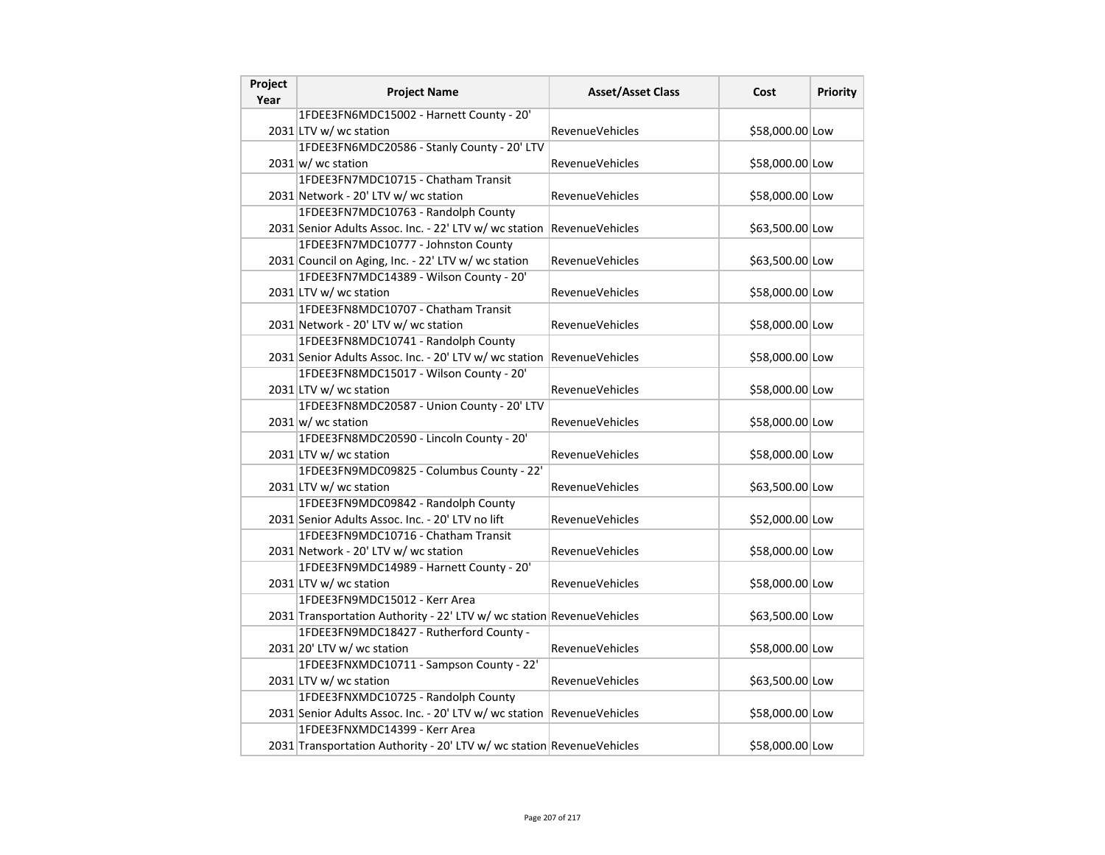| Project<br>Year | <b>Project Name</b>                                                    | <b>Asset/Asset Class</b> | Cost            | Priority |
|-----------------|------------------------------------------------------------------------|--------------------------|-----------------|----------|
|                 | 1FDEE3FN6MDC15002 - Harnett County - 20'                               |                          |                 |          |
|                 | 2031 LTV w/ wc station                                                 | <b>RevenueVehicles</b>   | \$58,000.00 Low |          |
|                 | 1FDEE3FN6MDC20586 - Stanly County - 20' LTV                            |                          |                 |          |
|                 | $2031 \text{w}$ wc station                                             | RevenueVehicles          | \$58,000.00 Low |          |
|                 | 1FDEE3FN7MDC10715 - Chatham Transit                                    |                          |                 |          |
|                 | 2031 Network - 20' LTV w/ wc station                                   | <b>RevenueVehicles</b>   | \$58,000.00 Low |          |
|                 | 1FDEE3FN7MDC10763 - Randolph County                                    |                          |                 |          |
|                 | 2031 Senior Adults Assoc. Inc. - 22' LTV w/ wc station                 | RevenueVehicles          | \$63,500.00 Low |          |
|                 | 1FDEE3FN7MDC10777 - Johnston County                                    |                          |                 |          |
|                 | 2031 Council on Aging, Inc. - 22' LTV w/ wc station                    | <b>RevenueVehicles</b>   | \$63,500.00 Low |          |
|                 | 1FDEE3FN7MDC14389 - Wilson County - 20'                                |                          |                 |          |
|                 | 2031 LTV w/ wc station                                                 | RevenueVehicles          | \$58,000.00 Low |          |
|                 | 1FDEE3FN8MDC10707 - Chatham Transit                                    |                          |                 |          |
|                 | 2031 Network - 20' LTV w/ wc station                                   | <b>RevenueVehicles</b>   | \$58,000.00 Low |          |
|                 | 1FDEE3FN8MDC10741 - Randolph County                                    |                          |                 |          |
|                 | 2031 Senior Adults Assoc. Inc. - 20' LTV w/ wc station                 | RevenueVehicles          | \$58,000.00 Low |          |
|                 | 1FDEE3FN8MDC15017 - Wilson County - 20'                                |                          |                 |          |
|                 | 2031 LTV w/ wc station                                                 | <b>RevenueVehicles</b>   | \$58,000.00 Low |          |
|                 | 1FDEE3FN8MDC20587 - Union County - 20' LTV                             |                          |                 |          |
|                 | $2031 \text{ w}$ / wc station                                          | <b>RevenueVehicles</b>   | \$58,000.00 Low |          |
|                 | 1FDEE3FN8MDC20590 - Lincoln County - 20'                               |                          |                 |          |
|                 | 2031 LTV w/ wc station                                                 | <b>RevenueVehicles</b>   | \$58,000.00 Low |          |
|                 | 1FDEE3FN9MDC09825 - Columbus County - 22'                              |                          |                 |          |
|                 | 2031 LTV w/ wc station                                                 | <b>RevenueVehicles</b>   | \$63,500.00 Low |          |
|                 | 1FDEE3FN9MDC09842 - Randolph County                                    |                          |                 |          |
|                 | 2031 Senior Adults Assoc. Inc. - 20' LTV no lift                       | RevenueVehicles          | \$52,000.00 Low |          |
|                 | 1FDEE3FN9MDC10716 - Chatham Transit                                    |                          |                 |          |
|                 | 2031 Network - 20' LTV w/ wc station                                   | <b>RevenueVehicles</b>   | \$58,000.00 Low |          |
|                 | 1FDEE3FN9MDC14989 - Harnett County - 20'                               |                          |                 |          |
|                 | 2031 LTV w/ wc station                                                 | <b>RevenueVehicles</b>   | \$58,000.00 Low |          |
|                 | 1FDEE3FN9MDC15012 - Kerr Area                                          |                          |                 |          |
|                 | 2031 Transportation Authority - 22' LTV w/ wc station RevenueVehicles  |                          | \$63,500.00 Low |          |
|                 | 1FDEE3FN9MDC18427 - Rutherford County -                                |                          |                 |          |
|                 | $2031$ 20' LTV w/ wc station                                           | <b>RevenueVehicles</b>   | \$58,000.00 Low |          |
|                 | 1FDEE3FNXMDC10711 - Sampson County - 22'                               |                          |                 |          |
|                 | 2031 LTV w/ wc station                                                 | <b>RevenueVehicles</b>   | \$63,500.00 Low |          |
|                 | 1FDEE3FNXMDC10725 - Randolph County                                    |                          |                 |          |
|                 | 2031 Senior Adults Assoc. Inc. - 20' LTV w/ wc station RevenueVehicles |                          | \$58,000.00 Low |          |
|                 | 1FDEE3FNXMDC14399 - Kerr Area                                          |                          |                 |          |
|                 | 2031 Transportation Authority - 20' LTV w/ wc station RevenueVehicles  |                          | \$58,000.00 Low |          |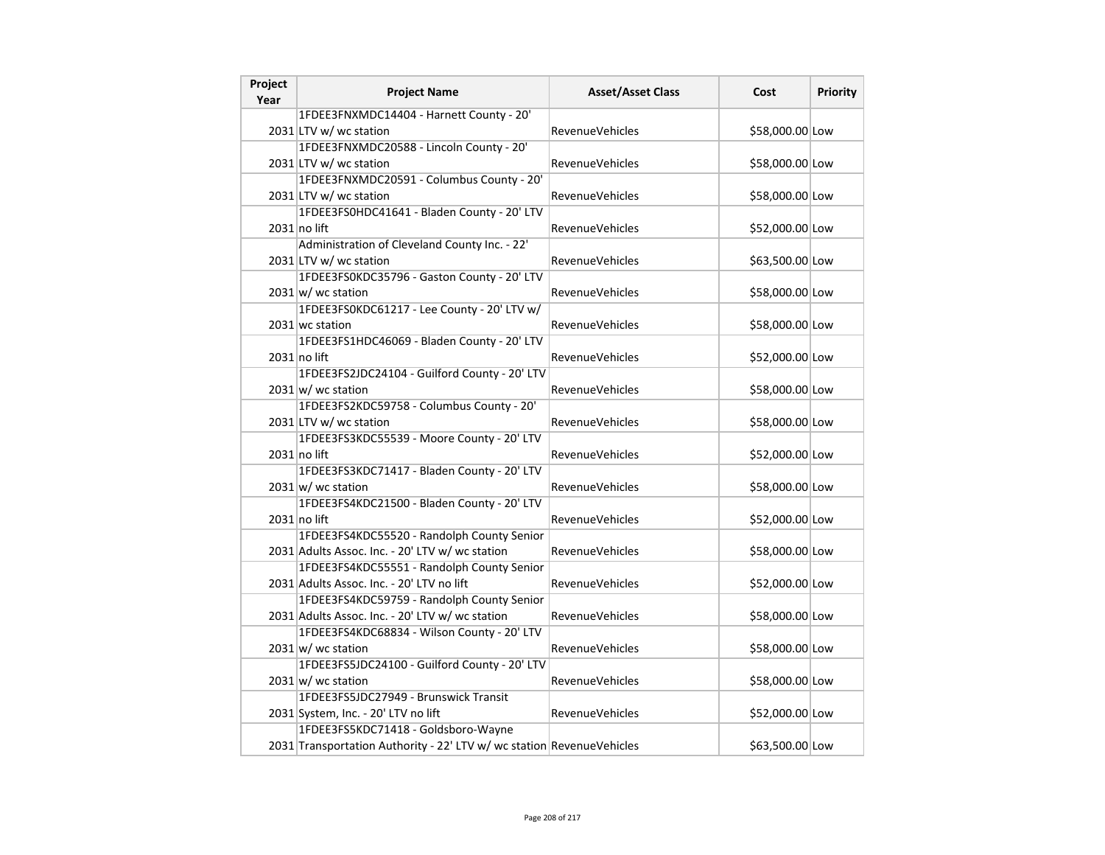| Project<br>Year | <b>Project Name</b>                                                   | <b>Asset/Asset Class</b> | Cost            | Priority |
|-----------------|-----------------------------------------------------------------------|--------------------------|-----------------|----------|
|                 | 1FDEE3FNXMDC14404 - Harnett County - 20'                              |                          |                 |          |
|                 | 2031 LTV w/ wc station                                                | <b>RevenueVehicles</b>   | \$58,000.00 Low |          |
|                 | 1FDEE3FNXMDC20588 - Lincoln County - 20'                              |                          |                 |          |
|                 | 2031 LTV w/ wc station                                                | RevenueVehicles          | \$58,000.00 Low |          |
|                 | 1FDEE3FNXMDC20591 - Columbus County - 20'                             |                          |                 |          |
|                 | 2031 LTV w/ wc station                                                | <b>RevenueVehicles</b>   | \$58,000.00 Low |          |
|                 | 1FDEE3FS0HDC41641 - Bladen County - 20' LTV                           |                          |                 |          |
|                 | $2031$ no lift                                                        | <b>RevenueVehicles</b>   | \$52,000.00 Low |          |
|                 | Administration of Cleveland County Inc. - 22'                         |                          |                 |          |
|                 | 2031 LTV w/ wc station                                                | <b>RevenueVehicles</b>   | \$63,500.00 Low |          |
|                 | 1FDEE3FS0KDC35796 - Gaston County - 20' LTV                           |                          |                 |          |
|                 | $2031 \text{ w}$ / wc station                                         | RevenueVehicles          | \$58,000.00 Low |          |
|                 | 1FDEE3FS0KDC61217 - Lee County - 20' LTV w/                           |                          |                 |          |
|                 | 2031 wc station                                                       | <b>RevenueVehicles</b>   | \$58,000.00 Low |          |
|                 | 1FDEE3FS1HDC46069 - Bladen County - 20' LTV                           |                          |                 |          |
|                 | 2031 no lift                                                          | <b>RevenueVehicles</b>   | \$52,000.00 Low |          |
|                 | 1FDEE3FS2JDC24104 - Guilford County - 20' LTV                         |                          |                 |          |
|                 | $2031 \text{ w}$ wc station                                           | <b>RevenueVehicles</b>   | \$58,000.00 Low |          |
|                 | 1FDEE3FS2KDC59758 - Columbus County - 20'                             |                          |                 |          |
|                 | 2031 LTV w/ wc station                                                | <b>RevenueVehicles</b>   | \$58,000.00 Low |          |
|                 | 1FDEE3FS3KDC55539 - Moore County - 20' LTV                            |                          |                 |          |
|                 | $2031$ no lift                                                        | <b>RevenueVehicles</b>   | \$52,000.00 Low |          |
|                 | 1FDEE3FS3KDC71417 - Bladen County - 20' LTV                           |                          |                 |          |
|                 | $2031 \text{ w}$ wc station                                           | <b>RevenueVehicles</b>   | \$58,000.00 Low |          |
|                 | 1FDEE3FS4KDC21500 - Bladen County - 20' LTV                           |                          |                 |          |
|                 | $2031$ no lift                                                        | RevenueVehicles          | \$52,000.00 Low |          |
|                 | 1FDEE3FS4KDC55520 - Randolph County Senior                            |                          |                 |          |
|                 | 2031 Adults Assoc. Inc. - 20' LTV w/ wc station                       | <b>RevenueVehicles</b>   | \$58,000.00 Low |          |
|                 | 1FDEE3FS4KDC55551 - Randolph County Senior                            |                          |                 |          |
|                 | 2031 Adults Assoc. Inc. - 20' LTV no lift                             | <b>RevenueVehicles</b>   | \$52,000.00 Low |          |
|                 | 1FDEE3FS4KDC59759 - Randolph County Senior                            |                          |                 |          |
|                 | 2031 Adults Assoc. Inc. - 20' LTV w/ wc station                       | <b>RevenueVehicles</b>   | \$58,000.00 Low |          |
|                 | 1FDEE3FS4KDC68834 - Wilson County - 20' LTV                           |                          |                 |          |
|                 | $2031 \text{w}$ wc station                                            | <b>RevenueVehicles</b>   | \$58,000.00 Low |          |
|                 | 1FDEE3FS5JDC24100 - Guilford County - 20' LTV                         |                          |                 |          |
|                 | $2031 \text{w}$ wc station                                            | <b>RevenueVehicles</b>   | \$58,000.00 Low |          |
|                 | 1FDEE3FS5JDC27949 - Brunswick Transit                                 |                          |                 |          |
|                 | 2031 System, Inc. - 20' LTV no lift                                   | <b>RevenueVehicles</b>   | \$52,000.00 Low |          |
|                 | 1FDEE3FS5KDC71418 - Goldsboro-Wayne                                   |                          |                 |          |
|                 | 2031 Transportation Authority - 22' LTV w/ wc station RevenueVehicles |                          | \$63,500.00 Low |          |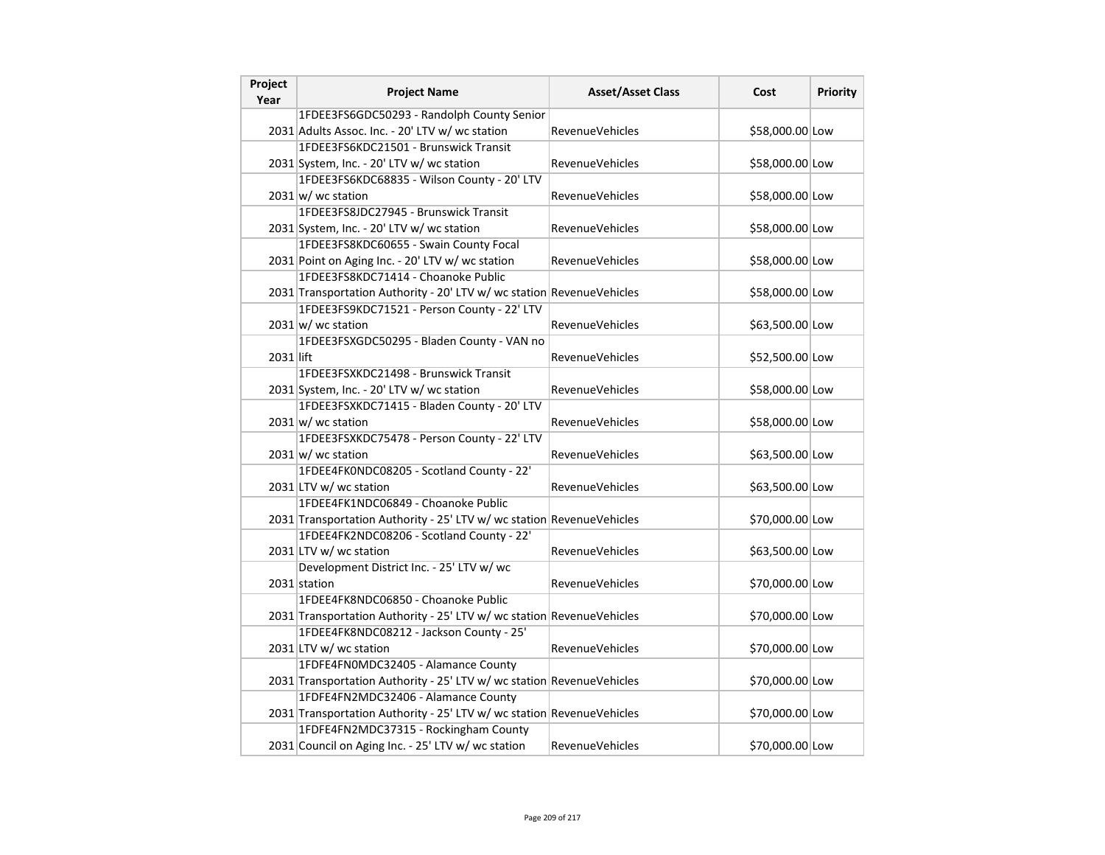| Project<br>Year | <b>Project Name</b>                                                   | <b>Asset/Asset Class</b> | Cost            | Priority |
|-----------------|-----------------------------------------------------------------------|--------------------------|-----------------|----------|
|                 | 1FDEE3FS6GDC50293 - Randolph County Senior                            |                          |                 |          |
|                 | 2031 Adults Assoc. Inc. - 20' LTV w/ wc station                       | <b>RevenueVehicles</b>   | \$58,000.00 Low |          |
|                 | 1FDEE3FS6KDC21501 - Brunswick Transit                                 |                          |                 |          |
|                 | 2031 System, Inc. - 20' LTV w/ wc station                             | RevenueVehicles          | \$58,000.00 Low |          |
|                 | 1FDEE3FS6KDC68835 - Wilson County - 20' LTV                           |                          |                 |          |
|                 | $2031 \text{w}$ wc station                                            | RevenueVehicles          | \$58,000.00 Low |          |
|                 | 1FDEE3FS8JDC27945 - Brunswick Transit                                 |                          |                 |          |
|                 | 2031 System, Inc. - 20' LTV w/ wc station                             | <b>RevenueVehicles</b>   | \$58,000.00 Low |          |
|                 | 1FDEE3FS8KDC60655 - Swain County Focal                                |                          |                 |          |
|                 | 2031 Point on Aging Inc. - 20' LTV w/ wc station                      | <b>RevenueVehicles</b>   | \$58,000.00 Low |          |
|                 | 1FDEE3FS8KDC71414 - Choanoke Public                                   |                          |                 |          |
|                 | 2031 Transportation Authority - 20' LTV w/ wc station RevenueVehicles |                          | \$58,000.00 Low |          |
|                 | 1FDEE3FS9KDC71521 - Person County - 22' LTV                           |                          |                 |          |
|                 | $2031 \text{w}$ wc station                                            | RevenueVehicles          | \$63,500.00 Low |          |
|                 | 1FDEE3FSXGDC50295 - Bladen County - VAN no                            |                          |                 |          |
| 2031 lift       |                                                                       | <b>RevenueVehicles</b>   | \$52,500.00 Low |          |
|                 | 1FDEE3FSXKDC21498 - Brunswick Transit                                 |                          |                 |          |
|                 | 2031 System, Inc. - 20' LTV w/ wc station                             | <b>RevenueVehicles</b>   | \$58,000.00 Low |          |
|                 | 1FDEE3FSXKDC71415 - Bladen County - 20' LTV                           |                          |                 |          |
|                 | $2031 \text{ w}$ / wc station                                         | <b>RevenueVehicles</b>   | \$58,000.00 Low |          |
|                 | 1FDEE3FSXKDC75478 - Person County - 22' LTV                           |                          |                 |          |
|                 | $2031 \text{ w}$ / wc station                                         | RevenueVehicles          | \$63,500.00 Low |          |
|                 | 1FDEE4FK0NDC08205 - Scotland County - 22'                             |                          |                 |          |
|                 | 2031 LTV w/ wc station                                                | <b>RevenueVehicles</b>   | \$63,500.00 Low |          |
|                 | 1FDEE4FK1NDC06849 - Choanoke Public                                   |                          |                 |          |
|                 | 2031 Transportation Authority - 25' LTV w/ wc station RevenueVehicles |                          | \$70,000.00 Low |          |
|                 | 1FDEE4FK2NDC08206 - Scotland County - 22'                             |                          |                 |          |
|                 | 2031 LTV w/ wc station                                                | <b>RevenueVehicles</b>   | \$63,500.00 Low |          |
|                 | Development District Inc. - 25' LTV w/ wc                             |                          |                 |          |
|                 | 2031 station                                                          | RevenueVehicles          | \$70,000.00 Low |          |
|                 | 1FDEE4FK8NDC06850 - Choanoke Public                                   |                          |                 |          |
|                 | 2031 Transportation Authority - 25' LTV w/ wc station RevenueVehicles |                          | \$70,000.00 Low |          |
|                 | 1FDEE4FK8NDC08212 - Jackson County - 25'                              |                          |                 |          |
|                 | 2031 LTV w/ wc station                                                | RevenueVehicles          | \$70,000.00 Low |          |
|                 | 1FDFE4FN0MDC32405 - Alamance County                                   |                          |                 |          |
|                 | 2031 Transportation Authority - 25' LTV w/ wc station RevenueVehicles |                          | \$70,000.00 Low |          |
|                 | 1FDFE4FN2MDC32406 - Alamance County                                   |                          |                 |          |
|                 | 2031 Transportation Authority - 25' LTV w/ wc station RevenueVehicles |                          | \$70,000.00 Low |          |
|                 | 1FDFE4FN2MDC37315 - Rockingham County                                 |                          |                 |          |
|                 | 2031 Council on Aging Inc. - 25' LTV w/ wc station                    | <b>RevenueVehicles</b>   | \$70,000.00 Low |          |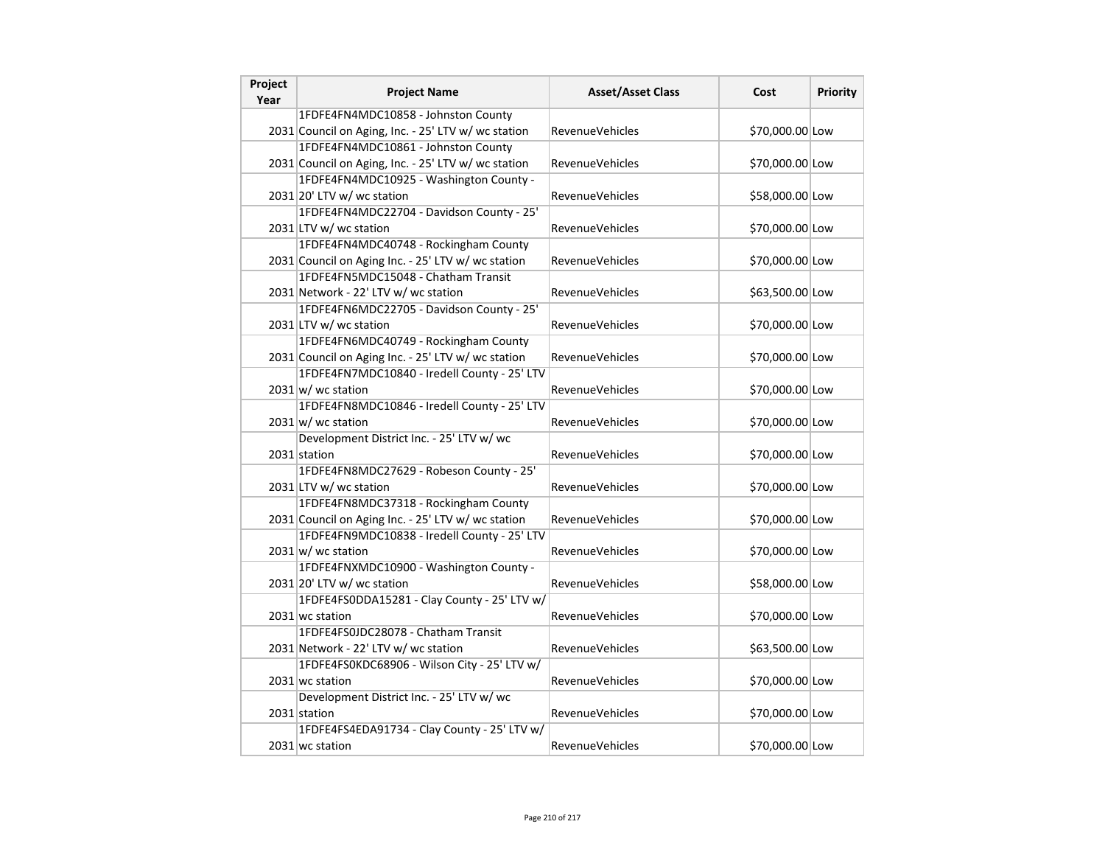| Project<br>Year | <b>Project Name</b>                                 | <b>Asset/Asset Class</b> | Cost            | Priority |
|-----------------|-----------------------------------------------------|--------------------------|-----------------|----------|
|                 | 1FDFE4FN4MDC10858 - Johnston County                 |                          |                 |          |
|                 | 2031 Council on Aging, Inc. - 25' LTV w/ wc station | <b>RevenueVehicles</b>   | \$70,000.00 Low |          |
|                 | 1FDFE4FN4MDC10861 - Johnston County                 |                          |                 |          |
|                 | 2031 Council on Aging, Inc. - 25' LTV w/ wc station | RevenueVehicles          | \$70,000.00 Low |          |
|                 | 1FDFE4FN4MDC10925 - Washington County -             |                          |                 |          |
|                 | $2031$ 20' LTV w/ wc station                        | RevenueVehicles          | \$58,000.00 Low |          |
|                 | 1FDFE4FN4MDC22704 - Davidson County - 25'           |                          |                 |          |
|                 | 2031 LTV w/ wc station                              | <b>RevenueVehicles</b>   | \$70,000.00 Low |          |
|                 | 1FDFE4FN4MDC40748 - Rockingham County               |                          |                 |          |
|                 | 2031 Council on Aging Inc. - 25' LTV w/ wc station  | RevenueVehicles          | \$70,000.00 Low |          |
|                 | 1FDFE4FN5MDC15048 - Chatham Transit                 |                          |                 |          |
|                 | 2031 Network - 22' LTV w/ wc station                | RevenueVehicles          | \$63,500.00 Low |          |
|                 | 1FDFE4FN6MDC22705 - Davidson County - 25'           |                          |                 |          |
|                 | 2031 LTV w/ wc station                              | <b>RevenueVehicles</b>   | \$70,000.00 Low |          |
|                 | 1FDFE4FN6MDC40749 - Rockingham County               |                          |                 |          |
|                 | 2031 Council on Aging Inc. - 25' LTV w/ wc station  | <b>RevenueVehicles</b>   | \$70,000.00 Low |          |
|                 | 1FDFE4FN7MDC10840 - Iredell County - 25' LTV        |                          |                 |          |
|                 | $2031 \text{ w}$ / wc station                       | RevenueVehicles          | \$70,000.00 Low |          |
|                 | 1FDFE4FN8MDC10846 - Iredell County - 25' LTV        |                          |                 |          |
|                 | $2031 \text{ w}$ wc station                         | <b>RevenueVehicles</b>   | \$70,000.00 Low |          |
|                 | Development District Inc. - 25' LTV w/ wc           |                          |                 |          |
|                 | 2031 station                                        | <b>RevenueVehicles</b>   | \$70,000.00 Low |          |
|                 | 1FDFE4FN8MDC27629 - Robeson County - 25'            |                          |                 |          |
|                 | 2031 LTV w/ wc station                              | RevenueVehicles          | \$70,000.00 Low |          |
|                 | 1FDFE4FN8MDC37318 - Rockingham County               |                          |                 |          |
|                 | 2031 Council on Aging Inc. - 25' LTV w/ wc station  | RevenueVehicles          | \$70,000.00 Low |          |
|                 | 1FDFE4FN9MDC10838 - Iredell County - 25' LTV        |                          |                 |          |
|                 | $2031 \text{w}$ wc station                          | <b>RevenueVehicles</b>   | \$70,000.00 Low |          |
|                 | 1FDFE4FNXMDC10900 - Washington County -             |                          |                 |          |
|                 | $2031$ 20' LTV w/ wc station                        | <b>RevenueVehicles</b>   | \$58,000.00 Low |          |
|                 | 1FDFE4FS0DDA15281 - Clay County - 25' LTV w/        |                          |                 |          |
|                 | 2031 wc station                                     | <b>RevenueVehicles</b>   | \$70,000.00 Low |          |
|                 | 1FDFE4FS0JDC28078 - Chatham Transit                 |                          |                 |          |
|                 | 2031 Network - 22' LTV w/ wc station                | <b>RevenueVehicles</b>   | \$63,500.00 Low |          |
|                 | 1FDFE4FS0KDC68906 - Wilson City - 25' LTV w/        |                          |                 |          |
|                 | 2031 wc station                                     | RevenueVehicles          | \$70,000.00 Low |          |
|                 | Development District Inc. - 25' LTV w/ wc           |                          |                 |          |
|                 | 2031 station                                        | RevenueVehicles          | \$70,000.00 Low |          |
|                 | 1FDFE4FS4EDA91734 - Clay County - 25' LTV w/        |                          |                 |          |
|                 | 2031 wc station                                     | RevenueVehicles          | \$70,000.00 Low |          |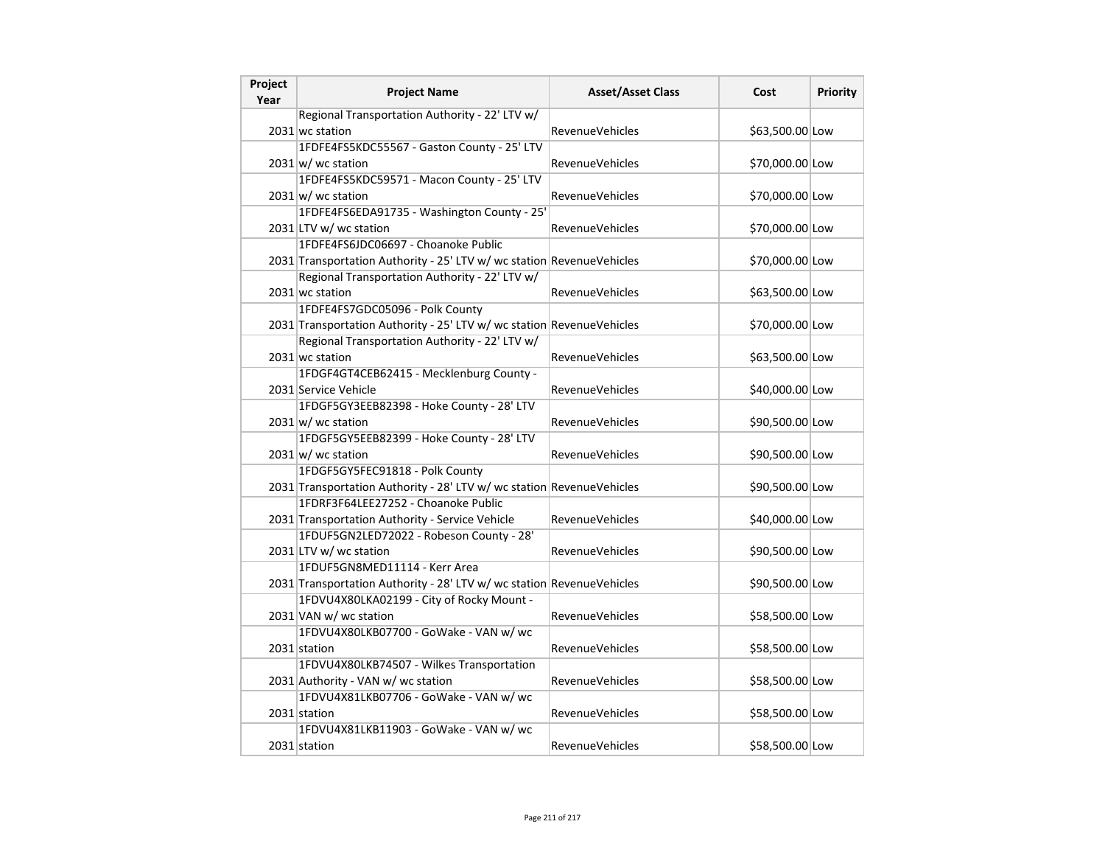| Project<br>Year | <b>Project Name</b>                                                   | <b>Asset/Asset Class</b> | Cost            | Priority |
|-----------------|-----------------------------------------------------------------------|--------------------------|-----------------|----------|
|                 | Regional Transportation Authority - 22' LTV w/                        |                          |                 |          |
|                 | 2031 wc station                                                       | <b>RevenueVehicles</b>   | \$63,500.00 Low |          |
|                 | 1FDFE4FS5KDC55567 - Gaston County - 25' LTV                           |                          |                 |          |
|                 | $2031$ w/ wc station                                                  | RevenueVehicles          | \$70,000.00 Low |          |
|                 | 1FDFE4FS5KDC59571 - Macon County - 25' LTV                            |                          |                 |          |
|                 | $2031 \vert w$ / wc station                                           | <b>RevenueVehicles</b>   | \$70,000.00 Low |          |
|                 | 1FDFE4FS6EDA91735 - Washington County - 25'                           |                          |                 |          |
|                 | 2031 LTV w/ wc station                                                | <b>RevenueVehicles</b>   | \$70,000.00 Low |          |
|                 | 1FDFE4FS6JDC06697 - Choanoke Public                                   |                          |                 |          |
|                 | 2031 Transportation Authority - 25' LTV w/ wc station RevenueVehicles |                          | \$70,000.00 Low |          |
|                 | Regional Transportation Authority - 22' LTV w/                        |                          |                 |          |
|                 | 2031 wc station                                                       | RevenueVehicles          | \$63,500.00 Low |          |
|                 | 1FDFE4FS7GDC05096 - Polk County                                       |                          |                 |          |
|                 | 2031 Transportation Authority - 25' LTV w/ wc station RevenueVehicles |                          | \$70,000.00 Low |          |
|                 | Regional Transportation Authority - 22' LTV w/                        |                          |                 |          |
|                 | 2031 wc station                                                       | <b>RevenueVehicles</b>   | \$63,500.00 Low |          |
|                 | 1FDGF4GT4CEB62415 - Mecklenburg County -                              |                          |                 |          |
|                 | 2031 Service Vehicle                                                  | <b>RevenueVehicles</b>   | \$40,000.00 Low |          |
|                 | 1FDGF5GY3EEB82398 - Hoke County - 28' LTV                             |                          |                 |          |
|                 | $2031 \text{ w}$ wc station                                           | <b>RevenueVehicles</b>   | \$90,500.00 Low |          |
|                 | 1FDGF5GY5EEB82399 - Hoke County - 28' LTV                             |                          |                 |          |
|                 | $2031 \text{ w}$ / wc station                                         | RevenueVehicles          | \$90,500.00 Low |          |
|                 | 1FDGF5GY5FEC91818 - Polk County                                       |                          |                 |          |
|                 | 2031 Transportation Authority - 28' LTV w/ wc station RevenueVehicles |                          | \$90,500.00 Low |          |
|                 | 1FDRF3F64LEE27252 - Choanoke Public                                   |                          |                 |          |
|                 | 2031 Transportation Authority - Service Vehicle                       | <b>RevenueVehicles</b>   | \$40,000.00 Low |          |
|                 | 1FDUF5GN2LED72022 - Robeson County - 28'                              |                          |                 |          |
|                 | 2031 LTV w/ wc station                                                | <b>RevenueVehicles</b>   | \$90,500.00 Low |          |
|                 | 1FDUF5GN8MED11114 - Kerr Area                                         |                          |                 |          |
|                 | 2031 Transportation Authority - 28' LTV w/ wc station RevenueVehicles |                          | \$90,500.00 Low |          |
|                 | 1FDVU4X80LKA02199 - City of Rocky Mount -                             |                          |                 |          |
|                 | 2031 VAN w/ wc station                                                | <b>RevenueVehicles</b>   | \$58,500.00 Low |          |
|                 | 1FDVU4X80LKB07700 - GoWake - VAN w/ wc                                |                          |                 |          |
|                 | 2031 station                                                          | RevenueVehicles          | \$58,500.00 Low |          |
|                 | 1FDVU4X80LKB74507 - Wilkes Transportation                             |                          |                 |          |
|                 | 2031 Authority - VAN w/ wc station                                    | <b>RevenueVehicles</b>   | \$58,500.00 Low |          |
|                 | 1FDVU4X81LKB07706 - GoWake - VAN w/ wc                                |                          |                 |          |
|                 | 2031 station                                                          | <b>RevenueVehicles</b>   | \$58,500.00 Low |          |
|                 | 1FDVU4X81LKB11903 - GoWake - VAN w/ wc                                |                          |                 |          |
|                 | 2031 station                                                          | <b>RevenueVehicles</b>   | \$58,500.00 Low |          |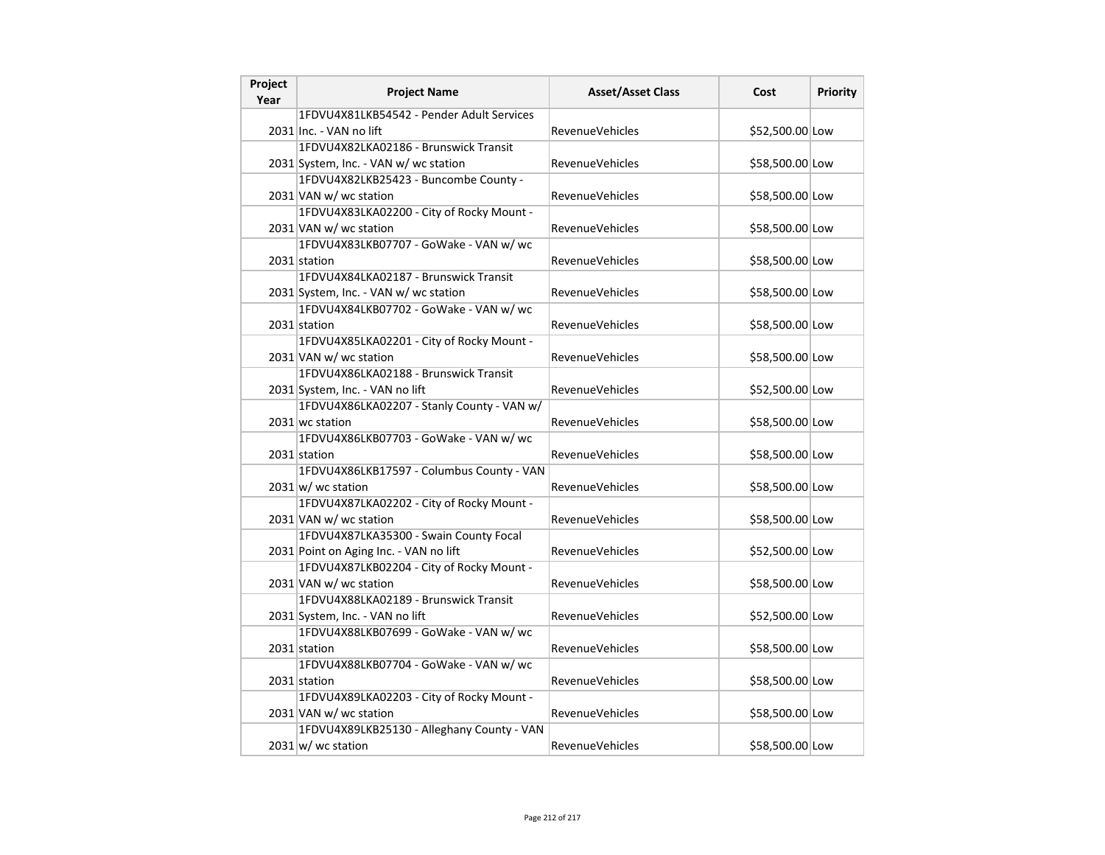| Project<br>Year | <b>Project Name</b>                        | <b>Asset/Asset Class</b> | Cost            | <b>Priority</b> |
|-----------------|--------------------------------------------|--------------------------|-----------------|-----------------|
|                 | 1FDVU4X81LKB54542 - Pender Adult Services  |                          |                 |                 |
|                 | 2031 lnc. - VAN no lift                    | <b>RevenueVehicles</b>   | \$52,500.00 Low |                 |
|                 | 1FDVU4X82LKA02186 - Brunswick Transit      |                          |                 |                 |
|                 | 2031 System, Inc. - VAN w/ wc station      | <b>RevenueVehicles</b>   | \$58,500.00 Low |                 |
|                 | 1FDVU4X82LKB25423 - Buncombe County -      |                          |                 |                 |
|                 | 2031 VAN w/ wc station                     | <b>RevenueVehicles</b>   | \$58,500.00 Low |                 |
|                 | 1FDVU4X83LKA02200 - City of Rocky Mount -  |                          |                 |                 |
|                 | 2031 VAN w/ wc station                     | RevenueVehicles          | \$58,500.00 Low |                 |
|                 | 1FDVU4X83LKB07707 - GoWake - VAN w/ wc     |                          |                 |                 |
|                 | 2031 station                               | <b>RevenueVehicles</b>   | \$58,500.00 Low |                 |
|                 | 1FDVU4X84LKA02187 - Brunswick Transit      |                          |                 |                 |
|                 | 2031 System, Inc. - VAN w/ wc station      | <b>RevenueVehicles</b>   | \$58,500.00 Low |                 |
|                 | 1FDVU4X84LKB07702 - GoWake - VAN w/ wc     |                          |                 |                 |
|                 | 2031 station                               | <b>RevenueVehicles</b>   | \$58,500.00 Low |                 |
|                 | 1FDVU4X85LKA02201 - City of Rocky Mount -  |                          |                 |                 |
|                 | 2031 VAN w/ wc station                     | <b>RevenueVehicles</b>   | \$58,500.00 Low |                 |
|                 | 1FDVU4X86LKA02188 - Brunswick Transit      |                          |                 |                 |
|                 | 2031 System, Inc. - VAN no lift            | <b>RevenueVehicles</b>   | \$52,500.00 Low |                 |
|                 | 1FDVU4X86LKA02207 - Stanly County - VAN w/ |                          |                 |                 |
|                 | 2031 wc station                            | RevenueVehicles          | \$58,500.00 Low |                 |
|                 | 1FDVU4X86LKB07703 - GoWake - VAN w/ wc     |                          |                 |                 |
|                 | 2031 station                               | RevenueVehicles          | \$58,500.00 Low |                 |
|                 | 1FDVU4X86LKB17597 - Columbus County - VAN  |                          |                 |                 |
|                 | $2031 \text{w}$ wc station                 | RevenueVehicles          | \$58,500.00 Low |                 |
|                 | 1FDVU4X87LKA02202 - City of Rocky Mount -  |                          |                 |                 |
|                 | 2031 VAN w/ wc station                     | RevenueVehicles          | \$58,500.00 Low |                 |
|                 | 1FDVU4X87LKA35300 - Swain County Focal     |                          |                 |                 |
|                 | 2031 Point on Aging Inc. - VAN no lift     | RevenueVehicles          | \$52,500.00 Low |                 |
|                 | 1FDVU4X87LKB02204 - City of Rocky Mount -  |                          |                 |                 |
|                 | 2031 VAN w/ wc station                     | <b>RevenueVehicles</b>   | \$58,500.00 Low |                 |
|                 | 1FDVU4X88LKA02189 - Brunswick Transit      |                          |                 |                 |
|                 | 2031 System, Inc. - VAN no lift            | <b>RevenueVehicles</b>   | \$52,500.00 Low |                 |
|                 | 1FDVU4X88LKB07699 - GoWake - VAN w/ wc     |                          |                 |                 |
|                 | 2031 station                               | RevenueVehicles          | \$58,500.00 Low |                 |
|                 | 1FDVU4X88LKB07704 - GoWake - VAN w/ wc     |                          |                 |                 |
|                 | 2031 station                               | <b>RevenueVehicles</b>   | \$58,500.00 Low |                 |
|                 | 1FDVU4X89LKA02203 - City of Rocky Mount -  |                          |                 |                 |
|                 | 2031 VAN w/ wc station                     | <b>RevenueVehicles</b>   | \$58,500.00 Low |                 |
|                 | 1FDVU4X89LKB25130 - Alleghany County - VAN |                          |                 |                 |
|                 | $2031 \text{ w/m}$ wc station              | <b>RevenueVehicles</b>   | \$58,500.00 Low |                 |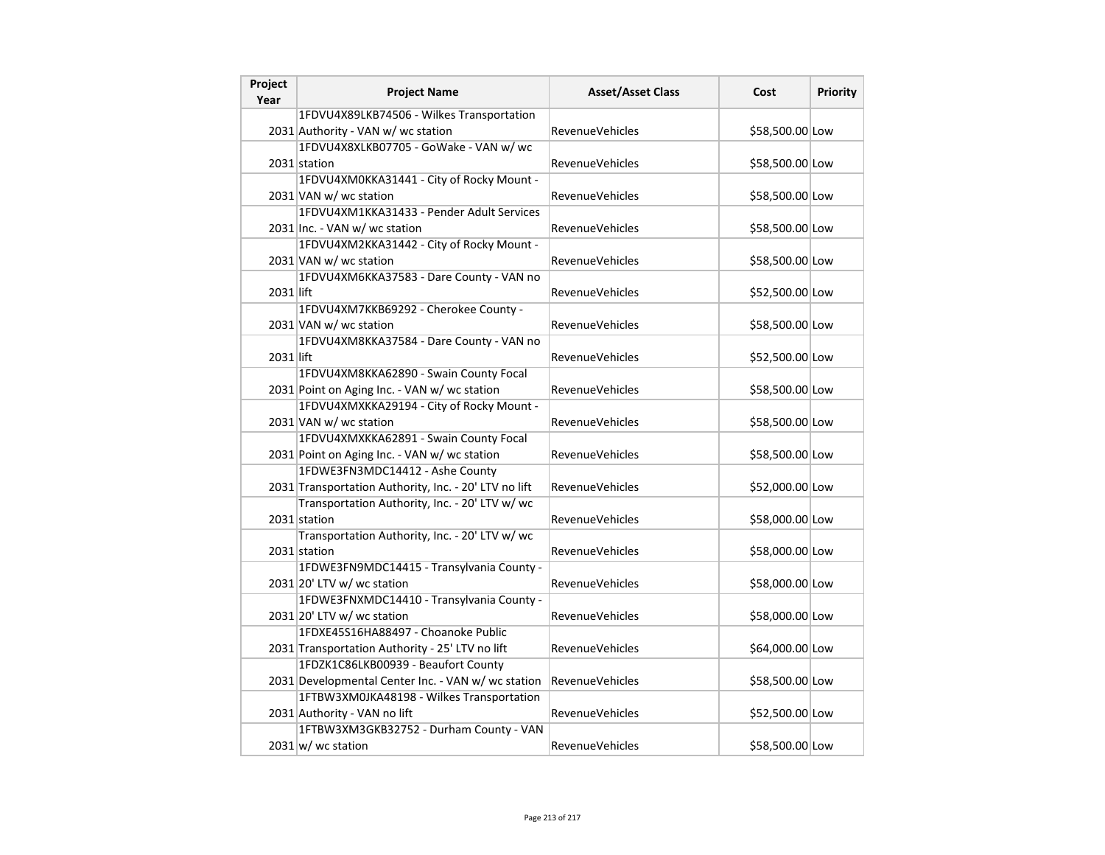| Project<br>Year | <b>Project Name</b>                                   | <b>Asset/Asset Class</b> | Cost            | Priority |
|-----------------|-------------------------------------------------------|--------------------------|-----------------|----------|
|                 | 1FDVU4X89LKB74506 - Wilkes Transportation             |                          |                 |          |
|                 | 2031 Authority - VAN w/ wc station                    | <b>RevenueVehicles</b>   | \$58,500.00 Low |          |
|                 | 1FDVU4X8XLKB07705 - GoWake - VAN w/ wc                |                          |                 |          |
|                 | 2031 station                                          | RevenueVehicles          | \$58,500.00 Low |          |
|                 | 1FDVU4XM0KKA31441 - City of Rocky Mount -             |                          |                 |          |
|                 | 2031 VAN w/ wc station                                | RevenueVehicles          | \$58,500.00 Low |          |
|                 | 1FDVU4XM1KKA31433 - Pender Adult Services             |                          |                 |          |
|                 | 2031 Inc. - VAN w/ wc station                         | <b>RevenueVehicles</b>   | \$58,500.00 Low |          |
|                 | 1FDVU4XM2KKA31442 - City of Rocky Mount -             |                          |                 |          |
|                 | 2031 VAN w/ wc station                                | <b>RevenueVehicles</b>   | \$58,500.00 Low |          |
|                 | 1FDVU4XM6KKA37583 - Dare County - VAN no              |                          |                 |          |
| 2031 lift       |                                                       | RevenueVehicles          | \$52,500.00 Low |          |
|                 | 1FDVU4XM7KKB69292 - Cherokee County -                 |                          |                 |          |
|                 | 2031 VAN w/ wc station                                | <b>RevenueVehicles</b>   | \$58,500.00 Low |          |
|                 | 1FDVU4XM8KKA37584 - Dare County - VAN no              |                          |                 |          |
| 2031 lift       |                                                       | <b>RevenueVehicles</b>   | \$52,500.00 Low |          |
|                 | 1FDVU4XM8KKA62890 - Swain County Focal                |                          |                 |          |
|                 | 2031 Point on Aging Inc. - VAN w/wc station           | <b>RevenueVehicles</b>   | \$58,500.00 Low |          |
|                 | 1FDVU4XMXKKA29194 - City of Rocky Mount -             |                          |                 |          |
|                 | 2031 VAN w/ wc station                                | <b>RevenueVehicles</b>   | \$58,500.00 Low |          |
|                 | 1FDVU4XMXKKA62891 - Swain County Focal                |                          |                 |          |
|                 | 2031 Point on Aging Inc. - VAN w/ wc station          | RevenueVehicles          | \$58,500.00 Low |          |
|                 | 1FDWE3FN3MDC14412 - Ashe County                       |                          |                 |          |
|                 | 2031 Transportation Authority, Inc. - 20' LTV no lift | RevenueVehicles          | \$52,000.00 Low |          |
|                 | Transportation Authority, Inc. - 20' LTV w/ wc        |                          |                 |          |
|                 | 2031 station                                          | RevenueVehicles          | \$58,000.00 Low |          |
|                 | Transportation Authority, Inc. - 20' LTV w/ wc        |                          |                 |          |
|                 | 2031 station                                          | <b>RevenueVehicles</b>   | \$58,000.00 Low |          |
|                 | 1FDWE3FN9MDC14415 - Transylvania County -             |                          |                 |          |
|                 | 2031 20' LTV w/ wc station                            | <b>RevenueVehicles</b>   | \$58,000.00 Low |          |
|                 | 1FDWE3FNXMDC14410 - Transylvania County -             |                          |                 |          |
|                 | $2031$ 20' LTV w/ wc station                          | <b>RevenueVehicles</b>   | \$58,000.00 Low |          |
|                 | 1FDXE45S16HA88497 - Choanoke Public                   |                          |                 |          |
|                 | 2031 Transportation Authority - 25' LTV no lift       | <b>RevenueVehicles</b>   | \$64,000.00 Low |          |
|                 | 1FDZK1C86LKB00939 - Beaufort County                   |                          |                 |          |
|                 | 2031 Developmental Center Inc. - VAN w/ wc station    | <b>RevenueVehicles</b>   | \$58,500.00 Low |          |
|                 | 1FTBW3XM0JKA48198 - Wilkes Transportation             |                          |                 |          |
|                 | 2031 Authority - VAN no lift                          | <b>RevenueVehicles</b>   | \$52,500.00 Low |          |
|                 | 1FTBW3XM3GKB32752 - Durham County - VAN               |                          |                 |          |
|                 | $2031 \text{ w}$ / wc station                         | RevenueVehicles          | \$58,500.00 Low |          |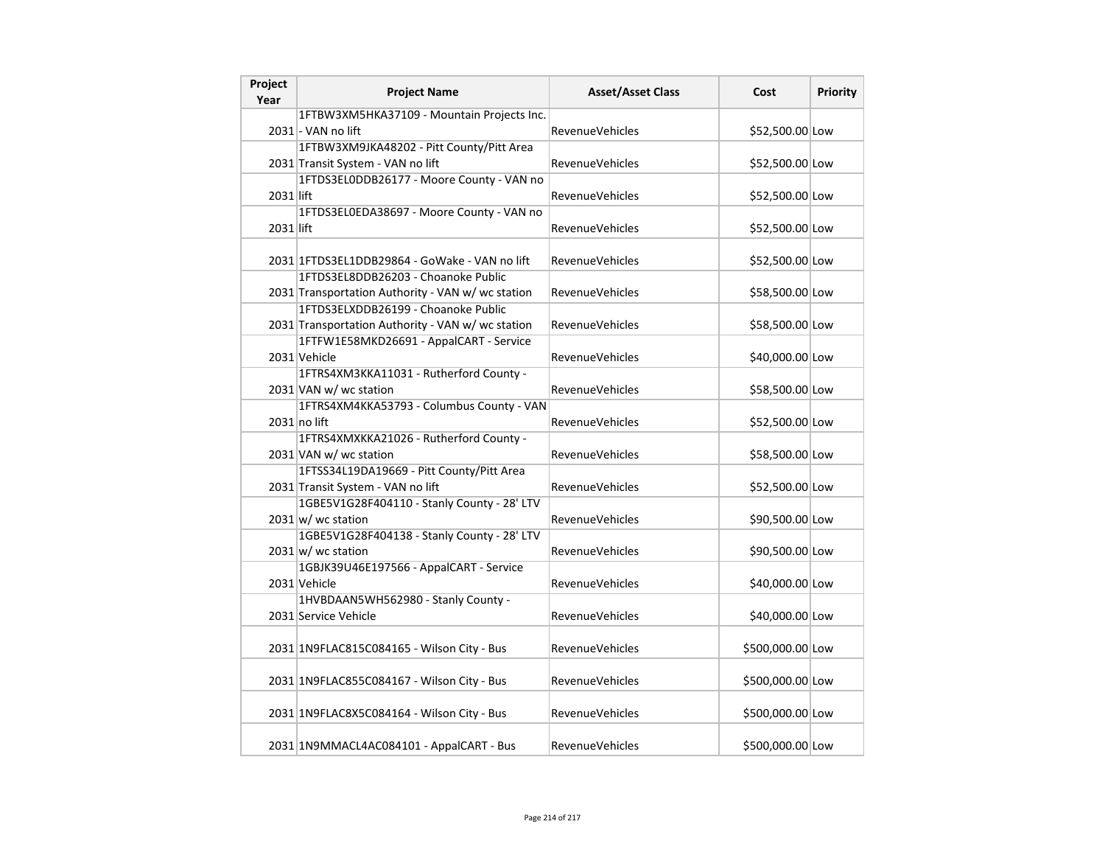| Project<br>Year | <b>Project Name</b>                               | <b>Asset/Asset Class</b> | Cost             | Priority |
|-----------------|---------------------------------------------------|--------------------------|------------------|----------|
|                 | 1FTBW3XM5HKA37109 - Mountain Projects Inc.        |                          |                  |          |
|                 | 2031 - VAN no lift                                | <b>RevenueVehicles</b>   | \$52,500.00 Low  |          |
|                 | 1FTBW3XM9JKA48202 - Pitt County/Pitt Area         |                          |                  |          |
|                 | 2031 Transit System - VAN no lift                 | <b>RevenueVehicles</b>   | \$52,500.00 Low  |          |
|                 | 1FTDS3EL0DDB26177 - Moore County - VAN no         |                          |                  |          |
| 2031 lift       |                                                   | RevenueVehicles          | \$52,500.00 Low  |          |
|                 | 1FTDS3EL0EDA38697 - Moore County - VAN no         |                          |                  |          |
| 2031 lift       |                                                   | <b>RevenueVehicles</b>   | \$52,500.00 Low  |          |
|                 |                                                   |                          |                  |          |
|                 | 2031 1FTDS3EL1DDB29864 - GoWake - VAN no lift     | <b>RevenueVehicles</b>   | \$52,500.00 Low  |          |
|                 | 1FTDS3EL8DDB26203 - Choanoke Public               |                          |                  |          |
|                 | 2031 Transportation Authority - VAN w/wc station  | RevenueVehicles          | \$58,500.00 Low  |          |
|                 | 1FTDS3ELXDDB26199 - Choanoke Public               |                          |                  |          |
|                 | 2031 Transportation Authority - VAN w/ wc station | RevenueVehicles          | \$58,500.00 Low  |          |
|                 | 1FTFW1E58MKD26691 - AppalCART - Service           |                          |                  |          |
|                 | 2031 Vehicle                                      | <b>RevenueVehicles</b>   | \$40,000.00 Low  |          |
|                 | 1FTRS4XM3KKA11031 - Rutherford County -           |                          |                  |          |
|                 | 2031 VAN w/ wc station                            | <b>RevenueVehicles</b>   | \$58,500.00 Low  |          |
|                 | 1FTRS4XM4KKA53793 - Columbus County - VAN         |                          |                  |          |
|                 | $2031$ no lift                                    | <b>RevenueVehicles</b>   | \$52,500.00 Low  |          |
|                 | 1FTRS4XMXKKA21026 - Rutherford County -           |                          |                  |          |
|                 | 2031 VAN w/ wc station                            | RevenueVehicles          | \$58,500.00 Low  |          |
|                 | 1FTSS34L19DA19669 - Pitt County/Pitt Area         |                          |                  |          |
|                 | 2031 Transit System - VAN no lift                 | RevenueVehicles          | \$52,500.00 Low  |          |
|                 | 1GBE5V1G28F404110 - Stanly County - 28' LTV       |                          |                  |          |
|                 | $2031 \text{ w}$ / wc station                     | <b>RevenueVehicles</b>   | \$90,500.00 Low  |          |
|                 | 1GBE5V1G28F404138 - Stanly County - 28' LTV       |                          |                  |          |
|                 | $2031 \text{ w}$ / wc station                     | <b>RevenueVehicles</b>   | \$90,500.00 Low  |          |
|                 | 1GBJK39U46E197566 - AppalCART - Service           |                          |                  |          |
|                 | 2031 Vehicle                                      | RevenueVehicles          | \$40,000.00 Low  |          |
|                 | 1HVBDAAN5WH562980 - Stanly County -               |                          |                  |          |
|                 | 2031 Service Vehicle                              | <b>RevenueVehicles</b>   | \$40,000.00 Low  |          |
|                 |                                                   |                          |                  |          |
|                 | 2031 1N9FLAC815C084165 - Wilson City - Bus        | <b>RevenueVehicles</b>   | \$500,000.00 Low |          |
|                 |                                                   |                          |                  |          |
|                 | 2031 1N9FLAC855C084167 - Wilson City - Bus        | RevenueVehicles          | \$500,000.00 Low |          |
|                 |                                                   |                          |                  |          |
|                 | 2031 1N9FLAC8X5C084164 - Wilson City - Bus        | RevenueVehicles          | \$500,000.00 Low |          |
|                 |                                                   |                          |                  |          |
|                 | 2031 1N9MMACL4AC084101 - AppalCART - Bus          | <b>RevenueVehicles</b>   | \$500,000.00 Low |          |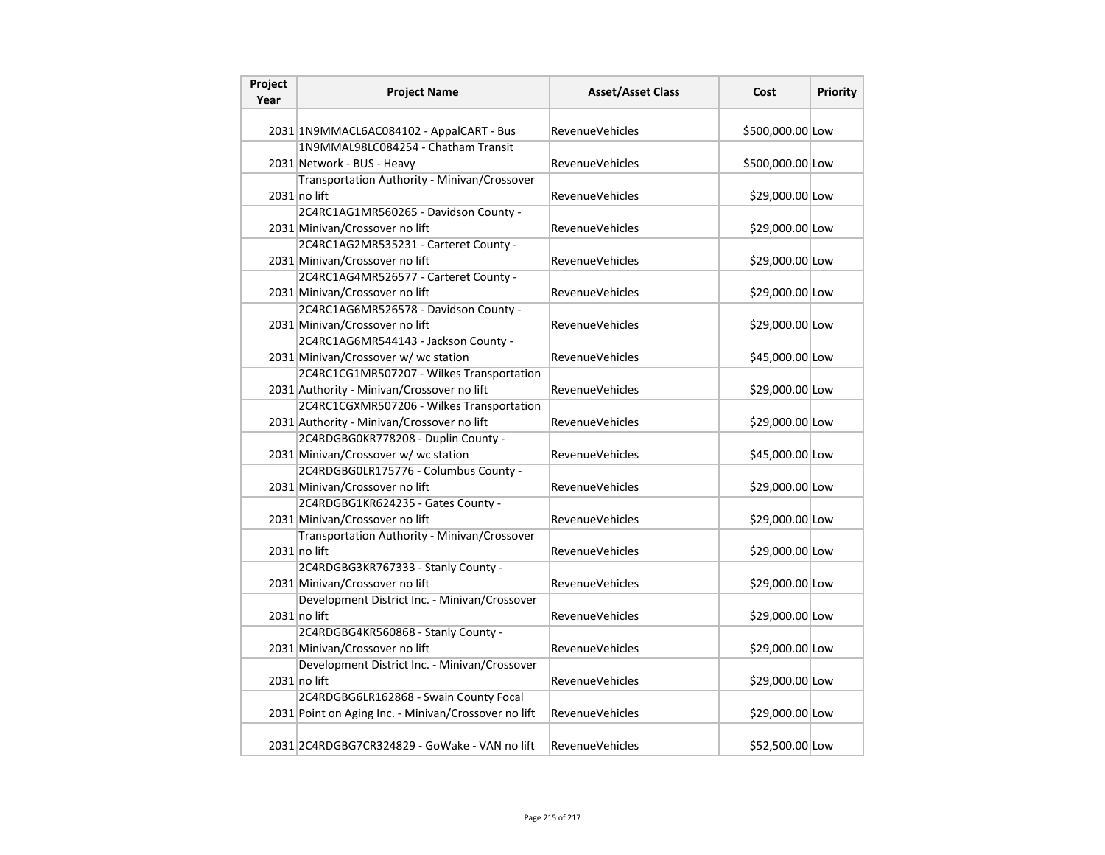| Project<br>Year | <b>Project Name</b>                                  | <b>Asset/Asset Class</b> | Cost             | <b>Priority</b> |
|-----------------|------------------------------------------------------|--------------------------|------------------|-----------------|
|                 | 2031 1N9MMACL6AC084102 - AppalCART - Bus             | <b>RevenueVehicles</b>   | \$500,000.00 Low |                 |
|                 | 1N9MMAL98LC084254 - Chatham Transit                  |                          |                  |                 |
|                 | 2031 Network - BUS - Heavy                           | <b>RevenueVehicles</b>   | \$500,000.00 Low |                 |
|                 | Transportation Authority - Minivan/Crossover         |                          |                  |                 |
|                 | $2031$ no lift                                       | <b>RevenueVehicles</b>   | \$29,000.00 Low  |                 |
|                 | 2C4RC1AG1MR560265 - Davidson County -                |                          |                  |                 |
|                 | 2031 Minivan/Crossover no lift                       | <b>RevenueVehicles</b>   | \$29,000.00 Low  |                 |
|                 | 2C4RC1AG2MR535231 - Carteret County -                |                          |                  |                 |
|                 | 2031 Minivan/Crossover no lift                       | RevenueVehicles          | \$29,000.00 Low  |                 |
|                 | 2C4RC1AG4MR526577 - Carteret County -                |                          |                  |                 |
|                 | 2031 Minivan/Crossover no lift                       | <b>RevenueVehicles</b>   | \$29,000.00 Low  |                 |
|                 | 2C4RC1AG6MR526578 - Davidson County -                |                          |                  |                 |
|                 | 2031 Minivan/Crossover no lift                       | <b>RevenueVehicles</b>   | \$29,000.00 Low  |                 |
|                 | 2C4RC1AG6MR544143 - Jackson County -                 |                          |                  |                 |
|                 | 2031 Minivan/Crossover w/ wc station                 | <b>RevenueVehicles</b>   | \$45,000.00 Low  |                 |
|                 | 2C4RC1CG1MR507207 - Wilkes Transportation            |                          |                  |                 |
|                 | 2031 Authority - Minivan/Crossover no lift           | <b>RevenueVehicles</b>   | \$29,000.00 Low  |                 |
|                 | 2C4RC1CGXMR507206 - Wilkes Transportation            |                          |                  |                 |
|                 | 2031 Authority - Minivan/Crossover no lift           | <b>RevenueVehicles</b>   | \$29,000.00 Low  |                 |
|                 | 2C4RDGBG0KR778208 - Duplin County -                  |                          |                  |                 |
|                 | 2031 Minivan/Crossover w/ wc station                 | RevenueVehicles          | \$45,000.00 Low  |                 |
|                 | 2C4RDGBG0LR175776 - Columbus County -                |                          |                  |                 |
|                 | 2031 Minivan/Crossover no lift                       | <b>RevenueVehicles</b>   | \$29,000.00 Low  |                 |
|                 | 2C4RDGBG1KR624235 - Gates County -                   |                          |                  |                 |
|                 | 2031 Minivan/Crossover no lift                       | <b>RevenueVehicles</b>   | \$29,000.00 Low  |                 |
|                 | Transportation Authority - Minivan/Crossover         |                          |                  |                 |
|                 | 2031 no lift                                         | RevenueVehicles          | \$29,000.00 Low  |                 |
|                 | 2C4RDGBG3KR767333 - Stanly County -                  |                          |                  |                 |
|                 | 2031 Minivan/Crossover no lift                       | <b>RevenueVehicles</b>   | \$29,000.00 Low  |                 |
|                 | Development District Inc. - Minivan/Crossover        |                          |                  |                 |
|                 | $2031$ no lift                                       | <b>RevenueVehicles</b>   | \$29,000.00 Low  |                 |
|                 | 2C4RDGBG4KR560868 - Stanly County -                  |                          |                  |                 |
|                 | 2031 Minivan/Crossover no lift                       | <b>RevenueVehicles</b>   | \$29,000.00 Low  |                 |
|                 | Development District Inc. - Minivan/Crossover        |                          |                  |                 |
|                 | 2031 no lift                                         | RevenueVehicles          | \$29,000.00 Low  |                 |
|                 | 2C4RDGBG6LR162868 - Swain County Focal               |                          |                  |                 |
|                 | 2031 Point on Aging Inc. - Minivan/Crossover no lift | RevenueVehicles          | \$29,000.00 Low  |                 |
|                 | 2031 2C4RDGBG7CR324829 - GoWake - VAN no lift        | <b>RevenueVehicles</b>   | \$52,500.00 Low  |                 |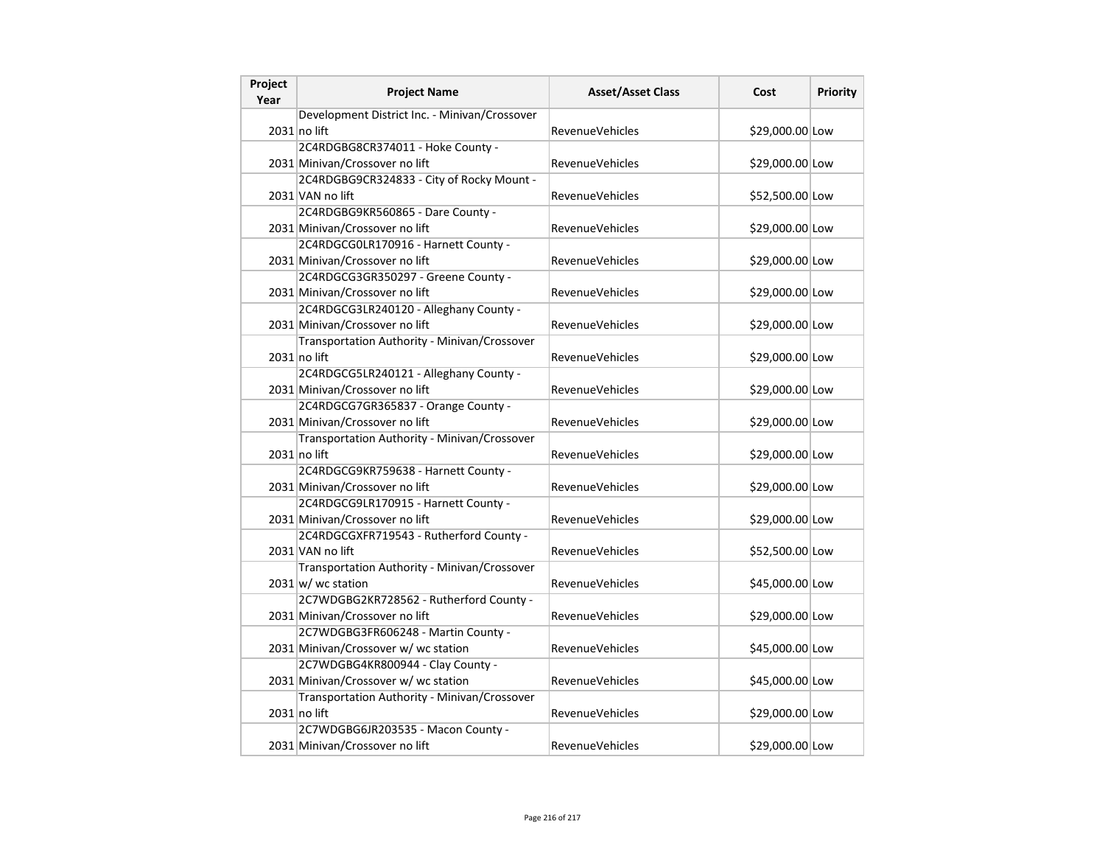| Project<br>Year | <b>Project Name</b>                           | <b>Asset/Asset Class</b> | Cost            | Priority |
|-----------------|-----------------------------------------------|--------------------------|-----------------|----------|
|                 | Development District Inc. - Minivan/Crossover |                          |                 |          |
|                 | 2031 no lift                                  | <b>RevenueVehicles</b>   | \$29,000.00 Low |          |
|                 | 2C4RDGBG8CR374011 - Hoke County -             |                          |                 |          |
|                 | 2031 Minivan/Crossover no lift                | <b>RevenueVehicles</b>   | \$29,000.00 Low |          |
|                 | 2C4RDGBG9CR324833 - City of Rocky Mount -     |                          |                 |          |
|                 | 2031 VAN no lift                              | RevenueVehicles          | \$52,500.00 Low |          |
|                 | 2C4RDGBG9KR560865 - Dare County -             |                          |                 |          |
|                 | 2031 Minivan/Crossover no lift                | RevenueVehicles          | \$29,000.00 Low |          |
|                 | 2C4RDGCG0LR170916 - Harnett County -          |                          |                 |          |
|                 | 2031 Minivan/Crossover no lift                | RevenueVehicles          | \$29,000.00 Low |          |
|                 | 2C4RDGCG3GR350297 - Greene County -           |                          |                 |          |
|                 | 2031 Minivan/Crossover no lift                | RevenueVehicles          | \$29,000.00 Low |          |
|                 | 2C4RDGCG3LR240120 - Alleghany County -        |                          |                 |          |
|                 | 2031 Minivan/Crossover no lift                | <b>RevenueVehicles</b>   | \$29,000.00 Low |          |
|                 | Transportation Authority - Minivan/Crossover  |                          |                 |          |
|                 | 2031 no lift                                  | <b>RevenueVehicles</b>   | \$29,000.00 Low |          |
|                 | 2C4RDGCG5LR240121 - Alleghany County -        |                          |                 |          |
|                 | 2031 Minivan/Crossover no lift                | <b>RevenueVehicles</b>   | \$29,000.00 Low |          |
|                 | 2C4RDGCG7GR365837 - Orange County -           |                          |                 |          |
|                 | 2031 Minivan/Crossover no lift                | <b>RevenueVehicles</b>   | \$29,000.00 Low |          |
|                 | Transportation Authority - Minivan/Crossover  |                          |                 |          |
|                 | $2031$ no lift                                | <b>RevenueVehicles</b>   | \$29,000.00 Low |          |
|                 | 2C4RDGCG9KR759638 - Harnett County -          |                          |                 |          |
|                 | 2031 Minivan/Crossover no lift                | <b>RevenueVehicles</b>   | \$29,000.00 Low |          |
|                 | 2C4RDGCG9LR170915 - Harnett County -          |                          |                 |          |
|                 | 2031 Minivan/Crossover no lift                | RevenueVehicles          | \$29,000.00 Low |          |
|                 | 2C4RDGCGXFR719543 - Rutherford County -       |                          |                 |          |
|                 | 2031 VAN no lift                              | <b>RevenueVehicles</b>   | \$52,500.00 Low |          |
|                 | Transportation Authority - Minivan/Crossover  |                          |                 |          |
|                 | $2031$ w/ wc station                          | <b>RevenueVehicles</b>   | \$45,000.00 Low |          |
|                 | 2C7WDGBG2KR728562 - Rutherford County -       |                          |                 |          |
|                 | 2031 Minivan/Crossover no lift                | <b>RevenueVehicles</b>   | \$29,000.00 Low |          |
|                 | 2C7WDGBG3FR606248 - Martin County -           |                          |                 |          |
|                 | 2031 Minivan/Crossover w/ wc station          | <b>RevenueVehicles</b>   | \$45,000.00 Low |          |
|                 | 2C7WDGBG4KR800944 - Clay County -             |                          |                 |          |
|                 | 2031 Minivan/Crossover w/ wc station          | <b>RevenueVehicles</b>   | \$45,000.00 Low |          |
|                 | Transportation Authority - Minivan/Crossover  |                          |                 |          |
|                 | $2031$ no lift                                | <b>RevenueVehicles</b>   | \$29,000.00 Low |          |
|                 | 2C7WDGBG6JR203535 - Macon County -            |                          |                 |          |
|                 | 2031 Minivan/Crossover no lift                | <b>RevenueVehicles</b>   | \$29,000.00 Low |          |